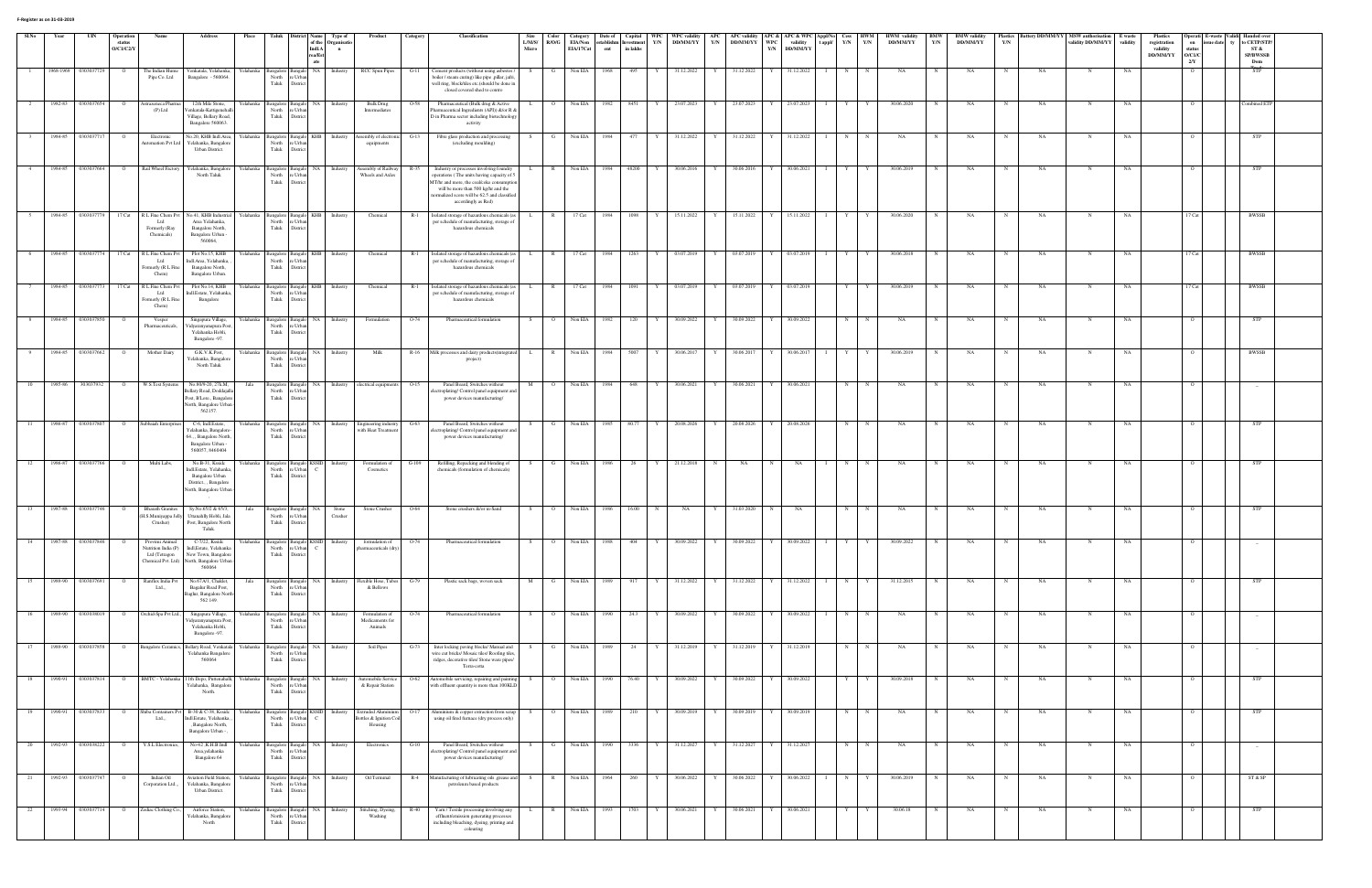| Sl.No | Year      | UIN        | <b>Operation</b><br>status<br>O/C1/C2/Y |                                                                                  | Address                                                                                                                   | Place     |                                                                               | <b>Indl.A</b><br>rea/Est | Type of<br>of the Organisati<br>$\mathbf{n}$ | Product                                                  | Category | <b>Classification</b>                                                                                                                                                                                                                          | Size<br>L/M/S/<br>Micro | Color<br>R/O/G | Category<br>EIA/Non<br>EIA/17Cat | Date of<br>stablishr<br>ent | Capital<br><b>vestment</b><br>in lakhs | WPC<br>Y/N   | DD/MM/YY   | Y/N | DD/MM/YY     | WPC<br>Y/N | validity<br><b>DD/MM/YY</b> | WPC validity   APC   APC validity   APC &   APC & WPC   Appl/No   Cess   HWM  <br>Y/N<br>t appl/ | Y/N        | <b>HWM</b> validity<br>DD/MM/YY | <b>BMW</b><br>Y/N | <b>BMW</b> validity<br><b>DD/MM/YY</b> | Y/N         |           | Plastics Battery DD/MM/YY MSW authorisation E waste<br>validity DD/MM/YY | validity  | <b>Plastics</b><br>registration<br>validity<br>DD/MM/YY | on<br>status<br>$\rm O/C1/C$ | sue date | Operati E-waste Validi Handed over<br>to CETP/STP<br>ST &<br>SP/BWSSB |  |
|-------|-----------|------------|-----------------------------------------|----------------------------------------------------------------------------------|---------------------------------------------------------------------------------------------------------------------------|-----------|-------------------------------------------------------------------------------|--------------------------|----------------------------------------------|----------------------------------------------------------|----------|------------------------------------------------------------------------------------------------------------------------------------------------------------------------------------------------------------------------------------------------|-------------------------|----------------|----------------------------------|-----------------------------|----------------------------------------|--------------|------------|-----|--------------|------------|-----------------------------|--------------------------------------------------------------------------------------------------|------------|---------------------------------|-------------------|----------------------------------------|-------------|-----------|--------------------------------------------------------------------------|-----------|---------------------------------------------------------|------------------------------|----------|-----------------------------------------------------------------------|--|
|       | 1968-1969 | 0303037729 |                                         | The Indian Hun<br>Pipe Co. Ltd                                                   | /enkatala, Yelahanka<br>Bangalore - 560064.                                                                               | √elahanka | 3angalore<br>North<br>e Urbar                                                 | ate<br>NA.               | Industry                                     | RCC Spun Pipes                                           | G-11     | Cement products (without using asbestos)<br>boiler / steam curing) like pipe ,pillar, jafri                                                                                                                                                    |                         |                | Non EIA                          | 1968                        |                                        |              | 31.12.2022 |     | 31.12.2022   |            | 31.12.2022                  |                                                                                                  |            |                                 |                   |                                        |             |           |                                                                          | NΑ        |                                                         | $2/Y$                        |          | Dom                                                                   |  |
|       | 1982-83   | 0303037654 | $\circ$                                 | Astrazeneca Pharm                                                                | 12th Mile Stone,                                                                                                          | Yelahanka | Taluk<br>District<br>Bangalore<br>sangalo                                     | NA                       | Industry                                     | <b>Bulk Drug</b>                                         | O-58     | well ring, block/tiles etc.(should be done in<br>closed covered shed to contro<br>Pharmaceutical (Bulk drug & Active                                                                                                                           |                         | $\overline{O}$ | Non EIA                          | 1982                        | 8451                                   |              | 23.07.2023 | Y   | 23.07.2023   |            | 23.07.2023                  | Y                                                                                                |            | 30.06.2020                      |                   | NA                                     |             | <b>NA</b> |                                                                          | NA        |                                                         |                              |          | ombined ETF                                                           |  |
|       |           |            |                                         | $(P)$ Ltd                                                                        | enkatala-Kattigenehall<br>Village, Bellary Road,<br>Bangalore 560063.                                                     |           | North<br>: Urba<br>Taluk<br><b>Distric</b>                                    |                          |                                              | Intermediates                                            |          | harmaceutical Ingredients (API)) &/or R &<br>D in Pharma sector including biotechnology<br>activity                                                                                                                                            |                         |                |                                  |                             |                                        |              |            |     |              |            |                             |                                                                                                  |            |                                 |                   |                                        |             |           |                                                                          |           |                                                         |                              |          |                                                                       |  |
|       | 1984-85   | 0303037717 |                                         | Electronic<br>utomation Pvt L                                                    | No.20, KHB Indl.Area, Yelahanka<br>r'elahanka, Bangalore<br>Urban District.                                               |           | Bangalore Bangalo KHB Industry<br>North<br>: Urba<br>Taluk<br>Distric         |                          |                                              | Assembly of electronic<br>equipments                     | $G-13$   | Fibre glass production and processing<br>(excluding moulding)                                                                                                                                                                                  |                         | $\mathbf{G}$   | Non EIA                          | 1984                        | 477                                    |              | 31.12.2022 |     | 31.12.2022   |            | 31.12.2022                  | N                                                                                                |            | NA                              |                   | NA                                     |             | NA        |                                                                          | NA        |                                                         |                              |          | STP                                                                   |  |
|       | 1984-85   | 0303037664 | $\circ$                                 | Rail Wheel Factory                                                               | Yelahanka, Bangalore<br>North Taluk                                                                                       | Yelahanka | Bangalore Bangalo<br>North<br>e Urba<br>Taluk<br>District                     |                          | Industry                                     | Assembly of Railway<br>Wheels and Axles                  | R-35     | Industry or processes involving foundry<br>operations (The units having capacity of 5<br>MT/hr and more, the coal/coke consumptic<br>will be more than 500 kg/hr and the<br>ormalized score will be 62.5 and classified<br>accordingly as Red) |                         | $\mathbb{R}$   | Non EIA                          | 1984                        | 48200                                  |              | 30.06.2016 |     | 30.06.2016   |            | 30.06.2021                  | Y                                                                                                |            | 30.06.2019                      |                   | NA                                     |             | <b>NA</b> | N                                                                        | <b>NA</b> |                                                         |                              |          |                                                                       |  |
| - 5   | 1984-85   |            |                                         | 0303037779 17 Cat R L Fine Chem Pvt<br>Ltd<br>Formerly (Ray<br>Chemicals)        | No.41, KHB Industrial<br>Area Yelahanka,<br>Bangalore North,<br>Bangalore Urban -<br>560064,                              | Yelahanka | Bangalore Bangalo KHB<br>North<br>e Urba<br>Taluk<br>District                 |                          | Industry                                     | Chemical                                                 | $R-1$    | Isolated storage of hazardous chemicals (as<br>per schedule of manufacturing, storage of<br>hazardous chemicals                                                                                                                                |                         | $\mathbb{R}$   | $17$ Cat                         | 1984                        | 1098                                   | Y            | 15.11.2022 | Y   | 15.11.2022   |            | 15.11.2022                  | $\blacksquare$<br>Y                                                                              |            | 30.06.2020                      |                   | NA                                     |             | NA        | N                                                                        | NA        |                                                         | 17 Cat                       |          | BWSSB                                                                 |  |
| 6     |           |            |                                         | 1984-85 0303037774 17 Cat R L Fine Chem Pvt<br>Ltd<br>Formerly (R L Fir<br>Chem) | Plot No.15, KHB<br>Indl.Area, Yelahanka,<br>Bangalore North,<br>Bangalore Urban.                                          |           | Yelahanka Bangalore Bangalo KHB Industry<br>North<br>Urh<br>Taluk<br>District |                          |                                              | Chemical                                                 |          | R-1 Isolated storage of hazardous chemicals (as<br>per schedule of manufacturing, storage of<br>hazardous chemicals                                                                                                                            |                         |                | R 17 Cat                         | 1984                        | $1263$ Y                               |              | 03.07.2019 | Y   | 03.07.2019 Y |            | 03.07.2019                  | Y<br>$\blacksquare$                                                                              | Y          | 30.06.2018                      | N                 | NA                                     | $\mathbf N$ | <b>NA</b> | N                                                                        | NA        |                                                         | 17 Cat                       |          | BWSSB                                                                 |  |
|       | 1984-85   | 0303037773 |                                         | 17 Cat R L Fine Chem P<br>Ltd<br>Formerly (R L Fin<br>Chem)                      | Plot No.14, KHB<br>Indl.Estate, Yelahanka,<br>Bangalore                                                                   | Yelahanka | Bangalore Bangalo<br>North<br>e Urba<br>Taluk<br>District                     | КНВ                      | Industry                                     | Chemical                                                 | $R-1$    | Isolated storage of hazardous chemicals (as<br>per schedule of manufacturing, storage of<br>hazardous chemicals                                                                                                                                |                         | $\mathbb{R}$   | 17 Cat                           | 1984                        | 1091                                   |              | 03.07.2019 |     | 03.07.2019   |            | 03.07.2019                  |                                                                                                  |            | 30.06.2019                      |                   | NA                                     |             | <b>NA</b> | N                                                                        | NA        |                                                         | 17 Cat                       |          | <b>BWSSB</b>                                                          |  |
| - 8   | 1984-85   | 0303037850 | $\circ$                                 | Vesper<br>Pharmaceuticals                                                        | Singapura Village,<br>idyaranyanapura Pos<br>Yelahanka Hobli,<br>Bangalore -97.                                           | Yelahanka | Bangalore Bangalo<br>North<br>e Urbai<br>Taluk<br>District                    | NA                       | Industry                                     | Formulation                                              | $O-74$   | Pharmaceutical formulation                                                                                                                                                                                                                     |                         | $\overline{O}$ | Non EIA                          | 1982                        | 120                                    |              | 30.09.2022 |     | 30.09.2022   |            | 30.09.2022                  | N                                                                                                |            | NA                              |                   | NA                                     |             | NA        | N                                                                        | NA        |                                                         |                              |          | STP                                                                   |  |
|       | 1984-85   | 0303037662 |                                         | Mother Dairy                                                                     | G.K.V.K.Post.<br>'elahanka, Bangalor<br>North Taluk                                                                       | Yelahanka | Bangalore Bangalo<br>North<br>: Urb<br>Taluk<br>District                      | NA.                      | Industry                                     | Milk                                                     | $R-16$   | Milk processes and dairy products(integrated<br>project)                                                                                                                                                                                       |                         | $\mathbb{R}$   | Non EIA                          | 1984                        | 5007                                   |              | 30.06.2017 |     | 30.06.2017   |            | 30.06.2017                  |                                                                                                  |            | 30.06.2019                      |                   | NA                                     |             | NA.       |                                                                          | NA        |                                                         |                              |          | <b>BWSSB</b>                                                          |  |
| 10    | 1985-86   | 303037932  | $\overline{O}$                          | W.S.Test Systems                                                                 | No.80/9-20, 27k.M,<br>Bellary Road, Doddajalla<br>Post, B'Lore., Bangalore<br>North, Bangalore Urban -<br>562157.         | Jala      | Bangalore Bangalo<br>North<br>: Urba<br>Taluk<br>District                     | NA.                      |                                              | Industry electrical equipments                           | $O-15$   | Panel Board, Switches without<br>ectroplating/Control panel equipment and<br>power devices manufacturing/                                                                                                                                      | M                       | $\overline{O}$ | Non EIA                          | 1984                        | 648                                    | Y            | 30.06.2021 | Y   | 30.06.2021   |            | 30.06.2021                  | N                                                                                                |            | NA                              |                   | NA                                     |             | NA        | N                                                                        | NA        |                                                         |                              |          |                                                                       |  |
|       | 1986-87   | 0303037807 | $\overline{O}$                          | Subbaiah Enterprise                                                              | C-6, Indl.Estate,<br>Yelahanka, Bangalore<br>64., Bangalore North,<br>Bangalore Urban -<br>560057, 8460404                | Yelahanka | Bangalore Bangalo<br>North<br>e Urbar<br>Taluk<br>District                    | NA.                      | Industry                                     | Engineering industry<br>with Heat Treatment              | $G-63$   | Panel Board, Switches without<br>lectroplating/ Control panel equipment and<br>power devices manufacturing/                                                                                                                                    |                         | G              | Non EIA                          | 1985                        | 80.77                                  |              | 20.08.2026 |     | 20.08.2026   |            | 20.08.2026                  | N                                                                                                |            | NA                              |                   | NA                                     |             | <b>NA</b> |                                                                          | NA        |                                                         |                              |          |                                                                       |  |
| 12    | 1986-87   | 0303037766 | $\circ$                                 | Multi Labs,                                                                      | No.B-31, Kssidc<br>Indl.Estate, Yelahanka,<br>Bangalore Urban<br>District., , Bangalore<br>North, Bangalore Urban         | Yelahanka | Bangalore Bangalo KSSID<br>North<br>: Urbai<br>Taluk<br>District              |                          | Industry                                     | Formulation of<br>Cosmetics                              | $G-109$  | Refilling, Repacking and blending of<br>chemicals (formulation of chemicals)                                                                                                                                                                   |                         | $\mathbf{G}$   | Non EIA                          | 1986                        | 26                                     | Y            | 21.12.2018 | N   | NA           |            | NA                          | N                                                                                                |            | NA                              |                   | NA                                     |             | NA        | $_{\rm N}$                                                               | NA        |                                                         |                              |          | <b>STP</b>                                                            |  |
|       | 1987-88   | 0303037746 | $\circ$                                 | <b>Bharath Granites</b><br>(H.S.Muniyappa Jelly<br>Crusher)                      | Sy.No.65/2 & 65/3,<br>Uttanahlly Hobli, Jala<br>Post, Bangalore North<br>Taluk.                                           | Jala      | Bangalore Bangalo<br>North<br>: Urba<br>Taluk<br><b>District</b>              | NA.                      | Stone<br>Crusher                             | Stone Crusher                                            | O-64     | Stone crushers &/or m-Sand                                                                                                                                                                                                                     |                         | $\overline{O}$ | Non EIA                          | 1986                        | 16.00                                  |              | NA         |     | 31.03.2020   |            | NA                          | N                                                                                                |            | NA                              |                   | NA                                     |             | NA        |                                                                          | NA        |                                                         |                              |          | STP                                                                   |  |
|       | 1987-88   | 0303037846 |                                         | Provimi Animal<br>Nutrition India (P)<br>Ltd (Tetragon                           | C-7/22, Kssidc<br>Indl, Estate, Yelahanka<br>New Town, Bangalore<br>Chemical Pvt. Ltd) North, Bangalore Urban -<br>560064 | Yelahanka | <b>Bangalo</b><br><b>Bangalore</b><br>North<br>e Urban<br>Taluk<br>District   | <b>KSSID</b>             | Industry                                     | formulation of<br>pharmaceuticals (dry)                  | $O-74$   | Pharmaceutical formulation                                                                                                                                                                                                                     |                         | $\overline{O}$ | Non EIA                          | 1988                        | 404                                    |              | 30.09.2022 |     | 30.09.2022   |            | 30.09.2022                  |                                                                                                  |            | 30.09.2022                      |                   | NA                                     |             | <b>NA</b> |                                                                          | NA        |                                                         |                              |          |                                                                       |  |
| 15    | 1989-90   | 0303037691 | $\circ$                                 | Ranflex India Pvt<br>Ltd.,                                                       | No.67A/1, Chaklet,<br>Bagalur Road Post,<br>Baglur, Bangalore North-<br>562 149.                                          | Jala      | <b>Bangak</b><br>3angalore<br>North<br>e Urba<br>Taluk<br>District            | NA                       | Industry                                     | Flexible Hose, Tubes<br>& Bellows                        | G-79     | Plastic sack bags, woven sack                                                                                                                                                                                                                  | M                       | $\mathbf{G}$   | Non EIA                          | 1989                        | 917                                    | $\mathbf{Y}$ | 31.12.2022 | Y   | 31.12.2022   |            | 31.12.2022                  | N                                                                                                |            | 31.12.2015                      |                   | NA                                     |             | NA        | N                                                                        | NA        |                                                         |                              |          | STP                                                                   |  |
| 16    | 1989-90   | 0303038019 | $\overline{O}$                          | Orchid-Spa Pvt Ltd.                                                              | Singapura Village,<br>idyaranyanapura Post<br>Yelahanka Hobli,<br>Bangalore -97.                                          | Yelahanka | Bangalore Bangalo<br>North<br>: Urba<br>Taluk<br>District                     | NA                       | Industry                                     | Formulation of<br>Medicaments for<br>Animals             | O-74     | Pharmaceutical formulation                                                                                                                                                                                                                     |                         | $\overline{O}$ | Non EIA                          | 1990                        | 24.3                                   |              | 30.09.2022 | Y   | 30.09.2022   |            | 30.09.2022                  | N                                                                                                |            | NA                              |                   | NA                                     | $\mathbf N$ | NA        | N                                                                        | NA        |                                                         |                              |          |                                                                       |  |
|       | 1989-90   | 0303037858 | $\circ$                                 | <b>Bangalore Ceramics</b>                                                        | Bellary Road, Venkatala<br>Yelahanka Bangalore<br>560064                                                                  | Yelahanka | Bangalore Bangal<br>North<br>e Urba<br>Taluk<br>District                      |                          | Industry                                     | Soil Pipes                                               | $G-73$   | Inter locking paving blocks/ Manual and<br>wire cut bricks/ Mosaic tiles/ Roofing tiles<br>ridges, decorative tiles/ Stone ware pipes/<br>Terra-cotta                                                                                          |                         | $\mathbf{G}$   | Non EIA                          | 1989                        | 24                                     |              | 31.12.2019 |     | 31.12.2019   |            | 31.12.2019                  | N                                                                                                |            | NA                              |                   | NA                                     |             | NA        | N                                                                        | NA        |                                                         |                              |          |                                                                       |  |
| 18    | 1990-91   | 0303037814 | $\overline{O}$                          | BMTC - Yelahanka                                                                 | 11th Depo, Puttenahalli,<br>Yelahanka, Bangalore<br>North.                                                                | Yelahanka | Bangalore Bangalo<br>North<br>re Urba<br>Taluk<br>District                    | NA                       | Industry                                     | Automobile Service<br>& Repair Station                   | $O-62$   | Automobile servicing, repairing and painting<br>with effluent quantity is more than 100KLD                                                                                                                                                     |                         | $\overline{O}$ | Non EIA                          | 1990                        | 76.40                                  | Y            | 30.09.2022 | Y   | 30.09.2022   |            | 30.09.2022                  | Y                                                                                                |            | 30.09.2018                      |                   | NA                                     | N           | NA        | N                                                                        | NA        |                                                         |                              |          | STP                                                                   |  |
| - 19  | 1990-91   | 0303037833 | $\circ$                                 | Shiba Containers Pv<br>Ltd.,                                                     | B-30 & C-38, Kssidc<br>Indl.Estate, Yelahanka,<br>, Bangalore North,<br>Bangalore Urban -                                 | Yelahanka | 3angalore Bangalo<br>North<br>: Urbar<br>Taluk<br>District                    | <b>KSSID</b>             | Industry                                     | Extruded Aluminius<br>Bottles & Ignition Coil<br>Housing | $O-17$   | duminium & copper extraction from scrap<br>using oil fired furnace (dry process only)                                                                                                                                                          |                         | $\overline{O}$ | Non EIA                          | 1989                        | 210                                    | Y            | 30.09.2019 | Y   | 30.09.2019   |            | 30.09.2019                  | N                                                                                                | N          | NA                              |                   | NA                                     |             | NA        | N                                                                        | NA        |                                                         |                              |          | STP                                                                   |  |
| -20   | 1992-93   | 0303038222 | $\overline{O}$                          | Y.S.L Electronics,                                                               | No-42 ,K.H.B.Indl<br>Area,yelahanka<br>Bangalore 64                                                                       | Yelahanka | Bangalore Bangalo<br>North<br>: Urba<br>Taluk<br>District                     |                          | NA Industry                                  | Electronics                                              | $G-10$   | Panel Board, Switches without<br>lectroplating/ Control panel equipment and<br>power devices manufacturing/                                                                                                                                    |                         | $\mathbf{G}$   | Non EIA                          | 1990                        | 3336 Y                                 |              | 31.12.2027 | Y   | 31.12.2027   | Y          | 31.12.2027                  | N                                                                                                | $_{\rm N}$ | NA                              | N                 | NA                                     | $_{\rm N}$  | NA        | N                                                                        | NA        |                                                         |                              |          | $\sim$                                                                |  |
|       | 1992-93   | 0303037747 |                                         | Indian Oil<br>Corporation Ltd.,                                                  | Viation Field Station,<br>Yelahanka, Bangalore<br>Urban District.                                                         | felahanka | Bangalore Bangalo<br>North<br>re Urbar<br>Taluk<br>District                   | NA                       | Industry                                     | Oil Terminal                                             | $R-4$    | fanufacturing of lubricating oils , grease and<br>petroleum based products                                                                                                                                                                     |                         | $\mathbb{R}$   | Non EIA                          | 1964                        | 260                                    |              | 30.06.2022 |     | 30.06.2022   |            | 30.06.2022                  | N                                                                                                |            | 30.06.2019                      |                   | NA                                     |             | NA        |                                                                          | NA        |                                                         |                              |          | ST & SP                                                               |  |
| 22    | 1993-94   | 0303037714 | $\circ$                                 | Zodiac Clothing Co.                                                              | Airforce Station,<br>r'elahanka, Bangalore<br>North                                                                       | Yelahanka | <b>Bangalore</b><br><b>Bangak</b><br>North<br>e Urba<br>Taluk<br>District     | <b>NA</b>                | Industry                                     | Stitching, Dyeing,<br>Washing                            | R-40     | Yarn / Textile processing involving any<br>effluent/emission generating processes<br>including bleaching, dyeing, printing and<br>colouring                                                                                                    |                         | $\mathbb{R}$   | Non EIA                          | 1993                        | 1703                                   |              | 30.06.2021 | Y   | 30.06.2021   |            | 30.06.2021                  | Y                                                                                                |            | 30.06.18                        |                   | NA                                     |             | NA        |                                                                          | NA        |                                                         |                              |          | STP                                                                   |  |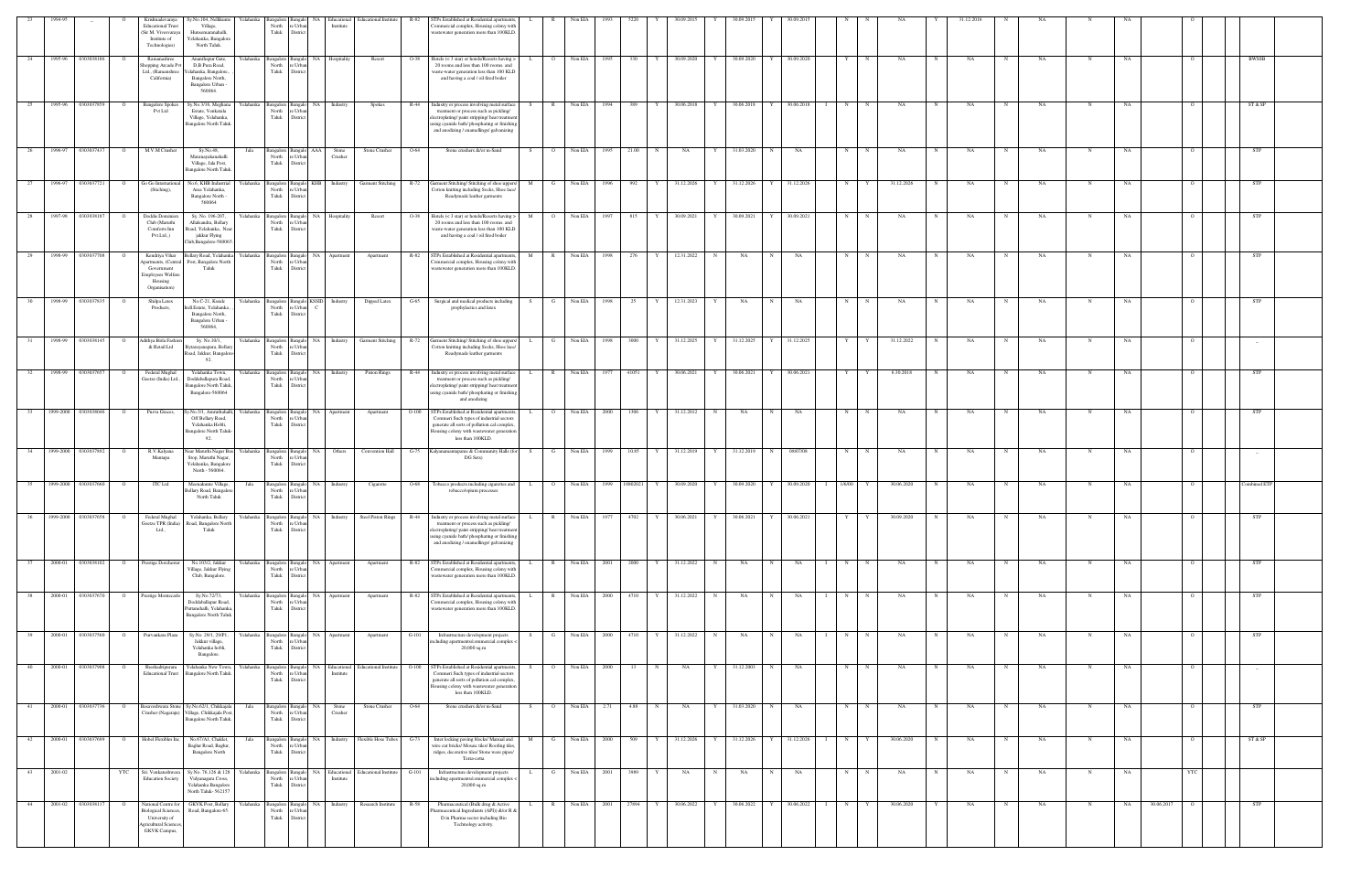|            | 1994-95              |                         |                | Krishnadevaraya<br>Sy.No.104, Nellikunte<br>relahanka<br><b>Educational Trus</b><br>Village,<br>Sir M. Vivesvaraya<br>Hunsemaranahalli,<br>Institute of<br>Yelahanka, Bangalore<br>Technologies)<br>North Taluk. | sangalore<br>North<br>: Urba<br>Taluk<br>Distri                | Bangalo NA<br>Educational<br>Institute     | <b>Educational Institute</b><br>R-82                              | STPs Established at Residential apartments.<br>ommercial complex, Housing colony with<br>wastewater generation more than 100KLD.                                                                                                 |              |                         | Non EIA           |      |                      |              |   |                           |             |              |                   |             |            |            |         |           |             |           |            |                |              |                          |
|------------|----------------------|-------------------------|----------------|------------------------------------------------------------------------------------------------------------------------------------------------------------------------------------------------------------------|----------------------------------------------------------------|--------------------------------------------|-------------------------------------------------------------------|----------------------------------------------------------------------------------------------------------------------------------------------------------------------------------------------------------------------------------|--------------|-------------------------|-------------------|------|----------------------|--------------|---|---------------------------|-------------|--------------|-------------------|-------------|------------|------------|---------|-----------|-------------|-----------|------------|----------------|--------------|--------------------------|
| 24         |                      | 1995-96 0303038186      | - 0            | Ramanashree<br>Ananthapur Gate,<br>D,B.Pura Road,<br>hopping Arcade P<br>Ltd., (Ramanshree<br>elahanka, Bangalore.,<br>California)<br>Bangalore North,<br>Bangalore Urban -<br>560064.                           | North<br>e Urbs<br>Taluk<br>Distric                            | Yelahanka Bangalore Bangalo NA Hospitality | Resort<br>$O-38$                                                  | Hotels (< 3 star) or hotels/Resorts having ><br>20 rooms and less than 100 rooms. and<br>waste-water generation less than 100 KLD<br>and having a coal / oil fired boiler                                                        |              | $\overline{O}$          | Non EIA           | 1995 | 330<br>Y             | 30.09.2020   |   | Y 30.09.2020 Y 30.09.2020 |             |              | Y                 | N           | NA         |            | NA      | NA        | N           | <b>NA</b> |            |                | <b>BWSSB</b> |                          |
| 25         |                      | 1995-96 0303037859      |                | <b>Bangalore Spokes</b><br>Sy.No.3/16, Meghan<br>relahanka<br>Pvt Ltd<br>Estate, Venkatala<br>Village, Yelahanka,<br><b>Bangalore North Taluk</b>                                                                | Bangalore<br>North<br>e Urbar<br>Taluk<br>District             | Bangalo NA Industry                        | Spokes<br>R-44                                                    | Industry or process involving metal surface<br>treatment or process such as pickling/<br>electroplating/paint stripping/heat treatment<br>sing cyanide bath/phosphating or finishing<br>and anodizing / enamellings/ galvanizing |              | R                       | Non EIA 1994      |      | 389<br>Y             | 30.06.2018   |   | Y 30.06.2018              |             | Y 30.06.2018 | N                 |             | NA         |            | NA      | <b>NA</b> |             | NA        |            |                | ST & SP      |                          |
| -26        | 1996-97              | 030303743               |                | M.V.M Crusher<br>Sy.No.48,<br>Jala<br>Maranayakanahalli<br>Village, Jala Post,<br>Bangalore North Talul                                                                                                          | Bangalore Bangalo AAA<br>North re Urban<br>Taluk<br>District   | Stone<br>Crusher                           | Stone Crusher<br>$O-64$                                           | Stone crushers &/or m-Sand                                                                                                                                                                                                       |              | $\Omega$                | Non EIA           | 1995 | 21.00<br>$\mathbf N$ | NA           | Y | 31.03.2020                | $_{\rm N}$  | NA           | N                 |             | NA         |            | NA      | NA        | N           | NA        |            |                |              | <b>STP</b>               |
| 27         |                      | 1996-97 0303037721      | $\overline{O}$ | Go Go Internationa<br>Yelahanka<br>No.6, KHB Industrial<br>Area Yelahanka,<br>(Stiching),<br>Bangalore North -<br>560064                                                                                         | North<br>e Urba<br>Taluk<br>District                           |                                            |                                                                   | Bangalore Bangalo KHB Industry Garment Stitching R-72 Garment Stitching/Stitching of shoe uppers/<br>Cotton knitting including Socks, Shoe lace/<br>Readymade leather garments                                                   |              |                         | M G Non EIA       | 1996 | 992                  | Y 31.12.2026 |   | Y 31.12.2026 Y 31.12.2026 |             |              | N                 | Y           | 31.12.2026 |            | NA<br>N | NA        | $\mathbf N$ | NA        |            |                |              | STP                      |
|            | 1997-98              | 0303038187              |                | Doddis Dominio<br>Sy. No. 196-207<br>relahanka<br>Club (Maruthi<br>Allalsandra, Bellary<br>Comforts Inn<br>Road, Yelahanka, Nea<br>Pvt.Ltd.,)<br>jakkur Flying<br>Club, Bangalore-56006:                         | Bangalore<br>Bangal<br>North<br>e Urbar<br>Taluk<br>District   | NA<br>Hospitality                          | Resort<br>$O-38$                                                  | Hotels (< 3 star) or hotels/Resorts having ><br>20 rooms and less than 100 rooms. and<br>waste-water generation less than 100 KLD<br>and having a coal / oil fired boiler                                                        |              | $\circ$                 | Non EIA           | 1997 | 815                  | 30.09.2021   | Y | 30.09.2021                |             | 30.09.2021   | N                 |             | NA         |            | NA      | NA        |             | NA        |            |                |              | STP                      |
|            | 1998-99              | 030303770               |                | Kendriya Vihar<br>llary Road, Yelahank:<br>Yelahanka<br>partments, (Central<br>Post, Bangalore North<br>Government<br>Taluk<br><b>Employees Welfare</b><br>Housing<br>Organisation)                              | Bangalore<br>North<br>: Urba<br>Taluk<br>Distric               | NA.<br>Apartment                           | Apartment<br>R-82                                                 | STPs Established at Residential apartments,<br>ommercial complex, Housing colony with<br>wastewater generation more than 100KLD                                                                                                  |              | $\mathbb{R}$            | Non EIA           | 1998 | 276                  | 12.31.2022   | N | NA                        |             | NA           | N                 |             | NA         |            | NA      | NA        |             | NA        |            |                | STP          |                          |
| 30         |                      | 1998-99 0303037835      |                | Shilpa Latex<br>No.C-21, Kssidc<br>Products,<br>ndl.Estate, Yelahanka<br>Bangalore North,<br>Bangalore Urban<br>560064,                                                                                          | North<br>e Urban<br>Taluk<br>District                          | Yelahanka Bangalore Bangalo KSSID Industry | Dipped Latex<br>$G-65$                                            | Surgical and medical products including<br>prophylactics and latex                                                                                                                                                               |              | G                       | Non EIA           | 1998 | 25<br>Y              | 12.31.2023   | Y | NA                        | N           | NA           | N                 | N           | NA         |            | NA<br>N | NA        | $\mathbf N$ | NA        |            |                | STP          |                          |
|            | 1998-99              | 0303038145              |                | Adithya Birla Fashi<br>Sy. No.10/1,<br>relahanka<br>& Retail Ltd<br>3ytarayanapura, Bellar<br>Road, Jakkur, Bangalor<br>92.                                                                                      | Bangalore Bangalo<br>North<br>e Urban<br>Taluk<br>District     | Industry<br>NA 1                           | <b>Garment Stitching</b><br>$R-72$                                | Garment Stitching/ Stitching of shoe uppers/<br>Cotton knitting including Socks, Shoe lace/<br>Readymade leather garments                                                                                                        |              | G                       | Non EIA           | 1998 | 3000                 | 31.12.2025   |   | Y 31.12.2025              | Y           | 31.12.2025   | Y                 |             | 31.12.2022 |            | NA      | NA        | N           | NA        |            |                |              |                          |
| 32         |                      | 1998-99 0303037657      | - 0            | Federal Mughal<br>Yelahanka<br>Yelahanka Town,<br>Goetze (India) Ltd.,<br>Doddaballapura Road,<br>Bangalore North Taluk<br>Bangalore-560064                                                                      | Bangalore Bangalo NA<br>North<br>e Urba<br>Taluk<br>District   | Industry                                   | R-44<br>Piston Rings                                              | Industry or process involving metal surface<br>treatment or process such as pickling/<br>lectroplating/paint stripping/heat treatmen<br>ising cyanide bath/phosphating or finishing<br>and anodizing                             | L.           | R                       | Non EIA           | 1977 | 41051<br>Y           | 30.06.2021   | Y | 30.06.2021                |             | Y 30.06.2021 | Y                 | Y           | 6.30.2018  |            | NA<br>N | NA        | N           | NA        |            |                | STP          |                          |
|            |                      | 33 1999-2000 0303038046 | $\overline{O}$ | Purva Graces,<br>Sy.No.3/1, Amruthahalli,<br>Off Bellary Road,<br>Yelahanka Hobli,<br><b>Bangalore North Taluk</b><br>92.                                                                                        | North<br>: Urbs<br>Taluk<br>District                           | Yelahanka Bangalore Bangalo NA Apartment   | $O-100$<br>Apartment                                              | STPs Established at Residential apartments,<br>Commeri Such types of industrial sectors<br>generate all sorts of pollution.cal complex.<br>Iousing colony with wastewater generation<br>less than 100KLD.                        | $\mathbf{L}$ | $\overline{\mathbf{O}}$ | Non EIA 2000 1306 |      | Y                    | 31.12.2012   | N | NA                        | N           | NA           | N                 | $\mathbb N$ | NA         | N          | NA<br>N | NA        | N           | NA        |            |                |              | STP                      |
| 34         |                      | 1999-2000 0303037892    | - 0            | R.V.Kalyana<br>Vear Maruthi Nagar Bu<br>Yelahanka  <br>Stop, Maruthi Nagar,<br>Mantapa<br>Yelahanka, Bangalore<br>North - 560064.                                                                                | Bangalore Bangalo<br>North<br>e Urbar<br>Taluk<br>District     | NA<br>Others                               | Convention Hall                                                   | G-75 Kalvanamantapams & Community Halls (for<br>DG Sets)                                                                                                                                                                         |              | G                       | Non EIA           | 1999 | 10.85<br>Y           | 31.12.2019   | Y | 31.12.2019                | N           | 08/07/08     | N                 | N           | NA         |            | NA      | NA        | -N          | NA        |            |                |              | $-$                      |
| - 35       | 1999-2000 0303037660 |                         |                | ITC Ltd<br>Meenakunte Village,<br>Jala<br>ellary Road, Bangalor<br>North Taluk                                                                                                                                   | Bangalore<br>3angalo<br>North<br>e Urba<br>Taluk<br>District   | NA<br>Industry                             | Cigarette<br>O-68                                                 | Tobacco products including cigarettes and<br>tobacco/opium processes                                                                                                                                                             |              | $\overline{O}$          | Non EIA           | 1999 | 10802021             | 30.09.2020   | Y | 30.09.2020                |             | 30.09.2020   | 1/6/00            |             | 30.06.2020 |            | NA      | NA        |             | NA        |            |                |              | ombined ET               |
|            | 999-200              |                         |                | rederal Mughal<br>Yelahanka, Bellary<br>r elahanka<br>Goetze TPR (India)<br>Road, Bangalore North<br>Taluk<br>Ltd.,                                                                                              | North<br>re Urban<br>Taluk<br>District                         | Industry                                   | Steel Piston Rings<br>K-44                                        | ustry or process involving metal surface<br>treatment or process such as pickling/<br>electroplating/paint stripping/heat treatment<br>ising cyanide bath/phosphating or finishing<br>and anodizing / enamellings/ galvanizing   |              |                         | N00 EIA           |      |                      | 50.06.2021   |   |                           |             | J.U6.2UZ     |                   |             |            |            |         |           |             |           |            |                |              |                          |
| 37         |                      | 2000-01 0303038102      |                | Prestige Dorcheste<br>No.103/2, Jakkur<br>Village, Jakkur Flying<br>Club, Bangalore.                                                                                                                             | North<br>e Urban<br>Taluk<br>District                          | Yelahanka Bangalore Bangalo NA Apartment   | $R-82$<br>Apartment                                               | STPs Established at Residential apartments,<br>'ommercial complex, Housing colony with<br>wastewater generation more than 100KLD.                                                                                                |              | R                       | Non EIA 2001      |      | 2000<br>Y            | 31.12.2022   | N | NA                        | $_{\rm N}$  | NA           | N                 |             | NA         |            | NA      | NA        |             | NA        |            |                | STP          |                          |
| 38         |                      | 2000-01 0303037670      | $\circ$        | Prestige Montecarlo<br>Sy.No.72/73,<br>relahanka<br>Doddaballapur Road,<br>Puttanehalli, Yelahanka<br><b>Bangalore North Taluk</b>                                                                               | <b>Bangalore</b><br>North<br>re Urban<br>Taluk<br>District     | Bangalo NA<br>Apartment                    | Apartment<br>R-82                                                 | STPs Established at Residential apartments,<br>'ommercial complex, Housing colony with<br>wastewater generation more than 100KLD.                                                                                                |              | R                       | Non EIA 2000      |      | 4710                 | Y 31.12.2022 | N | NA                        | N           | NA           | N                 | $\mathbf N$ | NA         | N          | NA<br>N | NA        | N           | NA        |            |                |              | STP                      |
| 39         |                      | 2000-01 0303037560      | $\overline{O}$ | Purvankara Plaza<br>Sy.No. 29/1, 29/P1,<br>Yelahanka<br>Jakkur village,<br>Yelahanka hobli,<br>Bangalore.                                                                                                        | North<br>e Urban<br>Taluk<br>District                          | Bangalore Bangalo NA Apartment             | $G-101$<br>Apartment                                              | Infrastructure development projects<br>ncluding apartments/commercial complex <<br>$20,000$ sq.m                                                                                                                                 | S.           | $\mathbf{G}$            | Non EIA 2000      |      | 4710                 | Y 31.12.2022 | N | <b>NA</b>                 | N           | NA           | N<br>$\mathbf{I}$ | N           | NA         | N          | NA<br>N | NA        | N           | NA        |            | $\overline{O}$ |              | <b>STP</b>               |
| 40         |                      | 2000-01 0303037908      |                | Yelahanka<br>Sheshadripuram<br>felahanka New Town,<br><b>Educational Trust</b><br>Bangalore North Taluk.                                                                                                         | Bangalore Bangalo<br>North<br>e Urban<br>Taluk<br>District     | NA Educational<br>Institute                | <b>Educational Institute</b><br>$O-100$                           | STPs Established at Residential apartments,<br>Commeri Such types of industrial sectors<br>generate all sorts of pollution.cal complex,<br>Iousing colony with wastewater generation<br>less than 100KLD.                        |              | $\overline{O}$          | Non EIA           | 2000 | N<br>13              | NA           | Y | 31.12.2003                | N           | NA           | N                 | N           | NA         |            | NA      | NA        | N           | NA        |            |                |              | $\overline{\phantom{a}}$ |
| $-41$      | 2000-01              | 0303037736              |                | 3asaveshwara Stone Sy.No.62/1, Chikkajala<br>Jala<br>Crusher (Nagaraju) Village, Chikkajala Pos<br>Bangalore North Taluk.                                                                                        | Bangalore<br>Bangalo<br>North<br>re Urban<br>Taluk<br>District | NA<br>Stone<br>Crusher                     | Stone Crusher<br>$O-64$                                           | Stone crushers &/or m-Sand                                                                                                                                                                                                       |              | $\circ$                 | Non EIA           | 2.71 | 4.88<br>N            | NA           | Y | 31.03.2020                | $\mathbf N$ | NA           | N                 |             | NA         |            | NA      | NA        | N           | NA        |            |                |              | STP                      |
| 42         | 2000-01              | 0303037699              | - 0            | Hobel Flexibles Inc<br>No.67/A1, Chaklet,<br>Jala<br>Baglur Road, Baglur,<br><b>Bangalore North</b>                                                                                                              | Bangalore<br>North<br>e Urban<br>Taluk<br>District             | Bangalo NA<br>Industry                     | Flexible Hose Tubes<br>$G-73$                                     | Inter locking paving blocks/ Manual and<br>wire cut bricks/ Mosaic tiles/ Roofing tiles,<br>ridges, decorative tiles/ Stone ware pipes/<br>Terra-cotta                                                                           | M            | G                       | Non EIA           | 2000 | 509                  | 31.12.2026   | Y | 31.12.2026                | Y           | 31.12.2026   | N                 |             | 30.06.2020 |            | NA<br>N | NA        | N           | NA        |            |                | ST & SP      |                          |
| 43 2001-02 |                      |                         | YTC            | Sri. Venkateshwara<br>Sy.No. 76,126 & 128<br>Yelahanka  <br><b>Education Society</b><br>Vidyanagara Cross,<br>Yelahanka Bangalore<br>North Taluk-562157                                                          | North<br>e Urba<br>Taluk<br>District                           | Institute                                  | Bangalore Bangalo NA Educational Educational Institute<br>$G-101$ | Infrastructure development projects<br>rcluding apartments/commercial complex -<br>20,000 sq.m                                                                                                                                   |              | - G                     | Non EIA 2001      |      | 3989<br>Y            | NA           | N | NA                        | N           | NA           | N                 | N           | NA         | $_{\rm N}$ | NA<br>N | NA        | $\mathbf N$ | NA        |            | YTC            |              |                          |
| 44         | 2001-02              | 0303038117              |                | National Centre fo<br><b>GKVK Post</b> , Bellary<br>Yelahanka<br><b>Biological Sciences</b><br>Road, Bangalore-65.<br>University of<br><b>Agricultural Science</b><br><b>GKVK</b> Campus,                        | Bangalore Bangalo<br>North<br>e Urban<br>Taluk<br>District     | Industry<br>NA                             | Research Institute<br>R-58                                        | Pharmaceutical (Bulk drug & Active<br>Pharmaceutical Ingredients (API)) &/or R &<br>D in Pharma sector including Bio<br>Technology activity.                                                                                     |              | $\mathbb{R}$            | Non EIA           | 2001 | 27894                | 30.06.2022   | Y | 30.06.2022                |             | 30.06.2022   | N                 |             | 30.06.2020 |            | NA      | NA        | N           | NA        | 30.06.2017 |                |              | <b>STP</b>               |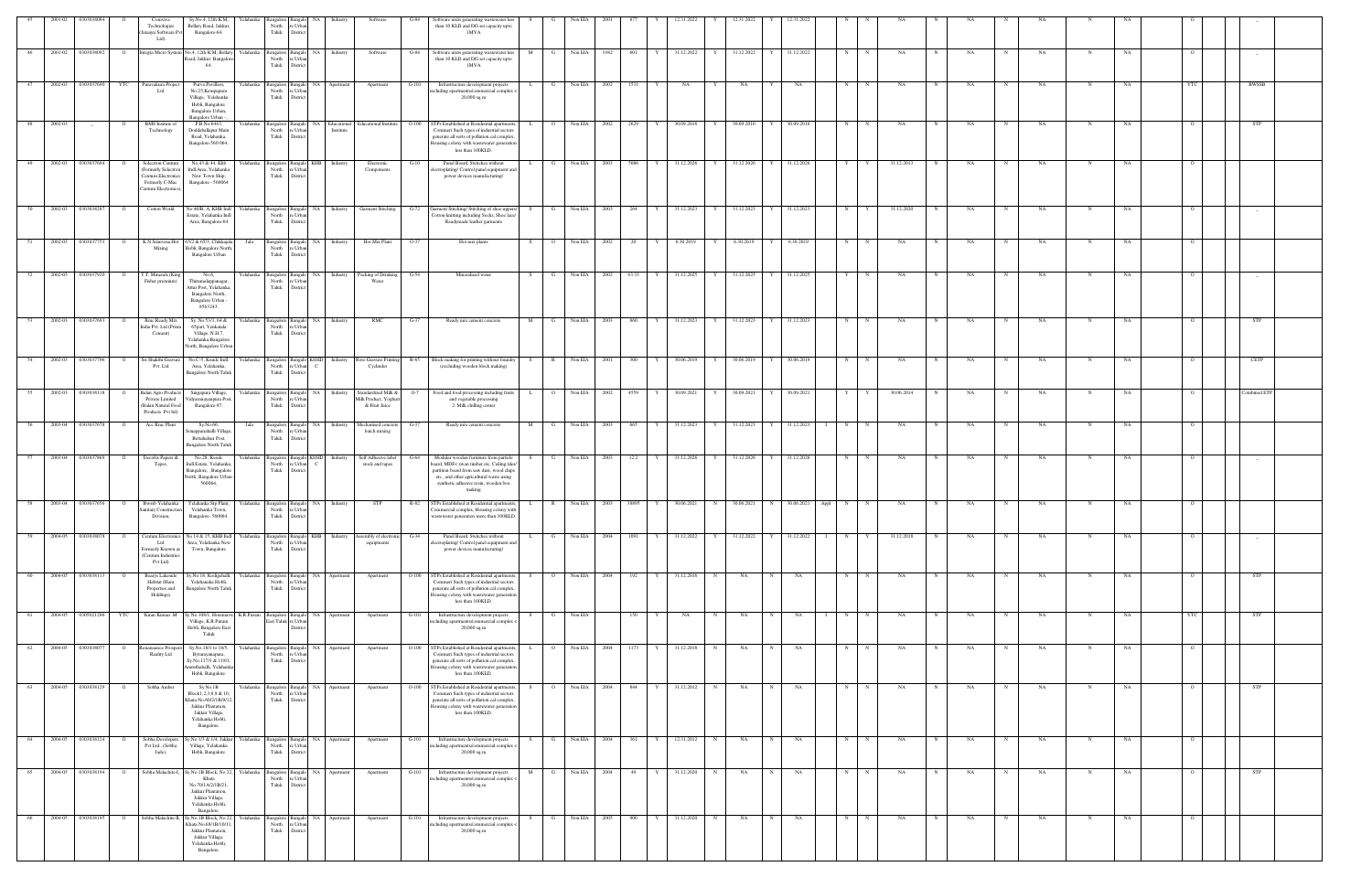|    | 2001-02 | 030303808          | Comviva<br>Technologies<br>Jataayu Software Pv<br>Ltd)                                                      | Sy.No.4, 12th K.M,<br>Bellary Road, Jakkur,<br>Bangalore-64.                                                                          | Yelahanka | Bangalore<br>North<br>e Urba<br>Taluk<br>District                             |              |                          | Software                                                      | Software units generating wastewater less<br>G-84<br>than 10 KLD and DG set capacity upto<br><b>IMVA</b>                                                                                                                       |              |                |              |      |           |            |     |                           |   |              |                     |              |            |   |    |             |           |             |           |            |                |              |  |
|----|---------|--------------------|-------------------------------------------------------------------------------------------------------------|---------------------------------------------------------------------------------------------------------------------------------------|-----------|-------------------------------------------------------------------------------|--------------|--------------------------|---------------------------------------------------------------|--------------------------------------------------------------------------------------------------------------------------------------------------------------------------------------------------------------------------------|--------------|----------------|--------------|------|-----------|------------|-----|---------------------------|---|--------------|---------------------|--------------|------------|---|----|-------------|-----------|-------------|-----------|------------|----------------|--------------|--|
| 46 | 2001-02 | 0303038092         | $\overline{O}$                                                                                              | Integra Micro System No.4, 12th K.M, Bellary<br>Road, Jakkur Bangalore<br>64.                                                         | Yelahanka | Bangalore<br><b>Bangalo</b><br>North<br>e Urban<br>Taluk<br>District          | NA 1         | Industry                 | Software                                                      | $G-84$<br>Software units generating wastewater less<br>than 10 KLD and DG set capacity upto<br>1MVA                                                                                                                            | M            | G              | Non EIA      | 1982 | 601<br>Y  | 31.12.2022 |     | Y 31.12.2022 Y 31.12.2022 |   |              | N                   | $\mathbb{N}$ | NA         | N | NA | N           | NA.       | N           | NA        |            |                |              |  |
|    | 2002-03 | 0303037690         | <b>YTC</b><br>Puravakura Projec<br>Ltd                                                                      | Purva Pavillion,<br>No.25, Kempapura<br>Village, Yelahanka<br>Hobli, Bangalore.<br>Bangalore Urban.<br>Bangalore Urban -              | Yelahanka | Bangalore<br>langalo<br>North<br>e Urbar<br>Taluk<br>District                 | NA           | Apartment                | Apartment                                                     | Infrastructure development projects<br>G-101<br>ncluding apartments/commercial complex <<br>$20,000$ sq.m                                                                                                                      |              |                | Non EIA      | 2002 | 1531      | NA         | Y   | NA                        |   | NA           | N                   |              | NA         |   | NA |             | NA        |             | NA        |            |                | BWSSB        |  |
| 48 | 2002-03 | $-$                | <b>BMS</b> Insitute of<br>Technology                                                                        | P.B.No.6443,<br>Doddaballapur Main<br>Road, Yelahanka,<br>Bangalore-560 064.                                                          |           | Yelahanka Bangalore<br><b>Bangal</b><br>North<br>e Urbar<br>Taluk<br>District | NA           | Educational<br>Institute | <b>Educational Institute</b>                                  | $O-100$<br>STPs Established at Residential apartments,<br>Commeri Such types of industrial sectors<br>generate all sorts of pollution.cal complex.<br>Iousing colony with wastewater generation<br>less than 100KLD.           |              | $\overline{O}$ | Non EIA      | 2002 | 2629<br>Y | 30.09.2016 | Y   | 30.09.2016                | Y | 30.09.2016   | N                   |              | NΑ         |   | NA |             | NA        |             | NA        |            |                | <b>STP</b>   |  |
| 49 | 2002-03 | 0303037694         | Solectron Centum<br>Formerly Solectron<br><b>Centum Electronics</b><br>Formerly C-Mac<br>entum Electronics) | No.43 & 44, Khb<br>Indl.Area, Yelahanka<br>New Town Ship,<br>Bangalore - 560064                                                       |           | Yelahanka Bangalore<br><b>Bangalo</b><br>North<br>e Urba<br>Taluk<br>District | KHB          | Industry                 | Electronic<br>Components                                      | Panel Board, Switches without<br>$G-10$<br>lectroplating/Control panel equipment and<br>power devices manufacturing/                                                                                                           |              | G              | Non EIA      | 2003 | 5086      | 31.12.2026 | Y   | 31.12.2026                |   | 31.12.2026   | Y                   |              | 31.12.2013 |   | NA |             | NA        | N           | NA        |            |                |              |  |
|    | 2002-03 | 0303038287         | Cotton World                                                                                                | No 40/B, A, KHB Indl<br>Estate, Yelahanka Indl<br>Area, Bangalore-64                                                                  | Yelahanka | Bangalore<br>langalo<br>North<br>: Urba<br>Taluk<br>Distri                    | NA           | Industry                 | <b>Garment Stitching</b>                                      | arment Stitching/Stitching of shoe uppers/<br>$G-72$<br>Cotton knitting including Socks, Shoe lace/<br>Readymade leather garments                                                                                              |              |                | Non EIA      |      | 264       | 31.12.2023 | Y   | 31.12.2023                |   | 31.12.2023   | N                   |              | 31.12.2020 |   | NA |             |           |             |           |            |                |              |  |
| 51 | 2002-03 | 0303037753         | K.N.Srinivasa Hot<br>$\circ$<br>Mixing                                                                      | 65/2 & 65/3, Chikkajala<br>Hobli, Bangalore North<br>Bangalore Urban                                                                  | Jala      | Bangalore<br>3angal<br>North<br>e Urbs<br>Taluk<br>Distric                    | NA           | Industry                 | Hot Mix Plant                                                 | $O-37$<br>Hot mix plants                                                                                                                                                                                                       |              | $\overline{O}$ | Non EIA      | 2002 | 20        | 6.30.2019  | Y   | 6.30.2019                 |   | 6.30.2019    | N                   |              | NA         |   | NA | $\mathbf N$ | NA        | N           | NA        |            |                |              |  |
|    | 2002-03 | 0303037920         | T.T. Minerals (King<br>Fisher premium)                                                                      | No.6,<br>Thirumalappanagar,<br>Attur Post, Yelahanka<br>Bangalore North,<br>Bangalore Urban<br>8563243.                               | Yelahanka | Bangalore<br>Bangal<br>North<br>e Urbar<br>Taluk<br>District                  | NA 1         | Industry                 | Packing of Drinking<br>Water                                  | $G-54$<br>Mineralized water                                                                                                                                                                                                    |              | G              | Non EIA      | 2002 | 43.33     | 31.12.2025 |     | Y 31.12.2025              |   | 31.12.2025   | Y                   |              | NA         |   | NA |             | NA        |             | <b>NA</b> |            |                |              |  |
| 53 | 2002-03 | 0303037693         | Rmc Ready Mix<br>$\circ$<br>ndia Pvt. Ltd (Prism<br>Cement)                                                 | Sy. No.53/1, 64 &<br>65part, Venkatala<br>Village, N.H.7,<br>Yelahanka, Bangalore<br>Vorth, Bangalore Urbar                           | Yelahanka | Bangalore<br><b>Bangalo</b><br>North<br>: Urba<br>Taluk<br>District           | NA           | Industry                 | $\rm RMC$                                                     | $G-37$<br>Ready mix cement concrete                                                                                                                                                                                            | M            | G              | Non EIA      | 2003 | 860<br>Y  | 31.12.2023 | Y   | 31.12.2023                | Y | 31.12.2023   | N                   | $\mathbf N$  | NA         | N | NA | $_{\rm N}$  | <b>NA</b> | N           | NA        |            |                | <b>STP</b>   |  |
| 54 |         | 2002-03 0303037796 | Sri Shakthi Gravur<br>$\overline{O}$<br>Pvt. Ltd                                                            | No.C-5, Ksside Indl.<br>Area, Yelahanka,<br><b>Bangalore North Taluk</b>                                                              | Yelahanka | Bangalore<br>North<br>e Urbar<br>Taluk<br>District                            |              | Bangalo KSSID Industry   | Cyclinder                                                     | Roto Gravure Printing R-65 Block making for printing without foundry<br>(excluding wooden block making)                                                                                                                        |              | S R            | Non EIA 2001 |      | 300<br>Y  | 30.06.2019 | Y I | 30.06.2019 Y 30.06.2019   |   |              | N                   |              | NΑ         |   | NA | N           | NA        |             | NA        |            |                | CETP         |  |
|    | 2002-03 | 0303038118         | <b>Balan Agro Product</b><br>Private Limited<br>(Balan Natural Food<br>Products Pvt ltd)                    | Singapura Village,<br>Vidyaranayanpura Pos<br>Bangalore-97.                                                                           |           | Yelahanka Bangalore<br>Bangal<br>North<br>e Urbar<br>Taluk<br>District        | NA           | Industry                 | Standardized Milk &<br>Milk Product, Yoghurt<br>& Fruit Juice | Food and food processing including fruits<br>and vegetable processing<br>2. Milk chilling center                                                                                                                               |              | $\overline{O}$ | Non EIA      | 2002 | 4559      | 30.09.2021 | Y   | 30.09.2021                |   | 30.09.2021   | Y                   |              | 30.06.2014 |   | NA |             | NA        |             | NA        |            |                | Combined ETP |  |
| 56 | 2003-04 | 0303037678         | Acc Rmc Plant<br>$\overline{O}$                                                                             | Sy.No.66,<br>mappanahalli Village<br>Bettahalsur Post,<br><b>Bangalore North Taluk</b>                                                | Jala      | Bangalore<br>North<br>e Urba<br>Taluk<br>District                             | NA.          | Industry                 | Mechanised concre<br>batch mixing                             | G-37<br>Ready mix cement concrete                                                                                                                                                                                              | M            | G              | Non EIA      | 2003 | 665       | 31.12.2023 | Y   | 31.12.2023                |   | 31.12.2023   | N                   |              | NA         |   | NA |             | NA        | N           | NA        |            |                |              |  |
|    | 2003-04 | 0303037869         | Decofix Papers &<br>Tapes.                                                                                  | No.28, Kssidc<br>Indl.Estate, Yelahanka<br>Bangalore, , Bangalore<br>North, Bangalore Urban<br>560064,                                | Yelahanka | Bangalore<br>langal<br>North<br>: Urba<br>Taluk<br>Distric                    | <b>KSSID</b> | Industry                 | Self Adhesive label<br>stock and tapes                        | Modular wooden furniture from particle<br>oard, MDF< swan timber etc, Ceiling tiles<br>partition board from saw dust, wood chips<br>etc., and other agricultural waste using<br>synthetic adhesive resin, wooden box<br>making |              |                | Non EIA      | 2003 | 12.2      | 31.12.2026 | Y   | 31.12.2026                |   | 31.12.2026   | N                   |              | NA         |   | NA | $_{\rm N}$  | NA        | N           | NA        |            |                |              |  |
| 58 | 2003-04 | 0303037656         | Bwssb Yelahanka<br>$\circ$<br>Sanitary Construction<br>Division,                                            | Yelahanka Stp Plant,<br>Yelahanka Town,<br>Bangalore-560064.                                                                          |           | Yelahanka Bangalore Bangalo<br>North<br>re Urban<br>Taluk<br>Distric          | NA           | Industry                 | STP                                                           | R-82 STPs Established at Residential apartments,<br>Commercial complex, Housing colony with<br>wastewater generation more than 100KLD.                                                                                         |              | R              | Non EIA      | 2003 | 38895     | 30.06.2021 | N   | 30.06.2021                | N | 30.06.2021   | N<br>Appl           |              | NA         |   | NA |             | NA        | $\mathbf N$ | <b>NA</b> |            |                |              |  |
| 59 | 2004-05 | 0303038078         | $\overline{O}$<br>Centum Electronic<br>Ltd<br>Formerly Known as<br>Centum Industries<br>Pvt Ltd)            | No 14 & 15, KHB Indl<br>Area, Yelahanka New<br>Town, Bangalore                                                                        |           | Yelahanka Bangalore<br>North<br>e Urban<br>Taluk<br>District                  |              | Bangalo KHB Industry     | Assembly of electronic<br>equipments                          | $G-34$<br>Panel Board, Switches without<br>lectroplating/ Control panel equipment and<br>power devices manufacturing/                                                                                                          |              | $\mathbf{G}$   | Non EIA      | 2004 | 1091<br>Y | 31.12.2022 |     | Y 31.12.2022              |   | Y 31.12.2022 | N<br>$\blacksquare$ | Y            | 31.12.2018 | N | NA | N           | NA.       | $\mathbf N$ | NA        |            | $\Omega$       |              |  |
| 60 | 2004-05 | 0303038113         | Bearys Lakeside<br>$\circ$<br>Habitat (Hara<br>Properties and<br>Holdings)                                  | Sy.No.18, Kodigehalli,<br>Yelahanaka Hobli,<br><b>Bangalore North Taluk</b>                                                           | Yelahanka | Bangalore<br>sangak<br>North<br>: Urba<br>Taluk<br>District                   | NA           | Apartment                | Apartment                                                     | STPs Established at Residential apartments,<br>$O-100$<br>Commeri Such types of industrial sectors<br>generate all sorts of pollution.cal complex<br>Jousing colony with wastewater generation<br>less than 100KLD.            | S.           | $\overline{O}$ | Non EIA      | 2004 | 192<br>Y  | 31.12.2016 | N   | NA                        | N | NA           | N                   |              | NA         |   | NA | N           | NA.       | $\mathbf N$ | NA        |            |                | <b>STP</b>   |  |
| 61 |         | 2004-05 0305021286 | <b>YTC</b><br>Kiran Kumar .M                                                                                | Sy No.108/1, Horamavu K.R.Puram<br>Village, K.R.Puram<br>Hobli, Bangalore East<br>Taluk                                               |           | Bangalore<br>East Taluk<br>re Urba<br><b>District</b>                         | NA           | Apartment                | Apartment                                                     | G-101<br>Infrastructure development projects<br>ncluding apartments/commercial complex ·<br>20,000 sq.m                                                                                                                        |              | G              | Non EIA      |      | 150<br>Y  | NA         | N   | NA                        | N | NA           | N                   | $\mathbf N$  | NA         |   | NA | $_{\rm N}$  | NA        | N           | NA        | <b>YTC</b> |                | <b>STP</b>   |  |
| 62 | 2004-05 | 0303038077         | $\overline{O}$<br>maissance Prosp<br>Reality Ltd                                                            | Sy.No.18/1 to 18/5,<br>Bytarayanapura,<br>Sy.No.117/3 & 118/1,<br>mruthahalli, Yelahanka<br>Hobli, Bangalore.                         |           | Yelahanka Bangalore<br>North<br>e Urbar<br>Taluk<br>District                  | Bangalo NA   | Apartment                | Apartment                                                     | $O-100$<br>STPs Established at Residential apartments,<br>Commeri Such types of industrial sectors<br>generate all sorts of pollution.cal complex,<br>Jousing colony with wastewater generation<br>less than 100KLD.           | $\mathbf{L}$ | $\overline{O}$ | Non EIA      | 2004 | 1173<br>Y | 31.12.2018 | N   | NA                        | N | NA           | N                   | $\mathbf N$  | NA         | N | NA | N           | NA        | N           | NA        |            | $\overline{O}$ |              |  |
| 63 | 2004-05 | 0303038129         | Sobha Amber<br>$\circ$                                                                                      | Sy.No.1B<br>Block1,2,3,8,9 & 10<br>Khata No.60/2/1B/9/12<br>Jakkur Plantation,<br>Jakkur Village,<br>Yelahanka Hobli,<br>Bangalore.   |           | Yelahanka Bangalore<br>langalo<br>North<br>: Urba<br>Taluk<br>Distri          | NA           | Apartment                | Apartment                                                     | STPs Established at Residential apartments,<br>$O-100$<br>Commeri Such types of industrial sectors<br>generate all sorts of pollution.cal complex<br>lousing colony with wastewater generation<br>less than 100KLD.            |              | $\circ$        | Non EIA      | 2004 | 844       | 31.12.2012 | N   | NA                        | N | NA           | N                   |              | NA         | N | NA | N           | NA.       | N           | NA        |            |                | <b>STP</b>   |  |
| 64 |         | 2004-05 0303038124 | Sobha Develope<br>Pvt Ltd., (Sobha<br>Jade),                                                                | y.No.1/3 & 1/4, Jakkur<br>Village, Yelahanka<br>Hobli, Bangalore.                                                                     |           | Yelahanka Bangalore<br>3angal<br>North<br>e Urbar<br>Taluk<br>District        | NA I         | Apartment                | Apartment                                                     | $G-101$<br>Infrastructure development projects<br>ncluding apartments/commercial complex <<br>20,000 sq.m                                                                                                                      |              | G              | Non EIA      | 2004 | 361<br>Y  | 12.31.2012 | N   | NA                        | N | NA           | N                   | $\mathbf N$  | NA         | N | NA | N           | NA        | N           | NA        |            | $\Omega$       |              |  |
| 65 | 2004-05 | 0303038194         | $\overline{O}$                                                                                              | Sobha Malachite-I, Sy.No.1B Block, No.22<br>Khata<br>No.70/1A/2/1B/21,<br>Jakkur Plantation,<br>Jakkur Village,<br>Yelahanka Hobli,   | Yelahanka | Bangalore<br><b>Bangalo</b><br>North<br>e Urbar<br>${\rm Tauk}$<br>District   | NA           | Apartment                | Apartment                                                     | $G-101$<br>Infrastructure development projects<br>acluding apartments/commercial complex -<br>20,000 sq.m                                                                                                                      | M            | $\mathbf{G}$   | Non EIA      | 2004 | 49<br>Y   | 31.12.2020 | N   | <b>NA</b>                 | N | NA           | N                   | $\mathbf N$  | NA         | N | NA | N           | NA.       | N           | NA        |            | $\overline{O}$ | <b>STP</b>   |  |
| 66 | 2004-05 | 0303038195         | Sobha Malachite-II,<br>$\overline{O}$                                                                       | Bangalore.<br>y.No.1B Block, No.22<br>Khata No.68/1B/10/11<br>Jakkur Plantation,<br>Jakkur Village,<br>Yelahanka Hobli,<br>Bangalore. | Yelahanka | Bangalore<br>langalo<br>North<br>: Urba<br>Taluk<br>District                  | NA           | Apartment                | Apartment                                                     | G-101<br>Infrastructure development projects<br>ncluding apartments/commercial complex <<br>$20,000$ sq.m                                                                                                                      |              |                | Non EIA      | 2005 | 900<br>Y  | 31.12.2020 | N   | NA                        | N | NA           | N                   |              | NA         |   | NA | N           | NA.       | N           | NA        |            |                |              |  |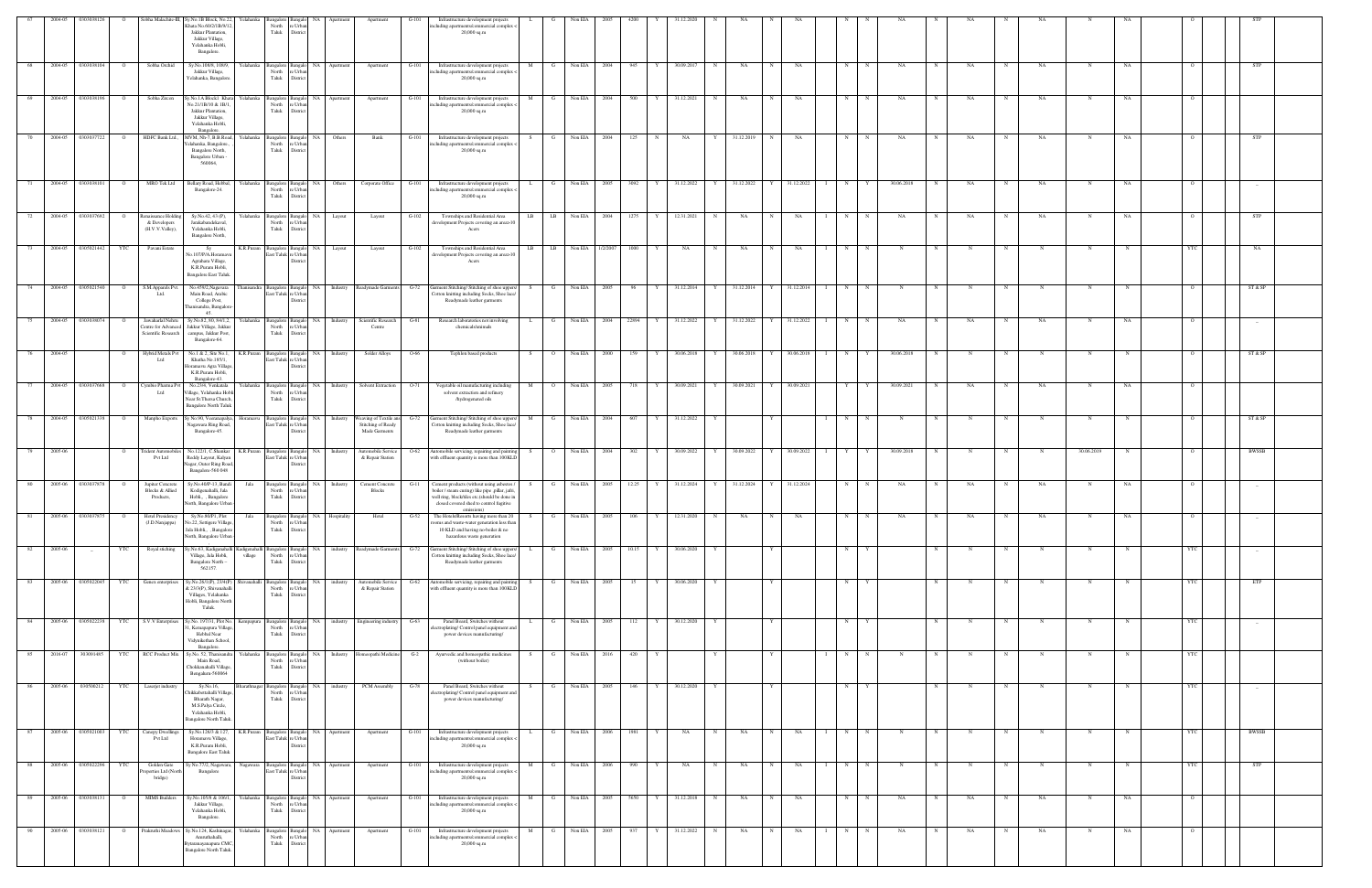|      | 2004-05 | 0303038126         | $\circ$        |                                                                | Sobha Malachite-III, Sy.No.1B Block, No.22, Yelahanka<br>Shata No.60/2/1B/9/12                                              |              | angalore<br>North                       | : Urb                             |                                  | Apartment                                                     | $G-101$ | Infrastructure development projects<br>ncluding apartments/commercial complex                                                                                                                          |                     | Non EIA        |          | 4200       | 1.12.2020      |   |            |              |                      |   |             |            |   | NA          |            |             |             |              |                |                                 |            |  |
|------|---------|--------------------|----------------|----------------------------------------------------------------|-----------------------------------------------------------------------------------------------------------------------------|--------------|-----------------------------------------|-----------------------------------|----------------------------------|---------------------------------------------------------------|---------|--------------------------------------------------------------------------------------------------------------------------------------------------------------------------------------------------------|---------------------|----------------|----------|------------|----------------|---|------------|--------------|----------------------|---|-------------|------------|---|-------------|------------|-------------|-------------|--------------|----------------|---------------------------------|------------|--|
|      |         |                    |                |                                                                | Jakkur Plantation,<br>Jakkur Village,<br>Yelahanka Hobli,<br>Bangalore.                                                     |              | Taluk                                   | Distric                           |                                  |                                                               |         | $20,000$ sq.m                                                                                                                                                                                          |                     |                |          |            |                |   |            |              |                      |   |             |            |   |             |            |             |             |              |                |                                 |            |  |
| 68   | 2004-05 | 0303038104         | $\Omega$       | Sobha Orchid                                                   | Sv.No.108/8, 108/9.<br>Jakkur Village,<br>Yelahanka, Bangalore                                                              | Yelahanka    | <b>Bangalore</b><br>North<br>Taluk      | NA 1<br>e Urba<br>Distric         | Apartment                        | Apartment                                                     | G-101   | Infrastructure development projects<br>including apartments/commercial complex <<br>$20,000$ sq.m                                                                                                      | M<br>G              | Non EIA        | 2004     | 945        | 30.09.2017     | N | NA         | $\mathbf N$  | NA                   | N |             | NA         |   | NA          |            | NA          | N           | NA           |                | <b>STP</b>                      |            |  |
| 69   | 2004-05 | 0303038196         | $\overline{O}$ | Sobha Zircon                                                   | Sy.No.1A Block1 Khata Yelahanka<br>No.21/1B/10 & 1B/1,<br>Jakkur Plantation,<br>Jakkur Village,<br>Yelahanka Hobli,         |              | Bangalore Bangal<br>North<br>Taluk      | 'e Urb<br>Distric                 | NA Apartment                     | Apartment                                                     | $G-101$ | Infrastructure development projects<br>including apartments/commercial complex <<br>$20,000$ sq.m                                                                                                      | M<br>$\mathbf{G}$   | Non EIA        | 2004     | 500<br>Y   | 31.12.2021     | N | NA         | N            | NA                   | N | $\mathbf N$ | NA         | N | NA          | $_{\rm N}$ | NA          | N           | NA           | $\Omega$       |                                 |            |  |
| 70   | 2004-05 | 0303037722         | $\circ$        | HDFC Bank Ltd.,                                                | Bangalore.<br>MVM, Nh-7, B.B.Road,<br>elahanka, Bangalore.<br>Bangalore North,<br>Bangalore Urban-<br>560064,               | Yelahanka    | <b>Bangalore</b><br>North<br>Taluk      | Bangal<br>Distri                  | NA Others                        | Bank                                                          | $G-101$ | Infrastructure development projects<br>including apartments/commercial complex -<br>$20,000$ sq.m                                                                                                      | G<br>S.             | Non EIA        | 2004     | 125        | NA             | Y | 31.12.2019 |              | NA                   | N |             | NA         |   | NA          |            | NA          | N           | NA           |                | <b>STP</b>                      |            |  |
|      | 2004-05 | 0303038101         | $\Omega$       | MRO Tek Ltd                                                    | Bellary Road, Hebbal,<br>Bangalore-24.                                                                                      | Yelahanka    | angalore Banga<br>North<br>Taluk        | NA<br>e Urb.<br>Distric           | Others                           | Corporate Office                                              | $G-101$ | Infrastructure development projects<br>including apartments/commercial complex <<br>$20,000$ sq.m                                                                                                      | G                   | Non EIA        | 2005     | 3092       | 31.12.2022     | Y | 31.12.2022 | Y            | 31.12.2022           | N |             | 30.06.2018 |   | NA          | N          | NA          | N           | NA           |                |                                 | $-$        |  |
| 72   | 2004-05 | 0303037692         | $\mathbf{o}$   | enaissance Holding<br>& Developers<br>(H.V.V.Valley),          | Sy.No.42, 43 (P),<br>Jarakabandekaval,<br>Yelahanka Hobli,<br>Bangalore North,                                              | Yelahanka    | <b>Bangalore</b><br>North<br>Taluk      | Banga<br>re Urba<br>District      | NA Layout                        | Layout                                                        | $G-102$ | Townships and Residential Area<br>development Projects covering an area>10<br>Acers                                                                                                                    | $_{\rm LB}$<br>LB   | Non EIA        | 2004     | 1275<br>Y  | 12.31.2021     | N | NA         | N            | NA                   | N | N           | NA         |   | NA          | N          | NA          |             | NA           |                | STP                             |            |  |
| 73   | 2004-05 | 0305021442         | YTC            | Pavani Estate                                                  | - Sv<br>Vo.107/P/A.Horamavi<br>Agrahara Village,<br>K.R.Puram Hobli,<br><b>Bangalore East Taluk</b>                         | K.R.Puram    | sangalore<br>last Taluk re Urba         | Bangalo<br>Distri                 | NA Layout                        | Layout                                                        | $G-102$ | Townships and Residential Area<br>development Projects covering an area>10<br>Acers                                                                                                                    | LB<br>LB            | Non EIA        | 1/2/2007 | 1000<br>Y  | NA             | N | NA         | $_{\rm N}$   | NA                   | N | N           | N          |   | N           | N          | N           | N           |              |                |                                 | NA         |  |
| 74   |         | 2004-05 0305021540 | $\overline{O}$ | S.M.Apparels Pvt.<br>Ltd.                                      | No.459/2, Nagavara<br>Main Road, Arabic<br>College Post,<br>Thanisandra, Bangalore                                          | ınisandra    | Bangalore Bangal<br>East Taluk re Urba  | Distri                            |                                  | NA Industry Readymade Garments G-72                           |         | Garment Stitching/ Stitching of shoe uppers<br>Cotton knitting including Socks, Shoe lace,<br>Readymade leather garments                                                                               | G                   | Non EIA        | 2005     | 96<br>Y    | 31.12.2014     | Y | 31.12.2014 | Y            | 31.12.2014           | N | N           |            |   |             | N          |             |             |              |                | ST & SP                         |            |  |
|      | 2004-05 | 0303038074         |                | Jawaharlal Nehru<br>lentre for Advanced<br>Scientific Research | 45<br>Sy.No.82, 80, 84/1,2,<br>Jakkur Village, Jakkur<br>campus, Jakkur Post,<br>Bangalore-64.                              | Yelahanka    | Bangalore<br>North<br>Taluk             | NA<br>Banga<br>'e Urba<br>Distric | Industry                         | Scientific Research<br>Centre                                 | $G-81$  | Research laboratories not involving<br>chemicals/animals                                                                                                                                               |                     | Non EIA        | 2004     | 22894      | 31.12.2022     |   | 31.12.2022 |              | 31.12.2022           | N |             | NA         |   | NA          |            | NA          |             | NA           |                | $\hspace{0.1mm}-\hspace{0.1mm}$ |            |  |
|      | 2004-05 |                    | $\circ$        | Hybrid Metals Pvt<br>Ltd                                       | No.1 & 2, Site No.1,<br>Khatha No.185/1,<br>Ioramavu Agra Village<br>K.R.Puram Hobli,<br>Bangalore-43                       | K.R.Puram    | angalore<br>iast Taluk re Urba          | NA<br>Banga<br>Distric            | Industry                         | Solder Alloys                                                 | O-66    | Tephlon based products                                                                                                                                                                                 | S.<br>$\circ$       | Non EIA        | 2000     | 159        | 30.06.2018     | Y | 30.06.2018 |              | 30.06.2018           | N |             | 30.06.2018 |   |             |            |             |             |              |                | ST & SP                         |            |  |
|      | 2004-05 | 0303037668         |                | ymbio Pharma P<br>Ltd                                          | No.23/4, Venkatala<br>'illage, Yelahanka Hob<br>Near St.Thersa Church,<br><b>Bangalore North Taluk</b>                      | Yelahanka    | Bangalore<br>North<br>Taluk             | NA<br>Banga<br>Distric            | Industry                         | Solvent Extraction                                            | $O-71$  | Vegetable oil manufacturing including<br>solvent extraction and refinery<br>/hydrogenated oils                                                                                                         | M                   | Non EIA        | 2005     | 718        | 30.09.2021     |   | 30.09.2021 |              | 30.09.2021           | Y |             | 30.09.2021 |   | NA          |            | NA          |             | NA           |                |                                 |            |  |
| 78   | 2004-05 | 0305021338         | $\Omega$       | Manpho Exports                                                 | Sy No.90, Veeranapalya,<br>Nagawara Ring Road<br>Bangalore-45.                                                              |              | Bangalore Bangal<br>East Taluk re Urba  |                                   | NA Industry                      | Weaving of Textile ans<br>Stitching of Ready<br>Made Garments | $G-72$  | Garment Stitching/ Stitching of shoe uppers<br>Cotton knitting including Socks, Shoe lace,<br>Readymade leather garments                                                                               | M<br>G              | Non EIA        | 2004     | 607        | 31.12.2022     |   |            |              |                      | N |             |            |   |             |            |             | N           |              |                | ST & SP                         |            |  |
| 79   | 2005-06 |                    | $\overline{O}$ | <b>Trident Automobiles</b><br>Pvt Ltd                          | No.122/1, C.Shankar<br>Reddy Layout, Kalyan<br>Nagar, Outer Ring Road,<br>Bangalore-560 048                                 | K.R.Puram    | Bangalore Bangalo<br>East Taluk re Urba | Distri                            | NA Industry                      | Automobile Service<br>& Repair Station                        | O-62    | Automobile servicing, repairing and painting<br>with effluent quantity is more than 100KLD                                                                                                             | S<br>$\overline{O}$ | Non EIA        | 2004     | 302<br>Y   | 30.09.2022     | Y | 30.09.2022 | Y 30.09.2022 |                      | Y | Y           | 30.09.2018 |   | N           | N          | $\mathbf N$ | 30.06.2019  |              | $\overline{O}$ | BWSSB                           |            |  |
| 80   | 2005-06 | 0303037878         | $\overline{O}$ | Jupiter Concrete<br><b>Blocks &amp; Allied</b><br>Products,    | Sy.No.40/P-13, Bandi<br>Kodigenahalli, Jala<br>Hobli,, , Bangalore<br>North, Bangalore Urban                                | Jala         | Bangalore Bangalo<br>North<br>Taluk     | e Urba<br>Distric                 | NA Industry                      | <b>Cement Concrete</b><br><b>Blocks</b>                       | G-11    | Cement products (without using asbestos /<br>boiler / steam curing) like pipe ,pillar, jafri<br>well ring, block/tiles etc.(should be done in<br>closed covered shed to control fugitive<br>emissions) | G<br>S.             | Non EIA        | 2005     | 12.25<br>Y | 31.12.2024     | Y | 31.12.2024 | Y            | 31.12.2024           | N | N           | NA         |   | NA          | N          | NA          | N           | NA           |                |                                 |            |  |
| 81 1 |         | 2005-06 0303037875 | $\overline{O}$ | Hotel Presidency<br>(J.D.Nanjappa)                             | Sy.No.80/P1, Plot<br>No.22, Settigere Village<br>Jala Hobli,, , Bangalore<br>North, Bangalore Urban -                       | Jala         | North<br>Taluk District                 | re Urban                          | Bangalore Bangalo NA Hospitality | Hotel                                                         | $G-52$  | The Hotels/Resorts having more than 20<br>rooms and waste-water generation less than<br>10 KLD and having no-boiler & no<br>hazardous waste generation                                                 | S                   | G Non EIA      | 2005     | 106        | Y 12.31.2020 N |   | NA         | N            | NA                   | N | N           | NA         | N | NA          | N          | NA          | N           | NA           |                |                                 |            |  |
| 82   | 2005-06 | $\sim$             | YTC            | Royal stiching                                                 | Sy.No.63, Kadiganahalli Kadigenaha<br>Village, Jala Hobli,<br>Bangalore North -<br>562157.                                  | village      | angalore Bangal<br>North<br>Taluk       | re Urban<br>District              | NA industry                      | Readymade Garments                                            | $G-72$  | Garment Stitching/ Stitching of shoe uppers<br>Cotton knitting including Socks, Shoe lace/<br>Readymade leather garments                                                                               | G                   | Non EIA        | 2005     | 10.15      | 30.06.2020     |   |            |              |                      | N |             |            |   |             |            |             |             |              |                |                                 | $-$        |  |
| 83   | 2005-06 | 0305022045         | YTC            | Genex enterprises                                              | Sy.No.26/1(P), 23/4(P)<br>& 23/3(P), Shivanahalli<br>Villages, Yelahanka<br>Hobli, Bangalore North<br>Taluk.                | Shivanahalli | Bangalore Bangalo<br>North<br>Taluk     | NA<br>e Urba<br>District          | industry                         | Automobile Service<br>& Repair Station                        | $G-62$  | Automobile servicing, repairing and paintin<br>with effluent quantity is more than 100KLD                                                                                                              | S.<br>G             | Non EIA        | 2005     |            | 30.06.2020     |   |            |              |                      | N |             |            |   | N           | N          | N           | N           |              | YTC            | ETP                             |            |  |
| 84   | 2005-06 | 0305022238         | YTC            | S.V.V Enterprises                                              | Sy.No. 197/31, Plot No.<br>, Kemapapura Village<br>Hebbal Near<br>Vidynikethan School,                                      | Kempapun     | Bangalore Bangalo<br>North<br>Taluk     | NA  <br>e Urba<br>District        | industry                         | Engineering industry                                          | $G-63$  | Panel Board, Switches without<br>troplating/ Control panel equipment an<br>power devices manufacturing/                                                                                                | G                   | Non EIA        | 2005     | 112        | 30.12.2020     |   |            |              |                      | N |             |            |   |             | N          | N           | N           |              | YTC            | $-$                             |            |  |
| 85   | 2016-07 | 303091485          | YTC            | <b>RCC Product Mix</b>                                         | Bangalore.<br>Sy.No. 52, Thanisandra<br>Main Road,<br>Chokkanahalli Village,<br>Bengaluru-560064                            | Yelahanka    | Bangalore Banga<br>North<br>Taluk       | e Urba<br>District                | NA Industry                      | Homeopathi Medicine                                           | $G-2$   | Ayurvedic and homeopathic medicines<br>(without boiler)                                                                                                                                                | G<br>S.             | Non EIA        | 2016     | 420        |                | Y |            | Y            |                      | N | $\mathbf N$ | N          |   | N           | $_{\rm N}$ | N           | $_{\rm N}$  |              | <b>YTC</b>     |                                 |            |  |
| 86   |         | 2005-06 030500212  | <b>YTC</b>     | Laserjet industry                                              | Sy.No.16,<br>Chikkabettahalli Village,<br>Bharath Nagar,<br>M.S.Palya Circle,<br>Yelahanka Hobli,<br>Bangalore North Taluk. | harathnaga   | Bangalore Bangalo<br>North<br>Taluk     | re Urban<br>$\hbox{\bf District}$ |                                  | NA industry PCM Assembly                                      | $G-78$  | Panel Board, Switches without<br>electroplating/ Control panel equipment and<br>power devices manufacturing/                                                                                           | G<br>S.             | Non EIA        | 2005     | 146<br>Y   | 30.12.2020     | Y |            | $\mathbf{Y}$ |                      | N | Y           |            | N | N           | N          | N           | $\mathbf N$ | $\mathbf N$  | YTC            |                                 |            |  |
| 87   |         | 2005-06 0305021003 | YTC            | Canopy Dwellings<br>Pvt Ltd                                    | Sy.No.126/3 & 127,<br>Horamavu Village,<br>K.R.Puram Hobli,<br><b>Bangalore East Taluk</b>                                  | K.R.Puram    | East Taluk re Urban                     | Distric                           | Bangalore Bangalo NA Apartment   | Apartment                                                     | $G-101$ | Infrastructure development projects<br>including apartments/commercial complex <<br>20,000 sq.m                                                                                                        | G<br>L.             | Non EIA        | 2006     | 1981<br>Y  | NA             | N | NA         | $\mathbf N$  | NA                   | N | N           | N          | N | $\mathbf N$ | N          | $_{\rm N}$  | N           | $\mathbb{N}$ | <b>YTC</b>     | <b>BWSSB</b>                    |            |  |
| 88   |         | 2005-06 0305022296 | <b>YTC</b>     | Golden Gate<br>roperties Ltd (North<br>bridge)                 | Sy No.77/2, Nagawara, Nagawara Bangalore Bangalo NA Apartment<br>Bangalore                                                  |              | East Taluk re Urban                     | District                          |                                  | Apartment                                                     | $G-101$ | Infrastructure development projects<br>including apartments/commercial complex <<br>$20,000$ sq.m                                                                                                      | M                   | G Non EIA 2006 |          | 990<br>Y   | <b>NA</b>      | N | NA         | N            | NA<br>$\blacksquare$ | N | N           | N          | N | N           | N          | $\mathbf N$ | $\mathbf N$ | $\mathbf N$  | <b>YTC</b>     |                                 | <b>STP</b> |  |
| 89   | 2005-06 | 0303038131         | $\circ$        | <b>MIMS Builders</b>                                           | Sy.No.105/8 & 106/1,<br>Jakkur Village,<br>Yelahanka Hobli,<br>Bangalore.                                                   | Yelahanka    | Bangalore Bangalo<br>North<br>Taluk     | re Urba<br>District               | NA Apartment                     | Apartment                                                     | $G-101$ | Infrastructure development projects<br>including apartments/commercial complex <<br>20,000 sq.m                                                                                                        | M<br>G              | Non EIA        | 2005     | 5650       | 31.12.2018     | N | NA         | $_{\rm N}$   | NA                   | N | N           | NA         |   | NA          | N          | NA          | N           | NA           | $\circ$        |                                 |            |  |
| 90   | 2005-06 | 0303038121         | $\circ$        | Prakruthi Meadows                                              | Sy.No.124, Kashinagar,<br>Amruthahalli,<br>3ytaranayanapura CMC<br>Bangalore North Taluk.                                   | Yelahanka    | angalore<br>North<br>Taluk              | NA.<br>e Urbi<br>Distric          | Apartment                        | Apartment                                                     | G-101   | Infrastructure development projects<br>including apartments/commercial complex <<br>20,000 sq.m                                                                                                        | M                   | Non EIA        | 2005     | 937        | 31.12.2022     | N | NA         |              | NA                   | N |             | NA         |   | NA          |            | NA          | N           | NA           |                |                                 |            |  |
|      |         |                    |                |                                                                |                                                                                                                             |              |                                         |                                   |                                  |                                                               |         |                                                                                                                                                                                                        |                     |                |          |            |                |   |            |              |                      |   |             |            |   |             |            |             |             |              |                |                                 |            |  |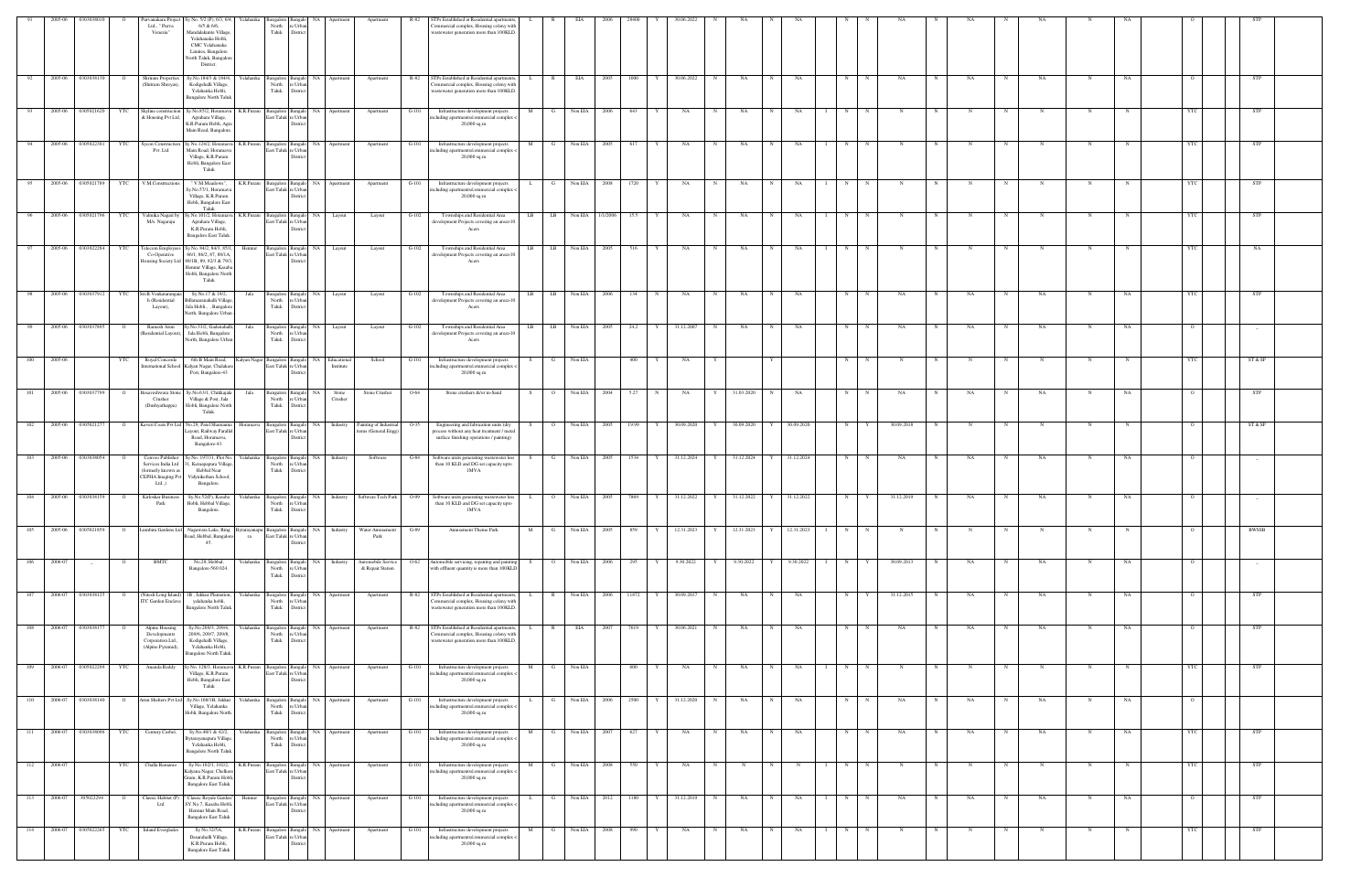|       | 2005-06            | 03030380           |                | Purvanakara Projec<br>Ltd., " Purva<br>Venezia"                                           | y No. 5/2 (P), 6/3, 6/4<br>r elahanka<br>$6/5$ & $6/6$ ,<br>Mandalakunte Village<br>Yelahanaka Hobli,<br>CMC Yelahanaka<br>Limites, Bangalore<br>North Taluk, Bangalore<br>District. | North<br>Taluk                                | e Urba<br>District                                           |                                                            | Apartmer                                       |         | Ps Established at Residential apartments<br>'ommercial complex, Housing colony with<br>vastewater generation more than 100KLD.   |              |                |                  |        |                     |   | 80.06.202  |   |            |             |            |                     |              |             |   |    |              |           |             |    |                |            |  |
|-------|--------------------|--------------------|----------------|-------------------------------------------------------------------------------------------|--------------------------------------------------------------------------------------------------------------------------------------------------------------------------------------|-----------------------------------------------|--------------------------------------------------------------|------------------------------------------------------------|------------------------------------------------|---------|----------------------------------------------------------------------------------------------------------------------------------|--------------|----------------|------------------|--------|---------------------|---|------------|---|------------|-------------|------------|---------------------|--------------|-------------|---|----|--------------|-----------|-------------|----|----------------|------------|--|
| - 92  | 2005-06            | 0303038130         |                | Shriram Properties<br>Shriram Shreyas),                                                   | Sy.No.184/3 & 184/4,<br>Yelahanka<br>Kodigehalli Village,<br>Yelahanka Hobli,<br>Bangalore North Talu                                                                                | North<br>Taluk                                | Bangalore Bangalo NA<br>e Urba<br>District                   | Apartment                                                  | Apartment                                      | R-82    | STPs Established at Residential apartments,<br>ommercial complex, Housing colony with<br>vastewater generation more than 100KLD  | - L -        | R.             | EIA              | -2005  | 1000                |   | 30.06.2022 | N | NA         |             | NA         | N                   |              | NA          |   | NA |              | NA        |             | NA |                | STP        |  |
| 93    |                    | 2005-06 0305021620 | YTC            | Skyline construction<br>& Housing Pvt Ltd                                                 | Sy.No.85/2, Horamavi<br>Agrahara Village,<br>K.R.Puram Hobli, Agra<br>Main Road, Bangalore                                                                                           | East Taluk re Urba                            | Distric                                                      | K.R.Puram Bangalore Bangalo NA Apartment                   | Apartment                                      | $G-101$ | Infrastructure development projects<br>ncluding apartments/commercial complex <<br>20,000 sq.m                                   | M            | $\mathbf{G}$   | Non EIA 2006     |        | 643                 |   | NA         | N | NA         | N           | NA         | N                   |              |             |   |    |              |           |             |    | YTC            | <b>STP</b> |  |
|       | 2005-06            | 0305022301         | YTC            | Sycon Construction<br>Pvt. Ltd                                                            | y No.124/2, Horamav<br>K.R.Puram<br>Main Road, Horamav<br>Village, K.R.Puram<br>Hobli, Bangalore East<br>Taluk                                                                       |                                               | NA 1<br>Bangalore Bangalo<br>East Taluk re Urban<br>District | Apartment                                                  | Apartment                                      | G-101   | Infrastructure development projects<br>cluding apartments/commercial complex <<br>$20,000$ sq.m                                  | M            | G              | Non EIA          | - 2005 | 617                 |   | NA         |   | NA         |             | NA         | N                   |              |             |   |    |              | N         | N           |    | YTC            | <b>STP</b> |  |
| 95    |                    | 2005-06 0305021789 | <b>YTC</b>     | V.M.Constructions                                                                         | K.R.Puram<br>" V.M.Meadows",<br>Sy.No.57/1, Horamavi<br>Village, K.R.Puram<br>Hobli, Bangalore East<br>Taluk                                                                         |                                               | Bangalore Bangalo NA<br>East Taluk re Urban<br>District      | Apartment                                                  | Apartment                                      | $G-101$ | Infrastructure development projects<br>ncluding apartments/commercial complex <<br>20,000 sq.m                                   | L.           | $\mathbf{G}$   | Non EIA 2008     |        | 1720                | Y | NA         | N | NA         | N           | NA         | N                   |              | N           |   |    | $\mathbf N$  | N         |             |    | YTC            | <b>STP</b> |  |
| 96    |                    | 2005-06 0305021796 | YTC            | Valmika Nagari by<br>M/s. Nagaraju                                                        | y.No.101/2, Horamavu<br>K.R.Puram<br>Agrahara Village,<br>K.R.Puram Hobli,<br><b>Bangalore East Taluk.</b>                                                                           |                                               | Bangalore Bangalo NA<br>last Taluk re Urba<br>District       | Layout                                                     | Layout                                         | $G-102$ | Townships and Residential Area<br>development Projects covering an area>10<br>Acers                                              | LB           | LB             | Non EIA 1/1/2006 |        | 15.5                |   | NA         | N | NA         |             | NA         | N                   |              |             |   |    |              |           |             |    |                | STP        |  |
| 97    |                    | 2005-06 0303022284 | YTC            | <b>Telecom Employees</b><br>Co-Operative                                                  | y No. 84/2, 84/3, 85/1<br>Hennur<br>86/1, 86/2, 87, 88/1A<br>Housing Society Ltd 88/1B, 89, 92/3 & 79/3<br>Hennur Village, Kasaba<br>Hobli, Bangalore North<br>Taluk                 | East Taluk re Urba                            | NA 1<br>Bangalore Bangalo<br>District                        | Layout                                                     | Layout                                         | $G-102$ | Townships and Residential Area<br>development Projects covering an area>10<br>Acers                                              | LB           | LB             | Non EIA 2005     |        | 516                 |   | NA         | N | NA         | N           | NA         | N                   | $\mathbb{N}$ |             |   |    | N            |           |             |    |                | NA         |  |
|       | 2005-06            | 0303037912         | YTC            | Sri.B.Venkataranga<br>h (Residential<br>Layout),                                          | Sy.No.17 & 19/2,<br>Jala<br>illamaranahalli Villag<br>Jala Hobli., , Bangalore<br>North, Bangalore Urban                                                                             | <b>Bangalore</b><br>North<br>Taluk            | NA<br>Bangal<br>re Urba<br>District                          | Layout                                                     | Layout                                         | $G-102$ | Townships and Residential Area<br>development Projects covering an area>10<br>Acers                                              | LB           | LB             | Non EIA          | 2006   | 134                 |   | NA         | N | NA         |             | NA         | N                   |              | NΑ          |   | NA |              | NA        |             | NA | YTC            | STP        |  |
|       | 2005-06            | 030303789          |                | Ramesh Arun<br>Residential Layout),                                                       | /.No.33/2, Gadenahal<br>Jala<br>Jala Hobli, Bangalore<br>Jorth, Bangalore Urbar                                                                                                      | North<br>Taluk                                | NA<br>Bangalore Bangal<br>e Urba<br>District                 | Layout                                                     | Layout                                         | $G-102$ | Townships and Residential Area<br>development Projects covering an area>10<br>Acers                                              | LB           | LB             | Non EIA          |        | 24.2                |   | 31.12.2007 |   | NA         |             | NA         |                     |              |             |   | NA |              | <b>NA</b> |             |    |                |            |  |
| 100   | 2005-06            |                    | YTC            | Royal Concorde                                                                            | 6th B Main Road,<br>nternational School Kalyan Nagar, Chalake<br>Post, Bangalore-43                                                                                                  | East Taluk re Urba                            | Distric                                                      | Kalyan Nagar Bangalore Bangalo NA Educational<br>Institute | School                                         | $G-101$ | Infrastructure development projects<br>ncluding apartments/commercial complex -<br>20,000 sq.m                                   |              | G              | Non EIA          |        | 400                 |   | NA         |   |            |             |            | N                   |              |             |   |    | N            |           | N           |    | - YTC          | ST & SP    |  |
| 101   | 2005-06            | 0303037799         |                | asaveshwara Ston<br>Crusher<br>(Dushyathappa)                                             | Sy.No.63/1, Chikkajala<br>Jala<br>Village & Post, Jala<br>Hobli, Bangalore North<br>Taluk.                                                                                           | North<br>Taluk                                | Bangalore Bangalo<br>NA<br>re Urban<br>District              | Stone<br>Crusher                                           | Stone Crusher                                  | $O-64$  | Stone crushers &/or m-Sand                                                                                                       | S.           | $\overline{O}$ | Non EIA 2004     |        | 5.27<br>$\mathbf N$ |   | NA         |   | 31.03.2020 |             | NA         | N                   |              | NA          |   | NA |              | NA        | N           | NA |                | STP        |  |
| 102   | 2005-06 0305021277 |                    | $\circ$        |                                                                                           | Kaveri Coats Pvt Ltd No.29, Patel Shamann<br>Horamavu<br>ayout, Railway Parallel<br>Road, Horamavu,<br>Bangalore-43.                                                                 |                                               | Bangalore Bangalo NA<br>East Taluk re Urban<br>Distric       | Industry                                                   | Painting of Industrial<br>items (General Engg) | $O-35$  | Engineering and fabrication units (dry<br>process without any heat treatment / metal<br>surface finishing operations / painting) |              | $\overline{O}$ | Non EIA 2005     |        | 19.99               | Y | 30.09.2020 | Y | 30.09.2020 | Y           | 30.09.2020 | N                   |              | 30.09.2018  |   | N  | N            | N         | $\mathbf N$ |    | $\circ$        | ST & SP    |  |
| 103   |                    | 2005-06 0303038054 |                | Cenveo Publishe<br>Services India Ltd<br>(formerly known as<br>CEPHA Imaging Pvt<br>Ltd., | y.No. 197/31, Plot No.<br>I, Kemapapura Village<br>Hebbal Near<br>Vidynikethan School,<br>Bangalore.                                                                                 | Yelahanka Bangalore Bangalo<br>North<br>Taluk | e Urba<br>District                                           | NA Industry                                                | Software                                       |         | Software units generating wastewater less<br>than 10 KLD and DG set capacity upto<br>1MVA                                        |              | $\mathbf{G}$   | Non EIA 2005     |        | 1534                |   | 31.12.2024 | Y | 31.12.2024 |             | 31.12.2024 | N                   |              | NA          |   | NA |              | NA        |             | NA |                |            |  |
| 104   | 2005-06 0303038159 |                    | - 0            | Kirloskar Busines<br>Park                                                                 | Sy.No.52(P), Kasaba<br>Hobli, Hebbal Village,<br>Bangalore.                                                                                                                          | Yelahanka Bangalore Bangalo<br>North          | NA<br>re Urban<br>Taluk District                             | Industry                                                   | Software Tech Park                             | $O-99$  | Software units generating wastewater less<br>than 10 KLD and DG set capacity upto<br>1MVA                                        |              | $\overline{O}$ | Non EIA 2005     |        | 7869                |   | 31.12.2022 | Y | 31.12.2022 | Y           | 31.12.2022 | N                   |              | 31.12.2019  |   | NA |              | NA        | N           | NA |                |            |  |
| 105   |                    | 2005-06 0305021859 | $\mathbf{o}$   |                                                                                           | umbini Gardens Ltd Nagawara Lake, Ring<br>Road, Hebbal, Bangalore<br>ra<br>45.                                                                                                       | East Taluk re Urban                           | ytarayanapu Bangalore Bangalo NA<br>District                 | Industry                                                   | Water Amusement<br>Park                        | $G-89$  | Amusement Theme Park                                                                                                             | M            | G              | Non EIA          | 2005   | 859                 | Y | 12.31.2023 | Y | 12.31.2023 |             | 12.31.2023 | N<br>$\blacksquare$ |              | $\mathbf N$ |   |    | N            | N         |             |    |                | BWSSB      |  |
| 106   | 2006-07            | $-$                |                | BMTC                                                                                      | No.28, Hebbal,<br>relahanka<br>Bangalore-560 024.                                                                                                                                    | Bangalore<br>North<br>Taluk                   | NA<br>sangak<br>e Urbar<br>District                          | Industry                                                   | Automobile Service<br>& Repair Station         | O-62    | Automobile servicing, repairing and painting<br>with effluent quantity is more than 100KLD                                       |              |                | Non EIA          | 2006   | 295                 |   | 9.30.2022  |   | 9.30.2022  |             | 9.30.2022  | N                   |              | 30.09.2013  |   | NA |              | NA        |             | NA |                | $-$        |  |
| 107   |                    | 2006-07 0303038125 | $\circ$        | (Nitesh Long Island)<br><b>ITC</b> Garden Enclave                                         | 1B, Jakkur Plantation<br>Yelahanka<br>yelahanka hobli,<br>Bangalore North Talul                                                                                                      | North<br>Taluk                                | e Urbar<br>District                                          | Bangalore Bangalo NA Apartment                             | Apartment                                      | R-82    | STPs Established at Residential apartments,<br>ommercial complex, Housing colony with<br>vastewater generation more than 100KLD. | $\mathbf{L}$ | R              | Non EIA 2006     |        | 11872               | Y | 30.09.2017 | N | NA         | $_{\rm N}$  | NA         | N                   | Y            | 31.12.2015  | N | NA | N            | NA        | $\mathbf N$ | NA | $\overline{O}$ | <b>STP</b> |  |
| 108   | 2006-07            | 0303038177         |                | Alpine Housing<br>Developments<br>Corporation Ltd.,<br>(Alpine Pyramid),                  | Sy.No.209/3, 209/4.<br>relahanka<br>209/6, 209/7, 209/8,<br>Kodigehalli Village,<br>Yelahanka Hobli,<br><b>Bangalore North Taluk</b>                                                 | North<br>Taluk                                | NA 1<br>Bangalore Bangalo<br>re Urban<br>District            | Apartment                                                  | Apartment                                      | R-82    | TPs Established at Residential apartments,<br>'ommercial complex, Housing colony with<br>vastewater generation more than 100KLD. | L.           | $\mathbb{R}$   | EIA              | 2007   | 7619                | Y | 30.06.2021 | N | NA         | $\mathbf N$ | NA         | N                   | $_{\rm N}$   | NA          |   | NA | $\mathbb{N}$ | NA        | N           | NA | $\overline{O}$ | <b>STP</b> |  |
| 109   |                    | 2006-07 0305022299 | YTC            | Ananda Reddy                                                                              | K.R.Puram<br>y No. 128/3, Horamay<br>Village, K.R.Puram<br>Hobli, Bangalore East<br>Taluk                                                                                            |                                               | Bangalore Bangalo NA<br>East Taluk re Urban<br>District      | Apartment                                                  | Apartment                                      | G-101   | Infrastructure development projects<br>ncluding apartments/commercial complex <<br>$20,000$ sq.m                                 | M            | G              | Non EIA          |        | 600                 |   | NA         | N | NA         | N           | NA         | N                   | N            | N           |   |    | N            | N         | N           |    | YTC.           | STP        |  |
| 110   |                    | 2006-07 0303038140 | $\overline{O}$ |                                                                                           | Arun Shelters Pvt Ltd Sy.No.108/1B, Jakkur<br>Yelahanka<br>Village, Yelahanka<br>Hobli, Bangalore North                                                                              | North<br>Taluk                                | e Urbar<br>District                                          | sangalore Bangalo NA Apartment                             | Apartment                                      | $G-101$ | Infrastructure development projects<br>cluding apartments/commercial complex -<br>$20,000$ sq.m                                  |              | $\mathbf{G}$   | Non EIA 2006     |        | 2500                | Y | 31.12.2020 | N | <b>NA</b>  | N           | NA         | N                   | $\mathbb N$  | NA          | N | NA | N            | NA        | N           | NA | $\circ$        |            |  |
| - 111 |                    | 2006-07 0303038096 | YTC            | Century Carbel,                                                                           | Sy.No.40/1 & 42/2,<br>Yelahanka<br>3ytarayanapura Villag<br>Yelahanka Hobli,<br><b>Bangalore North Taluk</b>                                                                         | North<br>Taluk                                | NA<br>Bangalore Bangalo<br>re Urbar<br>District              | Apartment                                                  | Apartment                                      | G-101   | Infrastructure development projects<br>ncluding apartments/commercial complex <<br>$20,000$ sq.m                                 | M            | G              | Non EIA          | - 2007 | 627                 |   | NA         | N | NA         | N           | NA         | N                   | N            | NA          |   | NA |              | NA        | N           | NA | YTC            | <b>STP</b> |  |
| 112   | 2006-07            |                    | YTC            | Challa Ramarao                                                                            | Sy No.102/1, 102/2,<br>K.R.Puram<br>Kalyana Nagar, Chelker<br>Gram, K.R.Puram Hobli,<br><b>Bangalore East Taluk</b>                                                                  |                                               | Bangalore Bangalo NA<br>East Taluk re Urban<br>District      | Apartment                                                  | Apartment                                      | G-101   | Infrastructure development projects<br>ncluding apartments/commercial complex <<br>$20,000$ sq.m                                 | M            | G              | Non EIA 2008     |        | 550                 |   | NA         | N |            |             | N          | N                   |              | N           | N |    | $\mathbf N$  | N         | N           |    | YTC            | <b>STP</b> |  |
| 113   | 2006-07            | 305022294          |                | Classic Habitat (P)<br>Ltd                                                                | Classic Royale Garder<br>Hennur<br>Y.No.7, Kasaba Hobl<br>Hennur Main Road,<br><b>Bangalore East Taluk</b>                                                                           | sangalore                                     | Bangalo NA<br>East Taluk re Urbar<br>District                | Apartment                                                  | Apartment                                      |         | Infrastructure development projects<br>ncluding apartments/commercial complex -<br>$20,000$ sq.m                                 |              |                | Non EIA          | - 2012 | 1180                |   | 31.12.2019 | N | NA         |             | NA         | N                   |              | NA          |   | NA |              | NA        |             | NA |                | STP        |  |
| 114   |                    | 2006-07 0305022265 | YTC            | Inland Everglades                                                                         | Sy No.32/5A,<br>K.R.Puram<br>Dasarahalli Village,<br>K.R.Puram Hobli,<br><b>Bangalore East Taluk</b>                                                                                 | East Taluk re Urba                            | Bangalore Bangalo NA<br>Distric                              | Apartment                                                  | Apartment                                      | $G-101$ | Infrastructure development projects<br>ncluding apartments/commercial complex <<br>20,000 sq.m                                   | M            | G              | Non EIA 2008     |        | 990                 |   | NA         | N | NA         | N           | NA         | N                   |              |             |   |    |              |           | N           |    | <b>YTC</b>     | <b>STP</b> |  |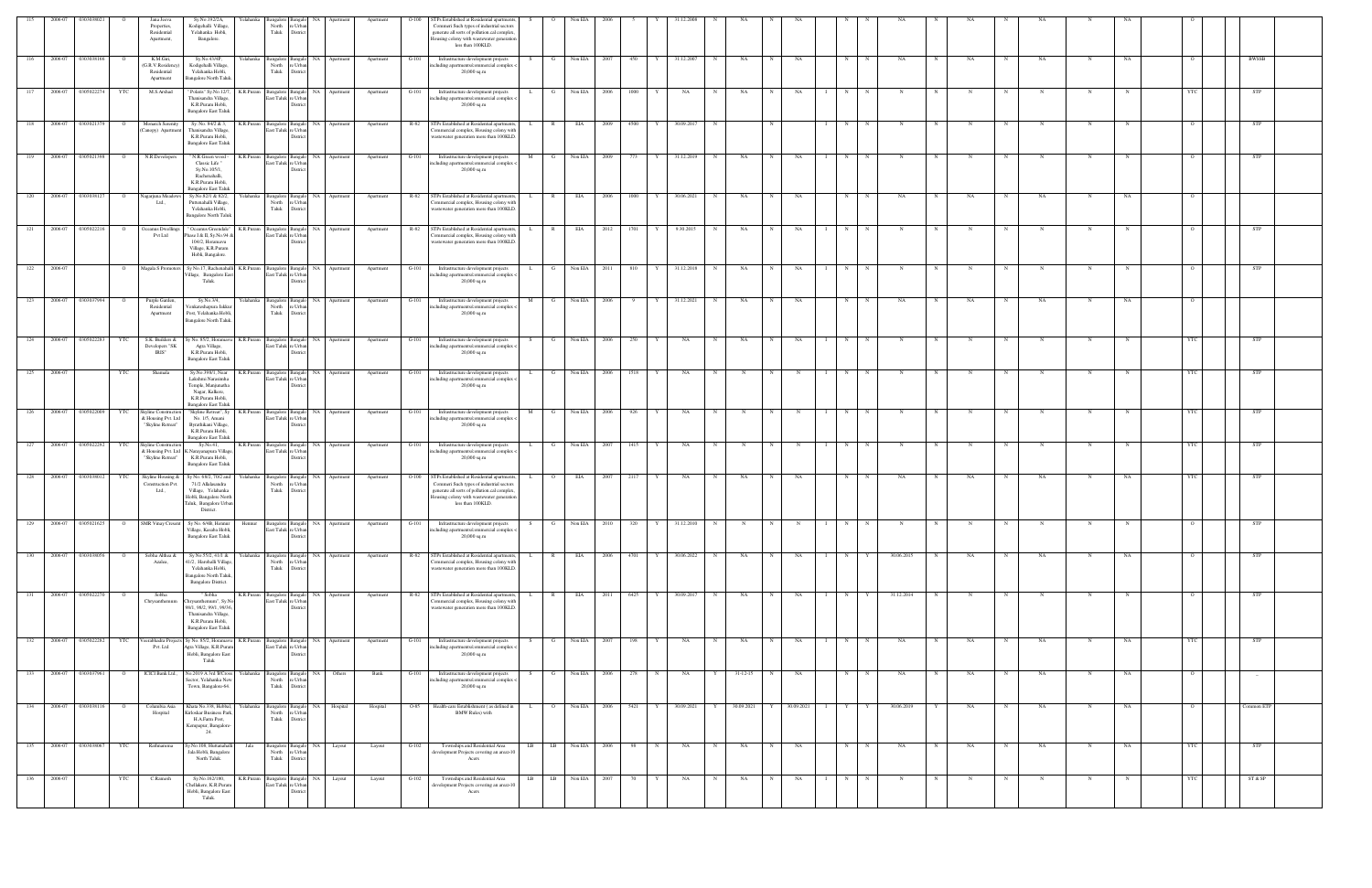| 115 | 2006-07                | 030303802          |                | Jana Jeeva<br>Properties,<br>Residential<br>Apartment,                 | relahanka<br>Sy.No.192/2A,<br>Kodigehalli Village,<br>Yelahanka Hobli,<br>Bangalore.                                                           | <b>Bangalore</b><br>North<br>Taluk                    | Bangalo<br>NA<br>e Urban<br>District                            | Apartment | Apartment | STPs Established at Residential apartments,<br>$O-100$<br>Commeri Such types of industrial sectors<br>generate all sorts of pollution.cal complex.<br>Iousing colony with wastewater generation<br>less than 100KLD. | S.           |                | Non EIA            |        |           |              |   |            |            |             |                   |             |            |   |                   |             |             |    |                |                                 |
|-----|------------------------|--------------------|----------------|------------------------------------------------------------------------|------------------------------------------------------------------------------------------------------------------------------------------------|-------------------------------------------------------|-----------------------------------------------------------------|-----------|-----------|----------------------------------------------------------------------------------------------------------------------------------------------------------------------------------------------------------------------|--------------|----------------|--------------------|--------|-----------|--------------|---|------------|------------|-------------|-------------------|-------------|------------|---|-------------------|-------------|-------------|----|----------------|---------------------------------|
|     | 116 2006-07 0303038166 |                    | $\mathbf{o}$   | K.M.Giri,<br>G.R.V.Residency<br>Residential<br>Apartment               | Sy.No.43/4P,<br>Kodigehalli Village,<br>Yelahanka Hobli,<br>Bangalore North Taluk                                                              | North<br>Taluk                                        | Yelahanka Bangalore Bangalo NA Apartment<br>e Urba<br>District  |           | Apartment | $G-101$<br>Infrastructure development projects<br>rcluding apartments/commercial complex -<br>$20,000$ sq.m                                                                                                          |              | $\mathbf{G}$   | Non EIA 2007       |        | 450<br>Y  | 31.12.2007   | N | NA         | N          | NA          | N                 | N           | NA         | N | NA<br>$\mathbf N$ | NA          | $\mathbf N$ | NA |                | BWSSB                           |
| 117 | 2006-07                | 0305022274         | YTC            | M.S.Arshad                                                             | ' Polaris" Sy.No.12/7,<br>Thanisandra Village,<br>K.R.Puram Hobli,<br><b>Bangalore East Taluk</b>                                              | K.R.Puram Bangalore Bangalo NA<br>East Taluk re Urban | District                                                        | Apartment | Apartment | $G-101$<br>Infrastructure development projects<br>ncluding apartments/commercial complex <<br>$20,000$ sq.m                                                                                                          |              | G              | Non EIA            | 2006   | 1000      | NA           | N | NA         | - N        | NA          | N                 |             |            |   |                   | N           | N           |    |                | <b>STP</b>                      |
| 118 | 2006-07                | 0303021379         |                | Monarch Serenity<br>Canopy) Apartment                                  | Sy. No. 84/2 & 3,<br>Thanisandra Village,<br>K.R.Puram Hobli,<br><b>Bangalore East Taluk</b>                                                   | K.R.Puram Bangalore Bangalo NA<br>East Taluk re Urban | District                                                        | Apartment | Apartment | STPs Established at Residential apartments,<br>R-82<br>'ommercial complex, Housing colony with<br>vastewater generation more than 100KLD.                                                                            |              | $\mathbb{R}$   | EIA                | 2009   | 4500      | 30.09.2017   | N |            |            |             | N                 |             |            |   |                   | N           |             |    |                | STP                             |
| 119 | 2006-07                | 0305021398         |                | N.R.Developers                                                         | K.R.Puram<br>' N.R.Green wood<br>Classic Life"<br>Sy.No.105/1,<br>Rachenahalli,<br>K.R.Puram Hobli,<br><b>Bangalore East Taluk</b>             | Bangalore Bangalo NA<br>East Taluk re Urbar           | <b>Distric</b>                                                  | Apartment | Apartment | $G-101$<br>Infrastructure development projects<br>ncluding apartments/commercial complex <<br>$20,000$ sq.m                                                                                                          | M            | - G            | Non EIA            | 2009   | 773       | 31.12.2019   | N | NA         | N          | NA          | N                 |             | N          |   |                   | N           | N           |    |                | <b>STP</b>                      |
|     | 120 2006-07 0303038127 |                    | $\overline{O}$ | Nagarjuna Meadov<br>Ltd.,                                              | Sy.No.82/1 & 82/2,<br>Puttenahalli Village,<br>Yelahanka Hobli,<br><b>Bangalore North Taluk</b>                                                | North<br>Taluk                                        | Yelahanka Bangalore Bangalo NA Apartment<br>e Urbar<br>District |           | Apartment | R-82<br>STPs Established at Residential apartments,<br>'ommercial complex, Housing colony with<br>wastewater generation more than 100KLD.                                                                            | L.           | R              | EIA                | 2006   | 1000<br>Y | 30.06.2021   | N | NA         | N          | NA          | N                 | $\mathbf N$ | NA         |   | NA<br>N           | NA          | N           | NA |                |                                 |
| 121 |                        | 2006-07 0305022216 |                | Oceanus Dwelling<br>Pvt Ltd                                            | <sup>'</sup> Oceanus Greendale'<br>K.R.Puram<br>Phase I & II, Sy.No.94 &<br>104/2, Horamavu<br>Village, K.R.Puram<br>Hobli, Bangalore.         | Bangalore Bangalo NA<br>East Taluk re Urban           | District                                                        | Apartment | Apartment | R-82<br>STPs Established at Residential apartments,<br>Commercial complex, Housing colony with<br>wastewater generation more than 100KLD.                                                                            |              | $\mathbb{R}$   | EIA                | 2012   | 1701      | 9.30.2015    | N | NA         |            | NA          | N                 |             |            |   |                   |             |             |    |                | <b>STP</b>                      |
| 122 | 2006-07                |                    | $\overline{O}$ | Magala S Promoters                                                     | Sy No.17, Rachenahalli<br>/illage, Bangalore Eas<br>Taluk.                                                                                     | East Taluk re Urban                                   | K.R.Puram Bangalore Bangalo NA Apartment<br>Distric             |           | Apartment | $G-101$<br>Infrastructure development projects<br>ncluding apartments/commercial complex <<br>$20,000$ sq.m                                                                                                          | L.           | G              | Non EIA 2011       |        | 810       | Y 31.12.2018 | N | NA         | N          | NA          | N<br>$\mathbf{I}$ | N           | N          | N | N<br>N            | $_{\rm N}$  | N           |    | $\overline{O}$ | <b>STP</b>                      |
|     | 123 2006-07 0303037994 |                    | $\overline{O}$ | Purple Garden,<br>Residential<br>Apartment                             | Sy.No.3/4,<br>Venkateshapura Jakku<br>Post, Yelahanka Hobli<br>Bangalore North Taluk.                                                          | North<br>Taluk                                        | Yelahanka Bangalore Bangalo NA Apartment<br>e Urbar<br>District |           | Apartment | $G-101$<br>Infrastructure development projects<br>ncluding apartments/commercial complex <<br>$20,000$ sq.m                                                                                                          |              |                | M G Non EIA 2006   |        | 9<br>Y    | 31.12.2021   | N | NA         | N          | NA          | N                 | N           | NA         | N | NA<br>N           | <b>NA</b>   | $\mathbf N$ | NA |                |                                 |
| 124 | 2006-07                | 0305022283         | YTC            | S.K. Builders &<br>Developers "SK<br>IRIS"                             | y No. 85/2, Horama<br>Agra Village,<br>K.R.Puram Hobli,<br><b>Bangalore East Taluk</b>                                                         | K.R.Puram Bangalore Bangalo<br>East Taluk re Urban    | NA<br>District                                                  | Apartment | Apartment | Infrastructure development projects<br>$G-101$<br>ncluding apartments/commercial complex <<br>$20,000$ sq.m                                                                                                          |              |                | Non EIA            | 2006   | 250       | NA           |   | NA         |            | NA          | N                 |             |            |   |                   |             |             |    |                | <b>STP</b>                      |
| 125 | 2006-07                |                    | YTC            | Shamala                                                                | Sy.No.398/1, Near<br>Lakshmi Narasimha<br>Temple, Manjunatha<br>Nagar, Kalkere,<br>K.R.Puram Hobli,<br><b>Bangalore East Taluk</b>             | K.R.Puram Bangalore Bangalo NA<br>East Taluk re Urban | District                                                        | Apartment | Apartment | G-101<br>Infrastructure development projects<br>ncluding apartments/commercial complex <<br>$20,000$ sq.m                                                                                                            | L.           | $\mathbf{G}$   | Non EIA            | 2006   | 1518<br>Y | NA           | N | N          | N          | $\mathbf N$ | N                 | $\mathbf N$ | N          | N | $_{\rm N}$<br>N   | $\mathbf N$ | N           |    | YTC            | STP                             |
| 126 | 2006-07 0305022009     |                    | YTC            | Skyline Construction<br>k Housing Pvt. Ltd<br>"Skyline Retreat"        | "Skyline Retreat", Sy<br>No. 1/5, Amani<br>Byrathikani Village,<br>K.R.Puram Hobli,<br><b>Bangalore East Taluk</b>                             | K.R.Puram Bangalore Bangalo NA<br>East Taluk re Urba  | <b>District</b>                                                 | Apartment | Apartment | Infrastructure development projects<br>$G-101$<br>rcluding apartments/commercial complex -<br>20,000 sq.m                                                                                                            | M            | G              | Non EIA            | 2006   | 926       | NA           | N |            |            |             | N                 |             |            |   |                   |             |             |    |                | STP                             |
| 127 |                        | 2006-07 0305022292 | YTC            | <b>Skyline Construction</b><br>& Housing Pvt. Ltd<br>"Skyline Retreat" | Sy.No.41,<br>K.Narayanapura Village<br>K.R.Puram Hobli,<br><b>Bangalore East Taluk</b>                                                         | K.R.Puram Bangalore Bangalo NA<br>East Taluk re Urban | District                                                        | Apartment | Apartment | Infrastructure development projects<br>G-101<br>ncluding apartments/commercial complex <<br>$20,000$ sq.m                                                                                                            |              | G              | Non EIA            | - 2007 | 1415      | NA           |   |            |            |             |                   |             |            |   |                   |             |             |    |                | <b>STP</b>                      |
| 128 |                        | 2006-07 0303038012 | YTC            | Skyline Housing &<br>Construction Pvt.<br>Ltd.                         | Sy No. 68/2, 70/2 and<br>Yelahanka<br>71/2 Allalasandra<br>Village, Yelahanka<br>Hobli, Bangalore North<br>Faluk, Bangalore Urban<br>District. | North<br>Taluk                                        | Bangalore Bangalo NA Apartment<br>re Urban<br>District          |           | Apartment | $O-100$<br>STPs Established at Residential apartments,<br>Commeri Such types of industrial sectors<br>generate all sorts of pollution.cal complex,<br>Iousing colony with wastewater generation<br>less than 100KLD. | $\mathbf{L}$ | $\overline{O}$ | EIA                | 2007   | 2117<br>Y | NA           | N | <b>NA</b>  | N          | NA          | N                 | N           | NA         | N | NA<br>$\mathbf N$ | NA          | $\mathbf N$ | NA | YTC            | STP                             |
| 129 |                        | 2006-07 0305021625 | $\overline{O}$ | <b>SMR Vinay Cresent</b>                                               | Sy No. 6/4B, Hennur<br>Hennur<br>Village, Kasaba Hobli,<br><b>Bangalore East Taluk</b>                                                         | East Taluk re Urban                                   | Bangalore Bangalo NA Apartment<br>District                      |           | Apartment | $G-101$<br>Infrastructure development projects<br>ncluding apartments/commercial complex <<br>20,000 sq.m                                                                                                            | S.           | G              | Non EIA            | 2010   | 320<br>Y  | 31.12.2010   | N |            |            |             | N                 |             |            |   |                   |             |             |    |                |                                 |
|     | 130 2006-07 0303038056 |                    | $\overline{O}$ | Sobha Althea &<br>Azalea,                                              | Sy No.55/2, 41/1 &<br>41/2, Harohalli Village<br>Yelahanka Hobli,<br><b>Bangalore North Taluk</b><br>Bangalore District.                       | North<br>Taluk                                        | Yelahanka Bangalore Bangalo NA Apartment<br>e Urban<br>District |           | Apartment | R-82 STPs Established at Residential apartments,<br>Commercial complex, Housing colony with<br>wastewater generation more than 100KLD.                                                                               | L.           | R              | EIA                |        | 2006 4701 | Y 30.06.2022 | N | NA         | N          | NA          | N<br>$\mathbf{I}$ | Y           | 30.06.2015 | N | NA<br>$\mathbf N$ | NA          | N           | NA |                | <b>STP</b>                      |
| 131 |                        | 2006-07 0305022270 |                | Sobha<br>Chrysanthemum                                                 | Sobha<br>Chrysanthemum", Sy.N<br>98/1, 98/2, 99/1, 99/36,<br>Thanisandra Village,<br>K.R.Puram Hobli,<br><b>Bangalore East Taluk</b>           | K.R.Puram Bangalore<br>East Taluk re Urban            | NA 1<br>Bangalo<br>District                                     | Apartment | Apartment | TPs Established at Residential apartments,<br>R-82<br>Commercial complex, Housing colony with<br>vastewater generation more than 100KLD.                                                                             |              | $\mathbb{R}$   | EIA                | 2011   | 6425      | 30.09.2017   | N | NA         | $_{\rm N}$ | NA          | N                 |             | 31.12.2014 |   |                   |             |             |    |                | STP                             |
| 132 | 2006-07                | 0305022282         | YTC            | Pvt. Ltd                                                               | eerabhadra Projects Sy No. 85/2, Horamavu<br>Agra Village, K.R.Puran<br>Hobli, Bangalore East<br>Taluk                                         | K.R.Puram Bangalore Bangalo NA<br>East Taluk re Urban | District                                                        | Apartment | Apartment | G-101<br>Infrastructure development projects<br>ncluding apartments/commercial complex <<br>20,000 sq.m                                                                                                              |              | G              | Non EIA            | 2007   | 198<br>Y  | NA           | N | NA         | N          | NA          | N                 | N           | NA         | N | NA<br>N           | NA          | N           | NA | YTC            | STP                             |
|     | 133 2006-07 0303037961 |                    |                | ICICI Bank Ltd.,                                                       | No.2019 A 3rd B'Cross<br>Sector, Yelahanka Nev<br>Town, Bangalore-64.                                                                          | Yelahanka Bangalore Bangalo NA<br>North<br>Taluk      | e Urban<br>District                                             | Others    | Bank      | G-101<br>Infrastructure development projects<br>ncluding apartments/commercial complex <<br>20,000 sq.m                                                                                                              |              |                | Non EIA 2006       |        | 278       | NA           |   | Y 31-12-15 | N          | NA          | N                 | N           | NA         |   | NA<br>N           | NA          | N           | NA |                | $\hspace{0.1mm}-\hspace{0.1mm}$ |
| 134 |                        | 2006-07 0303038116 |                | Columbia Asia<br>Hospital                                              | Khata No.338, Hebbal<br>relahanka<br>Kirloskar Business Parl<br>H.A.Farm Post,<br>Kempapur, Bangalore-<br>24.                                  | <b>Bangalore</b><br>North<br>Taluk                    | NA<br>Bangalo<br>re Urban<br>District                           | Hospital  | Hospital  | O-85<br>Health-care Establishment (as defined in<br><b>BMW Rules</b> ) with                                                                                                                                          |              | $\overline{O}$ | Non EIA            | 2006   | 5421<br>Y | 30.09.2021   | Y | 30.09.2021 | Y          | 30.09.2021  | Y                 |             | 30.06.2019 |   | NA                | NA          | N           | NA |                | Common ETP                      |
| 135 |                        | 2006-07 0303038067 | YTC            | Rathnamma                                                              | y.No.108, Huttanahal<br>Jala<br>Jala Hobli, Bangalore<br>North Taluk.                                                                          | North<br>Taluk                                        | Bangalore Bangalo NA Layout<br>re Urban<br>District             |           | Layout    | $G-102$<br>Townships and Residential Area<br>development Projects covering an area>10<br>Acers                                                                                                                       |              | $LB$ $LB$      | Non EIA 2006       |        | 98<br>N   | NA           | N | NA         | N          | NA          | N                 | N           | NA         | N | NA<br>N           | NA          | N           | NA | YTC            | <b>STP</b>                      |
|     | 136 2006-07            |                    | YTC            | C.Ramesh                                                               | Sy.No.162/180,<br>K.R.Puram<br>Chellakere, K.R.Puran<br>Hobli, Bangalore East<br>Taluk.                                                        | East Taluk re Urban                                   | Bangalore Bangalo NA Layout<br>District                         |           | Layout    | $G-102$<br>Townships and Residential Area<br>development Projects covering an area>10<br>Acers                                                                                                                       |              |                | LB LB Non EIA 2007 |        | 70<br>Y   | NA           | N | NA         | N          | NA          | N                 | N           | N          | N | N                 | N           | N           |    | <b>YTC</b>     | ST & SP                         |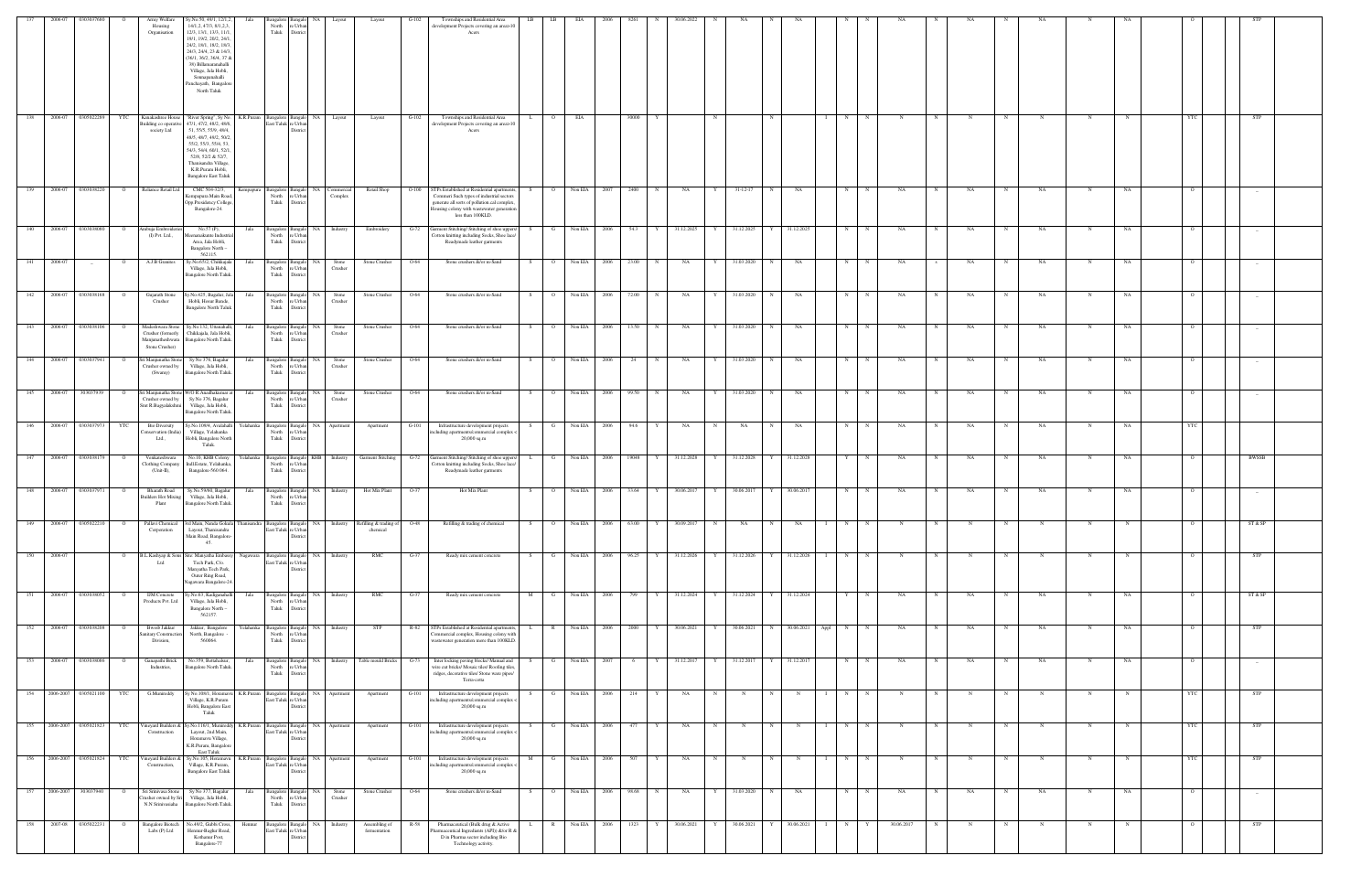| 137 |                          | 2006-07 0303037680   |                | Army Welfare<br>Housing<br>Organisation                        | šy.No.50, 49/1, 12/1,2,<br>14/1,2, 47/3, 8/1,2,3,<br>12/3, 13/1, 13/3, 11/1.<br>19/1, 19/2, 20/2, 24/1.<br>24/2, 18/1, 18/2, 18/3.<br>24/3, 24/4, 23 & 14/3<br>36/1, 36/2, 36/4, 37 8<br>$38)$ Billamaranahalli<br>Village, Jala Hobli,<br>Sonnapanahalli<br>Panchayath, Bangalor<br>North Taluk | North<br>Taluk              | e Urbs<br>District                                      |                                |                                    |         | Townships and Residential Area<br>levelopment Projects covering an area>10<br>Acers                                                                                                                       |     | LB             |              |                       |       |   |              |   |                         |             |            |                                                 |              |              |   |    |             |     |             |    |                |            |  |
|-----|--------------------------|----------------------|----------------|----------------------------------------------------------------|--------------------------------------------------------------------------------------------------------------------------------------------------------------------------------------------------------------------------------------------------------------------------------------------------|-----------------------------|---------------------------------------------------------|--------------------------------|------------------------------------|---------|-----------------------------------------------------------------------------------------------------------------------------------------------------------------------------------------------------------|-----|----------------|--------------|-----------------------|-------|---|--------------|---|-------------------------|-------------|------------|-------------------------------------------------|--------------|--------------|---|----|-------------|-----|-------------|----|----------------|------------|--|
| 138 | 2006-07                  | 0305022289           | YTC            | Kanakashree House<br>ailding co operative<br>society Ltd       | "River Spring", Sy No.<br>K.R.Puram<br>47/1, 47/2, 48/2, 48/6.<br>51, 55/5, 55/9, 48/4,<br>48/5, 48/7, 49/2, 50/2<br>55/2, 55/3, 55/4, 53,<br>54/3, 54/4, 60/1, 52/1<br>52/8, 52/2 & 52/7,<br>Thanisandra Village,<br>K.R.Puram Hobli,<br><b>Bangalore East Taluk</b>                            |                             | Bangalore Bangalo NA<br>East Taluk re Urbar<br>Distri   | Layout                         | Layout                             | $G-102$ | Townships and Residential Area<br>development Projects covering an area>10<br>Acers                                                                                                                       | L.  | $\overline{O}$ | EIA          |                       | 30000 |   |              | N |                         | N           |            | N                                               | N            | $_{\rm N}$   |   |    |             | N   | N           |    |                | STP        |  |
| 139 |                          | 2006-07 0303038220   |                | Reliance Retail Ltd                                            | CMC 504-32/3,<br>empapura<br>Cempapura Main Road<br>Opp.Presidency College<br>Bangalore-24.                                                                                                                                                                                                      | Bangalore Bangal<br>Taluk   | NA<br>North re Urban<br>District                        | Commerc<br>Complex             | Retail Shop                        | $O-100$ | STPs Established at Residential apartments,<br>Commeri Such types of industrial sectors<br>generate all sorts of pollution.cal complex.<br>Iousing colony with wastewater generation<br>less than 100KLD. |     | $\overline{O}$ | Non EIA 2007 |                       | 2400  |   | NA           |   | $31 - 12 - 17$          |             | NA         | N                                               |              | NA           |   | NA |             | NA  |             | NA |                |            |  |
| 140 | 2006-07                  | 0303038080           |                | mbuja Embroider<br>(I) Pvt. Ltd.,                              | No.57 (P),<br>Jala<br>eenanakunte Industr<br>Area, Jala Hobli,<br>Bangalore North -<br>562115.                                                                                                                                                                                                   | Bangalore<br>North<br>Taluk | NA<br>Bangal<br>e Urba<br>District                      | Industry                       | Embroidery                         | G-72    | Jarment Stitching/ Stitching of shoe uppers/<br>Cotton knitting including Socks, Shoe lace/<br>Readymade leather garments                                                                                 |     | G              | Non EIA      | 2006                  | 54.3  |   | 31.12.2025   | Y | 31.12.2025              |             | 31.12.2025 | N                                               |              | NA           |   | NA |             | NA  |             | NA |                |            |  |
| 141 | 2006-07                  |                      |                | A.J.B Granites                                                 | Sy.No.65/2, Chikkajala<br>Jala<br>Village, Jala Hobli,<br><b>Bangalore North Taluk</b>                                                                                                                                                                                                           | North<br>Taluk              | Bangalore Bangalo NA<br>e Urba<br>District              | Stone<br>Crusher               | Stone Crusher                      | O-64    | Stone crushers &/or m-Sand                                                                                                                                                                                | - S |                | Non EIA      | 2006                  | 23.00 |   | NA           |   | 31.03.2020              |             | NA         | N                                               |              | NA           |   | NA |             | NA  |             | NA |                |            |  |
| 142 | 2006-07                  | 0303038168           |                | Gujarath Stone<br>Crusher                                      | y.No.425, Bagalur, Ja<br>Jala<br>Hobli, Hosur Bande,<br><b>Bangalore North Taluk</b>                                                                                                                                                                                                             | North<br>Taluk              | <b>NA</b><br>Bangalore Bangalo<br>re Urbar<br>District  | Stone<br>Crusher               | Stone Crusher                      | $O-64$  | Stone crushers &/or m-Sand                                                                                                                                                                                | - S | $\overline{O}$ | Non EIA 2006 |                       | 72.00 |   | NA           |   | 31.03.2020              |             | NA         | N                                               |              | NA           |   | NA | N           | NA  | N           | NA |                | $\sim$     |  |
| 143 |                          | 2006-07 0303038106   | $\overline{O}$ | Madeshwara Stone<br>Crusher (formerly<br>Stone Crusher)        | Sy.No.132, Uttanahalli<br>Jala<br>Chikkajala, Jala Hobli,<br>Manjunatheshwara Bangalore North Taluk.                                                                                                                                                                                             | Taluk                       | Bangalore Bangalo NA<br>North re Urban<br>District      | Stone<br>Crusher               | Stone Crusher                      | $O-64$  | Stone crushers &/or m-Sand                                                                                                                                                                                | S   | $\overline{O}$ | Non EIA 2006 |                       | 13.50 | N | NA           | Y | 31.03.2020              | N           | NA         | N                                               | $_{\rm N}$   | NA           | N | NA | N           | NA. | N           | NA | $\circ$        |            |  |
| 144 | 2006-07                  | 0303037941           | $\circ$        | ri Manjunatha Stor<br>Crusher owned by<br>(Swamy)              | Sy No 376, Bagalur<br>Jala<br>Village, Jala Hobli,<br>Bangalore North Taluk.                                                                                                                                                                                                                     | North<br>Taluk              | Bangalore Bangalo NA<br>e Urban<br>District             | Stone<br>Crusher               | Stone Crusher                      | $O-64$  | Stone crushers &/or m-Sand                                                                                                                                                                                | S – | $\overline{O}$ | Non EIA      | 2006                  | 24    | N | NA           | Y | 31.03.2020              | N           | NA         | N                                               | N            | NA           | N | NA | N           | NA  | N           | NA | $\circ$        | $\sim$     |  |
|     | 145 2006-07 303037939    |                      | $\overline{O}$ | Sri Manjunatha Stone<br>Crusher owned by<br>Smt R.Bagyalakshmi | W/O R.Anadhakumar a<br>Jala<br>Sy No 376, Bagalur<br>Village, Jala Hobli,<br><b>Bangalore North Taluk</b>                                                                                                                                                                                        | North<br>Taluk              | Bangalore Bangalo NA<br>re Urbar<br>District            | Stone<br>Crusher               | Stone Crusher                      | $O-64$  | Stone crushers &/or m-Sand                                                                                                                                                                                | S – | $\overline{O}$ | Non EIA 2006 |                       | 99.50 | N | NA           | Y | 31.03.2020 N            |             | NA         | N                                               | N            | NA           | N | NA | N           | NA  | N           | NA |                |            |  |
| 146 | 2006-07                  | 0303037973           | YTC            | <b>Bio Diversity</b><br>onservation (India<br>Ltd.,            | y.No.109/4, Avalahalli<br>Yelahanka<br>Village, Yelahanka<br>Hobli, Bangalore North<br>Taluk.                                                                                                                                                                                                    | Taluk                       | Bangalore Bangalo<br>NA<br>North re Urban<br>District   | Apartment                      | Apartment                          | $G-101$ | Infrastructure development projects<br>ncluding apartments/commercial complex <<br>$20,000$ sq.m                                                                                                          | - S | $\mathbf G$    | Non EIA 2006 |                       | 94.6  |   | NA           | N | NA                      | N           | NA         | N                                               |              | NA           |   | NA | $_{\rm N}$  | NA  | N           | NA | YTC            |            |  |
| 147 |                          | 2006-07  0303038179  |                | Venkateshwara<br>Clothing Company<br>(Unit-II),                | No.10, KHB Colony<br>indl.Estate, Yelahanka<br>Bangalore-560 064.                                                                                                                                                                                                                                | North<br>Taluk              | Yelahanka Bangalore Bangalo KHB<br>e Urbar<br>District  |                                | Industry Garment Stitching         | $G-72$  | Garment Stitching/ Stitching of shoe uppers/<br>Cotton knitting including Socks, Shoe lace/<br>Readymade leather garments                                                                                 | L.  | G              | Non EIA 2006 |                       | 19048 | Y | 31.12.2028   | Y | 31.12.2028              |             | 31.12.2028 | Y                                               | N            | NA           | N | NA | N           | NA  | N           | NA | $\overline{O}$ | BWSSB      |  |
| 148 | 2006-07                  | 0303037971           |                | <b>Bharath Road</b><br>uilders Hot Mixing<br>Plant             | Sy.No.59/60, Bagalur<br>Jala<br>Village, Jala Hobli,<br>Bangalore North Taluk.                                                                                                                                                                                                                   | North<br>Taluk              | NA 1<br>Bangalore Bangalo<br>e Urba<br>District         | Industry                       | Hot Mix Plant                      | $O-37$  | Hot Mix Plant                                                                                                                                                                                             | S.  | $\overline{O}$ | Non EIA      | 2006                  | 33.64 |   | 30.06.2017   | Y | 30.06.2017              |             | 30.06.2017 | N                                               |              | NA           |   | NA | N           | NA  | N           | NA |                | $-$        |  |
| 149 |                          | 2006-07 0305022210   | $\overline{O}$ | Pallavi Chemical<br>Corporation                                | 3rd Main, Nanda Gokula T<br>Thanisandra<br>Layout, Thanisandra<br>Main Road, Bangalore-<br>45.                                                                                                                                                                                                   |                             | East Taluk re Urbar<br>District                         | Bangalore Bangalo NA Industry  | Refilling & trading of<br>chemical | O-48    | Refilling & trading of chemical                                                                                                                                                                           | S.  | $\overline{O}$ | Non EIA      | 2006                  | 63.00 | Y | 30.09.2017   | N | NA                      |             | NA         |                                                 |              |              |   |    |             |     |             |    |                | ST & SP    |  |
| 150 | 2006-07                  |                      |                | 3.L.Kashyap & Sor<br>Ltd                                       | ite: Manyatha Emb<br>Nagawara<br>Tech Park, C/o.<br>Manyatha Tech Park,<br>Outer Ring Road,<br>lagawara Bangalore-24                                                                                                                                                                             |                             | East Taluk re Urban<br>District                         | Bangalore Bangalo NA Industry  | RMC                                | $G-37$  | Ready mix cement concrete                                                                                                                                                                                 |     | G              | Non EIA 2006 |                       | 96.25 |   | 31.12.2026   |   | 31.12.2026              |             | 31.12.2026 | N                                               |              |              |   |    |             |     |             |    |                |            |  |
| 151 |                          | 2006-07 0303038052   | $\circ$        | <b>IJM</b> Concrete<br>Products Pvt. Ltd                       | y.No.63, Kadiganahall<br>Jala<br>Village, Jala Hobli,<br>Bangalore North -<br>562157.                                                                                                                                                                                                            | North<br>Taluk              | re Urban<br>District                                    | Bangalore Bangalo NA Industry  | RMC                                | $G-37$  | Ready mix cement concrete                                                                                                                                                                                 | M   | $\mathbf{G}$   | Non EIA 2006 |                       | 799   |   | Y 31.12.2024 | Y | 31.12.2024 Y 31.12.2024 |             |            | Y                                               | N            | NA           | N | NA | N           | NA  | N           | NA | $\overline{O}$ | ST & SP    |  |
|     | 152 2006-07 0303038208   |                      | $\mathbf{o}$   | Bwssb Jakkur<br>unitary Construction<br>Division,              | Jakkur, Bangalore<br>Yelahanka<br>North, Bangalore<br>560064.                                                                                                                                                                                                                                    | North<br>Taluk              | re Urbar<br>District                                    | Bangalore Bangalo NA Industry  | STP                                |         | R-82 STPs Established at Residential apartments,<br>Commercial complex, Housing colony with<br>wastewater generation more than 100KLD.                                                                    |     |                |              | L R Non EIA 2006 2000 |       |   |              |   |                         |             |            | Y 30.06.2021 Y 30.06.2021 N 30.06.2021 Appl N N |              | NA           | N | NA | N           | NA  | $\mathbf N$ | NA | $\Omega$       | <b>STP</b> |  |
| 153 | 2006-07                  | 0303038086           |                | Ganapathi Brick<br>Industries,                                 | No.359, Bettahalsur,<br>Jala<br><b>Bangalore North Taluk</b>                                                                                                                                                                                                                                     | Taluk                       | NA<br>Bangalore Bangalo<br>North re Urban<br>District   | Industry                       | Table mould Bricks                 | $G-73$  | Inter locking paving blocks/ Manual and<br>wire cut bricks/ Mosaic tiles/ Roofing tiles,<br>ridges, decorative tiles/ Stone ware pipes/<br>Terra-cotta                                                    |     | G              | Non EIA      | 2007                  |       |   | 31.12.2017   | Y | 31.12.2017              |             | 31.12.2017 | N                                               |              | NA           |   | NA |             | NA  | N           | NA |                | $-$        |  |
| 154 |                          | 2006-2007 0305021100 | YTC            | G.Munireddy                                                    | y No.108/1, Horamavi<br>K.R.Puram<br>Village, K.R.Puram<br>Hobli, Bangalore East<br>Taluk                                                                                                                                                                                                        |                             | Bangalore Bangalo NA<br>East Taluk re Urban<br>District | Apartment                      | Apartment                          | G-101   | Infrastructure development projects<br>ncluding apartments/commercial complex <<br>$20,000$ sq.m                                                                                                          |     |                | Non EIA      | 2006                  | 214   |   | NA           | N |                         |             |            | N                                               |              |              |   |    |             |     |             |    |                | <b>STP</b> |  |
| 155 |                          | 2006-2007 0305021823 | YTC            | Construction                                                   | K.R.Puram<br>ineyard Builders & Sy.No.116/1, Muniredd<br>Layout, 2nd Main,<br>Horamavu Village,<br>K.R.Puram, Bangalore<br>East Taluk                                                                                                                                                            | East Taluk re Urba          | Bangalore Bangalo NA<br>District                        | Apartment                      | Apartment                          | $G-101$ | Infrastructure development projects<br>cluding apartments/commercial complex <<br>20,000 sq.m                                                                                                             |     |                | Non EIA 2006 |                       | 477   |   | NA           | N |                         |             | N          | N                                               |              | $\mathbb{N}$ |   |    |             |     | N           |    |                | <b>STP</b> |  |
|     | 156 2006-2007 0305021824 |                      | YTC            | Vineyard Builders &<br>Construction,                           | Sy.No.105, Horamavu<br>K.R.Puram<br>Village, K.R.Puram,<br><b>Bangalore East Taluk</b>                                                                                                                                                                                                           |                             | East Taluk re Urban<br>District                         | Bangalore Bangalo NA Apartment | Apartment                          | G-101   | Infrastructure development projects<br>cluding apartments/commercial complex <<br>$20,000$ sq.m                                                                                                           | M   | $\mathbf G$    | Non EIA 2006 |                       | 507   |   | NA           | N |                         |             | N          | N                                               | $_{\rm N}$   | N            |   |    | $\mathbf N$ | N   | N           |    | YTC            | <b>STP</b> |  |
|     | 157 2006-2007 303037940  |                      |                | Sri Srinivasa Stone                                            | Sy No 377, Bagalur<br>Jala<br>'rusher owned by Sri Village, Jala Hobli,<br>N.N Srinivasiaha Bangalore North Taluk.                                                                                                                                                                               | Taluk                       | NA<br>Bangalore Bangalo<br>North re Urban<br>District   | Stone<br>Crusher               | Stone Crusher                      | O-64    | Stone crushers &/or m-Sand                                                                                                                                                                                |     | $\overline{O}$ | Non EIA 2006 |                       | 98.68 | N | NA           |   | 31.03.2020              | $\mathbf N$ | NA         | N                                               |              | NA           |   | NA |             | NA  |             | NA |                |            |  |
| 158 |                          | 2007-08 0305022231   | $\circ$        | <b>Bangalore Biotech</b><br>Labs (P) Ltd                       | No.49/2, Gubbi Cross,<br>Hennur<br>Hennur-Baglur Road,<br>Kothanur Post,<br>Bangalore-77                                                                                                                                                                                                         |                             | Bangalore Bangalo NA<br>East Taluk re Urban<br>District | Industry                       | Assembling of<br>fermentation      | R-58    | Pharmaceutical (Bulk drug & Active<br>harmaceutical Ingredients (API)) &/or R &<br>D in Pharma sector including Bio<br>Technology activity.                                                               |     | $\mathbb{R}$   | Non EIA      | 2006                  | 1323  | Y | 30.06.2021   | Y | 30.06.2021              | Y           | 30.06.2021 | N<br>$\blacksquare$                             | $\mathbf{Y}$ | 30.06.2017   | N | N  | N           | N   | N           |    | $\circ$        | <b>STP</b> |  |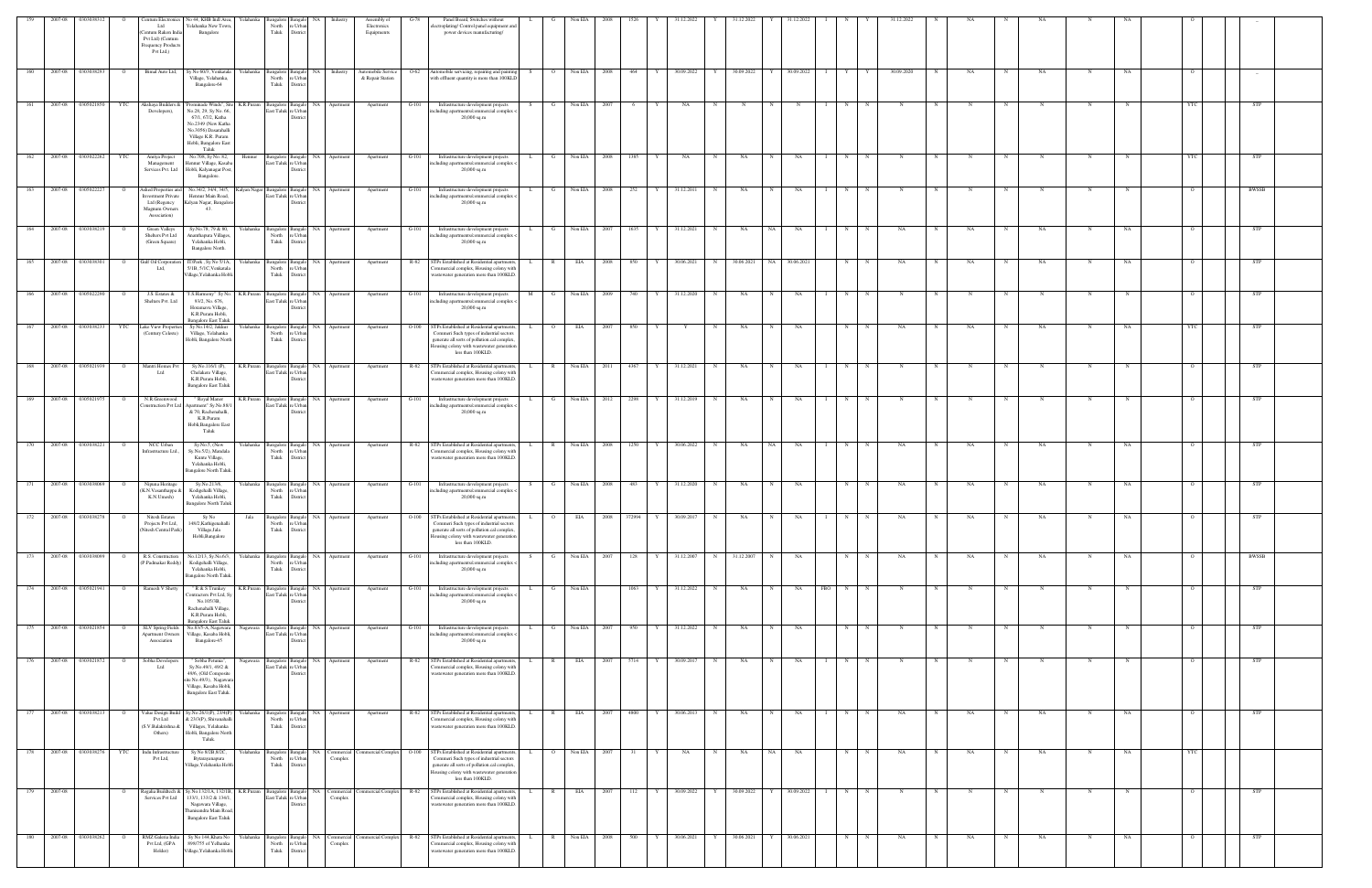| 159  | 2007-08     | 0303038312             |                | Centum Electronics                                                                         | No 44, KHB Indl Area,                                                                                                                                                                          | Yelahanka              | Bangalore<br>angalo                                                          | <b>NA</b>                        | Assembly of                                      | Panel Board, Switches without                                                                                                                                                                             |          |                | Non EIA      |      |             | 31.12.2022   |   | 31.12.2022 |             | 1.12.2022    |                            |            | 31.12.2022  |            |             |             |            |             |    |            |              |  |
|------|-------------|------------------------|----------------|--------------------------------------------------------------------------------------------|------------------------------------------------------------------------------------------------------------------------------------------------------------------------------------------------|------------------------|------------------------------------------------------------------------------|----------------------------------|--------------------------------------------------|-----------------------------------------------------------------------------------------------------------------------------------------------------------------------------------------------------------|----------|----------------|--------------|------|-------------|--------------|---|------------|-------------|--------------|----------------------------|------------|-------------|------------|-------------|-------------|------------|-------------|----|------------|--------------|--|
|      |             |                        |                | Ltd<br>entum Rakon Ind<br>Pvt Ltd) (Centum<br>Frequency Products<br>Pvt Ltd,)              | Yelahanka New Town.<br>Bangalore                                                                                                                                                               |                        | North<br>e Urba<br>Taluk<br>Distric                                          |                                  | Electronics<br>Equipments                        | lectroplating/Control panel equipment and<br>power devices manufacturing/                                                                                                                                 |          |                |              |      |             |              |   |            |             |              |                            |            |             |            |             |             |            |             |    |            |              |  |
| 160  | 2007-08     | 0303038293             |                | Bimal Auto Ltd,                                                                            | Sy No 60/3, Venkatala<br>Village, Yelahanka,<br>Bangalore-64                                                                                                                                   |                        | Yelahanka Bangalore<br>Bangalo<br>North<br>: Urba<br>Taluk<br><b>Distric</b> | NA Industry                      | Automobile Service<br>$O-62$<br>& Repair Station | Automobile servicing, repairing and painting<br>with effluent quantity is more than 100KLD                                                                                                                | S –      | $\overline{O}$ | Non EIA      | 2008 | 464         | 30.09.2022   | Y | 30.09.2022 |             | 30.09.2022   | Y                          |            | 30.09.2020  |            | NA          |             | NA         |             | NA |            |              |  |
|      |             | 2007-08 0305021850     | YTC            | Akshaya Builders &<br>Developers),                                                         | Prominade Winds", Site K.R.Puram Bangalore<br>No.28, 29, Sy No. 66,<br>67/1, 67/2, Katha<br>No.2349 (New Katha<br>No.3056) Dasarahalli<br>Village K.R. Puram<br>Hobli, Bangalore East<br>Taluk |                        | East Taluk re Urbar<br>Distric                                               | NA<br>Apartment                  | Apartment<br>G-101                               | Infrastructure development projects<br>acluding apartments/commercial complex -<br>$20,000$ sq.m                                                                                                          |          |                | Non EIA      |      |             | NA.          |   |            |             |              |                            |            |             |            |             |             |            |             |    |            |              |  |
| 162  |             | 2007-08 0303022262 YTC |                | Anriya Project<br>Management<br>Services Pvt. Ltd                                          | No.708, Sy No. 82,<br><b>Jennur Village</b> , Kasaba<br>Hobli, Kalyanagar Post,<br>Bangalore.                                                                                                  | Hennur                 | Bangalore<br>East Taluk re Urban<br><b>Distric</b>                           | Bangalo NA Apartment             | Apartment<br>$G-101$                             | Infrastructure development projects<br>ncluding apartments/commercial complex <<br>$20,000$ sq.m                                                                                                          | L.       | $\mathbf{G}$   | Non EIA 2008 |      | 1385<br>Y I | NA           | N | <b>NA</b>  | N           | NA           | N<br>$\blacksquare$        | $_{\rm N}$ | N           | N          | N           | N           | $_{\rm N}$ | $\mathbf N$ | N  | YTC        | <b>STP</b>   |  |
| 163  | 2007-08     | 0305022227             | $\circ$        | Ashed Properties and<br>nvestment Private<br>Ltd (Regency<br>Magnum Owners<br>Association) | No.34/2, 34/4, 34/5,<br>Hennur Main Road,<br>Kalyan Nagar, Bangalor<br>43.                                                                                                                     | Kalyan Nagar Bangalore | East Taluk<br>re Urbar<br><b>Distric</b>                                     | Bangalo NA Apartment             | Apartment<br>$G-101$                             | Infrastructure development projects<br>acluding apartments/commercial complex<br>$20,000$ sq.m                                                                                                            | <b>L</b> | $\mathbf{G}$   | Non EIA 2008 |      | 252<br>Y    | 31.12.2011   | N | NA         | $\mathbf N$ | NA           | N                          | N          | $\mathbf N$ |            |             | N           | N          | N           | N  |            | <b>BWSSB</b> |  |
| -164 |             | 2007-08 0303038219     |                | Green Valleys<br>Shelters Pvt Ltd<br>(Green Square)                                        | Sy.No.78, 79 & 80,<br>Ananthapura Villages<br>Yelahanka Hobli,<br>Bangalore North.                                                                                                             |                        | Yelahanka Bangalore<br>saneal<br>North<br>e Urbar<br>Taluk<br>District       | NA<br>Apartment                  | Apartment<br>$G-101$                             | Infrastructure development projects<br>ncluding apartments/commercial complex <<br>$20,000$ sq.m                                                                                                          |          | G              | Non EIA      | 2007 | 1635        | 31.12.2021   | N | NA         | NA.         | NA           | N                          |            | NA          |            | NA          |             | NA         |             | NA |            | STP          |  |
| 165  | 2007-08     | 0303038301             | $\overline{O}$ | Gulf Oil Corporati<br>Ltd,                                                                 | IT/Park, Sy No 5/1A,<br>5/1B, 5/1C, Venkatala<br>Village, Yelahanka Hobli.                                                                                                                     |                        | Yelahanka Bangalore<br><b>Bangalo</b><br>North<br>e Urba<br>Taluk<br>Distric | NA<br>Apartment                  | R-82<br>Apartment                                | STPs Established at Residential apartments,<br>'ommercial complex, Housing colony with<br>wastewater generation more than 100KLD.                                                                         | L.       | $\mathbb{R}$   | EIA          | 2008 | 850         | 30.06.2021   | N | 30.06.2021 | NA N        | 30.06.2021   | N                          |            | NA          |            | NA          | N           | NA         |             | NA |            | STP          |  |
| 166  | 2007-08     | 0305022290             |                | J.S. Estates &<br>Shelters Pvt. Ltd                                                        | J.S.Harmony" Sy No.<br>93/2, No. 676,<br>Horamavu Village,<br>K.R.Puram Hobli,                                                                                                                 | K.R.Puram Bangalore    | 3angalo<br><b>East Taluk</b><br>re Urbar<br>Distri                           | NA<br>Apartment                  | Apartment<br>G-101                               | Infrastructure development projects<br>ncluding apartments/commercial complex <<br>$20,000$ sq.m                                                                                                          | M        |                | Non EIA      | 2009 | 740         | 31.12.2020   | N | NA         |             | NA           | N                          |            |             |            |             |             |            |             |    |            | STP          |  |
|      | 167 2007-08 | 0303038233             | <b>YTC</b>     | Lake View Properti<br>(Century Celeste)                                                    | <b>Bangalore East Taluk</b><br>Sy No.14/2, Jakkur<br>Village, Yelahanka<br>Hobli, Bangalore North                                                                                              |                        | Yelahanka Bangalore<br>North<br>e Urbs<br>Taluk<br>District                  | Bangalo NA Apartment             | Apartment<br>$O-100$                             | STPs Established at Residential apartments,<br>Commeri Such types of industrial sectors<br>generate all sorts of pollution.cal complex,<br>Iousing colony with wastewater generation<br>less than 100KLD. | L        | $\overline{O}$ | EIA          | 2007 | 850<br>Y    | Y            | N | NA         | $\mathbf N$ | NA           | N                          | N          | NA          |            | NA          | N           | NA         | N           | NA | <b>YTC</b> | <b>STP</b>   |  |
| 168  | 2007-08     | 0305021939             |                | Mantri Homes Py<br>Ltd                                                                     | Sy.No.116/1 (P),<br>Chelakere Village,<br>K.R.Puram Hobli,<br><b>Bangalore East Taluk</b>                                                                                                      |                        | K.R.Puram Bangalore Bangalo<br>East Taluk re Urban<br>Distri                 | NA 1<br>Apartment                | R-82<br>Apartment                                | STPs Established at Residential apartments,<br>'ommercial complex, Housing colony with<br>wastewater generation more than 100KLD.                                                                         |          | $\mathbb{R}$   | Non EIA      | 2011 | 4367        | 31.12.2021   | N | NA         | $_{\rm N}$  | NA           | N                          |            |             |            |             |             |            | N           |    |            | STP          |  |
| 169  |             | 2007-08 0305021975     | $\overline{O}$ | N.R.Greenwood<br>onstruction Pvt Ltd                                                       | " Royal Manor<br>Apartment" Sy.No.88/<br>& 70, Rachenahalli,<br>K.R.Puram<br>Hobli, Bangalore East<br>Taluk                                                                                    | K.R.Puram              | Bangalore<br>East Taluk re Urban<br>Distric                                  | Bangalo NA<br>Apartment          | Apartment<br>G-101                               | Infrastructure development projects<br>ncluding apartments/commercial complex <<br>$20,000$ sq.m                                                                                                          |          | G              | Non EIA      | 2012 | 2298        | Y 31.12.2019 | N | NA         | N           | NA           | N                          | $_{\rm N}$ | N           | N          | $\mathbf N$ | $_{\rm N}$  | N          | $\mathbf N$ |    |            | STP          |  |
|      |             | 2007-08 0303038221     | $\overline{O}$ | NCC Urban<br>Infrastructure Ltd                                                            | Sy.No.5, (New<br>Sy.No.5/2), Mandala<br>Kunte Village,<br>Yelahanka Hobli,<br>Bangalore North Taluk                                                                                            |                        | Yelahanka Bangalore<br><b>Bangalo</b><br>North<br>: Urbs<br>Taluk<br>Distric | NA 1<br>Apartment                | R-82<br>Apartment                                | STPs Established at Residential apartments,<br>Commercial complex, Housing colony with<br>wastewater generation more than 100KLD.                                                                         | L.       | R              | Non EIA      | 2008 | 1250<br>Y   | 30.06.2022   | N | NA         | NA -        | NA           | N                          |            | NA          |            | NA          |             | NA         |             | NA |            | <b>STP</b>   |  |
|      | 2007-08     | 0303038069             |                | Nipuna Heritago<br>(K.N.Vasanthappa &<br>K.N.Umesh)                                        | Sy.No.213/6,<br>Kodigehalli Village,<br>Yelahanka Hobli,<br><b>Bangalore North Taluk</b>                                                                                                       |                        | Yelahanka Bangalore<br>North<br>e Urbar<br>Taluk<br>District                 | NA<br>Apartment                  | Apartment<br>G-101                               | Infrastructure development projects<br>including apartments/commercial complex <<br>20,000 sq.m                                                                                                           |          |                | Non EIA      | 2008 | 483         | 31.12.2020   |   | NA         |             | NA           | N                          |            | NA          |            | NA          |             | NA.        |             |    |            | STP          |  |
|      |             | 2007-08 0303038278     |                | <b>Nitesh Estates</b><br>Projects Pvt Ltd,<br>(Nitesh Central Park)                        | Sv No<br>148/2, Kathigenahalli<br>Village, Jala<br>Hobli, Bangalore                                                                                                                            | Jala                   | North<br>re Urban<br>Taluk<br>District                                       | NA<br>Apartment                  | Apartment<br>O-100                               | STPs Established at Residential apartments,<br>Commeri Such types of industrial sectors<br>generate all sorts of pollution.cal complex,<br>ousing colony with wastewater generation<br>less than 100KLD.  |          |                | EIA          | 2008 | 372994      | 30.09.201    |   | NA         |             | NA.          |                            |            |             |            |             |             |            |             |    |            |              |  |
| 173  | 2007-08     | 0303038099             |                | R.S. Construction<br>P.Padmakar Reddy                                                      | No.12/13, Sy.No.6/3,<br>Kodigehalli Village,<br>Yelahanka Hobli,<br>Bangalore North Taluk                                                                                                      | Yelahanka              | Bangalore<br>sangak<br>North<br>: Urb<br>Taluk<br><b>Distric</b>             | NA 1<br>Apartment                | Apartment<br>$G-101$                             | Infrastructure development projects<br>cluding apartments/commercial complex<br>20,000 sq.m                                                                                                               |          |                | Non EIA      | 2007 | 128         | 31.12.2007   | N | 31.12.2007 | $\mathbb N$ | NA           | N                          |            | NA          |            | NA          |             | NA         | N           | NA |            | <b>BWSSB</b> |  |
|      |             | 174 2007-08 0305021941 | $\overline{O}$ | Ramesh V Shetty                                                                            | " R & S Trunkey<br>Contractors Pvt Ltd, Sv<br>No.105/3B,<br>Rachenahalli Village,<br>K.R.Puram Hobli,                                                                                          | K.R.Puram Bangalore    | Bangalo<br>East Taluk re Urban<br><b>Distri</b>                              | NA 1<br>Apartment                | $G-101$<br>Apartment                             | Infrastructure development projects<br>ncluding apartments/commercial complex <<br>$20,000$ sq.m                                                                                                          |          |                | Non EIA      |      | 1063        | 31.12.2022   | N | NA         |             | NA           | <b>FBO</b><br>$\mathbb{N}$ |            |             |            |             |             |            |             |    |            | STP          |  |
| 175  |             | 2007-08 0303021854     | $\Omega$       | SLV Spring Fields<br><b>Apartment Owners</b><br>Association                                | <b>Bangalore East Taluk</b><br>No.83/5-A, Nagawara<br>Village, Kasaba Hobli,<br>Bangalore-45                                                                                                   | Nagawara               | Bangalore<br>East Taluk re Urban<br>Distric                                  | Bangalo NA<br>Apartment          | $G-101$<br>Apartment                             | Infrastructure development projects<br>ncluding apartments/commercial complex <<br>$20,000$ sq.m                                                                                                          |          | $\mathbf{G}$   | Non EIA      | 2007 | 950<br>Y    | 31.12.2022   | N | NA         | $\mathbf N$ | NA           | N                          | N          | N           |            |             | $_{\rm N}$  | N          | N           |    | $\circ$    | <b>STP</b>   |  |
| 176  | 2007-08     | 0303021872             | $\overline{O}$ | Sobha Developer<br>Ltd                                                                     | " Sobha Petunia".<br>Sy.No.49/1, 49/2 &<br>49/6, (Old Composite<br>site No.49/3), Nagawar<br>Village, Kasaba Hobli,<br><b>Bangalore East Taluk.</b>                                            | Nagawara               | Bangalore Bangalo<br>East Taluk re Urban<br>Distric                          | Bangalo NA<br>Apartment          | R-82<br>Apartment                                | STPs Established at Residential apartments,<br>ommercial complex, Housing colony with<br>wastewater generation more than 100KLD.                                                                          |          | $\mathbb{R}$   | EIA          | 2007 | 5714<br>Y   | 30.09.2017   | N | NA         | N           | NA           | N                          | N          | $\mathbf N$ |            |             | N           | N          | N           |    |            | <b>STP</b>   |  |
| 177  |             | 2007-08 0303038213     |                | Value Design Build<br>Pvt Ltd<br>S.V.Balakrishna &<br>Others)                              | Sy.No.26/1(P), 23/4(P)<br>& 23/3(P), Shivanahall<br>Villages, Yelahanka<br>Hobli, Bangalore North<br>Taluk.                                                                                    | Yelahanka              | Bangalore<br>3angalo<br>North<br>e Urbar<br>Taluk<br>District                | NA 1<br>Apartment                | $R-82$<br>Apartment                              | STPs Established at Residential apartments,<br>Commercial complex, Housing colony with<br>wastewater generation more than 100KLD.                                                                         |          | $\mathbb{R}$   | EIA          | 2007 | 4800<br>Y   | 30.06.2013   | N | NA         | $_{\rm N}$  | NA           | $\mathbf{N}$               |            | NA          |            | NA          |             | <b>NA</b>  |             | NA |            | STP          |  |
| 178  | 2007-08     | 0303038276             | YTC            | Indu Infrastructur<br>Pvt Ltd,                                                             | Sy No 8/2B, 8/2C,<br>Bytarayanapura<br>Village, Yelahanka Hobli                                                                                                                                | Yelahanka              | Bangalore<br>e Urban<br>North<br>Taluk<br>District                           | Bangalo NA Commercial<br>Complex | ommercial Complex<br>$O-100$                     | STPs Established at Residential apartments,<br>Commeri Such types of industrial sectors<br>generate all sorts of pollution.cal complex,<br>Iousing colony with wastewater generation<br>less than 100KLD. |          | $\overline{O}$ | Non EIA      | 2007 | 31<br>Y     | NA           | N | NA         | NA          | NA           | N                          | N          | NA          | $_{\rm N}$ | NA          | $\mathbf N$ | NA         | N           | NA | <b>YTC</b> |              |  |
| 179  | 2007-08     |                        |                | Services Pvt Ltd                                                                           | Regalia Buildtech & Sy.No.132/1A, 132/1B, K.R.Puram<br>133/1, 133/2 & 134/1,<br>Nagawara Village,<br>Thanisandra Main Road<br><b>Bangalore East Taluk</b>                                      |                        | Bangalore<br>East Taluk<br>e Urbar<br>Distri                                 | Bangalo NA Commercial<br>Complex | Commercial Complex R-82                          | STPs Established at Residential apartments,<br>ommercial complex, Housing colony with<br>wastewater generation more than 100KLD.                                                                          |          | $\mathbb{R}$   | EIA          | 2007 | 112         | 30.09.2022   | Y | 30.09.2022 |             | 30.09.2022   | N                          |            |             |            |             |             |            | N           |    |            | <b>STP</b>   |  |
| 180  |             | 2007-08 0303038262     |                | RMZ Galeria India<br>Pvt Ltd, (GPA<br>Holder)                                              | Sy No 144, Khata No<br>898/755 of Yelhanka<br>Village, Yelahanka Hobli.                                                                                                                        | Yelahanka              | Bangalore<br><b>Bangalo</b><br>North<br>e Urban<br>Taluk<br>District         | NA 1<br>Commercia<br>Complex     | $R-82$<br>ommercial Complex                      | STPs Established at Residential apartments,<br>ommercial complex, Housing colony with<br>wastewater generation more than 100KLD.                                                                          |          | $\mathbb{R}$   | Non EIA      | 2008 | 500<br>Y    | 30.06.2021   | Y | 30.06.2021 |             | Y 30.06.2021 | $\mathbb{N}$               |            |             |            | NA          |             | NA         |             | NA |            | STP          |  |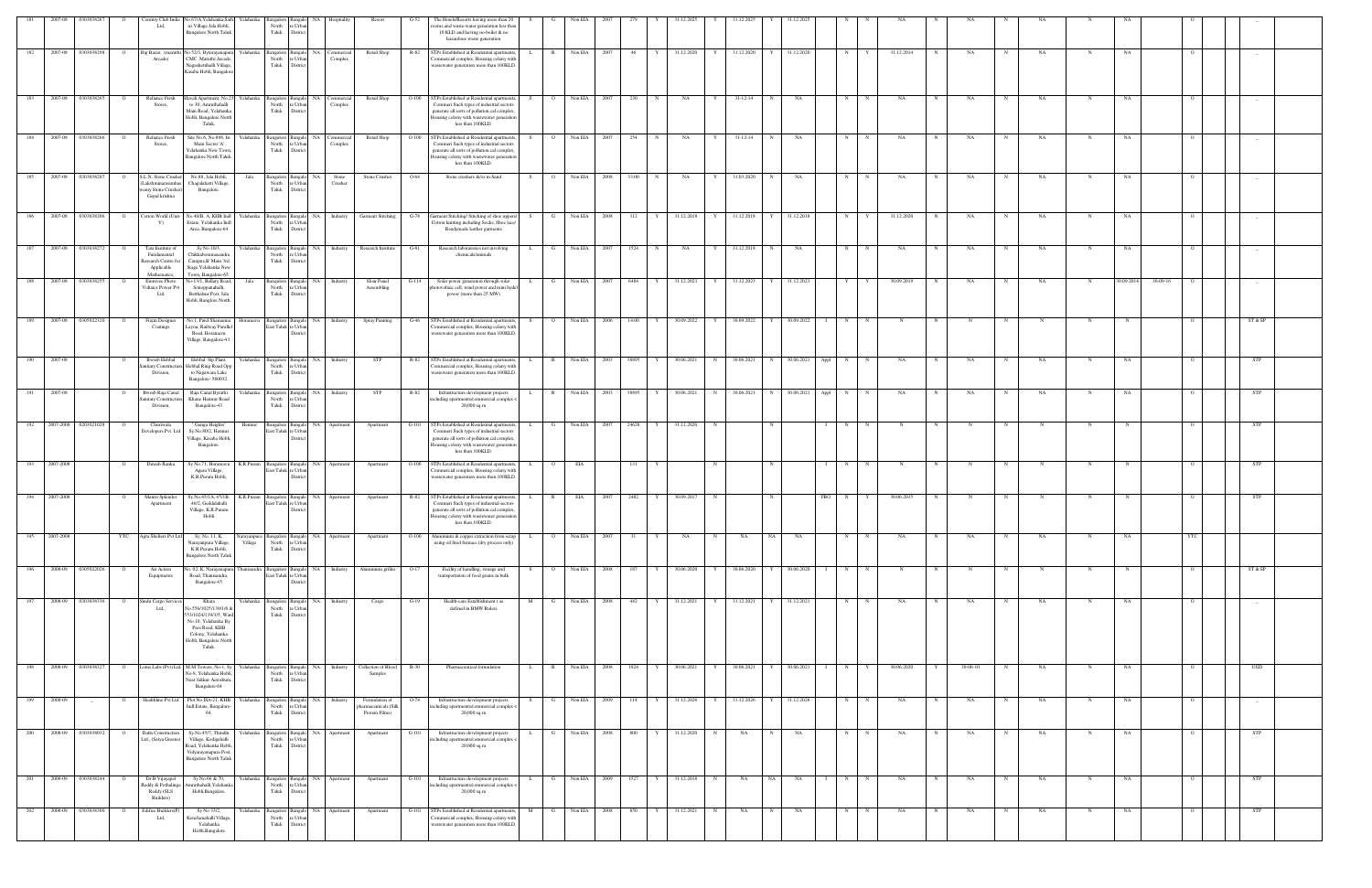|                  | 2007-08       | 030303826              |                           | 'ountry Club India<br>Ltd,                                                           | No.67/A,Yelahanka,Sath<br>ur Village Jala Hobli,<br><b>Bangalore North Taluk</b>                                                                          | Yelahanka              | Bangalore<br>North<br>Taluk                                                                  | : Urba<br>District                         |                         | Resort                                                  | The Hotels/Resorts having more than 20<br>G-52<br>boms and waste-water generation less than<br>10 KLD and having no-boiler & no<br>hazardous waste generation                                                        |    |                |              |              |            |            |     |                                |              |                |                 |              |            |   |          |            |    |             |            |          |                |            |  |
|------------------|---------------|------------------------|---------------------------|--------------------------------------------------------------------------------------|-----------------------------------------------------------------------------------------------------------------------------------------------------------|------------------------|----------------------------------------------------------------------------------------------|--------------------------------------------|-------------------------|---------------------------------------------------------|----------------------------------------------------------------------------------------------------------------------------------------------------------------------------------------------------------------------|----|----------------|--------------|--------------|------------|------------|-----|--------------------------------|--------------|----------------|-----------------|--------------|------------|---|----------|------------|----|-------------|------------|----------|----------------|------------|--|
| 182              | 2007-08       | 0303038298             |                           | Big Bazar, (maruth<br>Arcade)                                                        | No 52/3, Bytarayanapura<br>CMC. Maruthi Arcade,<br>Nagashettihalli Village,<br>Kasaba Hobli, Bangalore                                                    | Yelahanka              | Bangalore<br>North<br>Taluk                                                                  | NA<br><b>Bangal</b><br>e Urbar<br>District | Commercia<br>Complex    | Retail Shop                                             | STPs Established at Residential apartments,<br>R-82<br>'ommercial complex, Housing colony with<br>wastewater generation more than 100KLD.                                                                            |    | $\mathbb{R}$   | Non EIA      | 2007         | 46         | 31.12.2020 | Y   | 31.12.2020                     |              | 31.12.2020     | N               |              | 31.12.2014 |   | NA       |            | NA | $\mathbf N$ | NA         |          |                |            |  |
| 183              | 2007-08       | 0303038265             | $\circ$                   | Reliance Fresh<br>Stores.                                                            | <b>Javali Apartment</b> , No.23<br>to 30, Amruthahalli<br>Main Road, Yelahanka<br>Hobli, Bangalore North<br>Taluk.                                        |                        | $\begin{tabular}{ll} \bf{Yelahanka} & \bf{Bangalore} \\ & \bf{North} \end{tabular}$<br>Taluk | NA<br>Bangalo<br>: Urbar<br>District       | Commercial<br>Complex   | Retail Shop                                             | STPs Established at Residential apartments,<br>$O-100$<br>Commeri Such types of industrial sectors<br>generate all sorts of pollution.cal complex.<br>Iousing colony with wastewater generation<br>less than 100KLD. | S. | $\overline{O}$ | Non EIA      | 2007         | 230<br>N   | NA         | Y   | $31 - 12 - 14$                 | N            | NA             | N               |              | NA         |   | NA       | N          | NA | N           | NA         |          |                |            |  |
| 184              |               | 2007-08 0303038266     | $\overline{O}$            | Reliance Fresh<br>Stores.                                                            | Site No.6, No.898, Ist<br>Main Sector 'A'<br>Yelahanka New Town<br>Bangalore North Taluk.                                                                 |                        | Yelahanka Bangalore<br>North<br>Taluk                                                        | <b>Bangalo</b><br>e Urba<br>District       | NA Commercia<br>Complex | Retail Shop                                             | $O-100$<br>STPs Established at Residential apartments,<br>Commeri Such types of industrial sectors<br>generate all sorts of pollution.cal complex,<br>Iousing colony with wastewater generation<br>less than 100KLD. | S. | $\circ$ 0      | Non EIA 2007 |              | 254<br>N   | <b>NA</b>  | Y   | $31 - 12 - 14$                 | N            | <b>NA</b>      | N               | $\mathbf N$  | NA         |   | NA       | $_{\rm N}$ | NA | N           | NA         |          |                |            |  |
|                  | 2007-08       | 0303038207             |                           | S.L.N. Stone Crush<br>Lakshminarasimha<br>vamy Stone Crusher)<br>Gopal krishna       | No.88, Jala Hobli,<br>Chagalahatti Village,<br>Bangalore.                                                                                                 | Jala                   | Bangalore<br>North<br>Taluk                                                                  | e Urbar<br>District                        | Stone<br>Crusher        | Stone Crusher                                           | Stone crushers &/or m-Sand<br>$O-64$                                                                                                                                                                                 |    |                | Non EIA      | 2008         | 33.00      | NA         | Y   | 31.03.2020                     |              | NA             | N               |              | NA         |   | NA       |            | NA |             | NA         |          |                |            |  |
| 186              | 2007-08       | 0303038286             |                           | Cotton World (Unit-<br>V)                                                            | No 40/B, A, KHB Indl<br>Estate, Yelahanka Indl<br>Area, Bangalore-64                                                                                      |                        | Yelahanka Bangalore<br>North<br>Taluk                                                        | NA<br>: Urb<br>Distric                     | Industry                | <b>Garment Stitching</b>                                | Jarment Stitching/ Stitching of shoe uppers/<br>$G-78$<br>Cotton knitting including Socks, Shoe lace/<br>Readymade leather garments                                                                                  |    |                | Non EIA      | 2008         | 312        | 31.12.2018 | Y   | 31.12.2018                     |              | 31.12.2018     | N               |              | 31.12.2020 |   | NA       |            | NA | N           | NA         |          |                | $-$        |  |
|                  |               | 187 2007-08 0303038272 |                           | Tata Institute of<br>Fundamental<br>Research Centre fo<br>Applicable<br>Mathematics. | Sy No 10/3,<br>Chikkabommasandr<br>Campus, B' Main 3rd<br>Stage, Yelahanka New<br>Town, Bangalore-65.                                                     |                        | Yelahanka Bangalore<br>North<br>Taluk                                                        | <b>Bangalo</b><br>: Urbs<br><b>Distric</b> |                         | NA Industry Research Institute G-81                     | Research laboratories not involving<br>chemicals/animals                                                                                                                                                             |    | $\mathbf{G}$   | Non EIA 2007 |              | 1524<br>N  | NA         |     | Y 31.12.2018 N                 |              | NA             | N               |              | NA         |   | NA       | N          | NA |             | NA         |          |                |            |  |
| 188              | 2007-08       | 0303038255             |                           | <b>Emmyee Photo</b><br>Voltaics Power Pv<br>Ltd                                      | No-13/1, Bellary Road,<br>Sonoppanahalli,<br>Betthalsur Post, Jala<br>Hobli, Banglore North.                                                              | Jala                   | Bangalore<br>North<br>Taluk                                                                  | <b>NA</b><br>e Urba<br>District            | Industry                | Sloar Panel<br>Assembling                               | Solar power generation through solar<br>$G-114$<br>notovoltaic cell, wind power and mini hydel<br>power (more than 25 MW)                                                                                            |    | G              | Non EIA      | 2007         | 6484       | 31.12.2023 | Y   | 31.12.2023                     | $\mathbf{Y}$ | 31.12.2023     | Y               |              | 30.09.2019 |   | NA       |            | NA | N           | 30.09.2016 | 30-09-16 |                | $-$        |  |
| 189              | 2007-08       | 0305022320             | $\overline{O}$            | Fraun Designer<br>Coatings                                                           | No.1, Patel Shamanna<br>Layou, Railway Parallel<br>Road, Horamavu<br>Village, Bangalore-43.                                                               | Horamavu               | Bangalore<br>East Taluk re Urbar                                                             | Bangalo NA<br>Distric                      | Industry                | Spray Painting                                          | STPs Established at Residential apartments,<br>$G-46$<br>ommercial complex, Housing colony with<br>wastewater generation more than 100KLD.                                                                           | S  | $\overline{O}$ |              | Non EIA 2006 | 14.00<br>Y | 30.09.2022 |     | Y 30.09.2022 Y 30.09.2022 I    |              |                | N               | $\mathbb N$  | N          |   | N        | $_{\rm N}$ | N  | $\mathbf N$ |            |          | $\circ$        | ST & SP    |  |
|                  | 2007-08       |                        |                           | <b>Bwssb Hebbal</b><br>nitary Constructio<br>Division,                               | Hebbal Stp Plant,<br>Hebbal Ring Road Opp<br>to Nagawara Lake<br>Bangalore-560032.                                                                        | Yelahanka              | Bangalore<br>North<br>Taluk                                                                  | : Urb<br>Distric                           | Bangalo NA Industry     | STP                                                     | R-82<br>STPs Established at Residential apartments,<br>ommercial complex, Housing colony with<br>wastewater generation more than 100KLD.                                                                             |    | $\mathbb{R}$   | Non EIA 2003 |              | 38895<br>Y | 30.06.2021 |     | N 30.06.2021 N 30.06.2021 Appl |              |                | N               |              | NA         |   | NA       |            | NA |             | NA         |          |                | STP        |  |
| -191             | 2007-08       |                        |                           | Bwssb Raja Cana<br>anitary Constructio<br>Division,                                  | Raja Canal Byrathi<br>Khane Hennur Road<br>Bangalore-43                                                                                                   | Yelahanka              | Bangalore<br>North<br>Taluk                                                                  | <b>NA</b><br>e Urba<br>District            | Industry                | <b>STP</b>                                              | R-82<br>Infrastructure development projects<br>ncluding apartments/commercial complex <<br>20,000 sq.m                                                                                                               |    | $\mathbb{R}$   | Non EIA      | 2003         | 38895      | 30.06.2021 | N   | 30.06.2021                     | $_{\rm N}$   | 30.06.2021     | N<br>Appl       |              | NA         |   | NA       |            | NA |             | NA         |          |                | STP        |  |
| 192              | 2007-2008     | 0203021028             |                           | Churiwala<br>Developers Pvt. Ltd                                                     | Ganga Heights'<br>Sy.No.80/2, Hennur<br>Village, Kasaba Hobli,<br>Bangalore.                                                                              | Hennur                 | Bangalore<br>East Taluk re Urbar                                                             | NA<br><b>Bangal</b><br><b>Distri</b>       | Apartment               | Apartment                                               | STPs Established at Residential apartments,<br>$G-101$<br>Commeri Such types of industrial sectors<br>generate all sorts of pollution.cal complex,<br>lousing colony with wastewater generation<br>less than 100KLD. |    |                | Non EIA      |              | 24626      | 31.12.2020 | N   |                                |              |                | N               |              |            |   |          |            |    |             |            |          |                | STP        |  |
|                  | 2007-2008     |                        |                           | Dinesh Ranka                                                                         | v No.71. Horamav<br>Agara Village,<br>K.R.Puram Hobli,                                                                                                    | K.R.Puram              | Bangalor<br>East Taluk                                                                       | NA<br>langalo<br>e Urba                    | Apartment               | Apartment                                               | <b>STPs</b> Established at Residential apartments,<br>$O-100$<br>ommercial complex, Housing colony with<br>wastewater generation more than 100KLD.                                                                   |    |                | EIA          |              | 131        |            |     |                                |              |                | N               |              |            |   |          |            |    |             |            |          |                | STP        |  |
|                  | 194 2007-2008 |                        |                           | Mantri Splendor<br>Apartment                                                         | Sy.No.45/1A, 45/1B,<br>46/2, Geddalahalli<br>Village, K.R.Puram<br>Hobli                                                                                  |                        | K.R.Puram Bangalore<br>East Taluk                                                            | NA.<br>Bangal<br>e Urba<br><b>Distric</b>  | Apartment               | Apartment                                               | STPs Established at Residential apartments<br>R-82<br>Commeri Such types of industrial sectors<br>generate all sorts of pollution.cal complex,<br>busing colony with wastewater generatio<br>less than 100KLD.       |    | $\mathbb{R}$   | EIA          | 2007         | 2482       | 30.09.2017 |     |                                |              |                | N<br><b>FBO</b> |              | 30.06.2015 |   |          |            |    |             |            |          |                | <b>STP</b> |  |
| 195              | 2007-2008     |                        | YTC Agra Shelters Pvt Ltd |                                                                                      | Sy. No. 11, K.<br>Narayanpura Village,<br>K.R.Puram Hobli,<br><b>Bangalore North Taluk</b>                                                                | Narayanpura<br>Village | Bangalore<br>North<br>Taluk                                                                  | NA<br>Bangalo<br>re Urban<br>District      | Apartment               | Apartment                                               | $O-100$<br>luminium & copper extraction from scrap<br>using oil fired furnace (dry process only)                                                                                                                     |    | $\circ$        | Non EIA      | 2007         |            | NA         | N   | NA                             | NA           | NA             | N               |              | NA         |   | NA       |            | NA | N           | NA         |          | YTC            |            |  |
| 196              |               | 2008-09 0305022026     | $\circ$                   | Air Action<br>Equipments                                                             | o. 02, K. Narayanap<br>Road, Thanisandra,<br>Bangalore-45                                                                                                 | aanisandra             | Bangalore<br>East Taluk re Urban                                                             | Bangalo NA<br>Distric                      | Industry                | Aluminium grilles                                       | Facility of handling, storage and<br>$O-17$<br>transportation of food grains in bulk                                                                                                                                 |    | $\circ$        | Non EIA      | 2008         | 187<br>Y   | 30.06.2020 | Y I | 30.06.2020                     |              | Y 30.06.2020 I | N               | N            |            |   |          | N          |    |             |            |          |                | ST & SP    |  |
| 197              |               | 2008-09 0303038336     | $\overline{O}$            | Sindu Cargo Service<br>Ltd.,                                                         | Khata<br>No.556/1025/139/1/6 &<br>553/1024/139/1/5, War<br>No.10, Yelahanka By<br>Pass Road, KHB<br>Colony, Yelahanka<br>Hobli, Bangalore North<br>Taluk. |                        | Yelahanka Bangalore<br>North<br>Taluk                                                        | Bangalo NA<br>: Urba<br>Distric            | Industry                | Cargo                                                   | $G-19$<br>Health-care Establishment (as<br>defined in BMW Rules)                                                                                                                                                     | M  | $\mathbf{G}$   | Non EIA      | 2008         | 442<br>Y   | 31.12.2021 |     | Y 31.12.2021 Y                 |              | 31.12.2021     | N               | $\mathbb{N}$ | NA         | N | NA       | N          | NA | $\mathbf N$ | NA         |          | $\Omega$       |            |  |
| 198              | 2008-09       | 0303038327             | $\overline{O}$            |                                                                                      | Lotus Labs (Pvt) Ltd, M.M.Towers, No-1, Sy<br>Vo-8, Yelahanka Hobli<br>Near Jakkur Aerodrum<br>Bangalore-64                                               | Yelahanka              | Bangalore<br>North<br>Taluk                                                                  | NA<br><b>Bangalo</b><br>e Urba<br>District | Industry                | Collection of Blood<br>Samples                          | $R-30$<br>Pharmaceutical formulation                                                                                                                                                                                 |    | $\mathbb{R}$   | Non EIA      | 2008         | 1924<br>Y  | 30.06.2021 | Y   | 30.06.2021                     |              | 30.06.2021     | N               |              | 30.06.2020 |   | 30-06-10 | $_{\rm N}$ | NA | N           | NA         |          | $\Omega$       | UGD        |  |
| 199              | 2008-09       | $\sim$                 | $\circ$                   | Healthline Pvt Ltd                                                                   | Plot No.ISA-21, KHB<br>Indl.Estate, Bangalore-<br>64.                                                                                                     | Yelahanka              | Bangalore<br>North<br>Taluk                                                                  | NA<br>langalo<br>: Urba<br>Distric         | Industry                | Formulation of<br>armaceuticals (Silk<br>Protein Films) | Infrastructure development projects<br>O-74<br>ncluding apartments/commercial complex <<br>$20,000$ sq.m                                                                                                             |    |                | Non EIA      | 2009         | 114        | 31.12.2026 | Y   | 31.12.2026                     |              | 31.12.2026     | N               |              | NA         |   | NA       | N          | NA | N           | NA         |          |                | $\sim$     |  |
| $\overline{200}$ |               | 2008-09 0303038032     |                           | Datla Construction<br>Ltd., (Satya Greens                                            | Sy.No.45/7, Thindlu<br>Village, Kodigehalli<br>Road, Yelahanka Hobli,<br>Vidyarayanapura Post,<br><b>Bangalore North Taluk</b>                            | Yelahanka              | Bangalore<br>North<br>Taluk                                                                  | NA<br><b>Bangal</b><br>: Urbs<br>District  | Apartment               | Apartment                                               | $G-101$<br>Infrastructure development projects<br>rcluding apartments/commercial complex -<br>$20,000$ sq.m                                                                                                          |    | G              | Non EIA      | 2008         | 800<br>Y   | 31.12.2020 | N   | NA                             | $\mathbf N$  | NA             | N               | $_{\rm N}$   | NA         | N | NA       | N          | NA | N           | NA         |          | $\Omega$       | <b>STP</b> |  |
| 201              | 2008-09       | 0303038244             |                           | Dr.B.Vijayapal<br>Reddy & Pothalinga<br>Reddy (SLS<br>Builders)                      | Sy No.66 & 70,<br>Amruthahalli, Yelahank<br>Hobli, Bangalore.                                                                                             | Yelahanka              | Bangalore<br>North<br>Taluk                                                                  | NA  <br>Bangalo<br>re Urban<br>District    | Apartment               | Apartment                                               | $G-101$<br>Infrastructure development projects<br>acluding apartments/commercial complex <<br>$20,000$ sq.m                                                                                                          |    | G              | Non EIA      | 2009         | 1527       | 31.12.2018 | N   | NA                             | NA           | NA             | N               | N            | NA         |   | NA       |            | NA | N           | NA         |          | $\overline{O}$ | STP        |  |
| 202              | 2008-09       | 0303038300             | $\overline{O}$            | <b>Edifice Builders</b> (I<br>Ltd,                                                   | Sy No 33/2,<br>Kenchanahalli Village.<br>Yelahanka<br>Hobli, Bangalore                                                                                    | Yelahanka              | Bangalore<br>North<br>Taluk                                                                  | Bangalo NA<br>e Urban<br>District          | Apartment               | Apartment                                               | STPs Established at Residential apartments,<br>$G-101$<br>ommercial complex, Housing colony with<br>wastewater generation more than 100KLD.                                                                          | M  |                | Non EIA      | 2008         | 850<br>Y   | 31.12.2021 | N   | NA                             | N            | NA             | N               |              | NA         |   | NA       | N          | NA | N           | NA         |          |                | STP        |  |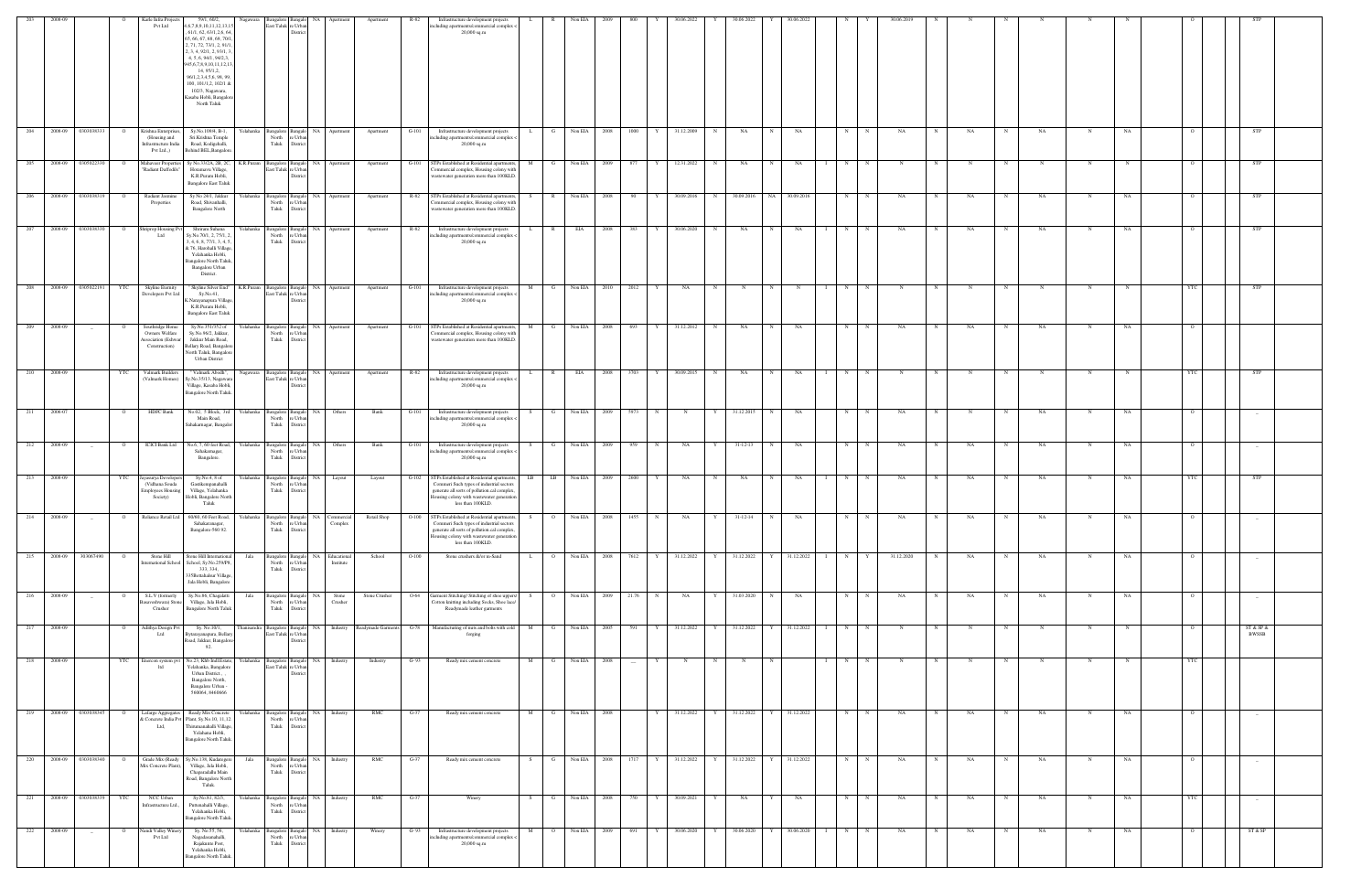|     |         |                    |                | Karle Infra Projects                                                             | 59/1, 60/2,                                                                                                                                                                                                                                                                                                                           |             |                                          |                                    |                                               | Apartment                      | R-82    | Infrastructure development projects                                                                                                                                                                        |                     | Non EIA |              |                          |   | 30.06.202    |            | 30.06.2022                 |              | 0.06.202       |   |              | 80.06.2019 |              |              |             |             |             |             |  |                |                                 |  |
|-----|---------|--------------------|----------------|----------------------------------------------------------------------------------|---------------------------------------------------------------------------------------------------------------------------------------------------------------------------------------------------------------------------------------------------------------------------------------------------------------------------------------|-------------|------------------------------------------|------------------------------------|-----------------------------------------------|--------------------------------|---------|------------------------------------------------------------------------------------------------------------------------------------------------------------------------------------------------------------|---------------------|---------|--------------|--------------------------|---|--------------|------------|----------------------------|--------------|----------------|---|--------------|------------|--------------|--------------|-------------|-------------|-------------|-------------|--|----------------|---------------------------------|--|
|     |         |                    |                | Pvt Ltd                                                                          | ,6,7,8,9,10,11,12,13,1<br>61/1, 62, 63/1, 2, 6, 64<br>65, 66, 67, 68, 69, 70/<br>2, 71, 72, 73/1, 2, 91/1<br>2, 3, 4, 92/1, 2, 93/1, 3<br>4, 5, 6, 94/1, 94/2,3,<br>945, 6, 7, 8, 9, 10, 11, 12, 13<br>14, 95/1, 2,<br>96/1,2,3,4,5,6, 98, 99,<br>100, 101/1,2, 102/1 &<br>102/3, Nagawara,<br>Kasaba Hobli, Bangalore<br>North Taluk |             | ast Taluk                                | 'e Urb<br>Distric                  |                                               |                                |         | ncluding apartments/commercial complex -<br>20,000 sq.m                                                                                                                                                    |                     |         |              |                          |   |              |            |                            |              |                |   |              |            |              |              |             |             |             |             |  |                |                                 |  |
| 204 | 2008-09 | 0303038333         | $\overline{O}$ | Krishna Enterprises<br>(Housing and<br>nfrastructure India<br>Pvt Ltd.,)         | Sy.No.109/4, B-1,<br>Sri.Krishna Temple<br>Road, Kodigehalli,<br>Behind BEL, Bangalore.                                                                                                                                                                                                                                               | Yelahanka   | <b>Bangalore</b><br>North<br>Taluk       | Bangak<br>e Urba<br>District       | NA Apartment                                  | Apartment                      | $G-101$ | Infrastructure development projects<br>including apartments/commercial complex <<br>$20,000$ sq.m                                                                                                          | G                   | Non EIA | 2008         | 1000                     | Y | 31.12.2009   | N          | NA                         | $\mathbf N$  | NA             | N |              | NA         | N            | NA           | N           | NA          |             | NA          |  | $\overline{O}$ | STP                             |  |
| 205 | 2008-09 | 0305022330         | $\overline{O}$ | Aahaveer Propertie<br>'Radiant Daffodils"                                        | Sy No.33/2A, 2B, 2C,<br>Horamavu Village,<br>K.R.Puram Hobli,<br><b>Bangalore East Taluk</b>                                                                                                                                                                                                                                          | K.R.Puram   | angalore<br>last Taluk re Urba           | NA  <br>Distri                     | Apartment                                     | Apartment                      | $G-101$ | STPs Established at Residential apartments,<br>Commercial complex, Housing colony with<br>wastewater generation more than 100KLD.                                                                          | M<br>G              | Non EIA | 2009         | 877                      | Y | 12.31.2022   | N          | NA                         | N            | NA             | N | N            | $_{\rm N}$ |              |              |             | N           | N           |             |  | $\overline{O}$ | STP                             |  |
| 206 |         | 2008-09 0303038319 | $\overline{O}$ | Radiant Jasmine<br>Properties                                                    | Sy No 24/1, Jakkur<br>Road, Shivanhalli,<br><b>Bangalore North</b>                                                                                                                                                                                                                                                                    | Yelahanka   | angalore<br>North<br>Taluk               | Bangal<br>∘ Urb:<br>District       | NA Apartment                                  | Apartment                      |         | R-82 STPs Established at Residential apartments,<br>Commercial complex, Housing colony with<br>wastewater generation more than 100KLD.                                                                     | R<br>S.             |         | Non EIA 2008 | 90                       | Y | 30.09.2016   |            | N 30.09.2016 NA 30.09.2016 |              |                | N | N            | NA         |              | NA           | N           | NA          |             | NA          |  |                | STP                             |  |
|     | 2008-09 | 0303038330         |                | triprop Housing I<br>Ltd                                                         | Shriram Suhana<br>Sy.No.70/1, 2, 75/1, 2<br>3, 4, 6, 8, 77/1, 3, 4, 5,<br>& 76, Harohalli Village,<br>Yelahanka Hobli,<br><b>Bangalore North Taluk,</b><br>Bangalore Urban<br>District.                                                                                                                                               | Yelahanka   | Bangalore<br>North<br>Taluk              | NA.<br>Banga<br>'e Urba<br>Distric | Apartment                                     | Apartment                      | R-82    | Infrastructure development projects<br>ncluding apartments/commercial complex -<br>20,000 sq.m                                                                                                             | R                   | EIA     | 2008         | 383                      |   | 30.06.2020   | N          | NA                         |              | NA             | N |              | NA         |              | NA           |             | NA          |             | NA          |  | $\circ$        | <b>STP</b>                      |  |
| 208 | 2008-09 | 0305022191         | YTC            | Skyline Eternity<br>Developers Pvt Ltd                                           | " Skyline Silver End"<br>Sy.No.41,<br>C.Narayanapura Village,<br>K.R.Puram Hobli,<br><b>Bangalore East Taluk</b>                                                                                                                                                                                                                      | K.R.Puram   | Bangalore<br>ast Taluk r                 | Bangalo<br>re Urba                 | NA Apartment                                  | Apartment                      | $G-101$ | Infrastructure development projects<br>ncluding apartments/commercial complex -<br>20,000 sq.m                                                                                                             | м                   | Non EIA | 2010         | 2012                     |   | NA           | $_{\rm N}$ |                            |              | N              | N |              |            |              |              |             |             | N           |             |  | YTC            | <b>STP</b>                      |  |
| 209 | 2008-09 |                    | $\Omega$       | Southridge Home<br>Owners Welfare<br><b>Association</b> (Eshwar<br>Construction) | Sy.No.351/352 of<br>Sy.No.96/2, Jakkur,<br>Jakkur Main Road,<br>Bellary Road, Bangalore<br>North Taluk, Bangalore<br><b>Urban District</b>                                                                                                                                                                                            | Yelahanka   | Bangalore<br>North<br>Taluk              | e Urba<br>District                 | NA Apartment                                  | Apartment                      | $G-101$ | STPs Established at Residential apartments,<br>Commercial complex, Housing colony with<br>wastewater generation more than 100KLD.                                                                          | M<br>$\mathbf{G}$   | Non EIA | 2008         | 693                      | Y | 31.12.2012   | N          | NA                         | $\mathbf N$  | NA             | N | N            | NA         | N            | $_{\rm NA}$  | N           | NA          | N           | NA          |  | $\Omega$       |                                 |  |
| 210 | 2008-09 |                    | YTC            | Valmark Builders<br>(Valmark Homes)                                              | " Valmark Abodh",<br>Sy.No.35/13, Nagawara<br>Village, Kasaba Hobli,<br>Bangalore North Taluk.                                                                                                                                                                                                                                        | Nagawara    | East Taluk re Urban                      | Distric                            | Bangalore Bangalo NA Apartment                | Apartment                      | R-82    | Infrastructure development projects<br>ncluding apartments/commercial complex <<br>$20,\!000$ sq.m                                                                                                         | R                   | EIA     | 2008         | 3703                     | Y | 30.09.2015   | N          | NA                         | $\mathbf N$  | NA             | N | N            | N          | N            | $_{\rm N}$   | N           | $\mathbf N$ | $\mathbf N$ |             |  | YTC            | STP                             |  |
| 211 | 2006-07 |                    | $\overline{O}$ | HDFC Bank                                                                        | No.02, 5 Block, 3rd<br>Main Road,<br>Sahakarnagar, Bangalor                                                                                                                                                                                                                                                                           | Yelahanka   | <b>Bangalore</b><br>North<br>Taluk       | Bangalo<br>Distric                 | NA Others                                     | Bank                           | $G-101$ | Infrastructure development projects<br>ncluding apartments/commercial complex <<br>20,000 sq.m                                                                                                             | G<br>S.             |         | Non EIA 2009 | 5973                     | N | N            | Y I        | 31.12.2015                 | N            | NA             | N |              | NA         |              | N            | $\mathbf N$ | NA          | N           | NA          |  | $\mathbf{o}$   | $-$                             |  |
| 212 | 2008-09 | $\sim$             | $\mathbf{o}$   | <b>ICICI Bank Ltd</b>                                                            | No.6, 7, 60 feet Road,<br>Sahakarnagar,<br>Bangalore.                                                                                                                                                                                                                                                                                 | Yelahanka   | Bangalore<br>North<br>Taluk              | NA<br>e Urba<br>District           | Others                                        | Bank                           | $G-101$ | Infrastructure development projects<br>ncluding apartments/commercial complex <<br>$20,000$ sq.m                                                                                                           | G                   | Non EIA | 2009         | 959                      | N | NA           | Y          | $31 - 12 - 13$             | N            | <b>NA</b>      | N | $\mathbf N$  | NA         | $_{\rm N}$   | NA           | N           | NA          | N           | NA          |  | $\Omega$       |                                 |  |
| 213 | 2008-09 |                    | YTC            | ayasurya Develope<br>(Vidhana Souda<br><b>Employees Housing</b><br>Society)      | Sy.No.4, 8 of<br>Gastikempanahalli<br>Village, Yelahanka<br>Hobli, Bangalore North<br>Taluk                                                                                                                                                                                                                                           | Yelahanka   | Bangalore<br>North<br>Taluk              | NA.<br>Banga<br>'e Urba<br>Distric | Layout                                        | Layout                         | $G-102$ | STPs Established at Residential apartments<br>Commeri Such types of industrial sectors<br>generate all sorts of pollution.cal complex.<br>Housing colony with wastewater generation<br>less than 100KLD.   | LB<br>LB 1          | Non EIA | 2009         | 2600                     |   | NA           | N          | NA                         |              | NA             | N |              | NA         |              | NA           |             | NA          | N           | NA          |  | YTC            | STP                             |  |
| 214 | 2008-09 |                    |                | Rehance Retail Ltd                                                               | 60/60, 60 Feet Road.<br>Sahakaranagar,<br>Bangalore-560 92.                                                                                                                                                                                                                                                                           | Yelahanka   | North<br>Taluk                           | re Urban<br>District               | Commercial<br>Complex                         | Retail Shop                    | $O-100$ | s IPs Established at Residential apartments.<br>Commeri Such types of industrial sectors<br>generate all sorts of pollution.cal complex,<br>Housing colony with wastewater generation<br>less than 100KLD. | -S-                 | Non EIA | -2008 -      | 1455                     |   | - NA         |            | $31 - 12 - 14$             |              | NA.            |   |              |            |              |              |             |             |             |             |  |                |                                 |  |
| 215 |         | 2008-09 303067490  | $\overline{O}$ | Stone Hill<br>ternational School                                                 | Stone Hill International<br>School, Sy.No.259/P8,<br>333, 334,<br>335Bettahalsur Village,<br>Jala Hobli, Bangalore                                                                                                                                                                                                                    | Jala        | North<br>Taluk                           | e Urba<br>District                 | Bangalore Bangalo NA Educational<br>Institute | School                         | $O-100$ | Stone crushers &/or m-Sand                                                                                                                                                                                 | $\overline{O}$      |         | Non EIA 2008 | 7612                     | Y | 31.12.2022   |            | Y 31.12.2022 Y             |              | 31.12.2022 1   |   | $N$ $Y$      | 31.12.2020 | N            | NA           | N           | <b>NA</b>   | N           | NA          |  | $\overline{O}$ |                                 |  |
| 216 | 2008-09 | $-$                | $\overline{O}$ | S.L.V (formerly<br>Basaveshwara) Stone<br>Crusher                                | Sy.No.86, Chagalatti<br>Village, Jala Hobli,<br><b>Bangalore North Taluk</b>                                                                                                                                                                                                                                                          | Jala        | Bangalore Bangalo<br>North<br>Taluk      | NA .<br>re Urban<br>District       | Stone<br>Crusher                              | Stone Crusher                  | O-64    | Garment Stitching/ Stitching of shoe uppers/<br>Cotton knitting including Socks, Shoe lace/<br>Readymade leather garments                                                                                  | $\overline{O}$      | Non EIA | 2009         | 21.76                    | N | NA           |            | Y 31.03.2020               | N            | NA             | N | $\mathbf N$  | NA         | N            | NA           | N           | NA.         | $\mathbf N$ | NA          |  | $\overline{O}$ | $-$                             |  |
| 217 | 2008-09 |                    | $\overline{O}$ | Adithya Design Pvt<br>Ltd                                                        | Sy. No.10/1,<br>Bytarayanapura, Bellary<br>Road, Jakkur, Bangalore-<br>92.                                                                                                                                                                                                                                                            | Thanisandra | Bangalore Bangalo<br>East Taluk re Urban | District                           |                                               | NA Industry Readymade Garments |         | G-78 Manufacturing of nuts and bolts with cold<br>forging                                                                                                                                                  | M<br>$\mathbf{G}$   | Non EIA | 2005         | 591                      |   | Y 31.12.2022 |            | Y 31.12.2022               |              | Y 31.12.2022 I | N | $\mathbb{N}$ | N          | N            | N            | N           | $\mathbf N$ | $\mathbf N$ | $\mathbf N$ |  | $\overline{O}$ | ST & SP &<br><b>BWSSB</b>       |  |
| 218 | 2008-09 |                    | YTC            | Enercon system pvt<br>ltd                                                        | No.23, Khb Indl.Estate,<br>Yelahanka, Bangalore<br>Urban District.,<br>Bangalore North,<br>Bangalore Urban -<br>560064, 8460666                                                                                                                                                                                                       | Yelahanka   | East Taluk re Urban                      | Distric                            | Bangalore Bangalo NA Industry                 | Industry                       | $G-93$  | Ready mix cement concrete                                                                                                                                                                                  | M<br>G              | Non EIA | 2008         | $\overline{\phantom{a}}$ | Y | N            | N          | $_{\rm N}$                 | $\mathbf N$  |                | N | $_{\rm N}$   | N          | N            | $\mathbb{N}$ | N           | $\mathbf N$ | N           |             |  | YTC            |                                 |  |
| 219 | 2008-09 | 0303038345         | $\overline{O}$ | Lafarge Aggregates<br>Ltd,                                                       | Ready Mix Concrete<br>k Concrete India Pvt Plant, Sy.No.10, 11,12.<br>Thirumanahalli Village,<br>Yelahana Hobli,<br>Bangalore North Taluk.                                                                                                                                                                                            | Yelahanka   | Bangalore<br>North<br>Taluk              | Bangal<br>e Urban<br>District      | NA Industry                                   | RMC                            | $G-37$  | Ready mix cement concrete                                                                                                                                                                                  | M                   | Non EIA | 2008         |                          |   | 31.12.2022   | Y          | 31.12.2022                 |              | 31.12.2022     | N |              | NA         |              | NA           |             | NA          |             | NA          |  | $\circ$        | $-$                             |  |
| 220 | 2008-09 | 0303038340         | $\overline{O}$ | Grade Mix (Ready<br>Mix Concrete Plant),                                         | Sy.No.138, Kudaregere<br>Village, Jala Hobli,<br>Chaparadallu Main<br>Road, Bangalore North<br>Taluk.                                                                                                                                                                                                                                 | Jala        | Bangalore<br>North<br>Taluk              | NA<br>angal<br>e Urba<br>District  | Industry                                      | RMC                            | G-37    | Ready mix cement concrete                                                                                                                                                                                  | G<br>S.             | Non EIA | 2008         | 1717                     | Y | 31.12.2022   | Y          | 31.12.2022                 |              | 31.12.2022     | N | N            | NA         | N            | NA           |             | NA          | N           | NA          |  | $\overline{O}$ |                                 |  |
| 221 |         | 2008-09 0303038339 | YTC            | NCC Urban<br>Infrastructure Ltd.,                                                | Sy.No.81, 82/3,<br>Puttenahalli Village,<br>Yelahanka Hobli,<br>Bangalore North Taluk.                                                                                                                                                                                                                                                | Yelahanka   | North<br>Taluk                           | e Urb:<br>District                 | Bangalore Bangalo NA Industry                 | RMC                            | $G-37$  | Winery                                                                                                                                                                                                     | $\mathbf{G}$<br>S   |         | Non EIA 2008 | 750                      | Y | 30.09.2021   | Y          | NA                         | Y            | <b>NA</b>      | N | $\mathbb{N}$ | NA         | $\mathbb{N}$ | NA           | N           | <b>NA</b>   | $\mathbf N$ | NA          |  | YTC            | $\hspace{0.1mm}-\hspace{0.1mm}$ |  |
| 222 | 2008-09 | $\sim$             | $\circ$        | Nandi Valley Winer<br>Pvt Ltd                                                    | Sy. No.55, 56,<br>Nagadasanahalli,<br>Rajakunte Post,<br>Yelahanka Hobli,<br>Bangalore North Taluk.                                                                                                                                                                                                                                   | Yelahanka   | Bangalore Bangalo<br>North<br>Taluk      | e Urba<br>District                 | NA Industry                                   | Winery                         | $G-93$  | Infrastructure development projects<br>including apartments/commercial complex <<br>20,000 sq.m                                                                                                            | M<br>$\overline{O}$ | Non EIA | 2009         | 691                      | Y | 30.06.2020   | Y          | 30.06.2020                 | $\mathbf{Y}$ | 30.06.2020     | N | N            | NA         |              | $_{\rm NA}$  | $\mathbf N$ | NA          | N           | NA          |  | $\overline{O}$ | ST & SP                         |  |
|     |         |                    |                |                                                                                  |                                                                                                                                                                                                                                                                                                                                       |             |                                          |                                    |                                               |                                |         |                                                                                                                                                                                                            |                     |         |              |                          |   |              |            |                            |              |                |   |              |            |              |              |             |             |             |             |  |                |                                 |  |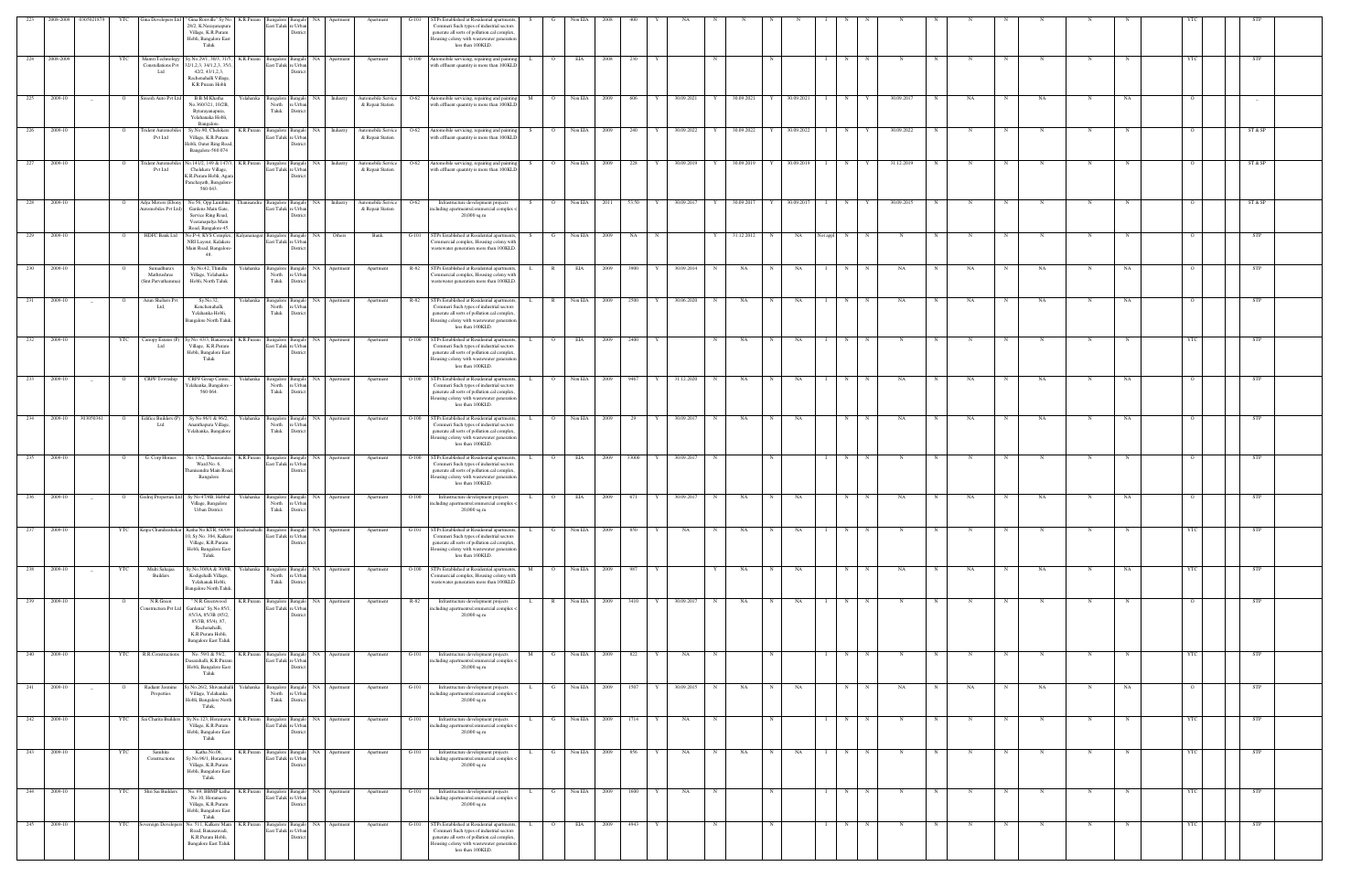|     |           | 223 2008-2009 0305021879 | YTC            |                                                | Gina Developers Ltd " Gina Ronville" Sy No. K.R.Puram                                                                             |                                          | Bangalore Bangalo NA                                    |                                          | Apartment                                     |         |                                                                                                                                                                                                           |     |                | Non EIA      |        |            |            |   |              |             |            |                     |    |             |   |    |   |            |            |    |            |            |  |
|-----|-----------|--------------------------|----------------|------------------------------------------------|-----------------------------------------------------------------------------------------------------------------------------------|------------------------------------------|---------------------------------------------------------|------------------------------------------|-----------------------------------------------|---------|-----------------------------------------------------------------------------------------------------------------------------------------------------------------------------------------------------------|-----|----------------|--------------|--------|------------|------------|---|--------------|-------------|------------|---------------------|----|-------------|---|----|---|------------|------------|----|------------|------------|--|
|     |           |                          |                |                                                | 28/2, K.Narayanapura<br>Village, K.R.Puram<br>Hobli, Bangalore East<br>Taluk                                                      |                                          | East Taluk re Urbar<br>Distric                          |                                          |                                               |         | TPs Established at Residential apartments,<br>Commeri Such types of industrial sectors<br>generate all sorts of pollution.cal complex.<br>ousing colony with wastewater generation<br>less than 100KLD.   |     |                |              |        |            |            |   |              |             |            |                     |    |             |   |    |   |            |            |    |            |            |  |
| 224 | 2008-2009 |                          | YTC            | Mantri Technology<br>Constellations Pvt<br>Ltd | Sy.No.29/1, 30/3, 31/5<br>K.R.Puram<br>2/1,2,3, 34/1,2,3, 35<br>42/2, 43/1, 2, 3,<br>Rachenahalli Village<br>K.R.Puram Hobli      | East Taluk re Urba                       | <b>Distric</b>                                          | Bangalore Bangalo NA Apartment           | Apartment                                     | $O-100$ | Automobile servicing, repairing and painting<br>with effluent quantity is more than 100KLD                                                                                                                |     | $\overline{O}$ | EIA          | 2008   | 230        |            |   |              | $\mathbf N$ |            | N                   |    | $_{\rm N}$  |   |    |   |            |            |    |            | <b>STP</b> |  |
| 225 | 2009-10   | $\sim$                   | $\overline{O}$ | Sireesh Auto Pvt Ltd                           | B.B.M.Khatha<br>Yelahanka<br>No.360/321, 10/2B,<br>Bytarayanapura,<br>Yelahanaka Hobli,                                           | North<br>Taluk                           | Bangalore Bangalo<br>e Urba<br>District                 | NA Industry                              | Automobile Service<br>& Repair Station        | $O-62$  | Automobile servicing, repairing and painting<br>with effluent quantity is more than 100KLD                                                                                                                | M   | $\overline{O}$ | Non EIA 2009 |        | 606<br>Y   | 30.09.2021 | Y | 30.09.2021   | Y           | 30.09.2021 | N                   | Y  | 30.09.2017  |   | NA | N | NA         | N          | NA |            |            |  |
| 226 | 2009-10   |                          |                | rident Automob<br>Pvt Ltd                      | Bangalore.<br>Sy.No.90, Chelekere<br>K.R.Puram<br>Village, K.R.Puram<br>Hobli, Outer Ring Road<br>Bangalore-560 074               | Bangalore Bangalo<br>East Taluk re Urban | NA<br>Distric                                           | Industry                                 | Automobile Service<br>& Repair Station        | $O-62$  | Automobile servicing, repairing and painting<br>with effluent quantity is more than 100KLD                                                                                                                |     | $\overline{O}$ | Non EIA 2009 |        | 240        | 30.09.2022 |   | 30.09.2022   |             | 30.09.2022 | N                   |    | 30.09.2022  |   |    |   |            | N          |    |            | ST & SP    |  |
| 227 | 2009-10   |                          |                | rident Automobile<br><b>Pvt Ltd</b>            | K.R.Puram<br>lo.141/2, 149 & 147/.<br>Chelekere Village,<br>K.R.Puram Hobli, Agar<br>Panchayath, Bangalore                        | East Taluk re Urbar                      | Bangalore Bangalo NA                                    | Industry                                 | <b>Automobile Service</b><br>& Repair Station | O-62    | Automobile servicing, repairing and painting<br>with effluent quantity is more than 100KLD                                                                                                                | - S | $\overline{O}$ | Non EIA      | - 2009 | 228        | 30.09.2019 | Y | 30.09.2019   | Y           | 30.09.2019 | N                   |    | 31.12.2019  |   |    |   | N          | N          |    |            | ST & SP    |  |
| 228 | 2009-10   |                          |                | Adya Motors (Ebony<br>utomobiles Pvt Ltd)      | 560 043.<br>No.56, Opp.Lumbini<br>Gardens Main Gate,<br>Service Ring Road,                                                        | last Taluk re Urba                       |                                                         | hanisandra Bangalore Bangalo NA Industry | Automobile Service<br>& Repair Station        | $O-62$  | Infrastructure development projects<br>ncluding apartments/commercial complex <<br>20,000 sq.m                                                                                                            |     | $\overline{O}$ | Non EIA 2011 |        | 53.50<br>Y | 30.09.2017 | Y | 30.09.2017 Y |             | 30.09.2017 | N<br>$\blacksquare$ | Y  | 30.09.2015  |   |    | N |            |            |    |            | ST & SP    |  |
| 229 | 2009-10   |                          |                | <b>HDFC Bank Ltd</b>                           | Veeranapalya Main<br>Road, Bangalore-45.<br>No.P-4, KVS Complex<br>alvananagar<br>NRI Layout, Kalakere<br>Main Road, Bangalore    | angalore<br>East Taluk re Urba           | <b>NA</b><br>District                                   | Others                                   | Bank                                          |         | TPs Established at Residential apartments<br>'ommercial complex, Housing colony with<br>vastewater generation more than 100KLD.                                                                           |     |                | Non EIA      |        | NA         |            |   | 31.12.2012   |             | NA         | N<br>Not appl       |    |             |   |    |   |            |            |    |            | STP        |  |
| 230 | 2009-10   |                          |                | Sumadhura's<br>Mathrushree<br>Smt.Parvathamm   | 48.<br>Sy.No.42, Thindlu<br>relahanka<br>Village, Yelahanka<br>Hobli, North Taluk                                                 | Bangalore<br>North<br>Taluk              | NA<br>e Urba<br>District                                | Apartment                                | Apartment                                     | R-82    | STPs Established at Residential apartments<br>'ommercial complex, Housing colony with<br>vastewater generation more than 100KLD.                                                                          |     |                | EIA          |        | 3900       | 30.09.2014 | N | NA           |             | NA         | N                   |    | NA          |   | NA |   | NA         |            | NA |            | STP        |  |
| 231 | 2009-10   | $-$                      |                | Arun Shelters Pvt<br>Ltd.                      | Sy.No.32,<br>relahanka<br>Kenchenahalli,<br>Yelahanka Hobli,                                                                      | Bangalore<br>North<br>Taluk              | NA<br>Bangak<br>: Urb<br>Distri                         | Apartment                                | Apartment                                     | R-82    | TPs Established at Residential apartments,<br>Commeri Such types of industrial sectors<br>generate all sorts of pollution.cal complex.                                                                    |     |                | Non EIA      | - 2009 | 2500       | 30.06.2020 | N | NA           |             | NA         | N                   |    | NA          |   | NA |   | NA         |            |    |            | STP        |  |
| 232 | 2009-10   |                          | <b>YTC</b>     | Canopy Estates (F<br>Ltd                       | Bangalore North Talul<br>K.R.Puram<br>y No. 43/3, Banaswa<br>Village, K.R.Puram                                                   | East Taluk re Urba                       | Bangalore Bangalo                                       | NA Apartment                             | Apartment                                     | $O-100$ | lousing colony with wastewater generation<br>less than 100KLD.<br>STPs Established at Residential apartments.<br>Commeri Such types of industrial sectors                                                 |     | $\overline{O}$ | <b>EIA</b>   | - 2009 | 2400       |            |   | NA           |             | NA         | N                   |    |             |   |    |   |            |            |    |            | STP        |  |
| 233 | 2009-10   |                          |                | CRPF Township                                  | Hobli, Bangalore East<br>Taluk<br>CRPF Group Centre<br>relahanka                                                                  |                                          | Bangalore Bangalo                                       | NA 1<br>Apartment                        | Apartment                                     | $O-100$ | generate all sorts of pollution.cal complex.<br>lousing colony with wastewater generation<br>less than 100KLD.<br>STPs Established at Residential apartments                                              |     | $\overline{O}$ | Non EIA      | 2009   | 9467<br>Y  | 31.12.2020 | N | NA           | N           | NA         | N                   |    | NA          |   | NA |   | NA         |            | NA |            | STP        |  |
|     |           |                          |                |                                                | r'elahanka, Bangalore<br>560 064.                                                                                                 | North<br>Taluk                           | re Urbar<br>District                                    |                                          |                                               |         | Commeri Such types of industrial sectors<br>generate all sorts of pollution.cal complex<br>lousing colony with wastewater generation<br>less than 100KLD.                                                 |     |                |              |        |            |            |   |              |             |            |                     |    |             |   |    |   |            |            |    |            |            |  |
| 234 | 2009-10   | 303050361                |                | Edifice Builders (<br>Ltd                      | Sy No.96/1 & 96/2,<br>Yelahanka<br>Ananthapura Village,<br>Yelahanka, Bangalore                                                   | North<br>Taluk                           | Bangalore Bangalo<br><b>NA</b><br>e Urba<br>District    | Apartment                                | Apartment                                     | $O-100$ | STPs Established at Residential apartments,<br>Commeri Such types of industrial sectors<br>generate all sorts of pollution.cal complex.<br>Iousing colony with wastewater generation<br>less than 100KLD. |     | $\overline{O}$ | Non EIA 2009 |        | 29         | 30.09.2017 | N | NA           |             | NA         | N                   |    | NA          |   | NA |   | NA         |            | NA |            | <b>STP</b> |  |
| 235 | 2009-10   |                          |                | G. Corp Homes                                  | K.R.Puram<br>No. 13/2, Thanisandra<br>Ward No. 6,<br>hanisandra Main Roa<br>Bangalore                                             |                                          | angalore Bangalo<br>ast Taluk re Urba<br>Distric        | NA 1<br>Apartment                        | Apartment                                     | $O-100$ | STPs Established at Residential apartments<br>Commeri Such types of industrial sectors<br>generate all sorts of pollution.cal complex.<br>Iousing colony with wastewater generation<br>less than 100KLD.  |     | $\overline{O}$ | EIA          | - 2009 | 33000      | 30.09.2017 |   |              |             |            | N                   |    |             |   |    |   |            |            |    |            | STP        |  |
| 236 | 2009-10   |                          |                |                                                | Godrej Properties Ltd Sy No 47/4B, Hebbal<br>r′elahanka<br>Village, Bangalore<br>Urban District.                                  | <b>Bangalore</b><br>North<br>Taluk       | NA<br>Banga<br>e Urba<br>District                       | Apartmer                                 | Apartment                                     | $O-100$ | Infrastructure development projects<br>ncluding apartments/commercial complex -<br>$20,000$ sq.m                                                                                                          |     | $\circ$        | EIA          | 2009   | 671        | 30.09.2017 | N | NA           |             | NA         | N                   |    | NA          |   | NA |   | NA         |            | NA |            | STP        |  |
| 237 | 2009-10   |                          | YTC            |                                                | Kripa Chandrashekar Katha No.KTR, 66/09-<br>Rachenahalli<br>0, Sy No. 384, Kalkere<br>Village, K.R.Puram<br>Hobli, Bangalore East | East Taluk re Urbar                      | Bangalore Bangalo NA<br>District                        | Apartment                                | Apartment                                     | G-101   | <b>STPs Established at Residential apartments</b><br>Commeri Such types of industrial sectors<br>generate all sorts of pollution.cal complex,<br>lousing colony with wastewater generation                |     |                | Non EIA      | 2009   | 850        | NA         | N | NA           |             | NA         | N                   |    |             |   |    |   |            |            |    |            | STP        |  |
| 238 | 2009-10   | $\sim$                   | YTC            | Multi Sahajaa<br>Builders                      | Taluk.<br>Sy.No.30/8A & 30/8B<br>relahanka<br>Kodigehalli Village,<br>Yelahanak Hobli,                                            | North<br>Taluk                           | e Urba<br>District                                      | angalore Bangalo NA Apartment            | Apartment                                     | $O-100$ | less than 100KLD.<br>STPs Established at Residential apartments<br>ommercial complex, Housing colony with<br>vastewater generation more than 100KLD.                                                      |     | $\Omega$       | Non EIA 2009 |        | 987        |            |   | NA           | N           | NA         | N                   |    | NΑ          |   | NA | N | NA         |            | NA | <b>YTC</b> | STP        |  |
| 239 | 2009-10   |                          |                | N.R.Green<br>onstruction Pvt Ltc               | Bangalore North Taluk<br>" N.R.Greenwood<br>K.R.Puram<br>Gardenia" Sy.No.85/1<br>85/3A, 85/3B (85/2,                              | Bangalore Bangal                         | East Taluk re Urban<br>Distric                          | NA 1<br>Apartment                        | Apartment                                     | R-82    | Infrastructure development projects<br>cluding apartments/commercial complex <<br>20,000 sq.m                                                                                                             |     | $\mathbb{R}$   | Non EIA 2009 |        | 3410       | 30.09.2017 | N | NA           |             | NA         | N                   |    | N           |   |    |   | N          | N          |    | $\circ$    | <b>STP</b> |  |
|     |           |                          |                |                                                | 85/3B, 85/4), 87,<br>Rachenahalli,<br>K.R.Puram Hobli,<br><b>Bangalore East Taluk</b>                                             |                                          |                                                         |                                          |                                               |         |                                                                                                                                                                                                           |     |                |              |        |            |            |   |              |             |            |                     |    |             |   |    |   |            |            |    |            |            |  |
| 240 | 2009-10   |                          | YTC            | R.R.Constructions                              | No. 59/1 & 59/2,<br>K.R.Puram<br>Dasarahalli, K.R.Puran<br>Hobli, Bangalore East<br>Taluk                                         |                                          | Bangalore Bangalo NA<br>East Taluk re Urbar<br>District | Apartment                                | Apartment                                     | $G-101$ | Infrastructure development projects<br>ncluding apartments/commercial complex <<br>$20,000$ sq.m                                                                                                          | M   | G              | Non EIA      | 2009   | 822        | NA         | N |              | N           |            | N                   | -N | N           | N | N  | N | $_{\rm N}$ | N          |    | <b>YTC</b> | <b>STP</b> |  |
| 241 | 2009-10   | $\sim$                   | $\overline{O}$ | Radiant Jasmine<br>Properties                  | y.No.26/2, Shivanahall<br>Yelahanka<br>Village, Yelahanka<br>Hobli, Bangalore North<br>Taluk,                                     | North<br>Taluk                           | e Urba<br>District                                      | Bangalore Bangalo NA Apartment           | Apartment                                     | $G-101$ | Infrastructure development projects<br>acluding apartments/commercial complex -<br>$20,000$ sq.m                                                                                                          |     | G              | Non EIA 2009 |        | 1507<br>Y  | 30.09.2015 | N | NA           | N           | NA         | N                   | N  | NA          | N | NA | N | NA         | $_{\rm N}$ | NA | $\Omega$   | <b>STP</b> |  |
| 242 | 2009-10   |                          | YTC            | Sai Charita Builder                            | Sy.No.123, Horamay<br>K.R.Puram<br>Village, K.R.Puram<br>Hobli, Bangalore East<br>Taluk                                           | sangalore Bangal<br>East Taluk re Urbar  | NA<br>District                                          | Apartmen                                 | Apartment                                     | G-101   | Infrastructure development projects<br>ncluding apartments/commercial complex <<br>20,000 sq.m                                                                                                            |     | G              | Non EIA      | -2009  | 1714       | NA         |   |              |             |            | N                   |    |             |   |    |   |            |            |    | YTC        | STP        |  |
| 243 | 2009-10   |                          | YTC            | Samhita<br>Constructions                       | K.R.Puram<br>Katha No.06,<br>Sy.No.96/1, Horama<br>Village, K.R.Puram<br>Hobli, Bangalore East<br>Taluk.                          |                                          | Bangalore Bangalo NA<br>East Taluk re Urban<br>District | Apartment                                | Apartment                                     | G-101   | Infrastructure development projects<br>ncluding apartments/commercial complex -<br>$20,000$ sq.m                                                                                                          |     | G              | Non EIA      | 2009   | 856        | NA         | N | NA           | N           | NA         | N                   |    | $\mathbf N$ | N |    | N | N          | N          |    | <b>YTC</b> | <b>STP</b> |  |
| 244 | 2009-10   |                          | YTC            | Shri Sai Builders                              | No. 69, BBMP katha<br>K.R.Puram<br>No.10, Horamavu<br>Village, K.R.Puram<br>Hobli, Bangalore East<br>Taluk                        | last Taluk re Urba                       | Bangalore Bangalo NA<br>District                        | Apartment                                | Apartment                                     | $G-101$ | Infrastructure development projects<br>cluding apartments/commercial complex<br>20,000 sq.m                                                                                                               |     | G              | Non EIA      | 2009   | 1600       | NA         | N |              |             |            | N                   |    | N           |   |    | N |            | N          |    | YTC        | <b>STP</b> |  |
| 245 | 2009-10   |                          | YTC            | overeign Develop                               | No. 511, Kalkere Main<br>K.R.Puram<br>Road, Banasawadi,<br>K.R.Puram Hobli,<br><b>Bangalore East Taluk</b>                        | East Taluk re Urbar                      | sangalore Bangalo<br>District                           | NA Apartment                             | Apartment                                     | G-101   | STPs Established at Residential apartments<br>Commeri Such types of industrial sectors<br>generate all sorts of pollution.cal complex.<br>lousing colony with wastewater generation<br>less than 100KLD.  |     | $\overline{O}$ | EIA          | - 2009 | 4943       |            |   |              |             |            | N                   |    |             |   |    |   |            |            |    | YTC        | STP        |  |
|     |           |                          |                |                                                |                                                                                                                                   |                                          |                                                         |                                          |                                               |         |                                                                                                                                                                                                           |     |                |              |        |            |            |   |              |             |            |                     |    |             |   |    |   |            |            |    |            |            |  |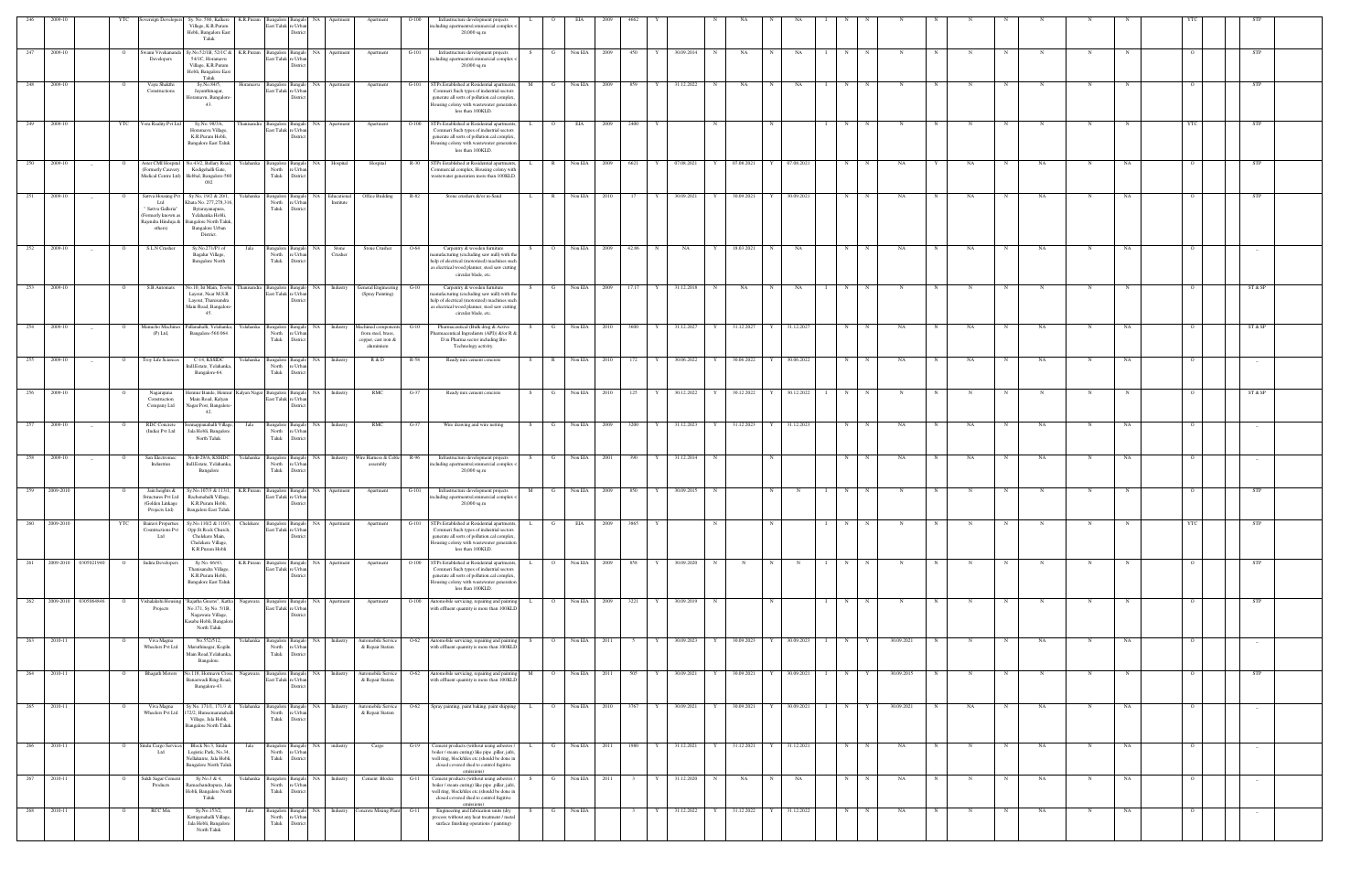|     | 2009-10                  | YTC            | vereign Develope                                                                                       | Sy. No. 586, Kalkere K.R.Puram<br>Village, K.R.Puram<br>Hobli, Bangalore East<br>Taluk                                                             | Bangalore Bangalo<br>East Taluk re Urban               | NA<br>Distric                                    | Apartment                                     | Apartment                                                                                                   | $O-100$ | Infrastructure development projects<br>including apartments/commercial complex <<br>$20,000$ sq.m                                                                                                       |                     |                |      |                |                            |   |                         |              |              |                   |             |            |   |            |             |            |             |    |                |                                 |  |
|-----|--------------------------|----------------|--------------------------------------------------------------------------------------------------------|----------------------------------------------------------------------------------------------------------------------------------------------------|--------------------------------------------------------|--------------------------------------------------|-----------------------------------------------|-------------------------------------------------------------------------------------------------------------|---------|---------------------------------------------------------------------------------------------------------------------------------------------------------------------------------------------------------|---------------------|----------------|------|----------------|----------------------------|---|-------------------------|--------------|--------------|-------------------|-------------|------------|---|------------|-------------|------------|-------------|----|----------------|---------------------------------|--|
| 247 | 2009-10                  | $\overline{O}$ | Swami Vivekananda<br>Developers                                                                        | Sy.No.52/1B, 52/1C & K.R.Puram<br>54/1C, Horamavu<br>Village, K.R.Puram<br>Hobli, Bangalore East<br>Taluk                                          | East Taluk re Urban                                    |                                                  | Bangalore Bangalo NA Apartment                | Apartment                                                                                                   | $G-101$ | Infrastructure development projects<br>including apartments/commercial complex <<br>$20,000$ sq.m                                                                                                       | $\mathbf{G}$<br>S.  | Non EIA        | 2009 | 450 Y          | 30.09.2014                 | N | NA                      | N            | NA           | N<br>$\mathbf{I}$ | N           | N          | N | N          | N           | $_{\rm N}$ | N           |    |                | <b>STP</b>                      |  |
|     | 248 2009-10              |                | Vayu Shakthi<br>Constructions                                                                          | Sy.No.84/5,<br>Jayanthinagar,<br>Horamavu, Bangalore<br>43.                                                                                        | Horamavu<br>Bangalore Bangalo<br>East Taluk re Urba    | Distric                                          | NA Apartment                                  | Apartment                                                                                                   | G-101   | STPs Established at Residential apartment<br>Commeri Such types of industrial sector<br>generate all sorts of pollution.cal complex<br>lousing colony with wastewater generation<br>less than 100KLD.   | M<br>GI             | Non EIA 2009   |      | 859            | 31.12.2022                 | N | NA                      |              | NA           | N                 |             |            |   |            |             |            |             |    |                | STP                             |  |
| 249 | 2009-10                  | YTC            | Vora Reality Pvt Ltd                                                                                   | Sy.No. 98/3A,<br>Horamavu Village,<br>K.R.Puram Hobli,<br><b>Bangalore East Taluk</b>                                                              | hanisandra<br>Bangalore Bangalo<br>East Taluk re Urban | <b>NA</b><br>District                            | Apartment                                     | Apartment                                                                                                   | $O-100$ | STPs Established at Residential apartments<br>Commeri Such types of industrial sectors<br>generate all sorts of pollution.cal complex<br>lousing colony with wastewater generation<br>less than 100KLD. |                     | EIA            | 2009 | 2400           |                            |   |                         |              |              | N                 |             | N          |   |            |             | N          | N           |    |                | STP                             |  |
| 250 | 2009-10                  |                | Aster CMI Hospital<br>Formerly Cauvery<br>Medical Centre Ltd)                                          | No.43/2, Bellary Road,<br>Kodigehalli Gate,<br>Hebbal, Bangalore-560<br>092                                                                        | Yelahanka<br>Bangalore Bangalo<br>North<br>Taluk       | <b>NA</b><br>e Urba<br>District                  | Hospital                                      | Hospital                                                                                                    | $R-30$  | STPs Established at Residential apartments<br>Commercial complex, Housing colony with<br>wastewater generation more than 100KLD                                                                         |                     | Non EIA        | 2009 | 6621           | 07.08.2021                 | Y | 07.08.2021              |              | 07.08.2021   | N                 |             | NA         |   | NA         |             | NA         |             | NA |                | STP                             |  |
| 251 | 2009-10                  |                | Sattva Housing Pv<br>ht I<br>" Sattva Galleria'<br>(Formerly known as<br>Rajendra Hinduja &<br>others) | Sy No, 19/2 & 20/1,<br>Khata No. 277,278,31<br>Bytarayanapura,<br>Yelahanka Hobli,<br><b>Bangalore North Talul</b><br>Bangalore Urban<br>District. | Yelahanka<br>North<br>Taluk                            | e Urh<br>Distric                                 | Bangalore Bangalo NA Educational<br>Institute | Office Building                                                                                             | $R-82$  | Stone crushers &/or m-Sand                                                                                                                                                                              | R<br>L.             | Non EIA        | 2010 | $17$ Y         | 30.09.2021                 | Y | 30.09.2021              |              | 30.09.2021   | N                 | $\mathbf N$ | NA         |   | NA         |             | NA         |             | NA |                | <b>STP</b>                      |  |
| 252 | 2009-10<br>$\sim$        | $\circ$        | S.L.N Crusher                                                                                          | Sy.No.271/P1 of<br>Bagalur Village,<br><b>Bangalore North</b>                                                                                      | Bangalore Bangalo<br>Jala<br>North<br>Taluk            | <b>NA</b><br>re Urban<br>District                | Stone<br>Crusher                              | Stone Crusher                                                                                               | $O-64$  | Carpentry & wooden furniture<br>nanufacturing (excluding saw mill) with the<br>help of electrical (motorized) machines such<br>as electrical wood planner, steel saw cutting<br>circular blade, etc.    | $\circ$             | Non EIA        | 2009 | 42.86          | $\mathbf N$<br>NA          | Y | 18.03.2021              | N            | NA           | N                 |             | NA         |   | NA         |             | NA         | N           | NA |                | $-$                             |  |
| 253 | 2009-10                  | $\overline{O}$ | S.B.Automats                                                                                           | Vo.10, Ist Main, Tooba<br>Layout, Near M.S.R<br>Layout, Thanisandra<br>Main Road, Bangalore<br>45.                                                 | hanisandra<br>East Taluk re Urban                      |                                                  | Bangalore Bangalo NA Industry                 | General Engineering<br>(Spray Painting)                                                                     | G-10    | Carpentry & wooden furniture<br>anufacturing (excluding saw mill) with the<br>help of electrical (motorized) machines such<br>as electrical wood planner, steel saw cutting<br>circular blade, etc.     | G                   | Non EIA        | 2009 | 17.17          | 31.12.2018<br>Y            | N | NA                      | N            | NA           | N                 |             | N          |   |            |             | N          | N           |    |                | ST & SP                         |  |
| 254 | 2009-10                  | $\mathbf{o}$   | Manucho Machine:<br>$(P)$ Ltd,                                                                         | Pallanahalli, Yelahanka,<br>Bangalore-560 064                                                                                                      | Yelahanka<br>North<br>Taluk                            | e Urb<br>District                                |                                               | Bangalore Bangalo NA Industry Machined components<br>from steel, brass,<br>copper, cast iron &<br>aluminium | $G-10$  | Pharmaceutical (Bulk drug & Active<br>Pharmaceutical Ingredients (API)) &/or R &<br>D in Pharma sector including Bio<br>Technology activity.                                                            | S.                  | G Non EIA 2010 |      | 3600           | 31.12.2027<br>Y            | Y | 31.12.2027              | Y 31.12.2027 |              | N                 | $\mathbf N$ | NA         |   | NA         | N           | NA         |             | NA |                | ST & SP                         |  |
| 255 | 2009-10<br>$\sim$        |                | Troy Life Sciences                                                                                     | C-14, KSSIDC<br>indl.Estate, Yelahanka<br>Bangalore-64.                                                                                            | relahanka<br>Bangalore Banga<br>North<br>Taluk         | NA<br>e Urba<br>District                         | Industry                                      | R & D                                                                                                       | R-58    | Ready mix cement concrete                                                                                                                                                                               |                     | Non EIA        | 2010 | 172            | 30.06.2022                 |   | 30.06.2022              |              | 30.06.2022   | N                 |             | NA         |   | NA         |             | NA.        |             |    |                | $-$                             |  |
| 256 | 2009-10                  |                | Nagarajuna<br>Construction<br>Company Ltd                                                              | Iennur Bande, Hennur<br>Main Road, Kalyan<br>Nagar Post, Bangalore-<br>42.                                                                         | Kalyan Nagar Bangalore Bangalo<br>East Taluk re Urbar  | NA<br>Distric                                    | Industry                                      | RMC                                                                                                         | G-37    | Ready mix cement concrete                                                                                                                                                                               | S.                  | Non EIA        | 2010 | 125            | 30.12.2022                 | Y | 30.12.2022              |              | 30.12.2022   | N                 |             |            |   |            |             |            |             |    |                | ST & SP                         |  |
|     | 2009-10                  |                | RDC Concrete<br>(India) Pvt Ltd                                                                        | nnappanahalli Village,<br>Jala Hobli, Bangalor<br>North Taluk.                                                                                     | Jala<br>North<br>Taluk                                 | e Urb<br>Distri                                  | Bangalore Bangalo NA Industry                 | RMC                                                                                                         | $G-37$  | Wire drawing and wire netting                                                                                                                                                                           | G<br>S.             | Non EIA        | 2009 | 3200           | 31.12.2023                 | Y | 31.12.2023              |              | 31.12.2023   | N                 |             | NA         |   | NA         |             | <b>NA</b>  |             | NA |                |                                 |  |
| 258 | 2009-10<br>$\sim$        | $\overline{O}$ | San Electromec<br>Industries                                                                           | No.B-29/A, KSSIDC<br>Indl.Estate, Yelahank<br>Bangalore                                                                                            | Yelahanka<br>Bangalore Bangalo<br>North<br>Taluk       | e Urba<br>District                               |                                               | NA Industry Wire Harness & Cable<br>assembly                                                                | R-96    | Infrastructure development projects<br>including apartments/commercial complex <<br>$20,000$ sq.m                                                                                                       | G                   | Non EIA        | 2001 | 390            | 31.12.2014                 | N |                         |              |              | N                 | N           | NA         |   | NA         | N           | NA         | N           | NA |                |                                 |  |
|     | 259 2009-2010            |                | Jain heights &<br>Structures Pvt Ltd<br>(Golden Linkage<br>Projects Ltd)                               | Sy.No.107/3 & 113/1,<br>Rachenahalli Village<br>K.R.Puram Hobli,<br>Bangalore East Taluk.                                                          | K.R.Puram<br>East Taluk re Urbar                       | Distri                                           | Bangalore Bangalo NA Apartment                | Apartment                                                                                                   | $G-101$ | Infrastructure development projects<br>including apartments/commercial complex <<br>$20,000$ sq.m                                                                                                       | M<br>G              | Non EIA        | 2009 | 850            | 30.09.2015                 |   |                         | N            |              | N                 |             |            |   |            |             |            |             |    |                | <b>STP</b>                      |  |
| 260 | 2009-2010                | YTC            | <b>Bairavi Properties</b><br><b>Cosntructions Pvt</b><br>Ltd                                           | Sy.No.110/2 & 110/3,<br>Opp.St.Rock Church.<br>Chelekere Main,<br>Chelekere Village,<br>K.R.Puram Hobli                                            | Chelekere<br>East Taluk re Urban                       | Bangalore Bangalo NA<br>District                 | Apartment                                     | Apartment                                                                                                   | $G-101$ | STPs Established at Residential apartment<br>Commeri Such types of industrial sectors<br>generate all sorts of pollution.cal complex<br>lousing colony with wastewater generation<br>less than 100KLD.  | L.<br>G             | EIA            | 2009 |                |                            |   |                         |              |              |                   |             |            |   |            |             |            |             |    |                |                                 |  |
|     | 261 2009-2010 0305021940 | $\overline{O}$ | Indira Developers                                                                                      | Sy No. 66/43,<br>Thanisandra Village.<br>K.R.Puram Hobli,<br><b>Bangalore East Taluk</b>                                                           | K.R.Puram<br>East Taluk re Urba                        | District                                         | Bangalore Bangalo NA Apartment                | Apartment                                                                                                   | $O-100$ | STPs Established at Residential apartments<br>Commeri Such types of industrial sector<br>generate all sorts of pollution.cal complex<br>Housing colony with wastewater generation<br>less than 100KLD.  | $\Omega$            | Non EIA        | 2009 | 858            | 30.09.2020<br>$\mathbf{v}$ | N | N                       | N            | N            | N                 | N           | N          | N |            | $\mathbf N$ | N          | $\mathbf N$ |    |                | <b>STP</b>                      |  |
| 262 | 2009-2010 0305064846     |                | ishalakshi Housi<br>Projects                                                                           | Rajatha Greens", Katha<br>No.171, Sy No. 5/1B,<br>Nagawara Village,<br>Kasaba Hobli, Bangalor<br>North Taluk                                       | Nagawara<br>Bangalore Bangalo<br>East Taluk re Urbar   | NA 1<br>District                                 | Apartment                                     | Apartment                                                                                                   | $O-100$ | Automobile servicing, repairing and painting<br>with effluent quantity is more than 100KLD                                                                                                              |                     | Non EIA        | 2009 | 3221           | 30.09.2019                 | N |                         |              |              | N                 |             |            |   |            |             |            |             |    |                | STP                             |  |
| 263 | 2010-11                  |                | Viva Magna<br>Wheelers Pvt Ltd                                                                         | No.552/512,<br>Maruthinagar, Kogilu<br>Main Road, Yelahanka,<br>Bangalore.                                                                         | Yelahanka<br>North<br>Taluk                            | angalore Bangalo<br>  NA<br>re Urbar<br>District | Industry                                      | Automobile Service<br>& Repair Station                                                                      | O-62    | Automobile servicing, repairing and painting<br>with effluent quantity is more than 100KLD                                                                                                              |                     | Non EIA        | 2011 |                | 30.09.2023                 | Y | 30.09.2023              |              | 30.09.2023   | N                 |             | 30.09.2021 |   |            |             | NA         | N           | NA |                |                                 |  |
| 264 | 2010-11                  |                | <b>Bhagath Motors</b>                                                                                  | o.118, Hormavu Cross.<br>Banaswadi Ring Road<br>Bangalore-43.                                                                                      | Bangalore Bangalo<br>Nagawara<br>East Taluk re Urba    | Distric                                          | NA Industry                                   | Automobile Service<br>& Repair Station                                                                      | O-62    | Automobile servicing, repairing and painting<br>with effluent quantity is more than 100KLD                                                                                                              |                     | Non EIA        | 2011 | 505            | 30.09.2021                 |   | 30.09.2021              |              | 30.09.2021   | N                 |             | 30.09.2015 |   |            |             |            |             |    |                | STP                             |  |
| 265 | 2010-11                  | $\overline{O}$ | Viva Magna<br>Wheelers Pvt Ltd                                                                         | Sy No. 171/1, 171/3 &<br>172/2, Hunsemaranahal<br>Village, Jala Hobli,<br>Bangalore North Taluk.                                                   | Yelahanka<br>Bangalore Bangalo<br>North<br>Taluk       | re Urban<br>District                             | NA Industry                                   | Automobile Service<br>& Repair Station                                                                      | $O-62$  | Spray painting, paint baking, paint shipping                                                                                                                                                            | $\overline{O}$<br>L | Non EIA        | 2010 | 3767           | 30.09.2021                 | Y | 30.09.2021              | Y            | 30.09.2021   | N                 |             | 30.09.2021 |   | NA         | $_{\rm N}$  | NA         | N           | NA |                | $-$                             |  |
|     | 266 2010-11              | $\overline{O}$ | Sindu Cargo Service<br>Ltd                                                                             | Block No.3, Sindu<br>Logistic Park, No.34,<br>Nellakunte, Jala Hobli,<br><b>Bangalore North Taluk</b>                                              | Jala<br>Taluk                                          | North re Urban<br>District                       | Bangalore Bangalo NA industry                 | Cargo                                                                                                       | $G-19$  | Cement products (without using asbestos /<br>boiler / steam curing) like pipe ,pillar, jafri<br>well ring, block/tiles etc.(should be done in<br>closed covered shed to control fugitive<br>emissions)  | L<br>$\mathbf{G}$   | Non EIA        | 2011 | 1980 Y         | 31.12.2021                 | Y | 31.12.2021 Y 31.12.2021 |              |              | N                 | N           | NA         | N | N          | N           | <b>NA</b>  | N           | NA | $\overline{O}$ |                                 |  |
| 267 | 2010-11                  | $\overline{O}$ | Sukh Sagar Cemen<br>Products                                                                           | Sy.No.3 & 4,<br>Ramachandrapura, Jala<br>Hobli, Bangalore North<br>Taluk                                                                           | Yelahanka<br>North<br>Taluk                            | e Urbar<br>District                              | Bangalore Bangalo NA Industry                 | Cement Blocks                                                                                               | $G-11$  | Cement products (without using asbestos /<br>boiler / steam curing) like pipe ,pillar, jafri<br>well ring, block/tiles etc.(should be done in<br>closed covered shed to control fugitive<br>emissions)  | S<br>G              | Non EIA        | 2011 | 3 <sup>3</sup> | 31.12.2020<br>Y            | N | NA                      | N            | NA           | N                 | $\mathbf N$ | NA         | N | N          | N           | NA         | N           | NA |                | $\hspace{0.1mm}-\hspace{0.1mm}$ |  |
|     | 268 2010-11              | $\overline{O}$ | RCC Mix                                                                                                | Sy.No.153/2,<br>Kattigenahalli Village<br>Jala Hobli, Bangalore<br>North Taluk                                                                     | Jala<br>North<br>Taluk                                 | re Urban<br>District                             |                                               | Bangalore Bangalo NA Industry Concrete Mixing Plant G-11                                                    |         | Engineering and fabrication units (dry<br>process without any heat treatment / metal<br>surface finishing operations / painting)                                                                        | S.<br>G             | Non EIA        |      | $3^{\circ}$    | 31.12.2022<br>Y            | Y | 31.12.2022              |              | Y 31.12.2022 | N                 | N           | NA         | N | $_{\rm N}$ | N           | NA         | $\mathbf N$ | NA | $\Omega$       | $-$                             |  |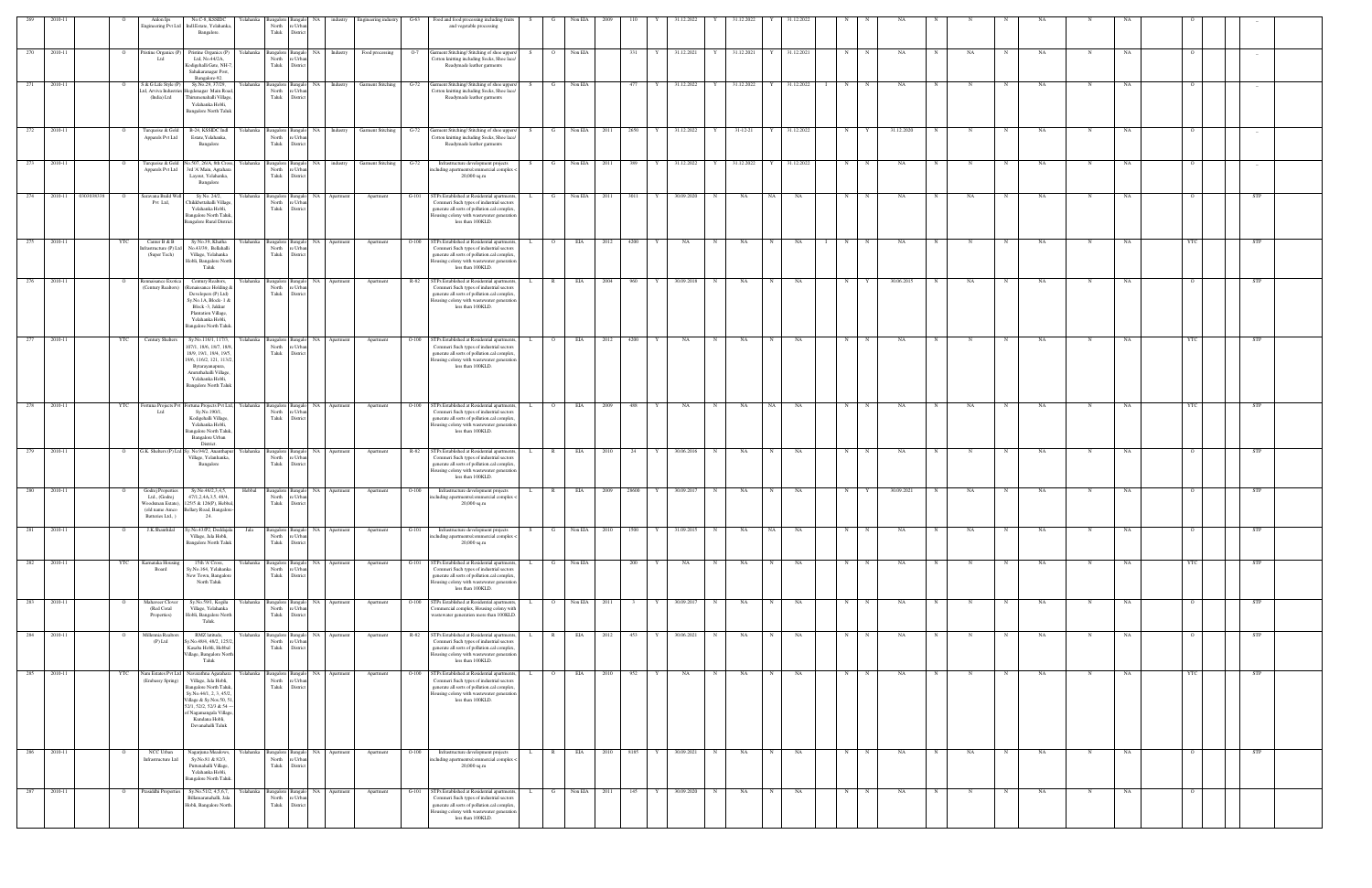| 269 | 2010-11 |                                |                | Anlon Ips                                                                                      | No.C-8, KSSIDC<br>ngineering Pvt Ltd Indl.Estate, Yelahanka,<br>Bangalore.                                                                                                                                                  | Yelahanka | Bangalore 1<br>North<br>${\rm Tauk}$ | Bangalo<br>e Urb<br>Distric  |              | NA industry Engineering industry | $G-63$  | Food and food processing including fruits<br>and vegetable processing                                                                                                                                        | S –<br>G       | Non EIA   | 2009 | 110<br>Y  | 31.12.2022 | Y | 31.12.2022              | $\mathbf{Y}$ | 31.12.2022 | N          |             | NA         |   |    |             | NA        |   |    |            |            |  |
|-----|---------|--------------------------------|----------------|------------------------------------------------------------------------------------------------|-----------------------------------------------------------------------------------------------------------------------------------------------------------------------------------------------------------------------------|-----------|--------------------------------------|------------------------------|--------------|----------------------------------|---------|--------------------------------------------------------------------------------------------------------------------------------------------------------------------------------------------------------------|----------------|-----------|------|-----------|------------|---|-------------------------|--------------|------------|------------|-------------|------------|---|----|-------------|-----------|---|----|------------|------------|--|
| 270 | 2010-11 |                                | $\overline{O}$ | Pristine Organics (P)<br>Ltd                                                                   | Pristine Organics (P) Yelahanka<br>Ltd, No.44/2A,<br>Kodigehalli Gate, NH-7.<br>Sahakaranagar Post,<br>Bangalore-92                                                                                                         |           | Bangalore Bangalo<br>North<br>Taluk  | e Urba<br>Distric            |              | NA Industry Food processing      |         | O-7 Garment Stitching/ Stitching of shoe uppers/<br>Cotton knitting including Socks, Shoe lace/<br>Readymade leather garments                                                                                | S              | O Non EIA |      | 331<br>Y  | 31.12.2021 | Y | 31.12.2021 Y 31.12.2021 |              |            | N          | N           | NA         | N | NA | N           | NA        | N | NA |            | $\sim$     |  |
| 271 | 2010-11 |                                |                | S & G Life Style (P)<br>td, Arviva Industrie<br>(India) Ltd                                    | Sy.No.29, 37/29,<br>Hegdenagar Main Road,<br>Thirumenahalli Village,<br>Yelahanka Hobli,<br><b>Bangalore North Taluk</b>                                                                                                    | Yelahanka | <b>Bangalore</b><br>North<br>Taluk   | 'e Urba<br>District          | Industry     | Garment Stitching                | G-72    | Garment Stitching/ Stitching of shoe uppers<br>Cotton knitting including Socks, Shoe lace/<br>Readymade leather garments                                                                                     |                | Non EIA   |      | 477       | 31.12.2022 |   | 31.12.2022              |              | 31.12.2022 | N          |             | NA         |   |    |             | NA        |   |    |            |            |  |
| 272 | 2010-11 | $\Omega$                       |                | Turquoise & Gold<br>Apparels Pvt Ltd                                                           | B-24, KSSIDC Indl<br>Estate, Yelahanka,<br>Bangalore                                                                                                                                                                        | Yelahanka | 3angalore<br>North<br>Taluk          | Bangak<br>Distri             | NA Industry  | Garment Stitching G-72           |         | Garment Stitching/ Stitching of shoe uppers/<br>Cotton knitting including Socks, Shoe lace/<br>Readymade leather garments                                                                                    | S.<br>G        | Non EIA   | 2011 | 2650      | 31.12.2022 | Y | 31-12-21                |              | 31.12.2022 | N          |             | 31.12.2020 |   |    |             | NA        | N | NA |            | $-$        |  |
| 273 | 2010-11 | $\Omega$                       |                | Turquoise & Gold<br>Apparels Pvt Ltd                                                           | No.507, 26/A, 8th Cross,<br>3rd 'A' Main, Agrahara<br>Layout, Yelahanka,<br>Bangalore                                                                                                                                       | Yelahanka | Bangalore Banga<br>North<br>Taluk    | e Urb<br>Distric             |              | NA industry Garment Stitching    | $G-72$  | Infrastructure development projects<br>ncluding apartments/commercial complex<br>$20,000$ sq.m                                                                                                               | <b>G</b>       | Non EIA   | 2011 | 389       | 31.12.2022 | Y | 31.12.2022              | Y            | 31.12.2022 | N          |             | NA         |   |    |             | NA        |   | NA |            |            |  |
| 274 |         | 2010-11 0303038338<br>$\Omega$ |                | Saravana Build We<br>Pvt Ltd,                                                                  | Sy No. 24/2,<br>Chikkbettahalli Village<br>Yelahanka Hobli,<br>Bangalore North Taluk,<br><b>Bangalore Rural District.</b>                                                                                                   | Yelahanka | Bangalore Bangal<br>North<br>Taluk   | re Urba<br>Distric           | NA Apartment | Apartment                        | $G-101$ | STPs Established at Residential apartment<br>Commeri Such types of industrial sectors<br>generate all sorts of pollution.cal complex<br>Housing colony with wastewater generation<br>less than 100KLD.       | G              | Non EIA   | 2011 | 3011      | 30.09.2020 | N | NA                      | NA 1         | NA         | N          | $_{\rm N}$  | NA         |   | NA |             | NA        |   | NA |            | <b>STP</b> |  |
| 275 | 2010-11 | YTC                            |                | Canter B & B<br>frastructure (P) Ltc<br>(Super Tech)                                           | Sy No.39, Khatha<br>No.43/39, Bellahalli<br>Village, Yelahanka<br>Hobli, Bangalore North<br>Taluk                                                                                                                           | Yelahanka | angalore 1<br>North<br>Taluk         | Bangalo<br>e Urbi<br>Distric | NA Apartment | Apartment                        | $O-100$ | STPs Established at Residential apartment<br>Commeri Such types of industrial sectors<br>generate all sorts of pollution.cal complex<br>lousing colony with wastewater generation<br>less than 100KLD.       | $\circ$<br>L.  | EIA       | 2012 | 4200<br>Y | NA         | N | NA                      | N            | NA         | N          | N           | NA         |   | N  | N           | <b>NA</b> | N | NA |            | <b>STP</b> |  |
| 276 | 2010-11 | $\circ$                        |                | Rennaisance Exotica<br>(Century Realtors)                                                      | Century Realtors,<br>Renaissance Holding &<br>Developers (P) Ltd)<br>Sy.No.1A, Block-1 &<br>Block -3, Jakkur<br>Plantation Village,<br>Yelahanka Hobli,<br>Bangalore North Taluk.                                           | Yelahanka | angalore Bangalo<br>North<br>Taluk   | Distric                      | NA Apartment | Apartment                        |         | R-82 STPs Established at Residential apartments<br>Commeri Such types of industrial sectors<br>generate all sorts of pollution.cal complex<br>lousing colony with wastewater generation<br>less than 100KLD. | R              | EIA       | 2004 | 960<br>Y  | 30.09.2018 | N | NA                      | N            | NA         | N          |             | 30.06.2015 |   | NA | N           | NA        |   | NA |            | <b>STP</b> |  |
| 277 | 2010-11 | YTC                            |                | Century Shelters                                                                               | Sy.No.116/1, 117/3,<br>107/1, 18/6, 18/7, 18/8,<br>18/9, 19/1, 19/4, 19/5,<br>9/6, 116/2, 121, 113/2<br>Bytarayanapura,<br>Amruthahalli Village,<br>Yelahanka Hobli,<br><b>Bangalore North Taluk</b>                        | Yelahanka | angalore<br>North<br>Taluk           | NA<br>'e Urb<br>Distric      | Apartment    | Apartment                        | $O-100$ | STPs Established at Residential apartment<br>Commeri Such types of industrial sectors<br>generate all sorts of pollution.cal complex<br>lousing colony with wastewater generatio<br>less than 100KLD.        | $\circ$        | EIA       | 2012 | 4200      | NA         | N | NA                      |              | NA         | N          |             | NA         |   |    |             | NA        |   | NA |            | STP        |  |
| 278 | 2010-11 | YTC                            |                | Fortuna Projects Pvt<br>ht I                                                                   | Fortuna Projects Pvt Ltd,<br>Sy.No.190/1,<br>Kodigehalli Village,<br>Yelahanka Hobli,<br>Bangalore North Taluk,<br>Bangalore Urban<br>District.                                                                             | Yelahanka | Bangalore Bangal<br>North<br>Taluk   | e Urb<br>District            | NA Apartment | Apartment                        | $O-100$ | STPs Established at Residential apartments<br>Commeri Such types of industrial sectors<br>generate all sorts of pollution.cal complex<br>lousing colony with wastewater generation<br>less than 100KLD.      | $\overline{O}$ | EIA       | 2009 | 488       | NA         | N | NA                      | NA 1         | NA         | N          |             | NA         |   | NA |             | NA        |   | NA |            | <b>STP</b> |  |
| 279 | 2010-11 | $\circ$                        |                |                                                                                                | G.K. Shelters (P) Ltd Sy. No.94/2, Ananthapur<br>Village, Yelanhanka,<br>Bangalore                                                                                                                                          | Yelahanka | angalore Bangal<br>North<br>Taluk    | re Urba<br>District          | NA Apartment | Apartment                        | R-82    | STPs Established at Residential apartment<br>Commeri Such types of industrial sectors<br>generate all sorts of pollution.cal complex<br>Housing colony with wastewater generation<br>less than 100KLD.       | $\mathbb{R}$   | EIA       | 2010 | - 24      | 30.06.2016 | N | NA                      | N            | NA         | N          |             | NA         |   |    |             | NA        |   | NA |            | STP        |  |
| 280 | 2010-11 | $\Omega$                       |                | Godrej Properties<br>Ltd., (Godrej<br>Woodsman Estate),<br>(old name Amco<br>Batteries Ltd., ) | Sy.No.46/2,3,4,5,<br>47/1,2,4A,3,5, 48/4,<br>125/5 & 126(P), Hebbal<br>Bellary Road, Bangalore-<br>24.                                                                                                                      | Hebbal    | Bangalore Bangalo<br>North<br>Taluk  | e Urba<br>Distric            | NA Apartment | Apartment                        | $O-100$ | Infrastructure development projects<br>including apartments/commercial complex <<br>20,000 sq.m                                                                                                              | $\mathbb{R}$   | EIA       | 2009 | 28600     | 30.09.2017 | N | NA                      | N            | NA         | N          |             | 30.09.2021 |   | NA | N           | <b>NA</b> | N | NA |            | <b>STP</b> |  |
| 281 | 2010-11 | $\circ$                        |                | J.K.Shanthilal                                                                                 | Sy.No.43/P2, Doddajala<br>Village, Jala Hobli,<br><b>Bangalore North Taluk</b>                                                                                                                                              | Jala      | angalore<br>North<br>Taluk           | Bangak<br>∘ Urb:<br>District | NA Apartment | Apartment                        | $G-101$ | Infrastructure development projects<br>ncluding apartments/commercial complex -<br>20,000 sq.m                                                                                                               | S.<br>G        | Non EIA   | 2010 | 1500      | 31.09.2015 | N | NA                      | NA           | NA         | $_{\rm N}$ |             | NA         |   | NA | $\mathbf N$ | NA        |   | NA |            | STP        |  |
| 282 | 2010-11 | YTC                            |                | Carnataka Hous<br>Board                                                                        | 15th 'A' Cross,<br>Sy.No.164, Yelahanka<br>New Town, Bangalore<br>North Taluk                                                                                                                                               | Yelahanka | angalore<br>North<br>Taluk           | ŃА<br>e Urba<br>District     | Apartmer     | Apartment                        | G-10    | TPs Established at Residential apartmen<br>Commeri Such types of industrial sectors<br>generate all sorts of pollution.cal complex<br>lousing colony with wastewater generation<br>less than 100KLD.         |                | Non EIA   |      | 200       | NA         |   | NA                      |              | NA         | N          |             | NA         |   |    |             | NA        |   |    |            | <b>STP</b> |  |
| 283 | 2010-11 |                                |                | Mahaveer Clove<br>(Red Coral<br>Properties)                                                    | Sy.No.59/1, Kogilu<br>Village, Yelahanka<br>Hobli, Bangalore North<br>Taluk.                                                                                                                                                | Yelahanka | angalore<br>North<br>Taluk           | NΑ<br>e Urbi<br>Distric      | Apartment    | Apartment                        | $O-100$ | STPs Established at Residential apartments<br>Commercial complex, Housing colony with<br>wastewater generation more than 100KLD.                                                                             |                | Non EIA   | 2011 |           | 30.09.2017 | N | NA                      |              | NA         | N          |             | NA         |   |    |             | NA        |   | NA |            | STP        |  |
| 284 | 2010-11 | $\circ$                        |                | Millennia Realtors<br>$(P)$ Ltd                                                                | RMZ latitude,<br>iy.No.48/4, 48/2, 125/.<br>Kasaba Hobli, Hebbal<br>Village, Bangalore North<br>Taluk                                                                                                                       | Yelahanka | Bangalore<br>North<br>Taluk          | Bangal<br>e Urb<br>Distric   | NA Apartment | Apartment                        | R-82    | STPs Established at Residential apartment<br>Commeri Such types of industrial sectors<br>generate all sorts of pollution.cal complex<br>lousing colony with wastewater generation<br>less than 100KLD.       |                | EIA       | 2012 | 453       | 30.06.2021 | N | NA                      |              | NA         | N          |             | NA         |   |    |             | NA        |   | NA |            | <b>STP</b> |  |
| 285 | 2010-11 | YTC                            |                | Nam Estates Pvt Ltd<br>(Embassy Spring)                                                        | Navarathna Agarahara<br>Village, Jala Hobli,<br>Bangalore North Taluk,<br>Sy.No.44/1, 2, 3, 45/2,<br>Village & Sy.Nos.50, 51,<br>52/1, 52/2, 52/3 & 54 --<br>of Nagamangala Village,<br>Kundana Hobli,<br>Devanahalli Taluk | Yelahanka | angalore Bangal<br>North<br>Taluk    | e Urba<br>District           | NA Apartment | Apartment                        | $O-100$ | STPs Established at Residential apartmen<br>Commeri Such types of industrial sectors<br>generate all sorts of pollution.cal complex<br>lousing colony with wastewater generation<br>less than 100KLD.        | $\overline{O}$ | EIA       | 2010 | 952       | NA         | N | NA                      | $_{\rm N}$   | NA         | N          | $_{\rm N}$  | NA         |   |    | N           | NA        | N | NA | <b>YTC</b> | <b>STP</b> |  |
| 286 | 2010-11 | $\circ$                        |                | NCC Urban<br>Infrastructure Ltd                                                                | Vagarjuna Meadows,<br>Sy.No.81 & 82/3,<br>Puttenahalli Village,<br>Yelahanka Hobli,<br><b>Bangalore North Taluk.</b>                                                                                                        | Yelahanka | <b>Bangalore</b><br>North<br>Taluk   | Bangal<br>e Urba<br>Distric  | NA Apartment | Apartment                        | $O-100$ | Infrastructure development projects<br>ncluding apartments/commercial complex -<br>20,000 sq.m                                                                                                               | $\mathbb{R}$   | EIA       | 2010 | 8185      | 30.09.2021 | N | NA                      |              | NA         | N          |             | NA         |   | NA | $\mathbf N$ | NA        | N | NA |            | <b>STP</b> |  |
| 287 | 2010-11 | $\mathbf{o}$                   |                | Prasiddhi Properties                                                                           | Sy.No.51/2, 4,5,6,7,<br>Billamaranahalli, Jak<br>Hobli, Bangalore North.                                                                                                                                                    | Yelahanka | angalore<br>North<br>Taluk           | e Urba<br>District           | NA Apartment | Apartment                        | $G-101$ | STPs Established at Residential apartmen<br>Commeri Such types of industrial sectors<br>generate all sorts of pollution.cal complex<br>lousing colony with wastewater generation<br>less than 100KLD.        | <b>G</b>       | Non EIA   | 2011 | 145       | 30.09.2020 | N | NA                      | $_{\rm N}$   | NA         | N          | $\mathbf N$ | NA         |   |    | N           | NA        | N | NA |            |            |  |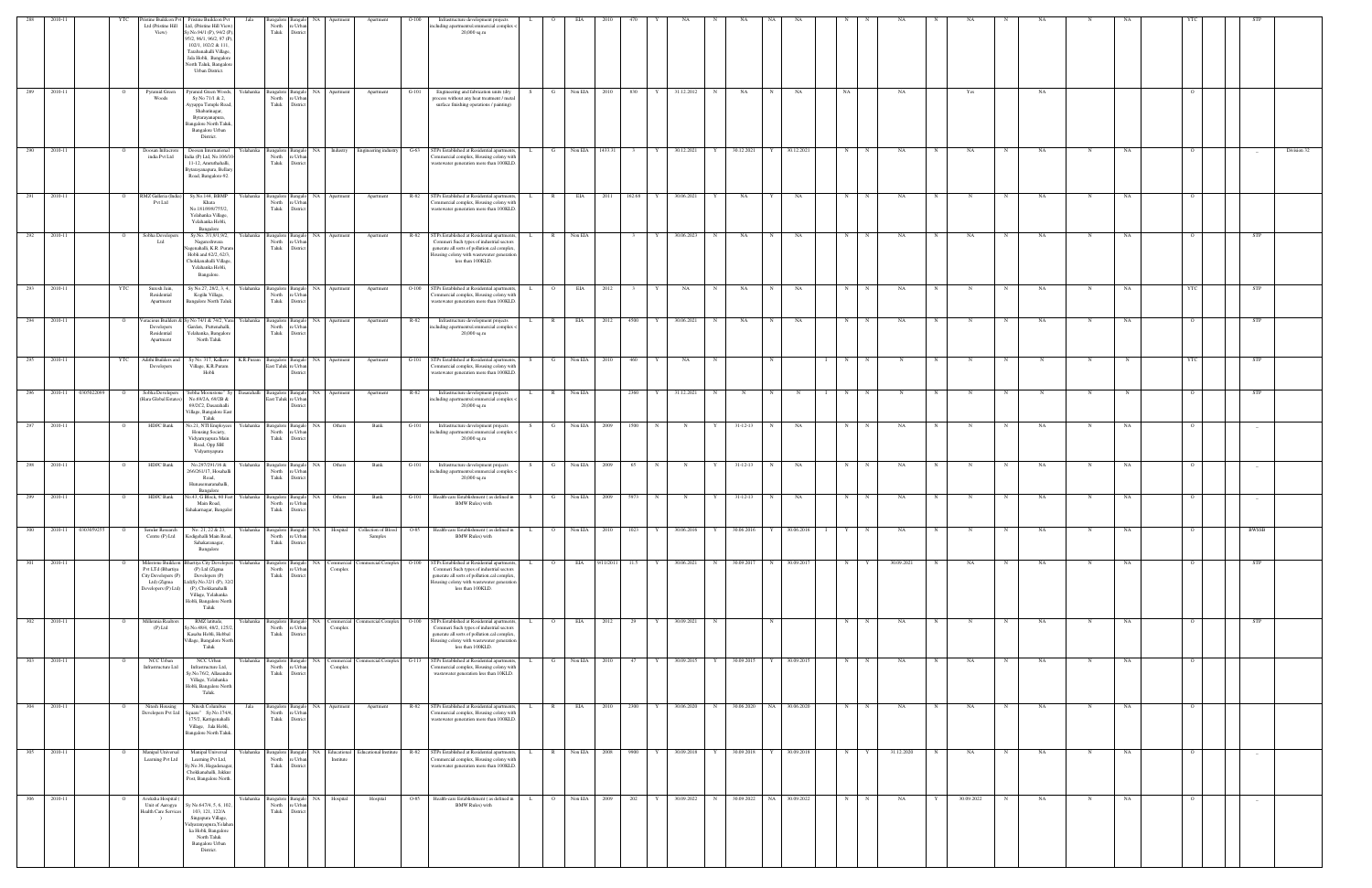| 288         |                       |     |                                                                                                      | istine Buildcon Pvt Pristine Buildcon Pvt                                                                                                                                                               | Jala                        |                                                        |                                                             |                       | Apartmen                               |         | Infrastructure development projects                                                                                                                                                                      |    |                |                 |              |                     |              |             |                          |      |              |                   |            |            |            |            |             |     |             |    |                |            |             |
|-------------|-----------------------|-----|------------------------------------------------------------------------------------------------------|---------------------------------------------------------------------------------------------------------------------------------------------------------------------------------------------------------|-----------------------------|--------------------------------------------------------|-------------------------------------------------------------|-----------------------|----------------------------------------|---------|----------------------------------------------------------------------------------------------------------------------------------------------------------------------------------------------------------|----|----------------|-----------------|--------------|---------------------|--------------|-------------|--------------------------|------|--------------|-------------------|------------|------------|------------|------------|-------------|-----|-------------|----|----------------|------------|-------------|
|             |                       |     | Ltd (Pristine Hill<br>View)                                                                          | Ltd, (Pristine Hill View)<br>Sy.No.94/1 (P), 94/2 (P)<br>95/2, 96/1, 96/2, 97 (P)<br>102/1, 102/2 & 111,<br>Tarabanahalli Village.<br>Jala Hobli, Bangalore<br>North Taluk, Bangalon<br>Urban District. |                             | North<br>Taluk                                         | re Urba<br>District                                         |                       |                                        |         | ncluding apartments/commercial complex<br>20,000 sq.m                                                                                                                                                    |    |                |                 |              |                     |              |             |                          |      |              |                   |            |            |            |            |             |     |             |    |                |            |             |
| 289         | 2010-11               |     | Pyramid Green<br>Woods                                                                               | yramid Green Woods<br>Sy No 71/1 & 2,<br>Ayyappa Temple Road<br>Shabarinagar,<br>Bytarayanapura,<br><b>Bangalore North Taluk</b><br>Bangalore Urban<br>District.                                        |                             | North<br>Taluk                                         | e Urba<br>District                                          | NA Apartment          | Apartment                              |         | Engineering and fabrication units (dry<br>process without any heat treatment / meta<br>surface finishing operations / painting)                                                                          |    |                | Non EIA         | 830          |                     | 31.12.2012   |             | NA                       |      | NA           | NA                |            |            |            | Yes        |             | NA  |             |    |                |            |             |
| 290         | 2010-11               |     | Doosan Infracrore<br>india Pvt Ltd                                                                   | Doosan International<br>India (P) Ltd, No.106/10<br>11-12, Amruthahalli,<br>Bytarayanapura, Bellary<br>Road, Bangalore-92.                                                                              | felahanka                   | Bangalore Bangalo<br>North<br>Taluk                    | re Urba<br>District                                         | NA Industry           | Engineering industry                   | $G-63$  | STPs Established at Residential apartments,<br>Commercial complex, Housing colony with<br>wastewater generation more than 100KLD.                                                                        |    | G              | Non EIA 1433.31 |              |                     | 30.12.2021   |             | 30.12.2021               |      | 30.12.2021   | N                 |            | NA         |            | NA         |             | NA  |             | NA |                |            | Division 32 |
| 291         | 2010-11               |     | RMZ Galleria (India<br>Pvt Ltd                                                                       | Sy.No.144, BBMP<br>Khata<br>No.181/898/755/2,<br>Yelahanka Village,<br>Yelahanka Hobli,<br>Bangalore                                                                                                    | Yelahanka                   | North<br>Taluk                                         | angalore Bangalo NA Apartment<br>e Urba<br>District         |                       | Apartment                              | R-82    | STPs Established at Residential apartments<br>ommercial complex, Housing colony with<br>vastewater generation more than 100KLD                                                                           |    | $\mathbb{R}$   | EIA             | 2011         | 162.68<br>Y         | 30.06.2021   | Y           | NA                       |      | NA           | N                 |            | NA         |            |            | $_{\rm N}$  | NA  | N           | NA | $\circ$        |            |             |
| 292 2010-11 |                       |     | Sobha Developers<br>Ltd                                                                              | Sy.No. 7/1,9/1,9/2,<br>Nagareshwara<br>Jagenahalli, K.R. Purar<br>Hobli and 62/2, 62/3,<br>Chokkanahalli Village,<br>Yelahanka Hobli,<br>Bangalore.                                                     | Yelahanka                   | angalore Bangalo<br>North<br>Taluk                     | re Urba<br>District                                         | NA Apartment          | Apartment                              | R-82    | STPs Established at Residential apartments<br>Commeri Such types of industrial sectors<br>generate all sorts of pollution.cal complex,<br>Iousing colony with wastewater generation<br>less than 100KLD. |    | $\mathbb{R}$   | Non EIA         |              | Y                   | 30.06.2023   | N           | NA                       | N    | NA           | N                 | $_{\rm N}$ | NA         | $_{\rm N}$ | NA         | N           | NA  | N           | NA |                | <b>STP</b> |             |
| 293         | 2010-11               | YTC | Suresh Jain,<br>Residential<br>Apartment                                                             | Sy No.27, 28/2, 3, 4,<br>Kogilu Village,<br><b>Bangalore North Taluk</b>                                                                                                                                | Yelahanka                   | Bangalore Bangalo<br>North<br>Taluk                    | re Urbar<br>District                                        | NA Apartment          | Apartment                              | $O-100$ | STPs Established at Residential apartments<br>Commercial complex, Housing colony with<br>wastewater generation more than 100KLD.                                                                         |    | $\circ$        | EIA             | 2012         |                     | NA           | N           | NA                       |      | NA           | N                 |            | NA         |            |            | $_{\rm N}$  | NA  | N           | NA | YTC            | <b>STP</b> |             |
| 294         | 2010-11               |     | eracious Builders &<br>Developers<br>Residential<br>Apartment                                        | y No 74/1 & 74/2, Vani<br>Garden, Puttenahalli,<br>Yelahanka, Bangalore<br>North Taluk                                                                                                                  | Yelahanka                   | Bangalore Bangak<br>North<br>Taluk                     | NA<br>e Urba<br>District                                    | Apartmen              | Apartment                              | R-82    | Infrastructure development projects<br>ncluding apartments/commercial complex<br>20,000 sq.m                                                                                                             |    |                | EIA             | 2012         | 4500                | 30.06.2021   | N           | NA                       |      | NA           | N                 |            | NA         |            |            |             | NA  |             | NA |                | STP        |             |
|             | 295 2010-11           | YTC | Adithi Builders and<br>Developers                                                                    | Sy No. 317, Kalkere<br>Village, K.R.Puram<br>Hobli                                                                                                                                                      | K.R.Puram Bangalore Bangalo | East Taluk re Urba                                     | Distric                                                     | NA Apartment          | Apartment                              | $G-101$ | STPs Established at Residential apartments<br>ommercial complex, Housing colony with<br>wastewater generation more than 100KLD.                                                                          |    | G              | Non EIA         | 2010         | 460                 | NA           |             |                          |      |              | N                 |            |            |            |            |             |     | N           |    | - YTC          | <b>STP</b> |             |
| 296         | 2010-11<br>0305022099 |     | Sobha Developers<br>(Hara Global Estates)                                                            | Sobha Moonstone" Sy<br>No.69/2A, 69/2B &<br>69/2C2, Dasarahalli<br>Village, Bangalore East<br>Taluk                                                                                                     | <b>Dasarahalli</b>          | Bangalore Bangalo<br>East Taluk re Urbar               | Distri                                                      | NA Apartment          | Apartment                              | R-82    | Infrastructure development projects<br>ncluding apartments/commercial complex <<br>20,000 sq.m                                                                                                           |    | $\mathbb{R}$   | Non EIA         |              | 2360                | 31.12.2021   | N           |                          |      | $_{\rm N}$   | N                 |            |            |            |            |             |     |             |    |                | <b>STP</b> |             |
| 297         | 2010-11               |     | <b>HDFC</b> Bank                                                                                     | No.21, NTI Employee<br>Housing Society,<br>Vidyarnyapura Main<br>Road, Opp SBI<br>Vidyarnyapura                                                                                                         | Yelahanka                   | Bangalore Bangalo<br>North<br>Taluk                    | NA 1<br>re Urba<br>District                                 | Others                | Bank                                   | $G-101$ | Infrastructure development projects<br>ncluding apartments/commercial complex <<br>$20,000$ sq.m                                                                                                         | S. | $\mathbf{G}$   | Non EIA         | 2009         | 1500<br>$\mathbf N$ | N            | Y           | $31 - 12 - 13$           |      | NA           | N                 |            | NA         |            |            | N           | NA  | N           | NA | $\Omega$       |            |             |
| 298 2010-11 |                       |     | HDFC Bank                                                                                            | No.297/291/16 &<br>266/261/17, Hosahalli<br>Road,<br>Hunasemaranahalli,<br>Bangalore                                                                                                                    |                             | North<br>Taluk                                         | Yelahanka Bangalore Bangalo NA Others<br>e Urba<br>District |                       | Bank                                   | $G-101$ | Infrastructure development projects<br>ncluding apartments/commercial complex<br>$20,000$ sq.m                                                                                                           | S. | G Non EIA 2009 |                 |              | 65 —<br>N           | N            | Y           | $31 - 12 - 13$           | N    | NA           | N                 | N          | NA         | N          | $_{\rm N}$ | N           | NA  | $\mathbf N$ | NA | $\circ$        |            |             |
| 299         | 2010-11               |     | HDFC Bank                                                                                            | No.43, G Block, 60 Fee<br>Main Road,<br>Sahakarnagar, Bangalor                                                                                                                                          | Yelahanka                   | Bangalore Bangalo<br>North<br>Taluk District           | NA<br>re Urbar                                              | Others                | Bank                                   | $G-101$ | Health-care Establishment (as defined in<br><b>BMW Rules</b> ) with                                                                                                                                      |    | G              | Non EIA         | 5973<br>2009 |                     | - N          |             | $31 - 12 - 13$           |      | NA           | N                 |            | NA         |            |            |             | NA  | N           | NA |                |            |             |
| 300         | 2010-11<br>0303059255 |     | Semler Research<br>Centre (P) Ltd                                                                    | No. 21, 22 & 23,<br>Kodigehalli Main Road,<br>Sahakaranagar,<br>Bangalore                                                                                                                               |                             | Yelahanka Bangalore Bangalo<br>North re Urban<br>Taluk | District                                                    | NA Hospital           | Collection of Blood O-85<br>Samples    |         | Health-care Establishment (as defined in<br><b>BMW Rules</b> ) with                                                                                                                                      | L. | $\overline{O}$ | Non EIA 2010    |              | 1023<br>Y           | 30.06.2016   | Y           | 30.06.2016               |      | 30.06.2016   | $\mathbf{I}$<br>Y |            | NA         |            |            | N           | NA  | N           | NA |                | BWSSB      |             |
| 301         | 2010-11               |     | Milestone Buildcon<br>Pvt LTd (Bhartiya<br>City Developers (P)<br>Ltd) (Zigma<br>Developers (P) Ltd) | hartiya City Develope<br>(P) Ltd (Zigma<br>Developers (P)<br>Ltd)Sy.No.32/1 (P), 32/<br>(P), Chokkanahalli<br>Village, Yelahanka<br>Hobli, Bangalore North<br>Taluk                                     | ∕elahanka                   | Bangalore<br>North<br>Taluk                            | Bangalo<br>NA.<br>e Urba<br>District                        | Commercial<br>Complex | <b>Commercial Complex</b>              | $O-100$ | STPs Established at Residential apartments<br>Commeri Such types of industrial sectors<br>generate all sorts of pollution.cal complex<br>Iousing colony with wastewater generation<br>less than 100KLD.  |    |                | EIA             | 9/11/201     | 11.5                | 30.06.2021   | N           | 30.09.2017               |      | 30.09.2017   | N                 |            | 30.09.2021 |            | NA         |             | NA  |             | NA |                | STP        |             |
| 302 2010-11 |                       |     | Millennia Realtors<br>$(P)$ Ltd                                                                      | RMZ latitude,<br>Sy.No.48/4, 48/2, 125/2<br>Kasaba Hobli, Hebbal<br>Village, Bangalore North<br>Taluk                                                                                                   | Yelahanka                   | Bangalore Bangalo<br>North<br>Taluk                    | re Urban<br>District                                        | Complex               | NA Commercial Commercial Complex 0-100 |         | STPs Established at Residential apartments<br>Commeri Such types of industrial sectors<br>generate all sorts of pollution.cal complex,<br>lousing colony with wastewater generation<br>less than 100KLD. |    | $\overline{O}$ | <b>EIA</b>      | 2012         | 29<br>Y             | 30.09.2021   | $\mathbf N$ |                          |      |              | N                 |            | NA         |            |            |             | NA  | N           | NA | $\Omega$       | <b>STP</b> |             |
| 303 2010-11 |                       |     | NCC Urban<br>Infrastructure Ltd                                                                      | NCC Urban<br>Infrastructure Ltd,<br>Sy.No.76/2, Allasandra<br>Village, Yelahanka<br>Hobli, Bangalore North<br>Taluk.                                                                                    | Yelahanka                   | Taluk                                                  | North re Urban<br>District                                  | Complex               |                                        |         | Bangalore Bangalo NA Commercial Commercial Complex G-113 STPs Established at Residential apartments,<br>Commercial complex, Housing colony with<br>wastewater generation less than 10KLD.                | L. | $\mathbf{G}$   | Non EIA 2010    |              | Y<br>47             | 30.09.2015 Y |             | 30.09.2015               |      | Y 30.09.2015 | N                 | N          | NA         | N          | NA         | N           | NA  | $\mathbf N$ | NA | $\overline{O}$ |            |             |
|             | 304 2010-11           |     | Nitesh Housing                                                                                       | Nitesh Columbus<br>Developers Pvt Ltd Square" Sy.No.174/4<br>175/2, Kattigenahalli<br>Village, Jala Hobli,<br>Bangalore North Taluk.                                                                    | Jala                        | North<br>Taluk                                         | Bangalore Bangalo NA Apartment<br>re Urba<br>District       |                       | Apartment                              |         | R-82 STPs Established at Residential apartments,<br>Commercial complex, Housing colony with<br>wastewater generation more than 100KLD.                                                                   | L. | R              |                 | EIA 2010     | 2300 Y              | 30.06.2020 N |             | 30.06.2020 NA 30.06.2020 |      |              | N                 | N          | NA         | N          | NA         | N           | NA. | N           | NA | $\overline{O}$ |            |             |
| 305         | 2010-11               |     | Manipal Universal<br>Learning Pvt Ltd                                                                | Manipal Universal<br>Learning Pvt Ltd,<br>Sy.No.36, Hegadenaga<br>Chokkanahalli, Jakkur<br>Post, Bangalore North.                                                                                       | Yelahanka                   | Bangalore Bangalo<br>North re Urban<br>Taluk District  |                                                             | Institute             | NA Educational Educational Institute   |         | R-82 STPs Established at Residential apartments,<br>Commercial complex, Housing colony with<br>wastewater generation more than 100KLD.                                                                   |    | $\mathbb{R}$   | Non EIA         | 2008         | 9900                | 30.09.2018   | Y           | 30.09.2018               |      | 30.09.2018   | N                 |            | 31.12.2020 |            | NA         | $\mathbf N$ | NA  | N           | NA | $\overline{O}$ | $-$        |             |
| 306         | 2010-11               |     | Aveksha Hospital (<br>Unit of Aarogya<br><b>Health Care Services</b><br>$\rightarrow$                | y No.647/4, 5, 6, 102<br>103, 121, 122/A<br>Singapura Village,<br>/idyaranyapura, Yelaha<br>ka Hobli, Bangalore<br>North Taluk<br>Bangalore Urban<br>District.                                          | Yelahanka                   | Bangalore Bangalo<br>North<br>Taluk                    | NA<br>e Urbar<br>District                                   | Hospital              | Hospital                               | $O-85$  | Health-care Establishment (as defined in<br><b>BMW Rules)</b> with                                                                                                                                       |    | $\overline{O}$ | Non EIA         | - 2009       | 202<br>Y            | 30.09.2022   | N           | 30.09.2022               | - NA | 30.09.2022   | N                 |            | NA         |            | 30.09.2022 |             | NA  | N           | NA | $\circ$        |            |             |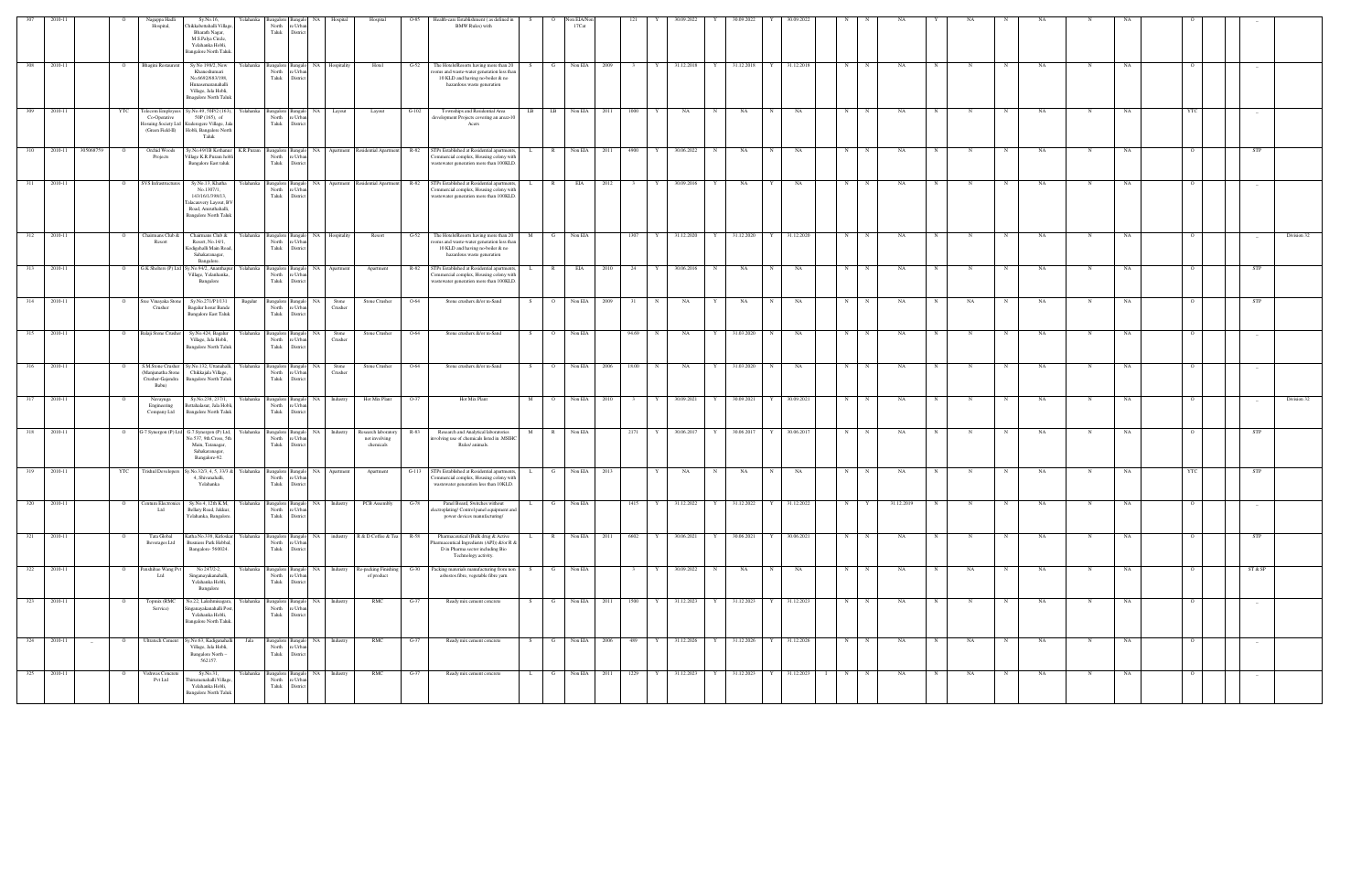|                 |         |                             | Nagappa Hadli<br>Hospital,                                                  | Sy.No.16,<br>Chikkabettahalli Villag<br>Bharath Nagar,<br>M.S.Palya Circle,<br>Yelahanka Hobli,<br>Bangalore North Taluk.           |           | North<br>Taluk                               | e Urb<br>Distric             |                  | Hospital                                          | $O-85$  | Health-care Establishment (as defined in<br><b>BMW Rules)</b> with                                                                                    |                   | Non EIA/No<br>17Cat        |      |        |                  |   |            |              |              |            |             |            |     |             |             |    |             |    |                |                                 |             |
|-----------------|---------|-----------------------------|-----------------------------------------------------------------------------|-------------------------------------------------------------------------------------------------------------------------------------|-----------|----------------------------------------------|------------------------------|------------------|---------------------------------------------------|---------|-------------------------------------------------------------------------------------------------------------------------------------------------------|-------------------|----------------------------|------|--------|------------------|---|------------|--------------|--------------|------------|-------------|------------|-----|-------------|-------------|----|-------------|----|----------------|---------------------------------|-------------|
| 308             | 2010-11 | $\circ$                     | <b>Bhagini Restauren</b>                                                    | Sy No 198/2, New<br>Khaneshumari<br>No.6692/683/198,<br>Hunasemaranahalli<br>Village, Jala Hobli,<br><b>Bnagalore North Taluk</b>   | Yelahanka | angalore Bangalo<br>North<br>Taluk           | re Urba<br>Distric           | NA Hospitality   | Hotel                                             | $G-52$  | The Hotels/Resorts having more than 20<br>coms and waste-water generation less than<br>10 KLD and having no-boiler & no<br>hazardous waste generation | G                 | Non EIA                    | 2009 |        | 31.12.2018       | Y | 31.12.2018 |              | Y 31.12.2018 | N          | N           | NA         |     |             |             | NA |             | NA |                |                                 |             |
| 309             | 2010-11 | YTC                         | Felecom Employer<br>Co-Operative<br>losuing Society Ltd<br>(Green Field-II) | Sy.No.49, 50P/2 (163),<br>$50P(165)$ , of<br>Kuderegere Village, Jal<br>Hobli, Bangalore North<br>Taluk                             | Yelahanka | Bangalore Bangalo<br>North<br>Taluk          | e Urb<br>Distric             | NA Layout        | Layout                                            | $G-102$ | Townships and Residential Area<br>development Projects covering an area>10<br>Acers                                                                   | LB                | LB<br>Non EIA              | 2011 | 1000   | NA               | N | NA         | N            | NA           | N          | N           | NA         |     |             | N           | NA | N           | NA | YTC            |                                 |             |
| 310             | 2010-11 | 305068759<br>$\overline{O}$ | Orchid Woods<br>Projects                                                    | Sy.No.49/1B Kothanur<br>Village K.R.Puram hob<br><b>Bangalore East taluk</b>                                                        | K.R.Puram | Bangalore Bangalo<br>North<br>Taluk          | e Urb<br>District            |                  | NA Apartment Residential Apartment R-82           |         | STPs Established at Residential apartment<br>Commercial complex, Housing colony with<br>wastewater generation more than 100KLD.                       |                   | R<br>Non EIA               | 2011 | 4900   | 30.06.2022       | N | NA         | N            | NA           | N          |             | NA         |     |             |             | NA |             | NA |                | STP                             |             |
| 311             | 2010-11 | $\circ$                     | SVS Infrastructures                                                         | Sy.No.13, Khatha<br>No.1307/1,<br>143/16/1/398/13,<br>Falacauvery Layout, BV<br>Road, Amruthahalli,<br><b>Bangalore North Taluk</b> | Yelahanka | Bangalore Bangal<br>North<br>Taluk           | 'e Urba<br>Distric           |                  | NA Apartment Residential Apartment R-82           |         | STPs Established at Residential apartments<br>Commercial complex, Housing colony with<br>wastewater generation more than 100KLD.                      | $\mathbb{R}$      | EIA                        | 2012 |        | 30.09.2016       |   | NA         |              | NA           | $_{\rm N}$ |             | NA         |     |             |             | NA |             | NA |                |                                 |             |
| 312             | 2010-11 | $\circ$                     | Chairmans Club &<br>Resort                                                  | Chairmans Club &<br>Resort, No.14/1,<br>Godigehalli Main Road<br>Sahakaranagar,<br>Bangalore.                                       | Yelahanka | Bangalore Bangalo<br>North<br>Taluk          | Distric                      | NA Hospitality   | Resort                                            | $G-52$  | The Hotels/Resorts having more than 20<br>coms and waste-water generation less than<br>10 KLD and having no-boiler & no<br>hazardous waste generation | M                 | Non EIA                    |      | 1307   | 31.12.2020       | Y | 31.12.2020 |              | 31.12.2020   | N          |             | NA         |     |             |             | NA | N           | NA |                | $\hspace{0.1mm}-\hspace{0.1mm}$ | Division 32 |
| 313             | 2010-11 | $\overline{O}$              |                                                                             | G.K Shelters (P) Ltd Sy.No.94/2, Ananthapur<br>Village, Yelanhanka,<br>Bangalore                                                    | Yelahanka | Bangalore Bangal<br>North<br>Taluk           | e Urb:<br>Distric            | NA Apartment     | Apartment                                         | R-82    | STPs Established at Residential apartments<br>ommercial complex, Housing colony wit<br>wastewater generation more than 100KLD.                        |                   | EIA<br>$\mathbb{R}$        | 2010 | 24     | 30.06.2016       | N | NA         | N            | NA           | N          | N           | NA         |     |             | $\mathbf N$ | NA | N           | NA |                | STP                             |             |
| 314             | 2010-11 | $\circ$                     | Sree Vinayaka Ston<br>Crusher                                               | Sy.No.271/P1/131<br>Bagalur hosur Bande<br><b>Bangalore East Taluk</b>                                                              | Bagalur   | Bangalore Banga<br>North<br>Taluk            | NA<br>e Urba<br>District     | Stone<br>Crusher | Stone Crusher                                     | O-64    | Stone crushers &/or m-Sand                                                                                                                            | $\circ$<br>S.     | Non EIA                    | 2009 |        | NA               |   | NA         | $_{\rm N}$   | NA           | N          | N           | NA         |     | NA          |             | NA | N           | NA |                | <b>STP</b>                      |             |
| $\frac{315}{ }$ | 2010-11 | $\overline{O}$              | Balaji Stone Crusher                                                        | Sy.No.424, Bagalur<br>Village, Jala Hobli,<br><b>Bangalore North Taluk</b>                                                          | Yelahanka | angalore Bangalo<br>North<br>Taluk           | NA 1<br>re Urba<br>Distric   | Stone<br>Crusher | Stone Crusher                                     | O-64    | Stone crushers &/or m-Sand                                                                                                                            | S.                | Non EIA<br>$\overline{O}$  |      | 94.69  | NA<br>N          | Y | 31.03.2020 | N            | NA           | N          | N           | NA         |     |             | N           | NA | N           | NA |                |                                 |             |
| 316             | 2010-11 | $\mathbf{o}$                | S.M.Stone Crusher<br>Manjunatha Stone<br>Crusher-Gajendra<br>Babu)          | Sy.No.132, Uttanahalli, Yelahanka<br>Chikkajala Village,<br><b>Bangalore North Taluk</b>                                            |           | Bangalore Bangalo<br>North<br>Taluk          | NA<br>'e Urba<br>Distric     | Stone<br>Crusher | Stone Crusher                                     | O-64    | Stone crushers &/or m-Sand                                                                                                                            | $\circ$<br>S.     | Non EIA                    | 2006 | 18.00  | NA<br>$_{\rm N}$ | Y | 31.03.2020 | N            | NA           | N          | N           | NA         |     |             | N           | NA | N           | NA |                |                                 |             |
| 317             | 2010-11 | $\circ$                     | Navayuga<br>Engineering<br>Company Ltd                                      | Sy.No.238, 237/1,<br>Bettahalasur, Jala Hobli.<br><b>Bangalore North Taluk</b>                                                      | Yelahanka | Bangalore Bangalo<br>North<br>Taluk          | e Urba<br>District           | NA Industry      | Hot Mix Plant                                     | $O-37$  | Hot Mix Plant                                                                                                                                         | M                 | Non EIA<br>$\circ$ $\circ$ | 2010 | 3      | 30.09.2021<br>Y  | Y | 30.09.2021 | Y            | 30.09.2021   | N          | N           | NA         | N   | N           | $\mathbf N$ | NA | N           | NA | $\Omega$       | $\sim$                          | Division 32 |
| 318             | 2010-11 | $\circ$                     | $-7$ Synergon (P) Lt                                                        | G.7.Synergon (P) Ltd,<br>No.537, 9th Cross, 5th<br>Main, Tatanagar,<br>Sahakaranagar,<br>Bangalore-92.                              | Yelahanka | Bangalore Bangal<br>North<br>Taluk           | ŃА<br>re Urba<br>Distric     | Industry         | Research laboratory<br>not involving<br>chemicals | R-83    | Research and Analytical laboratories<br>nvolving use of chemicals listed in .MSIHC<br>Rules/ animals.                                                 | $\mathbb{R}$<br>М | Non EIA                    |      | 2171   | 30.06.2017       |   | 30.06.2017 |              | 30.06.2017   | N          |             | NA         |     |             |             | NA |             | NA |                | STP                             |             |
| 319             | 2010-11 | YTC                         | <b>Trishul Developers</b>                                                   | v.No.32/3, 4, 5, 33/3 &<br>4, Shivanahalli,<br>Yelahanka                                                                            | Yelahanka | Bangalore Banga<br>North<br>Taluk            | Distri                       | NA Apartment     | Apartment                                         | $G-113$ | STPs Established at Residential apartment<br>Commercial complex, Housing colony with<br>wastewater generation less than 10KLD.                        | G<br>L.           | Non EIA                    | 2013 |        | NA               | N | NA         | N            | NA           | N          | N           | NA         |     | N           | N           | NA | N           | NA | YTC            | STP                             |             |
| 320             | 2010-11 | $\overline{O}$              | Centum Electronics<br>Ltd                                                   | Sy.No.4, 12th K.M, Yelahanka<br>Bellary Road, Jakkur,<br>ahanka, Bangalo                                                            |           | Bangalore Bangalo<br>North                   | e Urb:                       |                  | NA Industry PCB Assembly                          | $G-78$  | Panel Board, Switches without<br>electroplating/ Control panel equipment an<br>power devices manufacturing/                                           | L.                | G Non EIA                  |      | 1415 Y | 31.12.2022       | Y | 31.12.2022 |              | 31.12.2022   | N          | Y           | 31.12.2019 |     | $\mathbf N$ | $\mathbf N$ | NA | N           | NA |                |                                 |             |
| 321             | 2010-11 | $\Omega$                    | Tata Global<br>Beverages Ltd                                                | Katha No.338, Kirloskar Yelahanka<br>Busniess Park Hebbal,<br>Bangalore-560024.                                                     |           | 3angalore Bangalo<br>North<br>Taluk District | re Urbar                     |                  | NA industry R & D Coffee & Tea R-58               |         | Pharmaceutical (Bulk drug & Active<br>Pharmaceutical Ingredients (API)) &/or R &<br>D in Pharma sector including Bio<br>Technology activity.          |                   | Non EIA<br>R               | 2011 | 6602   | 30.06.2021       | Y | 30.06.2021 | $\mathbf{Y}$ | 30.06.2021   | N          | $\mathbf N$ | <b>NA</b>  |     |             | N           | NA | N           | NA |                | <b>STP</b>                      |             |
| 322             | 2010-11 | $\overline{O}$              | Penshibao Wang Pvt<br>Ltd                                                   | No 247/2-2,<br>Singanayakanahalli,<br>Yelahanka Hobli,<br>Bangalore                                                                 | Yelahanka | angalore Bangalo<br>North<br>Taluk           | re Urbar<br>District         | NA Industry      | Re-packing Finishing G-30<br>of product           |         | Packing materials manufacturing from non<br>asbestos fibre, vegetable fibre yarn                                                                      | S.                | Non EIA<br>G               |      |        | 30.09.2022<br>Y  | N | NA         | N            | NA           | N          | N           | NA         | N   | NA          | N           | NA | $\mathbf N$ | NA | $\overline{O}$ | ST & SP                         |             |
| 323             | 2010-11 | $\circ$                     | Topmix (RMC<br>Service)                                                     | No.22, Lakshmisagara,<br>Singanayakanahalli Post<br>Yelahanka Hobli,<br>Bangalore North Taluk.                                      | Yelahanka | Bangalore Bangalo<br>North<br>Taluk          | e Urba<br>District           | NA Industry      | RMC                                               | $G-37$  | Ready mix cement concrete                                                                                                                             | S.<br>G           | Non EIA                    | 2011 | 1500   | 31.12.2023<br>Y  | Y | 31.12.2023 | $\mathbf Y$  | 31.12.2023   | N          | N           | NA         | - N |             | N           | NA | $\mathbf N$ | NA |                |                                 |             |
| 324             | 2010-11 | $\overline{O}$<br>$\sim$    | Ultratech Cement                                                            | Sy.No.63, Kadiganahalli<br>Village, Jala Hobli,<br>Bangalore North -<br>562157.                                                     | Jala      | Bangalore Bangalo<br>North<br>Taluk          | e Urba<br>District           | NA Industry      | RMC                                               | $G-37$  | Ready mix cement concrete                                                                                                                             | S                 | G I<br>Non EIA             | 2006 | 489    | 31.12.2026<br>Y  | Y | 31.12.2026 |              | Y 31.12.2026 | N          | N           | NA         | N   | NA          | N           | NA | $\mathbf N$ | NA | $\circ$        | $\sim$                          |             |
| 325             | 2010-11 | $\circ$                     | Vishwas Concrete<br><b>Pvt Ltd</b>                                          | Sy.No.31,<br>Thirumenahalli Village,<br>Yelahanka Hobli,<br><b>Bangalore North Taluk</b>                                            | Yelahanka | angalore<br>North<br>Taluk                   | Banga<br>re Urba<br>District | NA Industry      | RMC                                               | $G-37$  | Ready mix cement concrete                                                                                                                             | L.                | Non EIA                    | 2011 | 1229   | 31.12.2023       | Y | 31.12.2023 |              | 31.12.2023   | N          |             | NA         |     | NA          |             | NA |             | NA |                | $-$                             |             |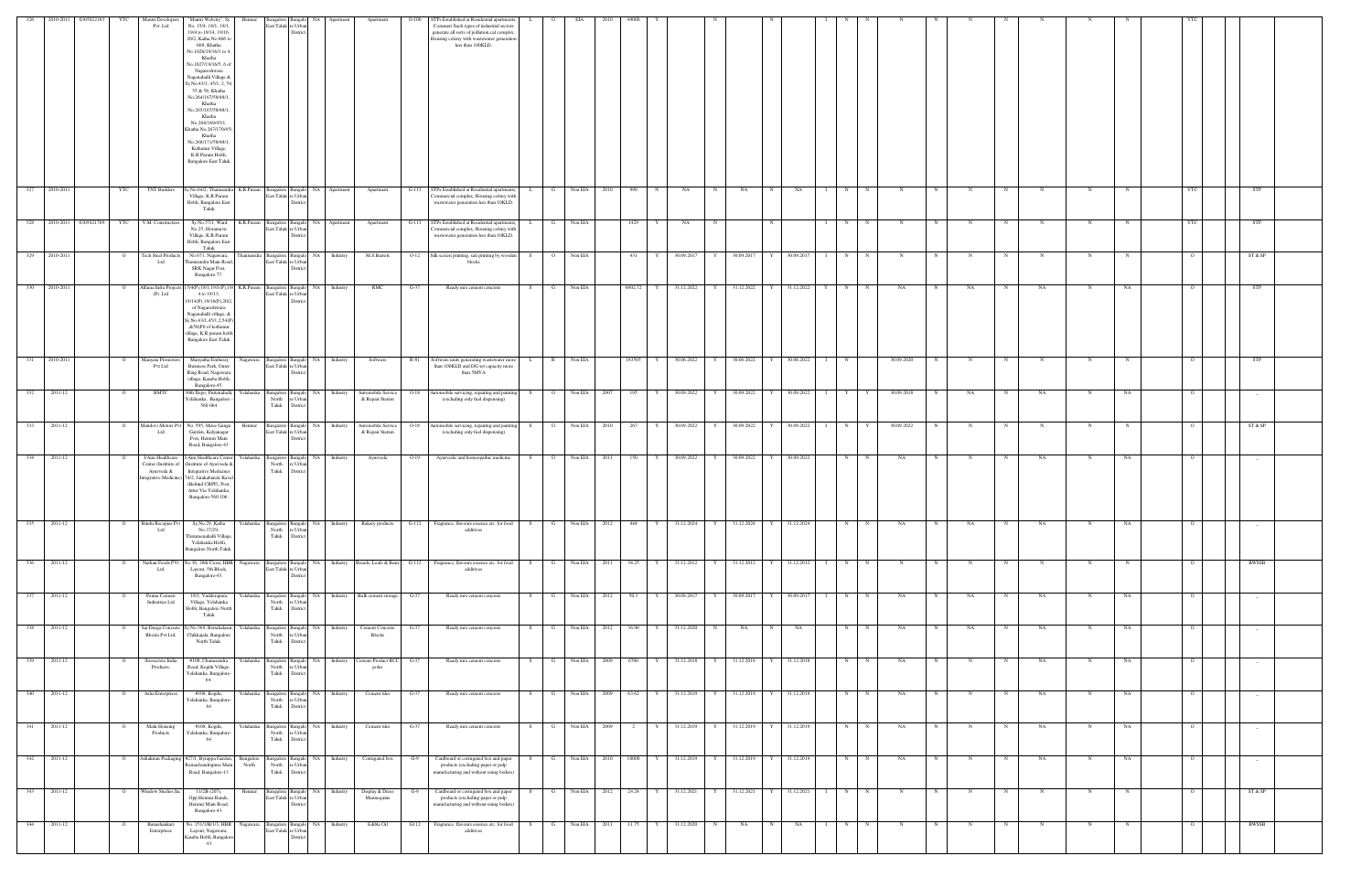| 326                       |                          | 2010-2011 0305022183 | YTC            | Mantri Developers<br>Pvt. Ltd                                                | "Mantri Webcity", Sy<br>Hennur<br>No. 15/4, 18/1, 19/1,<br>19/4 to 19/14, 19/16,<br>20/2, Katha No.666 to<br>668, Khatha<br>No.1026/19/16/1 to 4.<br>Khatha<br>No.1027/19/16/5, 6 of<br>Nagareshwara<br>Nagenahalli Village &<br>y.No.43/1, 45/1, 2, 5<br>55 & 58, Khatha<br>No.264/167/58/48/1,<br>Khatha<br>No.265/167/58/48/1,<br>Khatha<br>No.266/169/45/1.<br>Khatha No.267/170/45<br>Khatha<br>No.268/171/58/48/1,<br>Kothanur Village,<br>K.R.Puram Hobli,<br><b>Bangalore East Taluk</b> | last Taluk re Urba          | Bangalore Bangalo NA<br>Distric                         | Apartment                                | Apartment                                         | $O-100$ | TPs Established at Residential apartments,<br>ommeri Such types of industrial sectors<br>generate all sorts of pollution.cal complex.<br>lousing colony with wastewater generation<br>less than 100KLD. | $\mathbf{L}$ | $\circ$        | EIA              |      |           |              |              |       |                           |              |              |                               |                  |              |              |             |             |            |             |             |                |            |  |
|---------------------------|--------------------------|----------------------|----------------|------------------------------------------------------------------------------|--------------------------------------------------------------------------------------------------------------------------------------------------------------------------------------------------------------------------------------------------------------------------------------------------------------------------------------------------------------------------------------------------------------------------------------------------------------------------------------------------|-----------------------------|---------------------------------------------------------|------------------------------------------|---------------------------------------------------|---------|---------------------------------------------------------------------------------------------------------------------------------------------------------------------------------------------------------|--------------|----------------|------------------|------|-----------|--------------|--------------|-------|---------------------------|--------------|--------------|-------------------------------|------------------|--------------|--------------|-------------|-------------|------------|-------------|-------------|----------------|------------|--|
|                           | 327 2010-2011            |                      | YTC            | <b>TNT Builders</b>                                                          | Sy.No.64/2, Thanisan<br>K.R.Puram<br>Village, K.R.Puram<br>Hobli, Bangalore East<br>Taluk                                                                                                                                                                                                                                                                                                                                                                                                        | East Taluk re Urban         | Bangalore Bangalo<br>District                           | NA 1<br>Apartment                        | Apartment                                         | $G-113$ | STPs Established at Residential apartments,<br>Commercial complex, Housing colony with<br>wastewater generation less than 10KLD.                                                                        |              | G              | Non EIA 2010     |      | 990       | N            | NA           | N     | NA                        | N            | NA           | N                             | N                | N            |              |             |             | N          | N           |             | <b>YTC</b>     | <b>STP</b> |  |
|                           | 328 2010-2011 0305021789 |                      | YTC            | V.M. Construction                                                            | Sy.No.57/1, Ward<br>No.25, Horamavu<br>Village, K.R.Puram<br>Hobli, Bangalore East<br>Taluk                                                                                                                                                                                                                                                                                                                                                                                                      |                             | East Taluk re Urban<br>District                         | K.R.Puram Bangalore Bangalo NA Apartment | Apartment                                         | $G-113$ | STPs Established at Residential apartments,<br>Commercial complex, Housing colony with<br>wastewater generation less than 10KLD.                                                                        | L.           | $\mathbf{G}$   | Non EIA          |      | 1429      | Y            | NA           | N     |                           | N            |              | N                             | $_{\rm N}$       | N            | N            |             | $\mathbf N$ | N          | N           |             | YTC            | <b>STP</b> |  |
| 329                       | 2010-2011                |                      |                | <b>Tech Steel Products</b><br>Ltd                                            | No.671, Nagawara,<br>hanisandra Main Road<br><b>SRK Nagar Post,</b><br>Bangalore-77.                                                                                                                                                                                                                                                                                                                                                                                                             | East Taluk re Urbar         | hanisandra Bangalore Bangalo NA<br>Distric              | Industry                                 | M.S.Barrels                                       | $O-12$  | Silk screen printing, sari printing by wooden<br>blocks                                                                                                                                                 | - S          | $\circ$        | Non EIA          |      | 431       |              | 30.09.2017   | Y     | 30.09.2017                |              | 30.09.2017   | N                             |                  | $\mathbb{N}$ |              |             |             | N          | N           |             | - 0            | ST & SP    |  |
|                           | 330 2010-2011            |                      |                | (P) Ltd                                                                      | Alfaraa Infra Projects 15/4(P), 18/1, 19/1(P), 19<br>4 to 19/13,<br>19/14(P), 19/16(P), 20/2<br>of Nagareshwara<br>Nagenahalli village, &<br>Sy.No.43/1,45/1,2,54(P<br>,&58(P0 of kothanur<br>village, K.R.puram hobli<br><b>Bangalore East Taluk</b>                                                                                                                                                                                                                                            | East Taluk re Urba          |                                                         | K.R.Puram Bangalore Bangalo NA Industry  | RMC                                               | $G-37$  | Ready mix cement concrete                                                                                                                                                                               | S –          | $\mathbf{G}$   | Non EIA          |      | 6802.72 Y |              | 31.12.2022   | $Y =$ | 31.12.2022 Y              |              | 31.12.2022 Y |                               | $N$ N            | NA           | $\mathbb{N}$ | NA          | $\mathbf N$ | NA         | N           | NA          | $\Omega$       | <b>STP</b> |  |
|                           | $331$ 2010-2011          |                      | $\circ$        | Manyata Promoters<br>Pvt Ltd                                                 | Manyatha Embassy<br>Nagawara<br><b>Business Park</b> , Outer<br>Ring Road, Nagawara<br>village, Kasaba Hobli,<br>Bangalore-45.                                                                                                                                                                                                                                                                                                                                                                   | East Taluk re Urban         | District                                                | Bangalore Bangalo NA Industry            | Software                                          | R-81    | Software units generating wastewater more<br>than 100KLD and DG set capacity more<br>than 5MVA                                                                                                          | L            | R              | Non EIA          |      | 183505    | Y            | 30.06.2022   | Y     | 30.06.2022 Y 30.06.2022 I |              |              | N                             |                  | 30.09.2020   | N            | N           | $\mathbf N$ | $_{\rm N}$ | N           |             | $\overline{O}$ | <b>STP</b> |  |
| 332                       | 2011-12                  |                      |                | BMTC                                                                         | 30th Depo, Puttenahalli,<br>Yelahanka<br>relahanka, Bangalore<br>560 064                                                                                                                                                                                                                                                                                                                                                                                                                         | North<br>Taluk              | Bangalore Bangalo NA<br>e Urba<br>District              | Industry                                 | Automobile Service<br>& Repair Station            | $O-18$  | utomobile servicing, repairing and painting<br>(excluding only fuel dispensing)                                                                                                                         | S            | $\overline{O}$ | Non EIA 2007     |      | 195       | Y            | 30.09.2022   | Y     | 30.09.2022 Y              |              | 30.09.2022 I | Y                             | Y                | 30.09.2018   |              | NA          | $\mathbf N$ | NA         | N           | NA          | $\circ$        |            |  |
|                           | 333 2011-12              |                      | $\overline{O}$ | Mandovi Motors Pv<br>Ltd                                                     | No. 595, Shree Ganga<br>Hennur<br>Garden, Kalyanagar<br>Post, Hennur Main<br>Road, Bangalore-43                                                                                                                                                                                                                                                                                                                                                                                                  | East Taluk re Urbar         | Bangalore Bangalo NA<br>District                        | Industry                                 | Automobile Service<br>& Repair Station            | $O-18$  | Automobile servicing, repairing and painting<br>(excluding only fuel dispensing)                                                                                                                        |              |                | S 0 Non EIA 2010 |      | 267       |              | Y 30.09.2022 | Y     |                           |              |              | 30.09.2022 Y 30.09.2022 I N Y |                  | 30.09.2022   | N            | $\mathbf N$ | N           | N          | $_{\rm N}$  |             | $\Omega$       | ST & SP    |  |
| 334                       | 2011-12                  |                      |                | I-Aim Healthcan<br>Center (Institute of<br>Ayurveda &<br>tegrative Medicine) | Aim Healthcare Cent<br>relahanka<br>Institute of Ayurveda &<br>Integrative Medicine)<br>74/2, Jarakabande Kaval<br>(Behind CRPF), Post,<br>Attur Via Yelahanka,<br>Bangalore-560 106.                                                                                                                                                                                                                                                                                                            | Bangalore<br>North<br>Taluk | Bangal<br>re Urbar<br>Distric                           | NA 1<br>Industry                         | Ayurveda                                          |         | Ayurvedic and homeopathic medicine                                                                                                                                                                      |              | $\overline{O}$ | Non EIA 2011     |      | 150       |              | 30.09.2022   | Y     | 30.09.2022                |              | 30.09.2022   | N                             |                  | NA           |              |             |             | NA         |             | NA          |                |            |  |
| 335                       | 2011-12                  |                      |                | <b>Bindu Recepies Pvt</b><br>Ltd                                             | Sy.No.29, Katha<br>Yelahanka<br>No.37/29,<br>Thirumenahalli Village<br>Yelahanka Hobli,<br><b>Bangalore North Taluk</b>                                                                                                                                                                                                                                                                                                                                                                          | North<br>Taluk              | e Urba<br>District                                      | Bangalore Bangalo NA Industry            | <b>Bakery</b> products                            | $G-112$ | Fragrance, flavours essence etc. for food<br>additives                                                                                                                                                  | S            | $\mathbf{G}$   | Non EIA          | 2012 | 444       | Y            | 31.12.2024   | Y     | 31.12.2024                | $\mathbf{Y}$ | 31.12.2024   | N                             | $_{\rm N}$       | NA           | N            | NA          | $\mathbf N$ | NA         |             | NA          |                |            |  |
| $\overline{\textbf{336}}$ | 2011-12                  |                      |                | Nathan Foods PV<br>Ltd                                                       | Vo.36, 18th Cross, HBI<br>Nagawara<br>Layout, 5th Block,<br>Bangalore-43.                                                                                                                                                                                                                                                                                                                                                                                                                        |                             | Bangalore Bangalo<br>East Taluk re Urban<br>District    | NA 1                                     | Industry Breads, Loafs & Buns G-112               |         | Fragrance, flavours essence etc. for food<br>additives                                                                                                                                                  | <b>S</b>     | G              | Non EIA 2011     |      | 38.25     | Y            | 31.12.2012   | Y     | 31.12.2012 Y              |              | 31.12.2012   | l 1                           | N<br>$\mathbf N$ | $_{\rm N}$   | $\mathbf N$  |             |             | N          | N           |             | $\circ$        | BWSSB      |  |
| 337                       | 2011-12                  |                      |                | Penna Cement<br><b>Industries Ltd</b>                                        | relahanka<br>18/1, Vadderapura<br>Village, Yelahanka<br>Hobli, Bangalore North<br>Taluk                                                                                                                                                                                                                                                                                                                                                                                                          | Taluk                       | North re Urban<br>District                              |                                          | Bangalore Bangalo NA Industry Bulk cement storage | $G-37$  | Ready mix cement concrete                                                                                                                                                                               | S            | $\mathbf{G}$   | Non EIA 2012     |      | 50.3      | Y            | 30.09.2017   | Y     | 30.09.2017 Y 30.09.2017 I |              |              |                               | N<br>N           | NA           | N            | NA          | N           | NA         | N           | NA          | $\circ$        |            |  |
|                           | 338 2011-12              |                      |                | Sai Durga Concrete<br><b>Blocks Pvt Ltd,</b>                                 | y.No.369, Bettahalasur<br>Yelahanka<br>Chikkajala, Bangalore<br>North Taluk.                                                                                                                                                                                                                                                                                                                                                                                                                     | North<br>Taluk              | Bangalore Bangalo NA<br>e Urban<br>District             | Industry                                 | Cement Concrete<br>Blocks                         | $G-37$  | Ready mix cement concrete                                                                                                                                                                               | S.           | G              | Non EIA 2012     |      | 36.96     | $\mathbf{Y}$ | 31.12.2020   | N     | NA                        | $\mathbf N$  | NA           | N                             | $\mathbf N$      | NA           |              | NA          | N           | NA         | N           | NA          | $\circ$        |            |  |
|                           | 339 2011-12              |                      | $\circ$        | Stresscrete India<br>Products,                                               | #108, Chanasandra<br>Yelahanka<br>Road, Kogilu Village,<br>Yelahanka, Bangalore-<br>64.                                                                                                                                                                                                                                                                                                                                                                                                          | North<br>Taluk              | Bangalore Bangalo<br>re Urban<br>District               | NA 1<br>Industry                         | Cement Product RCC<br>poles                       | $G-37$  | Ready mix cement concrete                                                                                                                                                                               | S.           | G              | Non EIA 2009     |      | 6700      | Y            | 31.12.2018   | Y     | 31.12.2018 Y 31.12.2018   |              |              |                               | N<br>N           | NA           | N            |             | N           | NA         | N           | NA          | - 0            | $\sim$     |  |
| 340                       | 2011-12                  |                      |                | Asha Enterprises                                                             | #108, Kogilu,<br>relahanka<br>Yelahanka, Bangalore<br>64                                                                                                                                                                                                                                                                                                                                                                                                                                         | Bangalore Bangalo<br>Taluk  | North re Urban<br>$\sf District$                        | NA<br>Industry                           | Cement tiles                                      | $G-37$  | Ready mix cement concrete                                                                                                                                                                               |              | G              | Non EIA          | 2009 | 63.62     |              | 31.12.2019   | Y     | 31.12.2019                |              | 31.12.2019   | N                             |                  | NA           |              |             |             | NA         |             | NA          | $\circ$        | $\sim$     |  |
| 341                       | 2011-12                  |                      |                | Malu Housing<br>Products                                                     | #108, Kogilu,<br>Yelahanka<br>Yelahanka, Bangalore-<br>64                                                                                                                                                                                                                                                                                                                                                                                                                                        | North<br>Taluk              | Bangalore Bangalo NA<br>re Urban<br>District            | Industry                                 | Cement tiles                                      | G-37    | Ready mix cement concrete                                                                                                                                                                               |              | G              | Non EIA          |      |           |              | 31.12.2019   |       | 31.12.2019                |              | 31.12.2019   | N                             |                  | NA           |              |             |             | NA         |             | NA          |                |            |  |
|                           | 342 2011-12              |                      | $\overline{O}$ |                                                                              | Ashakiran Packaging #27/1, Byrappa Garden,<br>Bangalore<br>tamachandrapura Mair<br>North<br>Road, Bangalore-13                                                                                                                                                                                                                                                                                                                                                                                   | North<br>Taluk              | e Urbar<br>District                                     |                                          | Bangalore Bangalo NA Industry Corrugated box      | $G-9$   | Cardboard or corrugated box and paper<br>products (excluding paper or pulp<br>manufacturing and without using boilers)                                                                                  |              | $\mathbf{G}$   | Non EIA 2010     |      | 10000     | Y            | 31.12.2019   | Y     | 31.12.2019 Y              |              | 31.12.2019   |                               | N<br>$\mathbf N$ | NA           | N            | $\mathbf N$ | N           | NA         | $\mathbf N$ | NA          | $\overline{O}$ | $\sim$ $-$ |  |
| 343                       | 2011-12                  |                      | $\overline{O}$ | Window Studios In                                                            | 11/2B (207),<br>Hennur<br>Opp.Hennur Bande,<br>Hennur Main Road,<br>Bangalore-43.                                                                                                                                                                                                                                                                                                                                                                                                                |                             | Bangalore Bangalo NA<br>East Taluk re Urban<br>District | Industry                                 | Display & Dress<br>Mannequins                     | G-9     | Cardboard or corrugated box and paper<br>products (excluding paper or pulp<br>manufacturing and without using boilers)                                                                                  |              | $\mathbf{G}$   | Non EIA 2012     |      | 24.24     | Y            | 31.12.2021   | Y     | 31.12.2021                |              | 31.12.2021   |                               | N<br>N           | $_{\rm N}$   |              |             | $\mathbf N$ | N          | N           |             | $\Omega$       | ST & SP    |  |
| 344                       | 2011-12                  |                      | $\overline{O}$ | Banashankari<br>Enterprises                                                  | No. 151/1/B/1/3, HBR<br>Layout, Nagawara,<br>Kasaba Hobli, Bangaloro<br>43                                                                                                                                                                                                                                                                                                                                                                                                                       |                             | East Taluk re Urban<br>District                         | Nagawara Bangalore Bangalo NA Industry   | Edible Oil                                        | G112    | Fragrance, flavours essence etc. for food<br>additives                                                                                                                                                  | S            | $\mathbf{G}$   | Non EIA 2011     |      | 11.75     |              | Y 31.12.2020 | N     | <b>NA</b>                 | N            | NA           | $\mathbf{I}$                  | N<br>N           | N            | N            | N           | N           | N          | N           | $\mathbf N$ | $\overline{O}$ | BWSSB      |  |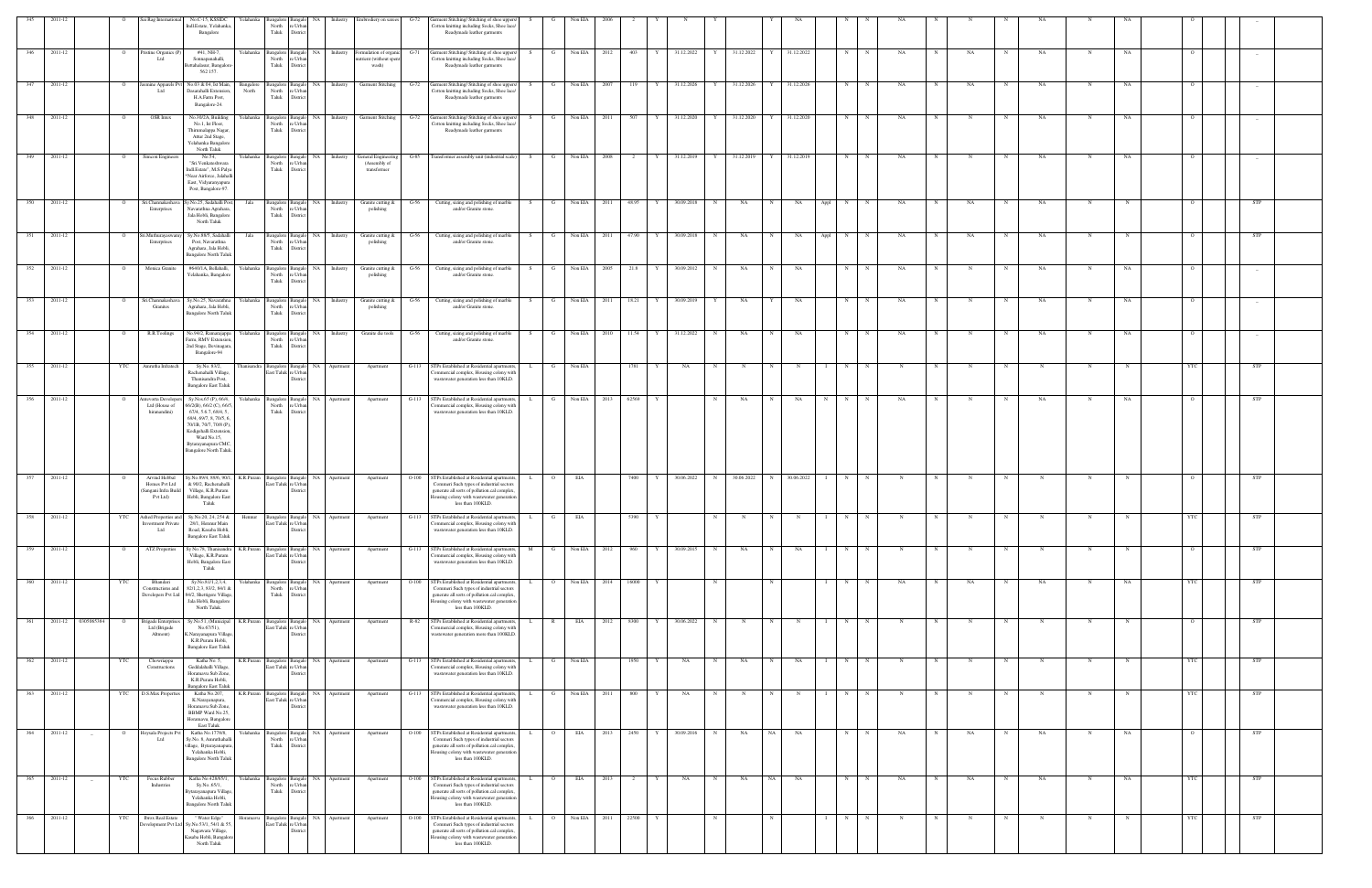|             | 2011-12 |                        |                | Sai Rag International                                             | No.C-15, KSSIDC<br>Yelahanka<br>indl.Estate, Yelahanka                                                                                                                                                                                   | North                                                                                     | Bangalore Bangalo NA<br>: Urba             | Industry                                                                                             | Embrodiery on sarees                                   | arment Stitching/ Stitching of shoe uppers/<br>G-72<br>otton knitting including Socks, Shoe lace/                                                                                                                    |              |                | Non EIA      |      |                      |            |   |                           |             |             |                   |              |             |   |                           |             |             |    |            |                |
|-------------|---------|------------------------|----------------|-------------------------------------------------------------------|------------------------------------------------------------------------------------------------------------------------------------------------------------------------------------------------------------------------------------------|-------------------------------------------------------------------------------------------|--------------------------------------------|------------------------------------------------------------------------------------------------------|--------------------------------------------------------|----------------------------------------------------------------------------------------------------------------------------------------------------------------------------------------------------------------------|--------------|----------------|--------------|------|----------------------|------------|---|---------------------------|-------------|-------------|-------------------|--------------|-------------|---|---------------------------|-------------|-------------|----|------------|----------------|
|             |         |                        |                |                                                                   | Bangalore                                                                                                                                                                                                                                | Taluk                                                                                     | District                                   |                                                                                                      |                                                        | Readymade leather garments                                                                                                                                                                                           |              |                |              |      |                      |            |   |                           |             |             |                   |              |             |   |                           |             |             |    |            |                |
| 346         | 2011-12 |                        | $\circ$        | 'ristine Organics (P<br>Ltd                                       | #41, NH-7.<br>Sonnapanahalli,<br>ettahalasur, Bangalor<br>562 157.                                                                                                                                                                       | Yelahanka Bangalore Bangalo NA<br>North<br>Taluk                                          | e Urbar<br>District                        | Industry                                                                                             | ormulation of organi<br>trient (without spent<br>wash) | Garment Stitching/ Stitching of shoe uppers/<br>G-71<br>Cotton knitting including Socks, Shoe lace/<br>Readymade leather garments                                                                                    |              | G              | Non EIA      | 2012 | 403<br>Y             | 31.12.2022 | Y | 31.12.2022                | Y           | 31.12.2022  | N                 | N            | NA          |   | NA<br>$_{\rm N}$          | <b>NA</b>   | N           | NA |            | $\overline{a}$ |
|             | 2011-12 |                        |                | smine Apparels I<br>Ltd                                           | No.03 & 04, Ist Mair<br><b>Bangalore</b><br>Dasarahalli Extension<br>North<br>H.A.Farm Post,                                                                                                                                             | <b>Bangalore</b><br>North<br>Taluk                                                        | NA<br>3angal<br>e Urban<br>District        | Industry                                                                                             | Garment Stitching                                      | arment Stitching/Stitching of shoe uppers/<br>Cotton knitting including Socks, Shoe lace/<br>Readymade leather garments                                                                                              |              |                | Non EIA      | 2007 | 119                  | 31.12.2026 |   | Y 31.12.2026              | Y           | 31.12.2026  | N                 |              | NA          |   | NA                        | NA          |             | NA |            |                |
| 348         | 2011-12 |                        |                | OSR Intex                                                         | Bangalore-24.<br>No.30/2A, Building<br>relahanka<br>No.1, Ist Floor,<br>Thirumalappa Nagar,                                                                                                                                              | 3angalore<br>North<br>Taluk                                                               | Bangalo NA<br>e Urba<br>District           | Industry                                                                                             | <b>Garment Stitching</b>                               | Garment Stitching/ Stitching of shoe uppers/<br>$G-72$<br>Cotton knitting including Socks, Shoe lace/<br>Readymade leather garments                                                                                  |              | G              | Non EIA      | 2011 | 507<br>Y             | 31.12.2020 | Y | 31.12.2020                | Y           | 31.12.2020  | N                 | - N          | NA          |   |                           | NA          | N           | NA |            |                |
| 349 2011-12 |         |                        | $\circ$        | Simcon Engineers                                                  | Attur 2nd Stage,<br>Yelahanka Bangalor<br>North Taluk<br>No.54,<br>Yelahanka                                                                                                                                                             |                                                                                           |                                            | Bangalore Bangalo NA Industry                                                                        | General Engineering                                    | Transformer assembly unit (industrial scale)<br>$G-85$                                                                                                                                                               |              | $S$ G I        | Non EIA 2008 |      | $\sim$ 2<br>Y        | 31.12.2019 |   | Y 31.12.2019 Y 31.12.2019 |             |             | N                 | $\mathbb{N}$ | NA          |   | N                         | NA          | N           | NA |            |                |
|             |         |                        |                |                                                                   | "Sri.Venkateshwara<br>Indl.Estate", M.S.Palya<br>Near Airforce, Jalahal<br>East, Vidyaranyapura<br>Post, Bangalore-97.                                                                                                                   | North<br>Taluk                                                                            | e Urbs<br>District                         |                                                                                                      | (Assembly of<br>transformer                            |                                                                                                                                                                                                                      |              |                |              |      |                      |            |   |                           |             |             |                   |              |             |   |                           |             |             |    |            |                |
| 350         | 2011-12 |                        |                | Sri.Channakeshava<br>Enterprises                                  | y.No.25, Sadahalli Po<br>Jala<br>Navarathna Agrahara<br>Jala Hobli, Bangalore<br>North Taluk                                                                                                                                             | Bangalore<br>North<br>Taluk                                                               | NA<br>Bangal<br>e Urbar<br>District        | Industry                                                                                             | Granite cutting &<br>polishing                         | Cutting, sizing and polishing of marble<br>G-56<br>and/or Granite stone.                                                                                                                                             |              | G              | Non EIA      | 2011 | 48.95                | 30.09.2018 | N | NA                        |             | NA          | N<br>Appl         |              | NA          |   | NA                        | NA          |             |    |            | STP            |
| - 351       | 2011-12 |                        |                | i.Muthuravaswa<br>Enterprises                                     | Sv.No.88/5. Sadahal<br>Jala<br>Post, Navarathna<br>Agrahara, Jala Hobli,<br>Bangalore North Talul                                                                                                                                        | 3angalore<br>North<br>Taluk                                                               | NA.<br>: Urba<br>Distri                    | Industry                                                                                             | Granite cutting &<br>polishing                         | Cutting, sizing and polishing of marble<br>and/or Granite stone.                                                                                                                                                     |              |                | Non EIA      |      | 47.90                | 30.09.2018 |   | NA                        |             | NA.         | Appl<br>N         |              | NA          |   | NA                        | NA          |             |    |            | <b>STP</b>     |
| 352         | 2011-12 |                        | $\overline{O}$ | Monica Granite                                                    | #640/1A, Bellahalli,<br>Yelahanka, Bangalore                                                                                                                                                                                             | Yelahanka Bangalore Bangalo<br>North<br>Taluk                                             | NA 1<br>: Urb<br><b>Distric</b>            | Industry                                                                                             | Granite cutting &<br>polishing                         | Cutting, sizing and polishing of marble<br>G-56<br>and/or Granite stone.                                                                                                                                             |              | $\mathbf{G}$   | Non EIA      | 2005 | 21.8<br>$\mathbf{Y}$ | 30.09.2012 | N | NA                        | N           | NA          | N                 | N            | NA          |   | N                         | NA          | N           | NA |            |                |
| 353         | 2011-12 |                        |                | Sri.Channakesha<br>Granites                                       | Sy.No.25, Navarathna<br>Yelahanka<br>Agrahara, Jala Hobli,<br><b>Bangalore North Taluk</b>                                                                                                                                               | Bangalore Bangale<br>North<br>Taluk                                                       | NA<br>e Urba<br>District                   | Industry                                                                                             | Granite cutting &<br>polishing                         | Cutting, sizing and polishing of marble<br>and/or Granite stone.                                                                                                                                                     |              | G              | Non EIA      | 2011 | 18.21                | 30.09.2019 |   | NA                        |             | NA          | N                 |              | NA          |   |                           | NA          | N           | NA |            | $\overline{a}$ |
| 354         | 2011-12 |                        | $\circ$        | R.R.Toolings                                                      | No.94/2, Ramarajappa<br>Yelahanka<br>Farm, RMV Extension<br>2nd Stage, Devinagara<br>Bangalore-94                                                                                                                                        | Bangalore<br>North<br>Taluk                                                               | Bangalo NA<br>e Urbar<br>District          | Industry                                                                                             | Granite die tools                                      | $G-56$<br>Cutting, sizing and polishing of marble<br>and/or Granite stone.                                                                                                                                           | S.           | $\mathbf{G}$   | Non EIA      | 2010 | 11.54<br>Y           | 31.12.2022 | N | NA                        | N           | NA          | N                 | $\mathbf N$  | NA          |   | N<br>$\mathbf N$          | NA          | N           | NA |            |                |
| 355         | 2011-12 |                        | YTC            | Amrutha Infratech                                                 | Sy.No. 83/2,<br>hanisandra<br>Rachenahalli Village,<br>Thanisandra Post,<br><b>Bangalore East Taluk</b>                                                                                                                                  | East Taluk re Urbar                                                                       | Bangalore Bangalo NA<br><b>Distric</b>     | Apartment                                                                                            | Apartment                                              | $G-113$<br>GTPs Established at Residential apartments,<br>ommercial complex, Housing colony with<br>wastewater generation less than 10KLD.                                                                           |              | - G            | Non EIA      |      | 1781                 | NA         | N |                           |             | - N         | N                 |              | N           |   |                           | N           | N           |    |            | <b>STP</b>     |
| 356         | 2011-12 |                        | - 0            | intevorta Develope<br>Ltd (House of<br>hiranandini)               | Yelahanka<br>Sy.Nos.65 (P), 66/4,<br>6/2(B), 66/2 (C), 66/.<br>67/4, 5.6.7, 68/4, 5,<br>69/4, 69/7, 8, 70/5, 6<br>70/1B, 70/7, 70/8 (P),<br>Kodigehalli Extension.<br>Ward No.15,<br>Bytarayanapura CMC.<br><b>Bangalore North Taluk</b> | North<br>Taluk                                                                            | Bangalore Bangalo NA<br>e Urbs<br>District | Apartment                                                                                            | Apartment                                              | STPs Established at Residential apartments,<br>$G-113$<br>ommercial complex, Housing colony with<br>wastewater generation less than 10KLD.                                                                           | . I.         | $\mathbf{G}$   | Non EIA 2013 |      | 62569<br>Y           |            | N | NA                        | $\mathbf N$ | NA          | N                 | N            | NA          |   | $_{\rm N}$                | NA          | N           | NA |            | <b>STP</b>     |
|             | 2011-12 |                        |                | Arvind Hebbal<br>Homes Pvt Ltd<br>Sangani Infra Build<br>Pvt Ltd) | v.No.89/4, 89/6, 90/1.<br>K.R.Puram<br>& 90/2, Rachenahalli<br>Village, K.R.Puram<br>Hobli, Bangalore East<br>Taluk                                                                                                                      | Bangalore<br>East Taluk re Urbar                                                          | Bangalo NA                                 | Apartment                                                                                            | Apartment                                              | STPs Established at Residential apartments,<br>$O-100$<br>Commeri Such types of industrial sectors<br>generate all sorts of pollution.cal complex,<br>busing colony with wastewater generation<br>less than 100KLD.  |              |                | EIA          |      | 7400                 | 30.06.2022 | N | 30.06.2022                |             | 30.06.2022  | N                 |              |             |   |                           |             |             |    |            |                |
|             | 2011-12 |                        |                | Ashed Properties at<br>vestment Private<br>Ltd                    | Sy.No.20, 24, 254 &<br>28/1, Hennur Main<br>Road, Kasaba Hobli,<br><b>Bangalore East Taluk</b>                                                                                                                                           | East Taluk re Urban                                                                       | District                                   |                                                                                                      |                                                        | 'ommercial complex, Housing colony with<br>wastewater generation less than 10KLD.                                                                                                                                    |              |                |              |      |                      |            |   |                           |             |             |                   |              |             |   |                           |             |             |    |            |                |
| 359         | 2011-12 |                        |                | <b>ATZ</b> Properties                                             | Sy No.78, Thanisandra<br>K.R.Puram<br>Village, K.R.Puram<br>Hobli, Bangalore East                                                                                                                                                        | $\begin{tabular}{lcl} Bangalore & Bangalo & NA \\ East Taluk & re Urban \\ \end{tabular}$ | District                                   | Apartment                                                                                            | Apartment                                              | STPs Established at Residential apartments,<br>$G-113$<br>ommercial complex, Housing colony with<br>wastewater generation less than 10KLD.                                                                           |              |                | Non EIA      | 2012 | 960                  | 30.09.2015 | N | NA                        | $\mathbf N$ | NA          | N                 |              |             |   |                           |             | N           |    |            | <b>STP</b>     |
| 360         | 2011-12 |                        | YTC            | Bhandari<br>Constructions and                                     | Taluk<br>Yelahanka<br>Sy.No.81/1,2,3,4,<br>82/1,2,3, 83/2, 84/1 &<br>Developers Pvt Ltd 84/2, Shettigere Village,<br>Jala Hobli, Bangalore                                                                                               | North<br>Taluk                                                                            | e Urban<br>District                        | Bangalore Bangalo NA Apartment                                                                       | Apartment                                              | STPs Established at Residential apartments,<br>$O-100$<br>Commeri Such types of industrial sectors<br>generate all sorts of pollution.cal complex,<br>lousing colony with wastewater generation                      | . <b>I</b> . | $\overline{O}$ | Non EIA 2014 |      | 16000                |            |   |                           |             |             | N                 | N            | NA          | N | NA<br>N                   | NA          | $\mathbf N$ | NA | YTC        | STP            |
|             |         | 361 2011-12 0305065384 | $\mathbf{o}$   | Brigade Enterprise<br>Ltd (Brigade<br>Altmont)                    | North Taluk.<br>Sy.No.51, (Municipal<br>K.R.Puram<br>No.67/51),<br>Narayanapura Villag                                                                                                                                                   |                                                                                           | District                                   | $\begin{tabular}{l c c} Bangalore & Bangalo & NA & Apartment \\ East Taluk re Urban & \end{tabular}$ | Apartment                                              | less than 100KLD.<br>STPs Established at Residential apartments,<br>R-82<br>'ommercial complex, Housing colony with<br>wastewater generation more than 100KLD.                                                       | $\mathbf{L}$ | $\mathbb{R}$   | <b>EIA</b>   | 2012 | 8300<br>Y            | 30.06.2022 | N | $_{\rm N}$                | $\mathbf N$ | N           | N                 | $\mathbb{N}$ | $\mathbf N$ | N | $\mathbf N$               | $_{\rm N}$  | $\mathbf N$ |    |            | <b>STP</b>     |
| 362         | 2011-12 |                        | YTC            | Chowriappa                                                        | K.R.Puram Hobli,<br><b>Bangalore East Taluk</b><br>Katha No. 5,                                                                                                                                                                          | K.R.Puram Bangalore Bangalo NA Apartment<br>East Taluk re Urban                           |                                            |                                                                                                      | Apartment                                              | STPs Established at Residential apartments,<br>$G-113$                                                                                                                                                               |              | $\mathbf{G}$   | Non EIA      |      | 1950<br>Y            | NA         | N | <b>NA</b>                 | N           | NA          | N                 | $\mathbb{N}$ | $_{\rm N}$  |   | N                         | N           | N           |    | YTC        | <b>STP</b>     |
| 363         | 2011-12 |                        | YTC            | Constructions<br>D.S.Max Properties                               | Geddalahalli Village,<br>Horamavu Sub Zone,<br>K.R.Puram Hobli,<br><b>Bangalore East Taluk</b><br>Katha No.207,                                                                                                                          | K.R.Puram Bangalore Bangalo NA                                                            | District                                   | Apartment                                                                                            | Apartment                                              | 'ommercial complex, Housing colony with<br>wastewater generation less than 10KLD.<br>STPs Established at Residential apartments,<br>$G-113$                                                                          |              | G              | Non EIA      | 2011 | 800<br>Y             | NA         | N |                           | N           | $\mathbf N$ | N                 |              |             |   |                           | N           | N           |    | YTC        | STP            |
|             |         |                        |                |                                                                   | K.Narayanapura,<br>Horamavu Sub Zone,<br>BBMP Ward No.25,<br>Horamavu, Bangalore<br><b>East Taluk</b>                                                                                                                                    | East Taluk re Urban                                                                       | District                                   |                                                                                                      |                                                        | ommercial complex, Housing colony with<br>wastewater generation less than 10KLD.                                                                                                                                     |              |                |              |      |                      |            |   |                           |             |             |                   |              |             |   |                           |             |             |    |            |                |
| 364         | 2011-12 | $\sim$                 |                | Ioysala Projects Py<br>Ltd                                        | Katha No.1778/8,<br>Yelahanka<br>Sy.No. 8, Amruthahall<br>illage, Bytarayanapura<br>Yelahanka Hobli,<br><b>Bangalore North Taluk</b>                                                                                                     | Bangalore<br>North<br>Taluk                                                               | NA<br>3angalo<br>e Urba<br>District        | Apartment                                                                                            | Apartment                                              | STPs Established at Residential apartments,<br>$O-100$<br>Commeri Such types of industrial sectors<br>generate all sorts of pollution.cal complex.<br>Iousing colony with wastewater generation<br>less than 100KLD. |              |                | EIA          | 2013 | 2450                 | 30.09.2016 | N | NA                        | NA          | NA          | N                 |              | NA          |   | NA                        | NA          | N           | NA |            | STP            |
| 365 2011-12 |         | $\sim$                 | YTC            | Focus Rubber<br>Industries                                        | Katha No.428/65/1,<br>Yelahanka<br>Sy.No65/1,<br>3ytarayanapura Village<br>Yelahanka Hobli,<br><b>Bangalore North Taluk</b>                                                                                                              | North<br>Taluk                                                                            | e Urban<br>District                        | Bangalore Bangalo NA Apartment                                                                       | Apartment                                              | STPs Established at Residential apartments,<br>$O-100$<br>Commeri Such types of industrial sectors<br>generate all sorts of pollution.cal complex,<br>lousing colony with wastewater generation<br>less than 100KLD. |              | $\overline{O}$ | EIA          | 2013 | 2<br>Y               | NA         | N | NA                        | NA          | NA          | N                 | N            | NA          |   | NA<br>$_{\rm N}$          | NA          | $\mathbf N$ | NA | <b>YTC</b> | <b>STP</b>     |
| 366         | 2011-12 |                        | YTC            | <b>Ibrox Real Estate</b>                                          | " Water Edge"<br>Horamavu<br>Development Pvt Ltd Sy.No.53/1, 54/1 & 55,<br>Nagawara Village,<br>Kasaba Hobli, Bangalor<br>North Taluk                                                                                                    | East Taluk re Urban                                                                       | District                                   | Bangalore Bangalo NA Apartment                                                                       | Apartment                                              | STPs Established at Residential apartments,<br>$O-100$<br>Commeri Such types of industrial sectors<br>generate all sorts of pollution.cal complex,<br>lousing colony with wastewater generation<br>less than 100KLD. | L            | $\overline{O}$ | Non EIA 2011 |      | 22500<br>Y           |            | N |                           | N           |             | N<br>$\mathbf{I}$ | N            | N           | N | $_{\rm N}$<br>$\mathbf N$ | $\mathbf N$ | $\mathbf N$ |    | YTC        | STP            |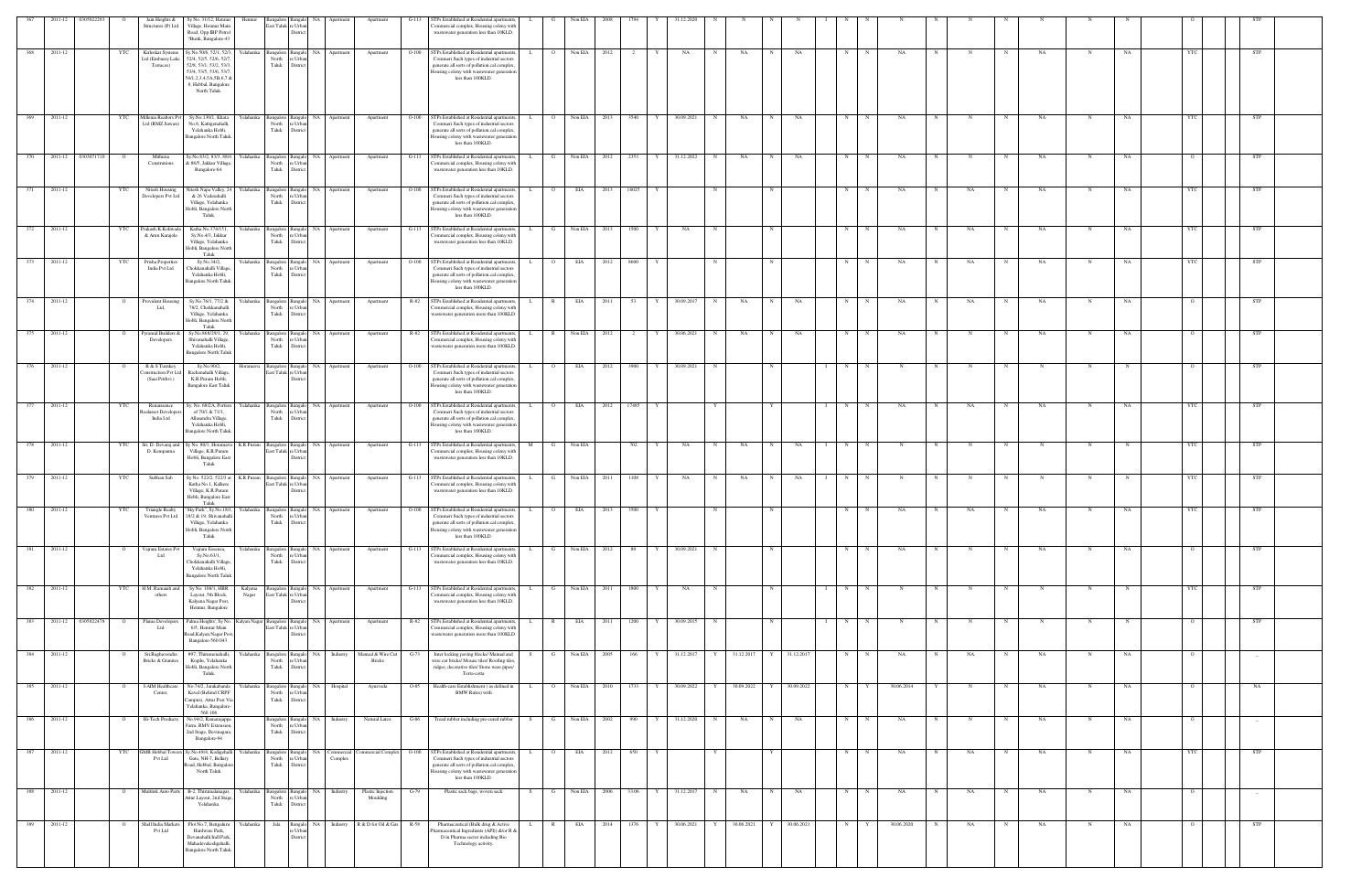|     | 2011-12<br>3050222     |                | Jain Heights &                                         | Sy No. 31/12, Hennur                                                                                                                                               | Hennu     |                                               |                                                      |               |                               |         | Ps Established at Residential apartment                                                                                                                                                                 |              |                |              |       |                      |   |              |             |                         |   |            |                     |             |            |            |             |   |             |             |           |                |            |  |
|-----|------------------------|----------------|--------------------------------------------------------|--------------------------------------------------------------------------------------------------------------------------------------------------------------------|-----------|-----------------------------------------------|------------------------------------------------------|---------------|-------------------------------|---------|---------------------------------------------------------------------------------------------------------------------------------------------------------------------------------------------------------|--------------|----------------|--------------|-------|----------------------|---|--------------|-------------|-------------------------|---|------------|---------------------|-------------|------------|------------|-------------|---|-------------|-------------|-----------|----------------|------------|--|
|     |                        |                | Structures (P) Ltd                                     | Village, Hennur Main<br>Road, Opp.IBP Petrol<br>?Bunk, Bangalore-43                                                                                                |           | iast Taluk re Urbar                           | Distrio                                              |               |                               |         | ommercial complex, Housing colony with<br>wastewater generation less than 10KLD.                                                                                                                        |              |                |              |       |                      |   |              |             |                         |   |            |                     |             |            |            |             |   |             |             |           |                |            |  |
| 368 | 2011-12                |                | Kirloskar Systems<br>td (Embassy Lak                   | Sy.No.50/6, 52/1, 52/3<br>52/4, 52/5, 52/6, 52/7                                                                                                                   | Yelahanka | Bangalore Bangak<br>North                     | e Urba                                               | NA Apartment  | Apartment                     | $O-100$ | <b>STPs Established at Residential apartments</b><br>Commeri Such types of industrial sectors                                                                                                           |              |                | Non EIA      |       |                      |   | NA           |             | NA                      |   | NA         |                     |             | NA         |            |             |   | NA          |             |           |                | STP        |  |
|     |                        |                | Terraces)                                              | 52/8, 53/1, 53/2, 53/3<br>53/4, 53/5, 53/6, 53/7<br>54/1,2,3,4,5A,5B,6,7 &<br>8, Hebbal, Bangalore<br>North Taluk.                                                 |           | Taluk                                         | Distric                                              |               |                               |         | generate all sorts of pollution.cal complex<br>lousing colony with wastewater generation<br>less than 100KLD.                                                                                           |              |                |              |       |                      |   |              |             |                         |   |            |                     |             |            |            |             |   |             |             |           |                |            |  |
| 369 | 2011-12                |                | Aillenia Realtors Py<br>Ltd (RMZ Sawan)                | Sy.No.130/1, Khata<br>No.6, Kattigenahalli,<br>Yelahanka Hobli,<br><b>Bangalore North Taluk</b>                                                                    |           | North<br>Taluk                                | ngalore Bangalo<br>re Urba<br>District               | NA Apartment  | Apartment                     | $O-100$ | STPs Established at Residential apartment<br>Commeri Such types of industrial sectors<br>generate all sorts of pollution.cal complex,<br>Iousing colony with wastewater generation                      |              | $\overline{O}$ | Non EIA      | 2013  | 3540                 |   | 30.09.2021   | N           | NA                      |   | NA         | N                   |             | NA         |            |             |   | NA          |             | NA        |                | STP        |  |
| 370 | 0303071710<br>2011-12  |                | Mithuna<br>Construtions                                | Sy.No.83/2, 83/3, 88/4<br>k 88/5, Jakkur Village<br>Bangalore-64.                                                                                                  | Yelahanka | North<br>Taluk                                | Bangalore Bangalo<br>e Urba<br>Distric               | NA Apartment  | Apartment                     | $G-113$ | less than 100KLD.<br>STPs Established at Residential apartment<br>ommercial complex, Housing colony with<br>wastewater generation less than 10KLD.                                                      |              | G              | Non EIA      | 2012  | 2353<br>Y            |   | 31.12.2022   | N           | NA                      |   | NA         | N                   |             | NA         |            |             |   | NA          | N           | NA        |                | <b>STP</b> |  |
| 371 | 2011-12                |                | Nitesh Housing<br>Developers Pvt Ltd                   | Vitesh Napa Valley, 24<br>& 26 Vaderahalli<br>Village, Yelahanka                                                                                                   | Yelahanka | Bangalore Bangalo<br>North<br>Taluk           | e Urba<br>District                                   | NA Apartment  | Apartment                     | $O-100$ | STPs Established at Residential apartments<br>Commeri Such types of industrial sectors<br>generate all sorts of pollution.cal complex,                                                                  |              | $\Omega$       | EIA          | 2013  | 16025                |   |              |             |                         |   |            | N                   |             | NA         |            | NA          |   | NA          |             | NA        |                | STP        |  |
| 372 | 2011-12                |                | Prakash.K.Koliwada<br>& Arun Karajola                  | Hobli, Bangalore North<br>Taluk.<br>Katha No.374/151<br>Sy.No.4/3, Jakkur                                                                                          | Yelahanka | Bangalore Bangal<br>North                     | NA<br>re Urba                                        | Apartmer      | Apartment                     | $G-113$ | lousing colony with wastewater generation<br>less than 100KLD.<br>STPs Established at Residential apartment<br>ommercial complex, Housing colony with                                                   |              |                | Non EIA      |       | 1500                 |   | NA           |             |                         |   |            | N                   |             | NA         |            | <b>NA</b>   |   | NA          |             | <b>NA</b> | YTC            | STP        |  |
| 373 | 2011-12                |                | Prisha Properties                                      | Village, Yelahanka<br>Hobli, Bangalore North<br>Taluk<br>Sy.No.34/2,                                                                                               | elahanka  | Taluk<br>Bangalore                            | District<br>Bangak<br>NA                             | Apartmen      | Apartment                     | $O-100$ | wastewater generation less than 10KLD.<br>STPs Established at Residential apartment                                                                                                                     |              |                | EIA          |       | 8600                 |   |              |             |                         |   |            | N                   |             | NA         |            | NA          |   | NA          |             | NA        |                | STP        |  |
|     |                        |                | India Pvt Ltd                                          | Chokkanahalli Village<br>Yelahanka Hobli,<br>Bangalore North Taluk                                                                                                 |           | North<br>Taluk                                | e Urba<br>Distrio                                    |               |                               |         | Commeri Such types of industrial sectors<br>generate all sorts of pollution.cal complex,<br>ousing colony with wastewater generation<br>less than 100KLD.                                               |              |                |              |       |                      |   |              |             |                         |   |            |                     |             |            |            |             |   |             |             |           |                |            |  |
|     | 374 2011-12            |                | Provident Housing<br>Ltd,                              | Sy.No.76/1, 77/2 &<br>78/2, Chokkanahalli<br>Village, Yelahanka<br>Hobli, Bangalore North<br>Taluk                                                                 |           | Yelahanka Bangalore Bangalo<br>North<br>Taluk | e Urba<br>Distric                                    | NA Apartment  | Apartment                     |         | R-82 STPs Established at Residential apartments,<br>ommercial complex, Housing colony with<br>vastewater generation more than 100KLD.                                                                   |              | $\mathbb{R}$   | EIA          | 2011  | 53<br>Y              |   | 30.09.2017   | $\mathbf N$ | NA                      |   | NA         | N                   |             | NA         |            | NA          |   | NA          | $\mathbf N$ | NA        |                | <b>STP</b> |  |
| 375 | 2011-12                |                | Pyramid Builders &<br>Developers                       | Sy.No.868/29/1, 29.<br>Shivanahalli Village,<br>Yelahanka Hobli,<br><b>Bangalore North Taluk</b>                                                                   | Yelahanka | <b>Bangalore</b> Bangal<br>North<br>Taluk     | re Urba<br>District                                  | NA Apartmen   | Apartment                     | R-82    | STPs Established at Residential apartments<br>Commercial complex, Housing colony with<br>vastewater generation more than 100KLD.                                                                        |              | $\mathbb{R}$   | Non EIA      | -2012 |                      |   | 30.06.2021   |             | NA                      |   | NA         | N                   |             | NA         |            |             |   | NA          | N           | <b>NA</b> |                | STP        |  |
| 376 | 2011-12                |                | R & S Turnkey<br>onstruction Pvt Ltd<br>(Saai Prithvi) | Sy.No.90/2,<br>Rachenahalli Village,<br>K.R.Puram Hobli,<br><b>Bangalore East Taluk</b>                                                                            | Horamavu  | Bangalore Bangalo<br>East Taluk re Urbar      | Distric                                              | NA Apartment  | Apartment                     | $O-100$ | STPs Established at Residential apartment<br>Commeri Such types of industrial sectors<br>generate all sorts of pollution.cal complex<br>lousing colony with wastewater generation<br>less than 100KLD.  |              | $\overline{O}$ | EIA          | 2012  | 3900                 | Y | 30.09.2021   | N           |                         |   |            | N<br>$\blacksquare$ |             | N          | $_{\rm N}$ |             | N | $_{\rm N}$  | N           |           |                | STP        |  |
| 377 | 2011-12                | YTC            | Renaissance<br>alasset Develope<br>India Ltd           | y. No. 68/2A, Portion<br>of 70/1 & 71/1,<br>Allasandra Village<br>Yelahanka Hobli,<br><b>Bangalore North Talul</b>                                                 | Yelahanka | Bangalore Bangalo<br>North<br>Taluk           | e Urba<br>District                                   | NA Apartment  | Apartment                     | $O-100$ | STPs Established at Residential apartments<br>Commeri Such types of industrial sectors<br>generate all sorts of pollution.cal complex<br>lousing colony with wastewater generation<br>less than 100KLD. |              |                | EIA          | 2012  | 17485                |   |              |             |                         |   |            | N                   |             | NA         |            | NA          |   | NA          | N           | NA        | YTC            | STP        |  |
| 378 | 2011-12                | YTC            | Sri. D. Devaraj and<br>D. Kempanna                     | Sy No. 80/1, Horamavu<br>Village, K.R.Puram<br>Hobli, Bangalore East                                                                                               | K.R.Puram | Bangalore Bangalo<br>East Taluk re Urba       | Distric                                              | NA Apartment  | Apartment                     | $G-113$ | STPs Established at Residential apartments<br>ommercial complex, Housing colony with<br>wastewater generation less than 10KLD.                                                                          | M            | - G            | Non EIA      |       | 702                  |   | NA           | N           | NA                      |   | NA         | N                   |             |            |            |             |   |             | N           |           | YTO            | <b>STP</b> |  |
|     | 379 2011-12            |                | Subhan Sab                                             | Taluk<br>Sy No. 522/2, 522/3 at<br>Katha No.1, Kalkere<br>Village, K.R.Puram                                                                                       | K.R.Puram | Bangalore Bangal<br>East Taluk re Urba        | NA<br>Distric                                        | Apartmer      | Apartment                     | $G-113$ | STPs Established at Residential apartment<br>ommercial complex, Housing colony with<br>wastewater generation less than 10KLD.                                                                           |              |                | Non EIA      | 2011  | 1108                 |   | NA           |             | NA                      |   | NA         |                     |             |            |            |             |   |             |             |           |                |            |  |
| 380 | 2011-12                | YTC            | ∕entures Pvt Ltd                                       | Hobli, Bangalore East<br>Taluk<br>Triangle Realty "Sky Park", Sy.No.18/1, Yelahanka Bangalore Bangalo NA Apartment<br>18/2 & 19. Shivanahall<br>Village, Yelahanka |           | North<br>Taluk                                | re Urbar<br>District                                 |               | Apartment                     |         | O-100 STPs Established at Residential apartments,<br>ommen Such types of industrial sector.<br>generate all sorts of pollution.cal complex,                                                             | L.           | $\circ$        | EIA          | 2013  | 3500<br>$\mathbf{Y}$ |   |              | N           |                         |   |            | N                   | N           | NA         |            | $_{\rm NA}$ |   | NA          | N           | NA        | YTC            | <b>STP</b> |  |
|     | 381 2011-12            |                | Vajram Estates Pvt<br>Ltd                              | Hobli, Bangalore North<br>Taluk<br>Vajram Essenza,<br>Sy.No.63/1,                                                                                                  |           | North                                         | Yelahanka Bangalore Bangalo NA Apartment<br>re Urbar |               | Apartment                     |         | Iousing colony with wastewater generation<br>less than 100KLD.<br>G-113 STPs Established at Residential apartments<br>ommercial complex, Housing colony with                                            |              | $\mathbf{G}$   | Non EIA 2012 |       | 80 — 1<br>Y          |   | 30.09.2021 N |             |                         |   |            | N                   | N           | NA         | N          |             | N | NA          | N           | NA        |                | <b>STP</b> |  |
| 382 | 2011-12                | YTC            | H.M. Ramaiah an                                        | Chokkanahalli Village,<br>Yelahanka Hobli,<br><b>Bangalore North Taluk</b><br>Sy No. 108/1, HBR                                                                    | Kalyana   | Taluk<br>Bangalore Bangalo                    | District                                             | NA Apartment  | Apartment                     | $G-113$ | wastewater generation less than 10KLD.<br>STPs Established at Residential apartments                                                                                                                    |              | G              | Non EIA      | 2011  | 1800                 |   | NA           | N           |                         |   |            | $I \t N$            |             | N          | N          |             | N | $\mathbf N$ | $\mathbf N$ |           | YTC            | <b>STP</b> |  |
|     | 383 2011-12 0305022478 | $\overline{O}$ | others<br>Plama Developers                             | Layout, 5th Block,<br>Kalyana Nagar Post,<br>Hennur, Bangalore<br>Palma Heights', Sy No. Kalyan Nagar Bangalore Bangalo NA Apartment                               | Nagar     | East Taluk re Urban                           | District                                             |               | Apartment                     |         | Commercial complex, Housing colony with<br>wastewater generation less than 10KLD.<br>R-82 STPs Established at Residential apartments,                                                                   | L.           | $\mathbb{R}$   | <b>EIA</b>   | 2011  | 1200                 | Y | 30.09.2015 N |             |                         | N |            | $I \t N$            | N           | N          | N          | N           | N | $\mathbf N$ | N           | N         | $\overline{O}$ | <b>STP</b> |  |
|     | 384 2011-12            |                | Ltd<br>Sri.Raghavendra                                 | 6/5, Hennur Main<br>Road, Kalyan Nagar Post,<br>Bangalore-560 043.<br>#97, Thirumenahalli,                                                                         | Yelahanka | East Taluk re Urban<br>Bangalore Bangalo      | Distric                                              | NA Industry   | Manual & Wire Cut             | $G-73$  | Commercial complex, Housing colony with<br>wastewater generation more than 100KLD.<br>Inter locking paving blocks/ Manual and                                                                           |              | G              | Non EIA 2005 |       | 166<br>Y             |   | 31.12.2017   | Y           | 31.12.2017              | Y | 31.12.2017 | N                   | $\mathbf N$ | NA         | N          | NA          | N | NA.         | N           | NA        | $\circ$        | $-$        |  |
|     | 385 2011-12            |                | <b>Bricks &amp; Granites</b><br>I-AIM Healthcare       | Kogilu, Yelahanka<br>Hobli, Bangalore North<br>Taluk.<br>No.74/2, Jarakabande                                                                                      | Yelahanka | North<br>Taluk                                | re Urba<br>District<br>Bangalore Bangalo             | NA Hospital   | <b>Bricks</b><br>Ayurveda     | $O-85$  | wire cut bricks/ Mosaic tiles/ Roofing tiles<br>ridges, decorative tiles/ Stone ware pipes/<br>Terra-cotta<br>Health-care Establishment (as defined in                                                  | $\mathbf{L}$ | 0 Non EIA 2010 |              |       | 1733                 | Y | 30.09.2022 Y |             | 30.09.2022 Y 30.09.2022 |   |            |                     | $N$ $Y$     | 30.06.2014 | Y          |             | N | NA          | N           | NA        | $\circ$        | NA         |  |
| 386 | 2011-12                |                | Center,<br>Hi-Tech Products                            | Kaval (Behind CRPF<br>Campus), Attur Post Via<br>Yelahanka, Bangalore-<br>560 106<br>No.94/2, Ramarajappa                                                          |           | North<br>Taluk<br>angalore Bangalo            | re Urban<br>District<br>NA 1                         | Industry      | Natural Latex                 | $G-86$  | <b>BMW Rules</b> ) with<br>Tread rubber including pre-cured rubber                                                                                                                                      | S.           | G              | Non EIA      | 2002  | 990                  |   | 31.12.2020   | N           | NA                      |   | NA         | N                   |             | NA         |            |             |   | NA          |             | NA        |                |            |  |
| 387 | 2011-12                | YTC            | <b>GMR</b> Hebbal Tower                                | Farm, RMV Extension,<br>2nd Stage, Devinagara,<br>Bangalore-94<br>Sy.No.48/4, Kodigehalli                                                                          | Yelahanka | North re Urban<br>Taluk<br>Bangalore Bangalo  | District                                             | NA Commercial |                               | $O-100$ | STPs Established at Residential apartments                                                                                                                                                              |              |                | EIA          |       | 650                  |   |              |             |                         |   |            | N                   |             |            |            |             |   | NA          |             |           | YTC            | <b>STP</b> |  |
|     |                        |                | Pvt Ltd                                                | Gate, NH-7, Bellary<br>load, Hebbal, Bangalor<br>North Taluk                                                                                                       |           | North<br>Taluk                                | re Urban<br>District                                 | Complex       | Commercial Complex            |         | Commeri Such types of industrial sectors<br>generate all sorts of pollution.cal complex<br>Iousing colony with wastewater generatio<br>less than 100KLD.                                                |              |                |              | 2012  |                      |   |              |             |                         |   |            |                     |             | NA         |            | NA          |   |             | N           | NA        |                |            |  |
|     | 388 2011-12            |                |                                                        | Multitek Auto Parts B-2, Thirumalanagar,<br>Attur Layout, 2nd Stage<br>Yelahanka.                                                                                  | ∕elahanka | North<br>Taluk                                | Bangalore Bangalo<br>re Urbar<br>District            | NA Industry   | Plastic Injection<br>Moulding | G-79    | Plastic sack bags, woven sack                                                                                                                                                                           |              | $\mathbf{G}$   | Non EIA 2006 |       | 33.06<br>Y           |   | 31.12.2017 N |             | NA                      | N | NA         | N                   |             | NA         |            | NA          | N | NA          | N           | NA        |                |            |  |
|     | 389 2011-12            |                | Shell India Markets<br>Pvt Ltd                         | Plot No.7, Bengaluru<br>Hardware Park,<br>Devanahalli Indl.Park<br>Mahadevakodigahalli,<br>Bangalore North Taluk.                                                  | Yelahanka | Jala                                          | Bangalo<br>re Urbar<br>District                      | NA Industry   | R & D for Oil & Gas R-58      |         | Pharmaceutical (Bulk drug & Active<br>harmaceutical Ingredients (API)) &/or R &<br>D in Pharma sector including Bio<br>Technology activity.                                                             |              | $\mathbb{R}$   | EIA          | 2014  | 1376<br>Y            |   | 30.06.2021   |             | 30.06.2021              |   | 30.06.2021 | N                   |             | 30.06.2020 |            | NA          |   | NA          | N           | NA        |                | STP        |  |
|     |                        |                |                                                        |                                                                                                                                                                    |           |                                               |                                                      |               |                               |         |                                                                                                                                                                                                         |              |                |              |       |                      |   |              |             |                         |   |            |                     |             |            |            |             |   |             |             |           |                |            |  |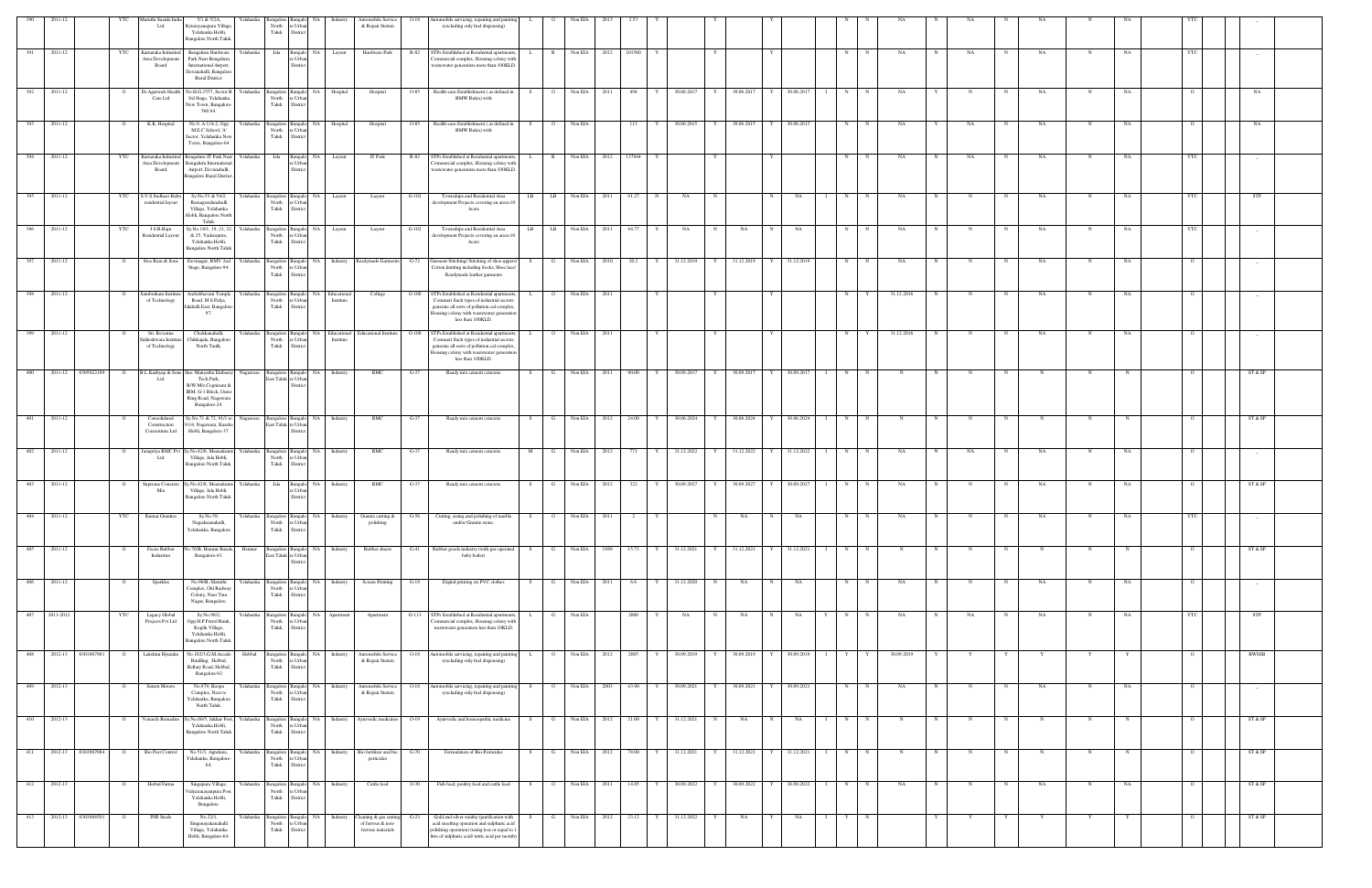|                  | 2011-12                |                    |              | Aaruthi Suzuki Ind<br>Ltd                           | 5/1 & 5/2A,<br>Yelahanka<br>3ytarayanapura Villag<br>Yelahanka Hobli,<br><b>Bangalore North Taluk</b>                                                    | sangalore<br>North<br>Taluk                   | e Urba<br>District                                                 |                                               | Automobile Service<br>& Repair Station                           | O-18           | utomobile servicing, repairing and painting<br>(excluding only fuel dispensing)                                                                                                                           |              |                                | Non EL4                      |      |                |        |                          |        |                         |              |                  |        |              |                   |             |    |              |           |             |           |          |            |  |
|------------------|------------------------|--------------------|--------------|-----------------------------------------------------|----------------------------------------------------------------------------------------------------------------------------------------------------------|-----------------------------------------------|--------------------------------------------------------------------|-----------------------------------------------|------------------------------------------------------------------|----------------|-----------------------------------------------------------------------------------------------------------------------------------------------------------------------------------------------------------|--------------|--------------------------------|------------------------------|------|----------------|--------|--------------------------|--------|-------------------------|--------------|------------------|--------|--------------|-------------------|-------------|----|--------------|-----------|-------------|-----------|----------|------------|--|
| 391              | 2011-12                |                    | YTC          | Karnataka Industira<br>Area Development<br>Board    | Bengaluru Hardware<br>Yelahanka<br>Park Near Bengaluru<br>International Airport,<br>Devanahalli, Bangalon<br>Rural District.                             | Jala                                          | Bangalo NA<br>e Urban<br>District                                  | Layout                                        | Hardware Park                                                    | R-82           | STPs Established at Residential apartments,<br>'ommercial complex, Housing colony with<br>vastewater generation more than 100KLD.                                                                         | $\mathbf{L}$ | R                              | Non EIA 2012                 |      | 101560         |        |                          |        |                         |              |                  | N      | $_{\rm N}$   | NA                | N           | NA | N            | NA.       | N           | NA        | YTC      |            |  |
| $\overline{392}$ | 2011-12                |                    |              | Dr. Agarwals Healt<br>Care Ltd                      | Vo.H.G.2557, Sector B<br>Yelahanka<br>3rd Stage, Yelahanka<br>New Town, Bangalore<br>560 64.                                                             | North<br>Taluk                                | Bangalore Bangalo NA<br>e Urba<br>District                         | Hospital                                      | Hospital                                                         | O-85           | Health-care Establishment (as defined in<br><b>BMW Rules)</b> with                                                                                                                                        | S.           | $\overline{O}$                 | Non EIA $2011$               |      | 494            | Y      | 30.06.2017               | Y      | 30.06.2017 Y            |              | 30.06.2017 I     | N      | $\mathbb{N}$ | NA                |             |    |              | NA        |             | NA        |          | NA         |  |
| 393              | 2011-12                |                    |              | K.K. Hospital                                       | Yelahanka<br>No.9, A-1/A-2, Opp<br>M.E.C School, 'A'<br>Sector, Yelahanka Nev<br>Town, Bangalore-64                                                      | North<br>Taluk                                | Bangalore Bangalo<br>NA<br>e Urba<br>District                      | Hospital                                      | Hospital                                                         | O-85           | Health-care Establishment (as defined in<br><b>BMW Rules</b> ) with                                                                                                                                       |              | $\overline{O}$                 | Non EIA                      |      | 113            |        | 30.06.2015               | Y      | 30.06.2015              | I Y          | 30.06.2015       | N      |              | NA                |             | NA |              | NA        |             | NA        |          | NA         |  |
| 394              | 2011-12                |                    | YTC          | Karnataka Industiral<br>Area Development<br>Board   | Bengaluru IT Park Near<br>Yelahanka<br>Bengaluru Internation:<br>Airport, Devanahalli,<br>Bangalore Rural Distric                                        | Jala                                          | NA<br>Bangalo<br>e Urba<br>District                                | Layout                                        | IT Park                                                          | R-82           | STPs Established at Residential apartments,<br>Commercial complex, Housing colony with<br>vastewater generation more than 100KLD.                                                                         |              | $\mathbb{R}$                   | Non EIA 2012                 |      | 137944         |        |                          |        |                         |              |                  | N      |              | NA                |             | NA |              | NA        |             | <b>NA</b> |          |            |  |
| 395              | 2011-12                |                    | YTC          | S.V.S.Sudheer Babu<br>residential layout            | Sy.No.53 & 54/2,<br>Ramagondanahalli<br>Village, Yelahanka<br>Hobli, Bangalore North<br>Taluk.                                                           | North<br>Taluk                                | Yelahanka Bangalore Bangalo NA<br>e Urba<br>District               | Layout                                        | Layout                                                           | $G-102$        | Townships and Residential Area<br>development Projects covering an area>10<br>Acers                                                                                                                       | LB           | LB                             | Non EIA                      | 2011 | 91.27          |        | NA                       | N      |                         |              | NA               | N      |              | NA                |             |    |              | NA        | N           | NA        |          | <b>STP</b> |  |
| 396              | 2011-12                |                    | YTC          | J.S.R.Raju<br>Residential Layou                     | Sy.No.18/1, 19, 21, 22<br>Yelahanka<br>& 25, Vaderapura,<br>Yelahanka Hobli,<br><b>Bangalore North Taluk</b>                                             | North<br>Taluk                                | Bangalore Bangalo NA<br>e Urba<br>District                         | Layout                                        | Layout                                                           | $G-102$        | Townships and Residential Area<br>development Projects covering an area>10<br>Acers                                                                                                                       |              | $LB$ $LB$                      | Non EIA 2011                 |      | 44.77          |        | NA                       | N      | NA                      | N            | NA               | N      |              | NA                |             |    | $\mathbf N$  | NA        | N           | NA        |          |            |  |
|                  | 2011-12                |                    |              | Sree Ram & Son:                                     | Devinagar, RMV 2nd<br>Yelahanka<br>Stage, Bangalore-94.                                                                                                  | North<br>Taluk                                | Bangalore Bangalo<br>NA<br>re Urbar<br>District                    | Industry                                      | Readymade Garmer                                                 | $G-72$         | Garment Stitching/ Stitching of shoe uppers/<br>Cotton knitting including Socks, Shoe lace/<br>Readymade leather garments                                                                                 |              | G                              | Non EIA 2010                 |      | 20.2           | Y      | 31.12.2019               |        | 31.12.2019              |              | 31.12.2019       | N      |              | NA                |             |    |              | NA        | $\mathbf N$ | NA        |          |            |  |
| 398              | 2011-12                |                    |              | Sambraham Institute<br>of Technology                | Ambabhavani Temple<br>Yelahanka<br>Road, M.S.Palya,<br>Jalahalli East, Bangalore<br>97.                                                                  | North<br>Taluk                                | re Urban<br>District                                               | Bangalore Bangalo NA Educational<br>Institute | College                                                          | $O-100$        | STPs Established at Residential apartments,<br>Commeri Such types of industrial sectors<br>generate all sorts of pollution.cal complex.<br>lousing colony with wastewater generation<br>less than 100KLD. | $\mathbf{L}$ | $\overline{O}$                 | Non EIA 2011                 |      |                |        |                          |        |                         |              |                  | N      | Y            | 31.12.2016        | N           | N  | N            | NA.       | N           | NA        | $\circ$  |            |  |
|                  | 399 2011-12            |                    |              | Sri. Revanna<br>ddeshwara Institut<br>of Technology | Chokkanahalli,<br>Yelahanka<br>Chikkajala, Bangalore<br>North Taulk.                                                                                     | North<br>Taluk                                | e Urba<br>District                                                 | Institute                                     | Bangalore Bangalo NA Educational Educational Institute O-100     |                | STPs Established at Residential apartments,<br>Commeri Such types of industrial sectors<br>generate all sorts of pollution.cal complex,<br>Iousing colony with wastewater generation<br>less than 100KLD. |              | $\overline{O}$                 | Non EIA 2011                 |      |                |        |                          |        |                         |              |                  | N      |              | 31.12.2016        |             |    | N            | NA        | N           | NA        |          |            |  |
| 400              |                        | 2011-12 0305022189 | $\circ$      | Ltd                                                 | B.L.Kashyap & Sons Site: Manyatha Emba<br>Nagawara<br>Tech Park,<br>B/W.M/s.Cognizant &<br>IBM, G-1 Block, Outer<br>Ring Road, Nagawara<br>Bangalore-24. |                                               | Bangalore Bangalo<br>East Taluk re Urbar<br>District               | NA 1<br>Industry                              | RMC                                                              | $G-37$         | Ready mix cement concrete                                                                                                                                                                                 |              | $\mathbf{G}$                   | Non EIA 2011                 |      | 90.00          | Y      | 30.09.2017               | Y      | 30.09.2017              | $\mathbf{Y}$ | 30.09.2017       | N      | N            | N                 |             |    |              |           | N           |           |          | ST & SP    |  |
| 401              | 2011-12                |                    |              | Consolidated<br>Construction<br>Consortium Ltd      | Sy.No.71 & 72, 91/1 to<br>91/4, Nagawara, Kasaba<br>Hobli, Bangalore-37.                                                                                 | East Taluk re Urbar                           | Nagawara Bangalore Bangalo NA<br>Distric                           | Industry                                      | RMC                                                              | G-37           | Ready mix cement concrete                                                                                                                                                                                 | - S          | G                              | Non EIA 2012                 |      | 24.00          | Y      | 30.06.2024               | Y      | 30.06.2024              |              | 30.06.2024       | N      |              |                   |             |    |              |           |             |           |          | ST & SP    |  |
| 402              | 2011-12                |                    |              | Janapriya RMC Pv<br>Ltd                             | y.No.42/8, Meenakunt<br>Village, Jala Hobli,<br><b>Bangalore North Taluk</b>                                                                             | Yelahanka Bangalore Bangalo<br>North<br>Taluk | NA<br>e Urba<br>District                                           | Industry                                      | RMC                                                              | G-37           | Ready mix cement concrete                                                                                                                                                                                 | M            |                                | Non EIA 2012                 |      | 771            |        | 31.12.2022               | Y      | 31.12.2022              |              | 31.12.2022       | N      |              | NA                |             | NA |              | NA        | N           | NA        |          |            |  |
| 403              | 2011-12                |                    | $\circ$      | Supreme Concrete<br>Mix                             | Sy.No.42/8, Meenakunt<br>Yelahanka<br>Village, Jala Hobli,<br>Bangalore North Taluk                                                                      |                                               | e Urba<br>Distric                                                  | Jala Bangalo NA Industry                      | RMC                                                              | $G-37$         | Ready mix cement concrete                                                                                                                                                                                 | - S          | G                              | Non EIA 2012                 |      | 322            | Y      | 30.09.2027               | Y      | 30.09.2027              | Y            | 30.09.2027       | N      | $_{\rm N}$   | NA                |             |    | N            | NA        | N           | NA        | $\Omega$ | ST & SP    |  |
| 405              | 404 2011-12            |                    |              | YTC Kumar Granites                                  | Sy.No.59,<br>Nagadasanahalli,<br>Yelahanka, Bangalore                                                                                                    |                                               | North re Urban<br>Taluk District                                   |                                               | polishing                                                        |                | Yelahanka Bangalore Bangalo NA Industry Granite cutting & G-56 Cutting, sizing and polishing of marble S O Non EIA 2011 2 Y<br>and/or Granite stone.                                                      |              |                                |                              |      |                |        |                          |        | N NA N NA NA            |              |                  |        |              | N N N NA          | N           | N  |              | <b>NA</b> |             |           |          |            |  |
|                  | 2011-12<br>406 2011-12 |                    | $\circ$      | Focus Rubber<br>Industries<br>Sparkles              | o.76/B, Hennur Band<br>Hennur<br>Bangalore-43.<br>No.96/B, Maruthi<br>Yelahanka                                                                          |                                               | Bangalore Bangalo<br>NA .<br>East Taluk re Urban<br>District       | Industry<br>Bangalore Bangalo NA Industry     | Rubber sheets<br><b>Screen Printing</b>                          | G-41<br>$G-18$ | Rubber goods industry (with gas operated<br>baby boiler)<br>Digital printing on PVC clothes                                                                                                               | - S<br>S –   | G<br>$\mathbf{G}$              | Non EIA 1989<br>Non EIA 2011 |      | 15.73<br>6.6   | Y<br>Y | 31.12.2021<br>31.12.2020 | Y<br>N | 31.12.2021<br><b>NA</b> | Y<br>N       | 31.12.2021<br>NA | N<br>N | $\mathbf N$  | NA                | N           |    | N            | NA        | N           | NA        | $\Omega$ | ST & SP    |  |
| 407              | 2011-2012              |                    | YTC          | Legacy Global                                       | Complex, Old Railway<br>Colony, Near Tata<br>Nagar, Bangalore.<br>Yelahanka<br>Sy.No.98/2,                                                               | North<br>Taluk<br>Bangalore Bangalo           | e Urbar<br>District<br>NA                                          | Apartment                                     | Apartment                                                        | G-113          | STPs Established at Residential apartments,                                                                                                                                                               |              | G                              | Non EIA                      |      | 2000           |        | NA                       | N      | NA                      | N            | NA               | N      | N            | NA                |             | NA |              | NA        | N           | NA        | YTC      | <b>STP</b> |  |
|                  |                        |                    |              | Projects Pvt Ltd                                    | Opp.H.P.Petrol Bunk<br>Kogilu Village,<br>Yelahanka Hobli,<br>Bangalore North Taluk                                                                      | North<br>Taluk                                | re Urbar<br>District                                               |                                               |                                                                  |                | 'ommercial complex, Housing colony with<br>wastewater generation less than 10KLD.                                                                                                                         |              |                                |                              |      |                |        |                          |        |                         |              |                  |        |              |                   |             |    |              |           |             |           |          |            |  |
| 408              |                        | 2012-13 0301067901 |              | Lakshmi Hyundai                                     | No.102/3,G.M.Arcade<br>Hebbal<br>Buidling, Hebbal,<br>Bellary Road, Hebbal,<br>Bangalore-92                                                              | <b>Bangalore</b><br>North<br>Taluk            | NA<br>Bangal<br>re Urbar<br>District                               | Industry                                      | Automobile Service<br>& Repair Station                           | $O-18$         | utomobile servicing, repairing and painting<br>(excluding only fuel dispensing)                                                                                                                           |              | $\overline{O}$                 | Non EIA                      | 2012 | 2005           |        | 30.09.2019               | Y      | 30.09.2019              |              | 30.09.2019       | Y      |              | 30.09.2019        |             |    |              |           |             |           |          | BWSSB      |  |
| 409<br>410       | 2012-13<br>2012-13     |                    | $\mathbf{o}$ | Saturn Motors<br>Venarch Remedies                   | No.979, Roopa<br>relahanka<br>Complex, Next to<br>Yelahanka, Bangalore<br>North Taluk.<br>Sy.No.66/5, Jakkur Post                                        | North<br>Taluk                                | <b>NA</b><br>Bangalore Bangalo<br>e Urba<br>District               | Industry<br>NA 1                              | Automobile Service<br>& Repair Station<br>Ayurvedic medicines    | O-18<br>$O-19$ | utomobile servicing, repairing and painting<br>(excluding only fuel dispensing)<br>Ayurvedic and homeopathic medicine                                                                                     | - S<br>S.    | $\overline{O}$<br>$\mathbf{G}$ | Non EIA 2003<br>Non EIA 2012 |      | 43.90<br>21.00 | Y      | 30.09.2021<br>31.12.2021 | Y<br>N | 30.09.2021              | $_{\rm N}$   | 30.09.2021<br>NA | N<br>N | $_{\rm N}$   | NA<br>$\mathbf N$ | $\mathbf N$ |    | $\mathbf N$  | NA<br>N   | N<br>N      | NA        | $\circ$  | ST & SP    |  |
| 411              |                        | 2012-13 0303067064 |              | <b>Bio Pest Control</b>                             | Yelahanka<br>Yelahanka Hobli,<br><b>Bangalore North Taluk</b><br>No.51/3, Agrahara,<br>relahanka                                                         | North<br>Taluk                                | Bangalore Bangalo<br>e Urbar<br>District<br>NA<br>Bangalore Bangal | Industry<br>Industry                          | Bio fertilizer and bio                                           | G-70           | Formulation of Bio-Pesticides                                                                                                                                                                             | S.           | $\mathbf G$                    | Non EIA 2012                 |      | 78.00          | Y      | 31.12.2021               | Y      | NA<br>31.12.2021        |              | 31.12.2021       | N      | $_{\rm N}$   | N                 |             |    | $\mathbb{N}$ | N         | N           |           | $\circ$  | ST & SP    |  |
| $\overline{412}$ | 2012-13                |                    |              | Herbal Farma                                        | Yelahanka, Bangalore<br>64.<br>Singapura Village,<br>r'elahanka                                                                                          | North<br>Taluk                                | re Urbar<br>District<br>Bangalore Bangalo NA                       | Industry                                      | perticides<br>Cattle feed                                        | $O-30$         | Fish feed, poultry feed and cattle feed                                                                                                                                                                   | S            | $\overline{O}$                 | Non EIA 2011                 |      | 14.85          | Y      | 30.09.2022               | $Y =$  | 30.09.2022 Y            |              | 30.09.2022 I     | N      | N            | NA                | N           |    | N            | NA        | N           | NA        | $\circ$  | ST & SP    |  |
| 413              |                        | 2012-13 0303068501 | $\mathbf{o}$ |                                                     | Vidyaranayanpura Post<br>Yelahanka Hobli,<br>Bangalore.                                                                                                  | North<br>Taluk                                | e Urban<br>District<br>NA                                          |                                               |                                                                  |                |                                                                                                                                                                                                           |              | $\mathbf{G}$                   |                              |      |                | Y      |                          | Y      |                         |              |                  | Y      | $_{\rm N}$   |                   |             |    | Y            |           |             |           |          |            |  |
|                  |                        |                    |              | <b>INR</b> Steels                                   | No.22/1,<br>Yelahanka<br>Singanayakanahalli<br>Village, Yelahanka<br>Hobli, Bangalore-64.                                                                | North<br>Taluk                                | Bangalore Bangalo<br>e Urba<br>District                            | Industry                                      | Cleaning & gas cutting<br>of ferrous & non-<br>ferrous materials | $G-23$         | Gold and silver smithy (purification with<br>acid smelting operation and sulphuric acid<br>polishing operation) (using less or equal to 1<br>itre of sulphuric acid/nitric acid per month)                |              |                                | Non EIA 2012                 |      | 23.12          |        | 31.12.2022               |        | NA                      |              | NA               |        |              |                   |             |    |              |           |             |           |          | ST & SP    |  |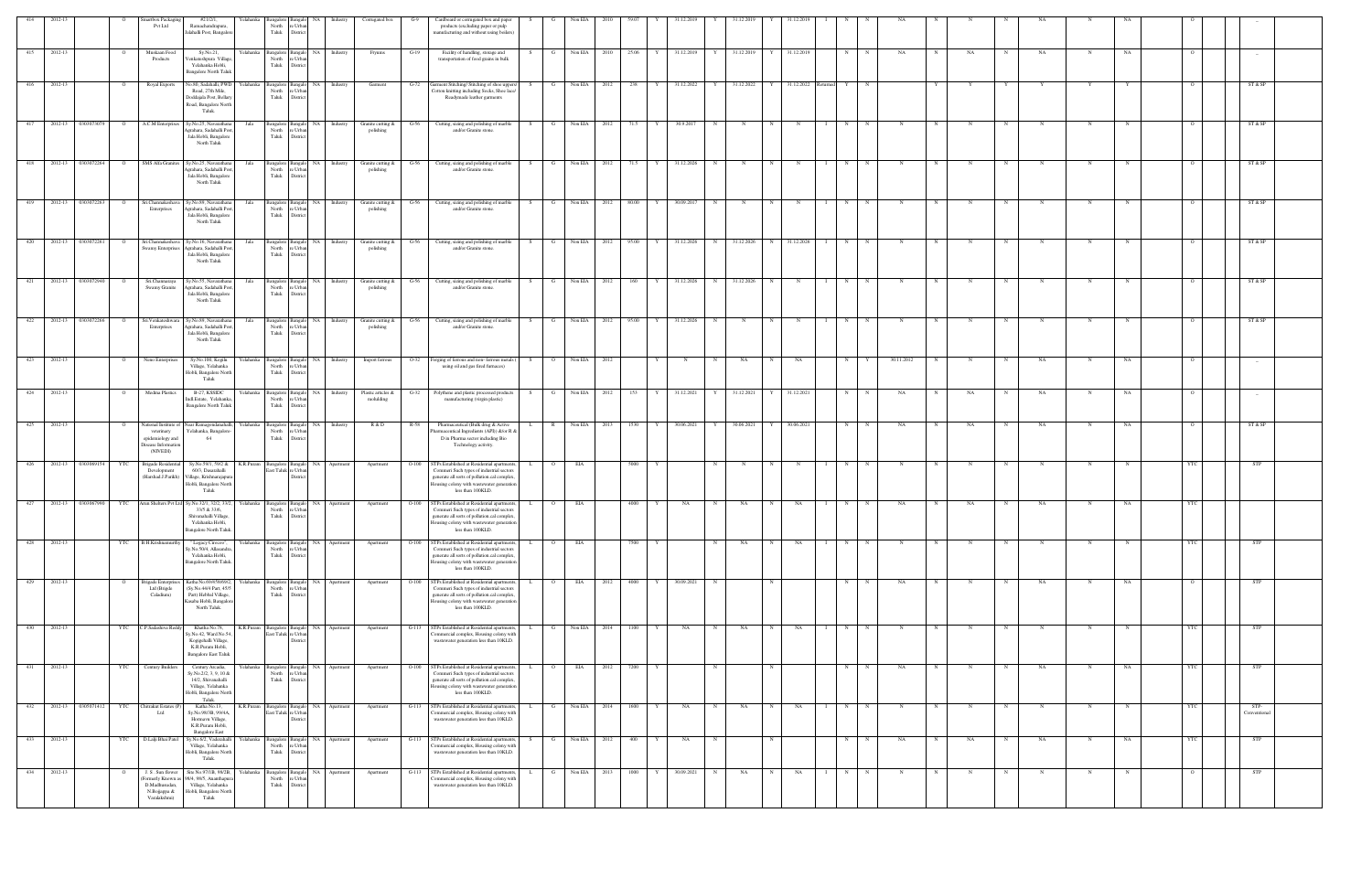| 414 | 2012-13 |                    | $\overline{O}$ | martbox Packaging<br>Pvt Ltd                                                               | #21/2/1,<br>Ramachandrapura,<br>Jalahalli Post, Bangalor                                                                                    | Yelahanka<br>North<br>Taluk             | Bangalore Bangalo<br>e Urb.<br>Distric                           | NA Industry  |          | Corrugated box                  | $G-9$   | Cardboard or corrugated box and paper<br>products (excluding paper or pulp<br>manufacturing and without using boilers                                                                                   | S<br>G             | Non EIA      | 2010 | 59.07   | 31.12.2019<br>Y | Y | 31.12.2019 |            | 31.12.2019                 | N | N           | NA          |   |            |             | NA          |             |           |            |                                 |  |
|-----|---------|--------------------|----------------|--------------------------------------------------------------------------------------------|---------------------------------------------------------------------------------------------------------------------------------------------|-----------------------------------------|------------------------------------------------------------------|--------------|----------|---------------------------------|---------|---------------------------------------------------------------------------------------------------------------------------------------------------------------------------------------------------------|--------------------|--------------|------|---------|-----------------|---|------------|------------|----------------------------|---|-------------|-------------|---|------------|-------------|-------------|-------------|-----------|------------|---------------------------------|--|
| 415 | 2012-13 |                    | $\overline{O}$ | Muskaan Food<br>Products                                                                   | Sy.No.21,<br>/enkateshpura Village<br>Yelahanka Hobli,<br><b>Bangalore North Taluk</b>                                                      | Yelahanka<br>North<br>Taluk             | Bangalore Bangal<br>e Urba<br>Distric                            | NA Industry  |          | Fryums                          | $G-19$  | Facility of handling, storage and<br>transportation of food grains in bulk                                                                                                                              | S.<br>$\mathbf{G}$ | Non EIA      | 2010 | 25.06 Y | 31.12.2019      | Y | 31.12.2019 | Y          | 31.12.2019                 | N | N           | NA          |   | NA         | $_{\rm N}$  | NA          | N           | NA        |            | $\hspace{0.1mm}-\hspace{0.1mm}$ |  |
| 416 | 2012-13 |                    |                | Royal Exports                                                                              | Vo.80, Sadahalli, PWD<br>Road, 27th Mile,<br>Doddajala Post, Bellary<br>Road, Bangalore North<br>Taluk.                                     | Yelahanka<br>angalore<br>North<br>Taluk | re Urba<br>District                                              |              | Industry | Garment                         | G-72    | Garment Stitching/ Stitching of shoe upper:<br>Cotton knitting including Socks, Shoe lace/<br>Readymade leather garments                                                                                |                    | Non EIA      | 2012 | 238     | 31.12.2022      |   | 31.12.2022 |            | 31.12.2022                 |   |             |             |   |            |             |             |             |           |            | ST & SP                         |  |
| 417 | 2012-13 | 0303073079         | $\circ$        | A.C.M Enterprises                                                                          | Sy.No.25, Navarathana<br>Agrahara, Sadahalli Pos<br>Jala Hobli, Bangalore<br>North Taluk                                                    | Bangalore 1<br>Jala<br>North<br>Taluk   | e Urb<br>Distric                                                 | NA           | Industry | Granite cutting &<br>polishing  | G-56    | Cutting, sizing and polishing of marble<br>and/or Granite stone.                                                                                                                                        | G                  | Non EIA      | 2012 | 71.5    | 30.9.2017       | N |            |            | $\mathbb{N}$               | N |             |             |   |            |             |             |             |           |            | ST & SP                         |  |
| 418 |         | 2012-13 0303072264 | $\overline{O}$ | SMS Alfa Granites                                                                          | Sy.No.25, Navarathana<br>Agrahara, Sadahalli Pos<br>Jala Hobli, Bangalore<br>North Taluk                                                    | Jala<br>North<br>Taluk                  | Bangalore Bangal<br>'e Urb<br>District                           | NA Industry  |          | Granite cutting &<br>polishing  | $G-56$  | Cutting, sizing and polishing of marble<br>and/or Granite stone.                                                                                                                                        | G                  | Non EIA      | 2012 | 71.5    | 31.12.2026      |   |            |            |                            | N |             |             |   |            |             |             |             |           |            | ST & SP                         |  |
| 419 |         | 2012-13 0303072263 | $\overline{O}$ | Sri.Channakesha<br>Enterprises                                                             | Sy.No.89, Navarathana<br>Agrahara, Sadahalli Pos<br>Jala Hobli, Bangalore<br>North Taluk                                                    | Jala<br>North<br>Taluk                  | Bangalore Bangal<br>re Urba<br>District                          | NA Industry  |          | Granite cutting &<br>polishing  | $G-56$  | Cutting, sizing and polishing of marble<br>and/or Granite stone.                                                                                                                                        | G                  | Non EIA      | 2012 | 80.00   | 30.09.2017      | N | N          | N          | $\mathbf N$                | N |             | N           |   |            |             |             | N           |           |            | ST & SP                         |  |
| 420 |         | 2012-13 0303072261 | $\overline{O}$ | Sri.Channakeshava<br><b>Swamy Enterprises</b>                                              | Sy.No.16, Navarathana<br>Agrahara, Sadahalli Post<br>Jala Hobli, Bangalore<br>North Taluk                                                   | Jala<br>North<br>Taluk                  | Bangalore Bangalo<br>e Urb.<br>Distric                           | NA Industry  |          | Granite cutting &<br>polishing  | $G-56$  | Cutting, sizing and polishing of marble<br>and/or Granite stone.                                                                                                                                        | G<br>S.            | Non EIA      | 2012 | 95.00   | 31.12.2026<br>Y | N | 31.12.2026 | N          | 31.12.2026<br>$\mathbf{I}$ | N | N           | $\mathbf N$ | N |            | N           | N           | N           |           |            | ST & SP                         |  |
| 421 |         | 2012-13 0303072940 | $\overline{O}$ | Sri.Channaraya<br>Swamy Granite                                                            | Sy.No.55, Navarathana<br>Agrahara, Sadahalli Pos<br>Jala Hobli, Bangalore<br>North Taluk                                                    | Jala<br>North<br>Taluk                  | angalore Bangalo<br>e Urb:<br>District                           | NA Industry  |          | Granite cutting &<br>polishing  | $G-56$  | Cutting, sizing and polishing of marble<br>and/or Granite stone.                                                                                                                                        | G<br>S.            | Non EIA      | 2012 | 160 Y   | 31.12.2026      | N | 31.12.2026 | N          | $_{\rm N}$                 | N | $\mathbf N$ |             |   |            |             |             |             |           |            | ST & SP                         |  |
| 422 | 2012-13 | 0303072266         | $\overline{O}$ | Sri. Venkateshwara<br>Enterprises                                                          | Sy.No.89, Navarathana<br>Agrahara, Sadahalli Pos<br>Jala Hobli, Bangalore<br>North Taluk                                                    | Jala<br>North<br>Taluk                  | Bangalore Bangal<br>re Urba<br>Distric                           | <b>NA</b>    | Industry | Granite cutting &<br>polishing  | $G-56$  | Cutting, sizing and polishing of marble<br>and/or Granite stone.                                                                                                                                        | G<br>S.            | Non EIA      | 2012 | 95.00   | 31.12.2026      | N | N          |            |                            | N |             |             |   |            |             |             |             |           |            | ST & SP                         |  |
| 423 | 2012-13 |                    |                | Neno Enterprises                                                                           | Sy.No.100, Kogilu<br>Village, Yelahanka<br>Hobli, Bangalore North<br>Taluk                                                                  | Yelahanka<br>angalore<br>North<br>Taluk | e Urb<br>Distric                                                 | NA Industry  |          | Import ferrous                  | $O-32$  | Forging of ferrous and non-ferrous metals (<br>using oil and gas fired furnaces)                                                                                                                        |                    | Non EIA      | 2012 |         |                 |   | NA         |            | NA.                        | N |             | 30.11.2012  |   |            |             | NA          |             |           |            |                                 |  |
| 424 | 2012-13 |                    | $\mathbf{o}$   | Medina Plastics                                                                            | B-27, KSSIDC<br>Indl.Estate, Yelahanka<br><b>Bangalore North Taluk</b>                                                                      | Yelahanka<br>North<br>Taluk             | Bangalore Bangal<br>e Urb<br>Distric                             | NA Industry  |          | Plastic articles &<br>molulding | $G-32$  | Polythene and plastic processed products<br>manufacturing (virgin plastic)                                                                                                                              | G<br>S.            | Non EIA      | 2012 | 153     | 31.12.2021      |   | 31.12.2021 |            | 31.12.2021                 | N | N           | NA          |   | NA         | $\mathbf N$ | NA          | N           | NA        |            |                                 |  |
| 425 | 2012-13 |                    |                | Vational Institute of<br>veterinary<br>epidemiology and<br>Disease Information<br>(NIVEDI) | Near Ramagondanahalli,<br>Yelahanka, Bangalore<br>64                                                                                        | Yelahanka<br>North<br>Taluk             | Bangalore Bangal<br>e Urba<br>Distric                            | NA Industry  |          | R & D                           | R-58    | Pharmaceutical (Bulk drug & Active<br>Pharmaceutical Ingredients (API)) &/or R &<br>D in Pharma sector including Bio<br>Technology activity.                                                            | R                  | Non EIA      | 2013 | 1530    | 30.06.2021      | Y | 30.06.2021 |            | 30.06.2021                 | N | N           | NA          |   | NA         |             | NA          | N           | <b>NA</b> |            | ST & SP                         |  |
| 426 |         | 2012-13 0303069154 | YTC            | Brigade Residentia<br>Development<br>(Harshad.J.Parikh)                                    | Sy.No.59/1, 59/2 &<br>60/3, Dasarahalli<br>Village, Krishnarajapur.<br>Hobli, Bangalore North<br>Taluk                                      | K.R.Puram                               | angalore Bangalo NA Apartment<br>East Taluk re Urba<br>Distric   |              |          | Apartment                       | $O-100$ | STPs Established at Residential apartments<br>Commeri Such types of industrial sectors<br>generate all sorts of pollution.cal complex<br>lousing colony with wastewater generation<br>less than 100KLD. | $\circ$<br>L.      | EIA          |      | 5000    |                 |   |            |            |                            | N |             |             |   |            |             |             |             |           |            | STP                             |  |
| 427 |         | 2012-13 0303067990 | <b>YTC</b>     |                                                                                            | Arun Shelters Pvt Ltd Sy.No.32/1, 32/2, 33/2,<br>33/5 & 33/6,<br>Shivanahalli Village,<br>Yelahanka Hobli,<br><b>Bangalore North Taluk.</b> | Yelahanka<br>North<br>Taluk             | Bangalore Bangalo<br>e Urba<br>Distric                           | NA Apartment |          | Apartment                       | $O-100$ | STPs Established at Residential apartments<br>Commeri Such types of industrial sector<br>generate all sorts of pollution.cal complex<br>Housing colony with wastewater generation<br>less than 100KLD.  | $\circ$            | EIA          |      | 4000    | NA              | N | NA         |            | NA                         | N |             | NA          |   | NA         |             | NA          | N           | NA        | <b>YTC</b> |                                 |  |
| 428 | 2012-13 |                    | <b>YTC</b>     | B.H.Krishnamurthy                                                                          | " Legacy Cirocoo",<br>Sy.No.50/4, Allasandra<br>Yelahanka Hobli,<br>Bangalore North Taluk.                                                  | Yelahanka<br>North<br>Taluk             | angalore Bangalo<br>re Urba<br>District                          | NA Apartment |          | Apartment                       | $O-100$ | STPs Established at Residential apartment<br>Commeri Such types of industrial sectors<br>generate all sorts of pollution.cal complex,<br>lousing colony with wastewater generation<br>less than 100KLD. |                    | EIA          |      | 7500    |                 | N | NA         | N          | NA                         | N | $\mathbf N$ | N           |   |            | $\mathbf N$ | $_{\rm N}$  | N           |           |            | <b>STP</b>                      |  |
| 429 | 2012-13 |                    | $\overline{O}$ | <b>Brigade Enterprises</b><br>Ltd (Brigde<br>Caladium)                                     | Katha No.69/458/69/2,<br>(Sy.No.44/4 Part, 45/5<br>Part) Hebbal Village,<br>Kasaba Hobli, Bangalore<br>North Taluk.                         | Yelahanka<br>North<br>Taluk             | angalore Bangalo<br>re Urba<br>District                          | NA Apartment |          | Apartment                       | $O-100$ | STPs Established at Residential apartments<br>Commeri Such types of industrial sectors<br>generate all sorts of pollution.cal complex<br>Iousing colony with wastewater generation<br>less than 100KLD. | $\overline{O}$     | EIA          | 2012 | 4000    | 30.09.2021      | N |            | N          |                            | N | N           | NA          |   | $_{\rm N}$ | $\mathbf N$ | NA          | N           | NA        | $\circ$    | STP                             |  |
| 430 | 2012-13 |                    | YTC            | C.P.Sadashiva Reddy                                                                        | Khatha No.78,<br>Sy.No.42, Ward No.54<br>Kogigehalli Village,<br>K.R.Puram Hobli,<br><b>Bangalore East Taluk</b>                            | K.R.Puram                               | Bangalore Bangalo<br>last Taluk re Urba<br>Distri                | NA Apartment |          | Apartment                       | $G-113$ | STPs Established at Residential apartments<br>mmercial complex, Housing colony wit<br>wastewater generation less than 10KLD.                                                                            |                    | Non EIA      | 2014 | 1100    | NA              | N | NA         |            | NA                         | N |             |             |   |            |             | N           | N           |           | <b>YTC</b> | STP                             |  |
| 431 | 2012-13 |                    | <b>YTC</b>     | <b>Century Builders</b>                                                                    | Century Arcadia,<br>Sy.No.2/2, 3, 9, 10 &<br>14/2, Shivanahalli<br>Village, Yelahanka<br>Hobli, Bangalore North<br>Taluk.                   | Yelahanka<br>North<br>Taluk             | angalore Bangalo<br>re Urba<br>District                          | NA Apartment |          | Apartment                       | $O-100$ | STPs Established at Residential apartment<br>Commeri Such types of industrial sectors<br>generate all sorts of pollution.cal complex<br>lousing colony with wastewater generation<br>less than 100KLD.  | $\Omega$           | EIA          | 2012 | 7200    |                 | N |            | $_{\rm N}$ |                            | N | N           | NA          |   | N          |             | NA          | N           | NA        | <b>YTC</b> | <b>STP</b>                      |  |
| 432 |         | 2012-13 0305071412 | <b>YTC</b>     | Chitrakut Estates (P)<br>Ltd                                                               | Katha No.13,<br>Sy.No.98/3B, 99/4A,<br>Hormavu Village,<br>K.R.Puram Hobli,<br><b>Bangalore East</b>                                        | K.R.Puram                               | Bangalore Bangalo NA Apartment<br>East Taluk re Urbar<br>Distric |              |          | Apartment                       | $G-113$ | STPs Established at Residential apartments,<br>ommercial complex, Housing colony with<br>wastewater generation less than 10KLD.                                                                         | G<br>L.            | Non EIA      | 2014 | 1600 Y  | NA              | N | NA         | N          | <b>NA</b><br>$\mathbf{I}$  | N | N           | N           | N | N          | N           | $\mathbf N$ | N           | N         | YTC        | STP-<br>Conventional            |  |
| 433 | 2012-13 |                    | <b>YTC</b>     | D.Lalji Bhai Patel                                                                         | Sy.No.6/2, Vaderahalli<br>Village, Yelahanka<br>Hobli, Bangalore North<br>Taluk.                                                            | Yelahanka<br>North<br>Taluk             | angalore Bangalo<br>e Urba<br>Distric                            | NA Apartment |          | Apartment                       | $G-113$ | STPs Established at Residential apartment<br>ommercial complex, Housing colony with<br>wastewater generation less than 10KLD.                                                                           |                    | Non EIA      | 2012 | 400     | NA              | N |            | N          |                            | N | N           | NA          | N | NA         | N           | <b>NA</b>   | N           | NA        | YTC        | <b>STP</b>                      |  |
| 434 | 2012-13 |                    | $\overline{O}$ | J.S. Sun flower<br>ormerly Known a<br>D.Madhusudan,<br>N.Bojjappa &<br>Varalakshmi)        | Site No.97/1B, 98/2B, Yelahanka<br>98/4, 98/5, Ananthapur<br>Village, Yelahanka<br>Hobli, Bangalore North<br>Taluk                          | North<br>Taluk                          | Bangalore Bangalo<br>e Urb:<br>District                          | NA Apartment |          | Apartment                       |         | G-113 STPs Established at Residential apartments,<br>Commercial complex, Housing colony with<br>wastewater generation less than 10KLD.                                                                  | $\mathbf{L}$<br>G  | Non EIA 2013 |      | 1000 Y  | 30.09.2021      | N | NA         | N          | NA<br>$\mathbf{I}$         | N | N           | $\mathbf N$ | N | $_{\rm N}$ | $\mathbf N$ | N           | $\mathbf N$ | N         |            | <b>STP</b>                      |  |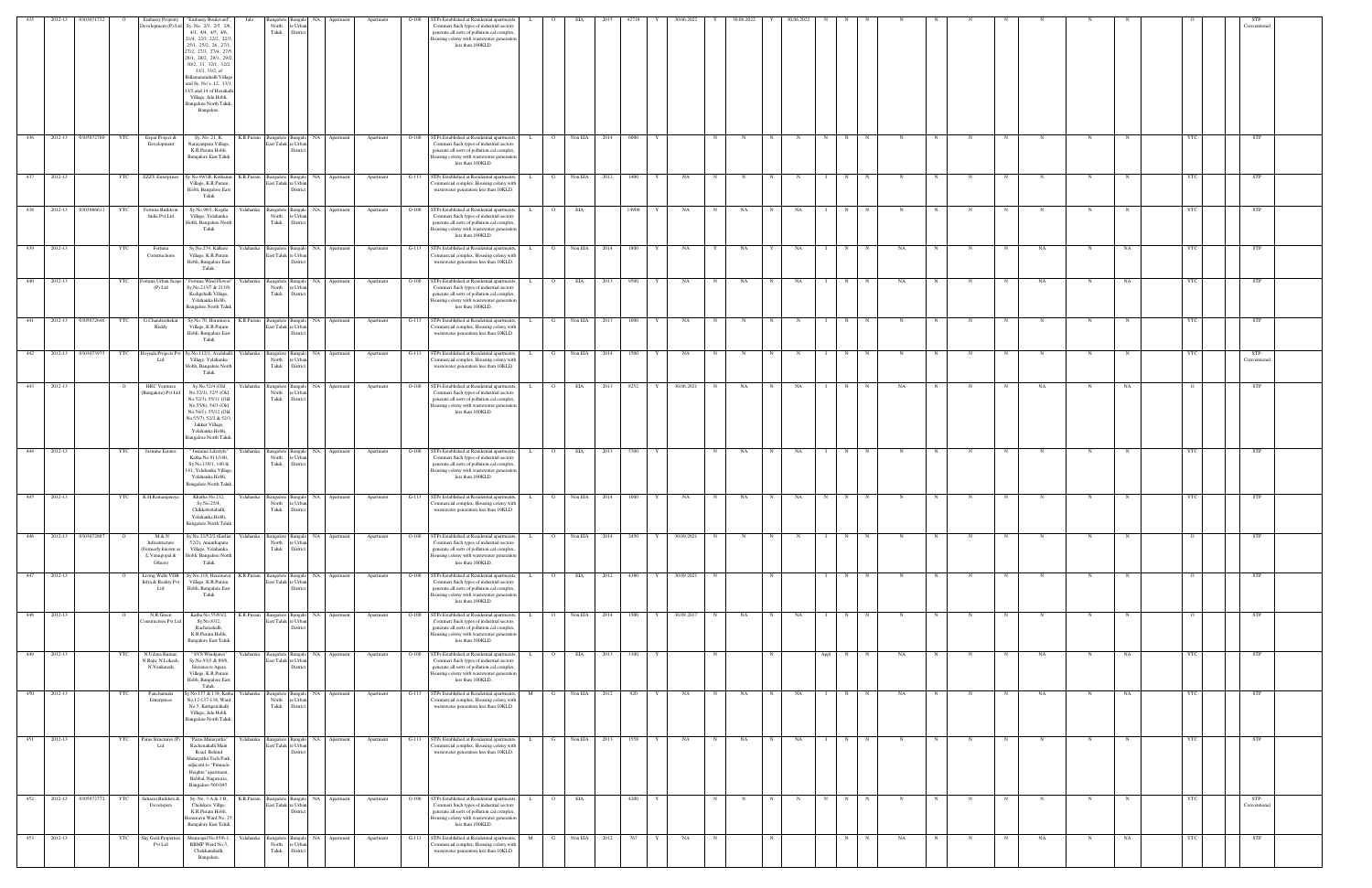| 435              | 2012-13     | 303071             |                | <b>Embassy Property</b>                                                  | 'Embassy Boulevard'                                                                                                                                                                                                                                                                                                                          |                     |                                                                        |                      |                      | Apartment | TPs Established at Residential apartments                                                                                                                                                                            |              |                |              |      |           | 30.06.202  |   |    |             |    |           |             |             |            |   |            |     |   |           |            |                      |  |
|------------------|-------------|--------------------|----------------|--------------------------------------------------------------------------|----------------------------------------------------------------------------------------------------------------------------------------------------------------------------------------------------------------------------------------------------------------------------------------------------------------------------------------------|---------------------|------------------------------------------------------------------------|----------------------|----------------------|-----------|----------------------------------------------------------------------------------------------------------------------------------------------------------------------------------------------------------------------|--------------|----------------|--------------|------|-----------|------------|---|----|-------------|----|-----------|-------------|-------------|------------|---|------------|-----|---|-----------|------------|----------------------|--|
|                  |             |                    |                | Development (P) Ltd                                                      | Sy. No. 2/3, 2/5, 2/6<br>4/1, 4/4, 4/5, 4/6,<br>21/4, 22/1, 22/2, 22/3<br>25/1, 25/2, 26, 27/1.<br>27/2, 27/3, 27/4, 27/5<br>28/1, 28/2, 29/1, 29/2<br>30/2, 31, 32/1, 32/2,<br>33/1, 33/2, of<br>Billamaranahalli Villag<br>and Sy. No's. 12, 13/1<br>13/2 and 14 of Hosahal<br>Village, Jala Hobli,<br>Bangalore North Taluk<br>Bangalore. |                     | North<br>e Urba<br>Taluk<br>Distric                                    |                      |                      |           | Commeri Such types of industrial sectors<br>generate all sorts of pollution.cal complex.<br>lousing colony with wastewater generation<br>less than 100KLD.                                                           |              |                |              |      |           |            |   |    |             |    |           |             |             |            |   |            |     |   |           |            | Conventional         |  |
| 436              | 2012-13     | 0305072700         | YTC            | Expat Project &<br>Development                                           | Sy. No. 21, K.<br>Narayanpura Village<br>K.R.Puram Hobli,<br><b>Bangalore East Taluk</b>                                                                                                                                                                                                                                                     | K.R.Puram           | Bangalore<br>East Taluk re Urbar<br>Distric                            | NA                   | Apartment            | Apartment | $O-100$<br>STPs Established at Residential apartments,<br>Commeri Such types of industrial sectors<br>generate all sorts of pollution.cal complex,<br>lousing colony with wastewater generation<br>less than 100KLD. |              | $\circ$        | Non EIA      | 2014 | 6000      |            |   |    |             |    | N         |             |             |            |   |            |     | N |           |            | <b>STP</b>           |  |
| 437              | 2012-13     |                    | YTC            | <b>EZZY</b> Enterprises                                                  | Sy No.49/1B, Kothanur K.R.Puram Bangalore<br>Village, K.R.Puram<br>Hobli, Bangalore East<br>Taluk                                                                                                                                                                                                                                            |                     | East Taluk re Urban<br><b>Distri</b>                                   | Bangalo NA           | Apartment            | Apartment | STPs Established at Residential apartments,<br>$G-113$<br>ommercial complex, Housing colony with<br>wastewater generation less than 10KLD.                                                                           |              | G              | Non EIA      | 2012 | 1400      | NA         | N |    | N           |    | N         |             |             |            |   |            |     |   |           |            | STP                  |  |
| 438              |             | 2012-13 0303066611 | <b>YTC</b>     | Fortuna Buildcon<br>India Pvt Ltd                                        | Sy.No.98/1, Kogilu<br>Village, Yelahanka<br>Hobli, Bangalore North<br>Taluk                                                                                                                                                                                                                                                                  | Yelahanka           | Bangalore<br><b>Bangalo</b><br>North<br>∙ I Irh<br>Taluk<br>Distric    | NA                   | Apartment            | Apartment | $O-100$<br>STPs Established at Residential apartments,<br>Commeri Such types of industrial sectors<br>generate all sorts of pollution.cal complex<br>Iousing colony with wastewater generation<br>less than 100KLD.  |              |                | EIA          |      | 14900     | NA         | N | NA |             | NA | N         |             |             |            |   |            |     |   |           |            | STP                  |  |
| 439              | 2012-13     |                    | YTC            | Fortuna<br>Constructions                                                 | Sy.No.274, Kalkere<br>Village, K.R.Puram<br>Hobli, Bangalore East<br>Taluk.                                                                                                                                                                                                                                                                  |                     | Yelahanka Bangalore<br>Bangalo<br>East Taluk re Urbar<br>Distric       | NA                   | Apartment            | Apartment | $G-113$<br>STPs Established at Residential apartments<br>'ommercial complex, Housing colony with<br>wastewater generation less than 10KLD.                                                                           |              | G              | Non EIA      | 2014 | 1800      | NA         | Y | NA | Y           | NA | N         |             | NA          |            |   |            | NA  | N | NA        | <b>YTC</b> | STP                  |  |
| 440              | 2012-13     |                    | YTC            | ortuna Urban Scap<br>$(P)$ Ltd                                           | Fortuna Wind Flower<br>Sy.No.213/7 & 213/8,<br>Kodigehalli Village,<br>Yelahanka Hobli,<br><b>Bangalore North Taluk</b>                                                                                                                                                                                                                      |                     | Yelahanka Bangalore<br>angal<br>North<br>e Urba<br>Taluk<br>Distric    | NA                   | Apartment            | Apartment | STPs Established at Residential apartments<br>$O-100$<br>Commeri Such types of industrial sectors<br>generate all sorts of pollution.cal complex,<br>Iousing colony with wastewater generation<br>less than 100KLD.  |              | $\overline{O}$ | EIA          | 2013 | 9500      | NA         | N | NA |             | NA | N         |             | NA          |            |   |            | NA  | N | NA        | YTC        | STP                  |  |
| $-441$           | 2012-13     | 0305072646         | YTC            | G.Chandrashekar<br>Reddy                                                 | Sy.No.70, Horamavu<br>Village, K.R.Puram<br>Hobli, Bangalore East<br>Taluk                                                                                                                                                                                                                                                                   | K.R.Puram           | Bangalor<br>East Taluk<br>e Urba<br>Distri                             |                      | Apartmen             | Apartment | STPs Established at Residential apartments<br>$G-113$<br>mmercial complex, Housing colony with<br>wastewater generation less than 10KLD.                                                                             |              |                | Non EIA      |      | 1000      | NA         |   |    |             |    | N         |             |             |            |   |            |     |   |           |            | STP                  |  |
| $-442$           |             | 2012-13 0303073975 | YTC            | Ltd                                                                      | Hoysala Projects Pvt Sy.No.112/1, Avalahalli<br>Village, Yelahanka<br>Hobli, Bangalore North<br>Taluk                                                                                                                                                                                                                                        |                     | Yelahanka Bangalore<br>Bangalo<br>North<br>e Urba<br>Taluk<br>District | NA I                 | Apartment            | Apartment | G-113 STPs Established at Residential apartments,<br>ommercial complex, Housing colony with<br>wastewater generation less than 10KLD.                                                                                |              | G              | Non EIA      | 2014 | 1500<br>Y | NA         | N |    | N           | N  | N         |             |             |            |   | N          |     | N |           | <b>YTC</b> | STP-<br>Conventional |  |
| 443              | 2012-13     |                    |                | <b>HRC</b> Venture:<br>(Bangalore) Pvt Ltd                               | Sy.No.52/4 (Old<br>No.52/3), 52/5 (Old<br>No.52/3), 55/11 (Old<br>No, 55/6), 54/3 (Old<br>No.54/1), 55/12 (Old<br>No.55/7), 52/2 & 52/3,<br>Jakkur Village,<br>Yelahanka Hobli,<br>Bangalore North Taluk                                                                                                                                     | Yelahanka           | Bangalore<br>sangal<br>North<br>e Urba<br>Taluk<br>Distric             | NA                   | Apartment            | Apartment | STPs Established at Residential apartments<br>$O-100$<br>Commeri Such types of industrial sectors<br>generate all sorts of pollution.cal complex.<br>Iousing colony with wastewater generation<br>less than 100KLD.  |              | $\circ$        | EIA          | 2013 | 8252<br>Y | 30.06.2021 | N | NA |             | NA | N         |             | NA          |            |   |            | NA  | N | NA        |            | STP                  |  |
| $\overline{444}$ | 2012-13     |                    | YTC            | Jasmine Estates                                                          | " Jasmine Lifestyle"<br>Katha No.911/140,<br>Sy.No.139/1, 140 &<br>141, Yelahanka Village<br>Yelahanka Hobli,<br><b>Bangalore North Taluk</b>                                                                                                                                                                                                | Yelahanka           | Bangalore<br><b>Bangalo</b><br>North<br>: Urb<br>Taluk<br>District     | NA I                 | Apartment            | Apartment | STPs Established at Residential apartments,<br>$O-100$<br>Commeri Such types of industrial sectors<br>generate all sorts of pollution.cal complex<br>Iousing colony with wastewater generation<br>less than 100KLD.  |              | $\overline{O}$ | EIA          | 2013 | 5700      |            | N | NA | N           | NA | N         |             | $\mathbf N$ |            |   | N          | N   | N |           |            | <b>STP</b>           |  |
| 445              | 2012-13     |                    | YTC            | K.H.Ramanjaneya                                                          | Khatha No.212,<br>Sy.No.25/4,<br>Chikkabettahalli,<br>Yelahanka Hobli,<br><b>Bangalore North Taluk</b>                                                                                                                                                                                                                                       |                     | Yelahanka Bangalore<br>saneal<br>North<br>e Urbar<br>Taluk<br>District | NA                   | Apartment            | Apartment | STPs Established at Residential apartments<br>$G-113$<br>Commercial complex, Housing colony with<br>wastewater generation less than 10KLD.                                                                           |              | G              | Non EIA      | 2014 | 1000      | NA         | N | NA |             | NA | N         |             |             |            |   |            |     | N |           | <b>YTC</b> | STP                  |  |
| 446              |             | 2012-13 0303072887 | $\overline{O}$ | M & N<br>Infrastructure<br>Formerly known as<br>L.Venugopal &<br>Others) | Sy.No.32/52/2 (Earlier<br>52/2), Ananthapura<br>Village, Yelahanka<br>Hobli, Bangalore North<br>Taluk                                                                                                                                                                                                                                        |                     | Yelahanka Bangalore<br>North<br>e Urbar<br>Taluk<br>District           | angalo NA            | Apartment            | Apartment | STPs Established at Residential apartments,<br>$O-100$<br>Commeri Such types of industrial sectors<br>generate all sorts of pollution.cal complex,<br>lousing colony with wastewater generation<br>less than 100KLD. | $\mathbf{L}$ | $\overline{O}$ | Non EIA      | 2014 | 2450<br>Y | 30.09.2021 | N | N  | N           | N  | N         | N           | $_{\rm N}$  | N          | N | $_{\rm N}$ | N   | N |           | $\circ$    | <b>STP</b>           |  |
| 447              | 2012-13     |                    |                | Living Walls VDB<br>Infra & Reality Pvt<br>Ltd                           | Sy.No.118, Horamavu<br>Village, K.R.Puram<br>Hobli, Bangalore East<br>Taluk                                                                                                                                                                                                                                                                  | K.R.Puram           | Bangalore<br>East Taluk<br>e Urba<br><b>Distric</b>                    | Bangalo NA Apartment |                      | Apartment | STPs Established at Residential apartments,<br>$O-100$<br>Commeri Such types of industrial sectors<br>generate all sorts of pollution.cal complex,<br>Iousing colony with wastewater generation<br>less than 100KLD. |              |                | EIA          | 2012 | 4380      | 30.09.2021 | N |    | $\mathbf N$ |    | N         |             | $\mathbf N$ |            |   |            |     | N |           |            | STP                  |  |
| 448              | 2012-13     |                    |                | N.R.Green<br>onstruction Pvt Ltd                                         | Katha No.55/83/2,<br>Sy.No.83/2,<br>Rachenahalli,<br>K.R.Puram Hobli,<br><b>Bangalore East Taluk</b>                                                                                                                                                                                                                                         | K.R.Puram Bangalore | Bangalo<br>East Taluk re Urban<br>Distric                              | NA 1                 | Apartment            | Apartment | STPs Established at Residential apartments<br>$O-100$<br>Commeri Such types of industrial sectors<br>generate all sorts of pollution.cal complex,<br>Iousing colony with wastewater generation<br>less than 100KLD.  |              | $\circ$        | Non EIA      | 2014 | 1500<br>Y | 30.09.2017 | N | NA | $\mathbf N$ | NA | N         | N           | N           |            |   |            | N   | N |           | $\Omega$   | <b>STP</b>           |  |
| 449              | 2012-13     |                    | YTC            | N.Udaya Kumar,<br>N.Raju, N.Lokesh,<br>N.Venkatesh                       | " SVS Windgates"<br>Sy.No.93/3 & 89/6,<br>Horamavu Agara<br>Village, K.R.Puram<br>Hobli, Bangalore East<br>Taluk.                                                                                                                                                                                                                            |                     | Yelahanka Bangalore<br>East Taluk re Urban<br>District                 |                      | Bangalo NA Apartment | Apartment | $O-100$<br>STPs Established at Residential apartments,<br>Commeri Such types of industrial sectors<br>generate all sorts of pollution.cal complex,<br>Iousing colony with wastewater generation<br>less than 100KLD. | L.           | $\overline{O}$ | EIA          | 2013 | 3100<br>Y |            | N |    | N           |    | Appl<br>N | $\mathbf N$ | NA          | N          | N | N          | NA. | N | <b>NA</b> | YTC        | <b>STP</b>           |  |
| 450              | 2012-13     |                    | YTC            | Panchamuki<br>Enterprises                                                | y.No.137 & 138, Katha<br>No.12-137-138, Ward<br>No.5, Kattigenahalli<br>Village, Jala Hobli,<br>Bangalore North Taluk.                                                                                                                                                                                                                       | Yelahanka           | Bangalore<br>3angalo<br>North<br>: Urba<br>Taluk<br>District           | NA                   | Apartment            | Apartment | STPs Established at Residential apartments,<br>$G-113$<br>ommercial complex, Housing colony with<br>wastewater generation less than 10KLD.                                                                           | M            | G              | Non EIA 2012 |      | 920<br>Y  | NA         | N | NA | $\mathbf N$ | NA | N         | N           | NA          |            | N | N          | NA. | N | NA        | <b>YTC</b> | <b>STP</b>           |  |
| 451              | 2012-13     |                    | YTC            | Paras Structures (F<br>Ltd                                               | "Paras Manayatha"<br>Rachenahalli Main<br>Road, Behind<br>Manayatha Tech Park<br>adjacent to "Pinnacle<br>Heights" apartment,<br>Hebbal, Nagawara,<br>Bangalore-560 045.                                                                                                                                                                     |                     | Yelahanka Bangalore<br>Bangalo<br>East Taluk re Urban<br>District      | NA                   | Apartment            | Apartment | $G-113$<br>STPs Established at Residential apartments,<br>commercial complex, Housing colony with<br>wastewater generation less than 10KLD.                                                                          |              | G              | Non EIA      | 2013 | 1558<br>Y | NA         | N | NA | $_{\rm N}$  | NA | N         | N           | $_{\rm N}$  |            | N | N          | N   | N |           | YTC        | <b>STP</b>           |  |
| 452              | 2012-13     | 0305072772         | YTC            | Sahasra Builders &<br>Developers                                         | Sy. No. 3 A & 3 B,<br>Chelekere Villge,<br>K.R.Puram Hobli,<br>Ioramavu Ward No. 2<br><b>Bangalore East Taluk</b>                                                                                                                                                                                                                            | K.R.Puram           | Bangalore<br>langalo<br>East Taluk re Urbar<br><b>District</b>         | NA 1                 | Apartment            | Apartment | STPs Established at Residential apartments,<br>$O-100$<br>Commeri Such types of industrial sectors<br>generate all sorts of pollution.cal complex,<br>lousing colony with wastewater generation<br>less than 100KLD. |              |                | EIA          |      | 4200      |            | N |    |             |    | N         |             |             |            |   |            |     | N |           |            | STP-<br>Conventional |  |
|                  | 453 2012-13 |                    | YTC            | Sky Gold Properties<br>Pvt Ltd                                           | Municipal No.85/6-1,<br>BBMP Ward No.5,<br>Chokkanahalli,<br>Bangalore.                                                                                                                                                                                                                                                                      | Yelahanka           | Bangalore<br>North<br>: Urba<br>Taluk<br>District                      | Bangalo NA Apartment |                      | Apartment | $G-113$<br>STPs Established at Residential apartments,<br>mmercial complex, Housing colony with<br>wastewater generation less than 10KLD.                                                                            | M            | G              | Non EIA 2012 |      | 767<br>Y  | NA         | N |    |             |    | N         | N           | NA          | $_{\rm N}$ |   | N          | NA  | N | NA        | YTC        | <b>STP</b>           |  |
|                  |             |                    |                |                                                                          |                                                                                                                                                                                                                                                                                                                                              |                     |                                                                        |                      |                      |           |                                                                                                                                                                                                                      |              |                |              |      |           |            |   |    |             |    |           |             |             |            |   |            |     |   |           |            |                      |  |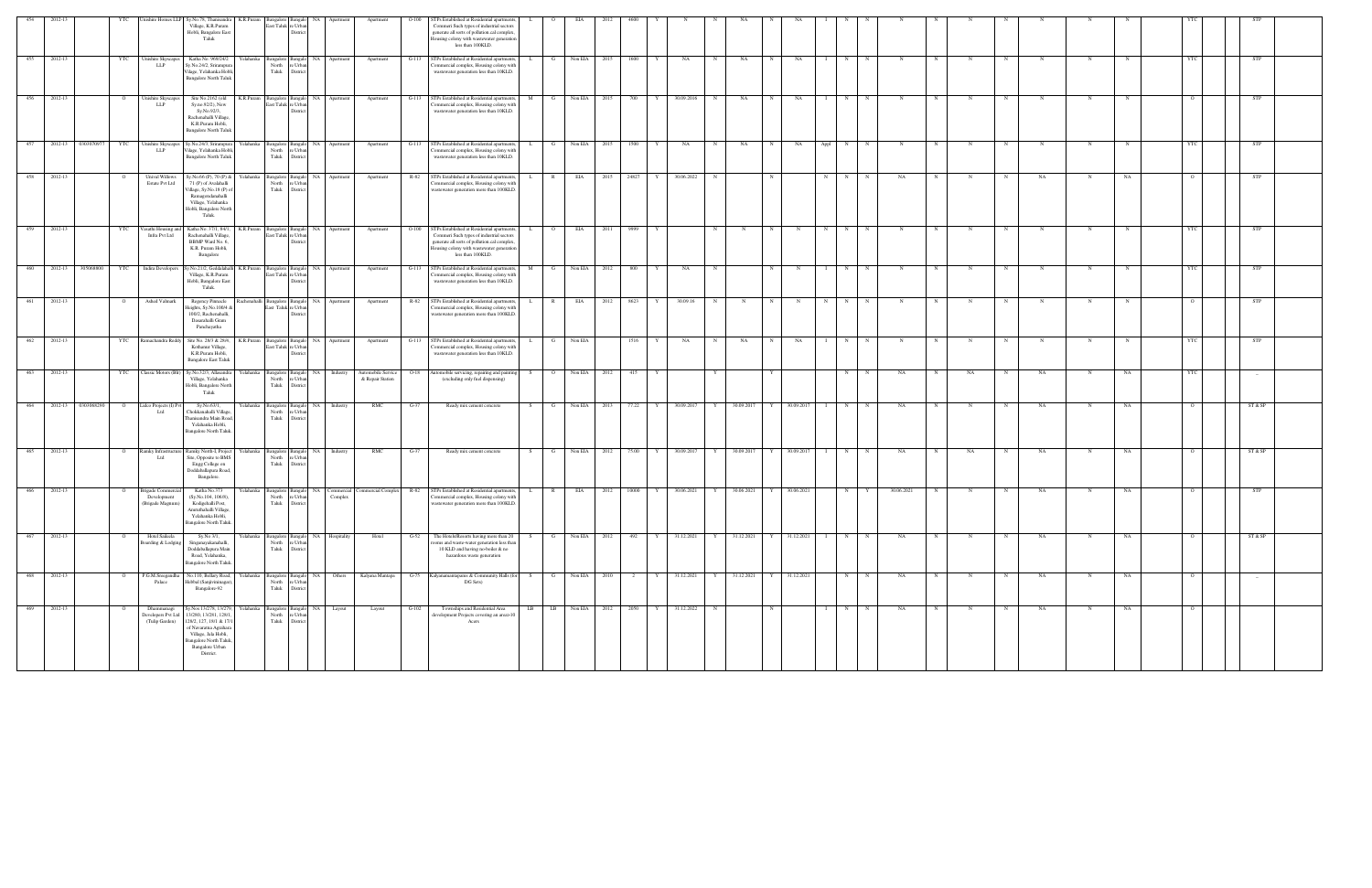| 454 | 2012-13     |                    |                | nishire Homes LL<br>Sy.No.78, Thanisandra<br>K.R.Puram<br>Village, K.R.Puram<br>Hobli, Bangalore East<br>Taluk                                                                                                                              | last Taluk n                                    | e Urba<br>Distric                                             |                                            |                                        |         | TPs Established at Residential apartments,<br>Commeri Such types of industrial sectors<br>generate all sorts of pollution.cal complex,<br>busing colony with wastewater generation<br>less than 100KLD. |    |                |                         |      |                     |              |   |              |              |              |           |             |            |   |                  |    |             |    |          |            |
|-----|-------------|--------------------|----------------|---------------------------------------------------------------------------------------------------------------------------------------------------------------------------------------------------------------------------------------------|-------------------------------------------------|---------------------------------------------------------------|--------------------------------------------|----------------------------------------|---------|---------------------------------------------------------------------------------------------------------------------------------------------------------------------------------------------------------|----|----------------|-------------------------|------|---------------------|--------------|---|--------------|--------------|--------------|-----------|-------------|------------|---|------------------|----|-------------|----|----------|------------|
| 455 | 2012-13     |                    | YTC            | Katha No. 969/24/2<br>Unishire Skyscapes<br><b>LLP</b><br>y.No.24/2, Srirampur<br>ilage, Yelahanka Hobl<br><b>Bangalore North Taluk</b>                                                                                                     | North<br>Taluk                                  | : Urba<br><b>Distric</b>                                      | Yelahanka Bangalore Bangalo NA Apartment   | Apartment                              |         | G-113 STPs Established at Residential apartments,<br>'ommercial complex, Housing colony with<br>wastewater generation less than 10KLD.                                                                  |    | $\mathbf{G}$   | Non EIA                 | 2015 | 1600<br>Y           | NA           | N | NA           | N            | NA           | N         | N           |            |   |                  |    | N           |    |          | <b>STP</b> |
| 456 | 2012-13     |                    |                | Unishire Skyscape<br>Site No.2162 (old<br><b>LLP</b><br>Sy.no.92/2), New<br>Sy.No.92/3,<br>Rachenahalli Village,<br>K.R.Puram Hobli,<br><b>Bangalore North Taluk</b>                                                                        | K.R.Puram                                       | sangalore Bangalo<br>East Taluk re Urbar<br>Distri            | NA Apartment                               | Apartment                              | $G-113$ | STPs Established at Residential apartments,<br>'ommercial complex, Housing colony with<br>wastewater generation less than 10KLD.                                                                        |    |                | Non EIA                 | 2015 | 700                 | 30.09.2016   | N | NA           | $\mathbf N$  | NA           | N         |             |            |   |                  |    | N           |    |          | <b>STP</b> |
| 457 |             | 2012-13 0303070977 | YTC            | Unishire Skyscapes<br>Sy.No.24/3, Srirampur<br><b>LLP</b><br>Vilage, Yelahanka Hobli,<br><b>Bangalore North Taluk</b>                                                                                                                       | Yelahanka<br><b>Bangalore</b><br>North<br>Taluk | Bangalo NA<br>e Urbar<br>District                             | Apartment                                  | Apartment                              | $G-113$ | STPs Established at Residential apartments,<br>ommercial complex, Housing colony with<br>wastewater generation less than 10KLD.                                                                         | L. | $\mathbf{G}$   | Non EIA                 | 2015 | 1500<br>Y           | NA           | N | NA           | N            | NA           | N<br>Appl |             | N          |   |                  | N  |             |    | YTC      | STP        |
| 458 | 2012-13     |                    |                | <b>Unival Willows</b><br>y.No.66 (P), 70 (P) &<br>Estate Pvt Ltd<br>71 (P) of Avalahalli<br>/illage, Sy.No.18 (P) o<br>Ramagondanahalli<br>Village, Yelahanka<br>Hobli, Bangalore North<br>Taluk.                                           | Yelahanka<br>North<br>Taluk                     | Bangalore Bangalo NA<br>: Urba<br>District                    | Apartment                                  | Apartment                              | R-82    | STPs Established at Residential apartments,<br>ommercial complex, Housing colony with<br>wastewater generation more than 100KLD.                                                                        |    | $\mathbb{R}$   | EIA                     | 2015 | 24827               | 30.06.2022   | N |              |              |              | N         |             | NA         |   |                  | NA |             | NA |          | STP        |
| 459 | 2012-13     |                    | YTC            | asathi Housing an<br>Katha No. 37/1, 84/1,<br>Infra Pvt Ltd<br>Rachenahalli Village,<br>BBMP Ward No. 6,<br>K.R. Puram Hobli,<br>Bangalore                                                                                                  | K.R.Puram<br>mealon                             | East Taluk re Urbar<br>District                               | NA<br>Apartmen                             | Apartment                              | $O-100$ | TPs Established at Residential apartments<br>Commeri Such types of industrial sectors<br>generate all sorts of pollution.cal complex,<br>lousing colony with wastewater generation<br>less than 100KLD. |    |                | EIA                     |      | 9999                |              |   |              |              |              | N         |             |            |   |                  |    |             |    |          | <b>STP</b> |
| 460 | 2012-13     | 305068800          | YTC            | <b>Indira Developers</b><br>Sy.No.21/2, Geddalaha<br>Village, K.R.Puram<br>Hobli, Bangalore East<br>Taluk.                                                                                                                                  | K.R.Puram<br><b>Bangalore</b>                   | 3angalo<br>East Taluk re Urbar<br>Distric                     | NA<br>Apartment                            | Apartment                              | $G-113$ | STPs Established at Residential apartments<br>'ommercial complex, Housing colony with<br>wastewater generation less than 10KLD.                                                                         | M  |                | Non EIA                 | 2012 | 800                 | NA           |   |              |              |              | N         |             |            |   |                  |    |             |    | YTC      | STP        |
| 461 | 2012-13     |                    |                | Ashed Valmark<br>Regency Pinnacle<br>leights, Sy.No.100/4 &<br>100/2, Rachenahalli,<br>Dasarahalli Gram<br>Panchayatha                                                                                                                      | Rachenahalli Bangalore Bangalo NA               | East Taluk re Urba                                            | Apartment                                  | Apartment                              | R-82    | STPs Established at Residential apartments,<br>ommercial complex, Housing colony with<br>vastewater generation more than 100KLD.                                                                        |    |                | EIA                     | 2012 | 8623                | 30.09.16     | N |              |              |              | N         |             |            |   |                  |    |             |    |          | STP        |
| 462 | 2012-13     |                    | YTC            | Ramachandra Redo<br>Site No. 28/3 & 28/4,<br>Kothanur Village,<br>K.R.Puram Hobli,<br><b>Bangalore East Taluk</b>                                                                                                                           | K.R.Puram                                       | Bangalore Bangalo NA<br>East Taluk re Urbar<br><b>Distric</b> | Apartment                                  | Apartment                              | $G-113$ | STPs Established at Residential apartments,<br>'ommercial complex, Housing colony with<br>wastewater generation less than 10KLD.                                                                        |    | - G            | Non EIA                 |      | 1516                | NA           | N | NA           | $\mathbf N$  | NA           | N         |             |            |   |                  | N  | N           |    |          | <b>STP</b> |
| 463 | 2012-13     |                    | YTC            | Classic Motors (Blr)<br>Sy.No.32/3, Allasandra<br>Village, Yelahanka<br>Hobli, Bangalore North<br>Taluk                                                                                                                                     | Yelahanka<br>Bangalore<br>North<br>Taluk        | Bangalo NA<br>e Urbar<br>District                             | Industry                                   | Automobile Service<br>& Repair Station | $O-18$  | Automobile servicing, repairing and painting<br>(excluding only fuel dispensing)                                                                                                                        | S. | $\overline{O}$ | Non EIA                 | 2012 | 415                 |              |   |              |              |              | N         | $\mathbf N$ | NA         | N | NA<br>N          | NA | $\mathbf N$ | NA | YTC      |            |
| 464 | 2012-13     | 0303068290         |                | idco Projects (I) P<br>Sy.No.63/1,<br>ht I<br>Chokkanahalli Village<br>hanisandra Main Roa<br>Yelahanka Hobli,<br><b>Bangalore North Taluk</b>                                                                                              | Yelahanka<br>North<br>Taluk                     | Bangalore Bangalo NA<br>: Urba<br>District                    | Industry                                   | RMC                                    | $G-37$  | Ready mix cement concrete                                                                                                                                                                               | S. | G              | Non EIA                 | 2013 | 77.22               | 30.09.2017   | Y | 30.09.2017   | Y            | 30.09.2017   | N         | $\mathbf N$ | NA         |   | N                | NA | N           | NA |          | ST & SP    |
| 465 | 2012-13     |                    | $\circ$        | Ramky Infrastruct<br>Ramky North-I, Project<br>Ltd<br>Site, Opposite to BMS<br>Engg College on<br>Doddaballapura Road,<br>Bangalore.                                                                                                        | Yelahanka<br>North<br>Taluk                     | Bangalore Bangalo<br>e Urba<br>District                       | NA<br>Industry                             | RMC                                    | $G-37$  | Ready mix cement concrete                                                                                                                                                                               |    | $\mathbf{G}$   | Non EIA                 | 2012 | 75.00<br>Y          | 30.09.2017   | Y | 30.09.2017   | Y            | 30.09.2017   | N         | $\mathbf N$ | NA         |   | NA<br>$_{\rm N}$ | NA | N           | NA |          | ST & SP    |
| 466 | 2012-13     |                    |                | Brigade Commer<br>Katha No.373<br>(Sy.No.104, 106/8),<br>Development<br>Kodigehalli Post,<br>(Brigade Magnum)<br>Amruthahalli Village,<br>Yelahanka Hobli<br>Bangalore North Taluk.                                                         | relahanka<br>Bangalore<br>North<br>Taluk        | Bangalo<br>e Urbar<br>District                                | NA Commercial<br>Complex                   | Commercial Complex                     | $R-82$  | STPs Established at Residential apartments,<br>Commercial complex, Housing colony with<br>wastewater generation more than 100KLD.                                                                       |    | R              | EIA                     | 2012 | 10000<br>Y          | 30.06.2021   | Y | 30.06.2021   | $\mathbf{Y}$ | 30.06.2021   | N         |             | 30.06.2021 |   | N<br>$\mathbf N$ | NA | N           | NA |          | STP        |
| 467 | 2012-13     |                    |                | Hotel Saileela<br>Sy.No 3/1,<br>Boarding & Lodging<br>Singanayakanahalli,<br>Doddaballapura Main<br>Road, Yelahanka,<br>Bangalore North Taluk                                                                                               | North<br>Taluk                                  | e Urban<br>District                                           | relahanka Bangalore Bangalo NA Hospitality | Hotel                                  | $G-52$  | The Hotels/Resorts having more than 20<br>oms and waste-water generation less than<br>10 KLD and having no-boiler & no<br>hazardous waste generation                                                    |    |                | Non EIA 2012            |      | 492                 | 31.12.2021   |   | Y 31.12.2021 |              | 31.12.2021   | N         |             | NA         |   | $_{\rm N}$       | NA | N           | NA |          | ST & SP    |
|     | 468 2012-13 |                    | $\overline{O}$ | P.G.M.Sreegandha<br>No.110, Bellary Road,<br>Hebbal (Sanjivininagar)<br>Palace<br>Bangalore-92                                                                                                                                              | Yelahanka<br>North<br>Taluk                     | Bangalore Bangalo NA<br>e Urban<br>District                   | Others                                     | Kalyana Mantapa                        | $G-75$  | Kalyanamantapams & Community Halls (for<br>DG Sets)                                                                                                                                                     | S. | $\mathbf{G}$   | Non EIA 2010            |      | Y<br>$\overline{2}$ | 31.12.2021   |   | Y 31.12.2021 |              | Y 31.12.2021 | N         | N           | NA         | N | $_{\rm N}$       | NA | $\mathbf N$ | NA | $\Omega$ | $-$        |
| 469 | 2012-13     |                    |                | Dhammanagi<br>Sy.Nos 13/278, 13/279,<br>13/280, 13/281, 128/1,<br>Developers Pvt Ltd<br>128/2, 127, 18/1 & 17/<br>(Tulip Garden)<br>of Navaratna Agrahara<br>Village, Jala Hobli,<br>Bangalore North Taluk,<br>Bangalore Urban<br>District. | Yelahanka<br>North<br>Taluk                     | re Urban<br>District                                          | Bangalore Bangalo NA Layout                | Layout                                 | $G-102$ | Townships and Residential Area<br>development Projects covering an area>10<br>Acers                                                                                                                     |    |                | LB LB Non EIA 2012 2050 |      |                     | Y 31.12.2022 | N |              | N            |              | N         |             | NA         |   |                  | NA |             | NA |          |            |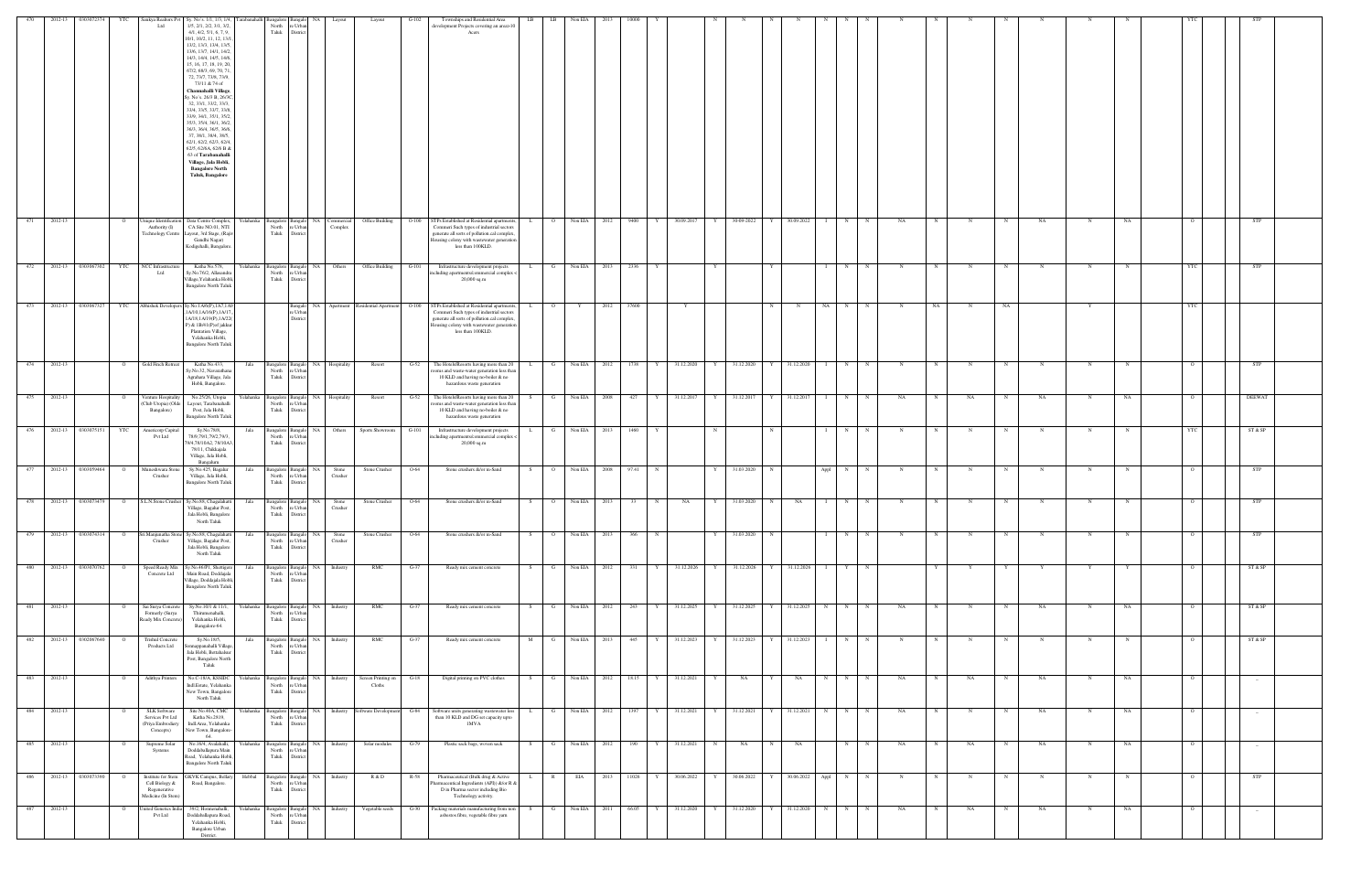| 470              | 2012-13 | 0303072374             | - YTC                            | Sankya Realtors Pv<br>Ltd                                                   | Sy. No's. 1/1, 1/3, 1/4,<br>1/5, 2/1, 2/2, 3/1, 3/2<br>4/1, 4/2, 5/1, 6, 7, 9,<br>10/1, 10/2, 11, 12, 13/1,<br>13/2, 13/3, 13/4, 13/5,<br>13/6, 13/7, 14/1, 14/2,<br>14/3, 14/4, 14/5, 14/6,<br>15, 16, 17, 18, 19, 20,<br>67/2, 68/3, 69, 70, 71<br>72, 73/7, 73/8, 73/9,<br>73/11 & 74 of<br>Channahalli Village,<br>Sy. No's. 26/3 B, 26/3C,<br>32, 33/1, 33/2, 33/3,<br>33/4, 33/5, 33/7, 33/8,<br>33/9, 34/1, 35/1, 35/2,<br>35/3, 35/4, 36/1, 36/2,<br>36/3, 36/4, 36/5, 36/6,<br>37, 38/1, 38/4, 38/5,<br>62/1, 62/2, 62/3, 62/4.<br>62/5, 62/6A, 62/6 B &<br>63 of Tarabanahalli<br>Village, Jala Hobli,<br><b>Bangalore North</b><br><b>Taluk, Bangalore</b> | arabanahal<br><b>Bangalore</b><br>North<br>Taluk | e Urbar<br>District                                |                                                                | Layout                                             | G-102          | Townships and Residential Area<br>development Projects covering an area>10<br>Acers                                                                                                                                                                       | LB           | LB                      | Non EIA                     |       |              |                               |        |                  |              |                            |                   |             |                   |                 |              |                  |                  |                  |                  |          |                   |
|------------------|---------|------------------------|----------------------------------|-----------------------------------------------------------------------------|-----------------------------------------------------------------------------------------------------------------------------------------------------------------------------------------------------------------------------------------------------------------------------------------------------------------------------------------------------------------------------------------------------------------------------------------------------------------------------------------------------------------------------------------------------------------------------------------------------------------------------------------------------------------------|--------------------------------------------------|----------------------------------------------------|----------------------------------------------------------------|----------------------------------------------------|----------------|-----------------------------------------------------------------------------------------------------------------------------------------------------------------------------------------------------------------------------------------------------------|--------------|-------------------------|-----------------------------|-------|--------------|-------------------------------|--------|------------------|--------------|----------------------------|-------------------|-------------|-------------------|-----------------|--------------|------------------|------------------|------------------|------------------|----------|-------------------|
| 471              | 2012-13 |                        | $\overline{O}$                   | nique Identification<br>Authority (I)<br>Technology Centre                  | Data Centre Complex,<br>CA Site NO.01, NTI<br>ayout, 3rd Stage, (Rajiv<br>Gandhi Nagar)<br>Kodigehalli, Bangalore.                                                                                                                                                                                                                                                                                                                                                                                                                                                                                                                                                    | Yelahanka<br>Taluk                               | North re Urban<br>District                         | Bangalore Bangalo NA Commercial<br>Complex                     | <b>Office Building</b>                             |                | O-100 STPs Established at Residential apartments,<br>Commeri Such types of industrial sectors<br>generate all sorts of pollution.cal complex<br>Housing colony with wastewater generation<br>less than 100KLD.                                            | $\mathbf{L}$ | $\overline{O}$          | Non EIA 2012                |       | 9400 Y       | 30.09.2017<br>Y               |        | 30-09-2022       | Y            | 30.09.2022                 | $I \t N$          | N           | NA.               | N               | $\mathbb{N}$ | $\mathbf N$      | NA               | N                | NA               |          | STP               |
| $\overline{472}$ |         | 2012-13 0303067302     | <b>YTC</b>                       | NCC Infrastructure<br>Ltd                                                   | Katha No.578,<br>Sy.No.76/2, Allasandra<br>Village, Yelahanka Hobl<br><b>Bangalore North Taluk</b>                                                                                                                                                                                                                                                                                                                                                                                                                                                                                                                                                                    | Yelahanka<br>North<br>Taluk                      | e Urban<br>District                                | Bangalore Bangalo NA Others                                    | Office Building                                    | $G-101$        | Infrastructure development projects<br>including apartments/commercial complex <<br>20,000 sq.m                                                                                                                                                           | L.,          | G                       | Non EIA 2013                | 2336  |              | Y                             |        |                  |              |                            | N<br>$\mathbf{1}$ | N           | N                 | $\mathbb{N}$    |              | N                | $\mathbb{N}$     | $\mathbb{N}$     |                  | YTC      | STP               |
|                  |         |                        |                                  |                                                                             | 473 2012-13 0303067327 YTC Abhishek Developers Sy.No.1A/6(P),1A7,1A9<br>1A/10,1A/16(P),1A/17.<br>1A/18,1A/19(P),1A/22<br>P) & 1B/41(P) of jakkur<br>Plantation Village,<br>Yelahanka Hobli,<br><b>Bangalore North Taluk</b>                                                                                                                                                                                                                                                                                                                                                                                                                                           |                                                  | e Urban<br>District                                |                                                                |                                                    |                | Bangalo NA Apartment Residential Apartment O-100 STPs Established at Residential apartments,<br>Commeri Such types of industrial sectors<br>generate all sorts of pollution.cal complex<br>Housing colony with wastewater generation<br>less than 100KLD. | $\mathbf{L}$ | $\overline{O}$          | 2012<br>$Y =$               | 37600 |              | Y                             |        |                  | N            | N                          |                   | NA N N      | N                 | NA 1            | N            | NA               |                  | Y                |                  | YTC      |                   |
| 474              | 2012-13 |                        | $\overline{O}$                   | Gold Finch Retreat                                                          | Katha No.433,<br>Sy.No.32, Navarathana<br>Agrahara Village, Jala<br>Hobli, Bangalore.                                                                                                                                                                                                                                                                                                                                                                                                                                                                                                                                                                                 | Jala<br>North<br>Taluk                           | e Urban<br>District                                | Bangalore Bangalo NA Hospitality                               | Resort                                             | $G-52$         | The Hotels/Resorts having more than 20<br>ooms and waste-water generation less than<br>10 KLD and having no-boiler & no<br>hazardous waste generation                                                                                                     | $\mathbf{L}$ | $\mathbf{G}$            | Non EIA 2012                |       | 1738         | 31.12.2020<br>Y               | Y      | 31.12.2020       |              | 31.12.2020                 | $\mathbf{I}$<br>N | N           | $\mathbf N$       | N               | N            | N                | N                | N                |                  |          | STP               |
| 475              | 2012-13 |                        | $\circ$                          | Venture Hospitality<br>Club Utopia) (Olde<br>Bangalore)                     | No.25/26, Utopia<br>Layout, Tarabanahalli<br>Post, Jala Hobli,<br><b>Bangalore North Talul</b>                                                                                                                                                                                                                                                                                                                                                                                                                                                                                                                                                                        | Yelahanka<br>North<br>Taluk                      | e Urban<br>District                                | Bangalore Bangalo NA Hospitality                               | Resort                                             | $G-52$         | The Hotels/Resorts having more than 20<br>oms and waste-water generation less than<br>10 KLD and having no-boiler & no<br>hazardous waste generation                                                                                                      | S.           | G                       | Non EIA 2008                |       | 427          | 31.12.2017<br>Y               |        | 31.12.2017       |              | 31.12.2017<br>$\mathbf{1}$ | N                 | $\mathbf N$ | NA                | $\mathbb{N}$    | NA           | N                | NA               | $\mathbb{N}$     | NA               |          | DEEWAT            |
|                  |         | 476 2012-13 0303075151 | YTC                              | Americorp Capital<br>Pvt Ltd                                                | Sy.No.78/8,<br>78/9,79/1,79/2,79/3,<br>79/4,78/10A2, 78/10A3,<br>78/11, Chikkajala<br>Village, Jala Hobli,<br>Bangaluru                                                                                                                                                                                                                                                                                                                                                                                                                                                                                                                                               | Jala<br>North<br>Taluk                           | re Urban<br>District                               | Bangalore Bangalo NA Others                                    | Sports Showroom                                    | G-101          | Infrastructure development projects<br>including apartments/commercial complex -<br>20,000 sq.m                                                                                                                                                           | L.           |                         | G Non EIA 2013              |       | 1460         | N                             |        |                  | N            |                            | $I \t N$          | N           | $\mathbf N$       | N               | N            | $\mathbf N$      | $_{\rm N}$       | $\mathbf N$      | N                | YTC      | ST & SP           |
| 477              | 2012-13 | 0303059464             | $\overline{O}$                   | Muneshwara Stone<br>Crusher                                                 | Sy.No.425, Bagalur<br>Village, Jala Hobli,<br><b>Bangalore North Taluk</b>                                                                                                                                                                                                                                                                                                                                                                                                                                                                                                                                                                                            | Jala<br>Taluk                                    | Bangalore Bangalo NA<br>North re Urban<br>District | Stone<br>Crusher                                               | Stone Crusher                                      | $O-64$         | Stone crushers &/or m-Sand                                                                                                                                                                                                                                | S            | $\overline{O}$          | Non EIA 2008                | 97.41 |              | N<br>Y                        |        | 31.03.2020       | N            |                            | Appl  <br>N       | N           | $\mathbf N$       | N               | N            | $\mathbf N$      | N                | N                |                  |          | STP               |
| 478              |         | 2012-13 0303073479     | $\overline{O}$                   | S.L.N.Stone Crusher                                                         | Sy.No.88, Chagalahatti<br>Village, Bagalur Post,<br>Jala Hobli, Bangalore<br>North Taluk                                                                                                                                                                                                                                                                                                                                                                                                                                                                                                                                                                              | Jala<br>North<br>Taluk                           | Bangalore Bangalo NA<br>e Urban<br>District        | Stone<br>Crusher                                               | Stone Crusher                                      | O-64           | Stone crushers &/or m-Sand                                                                                                                                                                                                                                | S.           | $\overline{\mathbf{O}}$ | Non EIA<br>2013             | 33    |              | NA<br>Y                       |        | 31.03.2020       | N            | NA<br>$\mathbf{1}$         | N                 |             | N                 |                 |              |                  | N                | N                |                  |          | STP               |
| 479              |         | 2012-13 0303074314     | $\overline{O}$                   | šri.Manjunatha Sto<br>Crusher                                               | ly.No.88, Chagalahat<br>Village, Bagalur Post<br>Jala Hobli, Bangalore<br>North Taluk                                                                                                                                                                                                                                                                                                                                                                                                                                                                                                                                                                                 | Jala<br>North<br>Taluk                           | Bangalore Bangalo NA<br>re Urban<br>District       | Stone<br>Crusher                                               | Stone Crusher                                      | O-64           | Stone crushers &/or m-Sand                                                                                                                                                                                                                                | S.           | $\overline{O}$          | Non EIA 2013                |       | 366          |                               |        | 31.03.2020       | N            |                            | N                 | N           |                   |                 |              |                  |                  |                  |                  |          | STP               |
| 480              | 2012-13 | 0303070762             | $\overline{O}$                   | Speed Ready Mix<br>Concrete Ltd                                             | y.No.46/P1, Shettiger<br>Main Road, Doddajala<br>Village, Doddajala Hobli.<br><b>Bangalore North Taluk</b>                                                                                                                                                                                                                                                                                                                                                                                                                                                                                                                                                            | Jala<br>Taluk                                    | Bangalore Bangalo NA<br>North re Urban<br>District | Industry                                                       | RMC                                                | $G-37$         | Ready mix cement concrete                                                                                                                                                                                                                                 | S            | G                       | Non EIA<br>2012             |       | 331          | 31.12.2026<br>Y               |        | 31.12.2026       |              | 31.12.2026                 | Y                 | N           |                   |                 |              |                  |                  |                  |                  |          | ST & SP           |
| 481              | 2012-13 |                        | $\circ$                          | Sai Surya Concret<br>Formerly (Surya<br>Ready Mix Concrete)                 | Sy.No.10/1 & 11/1,<br>Thirumenahalli,<br>Yelahanka Hobli,<br>Bangalore-64.                                                                                                                                                                                                                                                                                                                                                                                                                                                                                                                                                                                            | Yelahanka<br>North<br>Taluk                      | Bangalore Bangalo NA<br>re Urban<br>District       | Industry                                                       | RMC                                                | $G-37$         | Ready mix cement concrete                                                                                                                                                                                                                                 | S.           | G                       | Non EIA<br>2012             |       | 243          | 31.12.2025<br>Y               |        | 31.12.2025       |              | 31.12.2025                 | N<br>N            |             | NA                |                 |              |                  | NA               | N                | NA               |          | ST & SP           |
| 482              | 2012-13 | 0302067640             |                                  | <b>Trishul Concrete</b><br>Products Ltd                                     | Sy.No.18/5<br>nnappanahalli Villag<br>Jala Hobli, Bettahalsur<br>Post, Bangalore North<br>Taluk                                                                                                                                                                                                                                                                                                                                                                                                                                                                                                                                                                       | Jala<br>North<br>Taluk                           | Bangalore Bangalo<br>e Urba<br>District            | <b>NA</b><br>Industry                                          | RMC                                                | $G-37$         | Ready mix cement concrete                                                                                                                                                                                                                                 |              |                         | Non EIA<br>2013             | 445   |              | 31.12.2023                    |        | 31.12.2023       |              | 31.12.2023                 | N                 |             |                   |                 |              |                  |                  |                  |                  |          | ST & SP           |
| 483              | 2012-13 |                        | $\overline{O}$                   | Adithya Printers                                                            | No.C-18/A, KSSIDC<br>Indl.Estate, Yelahanka<br>New Town, Bangalore<br>North Taluk                                                                                                                                                                                                                                                                                                                                                                                                                                                                                                                                                                                     | Yelahanka<br>North<br>Taluk                      | Bangalore Bangalo NA<br>re Urban<br>District       | <b>Industry</b>                                                | Screen Printing on<br>Cloths                       | $G-18$         | Digital printing on PVC clothes                                                                                                                                                                                                                           | S.           | $\mathbf{G}$            | Non EIA<br>2012             | 18.15 |              | 31.12.2021<br>Y               |        | NA               | $\mathbf{Y}$ | NA<br>N                    | N                 | $_{\rm N}$  | <b>NA</b>         | $_{\rm N}$      | NA           | N                | NA               | N                | NA               | $\Omega$ | $\sim$            |
| 484              | 2012-13 |                        | $\overline{O}$                   | <b>SLK Software</b><br>Services Pvt Ltd<br>(Priya Embrodiery<br>Concepts)   | Site No.40A, CMC<br>Katha No.2819,<br>Indl.Area, Yelahanka<br>New Town, Bangalore-<br>64.                                                                                                                                                                                                                                                                                                                                                                                                                                                                                                                                                                             | Yelahanka<br>Taluk                               | North re Urban<br>District                         |                                                                | Bangalore Bangalo NA Industry Software Development | $G-84$         | Software units generating wastewater less<br>than 10 KLD and DG set capacity upto<br>1MVA                                                                                                                                                                 | L.           | $\mathbf{G}$            | Non EIA 2012                |       | 1397         | 31.12.2021<br>Y<br>Y          |        | 31.12.2021       | Y I          | 31.12.2021                 | $N$ N             | N           | NA.               | N               | N            | N                | NA               | N                | NA               | $\Omega$ |                   |
| 485<br>486       | 2012-13 | 2012-13 0303073390     | $\overline{O}$<br>$\overline{O}$ | Supreme Solar<br>Systems<br>Institute for Stem                              | No.16/4, Avalahalli,<br>Doddaballapura Main<br>Road, Yelahanka Hobli<br><b>Bangalore North Taluk</b><br>GKVK Campus, Bellary                                                                                                                                                                                                                                                                                                                                                                                                                                                                                                                                          | Yelahanka<br>North<br>Taluk<br>Hebbal            | e Urban<br>District                                | Bangalore Bangalo NA Industry<br>Bangalore Bangalo NA Industry | Solar modules<br>R & D                             | $G-79$<br>R-58 | Plastic sack bags, woven sack<br>Pharmaceutical (Bulk drug & Active                                                                                                                                                                                       | S.<br>L.     | G<br>R                  | Non EIA 2012<br>EIA<br>2013 |       | 190<br>11026 | 31.12.2021<br>30.06.2022<br>Y | N<br>Y | NA<br>30.06.2022 | N<br>Y I     | NA<br>30.06.2022 Appl N    | N                 | N<br>N      | NA<br>$\mathbf N$ | N<br>$_{\rm N}$ | NA<br>N      | N<br>$\mathbf N$ | NA<br>$_{\rm N}$ | N<br>$\mathbf N$ | NA<br>$_{\rm N}$ | $\Omega$ | $-$<br><b>STP</b> |
| 487              | 2012-13 |                        | $\mathbf{o}$                     | Cell Biology &<br>Regenerative<br>Medicine (In Stem)<br>Inited Genetics Ind | Road, Bangalore.<br>39/2, Honnenahalli,                                                                                                                                                                                                                                                                                                                                                                                                                                                                                                                                                                                                                               | North<br>Taluk<br>Yelahanka                      | re Urban<br>District<br>Bangalore Bangalo NA       | Industry                                                       | Vegetable seeds                                    | $G-30$         | harmaceutical Ingredients (API)) &/or R &<br>D in Pharma sector including Bio<br>Technology activity.<br>Packing materials manufacturing from non                                                                                                         | S.           | G                       | Non EIA 2011                | 66.05 |              | 31.12.2020<br>Y               |        | 31.12.2020       |              | 31.12.2020                 | N<br>N            | N           | NA                |                 | NA           |                  | NA               | N                | NA               |          | $-$               |
|                  |         |                        |                                  | Pvt Ltd                                                                     | Doddaballapura Road<br>Yelahanka Hobli,<br>Bangalore Urban<br>District.                                                                                                                                                                                                                                                                                                                                                                                                                                                                                                                                                                                               | Taluk                                            | North re Urban<br>District                         |                                                                |                                                    |                | asbestos fibre, vegetable fibre yarn                                                                                                                                                                                                                      |              |                         |                             |       |              |                               |        |                  |              |                            |                   |             |                   |                 |              |                  |                  |                  |                  |          |                   |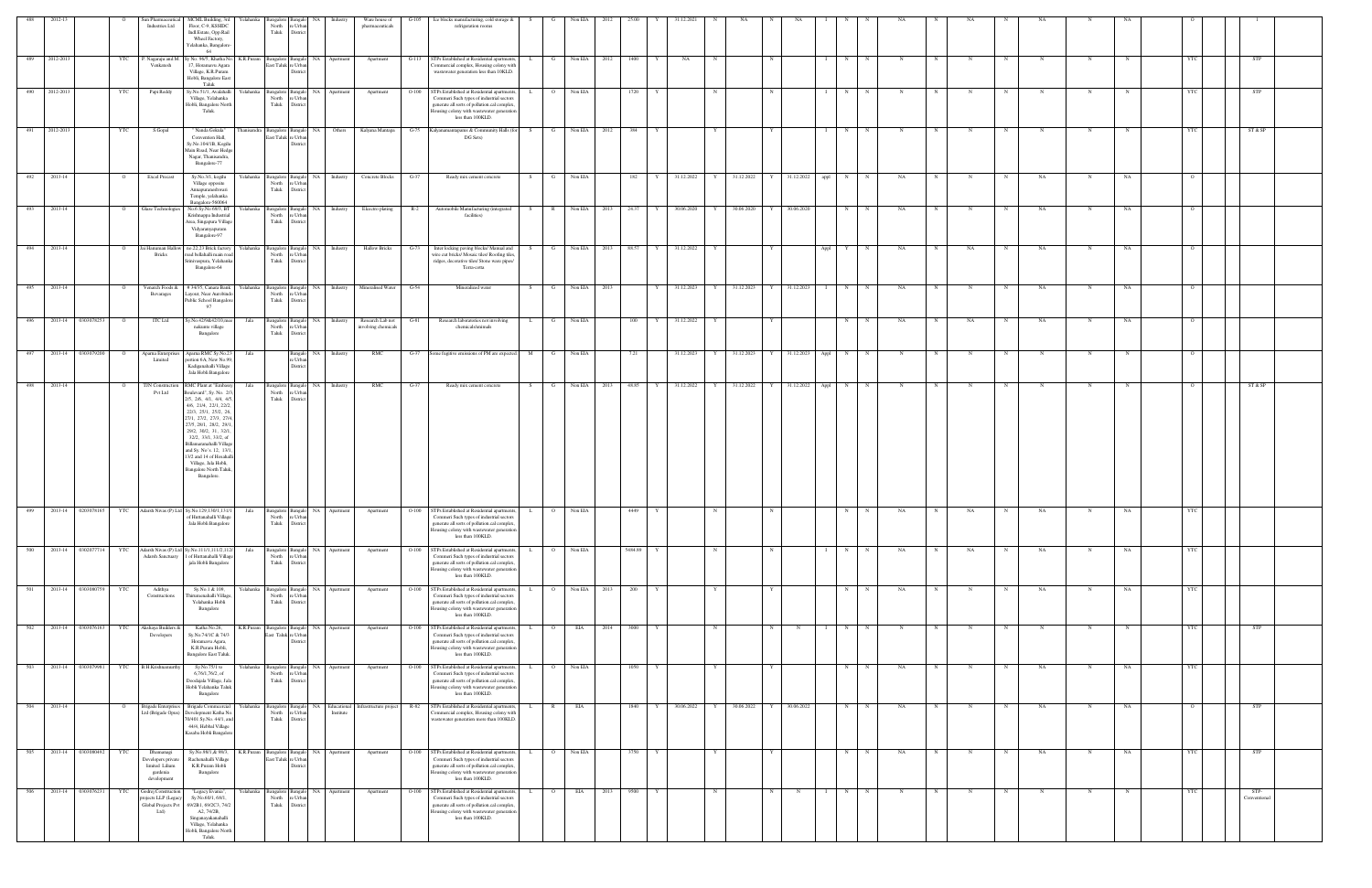| 488         | 2012-13       |                    |            | Sun Pharmaceutical<br>Industries Ltd                                         | MCML Building, 3rd<br>Floor, C-9, KSSIDC<br>Indl.Estate, Opp.Rail<br>Wheel Factory,<br>Yelahanka, Bangalore-<br>64                                                                                                                                                                                                                                                                                      | North<br>Taluk                      | Yelahanka Bangalore Bangalo NA<br>e Urba<br>District    | Industry                                              | Ware house of<br>pharmaceuticals                          | $G-105$ | Ice blocks manufacturing, cold storage &<br>refrigeration rooms                                                                                                                                                 | S            | G              | Non EIA      | 2012 | 25.00   |   | 31.12.202    |            |                                  |             |              |                     |              |             |             |    |   |             |            |             |            |                      |  |
|-------------|---------------|--------------------|------------|------------------------------------------------------------------------------|---------------------------------------------------------------------------------------------------------------------------------------------------------------------------------------------------------------------------------------------------------------------------------------------------------------------------------------------------------------------------------------------------------|-------------------------------------|---------------------------------------------------------|-------------------------------------------------------|-----------------------------------------------------------|---------|-----------------------------------------------------------------------------------------------------------------------------------------------------------------------------------------------------------------|--------------|----------------|--------------|------|---------|---|--------------|------------|----------------------------------|-------------|--------------|---------------------|--------------|-------------|-------------|----|---|-------------|------------|-------------|------------|----------------------|--|
| 489         | 2012-2013     |                    | YTC        | P. Nagaraju and M<br>Venkatesh                                               | Sy No. 96/5, Khatha No.<br>K.R.Puram<br>17, Horamavu Agara<br>Village, K.R.Puram<br>Hobli, Bangalore East<br>Taluk                                                                                                                                                                                                                                                                                      | East Taluk re Urban                 | Bangalore Bangalo NA Apartment<br>Distri                |                                                       | Apartment                                                 | $G-113$ | STPs Established at Residential apartments,<br>Commercial complex, Housing colony with<br>wastewater generation less than 10KLD.                                                                                | . L .        | G              | Non EIA 2012 |      | 1400    |   | NA           |            |                                  |             |              | N                   |              | N           |             |    |   |             | N          |             | YTC        | <b>STP</b>           |  |
|             | 490 2012-2013 |                    | YTC        | Papi Reddy                                                                   | Sy.No.51/1, Avalahalli<br>Yelahanka<br>Village, Yelahanka<br>Hobli, Bangalore North<br>Taluk.                                                                                                                                                                                                                                                                                                           | Taluk                               | North re Urban<br>District                              | Bangalore Bangalo NA Apartment                        | Apartment                                                 | $O-100$ | STPs Established at Residential apartments,<br>Commeri Such types of industrial sectors<br>generate all sorts of pollution.cal complex<br>Iousing colony with wastewater generation<br>less than 100KLD.        | $\mathbf{L}$ | $\overline{O}$ | Non EIA      |      | 1720    |   |              |            |                                  |             |              | N                   | $\mathbf N$  | N           | N           |    | N | $\mathbf N$ | N          |             | YTC        | STP                  |  |
|             | 491 2012-2013 |                    | YTC        | S.Gopal                                                                      | " Nanda Gokula"<br>Convention Hall,<br>Sy.No.104/1B, Kogilu<br>Main Road, Near Hedg<br>Nagar, Thanisandra,<br>Bangalore-77                                                                                                                                                                                                                                                                              | East Taluk re Urban                 | Distric                                                 | hanisandra Bangalore Bangalo NA Others                | Kalyana Mantapa                                           |         | G-75 Kalyanamantapams & Community Halls (for S<br>DG Sets)                                                                                                                                                      |              | $\mathbf{G}$   | Non EIA 2012 |      | 384     | Y |              | Y          |                                  | Y           |              | N<br>$\mathbf{I}$   | N            | N           | N           | N  | N | N           | N          | N           | <b>YTC</b> | ST & SP              |  |
|             | 492 2013-14   |                    | $\circ$    | <b>Excel Precast</b>                                                         | Sy.No.3/1, kogilu<br>Village opposite<br>Annapuraneshwari<br>Temple, yelahanka<br>Bangalore-560064                                                                                                                                                                                                                                                                                                      | North<br>Taluk                      | e Urbar<br>District                                     | Yelahanka Bangalore Bangalo NA Industry               | Concrete Blocks                                           | $G-37$  | Ready mix cement concrete                                                                                                                                                                                       | S            | $\mathbf{G}$   | Non EIA      |      | 182     |   | Y 31.12.2022 | $Y \cup$   | 31.12.2022 Y 31.12.2022 appl N N |             |              |                     |              | NA          | N           | N  | N | NA          | N          | NA          | $\Omega$   |                      |  |
| 493         | 2013-14       |                    |            | <b>Glaze Technologies</b>                                                    | No.6 Sy.No 69/3, BT<br>relahanka<br>Krishnappa Industrial<br>Area, Singapura Village<br>Vidyaranyapuram<br>Bangalore-97                                                                                                                                                                                                                                                                                 | Bangalore<br>North<br>Taluk         | NA<br>Bangal<br>re Urbar<br>District                    | Industry                                              | Elcectro plating                                          | $R-2$   | Automobile Manufacturing (integrated<br>facilities)                                                                                                                                                             | S            | $\mathbb{R}$   | Non EIA 2013 |      | 24.37   |   | 30.06.2020   |            | 30.06.2020                       |             | 30.06.2020   | N                   |              | NA          |             |    |   | NA          |            | NA          |            |                      |  |
| 494         | 2013-14       |                    |            | ai Hanuman Hallow<br><b>Bricks</b>                                           | Yelahanka<br>no.22,23 Brick factory<br>bad bellahalli main road<br>rinivaspura, Yelahanka<br>Bangalore-64                                                                                                                                                                                                                                                                                               | North<br>Taluk                      | Bangalore Bangalo NA<br>e Urba<br>District              | Industry                                              | <b>Hallow Bricks</b>                                      | G-73    | Inter locking paving blocks/ Manual and<br>wire cut bricks/ Mosaic tiles/ Roofing tiles<br>ridges, decorative tiles/ Stone ware pipes/<br>Terra-cotta                                                           | - S          | G              | Non EIA      | 2013 | 88.57   |   | 31.12.2022   | Y          |                                  |             |              | Appl<br>Y           | N            | NA          |             | NA |   | NA          | N          | NA          |            |                      |  |
| 495         | 2013-14       |                    |            | Venarch Foods &<br>Bevarages                                                 | #34/35, Canara Bank<br>ayout, Near Aurobind<br>Public School Bangalor<br>97                                                                                                                                                                                                                                                                                                                             | North<br>Taluk                      | e Urba<br>District                                      |                                                       | Yelahanka Bangalore Bangalo NA Industry Mineralised Water | $G-54$  | Mineralized water                                                                                                                                                                                               | S            | $\mathbf{G}$   | Non EIA 2013 |      |         | Y | 31.12.2023   | Y          | 31.12.2023                       | Y           | 31.12.2023   | N                   | $\mathbb{N}$ | NA          |             |    |   | NA          | N          | $_{\rm NA}$ |            |                      |  |
| 496         |               | 2013-14 0303078253 |            | <b>ITC Ltd</b>                                                               | y.No.42/9&42/10,me<br>Jala<br>nakunte village<br>Bangalore                                                                                                                                                                                                                                                                                                                                              | Bangalore Bangalo<br>North<br>Taluk | NA 1<br>re Urban<br>District                            | Industry                                              | Research Lab not<br>involving chemicals                   | $G-81$  | Research laboratories not involving<br>chemicals/animals                                                                                                                                                        |              | $\mathbf{G}$   | Non EIA      |      | 100     | Y | 31.12.2022   |            |                                  |             |              | N                   |              | NA          | $\mathbf N$ | NA | N | NA          | N          | NA          |            |                      |  |
| 497         |               | 2013-14 0303079200 | $\circ$    | Aparna Enterprises<br>Limited                                                | Apama RMC Sy.No.2.<br>Jala<br>portion 6A, New No.99<br>Kadiganahalli Village<br>Jala Hobli Bangalore                                                                                                                                                                                                                                                                                                    |                                     | Bangalo NA<br>e Urban<br>District                       | Industry                                              | RMC                                                       |         | G-37 Some fugitive emissions of PM are expected.                                                                                                                                                                | M            | $\mathbf{G}$   | Non EIA      |      | 7.21    |   | 31.12.2023   | Y          | 31.12.2023                       |             | Y 31.12.2023 | N<br>Appl           | $_{\rm N}$   | N           |             |    |   | N           | N          |             |            |                      |  |
| 498 2013-14 |               |                    |            | TJN Construction<br>Pvt Ltd                                                  | RMC Plant at "Embass<br>Jala<br>Boulevard", Sy. No. 2/<br>$2/5$ , $2/6$ , $4/1$ , $4/4$ , $4/5$<br>4/6, 21/4, 22/1, 22/2,<br>22/3, 25/1, 25/2, 26.<br>27/1, 27/2, 27/3, 27/4<br>27/5, 28/1, 28/2, 29/1<br>29/2, 30/2, 31, 32/1,<br>32/2, 33/1, 33/2, of<br>Billamaranahalli Village<br>and Sy. No's. 12, 13/1<br>13/2 and 14 of Hosahall<br>Village, Jala Hobli,<br>Bangalore North Taluk<br>Bangalore. | North<br>Taluk                      | Bangalore Bangalo NA Industry<br>e Urba<br>District     |                                                       | RMC                                                       | $G-37$  | Ready mix cement concrete                                                                                                                                                                                       | S            | G              | Non EIA 2013 |      | 48.85   | Y | 31.12.2022   | Y          | 31.12.2022 Y                     |             |              | 31.12.2022 Appl N N |              | $_{\rm N}$  |             |    | N | N           | N          |             |            | ST & SP              |  |
|             |               |                    |            |                                                                              | 499 2013-14 0203078165 YTC Adarsh Nivas (P) Ltd Sy.No.129,130/1,131/1<br>f Huttanahalli Villas<br>${\it Jala}$ Hobli Bangalore                                                                                                                                                                                                                                                                          | North<br>Taluk                      | District                                                | Jala Bangalore Bangalo NA Apartment<br>North re Urban | Apartment                                                 |         | O-100 STPs Established at Residential apartments, L<br>mmeri Such types of industrial sector<br>generate all sorts of pollution.cal complex.<br>lousing colony with wastewater generation<br>less than 100KLD.  |              | $\overline{O}$ | Non EIA      |      | 4449    |   |              |            |                                  |             |              | N                   |              | NA          |             | NA |   | NA          |            | NA          |            |                      |  |
| 500         | 2013-14       | 0302077714         | <b>YTC</b> | Adarsh Sanctuary                                                             | Adarsh Nivas (P) Ltd Sy.No.111/1,111/2,11<br>Jala<br><b>1</b> of Huttanahalli Villag<br>jala Hobli Bangalore                                                                                                                                                                                                                                                                                            | North<br>Taluk                      | NA 1<br>Bangalore Bangalo<br>re Urbar<br>District       | Apartment                                             | Apartment                                                 | $O-100$ | <b>STPs Established at Residential apartments</b><br>Commeri Such types of industrial sectors<br>generate all sorts of pollution.cal complex,<br>Iousing colony with wastewater generation<br>less than 100KLD. |              | $\overline{O}$ | Non EIA      |      | 5484.89 |   |              |            |                                  |             |              | N                   |              | NA          |             | NA |   | NA          | $_{\rm N}$ | NA          | <b>YTC</b> |                      |  |
| 501         |               | 2013-14 0303080759 | YTC        | Adithya<br>Constructions                                                     | Sy.No.1 & 109,<br>relahanka<br>Thirumenahalli Village<br>Yelahanka Hobli<br>Bangalore                                                                                                                                                                                                                                                                                                                   | North<br>Taluk                      | Bangalore Bangalo<br>NA 1<br>re Urban<br>District       | Apartment                                             | Apartment                                                 | $O-100$ | <b>STPs Established at Residential apartments</b><br>Commeri Such types of industrial sectors<br>generate all sorts of pollution.cal complex<br>Iousing colony with wastewater generation<br>less than 100KLD.  |              | $\overline{O}$ | Non EIA 2013 |      | 200     |   |              |            |                                  |             |              | N                   | $_{\rm N}$   | NA          |             |    | N | NA          | N          | NA          | <b>YTC</b> |                      |  |
| 502         |               | 2013-14 0303076163 | YTC        | Akshaya Builders &<br>Developers                                             | Katha No.26,<br>K.R.Puram<br>Sy.No.74/1C & 74/3<br>Horamavu Agara,<br>K.R.Puram Hobli,<br><b>Bangalore East Taluk.</b>                                                                                                                                                                                                                                                                                  | East Taluk re Urbar                 | Bangalore Bangalo NA<br>District                        | Apartment                                             | Apartment                                                 | $O-100$ | STPs Established at Residential apartments,<br>Commeri Such types of industrial sectors<br>generate all sorts of pollution.cal complex.<br>Iousing colony with wastewater generation<br>less than 100KLD.       |              | $\overline{O}$ | EIA          | 2014 | 3000    |   |              | N          |                                  |             | $_{\rm N}$   | N                   |              | $\mathbf N$ |             |    | N | N           | N          |             |            | <b>STP</b>           |  |
| 503         |               | 2013-14 0303079981 | YTC        | B.H.Krishnamurth                                                             | Yelahanka<br>Sy.No.75/1 to<br>6,76/1,76/2, of<br>Doodajala Village, Jak<br>Hobli Yelahanka Taluk<br>Bangalore                                                                                                                                                                                                                                                                                           | sangalore Bangal<br>North<br>Taluk  | NA<br>e Urba<br>District                                | Apartment                                             | Apartment                                                 | $O-100$ | <b>STPs Established at Residential apartments</b><br>Commeri Such types of industrial sectors<br>generate all sorts of pollution.cal complex,<br>Iousing colony with wastewater generation<br>less than 100KLD. |              | $\overline{O}$ | Non EIA      |      | 1050    |   |              |            |                                  |             |              | N                   | $\mathbf N$  | NA          |             |    |   | $_{\rm NA}$ | N          | $_{\rm NA}$ |            |                      |  |
| 504         | 2013-14       |                    |            | <b>Brigade Enterprises</b><br>Ltd (Brigade Opus)                             | Brigade Commcercia<br>Yelahanka<br>Development Katha No<br>70/401 Sy.No. 44/1, and<br>44/4, Hebbal Village<br>Kasaba Hobli Bangalore                                                                                                                                                                                                                                                                    | Bangalore<br>North<br>Taluk         | Bangal<br>re Urban<br>District                          | NA Educational<br>Institute                           | Infrastructure project                                    | R-82    | STPs Established at Residential apartments<br>'ommercial complex, Housing colony with<br>vastewater generation more than 100KLD.                                                                                |              | $\mathbb{R}$   | EIA          |      | 1840    |   | 30.06.2022   | Y          | 30.06.2022                       |             | 30.06.2022   | N                   |              | NA          |             |    |   | NA          | N          | NA          |            | STP                  |  |
| 505         |               | 2013-14 0303080492 | YTC        | Dhamanagi<br>Developers private<br>limited Lilium<br>gardenia<br>development | Sy.No.98/1,& 98/3,<br>K.R.Puram<br>Rachenahalli Village<br>K.R.Puram Hobli<br>Bangalore                                                                                                                                                                                                                                                                                                                 |                                     | Bangalore Bangalo NA<br>East Taluk re Urbar<br>District | Apartment                                             | Apartment                                                 | $O-100$ | STPs Established at Residential apartments,<br>Commeri Such types of industrial sectors<br>generate all sorts of pollution.cal complex.<br>lousing colony with wastewater generation<br>less than 100KLD.       |              |                | Non EIA      |      | 3750    |   |              |            |                                  |             |              | N                   |              | NA          |             |    |   | NA          | N          | NA          | YTC        | <b>STP</b>           |  |
| 506         |               | 2013-14 0303076231 | YTC        | Godrej Constructio<br>ojects LLP (Lega<br>Global Projects Pvt<br>Ltd         | Yelahanka<br>"Legacy Evania",<br>Sy.No.60/1, 68/1,<br>69/2B1, 69/2C3, 74/2<br>A2, 74/2B,<br>Singanayakanahalli<br>Village, Yelahanka<br>Hobli, Bangalore North<br>Taluk.                                                                                                                                                                                                                                | North<br>Taluk                      | Bangalore Bangalo<br>e Urba<br>District                 | NA Apartment                                          | Apartment                                                 | $O-100$ | STPs Established at Residential apartments,<br>Commeri Such types of industrial sectors<br>generate all sorts of pollution.cal complex,<br>lousing colony with wastewater generation<br>less than 100KLD.       |              | $\overline{O}$ | EIA <b>E</b> | 2013 | 9500    |   |              | $_{\rm N}$ |                                  | $\mathbf N$ | $_{\rm N}$   | N                   | $\mathbf N$  |             |             |    |   |             | N          |             | <b>YTC</b> | STP-<br>Conventional |  |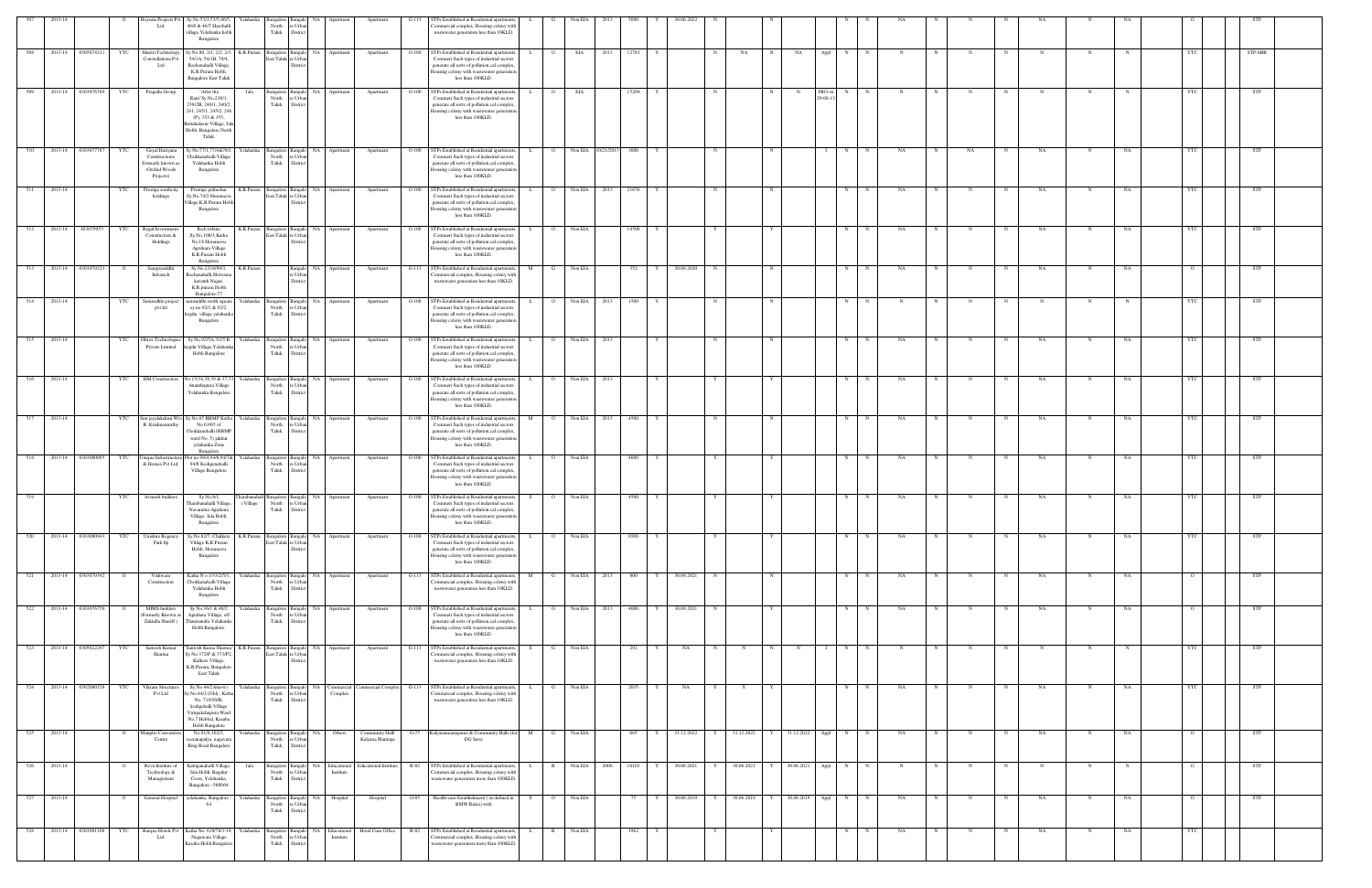|     |         |                    |                | sysala Projects Pv<br>Ltd                                                         | Sy.No.53/3,53/5,46/5,<br>46/6 & 46/7 Harohalli<br>illage Yelahanka hobli<br>Bangalore                                                                                  | Yelahanka<br>angalore<br>North<br>Taluk                 | Distri                                             |                                | Apartment                          | $G-112$                  | STPs Established at Residential apartments,<br>mmercial complex, Housing colony with<br>wastewater generation less than 10KLD.                                                                                |                     | Non EIA |                    |       |                            |            |              |                         |            |             |    |   |                  |             |             |    |            |            |  |
|-----|---------|--------------------|----------------|-----------------------------------------------------------------------------------|------------------------------------------------------------------------------------------------------------------------------------------------------------------------|---------------------------------------------------------|----------------------------------------------------|--------------------------------|------------------------------------|--------------------------|---------------------------------------------------------------------------------------------------------------------------------------------------------------------------------------------------------------|---------------------|---------|--------------------|-------|----------------------------|------------|--------------|-------------------------|------------|-------------|----|---|------------------|-------------|-------------|----|------------|------------|--|
| 508 |         | 2013-14 0305074321 | YTC            | Mantri Technology<br>Constellations Pvt<br>Ltd                                    | Sy.No.80, 2/1, 2/2, 2/3, K.R.Puram<br>54/1A, 54/1B, 79/4,<br>Rachenahalli Village,<br>K.R.Puram Hobli,<br><b>Bangalore East Taluk</b>                                  |                                                         | Bangalore Bangalo<br>ast Taluk re Urba<br>Distri   | NA Apartment                   | Apartment                          |                          | O-100 STPs Established at Residential apartment<br>Commeri Such types of industrial sector<br>generate all sorts of pollution.cal complex<br>lousing colony with wastewater generation<br>less than 100KLD.   |                     | EIA     | 2013               | 12783 |                            | NA         |              | NA<br>Appl              | N          |             |    |   |                  |             |             |    |            | STP-SBR    |  |
| 509 |         | 2013-14 0303076789 | YTC            | Pragathi Group                                                                    | "After the<br>Rain"Sy.No.230/1,<br>239/2B, 240/1, 240/2,<br>241, 245/1, 245/2, 246<br>(P), 353 & 355,<br>settahalasur Village, Jal<br>Hobli, Bangalore North<br>Taluk. | Jala<br>North<br>Taluk                                  | Bangalore Bangalo<br>re Urba<br>Distric            | NA Apartment                   | Apartment                          | $O-100$                  | STPs Established at Residential apartment<br>Commeri Such types of industrial sectors<br>generate all sorts of pollution.cal complex<br>lousing colony with wastewater generation<br>less than 100KLD.        | $\circ$             | EIA     |                    | 15204 |                            |            | N            | FBO on<br>N<br>29-06-13 | N          |             |    |   |                  |             | N           |    |            | <b>STP</b> |  |
| 510 |         | 2013-14 0303077787 | YTC            | Goyal Hariyana<br>Constructions<br>ormerly known as<br>(Orchid Woods<br>Projects) | Sy.No.77/1,77/4&78/1<br>Chokkanahalli Village<br>Yelahanka Hobli<br>Bangalore                                                                                          | Yelahanka<br>North<br>Taluk                             | Bangalore Bangalo<br>Distric                       | NA Apartment                   | Apartment                          | $O-100$                  | STPs Established at Residential apartments.<br>Commeri Such types of industrial sector<br>generate all sorts of pollution.cal complex<br>Housing colony with wastewater generation<br>less than 100KLD.       | $\overline{O}$<br>L |         | Non EIA 10/21/2013 | 3000  | N                          |            |              |                         | N          |             | NA |   | NA               | NA          | N           | NA |            | STP        |  |
| 511 | 2013-14 |                    | YTC            | Prestige southcity<br>holdings                                                    | Prestige gulmohar<br>Sy.No.74/2 Horamavi<br>illage K.R.Puram Hobl<br>Bangalore                                                                                         | K.R.Puram                                               | Bangalore Bangal<br>East Taluk re Urba<br>Distric  | NA Apartment                   | Apartment                          |                          | O-100 STPs Established at Residential apartment<br>Commeri Such types of industrial sectors<br>generate all sorts of pollution.cal complex<br>lousing colony with wastewater generation<br>less than 100KLD.  | $\Omega$            | Non EIA | 2013               | 21676 |                            |            |              |                         | N          | N           | NA |   |                  | NA          | N           | NA |            | <b>STP</b> |  |
| 512 | 2013-14 | 303079955          | YTC            | Regal Investme<br>Construction &<br>Holdings                                      | Rich tribute<br>Sy.No.108/3, Katha<br>No.18 Horamavu<br>Agrahara Village<br>K.R.Puram Hobli<br>Bangalore                                                               | K.R.Puram                                               | Bangalore Bangalo<br>East Taluk re Urba<br>Distric | NA Apartment                   | Apartment                          | $O-100$                  | STPs Established at Residential apartment<br>Commeri Such types of industrial sectors<br>generate all sorts of pollution.cal complex<br>lousing colony with wastewater generation<br>less than 100KLD.        |                     | Non EIA |                    | 14500 |                            |            |              |                         | N          |             | NA |   |                  | NA          | N           | NA | YTC        | STP        |  |
| 513 | 2013-14 | 0303079223         |                | Samprasiddhi<br>Infratech                                                         | Sy.No.2318/99/3,<br>Rachenahalli, Shivrama<br>karanth Nagar,<br>K.R.puram Hobli<br>Bangalore-77                                                                        | K.R.Puram                                               | sangak<br>Distric                                  | NA 1<br>Apartment              | Apartment                          | $G-113$                  | STPs Established at Residential apartment<br>ommercial complex, Housing colony with<br>wastewater generation less than 10KLD.                                                                                 |                     | Non EIA |                    | 352   | 30.09.2020<br>N            |            |              |                         | N          |             | NA |   |                  | <b>NA</b>   | N           | NA |            | STP        |  |
| 514 | 2013-14 |                    | YTC            | Samrudhhi project<br>pvt ltd                                                      | amruddhi north square<br>sy.no.92/1 & 92/2,<br>kogilu village yelahank<br>Bangalore                                                                                    | Yelahanka<br>North<br>Taluk                             | angalore Bangalo<br>'e Urb<br>District             | NA Apartment                   | Apartment                          | $O-100$                  | STPs Established at Residential apartments.<br>Commeri Such types of industrial sector<br>generate all sorts of pollution.cal complex<br>lousing colony with wastewater generation<br>less than 100KLD.       | $\overline{O}$      | Non EIA | 2013               | 1500  |                            |            | $\mathbf N$  |                         | N          |             | N  |   |                  | N           | N           |    | <b>YTC</b> | STP        |  |
| 515 | 2013-14 |                    | YTC            | <b>Filtrex Technologies</b><br>Private Limited                                    | Sy.No.92/5A, 92/5 B<br>kogilu Village, Yelahank<br>Hobli Bangalore                                                                                                     | Yelahanka<br>North<br>Taluk                             | Bangalore Bangalo<br>re Urba<br>District           | NA Apartment                   | Apartment                          | $O-100$                  | STPs Established at Residential apartment<br>Commeri Such types of industrial sectors<br>generate all sorts of pollution.cal complex<br>lousing colony with wastewater generation<br>less than 100KLD.        | $\circ$             | Non EIA | 2013               |       |                            |            | $_{\rm N}$   |                         | N          |             | NA |   |                  | NA          | N           | NA | YTC        | <b>STP</b> |  |
| 516 | 2013-14 |                    | YTC            | HM Construction                                                                   | No.15/34,38,39 & 37,33<br>Ananthapura Village<br>Yelahanka Bangalore                                                                                                   | Yelahanka<br>North<br>Taluk                             | Bangalore Bangalo<br>e Urb.<br>District            | NA Apartment                   | Apartment                          | $O-100$                  | STPs Established at Residential apartments,<br>Commeri Such types of industrial sectors<br>generate all sorts of pollution.cal complex<br>lousing colony with wastewater generation<br>less than 100KLD.      | L.<br>$\circ$       | Non EIA | 2013               |       |                            |            |              |                         | N          |             | NA |   |                  | NA          | N           | NA |            | STP        |  |
| 517 | 2013-14 |                    | YTC            | R. Krishnamurthy                                                                  | Smt jayalakshmi W/o Sy.No.65 BBMP Katha Yelahanka<br>No 63/65 of<br>Chokkanahalli (BBMP<br>ward No.5) jakkur<br>yelahanka Zone<br>Bangalore                            | North<br>Taluk                                          | Bangalore Bangalo<br>e Urb<br>District             | NA Apartment                   | Apartment                          |                          | O-100 STPs Established at Residential apartments,<br>Commeri Such types of industrial sector<br>generate all sorts of pollution.cal complex<br>Housing colony with wastewater generation<br>less than 100KLD. | M<br>$\circ$        |         | Non EIA 2013       | 4500  | N                          |            | N            |                         | N          | N           | NA |   | N                | NA          | N           | NA | YTC        | STP        |  |
| 518 | 2013-14 | 0303080095         | YTC            | Unique Infrastructu<br>& Homes Pvt Ltd,                                           | lot no 94/4,94/6,94/7&<br>94/8 Kodigenahalli<br>Village Bangalore                                                                                                      | Yelahanka<br>North<br>Taluk                             | Bangalore Banga<br>re Urba<br>Distric              | NA Apartment                   | Apartment                          | $O-100$                  | STPs Established at Residential apartment<br>Commeri Such types of industrial sectors<br>generate all sorts of pollution.cal complex<br>lousing colony with wastewater generation<br>less than 100KLD.        |                     | Non EIA |                    | 4000  |                            |            |              |                         | N          |             | NA |   |                  | NA          | N           | NA |            | STP        |  |
| 519 |         |                    | YTC            | Avinash builders                                                                  | Sy.No.8/1,<br>Fharabanahalli Village,<br>Navaratna Agrahara<br>'illage, Jala Hobli,<br>Bangalore                                                                       | arabanaha<br>Bangalore 1<br>i Village<br>North<br>Taluk | e Urb.<br>District                                 | NA<br>Apartment                | Apartment                          | $O-100$                  | STPs Established at Residential apartment<br>Commeri Such types of industrial sectors<br>generate all sorts of pollution.cal complex<br>blony with wastewater generati<br>less than 100KLD.                   |                     | Non EIA |                    | 4500  |                            |            |              |                         | N          |             | NA |   |                  | NA          | N           | NA | YTC        | STP        |  |
| 520 |         | 2013-14 0303080943 | YTC            | Unishire Regency<br>Park llp                                                      | Sy.No.82/7, Chalkere<br>Village K.R.Puram<br>Hobli, Horamavu<br>Bangalore                                                                                              | K.R.Puram                                               | ast Taluk re Urba<br>Distric                       | ingalore Bangalo NA Apartment  | Apartment                          | $O-100$                  | STPs Established at Residential apartment<br>Commeri Such types of industrial sector<br>generate all sorts of pollution.cal complex<br>lousing colony with wastewater generation<br>less than 100KLD.         | L<br>$\circ$        | Non EIA |                    | 6500  |                            |            |              |                         | N          | N           | NA |   | $\mathbf N$      | NA          | N           | NA | <b>YTC</b> | STP        |  |
| 521 | 2013-14 | 0303079392         |                | Vishwam<br>Construction                                                           | Katha N o.1/33/2/5/1,<br>Chokkanahalli Village<br>Yelahanka Hobli<br>Bangalore                                                                                         | Yelahank<br>North<br>Taluk                              | angalore Banga<br>re Urba<br>District              | NA Apartment                   | Apartment                          | $G-113$                  | STPs Established at Residential apartment<br>ommercial complex, Housing colony with<br>wastewater generation less than 10KLD.                                                                                 |                     | Non EIA | 2013               | 800   | 30.09.2021                 |            | N            |                         | $_{\rm N}$ |             | NA |   |                  | NA          |             | NA |            | STP        |  |
| 522 |         | 2013-14 0303076756 | $\overline{O}$ | MIMS builders<br>ormerly Known as<br>Zakiulla Shariff)                            | Sy.No.36/1 & 48/2<br>Agrahara Village, off<br>Thanisandra Yelahanka<br>Hobli Bangalore.                                                                                | Yelahanka<br>North<br>Taluk                             | angalore Bangalo<br>re Urba<br>District            | NA Apartment                   | Apartment                          | $O-100$                  | STPs Established at Residential apartment<br>Commeri Such types of industrial sectors<br>generate all sorts of pollution.cal complex<br>Iousing colony with wastewater generation<br>less than 100KLD.        |                     | Non EIA | 2013               | 4000  | 30.09.2021<br>Y<br>N       |            |              |                         | N          | N           | NA |   |                  | NA          | N           | NA |            | STP        |  |
| 523 |         | 2013-14 0305022297 | YTC            | Santosh Kumar<br>Sharma                                                           | Santosh Kuma Sharma" K.R.Puram<br>Sy No.372/P & 373/P2<br>Kalkere Village,<br>K.R.Puram, Bangalore<br>East Taluk                                                       |                                                         | last Taluk re Urba<br>Distric                      | Bangalore Bangalo NA Apartment | Apartment                          | $G-113$                  | STPs Established at Residential apartments,<br>ommercial complex, Housing colony with<br>wastewater generation less than 10KLD.                                                                               | S.<br>G             | Non EIA |                    | 292   | NA<br>N<br>Y               | N          | N            | N<br>$\mathbf{I}$       | N          | N           | N  | N | N<br>$\mathbf N$ | $\mathbf N$ | $\mathbf N$ |    | <b>YTC</b> | <b>STP</b> |  |
| 524 |         | 2013-14 0302080328 | YTC            | Vikram Structure<br>Pvt Ltd                                                       | Sy.No.44/2A(new)<br>y.No.44/2 (Old), Katl<br>No. 71/650/B,<br>kodigehalli Village<br>Virupakshapura Ward<br>No.7 Hebbal, Kasaba<br>Hobli Bangalore                     | Yelahanka<br>North<br>Taluk                             | ingalore Bangalo<br>re Urbar<br>District           | NA Commercial<br>Complex       |                                    | Commercial Complex G-113 | STPs Established at Residential apartment<br>Commercial complex, Housing colony with<br>wastewater generation less than 10KLD.                                                                                |                     | Non EIA |                    | 2035  | NA                         |            |              |                         | N          |             | NA |   |                  | NA          | N           | NA |            | <b>STP</b> |  |
| 525 | 2013-14 |                    | $\circ$        | Aanpho Conventi<br>Centre                                                         | No.91/4,102/3,<br>veeranapalya, nagavara<br>Ring Road Bangalore                                                                                                        | Yelahanka<br>angalore<br>North<br>Taluk                 | re Urba<br>District                                | Others<br>NA.                  | Community Hall/<br>Kalyana Mantapa | $G-75$                   | Kalyanamantapams & Community Halls (for<br>DG Sets)                                                                                                                                                           | M                   | Non EIA |                    | 665   | 31.12.2022<br>Y            | 31.12.2022 |              | 31.12.2022<br>Appl      | N          |             | NA |   |                  | NA          |             | NA |            | STP        |  |
| 526 | 2013-14 |                    |                | Reva Institute of<br>Technology &<br>Management                                   | Kattiganahalli Village,<br>Jala Hobli, Bagalur<br>Cross, Yelahanka,<br>Bangalore -560064                                                                               | Jala<br>North<br>Taluk                                  | Bangalore Bangalo<br>'e Urba<br>Distric            | NA Educational<br>Institute    | <b>Educational Institute</b>       | R-82                     | STPs Established at Residential apartments,<br>mmercial complex, Housing colony with<br>wastewater generation more than 100KLD.                                                                               | L.                  | Non EIA | 2006               | 10103 | 30.06.2021<br>Y            | 30.06.2021 |              | 30.06.2021<br>Appl      | N          |             |    |   |                  |             |             |    |            | STP        |  |
| 527 | 2013-14 |                    | $\overline{O}$ | General Hospital                                                                  | yelahanka, Bangalore -<br>64                                                                                                                                           | Yelahanka<br>North<br>Taluk                             | angalore Bangal<br>e Urb.<br>Distric               | NA Hospital                    | Hospital                           | $O-85$                   | Health-care Establishment (as defined in<br><b>BMW Rules)</b> with                                                                                                                                            | $\circ$<br>S.       | Non EIA |                    |       | 30.06.2019<br>$\mathbf{Y}$ | 30.06.2019 | $\mathbf{Y}$ | 30.06.2019<br>Appl      | N          | $\mathbf N$ | NA |   |                  | NA          | N           | NA |            | STP        |  |
| 528 |         | 2013-14 0303081108 | YTC            | <b>Barque Hotels Pv</b><br>Ltd                                                    | Katha No. 618/78/1-14,<br>Nagawara Village<br>Kasaba Hobli Bangalore                                                                                                   | Yelahanka<br>North<br>Taluk                             | angalore Bangal<br>re Urbar<br>District            | NA Educationa<br>Institute     | Hotel Cum Office                   | R-82                     | STPs Established at Residential apartments<br>ommercial complex, Housing colony with<br>wastewater generation more than 100KLD.                                                                               | $\mathbb{R}$        | Non EIA |                    | 1962  |                            |            |              |                         | N          |             | NA |   |                  | NA          |             | NA | YTC.       |            |  |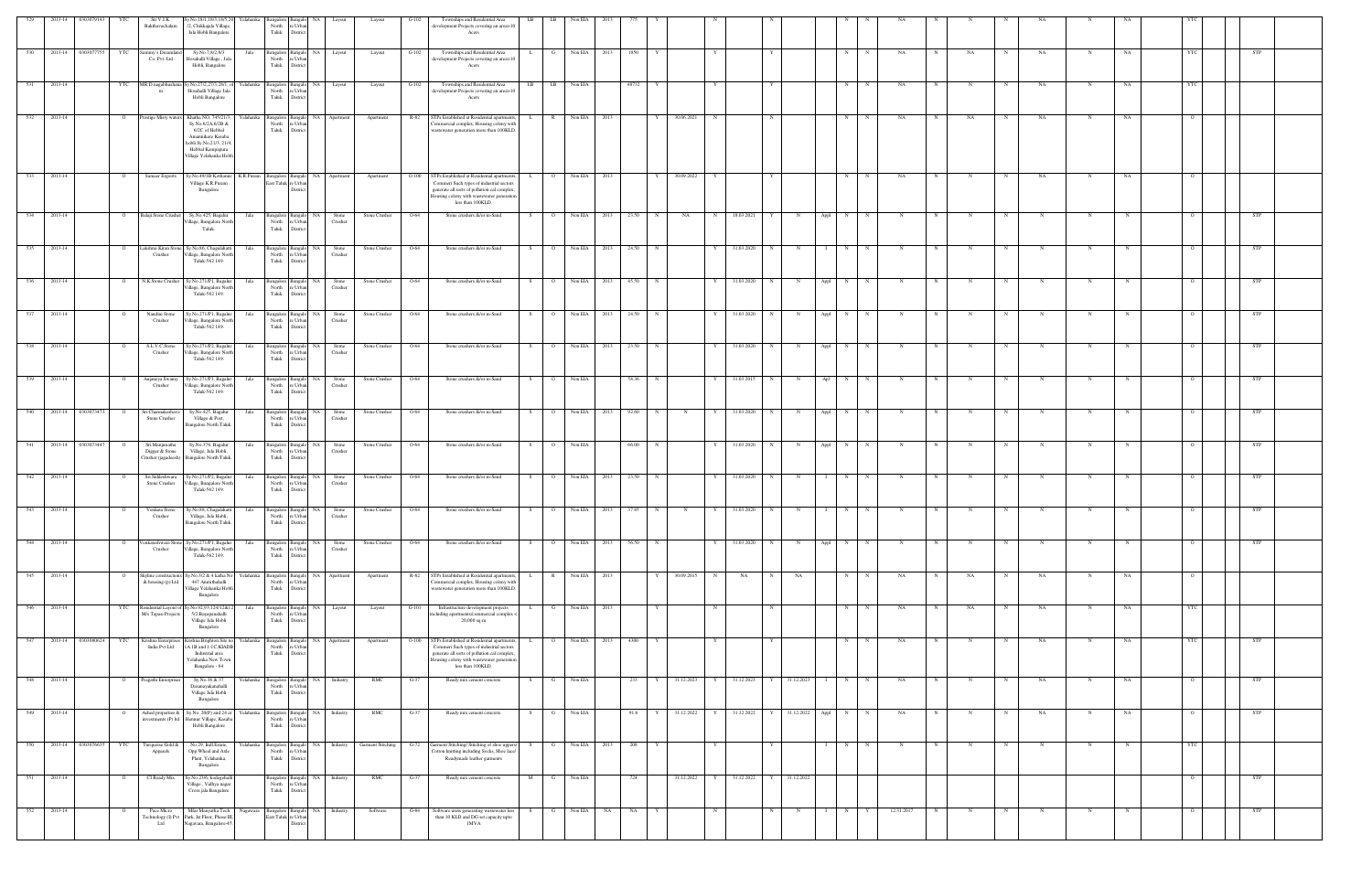| 529 |         | 2013-14 0303079143<br>YTC     | Sri V.J.K.<br>Bakthavachalam                            | Sy.No.18/1,18/3,18/5,20 Yelahanka<br>2, Chikkajala Village,<br>Jala Hobli Bangalore                                                                        |           | 3angalore<br>North<br>${\rm Tauk}$ | ∘ Urb:<br>Distric                                   |                                       | Layout                        | $G-102$ | Townships and Residential Area<br>development Projects covering an area>10<br>Acers                                                                                                                     | LB<br>LB              | Non EIA        |      |                     |             |   |              |                  |                     |          |             |              |   |              |             |             |             |            |                |            |  |
|-----|---------|-------------------------------|---------------------------------------------------------|------------------------------------------------------------------------------------------------------------------------------------------------------------|-----------|------------------------------------|-----------------------------------------------------|---------------------------------------|-------------------------------|---------|---------------------------------------------------------------------------------------------------------------------------------------------------------------------------------------------------------|-----------------------|----------------|------|---------------------|-------------|---|--------------|------------------|---------------------|----------|-------------|--------------|---|--------------|-------------|-------------|-------------|------------|----------------|------------|--|
| 530 |         | 2013-14 0303077755<br>YTC     | ammy's Dreamlan                                         | Sy.No.7,8/2,8/3                                                                                                                                            | Jala      |                                    | Bangalore Banga                                     | NA Layout                             | Layout                        | $G-102$ | Townships and Residential Area                                                                                                                                                                          |                       | Non EIA        | 2013 | 1850                |             |   |              |                  |                     | N        |             | NA           |   | NA           |             | NA          | N           | NA         |                | STP        |  |
| 531 | 2013-14 | YTC                           | Co, Pvt. Ltd<br>MR.D.nagabhushana                       | Hosahalli Village, Jak<br>Hobli, Bangalore<br>y.No.27/2,27/3,28/1, of                                                                                      | Yelahanka | North<br>Taluk                     | e Urba<br>District<br>Bangalore Bangalo             | NA Layout                             | Layout                        | $G-102$ | development Projects covering an area>10<br>Acers<br>Townships and Residential Area                                                                                                                     | LB<br>LB              | Non EIA        |      | 48732               |             |   |              |                  |                     | N        |             | NA           |   |              |             | NA          |             | NA         |                |            |  |
|     |         |                               | m                                                       | Hosahalli Village Jala<br>Hobli Bangalore                                                                                                                  |           | North<br>Taluk                     | re Urba<br>District                                 |                                       |                               |         | development Projects covering an area>10<br>Acers                                                                                                                                                       |                       |                |      |                     |             |   |              |                  |                     |          |             |              |   |              |             |             |             |            |                |            |  |
| 532 | 2013-14 | $\overline{O}$                | Prestige Misty waters                                   | Khatha NO. 745/21/3,<br>Sy.No.6/2A,6/2B &<br>6/2C of Hebbal<br>Amannikere Kasaba<br>hobli Sy.No.21/3, 21/4,<br>Hebbal Kempapura<br>Village Yelahanka Hobli | Yelahanka | North<br>Taluk                     | Bangalore Bangalo<br>e Urba<br>Distric              | NA Apartment                          | Apartment                     | R-82    | STPs Established at Residential apartments,<br>Commercial complex, Housing colony with<br>wastewater generation more than 100KLD                                                                        | R<br>L.               | Non EIA 2013   |      | Y                   | 30.06.2021  | N |              |                  |                     | N        | N           | NA           |   | NA           | N           | NA.         | N           | NA         |                |            |  |
| 533 | 2013-14 | $\circ$                       | Sameer Exports                                          | Sy.No.49/1B Kothanur<br>Village K.R.Puram<br>Bangalore                                                                                                     | K.R.Puram |                                    | Bangalore Bangalo<br>East Taluk re Urba<br>District | NA Apartment                          | Apartment                     | $O-100$ | STPs Established at Residential apartments<br>Commeri Such types of industrial sectors<br>generate all sorts of pollution.cal complex<br>Housing colony with wastewater generation<br>less than 100KLD. | $\circ$               | Non EIA        | 2013 |                     | 30.09.2022  | Y |              |                  |                     | N        |             | NA           |   |              |             | NA          |             | NA         |                |            |  |
| 534 | 2013-14 | $\Omega$                      | Balaji Stone Crusher                                    | Sy.No.425, Bagalur<br>Village, Bangalore North<br>Taluk.                                                                                                   | Jala      | Bangalore<br>North<br>Taluk        | e Urba<br>Distric                                   | <b>NA</b><br>Stone<br>Crusher         | Stone Crusher                 | O-64    | Stone crushers &/or m-Sand                                                                                                                                                                              | $\circ$<br>S.         | Non EIA        | 2013 | 23.50<br>N          | NA          | N | 18.03.2021   |                  | Appl                | N        |             |              |   |              |             |             |             |            |                | STP        |  |
| 535 | 2013-14 | $\Omega$                      | Lakshmi Kiran Stone<br>Crusher                          | Sy.No.86, Chagalahatti<br>illage, Bangalore North<br>Taluk-562 149.                                                                                        | Jala      | North<br>Taluk                     | Bangalore Bangalo<br>e Urba<br>Distric              | NA<br>Stone<br>Crusher                | Stone Crusher                 | O-64    | Stone crushers &/or m-Sand                                                                                                                                                                              | $\circ$<br>S.         | Non EIA        | 2013 | 24.50               |             | Y | 31.03.2020   | N                |                     | N        |             |              |   |              |             |             |             |            |                | STP        |  |
| 536 | 2013-14 | $\circ$                       | N.K.Stone Crusher                                       | Sy.No.271/P1, Bagalur<br>Village, Bangalore Nort<br>Taluk-562 149.                                                                                         | Jala      | North<br>Taluk                     | Bangalore Bangalo<br>re Urba<br>District            | NA<br>Stone<br>Crusher                | Stone Crusher                 | O-64    | Stone crushers &/or m-Sand                                                                                                                                                                              | $\overline{O}$<br>S.  | Non EIA        | 2013 | 45.50               |             | Y | 31.03.2020   | N<br>- N         | Appl                | N        |             | N            |   |              | N           | N           | N           |            |                | <b>STP</b> |  |
| 537 | 2013-14 | $\overline{O}$                | Nandini Stone<br>Crusher                                | Sy.No.271/P1, Bagalur<br>Village, Bangalore North<br>Taluk-562 149.                                                                                        | Jala      | North<br>Taluk                     | Bangalore Bangalo<br>re Urban<br>District           | NA  <br>Stone<br>Crusher              | Stone Crusher                 | $O-64$  | Stone crushers &/or m-Sand                                                                                                                                                                              | S<br>$\overline{O}$   | Non EIA        | 2013 | 24.50<br>$_{\rm N}$ |             | Y | 31.03.2020   | N<br>$\mathbf N$ | Appl                | N        | N           | N            | N | $\mathbf N$  | N           | $\mathbf N$ | $\mathbf N$ | $_{\rm N}$ | $\overline{O}$ | <b>STP</b> |  |
| 538 | 2013-14 | $\overline{O}$                | S.L.V.C.Stone<br>Crusher                                | Sy.No.271/P2, Bagalur<br>Village, Bangalore North<br>Taluk-562 149.                                                                                        | Jala      | North<br>Taluk                     | Bangalore Bangalo<br>e Urban<br>Distric             | NA<br>Stone<br>Crusher                | Stone Crusher                 | O-64    | Stone crushers &/or m-Sand                                                                                                                                                                              | $\overline{O}$<br>S – | Non EIA        | 2013 | 23.50<br>N          |             | Y | 31.03.2020   | N                | N<br>Appl           | N        | N           | N            | N | N            | N           | $_{\rm N}$  | N           | - N        | $\circ$        | <b>STP</b> |  |
| 539 | 2013-14 | $\overline{O}$                | Anjaneya Swamy<br>Crusher                               | Sy.No.271/P1, Bagalur<br>/illage, Bangalore Nort<br>Taluk-562 149.                                                                                         | Jala      | North<br>Taluk                     | Bangalore Bangalo<br>e Urba<br>District             | NA Stone<br>Crusher                   | Stone Crusher                 | $O-64$  | Stone crushers &/or m-Sand                                                                                                                                                                              | S                     | O Non EIA      |      | 58.36<br>N          |             | Y | 31.03.2015 N | $\mathbf N$      |                     | Apl<br>N | N           | N            | N | N            | N           | $_{\rm N}$  | N           |            | $\Omega$       | <b>STP</b> |  |
| 540 |         | 2013-14 0303073473<br>$\circ$ | Sri.Channakeshava<br>Stone Crusher                      | Sy.No.425, Bagalur<br>Village & Post,<br>Bangalore North Taluk.                                                                                            | Jala      | Bangalore<br>North<br>Taluk        | Bangal<br>re Urban<br>District                      | NA<br>Stone<br>Crusher                | Stone Crusher                 | O-64    | Stone crushers &/or m-Sand                                                                                                                                                                              | $\circ$<br>S.         | Non EIA        | 2013 | 92.60<br>$_{\rm N}$ | N           | Y | 31.03.2020   | N<br>N           | Appl                | N        |             |              |   |              |             |             |             |            |                | STP        |  |
| 541 | 2013-14 | 0303073447<br>$\overline{O}$  | Sri.Manjunatha<br>Digger & Stone<br>Crusher (jagadeesh) | Sy.No.376, Bagalur<br>Village, Jala Hobli,<br>Bangalore North Taluk.                                                                                       | Jala      | Bangalore<br>North<br>Taluk        | Bangal<br>e Urba<br>Distric                         | NA<br>Stone<br>Crusher                | Stone Crusher                 | O-64    | Stone crushers &/or m-Sand                                                                                                                                                                              | $\circ$<br>S.         | Non EIA        |      | 66.00<br>N          |             | Y | 31.03.2020   | N<br>- N         | Appl                | N        |             | N            |   |              | N           | N           |             |            |                | <b>STP</b> |  |
| 542 | 2013-14 | - 0                           | Sri.Siddeshwara<br>Stone Crusher                        | Sy.No.271/P2, Bagalur<br>illage, Bangalore Nort<br>Taluk-562 149.                                                                                          | Jala      | North<br>Taluk                     | Bangalore Bangalo<br>e Urba<br>Distric              | NA<br>Stone<br>Crusher                | Stone Crusher                 | O-64    | Stone crushers &/or m-Sand                                                                                                                                                                              | $\overline{O}$<br>S.  | Non EIA        | 2013 | 23.50               |             | Y | 31.03.2020   | $_{\rm N}$       | $\mathbf N$         | N        | $\mathbf N$ | $\mathbb{N}$ |   | $\mathbb{N}$ | - N         | N           | N           |            |                | <b>STP</b> |  |
| 543 | 2013-14 | $\overline{O}$                | Venkata Stone<br>Crusher                                | Sy.No.88, Chagalahatti<br>Village, Jala Hobli,<br>Bangalore North Taluk.                                                                                   | Jala      | North                              | e Urban<br>Taluk District                           | Bangalore Bangalo NA Stone<br>Crusher | Stone Crusher                 | O-64    | Stone crushers &/or m-Sand                                                                                                                                                                              | S                     | O Non EIA      | 2013 | 37.85<br>N          | $\mathbf N$ | Y | 31.03.2020   | N                |                     |          |             |              |   |              |             |             |             |            |                | <b>STP</b> |  |
| 544 | 2013-14 | $\mathbf{o}$                  | /enkateshwara Stor<br>Crusher                           | Sy.No.271/P1, Bagalur<br>Village, Bangalore North<br>Taluk-562 149.                                                                                        | Jala      | <b>Bangalore</b><br>North<br>Taluk | Banga<br>re Urban<br>$\hbox{\rm \bf District}$      | NA  <br>Stone<br>Crusher              | Stone Crusher                 | $O-64$  | Stone crushers &/or m-Sand                                                                                                                                                                              | S<br>$\overline{O}$   | Non EIA        | 2013 | 56.50<br>$_{\rm N}$ |             | Y | 31.03.2020   | N                | Appl<br>$\mathbf N$ | N        | N           |              | N |              | $\mathbf N$ |             |             |            |                | <b>STP</b> |  |
| 545 | 2013-14 | $\overline{O}$                | kyline constructions<br>& housing (p) Ltd               | Sy.No.3/2 & 4 katha No<br>447 Amruthahalli<br>Village Yelahanka Hobli<br>Bangalore                                                                         | Yelahanka | North<br>Taluk                     | Bangalore Bangalo<br>e Urba<br>District             | NA 1<br>Apartment                     | Apartment                     | R-82    | STPs Established at Residential apartments<br>Commercial complex, Housing colony with<br>wastewater generation more than 100KLD                                                                         | $\mathbb{R}$<br>L.    | Non EIA        | 2013 | Y                   | 30.09.2015  | N | NA           | N                | NA                  | N        | $\mathbf N$ | NA           | N | NA           | $_{\rm N}$  | NA          | N           | NA         | $\circ$        |            |  |
| 546 | 2013-14 | YTC                           | M/s Tapasi Projects                                     | Residential Layout of Sy.No.92,93,124/12&12<br>5/2 Bayapanahalli<br>Village Jala Hobli<br>Bangalore                                                        | Jala      | North<br>${\rm Tauk}$              | Bangalore Bangalo<br>e Urb.<br>District             | NA Layout                             | Layout                        | $G-101$ | Infrastructure development projects<br>including apartments/commercial complex -<br>20,000 sq.m                                                                                                         |                       | G Non EIA 2013 |      |                     |             | N |              | N                |                     | N        | N           | NA           | N | NA           | N           | NA          | N           | NA         | <b>YTC</b>     |            |  |
| 547 |         | 2013-14 0303080624<br>YTC     | Krishna Enterprises<br>India Pvt Ltd                    | Crishna Brighton Site no<br>A.1B and 1-1C, KIADB<br>Industrial area<br>Yelahanka New Town<br>Bangalore - 64                                                | Yelahanka | sangalore<br>North<br>Taluk        | Banga<br>e Urba<br>District                         | NA<br>Apartment                       | Apartment                     | $O-100$ | STPs Established at Residential apartmen<br>Commeri Such types of industrial sectors<br>generate all sorts of pollution.cal complex<br>lousing colony with wastewater generation<br>less than 100KLD.   |                       | Non EIA        | 2013 | 4300                |             |   |              |                  |                     | N        |             | NA           |   |              |             | NA          | N           | NA         | <b>YTC</b>     | <b>STP</b> |  |
| 548 | 2013-14 | $\circ$                       | Pragathi Enterprise                                     | Sy.No.36 & 37<br>Dasanayakanahalli<br>Village Jala Hobli<br>Bangalore                                                                                      | Yelahanka | <b>Bangalore</b><br>North<br>Taluk | Bangal<br>e Urb.<br>District                        | NA Industry                           | RMC                           | G-37    | Ready mix cement concrete                                                                                                                                                                               | S.<br>G               | Non EIA        |      | 233                 | 31.12.2023  | Y | 31.12.2023   |                  | 31.12.2023          | N        | N           | NA           |   |              |             | NA          | N           | NA         |                | STP        |  |
| 549 | 2013-14 | $\overline{O}$                | Ashed properties &<br>nvestments (P) ltd                | Sy.No. 20(P) and 24 at<br>Iennur Village, Kasaba<br>Hobli Bangalore                                                                                        | Yelahanka | North<br>Taluk                     | Bangalore Bangalo<br>e Urba<br>Distric              | NA Industry                           | RMC                           | $G-37$  | Ready mix cement concrete                                                                                                                                                                               | G<br>S                | Non EIA        |      | 91.6                | 31.12.2022  | Y | 31.12.2022   |                  | 31.12.2022 Appl     | N        |             | NA           |   |              | N           | NA          | N           | NA         |                | <b>STP</b> |  |
| 550 |         | 2013-14 0303076635<br>YTC     | Turquoise Gold &<br>Apparels                            | No.29, Indl.Estate,<br>Opp. Wheel and Axle<br>Plant, Yelahanka,<br>Bangalore                                                                               | Yelahanka | North<br>Taluk                     | Bangalore Bangalo<br>e Urba<br>District             |                                       | NA Industry Garment Stitching | $G-72$  | Garment Stitching/ Stitching of shoe uppers<br>Cotton knitting including Socks, Shoe lace/<br>Readymade leather garments                                                                                | G<br>S.               | Non EIA        | 2013 | 208                 |             |   |              |                  |                     | N        | N           |              |   |              | $_{\rm N}$  | N           | N           |            | <b>YTC</b>     |            |  |
| 551 | 2013-14 | $\Omega$                      | CI Ready Mix                                            | y.No.23/6, kodegehalli<br>Village, Vidhya nagar<br>Cross jala Bangalore                                                                                    |           | North<br>Taluk                     | Bangalore Bangal<br>re Urbai<br>District            | NA Industry                           | RMC                           | $G-37$  | Ready mix cement concrete                                                                                                                                                                               | M<br>G                | Non EIA        |      | 724                 | 31.12.2022  | Y | 31.12.2022   | Y 31.12.2022     |                     |          |             |              |   |              |             |             |             |            | $\Omega$       | STP        |  |
| 552 | 2013-14 | $\circ$                       | Pace Micro<br>Ltd                                       | Mfar Manyatha Tech<br>Fechnology (I) Pvt Park, Ist Floor, Phase-III<br>Nagavara, Bangalore-45                                                              | Nagawara  |                                    | East Taluk re Urban<br>Distric                      | Bangalore Bangalo NA Industry         | Software                      | $G-84$  | Software units generating wastewater less<br>than 10 KLD and DG set capacity upto<br>1MVA                                                                                                               | G<br>S.               | Non EIA        | NA   | <b>NA</b><br>Y      |             | N |              | N                | N<br>$\mathbf{I}$   | N        | Y           | 12.31.2017   | N | N            | N           | $\mathbf N$ | N           | N          | $\circ$        | <b>STP</b> |  |
|     |         |                               |                                                         |                                                                                                                                                            |           |                                    |                                                     |                                       |                               |         |                                                                                                                                                                                                         |                       |                |      |                     |             |   |              |                  |                     |          |             |              |   |              |             |             |             |            |                |            |  |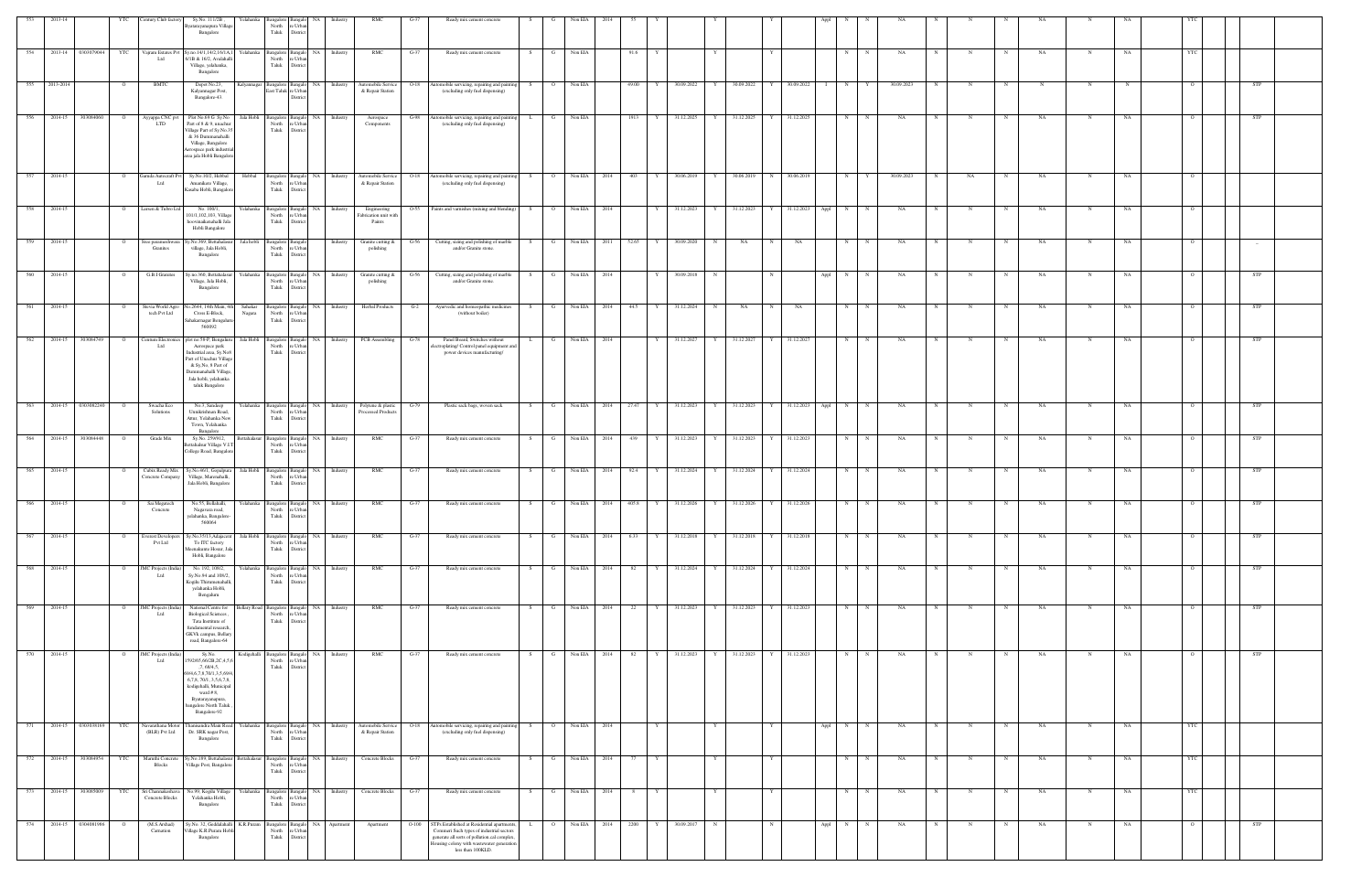| 553   | 2013-14     |                        | YTC            | entury Club factory                  | Sy.No. 111/2B,<br>Yelahanka                                                                                                                                                                                               | <b>Bangalore</b>                              | Bangak                                                    | Industry                                   | RM0                                            | $G-37$  | Ready mix cement concrete                                                                                                                                                           |     |                |                |        |            |                 |   |                           |              |                 |              |             |            |   |    |              |    |             |           |                |            |  |
|-------|-------------|------------------------|----------------|--------------------------------------|---------------------------------------------------------------------------------------------------------------------------------------------------------------------------------------------------------------------------|-----------------------------------------------|-----------------------------------------------------------|--------------------------------------------|------------------------------------------------|---------|-------------------------------------------------------------------------------------------------------------------------------------------------------------------------------------|-----|----------------|----------------|--------|------------|-----------------|---|---------------------------|--------------|-----------------|--------------|-------------|------------|---|----|--------------|----|-------------|-----------|----------------|------------|--|
|       |             |                        |                |                                      | syatarayanapura Village<br>Bangalore                                                                                                                                                                                      | North<br>Taluk                                | e Urba<br>District                                        |                                            |                                                |         |                                                                                                                                                                                     |     |                |                |        |            |                 |   |                           |              |                 |              |             |            |   |    |              |    |             |           |                |            |  |
|       |             | 554 2013-14 0303079044 |                | Ltd                                  | YTC Vajram Estates Pvt Sy.no.14/1,14/2,16/1A,<br>6/1B & 16/2, Avalahal<br>Village, yelahanka,<br>Bangalore                                                                                                                | North<br>Taluk                                | Yelahanka Bangalore Bangalo NA<br>e Urba<br>District      | Industry                                   | RMC                                            | $G-37$  | Ready mix cement concrete                                                                                                                                                           |     | G              | Non EIA        |        | 91.6       |                 |   |                           |              |                 | N            | $_{\rm N}$  | NA         |   |    | N            | NA | $\mathbf N$ | NA        | YTC            |            |  |
| 555   | 2013-2014   |                        |                | <b>BMTC</b>                          | Depot No.23,<br><b>Kalyannagar</b><br>Kalyannagar Post,<br>Bangalore-43.                                                                                                                                                  |                                               | NA<br>Bangalore Bangale<br>East Taluk re Urbar<br>Distric | Industry                                   | Automobile Service<br>& Repair Station         | $O-18$  | Automobile servicing, repairing and paintin<br>(excluding only fuel dispensing)                                                                                                     |     | $\overline{O}$ | Non EIA        |        | 49.00      | 30.09.2022      |   | 30.09.2022                |              | 30.09.2022      | N            |             | 30.09.2023 |   |    |              |    |             |           |                |            |  |
| 556   | 2014-15     | 303084060              | $\mathbf{O}$   | Ayyappa CNC pvt<br><b>LTD</b>        | Plot No.69 G Sy.No<br>Jala Hobli<br>Part of 8 & 9, unachur                                                                                                                                                                | North                                         | Bangalore Bangalo NA<br>re Urba                           | Industry                                   | Aerospace<br>Components                        | G-98    | Automobile servicing, repairing and painting<br>(excluding only fuel dispensing)                                                                                                    | L   | $\mathbf{G}$   | Non EIA        |        | 1913       | Y 31.12.2025    | Y | 31.12.2025 Y 31.12.2025   |              |                 | N            | $\mathbb N$ | NA         | N | N  | N            | NA | $\mathbf N$ | NA        | $\overline{O}$ | STP        |  |
|       |             |                        |                |                                      | 'illage Part of Sy.No.3<br>& 36 Dummanahalli<br>Village, Bangalore<br>erospace park industri<br>area jala Hobli Bangalo                                                                                                   | Taluk                                         | District                                                  |                                            |                                                |         |                                                                                                                                                                                     |     |                |                |        |            |                 |   |                           |              |                 |              |             |            |   |    |              |    |             |           |                |            |  |
| 557   | 2014-15     |                        | $\overline{O}$ | Garuda Autocraft Pvt<br>Ltd          | Sy.No.10/2, Hebbal<br>Hebbal<br>Amanikere Village,<br>Kasaba Hobli, Bangalor                                                                                                                                              | North<br>Taluk                                | e Urbar<br>District                                       | Bangalore Bangalo NA Industry              | Automobile Service<br>& Repair Station         | $O-18$  | Automobile servicing, repairing and painting<br>(excluding only fuel dispensing)                                                                                                    | S   | $\overline{O}$ | Non EIA 2014   |        | 403<br>Y   | 30.06.2019      | Y | 30.06.2019                |              | N 30.06.2019    | N            | Y           | 30.09.2023 | N | NA | $\mathbf N$  | NA | N           | NA        | $\Omega$       |            |  |
| 558   | 2014-15     |                        |                | Larsen & Tubro Ltd                   | No. 100/1,<br>Yelahanka<br>101/1,102,103, Village<br>hoovinaikenahalli Jala<br>Hobli Bangalore                                                                                                                            | North<br>Taluk                                | NA<br>Bangalore Bangalo<br>re Urbar<br>District           | Industry                                   | Engineering<br>Fabrication unit with<br>Paints | 0-55    | Paints and varnishes (mixing and blending)                                                                                                                                          | S.  | $\overline{O}$ | Non EIA 2014   |        |            | 31.12.2023      | Y | 31.12.2023                |              | 31.12.2023      | Appl<br>N    | $_{\rm N}$  | NA         |   |    | $\mathbb{N}$ | NA | N           | NA        | $\circ$        |            |  |
| 559   | 2014-15     |                        | $\Omega$       | Sree parameshwara<br>Granites        | Jala hobli<br>y.No.369, Bettahalas<br>village, Jala Hobli,<br>Bangalore                                                                                                                                                   | North<br>Taluk                                | Bangalore Bangalo<br>re Urbar<br>District                 | Industry                                   | Granite cutting &<br>polishing                 | G-56    | Cutting, sizing and polishing of marble<br>and/or Granite stone.                                                                                                                    | S.  | $\mathbf{G}$   | Non EIA        | 2011   | 52.65<br>Y | 30.09.2020      | N | NA                        | N            | NA              | N            |             | NA         | N | N  | $\mathbf N$  | NA | N           | NA        | $\overline{O}$ |            |  |
| 560   | 2014-15     |                        |                | G.B.I Granites                       | y.no.360, Bettahalasur<br>Village, Jala Hobli,<br>Bangalore                                                                                                                                                               | Yelahanka Bangalore Bangalo<br>North<br>Taluk | <b>NA</b><br>e Urba<br>Distric                            | Industry                                   | Granite cutting &<br>polishing                 | G-56    | Cutting, sizing and polishing of marble<br>and/or Granite stone.                                                                                                                    | S.  | $\mathbf G$    | Non EIA        | 2014   |            | 30.09.2018      | N |                           | $\mathbf N$  |                 | Appl<br>N    | N           | NA         |   | N  | N            | NA | N           | NA        | $\circ$        | <b>STP</b> |  |
| 561   | 2014-15     |                        |                | Stevia World Agro<br>tech Pvt Ltd    | 0.2644, 14th Main, 4<br>Sahakar<br>Cross E-Block,<br>Nagara<br>Sahakarnagar Bengalur<br>560092                                                                                                                            | North<br>Taluk                                | Bangalore Bangalo<br>e Urbar<br>District                  | NA I<br>Industry                           | <b>Herbal Products</b>                         | $G-2$   | Ayurvedic and homeopathic medicines<br>(without boiler)                                                                                                                             | - 8 | $\mathbf{G}$   | Non EIA 2014   |        | 44.5<br>Y  | 31.12.2024      | N | NA                        |              | NA              | N            |             | NA         |   |    | N            | NA | N           | NA        |                | <b>STP</b> |  |
| 562   | 2014-15     | 303084749              |                | Centum Electronics                   | Jala Hobli<br>plot no.58-P, Bengalur                                                                                                                                                                                      |                                               | Bangalore Bangalo                                         | NA 1<br>Industry                           | PCB Assembling                                 | $G-78$  | Panel Board, Switches without                                                                                                                                                       |     | $\mathbf{G}$   | Non EIA 2014   |        | Y          | 31.12.2027      | Y | 31.12.2027                | $\mathbf{Y}$ | 31.12.2027      | N            | $\mathbf N$ | NA         |   |    | N            | NA |             | NA        |                | STP        |  |
|       |             |                        |                | Ltd                                  | Aerospace park<br>Industrial area, Sy.No&<br>Part of Unachur Village<br>& Sy, No, 8 Part of<br>Dummanahalli Village<br>Jala hobli, yelahanka<br>taluk Bangalore                                                           | North<br>Taluk                                | re Urbar<br>District                                      |                                            |                                                |         | lectroplating/ Control panel equipment and<br>power devices manufacturing/                                                                                                          |     |                |                |        |            |                 |   |                           |              |                 |              |             |            |   |    |              |    |             |           |                |            |  |
| 563   |             | 2014-15 0303082240     |                | Swacha Eco<br>Solutions              | No.3, Sandeep<br>Yelahanka<br>Unnikrishnan Road,<br>Attur, Yelahanka New<br>Town, Yelahanka                                                                                                                               | North<br>Taluk                                | e Urba<br>District                                        | Bangalore Bangalo NA Industry              | Polytene & plastic<br>Processed Products       | G-79    | Plastic sack bags, woven sack                                                                                                                                                       | S.  | $\mathbf{G}$   | Non EIA 2014   |        | 27.47<br>Y | 31.12.2023      | Y | 31.12.2023 Y              |              | 31.12.2023 Appl | N            | $\mathbb N$ | NA         |   |    | $\mathbf N$  | NA |             | NA        |                | <b>STP</b> |  |
| - 564 | 2014-15     | 303084448              |                | Grade Mix                            | Bangalore<br>Sy.No. 259/912,<br><b>Settahalasur</b><br>ettahalsur Village V.I<br>College Road, Bangalor                                                                                                                   | North<br>Taluk                                | NA<br>Bangalore Bangal<br>re Urbar<br>District            | Industry                                   | RMC                                            | G-37    | Ready mix cement concrete                                                                                                                                                           | - S | G              | Non EIA        | 2014   | 439<br>Y   | 31.12.2023      |   | 31.12.2023                |              | 31.12.2023      | N            | N           | NA         |   |    | N            | NA | N           | NA        |                | <b>STP</b> |  |
| - 565 | 2014-15     |                        |                | Cubix Ready Mix<br>Concrete Company  | Sy.No.46/1, Gopalpu:<br>Jala Hobli<br>Village, Marenahalli,<br>Jala Hobli, Bangalore                                                                                                                                      | Bangalore<br>North<br>Taluk                   | NA<br>Bangal<br>e Urba<br>District                        | Industry                                   | <b>RMC</b>                                     | G-37    | Ready mix cement concrete                                                                                                                                                           | - S | - G            | Non EIA        | - 2014 | 92.4       | 31.12.2024      | Y | 31.12.2024                |              | 31.12.2024      | N            |             | NA         |   |    | N            | NA |             | NA        |                | STP        |  |
| 566   | 2014-15     |                        |                | Sai Megatech<br>Concrete             | No.55, Bellahalli,<br>Nagavara road,<br>anka, Banga                                                                                                                                                                       | North<br>Taluk                                | Yelahanka Bangalore Bangalo NA<br>e Urbar                 | Industry                                   | RMC                                            | $G-37$  | Ready mix cement concrete                                                                                                                                                           | S.  | G              | Non EIA 2014   |        | 405.8      | 31.12.2026      | Y | 31.12.2026                |              | 31.12.2026      | N            |             | NA         |   |    |              | NA |             | NA        |                | <b>STP</b> |  |
| 567   | 2014-15     |                        | $\circ$        | Everest Developer<br>Pvt Ltd         | 560064<br>Sy.No.35/13, Adajacen<br>Jala Hobli<br>To ITC factory                                                                                                                                                           | North                                         | Bangalore Bangalo<br>e Urbar                              | NA Industry                                | RMC                                            | $G-37$  | Ready mix cement concrete                                                                                                                                                           | S.  | $\mathbf{G}$   | Non EIA 2014   |        | 6.33<br>Y  | 31.12.2018      | Y | 31.12.2018                | $\mathbf{Y}$ | 31.12.2018      | N            | $_{\rm N}$  | NA         |   |    | $\mathbf N$  | NA | N           | NA        |                | <b>STP</b> |  |
| 568   | 2014-15     |                        |                | <b>JMC</b> Projects (Indi            | Meenakunte Hosur, Jal<br>Hobli, Bangalore<br>No. 192, 108/2,<br>relahanka                                                                                                                                                 | Taluk                                         | District<br>Bangalore Bangalo                             | NA 1<br>Industry                           | RMC                                            | $G-37$  | Ready mix cement concrete                                                                                                                                                           |     | $\mathbf G$    | Non EIA 2014   |        | 82<br>Y    | 31.12.2024      | Y | 31.12.2024                |              | 31.12.2024      | N            |             | NA         |   |    | $\mathbb{N}$ | NA | N           | NA        | $\circ$        | <b>STP</b> |  |
|       |             |                        |                | Ltd                                  | Sy.No.94 and 108/2,<br>Kogilu Thirumenahalli<br>yelahanka Hobli,<br>Bengaluru                                                                                                                                             | Taluk                                         | North re Urban<br>District                                |                                            |                                                |         |                                                                                                                                                                                     |     |                |                |        |            |                 |   |                           |              |                 |              |             |            |   |    |              |    |             |           |                |            |  |
| 569   | 2014-15     |                        | $\overline{O}$ | JMC Projects (India)<br>Ltd          | National Centre for<br><b>Biological Sciences</b> ,<br>Tata Institute of<br>fundamental research,<br>GKVk campus, Bellary<br>road, Bangalore-64                                                                           | North<br>Taluk                                | re Urbar<br>District                                      | Bellary Road Bangalore Bangalo NA Industry | RMC                                            | $G-37$  | Ready mix cement concrete                                                                                                                                                           | S – | $\mathbf{G}$   | Non EIA 2014   |        | 22         | 31.12.2023<br>Y | Y | 31.12.2023 Y              |              | 31.12.2023      | N            | N           | NA         | N | N  | N            | NA | $\mathbf N$ | NA        | $\circ$        | <b>STP</b> |  |
|       | 570 2014-15 |                        | $\overline{O}$ | JMC Projects (India<br>Ltd           | Kodigehalli<br>Sy.No.<br>592/65,66/2B,2C,4,5,<br>,7,68/4,5,<br>9/4,6,7,8,70/1,3,5,69/<br>6, 7, 8, 70/1, 3, 5, 6, 7, 8,<br>kodigehalli, Municipal<br>ward # 8,<br>Byatarayanapura,<br>angalore North Taluk<br>Bangalore-92 | North<br>Taluk                                | Bangalore Bangalo<br>e Urba<br>District                   | NA Industry                                | RMC                                            | $G-37$  | Ready mix cement concrete                                                                                                                                                           | S.  |                | G Non EIA 2014 |        | 82         | 31.12.2023<br>Y |   | Y 31.12.2023 Y 31.12.2023 |              |                 | N            | $\mathbb N$ | NA         | N | N  | N            | NA | $\mathbf N$ | NA        | $\Omega$       | <b>STP</b> |  |
| 571   |             | 2014-15 0303038169     | YTC            | Navarathana Motor<br>(BLR) Pvt Ltd   | Thanisandra Main Road<br>Yelahanka<br>Dr. SRK nagar Post,<br>Bangalore                                                                                                                                                    | North<br>Taluk                                | Bangalore Bangalo NA<br>re Urban<br>District              | Industry                                   | Automobile Service<br>& Repair Station         | $O-18$  | Automobile servicing, repairing and painting<br>(excluding only fuel dispensing)                                                                                                    | S.  | $\overline{O}$ | Non EIA 2014   |        |            |                 | Y |                           |              |                 | N<br>Appl    | N           | NA         | N |    | N            | NA | N           | NA        | YTC            |            |  |
| 572   |             | 2014-15 303084954      | YTC            | Maruthi Concrete<br><b>Blocks</b>    | Sy.No.189, Bettahalasur<br>ettahalasur<br>Village Post, Bangalon                                                                                                                                                          | North<br>Taluk                                | NA<br>Bangalore Bangalo<br>e Urba<br>District             | Industry                                   | Concrete Blocks                                | $G-37$  | Ready mix cement concrete                                                                                                                                                           | S.  | G              | Non EIA        | 2014   | 77         |                 |   |                           |              |                 | N            |             | NA         |   |    | $_{\rm N}$   | NA | N           | NA        | YTC            |            |  |
|       |             | 573 2014-15 303085009  | YTC            | Sri Channakeshava<br>Concrete Blocks | No.99, Kogilu Village<br>Yelahanka<br>Yelahanka Hobli,<br>Bangalore                                                                                                                                                       | North<br>Taluk                                | Bangalore Bangalo<br>re Urban<br>District                 | NA Industry                                | Concrete Blocks                                | $G-37$  | Ready mix cement concrete                                                                                                                                                           | - S | G              | Non EIA 2014   |        | 8          |                 |   |                           |              |                 | $\mathbb{N}$ | $_{\rm N}$  | NA         |   |    | N            | NA | N           | NA        | <b>YTC</b>     |            |  |
| 574   |             | 2014-15 0304081986     | $\mathbf{O}$   | (M.S.Arshad)<br>Carnation            | Sy.No. 32, Geddalahalli<br>K.R.Puram<br>/illage K.R.Puram Hobl<br>Bangalore                                                                                                                                               | Taluk                                         | North re Urban<br>District                                | Bangalore Bangalo NA Apartment             | Apartment                                      | $O-100$ | STPs Established at Residential apartments,<br>Commeri Such types of industrial sectors<br>generate all sorts of pollution.cal complex<br>Iousing colony with wastewater generation | L   | $\overline{O}$ | Non EIA 2014   |        | 2200       | Y<br>30.09.2017 | N |                           | N            |                 | Appl N N     |             | NA         | N | N  | N            | NA | N           | <b>NA</b> | $\overline{O}$ | <b>STP</b> |  |
|       |             |                        |                |                                      |                                                                                                                                                                                                                           |                                               |                                                           |                                            |                                                |         | less than 100KLD.                                                                                                                                                                   |     |                |                |        |            |                 |   |                           |              |                 |              |             |            |   |    |              |    |             |           |                |            |  |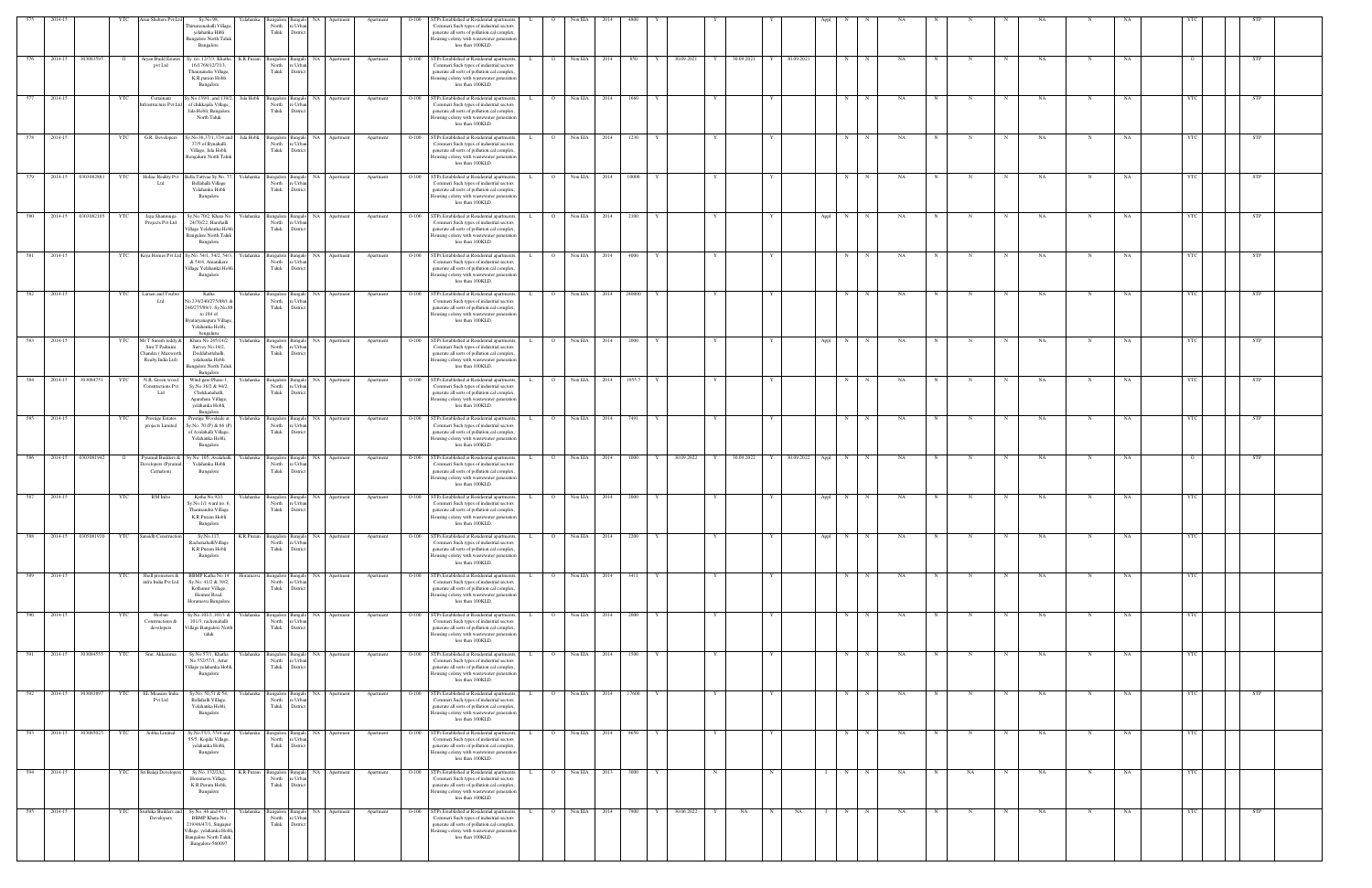| 575 | $2014 - 1$            |                       |            | un Shelters Pvt Lt                                                             | Sy.No.98,<br>nirumenahalli Village<br>yelahanka Hibli<br><b>Bangalore North Taluk</b><br>Bangalore.                                                   | elahanka   | North<br>Taluk                                                  | re Urba<br>District                                        |              | Apartmen  |         | <b>STPs Established at Residential apartments</b><br>Commeri Such types of industrial sectors<br>generate all sorts of pollution.cal complex,<br>Iousing colony with wastewater generation<br>less than 100KLD. |    |                 |              |                    |        |   |            |   |            |   |                 |           |             |    |             |              |            |           |             |           |            |            |  |
|-----|-----------------------|-----------------------|------------|--------------------------------------------------------------------------------|-------------------------------------------------------------------------------------------------------------------------------------------------------|------------|-----------------------------------------------------------------|------------------------------------------------------------|--------------|-----------|---------|-----------------------------------------------------------------------------------------------------------------------------------------------------------------------------------------------------------------|----|-----------------|--------------|--------------------|--------|---|------------|---|------------|---|-----------------|-----------|-------------|----|-------------|--------------|------------|-----------|-------------|-----------|------------|------------|--|
| 576 | 2014-15               | 303083595             |            | Aryan Build Estates<br>pvt Ltd                                                 | Sy. no. 12/7/3, Khatha<br>16/1769/12/7/13,<br>Thanisandra Village.<br>K.R.puram Hobli<br>Bangalore                                                    | K.R.Puram  | Bangalore Bangalo<br>North<br>Taluk                             | NA  <br>e Urba<br>Distrio                                  | Apartmen     | Apartment | $O-100$ | STPs Established at Residential apartment<br>Commeri Such types of industrial sectors<br>generate all sorts of pollution.cal complex<br>Iousing colony with wastewater generatio<br>less than 100KLD.           |    |                 | Non EIA      | 2014               | 850    |   | 30.09.2021 |   | 30.09.2021 |   | 30.09.2021      | N         |             | NA |             |              |            | NA        |             | NA        |            | STP        |  |
| 577 | 2014-15               |                       | YTC        | Certainant<br>frastructure Pvt L                                               | Sy.No.139/1, and 139/2,<br>of chikkajala Village,<br>Jala Hobli, Bangalore<br>North Taluk                                                             |            | Jala Hobli Bangalore Bangalo<br>North<br>Taluk                  | e Urba<br>District                                         | NA Apartment | Apartment |         | O-100 STPs Established at Residential apartment<br>Commeri Such types of industrial sectors<br>generate all sorts of pollution.cal complex,<br>lousing colony with wastewater generation<br>less than 100KLD.   |    | $\overline{O}$  | Non EIA 2014 |                    | 1660   |   |            |   |            |   |                 | N         |             | NA |             |              |            | NA        |             | NA        | - YTC      | <b>STP</b> |  |
| 578 | 2014-15               |                       | YTC        | G.R. Developers                                                                | y.No.36,37/1,37/4 and<br>37/5 of Bynahalli<br>Village, Jala Hobli,<br>Bengaluru North Taluk                                                           | Jala Hobli | Bangalore Bangak<br>North<br>Taluk                              | re Urba<br>District                                        | NA Apartment | Apartment | $O-100$ | STPs Established at Residential apartment<br>Commeri Such types of industrial sectors<br>generate all sorts of pollution.cal complex<br>lousing colony with wastewater generation<br>less than 100KLD.          |    | $\overline{O}$  | Non EIA      | 2014               | 1230   |   |            |   |            |   |                 | N         |             | NA |             |              |            | NA        |             | NA        | <b>YTC</b> | STP        |  |
| 579 | 2014-15               | 0303082881            | <b>YTC</b> | Holiac Reality Pv<br>ht I                                                      | Bella Tattvaa Sy.No.<br>Bellahalli Village<br>Yelahanka Hobli<br>Bangalore                                                                            | elahanka   | Bangalore Bangalo<br>North<br>Taluk                             | NA 1<br>re Urba<br>District                                | Apartment    | Apartment | $O-100$ | STPs Established at Residential apartment<br>Commeri Such types of industrial sectors<br>generate all sorts of pollution.cal complex<br>Iousing colony with wastewater generation<br>less than 100KLD.          |    | $\overline{O}$  | Non EIA      | 2014               | 10000  |   |            |   |            |   |                 | N         |             | NA |             |              |            | NA        |             | NA        |            | STP        |  |
| 580 |                       | 2014-15 0303082105    | YTC        | Jaya Shanmuga<br>Projects Pvt Ltd                                              | Sy.No.70/2, Khata No<br>24/70/22, Harohalli<br>Village Yelahanka Hobl<br><b>Bangalore North Taluk</b><br>Bangalore                                    | Yelahanka  | Bangalore Bangalo<br>North<br>Taluk                             | e Urba<br>District                                         | NA Apartment | Apartment |         | O-100 STPs Established at Residential apartments<br>Commeri Such types of industrial sectors<br>generate all sorts of pollution.cal complex<br>lousing colony with wastewater generation<br>less than 100KLD.   |    | $\overline{O}$  |              | Non EIA 2014       | 2100   |   |            |   |            |   |                 | Appl N    | $_{\rm N}$  | NA | $_{\rm N}$  |              | N          | NA        | $\mathbf N$ | NA        | - YTC      | <b>STP</b> |  |
| 581 | 2014-15               |                       | YTC        |                                                                                | Keya Homes Pvt Ltd Sy.No. 54/1, 54/2, 54/3<br>& 54/4, Amanikere<br>Village Yelahanka Hobli<br>Bangalore                                               | Yelahanka  | angalore Banga<br>North<br>Taluk                                | NA<br>re Urba<br>District                                  | Apartmer     | Apartment | $O-100$ | STPs Established at Residential apartment<br>Commeri Such types of industrial sectors<br>generate all sorts of pollution.cal complex,<br>lousing colony with wastewater generation<br>less than 100KLD.         |    |                 | Non EIA      | 2014               | 4000   |   |            |   |            |   |                 | N         |             | NA |             |              |            | NA        | N           | <b>NA</b> | <b>YTC</b> | STP        |  |
| 582 | 2014-15               |                       |            | Larsen and Toub<br>Ltd                                                         | Katha<br>lo.239/240/275/88/1 8<br>240/275/89/1. Sy.No.8<br>to 104 of<br>syataryanapura Village<br>Yelahanka Hobli,                                    | ∕elahanka  | Bangalore<br>North<br>Taluk                                     | NA.<br>e Urba<br>District                                  |              | Apartment | $O-100$ | STPs Established at Residential apartment<br>Commeri Such types of industrial sectors<br>generate all sorts of pollution.cal complex,<br>Iousing colony with wastewater generation<br>less than 100KLD.         |    | $\Omega$        | Non EIA      | 2014               | 240000 |   |            |   |            |   |                 | N         |             | NA |             |              |            | NA        |             | NA        |            | STP        |  |
|     | 583 2014-15           |                       | <b>YTC</b> | Mr.T Suresh reddy &<br>Smt T Padmini<br>Chandra (Maxworth<br>Realty India Ltd) | hengalum<br>Khata No 245/14/2<br>Survey No.14/2,<br>Doddabettehalli,<br>yelahanka Hobli<br>Bangalore North Taluk                                      | Yelahanka  | Bangalore Bangalo<br>North<br>Taluk                             | e Urba<br>Distric                                          | NA Apartment | Apartment |         | O-100 STPs Established at Residential apartments<br>Commeri Such types of industrial sectors<br>generate all sorts of pollution.cal complex<br>Iousing colony with wastewater generation<br>less than 100KLD.   |    | $\overline{O}$  | Non EIA 2014 |                    | 2000   |   |            |   |            |   |                 | Appl<br>N |             | NA |             |              |            | NA        | $\mathbf N$ | NA        | YTC        | <b>STP</b> |  |
| 584 | 2014-15               | 303084751             | YTC        | N.R. Green wood<br><b>Constructions Pvt</b><br>Ltd                             | Bangalore<br>Wind gate-Phase-1,<br>Sy.No.36/2 & 94/2,<br>Chokkanahalli,<br>Agarahara Village,<br>yelahanka Hobli,<br>Bangalore                        | Yelahanka  | angalore Bangalo<br>North<br>Taluk                              | re Urba<br>District                                        | NA Apartment | Apartment | $O-100$ | STPs Established at Residential apartment<br>Commeri Such types of industrial sectors<br>generate all sorts of pollution.cal complex,<br>lousing colony with wastewater generation<br>less than 100KLD.         |    | $\Omega$        | Non EIA      | 2014               | 1955.7 |   |            |   |            |   |                 | N         |             | NA |             |              |            | <b>NA</b> | N           | <b>NA</b> | <b>YTC</b> | STP        |  |
| 585 | 2014-15               |                       | YTC        | <b>Prestige Estates</b><br>projects Limited                                    | Prestige Woodside at<br>Sy.No. 70 (P) & 66 (P)<br>of Avalahalli Village,<br>Yelahanka Hobli,<br>Bangalore                                             | felahanka  | Bangalore Bangalo<br>North<br>Taluk                             | re Urba<br>District                                        | NA Apartment | Apartment | $O-100$ | STPs Established at Residential apartment<br>Commeri Such types of industrial sectors<br>generate all sorts of pollution.cal complex<br>Iousing colony with wastewater generation<br>less than 100KLD.          |    | $\overline{O}$  | Non EIA      | 2014               | 7491   |   |            |   |            |   |                 | N         |             | NA |             |              |            | NA        | N           | NA        | YTC.       | STP        |  |
| 586 |                       | 2014-15 0303081942    |            | yramid Builders &<br>evelopers (Pyram<br>Carnation)                            | Sy.No. 105, Avalahalli<br>Yelahanka Hobli<br>Bangalore                                                                                                | felahanka  | angalore Bangal<br>North<br>Taluk                               | e Urba<br>District                                         | NA Apartment | Apartment | $O-100$ | STPs Established at Residential apartment<br>Commeri Such types of industrial sectors<br>generate all sorts of pollution.cal complex<br>lousing colony with wastewater generation<br>less than 100KLD.          |    | $\Omega$        | Non EIA 2014 |                    | 1000   |   | 30.09.2022 |   | 30.09.2022 |   | 30.09.2022 Appl | N         |             | NA |             |              |            | NA        |             | NA        |            | STP        |  |
| 587 | 2014-15               |                       | YTC        | RM Infra                                                                       | Katha No.92/1<br>Sy.No.1/1 ward no. 6,<br>Thanisandra Village<br>K.R.Puram Hobli<br>Bangalore                                                         | Yelahanka  | Bangalore Bangal<br>North<br>Taluk District                     | NA<br>re Urbar                                             | Apartmen     | Apartment | $O-100$ | STPs Established at Residential apartment<br>Commeri Such types of industrial sectors<br>generate all sorts of pollution.cal complex,<br>Housing colony with wastewater generation<br>less than 100KLD.         |    | $\circ$         | Non EIA      | 2014               | 2000   |   |            |   |            |   |                 | N<br>Appl |             | NA |             |              |            | NA        | N           | <b>NA</b> | YTC        |            |  |
| 588 |                       |                       |            | 2014-15 0305081920 YTC Sansidh Construction                                    | Sy.No.117,<br>RachenahalliVillage<br>K.R.Puram Hobli<br>Bangalore                                                                                     |            | North re Urban<br>Taluk                                         | K.R.Puram Bangalore Bangalo NA Apartment<br>District       |              | Apartment | $O-100$ | STPs Established at Residential apartments<br>Commeri Such types of industrial sectors<br>generate all sorts of pollution.cal complex,<br>lousing colony with wastewater generation<br>less than 100KLD.        |    | $\overline{O}$  | Non EIA 2014 |                    | 2200   | Y |            | Y |            |   |                 | Appl N    | $\mathbf N$ | NA | N           | $\mathbf N$  | N          | NA        | $\mathbf N$ | NA        | YTC        |            |  |
| 589 | 2014-15               |                       | YTC        | Shell promoters &<br>nfra India Pvt Ltd                                        | BBMP Katha No 14<br>Sy.No. 41/2 & 39/2,<br>Kothanur Village,<br>Hennur Road,<br>Horamavu Bangalore                                                    | Ioramavu   | Bangalore Bangalo<br>North<br>Taluk                             | re Urba<br>District                                        | NA Apartment | Apartment | $O-100$ | STPs Established at Residential apartments<br>Commeri Such types of industrial sectors<br>generate all sorts of pollution.cal complex<br>lousing colony with wastewater generation<br>less than 100KLD.         |    | $\circ$         | Non EIA 2014 |                    | 3411   |   |            | Y |            |   |                 | N         |             | NA |             |              | N          | NA        | N           | NA        | YTC        |            |  |
| 590 | 2014-15               |                       | YTC        | Shoban<br>Constructions &<br>developers                                        | Sy.No.101/1,101/1 &<br>101/3, rachenahalli<br>Village Bangalore North<br>taluk                                                                        | Yelahanka  | North re Urban<br>Taluk District                                | Bangalore Bangalo                                          | NA Apartment | Apartment | $O-100$ | STPs Established at Residential apartment<br>Commeri Such types of industrial sectors<br>generate all sorts of pollution.cal complex,<br>lousing colony with wastewater generation<br>less than 100KLD.         |    | $\overline{O}$  | Non EIA 2014 |                    | 2000   |   |            | Y |            |   |                 | N         | $_{\rm N}$  | NA | N           |              | $_{\rm N}$ | <b>NA</b> | $\mathbf N$ | NA        | <b>YTC</b> |            |  |
| 591 |                       | 2014-15 303084555     | YTC        | Smt. Akkamma                                                                   | Sy.No.57/1, Khatha<br>No.552/57/1, Attur<br>Village yelahanka Hobli,<br>Bangalore                                                                     |            | North re Urban                                                  | Yelahanka Bangalore Bangalo NA Apartment<br>Taluk District |              | Apartment | $O-100$ | STPs Established at Residential apartment<br>Commeri Such types of industrial sectors<br>generate all sorts of pollution.cal complex,<br>Housing colony with wastewater generation<br>less than 100KLD.         | L. | $\overline{O}$  | Non EIA 2014 |                    | 1500   | Y |            | Y |            | Y |                 | N         | N           | NA | N           | N            | N          | NA.       | N           | NA        | YTC        |            |  |
|     | 592 2014-15 303083897 |                       | YTC        | EL Measure India<br>Pvt Ltd                                                    | Sy.No. 50,51 & 54,<br>Bellahalli Village,<br>Yelahanka Hobli,<br>Bangalore                                                                            | Yelahanka  | North<br>Taluk                                                  | Bangalore Bangalo NA Apartment<br>re Urba<br>District      |              | Apartment | $O-100$ | STPs Established at Residential apartments<br>Commeri Such types of industrial sectors<br>generate all sorts of pollution.cal complex<br>Housing colony with wastewater generation<br>less than 100KLD.         |    | $\overline{O}$  |              | Non EIA 2014 17600 |        | Y |            | Y |            | Y |                 | N         | $\mathbf N$ | NA | $\mathbf N$ | $\mathbb{N}$ | N          | NA        | N           | NA        | YTC        | <b>STP</b> |  |
|     |                       | 593 2014-15 303085025 | YTC        | Sobha Limited                                                                  | Sy.No.55/3, 55/4 and<br>55/5, Kogilu Village,<br>yelahanka Hobli,<br>Bangalore                                                                        | Yelahanka  | Bangalore Bangal<br>North<br>Taluk District                     | re Urban                                                   | NA Apartment | Apartment | O-100   | STPs Established at Residential apartment<br>Commeri Such types of industrial sectors<br>generate all sorts of pollution.cal complex,<br>Housing colony with wastewater generation<br>less than 100KLD.         |    | $\circ$ $\circ$ | Non EIA 2014 |                    | 8650   |   |            |   |            |   |                 | N         | N           | NA |             |              | N          | NA        |             | NA        | YTC        |            |  |
| 594 | 2014-15               |                       | YTC        | Sri Balaji Developers                                                          | Sy.No. 132/2A2,<br>Horamavu Village,<br>K.R.Puram Hobli,<br>Bangalore                                                                                 |            | K.R.Puram Bangalore Bangalo<br>North re Urban<br>Taluk District |                                                            | NA Apartment | Apartment | $O-100$ | STPs Established at Residential apartments<br>Commeri Such types of industrial sectors<br>generate all sorts of pollution.cal complex,<br>Housing colony with wastewater generation<br>less than 100KLD.        |    | $\overline{O}$  | Non EIA 2013 |                    | 3000   | Y |            | N |            |   |                 | N         | $_{\rm N}$  | NA | N           | NA           | N          | NA        | N           | NA        | YTC        |            |  |
| 595 | 2014-15               |                       |            | uthika Builders ar<br>Developers                                               | Sy.No. 46 and 47/1,<br><b>BBMP</b> Khata No<br>219/46/47/1, Singapu:<br>/illage, yelahanka Hobli,<br><b>Bangalore North Taluk</b><br>Bangalore-560097 | ∕elahanka  | Bangalore<br>North<br>Taluk                                     | NA.<br>e Urba<br>District                                  | Apartment    | Apartment | O-100   | STPs Established at Residential apartment<br>Commeri Such types of industrial sectors<br>generate all sorts of pollution.cal complex<br>Iousing colony with wastewater generation<br>less than 100KLD.          |    |                 | Non EIA      | - 2014             | 7900   |   | 30.06.2022 | Y | NA         |   | NA              | N         |             | NA |             |              |            | NA        |             |           |            | STP        |  |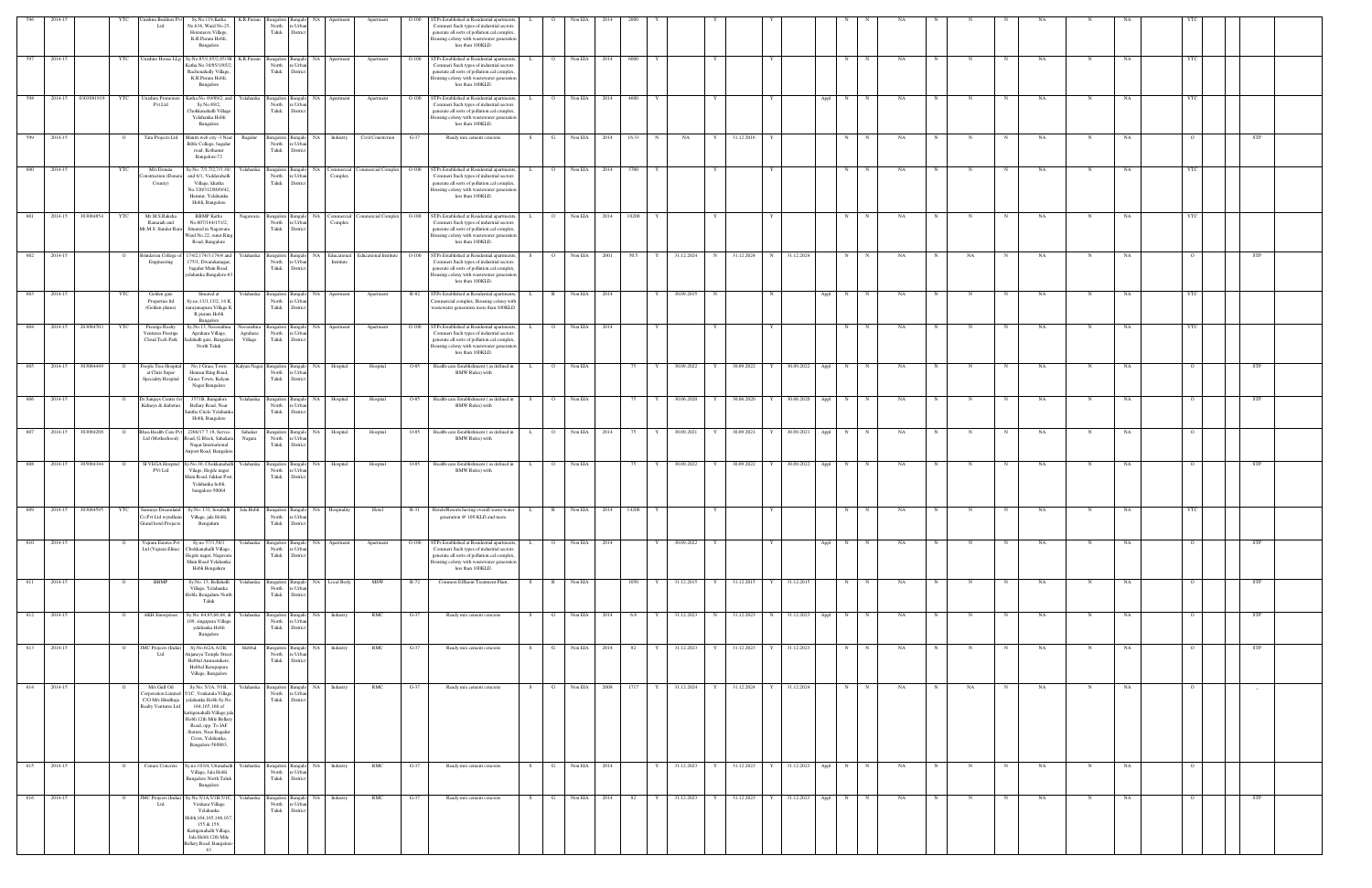| 596  | 2014-15               |            |                | ishire Builders F                                                                                | Sy.No.119,Katha                                        | K.R.Puran           |                                        |                          |                       |                                      |         | TPs Established at Residential apartments,                                                    |              |                |                 |           |             |            |   |                 |                   |        |                  |     |             |              |            |           |              |    |          |            |  |
|------|-----------------------|------------|----------------|--------------------------------------------------------------------------------------------------|--------------------------------------------------------|---------------------|----------------------------------------|--------------------------|-----------------------|--------------------------------------|---------|-----------------------------------------------------------------------------------------------|--------------|----------------|-----------------|-----------|-------------|------------|---|-----------------|-------------------|--------|------------------|-----|-------------|--------------|------------|-----------|--------------|----|----------|------------|--|
|      |                       |            |                | Ltd                                                                                              | No.636, Ward No.25<br>Horamavu Village,                |                     | North<br>Taluk                         | : Urba<br>District       |                       |                                      |         | Commeri Such types of industrial sectors<br>generate all sorts of pollution.cal complex,      |              |                |                 |           |             |            |   |                 |                   |        |                  |     |             |              |            |           |              |    |          |            |  |
|      |                       |            |                |                                                                                                  | K.R.Puram Hobli,<br>Bangalore                          |                     |                                        |                          |                       |                                      |         | busing colony with wastewater generation<br>less than 100KLD.                                 |              |                |                 |           |             |            |   |                 |                   |        |                  |     |             |              |            |           |              |    |          |            |  |
| 597  | 2014-15               |            | YTC            |                                                                                                  | Unishire House LLp Sy.No.85/1,85/2,85/3B               | K.R.Puram           | Bangalore Bangalo                      |                          | NA Apartment          | Apartment                            |         | O-100 STPs Established at Residential apartments,                                             |              | $\overline{O}$ | Non EIA<br>2014 | 6000      |             |            |   |                 |                   |        | N                | NA  |             |              |            | NA        |              | NA |          |            |  |
|      |                       |            |                |                                                                                                  | Katha No.38/85/1/85/2<br>Rachenahally Village,         |                     | North<br>Taluk                         | : Urba<br><b>Distric</b> |                       |                                      |         | Commeri Such types of industrial sectors<br>generate all sorts of pollution.cal complex.      |              |                |                 |           |             |            |   |                 |                   |        |                  |     |             |              |            |           |              |    |          |            |  |
|      |                       |            |                |                                                                                                  | K.R.Puram Hobli,                                       |                     |                                        |                          |                       |                                      |         | lousing colony with wastewater generation<br>less than 100KLD.                                |              |                |                 |           |             |            |   |                 |                   |        |                  |     |             |              |            |           |              |    |          |            |  |
|      |                       |            |                |                                                                                                  | Bangalore                                              |                     |                                        |                          |                       |                                      |         |                                                                                               |              |                |                 |           |             |            |   |                 |                   |        |                  |     |             |              |            |           |              |    |          |            |  |
| -598 | 2014-15               | 0303081919 | YTC            | <b>Unishire Promote</b><br>Pvt Ltd                                                               | Katha No. 69/89/2, and<br>Sy.No.89/2,                  | Yelahanka           | Bangalore Bangal<br>North              | NA.<br>e Urbar           | Apartment             | Apartment                            | $O-100$ | STPs Established at Residential apartments<br>Commeri Such types of industrial sectors        |              | $\overline{O}$ | Non EIA<br>2014 | 4600      |             |            |   |                 |                   | Appl   | N                | NA  |             |              |            | NA        | N            | NA |          |            |  |
|      |                       |            |                |                                                                                                  | Chokkanahalli Village<br>Yelahanka Hobli               |                     | Taluk<br>District                      |                          |                       |                                      |         | generate all sorts of pollution.cal complex<br>lousing colony with wastewater generation      |              |                |                 |           |             |            |   |                 |                   |        |                  |     |             |              |            |           |              |    |          |            |  |
|      |                       |            |                |                                                                                                  | Bangalore                                              |                     |                                        |                          |                       |                                      |         | less than 100KLD.                                                                             |              |                |                 |           |             |            |   |                 |                   |        |                  |     |             |              |            |           |              |    |          |            |  |
| 599  | 2014-15               |            | $\overline{O}$ | Tata Projects Ltd                                                                                | Mantri web city -3 Near<br>Bible College, bagalur      | Bagalur             | Bangalore Bangalo<br>North<br>re Urba  | NA                       | Industry              | Civil Constretion                    | $G-37$  | Ready mix cement concrete                                                                     |              | G              | Non EIA<br>2014 | 16.33     | $\mathbf N$ | NA         | Y | 31.12.2016      |                   |        | N                | NA  |             |              |            | NA        |              | NA |          | STP        |  |
|      |                       |            |                |                                                                                                  | road, Kothanur<br>Bangalore-72                         |                     | Taluk                                  | District                 |                       |                                      |         |                                                                                               |              |                |                 |           |             |            |   |                 |                   |        |                  |     |             |              |            |           |              |    |          |            |  |
| 600  | 2014-15               |            | YTC            | M/s Donata                                                                                       | Sy.No. 7/1,7/2,7/3,10/,                                | Yelahanka           | Bangalore Bangalo                      | NA                       |                       | Commercial Commercial Complex  O-100 |         | STPs Established at Residential apartments,                                                   |              | $\overline{O}$ | Non EIA<br>2014 | 3700      |             |            |   |                 |                   |        | N                | NA  |             | N            | $_{\rm N}$ | NA        | $\mathbb{N}$ | NA |          |            |  |
|      |                       |            |                | nstruction (Dona<br>County)                                                                      | and 6/1, Vadderahalli<br>Village, khatha               |                     | North<br>Taluk                         | Urba<br>District         | Complex               |                                      |         | Commeri Such types of industrial sectors<br>generate all sorts of pollution.cal complex.      |              |                |                 |           |             |            |   |                 |                   |        |                  |     |             |              |            |           |              |    |          |            |  |
|      |                       |            |                |                                                                                                  | No.320/312/80/9/42,<br>Hennur, Yelahanka               |                     |                                        |                          |                       |                                      |         | busing colony with wastewater generation<br>less than 100KLD.                                 |              |                |                 |           |             |            |   |                 |                   |        |                  |     |             |              |            |           |              |    |          |            |  |
|      |                       |            |                |                                                                                                  | Hobli, Bangalore                                       |                     |                                        |                          |                       |                                      |         |                                                                                               |              |                |                 |           |             |            |   |                 |                   |        |                  |     |             |              |            |           |              |    |          |            |  |
| 601  | 2014-15               | 303084854  | YTC            | Mr.M.S.Raksha<br>Ramaiah and                                                                     | <b>BBMP</b> Katha<br>No.607/144/151/2,                 | Nagawara            | Bangalore Bangal<br>North              | NA.<br>e Urbar           | Commercial<br>Complex | ommercial Complex                    | $O-100$ | STPs Established at Residential apartments<br>Commeri Such types of industrial sectors        |              | $\circ$        | Non EIA<br>2014 | 10200     |             |            |   |                 |                   |        | N                | NA  |             |              |            | NA        | N            | NA |          |            |  |
|      |                       |            |                | Mr.M.S. Sunder Rar                                                                               | Situated in Nagawara<br>Ward No.22, outer Ring         |                     | Taluk<br>District                      |                          |                       |                                      |         | generate all sorts of pollution.cal complex,<br>lousing colony with wastewater generation     |              |                |                 |           |             |            |   |                 |                   |        |                  |     |             |              |            |           |              |    |          |            |  |
|      |                       |            |                |                                                                                                  | Road, Bangalore                                        |                     |                                        |                          |                       |                                      |         | less than 100KLD.                                                                             |              |                |                 |           |             |            |   |                 |                   |        |                  |     |             |              |            |           |              |    |          |            |  |
| 602  | 2014-15               |            | $\circ$        | Brindavan College<br>Engineering                                                                 | 74/2,174/3,174/4 and<br>175/1, Dwarakanagar,           | Yelahanka           | Bangalore Bangalo<br>North<br>re Urba  | NA                       | Institute             | Educational Educational Institute    |         | O-100 STPs Established at Residential apartments<br>Commeri Such types of industrial sectors  |              | $\overline{O}$ | Non EIA<br>2001 | 50.5      | Y           | 31.12.2024 | N | 31.12.2024      | 31.12.2024        |        | N                | NA  |             | NA           | N          | NA        | N            | NA |          | <b>STP</b> |  |
|      |                       |            |                |                                                                                                  | bagalur Main Road,<br>elahanka Bangalore-6.            |                     | Taluk                                  | District                 |                       |                                      |         | generate all sorts of pollution.cal complex,<br>lousing colony with wastewater generation     |              |                |                 |           |             |            |   |                 |                   |        |                  |     |             |              |            |           |              |    |          |            |  |
|      |                       |            |                |                                                                                                  |                                                        |                     |                                        |                          |                       |                                      |         | less than 100KLD.                                                                             |              |                |                 |           |             |            |   |                 |                   |        |                  |     |             |              |            |           |              |    |          |            |  |
| 603  | 2014-15               |            | YTC            | Golden gate<br>Properties Itd                                                                    | Situated at<br>Sy.no.13/1,13/2, 14 K                   | Yelahanka           | Bangalore Bangalo<br>North             | NA<br>Urba               | Apartment             | Apartment                            | R-82    | STPs Established at Residential apartments<br>ommercial complex, Housing colony wit           |              | $\mathbb{R}$   | Non EIA<br>2014 |           |             | 30.09.2015 | N |                 |                   | Appl   | N                | NA  |             |              |            | NA        | N            | NA |          |            |  |
|      |                       |            |                | (Golden plams)                                                                                   | arayanapura Village K<br>R puram Hobli                 |                     | Taluk                                  | District                 |                       |                                      |         | vastewater generation more than 100KLD                                                        |              |                |                 |           |             |            |   |                 |                   |        |                  |     |             |              |            |           |              |    |          |            |  |
| 604  | 2014-15               | 203084703  | YTC            | <b>Prestige Realty</b>                                                                           | Bangalore<br>Sy.No.13, Navarathna                      | Navarathna          | Bangalore Bangalo                      |                          | NA Apartment          | Apartment                            |         | O-100 STPs Established at Residential apartments,                                             |              | $\overline{O}$ | Non EIA<br>2014 |           | Y           |            |   |                 |                   |        | N                | NA  |             |              |            | NA        | N            | NA |          |            |  |
|      |                       |            |                | <b>Ventures Prestige</b><br>Cloud Tech Park                                                      | Agrahara Village,<br>Sadahalli gate, Bangalore         | Agrahara<br>Village | North<br>Taluk<br>District             | e Urba                   |                       |                                      |         | Commeri Such types of industrial sectors<br>generate all sorts of pollution.cal complex,      |              |                |                 |           |             |            |   |                 |                   |        |                  |     |             |              |            |           |              |    |          |            |  |
|      |                       |            |                |                                                                                                  | North Taluk                                            |                     |                                        |                          |                       |                                      |         | lousing colony with wastewater generation<br>less than 100KLD.                                |              |                |                 |           |             |            |   |                 |                   |        |                  |     |             |              |            |           |              |    |          |            |  |
| 605  | 2014-15               | 303084449  | $\circ$        | People Tree Hospita                                                                              | No.1 Grace Town                                        | Kalyan Nagar        | Bangalore Bangalo                      |                          | NA Hospital           | Hospital                             |         | O-85 Health-care Establishment (as defined in                                                 | L.           | $\overline{O}$ | Non EIA         | 75        | Y           | 30.09.2022 | Y | 30.09.2022      | 30.09.2022        | Appl N | N                | NA. | N           | $_{\rm N}$   | N          | NA        | $\mathbf N$  | NA |          | <b>STP</b> |  |
|      |                       |            |                | at Chris Super<br>Speciality Hospital                                                            | Hennur Ring Road,<br>Grace Town, Kalyan                |                     | North<br>re Urbar<br>Taluk<br>District |                          |                       |                                      |         | <b>BMW Rules</b> ) with                                                                       |              |                |                 |           |             |            |   |                 |                   |        |                  |     |             |              |            |           |              |    |          |            |  |
|      |                       |            |                |                                                                                                  | Nagar Bangalore                                        |                     |                                        |                          |                       |                                      |         |                                                                                               |              |                |                 |           |             |            |   |                 |                   |        |                  |     |             |              |            |           |              |    |          |            |  |
| 606  | 2014-15               |            | $\Omega$       | Dr Sanjays Centre fo<br>Kidneys & diabeties                                                      | 3571B, Bangalore<br>Bellary Road, Near                 | Yelahanka           | Bangalore Bangalo<br>North             | e Urba                   | NA Hospital           | Hospital                             | O-85    | Health-care Establishment (as defined in<br><b>BMW Rules)</b> with                            | - S          | $\overline{O}$ | Non EIA         | 75        | Y           | 30.06.2020 | Y | 30.06.2020      | 30.06.2020        | Appl   | N<br>$_{\rm N}$  | NA  | N           | N            | N          | NA        | N            | NA |          | <b>STP</b> |  |
|      |                       |            |                |                                                                                                  | anthe Circle Yelahanka<br>Hobli, Bangalore             |                     | Taluk                                  | <b>District</b>          |                       |                                      |         |                                                                                               |              |                |                 |           |             |            |   |                 |                   |        |                  |     |             |              |            |           |              |    |          |            |  |
|      | 607 2014-15 303084208 |            | $\mathbf{o}$   | Rhea Health Care Py                                                                              | 2266/17 7 18, Servce                                   | Sahakar             | Bangalore Bangalo                      |                          | NA Hospital           | Hospital                             |         | O-85 Health-care Establishment (as defined in                                                 | $\mathbf{L}$ | $\overline{O}$ | Non EIA<br>2014 | 75        | Y           | 30.09.2021 | Y | 30.09.2021      | 30.09.2021        | Appl N | $_{\rm N}$       | NA  |             |              | N          | NA        | N            | NA |          |            |  |
|      |                       |            |                | Ltd (Motherhood)                                                                                 | oad, G Block, Sahakara<br>Nagar International          | Nagara              | North<br>Taluk                         | e Urba<br>District       |                       |                                      |         | <b>BMW Rules)</b> with                                                                        |              |                |                 |           |             |            |   |                 |                   |        |                  |     |             |              |            |           |              |    |          |            |  |
|      |                       |            |                |                                                                                                  | Airport Road, Bangalor                                 |                     |                                        |                          |                       |                                      |         |                                                                                               |              |                |                 |           |             |            |   |                 |                   |        |                  |     |             |              |            |           |              |    |          |            |  |
| 608  | 2014-15               | 305084344  |                | SI VEGA Hospit<br>PVt Ltd                                                                        | /No.30, Chokkanahal<br>Vilage, Hegde nagar             | Yelahanka           | Bangalore Bangal<br>North<br>re Urbar  |                          | Hospital              | Hospital                             | O-85    | Health-care Establishment (as defined in<br><b>BMW</b> Rules) with                            |              | $\overline{O}$ | Non EIA         |           |             | 30.09.2022 |   | 30.09.2022      | 30.09.2022        | Appl   | N                | NA  |             |              |            | NA        |              |    |          |            |  |
|      |                       |            |                |                                                                                                  | Main Road, Jakkur Post<br>Yelahanka hobli,             |                     | Taluk<br>District                      |                          |                       |                                      |         |                                                                                               |              |                |                 |           |             |            |   |                 |                   |        |                  |     |             |              |            |           |              |    |          |            |  |
|      |                       |            |                |                                                                                                  | bangalore-50064                                        |                     |                                        |                          |                       |                                      |         |                                                                                               |              |                |                 |           |             |            |   |                 |                   |        |                  |     |             |              |            |           |              |    |          |            |  |
| 609  | 2014-15               |            |                | 303084595 YTC Sammys Dreamland Sy.No. 131, hosahalli Jala Hobli Bangalore Bangalo NA Hospitality |                                                        |                     |                                        |                          |                       | Hotel                                |         | R-31 Hotels/Resorts having overall waste-water L                                              |              | R              | Non EIA<br>2014 | 14200     | Y           |            |   |                 |                   |        | N                | NA  |             |              |            | NA        | $\mathbf N$  | NA | YTC      |            |  |
|      |                       |            |                | o.Pvt Ltd wyndham<br>Grand hotel Projects.                                                       | Village, jala Hobli,<br>Bengaluru                      |                     | North re Urba<br>Taluk District        |                          |                       |                                      |         | generation @ 100 KLD and more.                                                                |              |                |                 |           |             |            |   |                 |                   |        |                  |     |             |              |            |           |              |    |          |            |  |
|      |                       |            |                |                                                                                                  |                                                        |                     |                                        |                          |                       |                                      |         |                                                                                               |              |                |                 |           |             |            |   |                 |                   |        |                  |     |             |              |            |           |              |    |          |            |  |
|      | 610 2014-15           |            | $\overline{O}$ | Vajram Estates Pvt<br>Ltd (Vajram Elina)                                                         | Sy no 57/1,58/1<br>hokkanahalli Village                |                     | Yelahanka Bangalore Bangalo<br>North   | e Urbar                  | NA Apartment          | Apartment                            |         | O-100 STPs Established at Residential apartments,<br>Commeri Such types of industrial sectors |              |                | O Non EIA 2014  |           | Y           | 30.09.2022 | Y |                 |                   | Appl N | N                | NA  | N           |              | N          | <b>NA</b> | $\mathbf N$  | NA |          | <b>STP</b> |  |
|      |                       |            |                |                                                                                                  | Hegde nagar, Nagavara<br>Main Road Yelahanka           |                     | Taluk<br>District                      |                          |                       |                                      |         | generate all sorts of pollution.cal complex.<br>lousing colony with wastewater generation     |              |                |                 |           |             |            |   |                 |                   |        |                  |     |             |              |            |           |              |    |          |            |  |
|      |                       |            |                |                                                                                                  | Hobli Bengaluru                                        |                     |                                        |                          |                       |                                      |         | less than 100KLD.                                                                             |              |                |                 |           |             |            |   |                 |                   |        |                  |     |             |              |            |           |              |    |          |            |  |
| 611  | 2014-15               |            | $\circ$        | BBMP                                                                                             | Sy.No. 13, Bellahalli<br>Village, Yelahanka            | Yelahanka           | Bangalore Bangalo<br>North<br>re Urban |                          | NA Local Body         | MSW                                  | R-72    | Common Effluent Treatment Plant,                                                              | - S          | $\mathbb{R}$   | Non EIA         | 1050      | Y           | 31.12.2015 |   | 31.12.2015      | 31.12.2015        |        | N<br>$\mathbf N$ | NA  | N           |              | N          | <b>NA</b> | $\mathbf N$  | NA | $\Omega$ | <b>STP</b> |  |
|      |                       |            |                |                                                                                                  | Hobli, Bengaluru North<br>Taluk                        |                     | Taluk District                         |                          |                       |                                      |         |                                                                                               |              |                |                 |           |             |            |   |                 |                   |        |                  |     |             |              |            |           |              |    |          |            |  |
| 612  | 2014-15               |            | $\overline{O}$ | <b>AKH</b> Enterprises                                                                           | Sy.No. 64,65,66,68, &                                  | Yelahanka           | Bangalore Bangalo                      | NA 1                     | Industry              | RMC                                  | $G-37$  | Ready mix cement concrete                                                                     | S            | $\mathbf{G}$   | Non EIA<br>2014 | 6.8       | Y           | 31.12.2023 | N | 31.12.2023      | N 31.12.2023      | Appl N | N                | NA  | N           | N            | N          | NA.       | $\mathbf N$  | NA | $\circ$  | <b>STP</b> |  |
|      |                       |            |                |                                                                                                  | 109, singapura Village<br>yelahanka Hobli              |                     | North re Urban<br>Taluk District       |                          |                       |                                      |         |                                                                                               |              |                |                 |           |             |            |   |                 |                   |        |                  |     |             |              |            |           |              |    |          |            |  |
|      |                       |            |                |                                                                                                  | Bangalore                                              |                     |                                        |                          |                       |                                      |         |                                                                                               |              |                |                 |           |             |            |   |                 |                   |        |                  |     |             |              |            |           |              |    |          |            |  |
|      | 613 2014-15           |            | $\circ$        | JMC Projects (India)<br>Ltd                                                                      | Sy.No.6/2A, 6/2B,<br>Anjaneya Temple Street            | Hebbal              | Bangalore Bangalo<br>North             | e Urbar                  | NA Industry           | RMC                                  | $G-37$  | Ready mix cement concrete                                                                     | S.           | $\mathbf{G}$   | Non EIA<br>2014 | 82        | Y           | 31.12.2023 | Y | 31.12.2023      | 31.12.2023        |        | N<br>N           | NA  | $\mathbf N$ | $\mathbb{N}$ | N          | NA        | N            | NA |          | <b>STP</b> |  |
|      |                       |            |                |                                                                                                  | Hebbal Ammanikere,<br>Hebbal Kempapura                 |                     | Taluk<br>District                      |                          |                       |                                      |         |                                                                                               |              |                |                 |           |             |            |   |                 |                   |        |                  |     |             |              |            |           |              |    |          |            |  |
|      |                       |            |                |                                                                                                  | Village, Bangalore                                     |                     |                                        |                          |                       |                                      |         |                                                                                               |              |                |                 |           |             |            |   |                 |                   |        |                  |     |             |              |            |           |              |    |          |            |  |
|      | 614 2014-15           |            | $\overline{O}$ | M/s Gulf Oil<br>Corporation Limited                                                              | Sy.No. 5/1A, 5/1B,<br>5/1C, Venkatala Village,         | Yelahanka           | Bangalore Bangalo<br>North<br>re Urbar |                          | NA Industry           | RMC                                  | $G-37$  | Ready mix cement concrete                                                                     | S –          |                | G Non EIA       | 2008 1717 | Y           | 31.12.2024 | Y | 31.12.2024<br>Y | 31.12.2024        |        | N<br>N           | NA  | N           | NA           | N          | NA        | N            | NA |          | $\sim$     |  |
|      |                       |            |                | C/O M/s Hindhuja<br>Realty Ventures Ltd,                                                         | yelahanka Hobli Sy.No.<br>164,165,166 of               |                     | Taluk District                         |                          |                       |                                      |         |                                                                                               |              |                |                 |           |             |            |   |                 |                   |        |                  |     |             |              |            |           |              |    |          |            |  |
|      |                       |            |                |                                                                                                  | kattigenahalli Village jala<br>Hobli 12th Mile Bellary |                     |                                        |                          |                       |                                      |         |                                                                                               |              |                |                 |           |             |            |   |                 |                   |        |                  |     |             |              |            |           |              |    |          |            |  |
|      |                       |            |                |                                                                                                  | Road, opp. To IAF<br>Station, Near Bagalur             |                     |                                        |                          |                       |                                      |         |                                                                                               |              |                |                 |           |             |            |   |                 |                   |        |                  |     |             |              |            |           |              |    |          |            |  |
|      |                       |            |                |                                                                                                  | Cross, Yelahanka,<br>Bangalore-560063,                 |                     |                                        |                          |                       |                                      |         |                                                                                               |              |                |                 |           |             |            |   |                 |                   |        |                  |     |             |              |            |           |              |    |          |            |  |
|      |                       |            |                |                                                                                                  |                                                        |                     |                                        |                          |                       |                                      |         |                                                                                               |              |                |                 |           |             |            |   |                 |                   |        |                  |     |             |              |            |           |              |    |          |            |  |
| 615  | 2014-15               |            | $\overline{O}$ | Cemax Concrete                                                                                   | Sy.no.103/4, Uttanahalli<br>Village, Jala Hobli        | Yelahanka           | Bangalore Bangalo<br>North             | NA<br>e Urbar            | Industry              | RMC                                  | $G-37$  | Ready mix cement concrete                                                                     | S.           | G              | Non EIA<br>2014 |           | Y           | 31.12.2023 | Y | 31.12.2023      | 31.12.2023        | Appl   | N<br>N           | NA  |             |              | N          | NA        | N            | NA |          |            |  |
|      |                       |            |                |                                                                                                  | <b>Bangalore North Taluk</b><br>Bangalore              |                     | Taluk<br>District                      |                          |                       |                                      |         |                                                                                               |              |                |                 |           |             |            |   |                 |                   |        |                  |     |             |              |            |           |              |    |          |            |  |
| 616  | 2014-15               |            | $\overline{O}$ | JMC Projects (India)                                                                             | Sy.No.5/1A,5/1B,5/1C,                                  | r'elahanka          | Bangalore Bangalo                      | NA 1                     | Industry              | RMC                                  | $G-37$  | Ready mix cement concrete                                                                     |              | $\mathbf{G}$   | Non EIA<br>2014 | 82        | Y           | 31.12.2023 | Y | 31.12.2023      | 31.12.2023 Appl N |        | $\mathbf N$      | NA  | $\mathbf N$ |              | N          | NA        | N            | NA |          | <b>STP</b> |  |
|      |                       |            |                | Ltd                                                                                              | Venkata Village<br>Yelahanka                           |                     | North<br>Taluk                         | e Urba<br>District       |                       |                                      |         |                                                                                               |              |                |                 |           |             |            |   |                 |                   |        |                  |     |             |              |            |           |              |    |          |            |  |
|      |                       |            |                |                                                                                                  | Hobli, 164, 165, 166, 167.<br>155 & 159,               |                     |                                        |                          |                       |                                      |         |                                                                                               |              |                |                 |           |             |            |   |                 |                   |        |                  |     |             |              |            |           |              |    |          |            |  |
|      |                       |            |                |                                                                                                  | Kattigenahalli Village,<br>Jala Hobli 12th Mile        |                     |                                        |                          |                       |                                      |         |                                                                                               |              |                |                 |           |             |            |   |                 |                   |        |                  |     |             |              |            |           |              |    |          |            |  |
|      |                       |            |                |                                                                                                  | Bellary Road, Bangalore-<br>63                         |                     |                                        |                          |                       |                                      |         |                                                                                               |              |                |                 |           |             |            |   |                 |                   |        |                  |     |             |              |            |           |              |    |          |            |  |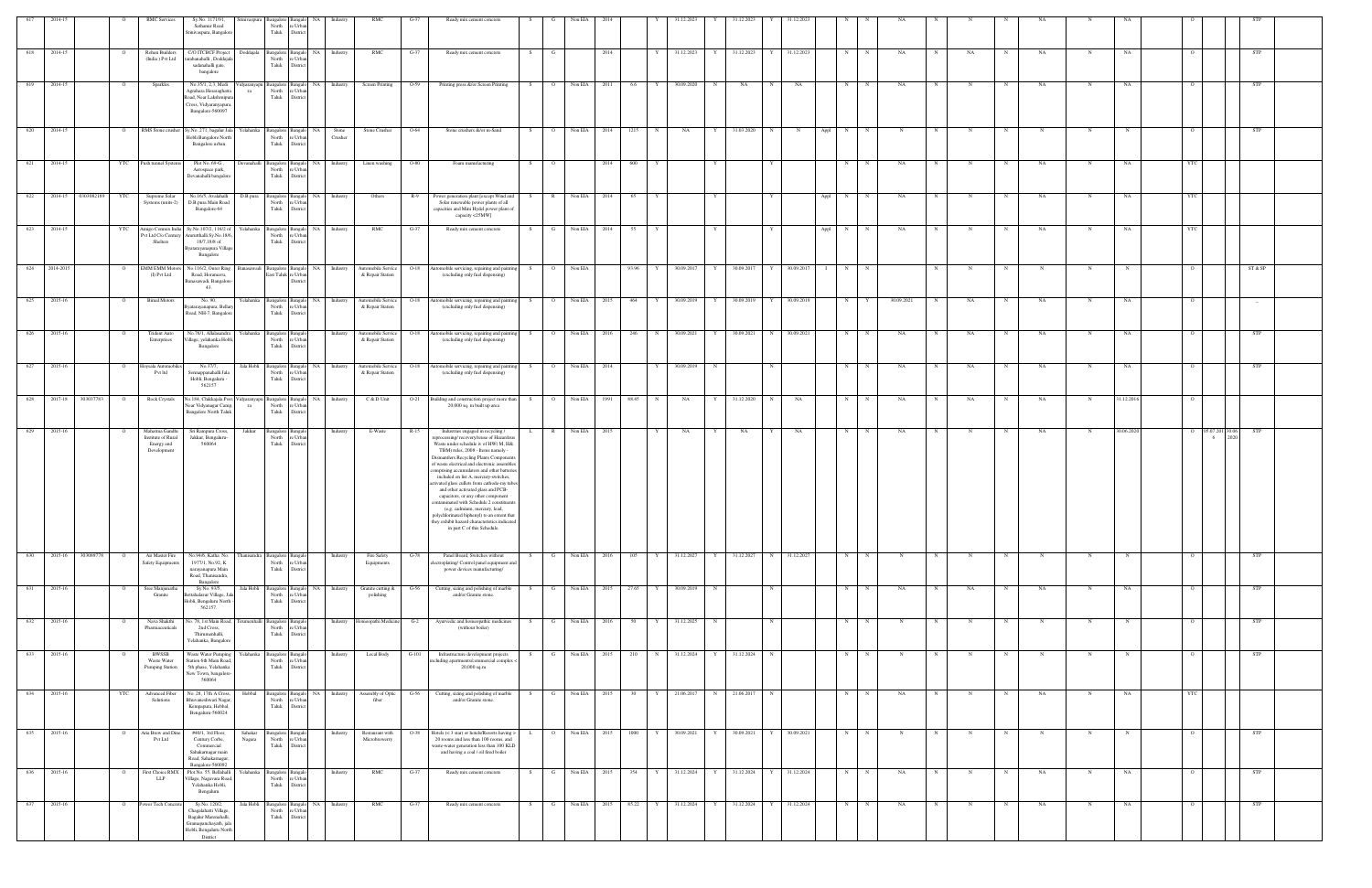|                  |         |            |                | <b>RMC</b> Services                                               | Sy.No. 1171/91,<br>Sathanur Road<br>Srinivaspura, Bangalor                                                        | mivaspura                   | Bangalore<br>North<br>Taluk             | e Urban<br>District                                               |                  |                                        | $G-37$ | Ready mix cement concrete                                                                                                                                                                                                                                                                                                                                                                                                                                                  |     |                | Non EIA         |       |              | 1.12.2022                 |            |              |                     |             |             |             |            |             |             |           |             |            |                |                     |            |  |
|------------------|---------|------------|----------------|-------------------------------------------------------------------|-------------------------------------------------------------------------------------------------------------------|-----------------------------|-----------------------------------------|-------------------------------------------------------------------|------------------|----------------------------------------|--------|----------------------------------------------------------------------------------------------------------------------------------------------------------------------------------------------------------------------------------------------------------------------------------------------------------------------------------------------------------------------------------------------------------------------------------------------------------------------------|-----|----------------|-----------------|-------|--------------|---------------------------|------------|--------------|---------------------|-------------|-------------|-------------|------------|-------------|-------------|-----------|-------------|------------|----------------|---------------------|------------|--|
| 618              | 2014-15 |            | $\circ$        | Rohan Builders<br>(India) Pvt Ltd                                 | C/O ITCBCF Project<br>tarabanahalli, Doddajal<br>sadanahalli gate,<br>bangalore                                   | Doddajala                   | North<br>Taluk                          | Bangalore Bangalo NA<br>e Urban<br>District                       | Industry         | RMC                                    | $G-37$ | Ready mix cement concrete                                                                                                                                                                                                                                                                                                                                                                                                                                                  | S   | G              | 2014            |       |              | 31.12.2023<br>Y           | 31.12.2023 | Y 31.12.2023 |                     | N           | N           | NA          |            | NA          | N           | NA        | $\mathbf N$ | NA         |                |                     | STP        |  |
| 619 2014-15      |         |            |                | Sparkles                                                          | No.35/1, 2,3, Medi<br>Agrahara Hesaraghatta<br>Road, Near Lakshmipu<br>Cross, Vidyaranyapura<br>Bangalore-560097  | ra                          | North<br>Taluk                          | Vidyaranyapu Bangalore Bangalo NA Industry<br>e Urban<br>District |                  | Screen Printing                        | $O-59$ | Printing press &/or Screen Printing                                                                                                                                                                                                                                                                                                                                                                                                                                        | S   |                | 0 Non EIA 2011  | 6.6   |              | 30.09.2020<br>$\mathbf N$ | NA         |              | NA                  | N           |             | NA          |            |             |             | NA        |             | NA         |                |                     | STP        |  |
| 620              | 2014-15 |            | $\circ$        |                                                                   | RMS Stone crusher Sy.No. 271, bagalur Jala<br>Hobli Bangalore North<br>Bangalore urban                            | Yelahanka                   | North<br>Taluk                          | Bangalore Bangalo NA<br>e Urban<br>District                       | Stone<br>Crusher | Stone Crusher                          | O-64   | Stone crushers &/or m-Sand                                                                                                                                                                                                                                                                                                                                                                                                                                                 | S.  | $\overline{O}$ | Non EIA<br>2014 | 1215  |              | NA<br>Y                   | 31.03.2020 | $\mathbf N$  | Appl<br>$\mathbf N$ | N           |             | N           |            |             |             | N         | N           |            |                |                     | STP        |  |
| 621 2014-15      |         |            | YTC            | Push tunnel Systems                                               | Plot No. 69-G,<br>Aerospace park,<br>Devanahalli bangalore                                                        |                             | North<br>Taluk                          | Devanahalli Bangalore Bangalo NA<br>e Urban<br>District           | Industry         | Linen washing                          | $O-80$ | Foam manufacturing                                                                                                                                                                                                                                                                                                                                                                                                                                                         | S   | $\overline{O}$ | 2014            | 600   |              |                           |            |              |                     | N           | N           | NA          | N          | $\mathbf N$ | N           | NA        | N           | NA         | YTC            |                     |            |  |
| 622 2014-15      |         | 0303082189 | YTC            | Supreme Solar<br>Systems (units-2)                                | No.16/5, Avalahalli<br>D.B.pura Main Road<br>Bangalore-64                                                         | D.B.pura                    | North<br>Taluk                          | Bangalore Bangalo NA<br>e Urban<br>District                       | Industry         | Others                                 | $R-9$  | Power generation plant [except Wind and<br>Solar renewable power plants of all<br>capacities and Mini Hydel power plant of<br>capacity <25MW]                                                                                                                                                                                                                                                                                                                              | S.  | $\mathbb{R}$   | Non EIA 2014    | 65    |              |                           |            |              | Appl                | N           | N           | NA          |            |             | $_{\rm N}$  | NA        | N           | NA         |                |                     |            |  |
| 623 2014-15      |         |            | YTC            | Pvt Ltd C/o Century<br>Shelters                                   | Amigo Conmix India Sy.No.107/2, 116/2 of<br>Amrutthalli Sy.No.18/6<br>18/7,18/8 of<br>Byatarayanapura Village     |                             | North<br>Taluk                          | Yelahanka Bangalore Bangalo NA Industry<br>e Urbar<br>District    |                  | RMC                                    | $G-37$ | Ready mix cement concrete                                                                                                                                                                                                                                                                                                                                                                                                                                                  | S   |                | G Non EIA 2014  | 55    |              |                           |            |              |                     | Appl N      | N           | NA          |            | N           | N           | <b>NA</b> | $\mathbf N$ | NA         | <b>YTC</b>     |                     |            |  |
| 624 2014-2015    |         |            | $\overline{O}$ | <b>EMM EMM Motors</b><br>(I) Pvt Ltd                              | Bangalore<br>No.116/2, Outer Ring<br>Road, Horamavu,<br>Banasawadi, Bangalore                                     |                             | East Taluk re Urban                     | Banasawadi Bangalore Bangalo NA Industry<br>District              |                  | Automobile Service<br>& Repair Station |        | O-18 Automobile servicing, repairing and painting S<br>(excluding only fuel dispensing)                                                                                                                                                                                                                                                                                                                                                                                    |     | $\overline{O}$ | Non EIA         |       | 93.96 Y      | 30.09.2017 Y              | 30.09.2017 | $Y \quad$    | 30.09.2017          | $I \t N$    | N           |             | N          | N           | N           | N         | $\mathbf N$ | $_{\rm N}$ | $\overline{O}$ |                     | ST & SP    |  |
| 625              | 2015-16 |            | $\overline{O}$ | <b>Bimal Motors</b>                                               | 43.<br>No. 90.<br>yatarayanapura, Bellar                                                                          |                             | North                                   | Yelahanka Bangalore Bangalo NA Industry<br>e Urban                |                  | Automobile Service<br>& Repair Station | $O-18$ | Automobile servicing, repairing and painting<br>(excluding only fuel dispensing)                                                                                                                                                                                                                                                                                                                                                                                           | S   | $\overline{O}$ | Non EIA 2015    | 464   | Y            | 30.09.2019<br>Y           | 30.09.2019 | Y            | 30.09.2019          | N           | Y           | 30.09.2021  | N          | NA          | N           | NA        | N           | NA         | $\Omega$       |                     | $-$        |  |
| 626 2015-16      |         |            | $\circ$        | <b>Trident Auto</b><br>Enterprises                                | Road, NH-7, Bangalor<br>No.76/1, Allalasandra<br>Village, yelahanka Hob                                           | Yelahanka Bangalore Bangalo | Taluk<br>North                          | District<br>e Urban                                               | Industry         | Automobile Service<br>& Repair Station |        | O-18 Automobile servicing, repairing and painting S O Non EIA 2016<br>(excluding only fuel dispensing)                                                                                                                                                                                                                                                                                                                                                                     |     |                |                 |       | 246 N        | 30.09.2021<br>Y           | 30.09.2021 | N 30.09.2021 |                     | N           | N           | NA          | N          | NA          | N           | <b>NA</b> | $\mathbf N$ | NA         |                |                     | <b>STP</b> |  |
| 627              | 2015-16 |            | $\circ$        | Hoysala Automobi                                                  | Bangalore<br>No.37/7.                                                                                             |                             | Taluk                                   | District<br>Jala Hobli Bangalore Bangalo NA                       | Industry         | Automobile Service                     | $O-18$ | Automobile servicing, repairing and paintin                                                                                                                                                                                                                                                                                                                                                                                                                                | - S | $\overline{O}$ | Non EIA 2014    |       |              | 30.09.2019<br>$_{\rm N}$  |            | $\mathbf N$  |                     | N           | N           | NA          |            | NA          | N           | NA        | N           | NA         |                |                     | <b>STP</b> |  |
| 628              | 2017-18 | 303037783  | $\overline{O}$ | Pvt ltd<br>Rock Crystals                                          | Sonnappanahalli Jala<br>Hobli, Bengaluru -<br>562157<br>No.184, Chikkajala Post, V                                |                             | North<br>Taluk                          | re Urban<br>District                                              |                  | & Repair Station<br>C & D Unit         | $O-21$ | (excluding only fuel dispensing)<br>Building and construction project more than S                                                                                                                                                                                                                                                                                                                                                                                          |     | $\overline{O}$ | Non EIA<br>1991 | 88.45 |              |                           | 31.12.2020 | N            |                     |             |             |             |            |             |             |           | N           |            |                |                     |            |  |
|                  |         |            |                |                                                                   | Near Vidyanagar Camp,<br><b>Bangalore North Taluk</b>                                                             | ra                          | North<br>Taluk                          | Vidyaranyapu Bangalore Bangalo NA<br>e Urban<br>District          | Industry         |                                        |        | 20,000 sq. m built up area                                                                                                                                                                                                                                                                                                                                                                                                                                                 |     |                |                 |       |              | NA<br>Y                   |            |              | NA                  | N           |             | NA          |            | NA          |             | NA        |             | 31.12.201  |                |                     |            |  |
| 629              | 2015-16 |            |                | Mahatma Gandhi<br>Institute of Rural<br>Energy and<br>Development | Sri Rampura Cross,<br>Jakkur, Bengaluru-<br>560064                                                                | Jakkur                      | Bangalore<br>North<br>Taluk             | : Urba<br>Distric                                                 | Industry         | E-Waste                                | R-15   | Industries engaged in recycling /<br>processing/recovery/reuse of Hazardou<br>Waste under schedule iv of HW(M, H&<br>TBM) rules, 2008 - Items namely -<br>Dismantlers Recycling Plants Component                                                                                                                                                                                                                                                                           |     | $\mathbb{R}$   | Non EIA 2015    |       |              | NA<br>Y                   | NA         |              | NA                  | N           | N           | NA          |            |             |             | NA        | N           | 30.06.2020 |                | 30.06.<br>05.07.201 | <b>STP</b> |  |
|                  |         |            |                |                                                                   |                                                                                                                   |                             |                                         |                                                                   |                  |                                        |        | of waste electrical and electronic assembles<br>omprising accumulators and other batterie<br>included on list A, mercury-switches,<br>ctivated glass cullets from cathode-ray tubes<br>and other activated glass and PCB-<br>capacitors, or any other component<br>ontaminated with Schedule 2 constituent<br>(e.g. cadmium, mercury, lead,<br>polychlorinated biphenyl) to an extent that<br>they exhibit hazard characteristics indicated<br>in part C of this Schedule. |     |                |                 |       |              |                           |            |              |                     |             |             |             |            |             |             |           |             |            |                |                     |            |  |
| $\sqrt{630}$     | 2015-16 | 303089778  | $\circ$        | Air Master Fire<br>Safety Equipments                              | No.94/6, Katha No.<br>1977/1, No.92, K<br>narayanapura Main<br>Road, Thanisandra,<br>Bangalore                    | hanisandra Bangalore        | North<br>Taluk                          | Bangalo<br>e Urban<br>District                                    | Industry         | Fire Safety<br>Equipments              | $G-78$ | Panel Board, Switches without<br>ectroplating/Control panel equipment and<br>power devices manufacturing/                                                                                                                                                                                                                                                                                                                                                                  | S.  | $\mathbf{G}$   | Non EIA 2016    | 105   | Y            | 31.12.2027 Y              | 31.12.2027 | N 31.12.2027 |                     | N           | N           | N           | $_{\rm N}$ |             | N           | N         | N           |            |                |                     | STP        |  |
| 631 2015-16      |         |            | $\circ$        | Sree Manjunatha<br>Granite                                        | Sy.No. 93/5,<br>.<br>ettahalasur Village, Ja<br>Hobli, Bengaluru North<br>562157.                                 | Jala Hobli Bangalore        | North<br>Taluk                          | Bangalo NA<br>e Urban<br>District                                 | Industry         | Granite cutting &<br>polishing         | $G-56$ | Cutting, sizing and polishing of marble<br>and/or Granite stone.                                                                                                                                                                                                                                                                                                                                                                                                           | -S  | G              | Non EIA 2015    | 27.65 | Y            | 30.09.2019<br>N           |            | N            |                     | N           | N           | NA          | $_{\rm N}$ | NA          | N           | NA        | N           | NA         |                |                     | <b>STP</b> |  |
| 632              | 2015-16 |            |                | Nava Shakthi<br>Pharmaceuticals                                   | No. 78, 1st Main Road,<br>2nd Cross,<br>Thirumenhalli,<br>Yelahanka, Bangalor                                     |                             | irumenhalli Bangalore<br>North<br>Taluk | Bangal<br>e Urban<br>District                                     | Industry         | Iomeopathi Medicine                    | $G-2$  | Ayurvedic and homeopathic medicines<br>(without boiler)                                                                                                                                                                                                                                                                                                                                                                                                                    | -S  | G              | Non EIA 2016    | 50    |              | 31.12.2025<br>N           |            | $\mathbf N$  |                     | $\mathbf N$ |             | N           |            |             |             | N         | N           |            |                |                     | <b>STP</b> |  |
| 633              | 2015-16 |            |                | BWSSB<br>Waste Water<br>Pumping Station                           | Waste Water Pumping<br>Station 6th Main Road,<br>5th phase, Yelahanka<br>New Town, bangalore-<br>560064           | Yelahanka                   | Bangalore<br>North<br>Taluk             | e Urban<br>District                                               | Industry         | Local Body                             | G-101  | Infrastructure development projects<br>including apartments/commercial complex <<br>$20,000$ sq.m                                                                                                                                                                                                                                                                                                                                                                          |     | G              | Non EIA<br>2015 | 210   |              | 31.12.2024<br>Y           | 31.12.2024 | $\mathbf N$  |                     | N           |             | N           |            |             |             | N         | N           |            |                |                     | STP        |  |
| 634 2015-16      |         |            | YTC            | Advanced Fiber<br>Solutions                                       | No. 28, 17th A Cross,<br>Bhuvaneshwari Nagar<br>Kempapura, Hebbal,<br>Bengaluru-560024                            | Hebbal                      | North<br>Taluk                          | Bangalore Bangalo NA Industry<br>e Urban<br>District              |                  | Assembly of Optic<br>fiber             | $G-56$ | Cutting, sizing and polishing of marble<br>and/or Granite stone.                                                                                                                                                                                                                                                                                                                                                                                                           | S.  |                | G Non EIA 2015  | 30    | $\mathbf{Y}$ | 21.06.2017 N              | 21.06.2017 | N            |                     | N           | N           | NA          | $_{\rm N}$ | $\mathbf N$ | N           | NA        | $\mathbf N$ | NA         | <b>YTC</b>     |                     |            |  |
| 635              | 2015-16 |            | $\circ$        | Aria Brew and Dine<br>Pvt Ltd                                     | #40/1, 3rd Floor,<br>Century Corbe,<br>Commercial<br>Sahakarnagar main<br>Road, Sahakarnagar,<br>Bangalore-560092 | Sahakar<br>Nagara           | Bangalore<br>North<br>Taluk             | e Urban<br>District                                               | Industry         | Restaurant with<br>Microbrewerry       | O-38   | Hotels (< 3 star) or hotels/Resorts having ><br>20 rooms and less than 100 rooms. and<br>waste-water generation less than 100 KLD<br>and having a coal / oil fired boiler                                                                                                                                                                                                                                                                                                  |     | $\circ$        | Non EIA<br>2015 | 1000  |              | 30.09.2021<br>Y           | 30.09.2021 |              | 30.09.2021          | N           | $\mathbf N$ | $\mathbf N$ |            | N           | N           | N         | N           |            |                |                     | <b>STP</b> |  |
| $\overline{636}$ | 2015-16 |            | $\circ$        | First Choice RMX<br><b>LLP</b>                                    | Plot.No. 55, Bellahalli<br>Village, Nagavara Road,<br>Yelahanka Hobli,<br>Bengaluru                               | Yelahanka                   | Bangalore<br>North<br>Taluk             | Bangalo<br>e Urban<br>District                                    | Industry         | RMC                                    | $G-37$ | Ready mix cement concrete                                                                                                                                                                                                                                                                                                                                                                                                                                                  | S   | $\mathbf{G}$   | Non EIA 2015    | 354   | Y            | 31.12.2024 Y              | 31.12.2024 | Y 31.12.2024 |                     | N           | N           | NA          | N          | $_{\rm N}$  | $\mathbf N$ | NA        | N           | NA         | $\circ$        |                     | <b>STP</b> |  |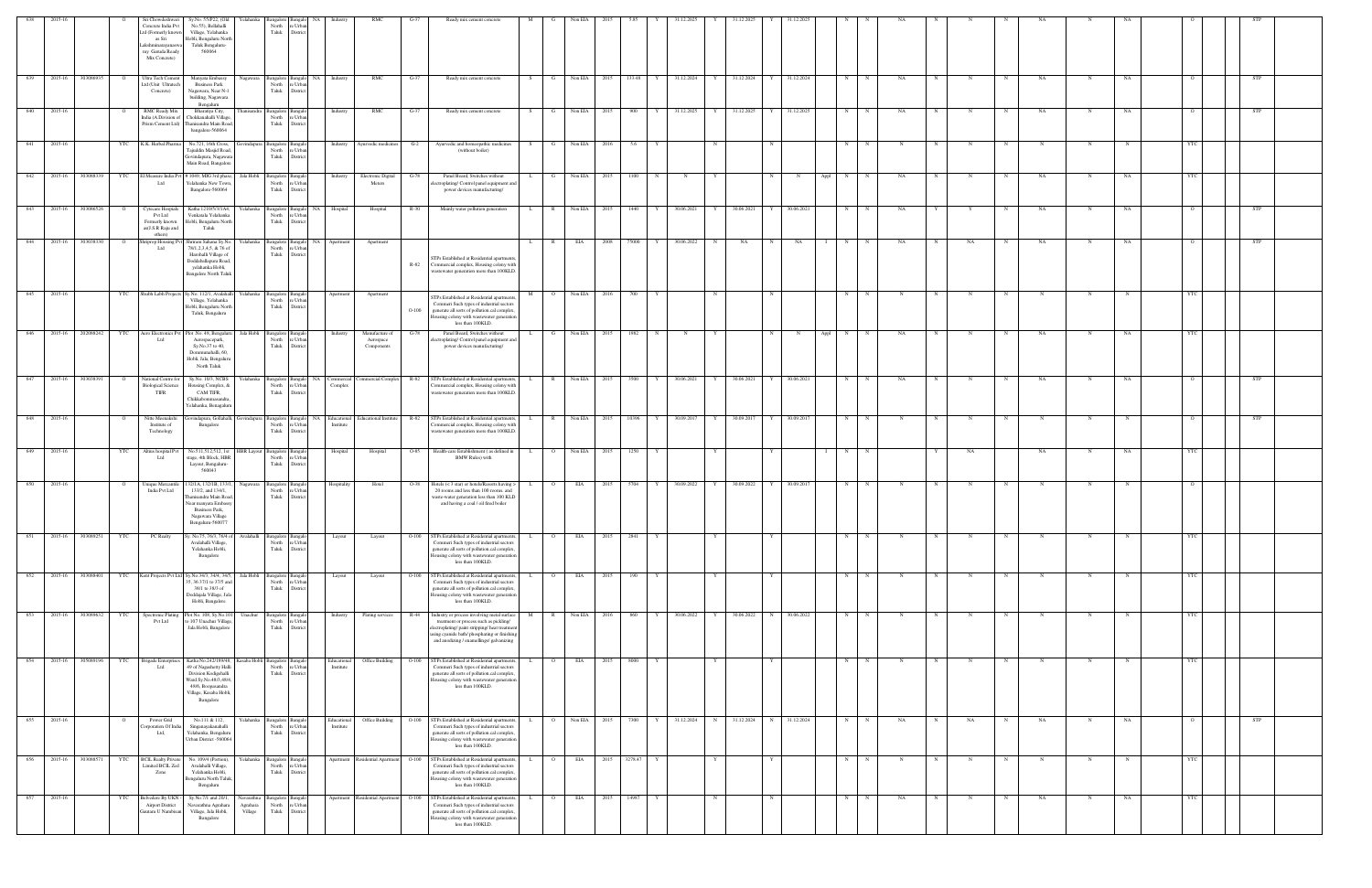| 638    | 2015-16 |                   |         | Sri Chowdeshwari<br>Concrete India Pv                              | Sy.No. 55/P22, (Old<br>Yelahanka<br>No.55), Bellahalli                                                 | North                                 | angalore Bangalo<br>NA<br>e Urba       | Industry                      | <b>RMC</b>                                |         | Ready mix cement concrete                                                                                                              | M            |                | Non EIA                  |      |           |             | 31.12.202:   |            |            |             |              |      |                 |            |   |    |             |             |   |           |                |            |  |
|--------|---------|-------------------|---------|--------------------------------------------------------------------|--------------------------------------------------------------------------------------------------------|---------------------------------------|----------------------------------------|-------------------------------|-------------------------------------------|---------|----------------------------------------------------------------------------------------------------------------------------------------|--------------|----------------|--------------------------|------|-----------|-------------|--------------|------------|------------|-------------|--------------|------|-----------------|------------|---|----|-------------|-------------|---|-----------|----------------|------------|--|
|        |         |                   |         | Ltd (Formerly know<br>as Sri<br>.akshminarayanas                   | Village, Yelahanka<br>Hobli, Bengaluru North<br>Taluk Bengaluru-                                       | Taluk                                 | Distric                                |                               |                                           |         |                                                                                                                                        |              |                |                          |      |           |             |              |            |            |             |              |      |                 |            |   |    |             |             |   |           |                |            |  |
|        |         |                   |         | my Garuda Ready<br>Mix Concrete)                                   | 560064                                                                                                 |                                       |                                        |                               |                                           |         |                                                                                                                                        |              |                |                          |      |           |             |              |            |            |             |              |      |                 |            |   |    |             |             |   |           |                |            |  |
| 639    | 2015-16 | 303086935         | $\circ$ | Ultra Tech Cement<br>td (Unit Ultratech                            | Manyata Embassy<br>Nagawara<br><b>Business Park</b>                                                    | North                                 | re Urba                                | Bangalore Bangalo NA Industry | RMC                                       | G-37    | Ready mix cement concrete                                                                                                              | S            | G              | Non EIA 2015             |      | 133.48 Y  |             | 31.12.2024 Y |            | 31.12.2024 |             | Y 31.12.2024 |      | N<br>N          | NA         | N | N  | $\mathbf N$ | NA          | N | NA        | $\overline{O}$ | STP        |  |
|        |         |                   |         | Concrete)                                                          | Nagawara, Near N-1<br>building, Nagawara                                                               | Taluk                                 | District                               |                               |                                           |         |                                                                                                                                        |              |                |                          |      |           |             |              |            |            |             |              |      |                 |            |   |    |             |             |   |           |                |            |  |
| 640    | 2015-16 |                   |         | RMC Ready Mix<br>India (A Division of                              | Bengaluru<br>Bharatiya City,<br>hanisandra<br>Chokkanahalli Village                                    | North                                 | Bangalore Bangalo<br>e Urba            | Industry                      | RMC                                       | $G-37$  | Ready mix cement concrete                                                                                                              | S.           | G              | Non EIA                  | 2015 | 900       | Y           | 31.12.2025   | Y          | 31.12.2025 |             | 31.12.2025   |      | N               | NA         |   |    | $_{\rm N}$  | NA          | N | NA        | $\circ$        | STP        |  |
|        |         |                   |         | Prism Cement Ltd)                                                  | hanisandra Main Roa<br>bangalore-560064                                                                | Taluk                                 | District                               |                               |                                           |         |                                                                                                                                        |              |                |                          |      |           |             |              |            |            |             |              |      |                 |            |   |    |             |             |   |           |                |            |  |
| 641    | 2015-16 |                   |         | YTC K.K. Herbal Pharma                                             | No.721, 16th Cross,<br>Tajuddin Masjid Road                                                            | lovindapura Bangalore Bangal<br>North | re Urbar                               |                               | Industry Ayurvedic medicines              | $G-2$   | Ayurvedic and homeopathic medicines<br>(without boiler)                                                                                | S –          | G              | Non EIA 2016             |      | 5.6       | Y           |              | N          |            |             |              |      | N<br>$_{\rm N}$ | $_{\rm N}$ | N |    | N           | $\mathbf N$ | N |           | YTC            |            |  |
|        |         |                   |         |                                                                    | Govindapura, Nagawar<br>Main Road, Bangalore                                                           | Taluk                                 | District                               |                               |                                           |         |                                                                                                                                        |              |                |                          |      |           |             |              |            |            |             |              |      |                 |            |   |    |             |             |   |           |                |            |  |
| 642    | 2015-16 | 303088339         | YTC     | I Measure India Pvt<br>Ltd                                         | #1049, MIG 3rd phas<br>Jala Hobli<br>Yelahanka New Towr                                                | Bangalore Bangal<br>Taluk             | North re Urba                          | Industry                      | Electronic Digital<br>Meters              | G-78    | Panel Board, Switches without<br>ectroplating/Control panel equipment and                                                              |              | G              | Non EIA                  | 2015 | 1100      |             | $_{\rm N}$   |            |            |             |              | Appl | N               | NA         |   |    | $\mathbf N$ | NA          |   | NA        | YTC            |            |  |
|        |         |                   |         |                                                                    | Bangalore-560064                                                                                       |                                       | District                               |                               |                                           |         | power devices manufacturing/                                                                                                           |              |                |                          |      |           |             |              |            |            |             |              |      |                 |            |   |    |             |             |   |           |                |            |  |
| 643    | 2015-16 | 303086526         |         | Cytecare Hospials<br>Pvt Ltd<br>Formerly known                     | Katha 1210/5/3/1A4,<br>Yelahanka<br>Venkatala Yelahanka<br>Iobli, Bengaluru North                      | Bangalore Bangalo<br>North<br>Taluk   | NA<br>e Urba<br>Distri                 | Hospital                      | Hospital                                  | R-30    | Mainly water pollution generation                                                                                                      | L.           | - R            | Non EIA                  | 2015 | 1440      |             | 30.06.2021   | Y          | 30.06.2021 |             | 30.06.2021   |      | N               | NA         |   |    |             | NA          | N | <b>NA</b> | $\circ$        | STP        |  |
|        | 2015-16 |                   |         | as(J.S.R Raju and<br>others)                                       | Taluk                                                                                                  |                                       |                                        |                               |                                           |         |                                                                                                                                        |              |                |                          |      |           | Y           |              |            |            |             |              |      |                 |            |   |    |             |             |   |           | $\circ$        |            |  |
| 644    |         | 303038330         |         | riprop Housing P<br>Ltd                                            | hriram Sahana Sy.No.<br>Yelahanka<br>78/1,2,3,4,5, & 76 of<br>Harohalli Village of                     | North<br>Taluk                        | Bangalore Bangalo<br>e Urb<br>District | NA Apartment                  | Apartment                                 |         | STPs Established at Residential apartments                                                                                             | $\mathbf{L}$ | $\mathbb{R}$   | EIA                      | 2008 | 75000     |             | 30.06.2022   | N          | NA         |             | NA           |      | N               | NA         |   | NA |             | NA          |   | NA        |                | STP        |  |
|        |         |                   |         |                                                                    | Doddaballapura Road<br>yelahanka Hobli,<br><b>Bangalore North Taluk</b>                                |                                       |                                        |                               |                                           | R-82    | Commercial complex, Housing colony with<br>vastewater generation more than 100KLD.                                                     |              |                |                          |      |           |             |              |            |            |             |              |      |                 |            |   |    |             |             |   |           |                |            |  |
| 645    | 2015-16 |                   | YTC     | Shubh Labh Projects                                                | Sy.No. 112/1, Avalaha<br>Yelahanka                                                                     | <b>Bangalore</b> Bangal               |                                        | Apartment                     |                                           |         |                                                                                                                                        |              | $\overline{O}$ | Non EIA                  | 2016 | 700       |             |              |            |            |             |              |      | N               | N          | N | N  | N           | $\mathbf N$ | N |           | <b>YTC</b>     |            |  |
|        |         |                   |         |                                                                    | Village, Yelahanka<br>Hobli, Bengaluru North                                                           | North<br>Taluk                        | re Urba<br>District                    |                               | Apartment                                 | $O-100$ | TPs Established at Residential apartment<br>Commeri Such types of industrial sectors<br>generate all sorts of pollution.cal complex,   |              |                |                          |      |           |             |              |            |            |             |              |      |                 |            |   |    |             |             |   |           |                |            |  |
|        |         |                   |         |                                                                    | Taluk, Bengaluru                                                                                       |                                       |                                        |                               |                                           |         | Housing colony with wastewater generation<br>less than 100KLD.                                                                         |              |                |                          |      |           |             |              |            |            |             |              |      |                 |            |   |    |             |             |   |           |                |            |  |
| 646    | 2015-16 | 202088242         | YTC     | Aero Electronics Pvt<br>Ltd                                        | Jala Hobli<br>lot .No. 48, Bengalur<br>Aerospacepark,<br>Sy.No.37 to 40,                               | North<br>Taluk                        | angalore Bangal<br>e Urba<br>District  | Industry                      | Manufacture of<br>Aerospace<br>Components | G-78    | Panel Board, Switches without<br>ctroplating/ Control panel equipment an<br>power devices manufacturing/                               |              | G              | Non EIA                  | 2015 | 1982      | $\mathbf N$ | N            | Y          |            |             | $\mathbf N$  | Appl | N<br>N          | NA         |   | N  | $_{\rm N}$  | NA          | N | NA        | YTC            |            |  |
|        |         |                   |         |                                                                    | Dommunahalli, 60,<br>Hobli, Jala, Bengalur<br>North Taluk                                              |                                       |                                        |                               |                                           |         |                                                                                                                                        |              |                |                          |      |           |             |              |            |            |             |              |      |                 |            |   |    |             |             |   |           |                |            |  |
| 647    | 2015-16 | 303038391         |         | Vational Centre fo                                                 | Sy.No. 10/3, NCBS<br>Yelahanka                                                                         |                                       | Bangalore Bangalo                      | NA Commercial                 | Commercial Complex                        | $R-82$  | STPs Established at Residential apartments,                                                                                            |              | R              | Non EIA 2015             |      | 3500      | Y           | 30.06.2021   | Y          | 30.06.2021 |             | 30.06.2021   |      | N               | NA         |   |    |             | NA          | N | NA        | $\Omega$       | <b>STP</b> |  |
|        |         |                   |         | <b>Biological Science</b><br>TIFR                                  | Housing Complex, &<br>CAM TIFR,<br>Chikkabommasandra                                                   | North<br>Taluk                        | re Urba<br>District                    | Complex                       |                                           |         | Commercial complex, Housing colony with<br>vastewater generation more than 100KLD.                                                     |              |                |                          |      |           |             |              |            |            |             |              |      |                 |            |   |    |             |             |   |           |                |            |  |
|        |         |                   |         |                                                                    | Yelahanka, Benagalur                                                                                   |                                       |                                        |                               |                                           |         |                                                                                                                                        |              |                |                          |      |           |             |              |            |            |             |              |      |                 |            |   |    |             |             |   |           |                |            |  |
| 648    | 2015-16 |                   |         | Nitte Meenaksh<br>Institute of<br>Technology                       | <b>iovindapura</b><br>vindapura, Gollahall<br>Bangalore                                                | Bangalore Bangal<br>Taluk             | North re Urba<br>District              | NA Educational<br>Institute   | Educational Institute                     | R-82    | STPs Established at Residential apartments<br>Commercial complex, Housing colony with<br>vastewater generation more than 100KLD.       |              |                | Non EIA                  | 2015 | 10396     |             | 30.09.2017   | Y          | 30.09.2017 |             | 30.09.2017   |      | N               |            |   |    |             | N           | N |           | $\overline{O}$ | STP        |  |
| - 649  | 2015-16 |                   | YTC     | Altius hospital Pv                                                 | No.511,512,512, 1st<br><b>IBR Layout</b>                                                               | Bangalore                             |                                        | Hospital                      | Hospital                                  | $O-85$  | Health-care Establishment (as defined in                                                                                               | <b>L</b>     |                | Non EIA                  | 2015 | 1250      |             |              |            |            |             |              |      | N               |            |   | NA |             | NA          |   |           | YTC            |            |  |
|        |         |                   |         | Ltd                                                                | stage, 4th Block, HBR<br>Layout, Bengaluru-<br>560043                                                  | North<br>Taluk                        | e Urba<br>Distric                      |                               |                                           |         | <b>BMW Rules)</b> with                                                                                                                 |              |                |                          |      |           |             |              |            |            |             |              |      |                 |            |   |    |             |             |   |           |                |            |  |
| 650    | 2015-16 |                   |         | Unique Mercantil<br>India Pvt Ltd                                  | 32/1A, 132/1B, 133/<br>Nagawara<br>133/2, and 134/1,                                                   |                                       | angalore Bangal                        | Hospitality                   | Hotel                                     | O-38    | Hotels (< 3 star) or hotels/Resorts having ><br>20 rooms and less than 100 rooms. and                                                  |              | $\overline{O}$ | <b>EIA</b>               | 2015 | 5704      | Y           | 30.09.2022   |            | 30.09.2022 |             | 30.09.2017   |      | N               |            |   |    | N           |             | N |           | $\overline{O}$ |            |  |
|        |         |                   |         |                                                                    | hanisandra Main Roa<br>Vear manyata Embass                                                             | North<br>Taluk                        | e Urba<br>Distric                      |                               |                                           |         | waste-water generation less than 100 KLD<br>and having a coal / oil fired boiler                                                       |              |                |                          |      |           |             |              |            |            |             |              |      |                 |            |   |    |             |             |   |           |                |            |  |
|        |         |                   |         |                                                                    | Business Park,<br>Nagawara Village<br>Bengaluru-560077                                                 |                                       |                                        |                               |                                           |         |                                                                                                                                        |              |                |                          |      |           |             |              |            |            |             |              |      |                 |            |   |    |             |             |   |           |                |            |  |
| 651    | 2015-16 | 303089251         | YTC     | PC Realty                                                          | y. No.75, 76/3, 76/4 o<br>Avalahalli<br>Avalahalli Village,                                            |                                       | angalore Bangal<br>North re Urbar      | Layout                        | Layout                                    | $O-100$ | <b>STPs Established at Residential apartments</b><br>Commeri Such types of industrial sectors                                          |              | $\overline{O}$ | EIA                      | 2015 | 2841      |             |              |            |            |             |              |      | N               |            |   |    | $\mathbf N$ | N           | N |           | <b>YTC</b>     |            |  |
|        |         |                   |         |                                                                    | Yelahanka Hobli,<br>Bangalore                                                                          | Taluk                                 | District                               |                               |                                           |         | generate all sorts of pollution.cal complex,<br>Iousing colony with wastewater generation<br>less than 100KLD.                         |              |                |                          |      |           |             |              |            |            |             |              |      |                 |            |   |    |             |             |   |           |                |            |  |
| 652    | 2015-16 | 303088401         | YTC     |                                                                    | Kent Projects Pvt Ltd Sy.No.34/3, 34/4, 34/5,<br>Jala Hobli                                            | Bangalore Bangal                      |                                        | Layout                        | Layout                                    | $O-100$ | STPs Established at Residential apartment                                                                                              |              | $\overline{O}$ | EIA <b>International</b> | 2015 | 190       |             |              | Y          |            |             |              |      | N               |            |   |    | N           | N           | N |           | YTC            |            |  |
|        |         |                   |         |                                                                    | 5, 36 37/1 to 37/5 and<br>38/1 to 38/3 of<br>Doddajala Village, Jal                                    | North<br>Taluk                        | e Urba<br>District                     |                               |                                           |         | Commeri Such types of industrial sectors<br>generate all sorts of pollution.cal complex,<br>Iousing colony with wastewater generation  |              |                |                          |      |           |             |              |            |            |             |              |      |                 |            |   |    |             |             |   |           |                |            |  |
| 653    |         | 2015-16 303089632 | YTC     | Spectronic Plating                                                 | Hobli, Bangalore<br>Plot No. 108, Sy.No.10<br>Unachur                                                  |                                       | angalore Bangal                        | Industry                      |                                           | R-44    | less than 100KLD.<br>Industry or process involving metal surface                                                                       | M            | $\mathbb{R}$   | Non EIA 2016             |      | 860       | Y           | 30.06.2022   | Y          | 30.06.2022 | $\mathbf N$ | 30.06.2022   |      | N<br>$_{\rm N}$ |            | N |    | N           |             |   |           | YTC            |            |  |
|        |         |                   |         | Pvt Ltd                                                            | to 107 Unachur Villag<br>Jala Hobli, Bangalore                                                         | North<br>Taluk                        | re Urba<br>District                    |                               | Plating services                          |         | treatment or process such as pickling/<br>lectroplating/paint stripping/heat treatmen                                                  |              |                |                          |      |           |             |              |            |            |             |              |      |                 |            |   |    |             |             |   |           |                |            |  |
|        |         |                   |         |                                                                    |                                                                                                        |                                       |                                        |                               |                                           |         | using cyanide bath/phosphating or finishing<br>and anodizing / enamellings/ galvanizing                                                |              |                |                          |      |           |             |              |            |            |             |              |      |                 |            |   |    |             |             |   |           |                |            |  |
| 654    | 2015-16 | 305089196         | YTC     | <b>Brigade Enterprise</b><br>Ltd                                   | Katha No.242/189/48,<br>49 of Nagashetty Halli                                                         | Casaba Hobli Bangalore Bangal         | North re Urbar                         | Educationa<br>Institute       | Office Building                           | $O-100$ | STPs Established at Residential apartments<br>Commeri Such types of industrial sectors                                                 |              |                | EIA                      | 2015 | 8000      |             |              |            |            |             |              |      | N               |            |   |    |             | N           |   |           | <b>YTC</b>     |            |  |
|        |         |                   |         |                                                                    | Division Kodigehalli<br>Ward Sy.No.48/3,48/4,<br>48/6, Boopasandra                                     | Taluk                                 | District                               |                               |                                           |         | generate all sorts of pollution.cal complex,<br>Iousing colony with wastewater generation<br>less than 100KLD.                         |              |                |                          |      |           |             |              |            |            |             |              |      |                 |            |   |    |             |             |   |           |                |            |  |
|        |         |                   |         |                                                                    | Village, Kasaba Hobli,<br>Bangalore                                                                    |                                       |                                        |                               |                                           |         |                                                                                                                                        |              |                |                          |      |           |             |              |            |            |             |              |      |                 |            |   |    |             |             |   |           |                |            |  |
| 655    | 2015-16 |                   |         | Power Grid                                                         | No.111 & 112,<br>relahanka                                                                             | Bangalore Bangal                      |                                        | Educational                   | Office Building                           | $O-100$ | STPs Established at Residential apartments                                                                                             |              |                | Non EIA                  | 2015 | 7300      |             | 31.12.2024   | $_{\rm N}$ | 31.12.2024 |             | 31.12.2024   |      | N               | NA         |   | NA |             | NA          |   | NA        | $\circ$        | STP        |  |
|        |         |                   |         | orporation Of Ind<br>Ltd,                                          | Singanayakanahalli<br>Yelahanka, Bengaluru<br>Jrban District -560064                                   | North<br>Taluk                        | e Urba<br>District                     | Institute                     |                                           |         | Commeri Such types of industrial sectors<br>generate all sorts of pollution.cal complex,<br>ousing colony with wastewater generation   |              |                |                          |      |           |             |              |            |            |             |              |      |                 |            |   |    |             |             |   |           |                |            |  |
| $-656$ |         | 2015-16 303088571 |         | <b>BCIL Realty Priva</b>                                           |                                                                                                        |                                       |                                        |                               |                                           | $O-100$ | less than 100KLD.<br>STPs Established at Residential apartments                                                                        |              | $\overline{O}$ | <b>EIA</b>               |      | 3278.47 Y |             |              |            |            |             |              |      | N<br>N          | N          | N |    | N           | N           | N |           | <b>YTC</b>     |            |  |
|        |         |                   | YTC     | Limited BCIL Zed<br>Zone                                           | No. 109/4 (Portion),<br>Yelahanka<br>Avalahalli Village,<br>Yelahanka Hobli,                           | North<br>Taluk                        | angalore Bangal<br>e Urba<br>District  |                               | Apartment Residential Apartment           |         | 'ommeri Such types of industrial sectors<br>generate all sorts of pollution.cal complex,                                               |              |                |                          | 2015 |           |             |              |            |            |             |              |      |                 |            |   |    |             |             |   |           |                |            |  |
|        |         |                   |         |                                                                    | Bengaluru North Taluk<br>Bengaluru                                                                     |                                       |                                        |                               |                                           |         | Iousing colony with wastewater generation<br>less than 100KLD.                                                                         |              |                |                          |      |           |             |              |            |            |             |              |      |                 |            |   |    |             |             |   |           |                |            |  |
| 657    | 2015-16 |                   | YTC     | Belvedere By UKN -<br><b>Airport District</b><br>lautam U Nambisan | Sy.No.7/1 and 20/1<br>lavarathna<br>Navarathna Agrahara<br>Agrahara<br>Village, Jala Hobli,<br>Village | Bangalore Bangal<br>Taluk             | North re Urban<br>District             |                               | Apartment Residential Apartment O-100     |         | STPs Established at Residential apartments<br>Commeri Such types of industrial sectors<br>generate all sorts of pollution.cal complex, |              | $\overline{O}$ | EIA                      | 2015 | 14987     | Y           |              | N          |            |             |              |      | N<br>N          | NA         | N |    | N           | NA          | N | NA        | YTC            |            |  |
|        |         |                   |         |                                                                    | Bangalore                                                                                              |                                       |                                        |                               |                                           |         | ousing colony with wastewater generation<br>less than 100KLD.                                                                          |              |                |                          |      |           |             |              |            |            |             |              |      |                 |            |   |    |             |             |   |           |                |            |  |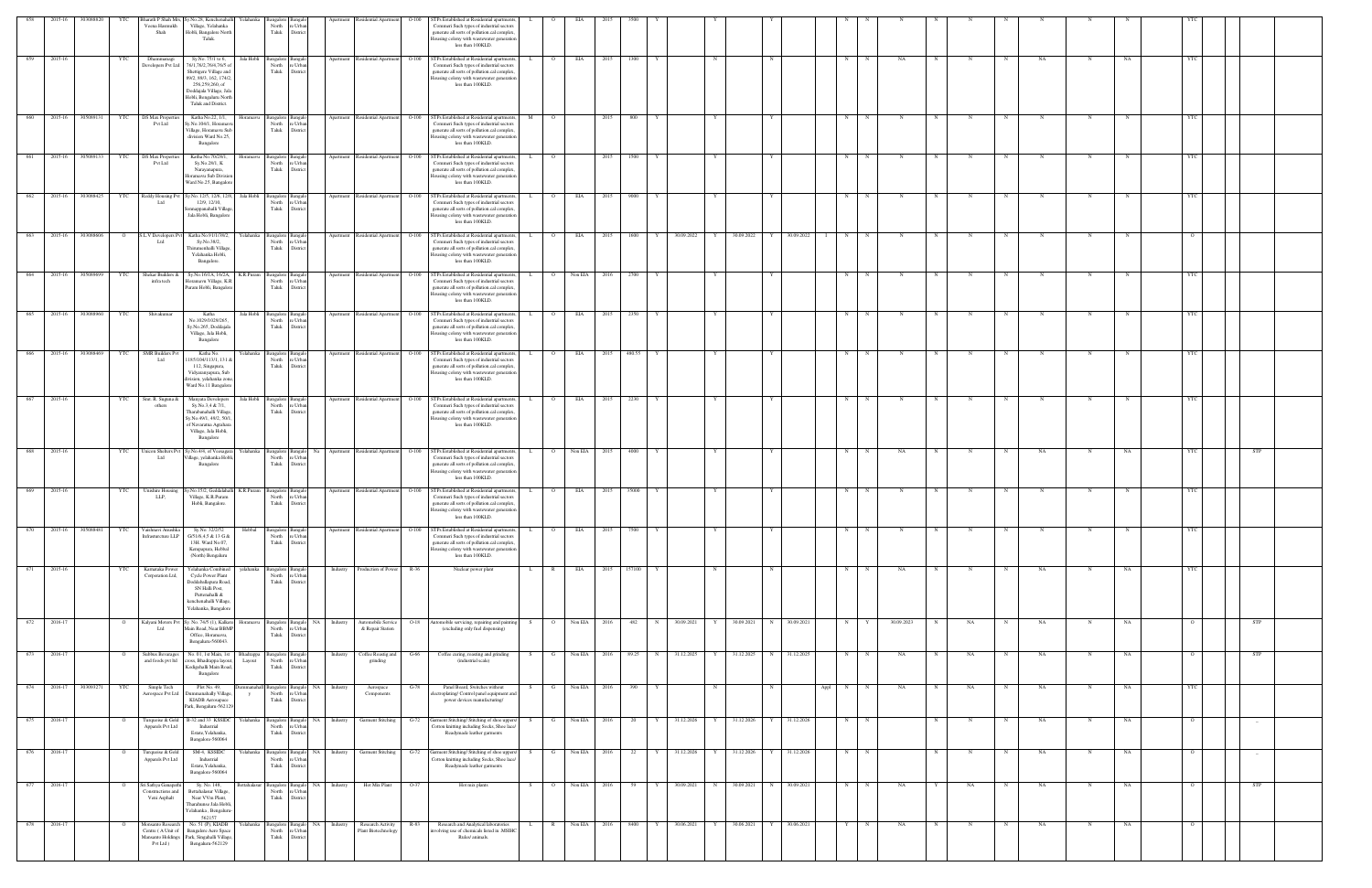| 658         | 2015-16     | 303088820 |                | harath P Shah Mrs,                                  | Sy.No.28, Kenchenahal<br>felahanka                                          |                                              |                                | partmen   | tesidential Apartment                 |         | TPs Established at Residential apartments                                                                                                                  |      |                |              |      |        |   |              |              |              |             |              |                   |             |             |   |    |            |             |             |             |                |            |  |
|-------------|-------------|-----------|----------------|-----------------------------------------------------|-----------------------------------------------------------------------------|----------------------------------------------|--------------------------------|-----------|---------------------------------------|---------|------------------------------------------------------------------------------------------------------------------------------------------------------------|------|----------------|--------------|------|--------|---|--------------|--------------|--------------|-------------|--------------|-------------------|-------------|-------------|---|----|------------|-------------|-------------|-------------|----------------|------------|--|
|             |             |           |                | Veena Hasmukh<br>Shah                               | Village, Yelahanka<br>Hobli, Bangalore North<br>Taluk.                      | North<br>Taluk                               | e Urbar<br>District            |           |                                       |         | Commeri Such types of industrial sectors<br>generate all sorts of pollution.cal complex.<br>lousing colony with wastewater generation<br>less than 100KLD. |      |                |              |      |        |   |              |              |              |             |              |                   |             |             |   |    |            |             |             |             |                |            |  |
| 659         | 2015-16     |           | YTC            | Dhammanagi<br>Developers Pvt Ltd                    | Sy.No. 75/1 to 6,<br>Jala Hobli<br>76/1,76/2,76/4,76/5 of                   | 3angalore<br>North                           | e Urba                         | Apartment | Residential Apartment                 | $O-100$ | STPs Established at Residential apartments<br>Commeri Such types of industrial sectors                                                                     |      |                | EIA          | 2015 | 1300   |   |              | N            |              |             |              | N                 |             | NA          |   |    |            | NA          |             | NA          |                |            |  |
|             |             |           |                |                                                     | Shettigere Village and<br>89/2, 89/3, 162, 174/2,<br>256,259,260, of        | Taluk                                        | Distric                        |           |                                       |         | generate all sorts of pollution.cal complex.<br>lousing colony with wastewater generation<br>less than 100KLD.                                             |      |                |              |      |        |   |              |              |              |             |              |                   |             |             |   |    |            |             |             |             |                |            |  |
|             |             |           |                |                                                     | Doddajala Village, Jal<br>Hobli, Bengaluru North                            |                                              |                                |           |                                       |         |                                                                                                                                                            |      |                |              |      |        |   |              |              |              |             |              |                   |             |             |   |    |            |             |             |             |                |            |  |
| 660         | 2015-16     | 305089131 | <b>YTC</b>     | <b>DS Max Properti</b>                              | Taluk and District.<br>Katha No.22, 1/1,                                    | ingalore                                     |                                | Apartment | Residential Apartment                 | $O-100$ | STPs Established at Residential apartments,                                                                                                                |      | $\Omega$       |              | -201 | 800    |   |              |              |              |             |              | N                 |             |             |   |    |            |             |             |             |                |            |  |
|             |             |           |                | Pvt Ltd                                             | y.No.104/1, Horama<br>Village, Horamavu Sul                                 | North<br>Taluk                               | e Urba<br>District             |           |                                       |         | Commeri Such types of industrial sectors<br>generate all sorts of pollution.cal complex,                                                                   |      |                |              |      |        |   |              |              |              |             |              |                   |             |             |   |    |            |             |             |             |                |            |  |
|             |             |           |                |                                                     | division Ward No.25,<br>Bangalore                                           |                                              |                                |           |                                       |         | ousing colony with wastewater generation<br>less than 100KLD.                                                                                              |      |                |              |      |        |   |              |              |              |             |              |                   |             |             |   |    |            |             |             |             |                |            |  |
| 661         | 2015-16     | 305089133 | <b>YTC</b>     | <b>DS Max Properties</b><br>Pvt Ltd                 | Katha No.70/28/1,<br>Horamavu<br>Sy.No.28/1, K                              | Bangalore Bangal<br>North<br>Taluk           | re Urba<br>District            |           | Apartment Residential Apartment O-100 |         | STPs Established at Residential apartments,<br>Commeri Such types of industrial sectors                                                                    |      | $\overline{O}$ |              | 2015 | 1500   | Y |              | Y            |              |             |              | N                 | $\mathbf N$ | N           | N | N  | N          | N           | $_{\rm N}$  |             | <b>YTC</b>     |            |  |
|             |             |           |                |                                                     | Narayanapura,<br>Ioramavu Sub Divisio<br>Ward No.25, Bangalor               |                                              |                                |           |                                       |         | generate all sorts of pollution.cal complex<br>lousing colony with wastewater generation<br>less than 100KLD.                                              |      |                |              |      |        |   |              |              |              |             |              |                   |             |             |   |    |            |             |             |             |                |            |  |
| 662         | 2015-16     | 303088425 | <b>YTC</b>     | Reddy Housing Pv<br>Ltd                             | y.No. 12/5, 12/6, 12/8<br>Jala Hobli<br>12/9, 12/10,                        | angalore Bangalo<br>North                    | e Urba                         |           | Apartment Residential Apartment O-100 |         | STPs Established at Residential apartments,<br>Commeri Such types of industrial sectors                                                                    |      |                | EIA          | 2015 | 9000   |   |              |              |              |             |              | N                 |             |             |   |    |            |             |             |             |                |            |  |
|             |             |           |                |                                                     | onnappanahalli Villag<br>Jala Hobli, Bangalore                              | Taluk                                        | District                       |           |                                       |         | generate all sorts of pollution.cal complex.<br>Iousing colony with wastewater generation                                                                  |      |                |              |      |        |   |              |              |              |             |              |                   |             |             |   |    |            |             |             |             |                |            |  |
| 663         | 2015-16     | 303088606 | $\overline{O}$ | S.L.V Developers Pvt                                | Katha No.91/1/38/2,<br>Yelahanka                                            | angalore Bangal                              |                                |           | Apartment Residential Apartment O-100 |         | less than 100KLD.<br>STPs Established at Residential apartments,                                                                                           |      | $\overline{O}$ | <b>EIA</b>   | 2015 | 1600   | Y | 30.09.2022   | Y            | 30.09.2022   | I Y         | 30.09.2022   | N<br>$\mathbf{I}$ | $_{\rm N}$  | N           |   |    | N          |             | N           |             |                |            |  |
|             |             |           |                | Ltd                                                 | Sy.No.38/2,<br>Thirumenhalli Village,                                       | North<br>Taluk                               | e Urba<br>District             |           |                                       |         | Commeri Such types of industrial sectors<br>generate all sorts of pollution.cal complex.                                                                   |      |                |              |      |        |   |              |              |              |             |              |                   |             |             |   |    |            |             |             |             |                |            |  |
|             |             |           |                |                                                     | Yelahanka Hobli,<br>Bangalore.                                              |                                              |                                |           |                                       |         | lousing colony with wastewater generation<br>less than 100KLD.                                                                                             |      |                |              |      |        |   |              |              |              |             |              |                   |             |             |   |    |            |             |             |             |                |            |  |
| 664         | 2015-16     | 305089699 | YTC            | Shekar Builders &<br>infra tech                     | Sy.No.16/1A, 16/2A,<br>Ioramavu Village, K.I                                | K.R.Puram Bangalore Bangal<br>North<br>Taluk | re Urbar                       |           | Apartment Residential Apartment O-100 |         | STPs Established at Residential apartments,<br>Commeri Such types of industrial sectors                                                                    |      | $\overline{O}$ | Non EIA 2016 |      | 2700   |   |              | Y            |              |             |              | N                 |             | $\mathbf N$ |   |    | N          | $\mathbf N$ | N           |             | YTC            |            |  |
|             |             |           |                |                                                     | Puram Hobli, Bangalore                                                      |                                              | District                       |           |                                       |         | generate all sorts of pollution.cal complex.<br>lousing colony with wastewater generation<br>less than 100KLD.                                             |      |                |              |      |        |   |              |              |              |             |              |                   |             |             |   |    |            |             |             |             |                |            |  |
| 665         | 2015-16     | 303088960 | YTC            | Shivakumar                                          | Jala Hobli<br>Katha<br>No.1029/1029/265,                                    | Bangalore<br>North                           | e Urba                         | Apartment | Residential Apartment                 | $O-100$ | STPs Established at Residential apartments,<br>Commeri Such types of industrial sectors                                                                    |      |                | EIA          | 2015 | 2350   |   |              |              |              |             |              | N                 |             | N           |   |    |            |             | N           |             | YTC            |            |  |
|             |             |           |                |                                                     | Sy.No.265, Doddajala<br>Village, Jala Hobli,                                | Taluk                                        | District                       |           |                                       |         | generate all sorts of pollution.cal complex.<br>lousing colony with wastewater generation                                                                  |      |                |              |      |        |   |              |              |              |             |              |                   |             |             |   |    |            |             |             |             |                |            |  |
| 666         | 2015-16     | 303088469 | <b>YTC</b>     | <b>SMR</b> Builders Pv                              | Bangalore<br>Katha No.                                                      | Yelahanka Bangalore Bangalo                  |                                |           | Apartment Residential Apartment O-100 |         | less than 100KLD.<br>STPs Established at Residential apartments,                                                                                           |      | $\overline{O}$ | EIA <b>E</b> | 2015 | 480.55 |   |              |              |              |             |              | N                 | $\mathbf N$ | N           |   |    | N          |             | N           |             | <b>YTC</b>     |            |  |
|             |             |           |                | Ltd                                                 | 185/104/113/1, 1318<br>112, Singapura,                                      | North<br>Taluk                               | e Urba<br>District             |           |                                       |         | Commeri Such types of industrial sectors<br>generate all sorts of pollution.cal complex,                                                                   |      |                |              |      |        |   |              |              |              |             |              |                   |             |             |   |    |            |             |             |             |                |            |  |
|             |             |           |                |                                                     | Vidyaranyapura, Sub<br>ivision, yelahanka zone<br>Ward No.11 Bangalore      |                                              |                                |           |                                       |         | lousing colony with wastewater generation<br>less than 100KLD.                                                                                             |      |                |              |      |        |   |              |              |              |             |              |                   |             |             |   |    |            |             |             |             |                |            |  |
| 667         | 2015-16     |           | YTC            | Smt. R. Suguna &                                    | Manyata Developers                                                          | Jala Hobli Bangalore Bangalo                 |                                |           | Apartment Residential Apartment O-100 |         | STPs Established at Residential apartments,                                                                                                                | $-L$ | $\overline{O}$ | EIA <b>E</b> | 2015 | 2230   | Y |              | Y            |              |             |              | N                 | $\mathbf N$ | N           | N | N  | N          | $\mathbf N$ | $\mathbf N$ |             | YTC            |            |  |
|             |             |           |                | others                                              | Sy.No.3,4 & 7/1,<br>Tharabanahalli Village<br>sy.No.49/1, 49/2, 50/1        | North<br>Taluk                               | re Urbar<br>District           |           |                                       |         | Commeri Such types of industrial sectors<br>generate all sorts of pollution.cal complex<br>lousing colony with wastewater generation                       |      |                |              |      |        |   |              |              |              |             |              |                   |             |             |   |    |            |             |             |             |                |            |  |
|             |             |           |                |                                                     | of Navaratna Agrahara<br>Village, Jala Hobli,<br>Bangalore                  |                                              |                                |           |                                       |         | less than 100KLD.                                                                                                                                          |      |                |              |      |        |   |              |              |              |             |              |                   |             |             |   |    |            |             |             |             |                |            |  |
| 668 2015-16 |             |           | YTC            | <b>Jnicon Shelters Py</b>                           | y.No.4/4, of Veesagar<br>relahanka                                          | Bangalore Bangalo                            | Na                             |           | Apartment Residential Apartment O-100 |         | STPs Established at Residential apartments,                                                                                                                |      | $\overline{O}$ | Non EIA 2015 |      | 4000   |   |              | Y            |              |             |              | N                 |             | NA          |   |    | $_{\rm N}$ | NA          | N           | NA          | YTC            | <b>STP</b> |  |
|             |             |           |                | Ltd                                                 | 'illage, yelahanka Hob<br>Bangalore                                         | North<br>Taluk                               | e Urba<br>District             |           |                                       |         | Commeri Such types of industrial sectors<br>generate all sorts of pollution.cal complex.<br>Iousing colony with wastewater generation                      |      |                |              |      |        |   |              |              |              |             |              |                   |             |             |   |    |            |             |             |             |                |            |  |
|             |             |           |                |                                                     |                                                                             |                                              |                                |           |                                       |         | less than 100KLD.                                                                                                                                          |      |                |              |      |        |   |              |              |              |             |              |                   |             |             |   |    |            |             |             |             |                |            |  |
| 669         | 2015-16     |           | YTC            | Unishire Housin<br>LLP,                             | /.No.15/2, Geddalah<br>K.R.Puram<br>Village, K.R.Puram<br>Hobli, Bangalore. | angalore<br>North<br>Taluk                   | e Urba<br>District             |           | Apartment Residential Apartment       | $O-100$ | STPs Established at Residential apartments<br>Commeri Such types of industrial sectors<br>generate all sorts of pollution.cal complex,                     |      | $\circ$        | EIA          | 2015 | 35000  |   |              |              |              |             |              | N                 |             |             |   |    |            |             |             |             |                |            |  |
|             |             |           |                |                                                     |                                                                             |                                              |                                |           |                                       |         | Housing colony with wastewater generation<br>less than 100KLD.                                                                                             |      |                |              |      |        |   |              |              |              |             |              |                   |             |             |   |    |            |             |             |             |                |            |  |
| 670         | 2015-16     | 305088481 | YTC            | Vaishnavi Anushka<br>Infrasturcture LLP             | Sy.No. 32/2/52<br>Hebbal<br>G/51/6,4,5 & 13 G &                             | Bangalore<br>North                           | Bangal<br>re Urbar             | Apartment | Residential Apartment  O-100          |         | TPs Established at Residential apartments<br>Commeri Such types of industrial sectors                                                                      |      | $\overline{O}$ | EIA          | 2015 | 7500   |   |              |              |              |             |              | N                 |             |             |   |    |            |             |             |             | <b>YTC</b>     |            |  |
|             |             |           |                |                                                     | 13H. Ward No.07,<br>Kempapura, Hebbal<br>(North) Bengaluru                  | Taluk                                        | District                       |           |                                       |         | generate all sorts of pollution.cal complex.<br>Iousing colony with wastewater generation<br>less than 100KLD.                                             |      |                |              |      |        |   |              |              |              |             |              |                   |             |             |   |    |            |             |             |             |                |            |  |
| 671         | 2015-16     |           | YTC            | Karnataka Power                                     | Yelahanka Combine<br>yelahanka                                              | sangalore                                    |                                | Industry  | Production of Power                   | R-36    | Nuclear power plant                                                                                                                                        |      | R              | EIA          |      | 157100 |   |              |              |              |             |              | N                 |             | NA          |   |    |            | NA          |             | NA          |                |            |  |
|             |             |           |                | Corporation Ltd,                                    | Cycle Power Plant<br>Doddaballapura Road<br>SN Halli Post,                  | North<br>Taluk                               | e Urba<br>District             |           |                                       |         |                                                                                                                                                            |      |                |              |      |        |   |              |              |              |             |              |                   |             |             |   |    |            |             |             |             |                |            |  |
|             |             |           |                |                                                     | Puttenahalli &<br>kenchenahalli Village                                     |                                              |                                |           |                                       |         |                                                                                                                                                            |      |                |              |      |        |   |              |              |              |             |              |                   |             |             |   |    |            |             |             |             |                |            |  |
| 672         | 2016-17     |           | $\circ$        | Kalyani Motors Pv                                   | Yelahanka, Bangalore<br>sy. No. 74/5 (1), Kalker<br>Horamavu                | Bangalore Bangalo                            | NA                             | Industry  | Automobile Service                    | $O-18$  | Automobile servicing, repairing and painting                                                                                                               |      | $\overline{O}$ | Non EIA 2016 |      | 482    | N | 30.09.2021   | Y            | 30.09.2021   | $\mathbf N$ | 30.09.2021   | N                 |             | 30.09.2023  |   | NA | $_{\rm N}$ | NA          | $\mathbf N$ | $_{\rm NA}$ | $\Omega$       | <b>STP</b> |  |
|             |             |           |                | Ltd                                                 | Main Road, Near BBMP<br>Office, Horamavu,<br>Bengaluru-560043.              | North<br>Taluk                               | e Urbar<br>District            |           | & Repair Station                      |         | (excluding only fuel dispensing)                                                                                                                           |      |                |              |      |        |   |              |              |              |             |              |                   |             |             |   |    |            |             |             |             |                |            |  |
| 673         | 2016-17     |           |                | Subbus Bevarages                                    | No. 01, 1st Main, 1st<br>Bhadrappa                                          | Bangalore Bangal                             |                                | Industry  | Coffee Roastig and                    | $G-66$  | Coffee curing, roasting and grinding                                                                                                                       | S.   | $\mathbf{G}$   | Non EIA 2016 |      | 89.25  |   | N 31.12.2025 | Y            | 31.12.2025   |             | N 31.12.2025 | N                 | $\mathbb N$ | NA          | N | NA | N          | NA.         | N           | <b>NA</b>   | $\overline{O}$ | <b>STP</b> |  |
|             |             |           |                | and foods pvt ltd                                   | cross, Bhadrappa layout,<br>Layout<br>Codigehalli Main Road<br>Bangalore    | North re Urban<br>Taluk                      | District                       |           | grinding                              |         | (industrial scale)                                                                                                                                         |      |                |              |      |        |   |              |              |              |             |              |                   |             |             |   |    |            |             |             |             |                |            |  |
| 674         | 2016-17     | 303093271 | YTC            | Simple Tech                                         | Plot No. 49,                                                                |                                              | umanahall Bangalore Bangalo NA | Industry  | Aerospace                             | G-78    | Panel Board, Switches without                                                                                                                              | S.   | G              | Non EIA 2016 |      | 390    | Y |              | N            |              | N           |              | N<br>Appl         | $_{\rm N}$  | NA          | N | NA | N          | <b>NA</b>   | $\mathbf N$ | NA          | <b>YTC</b>     |            |  |
|             |             |           |                | Aerospace Pvt Ltd                                   | Jummanahally Village<br>KIADB Aerosapace<br>Park, Bengaluru-56212           | North<br>Taluk                               | e Urban<br>District            |           | Components                            |         | ectroplating/Control panel equipment and<br>power devices manufacturing/                                                                                   |      |                |              |      |        |   |              |              |              |             |              |                   |             |             |   |    |            |             |             |             |                |            |  |
|             | 675 2016-17 |           |                | Turquoise & Gold                                    | Yelahanka<br>B-32 and 33 KSSIDC                                             | sangalore Bangalo                            | e Urba                         |           | NA Industry Garment Stitching         | $G-72$  | Garment Stitching/Stitching of shoe uppers/                                                                                                                |      | G              | Non EIA 2016 |      | 20     | Y | 31.12.2026   | Y            | 31.12.2026 Y |             | 31.12.2026   | N                 | N           |             |   |    | N          | NA          | N           | NA          | $\Omega$       |            |  |
|             |             |           |                | Apparels Pvt Ltd                                    | Industrial<br>Estate, Yelahanka,<br>Bangalore-560064                        | North<br>Taluk                               | District                       |           |                                       |         | lotton knitting including Socks, Shoe lace/<br>Readymade leather garments                                                                                  |      |                |              |      |        |   |              |              |              |             |              |                   |             |             |   |    |            |             |             |             |                |            |  |
| 676         | 2016-17     |           |                | Turquoise & Gold<br>Apparels Pvt Ltd                | SM-4, KSSIDC<br>Yelahanka<br>Industrial                                     | Bangalore Bangalo<br>North                   | NA<br>re Urban                 | Industry  | <b>Garment Stitching</b>              | G-72    | Garment Stitching/ Stitching of shoe uppers/<br>Cotton knitting including Socks, Shoe lace/                                                                |      | G              | Non EIA 2016 |      | 22     | Y | 31.12.2026   | $\mathbf{Y}$ | 31.12.2026   |             | 31.12.2026   | N                 | $\mathbb N$ |             |   |    | $_{\rm N}$ | NA          | N           | NA          | $\circ$        | $-$        |  |
|             |             |           |                |                                                     | Estate, Yelahanka,<br>Bangalore-560064                                      | Taluk                                        | District                       |           |                                       |         | Readymade leather garments                                                                                                                                 |      |                |              |      |        |   |              |              |              |             |              |                   |             |             |   |    |            |             |             |             |                |            |  |
| 677         | 2016-17     |           |                | Sri Sathya Ganapat<br>Constructions and             | Sy. No. 148,<br><b>Settahalasur</b><br>Bettahalasur Village,                | Bangalore Bangalo<br>North                   | NA<br>e Urba                   | Industry  | Hot Mix Plant                         | O-37    | Hot mix plants                                                                                                                                             | - S  | $\overline{O}$ | Non EIA      | 2016 | 59     | Y | 30.09.2021   | N            | 30.09.2021   |             | 30.09.2021   | N                 |             | NA          |   | NA | N          | NA          | N           | NA          | $\circ$        | <b>STP</b> |  |
|             |             |           |                | Veni Asphalt                                        | Near VVm Plant,<br>Tharahunse Jala Hobli                                    | Taluk                                        | District                       |           |                                       |         |                                                                                                                                                            |      |                |              |      |        |   |              |              |              |             |              |                   |             |             |   |    |            |             |             |             |                |            |  |
| 678         | 2016-17     |           |                | Aonsanto Researc                                    | relahanka, Bengaluru<br>562157<br>No. 51 (P), KIADB<br>r'elahanka           | sangalore                                    |                                | Industry  | Research Activity                     | R-83    | Research and Analytical laboratories                                                                                                                       |      |                | Non EIA      |      | 8400   |   | 30.06.2021   |              | 30.06.2021   |             | 30.06.2021   |                   |             | NА          |   |    |            | NA          |             | NA          |                |            |  |
|             |             |           |                | Centre (A Unit of<br>Mansanto Holdings<br>Pvt Ltd ) | Bangalore Aero Space<br>Park, Singahalli Village<br>Bengaluru-562129        | North<br>Taluk                               | e Urba<br>District             |           | Plant Biotechnology                   |         | volving use of chemicals listed in .MSIHC<br>Rules/ animals.                                                                                               |      |                |              |      |        |   |              |              |              |             |              |                   |             |             |   |    |            |             |             |             |                |            |  |
|             |             |           |                |                                                     |                                                                             |                                              |                                |           |                                       |         |                                                                                                                                                            |      |                |              |      |        |   |              |              |              |             |              |                   |             |             |   |    |            |             |             |             |                |            |  |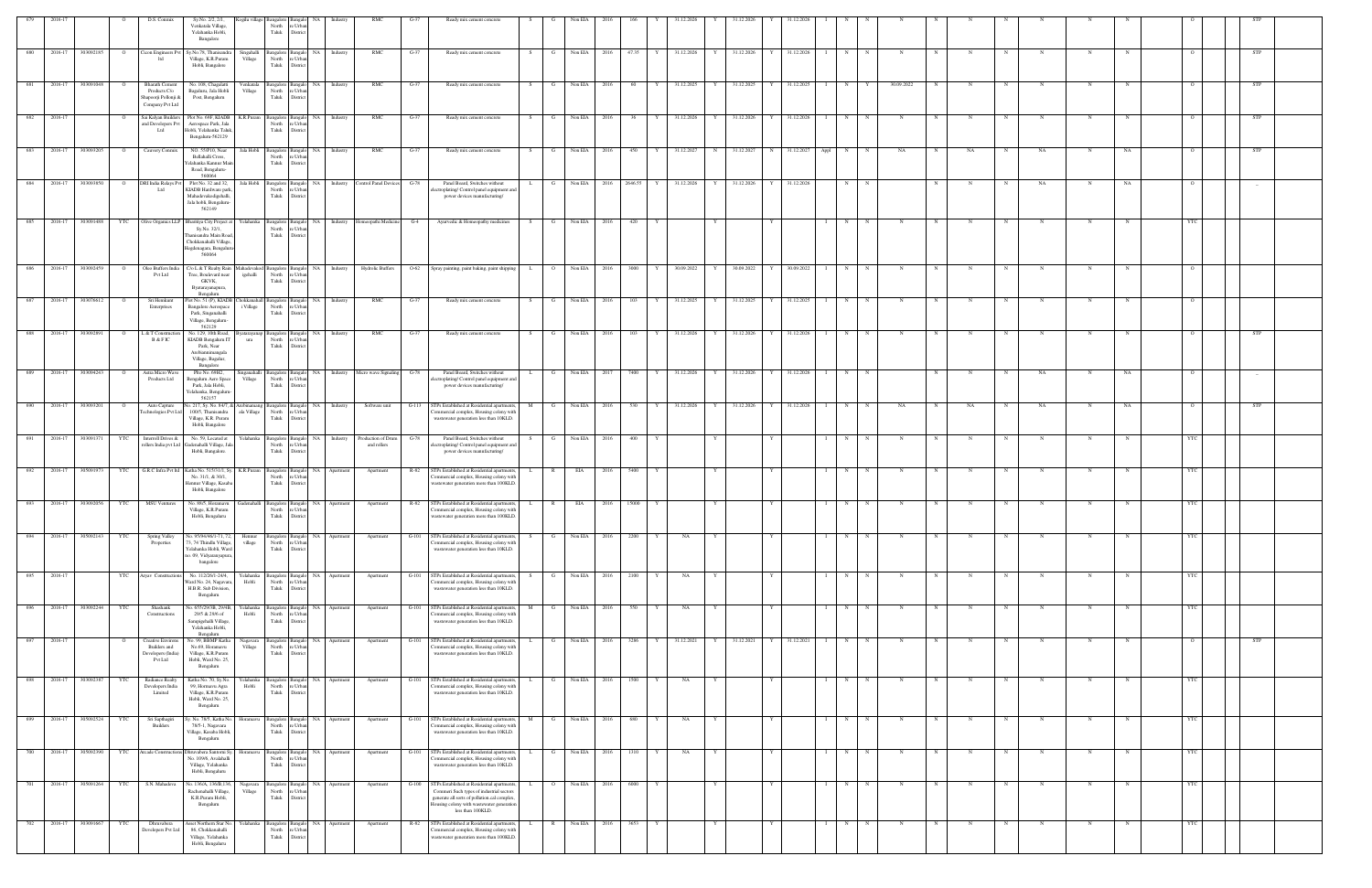| 679         | 2016-1  |           |                | D.S. Conmix                                                               | Sy.No. 2/2, 2/1,                                                                                                                                 |                      | ogilu village Bangalore                |                                                                 | Industr   | <b>RMC</b>                                                 | G-37    | Ready mix cement concrete                                                                                                                                 |     |              | Non EIA          |         |   | 1.12.2020       |            | 31.12.2026 |                      |                   |             |             |             |                   |             |             |    |            |            |  |
|-------------|---------|-----------|----------------|---------------------------------------------------------------------------|--------------------------------------------------------------------------------------------------------------------------------------------------|----------------------|----------------------------------------|-----------------------------------------------------------------|-----------|------------------------------------------------------------|---------|-----------------------------------------------------------------------------------------------------------------------------------------------------------|-----|--------------|------------------|---------|---|-----------------|------------|------------|----------------------|-------------------|-------------|-------------|-------------|-------------------|-------------|-------------|----|------------|------------|--|
|             |         |           |                |                                                                           | Venkatala Village,<br>Yelahanka Hobli,<br>Bangalore                                                                                              |                      | North<br>Taluk                         | : Urbar<br>District                                             |           |                                                            |         |                                                                                                                                                           |     |              |                  |         |   |                 |            |            |                      |                   |             |             |             |                   |             |             |    |            |            |  |
| 680 2016-17 |         | 303092185 | $\overline{O}$ |                                                                           | Cicon Engineers Pvt Sy.No.78, Thanisandra<br>Village, K.R.Puram<br>Hobli, Bangalore                                                              | Village              | North<br>Taluk                         | Singahalli Bangalore Bangalo NA Industry<br>e Urban<br>District |           | RMC                                                        | $G-37$  | Ready mix cement concrete                                                                                                                                 | S   | $\mathbf{G}$ | Non EIA 2016     | 47.35   |   | 31.12.2026      | 31.12.2026 |            | 31.12.2026           | N<br>$\mathbf{I}$ | N           | N           |             | N<br>N            | $\mathbf N$ | N           |    |            | <b>STP</b> |  |
|             | 2016-17 | 303091048 |                | <b>Bharath Cemen</b><br>Products C/o                                      | No. 108, Chagalatti<br>Bagaluru, Jala Hobli                                                                                                      | Venkatala<br>Village | <b>Bangalore</b><br>North              | NA<br>Bangalo<br>re Urban                                       | Industry  | RMC                                                        | $G-37$  | Ready mix cement concrete                                                                                                                                 | - S | G            | Non EIA<br>2016  | 60      |   | 31.12.2025      | 31.12.2025 |            | 31.12.2025           | N                 |             | 30.09.2022  |             |                   |             |             |    |            | STP        |  |
| 682         | 2016-17 |           | $\circ$        | Shapoorji Pollonji &<br>Company Pvt Ltd<br>Sai Kalyan Builders            | Post, Bengaluru<br>Plot No. 69F, KIADB                                                                                                           |                      | Taluk                                  | District<br>K.R.Puram Bangalore Bangalo NA                      | Industry  | RMC                                                        | $G-37$  | Ready mix cement concrete                                                                                                                                 | S.  | $\mathbf{G}$ | Non EIA<br>2016  | 36      |   | 31.12.2026<br>Y | 31.12.2026 |            | 31.12.2026<br>Y      | N<br>$\mathbf{I}$ | N           | $\mathbf N$ |             | N                 | N           | N           |    |            | STP        |  |
|             |         |           |                | and Developers Pvt<br>Ltd                                                 | Aerospace Park, Jala<br>Hobli, Yelahanka Taluk<br>Bengaluru-562129                                                                               |                      | North<br>Taluk                         | e Urban<br>District                                             |           |                                                            |         |                                                                                                                                                           |     |              |                  |         |   |                 |            |            |                      |                   |             |             |             |                   |             |             |    |            |            |  |
| 683         | 2016-17 | 303093205 | $\overline{O}$ | Cauvery Conmix                                                            | NO. 55/P10, Near<br>Bellahalli Cross,<br>Yelahanka Kannur Ma<br>Road, Bengaluru-<br>560064                                                       |                      | North<br>Taluk                         | Jala Hobli Bangalore Bangalo NA<br>e Urbai<br>District          | Industry  | RMC                                                        | $G-37$  | Ready mix cement concrete                                                                                                                                 | S.  | $\mathbf{G}$ | Non EIA 2016     | 450     |   | 31.12.2027<br>N | 31.12.2027 |            | N 31.12.2027<br>Appl | N                 | N           | NA          |             | NA<br>$\mathbf N$ | NA          |             | NA |            | STP        |  |
| 684         | 2016-17 | 303093850 | $\circ$        | DRI India Relays Pvt<br>Ltd                                               | Plot No. 32 and 32<br>KIADB Hardware par<br>Mahadevakodigehalli,<br>Jala hobli, Bengaluru                                                        |                      | Jala Hobli Bangalore<br>North<br>Taluk | Bangalo NA<br>e Urban<br>District                               | Industry  | Control Panel Devices                                      | $G-78$  | Panel Board, Switches without<br>lectroplating/Control panel equipment and<br>power devices manufacturing/                                                |     | G            | Non EIA<br>2016  | 2646.55 |   | 31.12.2026      |            | 31.12.2026 | 31.12.2026           | N                 |             |             |             |                   | NA          | N           | NA |            | $-$        |  |
| 685         | 2016-17 | 303091488 | YTC            |                                                                           | 562149<br>Olive Organics LLP Bharitiya City Project at<br>Sy.No. 32/1,                                                                           |                      | North                                  | Yelahanka Bangalore Bangalo NA<br>e Urban                       |           | Industry Homeopathi Medicine                               | $G-4$   | Ayurvedic & Homeopathy medicines                                                                                                                          | S.  | G            | Non EIA<br>2016  | 420     |   |                 |            |            |                      | N                 |             |             |             |                   |             |             |    |            |            |  |
|             |         |           |                |                                                                           | hanisandra Main Road<br>Chokkanahalli Village,<br>Hegdenagara, Bengalur<br>560064                                                                |                      | Taluk                                  | District                                                        |           |                                                            |         |                                                                                                                                                           |     |              |                  |         |   |                 |            |            |                      |                   |             |             |             |                   |             |             |    |            |            |  |
| 686 2016-17 |         | 303092459 | $\overline{O}$ | Oleo Buffers India<br>Pvt Ltd                                             | C/o L & T Realty Rain<br>Tree, Boulevard near<br>GKVK,<br>Byatarayanapura,                                                                       | igehalli             | North<br>Taluk                         | e Urban<br>District                                             |           | Mahadevakod Bangalore Bangalo NA Industry Hydrolic Buffers | $O-62$  | Spray painting, paint baking, paint shipping                                                                                                              | L   |              | O Non EIA 2016   | 3000    |   | 30.09.2022<br>Y | 30.09.2022 |            | 30.09.2022           | N                 | N           |             |             |                   |             | N           |    |            |            |  |
| 687         | 2016-17 | 303076612 | $\circ$        | Sri Hemkunt<br>Enterprises                                                | Bengaluru<br>Plot No. 51 (P), KIADB Chokkanahall Bangalore Bangalo NA<br><b>Bangalore Aerospace</b><br>Park, Singanahalli<br>Village, Bengaluru- | i Village            | North<br>Taluk                         | e Urban<br>District                                             | Industry  | RMC                                                        | $G-37$  | Ready mix cement concrete                                                                                                                                 | S.  | G            | Non EIA<br>2016  | 103     |   | 31.12.2025<br>Y | 31.12.2025 |            | 31.12.2025           | N                 |             |             |             |                   |             | N           |    |            |            |  |
| $-688$      | 2016-17 | 303092891 | $\overline{O}$ | L & T Construction<br>B & FIC                                             | 562129<br>No. 129, 10th Road,<br>KIADB Bengaluru IT                                                                                              | ura                  | North                                  | yatarayanap Bangalore Bangalo NA Industry<br>re Urban           |           | RMC                                                        | $G-37$  | Ready mix cement concrete                                                                                                                                 | S   | $\mathbf{G}$ | Non EIA<br>2016  | 103     | Y | 31.12.2026<br>Y | 31.12.2026 |            | Y 31.12.2026         | N<br>$\mathbf{I}$ | N           | N           | N           | N<br>$\mathbf N$  | $_{\rm N}$  | $\mathbf N$ |    |            | STP        |  |
| 689         | 2016-17 | 303094243 |                | Astra Micro Wave                                                          | Park, Near<br>Arebiannimangala<br>Village, Bagalur,<br>Bangalore<br>Plto No. 69H2,                                                               |                      | Taluk                                  | District<br>Singanahalli Bangalore Bangalo NA Industry          |           |                                                            | $G-78$  | Panel Board, Switches without                                                                                                                             |     |              | Non EIA 2017     | 7400    |   |                 | 31.12.2026 |            | 31.12.2026           | N                 | N           |             | N           | $\mathbf N$       |             |             |    |            |            |  |
|             |         |           | $\overline{O}$ | Products Ltd                                                              | Bengaluru Aero Space<br>Park, Jala Hobli,<br>Yelahanka, Bengaluru<br>562157                                                                      | Village              | North<br>Taluk                         | e Urban<br>District                                             |           | Micro wave Signaling                                       |         | ectroplating/Control panel equipment and<br>power devices manufacturing/                                                                                  | L.  | $\mathbf{G}$ |                  |         |   | 31.12.2026<br>Y |            |            |                      |                   |             |             |             |                   | NA          | N           | NA |            | $-$        |  |
| 690         | 2016-17 | 303093201 | $\overline{O}$ | Auto Capture<br><b>Fechnologies Pvt Ltd</b>                               | No. 217, Sy. No. 84/7, & Arebinamang Bangalore Bangalo NA<br>100/5, Thanisandra<br>Village, K.R. Puram<br>Hobli, Bangalore                       | ala Village          | North<br>Taluk                         | e Urban<br>District                                             | Industry  | Software unit                                              | $G-113$ | STPs Established at Residential apartments,<br>ommercial complex, Housing colony with<br>wastewater generation less than 10KLD.                           | M   | $\mathbf{G}$ | Non EIA 2016     | 530     |   | 31.12.2026<br>Y |            | 31.12.2026 | 31.12.2026           | N                 | N           | NA          |             | NA<br>N           | NA          | N           | NA |            | <b>STP</b> |  |
| 691         | 2016-17 | 303091371 | YTC            | Interroll Drives &                                                        | No. 59, Located at<br>rollers India pvt Ltd Gadenahalli Village, Jal<br>Hobli, Bangalore.                                                        | Yelahanka            | North<br>Taluk                         | Bangalore Bangalo NA<br>e Urban<br>District                     | Industry  | Production of Drum<br>and rollers                          | $G-78$  | Panel Board, Switches without<br>electroplating/ Control panel equipment and<br>power devices manufacturing/                                              |     | G            | Non EIA<br>2016  | 400     |   |                 |            |            |                      | N                 |             |             |             |                   |             |             |    |            |            |  |
| $-692$      | 2016-17 | 305091973 | YTC            |                                                                           | G.R.C Infra Pvt ltd Katha No. 515/31/1, Sy<br>No. 31/1, & 30/1,<br><b>Jennur Village</b> , Kasaba                                                |                      | K.R.Puram Bangalore<br>North<br>Taluk  | e Urban<br>District                                             | Apartmen  | Apartment                                                  | R-82    | STPs Established at Residential apartment<br>Commercial complex, Housing colony with<br>wastewater generation more than 100KLD                            |     |              | EIA<br>2016      | 5400    |   |                 |            |            |                      | N                 |             |             |             |                   |             |             |    |            |            |  |
| 693 2016-17 |         | 303092056 | <b>YTC</b>     | <b>MSU</b> Ventures                                                       | Hobli, Bangalore<br>No. 88/5, Horamavu<br>Village, K.R.Puram<br>Hobli, Bengaluru                                                                 |                      | North                                  | Gadenahalli Bangalore Bangalo NA Apartment<br>e Urban           |           | Apartment                                                  |         | R-82 STPs Established at Residential apartments,<br>Commercial complex, Housing colony with<br>water generation more than 100KLD                          | L   | R            | EIA<br>2016      | 15000   |   |                 |            |            |                      | N                 |             |             |             |                   |             | N           |    | YTC        |            |  |
| 694         | 2016-17 | 305092143 | <b>YTC</b>     | Spring Valley<br>Properties                                               | No. 95/94/46/1-71, 72<br>73, 74 Thindlu Village,                                                                                                 | Hennur<br>village    | North                                  | Bangalore Bangalo NA<br>e Urban                                 | Apartment | Apartment                                                  | $G-101$ | STPs Established at Residential apartments<br>ommercial complex, Housing colony with                                                                      |     | G            | Non EIA<br>2016  | 2200    |   | NA              |            |            |                      | N                 |             |             |             |                   | N           | N           |    | <b>YTC</b> |            |  |
| 695 2016-17 |         |           | YTC            |                                                                           | Yelahanka Hobli, Ward<br>no. 09, Vidyaranyapura<br>bangalore                                                                                     |                      | Taluk                                  | District                                                        |           |                                                            |         | wastewater generation less than 10KLD.<br>STPs Established at Residential apartments,                                                                     |     | G            |                  |         |   |                 |            |            |                      |                   |             | N           |             |                   | N           | N           |    | YTC        |            |  |
|             |         |           |                | Aryav Constructions                                                       | No. 112/26/1-24/4,<br>Ward No. 24, Nagavara,<br>H.B.R. Sub Division,<br>Bengaluru                                                                | Yelahanka<br>Hobli   | North<br>Taluk                         | Bangalore Bangalo NA Apartment<br>e Urban<br>District           |           | Apartment                                                  | G-101   | mmercial complex, Housing colony with<br>wastewater generation less than 10KLD.                                                                           | S.  |              | Non EIA 2016     | 2100    |   | NA<br>Y         |            |            |                      | N<br>$\mathbf{I}$ |             |             |             |                   |             |             |    |            |            |  |
| 696         | 2016-17 | 303092244 | YTC            | Shashank<br>Constructions                                                 | Vo. 655/29/3B, 29/4B,<br>29/5 & 29/6 of<br>Sampigehalli Village<br>Yelahanka Hobli,<br>Bengaluru                                                 | Yelahanka<br>Hobli   | North<br>Taluk                         | Bangalore Bangalo NA<br>e Urban<br>District                     | Apartment | Apartment                                                  | $G-101$ | STPs Established at Residential apartments,<br>ommercial complex, Housing colony with<br>wastewater generation less than 10KLD.                           | M   | G            | Non EIA $2016$   | 550     | Y | NA<br>Y         |            |            |                      | N                 | N           | N           | N           | $\mathbf N$<br>N  | $\mathbf N$ | $\mathbf N$ |    | <b>YTC</b> |            |  |
| 697 2016-17 |         |           | $\circ$        | <b>Creative Environs</b><br>Builders and<br>Developers (India)<br>Pvt Ltd | No. 99, BBMP Katha<br>No.69, Horamavu<br>Village, K.R.Puram<br>Hobli, Ward No. 25.<br>Bengaluru                                                  | Nagavara<br>Village  | North<br>Taluk                         | Bangalore Bangalo NA Apartment<br>e Urban<br>District           |           | Apartment                                                  | $G-101$ | STPs Established at Residential apartments,<br>ommercial complex, Housing colony with<br>wastewater generation less than 10KLD.                           | L.  | G –          | Non EIA 2016     | 3286    | Y | 31.12.2021<br>Y | 31.12.2021 |            | Y 31.12.2021         | N<br>$\mathbf{I}$ | N           | N           | N           | $_{\rm N}$<br>N   | N           | $\mathbf N$ |    |            | <b>STP</b> |  |
| 698         | 2016-17 | 303092387 |                | Radiance Realty<br>Developers India<br>Limited                            | Katha No. 70, Sy.No<br>99, Hormavu Agra<br>Village, K.R.Puram                                                                                    | Yelahanka<br>Hobli   | <b>Bangalore</b><br>North<br>Taluk     | sangal<br>e Urban<br>District                                   | Apartment | Apartment                                                  | G-101   | STPs Established at Residential apartment<br>ommercial complex, Housing colony with<br>wastewater generation less than 10KLD.                             |     |              | Non EIA<br>12016 | 1500    |   | NA              |            |            |                      | N                 |             |             |             |                   |             |             |    |            |            |  |
| 699         | 2016-17 | 305092524 | YTC.           | Sri Sapthagiri<br><b>Builders</b>                                         | Hobli, Ward No. 25,<br>Bengaluru<br>y. No. 78/5, Katha No.<br>78/5-1, Nagavara                                                                   | Horamavu             | Bangalore<br>North                     | Bangalo NA<br>: Urban                                           | Apartment | Apartment                                                  | G-101   | STPs Established at Residential apartments<br>ommercial complex, Housing colony with                                                                      | M   | G            | Non EIA<br>2016  | 680     |   | NA              |            |            |                      | N                 | N           | N           |             |                   | N           | N           |    | <b>YTC</b> |            |  |
| 700 2016-17 |         | 305092390 | <b>YTC</b>     |                                                                           | Village, Kasaba Hobli,<br>Bengaluru<br>Arcade Constructions Dhruvabera Santorni Sy.                                                              |                      | Taluk                                  | District<br>Horamavu Bangalore Bangalo NA                       | Apartment | Apartment                                                  | $G-101$ | wastewater generation less than 10KLD.<br>STPs Established at Residential apartments,                                                                     | L.  | G            | Non EIA 2016     | 1310    |   | NA<br>Y         |            |            |                      | N<br>$\mathbf{I}$ | $\mathbf N$ | $\mathbf N$ | $\mathbf N$ | $_{\rm N}$<br>N   | N           | N           |    | YTC        |            |  |
| 701         | 2016-17 | 305091264 |                | S.N. Mahadeva                                                             | No. 109/6, Avalahalli<br>Village, Yelahanka<br>Hobli, Bengaluru<br>No. 136/A, 136/B, 136                                                         | Nagavara             | North<br>Taluk<br>Bangalore            | e Urban<br>District                                             | Apartmen  | Apartment                                                  | $G-100$ | mmercial complex, Housing colony with<br>wastewater generation less than 10KLD.<br>STPs Established at Residential apartmen                               |     | $\circ$      | Non EIA<br>2016  | 6000    |   |                 |            |            |                      | N                 |             |             |             |                   |             |             |    |            |            |  |
|             |         |           |                |                                                                           | Rachenahalli Village<br>K.R.Puram Hobli,<br>Bengaluru                                                                                            | Village              | North<br>Taluk                         | e Urban<br>District                                             |           |                                                            |         | Commeri Such types of industrial sectors<br>generate all sorts of pollution.cal complex<br>lousing colony with wastewater generation<br>less than 100KLD. |     |              |                  |         |   |                 |            |            |                      |                   |             |             |             |                   |             |             |    |            |            |  |
| 702         | 2016-17 | 303091667 | YTC            | Dhruvabera<br>Developers Pvt Ltd                                          | Asset Northern Star No.<br>86, Chokkanahalli<br>Village, Yelahanka<br>Hobli, Bengaluru                                                           | Yelahanka            | North<br>Taluk                         | Bangalore Bangalo NA<br>e Urban<br>District                     | Apartment | Apartment                                                  | R-82    | STPs Established at Residential apartments,<br>ommercial complex, Housing colony with<br>wastewater generation more than 100KLD                           | L   | R            | Non EIA 2016     | 3653    |   | Y               |            |            |                      | N<br>$\mathbf{I}$ | N           | $\mathbf N$ | N           | N<br>N            | $_{\rm N}$  | $\mathbf N$ |    | YTC        |            |  |
|             |         |           |                |                                                                           |                                                                                                                                                  |                      |                                        |                                                                 |           |                                                            |         |                                                                                                                                                           |     |              |                  |         |   |                 |            |            |                      |                   |             |             |             |                   |             |             |    |            |            |  |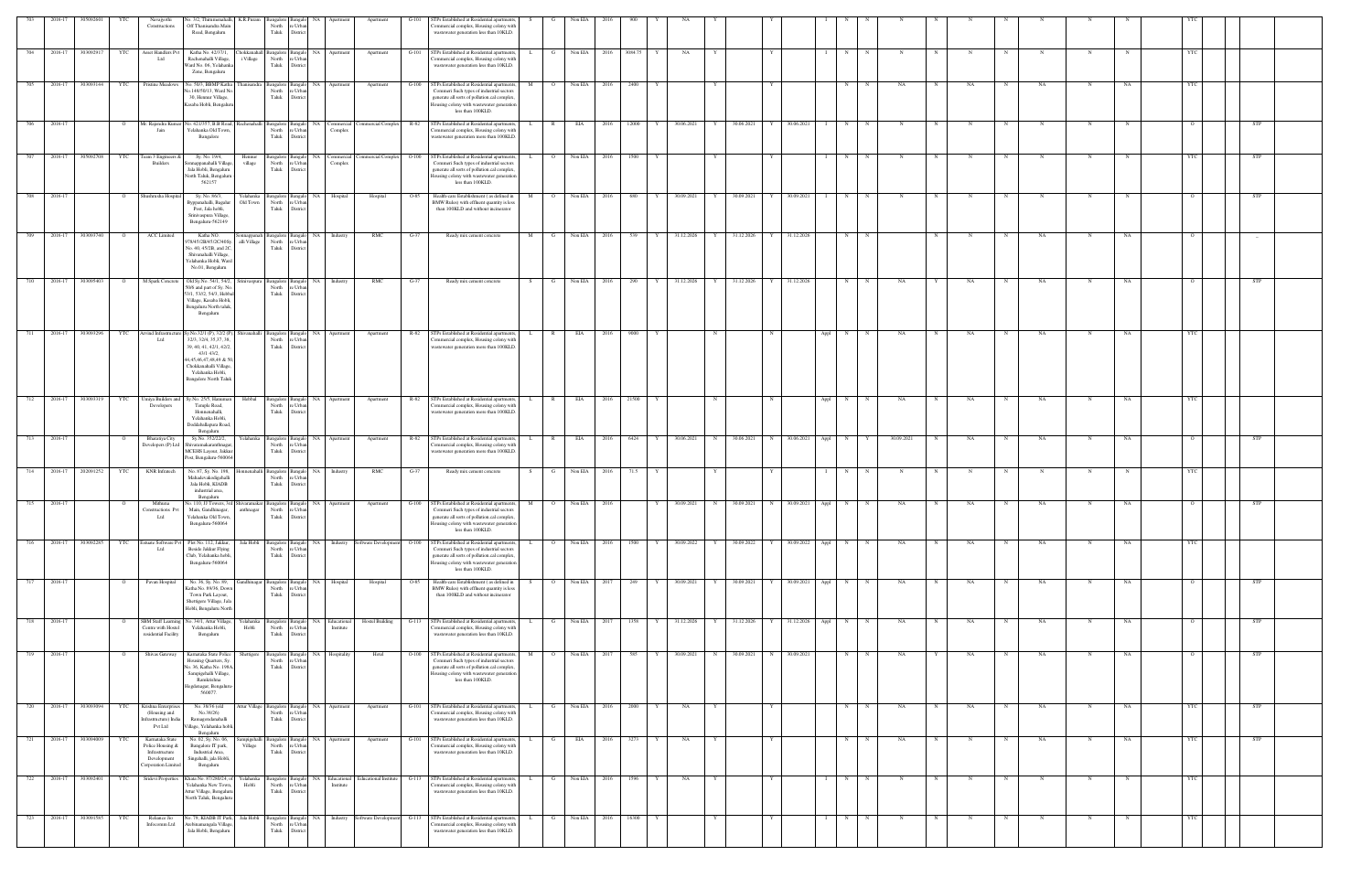|     |             |           |                | Navajyothi<br>Constructions                                                                | No. 3/2, Thirumenahalli,<br>Off Thanisandra Main<br>Road, Bengaluru                                                                                                                                | K.R.Puram                 | Bangalore Banga<br>North<br>Taluk   | re Urba<br>District                        |                                              |                                                          |         | TPs Established at Residential apartments<br>ommercial complex, Housing colony with<br>wastewater generation less than 10KLD.                                                                            |                     | Non El          |           |                 |            |   |                     |              |            |             |            |             |             |             |             |            |            |            |  |
|-----|-------------|-----------|----------------|--------------------------------------------------------------------------------------------|----------------------------------------------------------------------------------------------------------------------------------------------------------------------------------------------------|---------------------------|-------------------------------------|--------------------------------------------|----------------------------------------------|----------------------------------------------------------|---------|----------------------------------------------------------------------------------------------------------------------------------------------------------------------------------------------------------|---------------------|-----------------|-----------|-----------------|------------|---|---------------------|--------------|------------|-------------|------------|-------------|-------------|-------------|-------------|------------|------------|------------|--|
| 704 | 2016-17     | 303092917 | <b>YTC</b>     | Asset Handlers Pvt<br>Ltd                                                                  | Katha No. 42/37/1,<br>Rachenahalli Village,<br>Vard No. 06, Yelahanka<br>Zone, Bengaluru                                                                                                           | Chokkanahall<br>i Village | Taluk                               | North re Urban<br>District                 | Bangalore Bangalo NA Apartment               | Apartment                                                | $G-101$ | STPs Established at Residential apartments,<br>Commercial complex, Housing colony with<br>wastewater generation less than 10KLD.                                                                         | L.<br>G             | Non EIA<br>2016 | 3084.75 Y | NA<br>Y         |            |   |                     | N            |            | $\mathbf N$ | N          | $\mathbf N$ | $\mathbf N$ | $\mathbf N$ | $\mathbf N$ |            | <b>YTC</b> |            |  |
| 705 | 2016-17     | 303093144 | <b>YTC</b>     | Pristine Meadows                                                                           | No. 50/3, BBMP Katha<br>Vo.148/50/13, Ward No<br>30, Hennur Village,<br>Kasaba Hobli, Bengalur                                                                                                     | anisandra                 | North<br>Taluk                      | e Urbar<br>District                        | Bangalore Bangalo NA Apartment               | Apartment                                                | G-100   | STPs Established at Residential apartments,<br>Commeri Such types of industrial sectors<br>generate all sorts of pollution.cal complex<br>Housing colony with wastewater generation<br>less than 100KLD. | M<br>$\circ$        | Non EIA<br>2016 | 2400      |                 |            |   |                     | N            |            | NA          |            | NA          |             | NA          |             | NA         |            |            |  |
| 706 | 2016-17     |           | $\mathbf{o}$   | Mr. Rajendra Kum:<br>Jain                                                                  | No. 421/357, B.B Road, Rachenahalli<br>Yelahanka Old Town<br>Bangalore                                                                                                                             |                           | Bangalore Bangalo<br>North<br>Taluk | re Urban<br>District                       | NA Commercial<br>Complex                     | Commercial Complex R-82                                  |         | STPs Established at Residential apartments,<br>Commercial complex, Housing colony with<br>wastewater generation more than 100KLD.                                                                        | $\mathbb{R}$        | EIA<br>2016     | 12000     | 30.06.2021<br>Y | 30.06.2021 | Y | 30.06.2021          | N            | $_{\rm N}$ |             |            |             |             |             |             |            |            | STP        |  |
|     | 2016-17     | 305092708 | YTC            | leam 3 Engineers<br><b>Builders</b>                                                        | Sy. No. 19/4,<br>onnappanahalli Village,<br>Jala Hobli, Bengaluru<br>North Taluk, Bengaluru<br>562157                                                                                              | Hennur<br>village         | North                               | re Urban<br>Taluk District                 | Bangalore Bangalo NA Commercial<br>Complex   | Commercial Complex                                       | $O-100$ | STPs Established at Residential apartments<br>Commeri Such types of industrial sectors<br>generate all sorts of pollution.cal complex,<br>lousing colony with wastewater generation<br>less than 100KLD. |                     | Non EIA<br>2016 | 1500      |                 |            |   |                     | N            |            |             |            |             |             |             |             |            |            | STP        |  |
| 708 | 2016-17     |           | $\circ$        | Shushrusha Hospita                                                                         | Sy. No. 86/3,<br>syppanahalli, Bagalur<br>Post, Jala hobli,<br>Srinivaspura Village<br>Bengaluru-562149                                                                                            | Yelahanka<br>Old Town     | North<br>Taluk                      | e Urba<br>District                         | Bangalore Bangalo NA Hospital                | Hospital                                                 | O-85    | Health-care Establishment (as defined in<br>BMW Rules) with effluent quantity is less<br>than 100KLD and without incinerator                                                                             | M                   | Non EIA<br>2016 | 680       | 30.09.2021<br>Y | 30.09.2021 |   | 30.09.2021          | N            |            |             |            |             |             | N           | N           |            |            | <b>STP</b> |  |
| 709 | 2016-17     | 303093740 | $\circ$        | ACC Limited                                                                                | Katha NO.<br>978/45/2B/45/2C/40Sy.<br>No. 40, 45/2B, and 2C,<br>Shivanahalli Village,<br>Yelahanka Hobli, Ward<br>No.01, Bengaluru                                                                 | mappanah<br>alli Village  | North<br>Taluk                      | re Urba<br>District                        | Bangalore Bangalo NA Industry                | RMC                                                      | $G-37$  | Ready mix cement concrete                                                                                                                                                                                | M<br>G              | Non EIA<br>2016 | 539 Y     | 31.12.2026<br>Y | 31.12.2026 | Y | 31.12.2026          | N            |            |             |            |             |             | NA          |             | NA         |            |            |  |
| 710 | 2016-17     | 303095403 | $\overline{O}$ | M Spark Concrete                                                                           | Old Sy.No. 54/1, 54/2,<br>50/6 and part of Sy. No<br>53/1, 53//2, 54/3, Hebba<br>Village, Kasaba Hobli,<br>Bengaluru North taluk,<br>Bengaluru                                                     | rinivaspura               | North<br>Taluk                      | re Urba<br>District                        | Bangalore Bangalo NA Industry                | RMC                                                      | $G-37$  | Ready mix cement concrete                                                                                                                                                                                | G<br>S.             | Non EIA<br>2016 | 290       | 31.12.2026<br>Y | 31.12.2026 |   | Y 31.12.2026        | N            |            | NA          |            | NA          |             | NA          | N           | NA         |            | STP        |  |
| 711 | 2016-17     | 303093296 | YTC            | Arvind Infrastructu<br>Ltd                                                                 | /.No.32/1 (P), 32/2 (P),<br>32/3, 32/4, 35, 37, 38<br>39, 40, 41, 42/1, 42/2,<br>43/1 43/2,<br>4,45,46,47,48,49 & 50<br>Chokkanahalli Village,<br>Yelahanka Hobli,<br><b>Bangalore North Taluk</b> | hivanahalli               | North<br>Taluk                      | e Urba<br>District                         | Bangalore Bangalo NA Apartment               | Apartment                                                | R-82    | STPs Established at Residential apartments,<br>Commercial complex, Housing colony with<br>wastewater generation more than 100KLE                                                                         | R.                  | EIA<br>2016     | 9000      |                 |            |   | Appl                | $\mathbf{N}$ |            | NA          |            | NA          |             | NA          |             | NA         |            |            |  |
| 712 | 2016-17     | 303093319 | YTC            | Umiya Builders and<br>Developers                                                           | Sy.No. 25/5, Hanum:<br>Temple Road,<br>Honnenahalli,<br>Yelahanka Hobli,<br>Doddaballapura Road,<br>Bengaluru                                                                                      | Hebbal                    | Bangalore Bangalo<br>North<br>Taluk | re Urbar<br>District                       | NA Apartment                                 | Apartment                                                | R-82    | STPs Established at Residential apartments,<br>Commercial complex, Housing colony with<br>wastewater generation more than 100KLD.                                                                        | $\mathbb{R}$        | EIA<br>2016     | 21500     |                 |            |   | Appl                | N            |            | NA          |            | NA          |             | NA          |             | NA         |            |            |  |
| 713 | 2016-17     |           | $\circ$        | Bharatiya City<br>Developers (P) Ltd                                                       | Sy.No. 352/22/2,<br>Shivaramakaranthnagar<br>MCEHS Layout, Jakkur<br>Post, Bengaluru-560064                                                                                                        | Yelahanka                 | North<br>Taluk                      | Bangalore Bangalo NA<br>e Urba<br>District | Apartment                                    | Apartment                                                | R-82    | STPs Established at Residential apartments<br>Commercial complex, Housing colony with<br>wastewater generation more than 100KLD                                                                          |                     | EIA<br>2016     | 6424      | 30.06.2021<br>N | 30.06.2021 | N | 30.06.2021<br>Appl  | N            |            | 30.09.2021  |            | NA          |             | NA          |             | NA         |            | STP        |  |
| 714 | 2016-17     | 202091252 | YTC            | KNR Infratech                                                                              | No. 87, Sy. No. 198<br>Mahadevakodigehalli<br>Jala Hobli, KIADB<br>industrial area,<br>Bengaluru                                                                                                   |                           | Bangalore Bangale<br>North<br>Taluk | e Urb<br>District                          | NA Industry                                  | RMC                                                      | G-37    | Ready mix cement concrete                                                                                                                                                                                |                     | Non EIA<br>2016 | 71.5      |                 |            |   |                     | N            |            |             |            |             |             |             |             |            |            |            |  |
| 715 | 2016-17     |           | $\circ$        | Mithuna<br>Constructions Pvt<br>Ltd                                                        | No. 110, JJ Towers, 3rd Shivaramakar Bangalore Bangalo NA Apartment<br>Main, Gandhinagar,<br>Yelahanka Old Town,<br>Bengaluru-560064                                                               | anthnagar                 | Taluk                               | North re Urban<br>District                 |                                              | Apartment                                                | $G-100$ | STPs Established at Residential apartments,<br>Commeri Such types of industrial sectors<br>generate all sorts of pollution.cal complex<br>lousing colony with wastewater generation<br>less than 100KLD. | M<br>$\overline{O}$ | Non EIA<br>2016 |           | 30.09.2021<br>N | 30.09.2021 | N | 30.09.2021<br>Appl  | N            |            | NA          |            | NA          |             | NA          | N           | NA         |            | STP        |  |
|     | 716 2016-17 | 303092285 | YTC            | Estuate Software Pvt<br>ht I                                                               | Plot No. 112, Jakkur,<br>Beside Jakkur Flying<br>Club, Yelahanka hobli,<br>Bengaluru-560064                                                                                                        | Jala Hobli                | North<br>Taluk                      | re Urbar<br>District                       |                                              | Bangalore Bangalo NA Industry Software Development O-100 |         | STPs Established at Residential apartments<br>Commeri Such types of industrial sectors<br>generate all sorts of pollution.cal complex<br>Iousing colony with wastewater generation<br>less than 100KLD.  | $\overline{O}$<br>L | Non EIA<br>2016 | 1500 Y    | 30.09.2022<br>Y | 30.09.2022 |   | Y 30.09.2022 Appl N |              | N          | NA          | N          | NA          | N           | NA          | $\mathbf N$ | NA         | <b>YTC</b> |            |  |
| 717 | 2016-17     |           | $\overline{O}$ | Pavan Hospital                                                                             | No. 36, Sy. No. 89,<br>Katha No. 89/36, Down<br>Town Park Layout,<br>Shettigere Village, Jal<br>Hobli, Bengaluru North                                                                             | <b>Jandhinagar</b>        | North<br>Taluk                      | e Urba<br>District                         | Bangalore Bangalo NA Hospital                | Hospital                                                 | O-85    | Health-care Establishment (as defined in<br>BMW Rules) with effluent quantity is less<br>than 100KLD and without incinerator                                                                             | $\circ$             | Non EIA $2017$  | 249       | 30.09.2021<br>Y | 30.09.2021 |   | 30.09.2021 Appl     | N            | N          | NA          | N          | NA          | $\mathbf N$ | NA          | $\mathbf N$ | NA         |            | <b>STP</b> |  |
| 718 | 2016-17     |           | $\circ$        | SBM Staff Learnin<br>Centre with Hostel<br>residential Facility                            | Vo. 34/1, Attur Village,<br>Yelahanka Hobli,<br>Bengaluru                                                                                                                                          | Yelahanka<br>Hobli        | North<br>Taluk                      | re Urban<br>District                       | ingalore Bangalo NA Educational<br>Institute | <b>Hostel Building</b>                                   |         | G-113 STPs Established at Residential apartments,<br>Commercial complex, Housing colony with<br>wastewater generation less than 10KLD.                                                                   | G                   | Non EIA<br>2017 | 1358 Y    | 31.12.2026<br>Y | 31.12.2026 |   | Y 31.12.2026 Appl   | N            | N          | NA          | $_{\rm N}$ | NA          | N           | NA          | N           | NA         |            | <b>STP</b> |  |
| 719 | 2016-17     |           | $\overline{O}$ | Shivas Gateway                                                                             | Karnataka State Police<br>Housing Quarters, Sy<br>Vo. 36, Katha No. 198A<br>Sampigehalli Village,<br>Ramkrishna<br>legdenagar, Bengaluru<br>560077                                                 | Shettigere                | Bangalore Bangalo<br>North<br>Taluk | re Urba<br>District                        | NA Hospitality                               | Hotel                                                    | $O-100$ | STPs Established at Residential apartments<br>Commeri Such types of industrial sectors<br>generate all sorts of pollution.cal complex<br>Iousing colony with wastewater generation<br>less than 100KLD.  | M                   | Non EIA<br>2017 | 585       | 30.09.2021<br>N | 30.09.2021 | N | 30.09.2021          | N            |            | NA          |            | NA          | N           | NA          | N           | NA         |            | STP        |  |
| 720 | 2016-17     | 303093094 | YTC            | Krishna Enterprise<br>(Housing and<br>nfrastructure) India<br>Pvt Ltd                      | No. 38/36 (old<br>No.38/26)<br>Ramagondanahalli<br>/illage, Yelahanka hobli<br>Bengaluru                                                                                                           | Attur Village             | Bangalore Bangalo<br>North<br>Taluk | e Urb<br>Distri                            | NA<br>Apartment                              | Apartment                                                | $G-101$ | STPs Established at Residential apartments<br>nmercial complex, Housing colony wit<br>wastewater generation less than 10KLD.                                                                             |                     | Non EIA<br>2016 | 2000      | NA              |            |   |                     | N            |            | NA          |            | NA          | $_{\rm N}$  | NA          | N           | NA         |            | STP        |  |
| 721 | 2016-17     | 303094009 | YTC            | Kamataka State<br>Police Housing &<br>Infrastructure<br>Development<br>Corporation Limited | No. 02, Sy. No. 06,<br>Bangalore IT park,<br>Industrial Area,<br>Singahalli, jala Hobli,<br>Bengaluru                                                                                              | ampigehalli<br>Village    | Bangalore Bangalo<br>North<br>Taluk | re Urbar<br>District                       | NA Apartment                                 | Apartment                                                | $G-101$ | STPs Established at Residential apartments,<br>mmercial complex, Housing colony with<br>wastewater generation less than 10KLD.                                                                           | G<br>L.             | EIA<br>2016     | 3273      | NA              |            | Y |                     | N            | N          | NA          | N          | $\mathbf N$ | N           | NA          | N           | NA         | <b>YTC</b> | <b>STP</b> |  |
| 722 | 2016-17     | 303092401 | YTC            | Sridevi Properties                                                                         | Khata No. 87/280/24, of<br>Yelahanka New Town,<br>Attur Village, Bengaluru<br>North Taluk, Bengaluru                                                                                               | Yelahanka<br>Hobli        | North<br>${\rm Tauk}$               | re Urban<br>District                       | Institute                                    | Angalore Bangalo NA Educational Educational Institute    |         | G-113 STPs Established at Residential apartments,<br>ommercial complex, Housing colony with<br>wastewater generation less than 10KLD.                                                                    | L<br>G              | Non EIA<br>2016 | 1596      | NA<br>Y<br>Y    |            | Y | $\mathbf{I}$        | N            | N          | $\mathbf N$ | N          | N           | N           | $\mathbf N$ | $_{\rm N}$  | $_{\rm N}$ | YTC        |            |  |
| 723 | 2016-17     | 303091585 | YTC            | Reliance Jio                                                                               | lo. 79, KIADB IT Park,                                                                                                                                                                             | Jala Hobli                |                                     |                                            |                                              | Bangalore Bangalo NA Industry Software Development       | $G-113$ | STPs Established at Residential apartments                                                                                                                                                               |                     | Non EIA<br>2016 | 16300     | Y               |            |   |                     | N            | N          | N           | $_{\rm N}$ | N           | N           | N           | N           |            | <b>YTC</b> |            |  |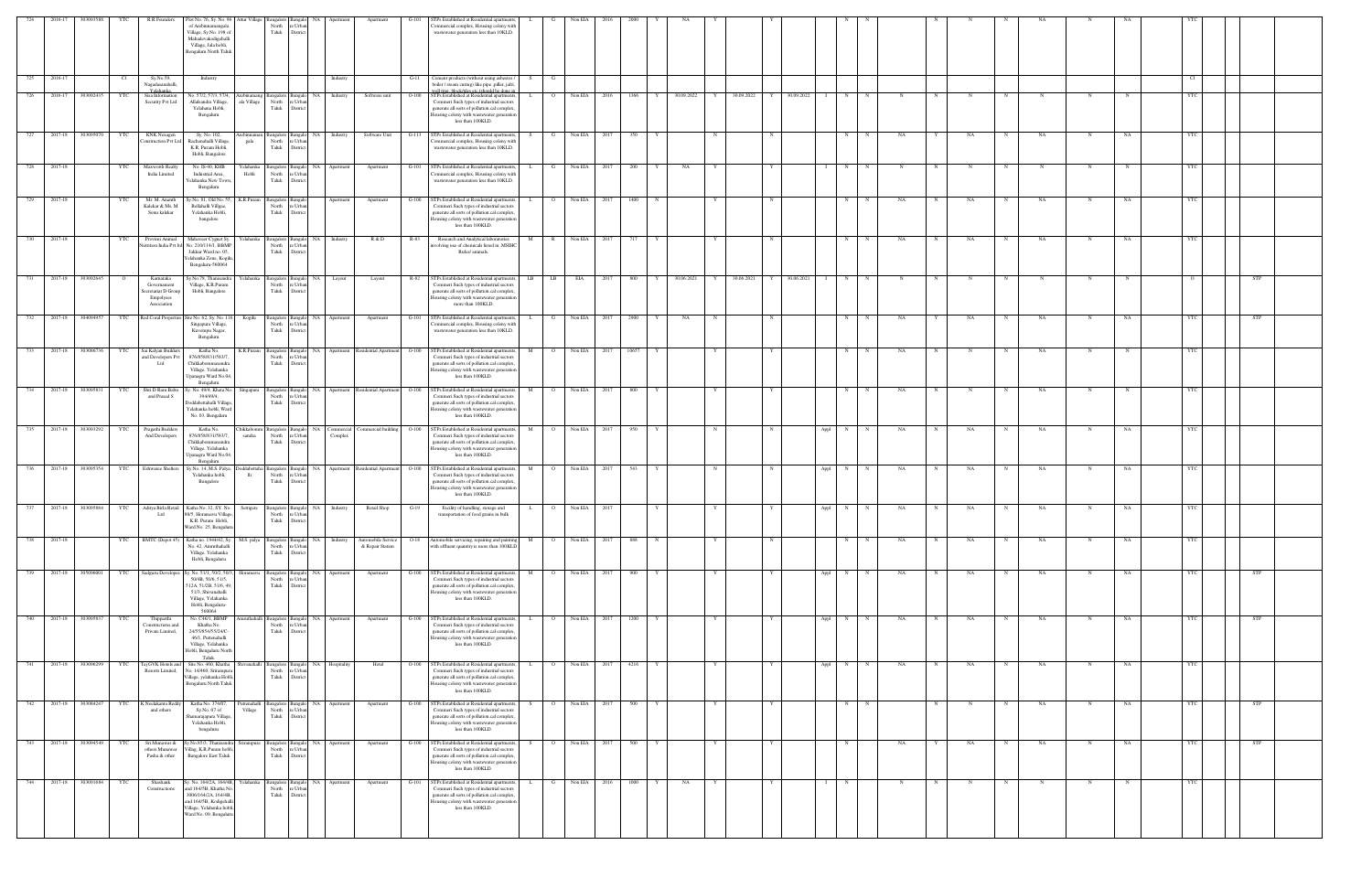|        | 2016-17 | 30309358          |                | R R Founders                                                                | Plot No. 76, Sy. No. 96 Attur Villag<br>of Arebinnamangala<br>Village, Sy.No. 198 of<br>Mahadevakodigehalli<br>Village, Jala hobli,<br>Bengaluru North Taluk        |                         | North<br>Taluk                             | e Urba<br>District         |                               | Apartment                                | $G-101$ | STPs Established at Residential apartments,<br>ommercial complex, Housing colony with<br>wastewater generation less than 10KLD.                                                                                |                      | Non EIA        |      |       |                            |   |            |                                 |   |             |             |             |                   |           |             |    |            |            |
|--------|---------|-------------------|----------------|-----------------------------------------------------------------------------|---------------------------------------------------------------------------------------------------------------------------------------------------------------------|-------------------------|--------------------------------------------|----------------------------|-------------------------------|------------------------------------------|---------|----------------------------------------------------------------------------------------------------------------------------------------------------------------------------------------------------------------|----------------------|----------------|------|-------|----------------------------|---|------------|---------------------------------|---|-------------|-------------|-------------|-------------------|-----------|-------------|----|------------|------------|
| 725    | 2016-17 |                   | Cl             | Sy.No.59,<br>Nagadasanahalli                                                | Industry                                                                                                                                                            |                         |                                            |                            | Industry                      |                                          | $G-11$  | Cement products (without using asbestos /<br>boiler / steam curing) like pipe ,pillar, jafri                                                                                                                   | S –<br>G             |                |      |       |                            |   |            |                                 |   |             |             |             |                   |           |             |    | Cl         |            |
|        | 2016-17 | 303092435         | YTC            | sisa Informatio<br>Security Pvt Ltd                                         | Vo. 57/2, 57/3, 57/4,<br>Allalsandra Village,<br>Yelahana Hobli,<br>Bengaluru                                                                                       | ala Village             | ingalore Bangal<br>North<br>Taluk          | NA.<br>re Urba<br>District | Industry                      | Software unit                            | $O-100$ | STPs Established at Residential apartme<br>Commeri Such types of industrial sectors<br>generate all sorts of pollution.cal complex<br>ousing colony with wastewater generation<br>less than 100KLD.            |                      | Non EIA        | 2016 | 1366  | 30.09.2022                 | Y | 30.09.2022 | 30.09.2022                      | N |             |             |             |                   |           |             |    | YTC.       |            |
|        | 2017-18 | 303095070         | YTC            | <b>KNK</b> Nexagen<br>nstruction Pvt Lt                                     | Sy. No. 102,<br>Rachenahalli Village<br>K.R. Puram Hobli,<br>Hobli, Bangalore                                                                                       | gala                    | angalore Bangalo<br>North<br>Taluk         | e Urb<br>Distric           | NA Industry                   | Software Unit                            | $G-113$ | STPs Established at Residential apartments<br>mmercial complex, Housing colony with<br>wastewater generation less than 10KLD.                                                                                  | S.                   | Non EIA        | 2017 | 350   |                            |   |            |                                 | N |             | NA          |             | NA                | NA        |             | NA |            |            |
| 728    | 2017-18 |                   | YTC            | Maxworth Realty<br>India Limited                                            | No. IS-40, KHB<br>Industrial Area,<br>Yelahanka New Town<br>Bengaluru                                                                                               | Yelahanka<br>Hobli      | angalore Banga<br>North<br>Taluk           | e Urb.<br>District         | NA Apartment                  | Apartment                                | $G-101$ | STPs Established at Residential apartments<br>ommercial complex, Housing colony with<br>wastewater generation less than 10KLD.                                                                                 | G                    | Non EIA        | 2017 | 200   | NA                         |   |            |                                 | N |             |             |             |                   |           |             |    |            |            |
| 729    | 2017-18 |                   | YTC            | Mr. M. Ananth<br>Kalekar & Ms. M<br>Sonu kalekar                            | Sy.No. 81, Old No. 55,<br>Bellahalli Villgae,<br>Yelahanka Hobli,<br>bangalore                                                                                      | K.R.Puram               | angalore Bangal<br>North<br>Taluk          | re Urba<br>District        | Apartment                     | Apartment                                |         | G-100 STPs Established at Residential apartment<br>Commeri Such types of industrial sectors<br>generate all sorts of pollution.cal complex<br>lousing colony with wastewater generation<br>less than 100KLD.   | L.<br>$\overline{O}$ | Non EIA        | 2017 | 1400  |                            |   |            | N                               | N | N           | NA.         |             | NA<br>N           | NA        | $\mathbf N$ | NA | YTC        |            |
| 730    | 2017-18 |                   | YTC            | Provimi Animal<br>atrition India Pvt Itd                                    | Mahaveer Cygnet Sy.<br>No. 210/114/1, BBMF<br>Jakkur Ward no. 05,<br>felahanka Zone, Kogilt<br>Bengaluru-560064                                                     | Yelahanka               | Bangalore Bangalo<br>North<br>Taluk        | Distric                    | NA Industry                   | R & D                                    | R-83    | Research and Analytical laboratories<br>wolving use of chemicals listed in .MSIH<br>Rules/ animals.                                                                                                            | М<br>$\mathbb{R}$    | Non EIA        | 2017 | 717   |                            | Y |            |                                 | N | N           | NA          |             | NA                | NA        | N           | NA | <b>YTC</b> |            |
| 731    |         | 2017-18 303092645 | $\overline{O}$ | Karnataka<br>Governament<br>Secretariat D Group<br>Empolyees<br>Association | Sy.No.78, Thanisandra<br>Village, K.R.Puram<br>Hobli, Bangalore                                                                                                     | Yelahanka               | angalore Bangalo<br>North<br>Taluk         | e Urb<br>District          | NA Layout                     | Layout                                   |         | R-82 STPs Established at Residential apartments<br>Commeri Such types of industrial sector<br>generate all sorts of pollution.cal complex<br>lousing colony with wastewater generation<br>more than 100KLD.    | LB<br>LB 1           | EIA            | 2017 | 800   | 30.06.2021<br>$\mathbf{Y}$ | Y | 30.06.2021 | 30.06.2021<br>Y<br>$\mathbf{I}$ | N | N           |             |             |                   |           | N           |    |            | STP        |
| 732    | 2017-18 | 304094957         | YTC            | Red Coral Properties                                                        | Site No. 62, Sy. No. 11<br>Singapura Village,<br>Kuvempu Nagar,<br>Bengaluru                                                                                        | Kogilu                  | Bangalore Bangal<br>North<br>Taluk         | 'e Urba<br>Distric         | NA Apartment                  | Apartment                                | $G-101$ | STPs Established at Residential apartments<br>Commercial complex, Housing colony with<br>wastewater generation less than 10KLD.                                                                                |                      | Non EIA        | 2017 | 2900  | NA                         | N |            | N                               | N |             | NA          |             | NA                | NA        |             | NA |            | STP        |
| 733    | 2017-18 | 303086736         | YTC            | Sai Kalyan Builder<br>and Developers Pvt<br>Ltd                             | Katha No.<br>876/858/831/583/7.<br>Chikkabommasandra<br>Village, Yelahanka<br>Jpanagra Ward No.04<br>Bengaluru                                                      | K.R.Puram               | 3angalore<br>North<br>Taluk                | NA.<br>e Urb<br>Distric    |                               | Apartment Residential Apartment O-100    |         | STPs Established at Residential apartment<br>Commeri Such types of industrial sectors<br>generate all sorts of pollution.cal complex<br>lousing colony with wastewater generatio<br>less than 100KLD.          |                      | Non EIA        |      | 10657 |                            |   |            |                                 | N |             | NA          |             |                   | NA        |             |    |            |            |
| 734    |         | 2017-18 303095831 | YTC            | Shri D Ram Babu<br>and Prasad S                                             | y. No. 49/4, Khata No.<br>394/49/4,<br>Doddabettahalli Village<br>Yelahanka hobli, Ward<br>No. 03, Bengaluru                                                        | Singapura               | Bangalore Banga<br>North<br>Taluk          | 'e Urb<br>Distric          |                               | NA Apartment Residential Apartment O-100 |         | STPs Established at Residential apartment<br>Commeri Such types of industrial sector<br>generate all sorts of pollution.cal complex<br>lousing colony with wastewater generation<br>less than 100KLD.          | $\mathbf{O}$         | Non EIA        | 2017 | 800   |                            |   |            |                                 | N | N           | NA          |             | N<br>$_{\rm N}$   | NA        | N           |    | <b>YTC</b> |            |
| 735    | 2017-18 | 303093292         | YTC            | Pragathi Builders<br>And Developers                                         | Katha No.<br>876/858/831/583/7,<br>Chikkabommasandra<br>Village, Yelahanka<br>Jpanagra Ward No.04,<br>Bengaluru                                                     | Chikkabomr<br>sandra    | angalore Bangalo<br>North<br>Taluk         | re Urbar<br>District       | NA Commercial<br>Complex      | Commercial building                      | $O-100$ | STPs Established at Residential apartment<br>Commeri Such types of industrial sectors<br>generate all sorts of pollution.cal complex<br>lousing colony with wastewater generation<br>less than 100KLD.         | $\circ$              | Non EIA        | 2017 | 950   |                            | N |            | $_{\rm N}$<br>Appl              | N | N           | NA          |             | NA                | NA        | N           | NA | YTC        |            |
| $-736$ | 2017-18 | 303095354         | YTC            | <b>Eshwaree Shelters</b>                                                    | Sy.No. 14, M.S. Palya<br>Yelahanka hobli,<br>Bangalore                                                                                                              | lli                     | angalore Bangalo<br>North<br>Taluk         | e Urba<br>Distric          |                               | NA Apartment Residential Apartment O-100 |         | STPs Established at Residential apartments<br>Commeri Such types of industrial sectors<br>generate all sorts of pollution.cal complex<br>lousing colony with wastewater generation<br>less than 100KLD.        | M<br>$\overline{O}$  | Non EIA        | 2017 | 543   |                            | N |            | Appl<br>N                       | N | N           | NA          |             | NA                | NA        | N           | NA | YTC        |            |
| 737    |         | 2017-18 303095884 | YTC            | Ltd                                                                         | Aditya Birla Retail Katha No. 32, SY. No. Settigere<br>88/5, Horamavu Village,<br>K.R. Puram Hobli,<br>Ward No. 25, Bengalur                                        |                         | North<br>Taluk District                    | e Urb:                     | Bangalore Bangalo NA Industry | Retail Shop                              | $G-19$  | Facility of handling, storage and<br>transportation of food grains in bulk                                                                                                                                     | L.                   | 0 Non EIA 2017 |      |       |                            |   |            | Appl                            | N | N           | NA          | $\mathbf N$ | NA<br>$\mathbf N$ | NA        | $\mathbf N$ | NA | YTC        |            |
| 738    | 2017-18 |                   | YTC            | BMTC (Depot 45)                                                             | Katha no. 1944/42, Sy. M.S. palya<br>No. 42, Amruthahalli<br>Village, Yelahanka<br>Hobli, Bengaluru                                                                 |                         | <b>Bangalore</b> Bangale<br>North<br>Taluk | re Urba<br>District        | NA Industry                   | Automobile Service<br>& Repair Station   |         | O-18 Automobile servicing, repairing and painting<br>with effluent quantity is more than 100KLD                                                                                                                | M<br>$\overline{O}$  | Non EIA        | 2017 | 888   | $_{\rm N}$                 |   |            | $_{\rm N}$                      | N | $\mathbf N$ | <b>NA</b>   | N           | NA<br>$_{\rm N}$  | <b>NA</b> | N           | NA | <b>YTC</b> |            |
| 739    | 2017-18 | 305096001         | YTC            | Sadguru Developes                                                           | Sy. No. 51/1, 50/2, 50/3,<br>50/4B, 50/6, 51/5,<br>512A, 51/2B, 51/6, 49,<br>51/3, Shivanahalli<br>Village, Yelahanka<br>Hobli, Bengaluru-<br>560064                | Horamavu                | Bangalore Bangalo<br>North<br>Taluk        | re Urba<br>District        | NA Apartment                  | Apartment                                | $G-100$ | STPs Established at Residential apartment<br>Commeri Such types of industrial sectors<br>generate all sorts of pollution.cal complex<br>lousing colony with wastewater generation<br>less than 100KLD.         | M<br>$\circ$         | Non EIA        | 2017 | 900   |                            |   |            | Appl                            | N | N           | NA          |             | NA<br>$_{\rm N}$  | NA        | N           | NA | YTC        | STP        |
| 740    | 2017-18 | 303095837         | YTC            | Thipparthi<br>Constructions and<br>Private Limited,                         | No. C46/1, BBMP<br>Khatha No.<br>24/55/854/55/24/C-<br>46/1, Puttenahalli<br>Village, Yelahanka<br>Hobli, Bengaluru North<br>Taluk.                                 | Amruthahall             | angalore Bangalo<br>North<br>Taluk         | e Urb<br>Distric           | NA Apartment                  | Apartment                                | $G-100$ | STPs Established at Residential apartments<br>Commeri Such types of industrial sector<br>generate all sorts of pollution.cal complex<br>lousing colony with wastewater generation<br>less than 100KLD.         | $\circ$<br><b>L</b>  | Non EIA        | 2017 | 1200  |                            | Y |            | Appl                            | N | N           | NA          |             | NA<br>$_{\rm N}$  | NA        | N           | NA | YTC        | STP        |
| 741    | 2017-18 | 303096299         | YTC            | Taj GVK Hotels and<br>Resorts Limited,                                      | Site No. 460, Khatha<br>No. 14/460, Srirampura<br>Village, yelahanka Hobli,<br>Bengaluru North Taluk                                                                | Shivanahal              | Bangalore Bangalo<br>North<br>Taluk        | re Urba<br>District        | NA Hospitality                | Hotel                                    | $O-100$ | STPs Established at Residential apartment<br>Commeri Such types of industrial sectors<br>generate all sorts of pollution.cal complex<br>lousing colony with wastewater generation<br>less than 100KLD.         | $\overline{O}$       | Non EIA        | 2017 | 4216  |                            |   |            | Appl                            | N | $\mathbf N$ | <b>NA</b>   |             | NA                | NA        | N           | NA | <b>YTC</b> |            |
| 742    |         | 2017-18 303084247 |                | YTC K Neelakanta Reddy<br>and others                                        | Katha No. 374/07,<br>Sy.No. 07 of<br>Shamarajapura Village<br>Yelahanka Hobli,<br>bengaluru                                                                         | Puttenahalli<br>Village | North<br>Taluk                             | re Urba<br>District        | angalore Bangalo NA Apartment | Apartment                                |         | G-100 STPs Established at Residential apartments,<br>Commeri Such types of industrial sectors<br>generate all sorts of pollution.cal complex<br>lousing colony with wastewater generation<br>less than 100KLD. | $\overline{O}$<br>S. | Non EIA        | 2017 | 500   |                            | Y |            |                                 | N | N           |             | N           | N<br>N            | NA        | $\mathbf N$ | NA | YTC        | STP        |
| 743    |         | 2017-18 303094549 | YTC            | Sri Munawar &<br>others Munawar<br>Pasha & other                            | /No.85/3, Thanisandra<br>/illag, K.R.Puram hobli,<br><b>Bangalore East Taluk</b>                                                                                    | Srirampura              | Bangalore Bangalo<br>North<br>Taluk        | 'e Urba<br>Distric         | NA Apartment                  | Apartment                                |         | G-100 STPs Established at Residential apartments,<br>Commeri Such types of industrial sector<br>generate all sorts of pollution.cal complex<br>Housing colony with wastewater generation<br>less than 100KLD.  | $\circ$<br>S.        | Non EIA 2017   |      | 500   |                            | Y |            |                                 | N |             | NA          | Y           | NA<br>N           | NA        | $\mathbf N$ | NA | YTC        | <b>STP</b> |
| 744    | 2017-18 | 303091684         | YTC            | Shashank<br>Constructions                                                   | Sy. No. 164/2A, 164/4B, Yelahanka<br>and 164/5B, Khatha No<br>3006/164/2A, 164/4B,<br>and 164/5B, Kodigehalli<br>Village, Yelahanka hobli<br>Ward No. 09, Bengaluru |                         | Bangalore Bangalo<br>North<br>Taluk        | re Urba<br>District        | NA Apartment                  | Apartment                                | $G-101$ | STPs Established at Residential apartment<br>Commeri Such types of industrial sectors<br>generate all sorts of pollution.cal complex,<br>lousing colony with wastewater generation<br>less than 100KLD.        | G                    | Non EIA        | 2016 | 1000  | NA<br>Y                    | Y |            |                                 | N |             | $\mathbf N$ |             | N<br>N            | N         | N           |    | <b>YTC</b> |            |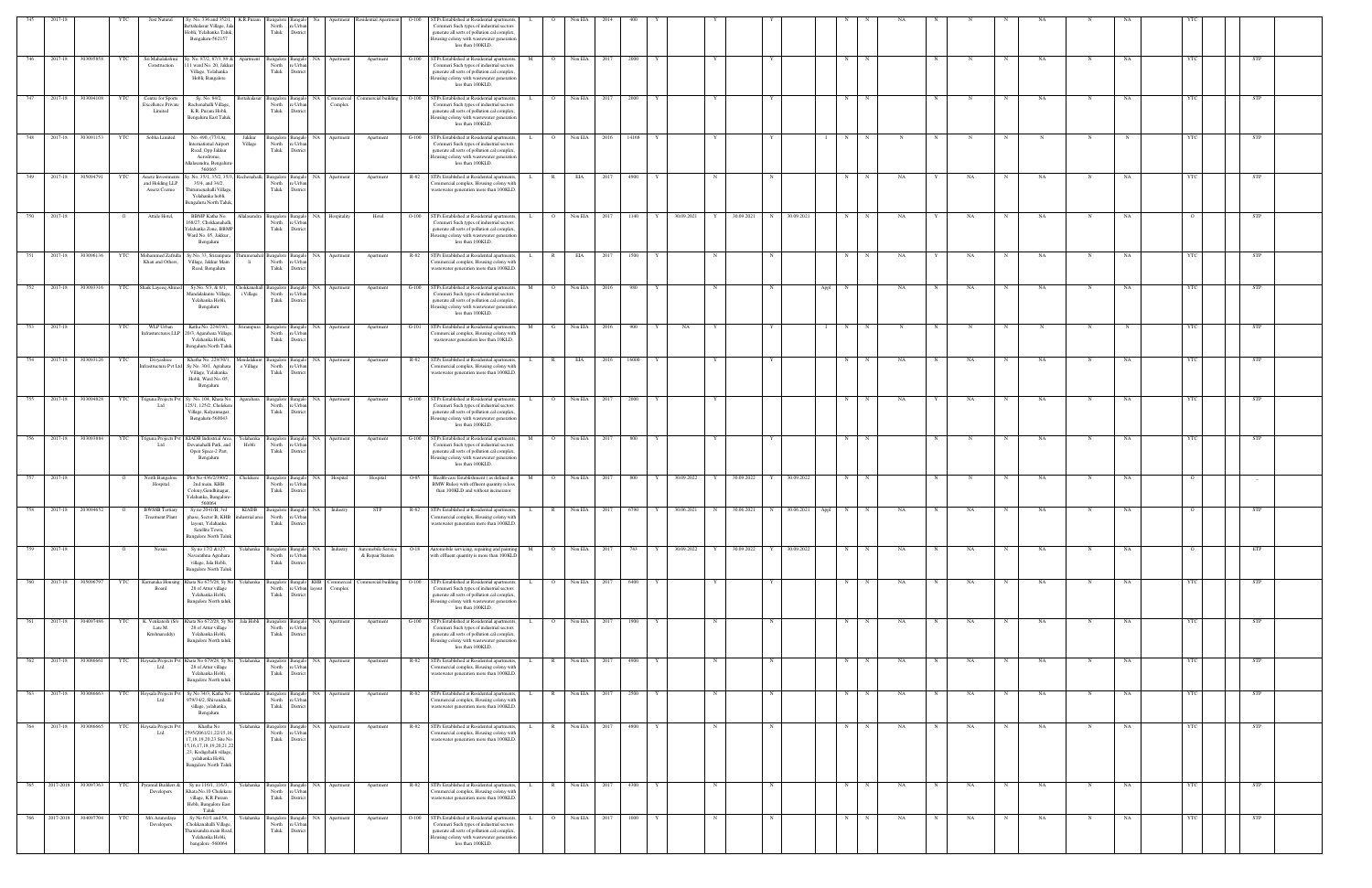| K.R.Puram<br>$O-100$<br>3angalore<br>Bangalo Na<br>ettahalasur Village, Ja<br>North<br>Commeri Such types of industrial sectors<br>e Urbar<br>Taluk<br>Hobli, Yelahanka Taluk,<br>District<br>generate all sorts of pollution.cal complex,<br>Bengaluru-562157<br>ousing colony with wastewater generation<br>less than 100KLD.<br>303095858<br>Sri Mahalakshmi<br>y. No. 87/2, 87/3, 89 &<br>STPs Established at Residential apartments,<br>2017-18<br>YTC<br>Bangalo NA<br>Apartment<br>Apartment<br>$G-100$<br>Non EIA<br>2000<br>N<br>NA<br>STP<br>Bangalore<br>2017<br>$_{\rm N}$<br>NA<br>746<br>Apartment<br>Construction<br>11 ward No. 20, Jakk<br>North<br>Commeri Such types of industrial sectors<br>: Urba<br>Taluk<br>generate all sorts of pollution.cal complex.<br>Village, Yelahanka<br>Distri<br>Hobli, Bangalore<br>lousing colony with wastewater generation<br>less than 100KLD.<br>STPs Established at Residential apartments,<br>2017-18<br>303094108<br>YTC<br>Centre for Sports<br>Sy. No. 84/2,<br>Commercial building O-100<br>Non EIA<br>2000<br>N<br>NA<br>NA<br><b>STP</b><br>747<br><b>Settahalasur</b><br>Bangalore Bangalo NA Commercial<br>$\overline{O}$<br>2017<br>N<br>Rachenahalli Village,<br>North<br>Commeri Such types of industrial sectors<br><b>Excellence Private</b><br>e Urbar<br>Complex<br>Taluk<br>Limited<br>K.R. Puram Hobli,<br>District<br>generate all sorts of pollution.cal complex,<br>Bengaluru East Taluk<br>lousing colony with wastewater generation<br>less than 100KLD.<br>Sobha Limited<br>748<br>2017-18<br>303091153<br>YTC<br>No. 490, (77/1A),<br>Jakkur<br>sangalore Bangalo NA Apartment<br>Apartment<br>$G-100$<br>STPs Established at Residential apartments,<br>$\overline{O}$<br>Non EIA 2016<br>14168<br>N<br>STP<br>$\mathbf{L}$<br>Y<br>Y<br>N<br>N<br>YTC<br>Village<br>North<br>e Urban<br>Commeri Such types of industrial sectors<br><b>International Airport</b><br>Taluk<br>generate all sorts of pollution.cal complex,<br>Road, Opp Jakkur<br>District<br>Aerodrome,<br>lousing colony with wastewater generation<br>less than 100KLD.<br>lalasandra, Bengaluru<br>560065<br>v. No. 35/1, 35/2, 35/.<br>2017-18<br>305094791<br>Assetz Investment<br>Rachenahalli Bangalore Bangalo NA<br>North re Urban<br>R-82<br>STPs Established at Residential apartments,<br>EIA<br>4900<br>N<br>NA<br><b>STP</b><br>YTC<br>Apartment<br>$\mathbb{R}$<br>2017<br>NA<br>NA<br>NA<br>749<br>Apartment<br>N<br>N<br>N<br>YTC<br>L.<br>N<br>N<br>and Holding LLP<br>35/4, and 34/2,<br>'ommercial complex, Housing colony with<br>Taluk<br>hirumenahalli Village<br>District<br>wastewater generation more than 100KLD.<br>Assetz Cozmo<br>Yelahanka hobli,<br>Bengaluru North Taluk<br>2017-18<br>Attide Hotel,<br>STPs Established at Residential apartments,<br>Non EIA 2017<br>30.09.2021<br>30.09.2021<br>N 30.09.2021<br>750<br>BBMP Katha No.<br>Allalasandra Bangalore Bangalo NA<br>$O-100$<br>1140<br>Y<br>N<br>NA<br>STP<br>Hospitality<br>Hotel<br>$\overline{\mathbf{O}}$<br>Y<br>NA<br>NA<br>N<br>NA<br>L.<br>N<br>North<br>68/27, Chokkanahall<br>Commeri Such types of industrial sectors<br>e Urba<br>elahanka Zone, BBMI<br>Taluk<br>generate all sorts of pollution.cal complex,<br>District<br>Ward No. 05, Jakkur<br>Iousing colony with wastewater generation<br>Bengaluru<br>less than 100KLD.<br>STPs Established at Residential apartments,<br>2017-18<br>303096136<br>YTC<br>Mohammed Zafrul<br>Sy.No. 33, Srirampura<br>NA<br>Apartment<br>R-82<br>EIA<br>2017<br>1500<br>N<br>NA<br>NA<br>NA<br>NA<br>STP<br>Apartment<br>$\mathbb{R}$<br>irumenahal Bangalore<br>Bangak<br>Khan and Others,<br>Village, Jakkur Main<br>North<br>$\mathbf{h}$<br>e Urbar<br>commercial complex, Housing colony with<br>Taluk<br>Road, Bengaluru<br>wastewater generation more than 100KLD.<br>District<br>Shaik Layeeq Ahme<br>Sy.No. 5/3, & 6/1,<br>STPs Established at Residential apartments,<br>2017-18<br>303093316<br><b>NA</b><br>$G-100$<br>Non EIA<br>N<br>STP<br>752<br>YTC<br>hokkanahall Bangalore<br>980<br>NA<br>NA<br>NA<br>3angalo<br>Apartment<br>Apartment<br>M<br>Appl<br>NA<br>2016<br>North<br>Mandalakunte Village<br>i Village<br>Commeri Such types of industrial sectors<br>e Urba<br>Yelahanka Hobli,<br>Taluk<br>generate all sorts of pollution.cal complex.<br>Distric<br>Bengaluru<br>lousing colony with wastewater generation<br>less than 100KLD.<br>STPs Established at Residential apartments,<br>753<br>2017-18<br>YTC<br>WLP Urban<br>Katha No. 224/19/1,<br>irirampura Bangalore Bangalo NA Apartment<br>Apartment<br>$G-101$<br>Non EIA<br>2016<br>900<br>N<br>STP<br>M<br>G<br>NA<br>20/3, Agarahara Village<br>North<br>nfrasturctures LLP<br>e Urbs<br>'ommercial complex, Housing colony with<br>Yelahanka Hobli,<br>Taluk<br>wastewater generation less than 10KLD.<br><b>Distric</b><br>Bengaluru North Taluk<br>2017-18<br>303093126<br>STPs Established at Residential apartments,<br>Divyashree<br>Khatha No. 229/30/1<br>R-82<br>EIA<br>N<br>NA<br>YTC<br><b>NA</b><br>Apartment<br>16000<br>NA<br>NA<br>andalakunt<br>angalore<br>Apartmen<br>frastructure Pvt Lt<br>Sy.No. 30/1, Agrahara<br>e Village<br>North<br>e Urbar<br>'ommercial complex, Housing colony with<br>Village, Yelahanka<br>Taluk<br>wastewater generation more than 100KLD.<br>District<br>Hobli, Ward No. 05,<br>Bengaluru<br>755<br>2017-18<br>303094828<br>riguna Projects Pv<br>Sy. No. 104, Khata No.<br>STPs Established at Residential apartments,<br>Non EIA<br>YTC<br>Agarahara<br>Bangalo NA<br>$G-100$<br>$\overline{O}$<br>2017<br>2000<br>N<br>NA<br>NA<br>STP<br>Bangalore<br>Apartment<br>Apartment<br>$\mathbf N$<br>NA<br>NA<br>YTC<br>$-L$<br>N<br>N<br>125/1, 125/2, Chelekero<br>North<br>Commeri Such types of industrial sectors<br>e Urba<br>Village, Kalyannagar,<br>Taluk<br>generate all sorts of pollution.cal complex,<br>District<br>Bengaluru-560043<br>busing colony with wastewater generation<br>less than 100KLD.<br>2017-18<br>STPs Established at Residential apartments,<br>303093884<br>riguna Projects Pvt<br>KIADB Industrial Area,<br>Bangalo NA<br>$G-100$<br>Non EIA 2017<br>800<br>N<br>YTC<br>r'elahanka<br>angalore<br>Apartment<br>Apartment<br>$\overline{O}$<br>NA<br>STP<br>NA<br>bt I<br>Devanahalli Park, and<br>Hobli<br>North<br>Commeri Such types of industrial sectors<br>: Urbs<br>Taluk<br>Open Space-2 Part,<br>generate all sorts of pollution.cal complex.<br>District<br>Bengaluru<br>Iousing colony with wastewater generation<br>less than 100KLD.<br>757<br>2017-18<br>North Bangalore<br>Health-care Establishment (as defined in<br>Non EIA<br>30.09.2022<br>30.09.2022<br>30.09.2022<br>Plot No 436/2/390/2<br>Chelekere<br>800<br>N<br>NA<br>NA<br>Hospital<br>O-85<br>2017<br>Y<br>Y<br><b>Bangalore</b><br>Bangak<br>Hospital<br>$\circ$<br>N<br>NA<br>$-$<br>North<br>2nd main, KHB<br>e Urba<br>BMW Rules) with effluent quantity is less<br>Hospital<br>Taluk<br>Colony, Gandhinagar,<br>District<br>than 100KLD and without incinerator<br>Yelahanka, Bangalore<br>560064<br>Sy no 2041/H, 3rd KIADB Bangalore Bangalo NA Industry<br>2017-18 203094652<br><b>BWSSB</b> Tertiary<br>R-82 STPs Established at Residential apartments, L R Non EIA 2017 6790<br>Y 30.06.2021 N 30.06.2021 N 30.06.2021 Appl<br>758<br>STP<br>N<br>NA<br>NA<br><b>NA</b><br>STP<br>$\overline{O}$<br>N<br>NA<br>$\mathbf N$<br>N<br>$\overline{O}$<br><b>Treatment Plant</b><br>phase, Sector B, KHB<br>dustrial area<br>North<br>e Urban<br>ommercial complex, Housing colony with<br>Taluk<br>District<br>wastewater generation more than 100KLD.<br>layout, Yelahanka<br>Satellite Town,<br>Bangalore North Taluk<br>2017-18<br>Yelahanka<br>Bangalo NA<br>Automobile Service<br>Automobile servicing, repairing and painting<br>Non EIA 2017<br>30.09.2022<br>30.09.2022<br>30.09.2022<br>759<br>Nexus<br>Sy no 17/2 & 127,<br>Bangalore<br>Industry<br>$O-18$<br>743<br>Y<br>N<br>NA<br>NA<br>NA<br>NA<br>ETP<br>North<br>with effluent quantity is more than 100KLD<br>Navarathna Agrahara<br>e Urba<br>& Repair Station<br>Taluk<br>village, Jala Hobli,<br>District<br>Bangalore North Talul<br>2017-18 305096797<br>STPs Established at Residential apartments,<br>Non EIA<br>YTC<br>Chata No 675/28, Sy N<br>Yelahanka<br>ommercial building<br>6400<br><b>STP</b><br>760<br>Karnataka Housing<br>langalore Bangalo KHB Commercia<br>$O-100$<br>$\overline{O}$<br>2017<br>N<br>NA<br>NA<br>NA<br>NA<br>N<br>e Urban layout<br>Commeri Such types of industrial sectors<br>Board<br>28 of Attur village<br>North<br>Complex<br>Taluk<br>Yelahanka Hobli,<br>District<br>generate all sorts of pollution.cal complex,<br><b>Bangalore North taluk</b><br>lousing colony with wastewater generation<br>less than 100KLD.<br>761<br>2017-18 304097486<br>K. Venkatesh (S/o<br>Jala Hobli<br>STPs Established at Residential apartments,<br>Non EIA 2017<br>YTC<br>Khata No 672/28, Sy No<br>Bangalore Bangalo NA Apartment<br>Apartment<br>$G-100$<br>$\overline{O}$<br>1900<br>N<br>N<br>NA<br>N<br>NA<br>N<br><b>NA</b><br>N<br>NA<br>YTC<br>STP<br>L.<br>Y<br>N<br>N<br>North<br>e Urban<br>Commeri Such types of industrial sectors<br>Late M.<br>28 of Attur village<br>Taluk<br>District<br>generate all sorts of pollution.cal complex<br>Yelahanka Hobli,<br>Krishnareddy)<br>Iousing colony with wastewater generation<br><b>Bangalore North taluk</b><br>less than 100KLD.<br>762<br>2017-18<br>Non EIA<br>303086661<br>YTC<br>Hoysala Projects Pvt<br>Khata No 679/28, Sy No<br>Yelahanka<br>Bangalore Bangalo NA<br>R-82<br>GTPs Established at Residential apartments,<br>4900<br>NA<br><b>STP</b><br>$\mathbb{R}$<br>2017<br>N<br>NA<br>NA<br>YTC<br>Apartment<br>N<br>N<br>$\mathbf N$<br>NA<br>Apartment<br>L.<br>Y<br>N<br>N<br>N<br>North<br>28 of Attur village<br>e Urban<br>'ommercial complex, Housing colony with<br>Ltd<br>Taluk<br>Yelahanka Hobli,<br>District<br>wastewater generation more than 100KLD.<br>Bangalore North taluk<br>763 2017-18 303086663<br>STPs Established at Residential apartments,<br>Hoysala Projects P<br>Yelahanka<br>$R-82$<br>Non EIA 2017<br>YTC<br>Sy No 34/3, Katha No<br>2500<br>STP<br>angalore Bangalo NA<br>Apartment<br>Apartment<br>R<br>N<br>NA<br>NA<br>NA<br>NA<br>N<br>N<br>Ltd<br>979/34/2, Shivanahall<br>North<br>e Urbar<br>'ommercial complex, Housing colony with<br>Taluk<br>District<br>wastewater generation more than 100KLD.<br>village, yelahanka,<br>Bengaluru<br>2017-18<br>303086665<br><b>Ioysala Projects P</b><br>Khatha No<br>relahanka<br><b>NA</b><br>R-82<br>STPs Established at Residential apartments,<br>Non EIA<br>4800<br>764<br>YTC<br>Bangalore Bangalo<br>$\mathbb{R}$<br>2017<br>N<br>$_{\rm N}$<br>N<br>NA<br>NA<br>NA<br>NA<br>YTC<br>STP<br>Apartment<br>Apartment<br>N<br>Ltd<br>595/2061/21,22/15,16<br>North<br>re Urban<br>Commercial complex, Housing colony with<br>Taluk<br>7,18,19,20,23 Site No<br>wastewater generation more than 100KLD.<br>District<br>5, 16, 17, 18, 19, 20, 21, 2<br>,23, Kodigehalli village,<br>yelahanka Hobli,<br><b>Bangalore North Taluk</b><br>765 2017-2018 303097363<br>Sy no 116/1, 116/3,<br>STPs Established at Residential apartments,<br>Non EIA<br>4300<br>YTC<br>yramid Builders &<br>Yelahanka<br>Bangalo NA<br>R-82<br>2017<br>N<br>NA<br>NA<br>NA<br>NA<br>YTC<br>STP<br>Bangalore<br>Apartment<br>Apartment<br>$\mathbb{R}$<br>N<br>N<br>N<br>Chata No.10 Chelekere<br>North<br>ommercial complex, Housing colony with<br>Developers<br>: Urba<br>Taluk<br>wastewater generation more than 100KLD.<br>village, K.R.Puram<br>District<br>Hobli, Bangalore East<br>Taluk<br>766 2017-2018 304097704<br>STPs Established at Residential apartments,<br>Sy No 61/1 and 58,<br>Non EIA 2017<br>1000<br><b>STP</b><br>YTC<br>M/s Arunodaya<br>Yelahanka  <br>Bangalore Bangalo NA<br>$O-100$<br>N<br>NA<br>NA<br>NA<br>YTC<br>Apartment<br>Apartment<br>$\overline{O}$<br>Y<br>N<br>$\mathbf N$<br>N<br>NA<br>N<br>N<br>$\mathbf N$<br>Chokkanahalli Village,<br>North<br>Commeri Such types of industrial sectors<br>Developers<br>e Urban<br>Taluk<br>generate all sorts of pollution.cal complex,<br>hanisandra main Road<br>District<br>Yelahanka Hobli,<br>ousing colony with wastewater generation<br>bangalore -560064<br>less than 100KLD. |     |         |     |              |                        |  |                       |                                             |  |         |  |  |  |  |  |  |  |  |  |  |
|----------------------------------------------------------------------------------------------------------------------------------------------------------------------------------------------------------------------------------------------------------------------------------------------------------------------------------------------------------------------------------------------------------------------------------------------------------------------------------------------------------------------------------------------------------------------------------------------------------------------------------------------------------------------------------------------------------------------------------------------------------------------------------------------------------------------------------------------------------------------------------------------------------------------------------------------------------------------------------------------------------------------------------------------------------------------------------------------------------------------------------------------------------------------------------------------------------------------------------------------------------------------------------------------------------------------------------------------------------------------------------------------------------------------------------------------------------------------------------------------------------------------------------------------------------------------------------------------------------------------------------------------------------------------------------------------------------------------------------------------------------------------------------------------------------------------------------------------------------------------------------------------------------------------------------------------------------------------------------------------------------------------------------------------------------------------------------------------------------------------------------------------------------------------------------------------------------------------------------------------------------------------------------------------------------------------------------------------------------------------------------------------------------------------------------------------------------------------------------------------------------------------------------------------------------------------------------------------------------------------------------------------------------------------------------------------------------------------------------------------------------------------------------------------------------------------------------------------------------------------------------------------------------------------------------------------------------------------------------------------------------------------------------------------------------------------------------------------------------------------------------------------------------------------------------------------------------------------------------------------------------------------------------------------------------------------------------------------------------------------------------------------------------------------------------------------------------------------------------------------------------------------------------------------------------------------------------------------------------------------------------------------------------------------------------------------------------------------------------------------------------------------------------------------------------------------------------------------------------------------------------------------------------------------------------------------------------------------------------------------------------------------------------------------------------------------------------------------------------------------------------------------------------------------------------------------------------------------------------------------------------------------------------------------------------------------------------------------------------------------------------------------------------------------------------------------------------------------------------------------------------------------------------------------------------------------------------------------------------------------------------------------------------------------------------------------------------------------------------------------------------------------------------------------------------------------------------------------------------------------------------------------------------------------------------------------------------------------------------------------------------------------------------------------------------------------------------------------------------------------------------------------------------------------------------------------------------------------------------------------------------------------------------------------------------------------------------------------------------------------------------------------------------------------------------------------------------------------------------------------------------------------------------------------------------------------------------------------------------------------------------------------------------------------------------------------------------------------------------------------------------------------------------------------------------------------------------------------------------------------------------------------------------------------------------------------------------------------------------------------------------------------------------------------------------------------------------------------------------------------------------------------------------------------------------------------------------------------------------------------------------------------------------------------------------------------------------------------------------------------------------------------------------------------------------------------------------------------------------------------------------------------------------------------------------------------------------------------------------------------------------------------------------------------------------------------------------------------------------------------------------------------------------------------------------------------------------------------------------------------------------------------------------------------------------------------------------------------------------------------------------------------------------------------------------------------------------------------------------------------------------------------------------------------------------------------------------------------------------------------------------------------------------------------------------------------------------------------------------------------------------------------------------------------------------------------------------------------------------------------------------------------------------------------------------------------------------------------------------------------------------------------------------------------------------------------------------------------------------------------------------------------------------------------------------------------------------------------------------------------------------------------------------------------------------------------------------------------------------------------------------------------------------------------------------------------------------------------------------------------------------------------------------------------------------------------------------------------------------------------------------------------------------------------------------------------------------------------------------------------------------------------------------------------------------------------------------------------------------------------------------------------------------------------------------------------------------------------------------------------------------------------------------------------------------------------------------------------------------------------------------------------------------------------------------------------------------------------------------------------------------------------------------------------------------------------------------------------------------------------------------------------------------------------------------------------------------------------------------------------------------------------------------------------------------------------------------------------------------------------------------------------------------------------------------------------------------------------------------------------------------------------------------------------------------------------------------------------------------------------------------------------------------------------------------------------------------------------------------------------------------------------------------------------------------------------------------------------------------------------------------------------------------------------------------------------------------------------------------------------------------------------------------------------------------------------------------------------------------------------------------------------------------------------------------------------------------------------------------------------------------------------------------------------------------------------------------------------------------------------------------------------------------------------------------------------------------------------------------------------------------------------------------------------------------------------------------------------------------------------------------------------------------------------------------------------------------------------------------------------------------------------------------------------------------------------------------------------------------------------------------------------------------------------------------------------------------------------------------------------------------------------------------------------------------------------------------------------------------------------------------------------------------------------------------------------------------------------------------------------------------------------------------------------------------------------------------------------------------------------------------------------------------------------------------------------------------------------------------------------------------------------------------------------------------------------------------------------------------------------------------------------------------------------------------------------------------------------------------------------------------------------------------------------------------------------------------------------------------------------------------------------------------------------------------------------------------------------------------------------------------------------------------------------------------------------------------------------------------------------------------------------------------------------------------------------------------------------------------------------------------------------------------------------------------------------------------------------------------------------------------------------------------------------------------------------------------------------------------------------------------------------------------------------------------------------------------------------------------|-----|---------|-----|--------------|------------------------|--|-----------------------|---------------------------------------------|--|---------|--|--|--|--|--|--|--|--|--|--|
|                                                                                                                                                                                                                                                                                                                                                                                                                                                                                                                                                                                                                                                                                                                                                                                                                                                                                                                                                                                                                                                                                                                                                                                                                                                                                                                                                                                                                                                                                                                                                                                                                                                                                                                                                                                                                                                                                                                                                                                                                                                                                                                                                                                                                                                                                                                                                                                                                                                                                                                                                                                                                                                                                                                                                                                                                                                                                                                                                                                                                                                                                                                                                                                                                                                                                                                                                                                                                                                                                                                                                                                                                                                                                                                                                                                                                                                                                                                                                                                                                                                                                                                                                                                                                                                                                                                                                                                                                                                                                                                                                                                                                                                                                                                                                                                                                                                                                                                                                                                                                                                                                                                                                                                                                                                                                                                                                                                                                                                                                                                                                                                                                                                                                                                                                                                                                                                                                                                                                                                                                                                                                                                                                                                                                                                                                                                                                                                                                                                                                                                                                                                                                                                                                                                                                                                                                                                                                                                                                                                                                                                                                                                                                                                                                                                                                                                                                                                                                                                                                                                                                                                                                                                                                                                                                                                                                                                                                                                                                                                                                                                                                                                                                                                                                                                                                                                                                                                                                                                                                                                                                                                                                                                                                                                                                                                                                                                                                                                                                                                                                                                                                                                                                                                                                                                                                                                                                                                                                                                                                                                                                                                                                                                                                                                                                                                                                                                                                                                                                                                                                                                                                                                                                                                                                                                                                                                                                                                                                                                                                                                                                                                                                                                                                                                                                                                                                                                                                                                                                                                                                                                                                                                                                                                                                                                                                                                                                                                                                                                                                                                                                                                                                                                                                                                                                                                                                                                                                                                                                                                                                                                                                                                                                                                                                                                                                                                                                                                                                                                                                  | 745 | 2017-18 | YTC | Just Natural | Sy. No. 336 and 352/1, |  | Residential Apartment | STPs Established at Residential apartments, |  | Non EIA |  |  |  |  |  |  |  |  |  |  |
|                                                                                                                                                                                                                                                                                                                                                                                                                                                                                                                                                                                                                                                                                                                                                                                                                                                                                                                                                                                                                                                                                                                                                                                                                                                                                                                                                                                                                                                                                                                                                                                                                                                                                                                                                                                                                                                                                                                                                                                                                                                                                                                                                                                                                                                                                                                                                                                                                                                                                                                                                                                                                                                                                                                                                                                                                                                                                                                                                                                                                                                                                                                                                                                                                                                                                                                                                                                                                                                                                                                                                                                                                                                                                                                                                                                                                                                                                                                                                                                                                                                                                                                                                                                                                                                                                                                                                                                                                                                                                                                                                                                                                                                                                                                                                                                                                                                                                                                                                                                                                                                                                                                                                                                                                                                                                                                                                                                                                                                                                                                                                                                                                                                                                                                                                                                                                                                                                                                                                                                                                                                                                                                                                                                                                                                                                                                                                                                                                                                                                                                                                                                                                                                                                                                                                                                                                                                                                                                                                                                                                                                                                                                                                                                                                                                                                                                                                                                                                                                                                                                                                                                                                                                                                                                                                                                                                                                                                                                                                                                                                                                                                                                                                                                                                                                                                                                                                                                                                                                                                                                                                                                                                                                                                                                                                                                                                                                                                                                                                                                                                                                                                                                                                                                                                                                                                                                                                                                                                                                                                                                                                                                                                                                                                                                                                                                                                                                                                                                                                                                                                                                                                                                                                                                                                                                                                                                                                                                                                                                                                                                                                                                                                                                                                                                                                                                                                                                                                                                                                                                                                                                                                                                                                                                                                                                                                                                                                                                                                                                                                                                                                                                                                                                                                                                                                                                                                                                                                                                                                                                                                                                                                                                                                                                                                                                                                                                                                                                                                                                                                  |     |         |     |              |                        |  |                       |                                             |  |         |  |  |  |  |  |  |  |  |  |  |
|                                                                                                                                                                                                                                                                                                                                                                                                                                                                                                                                                                                                                                                                                                                                                                                                                                                                                                                                                                                                                                                                                                                                                                                                                                                                                                                                                                                                                                                                                                                                                                                                                                                                                                                                                                                                                                                                                                                                                                                                                                                                                                                                                                                                                                                                                                                                                                                                                                                                                                                                                                                                                                                                                                                                                                                                                                                                                                                                                                                                                                                                                                                                                                                                                                                                                                                                                                                                                                                                                                                                                                                                                                                                                                                                                                                                                                                                                                                                                                                                                                                                                                                                                                                                                                                                                                                                                                                                                                                                                                                                                                                                                                                                                                                                                                                                                                                                                                                                                                                                                                                                                                                                                                                                                                                                                                                                                                                                                                                                                                                                                                                                                                                                                                                                                                                                                                                                                                                                                                                                                                                                                                                                                                                                                                                                                                                                                                                                                                                                                                                                                                                                                                                                                                                                                                                                                                                                                                                                                                                                                                                                                                                                                                                                                                                                                                                                                                                                                                                                                                                                                                                                                                                                                                                                                                                                                                                                                                                                                                                                                                                                                                                                                                                                                                                                                                                                                                                                                                                                                                                                                                                                                                                                                                                                                                                                                                                                                                                                                                                                                                                                                                                                                                                                                                                                                                                                                                                                                                                                                                                                                                                                                                                                                                                                                                                                                                                                                                                                                                                                                                                                                                                                                                                                                                                                                                                                                                                                                                                                                                                                                                                                                                                                                                                                                                                                                                                                                                                                                                                                                                                                                                                                                                                                                                                                                                                                                                                                                                                                                                                                                                                                                                                                                                                                                                                                                                                                                                                                                                                                                                                                                                                                                                                                                                                                                                                                                                                                                                                                                  |     |         |     |              |                        |  |                       |                                             |  |         |  |  |  |  |  |  |  |  |  |  |
|                                                                                                                                                                                                                                                                                                                                                                                                                                                                                                                                                                                                                                                                                                                                                                                                                                                                                                                                                                                                                                                                                                                                                                                                                                                                                                                                                                                                                                                                                                                                                                                                                                                                                                                                                                                                                                                                                                                                                                                                                                                                                                                                                                                                                                                                                                                                                                                                                                                                                                                                                                                                                                                                                                                                                                                                                                                                                                                                                                                                                                                                                                                                                                                                                                                                                                                                                                                                                                                                                                                                                                                                                                                                                                                                                                                                                                                                                                                                                                                                                                                                                                                                                                                                                                                                                                                                                                                                                                                                                                                                                                                                                                                                                                                                                                                                                                                                                                                                                                                                                                                                                                                                                                                                                                                                                                                                                                                                                                                                                                                                                                                                                                                                                                                                                                                                                                                                                                                                                                                                                                                                                                                                                                                                                                                                                                                                                                                                                                                                                                                                                                                                                                                                                                                                                                                                                                                                                                                                                                                                                                                                                                                                                                                                                                                                                                                                                                                                                                                                                                                                                                                                                                                                                                                                                                                                                                                                                                                                                                                                                                                                                                                                                                                                                                                                                                                                                                                                                                                                                                                                                                                                                                                                                                                                                                                                                                                                                                                                                                                                                                                                                                                                                                                                                                                                                                                                                                                                                                                                                                                                                                                                                                                                                                                                                                                                                                                                                                                                                                                                                                                                                                                                                                                                                                                                                                                                                                                                                                                                                                                                                                                                                                                                                                                                                                                                                                                                                                                                                                                                                                                                                                                                                                                                                                                                                                                                                                                                                                                                                                                                                                                                                                                                                                                                                                                                                                                                                                                                                                                                                                                                                                                                                                                                                                                                                                                                                                                                                                                                                  |     |         |     |              |                        |  |                       |                                             |  |         |  |  |  |  |  |  |  |  |  |  |
|                                                                                                                                                                                                                                                                                                                                                                                                                                                                                                                                                                                                                                                                                                                                                                                                                                                                                                                                                                                                                                                                                                                                                                                                                                                                                                                                                                                                                                                                                                                                                                                                                                                                                                                                                                                                                                                                                                                                                                                                                                                                                                                                                                                                                                                                                                                                                                                                                                                                                                                                                                                                                                                                                                                                                                                                                                                                                                                                                                                                                                                                                                                                                                                                                                                                                                                                                                                                                                                                                                                                                                                                                                                                                                                                                                                                                                                                                                                                                                                                                                                                                                                                                                                                                                                                                                                                                                                                                                                                                                                                                                                                                                                                                                                                                                                                                                                                                                                                                                                                                                                                                                                                                                                                                                                                                                                                                                                                                                                                                                                                                                                                                                                                                                                                                                                                                                                                                                                                                                                                                                                                                                                                                                                                                                                                                                                                                                                                                                                                                                                                                                                                                                                                                                                                                                                                                                                                                                                                                                                                                                                                                                                                                                                                                                                                                                                                                                                                                                                                                                                                                                                                                                                                                                                                                                                                                                                                                                                                                                                                                                                                                                                                                                                                                                                                                                                                                                                                                                                                                                                                                                                                                                                                                                                                                                                                                                                                                                                                                                                                                                                                                                                                                                                                                                                                                                                                                                                                                                                                                                                                                                                                                                                                                                                                                                                                                                                                                                                                                                                                                                                                                                                                                                                                                                                                                                                                                                                                                                                                                                                                                                                                                                                                                                                                                                                                                                                                                                                                                                                                                                                                                                                                                                                                                                                                                                                                                                                                                                                                                                                                                                                                                                                                                                                                                                                                                                                                                                                                                                                                                                                                                                                                                                                                                                                                                                                                                                                                                                                                                  |     |         |     |              |                        |  |                       |                                             |  |         |  |  |  |  |  |  |  |  |  |  |
|                                                                                                                                                                                                                                                                                                                                                                                                                                                                                                                                                                                                                                                                                                                                                                                                                                                                                                                                                                                                                                                                                                                                                                                                                                                                                                                                                                                                                                                                                                                                                                                                                                                                                                                                                                                                                                                                                                                                                                                                                                                                                                                                                                                                                                                                                                                                                                                                                                                                                                                                                                                                                                                                                                                                                                                                                                                                                                                                                                                                                                                                                                                                                                                                                                                                                                                                                                                                                                                                                                                                                                                                                                                                                                                                                                                                                                                                                                                                                                                                                                                                                                                                                                                                                                                                                                                                                                                                                                                                                                                                                                                                                                                                                                                                                                                                                                                                                                                                                                                                                                                                                                                                                                                                                                                                                                                                                                                                                                                                                                                                                                                                                                                                                                                                                                                                                                                                                                                                                                                                                                                                                                                                                                                                                                                                                                                                                                                                                                                                                                                                                                                                                                                                                                                                                                                                                                                                                                                                                                                                                                                                                                                                                                                                                                                                                                                                                                                                                                                                                                                                                                                                                                                                                                                                                                                                                                                                                                                                                                                                                                                                                                                                                                                                                                                                                                                                                                                                                                                                                                                                                                                                                                                                                                                                                                                                                                                                                                                                                                                                                                                                                                                                                                                                                                                                                                                                                                                                                                                                                                                                                                                                                                                                                                                                                                                                                                                                                                                                                                                                                                                                                                                                                                                                                                                                                                                                                                                                                                                                                                                                                                                                                                                                                                                                                                                                                                                                                                                                                                                                                                                                                                                                                                                                                                                                                                                                                                                                                                                                                                                                                                                                                                                                                                                                                                                                                                                                                                                                                                                                                                                                                                                                                                                                                                                                                                                                                                                                                                                                                  |     |         |     |              |                        |  |                       |                                             |  |         |  |  |  |  |  |  |  |  |  |  |
|                                                                                                                                                                                                                                                                                                                                                                                                                                                                                                                                                                                                                                                                                                                                                                                                                                                                                                                                                                                                                                                                                                                                                                                                                                                                                                                                                                                                                                                                                                                                                                                                                                                                                                                                                                                                                                                                                                                                                                                                                                                                                                                                                                                                                                                                                                                                                                                                                                                                                                                                                                                                                                                                                                                                                                                                                                                                                                                                                                                                                                                                                                                                                                                                                                                                                                                                                                                                                                                                                                                                                                                                                                                                                                                                                                                                                                                                                                                                                                                                                                                                                                                                                                                                                                                                                                                                                                                                                                                                                                                                                                                                                                                                                                                                                                                                                                                                                                                                                                                                                                                                                                                                                                                                                                                                                                                                                                                                                                                                                                                                                                                                                                                                                                                                                                                                                                                                                                                                                                                                                                                                                                                                                                                                                                                                                                                                                                                                                                                                                                                                                                                                                                                                                                                                                                                                                                                                                                                                                                                                                                                                                                                                                                                                                                                                                                                                                                                                                                                                                                                                                                                                                                                                                                                                                                                                                                                                                                                                                                                                                                                                                                                                                                                                                                                                                                                                                                                                                                                                                                                                                                                                                                                                                                                                                                                                                                                                                                                                                                                                                                                                                                                                                                                                                                                                                                                                                                                                                                                                                                                                                                                                                                                                                                                                                                                                                                                                                                                                                                                                                                                                                                                                                                                                                                                                                                                                                                                                                                                                                                                                                                                                                                                                                                                                                                                                                                                                                                                                                                                                                                                                                                                                                                                                                                                                                                                                                                                                                                                                                                                                                                                                                                                                                                                                                                                                                                                                                                                                                                                                                                                                                                                                                                                                                                                                                                                                                                                                                                                                                  |     |         |     |              |                        |  |                       |                                             |  |         |  |  |  |  |  |  |  |  |  |  |
|                                                                                                                                                                                                                                                                                                                                                                                                                                                                                                                                                                                                                                                                                                                                                                                                                                                                                                                                                                                                                                                                                                                                                                                                                                                                                                                                                                                                                                                                                                                                                                                                                                                                                                                                                                                                                                                                                                                                                                                                                                                                                                                                                                                                                                                                                                                                                                                                                                                                                                                                                                                                                                                                                                                                                                                                                                                                                                                                                                                                                                                                                                                                                                                                                                                                                                                                                                                                                                                                                                                                                                                                                                                                                                                                                                                                                                                                                                                                                                                                                                                                                                                                                                                                                                                                                                                                                                                                                                                                                                                                                                                                                                                                                                                                                                                                                                                                                                                                                                                                                                                                                                                                                                                                                                                                                                                                                                                                                                                                                                                                                                                                                                                                                                                                                                                                                                                                                                                                                                                                                                                                                                                                                                                                                                                                                                                                                                                                                                                                                                                                                                                                                                                                                                                                                                                                                                                                                                                                                                                                                                                                                                                                                                                                                                                                                                                                                                                                                                                                                                                                                                                                                                                                                                                                                                                                                                                                                                                                                                                                                                                                                                                                                                                                                                                                                                                                                                                                                                                                                                                                                                                                                                                                                                                                                                                                                                                                                                                                                                                                                                                                                                                                                                                                                                                                                                                                                                                                                                                                                                                                                                                                                                                                                                                                                                                                                                                                                                                                                                                                                                                                                                                                                                                                                                                                                                                                                                                                                                                                                                                                                                                                                                                                                                                                                                                                                                                                                                                                                                                                                                                                                                                                                                                                                                                                                                                                                                                                                                                                                                                                                                                                                                                                                                                                                                                                                                                                                                                                                                                                                                                                                                                                                                                                                                                                                                                                                                                                                                                                                  |     |         |     |              |                        |  |                       |                                             |  |         |  |  |  |  |  |  |  |  |  |  |
|                                                                                                                                                                                                                                                                                                                                                                                                                                                                                                                                                                                                                                                                                                                                                                                                                                                                                                                                                                                                                                                                                                                                                                                                                                                                                                                                                                                                                                                                                                                                                                                                                                                                                                                                                                                                                                                                                                                                                                                                                                                                                                                                                                                                                                                                                                                                                                                                                                                                                                                                                                                                                                                                                                                                                                                                                                                                                                                                                                                                                                                                                                                                                                                                                                                                                                                                                                                                                                                                                                                                                                                                                                                                                                                                                                                                                                                                                                                                                                                                                                                                                                                                                                                                                                                                                                                                                                                                                                                                                                                                                                                                                                                                                                                                                                                                                                                                                                                                                                                                                                                                                                                                                                                                                                                                                                                                                                                                                                                                                                                                                                                                                                                                                                                                                                                                                                                                                                                                                                                                                                                                                                                                                                                                                                                                                                                                                                                                                                                                                                                                                                                                                                                                                                                                                                                                                                                                                                                                                                                                                                                                                                                                                                                                                                                                                                                                                                                                                                                                                                                                                                                                                                                                                                                                                                                                                                                                                                                                                                                                                                                                                                                                                                                                                                                                                                                                                                                                                                                                                                                                                                                                                                                                                                                                                                                                                                                                                                                                                                                                                                                                                                                                                                                                                                                                                                                                                                                                                                                                                                                                                                                                                                                                                                                                                                                                                                                                                                                                                                                                                                                                                                                                                                                                                                                                                                                                                                                                                                                                                                                                                                                                                                                                                                                                                                                                                                                                                                                                                                                                                                                                                                                                                                                                                                                                                                                                                                                                                                                                                                                                                                                                                                                                                                                                                                                                                                                                                                                                                                                                                                                                                                                                                                                                                                                                                                                                                                                                                                                                                  |     |         |     |              |                        |  |                       |                                             |  |         |  |  |  |  |  |  |  |  |  |  |
|                                                                                                                                                                                                                                                                                                                                                                                                                                                                                                                                                                                                                                                                                                                                                                                                                                                                                                                                                                                                                                                                                                                                                                                                                                                                                                                                                                                                                                                                                                                                                                                                                                                                                                                                                                                                                                                                                                                                                                                                                                                                                                                                                                                                                                                                                                                                                                                                                                                                                                                                                                                                                                                                                                                                                                                                                                                                                                                                                                                                                                                                                                                                                                                                                                                                                                                                                                                                                                                                                                                                                                                                                                                                                                                                                                                                                                                                                                                                                                                                                                                                                                                                                                                                                                                                                                                                                                                                                                                                                                                                                                                                                                                                                                                                                                                                                                                                                                                                                                                                                                                                                                                                                                                                                                                                                                                                                                                                                                                                                                                                                                                                                                                                                                                                                                                                                                                                                                                                                                                                                                                                                                                                                                                                                                                                                                                                                                                                                                                                                                                                                                                                                                                                                                                                                                                                                                                                                                                                                                                                                                                                                                                                                                                                                                                                                                                                                                                                                                                                                                                                                                                                                                                                                                                                                                                                                                                                                                                                                                                                                                                                                                                                                                                                                                                                                                                                                                                                                                                                                                                                                                                                                                                                                                                                                                                                                                                                                                                                                                                                                                                                                                                                                                                                                                                                                                                                                                                                                                                                                                                                                                                                                                                                                                                                                                                                                                                                                                                                                                                                                                                                                                                                                                                                                                                                                                                                                                                                                                                                                                                                                                                                                                                                                                                                                                                                                                                                                                                                                                                                                                                                                                                                                                                                                                                                                                                                                                                                                                                                                                                                                                                                                                                                                                                                                                                                                                                                                                                                                                                                                                                                                                                                                                                                                                                                                                                                                                                                                                                                                  |     |         |     |              |                        |  |                       |                                             |  |         |  |  |  |  |  |  |  |  |  |  |
|                                                                                                                                                                                                                                                                                                                                                                                                                                                                                                                                                                                                                                                                                                                                                                                                                                                                                                                                                                                                                                                                                                                                                                                                                                                                                                                                                                                                                                                                                                                                                                                                                                                                                                                                                                                                                                                                                                                                                                                                                                                                                                                                                                                                                                                                                                                                                                                                                                                                                                                                                                                                                                                                                                                                                                                                                                                                                                                                                                                                                                                                                                                                                                                                                                                                                                                                                                                                                                                                                                                                                                                                                                                                                                                                                                                                                                                                                                                                                                                                                                                                                                                                                                                                                                                                                                                                                                                                                                                                                                                                                                                                                                                                                                                                                                                                                                                                                                                                                                                                                                                                                                                                                                                                                                                                                                                                                                                                                                                                                                                                                                                                                                                                                                                                                                                                                                                                                                                                                                                                                                                                                                                                                                                                                                                                                                                                                                                                                                                                                                                                                                                                                                                                                                                                                                                                                                                                                                                                                                                                                                                                                                                                                                                                                                                                                                                                                                                                                                                                                                                                                                                                                                                                                                                                                                                                                                                                                                                                                                                                                                                                                                                                                                                                                                                                                                                                                                                                                                                                                                                                                                                                                                                                                                                                                                                                                                                                                                                                                                                                                                                                                                                                                                                                                                                                                                                                                                                                                                                                                                                                                                                                                                                                                                                                                                                                                                                                                                                                                                                                                                                                                                                                                                                                                                                                                                                                                                                                                                                                                                                                                                                                                                                                                                                                                                                                                                                                                                                                                                                                                                                                                                                                                                                                                                                                                                                                                                                                                                                                                                                                                                                                                                                                                                                                                                                                                                                                                                                                                                                                                                                                                                                                                                                                                                                                                                                                                                                                                                                                                  |     |         |     |              |                        |  |                       |                                             |  |         |  |  |  |  |  |  |  |  |  |  |
|                                                                                                                                                                                                                                                                                                                                                                                                                                                                                                                                                                                                                                                                                                                                                                                                                                                                                                                                                                                                                                                                                                                                                                                                                                                                                                                                                                                                                                                                                                                                                                                                                                                                                                                                                                                                                                                                                                                                                                                                                                                                                                                                                                                                                                                                                                                                                                                                                                                                                                                                                                                                                                                                                                                                                                                                                                                                                                                                                                                                                                                                                                                                                                                                                                                                                                                                                                                                                                                                                                                                                                                                                                                                                                                                                                                                                                                                                                                                                                                                                                                                                                                                                                                                                                                                                                                                                                                                                                                                                                                                                                                                                                                                                                                                                                                                                                                                                                                                                                                                                                                                                                                                                                                                                                                                                                                                                                                                                                                                                                                                                                                                                                                                                                                                                                                                                                                                                                                                                                                                                                                                                                                                                                                                                                                                                                                                                                                                                                                                                                                                                                                                                                                                                                                                                                                                                                                                                                                                                                                                                                                                                                                                                                                                                                                                                                                                                                                                                                                                                                                                                                                                                                                                                                                                                                                                                                                                                                                                                                                                                                                                                                                                                                                                                                                                                                                                                                                                                                                                                                                                                                                                                                                                                                                                                                                                                                                                                                                                                                                                                                                                                                                                                                                                                                                                                                                                                                                                                                                                                                                                                                                                                                                                                                                                                                                                                                                                                                                                                                                                                                                                                                                                                                                                                                                                                                                                                                                                                                                                                                                                                                                                                                                                                                                                                                                                                                                                                                                                                                                                                                                                                                                                                                                                                                                                                                                                                                                                                                                                                                                                                                                                                                                                                                                                                                                                                                                                                                                                                                                                                                                                                                                                                                                                                                                                                                                                                                                                                                                                                  |     |         |     |              |                        |  |                       |                                             |  |         |  |  |  |  |  |  |  |  |  |  |
|                                                                                                                                                                                                                                                                                                                                                                                                                                                                                                                                                                                                                                                                                                                                                                                                                                                                                                                                                                                                                                                                                                                                                                                                                                                                                                                                                                                                                                                                                                                                                                                                                                                                                                                                                                                                                                                                                                                                                                                                                                                                                                                                                                                                                                                                                                                                                                                                                                                                                                                                                                                                                                                                                                                                                                                                                                                                                                                                                                                                                                                                                                                                                                                                                                                                                                                                                                                                                                                                                                                                                                                                                                                                                                                                                                                                                                                                                                                                                                                                                                                                                                                                                                                                                                                                                                                                                                                                                                                                                                                                                                                                                                                                                                                                                                                                                                                                                                                                                                                                                                                                                                                                                                                                                                                                                                                                                                                                                                                                                                                                                                                                                                                                                                                                                                                                                                                                                                                                                                                                                                                                                                                                                                                                                                                                                                                                                                                                                                                                                                                                                                                                                                                                                                                                                                                                                                                                                                                                                                                                                                                                                                                                                                                                                                                                                                                                                                                                                                                                                                                                                                                                                                                                                                                                                                                                                                                                                                                                                                                                                                                                                                                                                                                                                                                                                                                                                                                                                                                                                                                                                                                                                                                                                                                                                                                                                                                                                                                                                                                                                                                                                                                                                                                                                                                                                                                                                                                                                                                                                                                                                                                                                                                                                                                                                                                                                                                                                                                                                                                                                                                                                                                                                                                                                                                                                                                                                                                                                                                                                                                                                                                                                                                                                                                                                                                                                                                                                                                                                                                                                                                                                                                                                                                                                                                                                                                                                                                                                                                                                                                                                                                                                                                                                                                                                                                                                                                                                                                                                                                                                                                                                                                                                                                                                                                                                                                                                                                                                                                                                  |     |         |     |              |                        |  |                       |                                             |  |         |  |  |  |  |  |  |  |  |  |  |
|                                                                                                                                                                                                                                                                                                                                                                                                                                                                                                                                                                                                                                                                                                                                                                                                                                                                                                                                                                                                                                                                                                                                                                                                                                                                                                                                                                                                                                                                                                                                                                                                                                                                                                                                                                                                                                                                                                                                                                                                                                                                                                                                                                                                                                                                                                                                                                                                                                                                                                                                                                                                                                                                                                                                                                                                                                                                                                                                                                                                                                                                                                                                                                                                                                                                                                                                                                                                                                                                                                                                                                                                                                                                                                                                                                                                                                                                                                                                                                                                                                                                                                                                                                                                                                                                                                                                                                                                                                                                                                                                                                                                                                                                                                                                                                                                                                                                                                                                                                                                                                                                                                                                                                                                                                                                                                                                                                                                                                                                                                                                                                                                                                                                                                                                                                                                                                                                                                                                                                                                                                                                                                                                                                                                                                                                                                                                                                                                                                                                                                                                                                                                                                                                                                                                                                                                                                                                                                                                                                                                                                                                                                                                                                                                                                                                                                                                                                                                                                                                                                                                                                                                                                                                                                                                                                                                                                                                                                                                                                                                                                                                                                                                                                                                                                                                                                                                                                                                                                                                                                                                                                                                                                                                                                                                                                                                                                                                                                                                                                                                                                                                                                                                                                                                                                                                                                                                                                                                                                                                                                                                                                                                                                                                                                                                                                                                                                                                                                                                                                                                                                                                                                                                                                                                                                                                                                                                                                                                                                                                                                                                                                                                                                                                                                                                                                                                                                                                                                                                                                                                                                                                                                                                                                                                                                                                                                                                                                                                                                                                                                                                                                                                                                                                                                                                                                                                                                                                                                                                                                                                                                                                                                                                                                                                                                                                                                                                                                                                                                                                                  |     |         |     |              |                        |  |                       |                                             |  |         |  |  |  |  |  |  |  |  |  |  |
|                                                                                                                                                                                                                                                                                                                                                                                                                                                                                                                                                                                                                                                                                                                                                                                                                                                                                                                                                                                                                                                                                                                                                                                                                                                                                                                                                                                                                                                                                                                                                                                                                                                                                                                                                                                                                                                                                                                                                                                                                                                                                                                                                                                                                                                                                                                                                                                                                                                                                                                                                                                                                                                                                                                                                                                                                                                                                                                                                                                                                                                                                                                                                                                                                                                                                                                                                                                                                                                                                                                                                                                                                                                                                                                                                                                                                                                                                                                                                                                                                                                                                                                                                                                                                                                                                                                                                                                                                                                                                                                                                                                                                                                                                                                                                                                                                                                                                                                                                                                                                                                                                                                                                                                                                                                                                                                                                                                                                                                                                                                                                                                                                                                                                                                                                                                                                                                                                                                                                                                                                                                                                                                                                                                                                                                                                                                                                                                                                                                                                                                                                                                                                                                                                                                                                                                                                                                                                                                                                                                                                                                                                                                                                                                                                                                                                                                                                                                                                                                                                                                                                                                                                                                                                                                                                                                                                                                                                                                                                                                                                                                                                                                                                                                                                                                                                                                                                                                                                                                                                                                                                                                                                                                                                                                                                                                                                                                                                                                                                                                                                                                                                                                                                                                                                                                                                                                                                                                                                                                                                                                                                                                                                                                                                                                                                                                                                                                                                                                                                                                                                                                                                                                                                                                                                                                                                                                                                                                                                                                                                                                                                                                                                                                                                                                                                                                                                                                                                                                                                                                                                                                                                                                                                                                                                                                                                                                                                                                                                                                                                                                                                                                                                                                                                                                                                                                                                                                                                                                                                                                                                                                                                                                                                                                                                                                                                                                                                                                                                                                                                  |     |         |     |              |                        |  |                       |                                             |  |         |  |  |  |  |  |  |  |  |  |  |
|                                                                                                                                                                                                                                                                                                                                                                                                                                                                                                                                                                                                                                                                                                                                                                                                                                                                                                                                                                                                                                                                                                                                                                                                                                                                                                                                                                                                                                                                                                                                                                                                                                                                                                                                                                                                                                                                                                                                                                                                                                                                                                                                                                                                                                                                                                                                                                                                                                                                                                                                                                                                                                                                                                                                                                                                                                                                                                                                                                                                                                                                                                                                                                                                                                                                                                                                                                                                                                                                                                                                                                                                                                                                                                                                                                                                                                                                                                                                                                                                                                                                                                                                                                                                                                                                                                                                                                                                                                                                                                                                                                                                                                                                                                                                                                                                                                                                                                                                                                                                                                                                                                                                                                                                                                                                                                                                                                                                                                                                                                                                                                                                                                                                                                                                                                                                                                                                                                                                                                                                                                                                                                                                                                                                                                                                                                                                                                                                                                                                                                                                                                                                                                                                                                                                                                                                                                                                                                                                                                                                                                                                                                                                                                                                                                                                                                                                                                                                                                                                                                                                                                                                                                                                                                                                                                                                                                                                                                                                                                                                                                                                                                                                                                                                                                                                                                                                                                                                                                                                                                                                                                                                                                                                                                                                                                                                                                                                                                                                                                                                                                                                                                                                                                                                                                                                                                                                                                                                                                                                                                                                                                                                                                                                                                                                                                                                                                                                                                                                                                                                                                                                                                                                                                                                                                                                                                                                                                                                                                                                                                                                                                                                                                                                                                                                                                                                                                                                                                                                                                                                                                                                                                                                                                                                                                                                                                                                                                                                                                                                                                                                                                                                                                                                                                                                                                                                                                                                                                                                                                                                                                                                                                                                                                                                                                                                                                                                                                                                                                                                                  |     |         |     |              |                        |  |                       |                                             |  |         |  |  |  |  |  |  |  |  |  |  |
|                                                                                                                                                                                                                                                                                                                                                                                                                                                                                                                                                                                                                                                                                                                                                                                                                                                                                                                                                                                                                                                                                                                                                                                                                                                                                                                                                                                                                                                                                                                                                                                                                                                                                                                                                                                                                                                                                                                                                                                                                                                                                                                                                                                                                                                                                                                                                                                                                                                                                                                                                                                                                                                                                                                                                                                                                                                                                                                                                                                                                                                                                                                                                                                                                                                                                                                                                                                                                                                                                                                                                                                                                                                                                                                                                                                                                                                                                                                                                                                                                                                                                                                                                                                                                                                                                                                                                                                                                                                                                                                                                                                                                                                                                                                                                                                                                                                                                                                                                                                                                                                                                                                                                                                                                                                                                                                                                                                                                                                                                                                                                                                                                                                                                                                                                                                                                                                                                                                                                                                                                                                                                                                                                                                                                                                                                                                                                                                                                                                                                                                                                                                                                                                                                                                                                                                                                                                                                                                                                                                                                                                                                                                                                                                                                                                                                                                                                                                                                                                                                                                                                                                                                                                                                                                                                                                                                                                                                                                                                                                                                                                                                                                                                                                                                                                                                                                                                                                                                                                                                                                                                                                                                                                                                                                                                                                                                                                                                                                                                                                                                                                                                                                                                                                                                                                                                                                                                                                                                                                                                                                                                                                                                                                                                                                                                                                                                                                                                                                                                                                                                                                                                                                                                                                                                                                                                                                                                                                                                                                                                                                                                                                                                                                                                                                                                                                                                                                                                                                                                                                                                                                                                                                                                                                                                                                                                                                                                                                                                                                                                                                                                                                                                                                                                                                                                                                                                                                                                                                                                                                                                                                                                                                                                                                                                                                                                                                                                                                                                                                                                  |     |         |     |              |                        |  |                       |                                             |  |         |  |  |  |  |  |  |  |  |  |  |
|                                                                                                                                                                                                                                                                                                                                                                                                                                                                                                                                                                                                                                                                                                                                                                                                                                                                                                                                                                                                                                                                                                                                                                                                                                                                                                                                                                                                                                                                                                                                                                                                                                                                                                                                                                                                                                                                                                                                                                                                                                                                                                                                                                                                                                                                                                                                                                                                                                                                                                                                                                                                                                                                                                                                                                                                                                                                                                                                                                                                                                                                                                                                                                                                                                                                                                                                                                                                                                                                                                                                                                                                                                                                                                                                                                                                                                                                                                                                                                                                                                                                                                                                                                                                                                                                                                                                                                                                                                                                                                                                                                                                                                                                                                                                                                                                                                                                                                                                                                                                                                                                                                                                                                                                                                                                                                                                                                                                                                                                                                                                                                                                                                                                                                                                                                                                                                                                                                                                                                                                                                                                                                                                                                                                                                                                                                                                                                                                                                                                                                                                                                                                                                                                                                                                                                                                                                                                                                                                                                                                                                                                                                                                                                                                                                                                                                                                                                                                                                                                                                                                                                                                                                                                                                                                                                                                                                                                                                                                                                                                                                                                                                                                                                                                                                                                                                                                                                                                                                                                                                                                                                                                                                                                                                                                                                                                                                                                                                                                                                                                                                                                                                                                                                                                                                                                                                                                                                                                                                                                                                                                                                                                                                                                                                                                                                                                                                                                                                                                                                                                                                                                                                                                                                                                                                                                                                                                                                                                                                                                                                                                                                                                                                                                                                                                                                                                                                                                                                                                                                                                                                                                                                                                                                                                                                                                                                                                                                                                                                                                                                                                                                                                                                                                                                                                                                                                                                                                                                                                                                                                                                                                                                                                                                                                                                                                                                                                                                                                                                                                                  |     |         |     |              |                        |  |                       |                                             |  |         |  |  |  |  |  |  |  |  |  |  |
|                                                                                                                                                                                                                                                                                                                                                                                                                                                                                                                                                                                                                                                                                                                                                                                                                                                                                                                                                                                                                                                                                                                                                                                                                                                                                                                                                                                                                                                                                                                                                                                                                                                                                                                                                                                                                                                                                                                                                                                                                                                                                                                                                                                                                                                                                                                                                                                                                                                                                                                                                                                                                                                                                                                                                                                                                                                                                                                                                                                                                                                                                                                                                                                                                                                                                                                                                                                                                                                                                                                                                                                                                                                                                                                                                                                                                                                                                                                                                                                                                                                                                                                                                                                                                                                                                                                                                                                                                                                                                                                                                                                                                                                                                                                                                                                                                                                                                                                                                                                                                                                                                                                                                                                                                                                                                                                                                                                                                                                                                                                                                                                                                                                                                                                                                                                                                                                                                                                                                                                                                                                                                                                                                                                                                                                                                                                                                                                                                                                                                                                                                                                                                                                                                                                                                                                                                                                                                                                                                                                                                                                                                                                                                                                                                                                                                                                                                                                                                                                                                                                                                                                                                                                                                                                                                                                                                                                                                                                                                                                                                                                                                                                                                                                                                                                                                                                                                                                                                                                                                                                                                                                                                                                                                                                                                                                                                                                                                                                                                                                                                                                                                                                                                                                                                                                                                                                                                                                                                                                                                                                                                                                                                                                                                                                                                                                                                                                                                                                                                                                                                                                                                                                                                                                                                                                                                                                                                                                                                                                                                                                                                                                                                                                                                                                                                                                                                                                                                                                                                                                                                                                                                                                                                                                                                                                                                                                                                                                                                                                                                                                                                                                                                                                                                                                                                                                                                                                                                                                                                                                                                                                                                                                                                                                                                                                                                                                                                                                                                                                                                  |     |         |     |              |                        |  |                       |                                             |  |         |  |  |  |  |  |  |  |  |  |  |
|                                                                                                                                                                                                                                                                                                                                                                                                                                                                                                                                                                                                                                                                                                                                                                                                                                                                                                                                                                                                                                                                                                                                                                                                                                                                                                                                                                                                                                                                                                                                                                                                                                                                                                                                                                                                                                                                                                                                                                                                                                                                                                                                                                                                                                                                                                                                                                                                                                                                                                                                                                                                                                                                                                                                                                                                                                                                                                                                                                                                                                                                                                                                                                                                                                                                                                                                                                                                                                                                                                                                                                                                                                                                                                                                                                                                                                                                                                                                                                                                                                                                                                                                                                                                                                                                                                                                                                                                                                                                                                                                                                                                                                                                                                                                                                                                                                                                                                                                                                                                                                                                                                                                                                                                                                                                                                                                                                                                                                                                                                                                                                                                                                                                                                                                                                                                                                                                                                                                                                                                                                                                                                                                                                                                                                                                                                                                                                                                                                                                                                                                                                                                                                                                                                                                                                                                                                                                                                                                                                                                                                                                                                                                                                                                                                                                                                                                                                                                                                                                                                                                                                                                                                                                                                                                                                                                                                                                                                                                                                                                                                                                                                                                                                                                                                                                                                                                                                                                                                                                                                                                                                                                                                                                                                                                                                                                                                                                                                                                                                                                                                                                                                                                                                                                                                                                                                                                                                                                                                                                                                                                                                                                                                                                                                                                                                                                                                                                                                                                                                                                                                                                                                                                                                                                                                                                                                                                                                                                                                                                                                                                                                                                                                                                                                                                                                                                                                                                                                                                                                                                                                                                                                                                                                                                                                                                                                                                                                                                                                                                                                                                                                                                                                                                                                                                                                                                                                                                                                                                                                                                                                                                                                                                                                                                                                                                                                                                                                                                                                                                                  |     |         |     |              |                        |  |                       |                                             |  |         |  |  |  |  |  |  |  |  |  |  |
|                                                                                                                                                                                                                                                                                                                                                                                                                                                                                                                                                                                                                                                                                                                                                                                                                                                                                                                                                                                                                                                                                                                                                                                                                                                                                                                                                                                                                                                                                                                                                                                                                                                                                                                                                                                                                                                                                                                                                                                                                                                                                                                                                                                                                                                                                                                                                                                                                                                                                                                                                                                                                                                                                                                                                                                                                                                                                                                                                                                                                                                                                                                                                                                                                                                                                                                                                                                                                                                                                                                                                                                                                                                                                                                                                                                                                                                                                                                                                                                                                                                                                                                                                                                                                                                                                                                                                                                                                                                                                                                                                                                                                                                                                                                                                                                                                                                                                                                                                                                                                                                                                                                                                                                                                                                                                                                                                                                                                                                                                                                                                                                                                                                                                                                                                                                                                                                                                                                                                                                                                                                                                                                                                                                                                                                                                                                                                                                                                                                                                                                                                                                                                                                                                                                                                                                                                                                                                                                                                                                                                                                                                                                                                                                                                                                                                                                                                                                                                                                                                                                                                                                                                                                                                                                                                                                                                                                                                                                                                                                                                                                                                                                                                                                                                                                                                                                                                                                                                                                                                                                                                                                                                                                                                                                                                                                                                                                                                                                                                                                                                                                                                                                                                                                                                                                                                                                                                                                                                                                                                                                                                                                                                                                                                                                                                                                                                                                                                                                                                                                                                                                                                                                                                                                                                                                                                                                                                                                                                                                                                                                                                                                                                                                                                                                                                                                                                                                                                                                                                                                                                                                                                                                                                                                                                                                                                                                                                                                                                                                                                                                                                                                                                                                                                                                                                                                                                                                                                                                                                                                                                                                                                                                                                                                                                                                                                                                                                                                                                                                                                  |     |         |     |              |                        |  |                       |                                             |  |         |  |  |  |  |  |  |  |  |  |  |
|                                                                                                                                                                                                                                                                                                                                                                                                                                                                                                                                                                                                                                                                                                                                                                                                                                                                                                                                                                                                                                                                                                                                                                                                                                                                                                                                                                                                                                                                                                                                                                                                                                                                                                                                                                                                                                                                                                                                                                                                                                                                                                                                                                                                                                                                                                                                                                                                                                                                                                                                                                                                                                                                                                                                                                                                                                                                                                                                                                                                                                                                                                                                                                                                                                                                                                                                                                                                                                                                                                                                                                                                                                                                                                                                                                                                                                                                                                                                                                                                                                                                                                                                                                                                                                                                                                                                                                                                                                                                                                                                                                                                                                                                                                                                                                                                                                                                                                                                                                                                                                                                                                                                                                                                                                                                                                                                                                                                                                                                                                                                                                                                                                                                                                                                                                                                                                                                                                                                                                                                                                                                                                                                                                                                                                                                                                                                                                                                                                                                                                                                                                                                                                                                                                                                                                                                                                                                                                                                                                                                                                                                                                                                                                                                                                                                                                                                                                                                                                                                                                                                                                                                                                                                                                                                                                                                                                                                                                                                                                                                                                                                                                                                                                                                                                                                                                                                                                                                                                                                                                                                                                                                                                                                                                                                                                                                                                                                                                                                                                                                                                                                                                                                                                                                                                                                                                                                                                                                                                                                                                                                                                                                                                                                                                                                                                                                                                                                                                                                                                                                                                                                                                                                                                                                                                                                                                                                                                                                                                                                                                                                                                                                                                                                                                                                                                                                                                                                                                                                                                                                                                                                                                                                                                                                                                                                                                                                                                                                                                                                                                                                                                                                                                                                                                                                                                                                                                                                                                                                                                                                                                                                                                                                                                                                                                                                                                                                                                                                                                                                                  |     |         |     |              |                        |  |                       |                                             |  |         |  |  |  |  |  |  |  |  |  |  |
|                                                                                                                                                                                                                                                                                                                                                                                                                                                                                                                                                                                                                                                                                                                                                                                                                                                                                                                                                                                                                                                                                                                                                                                                                                                                                                                                                                                                                                                                                                                                                                                                                                                                                                                                                                                                                                                                                                                                                                                                                                                                                                                                                                                                                                                                                                                                                                                                                                                                                                                                                                                                                                                                                                                                                                                                                                                                                                                                                                                                                                                                                                                                                                                                                                                                                                                                                                                                                                                                                                                                                                                                                                                                                                                                                                                                                                                                                                                                                                                                                                                                                                                                                                                                                                                                                                                                                                                                                                                                                                                                                                                                                                                                                                                                                                                                                                                                                                                                                                                                                                                                                                                                                                                                                                                                                                                                                                                                                                                                                                                                                                                                                                                                                                                                                                                                                                                                                                                                                                                                                                                                                                                                                                                                                                                                                                                                                                                                                                                                                                                                                                                                                                                                                                                                                                                                                                                                                                                                                                                                                                                                                                                                                                                                                                                                                                                                                                                                                                                                                                                                                                                                                                                                                                                                                                                                                                                                                                                                                                                                                                                                                                                                                                                                                                                                                                                                                                                                                                                                                                                                                                                                                                                                                                                                                                                                                                                                                                                                                                                                                                                                                                                                                                                                                                                                                                                                                                                                                                                                                                                                                                                                                                                                                                                                                                                                                                                                                                                                                                                                                                                                                                                                                                                                                                                                                                                                                                                                                                                                                                                                                                                                                                                                                                                                                                                                                                                                                                                                                                                                                                                                                                                                                                                                                                                                                                                                                                                                                                                                                                                                                                                                                                                                                                                                                                                                                                                                                                                                                                                                                                                                                                                                                                                                                                                                                                                                                                                                                                                                                  |     |         |     |              |                        |  |                       |                                             |  |         |  |  |  |  |  |  |  |  |  |  |
|                                                                                                                                                                                                                                                                                                                                                                                                                                                                                                                                                                                                                                                                                                                                                                                                                                                                                                                                                                                                                                                                                                                                                                                                                                                                                                                                                                                                                                                                                                                                                                                                                                                                                                                                                                                                                                                                                                                                                                                                                                                                                                                                                                                                                                                                                                                                                                                                                                                                                                                                                                                                                                                                                                                                                                                                                                                                                                                                                                                                                                                                                                                                                                                                                                                                                                                                                                                                                                                                                                                                                                                                                                                                                                                                                                                                                                                                                                                                                                                                                                                                                                                                                                                                                                                                                                                                                                                                                                                                                                                                                                                                                                                                                                                                                                                                                                                                                                                                                                                                                                                                                                                                                                                                                                                                                                                                                                                                                                                                                                                                                                                                                                                                                                                                                                                                                                                                                                                                                                                                                                                                                                                                                                                                                                                                                                                                                                                                                                                                                                                                                                                                                                                                                                                                                                                                                                                                                                                                                                                                                                                                                                                                                                                                                                                                                                                                                                                                                                                                                                                                                                                                                                                                                                                                                                                                                                                                                                                                                                                                                                                                                                                                                                                                                                                                                                                                                                                                                                                                                                                                                                                                                                                                                                                                                                                                                                                                                                                                                                                                                                                                                                                                                                                                                                                                                                                                                                                                                                                                                                                                                                                                                                                                                                                                                                                                                                                                                                                                                                                                                                                                                                                                                                                                                                                                                                                                                                                                                                                                                                                                                                                                                                                                                                                                                                                                                                                                                                                                                                                                                                                                                                                                                                                                                                                                                                                                                                                                                                                                                                                                                                                                                                                                                                                                                                                                                                                                                                                                                                                                                                                                                                                                                                                                                                                                                                                                                                                                                                                                                  |     |         |     |              |                        |  |                       |                                             |  |         |  |  |  |  |  |  |  |  |  |  |
|                                                                                                                                                                                                                                                                                                                                                                                                                                                                                                                                                                                                                                                                                                                                                                                                                                                                                                                                                                                                                                                                                                                                                                                                                                                                                                                                                                                                                                                                                                                                                                                                                                                                                                                                                                                                                                                                                                                                                                                                                                                                                                                                                                                                                                                                                                                                                                                                                                                                                                                                                                                                                                                                                                                                                                                                                                                                                                                                                                                                                                                                                                                                                                                                                                                                                                                                                                                                                                                                                                                                                                                                                                                                                                                                                                                                                                                                                                                                                                                                                                                                                                                                                                                                                                                                                                                                                                                                                                                                                                                                                                                                                                                                                                                                                                                                                                                                                                                                                                                                                                                                                                                                                                                                                                                                                                                                                                                                                                                                                                                                                                                                                                                                                                                                                                                                                                                                                                                                                                                                                                                                                                                                                                                                                                                                                                                                                                                                                                                                                                                                                                                                                                                                                                                                                                                                                                                                                                                                                                                                                                                                                                                                                                                                                                                                                                                                                                                                                                                                                                                                                                                                                                                                                                                                                                                                                                                                                                                                                                                                                                                                                                                                                                                                                                                                                                                                                                                                                                                                                                                                                                                                                                                                                                                                                                                                                                                                                                                                                                                                                                                                                                                                                                                                                                                                                                                                                                                                                                                                                                                                                                                                                                                                                                                                                                                                                                                                                                                                                                                                                                                                                                                                                                                                                                                                                                                                                                                                                                                                                                                                                                                                                                                                                                                                                                                                                                                                                                                                                                                                                                                                                                                                                                                                                                                                                                                                                                                                                                                                                                                                                                                                                                                                                                                                                                                                                                                                                                                                                                                                                                                                                                                                                                                                                                                                                                                                                                                                                                                                                  |     |         |     |              |                        |  |                       |                                             |  |         |  |  |  |  |  |  |  |  |  |  |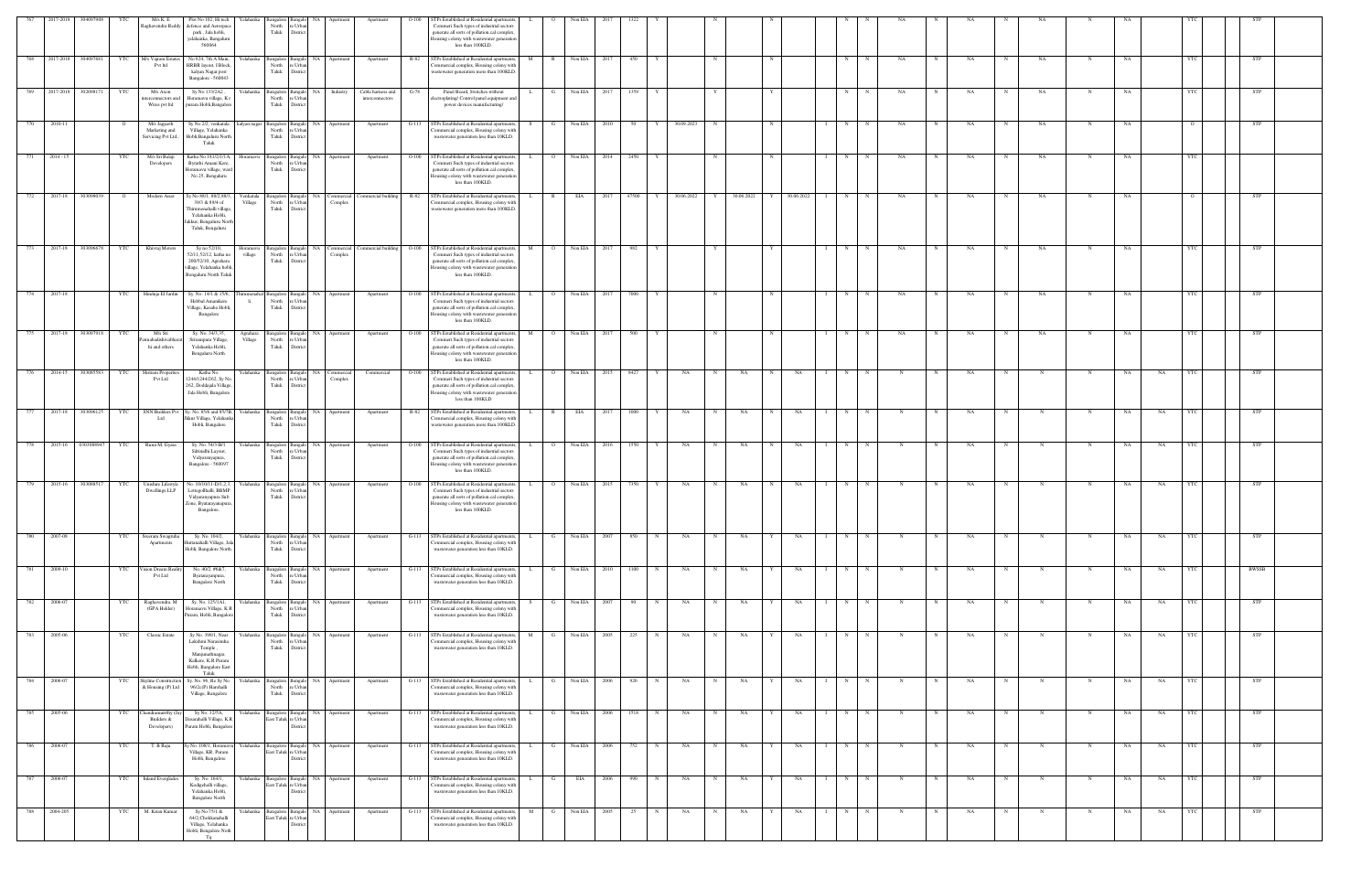|     | 2017-2018               | 304097908  | YTC | M/s K. E<br>aghavendra Redo                          | Plot No 102, Hi tech<br>efence and Aerospace<br>park, Jala hobli,<br>yelahanka, Bangaluru<br>560064                                 | Yelahanka            | North<br>Taluk                                     | Bangalore Bangalo<br>NA<br>: Urb.<br>Distrio | Apartmer                 | Apartment                            | $O-100$ | TPs Established at Residential apartments,<br>Commeri Such types of industrial sectors<br>generate all sorts of pollution.cal complex<br>Iousing colony with wastewater generation<br>less than 100KLD.        |   |                | Non EIA      |       |       |             |            |            |            |            |            |             |            |   |           |             |            |             |           |           |            |              |  |
|-----|-------------------------|------------|-----|------------------------------------------------------|-------------------------------------------------------------------------------------------------------------------------------------|----------------------|----------------------------------------------------|----------------------------------------------|--------------------------|--------------------------------------|---------|----------------------------------------------------------------------------------------------------------------------------------------------------------------------------------------------------------------|---|----------------|--------------|-------|-------|-------------|------------|------------|------------|------------|------------|-------------|------------|---|-----------|-------------|------------|-------------|-----------|-----------|------------|--------------|--|
| 768 | 2017-2018               | 304097681  |     | M/s Vajram Estate<br>Pvt ltd                         | No 924, 7th A Main,<br>HRBR layout, I Block,<br>kalyan Nagar post<br>Bangalore - 560043                                             | ∕elahanka            | Bangalore Bangal<br>North<br>Taluk                 | re Urba<br>District                          | NA Apartment             | Apartment                            | R-82    | STPs Established at Residential apartment<br>ommercial complex, Housing colony with<br>vastewater generation more than 100KLD.                                                                                 |   | $\mathbb{R}$   | Non EIA      |       | 450   |             |            |            |            |            | $_{\rm N}$ |             | NA         |   | NA        |             | NA         | N           | <b>NA</b> |           | YTC        | <b>STP</b>   |  |
|     | 769 2017-2018 302098171 |            | YTC | M/s Axon<br>terconnectors an<br>Wires pvt ltd        | Sy No 133/2A2,<br>Horamavu village, K1<br>puram Hobli, Bangalor                                                                     | Yelahanka            | Bangalore Bangalo<br>North<br>Taluk                | NA  <br>re Urba<br>District                  | Industry                 | Cable harness and<br>interconnectors | $G-78$  | Panel Board, Switches without<br>lectroplating/ Control panel equipment an<br>power devices manufacturing/                                                                                                     |   | G              | Non EIA      | 2017  | 1359  |             |            |            |            |            | N          |             | NA         |   | NA        | N           | NA         |             | NA        |           |            | STP          |  |
| 770 | 2010-11                 |            |     | M/s Jagjeeth<br>Marketing and<br>Servicing Pvt Ltd., | Sy No 2/2, venkatala<br>Village, Yelahanka<br>Hobli, Bangaluru North<br>Taluk                                                       | kalyan nagar         | Bangalore Bangalo<br>North<br>Taluk                | NA<br>e Urba<br>District                     | Apartment                | Apartment                            | $G-113$ | STPs Established at Residential apartment<br>ommercial complex, Housing colony with<br>wastewater generation less than 10KLD.                                                                                  |   |                | Non EIA      |       | 50    |             | 30.09.2023 | N          |            |            | N          |             | NA         |   | NA        |             | NA         | -N-         | NA        |           | $\circ$    | STP          |  |
|     | 771 2014 - 15           |            | YTC | M/s Sri Balaji<br>Developers                         | Katha No 181/2/1/1A,<br>Byrathi Amani Kere,<br>Horamavu village, ware<br>No 25, Bengaluru                                           | Ioramavu             | North<br>Taluk                                     | angalore Bangalo<br>∘ Urb:<br>District       | NA Apartment             | Apartment                            |         | O-100 STPs Established at Residential apartments<br>Commeri Such types of industrial sectors<br>generate all sorts of pollution.cal complex,<br>lousing colony with wastewater generation<br>less than 100KLD. |   | $\overline{O}$ | Non EIA 2014 |       | 2450  | Y           |            |            |            |            | N          | $\mathbf N$ | NA         | N | NA        | N           | NA         |             | NA        |           |            |              |  |
| 772 | 2017-18                 | 303098039  |     | Modern Asset                                         | Sy No 88/1, 88/2,88/3<br>39/3 & 89/4 of<br>Thirumenahalli village<br>Yelahanka Hobli,<br>akkur, Bengaluru North<br>Taluk, Bengaluru | Venkatala<br>Village | angalore Bangal<br>North<br>Taluk                  | re Urbar<br>District                         | NA Commercial<br>Complex | ommercial building R-82              |         | STPs Established at Residential apartment<br>Commercial complex, Housing colony with<br>wastewater generation more than 100KLD.                                                                                |   |                | EIA          |       | 47500 |             | 30.06.2022 |            | 30.06.2022 | 30.06.2022 | N          |             | NA         |   | NA        |             | NA         |             |           |           |            | STP          |  |
| 773 | 2017-18                 | 303096678  | YTC | Khivraj Motors                                       | Sy no 52/10,<br>52/11,52/12, katha no<br>200/52/10, Agrahara<br>village, Yelahanka hobli<br>Bengaluru North Taluk                   | Ioramavu<br>village  | North<br>Taluk                                     | angalore Bangalo<br>e Urba<br>Distrio        | NA Commercial<br>Complex | Commercial building O-100            |         | STPs Established at Residential apartments<br>Commeri Such types of industrial sectors<br>generate all sorts of pollution.cal complex<br>Iousing colony with wastewater generation<br>less than 100KLD.        |   |                | Non EIA      |       | 982   |             |            |            |            |            | N          |             | NA         |   | NA        |             | NA         |             |           |           |            | <b>STP</b>   |  |
|     | 774 2017-18             |            | YTC | Hinduja El Jardin                                    | Sy. No. 14/1 & 15/6,<br>Hebbal Amanikere<br>Village, Kasaba Hobli<br>Bangalore                                                      | umenahal<br>- li     | Bangalore Bangal<br>North<br>Taluk                 | e Urba<br>District                           | NA Apartment             | Apartment                            | $O-100$ | STPs Established at Residential apartment<br>Commeri Such types of industrial sectors<br>generate all sorts of pollution.cal complex,<br>Iousing colony with wastewater generation<br>less than 100KLD.        |   | $\overline{O}$ | Non EIA      | - 201 | 7000  |             |            |            |            |            | N          |             | NA         |   | NA        |             | NA         |             | NA        |           | <b>YTC</b> | <b>STP</b>   |  |
| 775 | 2017-18                 | 303097918  |     | M/s Sri<br>nnabadishivabha<br>hi and others          | Sy. No. 34/3,35,<br>Srirampura Village,<br>Yelahanka Hobli,<br>Bengaluru North.                                                     | Agrahara<br>Village  | North<br>Taluk                                     | ngalore Bangalo<br>re Urba<br>District       | NA Apartment             | Apartment                            | $O-100$ | STPs Established at Residential apartment<br>Commeri Such types of industrial sectors<br>generate all sorts of pollution.cal complex,<br>Iousing colony with wastewater generation<br>less than 100KLD.        |   | $\overline{O}$ | Non EIA      |       | 500   |             |            |            |            |            | N          |             | NA         |   | NA        |             | NA         |             | NA        |           | <b>YTC</b> | STP          |  |
| 776 | 2014-15                 | 303085583  | YTC | hriram Properties<br>Pvt Ltd                         | Katha No.<br>244/1244/262, Sy No<br>162, Doddajala Village<br>Jala Hobli, Bangalore                                                 | Yelahanka            | Bangalore Bangalo<br>North<br>Taluk                | e Urba<br>District                           | NA Commercial<br>Complex | Commercial                           | $O-100$ | STPs Established at Residential apartments<br>Commeri Such types of industrial sectors<br>generate all sorts of pollution.cal complex<br>Iousing colony with wastewater generation<br>less than 100KLD         |   | $\overline{O}$ | Non EIA      | 2015  | 8427  |             | NA         | N          | NA         | NA         | N          |             | N          |   | NA        |             | N          | N           | NA        | NA        |            | <b>STP</b>   |  |
| 777 | 2017-18                 | 303096125  | YTC | Ltd                                                  | SNN Builders Pvt Sy. No. 85/6 and 85/7B,<br>Jkkur Village, Yelahanl<br>Hobli, Bangalore                                             | Yelahanka            | angalore Bangalo<br>North<br>Taluk                 | e Urba<br>District                           | NA Apartment             | Apartment                            |         | R-82 STPs Established at Residential apartments,<br>Commercial complex, Housing colony with<br>vastewater generation more than 100KLD.                                                                         |   | R              | EIA          | 2017  | 1000  |             | NA         | N          | NA         | NA         | N          |             |            |   | NA        |             |            |             | NA        | NA        |            | <b>STP</b>   |  |
| 778 | 2015-16                 | 0303088947 |     | Rumi M. Gyara                                        | Sy. No. 54/3-B/1<br>Sdrinidhi Layout,<br>Vidyaranyapura,<br>Bangalore - 560097                                                      | felahanka            | Bangalore Bangal<br>North<br>Taluk                 | NA<br>re Urba<br>District                    | Apartmer                 | Apartment                            | $O-100$ | STPs Established at Residential apartment<br>Commeri Such types of industrial sectors<br>generate all sorts of pollution.cal complex,<br>lousing colony with wastewater generation<br>less than 100KLD.        |   |                | Non EIA      |       | 1550  |             | NA         |            | NA         | NA         | N          |             |            |   | <b>NA</b> |             |            |             | <b>NA</b> | NA        |            | <b>STP</b>   |  |
| 779 | 2015-16                 | 303088517  |     | Jnishire Lifestyle<br>Dwellings LLP                  | lo. 10/10/11-D/1,2,3,<br>Lottegollhalli, BBMP<br>Vidyaranyapura Sub<br>Cone, Byatarayanapura<br>Bangalore.                          | felahanka            | 3angalore<br>North<br>Taluk                        | e Urbi<br>Distrio                            |                          | Apartment                            | $O-100$ | TPs Established at Residential apartment<br>Commeri Such types of industrial sectors<br>generate all sorts of pollution.cal complex<br>Iousing colony with wastewater generation<br>less than 100KLD.          |   |                | Non EIA      |       |       |             | NA.        |            | NA         | NA         | N          |             |            |   | NA        |             |            |             | NA.       | NA        |            | STP          |  |
| 780 | 2007-08                 |            | YTC | Sreeram Swagruha<br>Apartments                       | Sy. No. 104/2,<br>uttanahalli Village, Ja<br>Hobli, Bangalore North.                                                                | Yelahanka            | Bangalore Bangalo<br>North<br>Taluk                | e Urba<br>District                           | NA Apartment             | Apartment                            | $G-113$ | STPs Established at Residential apartments.<br>ommercial complex, Housing colony with<br>wastewater generation less than 10KLD.                                                                                |   | G              | Non EIA      | 2007  | 850   |             | NA         | $_{\rm N}$ | NA         | NA         | N          |             |            |   | NA        |             |            |             | NA        | NA        | - YTC      | <b>STP</b>   |  |
| 781 | 2009-10                 |            | YTC | ision Dream Reali<br>Pvt Ltd                         | No. 40/2, #6&7,<br>Byatarayanpura,<br><b>Bangalore North</b>                                                                        | felahanka            | angalore Bangalo<br>North<br>Taluk                 | re Urbar<br>District                         | NA Apartment             | Apartment                            | $G-113$ | STPs Established at Residential apartments<br>ommercial complex, Housing colony with<br>wastewater generation less than 10KLD.                                                                                 |   |                | Non EIA      | 2010  | 1100  | $\mathbf N$ | NA         | N          | NA         | NA         | N          |             |            |   | NA        |             | N          | N           | NA        | NA        | YTC        | <b>BWSSB</b> |  |
| 782 | 2006-07                 |            |     | Raghavendra. M<br>(GPA Holder)                       | Sy. No. 125/1A1,<br>Horamavu Village, KR<br>Puram, Hobli, Bangalore                                                                 | Yelahanka            | Bangalore Bangalo<br>North<br>Taluk                | NA<br>re Urba<br>District                    | Apartment                | Apartment                            | $G-113$ | STPs Established at Residential apartment<br>ommercial complex, Housing colony with<br>wastewater generation less than 10KLD.                                                                                  |   | G              | Non EIA      | 2007  | 90    |             | NA         | N          | NA         | NA         | N          |             |            |   | NA        |             | N          |             | NA        | NA        |            | <b>STP</b>   |  |
|     | 783 2005-06             |            | YTC | <b>Classic Estate</b>                                | Sy No. 398/1, Near<br>Lakshmi Narasimha<br>Temple,<br>Manjunathnagar,<br>Kalkere, K.R Puram<br>Hobli, Bangalore East<br>Taluk       | Yelahanka            | North<br>Taluk                                     | angalore Bangalo<br>e Urba<br>District       | NA Apartment             | Apartment                            | $G-113$ | STPs Established at Residential apartments<br>ommercial complex, Housing colony with<br>wastewater generation less than 10KLD.                                                                                 |   | G              | Non EIA 2005 |       | 225   | N           | NA         | $_{\rm N}$ | NA         | NA         | N          |             | N          |   | NA        | $\mathbf N$ | N          | N           | NA        | NA        |            | <b>STP</b>   |  |
| 784 | 2006-07                 |            |     | Skyline Construction<br>& Housing (P) Ltd            | Sy. No. 96, Re Sy No<br>96/2c(P) Harohalli<br>Village, Bangalore                                                                    | Yelahanka            | angalore Bangal<br>North<br>Taluk                  | re Urba<br>District                          | NA Apartment             | Apartment                            | $G-113$ | STPs Established at Residential apartment<br>Commercial complex, Housing colony with<br>wastewater generation less than 10KLD.                                                                                 |   |                | Non EIA      | 2006  | 926   |             | NA         | N          | NA         | NA         | N          |             |            |   | NA        |             |            | N           | NA        | NA        | YTC        | <b>STP</b>   |  |
| 785 | 2005-06                 |            |     | handramurrthy (J<br>Builders &<br>Developers)        | Sy No. 32/5A,<br>asarahalli Village, K.R<br>Puram Hobli, Bangalore                                                                  | Yelahanka            | Bangalore Bangalo<br>East Taluk re Urban           | NA<br>Distric                                | Apartmen                 | Apartment                            | G-113   | STPs Established at Residential apartment<br>Commercial complex, Housing colony with<br>wastewater generation less than 10KLD.                                                                                 |   |                | Non EIA      | -2006 | 1518  |             | NA         | N          | NA         | NA         | N          |             |            |   | NA        |             |            |             | NA        | NA        |            | STP          |  |
| 786 | 2006-07                 |            | YTC | T. B Raju                                            | No. 108/1, Horamav<br>Village, KR. Puram<br>Hobli, Bangalore                                                                        | Yelahanka            | Bangalore Bangalo<br>East Taluk re Urba            | Distric                                      | NA Apartment             | Apartment                            | $G-113$ | STPs Established at Residential apartments<br>ommercial complex, Housing colony with<br>wastewater generation less than 10KLD.                                                                                 |   |                | Non EIA      | 2006  | 752   |             | NA         | N          | NA         | NA         | N          |             |            |   | NA        |             | N          | N           | NA        | NA        | YTC        | STP          |  |
|     | 787 2006-07             |            | YTC | <b>Inland Everglades</b>                             | Sy. No. 164/1,<br>Kodigehalli village,<br>Yelahanka Hobli,<br><b>Bangalore North</b>                                                |                      | Yelahanka Bangalore Bangalo<br>East Taluk re Urbar | District                                     | NA Apartment             | Apartment                            | $G-113$ | STPs Established at Residential apartments,<br>ommercial complex, Housing colony with<br>wastewater generation less than 10KLD.                                                                                |   | G              | EIA          | 2006  | 990   | N           | NA         | N          | NA         | NA         | N          | N           | $_{\rm N}$ | N | NA        | N           | $_{\rm N}$ | $\mathbf N$ | NA        | <b>NA</b> | YTC        | <b>STP</b>   |  |
| 788 | 2004-205                |            | YTC | M. Kiran Kumar                                       | Sy.No.75/1 &<br>64/2, Chokkanahalli<br>Village, Yelahanka<br>Hobli, Bengalore Noth<br>Tq                                            | Yelahanka            | Bangalore Bangalo<br>East Taluk re Urbar           | Distric                                      | NA Apartment             | Apartment                            | $G-113$ | STPs Established at Residential apartments<br>ommercial complex, Housing colony with<br>wastewater generation less than 10KLD.                                                                                 | M | G              | Non EIA      | 2005  | 25    |             | NA         | N          | NA         | NA         | N          |             |            |   | NA        |             | N          | $\mathbf N$ | NA        | NA        | <b>YTC</b> | <b>STP</b>   |  |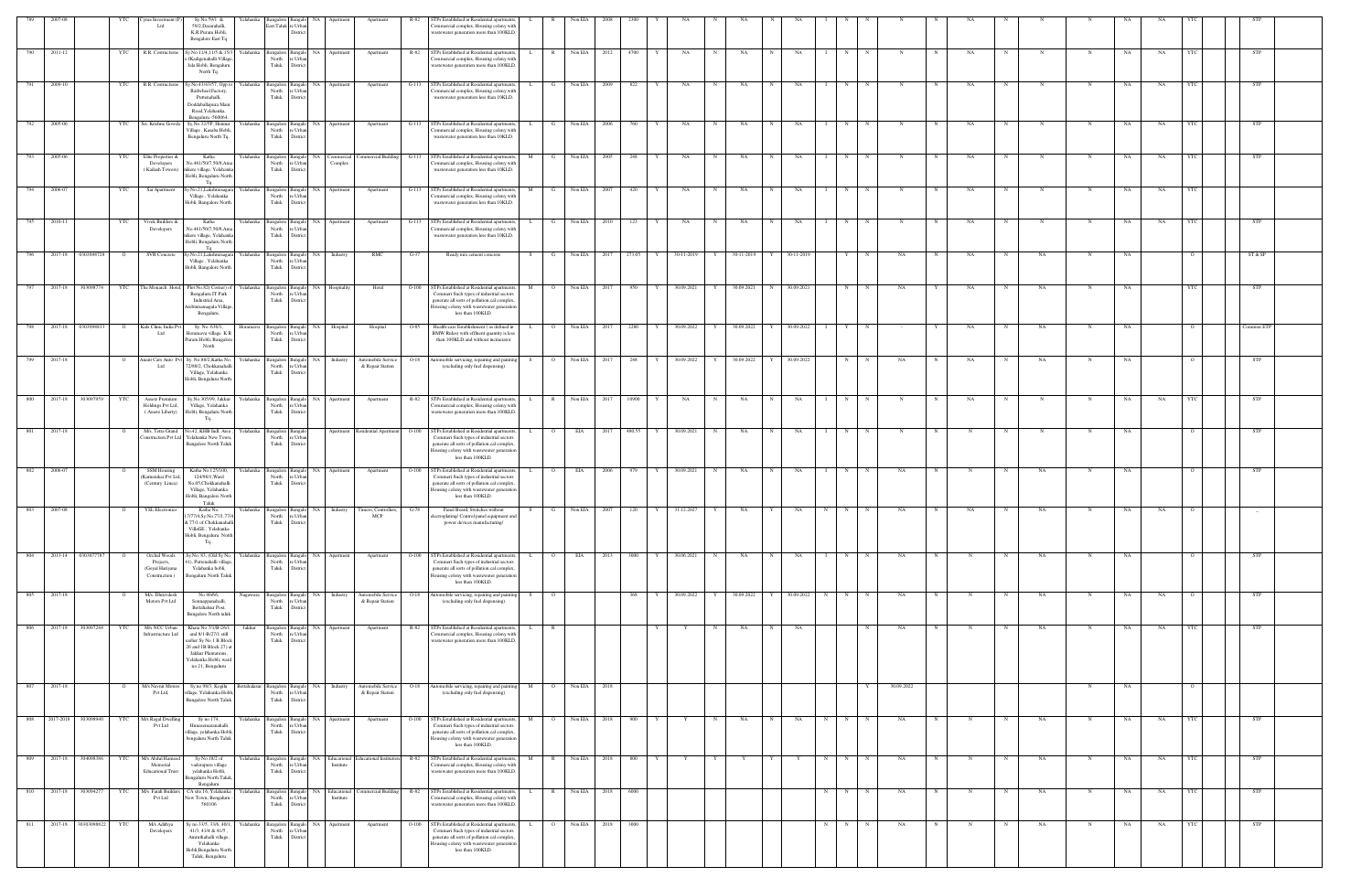|     |                        |                | ma Investment<br>Ltd                                           | Sy.No.59/1 &<br>59/2, Dasarahalli,<br>K.R.Puram Hobli,<br>Bengalore East Tq                                                                                          | elahank                                                                    | last Taluk re Urba<br>District                |                                |                                        |         | TPs Established at Residential apartment<br>ommercial complex, Housing colony with<br>wastewater generation more than 100KLD.                                                                           |                     |                |      |            |              |   |            |             |                |        |            |            |   |    |             |             |             |           |           |                |            |  |
|-----|------------------------|----------------|----------------------------------------------------------------|----------------------------------------------------------------------------------------------------------------------------------------------------------------------|----------------------------------------------------------------------------|-----------------------------------------------|--------------------------------|----------------------------------------|---------|---------------------------------------------------------------------------------------------------------------------------------------------------------------------------------------------------------|---------------------|----------------|------|------------|--------------|---|------------|-------------|----------------|--------|------------|------------|---|----|-------------|-------------|-------------|-----------|-----------|----------------|------------|--|
| 790 | 2011-12                | YTC            | R.R. Costructions                                              | Sy.No.11/4,11/5 & 15/<br>fKadigenahalli Village<br>Jala Hobli, Bengaluru<br>North Tq.                                                                                | Yelahanka<br>North<br>Taluk                                                | Bangalore Bangalo<br>NA<br>e Urba<br>Distri   |                                | Apartment                              | R-82    | STPs Established at Residential apartment<br>ommercial complex, Housing colony with<br>wastewater generation more than 100KLD                                                                           |                     | Non EIA        | 2012 | 4700       | NA           |   | NA         |             | NA             | N      |            |            |   | NA |             |             |             | NΑ        | NA        |                | STP        |  |
|     | 2009-10                | YTC            | R.R. Costructions                                              | y.No.43/43/57, Opp to<br>Railwheel Factory,<br>Puttenahalli,<br>Doddaballapura Main<br>Road, Yelahanka,<br>Bengaluru -560064.                                        | Yelahanka<br>North<br>Taluk                                                | Bangalore Bangalo<br>e Urb<br>Distric         | NA Apartment                   | Apartment                              | $G-113$ | STPs Established at Residential apartments<br>nmercial complex, Housing colony with<br>wastewater generation less than 10KLD.                                                                           |                     | Non EIA        | 2009 | 822        | NA           |   | NA         |             | NA             | N      |            |            |   | NA |             |             |             |           | NA        |                | <b>STP</b> |  |
| 792 | 2005-06                | <b>YTC</b>     | Sri. Krishne Gowd                                              | Sy.No.32/5P, Hennu<br>Village, Kasaba Hobli<br>Bengaluru North Tq.                                                                                                   | Yelahanka<br>North<br>Taluk                                                | Bangalore Bangalo<br>re Urba<br>District      | NA Apartment                   | Apartment                              | $G-113$ | STPs Established at Residential apartment<br>ommercial complex, Housing colony with<br>wastewater generation less than 10KLD.                                                                           |                     | Non EIA        | 2006 | 760        | NA           | N | NA         | $\mathbf N$ | NA             | N      |            |            |   | NA |             |             | N           | NA        | NA        |                | <b>STP</b> |  |
| 793 | 2005-06                | YTC            | Elite Properties &<br>Developers<br>(Kailash Towers)           | Katha<br>No.461/50/7,50/8,Am<br>nikere village, Yelahanka<br>Hobli, Bengaluru North                                                                                  | Yelahanka<br>North<br>Taluk                                                | Bangalore Bangalo<br>re Urban<br>District     | Complex                        | NA Commercial Commercial Building      | $G-113$ | STPs Established at Residential apartments<br>ommercial complex, Housing colony with<br>wastewater generation less than 10KLD.                                                                          | M<br>$\mathbf{G}$   | Non EIA        | 2005 | 248        | NA           | N | NA         | N           | NA             | N      | N          | N          |   | NA | $\mathbf N$ | $\mathbf N$ | $\mathbf N$ | NA        | <b>NA</b> | <b>YTC</b>     | <b>STP</b> |  |
| 794 | 2006-07                | YTC            | Sai Apartment                                                  | Ta<br>/.No.21,Lakshmisa<br>Village, Yelahanka<br>Hobli, Bangalore North.                                                                                             | Yelahanka<br>North<br>Taluk                                                | Bangalore Bangalo<br>NA<br>e Urba<br>District | Apartment                      | Apartment                              | $G-113$ | STPs Established at Residential apartments<br>mmercial complex, Housing colony with<br>wastewater generation less than 10KLD.                                                                           |                     | Non EIA        | 2007 | 420        | NA           | N | NA         |             | NA             | N      |            |            |   | NA |             |             |             | NA        | NA        |                |            |  |
| 795 | 2010-11                | YTC            | Vivek Builders &<br>Developers                                 | Katha<br>No.461/50/7,50/8,Am<br>nikere village, Yelahank<br>Hobli, Bengaluru North                                                                                   | Yelahanka<br>North<br>Taluk                                                | e Urba<br>District                            | Bangalore Bangalo NA Apartment | Apartment                              |         | G-113 STPs Established at Residential apartments,<br>ommercial complex, Housing colony wit<br>wastewater generation less than 10KLD.                                                                    | L.<br>$\mathbf{G}$  | Non EIA        | 2010 | 123 Y      | <b>NA</b>    | N | NA         | N           | NA             | N      | N          | N          |   | NA | $\mathbf N$ | N           | N           | NA        | NA        | - YTC          | <b>STP</b> |  |
| 796 | 0303098728<br>2017-18  | $\circ$        | <b>SVR</b> Concrete                                            | Sy.No.21,Lakshmisaga<br>Village, Yelahanka<br>Hobli, Bangalore North.                                                                                                | Yelahanka<br>Bangalore Bangal<br>North<br>Taluk                            | <b>NA</b><br>re Urba<br>District              | Industry                       | RMC                                    | $G-37$  | Ready mix cement concrete                                                                                                                                                                               | S.                  | Non EIA        | 2017 | 273.05     | 30-11-2019   |   | 30-11-2019 |             | 30-11-2019     | Y      |            | NA         |   | NA |             | NA          |             | NA        |           |                | ST & SP    |  |
| 797 | 303098774<br>2017-18   | YTC            | The Monarch Hotel,                                             | Plot No.82(Corner) of<br>Bengaluru IT Park<br>Industrial Area,<br>rebinnamagala Village                                                                              | Yelahanka<br>North<br>Taluk                                                | Bangalore Bangalo<br>e Urb<br>Distri          | NA Hospitality                 | Hotel                                  | $O-100$ | STPs Established at Residential apartments,<br>Commeri Such types of industrial sectors<br>generate all sorts of pollution.cal complex<br>ousing colony with wastewater generation                      | M                   | Non EIA        | 2017 | 950        | 30.09.2021   | Y | 30.09.2021 | N           | 30.09.2021     | N      |            | NA         |   | NA | N           | NA          | N           | NA        |           | YTC            | STP        |  |
| 798 | 2017-18<br>0303098833  | $\overline{O}$ | Kids Clinic India Pv<br>Ltd                                    | Bengaluru.<br>Sy. No. 636/1,<br>Horamavu village K                                                                                                                   | Horamavu<br>North                                                          | e Urb                                         | Bangalore Bangalo NA Hospital  | Hospital                               | $O-85$  | less than 100KLD.<br>Health-care Establishment (as defined in<br>BMW Rules) with effluent quantity is les                                                                                               | L<br>$\overline{O}$ | Non EIA        | 2017 | 2280 Y     | 30.09.2022   | Y | 30.09.2022 |             | 30.09.2022     | Y      |            |            |   | NA | N           | NA          | N           | NA        |           |                | Common ETP |  |
| 799 | 2017-18                | $\circ$        | snant Cars Auto 1<br>Ltd                                       | Puram Hobli, Bangalor<br>North<br>Sy. No.88/2, Katha No.<br>2/88/2, Chokkanahal                                                                                      | Taluk<br>Yelahanka<br>Bangalore Bangal<br>North                            | Distric<br>NA<br>re Urba                      | Industry                       | Automobile Service<br>& Repair Station | O-18    | than 100KLD and without incinerator<br>Automobile servicing, repairing and painti<br>(excluding only fuel dispensing)                                                                                   | $\overline{O}$      | Non EIA        | 2017 | 248        | 30.09.2022   |   | 30.09.2022 |             | 30.09.2022     | N      |            | NA         |   | NA |             | NA          | N           | NA        |           |                | <b>STP</b> |  |
| 800 | 303097959<br>2017-18   | <b>YTC</b>     | Assetz Premium                                                 | Village, Yelahanka<br>Hobli, Bengaluru North.<br>Sy.No.305/99, Jakkur                                                                                                | Taluk<br>Yelahanka                                                         | District                                      | angalore Bangalo NA Apartment  | Apartment                              | R-82    | STPs Established at Residential apartments,                                                                                                                                                             | L.<br>R             | Non EIA        | 2017 | 10900      | NA<br>Y      | N | NA         | N           | NA             | N      | $_{\rm N}$ | N          |   | NA |             | N           | N           | NA        | NA        |                | <b>STP</b> |  |
|     |                        |                | Holdings Pvt Ltd,<br>(Assetz Liberty)                          | Village, Yelahanka<br>Hobli, Bengaluru North<br>Tq                                                                                                                   | North<br>Taluk                                                             | re Urba<br>District                           |                                |                                        |         | ommercial complex, Housing colony with<br>wastewater generation more than 100KLD                                                                                                                        |                     |                |      |            |              |   |            |             |                |        |            |            |   |    |             |             |             |           |           |                |            |  |
| 801 | 2017-18                | $\circ$        | M/s. Tetra Grand<br>onstruction Pvt L                          | lo.42, KHB Indl. Area,<br>felahanka New Tow<br><b>Bangalore North Taluk</b>                                                                                          | Yelahanka<br>Bangalore Bangal<br>North<br>Taluk                            | e Urba<br>District                            |                                | Apartment Residential Apartment        | $O-100$ | STPs Established at Residential apartments<br>Commeri Such types of industrial sector<br>generate all sorts of pollution.cal complex<br>lousing colony with wastewater generation<br>less than 100KLD.  | $\overline{O}$      | EIA            | 2017 | 480.55     | 30.09.2021   | N | NA         |             | NA             | N      |            | N          |   |    |             | N           | N           | NA        |           |                | STP        |  |
| 802 | 2006-07                |                | <b>SSM Housing</b><br>(Karnataka) Pvt Ltd<br>(Century Linea)   | Katha No.125/100,<br>124/98/1, Ward<br>No.05, Chokkanahalli<br>Village, Yelahanka<br>Hobli, Bangalore North<br>Taluk                                                 | Yelahanka<br>North<br>Taluk                                                | Bangalore Bangal<br>re Urba<br>District       | NA Apartment                   | Apartment                              | $O-100$ | STPs Established at Residential apartments<br>Commeri Such types of industrial sectors<br>generate all sorts of pollution.cal complex<br>Iousing colony with wastewater generation<br>less than 100KLD. | $\overline{O}$      | EIA            | 2006 | 979        | 30.09.2021   | N | NA         | N           | NA             | N      |            | NA         |   |    |             | NA.         |             | NA        |           |                | STP        |  |
| 803 | 2007-08                | $\overline{O}$ | <b>YSL Electronics</b>                                         | Katha No.<br>77/4.Sv.No.77/1.7<br>2 77/1 of Chokkanahalli<br>VillaGE, Yelahanka<br>Hobli, Bengaluru North<br>$Tq$                                                    | Yelahanka Bangalore Bangalo NA Industry Timers, Controllers, G-78<br>North | Taluk District                                |                                | MCP                                    |         | Panel Board, Switches without<br>e/ Control panel<br>power devices manufacturing/                                                                                                                       | S                   | G Non EIA 2007 |      | $120 \t Y$ | 31.12.2027 Y |   | <b>NA</b>  |             | $Y$ NA N N N N |        |            | <b>NA</b>  | N | NA | N           | <b>NA</b>   | $_{\rm N}$  | <b>NA</b> | NA        | $\overline{O}$ |            |  |
| 804 | 2013-14 0303077787     | $\circ$        | Orchid Woods<br>Projects,<br>(Goyal Hariyana<br>Construction ) | Sy.No. 83, (Old Sy No.<br>), Puttenahalli villag<br>Yelahanka hobli,<br>Bengaluru North Taluk                                                                        | Yelahanka<br>North<br>Taluk                                                | e Urb<br>District                             | Bangalore Bangalo NA Apartment | Apartment                              | $O-100$ | STPs Established at Residential apartments<br>Commeri Such types of industrial sector<br>generate all sorts of pollution.cal complex<br>Iousing colony with wastewater generatio<br>less than 100KLD.   |                     | EIA            | 2013 | 3000       | 30.06.2021   | N | NA         |             | NA             | N      |            | NA         |   |    |             | NA          |             | NA        |           |                | STP        |  |
| 805 | 2017-18                | $\circ$        | M/s. Dhruvdesh<br>Motors Pvt Ltd                               | No 40/66,<br>Sonnappanahalli,<br>Bettahalsur Post,<br><b>Bangalore North taluk</b>                                                                                   | Nagawara<br>North<br>Taluk                                                 | Bangalore Bangalo<br>re Urba<br>District      | NA Industry                    | Automobile Service<br>& Repair Station | $O-18$  | Automobile servicing, repairing and paintir<br>(excluding only fuel dispensing)                                                                                                                         | - S<br>$\circ$      |                |      | 368        | 30.09.2022   | Y | 30.09.2022 | Y           | 30.09.2022     | N<br>N | N          | NA         |   |    | N           | NA          | N           | NA        | NA        |                | <b>STP</b> |  |
| 806 | 2017-18<br>303097248   | YTC            | M/s NCC Urban<br>Infrastructure Ltd                            | Khata No 7/1/B-26/1<br>and 8/1-B/27/1 still<br>earlier Sy No 1 B Block<br>26 and 1B Block 27) at<br>Jakkur Plantations,<br>Yelahanka Hobli, ward<br>no 21, Bengaluru | Jakkur<br>North<br>Taluk                                                   | angalore Bangalo<br>re Urban<br>District      | NA Apartment                   | Apartment                              | R-82    | STPs Established at Residential apartment<br>ommercial complex, Housing colony with<br>wastewater generation more than 100KLD.                                                                          | R                   |                |      |            |              | N | NA         | N           | NA             |        | N          | NA         | N | N  | N           | NA          | N           | NA        | NA        | <b>YTC</b>     | STP        |  |
| 807 | 2017-18                | $\circ$        | M/s Navnit Motors<br>Pvt Ltd,                                  | Sy no 98/3, Kogilu<br>illage, Yelahanka Hobl<br><b>Bangalore North Taluk</b>                                                                                         | North<br>Taluk                                                             | e Urba<br>District                            | angalore Bangalo NA Industry   | Automobile Service<br>& Repair Station | $O-18$  | Automobile servicing, repairing and painting<br>(excluding only fuel dispensing)                                                                                                                        | M                   | Non EIA 2018   |      |            |              |   |            |             |                |        |            | 30.09.2022 |   |    |             |             |             | NA        |           |                |            |  |
| 808 | 2017-2018<br>303098940 | YTC            | M/s Regal Dwellin<br>Pvt Ltd                                   | Sy no 174,<br>Hunasemaranahalli<br>village, yelahanka Hobli<br>bengaluru North Taluk                                                                                 | Yelahanka<br>Bangalore Bangal<br>North<br>Taluk                            | NA<br>re Urba<br>District                     | Apartment                      | Apartment                              | $O-100$ | STPs Established at Residential apartmen<br>Commeri Such types of industrial sectors<br>generate all sorts of pollution.cal complex<br>lousing colony with wastewater generation<br>less than 100KLD.   | M                   | Non EIA        | 2018 | 900        | Y            | N | NA         |             | NA             | N      |            | NA         |   |    |             | NA          | N           | NA        | NA        |                | <b>STP</b> |  |
| 809 | 2017-18<br>304098386   | YT             | M/s Abdul Hame<br>Memorial<br><b>Educational Trust</b>         | Sy No.18/2 of<br>vaderapura village<br>yelahanka Hobli,<br>engaluru North Taluk<br>Bengaluru                                                                         | r'elahanka<br>North<br>Taluk                                               | NA<br>angalore Bangal<br>re Urban<br>District | Educational<br>Institute       | <b>Educational Institution</b>         | R-82    | STPs Established at Residential apartment<br>ommercial complex, Housing colony with<br>wastewater generation more than 100KLD.                                                                          | M                   | Non EIA        | 2018 | 800        |              |   |            |             |                | N      |            | NΑ         |   |    |             | NA          |             | NA        | NA        |                | STP        |  |
| 810 | 2017-18<br>30309427    | YTC            | A/s Farah Build<br>Pvt Ltd                                     | CA site.16, Yelahanka<br>lew Town, Bengaluru<br>560106                                                                                                               | Yelahanka<br>North<br>Taluk                                                | NA<br>angalore Bangal<br>e Urba<br>District   | Educational<br>Institute       | ommercial Building                     | R-82    | STPs Established at Residential apartment<br>ommercial complex, Housing colony with<br>wastewater generation more than 100KLD.                                                                          |                     | Non EIA        | 2018 | 6000       |              |   |            |             |                | N      |            | NA         |   |    |             | NA          |             | NA        | NA        |                | STP        |  |
| 811 | 2017-18 30303098822    | YTC            | M/s Adithya<br>Developers                                      | Sy no 33/5, 33/6, 40/1,<br>41/3, 41/4 & 41/5,<br>Amruthahalli village,<br>Yelahanka<br>Hobli, Bengaluru North<br>Taluk, Bengaluru                                    | Yelahanka<br>North<br>Taluk                                                | Bangalore Bangalo<br>NA<br>e Urba<br>District | Apartment                      | Apartment                              | $O-100$ | STPs Established at Residential apartment<br>'ommeri Such types of industrial sector<br>generate all sorts of pollution.cal complex<br>Iousing colony with wastewater generation<br>less than 100KLD.   | $\circ$             | Non EIA        | 2018 | 3000       |              |   |            |             |                | N      | N          | NA         |   |    | $_{\rm N}$  | NA          | N           | NA        | NA        | <b>YTC</b>     | <b>STP</b> |  |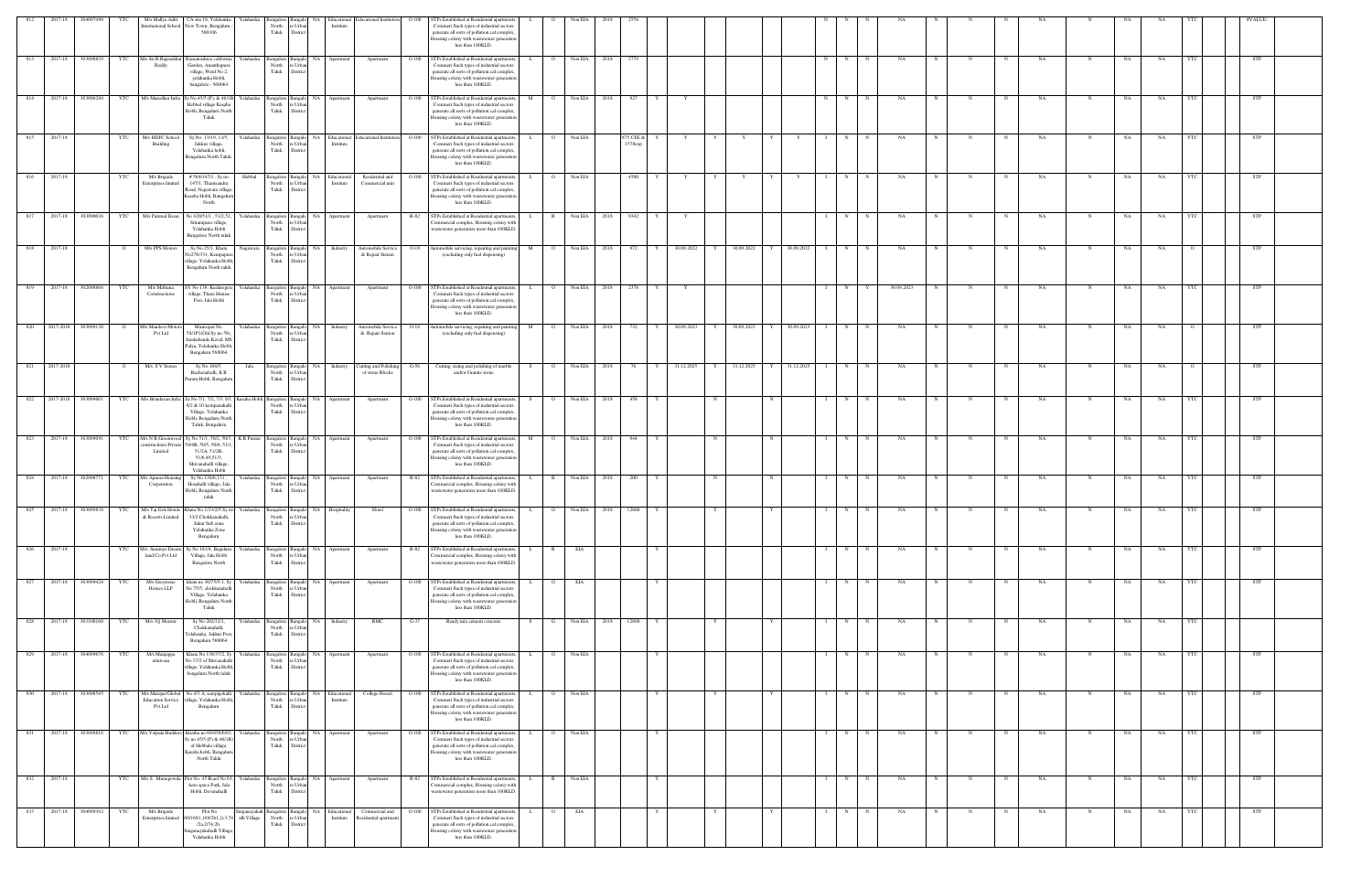| 812 | 2017-18   | 30409749          |                | M/s Mallya Aditi                                                 | CA site.16, Yelahanka<br>ternational School New Town, Bengaluru<br>560106                                                                                                           | Yelahank                   | North<br>Taluk                      | e Urb<br>Distric                         | Educationa<br>Institute        | ducational Institution                   | $O-100$ | STPs Established at Residential apartments<br>Commeri Such types of industrial sectors<br>generate all sorts of pollution.cal complex<br>lousing colony with wastewater generation<br>less than 100KLD.         |                      | Non EL    |      |                      |              |            |   |            |                 |              |   |             |            |   |             |             |           |              |     |                  |            |  |
|-----|-----------|-------------------|----------------|------------------------------------------------------------------|-------------------------------------------------------------------------------------------------------------------------------------------------------------------------------------|----------------------------|-------------------------------------|------------------------------------------|--------------------------------|------------------------------------------|---------|-----------------------------------------------------------------------------------------------------------------------------------------------------------------------------------------------------------------|----------------------|-----------|------|----------------------|--------------|------------|---|------------|-----------------|--------------|---|-------------|------------|---|-------------|-------------|-----------|--------------|-----|------------------|------------|--|
| 813 | 2017-18   | 303098829         | YTC            | M/s Sri.R.Rajasekha<br>Reddy                                     | amanashree california<br>Garden, Ananthapura<br>village, Ward No 2,<br>yelahanka Hobli,<br>bangalore - 560064                                                                       | Yelahanka                  | angalore<br>North<br>Taluk          | e Urbi<br>Distric                        | NA<br>Apartment                | Apartment                                | $O-100$ | STPs Established at Residential apartments<br>Commeri Such types of industrial sectors<br>generate all sorts of pollution.cal complex<br>ousing colony with wastewater generation<br>less than 100KLD.          |                      | Non EIA   | 2018 | 2779                 |              |            |   |            |                 |              | N |             | NA         |   |             |             | NA        |              | NA  | NA               | STP        |  |
| 814 | 2017-18   | 303096204         | YTC            |                                                                  | M/s Marudhar Infra Sy No 45/5 (P), & 46/1B<br>Hebbal village Kasaba<br>Hobli, Bengaluru North<br>Taluk                                                                              | Yelahanka                  | <b>Bangalore</b><br>North<br>Taluk  | Bangal<br>: Urb<br>Distric               | NA Apartment                   | Apartment                                | $O-100$ | STPs Established at Residential apartments<br>Commeri Such types of industrial sectors<br>generate all sorts of pollution.cal complex<br>lousing colony with wastewater generation<br>less than 100KLD.         | M                    | Non EIA   | 2018 | 927                  |              |            |   |            |                 |              | N |             | NA         |   |             |             | NA        |              | NA  | NA               | STP        |  |
| 815 | 2017-18   |                   | YTC            | M/s HDFC Schoc<br>Building                                       | Sy.No. 13/19, 13/5,<br>Jakkur village,<br>Yelahanka hobli,<br>Bengaluru North Taluk.                                                                                                | Yelahanka                  | angalore Banga<br>North<br>Taluk    | e Urba<br>District                       | NA Educational<br>Institute    | Educational Institution  O-100           |         | STPs Established at Residential apartment<br>Commeri Such types of industrial sectors<br>generate all sorts of pollution.cal complex<br>lousing colony with wastewater generation<br>less than 100KLD.          |                      | Non EIA   |      | 875 CFE &<br>1578exp |              |            |   |            |                 |              | N |             | NA         |   |             |             | NA        | N            | NA  | NA               | <b>STP</b> |  |
| 816 | 2017-18   |                   | YTC            | M/s Brigade<br><b>Enterprises limited</b>                        | #569/147/1, Sy no<br>147/1, Thanisandra<br>Road, Nagawara village,<br>Kasaba Hobli, Bangaluru<br>North                                                                              | Hebbal                     | angalore<br>North<br>Taluk          | e Urba<br>District                       | NA Educational<br>Institute    | Residential and<br>Commercial unit       | $O-100$ | STPs Established at Residential apartments<br>Commeri Such types of industrial sectors<br>generate all sorts of pollution.cal complex<br>lousing colony with wastewater generation<br>less than 100KLD.         | $\overline{O}$       | Non EIA   |      | 4500                 |              |            | Y |            |                 |              | N | $\mathbf N$ | NA         |   |             | N           | NA        |              | NA  | NA               | <b>STP</b> |  |
| 817 | 2017-18   | 303098036         | YTC            | M/s Parimal Desai                                                | No 420/51/1, 51/2,52,<br>Srirampura village,<br>Yelahanka Hobli<br><b>Bangalore North taluk</b>                                                                                     | Yelahanka                  | <b>Bangalore</b><br>North<br>Taluk  | Bangal<br>e Urb<br>Distric               | NA  <br>Apartment              | Apartment                                | R-82    | STPs Established at Residential apartments,<br>ommercial complex, Housing colony with<br>wastewater generation more than 100KLD.                                                                                |                      | Non EIA   | 2018 | 9342                 |              |            |   |            |                 |              | N |             | NA         |   |             |             | NA        |              | NA  | NA               | <b>STP</b> |  |
| 818 | 2017-18   |                   | $\mathbf{o}$   | M/s PPS Motors                                                   | Sy No 25/1, Khata<br>No278/331, Kempapur<br>illage, Yelahanka Hobli,<br>Bengaluru North taluk                                                                                       | Nagawara                   | angalore<br>North<br>Taluk          | e Urb<br>Distric                         | NA Industry                    | Automobile Service<br>& Repair Station   |         | O-18 Automobile servicing, repairing and painti<br>(excluding only fuel dispensing)                                                                                                                             | M<br>$\overline{O}$  | Non EIA   | 2018 | 972                  | Y            | 30.09.2022 | Y | 30.09.2022 | 30.09.2022<br>Y |              | N | N           | NA         |   |             |             | NA        |              | NA  | NA               | STP        |  |
| 819 | 2017-18   | 302098866         | YTC            | M/s Mithuna<br>Constructions                                     | SY No 138, Kuduregere<br>village, Thara Hunise<br>Post, Jala Hobli                                                                                                                  | Yelahanka                  | Bangalore<br>North<br>Taluk         | Banga<br>'e Urba<br>Distric              | NA<br>Apartment                | Apartment                                | $O-100$ | STPs Established at Residential apartments<br>Commeri Such types of industrial sectors<br>generate all sorts of pollution.cal complex<br>ousing colony with wastewater generation<br>less than 100KLD.          | $\circ$              | Non EIA   | 2018 | 2378                 |              |            |   |            |                 |              | N |             | 30.09.2023 |   |             | $\mathbf N$ | NA        |              | NA  | NA               | STP        |  |
| 820 | 2017-2018 | 303099130         | $\overline{O}$ | 1/s Mandovi Motors<br>Pvt Ltd                                    | Municipal No.<br>58/1P1(Old Sy no 58)<br>Jarakabande Kaval, MS<br>Palya, Yelahanka Hobli,<br>Bengaluru 560064                                                                       | Yelahanka                  | 3angalore<br>North<br>Taluk         | Distri                                   | <b>NA</b><br>Industry          | Automobile Service<br>& Repair Station   | $O-18$  | Automobile servicing, repairing and paintin<br>(excluding only fuel dispensing)                                                                                                                                 | M                    | Non EIA   | 2018 | 732                  |              | 30.09.2023 | Y | 30.09.2023 | 30.09.2023      |              | N |             | NA         |   |             |             | NA        |              | NA  | NA               | <b>STP</b> |  |
| 821 | 2017-2018 |                   | $\Omega$       | M/s S V Stones                                                   | Sy No 104/5,<br>Rachenahalli, KR<br>Puram Hobli, Bengalur                                                                                                                           | Jala                       | Bangalore  <br>North<br>Taluk       | : Urb<br>Distric                         | NA Industry                    | Cutting and Polishing<br>of stone Blocks | $G-56$  | Cutting, sizing and polishing of marble<br>and/or Granite stone                                                                                                                                                 | $\overline{O}$<br>S. | Non EIA   | 2018 | 76                   |              | 31.12.2025 | Y | 31.12.2025 | 31.12.2025<br>Y |              | N |             | NA         |   |             |             | NA        |              | NA  | NA               | <b>STP</b> |  |
| 822 | 2017-2018 | 303099601         | <b>YTC</b>     | M/s Brindavan Infra                                              | Sy No 7/1, 7/2, 7/3, 9/1, Kasaba Hobl<br>9/2 & 10 kempanahalli<br>Village, Yelahanka<br>Hobli, Bengaluru North<br>Taluk, Bengaluru                                                  |                            | Bangalore Bangal<br>North<br>Taluk  | 'e Urba<br>Distric                       | NA<br>Apartmen                 | Apartment                                | $O-100$ | STPs Established at Residential apartment<br>Commeri Such types of industrial sectors<br>generate all sorts of pollution.cal complex<br>lousing colony with wastewater generation<br>less than 100KLD.          | $\overline{O}$       | Non EIA   | 2018 | 458                  |              |            |   |            |                 |              | N |             | NA         |   |             |             | NA        |              | NA  | NA               | <b>STP</b> |  |
| 823 | 2017-18   | 303099091         | <b>YTC</b>     | M/s N R Greenwoo<br>structions Private<br>Limited                | Sy No 51/1, 50/2, 50/3,<br>50/4B, 50/5, 50/6, 51/<br>51/2A, 51/2B,<br>51/6,49,51/3,<br>Shivanahalli village,<br>Yelahanka Hobli                                                     | K R Puram                  | <b>Bangalore</b><br>North<br>Taluk  | Bangak<br>e Urbi<br>Distric              | NA Apartment                   | Apartment                                | $O-100$ | STPs Established at Residential apartments<br>Commeri Such types of industrial sectors<br>generate all sorts of pollution.cal complex<br>lousing colony with wastewater generation<br>less than 100KLD.         | M                    | Non EIA   | 2018 | 944                  |              |            |   |            |                 |              | N |             | NA.        |   |             |             | NA        |              | NA. | NA               | STP        |  |
| 824 |           | 2017-18 302098771 | <b>YTC</b>     | M/s Ajmera Housing<br>Corporation                                | Sy No 130/6,131,<br>Hosahalli village, Jala<br>Hobli, Bengaluru North<br>taluk                                                                                                      | Yelahanka                  | North<br>${\rm Tauk}$               | angalore Bangalo<br>e Urb<br>Distric     | NA Apartment                   | Apartment                                |         | R-82 STPs Established at Residential apartments,<br>Commercial complex, Housing colony with<br>wastewater generation more than 100KLD.                                                                          | L.                   | R Non EIA | 2018 | 200                  |              |            | N |            | N               |              | N | N           | NA         | N | N           | N           | NA        | N            | NA  | NA               | <b>STP</b> |  |
| 825 |           |                   |                | & Resorts Limited                                                | 2017-18 303099838 YTC M/s Taj Gvk Hotels Khata No 1/33/2/5 Sy no Yelahanka Bangalore Bangalo NA Hospitality<br>33/2 Chokkanahalli,<br>Jakur Sub zone<br>Yelahanka Zone<br>Bengaluru |                            | North                               | re Urba<br>Taluk District                |                                | Hotel                                    |         | O-100 STPs Established at Residential apartments,<br>Commeri Such types of industrial sectors<br>generate all sorts of pollution.cal complex,<br>Housing colony with wastewater generation<br>less than 100KLD. | L.                   | O Non EIA | 2018 | 12600                |              |            |   |            | Y               |              | N | $\mathbf N$ | NA         |   |             | N           | NA        | $\mathbb{N}$ | NA  | NA<br><b>YTC</b> | <b>STP</b> |  |
| 826 | 2017-18   |                   | YTC            | M/s Sammys Dream<br>land Co.Pvt Ltd                              | Sy No 181/4, Bagaluru<br>Village, Jala Hobli<br><b>Bangalore North</b>                                                                                                              | Yelahanka                  | North<br>Taluk                      | Bangalore Bangalo<br>e Urba<br>District  | NA Apartment                   | Apartment                                | R-82    | STPs Established at Residential apartments<br>Commercial complex, Housing colony with<br>wastewater generation more than 100KLD.                                                                                | $\mathbb{R}$         | EIA       |      |                      |              |            |   |            |                 |              | N |             | NA         |   |             |             | NA        | N            | NA  | NA               | STP        |  |
| 827 | 2017-18   | 303099428         | YTC            | M/s Greystone<br>Homes LLP                                       | khata no 30/75/5-1, Sy<br>No 75/5, chokkanahall<br>Village, Yelahanka<br>Hobli, Bengaluru North<br>Taluk                                                                            | Yelahanka                  | Bangalore<br>North<br>Taluk         | Banga<br>e Urb<br>District               | NA<br>Apartment                | Apartment                                | $O-100$ | STPs Established at Residential apartments<br>ommeri Such types of industrial sectors<br>generate all sorts of pollution.cal complex<br>Housing colony with wastewater generation<br>less than 100KLD.          |                      | EIA       |      |                      |              |            |   |            |                 |              | N |             | NA         |   |             |             | NA        |              | NA  | NA               | STP        |  |
| 828 | 2017-18   | 303100160         | YTC            | M/s 3Q Meister                                                   | Sy No 202/32/1,<br>Chokkanahalli,<br>Yelahanka, Jakkur Post,<br>Bengaluru 560064                                                                                                    | Yelahanka                  | North<br>Taluk                      | 3angalore Bangalo<br>e Urba<br>District  | NA Industry                    | RMC                                      | $G-37$  | Ready mix cement concrete                                                                                                                                                                                       | $\mathbf{G}$<br>S.   | Non EIA   | 2018 | 12600                |              |            |   |            | Y               |              | N | $_{\rm N}$  | NA         |   | $_{\rm N}$  | N           | <b>NA</b> | $_{\rm N}$   | NA  | NA<br><b>YTC</b> |            |  |
| 829 |           | 2017-18 304099676 | YTC            | M/s Manjappa<br>srinivasa                                        | Khata No 138/37/2, Sy Yelahanka<br>No 37/2 of Shivanahalli<br>village, Yelahanka Hobli,<br>bengaluru North taluk $\,$                                                               |                            | Bangalore Bangalo<br>North<br>Taluk | re Urban<br>District                     | NA Apartment                   | Apartment                                | $O-100$ | STPs Established at Residential apartments,<br>Commeri Such types of industrial sectors<br>generate all sorts of pollution.cal complex<br>Housing colony with wastewater generation<br>less than 100KLD.        | $\overline{O}$<br>L. | Non EIA   |      |                      | Y            |            |   |            |                 | $\mathbf{I}$ | N | N           | NA         | N | N           | N           | NA.       | $_{\rm N}$   | NA  | NA<br>YTC        | <b>STP</b> |  |
| 830 |           | 2017-18 303098545 | YTC            | M/s Manipal Global<br><b>Education Service</b><br><b>Pvt Ltd</b> | No 4/3 A, sampigehalli<br>illage, Yelahanka Hobli,<br>Bengaluru                                                                                                                     | Yelahanka                  | North<br>Taluk                      | Bangalore Bangalo<br>e Urban<br>District | NA Educational<br>Institute    | College Hostel                           | $O-100$ | STPs Established at Residential apartments<br>Commeri Such types of industrial sectors<br>generate all sorts of pollution.cal complex<br>Housing colony with wastewater generation<br>less than 100KLD.         |                      | Non EIA   |      |                      |              |            |   |            |                 |              | N |             | NA         |   |             | N           | NA        | N            | NA  | NA               | STP        |  |
| 831 |           | 2017-18 303099816 |                |                                                                  | YTC M/s Velpula Builders Khatha no 69/458/69/1, Yelahanka<br>Sy no 45/5 (P) & 46/1B)<br>of Hebbala village,<br>Kasaba hobli, Bengaluru<br>North Taluk                               |                            | Bangalore Bangal<br>North<br>Taluk  | e Urba<br>District                       | NA Apartment                   | Apartment                                |         | O-100 STPs Established at Residential apartments<br>Commeri Such types of industrial sectors<br>generate all sorts of pollution.cal complex<br>Housing colony with wastewater generation<br>less than 100KLD.   | L.                   | O Non EIA |      |                      | Y            |            |   |            |                 |              | N | N           | NA         | N | N           | N           | NA        | N            | NA  | NA<br>- YTC      | <b>STP</b> |  |
| 832 | 2017-18   |                   | <b>YTC</b>     |                                                                  | M/s S. Munegowda Plot No. 45 Road No 01, Yelahanka<br>Aero space Park, Jala<br>Hobli, Devanahalli                                                                                   |                            | North<br>Taluk                      | re Urban<br>District                     | Bangalore Bangalo NA Apartment | Apartment                                | R-82    | STPs Established at Residential apartments,<br>Commercial complex, Housing colony with<br>wastewater generation more than 100KLD.                                                                               | L.<br>$\mathbb{R}$   | Non EIA   |      |                      | $\mathbf{Y}$ |            |   |            |                 |              | N | N           | NA         | N | $\mathbf N$ | N           | NA.       | $\mathbf N$  | NA  | <b>NA</b><br>YTC | <b>STP</b> |  |
| 833 | 2017-18   | 304099392         | YTC            | M/s Brigade<br><b>Enterprises</b> limited                        | Plot No<br>/1681,169/2b1,2c3,7<br>/2a, 2/74, 2b,<br>nganayakahalli Village<br>Yelahanka Hobli                                                                                       | neanavakal<br>alli Village | Bangalore Bangal<br>North<br>Taluk  | e Urba<br>Distric                        | Educational<br>NA<br>Institute | Commercial and<br>Residential apartment  | $O-100$ | STPs Established at Residential apartment<br>Commeri Such types of industrial sectors<br>generate all sorts of pollution.cal complex<br>lousing colony with wastewater generation<br>less than 100KLD.          |                      | EIA       |      |                      |              |            |   |            |                 |              | N |             | NA         |   |             |             | NA        | N            | NA  | NA               | STP        |  |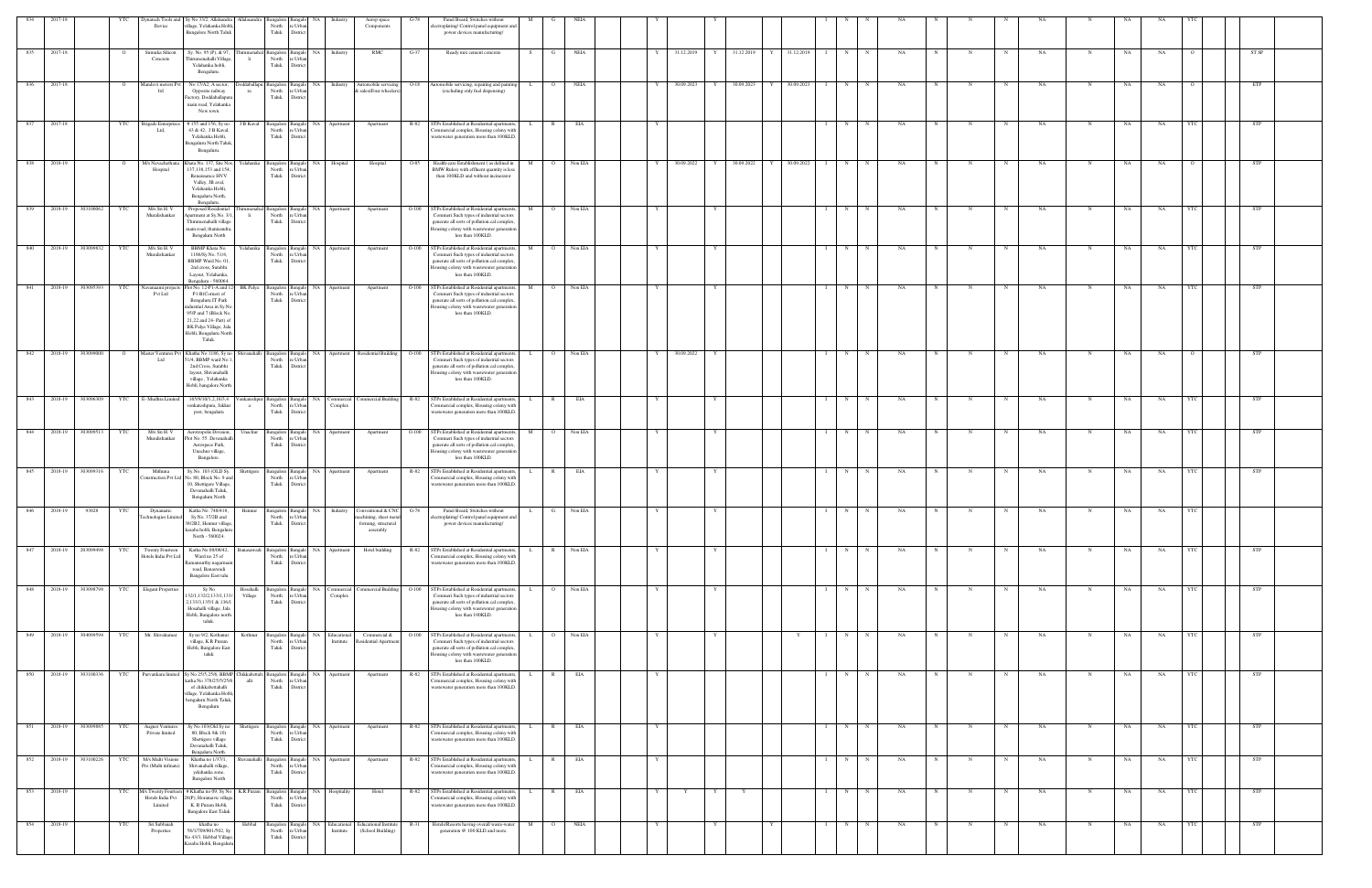| 834 | 2017-18     |           | YTC            | Device                                           | Dynatech Tools and Sy No 33/2, Allalsandra Allalasandra Bangalore<br>illage, Yelahanka Hobli<br><b>Bangalore North Taluk</b>                                                                               |                      | North<br>Urb<br>Taluk<br>Distri                                                | Industry                                         | Aerop space<br>G-78<br>Components                           | Panel Board, Switches without<br>oplating/Control panel equipment and<br>power devices manufacturing/                                                                                                     |              |                |             |   |            |   |              |   |            |   |             |    |            |             |           |             |             |    |            |            |  |
|-----|-------------|-----------|----------------|--------------------------------------------------|------------------------------------------------------------------------------------------------------------------------------------------------------------------------------------------------------------|----------------------|--------------------------------------------------------------------------------|--------------------------------------------------|-------------------------------------------------------------|-----------------------------------------------------------------------------------------------------------------------------------------------------------------------------------------------------------|--------------|----------------|-------------|---|------------|---|--------------|---|------------|---|-------------|----|------------|-------------|-----------|-------------|-------------|----|------------|------------|--|
|     | 835 2017-18 |           | $\overline{O}$ | Sumuka Silicon<br>Concrete                       | Sy. No. 95 (P), & 97,<br>Thirumenahalli Villag<br>Yelahanka hobli,                                                                                                                                         |                      | rumenahal Bangalore<br>North<br>e Urba<br>Taluk<br>Distric                     | Industry<br>NA                                   | RMC<br>G-37                                                 | Ready mix cement concrete                                                                                                                                                                                 | S            | G              | <b>NEIA</b> | Y | 31.12.2019 |   | Y 31.12.2019 | Y | 31.12.2019 | N | N           | NA |            | N           | NA        | $\mathbf N$ | NA          | NA |            | ST SP      |  |
| 836 | 2017-18     |           |                | undovi motors I<br>ltd                           | Bengaluru.<br>No 17/A2, A sector.<br>Opposite railway<br>Factory, Doddaballapur                                                                                                                            | ddaballap<br>ra      | Bangalore<br>langal<br>North<br>e Urbar<br>Taluk<br>District                   | Industry<br>NA                                   | utomobile servicing<br>$O-18$<br>& sales(Four wheelers)     | atomobile servicing, repairing and paint<br>(excluding only fuel dispensing)                                                                                                                              |              |                | NEIA        |   | 30.09.2023 | Y | 30.09.2023   |   | 30.09.2023 | N |             | NA |            |             | NA        |             | NA          | NA |            | ETP        |  |
| 837 | 2017-18     |           | YTC            | Brigade Enterpri                                 | main road, Yelahanka<br>New town<br>#155 and 156, Sy no.                                                                                                                                                   | J B Kaval            | Bangalore<br>langalo                                                           | NA<br>Apartment                                  | R-82<br>Apartment                                           | STPs Established at Residential apartments,                                                                                                                                                               | $\mathbf{L}$ | $\mathbb{R}$   | EIA         |   |            |   |              |   |            | N |             | NA |            | N           | <b>NA</b> | N           | NA          | NA |            | <b>STP</b> |  |
|     |             |           |                | Ltd.                                             | 43 & 42, J B Kaval,<br>Yelahanka Hobli,<br>Bengaluru North Taluk<br>Bengaluru.                                                                                                                             |                      | North<br>: Urba<br>Taluk<br>District                                           |                                                  |                                                             | ommercial complex, Housing colony with<br>wastewater generation more than 100KLD                                                                                                                          |              |                |             |   |            |   |              |   |            |   |             |    |            |             |           |             |             |    |            |            |  |
| 838 | 2018-19     |           |                | M/s Navachethan<br>Hospital                      | hata No. 137, Site Nos.<br>137,138,153 and 154<br>Renaissance HVV<br>Valley, JB aval,<br>Yelahanka Hobli,<br>Bengaluru North,<br>Bengaluru.                                                                | Yelahanka            | Bangalore<br>North<br>: Urbs<br>Taluk<br>District                              | Hospital<br><b>NA</b>                            | Hospital<br>$O-85$                                          | Health-care Establishment (as defined in<br>BMW Rules) with effluent quantity is less<br>than 100KLD and without incinerator                                                                              | M            | $\Omega$       | Non EIA     |   | 30.09.2022 | Y | 30.09.2022   | Y | 30.09.2022 | N | N           | NA |            |             | NA        |             | NA          | NA |            | STP        |  |
| 839 | 2018-19     | 303100062 | YTC            | M/s Sri H. V<br>Muralishankar                    | Proposed Residentia<br>partment at Sy.No. 3/<br>Thirumenahalli village<br>main road, thanisandra.<br>Bengaluru North                                                                                       | li l                 | Bangalor<br>North<br>e Urba<br>Taluk<br>Distric                                | NA<br>Apartment                                  | $O-100$<br>Apartment                                        | STPs Established at Residential apartments<br>Commeri Such types of industrial sectors<br>generate all sorts of pollution.cal complex,<br>lousing colony with wastewater generation<br>less than 100KLD.  |              |                | Non EIA     |   |            |   |              |   |            | N |             | NA |            |             | NA        |             | NA          | NA |            | STP        |  |
| 840 | 2018-19     | 303099832 | YTC            | M/s Sri H.V<br>Muralishankar                     | <b>BBMP</b> Khata No.<br>1186/Sy No. 51/4,<br>BBMP Ward No. 01.<br>2nd cross, Surabhi<br>Layout, Yelahanka,<br>Bengaluru - 560064.                                                                         | Yelahanka            | Bangalore<br>North<br>Taluk<br>Distri                                          | NA<br>Apartment                                  | $O-100$<br>Apartment                                        | STPs Established at Residential apartments,<br>Commeri Such types of industrial sectors<br>generate all sorts of pollution.cal complex.<br>lousing colony with wastewater generation<br>less than 100KLD. | M            |                | Non EIA     |   |            | Y |              |   |            | N |             | NA |            |             | NA        | N           | NA          | NA |            | <b>STP</b> |  |
| 841 | 2018-19     | 303095393 | YTC            | Navanaami project<br>Pvt Ltd                     | lot No. 12-P1-A and 1.<br>P1-B(Corner) of<br>Bengaluru IT Park<br>ndustrial Area in Sy.No<br>95/P and 7 (Block No.<br>21,22 and 24- Part) of<br>BK Palya Village, Jala<br>Hobli, Bengaluru North<br>Taluk. | <b>BK</b> Palya      | Bangalore<br>North<br>: Urbs<br>Taluk<br><b>Distric</b>                        | NA 1<br>Apartment                                | $O-100$<br>Apartment                                        | STPs Established at Residential apartments,<br>Commeri Such types of industrial sectors<br>generate all sorts of pollution.cal complex,<br>lousing colony with wastewater generation<br>less than 100KLD. | M            | $\Omega$       | Non EIA     |   |            |   |              |   |            | N | N           | NA |            |             | NA        |             | $_{\rm NA}$ | NA |            | STP        |  |
| 842 | 2018-19     | 303099000 | $\overline{O}$ | Master Ventures Pv<br>ht. I                      | Khatha No 1186, Sy no<br>51/4, BBMP ward No 1<br>2nd Cross, Surabhi<br>layout, Shivanahalli<br>village, Yelahanka<br>Hobli, bangalore North                                                                | Shivanahalli         | Bangalore<br>angalo<br>North<br>e Urba<br>Taluk<br>District                    | NA                                               | Apartment Residential Building O-100                        | STPs Established at Residential apartments,<br>Commeri Such types of industrial sectors<br>generate all sorts of pollution.cal complex.<br>lousing colony with wastewater generation<br>less than 100KLD. |              | $\circ$        | Non EIA     |   | 30.09.2022 | Y |              |   |            | N |             | NA |            |             | NA        |             | NA          | NA |            | STP        |  |
| 843 | 2018-19     | 303096309 |                | YTC E-Mudhra Limited                             | 165/9/10/1,2,16/3,4<br>venkateshpura, Jakkur<br>post, bengaluru                                                                                                                                            |                      | enkateshpur Bangalore<br><b>Bangalo</b><br>North<br>: Urba<br>Taluk<br>Distric | NA Commercial<br>Complex                         |                                                             | 'ommercial Building R-82 STPs Established at Residential apartments,<br>'ommercial complex, Housing colony with<br>wastewater generation more than 100KLD.                                                |              | $\mathbb{R}$   | EIA         |   |            |   |              |   |            | N | $\mathbf N$ | NA | N          | N           | NA        | N           | NA          | NA |            | <b>STP</b> |  |
| 844 | 2018-19     | 303099513 | YTC            | M/s Sri H.V<br>Muralishankar                     | Aerotropolis Division<br>Plot No. 55. Devanahal<br>Aerospace Park,<br>Unachur village,<br>Bangalore.                                                                                                       | Unachur              | Bangalore<br>North<br>e Urba<br>Taluk<br>District                              | NА<br>Apartment                                  | $O-100$<br>Apartment                                        | STPs Established at Residential apartments<br>Commeri Such types of industrial sectors<br>generate all sorts of pollution.cal complex.<br>Iousing colony with wastewater generation<br>less than 100KLD.  |              |                | Non EIA     |   |            |   |              |   |            | N |             | NA |            |             | NA        | N           | NA          | NA |            | STP        |  |
| 845 | 2018-19     | 303099316 | YTC            | Mithuna<br>onstruction Pvt Ltd                   | Sy.No. 103 (OLD Sy.<br>No. 80, Block No. 9 and<br>10, Shettigere Village,<br>Devanahalli Taluk,<br>Bengaluru North                                                                                         |                      | Bangalor<br>North<br>e Urba<br>Taluk<br>Distric                                | NA.<br>Apartment                                 | Apartment<br>R-82                                           | STPs Established at Residential apartments<br>'ommercial complex, Housing colony with<br>wastewater generation more than 100KLD.                                                                          |              | R              | EIA         |   |            |   |              |   |            | N |             | NΑ |            |             | NA        |             | NA          | NA |            | STP        |  |
| 846 | 2018-19     | 93028     | YTC            | Dynamatic                                        | Katha No. 748/418,<br>Sy.No. 37/2B and<br>38/2B2, Hennur village,<br>kasaba hobli, Bengaluru<br>North - 560024.                                                                                            | Hennur               | Taluk<br>District                                                              | Bangalore Bangalo NA Industry Conventional & CNC | $G-78$<br>forming, structural<br>assembly                   | Panel Board, Switches without<br>power devices manufacturing/                                                                                                                                             |              |                | Non EIA     |   |            |   |              |   |            | N |             | NΑ |            |             |           |             | NA          | NA |            |            |  |
| 847 | 2018-19     | 203099498 | YTC            | <b>Twenty Fourteer</b><br>Hotels India Pvt Ltd   | Katha No 08/08/42<br>Ward no 25 of<br><b>Łamamurthy</b> nagarmai<br>road, Banaswadi<br>Bangalore East talu                                                                                                 |                      | Banasawadi Bangalore<br>Bangal<br>North<br>e Urbar<br>Taluk<br>District        | NA<br>Apartment                                  | Hotel building<br>R-82                                      | STPs Established at Residential apartments<br>ommercial complex, Housing colony with<br>wastewater generation more than 100KLD.                                                                           |              | $\mathbb{R}$   | Non EIA     |   |            |   |              |   |            | N |             | NA |            |             | NA        | $\mathbf N$ | NA          | NA |            | <b>STP</b> |  |
| 848 | 2018-19     | 303098798 | YTC            | <b>Elegant Properties</b>                        | Sy No<br>32/1,132/2,133/1,133/<br>2,133/3,135/1 & 136/<br>Hosahalli village, Jala<br>Hobli, Bangalore north<br>taluk.                                                                                      | Hosahalli<br>Village | angalore<br><b>Bangalo</b><br>North<br>e Urban<br>Taluk<br>District            | NA<br>Commercial<br>Complex                      | ommercial Building<br>$O-100$                               | STPs Established at Residential apartments<br>Commeri Such types of industrial sectors<br>generate all sorts of pollution.cal complex.<br>lousing colony with wastewater generation<br>less than 100KLD.  |              | $\overline{O}$ | Non EIA     |   |            | Y |              |   |            | N |             | NΑ | $_{\rm N}$ | $_{\rm N}$  | NA        |             | NA          | NA |            | <b>STP</b> |  |
| 849 | 2018-19     | 304099594 | <b>YTC</b>     | Mr. Shivakumar                                   | Sy no 9/2, Kothanur<br>village, K R Puram<br>Hobli, Bangalore East<br>taluk                                                                                                                                | Kothnur              | sangalore<br>langalo<br>North<br>: Urba<br>${\rm Tauk}$<br>Distric             | Educational<br>NA<br>Institute                   | Commercial &<br>$O-100$<br>Residential Apartmen             | STPs Established at Residential apartments,<br>Commeri Such types of industrial sectors<br>generate all sorts of pollution.cal complex.<br>Iousing colony with wastewater generation<br>less than 100KLD. |              | $\overline{O}$ | Non EIA     |   |            |   |              |   |            | N |             | NA |            | $\mathbf N$ | NA        | N           | NA          | NA |            | <b>STP</b> |  |
| 850 | 2018-19     | 303100336 | <b>YTC</b>     | Purvankara limited                               | Sy No 25/5,25/6, BBMP Chikkabettah<br>katha No 378/25/5/25/6<br>of chikkabettahalli<br>illage, Yelahanka Hobli<br>bengaluru North Taluk<br>Bengaluru                                                       | alli                 | Bangalore<br><b>Bangalo</b><br>North<br>e Urbar<br>Taluk<br>District           | NA<br>Apartment                                  | R-82<br>Apartment                                           | STPs Established at Residential apartments<br>'ommercial complex, Housing colony with<br>wastewater generation more than 100KLD.                                                                          |              | $\mathbb{R}$   | EIA         |   |            |   |              |   |            | N | N           | NA |            |             | NA        | $\mathbf N$ | NA          | NA | <b>YTC</b> | <b>STP</b> |  |
| 851 | 2018-19     | 303099885 | YTC            | <b>August Venture</b><br>Private limited         | Sy No 103(Old Sy no<br>80, Block 9& 10)<br>Shettigere village<br>Devanahalli Taluk,<br>Bengaluru North.                                                                                                    | Shettigere           | Bangalore<br>langalo<br>North<br>e Urba<br>Taluk<br>Distric                    | NA<br>Apartment                                  | R-82<br>Apartment                                           | STPs Established at Residential apartments,<br>ommercial complex, Housing colony with<br>wastewater generation more than 100KLD.                                                                          |              |                | EIA         |   |            |   |              |   |            | N |             | NA |            |             | NA        |             | NA          | NA |            | STP        |  |
| 852 | 2018-19     | 303100226 | YTC            | M/s Multi Visions<br>Pro (Multi infinate)        | Khatha no 1/37/1,<br>Shivanahalli village.<br>yelahanka zone,<br><b>Bangalore North</b>                                                                                                                    | Shivanahalli         | Bangalore<br>North<br>: Urb<br>Taluk<br>Distric                                | NA<br>Apartment                                  | R-82<br>Apartment                                           | STPs Established at Residential apartments,<br>mmercial complex, Housing colony with<br>wastewater generation more than 100KLD.                                                                           |              |                | EIA         |   |            |   |              |   |            | N |             | NA |            |             | NA        |             | NA          | NA |            | STP        |  |
| 853 | 2018-19     |           | YTC            | M/s Twenty Fourte<br>Hotels India Pvt<br>Limited | # Khatha no 09, Sy No K.R.Puram<br>28(P), Horamavu villag<br>K. R Puram Hobli,<br><b>Bangalore East Taluk</b>                                                                                              |                      | Bangalore<br><b>Bangal</b><br>North<br>e Urba<br>Taluk<br>District             | Hospitality<br>NA                                | R-82<br>Hotel                                               | STPs Established at Residential apartments,<br>ommercial complex, Housing colony with<br>wastewater generation more than 100KLD.                                                                          |              | $\mathbb{R}$   | EIA         |   |            | Y |              |   |            | N | N           | NA |            | $_{\rm N}$  | NA        | N           | $_{\rm NA}$ | NA |            | <b>STP</b> |  |
| 854 | 2018-19     |           | YTC            | Sri Subbaiah<br>Properties                       | khatha no<br>58/1/709/801/502, Sy<br>No 43/3, Hebbal Village,<br>Kasaba Hobli, Bengaluru                                                                                                                   | Hebbal               | Bangalore<br>langal<br>North<br>e Urbar<br>${\rm Tauk}$<br>District            | NA<br>Educationa<br>Institute                    | <b>Educational Institute</b><br>$R-31$<br>(School Building) | Hotels/Resorts having overall waste-water<br>generation @ 100 KLD and more.                                                                                                                               | м            | $\Omega$       | NEIA        |   |            |   |              |   |            | N |             | NA |            |             | NA        |             | NA          | NA |            | STP        |  |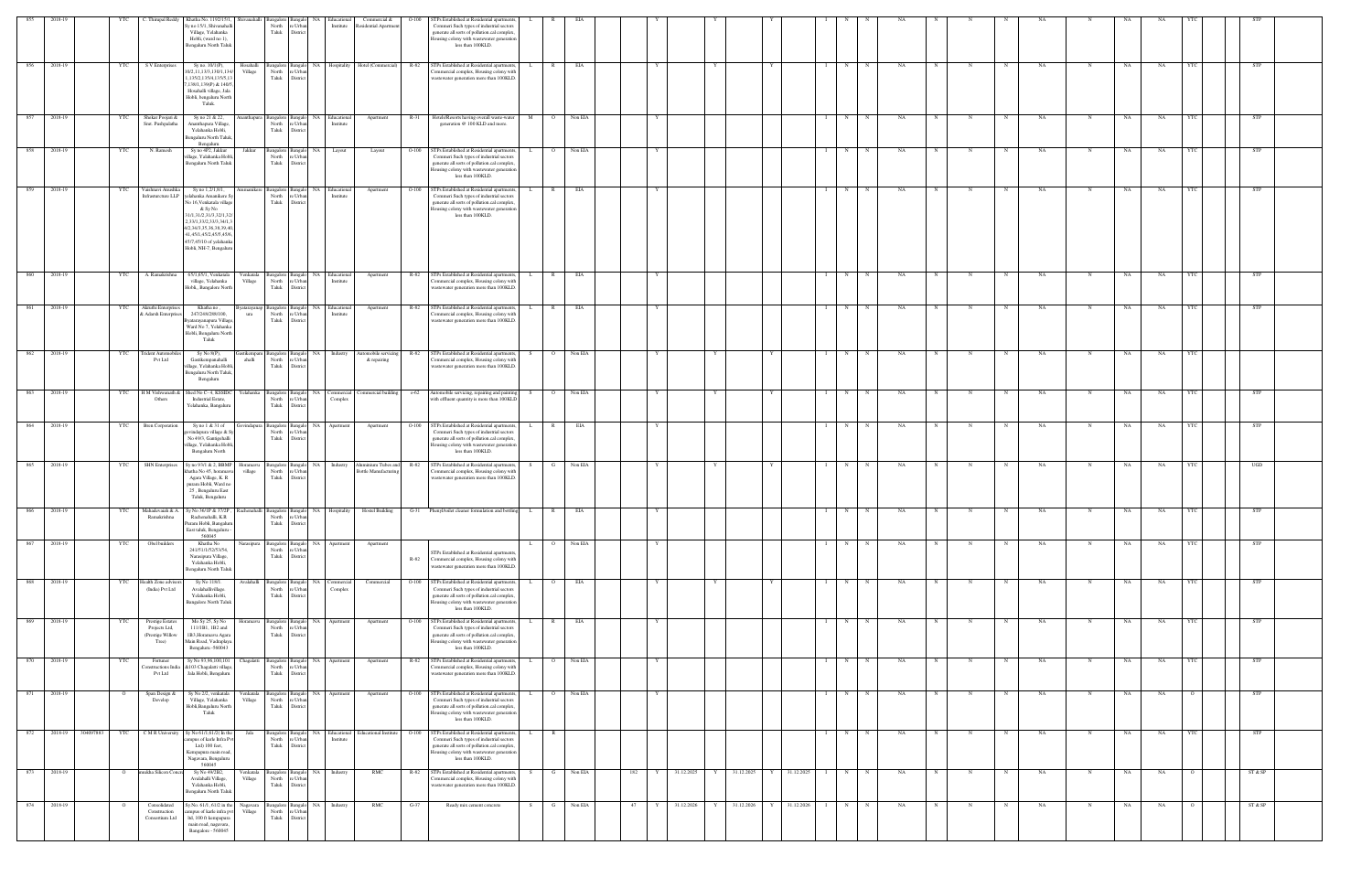|            |                       |                | . Thirupal Reddy                                                      | Khatha No. 1192/15/1,<br>Sy no 15/1, Shivanahal<br>Village, Yelahanka<br>Hobli, (ward no 1),<br>Bengaluru North Taluk                                                                                                                        | iivanahall           | angalore Bangal<br>North<br>Taluk            | e Urba<br>District                         | NA<br>Educational<br>Institute                | Commercial &<br>Residential Apartment                   | $O-100$      | STPs Established at Residential apartment<br>Commeri Such types of industrial sectors<br>generate all sorts of pollution.cal complex<br>Iousing colony with wastewater generation<br>less than 100KLD.  |                              |         |     |                      |            |                                   |   |             |    |            |                           |    |             |           |           |            |            |  |
|------------|-----------------------|----------------|-----------------------------------------------------------------------|----------------------------------------------------------------------------------------------------------------------------------------------------------------------------------------------------------------------------------------------|----------------------|----------------------------------------------|--------------------------------------------|-----------------------------------------------|---------------------------------------------------------|--------------|---------------------------------------------------------------------------------------------------------------------------------------------------------------------------------------------------------|------------------------------|---------|-----|----------------------|------------|-----------------------------------|---|-------------|----|------------|---------------------------|----|-------------|-----------|-----------|------------|------------|--|
| 856        | 2018-19               | <b>YTC</b>     | S V Enterprises                                                       | Sy no. 10/1(P),<br>10/2,11,13/3,130/1,134/<br>135/2,135/4,135/5,1<br>,138/1,139(P) & 140/5<br>Hosahalli village, Jala<br>Hobli, bengaluru North<br>Taluk.                                                                                    | Hosahalli<br>Village | North<br>Taluk                               | re Urbar<br>District                       |                                               | Bangalore Bangalo NA Hospitality Hotel (Commercial)     | R-82         | STPs Established at Residential apartments<br>ommercial complex, Housing colony with<br>wastewater generation more than 100KLD                                                                          | $\mathbb{R}$<br>L.           | EIA     |     |                      |            |                                   | N | N           | NA | $_{\rm N}$ | N<br>N                    | NA | N           | NA        | NA        | YTC        | <b>STP</b> |  |
|            | 857 2018-19           | YTC            | Shekar Poojari &<br>Smt. Pushpalatha                                  | Sy no 21 & 22,<br>Ananthapura Village<br>Yelahanka Hobli,<br>Bengaluru North Taluk<br>Bengaluru                                                                                                                                              | nanthapura           | North<br>Taluk                               | re Urbar<br>District                       | Bangalore Bangalo NA Educational<br>Institute | Apartment                                               |              | R-31 Hotels/Resorts having overall waste-water M<br>generation @ 100 KLD and more.                                                                                                                      | $\overline{O}$               | Non EIA |     |                      |            |                                   | N | N           | NA | N          | N<br>$\mathbf N$          | NA | N           | NA        | NA        | YTC        | <b>STP</b> |  |
| 858        | 2018-19               | YTC            | N. Ramesh                                                             | Sy no 4P2, Jakkur<br>illage, Yalahanka Hobl<br>Bengaluru North Taluk                                                                                                                                                                         | Jakkur               | Bangalore Bangalo<br>North<br>Taluk District | re Urbar                                   | <b>NA</b><br>Layout                           | Layout                                                  | $O-100$      | STPs Established at Residential apartment<br>Commeri Such types of industrial sectors<br>generate all sorts of pollution.cal complex<br>lousing colony with wastewater generation<br>less than 100KLD.  |                              | Non EIA |     |                      |            |                                   | N |             | NA |            |                           | NA | N           | NA        | NA        |            | STP        |  |
| 859        | 2018-19               | YTC            | Vaishnavi Anushka<br>Infrasturcture LLP                               | Sy no 1,2/1,8/1,<br>elahanka Amanikere S<br>No 16, Venkatala village<br>& Sy No<br>1/1,31/2,31/3,32/1,32<br>2,33/1,33/2,33/3,34/1,<br>4/2,34/3,35,36,38,39,40<br>41,45/1,45/2,45/5,45/6<br>45/7,45/10 of yelahanka<br>Hobli, NH-7, Bengaluru |                      | 3angalore<br>North<br>Taluk                  | Bangal<br>e Urba<br>Distric                | NA<br>Educational<br>Institute                | Apartment                                               | $O-100$      | STPs Established at Residential apartments<br>Commeri Such types of industrial sectors<br>generate all sorts of pollution.cal complex<br>ousing colony with wastewater generatio<br>less than 100KLD.   |                              | EIA     |     |                      |            |                                   | N |             | NA |            |                           | NA |             | NA        | NA        |            | STP        |  |
| 860<br>861 | 2018-19<br>2018-19    | YTC            | A. Ramakrishna<br>Akruthi Enterprises                                 | 65/1,65/1, Venkatala<br>village, Yelahanka<br>Hobli,, Bangalore North                                                                                                                                                                        | Venkatala<br>Village | Bangalore Bangalo<br>North<br>Taluk          | re Urban<br>District                       | NA Educational<br>Institute                   | Apartment                                               | R-82<br>R-82 | STPs Established at Residential apartments,<br>Commercial complex, Housing colony with<br>wastewater generation more than 100KLD.<br>STPs Established at Residential apartments                         | $\mathbb{R}$<br>$\mathbb{R}$ | EIA     |     |                      |            |                                   | N | N<br>N      | NA |            | $_{\rm N}$<br>N<br>N      | NA | N           | NA        | NA        |            | <b>STP</b> |  |
|            |                       | YTC            | & Adarsh Enterprises                                                  | Khatha no,<br>247/248/288/100,<br>3yatarayanapura Village.<br>Ward No 7, Yelahanka<br>Hobli, Bengaluru North<br>Taluk                                                                                                                        | yatarayanap<br>ura   | North<br>Taluk                               | re Urban<br>District                       | Bangalore Bangalo NA Educational<br>Institute | Apartment                                               |              | Commercial complex, Housing colony with<br>wastewater generation more than 100KLD                                                                                                                       |                              | EIA     |     |                      |            |                                   | N |             | NA |            | N                         | NA | N           | NA        | NA        |            | STP        |  |
| 862        | 2018-19               | YTC            | Frident Automobi<br><b>Pvt Ltd</b>                                    | Sy No 8(P),<br>Gastikempanahalli<br>illage, Yelahanka Hobl<br>Bengaluru North Taluk<br>Bengaluru                                                                                                                                             | istikempan<br>ahalli | Bangalore Bangalo<br>North<br>Taluk          | e Urba<br>District                         | NA Industry                                   | Automobile servicing<br>& repairing                     | R-82         | STPs Established at Residential apartments<br>ommercial complex, Housing colony with<br>wastewater generation more than 100KLD.                                                                         |                              | Non EIA |     |                      |            |                                   | N |             | NA |            |                           | NA |             | NΑ        | NA        |            |            |  |
| 863        | 2018-19               | YTC            | H M Vishwanath &<br>Others                                            | Shed No C-4, KSSIDC<br>Industrial Estate,<br>Yelahanka, Bangaluru                                                                                                                                                                            | Yelahanka            | Bangalore Bangale<br>North<br>Taluk          | re Urban<br>District                       | NA<br>Commercial<br>Complex                   | Commercial building                                     | $0 - 62$     | Automobile servicing, repairing and paintin<br>with effluent quantity is more than 100KLD                                                                                                               |                              | Non EIA |     |                      |            |                                   | N |             | NA |            |                           | NA | N           | NΑ        | NA        |            | <b>STP</b> |  |
| 864        | 2018-19               | YTC            | <b>Bren Corporation</b>                                               | Sy no 1 & 31 of<br>vvindapura village & S<br>No 49/3, Gantigehalli<br>illage, Yelahanka Hobli.<br>Bengaluru North                                                                                                                            | vindapuı             | Bangalore Bangal<br>North<br>Taluk           | re Urb<br>Distric                          | NA<br>Apartment                               | Apartment                                               | $O-100$      | STPs Established at Residential apartments,<br>Commeri Such types of industrial sectors<br>generate all sorts of pollution.cal complex<br>ousing colony with wastewater generation<br>less than 100KLD. |                              | EIA     |     |                      |            |                                   | N |             | NA |            |                           | NA |             | NA        | NA        |            | STP        |  |
| 865        | 2018-19               | YTC            | <b>SHN</b> Enterprises                                                | Sy no 93/1 & 2, BBMP<br>hatha No 45, horam<br>Agara Village, K. R<br>puram Hobli, Ward no<br>25, Bengaluru East<br>Taluk, Bengaluru                                                                                                          | Horamavu<br>village  | North<br>Taluk                               | Bangalore Bangalo<br>e Urb<br>Distri       | NA Industry                                   | Aluminium Tubes and R-82<br><b>Bottle Manufacturing</b> |              | STPs Established at Residential apartments,<br>ommercial complex, Housing colony with<br>vastewater generation more than 100KLD.                                                                        |                              | Non EIA |     |                      |            |                                   | N | $\mathbf N$ | NA |            | $_{\rm N}$                | NA |             | NA        | NA        |            | UGD        |  |
| 866        | 2018-19               | YTC            | Ramakrishna                                                           | Mahadevaiah & A. Sy No 36/1P & 37/2P, Rachenahalli Bangalore Bangalo NA Hospitality Hostel Building<br>Rachenahalli, K.R<br>Puram Hobli, Bangaluru<br>East taluk, Bengaluru -<br>560045                                                      |                      | North                                        | re Urban<br>Taluk District                 |                                               |                                                         |              | G-31 Phenyl/toilet cleaner formulation and bottling                                                                                                                                                     | L.<br>$\mathbb{R}$           | EIA     |     |                      |            |                                   | N |             | NA |            |                           | NA | N           | NA        | NA        | <b>YTC</b> | STP        |  |
| 867        | 2018-19               | YTC            | Obel builders                                                         | Khatha No<br>241/51/1/52/53/54,<br>Narasipura Village,<br>Yelahanka Hobli,<br>Bengaluru North Taluk                                                                                                                                          | Narasipura           | Taluk                                        | North re Urban<br>District                 | Bangalore Bangalo NA Apartment                | Apartment                                               | R-82         | STPs Established at Residential apartment<br>Commercial complex, Housing colony with<br>wastewater generation more than 100KLD.                                                                         | $\circ$<br>L.                | Non EIA |     |                      |            | $\mathbf{I}$                      | N | N           | NA | N          | N<br>N                    | NA | $\mathbf N$ | <b>NA</b> | NA        | YTC        | <b>STP</b> |  |
| 868        | 2018-19               | YTC            | <b>Tealth Zone</b> advise<br>(India) Pvt Ltd                          | Sy No 118/1.<br>Avalahallivillage.<br>Yelahanka Hobli,<br><b>Bangalore North Taluk</b>                                                                                                                                                       | Avalahalli           | North<br>Taluk                               | angalore Bangalo NA<br>e Urban<br>District | Commercial<br>Complex                         | Commercial                                              | $O-100$      | STPs Established at Residential apartment<br>Commeri Such types of industrial sectors<br>generate all sorts of pollution.cal complex<br>lousing colony with wastewater generation<br>less than 100KLD.  |                              | EIA     |     |                      |            |                                   | N |             | NA |            |                           | NA |             | NA        | NA        |            | STP        |  |
| 869        | 2018-19               | YTC            | <b>Prestige Estates</b><br>Projects Ltd,<br>(Prestige Willow<br>Tree) | Mo Sy 25, Sy No<br>111/1B1, 1B2 and<br>1B3, Horamavu Agara<br>Main Road, Vadraplaya.<br>Bengaluru -560043                                                                                                                                    | Horamavu             | North<br>Taluk                               | re Urba<br>District                        | angalore Bangalo NA Apartment                 | Apartment                                               | $O-100$      | STPs Established at Residential apartments<br>Commeri Such types of industrial sectors<br>generate all sorts of pollution.cal complex<br>lousing colony with wastewater generation<br>less than 100KLD. | R                            | EIA     |     |                      |            |                                   | N | N           | NA | $_{\rm N}$ | N                         | NA | N           | NA        | NA        |            | <b>STP</b> |  |
| 870        | 2018-19               | YTC            | Fortuner<br>onstructions Ind<br>Pvt Ltd                               | Sy No 93,96,100,101<br>&103 Chagalatti village<br>Jala Hobli, Bengaluru                                                                                                                                                                      | Chagalatti           | North<br>Taluk                               | re Urbar<br>District                       | Bangalore Bangalo NA Apartment                | Apartment                                               | $R-82$       | STPs Established at Residential apartments,<br>Commercial complex, Housing colony with<br>wastewater generation more than 100KLD.                                                                       | L<br>$\circ$                 | Non EIA |     |                      |            |                                   | N | N           | NA | N          | $_{\rm N}$<br>$\mathbf N$ | NA | $\mathbf N$ | NA        | <b>NA</b> | YTC        | <b>STP</b> |  |
| 871        | 2018-19               | $\circ$        | Span Design &<br>Develop                                              | Sy No 2/2, venkatala<br>Village, Yelahanka<br>Hobli, Bangaluru North<br>Taluk                                                                                                                                                                | Venkatala<br>Village | Bangalore Bangalo<br>North<br>Taluk          | e Urba<br>District                         | <b>NA</b><br>Apartment                        | Apartment                                               | $O-100$      | STPs Established at Residential apartment<br>'ommeri Such types of industrial sectors<br>generate all sorts of pollution.cal complex<br>lousing colony with wastewater generation<br>less than 100KLD.  |                              | Non EIA |     |                      |            |                                   | N |             | NA |            |                           | NA | N           | NA        | NA        |            | STP        |  |
|            | 872 2018-19 304097883 | <b>YTC</b>     | C M R University                                                      | Sy No 61/1,61/2(In the<br>mpus of karle Infra Py<br>Ltd) 100 feet,<br>Kempapura main road,<br>Nagavara, Bengaluru<br>560045                                                                                                                  | Jala                 | North<br>Taluk                               | e Urba<br>District                         | Institute                                     | Bangalore Bangalo NA Educational Educational Institute  | $O-100$      | STPs Established at Residential apartments<br>Commeri Such types of industrial sector<br>generate all sorts of pollution.cal complex<br>lousing colony with wastewater generation<br>less than 100KLD.  | $\mathbb{R}$                 |         |     |                      |            |                                   | N | N           | NA |            | N                         | NA | N           | NA        | <b>NA</b> |            | STP        |  |
| 873        | 2018-19               | $\overline{O}$ | mukha Silicon Conc                                                    | Sy No 49/2B2,<br>Avalahalli Village,<br>Yelahanka Hobli,<br>Bengaluru North Taluk                                                                                                                                                            | Venkatala<br>Village | Taluk                                        | North re Urban<br>District                 | Bangalore Bangalo NA Industry                 | RMC                                                     | R-82         | STPs Established at Residential apartments<br>ommercial complex, Housing colony with<br>wastewater generation more than 100KLD.                                                                         | G                            | Non EIA | 182 | 31.12.2025<br>Y      | 31.12.2025 | Y 31.12.2025                      | N | N           | NA |            | N                         | NA | $\mathbf N$ | NA        | NA        |            | ST & SP    |  |
| 874        | 2018-19               | $\mathbf{o}$   | Consolidated<br>Construction<br>Consortium Ltd                        | ly.No. 61/1, 61/2 in the<br>ampus of karle infra pvt<br>ltd, 100 ft kempapura<br>main road, nagavara,<br>Bangalore - 560045                                                                                                                  | Nagavara<br>Village  | North<br>Taluk                               | re Urban<br>District                       | Bangalore Bangalo NA Industry                 | RMC                                                     | $G-37$       | Ready mix cement concrete                                                                                                                                                                               | S.<br>G                      | Non EIA | 47  | 31.12.2026<br>Y<br>Y | 31.12.2026 | 31.12.2026<br>Y I<br>$\mathbf{I}$ | N | N           | NA | N          | N                         | NA | $\mathbf N$ | NA        | NA        |            | ST & SP    |  |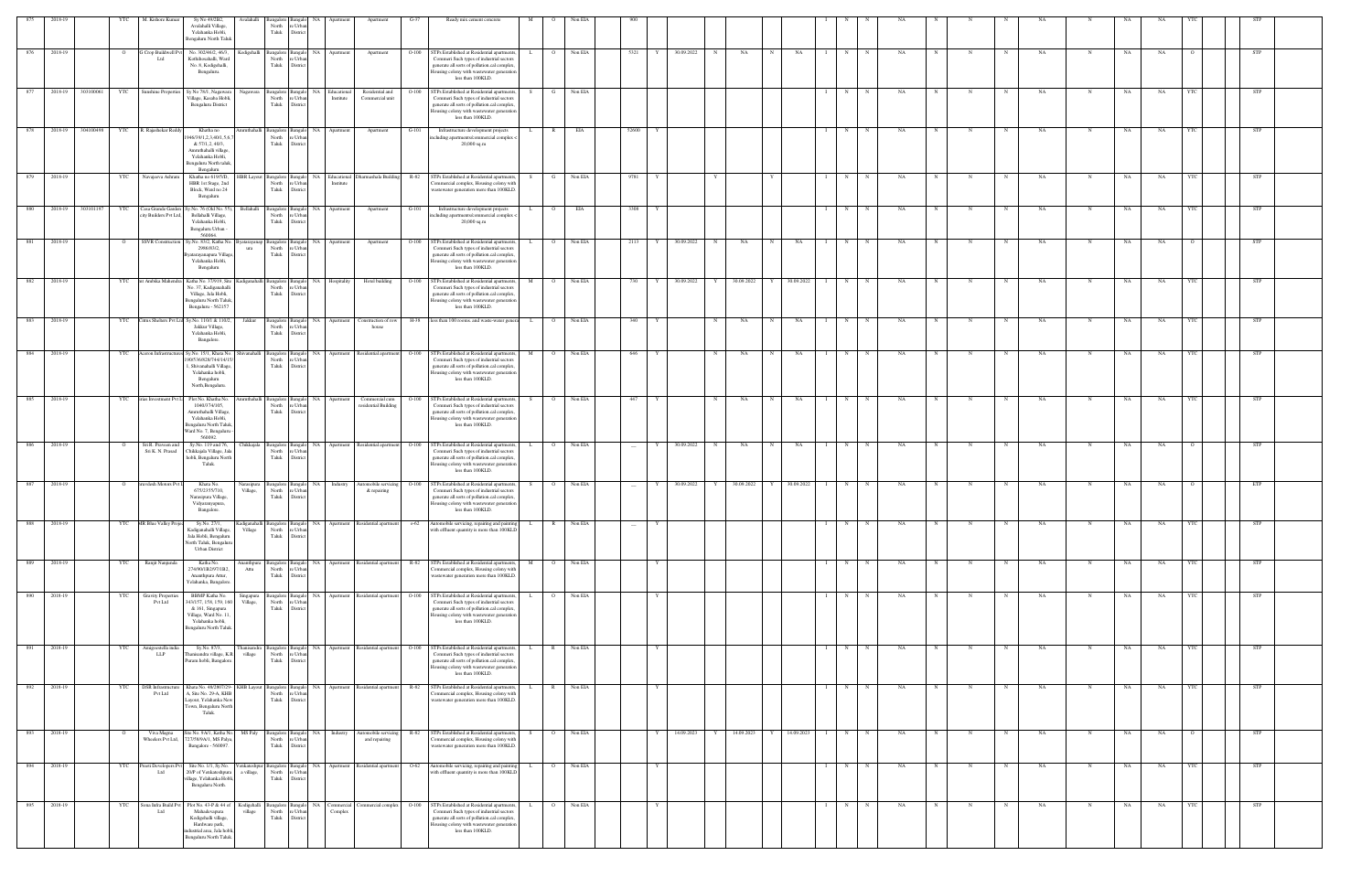|     | 2018-19 |           |            | M. Kishore Kumar                            | Sy No 49/2B2,                                                                                                                                       | Avalahalli               |                                     |                                         |                                    |                                           |          | Ready mix cement concrete                                                                                                                                                                                                                       |          |                |           |        |            |   |            |             |            |   |             |    |   |            |            |           |   |    |    |            |            |  |
|-----|---------|-----------|------------|---------------------------------------------|-----------------------------------------------------------------------------------------------------------------------------------------------------|--------------------------|-------------------------------------|-----------------------------------------|------------------------------------|-------------------------------------------|----------|-------------------------------------------------------------------------------------------------------------------------------------------------------------------------------------------------------------------------------------------------|----------|----------------|-----------|--------|------------|---|------------|-------------|------------|---|-------------|----|---|------------|------------|-----------|---|----|----|------------|------------|--|
|     |         |           |            |                                             | Avalahalli Village,<br>Yelahanka Hobli,<br>Bengaluru North Talul                                                                                    |                          | North<br>Taluk                      | e Urbi<br>Distric                       |                                    |                                           |          |                                                                                                                                                                                                                                                 |          |                |           |        |            |   |            |             |            |   |             |    |   |            |            |           |   |    |    |            |            |  |
| 876 | 2018-19 |           |            | Crop Buildwell Pv<br>Ltd                    | No. 302/46/2, 46/3,<br>Kothihosahalli, Ward<br>No. 8, Kodigehalli,<br>Bengaluru.                                                                    | Kodigehall               | <b>Bangalore</b><br>North<br>Taluk  | Distric                                 | NA<br>Apartment                    | Apartment                                 | $O-100$  | STPs Established at Residential apartment<br>Commeri Such types of industrial sectors<br>generate all sorts of pollution.cal complex<br>lousing colony with wastewater generatio<br>less than 100KLD.                                           |          |                | Non EIA   | 5321   | 30.09.2022 |   | NA         |             | NA         | N |             | NA |   |            |            | NA        |   | NA | NA |            | STP        |  |
| 877 | 2018-19 | 303100061 | YTC        | Sunshine Properties                         | Sy No 78/1, Nagawara<br>Village, Kasaba Hobli,<br><b>Bengaluru District</b>                                                                         |                          | angalore<br>North<br>Taluk          | e Urba<br>Distric                       | NA<br>Educational<br>Institute     | Residential and<br>Commercial unit        | $O-100$  | STPs Established at Residential apartmen<br>Commeri Such types of industrial sectors<br>generate all sorts of pollution.cal complex<br>lousing colony with wastewater generation<br>less than 100KLD.                                           |          | - G            | Non EIA   |        |            |   |            |             |            | N |             | NA |   |            |            | NA        | N | NA | NA | <b>YTC</b> | STP        |  |
| 878 | 2018-19 | 304100498 |            | YTC R. Rajashekar Reddy                     | Khatha no<br>946/39/1,2,3,40/1,5,6<br>& 57/1,2, 40/3,<br>Amruthahalli village,<br>Yelahanka Hobli,<br>Bengaluru North taluk                         | mruthahalli              | angalore<br>North<br>Taluk          | Banga<br>'e Urba<br>Distric             | NA Apartment                       | Apartment                                 | $G-101$  | Infrastructure development projects<br>ncluding apartments/commercial complex <<br>20,000 sq.m                                                                                                                                                  |          | $\mathbb{R}$   | EIA       | 52600  |            |   |            |             |            | N | $\mathbb N$ | NA | N |            | N          | NA        |   | NA | NA | YTC        | STP        |  |
| 879 | 2018-19 |           | YTC        | Navajeeva Ashram                            | Benealum<br>Khatha no 619/5/D,<br>HBR 1st Stage, 2nd<br>Block, Ward no 24<br>Bengaluru                                                              | <b>HBR</b> Layout        | angalore<br>North<br>Taluk          | Bangal<br>e Urb<br>Distric              | Educational<br>Institute           | Dharmashala Building R-82                 |          | STPs Established at Residential apartments<br>ommercial complex, Housing colony with<br>wastewater generation more than 100KLD.                                                                                                                 | S.       |                | Non EIA   | 9781   |            |   |            |             |            | N |             | NA |   |            |            | NA        |   | NA | NA |            | <b>STP</b> |  |
| 880 | 2018-19 | 303101197 | YTC        | Casa Grande Garden<br>ity Builders Pvt Ltd, | Sy.No. 76 (Old No. 55)<br>Bellahalli Village,<br>Yelahanka Hobli,<br>Bengaluru Urban -                                                              | Bellahalli               | angalore<br>North<br>Taluk          | e Urba<br>Distric                       | NA Apartment                       | Apartment                                 | $G-101$  | Infrastructure development projects<br>including apartments/commercial complex <<br>20,000 sq.m                                                                                                                                                 |          | $\Omega$       | EIA       | 3308   |            |   |            |             |            | N |             | NA |   |            |            | <b>NA</b> |   | NA | NA |            | <b>STP</b> |  |
| 881 | 2018-19 |           | $\circ$    | <b>SSVR</b> Construction                    | 560064<br>Sy.No. 83/2, Katha No. Byatarayanap<br>2986/83/2,<br>yatarayanapura Villag<br>Yelahanka Hobli,<br>Bengaluru                               | ura                      | angalore Bangal<br>North<br>Taluk   | 'e Urba<br>Distric                      | NA.<br>Apartment                   | Apartment                                 | $O-100$  | STPs Established at Residential apartment<br>Commeri Such types of industrial sectors<br>generate all sorts of pollution.cal complex<br>lousing colony with wastewater generation<br>less than 100KLD.                                          |          | $\circ$        | Non EIA   | 2113   | 30.09.2022 | N | NA         |             | NA         | N |             | NA |   |            |            | NA        | N | NA | NA |            | STP        |  |
| 882 | 2018-19 |           | YTC        | t Ambika Mahendra                           | Katha No. 37/919. Site<br>No. 37, Kadiganahalli<br>Village, Jala Hobli,<br>Bengaluru North Taluk,<br>Bengaluru - 562157                             |                          | Bangalore<br>North<br>Taluk         | Distric                                 | Hospitality<br>NA                  | Hotel building                            | $O-100$  | STPs Established at Residential apartment<br>Commeri Such types of industrial sectors<br>generate all sorts of pollution.cal complex<br>lousing colony with wastewater generatio<br>less than 100KLD.                                           |          |                | Non EIA   | 730    | 30.09.2022 |   | 30.09.2022 |             | 30.09.2022 | N |             | NA |   |            |            | NA        |   | NA | NA |            | <b>STP</b> |  |
| 883 | 2018-19 |           | YTC        |                                             | Citrus Shelters Pvt Ltd Sy.No. 110/1 & 110/2,<br>Jakkur Village,<br>Yelahanka Hobli,<br>Bangalore.                                                  | Jakkur                   | Bangalore Banga<br>North<br>Taluk   | e Urba<br>Distric                       |                                    | NA Apartment Construction of row<br>house |          | H-38 less than 100 rooms. and waste-water general                                                                                                                                                                                               | L        | O Non EIA      |           | 340    |            | N | NA         | N           | NA         | N |             | NA |   |            | $_{\rm N}$ | NA        | N | NA | NA |            | <b>STP</b> |  |
| 884 | 2018-19 |           | <b>YTC</b> | Aceron Infrastruct                          | Sy.No. 15/1, Khata No.<br>190/536/828/744/14/15<br>, Shivanahalli Village<br>Yelahanka hobli,<br>Bengaluru<br>North, Bengaluru.                     | hivanahalli              | Bangalore Bangal<br>North<br>Taluk  | 'e Urba<br>Distric                      |                                    | NA Apartment Residential apartment O-100  |          | STPs Established at Residential apartment<br>Commeri Such types of industrial sectors<br>generate all sorts of pollution.cal complex<br>lousing colony with wastewater generation<br>less than 100KLD.                                          | M        | $\overline{O}$ | Non EIA   | 646    |            | N | NA         | $_{\rm N}$  | NA         | N |             | NA |   |            |            | NA        |   | NA | NA |            | <b>STP</b> |  |
| 885 | 2018-19 |           | <b>YTC</b> | irias Investment Pvt L                      | Plot No. Khatha No.<br>1040/374/105,<br>Amruthahalli Village,<br>Yelahanka Hobli,<br>Bengaluru North Taluk,<br>Ward No. 7, Bengaluru<br>560092.     | mruthahalli              | Bangalore<br>North<br>Taluk         | Bangak<br>Distric                       | NA Apartment                       | Commercial cum<br>residential Building    | $O-100$  | STPs Established at Residential apartments<br>Commeri Such types of industrial sectors<br>generate all sorts of pollution.cal complex<br>lousing colony with wastewater generation<br>less than 100KLD.                                         |          | $\circ$        | Non EIA   | 447    |            | N | NA         | $\mathbf N$ | NA         | N | $\mathbf N$ | NA |   | N          | N          | <b>NA</b> | N | NA | NA |            | <b>STP</b> |  |
| 886 | 2018-19 |           | $\circ$    | Sri R. Praveen and<br>Sri K. N. Prasad      | Sy.No. 119 and 76,<br>Chikkajala Village, Jal<br>hobli, Bengaluru North<br>Taluk.                                                                   | Chikkajala               | Bangalore Banga<br>North<br>Taluk   | e Urba<br>District                      |                                    |                                           |          | NA Apartment Residential apartment O-100 STPs Established at Residential apartment<br>Commeri Such types of industrial sectors<br>generate all sorts of pollution.cal complex<br>Housing colony with wastewater generation<br>less than 100KLD. |          | $\Omega$       | Non EIA   | $\sim$ | 30.09.2022 | N | NA         | $\mathbf N$ | NA         | N |             | NA |   |            | N          | NA        | N | NA | NA |            | STP        |  |
| 887 | 2018-19 |           |            | ruvdesh Motors Pvt                          | Khata No.<br>675/2355/710,<br>Narasipura Village,<br>Vidyaranyapura,<br>Bangalore.                                                                  | varasıpur<br>Village,    | angalore<br>North<br>Taluk          | 'e Urba<br>Distric                      | Industry<br>NA                     | utomobile servicing O-100<br>& repairing  |          | STPs Established at Residential apartment<br>Commeri Such types of industrial sectors<br>generate all sorts of pollution.cal complex<br>Housing colony with wastewater generation<br>less than 100KLD.                                          |          |                | Non EIA   |        | 30.09.2022 |   | 30.09.2022 |             | 30.09.2022 | N |             | NA |   |            |            | NA        |   | NΑ | NA |            | ETP        |  |
| 888 | 2018-19 |           | <b>YTC</b> | MR Blue Valley Proje                        | Sy.No. 27/1,<br>Kadiganahalli Village,<br>Jala Hobli, Bengaluru<br>North Taluk, Bengaluru<br><b>Urban District</b>                                  | Kadiganahalli<br>Village | Bangalore Bangalo<br>North<br>Taluk | e Urba<br>Distric                       | <b>NA</b><br>Apartment             | Residential apartment                     | $0 - 62$ | Automobile servicing, repairing and painting<br>with effluent quantity is more than 100KLD                                                                                                                                                      | L.       | $\mathbb{R}$   | Non EIA   |        |            |   |            |             |            | N |             | NA |   |            | N          | NA        | N | NA | NA |            | <b>STP</b> |  |
| 889 | 2018-19 |           | YTC        | Ranjit Nanjunda                             | Katha No.<br>274/90/1B2/97/1B2,<br>Ananthpura Attur,<br>Yelahanka, Bangalore                                                                        | Ananthpura<br>Attu       | angalore Bangal<br>North<br>Taluk   | e Urb.<br>District                      |                                    | NA Apartment Residential apartment R-82   |          | STPs Established at Residential apartments<br>ommercial complex, Housing colony with<br>wastewater generation more than 100KLD.                                                                                                                 | M        | $\Omega$       | Non EIA   |        |            |   |            |             |            | N | N           | NA |   |            | $_{\rm N}$ | NA        | N | NA | NA |            | STP        |  |
| 890 | 2018-19 |           | YTC        | <b>Gravity Propertie</b><br><b>Pvt Ltd</b>  | BBMP Katha No.<br>343/157, 158, 159, 160<br>& 161, Singapura<br>Village, Ward No. 11,<br>Yelahanka hobli,<br>Bengaluru North Taluk.                 | Singapura<br>Village,    | Bangalore Bangal<br>North<br>Taluk  | re Urba<br>District                     | NA Apartment Residential apartment |                                           | $O-100$  | STPs Established at Residential apartment<br>Commeri Such types of industrial sectors<br>generate all sorts of pollution.cal complex<br>lousing colony with wastewater generation<br>less than 100KLD.                                          |          | $\circ$        | Non EIA   |        |            |   |            |             |            | N | N           | NA |   |            | N          | NA        | N | NA | NA |            | <b>STP</b> |  |
| 891 | 2018-19 |           | YTC        | Amigoestella india<br><b>LLP</b>            | Sy.No. 87/3,<br>Thanisandra village, K.R.<br>Puram hobli, Bangalore                                                                                 | Thanisandra<br>village   | North<br>Taluk                      | Bangalore Bangalo<br>e Urba<br>District |                                    | NA Apartment Residential apartment        | $O-100$  | STPs Established at Residential apartments<br>Commeri Such types of industrial sectors<br>generate all sorts of pollution.cal complex<br>lousing colony with wastewater generation<br>less than 100KLD.                                         | L.       | $\mathbb{R}$   | Non EIA   |        |            |   |            |             |            | N | $\mathbf N$ | NA | N | N          | $_{\rm N}$ | <b>NA</b> | N | NA | NA | <b>YTC</b> | <b>STP</b> |  |
| 892 | 2018-19 |           | YTC        | <b>DSR</b> Infrastructure<br>Pvt Ltd        | Khata No. 48/2807/29- KHB Layout<br>A, Site No. 29-A, KHB<br>Layout, Yelahanka New<br>Town, Bengaluru North<br>Taluk.                               |                          | Bangalore Bangalo<br>North<br>Taluk | ∘ Urb:<br>District                      |                                    |                                           |          | NA Apartment Residential apartment R-82 STPs Established at Residential apartments,<br>Commercial complex, Housing colony with<br>wastewater generation more than 100KLD.                                                                       | L.       |                | R Non EIA |        |            |   |            |             |            | N | N           | NA | N |            | N          | NA        | N | NA | NA |            | STP        |  |
| 893 | 2018-19 |           |            | Viva Magna<br>Wheelers Pvt Ltd,             | ite No. 9A/1, Katha No.<br>27/58/9A/1, MS Palya,<br>Bangalore - 560097.                                                                             | MS Paly                  | Bangalore<br>North<br>Taluk         | 'e Urba<br>District                     | NA Industry                        | atomobile servicing<br>and repairing      | R-82     | STPs Established at Residential apartment<br>Commercial complex, Housing colony with<br>wastewater generation more than 100KLD.                                                                                                                 |          |                | Non EIA   |        | 14.09.2023 |   | 14.09.2023 |             | 14.09.2023 | N |             | NA |   |            |            | NA        |   | NΑ | NA |            | STP        |  |
| 894 | 2018-19 |           | YTC        | reeti Developers P<br>Ltd                   | Site No. 1/1, Sy.No.<br>20/P of Venkateshpura<br>illage, Yelahanka Hobli<br>Bengaluru North.                                                        | /enkateshp<br>a village, | 3angalore Bangalo<br>North<br>Taluk | e Urb.<br>District                      | NA                                 | Apartment Residential apartment           | $O-62$   | Automobile servicing, repairing and painting<br>with effluent quantity is more than 100KLD                                                                                                                                                      | <b>L</b> |                | Non EIA   |        |            |   |            |             |            | N | N           | NA | N | N          | N          | NA.       | N | NA | NA |            | STP        |  |
| 895 | 2018-19 |           | YTC        | Sona Infra Build Pvt<br>Ltd                 | Plot No. 43-P & 44 of Kodigehalli<br>Mahadevapura<br>Kodigehalli village,<br>Hardware park,<br>ndustrial area, Jala hobli<br>Bengaluru North Taluk. | village                  | Bangalore Bangalo<br>North<br>Taluk | e Urb.<br>District                      | NA Commercial<br>Complex           |                                           |          | Commercial complex  O-100  STPs Established at Residential apartment<br>Commeri Such types of industrial sectors<br>generate all sorts of pollution.cal complex.<br>lousing colony with wastewater generation<br>less than 100KLD.              |          | $\circ$        | Non EIA   | Y      |            |   |            |             |            | N | $\mathbf N$ | NA | N | $_{\rm N}$ | N          | NA.       | N | NA | NA | <b>YTC</b> | STP        |  |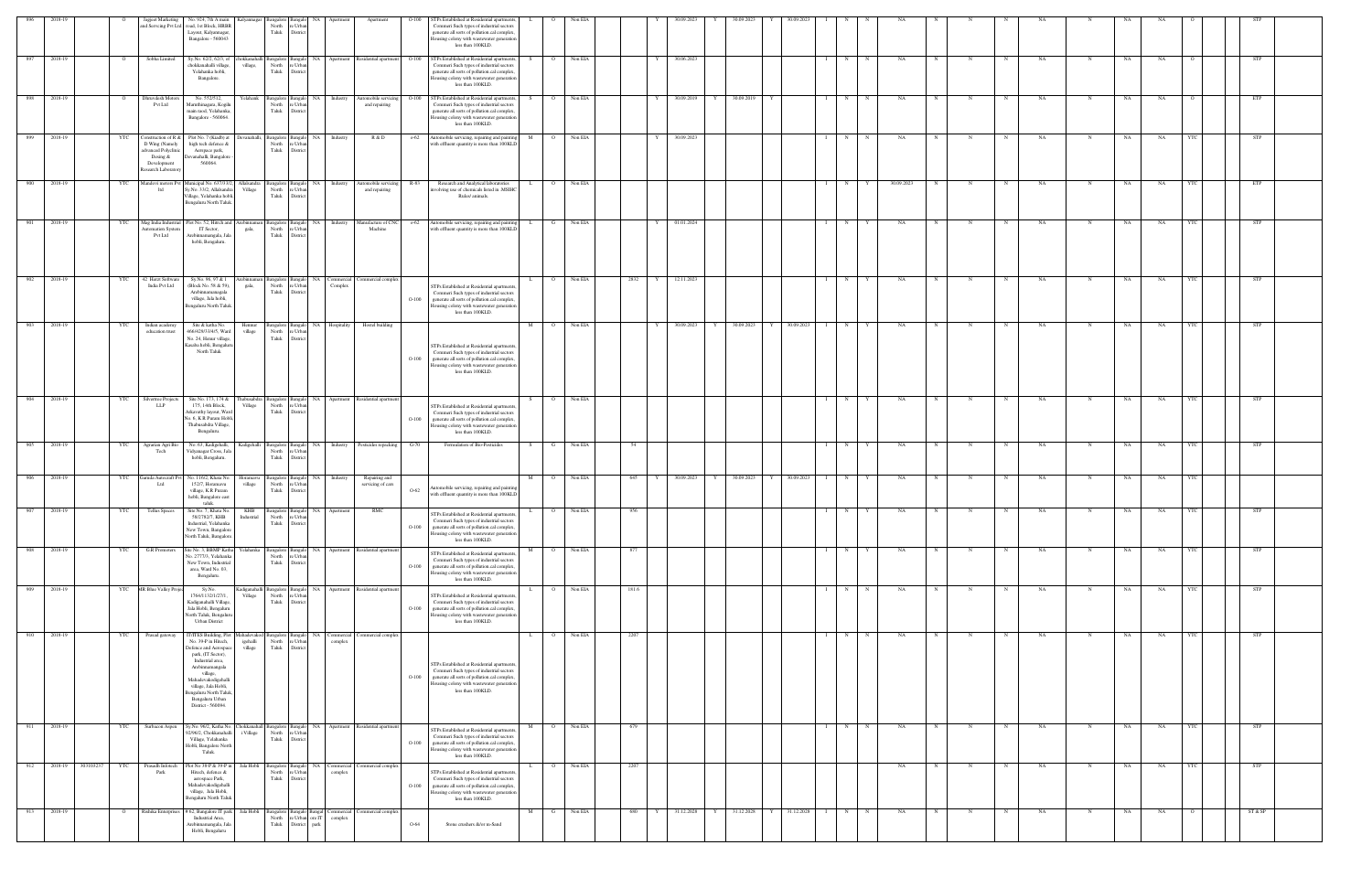| 896 | 2018-19              |     | Jagjeet Marketing<br>and Servcing Pvt Ltd                                                                    | No. 924, 7th A main Kalyannagar<br>road, 1st Block, HRBR<br>Layout, Kalyannagar,<br>Bangalore - 560043                                                                                                                                                                                                                         |                        | Bangalore Bangalo<br>North<br>Taluk              | NA<br>re Urba<br>District                           | Apartmen                 | Apartment                                                          | $O-100$  | STPs Established at Residential apartments<br>Commeri Such types of industrial sectors<br>generate all sorts of pollution.cal complex,<br>Iousing colony with wastewater generation<br>less than 100KLD. |              |                | Non EIA |     |           | 30.09.2022 |   | 80.09.202       |            |                   |              |            |   |            |            |           |             |      |           |            |            |  |
|-----|----------------------|-----|--------------------------------------------------------------------------------------------------------------|--------------------------------------------------------------------------------------------------------------------------------------------------------------------------------------------------------------------------------------------------------------------------------------------------------------------------------|------------------------|--------------------------------------------------|-----------------------------------------------------|--------------------------|--------------------------------------------------------------------|----------|----------------------------------------------------------------------------------------------------------------------------------------------------------------------------------------------------------|--------------|----------------|---------|-----|-----------|------------|---|-----------------|------------|-------------------|--------------|------------|---|------------|------------|-----------|-------------|------|-----------|------------|------------|--|
| 897 | 2018-19              |     | Sobha Limited                                                                                                | Sy.No. 62/2, 62/3, of<br>chokkanahalli village,<br>Yelahanka hobli,<br>Bangalore.                                                                                                                                                                                                                                              | village,               | hokkanahalli Bangalore Bangalo<br>North<br>Taluk | e Urba<br>Distric                                   |                          | NA Apartment Residential apartment                                 | $O-100$  | STPs Established at Residential apartments<br>Commeri Such types of industrial sectors<br>generate all sorts of pollution.cal complex<br>Iousing colony with wastewater generation<br>less than 100KLD.  |              | $\circ$        | Non EIA |     |           | 30.06.2023 |   |                 |            | N                 |              | NA         |   |            |            | NA        | N           | NA   | NA        |            | STP        |  |
| 898 | 2018-19              |     | Dhruvdesh Motors<br>Pvt Ltd                                                                                  | No. 552/512,<br>Maruthinagara, Kogilu<br>main raod, Yelahanka,<br>Bangalore - 560064.                                                                                                                                                                                                                                          | Yelahank               | Bangalore Bangalo<br>North<br>Taluk              | e Urba<br>District                                  | NA Industry              | Automobile servicing O-100<br>and repairing                        |          | STPs Established at Residential apartment<br>Commeri Such types of industrial sectors<br>generate all sorts of pollution.cal complex,<br>Iousing colony with wastewater generation<br>less than 100KLD.  |              | $\overline{O}$ | Non EIA |     | Y         | 30.09.2019 |   | 30.09.2019      |            | $I \quad N$       | N            | NA         |   |            | N          | NA        | N           | NA   | NA.       |            | ETP        |  |
| 899 | 2018-19              | YTC | onstruction of R &<br>D Wing (Namely<br>advanced Polyclinic<br>Desing &<br>Development<br>esearch Laboratory | Plot No. 7 (Kiadb) at<br>high tech defence &<br>Aerspace park,<br>Devanahalli, Bangalore<br>560064.                                                                                                                                                                                                                            | Devanahalli,           | Bangalore Bangalo<br>North<br>Taluk              | re Urba<br>District                                 | NA Industry              | R & D                                                              | $0 - 62$ | Automobile servicing, repairing and paintin<br>with effluent quantity is more than 100KLD                                                                                                                | M            | $\overline{O}$ | Non EIA |     | Y         | 30.09.2023 |   |                 |            | N<br>$\mathbf{I}$ | N            | NA         | N |            | N          | NA        |             | NA   | NA        |            | STP        |  |
| 900 | 2018-19              | YTC | Mandovi motors Pvt<br>ltd                                                                                    | Aunicipal No. 637/33/2<br>Sy.No. 33/2, Allalsandra<br>'illage, Yelahanka hobl<br>Bengaluru North Taluk                                                                                                                                                                                                                         | Allalsandra<br>Village | North<br>Taluk                                   | Bangalore Bangalo NA Industry<br>e Urba<br>District |                          | Automobile servicing R-83<br>and repairing                         |          | Research and Analytical laboratories<br>avolving use of chemicals listed in .MSIH<br>Rules/ animals.                                                                                                     |              | $\overline{O}$ | Non EIA |     |           |            |   |                 |            | N                 |              | 30.09.2023 |   | N          | $_{\rm N}$ | NA        | N           | NA   | NA        |            | ETP        |  |
|     | 901 2018-19          | YTC | Mag India Industrial<br>utomation Systen<br>Pvt Ltd                                                          | Plot No. 52. Hitrch and Arebinnaman<br>IT Sector,<br>Arebinnamangala, Ja<br>hobli, Bengaluru.                                                                                                                                                                                                                                  | gala,                  | Bangalore Bangalo<br>North<br>Taluk              | e Urba<br>District                                  |                          | NA Industry Manufacture of CNC<br>Machine                          |          | o-62 Automobile servicing, repairing and paintir<br>with effluent quantity is more than 100KLD                                                                                                           |              | G Non EIA      |         |     | Y         | 01.01.2024 |   |                 |            | $I \t N \t Y$     |              | NA         | N |            | N          | NA        | $\mathbf N$ | NA   | NA        | - YTC      | <b>STP</b> |  |
| 902 | 2018-19              | YTC | 42 Herzt Software<br>India Pvt Ltd                                                                           | Sy.No. 96, 97 & 1<br>(Block No. 58 & 59),<br>Arebinnamanagala<br>village, Jala hobli,<br>Bengaluru North Taluk                                                                                                                                                                                                                 | ebinnaman<br>gala,     | angalore Banga<br>North<br>Taluk                 | e Urba<br>District                                  | NA Commercial<br>Complex | Commercial complex                                                 | $O-100$  | STPs Established at Residential apartment<br>Commeri Such types of industrial sectors<br>generate all sorts of pollution.cal complex,<br>ousing colony with wastewater generation<br>less than 100KLD.   |              | $\Omega$       | Non EIA |     | 2832<br>Y | 12.11.2023 |   |                 |            | N                 |              | NA         |   |            |            | NA        | N           | NA   | NA        |            | <b>STP</b> |  |
| 903 | 2018-19              | YTC | Indian academy<br>education trust                                                                            | Site & katha No.<br>466/429/33/4/5, Ward<br>No. 24, Henur village,<br>Kasaba hobli, Bengaluri<br>North Taluk                                                                                                                                                                                                                   | Hennur<br>village      | Bangalore Bangalo<br>North<br>Taluk              | re Urbar<br>District                                | NA Hospitality           | Hostel building                                                    | $O-100$  | STPs Established at Residential apartments<br>Commeri Such types of industrial sectors<br>generate all sorts of pollution.cal complex,<br>lousing colony with wastewater generation<br>less than 100KLD. | M            | $\overline{O}$ | Non EIA |     | Y         | 30.09.2023 |   | 30.09.2023<br>Y | 30.09.2023 | N<br>- T - I      | $\mathbf{v}$ | NA         | N | $_{\rm N}$ | N          | NA        | N           | NA   | NA        |            | STP        |  |
| 904 | 2018-19              | YTC | Silvertree Projects<br><b>LLP</b>                                                                            | Site No. 173, 174 & Thabusabdra Bangalore Bangalo NA Apartment Residential apartment<br>175, 14th Block,<br>Arkavathy layout, Ward<br>Vo. 6, K R Puram Hobli<br>Thabusabdra Village,<br>Bengaluru.                                                                                                                             | Village                | North<br>Taluk                                   | re Urbar<br>District                                |                          |                                                                    | $O-100$  | STPs Established at Residential apartment<br>Commeri Such types of industrial sectors<br>generate all sorts of pollution.cal complex,<br>Iousing colony with wastewater generation<br>less than 100KLD.  | S.           | $\overline{O}$ | Non EIA |     |           |            |   |                 |            | $I \t N$          | Y            | NA         | N | $_{\rm N}$ | N          | NA.       | N           | NA   | <b>NA</b> | YTC        | STP        |  |
| 905 | 2018-19              | YTC | Agrarian Agri Bio<br>Tech                                                                                    | No. 63, Kadigehalli,<br>Vidyanagar Cross, Jala<br>hobli, Bengaluru.                                                                                                                                                                                                                                                            | Kadigehalli            | Bangalore Bangalo<br>North<br>Taluk              | e Urba<br>District                                  | NA Industry              | Pesticides repacking                                               | $G-70$   | Formulation of Bio-Pesticides                                                                                                                                                                            | S.           | G              | Non EIA |     | 54        |            |   |                 |            | N                 |              | NA         |   |            | $_{\rm N}$ | NA        | N           | NA   | NA        |            | <b>STP</b> |  |
|     | 906 2018-19          | YTC | Garuda Autocraft P<br>Ltd                                                                                    | No. 116/2, Khata No.<br>152/7, Horamavu<br>village, K.R Puram<br>hobli, Bangalore east<br>taluk.                                                                                                                                                                                                                               | Ioramavu<br>village    | North<br>Taluk                                   | NA I<br>sanga<br>e Urba<br>District                 | Industry                 | Repairing and<br>servicing of cars                                 | $O-62$   | Automobile servicing, repairing and paintin<br>with effluent quantity is more than 100KLD                                                                                                                | M            | $\circ$ 0      | Non EIA |     | 645<br>Y  | 30.09.2023 | Y | 30.09.2023      | 30.09.2023 | N                 |              | NA         |   |            |            | NA        |             | NA   | NA        |            |            |  |
| 907 | 2018-19              | YTC | <b>Tellus Spaces</b>                                                                                         | Site No. 7, Khata No.<br>58/2782/7, KHB<br>Industrial, Yelahanka<br>New Town, Bangalore<br>North Taluk, Bangalore.                                                                                                                                                                                                             | Industrial             | North re Urban<br>Taluk District                 | KHB Bangalore Bangalo NA Apartment                  |                          | RMC                                                                | $O-100$  | STPs Established at Residential apartment<br>Commeri Such types of industrial sectors<br>generate all sorts of pollution.cal complex,<br>Housing colony with wastewater generation<br>less than 100KLD.  | $\mathbf{L}$ | $\overline{O}$ | Non EIA | 956 |           |            |   |                 |            | $I \t N$          | Y            | NA         |   |            | N          | <b>NA</b> | N           | NA 1 | NA        | <b>YTC</b> | <b>STP</b> |  |
| 908 | 2018-19              | YTC | G.R Promoters                                                                                                | Site No. 3, BBMP Katha<br>Vo. 2777/3, Yelahanka<br>New Town, Industrial<br>area, Ward No. 03,<br>Bengaluru.                                                                                                                                                                                                                    |                        | North<br>Taluk                                   | re Urbar<br>District                                |                          | Yelahanka Bangalore Bangalo NA Apartment Residential apartment     | $O-100$  | STPs Established at Residential apartments<br>Commeri Such types of industrial sectors<br>generate all sorts of pollution.cal complex<br>lousing colony with wastewater generation<br>less than 100KLD.  | M            | $\overline{O}$ | Non EIA | 877 |           |            |   |                 |            | N                 |              | NA         |   | N          |            | NA        | $\mathbf N$ | NA   | NA        | YTC        | <b>STP</b> |  |
| 909 | 2018-19              |     | YTC MR Blue Valley Proje                                                                                     | Sy.No.<br>1764/1132/1/27/1,<br>Kadiganahalli Village,<br>Jala Hobli, Bengaluru<br>North Taluk, Bengaluru<br><b>Urban District</b>                                                                                                                                                                                              | Village                | North<br>Taluk District                          | re Urban                                            |                          | Kadiganahalli Bangalore Bangalo NA Apartment Residential apartment | $O-100$  | STPs Established at Residential apartment<br>Commeri Such types of industrial sectors<br>generate all sorts of pollution.cal complex,<br>Housing colony with wastewater generation<br>less than 100KLD.  | L.           | $\overline{O}$ | Non EIA |     | 181.6     |            |   |                 |            | $I \tN$           | $\mathbf N$  | NA         | N |            | N          | NA        | N           | NA   | NA        | YTC        | STP        |  |
| 910 | 2018-19              | YTC | Prasad gateway                                                                                               | T/ITES Building, Plot Mahadevakod Bangalore Bangalo NA Commercial Commercial complex<br>No. 39-P in Hitech,<br>Defence and Aerospace<br>park, (IT Sector),<br>Industrial area,<br>Arebinnamangala<br>village,<br>Mahadevakodigehalli<br>village, Jala Hobli,<br>Bengaluru North Taluk<br>Bengaluru Urban<br>District - 560094. | igehalli<br>village    | North re Urban<br>Taluk District                 |                                                     | complex                  |                                                                    | $O-100$  | STPs Established at Residential apartments<br>Commeri Such types of industrial sectors<br>generate all sorts of pollution.cal complex,<br>lousing colony with wastewater generation<br>less than 100KLD. | L.           | $\overline{O}$ | Non EIA |     | 2207      |            |   |                 |            | $I \t N$          | $\mathbf N$  | NA         | N |            | N          | NA        | N           | NA   | NA        |            | STP        |  |
|     | 911 2018-19          | YTC | Surbacon Aspen                                                                                               | Sy.No. 96/2, Katha No. Chokkanahall Bangalore Bangalo NA Apartment Residential apartment<br>92/96/2, Chokkanahalli<br>Village, Yelahanka<br>Hobli, Bangalore North<br>Taluk.                                                                                                                                                   | i Village              | North<br>Taluk District                          | re Urban                                            |                          |                                                                    | $O-100$  | STPs Established at Residential apartment<br>Commeri Such types of industrial sectors<br>generate all sorts of pollution.cal complex,<br>Housing colony with wastewater generation<br>less than 100KLD.  | M            | $\overline{O}$ | Non EIA |     | 679       |            |   |                 |            | $I \quad N$       | $\mathbf N$  | NA         | N |            | N          | NA        | N           | NA   | NA        | <b>YTC</b> | STP        |  |
| 912 | 2018-19<br>303103237 | YTC | Prasadh Infotech<br>Park                                                                                     | Plot No 38-P & 39-P in<br>Hitech, defence &<br>aerospace Park,<br>Mahadevakodigehalli<br>village, Jala Hobli,<br>Bengaluru North Taluk                                                                                                                                                                                         | Jala Hobli             | Taluk District                                   | North re Urban                                      | complex                  | Bangalore Bangalo NA Commercial Commercial complex                 | $O-100$  | STPs Established at Residential apartment<br>Commeri Such types of industrial sectors<br>generate all sorts of pollution.cal complex,<br>Housing colony with wastewater generation<br>less than 100KLD.  |              | $\circ$        | Non EIA |     | 2207      |            |   |                 |            |                   |              | NA         | N |            | N          | NA        |             | NA   | NA        | YTC        | <b>STP</b> |  |
| 913 | 2018-19              |     | Rishika Enterprises                                                                                          | # 62, Bangalore IT park<br>Industrial Area,<br>Arebinnamangala, Jala<br>Hobli, Bengaluru                                                                                                                                                                                                                                       | Jala Hobli             | North<br>Taluk                                   | re Urban ore IT<br>District<br>park                 | complex                  | Bangalore Bangalo Bangal Commercial Commercial complex             | $O-64$   | Stone crushers &/or m-Sand                                                                                                                                                                               |              | G              | Non EIA |     | 680       | 31.12.2028 | Y | 31.12.2028      | 31.12.2028 | N                 |              | NA         |   |            |            | NA        | N           | NA   | NA        | - 0        | ST & SP    |  |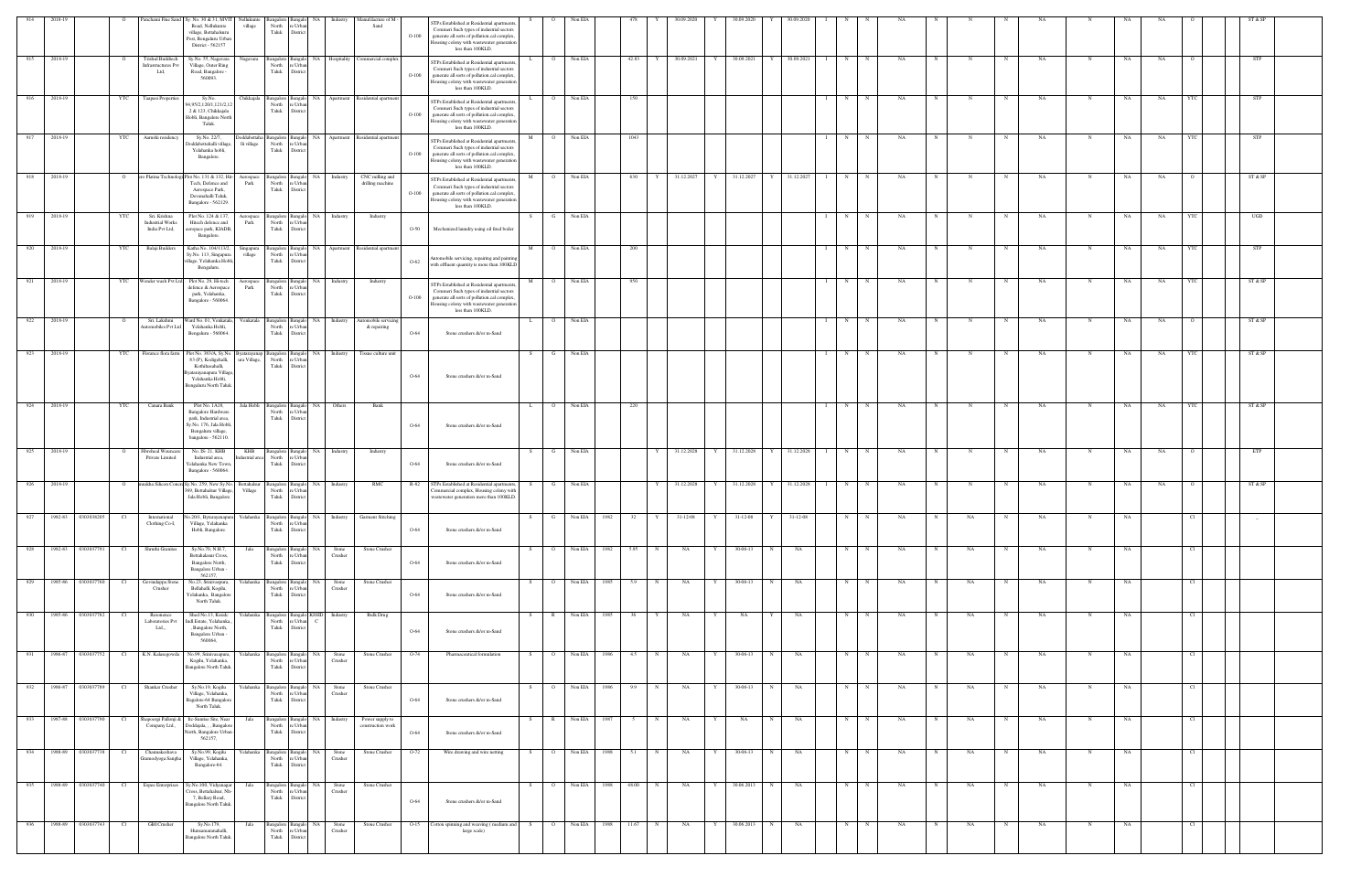| 914 | 2018-19                   |            | Panchami Fine Sand                                        | Sy. No. 30 & 31, MVIT<br>Road, Nellukunte<br>village, Bettahalsuru<br>Post, Bengaluru Urbar<br>District - 562157                             | Nellukunte<br>village         | North<br>Taluk                                   | NA<br>e Urba<br>District                                                     | Industry            | Manufdacture of M<br>Sand                            | $O-100$ | STPs Established at Residential apartment<br>Commeri Such types of industrial sectors<br>generate all sorts of pollution.cal complex,<br>lousing colony with wastewater generation<br>less than 100KLD. |    |                | Non EIA      |              |              | 30.09.2020 |              | 80.09.202                                            |              |            |              |              |           |            |           |            |           |             |    |           |         |            |  |
|-----|---------------------------|------------|-----------------------------------------------------------|----------------------------------------------------------------------------------------------------------------------------------------------|-------------------------------|--------------------------------------------------|------------------------------------------------------------------------------|---------------------|------------------------------------------------------|---------|---------------------------------------------------------------------------------------------------------------------------------------------------------------------------------------------------------|----|----------------|--------------|--------------|--------------|------------|--------------|------------------------------------------------------|--------------|------------|--------------|--------------|-----------|------------|-----------|------------|-----------|-------------|----|-----------|---------|------------|--|
| 915 | 2018-19                   |            | <b>Trishul Buildtech</b><br>infrastructures Pvt<br>Ltd,   | Sy.No. 55, Nagavara<br>Village, Outer Ring<br>Road, Bangalore -<br>560093.                                                                   | Nagavara                      | Bangalore Bangalo<br>North<br>Taluk              | re Urba<br>Distric                                                           |                     | NA Hospitality Commercial complex                    | $O-100$ | STPs Established at Residential apartment<br>Commeri Such types of industrial sectors<br>generate all sorts of pollution.cal complex,<br>lousing colony with wastewater generation<br>less than 100KLD. |    | $\overline{O}$ | Non EIA      | 42.83        |              | 30.09.2021 | Y            | 30.09.2021                                           |              | 30.09.2021 | N            | $\mathbf N$  | NA        |            |           | $_{\rm N}$ | NA        |             | NA | NA        |         | STP        |  |
| 916 | 2018-19                   | YTC        | Taapasi Propertie                                         | Sv.No.<br>4,95/2,120/1,121/2,12<br>2 & 123, Chikkajala<br>Hobli, Bangalore North<br>Taluk.                                                   | Chikkajala                    | Bangalore I<br>North<br>Taluk                    | NA<br>Bangalo<br>e Urba<br>Distrio                                           | Apartment           | Residential apartmen                                 | $O-100$ | TPs Established at Residential apartment<br>Commeri Such types of industrial sectors<br>generate all sorts of pollution.cal complex<br>Iousing colony with wastewater generation<br>less than 100KLD.   |    | $\circ$        | Non EIA      | 150          |              |            |              |                                                      |              |            | N            |              | NA        |            |           |            | NA        |             | NA | NA        |         | <b>STP</b> |  |
| 917 | 2018-19                   | YTC        | Aarushi residency                                         | Sy.No. 22/7,<br>oddabettahalli villag<br>Yelahanka hobli,<br>Bangalore.                                                                      | lli village                   | Doddabettaha Bangalore Bangalo<br>North<br>Taluk | re Urba<br>District                                                          |                     | NA Apartment Residential apartment                   | $O-100$ | STPs Established at Residential apartment<br>Commeri Such types of industrial sectors<br>generate all sorts of pollution.cal complex,<br>Housing colony with wastewater generation<br>less than 100KLD. | M  | $\overline{O}$ | Non EIA      | 1043         |              |            |              |                                                      |              |            | N            |              | NA        | $_{\rm N}$ |           | N          | NA        | N           | NA | NA        | - YTC   | <b>STP</b> |  |
| 918 | 2018-19                   |            |                                                           | o Platina Technologi Plot No. 131 & 132, Hit<br>Tech, Defence and<br>Aerospace Park,<br>Devanahalli Taluk,<br>Bangalore - 562129.            | Aerospace<br>Park             | angalore Bangalo<br>North<br>Taluk               | re Urba<br>District                                                          | NA Industry         | CNC milling and<br>drilling machine                  | $O-100$ | STPs Established at Residential apartment<br>Commeri Such types of industrial sectors<br>generate all sorts of pollution.cal complex,<br>lousing colony with wastewater generation<br>less than 100KLD. |    | $\overline{O}$ | Non EIA      | 630          |              | 31.12.2027 |              | 31.12.2027                                           |              | 31.12.2027 | N            |              | NA        |            |           |            | NA        |             | NA | NA        |         | ST & SP    |  |
| 919 | 2018-19                   | YTC        | Sri. Krishna<br><b>Industrial Works</b><br>India Pvt Ltd, | Plot No. 124 & 137,<br>Hitech defence and<br>eropace park, KIADB<br>Bangalore.                                                               | Aerospace<br>Park             | North<br>Taluk                                   | Bangalor NA Industry<br>e Urba<br>District                                   |                     | Industry                                             | $O-50$  | Mechanized laundry using oil fired boiler                                                                                                                                                               | S  | G              | Non EIA      |              |              |            |              |                                                      |              |            | N            |              | NA        |            | N         | N          | NA        | N           | NA | NA        |         | UGD        |  |
|     | 920 2018-19               | YTC        | Balaji Builders                                           | Katha No. 104/113/2,<br>Sy.No. 113, Singapura<br>illage, Yelahanka Hobli,<br>Bengaluru.                                                      | Singapura<br>village          | North<br>Taluk                                   | e Urba<br>District                                                           |                     | Bangalore Bangalo NA Apartment Residential apartment | $O-62$  | Automobile servicing, repairing and paintir<br>with effluent quantity is more than 100KLE                                                                                                               | M  | O Non EIA      |              | 200          |              |            |              |                                                      |              |            | $I \t N$     | $\mathbf N$  | NA        | N          |           | N          | NA        | N           | NA | <b>NA</b> | YTC     | STP        |  |
| 921 | 2018-19                   | YTC        |                                                           | Wonder wash Pvt Ltd Plot No. 29, Hi-tech<br>defence & Aerospace<br>park, Yelahanka,<br>Bangalore - 560064.                                   | Aerospace<br>Park             | angalore Bangal<br>North<br>Taluk                | NA 1<br>re Urbar<br>District                                                 | Industry            | Industry                                             | $O-100$ | STPs Established at Residential apartment<br>Commeri Such types of industrial sectors<br>generate all sorts of pollution.cal complex,<br>Iousing colony with wastewater generation<br>less than 100KLD. | M  | $\Omega$       | Non EIA      | 950          |              |            |              |                                                      |              |            | N            |              | NA        |            |           |            | NA        |             | NA | NA        |         | ST & SP    |  |
| 922 | 2018-19                   |            | Sri. Lakshmi<br>utomobiles Pvt Ltd                        | Ward No. 01, Venkatala,<br>Yelahanka Hobli,<br>Bengaluru - 560064.                                                                           | Venkatala                     | Bangalore Banga<br>North<br>Taluk                | NA.<br>'e Urba<br>Distric                                                    | Industry            | Automobile servicing<br>& repairing                  | $O-64$  | Stone crushers &/or m-Sand                                                                                                                                                                              | L. | $\Omega$       | Non EIA      |              |              |            |              |                                                      |              |            | N            |              | NA        |            |           |            | NA        |             | NA | NA        |         | ST & SP    |  |
| 923 | 2018-19                   | YTC        | Florance flora farm                                       | Plot No. 383/A, Sy.No.<br>83 (P), Kodigehalli,<br>Kothihasahalli,<br>yatarayanapura Villag<br>Yelahanka Hobli,<br>Bengaluru North Talul      | 3 yatarayanap<br>ıra Village, | Bangalore Bangalo<br>North<br>Taluk              | e Urba<br>Distrio                                                            | NA Industry         | Tissue culture unit                                  | $O-64$  | Stone crushers &/or m-Sand                                                                                                                                                                              | S. |                | Non EIA      |              |              |            |              |                                                      |              |            | N            |              | NA        |            |           |            | NA        |             | NA | NA        |         | ST & SP    |  |
| 924 | 2018-19                   | <b>YTC</b> | Canara Bank                                               | Plot No. 1A18,<br><b>Bangalore Hardware</b><br>park, Industrial area,<br>Sy.No. 176, Jala Hobli<br>Bengaluru village,<br>bangalore - 562110. | Jala Hobli                    | angalore Bangak<br>North<br>Taluk                | re Urba<br>District                                                          | NA Others           | Bank                                                 | $O-64$  | Stone crushers &/or m-Sand                                                                                                                                                                              | L. | $\Omega$       | Non EIA      | 220          |              |            |              |                                                      |              |            | N            |              | NA        |            |           |            | NA        | N           | NA | NA        |         | ST & SP    |  |
| 925 | 2018-19                   |            | Fibroheal Wouncare<br>Private Limited                     | No. IS-21, KHB<br>Industrial area,<br>relahanka New Town<br>Bangalore - 560064.                                                              | KHB<br>ndustrial area         | North<br>Taluk                                   | Bangalore Bangalo NA Industry<br>re Urba<br>District                         |                     | Industry                                             | $O-64$  | Stone crushers &/or m-Sand                                                                                                                                                                              | S  | $\mathbf{G}$   | Non EIA      |              | Y            | 31.12.2028 | Y            | 31.12.2028                                           | Y            | 31.12.2028 | N<br>- 1 - 1 | N            | NA        | N          | N         | N          | NA        | N           | NA | NA        | $\circ$ | ETP        |  |
| 926 | 2018-19                   |            |                                                           | ukha Silicon Concre Sy.No. 259, New Sy.No.<br>369, Bettahalsur Village<br>Jala Hobli, Bangalore                                              | ettahalsur<br>Village         | angalore<br>North<br>Taluk                       | Bangak<br>e Urba<br>Distric                                                  | NA Industry         | RMC                                                  | R-82    | STPs Established at Residential apartment<br>ommercial complex, Housing colony with<br>vastewater generation more than 100KLD.                                                                          |    |                | Non EIA      |              |              | 31.12.2028 |              | 31.12.2028                                           |              | 31.12.2028 | N            |              | NA        |            |           |            | NA        |             | NA | NA        |         | ST & SP    |  |
|     | 927 1982-83 0303038205 CI |            | International<br>Clothing Co-I,                           | No.20/1, Bytarayanapura Yelahanka Bangalore Bangalo NA Industry Garment Stitching<br>Village, Yelahanka<br>Hobli, Bangalore.                 |                               | North re Urban<br>Taluk District                 |                                                                              |                     |                                                      | $O-64$  | Stone crushers &/or m-Sand                                                                                                                                                                              |    |                |              |              |              |            |              | S G Non EIA 1982 32 Y 31-12-08 Y 31-12-08 Y 31-12-08 |              |            |              | $N$ $N$      | <b>NA</b> |            | <b>NA</b> | N          | <b>NA</b> | N           | NA |           |         |            |  |
|     | 928 1982-83 0303037791    | Cl         | Shruthi Granites                                          | Sy.No.70, N.H.7,<br>Bettahalasur Cross,<br>Bangalore North,<br>Bangalore Urban -<br>562157                                                   | Jala                          | Taluk District                                   | Bangalore Bangalo NA Stone<br>North re Urban                                 | Crusher             | Stone Crusher                                        | $O-64$  | Stone crushers &/or m-Sand                                                                                                                                                                              | S. | $\overline{O}$ | Non EIA 1982 |              | 5.95<br>N    | NA         | $\mathbf{Y}$ | 30-06-13                                             | N            | NA         | N            | $\mathbb{N}$ | NA        | N          | NA        | N          | NA        | N           | NA |           | Cl      |            |  |
|     | 929 1985-86 0303037760    | Cl         | Govindappa Stone<br>Crusher                               | No.23, Srinivaspura,<br>Bellahalli, Kogilu,<br>Yelahanka, Bangalore<br>North Taluk.                                                          | Yelahanka l                   | Taluk                                            | Bangalore Bangalo NA<br>North re Urban<br>District                           | Stone<br>Crusher    | Stone Crusher                                        | $O-64$  | Stone crushers &/or m-Sand                                                                                                                                                                              | S. | $\circ$        | Non EIA      | 1985<br>5.9  | N            | NA         | Y            | 30-06-13                                             | $\mathbb{N}$ | NA         | N            | $\mathbf N$  | NA        | N          | NA        | N          | NA        | N           | NA |           | - Cl    |            |  |
|     | 930 1985-86 0303037782    | Cl         | Resonence<br>Laboratories Pvt<br>Ltd.,,                   | Shed No.13, Kssidc<br>Indl.Estate, Yelahanka,<br>, Bangalore North,<br>Bangalore Urban -<br>560064,                                          |                               | Taluk District                                   | Yelahanka Bangalore Bangalo KSSID Industry<br>North re Urban<br>$\mathbb{C}$ |                     | Bulk Drug                                            | O-64    | Stone crushers &/or m-Sand                                                                                                                                                                              | S  | R Non EIA 1985 |              |              | Y<br>36      | NA         | $\mathbf{Y}$ | <b>NA</b>                                            |              | NA         | N            | $\mathbb{N}$ | NA        | N          | NA        | N          | NA        | N           | NA |           | Cl      |            |  |
|     | 931 1986-87 0303037752    | Cl         | K.N. Kalasegowda                                          | No.99, Srinivasapura,<br>Kogilu, Yelahanka,<br>Bangalore North Taluk.                                                                        | Yelahanka                     | Bangalore Bangalo<br>Taluk District              | North re Urban                                                               | NA Stone<br>Crusher | Stone Crusher                                        | $O-74$  | Pharmaceutical formulation                                                                                                                                                                              | S  | $\overline{O}$ | Non EIA      | 4.5<br>1986  | $\mathbb{N}$ | NA         | Y            | 30-06-13                                             | $\mathbf N$  | NA         | N            | N            | NA        | N          | NA        | N          | NA        | N           | NA |           | Cl      |            |  |
|     | 932 1986-87 0303037789    | Cl         | Shankar Crusher                                           | Sy.No.19, Kogilu<br>Village, Yelahanka,<br>Bagalore-64 Bangalore<br>North Taluk.                                                             | Yelahanka                     | North re Urban<br>Taluk District                 | Bangalore Bangalo NA Stone                                                   | Crusher             | Stone Crusher                                        | $O-64$  | Stone crushers &/or m-Sand                                                                                                                                                                              | S  | $\overline{O}$ |              | Non EIA 1986 | N<br>9.9     | NA         | Y            | 30-06-13                                             | N            | NA         | N            | N            | NA        | N          | NA        | N          | NA        | $\mathbf N$ | NA |           | Cl      |            |  |
|     | 933 1987-88 0303037790    | Cl         | Company Ltd.,                                             | hapoorgi Pallonji & Itc-Sunrise Site, Near<br>Doddajala, , , Bangalore<br>North, Bangalore Urban -<br>562157,                                | Jala                          | North re Urban<br>Taluk District                 | Bangalore Bangalo NA Industry                                                |                     | Power supply to<br>construction work                 | O-64    | Stone crushers &/or m-Sand                                                                                                                                                                              |    | R Non EIA 1987 |              |              | N            | NA         | Y            | NA                                                   |              | NA         | N            | $\mathbb N$  | NA        |            | NA        |            | NA        |             | NA |           |         |            |  |
|     | 934 1988-89 0303037738    | Cl         | Channakeshava<br>Gramodyoga Sangha                        | Sy.No.99, Kogilu<br>Village, Yelahanka,<br>Bangalore-64.                                                                                     |                               | Taluk District                                   | Yelahanka Bangalore Bangalo NA Stone<br>North re Urban                       | Crusher             | Stone Crusher                                        | $O-72$  | Wire drawing and wire netting                                                                                                                                                                           | S  | 0 Non EIA 1988 |              | 5.1          | N            | <b>NA</b>  | Y            | 30-06-13                                             | N            | NA         | N            | N            | <b>NA</b> | N          | NA        | N          | NA        | $\mathbf N$ | NA |           | Cl      |            |  |
|     | 935 1988-89 0303037740    | Cl         | <b>Espee Enterprises</b>                                  | Sy.No.100, Vidyanagar<br>Cross, Bettahalsur, Nh-<br>7, Bellary Road,<br>Bangalore North Taluk.                                               | Jala                          | Taluk District                                   | Bangalore Bangalo NA Stone<br>North re Urban                                 | Crusher             | Stone Crusher                                        | $O-64$  | Stone crushers &/or m-Sand                                                                                                                                                                              | S  | $\overline{O}$ |              | Non EIA 1988 | 48.00<br>N   | NA         | Y            | 30.06.2013                                           | N            | NA         | N            | N            | NA        | N          | NA        | N          | <b>NA</b> | N           | NA |           | Cl      |            |  |
|     | 936 1988-89 0303037743    | - Cl       | <b>GBI</b> Crusher                                        | Sy.No.179,<br>Hunsamaranahalli,<br><b>Bangalore North Taluk</b>                                                                              | Jala                          | North<br>Taluk                                   | Bangalore Bangalo NA<br>re Urban<br>District                                 | Stone<br>Crusher    | Stone Crusher                                        | $O-15$  | Cotton spinning and weaving (medium and<br>large scale)                                                                                                                                                 | S. | $\overline{O}$ | Non EIA 1988 | 11.67        |              | NA         | Y            | 30.06.2013                                           |              | NA         | N            |              | NA        |            | NA        |            | NA        | N           | NA |           | - CI    |            |  |
|     |                           |            |                                                           |                                                                                                                                              |                               |                                                  |                                                                              |                     |                                                      |         |                                                                                                                                                                                                         |    |                |              |              |              |            |              |                                                      |              |            |              |              |           |            |           |            |           |             |    |           |         |            |  |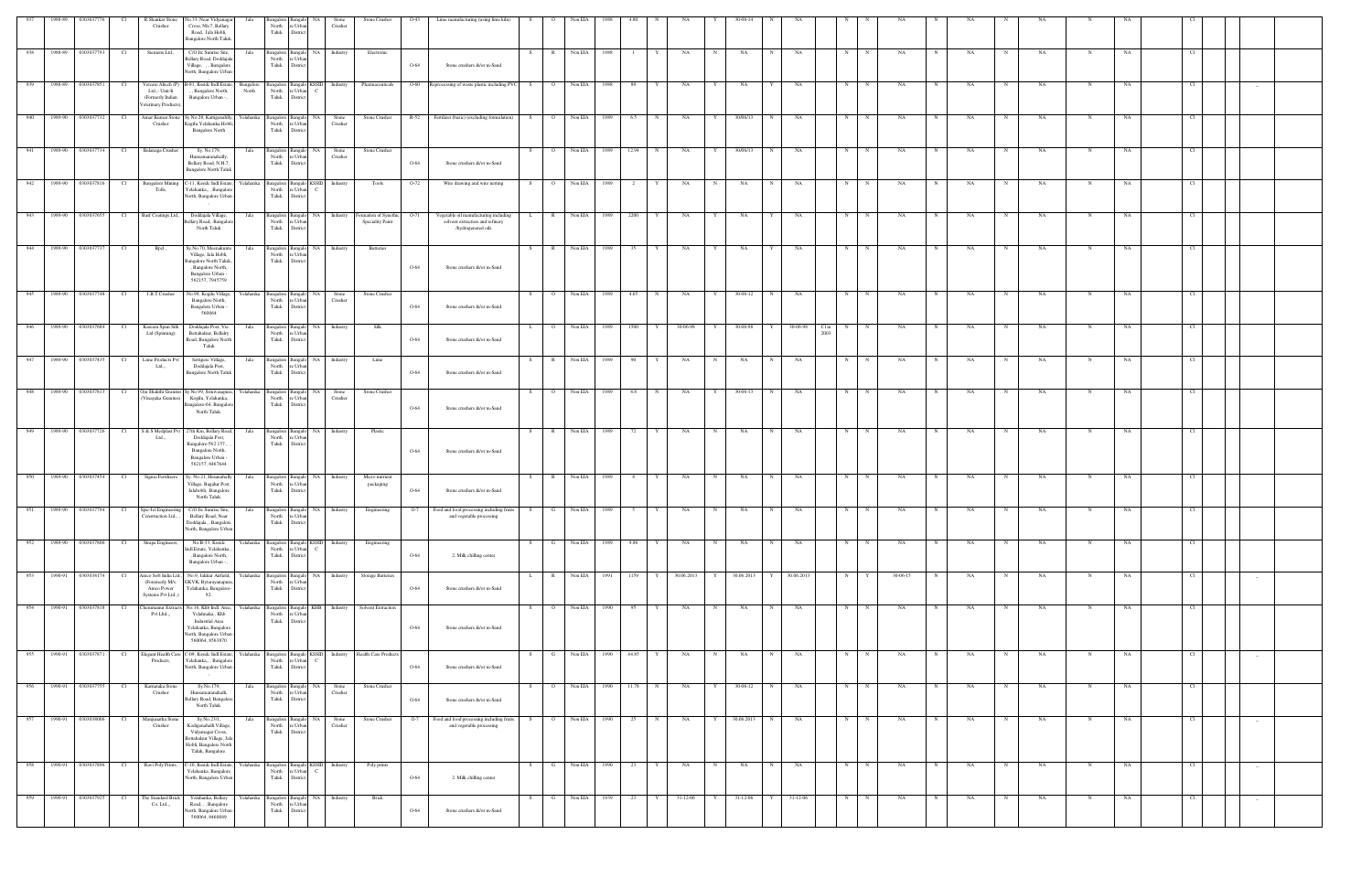|                  | 1988-89 | 0303037776                | Cl              | R.Shankar Stone<br>Crusher                                                       | No.33, Near Vidyanagar<br>Cross, Nh-7, Bellary<br>Road, Jala Hobli,<br><b>Bangalore North Taluk</b>                                      | Jala               | North re Urban<br>Taluk                               | Bangalore Bangalo NA<br>District                             | Stone<br>Crusher               | Stone Crusher                                         | O-43   | Lime manufacturing (using lime kiln)                                                           | $\circ$<br>S.                  | Non EIA        | 1988 |             |             |            |   | 0-06-14    |            |                                      |   |             |          |             |           |             |           |             |           |     |        |  |
|------------------|---------|---------------------------|-----------------|----------------------------------------------------------------------------------|------------------------------------------------------------------------------------------------------------------------------------------|--------------------|-------------------------------------------------------|--------------------------------------------------------------|--------------------------------|-------------------------------------------------------|--------|------------------------------------------------------------------------------------------------|--------------------------------|----------------|------|-------------|-------------|------------|---|------------|------------|--------------------------------------|---|-------------|----------|-------------|-----------|-------------|-----------|-------------|-----------|-----|--------|--|
| 938              |         | 1988-89 0303037793        | Cl <sub>1</sub> | Siemens Ltd.,                                                                    | C/O.Itc Sunrise Site,<br>Bellary Road, Doddajal<br>Village, , , Bangalore<br>North, Bangalore Urban                                      | Jala               | North<br>Taluk                                        | Bangalore Bangalo NA Industry<br>re Urban<br><b>District</b> |                                | Electronic                                            | $O-64$ | Stone crushers &/or m-Sand                                                                     | S.<br>R                        | Non EIA        | 1988 |             |             | NA         | N | NA         | $_{\rm N}$ | NA                                   | N | $\mathbf N$ | NA       | N           | NA        | N           | NA        | N           | NA        |     |        |  |
| 939              |         | 1988-89 0303037851        | Cl              | Vetcare Altech (P)<br>Ltd.,- Unit-Ii<br>(Formerly Indian<br>Veterinary Products) | B-81, Kssidc Indl.Estate,<br>, Bangalore North,<br>Bangalore Urban - ,                                                                   | Bangalore<br>North | Taluk District                                        | North re Urban C                                             |                                | Bangalore Bangalo KSSID Industry Pharmaceuticals      |        | O-60 Reprocessing of waste plastic including PVC                                               | S.                             | O Non EIA      | 1988 | - 89        |             | NA         |   | NA         |            | NA                                   | N | N           | NA       |             | NA        | N           | NA        |             | <b>NA</b> |     |        |  |
| 940              |         | 1989-90 0303037732        | Cl              | Amar Kumar Stone<br>Crusher                                                      | Sy.No.28, Kattigenahlly,<br>Kogilu Yelahanka Hobli,<br><b>Bangalore North</b>                                                            | Yelahanka          | North<br>Taluk District                               | Bangalore Bangalo NA Stone<br>re Urban                       | Crusher                        | Stone Crusher                                         | $R-52$ | Fertilizer (basic) (excluding formulation)                                                     | S<br>$\overline{O}$            | Non EIA        | 1989 | 6.5         | N           | NA         | Y | 30/06/13   | N          | NA                                   | N | $\mathbf N$ | NA       | $\mathbf N$ | NA        | $\mathbf N$ | NA        | $\mathbf N$ | NA        |     |        |  |
| $-941$           |         | 1989-90 0303037734        | Cl              | Balanaga Crusher                                                                 | Sy. No.179,<br>Hunsamaranahally,<br>Bellary Road, N.H.7,<br><b>Bangalore North Taluk</b>                                                 | Jala               | North<br>Taluk                                        | Bangalore Bangalo NA<br>re Urban<br>District                 | Stone<br>Crusher               | Stone Crusher                                         | O-64   | Stone crushers &/or m-Sand                                                                     | S.<br>$\overline{O}$           | Non EIA        | 1989 | 12.94       | N           | NA         | Y | 30/06/13   | N          | NA                                   | N | N           | NA       | N           | NA        | N           | NA        | N           | NA        |     |        |  |
|                  |         | 942 1989-90 0303037816    | Cl              | <b>Bangalore Mining</b><br>Tolls,                                                | C-11, Kssidc Indl.Estate,<br>Yelahanka,,, Bangalor<br>North, Bangalore Urban                                                             | Yelahanka          | North<br>Taluk District                               | Bangalore Bangalo KSSID Industry<br>re Urban C               |                                | Tools                                                 | $O-72$ | Wire drawing and wire netting                                                                  | S                              | O Non EIA      | 1989 | 2           |             | <b>NA</b>  | N | NA         | N          | NA                                   | N | $\mathbf N$ | NA       | N           | NA        | N           | <b>NA</b> | $\mathbf N$ | NA        |     |        |  |
| 943              |         | 1989-90 0303037655        | Cl              | Basf Coatings Ltd.,                                                              | Doddajala Village,<br>Bellary Road, Bangalo<br>North Taluk                                                                               | Jala               | North re Urban<br>Taluk                               | Bangalore Bangalo NA Industry<br>District                    |                                | Formation of Synethic<br>Speciality Paint             | $O-71$ | Vegetable oil manufacturing including<br>solvent extraction and refinery<br>/hydrogenated oils | R                              | Non EIA        | 1989 | 2200        |             | NA         |   | NA         |            | NA                                   | N |             | NA       |             | NA        |             | NA        | N           | NA        |     |        |  |
| $\overline{944}$ |         | 1989-90 0303037737        | Cl <sub>1</sub> | Bpcl,                                                                            | Sy.No.70, Meenakunte<br>Village, Jala Hobli,<br><b>Bangalore North Taluk.</b><br>, Bangalore North,                                      | Jala               | North re Urban<br>Taluk                               | District                                                     | Bangalore Bangalo NA Industry  | <b>Batteries</b>                                      | O-64   | Stone crushers &/or m-Sand                                                                     | S                              | R Non EIA      | 1989 | 35 Y        |             | NA         | Y | NA         | Y          | NA                                   | N | N           | NA       | N           | NA        | N           | <b>NA</b> | N           | NA        | Cl  |        |  |
|                  |         | 945 1989-90 0303037748 CI |                 | J.B.T Crusher                                                                    | Bangalore Urban -<br>562157, 7945759<br>No.99, Kogilu Village,<br>Bangalore North,                                                       | Yelahanka          | North                                                 | Bangalore Bangalo NA Stone<br>re Urban                       | Crusher                        | Stone Crusher                                         |        |                                                                                                | S –                            | O Non EIA 1989 |      | 4.65 N      |             | <b>NA</b>  | Y | 30-06-12   | N          | NA                                   | N | N           | NA       | N           | NA        | N           | <b>NA</b> | $\mathbf N$ | NA        | Cl  |        |  |
| 946              |         | 1989-90 0303037684        | Cl <sub>1</sub> | Kareem Spun Silk<br>Ltd (Spinning)                                               | Bangalore Urban -<br>560064<br>Doddajala Post, Via<br>Bettahalsur, Bellalry                                                              | Jala               | Taluk<br>North re Urban                               | <b>District</b><br>Bangalore Bangalo NA Industry             |                                | Silk                                                  | O-64   | Stone crushers &/or m-Sand                                                                     | $\mathbf{L}$<br>$\overline{O}$ | Non EIA        | 1989 | 1500        | Y           | 30-06-98   | Y | 30-06-98   | Y          | 30-06-98<br>Cl <sub>in</sub><br>2003 | N | N           | NA       | $_{\rm N}$  | NA        | N           | <b>NA</b> | N           | NA        | -CL |        |  |
| 947              |         | 1989-90 0303037435        | Cl <sub>1</sub> | Lime Products Pvt                                                                | Road, Bangalore North<br>Taluk<br>Settigere Village,                                                                                     | Jala               | Taluk District                                        | Bangalore Bangalo NA Industry                                |                                | Lime                                                  | $O-64$ | Stone crushers &/or m-Sand                                                                     | S –<br>$\mathbb{R}$            | Non EIA        | 1989 | 90          | $\mathbf Y$ | NA         | N | NA         | N          | NA                                   | N | $\mathbf N$ | NA       | N           | NA        | $\mathbf N$ | NA        | N           | NA        | Cl  |        |  |
| $\overline{948}$ |         | 1989-90 0303037813        | Cl              | Ltd.,,<br>Om Shakthi Granites                                                    | Doddajala Post,<br><b>Bangalore North Taluk</b><br>Sv.No.99, Srinivasapura.                                                              | Yelahanka          | North re Urban<br>Taluk                               | District<br>Bangalore Bangalo NA                             | Stone                          | Stone Crusher                                         | O-64   | Stone crushers &/or m-Sand                                                                     | $\overline{O}$<br>S.           | Non EIA        | 1989 | 4.8         | N           | NA         | Y | 30-06-13   | N          | NA                                   | N | N           | NA       | N           | <b>NA</b> | N           | <b>NA</b> | N           | NA        | -CI |        |  |
|                  |         |                           |                 | Vinayaka Granites)                                                               | Kogilu, Yelahanka,<br>Bangalore-64, Bangalo<br>North Taluk.                                                                              |                    | North<br>Taluk                                        | re Urban<br>District                                         | Crusher                        |                                                       | O-64   | Stone crushers &/or m-Sand                                                                     |                                |                |      |             |             |            |   |            |            |                                      |   |             |          |             |           |             |           |             |           |     |        |  |
| 949              |         | 1989-90 0303037726        | Cl <sub>1</sub> | S & S Medplast Pvt<br>Ltd                                                        | 27th Km, Bellary Road,<br>Doddajala Post,<br>Bangalore-562 157.,<br>Bangalore North,<br>Bangalore Urban -<br>562157, 8467644             | Jala               | North<br>Taluk                                        | re Urban<br>District                                         | Bangalore Bangalo NA Industry  | Plastic                                               | O-64   | Stone crushers &/or m-Sand                                                                     | S                              | R Non EIA      | 1989 | 72 Y        |             | NA         | N | NA         | N          | NA                                   | N | N           | NA       | N           | NA        | N           | NA        | N           | NA        | Cl  |        |  |
| 950              |         | 1989-90 0303037454        | Cl              | Sigma Fertilizers                                                                | Sy. No.21, Hasanahally<br>Village, Bagalur Post<br>Jalahobli, Bangalore<br>North Taluk.                                                  | Jala               | North re Urban<br>Taluk                               | Bangalore Bangalo NA Industry<br>District                    |                                | Micro nutrient<br>packaging                           | O-64   | Stone crushers &/or m-Sand                                                                     | R<br>S.                        | Non EIA        | 1989 | 4           | Y           | NA         | N | NA         | N          | NA                                   | N | N           | NA       | N           | NA        | N           | <b>NA</b> | $\mathbf N$ | NA        | Cl  |        |  |
| 951              |         | 1989-90 0303037794        | Cl              | Spic-Jel Engineering<br>Construction Ltd., ,                                     | C/O.Itc Sunrise Site,<br>Bellary Road, Near<br>Doddajala, , Bangalore<br>North, Bangalore Urban                                          | Jala               | North re Urban<br>Taluk District                      |                                                              | Bangalore Bangalo NA Industry  | Engineering                                           | $O-7$  | Food and food processing including fruits<br>and vegetable processing                          | S<br>$\mathbf{G}$              | Non EIA        | 1989 | $5^{\circ}$ | Y           | <b>NA</b>  | N | NA         | N          | NA                                   | N | N           | NA       | N           | NA        | N           | NA        | N           | NA        | Cl. |        |  |
|                  |         |                           |                 | 952 1989-90 0303037806 Cl Strapa Engineers,                                      | No.B-33, Kssidc<br>Indl.Estate, Yelahanka<br>, Bangalore North,<br>Bangalore Urban -                                                     | Yelahanka          | North<br>Taluk                                        | re Urban $\qquad C$<br>District                              |                                | Bangalore Bangalo KSSID Industry Engineering          | O-64   | 2. Milk chilling center                                                                        | S –                            | G Non EIA 1989 |      | 9.86 Y      |             | <b>NA</b>  | N | <b>NA</b>  | N          | NA                                   | N | N           | NA       | N           | NA        | N           | <b>NA</b> | $\mathbf N$ | NA        | Cl  |        |  |
| 953              |         | 1990-91 0303038174        | - Cl            | amco Soft India Lt<br>(Foremerly M/s.<br>Amco Power<br>Systems Pvt Ltd.,)        | No.9, Jakkur Airfield,<br>GKVK, Bytarayanapura<br>Yelahanka, Bangalore-<br>92.                                                           | Yelahanka          | Bangalore Bangalo<br>North re Urban<br>Taluk District | NA 1                                                         | Industry                       | Storage Batteries                                     | $O-64$ | Stone crushers &/or m-Sand                                                                     | L.                             | Non EIA        | 1991 | 1159        |             | 30.06.2013 | Y | 30.06.2013 | Y          | 30.06.2013                           | N |             | 30-06-15 |             | NA        |             | NA        | N           | NA        |     | $-$    |  |
| 954              | 1990-91 | 0303037818                | Cl <sub>1</sub> | hemmanur Extract:<br>Pvt Lltd.,,                                                 | No.16, Khb Indl. Area,<br>Yelahnaka., Khb<br><b>Industrial Area</b><br>Yelahanka, Bangalore<br>North, Bangalore Urban<br>560064, 8563870 | Yelahanka          | North<br>Taluk                                        | re Urban<br>District                                         | Bangalore Bangalo KHB Industry | Solvent Extraction                                    | O-64   | Stone crushers &/or m-Sand                                                                     | S.                             | Non EIA        | 1990 | 95          |             | NA         | N | NA         | N          | NA                                   | N | N           | NA       |             | NA        | N           | NA        | N           | NA        | Cl. |        |  |
|                  |         | 955 1990-91 0303037871    | Cl              | Elegant Health Care<br>Products,                                                 | C-09, Kssidc Indl.Estate,<br>Yelahanka,,, Bangalor<br>North, Bangalore Urban                                                             | Yelahanka          | North<br>Taluk                                        | re Urban<br>$\overline{c}$<br>District                       |                                | Bangalore Bangalo KSSID Industry Health Care Products | O-64   | Stone crushers &/or m-Sand                                                                     | G<br>S.                        | Non EIA        | 1990 | 44.85 Y     |             | NA         | N | NA         | N          | NA                                   | N | N           | NA       | N           | NA        | N           | NA        | $\mathbf N$ | NA        | Cl  | $-$    |  |
| 956              | 1990-91 | 0303037755                | Cl              | Karnataka Stone<br>Crusher                                                       | Sy.No.179,<br>Hunsamaranahalli,<br>Bellary Road, Bangalor<br>North Taluk.                                                                | Jala               | North<br>Taluk                                        | Bangalore Bangalo NA<br>re Urban<br>District                 | Stone<br>Crusher               | Stone Crusher                                         | $O-64$ | Stone crushers &/or m-Sand                                                                     | $\circ$<br>S.                  | Non EIA        | 1990 | 11.78       | N           | NA         | Y | 30-06-12   | N          | NA                                   | N | $\mathbb N$ | NA       |             | NA        | N           | NA        | N           | NA        | CI. |        |  |
| $\overline{957}$ |         | 1990-91 0303038006        | Cl              | Manjunatha Stone<br>Crusher                                                      | Sy.No.23/1,<br>Kodigenahalli Village,<br>Vidyanagar Cross,<br>Bettahalsur Village, Jala<br>Hobli, Bangalore North<br>Taluk, Bangalore.   | Jala               | Bangalore Bangalo<br>North re Urban<br>Taluk District | NA                                                           | Stone<br>Crusher               | Stone Crusher                                         | $O-7$  | Food and food processing including fruits<br>and vegetable processing                          | S.<br>$\overline{O}$           | Non EIA        | 1990 | 25          | $\mathbf N$ | NA         | Y | 30.06.2013 | N          | NA                                   | N | N           | NA       | N           | NA        | $\mathbf N$ | NA        | $\mathbf N$ | NA        | Cl  |        |  |
| 958              |         | 1990-91 0303037896        | Cl <sub>1</sub> | Ravi Poly Prints,                                                                | -10, Kssidc Indl.Estate,<br>Yelahanka, Bangalore<br>North, Bangalore Urban                                                               | Yelahanka          | North<br>Taluk                                        | Bangalore Bangalo KSSID Industry<br>re Urban C<br>District   |                                | Poly prints                                           | $O-64$ | 2. Milk chilling center                                                                        | G<br>S.                        | Non EIA        | 1990 | 23          |             | NA         | N | NA         | N          | NA                                   | N | N           | NA       | N           | NA        | N           | NA        | N           | NA        |     | $-$    |  |
| 959              |         | 1990-91 0303037925        | Cl              | The Standard Brick<br>Co. Ltd.,,                                                 | Yelahanka, Bellary<br>Road, , , Bangalore<br>North, Bangalore Urban<br>560064, 8460049                                                   | Yelahanka          | North<br>Taluk                                        | Bangalore Bangalo NA Industry<br>re Urban<br>District        |                                | Brick                                                 | O-64   | Stone crushers &/or m-Sand                                                                     | S<br><b>G</b>                  | Non EIA        | 1939 | 23          | Y           | 31-12-06   | Y | 31-12-06   | Y          | $31-12-06$                           | N | N           | NA       | N           | NA        | N           | NA        | N           | NA        |     | $\sim$ |  |
|                  |         |                           |                 |                                                                                  |                                                                                                                                          |                    |                                                       |                                                              |                                |                                                       |        |                                                                                                |                                |                |      |             |             |            |   |            |            |                                      |   |             |          |             |           |             |           |             |           |     |        |  |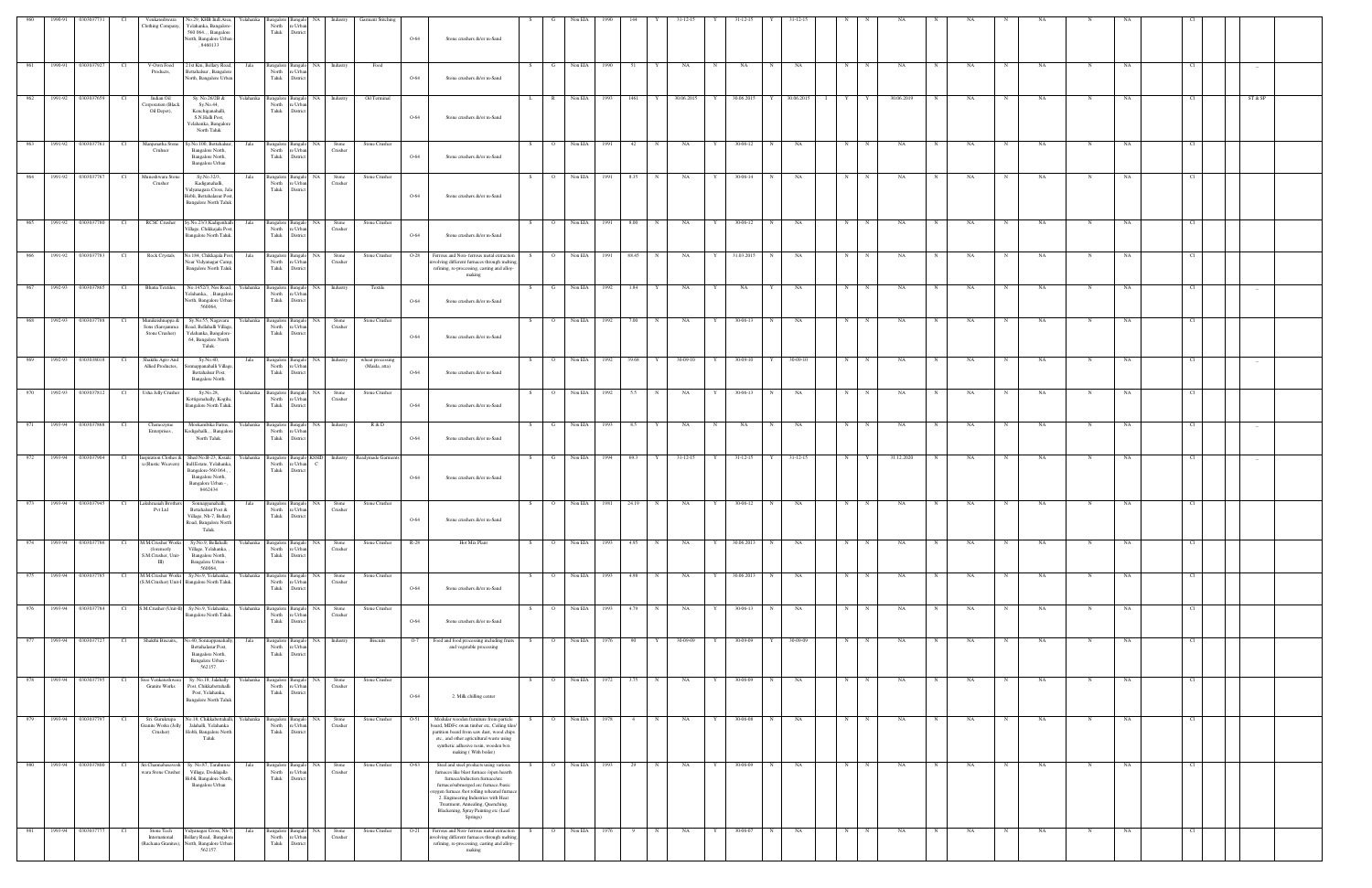| 960 | 1990-91               | 0303037731             | Cl   | Venkateshwara<br>Clothing Company,                                   | No.29, KHB Indl.Area, Yelahanka Bangalore Bangalo NA Industry Garment Stitching<br>Yelahanka, Bangalore-<br>560 064., , Bangalore<br>North, Bangalore Urban -<br>, 8460133 |           | North<br>Taluk                                        | re Urban<br>District                                     |                     |                                                      | O-64   | Stone crushers &/or m-Sand                                                                                                                                                                                                                                                                                                               |    |                | Non EIA        |      |                     |              | 31-12-15     |   | 31-12-15       |             |                |                               |             |              |   |             |   |           |             |           |                 |         |  |
|-----|-----------------------|------------------------|------|----------------------------------------------------------------------|----------------------------------------------------------------------------------------------------------------------------------------------------------------------------|-----------|-------------------------------------------------------|----------------------------------------------------------|---------------------|------------------------------------------------------|--------|------------------------------------------------------------------------------------------------------------------------------------------------------------------------------------------------------------------------------------------------------------------------------------------------------------------------------------------|----|----------------|----------------|------|---------------------|--------------|--------------|---|----------------|-------------|----------------|-------------------------------|-------------|--------------|---|-------------|---|-----------|-------------|-----------|-----------------|---------|--|
| 961 | 1990-91               | 0303037927             | - Cl | V-Own Food<br>Products,                                              | 21st Km, Bellary Road,<br>Bettahalsur, Bangalore<br>North, Bangalore Urban                                                                                                 | Jala      | North<br>Taluk                                        | Bangalore Bangalo NA Industry<br>re Urba<br>District     |                     | Food                                                 | $O-64$ | Stone crushers &/or m-Sand                                                                                                                                                                                                                                                                                                               | S. | G              | Non EIA        | 1990 | 51                  |              | <b>NA</b>    | N | NA             | N           | NA             | N                             | $\mathbf N$ | NA           | N | NA          | N | NA.       | N           | NA        | Cl              | $-$     |  |
|     |                       | 962 1991-92 0303037659 | Cl   | Indian Oil<br>Corporation (Black<br>Oil Depot),                      | Sy. No.26/2B &<br>Sy.No.44,<br>Kenchiganahalli,<br>S.N.Halli Post,<br>Yelahanka, Bangalore<br>North Taluk                                                                  |           | North<br>Taluk                                        | re Urban<br>District                                     |                     | Yelahanka Bangalore Bangalo NA Industry Oil Terminal | $O-64$ | Stone crushers &/or m-Sand                                                                                                                                                                                                                                                                                                               | L  | R              | Non EIA 1993   |      | 1461 Y              |              | 30.06.2015 Y |   |                |             |                | 30.06.2015 Y 30.06.2015 I Y Y |             | 30.06.2019 N |   | NA          | N | <b>NA</b> | N           | NA        | CI <sub>1</sub> | ST & SP |  |
|     |                       | 963 1991-92 0303037761 | Cl   | Manjunatha Stone<br>Cruhser                                          | Sy.No.100, Bettahalsur<br>Bangalore North,<br>Bangalore North,<br>Bangalore Urban                                                                                          | Jala      | Taluk                                                 | Bangalore Bangalo NA Stone<br>North re Urban<br>District | Crusher             | Stone Crusher                                        | $O-64$ | Stone crushers &/or m-Sand                                                                                                                                                                                                                                                                                                               | S  | $\overline{O}$ | Non EIA 1991   |      | 42                  | N            | NA           | Y | 30-06-12       | N           | <b>NA</b>      | N                             | N           | <b>NA</b>    | N | NA          | N | <b>NA</b> | $\mathbf N$ | NA.       | Cl              |         |  |
| 964 | 1991-92               | 0303037767             | Cl   | Muneshwara Stone<br>Crusher                                          | Sy.No.32/3,<br>Kadiganahalli,<br>Vidyanagara Cross, Jal:<br>Hobli, Bettahalasur Pos<br><b>Bangalore North Taluk</b>                                                        | Jala      | North<br>Taluk                                        | Bangalore Bangalo NA Stone<br>re Urban<br>District       | Crusher             | Stone Crusher                                        | $O-64$ | Stone crushers &/or m-Sand                                                                                                                                                                                                                                                                                                               | S  | $\overline{O}$ | Non EIA        | 1991 | 8.35                | N            | NA           | Y | 30-06-14       | N           | NA             | N                             | N           | NA           | N | NA          | N | NA        | N           | NA        | - Cl            |         |  |
|     |                       | 965 1991-92 0303037780 |      |                                                                      | Cl RCSC Crusher Sy.No.23/3, Kadigenhalli<br>Village, Chikkajala Post,<br>Bangalore North Taluk.                                                                            | Jala      | Taluk                                                 | Bangalore Bangalo NA Stone<br>North re Urban<br>District | Crusher             | Stone Crusher                                        | $O-64$ | Stone crushers &/or m-Sand                                                                                                                                                                                                                                                                                                               | S  |                | O Non EIA 1991 |      | 8.00                | N            | NA           | Y | 30-06-12       | N           | NA             | N                             | N           | NA           | N | NA          | N | <b>NA</b> | N           | NA        | - Cl            |         |  |
| 966 | 1991-92               | 0303037783             | Cl   | <b>Rock Crystals</b>                                                 | No.184, Chikkajala Post,<br>Near Vidyanagar Camp,<br><b>Bangalore North Taluk</b>                                                                                          | Jala      | Bangalore Bangalo<br>North re Urban<br>Taluk District |                                                          | NA Stone<br>Crusher | Stone Crusher                                        | $O-28$ | Ferrous and Non-ferrous metal extraction<br>volving different furnaces through melting<br>refining, re-processing, casting and alloy-<br>making                                                                                                                                                                                          |    | $\overline{O}$ | Non EIA        | 1991 | 88.45               | $\mathbb{N}$ | <b>NA</b>    | Y | 31.03.2015     | N           | NA             | N                             | $_{\rm N}$  | <b>NA</b>    | N | NA          | N | NA .      | N           | NA        | - Cl            |         |  |
| 967 | 1992-93               | 0303037865             | - Cl | Bhatia Textiles,                                                     | No.1452/3, Nes Road,<br>Yelahanka,, , Bangalore<br>North, Bangalore Urban -<br>560064.                                                                                     | Yelahanka | North<br>Taluk                                        | Bangalore Bangalo NA<br>re Urban<br>District             | Industry            | Textile                                              | $O-64$ | Stone crushers &/or m-Sand                                                                                                                                                                                                                                                                                                               | S. | G              | Non EIA        | 1992 | 1.84                |              | NA           | Y | NA             |             | NA             | N                             |             | NA           |   | NA          |   | NA        |             | NA        | - Cl            |         |  |
|     |                       | 968 1992-93 0303037788 |      | Munikrishnappa &<br>Sons (Sarojamma<br>Stone Crusher)                | Sy.No.55, Nagavara<br>Road, Bellahalli Village,<br>Yelahanka, Bangalore-<br>64, Bangalore North<br>Taluk.                                                                  | Yelahanka | Bangalore Bangalo<br>North<br>Taluk                   | re Urbar<br>District                                     | NA Stone<br>Crusher | Stone Crusher                                        | O-64   | Stone crushers &/or m-Sand                                                                                                                                                                                                                                                                                                               | S. | $\overline{O}$ | Non EIA        | 1992 | 7.00                | $\mathbb{N}$ | NA           | Y | 30-06-13       |             | NA             | N                             | $_{\rm N}$  | NA           |   | NA          | N | NA        | N           | NA        |                 |         |  |
| 969 | 1992-93               | 0303038018             |      | Shakthi Agro And<br>Allied Productes,                                | Sy.No.40,<br>Sonnappanahalli Village<br>Bettahalsur Post,<br>Bangalore North.                                                                                              | Jala      | Bangalore Bangalo<br>North<br>Taluk                   | re Urban<br>District                                     | NA Industry         | wheat processing<br>(Maida, atta)                    | O-64   | Stone crushers &/or m-Sand                                                                                                                                                                                                                                                                                                               | S. | $\overline{O}$ | Non EIA        | 1992 | 39.68               |              | 30-09-10     | Y | 30-09-10       |             | 30-09-10       | N                             |             | NA           |   | NA          |   | NA .      | $\mathbf N$ | NA        |                 | $-$     |  |
|     |                       | 970 1992-93 0303037812 | Cl   | Usha Jelly Crusher                                                   | Sy.No.28,<br>Kottigenahally, Kogilu,<br>Bangalore North Taluk.                                                                                                             | Yelahanka | North re Urban<br>Taluk                               | Bangalore Bangalo NA<br>District                         | Stone<br>Crusher    | Stone Crusher                                        | $O-64$ | Stone crushers &/or m-Sand                                                                                                                                                                                                                                                                                                               | S  | $\overline{O}$ | Non EIA        | 1992 | 5.5                 | $\mathbb{N}$ | NA           | Y | 30-06-13       | N           | NA             | N                             | $_{\rm N}$  | NA           | N | NA          | N | NA        | N           | NA        |                 |         |  |
|     |                       | 971 1993-94 0303037868 | Cl   | Chemozyme<br>Enterprises,                                            | Mookambika Farms,<br>Codigehalli,, , Bangalor<br>North Taluk.                                                                                                              | Yelahanka | North<br>Taluk                                        | Bangalore Bangalo NA Industry<br>re Urba<br>District     |                     | R & D                                                | $O-64$ | Stone crushers &/or m-Sand                                                                                                                                                                                                                                                                                                               | S. | G              | Non EIA 1993   |      | 8.5<br>$\mathbf{Y}$ |              | NA           | N | NA             | $\mathbf N$ | NA             | N                             | $\mathbf N$ | NA           | N | NA          | N | NA        | N           | NA        | - Cl            |         |  |
|     |                       | 972 1993-94 0303037904 | Cl   | Inspiration Clothes &<br>u (Rustic Weavers)                          | Shed No.B-23, Kssidc<br>Indl.Estate, Yelahanka<br>Bangalore-560 064.,<br>Bangalore North,<br>Bangalore Urban -<br>8462434                                                  | Yelahanka | North<br>Taluk                                        | Bangalore Bangalo KSSID<br>re Urban<br>District          |                     | Industry Readymade Garments                          | $O-64$ | Stone crushers &/or m-Sand                                                                                                                                                                                                                                                                                                               | S. | $\mathbf{G}$   | Non EIA        | 1994 | 69.3                | Y            | $31-12-15$   | Y | $31 - 12 - 15$ | Y           | $31 - 12 - 15$ | N                             | Y           | 31.12.2020   | N | NA          | N | NA        | N           | NA        |                 |         |  |
| 973 |                       | 1993-94 0303037945     | Cl   | Lakshmaiah Brothers<br><b>Pvt Ltd</b>                                | Sonnappanahalli,<br>Bettahalsur Post &<br>Village, Nh-7, Bellary<br>Road, Bangalore North<br>Taluk.                                                                        | Jala      | Taluk District                                        | Bangalore Bangalo NA Stone<br>North re Urban             | Crusher             | Stone Crusher                                        | O-64   | Stone crushers &/or m-Sand                                                                                                                                                                                                                                                                                                               | S  | $\overline{O}$ | Non EIA        | 1981 | 24.19               |              | NA           |   | 30-06-12       |             | NA             | N                             |             | NA           |   | NA          |   | NA        |             | NA        |                 |         |  |
|     |                       | 974 1993-94 0303037786 | - Cl | M.M.Crusher Works<br>(foremerly<br>S.M.Crusher, Unit<br>$\mathbf{m}$ | Sy.No.9, Bellahalli<br>Village, Yelahanka,<br>Bangalore North,<br>Bangalore Urban -<br>560064.                                                                             | Yelahanka | Bangalore Bangalo<br>North<br>Taluk                   | NA I<br>e Urba<br>District                               | Stone<br>Crusher    | Stone Crusher                                        | $R-28$ | Hot Mix Plant                                                                                                                                                                                                                                                                                                                            |    | $\overline{O}$ | Non EIA        | 1993 | 4.95                |              | NA           |   | 30.06.2013     |             | NA             | N                             |             | NA           |   | NA          |   | NA        | N           | NA        |                 |         |  |
|     | 975 1993-94           | 0303037785             | Cl   |                                                                      | M.M.Crusher Works Sy.No.9, Yelahanka,<br>(S.M.Crusher) Unit-I Bangalore North Taluk                                                                                        | Yelahanka | Bangalore Bangalo<br>North<br>Taluk                   | NA 1<br>re Urbar<br>District                             | Stone<br>Crusher    | Stone Crusher                                        | $O-64$ | Stone crushers &/or m-Sand                                                                                                                                                                                                                                                                                                               | S. | $\overline{O}$ | Non EIA        | 1993 | 4.98                | $\mathbf N$  | NA           | Y | 30.06.2013     |             | NA             | ${\bf N}$                     | $_{\rm N}$  | NA           | N | $_{\rm NA}$ |   | NA        | $\mathbf N$ | NA        | - Cl            |         |  |
|     |                       | 976 1993-94 0303037784 | Cl   |                                                                      | S.M.Crusher (Unit-II) Sy.No.9, Yelahanka,<br>Bangalore North Taluk.                                                                                                        | Yelahanka | Bangalore Bangalo<br>North<br>Taluk                   | NA<br>re Urbar<br>District                               | Stone<br>Crusher    | Stone Crusher                                        | $O-64$ | Stone crushers &/or m-Sand                                                                                                                                                                                                                                                                                                               |    | $\overline{O}$ | Non EIA        | 1993 | 4.79                | $\mathbf N$  | NA           |   | 30-06-13       |             | NA             | N                             |             | NA           | N | NA          | N | NA        | $_{\rm N}$  | NA        | - Cl            |         |  |
| 977 |                       | 1993-94 0303037727     | Cl   | Shakthi Biscuits,,                                                   | No.40, Sonnappanahally<br>Bettahalasur Post,<br>Bangalore North,<br>Bangalore Urban -<br>562157.                                                                           | Jala      | Bangalore Bangalo<br>North<br>Taluk                   | NA<br>re Urbar<br>District                               | Industry            | <b>Biscuits</b>                                      | $O-7$  | Food and food processing including fruits<br>and vegetable processing                                                                                                                                                                                                                                                                    | S. | $\overline{O}$ | Non EIA        | 1976 | 90                  | Y            | 30-09-09     | Y | 30-09-09       |             | 30-09-09       | N                             | N           | NA           |   | NA          |   | NA        | N           | NA        | - Cl            |         |  |
|     |                       | 978 1993-94 0303037795 | Cl   | Sree Venkateshwara<br>Granite Works                                  | Sy. No.18, Jalahally<br>Post, Chikkabettahalli<br>Post, Yelahanka,<br><b>Bangalore North Taluk</b>                                                                         | Yelahanka | Bangalore Bangalo<br>North<br>Taluk                   | re Urbar<br>District                                     | NA Stone<br>Crusher | Stone Crusher                                        | $O-64$ | 2. Milk chilling center                                                                                                                                                                                                                                                                                                                  | S  | $\Omega$       | Non EIA 1972   |      | 3.75                | N            | <b>NA</b>    | Y | 30-06-09       | N           | NA             | N                             | N           | NA           | N | NA          | N | NA        | $\mathbf N$ | NA        | - CL            |         |  |
| 979 | 1993-94               | 030303779              |      | Sri. Gurukrupa<br>Granite Works (Jell<br>Crusher)                    | o.18, Chikkabettahal<br>Jalahalli, Yelahanka<br>Hobli, Bangalore North<br>Taluk                                                                                            | felahanka | angalore Banga<br>North<br>Taluk District             | re Urban                                                 | Stone<br>Crusher    | Stone Crusher                                        | O-51   | Modular wooden furniture from particle<br>board, MDF< swan timber etc, Ceiling tiles<br>partition board from saw dust, wood chips<br>etc., and other agricultural waste using<br>synthetic adhesive resin, wooden box<br>making (With boiler)                                                                                            |    |                | Non EIA        | 1978 |                     |              | NA           |   | 30-06-08       |             | NA             | N                             |             | NA           |   | NA          |   | NA        |             | NA        |                 |         |  |
| 980 | 1993-94               | 0303037800             | - Cl | Sri.Channabasavesh<br>wara Stone Crusher                             | Sy. No.87, Tarahunse<br>Village, Doddajalla<br>Hobli, Bangalore North,<br>Bangalore Urban                                                                                  | Jala      | <b>Bangalore</b><br>North<br>Taluk                    | <b>NA</b><br>Bangalo<br>re Urbar<br>District             | Stone<br>Crusher    | Stone Crusher                                        | O-63   | Steel and steel products using various<br>furnaces like blast furnace /open hearth<br>furnace/induction furnace/arc<br>furnace/submerged arc furnace /basic<br>sygen furnace /hot rolling reheated furnac<br>2. Engineering Industries with Heat<br>Treatment, Annealing, Quenching,<br>Blackening, Spray Painting etc (Leaf<br>Springs) |    | $\overline{O}$ | Non EIA        | 1993 | 29                  |              | NA           | Y | 30-06-09       |             | NA             | N                             |             | NA           |   | NA          |   | NA        | N           | NA        | Cl              |         |  |
|     | 981 1993-94 030303777 |                        |      | Stone Tech<br>International                                          | Vidyanagar Cross, Nh-7<br>Bellary Road, Bangalor<br>(Rachana Granites), North, Bangalore Urban -<br>562157.                                                                | Jala      | North<br>Taluk                                        | Bangalore Bangalo<br>re Urban<br>District                | NA Stone<br>Crusher | Stone Crusher                                        | $O-21$ | Ferrous and Non- ferrous metal extraction<br>volving different furnaces through melting<br>refining, re-processing, casting and alloy-<br>making                                                                                                                                                                                         |    | $\overline{0}$ | Non EIA        | 1976 |                     |              | NA           |   | 30-06-07       |             | NA             | $\mathbf{N}$                  |             | <b>NA</b>    |   | NA          |   | NA        |             | <b>NA</b> |                 |         |  |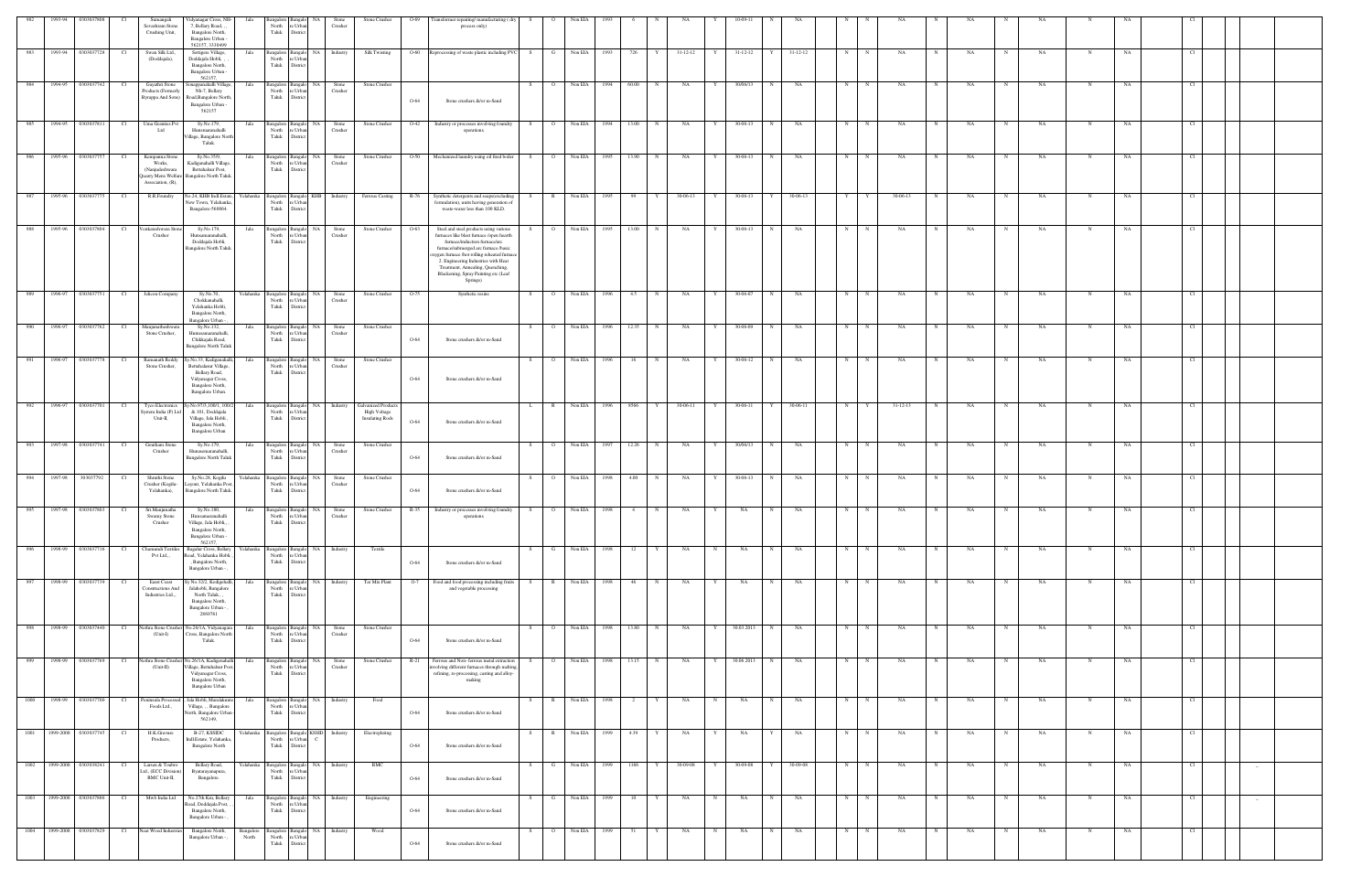| 982    | 1993-94 | 0303037808                |      | Sumangali                                                           | Vidyanagar Cross, NH-                                                                                                          | Jala               |                                              |                                              | Stone                                 | Stone Crusher                                                        | $O-69$          | Transformer repairing/ manufacturing (dry                                                                                                                                                                                                                                                                                                | S.                   | Non EIA   |              |                                 |                |   |                |            |                |   |              |                |   |    |            |           |             |    |               |        |  |
|--------|---------|---------------------------|------|---------------------------------------------------------------------|--------------------------------------------------------------------------------------------------------------------------------|--------------------|----------------------------------------------|----------------------------------------------|---------------------------------------|----------------------------------------------------------------------|-----------------|------------------------------------------------------------------------------------------------------------------------------------------------------------------------------------------------------------------------------------------------------------------------------------------------------------------------------------------|----------------------|-----------|--------------|---------------------------------|----------------|---|----------------|------------|----------------|---|--------------|----------------|---|----|------------|-----------|-------------|----|---------------|--------|--|
|        |         |                           |      | Sevashram Stone<br>Crushing Unit,                                   | 7, Bellary Road, ,<br>Bangalore North,<br>Bangalore Urban -<br>562157 3330499                                                  |                    | North<br>Taluk                               | 'e Urba<br>Distric                           | Crusher                               |                                                                      |                 | process only)                                                                                                                                                                                                                                                                                                                            |                      |           |              |                                 |                |   |                |            |                |   |              |                |   |    |            |           |             |    |               |        |  |
| 983    | 1993-94 | 0303037728                | - Cl | Swan Silk Ltd.,<br>(Doddajala),                                     | Settigere Village.<br>Doddajala Hobli, ,<br>Bangalore North,<br>Bangalore Urban                                                | Jala               | Bangalore Bangalo<br>North<br>Taluk          | e Urba<br>Distric                            | NA Industry                           | <b>Silk Twisting</b>                                                 | $O-60$          | Reprocessing of waste plastic including PVC                                                                                                                                                                                                                                                                                              | S.<br>G              | Non EIA   | 1993         | 726                             | $31 - 12 - 12$ | Y | $31 - 12 - 12$ |            | $31 - 12 - 12$ | N |              | NA             |   | NA |            | NA        | N           | NA |               |        |  |
| 984    |         | 1994-95   0303037742      | - Cl | Gayathri Stone<br>Products (Formerly<br>Byrappa And Sons)           | 562157.<br>onappanahalli Village,<br>Nh-7, Bellary<br>Road, Bangalore North,<br>Bangalore Urban -                              | Jala               | Bangalore Bangal<br>North<br>Taluk           | e Urb:<br>District                           | Stone<br>NA I<br>Crusher              | Stone Crusher                                                        | $O-64$          | Stone crushers &/or m-Sand                                                                                                                                                                                                                                                                                                               | $\circ$ 0<br>S –     | Non EIA   | 1994         | 60.00                           | NA             | Y | 30/06/13       | N          | NA             | N |              | NA             |   | NA | N          | NA        |             | NA |               |        |  |
| 985    | 1994-95 | 0303037811                | Cl   | Uma Granites Pv<br>Ltd                                              | 562157<br>Sy.No.179,<br>Hunsmaranahalli<br>Village, Bangalore North                                                            | Jala               | Bangalore Bangalo<br>North<br>Taluk          | re Urban<br>District                         | NA Stone<br>Crusher                   | Stone Crusher                                                        | O <sub>42</sub> | Industry or processes involving foundry<br>operations                                                                                                                                                                                                                                                                                    | $\overline{O}$<br>S. | Non EIA   | 1994         | 13.00<br>N                      | NA             | Y | 30-06-13       | N          | NA             | N | $\mathbf N$  | NA             |   | NA | N          | NA        | N           | NA | <sup>C1</sup> |        |  |
| 986    |         | 1995-96 0303037757        | Cl   | Kempanna Stone<br>Works,<br>(Nanjudeshwara                          | Taluk.<br>Sy.No.35/9,<br>Kadiganahalli Village,<br>Bettahalsur Post,                                                           | Jala               | Bangalore Bangalo<br>North<br>Taluk          | NA .<br>re Urban<br>District                 | Stone<br>Crusher                      | Stone Crusher                                                        |                 | O-50 Mechanized laundry using oil fired boiler                                                                                                                                                                                                                                                                                           | S                    | O Non EIA | 1995         | 13.90<br>N                      | <b>NA</b>      | Y | 30-06-13       | N          | NA             | N | N            | NA             | N | NA | N          | NA        | $\mathbf N$ | NA | Cl            |        |  |
| 987    |         | 1995-96 0303037775        | Cl   | Quarry Mens Welfare<br>Association, (R),<br>R.R.Foundry             | Bangalore North Taluk.<br>No.24, KHB Indl.Estate, Yelahanka                                                                    |                    |                                              |                                              |                                       |                                                                      |                 | Bangalore Bangalo KHB Industry Ferrous Casting R-76 Synthetic detergents and soaps(excluding                                                                                                                                                                                                                                             | S                    | R Non EIA | 1995         | 99<br>Y                         | 30-06-13       | Y | 30-06-13       | $Y -$      | 30-06-13       | Y | Y            | 30-06-13       |   | NA | N          | NA        | N           | NA |               |        |  |
|        |         |                           |      |                                                                     | New Town, Yelahanka<br>Bangalore-560064.                                                                                       |                    | North<br>Taluk                               | ∘ Urb:<br>Distric                            |                                       |                                                                      |                 | formulation), units having generation of<br>waste-water less than 100 KLD.                                                                                                                                                                                                                                                               |                      |           |              |                                 |                |   |                |            |                |   |              |                |   |    |            |           |             |    |               |        |  |
| 988    | 1995-96 | 0303037804                | Cl   | /enkateshwara Stor<br>Crusher                                       | Sy.No.179,<br>Hunsamaranahalli,<br>Doddajala Hobli,<br>Bangalore North Taluk.                                                  | Jala               | Bangalore Banga<br>North<br>Taluk            | NA<br>e Urba<br>District                     | Stone<br>Crusher                      | Stone Crusher                                                        | O-63            | Steel and steel products using various<br>furnaces like blast furnace /open hearth<br>furnace/induction furnace/arc<br>furnace/submerged arc furnace /basic<br>xygen furnace /hot rolling reheated furnac<br>2. Engineering Industries with Heat<br>Treatment, Annealing, Quenching,<br>Blackening, Spray Painting etc (Leaf<br>Springs) | $\circ$              | Non EIA   | 1995         | 13.00<br>N                      | NA             |   | 30-06-13       | N          | NA             | N |              | NA             |   | NA |            | NA        | N           | NA |               |        |  |
| 989    | 1996-97 | 0303037751                | Cl   | Jelicon Company                                                     | Sy.No.70,<br>Chokkanahalli,<br>Yelahanka Hobli,<br>Bangalore North,<br>Bangalore Urban -                                       | Yelahanka          | Bangalore<br>North<br>Taluk                  | NA<br>Bangal<br>e Urbi<br>Distric            | Stone<br>Crusher                      | Stone Crusher                                                        | O-75            | Synthetic resins                                                                                                                                                                                                                                                                                                                         | S.<br>$\circ$        | Non EIA   | 1996         | 4.5<br>N                        | NA             | Y | 30-06-07       | N          | NA             | N |              | NA             |   | NA | N          | NA        | N           | NA | - CI          |        |  |
| 990    |         | 1996-97 0303037762        | Cl   | Manjunatheshwara<br>Stone Crusher,                                  | Sy.No.132,<br>Hunusamaranahalli<br>Chikkajala Road,<br><b>Bangalore North Taluk</b>                                            | Jala               | Bangalore Bangal<br>North<br>Taluk           | 'e Urb<br>District                           | NA I<br>Stone<br>Crusher              | Stone Crusher                                                        | $O-64$          | Stone crushers &/or m-Sand                                                                                                                                                                                                                                                                                                               | S.<br>$\Omega$       | Non EIA   | 1996         | 12.35                           | NA             |   | 30-06-09       | N.         | NA             | N |              | NA             |   | NA | N          | NA        |             | NA |               |        |  |
| 991    |         | 1996-97 0303037778        | Cl   | Ramanath Reddy<br>Stone Crusher,                                    | y.No.33, Kadiganahalli,<br>Bettahalasur Village,<br>Bellary Road,<br>Vidyanagar Cross,<br>Bangalore North,<br>Bangalore Urban. | Jala               | Bangalore Bangal<br>North<br>Taluk           | e Urban<br>District                          | NA<br>Stone<br>Crusher                | Stone Crusher                                                        | $O-64$          | Stone crushers &/or m-Sand                                                                                                                                                                                                                                                                                                               | $\overline{O}$<br>S. | Non EIA   | 1996         | 16                              | NA             | Y | 30-06-12       | N          | NA             | N |              | NA             |   | NA | N          | <b>NA</b> | N           | NA |               |        |  |
| 992    | 1996-97 | 0303037701                | Cl   | <b>Tyco Electronics</b><br>ystem India (P) Ltd<br>Unit-II,          | v.No.97/3,100/1, 100/2<br>& 101, Doddajala<br>Village, Jala Hobli,<br>Bangalore North,<br>Bangalore Urban                      | Jala               | Bangalore Bangalo<br>North<br>Taluk          | 'e Urb<br>Distric                            | NA Industry                           | <b>Galvanized Products</b><br>High Voltage<br><b>Insulating Rods</b> | $O-64$          | Stone crushers &/or m-Sand                                                                                                                                                                                                                                                                                                               | R<br>L.              | Non EIA   | 1996         | 8566<br>Y                       | 30-06-11       | Y | 30-06-11       | Y          | 30-06-11       | N |              | $31 - 12 - 13$ |   | NA | N          | <b>NA</b> | N           | NA |               |        |  |
| 993    |         | 1997-98 0303037741        | Cl   | Goutham Stone<br>Crusher                                            | Sy.No.179,<br>Hunasemaranahalli.<br><b>Bangalore North Taluk</b>                                                               | Jala               | Bangalore Bangalo<br>North<br>Taluk          | e Urb:<br>District                           | Stone<br>NA<br>Crusher                | Stone Crusher                                                        | $O-64$          | Stone crushers &/or m-Sand                                                                                                                                                                                                                                                                                                               | S.<br>$\overline{O}$ | Non EIA   | 1997         | 12.26<br>N                      | NA             | Y | 30/06/13       | N          | NA             | N | $\mathbf N$  | NA             |   | NA | N          | NA        |             | NA |               |        |  |
| 994    | 1997-98 | 303037792                 |      | Shruthi Stone<br>Crusher (Kogilu-<br>Yelahanka),                    | Sy.No.28, Kogilu<br>ayout, Yelahanka Post<br>Bangalore North Taluk.                                                            | Yelahanka          | <b>Bangalore</b><br>North<br>Taluk           | NA<br>re Urba<br>District                    | Stone<br>Crusher                      | Stone Crusher                                                        | $O-64$          | Stone crushers &/or m-Sand                                                                                                                                                                                                                                                                                                               |                      | Non EIA   | 1998         | 4.00                            | NA             |   | 30-06-13       |            | NA             | N |              | NA             |   | NA |            | NA        |             | NA |               |        |  |
| 995    |         | 1997-98 0303037803        | Cl   | Sri.Manjunatha<br>Swamy Stone<br>Crusher                            | Sy.No.180,<br>Hunsamaranahalli<br>Village, Jala Hobli,, ,<br>Bangalore North,<br>Bangalore Urban -                             | Jala               | North re Urban<br>Taluk District             |                                              | Bangalore Bangalo NA Stone<br>Crusher | Stone Crusher                                                        |                 | R-35 Industry or processes involving foundry<br>operations                                                                                                                                                                                                                                                                               | S                    | O Non EIA | 1998         | $4 -$<br>N                      | NA             | Y | NA             | N          | NA             | N | $\mathbf N$  | NA             | N | NA | N          | NA        | $\mathbf N$ | NA |               |        |  |
| 996    |         | 1998-99 0303037716        | Cl   | Chamundi Textiles<br>Pvt Ltd.,,                                     | 562157.<br><b>Bagalur Cross, Bellary</b><br>Road, Yelahanka Hobli,<br>, Bangalore North,<br>Bangalore Urban -                  | Yelahanka          | North<br>Taluk                               | e Urba<br>District                           | Bangalore Bangalo NA Industry         | Textile                                                              | $O-64$          | Stone crushers &/or m-Sand                                                                                                                                                                                                                                                                                                               | G<br>S.              | Non EIA   | 1998         | 12                              | NA             | N | NA             | $_{\rm N}$ | NA             | N | $\mathbb{N}$ | NA             |   | NA | N          | NA        |             | NA |               |        |  |
| 997    |         | 1998-99 0303037739        | Cl   | <b>Easst Coast</b><br><b>Constructions And</b><br>Industries Ltd.,, | Sy No.32/2, Kodigehalli,<br>Jalahobli, Bangalore<br>North Taluk., ,<br>Bangalore North,<br>Bangalore Urban -<br>2869761        | Jala               | Bangalore Bangalo<br>North<br>Taluk District | re Urban                                     | NA Industry                           | Tar Mix Plant                                                        | $O-7$           | Food and food processing including fruits<br>and vegetable processing                                                                                                                                                                                                                                                                    | R<br>S.              | Non EIA   | 1998         | 46                              | NA             |   | NA             | N          | NA             | N | N            | NA             |   | NA | $_{\rm N}$ | NA        |             | NA |               |        |  |
| 998    |         | 1998-99 0303037440        | Cl   | ethra Stone Crusher<br>$(Unit-I)$                                   | No.26/1A, Vidyanagara<br>Cross, Bangalore North<br>Taluk.                                                                      | Jala               | Bangalore Bangalo<br>North<br>Taluk District | re Urban                                     | NA 1<br>Stone<br>Crusher              | Stone Crusher                                                        | $O-64$          | Stone crushers &/or m-Sand                                                                                                                                                                                                                                                                                                               | S<br>$\overline{O}$  | Non EIA   | 1998         | 13.80<br>N                      | <b>NA</b>      | Y | 30.03.2013     | N          | NA             | N | N            | NA             | N | NA | N          | NA        | N           | NA | Cl            |        |  |
| $-999$ |         | 1998-99 0303037769        | Cl   | $(Unit-II)$                                                         | Nethra Stone Crusher No.26/1A, Kadigenahalli<br>Village, Bettahalsur Post,<br>Vidyanagar Cross,                                | Jala               | North<br>Taluk                               | Bangalore Bangalo NA<br>re Urban<br>District | Stone<br>Crusher                      | Stone Crusher                                                        | $R-21$          | Ferrous and Non- ferrous metal extraction<br>nvolving different furnaces through melting<br>refining, re-processing, casting and alloy-                                                                                                                                                                                                  | $\overline{O}$<br>S. |           | Non EIA 1998 | 13.15 N                         | NA             | Y | 30.06.2013     | N          | NA             | N | N            | NA             | N | NA | N          | <b>NA</b> | N           | NA | Cl            |        |  |
| 1000   |         | 1998-99 0303037700        | Cl   | Peninsula Processe<br>Foods Ltd.,                                   | Bangalore North,<br>Bangalore Urban<br>Jala Hobli, Maralakunte<br>Village, , , Bangalore                                       | Jala               | North                                        | re Urban                                     | Bangalore Bangalo NA Industry         | Food                                                                 |                 | making                                                                                                                                                                                                                                                                                                                                   | S –                  | R Non EIA | 1998         | $\overline{\phantom{a}}$ 2<br>Y | NA             | N | NA             | N          | NA             | N | N            | NA             | N | NA | N          | <b>NA</b> | N           | NA | - CL          |        |  |
| 1001   |         | 1999-2000 0303037745      | Cl   | H.K.Gravure                                                         | North, Bangalore Urban -<br>562149,<br>B-27, KSSIDC                                                                            | Yelahanka          | Taluk District                               |                                              | Bangalore Bangalo KSSID Industry      | Electroplating                                                       | $O-64$          | Stone crushers &/or m-Sand                                                                                                                                                                                                                                                                                                               | $\mathbb{R}$<br>S.   | Non EIA   | 1999         | 4.39                            | NA             | Y | NA             |            | NA             | N | $\mathbf N$  | NA             |   | NA | N          | NA        | N           | NA | Cl            |        |  |
| 1002   |         | 1999-2000 0303038241      | Cl   | Products,<br>Larsen & Toubro                                        | Indl.Estate, Yelahanka,<br><b>Bangalore North</b><br>Bellary Road,                                                             | Yelahanka          | North<br>Taluk District                      | re Urban C                                   | Bangalore Bangalo NA Industry         | RMC                                                                  | $O-64$          | Stone crushers &/or m-Sand                                                                                                                                                                                                                                                                                                               | G<br>S.              | Non EIA   | 1999         | 1166<br>Y                       | 30-09-08       | Y | 30-09-08       | Y          | 30-09-08       | N | N            | NA             | N | NA | N          | NA.       | N           | NA | Cl            |        |  |
|        |         |                           |      | td., (ECC Division)<br>RMC Unit-II,                                 | Byatarayanapura,<br>Bangalore.                                                                                                 |                    | North<br>Taluk                               | re Urban<br>District                         |                                       |                                                                      | $O-64$          | Stone crushers &/or m-Sand                                                                                                                                                                                                                                                                                                               |                      |           |              |                                 |                |   |                |            |                |   |              |                |   |    |            |           |             |    |               | $-$    |  |
|        |         | 1003 1999-2000 0303037886 | Cl   | Mwb India Ltd                                                       | No.27th Km, Bellary<br>Road, Doddajala Post,<br>Bangalore North,<br>Bangalore Urban -                                          | Jala               | North<br>Taluk                               | e Urba<br>District                           | Bangalore Bangalo NA Industry         | Engineering                                                          | $O-64$          | Stone crushers &/or m-Sand                                                                                                                                                                                                                                                                                                               | S                    | G Non EIA | 1999         | 10<br>Y                         | <b>NA</b>      | N | <b>NA</b>      | N          | NA             | N | N            | NA             | N | NA | N          | NA        | N           | NA | Cl            | $\sim$ |  |
| 1004   |         | 1999-2000 0303037829      | Cl   | Neat Wood Industries                                                | Bangalore North,<br>Bangalore Urban - ,                                                                                        | Bangalore<br>North | Bangalore Bangalo<br>North<br>Taluk          | re Urban<br>District                         | NA Industry                           | Wood                                                                 | $O-64$          | Stone crushers &/or m-Sand                                                                                                                                                                                                                                                                                                               | $\overline{O}$<br>S. | Non EIA   | 1999         | 51                              | NA             | N | NA             | N          | NA             | N | $_{\rm N}$   | NA             |   | NA | $_{\rm N}$ | NA        | $_{\rm N}$  | NA | CL.           |        |  |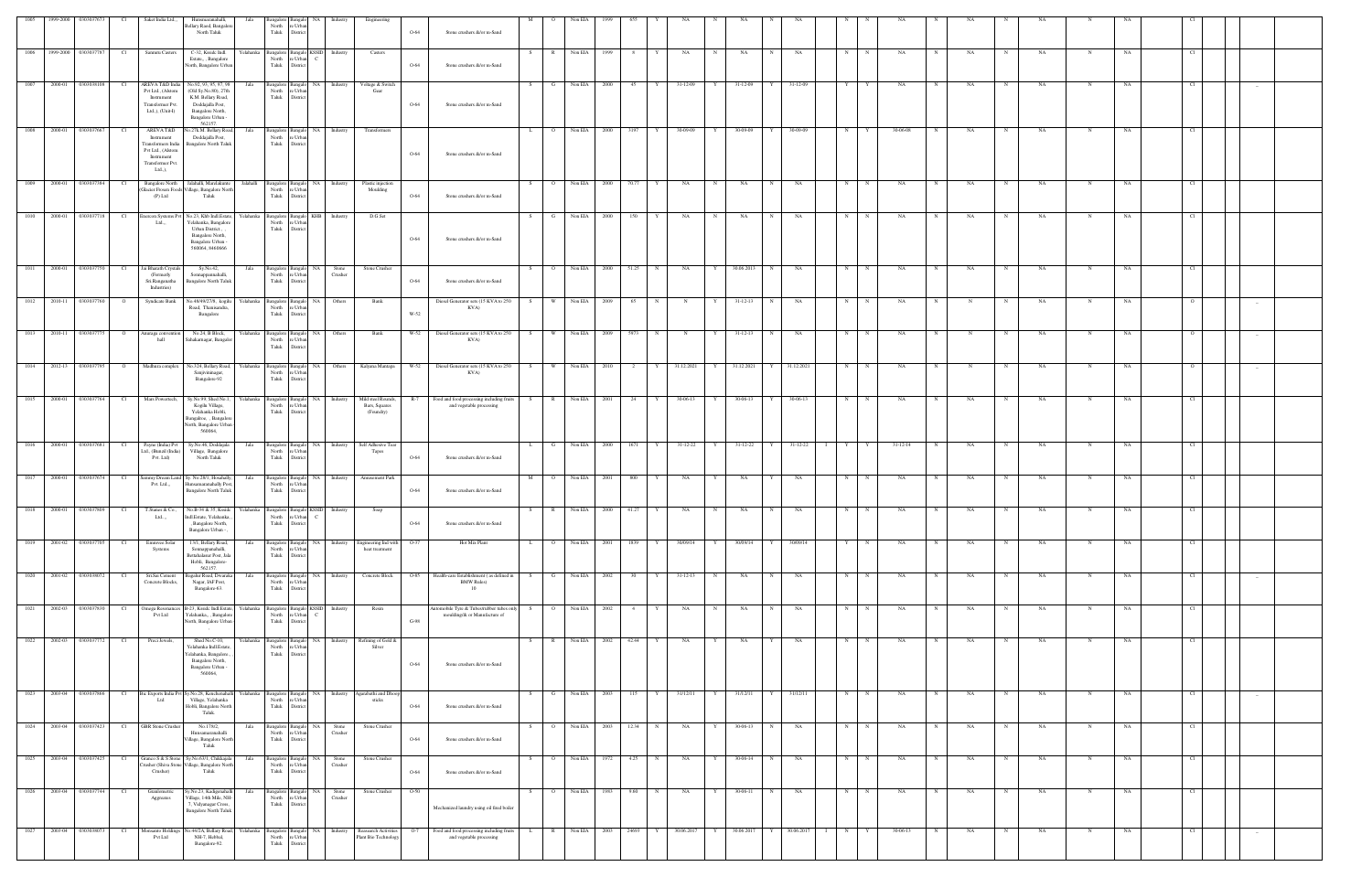| 1005 1999-2000 0303037673  |         |                         | - Cl            | Saket India Ltd.,,                                                                                                | Hunsmaranahalli,<br>Jala                                                                                                                             |                | Bangalore Bangalo NA                                              | Industry                              | Engineering                                      |        |                                                                          |     |                             | Non EIA      |       |       |              |                |             |                                   |              |            |     |             |                |   |    |             |           |             |             |      |     |  |
|----------------------------|---------|-------------------------|-----------------|-------------------------------------------------------------------------------------------------------------------|------------------------------------------------------------------------------------------------------------------------------------------------------|----------------|-------------------------------------------------------------------|---------------------------------------|--------------------------------------------------|--------|--------------------------------------------------------------------------|-----|-----------------------------|--------------|-------|-------|--------------|----------------|-------------|-----------------------------------|--------------|------------|-----|-------------|----------------|---|----|-------------|-----------|-------------|-------------|------|-----|--|
|                            |         |                         |                 |                                                                                                                   | Bellary Raod, Bangalor<br>North Taluk                                                                                                                | North<br>Taluk | re Urban<br>District                                              |                                       |                                                  | $O-64$ | Stone crushers &/or m-Sand                                               |     |                             |              |       |       |              |                |             |                                   |              |            |     |             |                |   |    |             |           |             |             |      |     |  |
| 1006                       |         | 1999-2000 0303037787    | Cl              | Sanmru Casters                                                                                                    | C-32, Ksside Indl.<br>Yelahanka<br>Estate,,, Bangalore<br>North, Bangalore Urbar                                                                     | North<br>Taluk | Bangalore Bangalo KSSID<br>e Urban C<br>District                  | Industry                              | Casters                                          | $O-64$ | Stone crushers &/or m-Sand                                               | - S | $\mathbb{R}$                | Non EIA      | -1999 | -8    |              | NA             | N           | NA                                |              | NA         | N   |             | NA             |   | NA |             | NA        | N           | NA          | -CI  |     |  |
|                            |         | 1007 2000-01 0303038108 | Cl              | AREVA T&D India<br>Pvt Ltd., (Alstom<br>Instrument<br>Transformer Pvt.<br>Ltd.,), (Unit-I)                        | No.92, 93, 95, 97, 98<br>Jala<br>(Old Sy.No.80), 27th<br>K.M. Bellary Road,<br>Doddajalla Post,<br>Bangalore North,<br>Bangalore Urban<br>562157     | North<br>Taluk | e Urba<br>District                                                | Bangalore Bangalo NA Industry         | Voltage & Switch<br>Gear                         | $O-64$ | Stone crushers &/or m-Sand                                               | S.  | - G                         | Non EIA 2000 |       | 45    |              | 31-12-09       | Y           | 31-12-09                          |              | 31-12-09   | Y I |             | NA             |   | NA | N           | NA        |             | NA          |      |     |  |
| 1008                       | 2000-01 | 0303037667              | Cl              | AREVA T&D<br>Instrument<br>Transformers India<br>Pvt Ltd., (Alstom<br>Instrument<br>Transformer Pvt<br>$Ltd.,$ ), | o.27k.M. Bellary Road<br>Jala<br>Doddajalla Post,<br><b>Bangalore North Taluk</b>                                                                    | Taluk          | Bangalore Bangalo<br>North re Urban<br>$\blacksquare$<br>District | NA Industry                           | Transformers                                     | $O-64$ | Stone crushers &/or m-Sand                                               | L   | $\overline{O}$              | Non EIA 2000 |       | 3197  | Y            | 30-09-09       | Y           | 30-09-09                          | Y            | 30-09-09   | N   | Y           | 30-06-08       |   | NA | N           | NA.       | $\mathbf N$ | NA          | Cl   |     |  |
| 1009                       |         | 2000-01 0303037384      | Cl              | <b>Bangalore North</b><br>$(P)$ Ltd                                                                               | Jalahalli, Marelakunte<br>Jalahalli<br>ilacier Frosen Foods Village, Bangalore North<br>Taluk                                                        | North<br>Taluk | e Urbar<br>District                                               | Bangalore Bangalo NA Industry         | Plastic injection<br>Moulding                    | $O-64$ | Stone crushers &/or m-Sand                                               | S.  | $\overline{O}$              | Non EIA 2000 |       | 70.77 | Y            | <b>NA</b>      | N           | NA                                | N            | NA         | N   | $\mathbf N$ | NA             | N | NA | $\mathbf N$ | NA        | $\mathbf N$ | NA          | - Cl |     |  |
| 1010                       |         | 2000-01 0303037718      | Cl              | inercon Systems Pv<br>Ltd.,,                                                                                      | No.23, Khb Indl.Estate,<br>Yelahanka, Bangalore<br>Urban District.,<br>Bangalore North,<br>Bangalore Urban<br>560064, 8460666                        | North<br>Taluk | Yelahanka Bangalore Bangalo KHB<br>re Urbar<br>District           | Industry                              | D.G.Set                                          | $O-64$ | Stone crushers &/or m-Sand                                               | S   | $\mathbf{G}$                | Non EIA 2000 |       | 150   | Y            | <b>NA</b>      | N           | NA                                | N            | NA         | N   | $\mathbb N$ | NA             | N | NA | N           | NA        | N           | NA          | - Cl |     |  |
| 1011                       |         | 2000-01 0303037750      | Cl              | Jai Bharath Crystals<br>(Formerly<br>Sri.Ranganatha<br>Industries)                                                | Sy.No.42,<br>Jala<br>Sonnappannahalli,<br>Bangalore North Taluk                                                                                      | North<br>Taluk | Bangalore Bangalo NA<br>re Urban<br>District                      | Stone<br>Crusher                      | Stone Crusher                                    | $O-64$ | Stone crushers &/or m-Sand                                               | S.  | $\overline{O}$              | Non EIA 2000 |       | 51.25 | N            | NA             | Y           | 30.06.2013                        | N            | NA         | N   | $\mathbf N$ | NA             | N | NA | $\mathbf N$ | NA        | N           | NA          | Cl   |     |  |
| 1012                       | 2010-11 | 0303037760              | - 0             | Syndicate Bank                                                                                                    | No.48/49/27/8, kogilu<br>Road, Thanisandra,<br>Bangalore                                                                                             | North<br>Taluk | Yelahanka Bangalore Bangalo NA<br>e Urba<br>District              | Others                                | Bank                                             | W-52   | Diesel Generator sets (15 KVA to 250<br>KVA)                             | - S | W                           | Non EIA      | 2009  | 65    | N            | N              | Y           | $31 - 12 - 13$                    | N            | NA         | N   | N           | NA             |   |    | N           | NA        | N           | NA          |      |     |  |
| 1013 2010-11 0303037775    |         |                         |                 | Anuraga convention<br>hall                                                                                        | No.24, B Block,<br>Sahakarnagar, Bangalo                                                                                                             | North<br>Taluk | e Urba<br>District                                                | Yelahanka Bangalore Bangalo NA Others | Bank                                             | W-52   | Diesel Generator sets (15 KVA to 250<br>KVA)                             | - S | <b>W</b>                    | Non EIA 2009 |       | 5973  |              |                |             | 31-12-13                          |              | NA         | N   |             | NA             |   |    | N           | NA        | N           | NA          |      |     |  |
| 1014                       |         | 2012-13 0303037795      | $\overline{O}$  | Madhura complex                                                                                                   | No.324, Bellary Road,<br>relahanka<br>Sanjivininagar,<br>Bangalore-92                                                                                | Taluk          | Bangalore Bangalo<br>North re Urban<br>District                   | NA 1<br>Others                        | Kalyana Mantapa                                  | W-52   | Diesel Generator sets (15 KVA to 250<br>KVA)                             | S   | W                           | Non EIA 2010 |       | 2     | Y            | 31.12.2021     | Y           | 31.12.2021                        |              | 31.12.2021 | N   |             | NA             |   |    |             | NA        | $\mathbf N$ | NA          |      |     |  |
| 1015                       |         | 2000-01 0303037764      | Cl              | Mars Powertech,                                                                                                   | Sy.No.99, Shed No.1,<br>Yelahanka<br>Kogilu Village,<br>Yelahanka Hobli,<br>Bangalroe, , Bangalon<br>North, Bangalore Urban<br>560064,               | North<br>Taluk | Bangalore Bangalo NA<br>re Urbar<br>District                      | Industry                              | Mild steel Rounds,<br>Bars, Squares<br>(Foundry) | R-7    | Food and food processing including fruits<br>and vegetable processing    | S   | R                           | Non EIA 2001 |       | 24    | Y            | 30-06-13       | Y           | 30-06-13                          | Y            | 30-06-13   | N   | $\mathbf N$ | NA             | N | NA | N           | <b>NA</b> | N           | NA          | Cl   |     |  |
| 1016                       |         | 2000-01 0303037681      | - Cl            | Payne (India) Pvt<br>td., (Bunzil (India)<br>Pvt. Ltd)                                                            | Sy.No.46, Doddajala<br>Jala<br>Village, Bangalore<br>North Taluk                                                                                     | North<br>Taluk | e Urba<br>District                                                | Bangalore Bangalo NA Industry         | Self Adhesive Tear<br>Tapes                      | $O-64$ | Stone crushers &/or m-Sand                                               | L   | G                           | Non EIA 2000 |       | 1671  | Y            | 31-12-22       | Y           | 31-12-22 Y                        |              | 31-12-22 I |     | Y Y         | $31 - 12 - 14$ | N | NA | $\mathbf N$ | NA        |             | NA          |      |     |  |
| 1017                       |         | 2000-01 0303037674      | - Cl            | Pvt. Ltd.,,                                                                                                       | Sammy Dream Land Sy. No.28/1, Hosahally<br>Jala<br>Iunsamaranahally Pos<br><b>Bangalore North Taluk</b>                                              | North<br>Taluk | NA<br>Bangalore Bangalo<br>re Urban<br>District                   | Industry                              | Amusement Park                                   | $O-64$ | Stone crushers &/or m-Sand                                               | M   | $\overline{O}$              | Non EIA 2001 |       | 800   |              | NA             |             | NA                                |              | NA         | N   | N           | NA             |   | NA | N           | NA        | N           | NA          | - Cl |     |  |
| 1018 2000-01 0303037809 Cl |         |                         |                 | Ltd,                                                                                                              | T.Stanes & Co., No.B-34 & 35, Kssidc Yelahanka Bangalore Bangalo KSSID Industry<br>Indl.Estate, Yelahanka<br>, Bangalore North,<br>Bangalore Urban - |                | North re Urban<br>Taluk District                                  |                                       | Soap                                             | $O-64$ | Stone crushers &/or m-Sand                                               |     |                             |              |       |       |              |                |             | S R NonEIA 2000 41.27 Y NA N NA N |              | NA         |     | $N$ $N$     | NA             | N | NA | N           | <b>NA</b> | N           | NA          | Cl   |     |  |
| 1019 2001-02 0303037705    |         |                         | Cl              | Emmvee Solar<br>Systems                                                                                           | 13/1, Bellary Road,<br>Jala<br>Sonnappanahalli,<br>Bettahalasur Post, Jala<br>Hobli, Bangalore-<br>562157.                                           | North<br>Taluk | Bangalore Bangalo NA<br>e Urban<br>District                       | Industry                              | Engineering Ind with<br>heat treatment           | $O-37$ | Hot Mix Plant                                                            |     | $\overline{O}$              | Non EIA 2001 |       | 1839  |              | 30/09/14       | Y           | 30/09/14                          |              | 30/09/14   | Y   |             | NA             |   | NA | N           | NA        | N           | NA          | -Cl  |     |  |
| 1020 2001-02 0303038072    |         |                         | - Cl            | Sri.Sai Cement<br>Concrete Blocks,                                                                                | Bagalur Road, Dwaraka<br>Jala<br>Nagar, IAF Post,<br>Bangalore-63.                                                                                   | North          | Bangalore Bangalo<br>re Urban<br>Taluk District                   | NA 1<br>Industry                      | Concrete Block                                   | $O-85$ | Health-care Establishment (as defined in<br><b>BMW Rules</b> )<br>10     | S   | $\mathbf{G}$                | Non EIA 2002 |       | 30    | Y            | $31 - 12 - 13$ | N           | NA                                | N            | NA         | N   | $_{\rm N}$  | NA             | N | NA | N           | NA        | N           | NA          | - CL | $-$ |  |
| 1021                       |         | 2002-03 0303037830      | Cl              | Omega Resonances<br>Pvt Ltd                                                                                       | B-23, Kssidc Indl.Estate<br>Yelahanka<br>Yelahanka,,, Bangalore<br>North, Bangalore Urban                                                            | Taluk          | North re Urban C<br>District                                      | Bangalore Bangalo KSSID Industry      | Resin                                            | $G-98$ | utomobile Tyre & Tubes/rubber tubes only<br>moulding/& or Manufacture of |     | $\overline{O}$              | Non EIA 2002 |       | 4     |              | NA             | $\mathbf N$ | NA                                | $\mathbf N$  | NA         | N   |             | NA             | N | NA | N           | <b>NA</b> | $\mathbf N$ | NA          | Cl   |     |  |
| $\overline{1022}$          |         | 2002-03 0303037772      | Cl              | Preci Jewels,                                                                                                     | Shed No.C-10,<br>Yelahanka<br>Yelahanka Indl.Estate.<br>'elahanka, Bangalore.,<br>Bangalore North,<br>Bangalore Urban<br>560064,                     | North<br>Taluk | Bangalore Bangalo NA<br>re Urban<br>District                      | Industry                              | Refining of Gold &<br>Silver                     | O-64   | Stone crushers &/or m-Sand                                               | S.  | R                           | Non EIA 2002 |       | 42.44 | Y            | NA             | Y           | NA                                | Y            | NA         | N   | $\mathbf N$ | NA             | N | NA | N           | NA        | $\mathbf N$ | NA          | Cl   |     |  |
| 1023 2003-04 0303037866    |         |                         | Cl <sub>1</sub> | Ltd                                                                                                               | Bic Exports India Pvt Sy.No.28, Kenchenaha<br>Yelahanka<br>Village, Yelahanka<br>Hobli, Bangalore North<br>Taluk.                                    | North<br>Taluk | Bangalore Bangalo<br>re Urbar<br>District                         |                                       | NA Industry Agarabathi and Dhoop<br>sticks       | $O-64$ | Stone crushers &/or m-Sand                                               |     | $\mathbf{G}$ $\blacksquare$ | Non EIA 2003 |       | 115   | Y            | 31/12/11       | Y           | 31/12/11 Y 31/12/11               |              |            | N   | $\mathbf N$ | NA             |   | NA | N           | NA        |             | NA          | -CL  |     |  |
| 1024                       |         | 2003-04 0303037423      | Cl              | <b>GBR</b> Stone Crusher                                                                                          | No.178/2,<br>Jala<br>Hunsamaranahalli<br>Village, Bangalore North<br>Taluk                                                                           | Taluk          | Bangalore Bangalo NA<br>North re Urban<br>District                | Stone<br>Crusher                      | Stone Crusher                                    | $O-64$ | Stone crushers &/or m-Sand                                               |     | $\overline{O}$              | Non EIA 2003 |       | 12.34 | N            | NA             | Y           | 30-06-13                          | N            | NA         | N   | $_{\rm N}$  | NA             |   | NA | $_{\rm N}$  | NA        | N           | NA          | Cl   |     |  |
| 1025                       |         | 2003-04 0303037425      | Cl              | Crusher)                                                                                                          | Granco S & S Stone Sy.No.63/1, Chikkajala<br>Jala<br>rusher (Shiva Stone Village, Bangalore North<br>Taluk                                           | North<br>Taluk | Bangalore Bangalo<br>- NA<br>re Urban<br>District                 | Stone<br>Crusher                      | Stone Crusher                                    | O-64   | Stone crushers &/or m-Sand                                               | S.  | $\overline{O}$              | Non EIA      | 1972  | 4.25  | N            | NA             | Y           | 30-06-14                          |              | NA         | N   | N           | NA             | N | NA | N           | NA        | $\mathbf N$ | NA          | Cl   |     |  |
| 1026 2003-04 0303037744    |         |                         | - Cl            | Granlometric<br>Aggreates                                                                                         | y.No.23, Kadigenahall<br>Jala<br>/illage, 14th Mile, NH-<br>7, Vidyanagar Cross,<br><b>Bangalore North Taluk</b>                                     | North<br>Taluk | Bangalore Bangalo NA<br>re Urban<br>District                      | Stone<br>Crusher                      | Stone Crusher                                    | $O-50$ | Mechanized laundry using oil fired boiler                                | S.  | $\overline{O}$              | Non EIA 1983 |       | 9.60  | $\mathbb{N}$ | NA             | Y           | $30-06-11$                        |              | NA         | N   |             | NA             |   | NA | $\mathbf N$ | NA        | $\mathbf N$ | NA          | Cl   |     |  |
| 1027                       |         | 2003-04 0303038073      | Cl              | Monsanto Holding<br>Pvt Ltd                                                                                       | Vo.44/2A, Bellary Road<br>Yelahanka<br>NH-7, Hebbal,<br>Bangalore-92.                                                                                | Taluk          | Bangalore Bangalo<br>North re Urban<br>District                   | NA I<br>Industry                      | Reasearch Activities<br>Plant Bio Technology     | $O-7$  | Food and food processing including fruits<br>and vegetable processing    | L.  | $\mathbb{R}$                | Non EIA 2003 |       | 24693 | Y            | 30.06.2017     | Y           | 30.06.2017                        | $\mathbf{Y}$ | 30.06.2017 | N   |             | 30-06-13       |   | NA | N           | <b>NA</b> | N           | $_{\rm NA}$ | - Cl |     |  |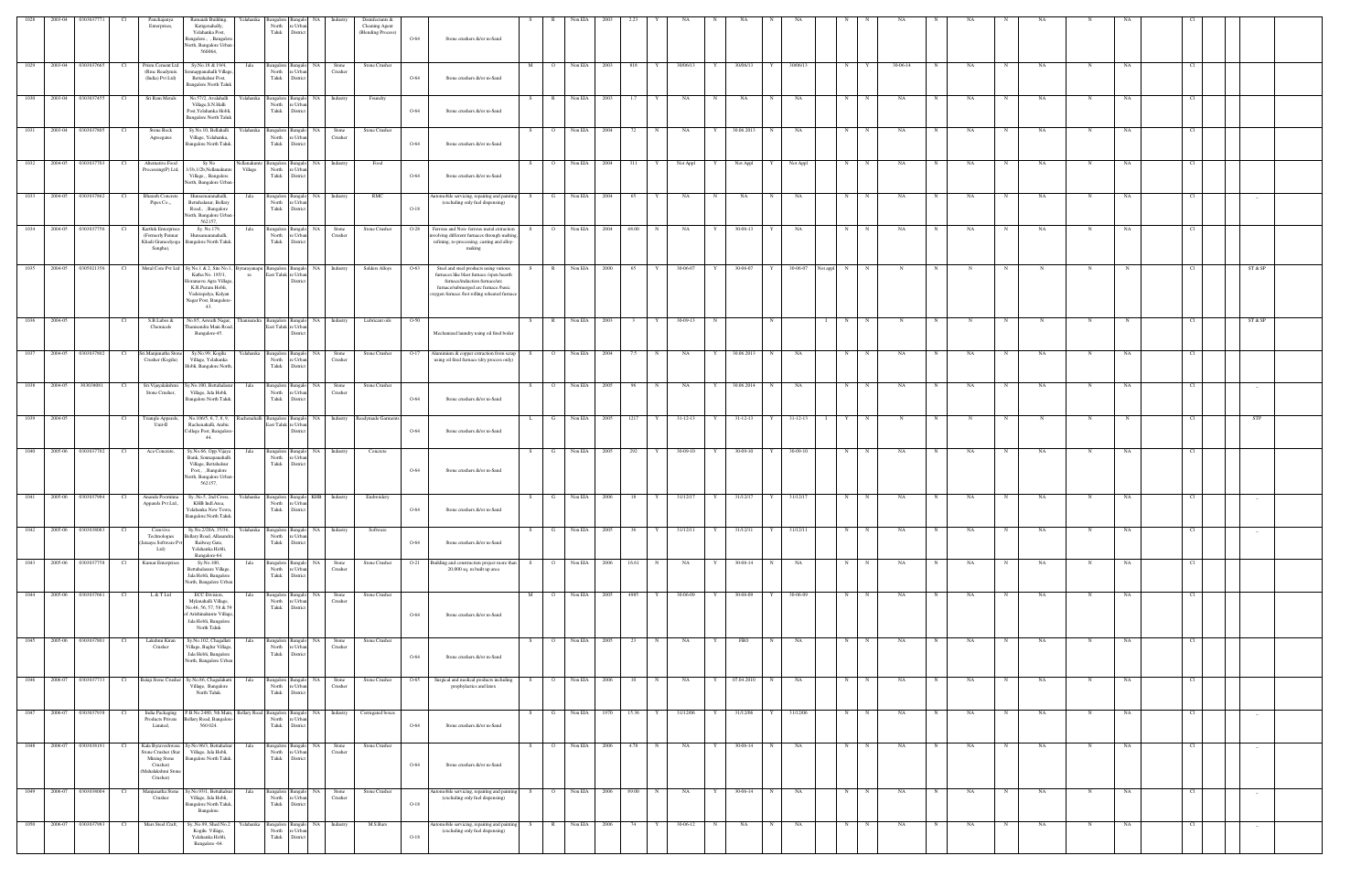| 1028 | 2003-04 | 030303             |                 | Panchajanya<br>Enterprises,                                                                                  | Ramaiah Building,<br>Katigenahally,<br>Yelahanka Post,<br>Bangalore., , Bangalor<br>North, Bangalore Urban<br>560064                             | Yelahanka              | North<br>Taluk                               | e Urb<br>District                  |                               | Disinfectants &<br>Cleaning Agent<br>(Blending Process) | O-64   | Stone crushers &/or m-Sand                                                                                                                                                                                |                       | Non EIA |      |                        |           |   |                |              |                      |   |              |          |             |    |   |           |             |    |      |                                 |  |
|------|---------|--------------------|-----------------|--------------------------------------------------------------------------------------------------------------|--------------------------------------------------------------------------------------------------------------------------------------------------|------------------------|----------------------------------------------|------------------------------------|-------------------------------|---------------------------------------------------------|--------|-----------------------------------------------------------------------------------------------------------------------------------------------------------------------------------------------------------|-----------------------|---------|------|------------------------|-----------|---|----------------|--------------|----------------------|---|--------------|----------|-------------|----|---|-----------|-------------|----|------|---------------------------------|--|
| 1029 | 2003-04 | 0303037665         | Cl              | Prism Cement Ltd<br>(Rmc Readymix<br>(India) Pvt Ltd)                                                        | Sy.No.18 & 19/4,<br>onnappanahalli Village,<br>Bettahalsur Post,<br><b>Bangalore North Taluk</b>                                                 | Jala                   | <b>Bangalore</b><br>North<br>Taluk           | NA<br>e Urb.<br>Distric            | Stone<br>Crusher              | Stone Crusher                                           | O-64   | Stone crushers &/or m-Sand                                                                                                                                                                                | M                     | Non EIA | 2003 | 818<br>Y               | 30/06/13  | Y | 30/06/13       | Y            | 30/06/13             | N |              | 30-06-14 |             | NA | N | NA        | N           | NA | Cl.  |                                 |  |
| 1030 | 2003-04 | 0303037455         | Cl              | Sri Ram Metals                                                                                               | No.57/2, Avalahalli<br>Village, S.N.Halli<br>Post, Yelahanka Hobli,<br><b>Bangalore North Taluk</b>                                              | Yelahanka              | Bangalore Bangalo<br>North<br>Taluk          | e Urb<br>Distric                   | NA Industry                   | Foundry                                                 | $O-64$ | Stone crushers &/or m-Sand                                                                                                                                                                                | S –<br>R              | Non EIA | 2003 | 1.7                    | NA        | N | NA             | N            | NA                   | N | - N          | NA       |             | NA | N | NA        | N           | NA |      |                                 |  |
| 1031 |         | 2003-04 0303037805 | Cl              | Stone Rock<br>Agreegates                                                                                     | Sy.No.10, Bellahalli<br>Village, Yelahanka,<br>Bangalore North Taluk.                                                                            | Yelahanka              | Bangalore Banga<br>North<br>Taluk            | NA<br>e Urba<br>Distric            | Stone<br>Crusher              | Stone Crusher                                           | $O-64$ | Stone crushers &/or m-Sand                                                                                                                                                                                | S<br>$\overline{O}$   | Non EIA | 2004 | 72<br>N                | NA        | Y | 30.06.2013     | N            | NA                   | N | $\mathbb N$  | NA       |             | NA | N | NA        | N           | NA | - Cl |                                 |  |
| 1032 |         | 2004-05 0303037703 | Cl              | Alternative Food<br>Processing(P) Ltd,                                                                       | Sy No<br>1/1b,1/2b,Nellanakunte<br>Village, , Bangalore<br>North, Bangalore Urban                                                                | lellanakunt<br>Village | Bangalore Bangal<br>North<br>Taluk           | re Urba<br>District                | NA Industry                   | Food                                                    | $O-64$ | Stone crushers &/or m-Sand                                                                                                                                                                                | S –<br>$\overline{O}$ | Non EIA | 2004 | 311<br>Y               | Not Appl  | Y | Not Appl       | Y I          | Not Appl             | N | $\mathbf N$  | NA       |             | NA | N | NA        | N           | NA | Cl   |                                 |  |
| 1033 | 2004-05 | 0303037862         | Cl              | <b>Bharath Concrete</b><br>Pipes Co.,,                                                                       | Hunsemaranahalli.<br>Bettahalasur, Bellary<br>Road,, Bangalore<br>North, Bangalore Urban<br>562157.                                              | Jala                   | Bangalore 1<br>North<br>Taluk                | Bangalo<br>e Urba<br>Distric       | NA Industry                   | $\rm RMC$                                               | $O-18$ | utomobile servicing, repairing and paintir<br>(excluding only fuel dispensing)                                                                                                                            | G<br>S.               | Non EIA | 2004 | 65<br>Y                | NA        | N | NA             | $_{\rm N}$   | NA                   | N | $\mathbf N$  | NA       | N           | NA | N | NA        | N           | NA | -CI  | $\sim$                          |  |
| 1034 |         | 2004-05 0303037756 | Cl              | Karthik Enterprises<br>(Formerly Pennar<br>Khadi Gramodyoga<br>Sangha),                                      | Sy. No.179,<br>Hunsamaranahalli,<br>Bangalore North Taluk.                                                                                       | Jala                   | Bangalore Bangalo<br>North<br>Taluk          | NA<br>e Urb.<br>Distric            | Stone<br>Crusher              | Stone Crusher                                           |        | O-28 Ferrous and Non-ferrous metal extraction<br>volving different furnaces through meltin<br>refining, re-processing, casting and alloy-<br>making                                                       | $\overline{O}$<br>S.  | Non EIA | 2004 | 48.00<br>N             | <b>NA</b> | Y | 30-06-13       | Y            | NA                   | N | $\mathbb N$  | NA       |             | NA | N | NA        | N           | NA |      |                                 |  |
| 1035 | 2004-05 | 0305021356         | Cl              | Metal Core Pvt Ltd                                                                                           | Sy No.1 & 2, Site No.1,<br>Katha No. 185/1,<br>Ioramavu Agra Village<br>K.R.Puram Hobli,<br>Vaderapalya, Kalyan<br>Nagar Post, Bangalore-<br>43. | 3 ytarayanapı<br>ra    | angalore Bangalo<br>East Taluk re Urba       | Distric                            | NA Industry                   | Solders Alloys                                          | O-63   | Steel and steel products using various<br>furnaces like blast furnace /open hearth<br>furnace/induction furnace/arc<br>furnace/submerged arc furnace /basic<br>xygen furnace /hot rolling reheated furnac | R                     | Non EIA | 2000 | 65                     | 30-06-07  | Y | 30-06-07       |              | 30-06-07<br>Not appl | N | N            |          |             |    |   |           |             |    |      | ST & SP                         |  |
| 1036 | 2004-05 |                    | - Cl            | S.B.Lubes &<br>Chemicals                                                                                     | No.85, Aswath Nagar,<br>hanisandra Main Road,<br>Bangalore-45.                                                                                   | hanisandra             | Bangalore Bangalo<br>East Taluk re Urba      | Distri                             | NA Industry                   | Lubricant oils                                          | $O-50$ | Mechanized laundry using oil fired boiler                                                                                                                                                                 | $\mathbb{R}$<br>S.    | Non EIA | 2003 |                        | 30-09-13  | N |                | N            |                      | N |              |          |             |    | N |           | -N          |    |      | ST & SP                         |  |
| 1037 |         | 2004-05 0303037802 | Cl              | Sri.Manjunatha Stone<br>Crusher (Kogilu)                                                                     | Sy.No.99, Kogilu<br>Village, Yelahanka<br>Hobli, Bangalore North,                                                                                | Yelahanka              | Bangalore Bangalo<br>North<br>Taluk          | ∘ Urb:<br>Distric                  | NA  <br>Stone<br>Crusher      | Stone Crusher                                           | $O-17$ | Aluminium & copper extraction from scrap<br>using oil fired furnace (dry process only)                                                                                                                    | $\overline{O}$<br>S.  | Non EIA | 2004 | 7.5<br>$_{\rm N}$      | NA        | Y | 30.06.2013     | N            | NA                   | N | $\mathbf N$  | NA       |             | NA | N | NA        | N           | NA |      |                                 |  |
| 1038 | 2004-05 | 303038081          | Cl              | Sri. Vijayalakshmi<br>Stone Crusher,                                                                         | Sy.No.100, Bettahalast<br>Village, Jala Hobli,<br>Bangalore North Taluk.                                                                         | Jala                   | Bangalore Banga<br>North<br>Taluk            | NA<br>e Urba<br>District           | Stone<br>Crusher              | Stone Crusher                                           | $O-64$ | Stone crushers &/or m-Sand                                                                                                                                                                                | $\circ$<br>S.         | Non EIA | 2005 | 96                     | NA        | Y | 30.06.2014     | $\mathbf N$  | NA                   | N |              | NA       |             | NA |   | NA        | N           | NA |      | $-$                             |  |
| 1039 | 2004-05 |                    | Cl <sub>1</sub> | Triangle Apparels,<br>Unit-II                                                                                | No.106/5, 6, 7, 8, 9, Rachenahalli Bangalore Bangalo<br>Rachenahalli, Arabic<br>College Post, Bangalore<br>44.                                   |                        | East Taluk re Urbar                          | Distric                            |                               | NA Industry Readymade Garments                          | O-64   | Stone crushers &/or m-Sand                                                                                                                                                                                | L.<br>G               | Non EIA | 2005 | 1217<br>Y              | 31-12-13  | Y | $31 - 12 - 13$ | Y I          | $31 - 12 - 13$       | Y | $_{\rm N}$   | N        |             | N  | N | N         | N           |    | -CI  | STP                             |  |
| 1040 | 2005-06 | 0303037702         | Cl              | Ace Concrete,                                                                                                | Sy.No.66, Opp.Vijaya<br>Bank, Sonnapanahalli<br>Village, Bettahalsur<br>Post,, Bangalore<br>North, Bangalore Urban<br>562157,                    | Jala                   | Bangalore<br>North<br>Taluk                  | Bangak<br>e Urb<br>Distric         | NA Industry                   | Concrete                                                | $O-64$ | Stone crushers &/or m-Sand                                                                                                                                                                                | G<br>S.               | Non EIA | 2005 | 292<br>Y               | 30-09-10  | Y | 30-09-10       |              | 30-09-10             | N | $\mathbb{N}$ | NA       | $\mathbf N$ | NA | N | <b>NA</b> | N           | NA |      |                                 |  |
| 1041 |         | 2005-06 0303037984 | Cl              | Ananda Poomima<br>Apparels Pvt Ltd.,                                                                         | Sy. No.5, 2nd Cross,<br>KHB Indl.Area,<br>Yelahanka New Town,<br>Bangalore North Taluk.                                                          | Yelahanka              | Bangalore Bangalo<br>North<br>Taluk District | e Urba                             | KHB Industry                  | Embroidery                                              | O-64   | Stone crushers &/or m-Sand                                                                                                                                                                                | G<br>S.               | Non EIA | 2006 | 18                     | 31/12/17  | Y | 31/12/17       | $\mathbf{Y}$ | 31/12/17             | N |              | NA       |             | NA |   | NA        | N           | NA |      | $\overline{\phantom{a}}$        |  |
| 1042 |         | 2005-06 0303038083 | Cl              | Comviva<br>Technologies<br>Jataayu Software Pvt<br>Ltd)                                                      | Sy.No.2/20A, 35/36,<br>Bellary Road, Allasandra<br>Railway Gate,<br>Yelahanka Hobli,<br>Bangalore-64.                                            | Yelahanka              | North<br>Taluk                               | re Urba<br>District                | Bangalore Bangalo NA Industry | Software                                                | $O-64$ | Stone crushers &/or m-Sand                                                                                                                                                                                | G<br>S.               | Non EIA | 2005 | 36<br>Y                | 31/12/11  | Y | 31/12/11       | Y I          | 31/12/11             | N | $\mathbf N$  | NA       | N           | NA | N | NA        | N           | NA | Cl   |                                 |  |
| 1043 | 2005-06 | 0303037758         | Cl              | Kumar Enterprises                                                                                            | Sy.No.100,<br>Bettahalasure Village,<br>Jala Hobli, Bangalore<br>North, Bangalore Urban                                                          | Jala                   | Bangalore Bangalo<br>North<br>Taluk          | NA<br>e Urba<br>Distric            | Stone<br>Crusher              | Stone Crusher                                           | $O-21$ | Building and construction project more than<br>20,000 sq. m built up area                                                                                                                                 | $\circ$<br>S.         | Non EIA | 2006 | 16.61<br>N             | NA        | Y | 30-06-14       | N            | NA                   | N | N            | NA       | N           | NA | N | NA        | N           | NA | Cl.  |                                 |  |
| 1044 |         | 2005-06 0303037661 | Cl              | L & T Ltd                                                                                                    | ECC Division,<br>Mylanahalli Village,<br>No.46, 56, 57, 58 & 59<br>of Arishinakunte Village,<br>Jala Hobli, Bangalore<br>North Taluk             | Jala                   | Bangalore Bangal<br>North<br>Taluk           | NA.<br>'e Urb<br>District          | Stone<br>Crusher              | Stone Crusher                                           | $O-64$ | Stone crushers &/or m-Sand                                                                                                                                                                                | M<br>$\overline{O}$   | Non EIA | 2005 | 4985                   | 30-06-09  |   | 30-06-09       |              | 30-06-09             | N | N            | NA       |             | NA | N | NA        | N           | NA | -CL  |                                 |  |
| 1045 | 2005-06 | 0303037801         | Cl              | Lakshmi Kiran<br>Crusher                                                                                     | Sy.No.102, Chagallati<br>Village, Baglur Village,<br>Jala Hobli, Bangalore<br>North, Bangalore Urban                                             | Jala                   | Bangalore Bangalo<br>North<br>Taluk          | NA<br>re Urban<br>District         | Stone<br>Crusher              | Stone Crusher                                           | O-64   | Stone crushers &/or m-Sand                                                                                                                                                                                | S.<br>$\circ$         | Non EIA | 2005 | 23<br>$_{\rm N}$       | NA        | Y | FBO            | N            | NA                   | N | $_{\rm N}$   | NA       |             | NA | N | NA        | N           | NA | Cl   |                                 |  |
| 1046 | 2006-07 | 0303037733         | Cl              | Balaji Stone Crusher                                                                                         | Sy.No.86, Chagalahatti<br>Village, Bangalore<br>North Taluk.                                                                                     | Jala                   | Bangalore Bangalo<br>North<br>Taluk          | NA<br>e Urban<br>District          | Stone<br>Crusher              | Stone Crusher                                           | O-65   | Surgical and medical products including<br>prophylactics and latex                                                                                                                                        | $\overline{O}$<br>S.  | Non EIA | 2006 | 10<br>N                | NA        | Y | 07.04.2010     | N            | NA                   | N | N            | NA       | N           | NA | N | <b>NA</b> | N           | NA | - Cl |                                 |  |
| 1047 |         | 2006-07 0303037938 | Cl              | India Packaging<br>Products Private<br>Limited,                                                              | P.B.No.2480, 5th Main, Bellary Road Bangalore Bangalo<br>sellary Road, Bangalor<br>560 024.                                                      |                        | North<br>Taluk                               | e Urb.<br>District                 |                               | NA Industry Corrugated boxes                            | $O-64$ | Stone crushers &/or m-Sand                                                                                                                                                                                | S.                    |         |      | G Non EIA 1970 15.36 Y | 31/12/06  | Y | 31/12/06       | Y 31/12/06   |                      | N | N            | NA       | N           | NA | N | NA        | $\mathbf N$ | NA | Cl   | $-$                             |  |
| 1048 | 2006-07 | 0303038191         | Cl              | Kala Byraveshwara<br>Stone Crusher (Star<br><b>Mining Stone</b><br>Crusher)<br>Mahalakshmi Stone<br>Crusher) | Sy.No.96/3, Bettahalsur<br>Village, Jala Hobli,<br>Bangalore North Taluk.                                                                        | Jala                   | Bangalore Bangalo<br>North<br>Taluk          | NA<br>re Urban<br>District         | Stone<br>Crusher              | Stone Crusher                                           | O-64   | Stone crushers &/or m-Sand                                                                                                                                                                                | $\overline{O}$<br>S.  | Non EIA | 2006 | 4.78<br>$_{\rm N}$     | NA        | Y | 30-06-14       | N            | NA                   | N | $\mathbf N$  | NA       | N           | NA | N | NA        | N           | NA | Cl   | $\sim$                          |  |
| 1049 | 2006-07 | 0303038004         | Cl              | Manjunatha Stone<br>Crusher                                                                                  | Sy.No.93/1, Bettahalsur<br>Village, Jala Hobli,<br>Bangalore North Taluk,<br>Bangalore.                                                          | Jala                   | Bangalore 1<br>North<br>Taluk                | NA<br>Bangak<br>e Urba<br>District | Stone<br>Crusher              | Stone Crusher                                           | $O-18$ | utomobile servicing, repairing and paintir<br>(excluding only fuel dispensing)                                                                                                                            | $\overline{O}$<br>S.  | Non EIA | 2006 | 89.00<br>$_{\rm N}$    | NA        | Y | 30-06-14       | $_{\rm N}$   | NA                   | N | $\mathbb N$  | NA       | N           | NA | N | NA        | N           | NA | Cl   | $\sim$                          |  |
| 1050 | 2006-07 | 0303037983         | Cl              | Mars Steel Craft,                                                                                            | SyNo.99, Shed No.2<br>Kogilu Village,<br>Yelahanka Hobli,<br>Bangalore -64.                                                                      | Yelahanka              | angalore<br>North<br>Taluk                   | sanga<br>: Urb<br>Distric          | Industry                      | M.S.Bars                                                | $O-18$ | tomobile servicing, repairing and painti<br>(excluding only fuel dispensing)                                                                                                                              |                       | Non EIA | 2006 |                        | 30-06-12  |   | NA             |              | NA                   | N |              | NA       |             | NA | N | NA        |             | NA |      | $\hspace{0.1mm}-\hspace{0.1mm}$ |  |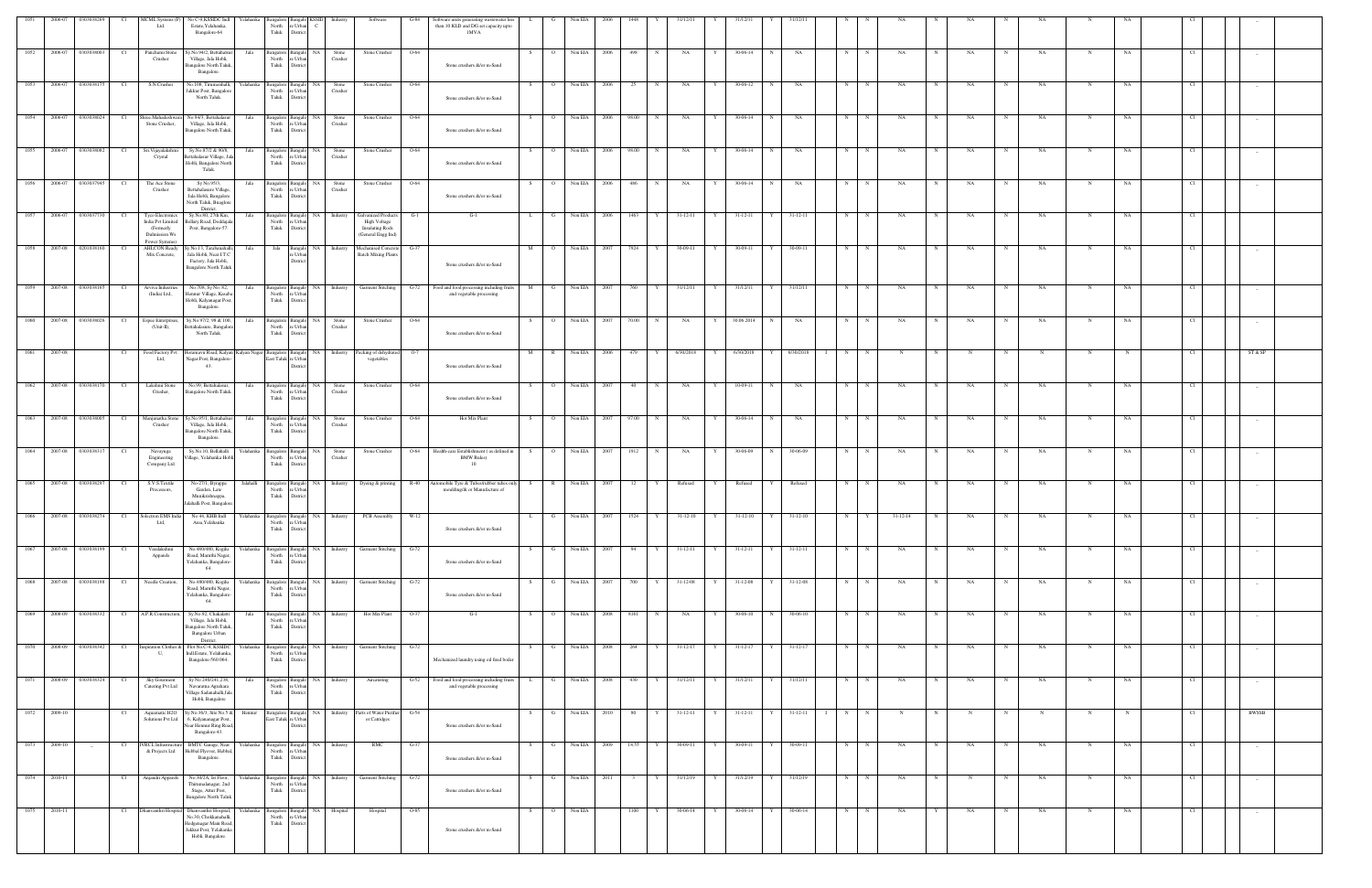|              | 2006-07            | 0303038269              |                 | MCML Systems (P)<br>Ltd.                                                | No C-9, KSSIDC Indl<br>Yelahanka<br>Estate, Yelahanka,<br>Bangalore-64                                                                              | North                                                 | Bangalore Bangalo KSSID<br>re Urban<br>Taluk District    | Industry                                        | Software                                                                | G-84   | Software units generating wastewater less<br>than 10 KLD and DG set capacity upto<br><b>IMVA</b>                               | . L.         |                | Non EIA        |                                                        | 1448    |              |                |   |                |             | 1/12/1         |                   |             |                        |             |           |             |            |             |           |                 |                                 |  |
|--------------|--------------------|-------------------------|-----------------|-------------------------------------------------------------------------|-----------------------------------------------------------------------------------------------------------------------------------------------------|-------------------------------------------------------|----------------------------------------------------------|-------------------------------------------------|-------------------------------------------------------------------------|--------|--------------------------------------------------------------------------------------------------------------------------------|--------------|----------------|----------------|--------------------------------------------------------|---------|--------------|----------------|---|----------------|-------------|----------------|-------------------|-------------|------------------------|-------------|-----------|-------------|------------|-------------|-----------|-----------------|---------------------------------|--|
|              |                    | 1052 2006-07 0303038003 | Cl              | Panchami Stone<br>Crusher                                               | Sy.No.94/2, Bettahalsur<br>Jala<br>Village, Jala Hobli,<br>Bangalore North Taluk,<br>Bangalore.                                                     |                                                       | North re Urban<br>Taluk District                         | Bangalore Bangalo NA Stone<br>Crusher           | Stone Crusher                                                           | $O-64$ | Stone crushers &/or m-Sand                                                                                                     | S            | $\overline{O}$ | Non EIA 2006   |                                                        | 498     | N            | NA NA          | Y | 30-06-14       | N           | NA             | N                 | N           | <b>NA</b>              | N           | <b>NA</b> | N           | <b>NA</b>  | N           | NA        | Cl <sub>1</sub> |                                 |  |
| 1053         |                    | 2006-07 0303038175      | Cl              | S.N.Crusher                                                             | No.108, Tirumenhalli<br>relahanka<br>Jakkur Post, Bangalore<br>North Taluk.                                                                         |                                                       | Bangalore Bangalo NA<br>North re Urban<br>Taluk District | Stone<br>Crusher                                | Stone Crusher                                                           | $O-64$ | Stone crushers &/or m-Sand                                                                                                     | S.           | $\overline{O}$ | Non EIA 2006   |                                                        | 25      | N            | NA             | Y | 30-06-12       | $_{\rm N}$  | NA             | N                 | N           | <b>NA</b>              | N           | NA        | N           | NA         | N           | NA        | Cl              |                                 |  |
| 1054         |                    | 2006-07 0303038024      | Cl              | Stone Crusher,                                                          | Shree.Mahadeshwara No.94/3, Bettahalasur<br>Jala<br>Village, Jala Hobli,<br>Bangalore North Taluk.                                                  |                                                       | Bangalore Bangalo NA<br>North re Urban<br>Taluk District | Stone<br>Crusher                                | Stone Crusher                                                           | O-64   | Stone crushers &/or m-Sand                                                                                                     | S.           | $\overline{O}$ | Non EIA        | 2006                                                   | 98.00   | N            | NA             | Y | 30-06-14       | N           | NA             | N                 | N           | NA                     | N           | NA        | N           | NA         | $\mathbf N$ | NA        | Cl              |                                 |  |
| 1055         |                    | 2006-07 0303038082      | Cl              | Sri. Vijayalakshmi<br>Crystal                                           | Sy.No.87/2 & 90/8,<br>Jala<br>Bettahalasur Village, Ja<br>Hobli, Bangalore North                                                                    |                                                       | North re Urban<br>Taluk District                         | Bangalore Bangalo NA Stone<br>Crusher           | Stone Crusher                                                           | $O-64$ | Stone crushers &/or m-Sand                                                                                                     | S.           | $\overline{O}$ | Non EIA 2006   |                                                        | 98.00 N |              | <b>NA</b>      | Y | 30-06-14       | N           | NA             | N                 | N           | NA                     | N           | NA        | N           | NA         | N           | NA        | - Cl            |                                 |  |
| 1056         |                    | 2006-07 0303037945      | - Cl            | The Ace Stone<br>Crusher                                                | Taluk.<br>Sy No.95/3,<br>Jala<br>Bettahalasure Village,<br>Jala Hobli, Bangalore                                                                    |                                                       | Bangalore Bangalo NA<br>North re Urban<br>Taluk District | Stone<br>Crusher                                | Stone Crusher                                                           | O-64   | Stone crushers &/or m-Sand                                                                                                     | - S          | $\overline{O}$ | Non EIA        | 2006                                                   | 486     | $\mathbb{N}$ | NA             | Y | 30-06-14       |             | NA             | N                 | N           | NA                     |             | NA        |             | NA         | N           | NA        | - Cl            |                                 |  |
| 1057         |                    | 2006-07 0303037730      |                 | Tyco Electronics<br>India Pvt Limited<br>(Formerly                      | North Taluk, Bnaglore<br>District.<br>Sy.No.80, 27th Km,<br>Jala<br>Bellary Road, Doddajala<br>Post, Bangalore-57.                                  |                                                       | North re Urban<br>Taluk District                         | Bangalore Bangalo NA Industry                   | <b>Galvanized Products</b><br>High Voltage<br><b>Insulating Rods</b>    | $G-1$  | G-1                                                                                                                            | $\mathbf{L}$ | G              | Non EIA        | - 2006                                                 | 1463    |              | 31-12-11       | Y | 31-12-11       |             | $31 - 12 - 11$ | N                 | $_{\rm N}$  | NA                     | N           | NA        | N           | NA         | N           | NA        | Cl              |                                 |  |
|              |                    | 1058 2007-08 0201038160 | - Cl            | Dulmission Ws<br>Power Systems)<br><b>AHLCON Ready</b><br>Mix Concrete, | Sy.No.13, Tarabanahalli,<br>Jala<br>Jala Hobli, Near I.T.C                                                                                          |                                                       | re Urban                                                 | Jala Bangalo NA Industry                        | (General Engg Ind)<br>Mechanised Concrete<br><b>Batch Mixing Plants</b> | $G-37$ |                                                                                                                                | M            | $\overline{O}$ | Non EIA        | 2007                                                   | 7924    | Y            | 30-09-11       | Y | 30-09-11       |             | 30-09-11       | N                 | N           | NA.                    |             | NA        | N           | NA         | N           | NA        | Cl              |                                 |  |
|              |                    | 1059 2007-08 0303038165 | Cl <sub>1</sub> | Arviva Industries                                                       | Factory, Jala Hobli,<br><b>Bangalore North Taluk</b><br>No.708, Sy No. 82,<br>Jala                                                                  |                                                       | District                                                 |                                                 |                                                                         |        | Stone crushers &/or m-Sand<br>Bangalore Bangalo NA Industry Garment Stitching G-72 Food and food processing including fruits   | M            | G              | Non EIA 2007   |                                                        | 760     | Y            | 31/12/11       | Y | 31/12/11       |             | 31/12/11       | N                 | N           | <b>NA</b>              |             | NA        | N           | NA         | N           | NA        | - Cl            |                                 |  |
| 1060         |                    | 2007-08 0303038026      | Cl              | (India) Ltd.,<br>Espee Enterprises,                                     | Hennur Village, Kasaba<br>Hobli, Kalyanagar Post,<br>Bangalore.<br>Sy.No.97/2, 98 & 100,<br>Jala                                                    | North re Urban<br>Taluk District                      | Bangalore Bangalo NA Stone                               |                                                 | Stone Crusher                                                           | O-64   | and vegetable processing                                                                                                       | S            | $\overline{O}$ | Non EIA 2007   |                                                        | 70.00 N |              | NA             | Y | 30.06.2014     | N           | NA             | N                 | $_{\rm N}$  | NA                     | N           | NA        | N           | NA         | N           | NA        | Cl              |                                 |  |
| 1061         | 2007-08            |                         | Cl              | $(Unit-II),$                                                            | Bettahalasure, Bangalor<br>North Taluk.<br>Food Factory Pvt. Horamavu Road, Kalyan Kalyan Nagar Bangalore Bangalo NA Industry Packing of dehydrated |                                                       | North re Urban<br>Taluk District                         | Crusher                                         |                                                                         | $O-7$  | Stone crushers &/or m-Sand                                                                                                     | M            | R              | Non EIA 2006   |                                                        | 479     | Y            | 6/30/2018 Y    |   | 6/30/2018      | Y           | 6/30/2018      | N<br>$\mathbf{I}$ | N           | N                      | N           | N         | N           | N          | N           |           | Cl <sub>1</sub> | ST & SP                         |  |
|              |                    |                         |                 | Ltd,                                                                    | Nagar Post, Bangalore-<br>43.                                                                                                                       | East Taluk re Urban                                   | District                                                 |                                                 | vegetables                                                              |        | Stone crushers &/or m-Sand                                                                                                     |              |                |                |                                                        |         |              |                |   |                |             |                |                   |             |                        |             |           |             |            |             |           |                 |                                 |  |
|              |                    | 1062 2007-08 0303038170 | Cl              | Lakshmi Stone<br>Crusher,                                               | No.99, Bettahalasur,<br>Jala<br>Bangalore North Taluk.                                                                                              |                                                       | North re Urban<br>Taluk District                         | Crusher                                         | Bangalore Bangalo NA Stone Stone Crusher 0-64                           |        | Stone crushers &/or m-Sand                                                                                                     | S            |                | O Non EIA 2007 |                                                        | 40 N    |              | NA             | Y | 10-09-11       | N           | <b>NA</b>      |                   | $N$ N       | NA                     | N           | NA        | N           | NA         | N           | NA        | Cl              |                                 |  |
| 1063         |                    | 2007-08 0303038005      | Cl              | Crusher                                                                 | Manjunatha Stone Sy.No.95/1, Bettahalsur<br>Jala<br>Village, Jala Hobli,<br>Bangalore North Taluk,<br>Bangalore.                                    |                                                       | North re Urban<br>Taluk District                         | Bangalore Bangalo NA Stone<br>Crusher           | Stone Crusher                                                           | O-64   | Hot Mix Plant                                                                                                                  | S.           | $\overline{O}$ | Non EIA 2007   |                                                        | 97.00   | N            | NA             | Y | 30-06-14       | N           | NA             | N                 | N           | <b>NA</b>              | N           | NA        | N           | NA         | N           | NA        | Cl              |                                 |  |
| 1064         |                    | 2007-08 0303038317      | - Cl            | Navayuga<br>Engineering<br>Company Ltd                                  | Sy.No.10, Bellahalli<br>Village, Yelahanka Hobli                                                                                                    |                                                       | North re Urban<br>Taluk District                         | Yelahanka Bangalore Bangalo NA Stone<br>Crusher | Stone Crusher                                                           |        | O-64 Health-care Establishment (as defined in<br><b>BMW Rules</b> )<br>10                                                      | S            | $\overline{O}$ | Non EIA 2007   |                                                        | 1912    | N            | NA             | Y | 30-06-09       |             | 30-06-09       | N                 | N           | NA                     |             | NA        | N           | NA         | N           | NA        | Cl              |                                 |  |
| 1065         | 2007-08 0303038297 |                         | - CI            | S.V.S.Textile<br>Processors,                                            | No-27/1, Byrappa<br>Jalahalli<br>Garden, Late<br>Munikrishnappa,<br>Jalahalli Post, Bangalore.                                                      | Taluk District                                        | North re Urban                                           |                                                 |                                                                         |        | Bangalore Bangalo NA Industry Dyeing & printing R-40 Automobile Tyre & Tubes/rubber tubes only<br>moulding/& or Manufacture of | S            | $\mathbb{R}$   | Non EIA 2007   |                                                        | 12      | Y            | Refused        | Y | Refused        | Y           | Refused        | N                 | N           | NA                     | N           | NA        | N           | NA 1       | N           | NA        | Cl              |                                 |  |
|              |                    |                         |                 | Ltd,                                                                    | 1066 2007-08 0303038274 Cl Solectron EMS India No 44, KHB Indl Yelahanka Bangalore Bangalo NA Industry PCB Assembly W-12<br>Area, Yelahanka         |                                                       | North re Urban<br>Taluk District                         |                                                 |                                                                         |        | Stone crushers &/or m-Sand                                                                                                     |              |                |                | 1 G Non FIA 2007 1524 Y 31-12-10 Y 31-12-10 Y 31-12-10 |         |              |                |   |                |             |                |                   |             | $N$ $Y$ $31.12.14$ $N$ |             | $N\Delta$ |             | $N \Delta$ |             | $N\Delta$ |                 |                                 |  |
|              | 2007-08            | 0303038199              | Cl              | Varalakshmi<br>Apparels                                                 | No.480/480, Kogilu<br>Yelahanka<br>Road, Maruthi Nagar,<br>Yelahanka, Bangalore-<br>64.                                                             | Bangalore Bangalo<br>North re Urbar<br>Taluk District | NA                                                       | Industry                                        | <b>Garment Stitching</b>                                                | $G-72$ | Stone crushers &/or m-Sand                                                                                                     | S.           | G              | Non EIA        | 2007                                                   | 94      | Y            | $31 - 12 - 11$ | Y | $31 - 12 - 11$ |             | $31 - 12 - 11$ | N                 |             | NA                     |             | NA        |             | NA         | N           | NA        | <b>CI</b>       |                                 |  |
| 1068         |                    | 2007-08 0303038198      | - Cl            | Needle Creation,                                                        | No.480/480, Kogilu<br>relahanka<br>Road, Maruthi Nagar,<br>Yelahanka, Bangalore-<br>64.                                                             | Taluk                                                 | Bangalore Bangalo NA<br>North re Urban<br>District       |                                                 | Industry Garment Stitching                                              | $G-72$ | Stone crushers &/or m-Sand                                                                                                     | S .          | G              | Non EIA 2007   |                                                        | 700     | Y            | 31-12-08       | Y | $31 - 12 - 08$ | Y           | 31-12-08       | N                 | N           | NA                     | N           | NA        | N           | NA         | N           | NA        | Cl              |                                 |  |
|              |                    | 1069 2008-09 0303038332 | Cl              | A.P.R.Construction,                                                     | Sy.No.92, Chakalatti<br>Jala<br>Village, Jala Hobli,<br><b>Bangalore North Taluk</b><br>Bangalore Urban                                             | North<br>Taluk                                        | Bangalore Bangalo<br>NA 1<br>re Urba<br>District         | Industry                                        | Hot Mix Plant                                                           | $O-37$ | $G-1$                                                                                                                          |              | $\overline{O}$ | Non EIA 2008   |                                                        | 8161    | N            | NA             | Y | 30-06-10       | $\mathbf N$ | 30-06-10       | N                 | $\mathbf N$ | NA                     | $\mathbf N$ | NA        | N           | NA         | N           | NA        | Cl              |                                 |  |
| 1070         |                    | 2008-09 0303038342      | - Cl            | Inspiration Clothes &<br>U.                                             | District.<br>Plot No.C-4, KSSIDC<br>Yelahanka<br>Indl.Estate, Yelahanka<br>Bangalore-560 064.                                                       | Taluk District                                        | NA<br>Bangalore Bangalo<br>North re Urban                | Industry                                        | <b>Garment Stitching</b>                                                | $G-72$ | Mechanized laundry using oil fired boiler                                                                                      | - S          | G              | Non EIA        | 2008                                                   | 264     | Y            | $31 - 12 - 17$ | Y | $31 - 12 - 17$ |             | $31-12-17$     | N                 | N           | NA                     | $_{\rm N}$  | NA        |             | NA         | N           | NA        | Cl              | $\hspace{0.1mm}-\hspace{0.1mm}$ |  |
| 1071         |                    | 2008-09 0303038324      | - Cl            | Sky Gourment<br>Catering Pvt Ltd                                        | Sy No 240/241,238,<br>Jala<br>Navaratna Agrahara<br>Village Sadanahalli, Jala<br>Hobli, Bangalore                                                   | Taluk District                                        | Bangalore Bangalo<br>NA<br>North re Urban                | Industry                                        | Aircatering                                                             | $G-52$ | Food and food processing including fruits<br>and vegetable processing                                                          |              | G              | Non EIA        | 2008                                                   | 430     |              | 31/12/11       | Y | 31/12/11       |             | 31/12/11       | N                 | N           | NA                     |             | NA        | N           | NA         | N           | NA        | Cl              |                                 |  |
| 1072         | 2009-10            |                         |                 | Aquamatic H2O<br>Solutions Pvt Ltd                                      | y.No.36/3, Site No.5 &<br>Hennur<br>6, Kalyananagar Post,<br>Vear Hennur Ring Road<br>Bangalore-43.                                                 | East Taluk re Urbar                                   | Bangalore Bangalo NA<br>District                         | Industry                                        | Parts of Water Purifier<br>or Catridges                                 | G-54   | Stone crushers &/or m-Sand                                                                                                     | S.           |                | Non EIA        | - 2010                                                 | 80      |              | 31-12-11       | Y | 31-12-11       |             | $31 - 12 - 11$ | N                 |             |                        |             |           |             | N          | N           |           | Cl              | BWSSB                           |  |
| 1073 2009-10 |                    | $\sim$                  | Cl              | & Projects Ltd                                                          | IVRCL Infrastructure BMTC Garage, Near<br>Yelahanka<br>Hebbal Flyover, Hebbal<br>Bangalore.                                                         | Bangalore Bangalo<br>North<br>Taluk                   | re Urba<br>District                                      | NA Industry                                     | RMC                                                                     | $G-37$ | Stone crushers &/or m-Sand                                                                                                     | S.           | $\mathbf{G}$   | Non EIA 2009   |                                                        | 14.55   |              | 30-09-11       | Y | 30-09-11       |             | 30-09-11       | N                 | $_{\rm N}$  | NA                     | N           | NA        | N           | NA         | N           | NA        | Cl              |                                 |  |
| 1074         | 2010-11            |                         | Cl              | Anjandri Apparel                                                        | No.30/2A, Ist Floor,<br>Yelahanka<br>Thirumalanagar, 2nd<br>Stage, Attur Post,<br><b>Bangalore North Taluk</b>                                      | Bangalore Bangalo<br>North re Urbar<br>Taluk          | NA 1<br>District                                         | Industry                                        | <b>Garment Stitching</b>                                                | $G-72$ | Stone crushers &/or m-Sand                                                                                                     | S.           | $\mathbf{G}$   | Non EIA 2011   |                                                        |         | Y            | 31/12/19       | Y | 31/12/19       |             | 31/12/19       | N                 |             | NA                     |             |           | $\mathbf N$ | NA         | N           | NA        | Cl              |                                 |  |
| 1075         | 2010-11            |                         | Cl              | Dhanvanthri Hospit                                                      | Dhanvanthri Hospital,<br>Yelahanka<br>No.30, Chokkanahalli,<br>Iedgenagar Main Road<br>Jakkur Post, Yelahanka                                       | Taluk                                                 | Bangalore Bangalo NA<br>North re Urbar<br>District       | Hospital                                        | Hospital                                                                | O-85   | Stone crushers &/or m-Sand                                                                                                     | S            | $\overline{O}$ | Non EIA        |                                                        | 1100    | Y            | 30-06-14       | Y | 30-06-14       |             | 30-06-14       | N                 | N           | NA                     | Y           | NA        | N           | NA         | N           | NA        | Cl <sub>1</sub> |                                 |  |
|              |                    |                         |                 |                                                                         | Hobli, Bangalore.                                                                                                                                   |                                                       |                                                          |                                                 |                                                                         |        |                                                                                                                                |              |                |                |                                                        |         |              |                |   |                |             |                |                   |             |                        |             |           |             |            |             |           |                 |                                 |  |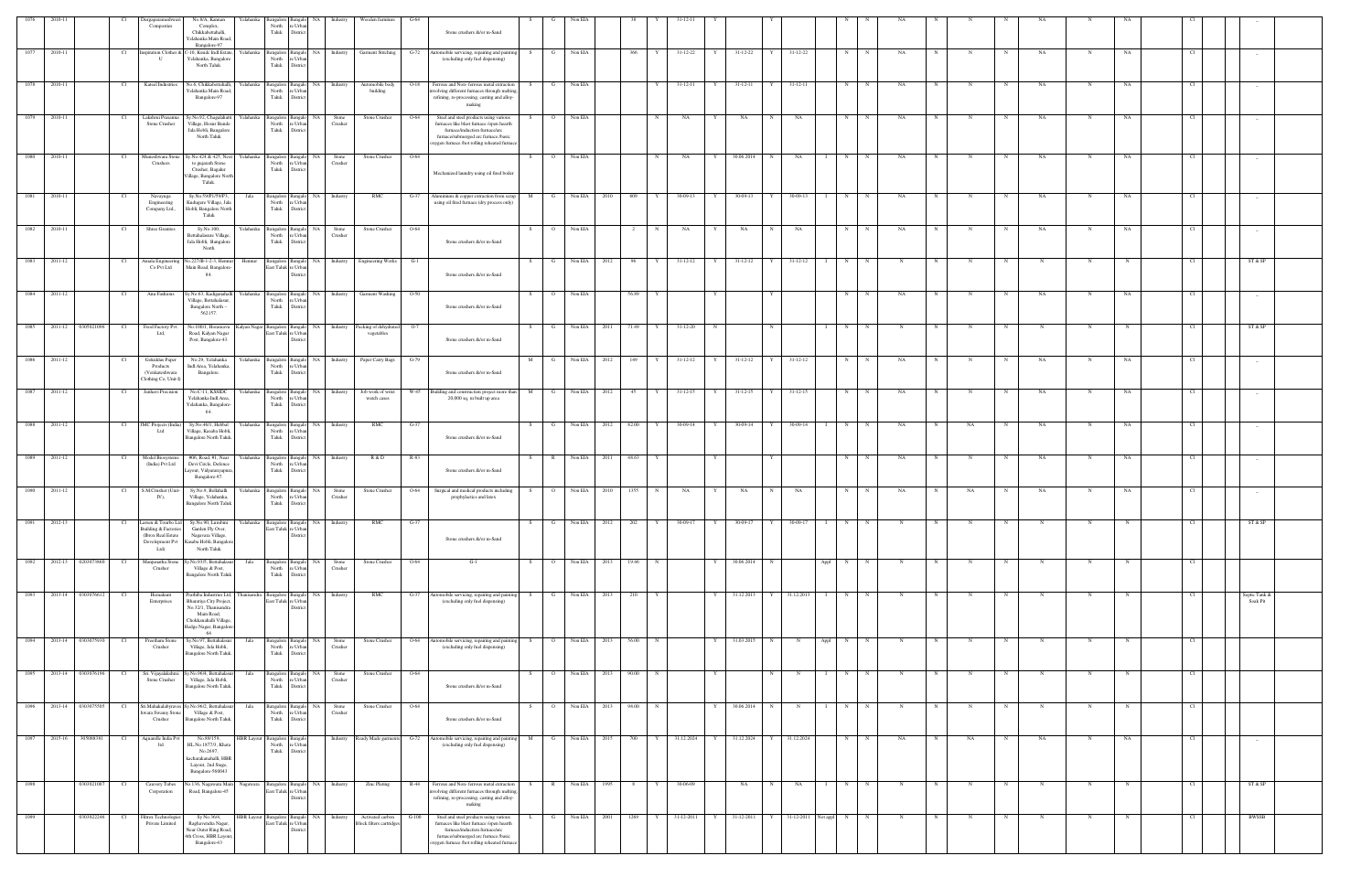| 1076    | 2010-11      |                               |      | Durgaparameshwari                                                                                      | No.8/A, Kannan                                                                                                                             | Yelahanka   | Bangalore<br>Bangalo                                                  | NA                    | Industry            | Wooden furniture                                    | G-64                                                                                                                                                                                                                 |     |                |         |              |             |                |   |                |              |                     |                   |              |            |   |    |             |             |             |     |      |                           |  |
|---------|--------------|-------------------------------|------|--------------------------------------------------------------------------------------------------------|--------------------------------------------------------------------------------------------------------------------------------------------|-------------|-----------------------------------------------------------------------|-----------------------|---------------------|-----------------------------------------------------|----------------------------------------------------------------------------------------------------------------------------------------------------------------------------------------------------------------------|-----|----------------|---------|--------------|-------------|----------------|---|----------------|--------------|---------------------|-------------------|--------------|------------|---|----|-------------|-------------|-------------|-----|------|---------------------------|--|
|         |              |                               |      | Composties                                                                                             | Complex,<br>Chikkabettahalli,<br>Yelahanka Main Road<br>Bangalore-97                                                                       |             | North<br>: Urbs<br>Taluk<br>Distric                                   |                       |                     |                                                     | Stone crushers &/or m-Sand                                                                                                                                                                                           |     |                |         |              |             |                |   |                |              |                     |                   |              |            |   |    |             |             |             |     |      |                           |  |
| 1077    | 2010-11      |                               | - Cl | Inspiration Clothes &<br>$\mathbf{U}$                                                                  | C-10, Kssidc Indl.Estate.<br>Yelahanka, Bangalore<br>North Taluk.                                                                          | Yelahanka   | Bangalore<br>Bangal<br>North<br>e Urban<br>Taluk<br>District          | <b>NA</b>             | Industry            | <b>Garment Stitching</b>                            | $G-72$<br>Automobile servicing, repairing and paintir<br>(excluding only fuel dispensing)                                                                                                                            |     |                | Non EIA |              | 366         | 31-12-22       | Y | 31-12-22       |              | 31-12-22            | N                 |              | NA         |   |    |             | NA          | $\mathbf N$ | NA  |      |                           |  |
| $-1078$ | 2010-11      |                               | - Cl | Kateel Industries                                                                                      | No.6, Chikkabettahalli,<br>Yelahanka Main Road<br>Bangalore-97                                                                             | Yelahanka   | Bangalore<br><b>Bangalo</b><br>North<br>e Urbar<br>Taluk<br>District  | NA                    | Industry            | Automobile body<br>building                         | Ferrous and Non- ferrous metal extraction<br>$O-18$<br>volving different furnaces through melting,<br>refining, re-processing, casting and alloy-                                                                    | - S | G              | Non EIA |              | Y           | $31 - 12 - 11$ | Y | 31-12-11       | Y            | 31-12-11            | N                 |              | NA         |   |    |             | NA          |             | NA  |      |                           |  |
| 1079    | 2010-11      |                               | Cl   | Lakshmi Prasanna<br>Stone Crusher                                                                      | Sy.No.92, Chagalahatti<br>Village, Hosur Bande                                                                                             | Yelahanka   | Bangalore<br><b>Bangalo</b><br>North<br>e Urbar                       | <b>NA</b>             | Stone<br>Crusher    | Stone Crusher                                       | making<br>Steel and steel products using various<br>O-64<br>furnaces like blast furnace /open hearth                                                                                                                 |     | $\overline{O}$ | Non EIA |              | $\mathbf N$ | NA             | Y | NA             | N            | NA                  | N                 |              | NA         |   |    | $_{\rm N}$  | NA          | N           | NA  |      |                           |  |
|         |              |                               |      |                                                                                                        | Jala Hobli, Bangalore<br>North Taluk                                                                                                       |             | Taluk<br>District                                                     |                       |                     |                                                     | furnace/induction furnace/arc<br>furnace/submerged arc furnace /basic<br>oxygen furnace /hot rolling reheated furnac                                                                                                 |     |                |         |              |             |                |   |                |              |                     |                   |              |            |   |    |             |             |             |     |      |                           |  |
| 1080    | 2010-11      |                               | Cl   | Muneshwara Stone<br>Crushers                                                                           | Sy.No.424 & 425, Next<br>to gujarath Stone<br>Crusher, Bagalur<br>Village, Bangalore North<br>Taluk.                                       | Yelahanka   | Bangalore<br><b>Bangalo</b><br>North<br>e Urbar<br>Taluk<br>District  | NA                    | Stone<br>Crusher    | Stone Crusher                                       | $O-64$<br>Mechanized laundry using oil fired boiler                                                                                                                                                                  | S.  | $\overline{O}$ | Non EIA |              | N           | NA             | Y | 30.06.2014     | N            | NA                  | N                 | N            | NA         |   |    |             | NA          | N           | NA  |      |                           |  |
| 1081    | 2010-11      |                               | Cl   | Navayuga<br>Engineering<br>Company Ltd.,                                                               | Sy.No.59/P1/59/P3,<br>Kudugere Village, Jala<br>Hobli, Bangalore North<br>Taluk                                                            | Jala        | Bangalore<br>North<br>e Urbar<br>Taluk<br>District                    | Bangalo NA            | Industry            | RMC                                                 | $G-37$<br>Aluminium & copper extraction from scrap<br>using oil fired furnace (dry process only)                                                                                                                     | M   | $\mathbf{G}$   | Non EIA | 2010         | 609<br>Y    | 30-09-13       | Y | 30-09-13       | Y            | 30-09-13            | N                 |              | NA         |   |    | $\mathbf N$ | NA          | N           | NA  |      |                           |  |
| 1082    | 2010-11      |                               | - Cl | <b>Shree Granites</b>                                                                                  | Sv.No.100.<br>Bettahalasure Village,<br>Jala Hobli, Bangalore<br>North                                                                     | Yelahanka   | Bangalore<br>Bangalo<br>North<br>: Urba<br>Taluk<br>Distric           | - NA                  | Stone<br>Crusher    | Stone Crusher                                       | O-64<br>Stone crushers &/or m-Sand                                                                                                                                                                                   | -S- | $\Omega$       | Non EIA |              | N           | NA             | Y | NA             |              | NA                  | N                 |              | NA         |   |    |             | NA          | N           | NA  |      | $\sim$                    |  |
|         | 1083 2011-12 |                               | Cl   | Amala Engineering<br>Co Pvt Ltd                                                                        | No.227/B-1-2-3, Hennur<br>Main Road, Bangalore-<br>84.                                                                                     | Hennur      | East Taluk<br>re Urbar<br><b>Distric</b>                              |                       |                     | Bangalore Bangalo NA Industry Engineering Works     | $G-1$<br>Stone crushers &/or m-Sand                                                                                                                                                                                  | S.  | G              | Non EIA | 2012         | 96<br>Y     | 31-12-12       | Y | $31 - 12 - 12$ | $\mathbf{Y}$ | 31-12-12            | N                 | N            | N          |   |    | $_{\rm N}$  |             | $\mathbf N$ |     |      | ST & SP                   |  |
| 1084    | 2011-12      |                               | Cl   | Anu Fashions                                                                                           | y.No.63, Kadiganahalli<br>Village, Bettahalasur.<br>Bangalore North -                                                                      | Yelahanka   | Bangalore<br>Bangalo<br>North<br>e Urban<br>Taluk<br>District         | NA 1                  | Industry            | <b>Garment Washing</b>                              | $O-50$<br>Stone crushers &/or m-Sand                                                                                                                                                                                 | S.  | $\overline{O}$ | Non EIA |              | 56.89       |                | Y |                | Y            |                     | N                 | N            | NA         |   | N  | N           | NA.         | N           | NA  | - Cl | $-$                       |  |
| 1085    | 2011-12      | 0305021096                    | Cl   | Food Factory Pvt.<br>Ltd,                                                                              | 562157.<br>No.100/1, Horamavu<br>Road, Kalyan Nagar<br>Post, Bangalore-43.                                                                 |             | Kalyan Nagar Bangalore<br>East Taluk re Urban<br>Distric              | Bangalo NA            | Industry            | Packing of dehydrated<br>vegetables                 | $O-7$<br>Stone crushers &/or m-Sand                                                                                                                                                                                  | S   | G              | Non EIA | 2011         | 71.49<br>Y  | $31 - 12 - 20$ | N |                | N            |                     | $\mathbf{I}$<br>N | N            | N          | N | N  | N           | $\mathbf N$ | $\mathbf N$ | N   | Cl   | ST & SP                   |  |
| 1086    | 2011-12      |                               | Cl   | Gokuldas Paper<br>Products                                                                             | No.29, Yelahanka<br>Indl.Area, Yelahanka,                                                                                                  |             | Yelahanka Bangalore<br>North<br>e Urba                                |                       | Bangalo NA Industry | Paper Carry Bags                                    | $G-79$                                                                                                                                                                                                               | M   | G              |         | Non EIA 2012 | 149<br>Y    | $31 - 12 - 12$ | Y | $31 - 12 - 12$ | Y            | $31 - 12 - 12$      | N                 | $\mathbb{N}$ | NA         | N | N  | N           | NA.         | N           | NA  | -Cl  | $-$                       |  |
| 1087    | 2011-12      |                               | Cl   | (Venkateshwara<br>Clothing Co, Unit-I<br>Janhavi Precision                                             | Bangalore.<br>No.C-11, KSSIDC                                                                                                              |             | Taluk<br>Distric<br>Yelahanka Bangalore Bangalo                       | NA I                  | Industry            | Job work of wrist                                   | Stone crushers &/or m-Sand<br>W-45 Building and construction project more than                                                                                                                                       | M   | G              | Non EIA | 2012         | 45<br>Y     | $31 - 12 - 15$ |   | $Y = 31-12-15$ |              | Y 31-12-15          | N                 | N            | NA         | N | N  | N           | NA          | N           | NA  | CL.  | $\sim$                    |  |
| $-1088$ | 2011-12      |                               |      | JMC Projects (India                                                                                    | Yelahanka Indl.Area,<br>Yelahanka, Bangalore-<br>64.<br>Sy.No.46/1, Hebbal                                                                 | Yelahanka   | North<br>e Urbar<br>Taluk<br>Distric<br>Bangalore<br>langal           | NA                    | Industry            | watch cases<br>RMC                                  | 20,000 sq. m built up area<br>G-37                                                                                                                                                                                   |     |                | Non EIA | 2012         | 82.00       | 30-09-14       |   | 30-09-14       |              | 30-09-14            | N                 |              | NA         |   | NA |             | NA          |             |     |      |                           |  |
|         |              |                               |      | Ltd                                                                                                    | Village, Kasaba Hobli,<br>Bangalore North Taluk.                                                                                           |             | North<br>e Urba<br>Taluk<br>District                                  |                       |                     |                                                     | Stone crushers &/or m-Sand                                                                                                                                                                                           |     |                |         |              |             |                |   |                |              |                     |                   |              |            |   |    |             |             |             |     |      |                           |  |
| 1089    | 2011-12      |                               | - Cl | Model Biosystems<br>(India) Pvt Ltd                                                                    | #06, Road, #1, Near<br>Devi Circle, Defence<br>ayout, Vidyaranyapura.<br>Bangalore-97.                                                     | Yelahanka   | Bangalore<br>langal<br>North<br>: Urba<br>Taluk<br>Distric            | NA                    | Industry            | R & D                                               | R-83<br>Stone crushers &/or m-Sand                                                                                                                                                                                   | S.  | – R            | Non EIA | 2011         | 48.63       |                | Y |                |              |                     | N                 |              | NA         |   | N  | N           | NA          | -N          | NA  |      | $-$                       |  |
|         | 1090 2011-12 |                               | Cl   | S.M.Crusher (Unit-<br>IV),                                                                             | Sy.No.9, Bellahalli<br>Village, Yelahanka,<br><b>Bangalore North Taluk</b>                                                                 | Yelahanka   | Bangalore<br>Bangalo<br>North<br>e Urba<br>Taluk<br>Distric           | <b>NA</b>             | Stone<br>Crusher    | Stone Crusher                                       | $O-64$<br>Surgical and medical products including<br>prophylactics and latex                                                                                                                                         | S.  | $\overline{O}$ | Non EIA | 2010         | 1355<br>N   | NA             | Y | NA             |              | NA                  | N                 |              | NA         |   | NA | $\mathbf N$ | NA          |             | NA  |      |                           |  |
| 1091    | 2012-13      |                               | - CI | Larsen & Tourbo Ltd<br><b>Building &amp; Factories</b><br>(Ibrox Real Estate<br>Development Pvt<br>Ltd | Sy.No.90, Lumbini<br>Garden Fly Over,<br>Nagavara Village,<br>Kasaba Hobli, Bangalor<br>North Taluk                                        | Yelahanka   | Bangalore<br>Bangalo<br>East Taluk re Urban<br>District               | NA                    | Industry            | RMC                                                 | G-37<br>Stone crushers &/or m-Sand                                                                                                                                                                                   |     |                | Non EIA | 2012         | 202         | 30-09-17       |   | 30-09-17       |              | $30 - 09 - 1$       |                   |              |            |   |    |             |             |             |     |      | ST & SP                   |  |
|         |              | $1092$ $2012-13$ $0203073860$ | Cl   | Manjunatha Stone<br>Crusher                                                                            | y.No.93/5, Bettahalası<br>Village & Post,<br><b>Bangalore North Taluk</b>                                                                  | Jala        | Bangalore<br>North<br>Taluk<br>District                               | Bangalo NA<br>e Urban | Stone<br>Crusher    | Stone Crusher                                       | O-64<br>$G-1$                                                                                                                                                                                                        | S.  | $\circ$        | Non EIA | 2013         | 19.46<br>N  |                | Y | 30.06.2014     | N            |                     | Appl<br>N         |              |            |   |    |             | N           | N           |     | Cl   |                           |  |
|         |              | 1093 2013-14 0303076612       | Cl   | Hemakunt<br>Enterprises                                                                                | Prathiba Industries Ltd,<br>Bharatiya City Project<br>No.32/1, Thanisandra<br>Main Road,<br>Chokkanahalli Village<br>Hedge Nagar, Bangalor | Thanisandra | Bangalore<br>East Taluk re Urbar<br>Distric                           | Bangalo NA            | Industry            | RMC                                                 | $G-37$<br>Automobile servicing, repairing and painting<br>(excluding only fuel dispensing)                                                                                                                           | S.  | G              |         | Non EIA 2013 | 210         |                | Y | 31.12.2013 Y   |              | 31.12.2013 1        | N                 | N            | N          |   |    | N           | N           | N           |     |      | Septic Tank &<br>Soak Pit |  |
| 1094    |              | 2013-14 0303075930            | - Cl | Preetham Stone<br>Crusher                                                                              | 64<br>Sy.No.97, Bettahalasu<br>Village, Jala Hobli,<br>Bangalore North Taluk.                                                              | Jala        | Bangalore<br>Bangal<br>North<br>re Urban<br>Taluk<br>District         | NA                    | Stone<br>Crusher    | Stone Crusher                                       | O-64<br>Automobile servicing, repairing and painti<br>(excluding only fuel dispensing)                                                                                                                               |     | $\circ$        | Non EIA | 2013         | 56.00<br>N  |                |   | 31.03.2015     | $_{\rm N}$   | $\mathbf N$         | N<br>Appl         |              |            |   |    |             | N           | N           |     |      |                           |  |
| 1095    | 2013-14      | 0303076196                    | - Cl | Sri. Vijayalakshmi<br>Stone Crusher                                                                    | y.No.96/4, Bettahalası<br>Village, Jala Hobli,<br>Bangalore North Taluk.                                                                   | Jala        | Bangalore<br><b>Bangalo</b><br>North<br>re Urban<br>Taluk<br>District | NA                    | Stone<br>Crusher    | Stone Crusher                                       | O-64<br>Stone crushers &/or m-Sand                                                                                                                                                                                   | S.  | $\overline{O}$ | Non EIA | 2013         | 90.00<br>N  |                | Y |                | N            | N                   | N                 |              | N          |   |    |             | N           |             |     | Cl   |                           |  |
| 1096    | 2013-14      | 0303075505                    |      | Sri.Mahakalabyra<br>wara Swamy Stone<br>Crusher                                                        | y.No.96/2, Bettahala<br>Village & Post,<br><b>Bangalore North Taluk</b>                                                                    | Jala        | Bangalore<br><b>Bangalo</b><br>North<br>e Urbar<br>Taluk<br>District  | NA                    | Stone<br>Crusher    | Stone Crusher                                       | O-64<br>Stone crushers &/or m-Sand                                                                                                                                                                                   |     |                | Non EIA | 2013         | 98.00       |                |   | 30.06.2014     |              |                     | N                 |              |            |   |    |             |             |             |     |      |                           |  |
|         | 1097 2015-16 | 305088381                     | Cl   | Aquarelle India Pvt<br>ltd                                                                             | No.89/159,<br>HL.No.1877/3, Khata<br>No.2697,                                                                                              |             | HBR Layout Bangalore Bangalo<br>North<br>e Urban<br>Taluk<br>District |                       |                     | Industry Ready Made garments                        | $G-72$<br>Automobile servicing, repairing and paintin<br>(excluding only fuel dispensing)                                                                                                                            | M   | $\mathbf{G}$   | Non EIA | 2015         | 700<br>Y    | 31.12.2024     |   | Y 31.12.2024 Y |              | 31.12.2024          | N                 | $\mathbb{N}$ | NA         | N | NA | $_{\rm N}$  | NA          | N           | NA  | - Cl | $\sim$                    |  |
|         |              |                               |      |                                                                                                        | kacharakanahalli, HBR<br>Layout, 2nd Stage,<br>Bangalore-560043                                                                            |             |                                                                       |                       |                     |                                                     |                                                                                                                                                                                                                      |     |                |         |              |             |                |   |                |              |                     |                   |              |            |   |    |             |             |             |     |      |                           |  |
| 1098    |              | 0303021007                    | Cl.  | Cauvery Tubes<br>Corporation                                                                           | lo.136, Nagawara Main<br>Road, Bangalore-45                                                                                                | Nagawara    | Bangalore<br>East Taluk re Urban<br>Distric                           |                       | Bangalo NA Industry | <b>Zinc Plating</b>                                 | Ferrous and Non-ferrous metal extraction<br>R-44<br>volving different furnaces through melting,<br>refining, re-processing, casting and alloy-<br>making                                                             |     | R              | Non EIA | 1995         | Y           | 30-06-09       |   | NA             | N            | NA                  | N                 |              |            |   |    |             |             |             |     | - Cl | ST & SP                   |  |
| 1099    |              | 0303022246                    | Cl   | Filtrex Technologie<br>Private Limited                                                                 | Sy No.36/4,<br>Raghavendra Nagar,<br>Near Outer Ring Road,<br>4th Cross, HBR Layout<br>Bangalore-43                                        |             | HBR Layout Bangalore<br>East Taluk re Urban<br>Distric                | Bangalo NA            | Industry            | Activated carbon<br><b>Block</b> filters cartridges | Steel and steel products using various<br>$G-100$<br>furnaces like blast furnace /open hearth<br>furnace/induction furnace/arc<br>furnace/submerged arc furnace /basic<br>sygen furnace /hot rolling reheated furnac |     | G              | Non EIA | 2001         | 1269<br>Y   | 31-12-2011     | Y | 31-12-2011     | Y            | 31-12-2011 Not appl | N                 | N            | $_{\rm N}$ | N | N  | $_{\rm N}$  | N           | $\mathbf N$ | - N | -CI  | <b>BWSSB</b>              |  |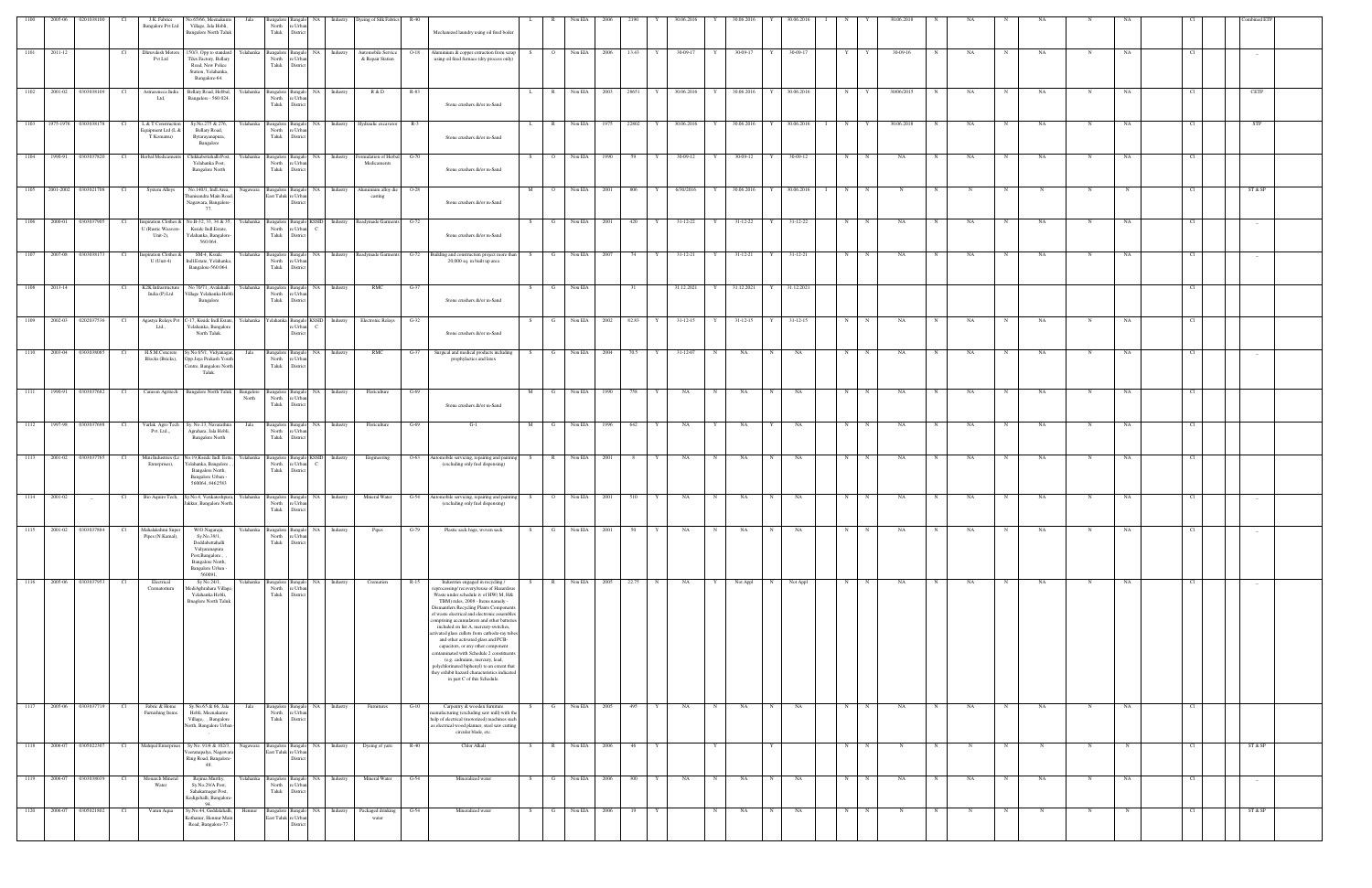|      | 2005-06 | 0201038100           |                 | J.K. Fabrics<br><b>Bangalore Pvt Ltd</b>               | No.65/66, Meenakunte<br>Village, Jala Hobli,<br><b>Bangalore North Taluk</b>                                 | Jala               | North<br>Taluk District                    | re Urbar                              |                                  | Bangalore Bangalo NA Industry Dyeing of Silk Fabrics R-40 |        | Mechanized laundry using oil fired boiler                                                                                                                                                                                                                                                                                                                                                                                                                                                                                                                                                                                                                                        |                       | Non EIA      |      |         | 30.06.201     |                 | 30.06.2016     |            | 30.06.201  |   |             |            |             |    |             |           |             |    |      |         |
|------|---------|----------------------|-----------------|--------------------------------------------------------|--------------------------------------------------------------------------------------------------------------|--------------------|--------------------------------------------|---------------------------------------|----------------------------------|-----------------------------------------------------------|--------|----------------------------------------------------------------------------------------------------------------------------------------------------------------------------------------------------------------------------------------------------------------------------------------------------------------------------------------------------------------------------------------------------------------------------------------------------------------------------------------------------------------------------------------------------------------------------------------------------------------------------------------------------------------------------------|-----------------------|--------------|------|---------|---------------|-----------------|----------------|------------|------------|---|-------------|------------|-------------|----|-------------|-----------|-------------|----|------|---------|
| 1101 | 2011-12 |                      | Cl <sub>1</sub> | Dhruvdesh Motors<br>Pvt Ltd                            | 150/3, Opp to standard<br>Tiles Factory, Bellary<br>Road, New Police<br>Station, Yelahanka,<br>Bangalore-64. | Yelahanka          | Bangalore Bangalo<br>North<br>Taluk        | re Urbar<br>District                  | NA Industry                      | Automobile Service<br>& Repair Station                    | $O-18$ | Aluminium & copper extraction from scrap<br>using oil fired furnace (dry process only)                                                                                                                                                                                                                                                                                                                                                                                                                                                                                                                                                                                           | $\overline{O}$<br>S – | Non EIA      | 2006 | 13.43 Y | 30-09-17      | Y               | 30-09-17       | Y          | 30-09-17   | Y | Y           | 30-09-16   | N           | NA | N           | NA        | N           | NA | Cl.  |         |
| 1102 |         | 2001-02 0303038109   | Cl <sub>1</sub> | Astrazeneca India<br>Ltd,                              | Bellary Road, Hebbal,<br>Bangalore - 560 024.                                                                | Yelahanka          | North<br>Taluk                             | e Urba<br>District                    | Bangalore Bangalo NA Industry    | R & D                                                     | $R-83$ | Stone crushers &/or m-Sand                                                                                                                                                                                                                                                                                                                                                                                                                                                                                                                                                                                                                                                       | R<br>$\mathbf{L}$     | Non EIA      | 2003 | 28651 Y |               | 30.06.2016<br>Y | 30.06.2016     | Y I        | 30.06.2016 | N | Y           | 30/06/2015 | N           | NA | $\mathbf N$ | NA        | N           | NA | Cl.  | CETP    |
| 1103 |         | 1975-1976 0303038178 | Cl              | L & T Construction<br>Equipment Ltd (L &<br>T Komatsu) | Sy.No.275 & 276,<br>Bellary Road,<br>Bytarayanapura,<br>Bangalore                                            | Yelahanka          | Bangalore Bangalo<br>North<br>Taluk        | re Urba<br>Distric                    | NA Industry                      | Hydraulic excavator                                       | $R-3$  | Stone crushers &/or m-Sand                                                                                                                                                                                                                                                                                                                                                                                                                                                                                                                                                                                                                                                       | $\mathbb{R}$<br>L.    | Non EIA      | 1975 | 22802   | 30.06.2016    | Y               | 30.06.2016     |            | 30.06.2016 | N |             | 30.06.2018 |             | NA |             | NA        | N           | NA | - Cl | STP     |
| 1104 | 1990-91 | 0303037820           | C <sub>1</sub>  | Herbal Medicaments                                     | Chikkabettahalli Post,<br>Yelahanka Post,<br><b>Bangalore North</b>                                          | Yelahanka          | Bangalore Bangalo<br>North<br>Taluk        | e Urb.<br>Distric                     | NA Industry                      | formulation of Herbal<br>Medicaments                      | $G-70$ | Stone crushers &/or m-Sand                                                                                                                                                                                                                                                                                                                                                                                                                                                                                                                                                                                                                                                       | S<br>$\circ$          | Non EIA      | 1990 | 59      | 30-09-12<br>Y | Y               | 30-09-12       |            | 30-09-12   | N | N           | NA         | N           | NA | $\mathbf N$ | NA        | N           | NA | Cl   |         |
| 1105 |         | 2001-2002 0303021708 | Cl              | System Alloys                                          | No.140/1, Indl.Area,<br>Thanisandra Main Road<br>Nagawara, Bangalore-<br>77.                                 | Nagawara           | Bangalore Bangalo<br>East Taluk re Urba    | Distric                               | NA Industry                      | Aluminium alloy die<br>casting                            | $O-28$ | Stone crushers &/or m-Sand                                                                                                                                                                                                                                                                                                                                                                                                                                                                                                                                                                                                                                                       |                       | Non EIA      | 2001 | 806     | 6/30/2016     |                 | 30.06.2016     |            | 30.06.2016 | N |             |            |             |    |             |           |             |    |      | ST & SP |
| 1106 | 2000-01 | 0303037905           | Cl              | nspiration Clothes &<br>U (Rustic Weavers-<br>Unit-2), | No.B-32, 33, 34 & 35,<br>Kssidc Indl.Estate,<br>Yelahanka, Bangalore<br>560 064.                             | Yelahanka          | North<br>Taluk                             | re Urban<br>District                  | Bangalore Bangalo KSSID Industry | Readymade Garments                                        | $G-72$ | Stone crushers &/or m-Sand                                                                                                                                                                                                                                                                                                                                                                                                                                                                                                                                                                                                                                                       | G                     | Non EIA      | 2001 | 420     | 31-12-22      | Y               | 31-12-22       |            | 31-12-22   | N | N           | NA         |             | NA |             | NA        | N           | NA |      |         |
| 1107 |         | 2007-08 0303038173   | Cl              | nspiration Clothes &<br>$U$ (Unit-4)                   | SM-4, Ksside<br>Indl.Estate, Yelahanka<br>Bangalore-560 064.                                                 | Yelahanka          | angalore Bangalo<br>North<br>Taluk         | re Urba<br>District                   |                                  |                                                           |        | NA Industry Readymade Garments G-72 Building and construction project more than<br>20,000 sq. m built up area                                                                                                                                                                                                                                                                                                                                                                                                                                                                                                                                                                    | $\mathbf{G}$<br>S     | Non EIA      | 2007 | 74 1    | 31-12-21<br>Y | Y               | 31-12-21       | Y I        | 31-12-21   | N | N           | NA         |             | NA | N           | NA        | N           | NA | Cl   |         |
| 1108 | 2013-14 |                      | - Cl            | K2K Infrastructure<br>India (P) Ltd                    | No 70/71, Avalahalli<br>Village Yelahanka Hob<br>Bangalore                                                   | Yelahanka          | Bangalore Bangalo<br>North<br>Taluk        | e Urba<br>Distric                     | NA Industry                      | RMC                                                       | $G-37$ | Stone crushers &/or m-Sand                                                                                                                                                                                                                                                                                                                                                                                                                                                                                                                                                                                                                                                       | G<br>S.               | Non EIA      |      | 31      | 31.12.2021    | Y               | 31.12.2021     | Y          | 31.12.2021 |   |             |            |             |    |             |           |             |    | Cl.  |         |
| 1109 |         | 2002-03 0202037536   | Cl              | Agastya Relays Pvt<br>Ltd.,                            | C-17, Kssidc Indl.Estate,<br>Yelahanka, Bangalore<br>North Taluk.                                            | Yelahanka          |                                            | e Urb.<br>Distric                     |                                  | 'elahanka Bangalo KSSID Industry Electronic Relays G-32   |        | Stone crushers &/or m-Sand                                                                                                                                                                                                                                                                                                                                                                                                                                                                                                                                                                                                                                                       | <b>G</b><br>S.        | Non EIA      | 2002 | 82.83 Y | $31-12-15$    | Y               | $31 - 12 - 15$ | Y          | $31-12-15$ | N | N           | NA         |             | NA |             | NA        |             | NA |      |         |
| 1110 | 2003-04 | 0303038085           | Cl              | H.S.M.Concrete<br>Blocks (Bricks),                     | Sy.No.65/1, Vidyanagar,<br>Opp.Jaya Prakash Youth<br>Centre, Bangalore North<br>Taluk.                       | Jala               | Bangalore Bangalo<br>North<br>Taluk        | re Urba<br>Distric                    | NA Industry                      | RMC                                                       | $G-37$ | Surgical and medical products including<br>prophylactics and latex                                                                                                                                                                                                                                                                                                                                                                                                                                                                                                                                                                                                               | G<br>S.               | Non EIA      | 2004 | 70.5    | 31-12-07      | N               | NA             | N          | NA         | N | N           | NA         |             | NA |             | NA        | N           | NA |      |         |
| 1111 | 1990-91 | 0303037682           | Cl              | Camson Agritech                                        | <b>Bangalore North Taluk</b>                                                                                 | Bangalore<br>North | angalore Bangalo<br>North<br>Taluk         | e Urb.<br>Distric                     | NA Industry                      | Floriculture                                              | G-69   | Stone crushers &/or m-Sand                                                                                                                                                                                                                                                                                                                                                                                                                                                                                                                                                                                                                                                       | M<br>G                | Non EIA      | 1990 | 758     | NA            | N               | NA             | N          | NA         | N | N           | NA         |             | NA | N           | NA        | N           | NA | Cl.  |         |
| 1112 |         | 1997-98 0303037698   | Cl              | Varlak Agro Tech<br>Pvt. Ltd.,,                        | Sy. No.13, Navarathna<br>Agrahara, Jala Hobli,<br><b>Bangalore North</b>                                     | Jala               | Bangalore Bangalo<br>North<br>Taluk        | e Urb<br>Distric                      | NA Industry                      | Floriculture                                              | G-69   | $G-1$                                                                                                                                                                                                                                                                                                                                                                                                                                                                                                                                                                                                                                                                            | M                     | Non EIA      | 1996 | 642     | NA            |                 | NA             |            | NA         | N |             | NA         |             | NA |             | NA        |             |    |      |         |
| 1113 |         | 2001-02 0303037765   | Cl              | Mini Industries (Lr<br>Enterprises),                   | No.19, Kssidc Indl. Estte,<br>relahanka, Bangalore.<br>Bangalore North,<br>Bangalore Urban -                 | Yelahanka          | North<br>Taluk                             | re Urban<br><sup>-</sup> C<br>Distric | Bangalore Bangalo KSSID Industry | Engineering                                               |        | O-63 Automobile servicing, repairing and painting<br>(excluding only fuel dispensing)                                                                                                                                                                                                                                                                                                                                                                                                                                                                                                                                                                                            | S                     | R Non EIA    | 2001 | - 8     | NA            | N               | NA             | N          | NA         | N | N           | NA         |             | NA |             | <b>NA</b> | N           | NA | Cl   |         |
| 1114 | 2001-02 | $\sim$               | Cl              |                                                        | 560064, 8462583<br>Bio Aquiro Tech, Sy.No.4, Venkateshpura,<br>Jakkur, Bangalore North.                      | Yelahanka          | North<br>Taluk                             | re Urba<br>District                   |                                  | Bangalore Bangalo NA Industry Mineral Water               |        | G-54 Automobile servicing, repairing and painting<br>(excluding only fuel dispensing)                                                                                                                                                                                                                                                                                                                                                                                                                                                                                                                                                                                            | S<br>$\overline{O}$   | Non EIA      | 2001 | 510     | NA<br>Y       | N               | NA             | N          | NA         | N | N           | NA         | N           | NA | N           | <b>NA</b> | N           | NA | Cl   | $\sim$  |
| 1115 |         | 2001-02 0303037884   | Cl              | Mahalakshmi Super<br>Pipes (N.Kamal),                  | W/O.Nagaraju,<br>Sy.No.39/1,<br>Doddabettahalli                                                              | Yelahanka          | North<br>Taluk                             | e Urba<br>District                    | Bangalore Bangalo NA Industry    | Pipes                                                     | $G-79$ | Plastic sack bags, woven sack                                                                                                                                                                                                                                                                                                                                                                                                                                                                                                                                                                                                                                                    | G<br>S.               | Non EIA      | 2001 | 50      | NA            | N               | NA             | $_{\rm N}$ | NA         | N | $\mathbf N$ | NA         | $\mathbf N$ | NA | N           | NA        | N           | NA |      |         |
|      |         |                      |                 |                                                        | Vidyaranapura<br>Post, Bangalore.,<br>Bangalore North,<br>Bangalore Urban -<br>560091,                       |                    |                                            |                                       |                                  |                                                           |        |                                                                                                                                                                                                                                                                                                                                                                                                                                                                                                                                                                                                                                                                                  |                       |              |      |         |               |                 |                |            |            |   |             |            |             |    |             |           |             |    |      |         |
| 1116 |         | 2005-06 0303037953   | Cl              | Electrical<br>Crematorium                              | Sy No 24/1,<br>MediAghrahara Village<br>Yelahanka Hobli,<br><b>Bnaglore North Taluk</b>                      | Yelahanka          | <b>3angalore</b> Bangalo<br>North<br>Taluk | re Urba<br>District                   | NA Industry                      | Cremation                                                 | $R-15$ | Industries engaged in recycling /<br>reprocessing/recovery/reuse of Hazardous<br>Waste under schedule iv of HW(M, H&<br>TBM) rules, 2008 - Items namely -<br>Dismantlers Recycling Plants Components<br>of waste electrical and electronic assembles<br>omprising accumulators and other batteries<br>included on list A, mercury-switches,<br>tivated glass cullets from cathode-ray tubes<br>and other activated glass and PCB-<br>capacitors, or any other component<br>ntaminated with Schedule 2 constituen<br>(e.g. cadmium, mercury, lead,<br>polychlorinated biphenyl) to an extent that<br>they exhibit hazard characteristics indicated<br>in part C of this Schedule. | $\mathbb{R}$          | Non EIA      | 2005 | 22.75 N | NA            | Y               | Not Appl       | N          | Not Appl   | N | $\mathbf N$ | <b>NA</b>  | N           | NA | $\mathbf N$ | NA        | N           | NA | Cl   | $-$     |
| 1117 |         | 2005-06 0303037719   | Cl              | Fabric & Home<br>Furnishing Items                      | Sy.No.65 & 66, Jala<br>Hobli, Meenakunte<br>Village,, , Bangalore<br>North, Bangalore Urban -                | Jala               | <b>Bangalore</b> Bangalo<br>North<br>Taluk | e Urba<br>District                    | NA Industry                      | Furnitures                                                | $G-10$ | Carpentry & wooden furniture<br>anufacturing (excluding saw mill) with the<br>help of electrical (motorized) machines such<br>as electrical wood planner, steel saw cutting<br>circular blade, etc.                                                                                                                                                                                                                                                                                                                                                                                                                                                                              | G                     | Non EIA      | 2005 | 495     | NA            | N               | NA             | N          | NA         | N | N           | NA         |             | NA |             | NA        |             | NA | Cl   |         |
| 1118 |         | 2006-07 0305022307   | Cl              | Mahipal Enterprises                                    | Sy No. 91/4 & 102/3,<br>Veeranapalya, Nagawara<br>Ring Road, Bangalore-<br>48.                               | Nagawara           | East Taluk re Urban                        | Distric                               | Bangalore Bangalo NA Industry    | Dyeing of yarn                                            | $R-40$ | Chlor Alkali                                                                                                                                                                                                                                                                                                                                                                                                                                                                                                                                                                                                                                                                     | S<br>R                | Non EIA      | 2006 | 46      | Y             | Y               |                | Y          |            | N | N           | N          | N           | N  | N           | N         | N           | N  | Cl   | ST & SP |
| 1119 | 2006-07 | 0303038039           | Cl              | Monarch Mineral<br>Water                               | Rejima Murthy,<br>Sy.No.29/A Post,<br>Sahakarnagar Post,<br>Kodigehalli, Bangalore<br>94.                    | Yelahanka          | Bangalore Bangalo<br>North<br>Taluk        | e Urba<br>District                    | NA Industry                      | Mineral Water                                             | $G-54$ | Mineralized water                                                                                                                                                                                                                                                                                                                                                                                                                                                                                                                                                                                                                                                                | G<br>S.               | Non EIA      | 2006 | 300     | NA<br>Y       | N               | NA             | N          | NA         | N | N           | <b>NA</b>  | N           | NA | N           | <b>NA</b> | N           | NA | Cl   | $\sim$  |
| 1120 |         | 2006-07 0305021802   | C <sub>1</sub>  | Varun Aqua                                             | Sy.No.44, Geddalahalli,<br>Kothanur, Hennur Mair<br>Road, Bangalore-77.                                      | Hennur             | Bangalore Bangalo<br>last Taluk re Urba    | Distric                               |                                  | NA Industry Packaged drinking<br>water                    | $G-54$ | Mineralized water                                                                                                                                                                                                                                                                                                                                                                                                                                                                                                                                                                                                                                                                | S.<br>G               | Non EIA 2006 |      | 19      |               | N               | NA             | N          | NA         | N | N           | N          |             |    | $\mathbf N$ | N         | $\mathbf N$ |    | Cl.  | ST & SP |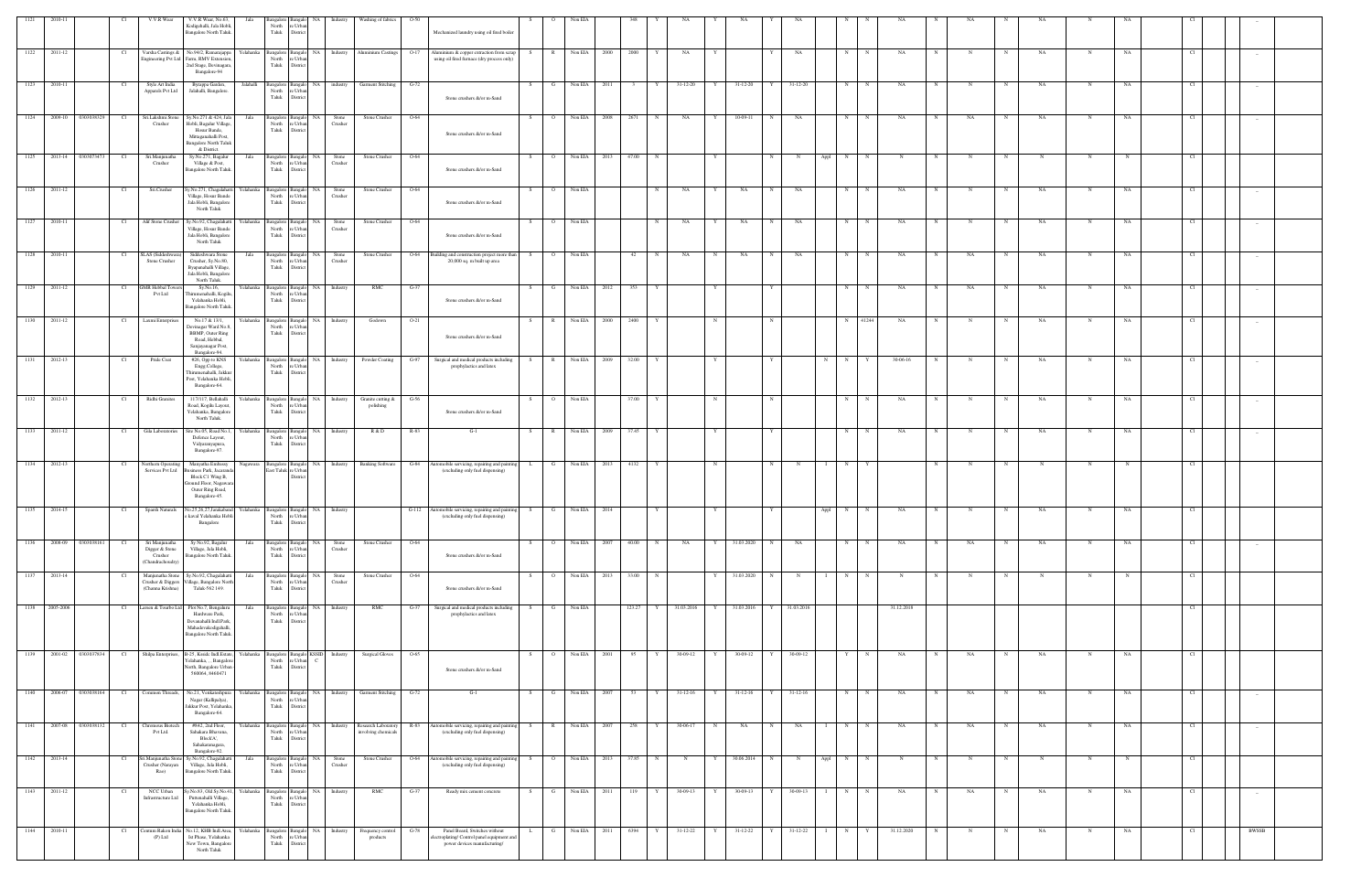| 1121          | 2010-11      |                         |                 | V.V.R Wear                                                | V.V.R Wear, No.63,                                                                                                                                | Jala      |                                     |                                  | Bangalore Bangalo NA Industry         | Washing of fabrics                                                | $O-50$                                                                                                                                          |              |                         | Non ELA      |                    |                     |                |   |                      |              |              |           |              |            |   |             |             |             |             |             |                 |        |  |
|---------------|--------------|-------------------------|-----------------|-----------------------------------------------------------|---------------------------------------------------------------------------------------------------------------------------------------------------|-----------|-------------------------------------|----------------------------------|---------------------------------------|-------------------------------------------------------------------|-------------------------------------------------------------------------------------------------------------------------------------------------|--------------|-------------------------|--------------|--------------------|---------------------|----------------|---|----------------------|--------------|--------------|-----------|--------------|------------|---|-------------|-------------|-------------|-------------|-------------|-----------------|--------|--|
|               |              |                         |                 |                                                           | Kodigehalli, Jala Hobli,<br>Bangalore North Taluk.                                                                                                |           | North<br>Taluk                      | e Urba<br>District               |                                       |                                                                   | Mechanized laundry using oil fired boiler                                                                                                       |              |                         |              |                    |                     |                |   |                      |              |              |           |              |            |   |             |             |             |             |             |                 |        |  |
|               | 1122 2011-12 |                         | Cl              |                                                           |                                                                                                                                                   |           |                                     |                                  |                                       |                                                                   | Varsha Castings & No.94/2, Ramarajappa Yelahanka Bangalore Bangalo NA Industry Aluminium Castings 0-17 Aluminium & copper extraction from scrap | S.           |                         | R Non EIA    | 2000               | 2000<br>Y           | NA             | Y |                      | Y            | NA           | N         | $_{\rm N}$   | NA         | N | N           | N           | <b>NA</b>   | N           | NA          | Cl              |        |  |
|               |              |                         |                 |                                                           | Engineering Pvt Ltd Farm, RMV Extension,<br>2nd Stage, Devinagara,<br>Bangalore-94                                                                |           | North<br>Taluk                      | re Urban<br>District             |                                       |                                                                   | using oil fired furnace (dry process only)                                                                                                      |              |                         |              |                    |                     |                |   |                      |              |              |           |              |            |   |             |             |             |             |             |                 |        |  |
| 1123          | 2010-11      |                         | Cl              | Style Art India                                           | Byrappa Garden,                                                                                                                                   | Jalahalli | Bangalore Bangalo                   |                                  |                                       | NA industry Garment Stitching                                     | $G-72$                                                                                                                                          |              |                         | Non EIA      | 2011               | Y                   | $31 - 12 - 20$ | Y | $31 - 12 - 20$       |              | 31-12-20     | N         | N            | NA         |   |             |             | NA.         | $\mathbf N$ | NA          | - Cl            |        |  |
|               |              |                         |                 | Apparels Pvt Ltd                                          | Jalahalli, Bangalore.                                                                                                                             |           | North<br>Taluk                      | re Urban<br>District             |                                       |                                                                   | Stone crushers &/or m-Sand                                                                                                                      |              |                         |              |                    |                     |                |   |                      |              |              |           |              |            |   |             |             |             |             |             |                 |        |  |
| 1124          |              | 2009-10 0303038329      | Cl              | Sri.Lakshmi Stone<br>Crusher                              | Sy.No.271 & 424, Jala<br>Hobli, Bagalur Village,                                                                                                  | Jala      | North                               | Bangalore Bangalo NA<br>re Urban | Stone<br>Crusher                      | Stone Crusher                                                     | $O-64$                                                                                                                                          | S            | $\overline{\mathbf{O}}$ | Non EIA      | 2008               | 2671<br>N           | NA             | Y | $\frac{10-09-11}{2}$ | N            | NA           |           | $N$ N        | NA         | N | NA          | N           | NA          | N           | NA          | Cl              |        |  |
|               |              |                         |                 |                                                           | Hosur Bande,<br>Mittaganahalli Post,                                                                                                              |           | Taluk                               | District                         |                                       |                                                                   | Stone crushers &/or m-Sand                                                                                                                      |              |                         |              |                    |                     |                |   |                      |              |              |           |              |            |   |             |             |             |             |             |                 |        |  |
|               |              | 1125 2013-14 0303073473 | Cl              | Sri.Manjunatha                                            | <b>Bangalore North Taluk</b><br>& District.<br>Sy.No.271, Bagalur                                                                                 | Jala      |                                     | Bangalore Bangalo NA             | Stone                                 | Stone Crusher                                                     | $O-64$                                                                                                                                          | S.           | $\overline{O}$          |              | Non EIA 2013 47.00 | N                   |                | Y |                      | N            | N            | N<br>Appl | N            | N          | N | N           | N           | N           | N           |             | <b>CI</b>       |        |  |
|               |              |                         |                 | Crusher                                                   | Village & Post,<br>Bangalore North Taluk.                                                                                                         |           | North<br>Taluk                      | re Urban<br>District             | Crusher                               |                                                                   | Stone crushers &/or m-Sand                                                                                                                      |              |                         |              |                    |                     |                |   |                      |              |              |           |              |            |   |             |             |             |             |             |                 |        |  |
| 1126          | 2011-12      |                         | Cl              | Sri.Crusher                                               | Sy.No.271, Chagalahatti Yelahanka Bangalore Bangalo NA Stone                                                                                      |           |                                     | re Urban                         |                                       | Stone Crusher                                                     | $O-64$                                                                                                                                          | -S -         | $\circ$                 | Non EIA      |                    | N                   | NA             | Y | NA                   | N            | <b>NA</b>    | N         | $\mathbf N$  | NA         | N | N           | N           | NA          | N           | NA          | Cl              |        |  |
|               |              |                         |                 |                                                           | Village, Hosur Bande<br>Jala Hobli, Bangalore<br>North Taluk                                                                                      |           | North<br>Taluk                      | District                         | Crusher                               |                                                                   | Stone crushers &/or m-Sand                                                                                                                      |              |                         |              |                    |                     |                |   |                      |              |              |           |              |            |   |             |             |             |             |             |                 |        |  |
| 1127          | 2010-11      |                         | Cl              | Alif Stone Crusher                                        | Sy.No.92, Chagalahatti<br>Village, Hosur Bande                                                                                                    | Yelahanka | North                               | re Urban                         | Bangalore Bangalo NA Stone<br>Crusher | Stone Crusher                                                     | $O-64$                                                                                                                                          | S.           | $\overline{O}$          | Non EIA      |                    | N                   | NA             | Y | NA                   | $\mathbf N$  | NA           | N         | $\mathbf N$  | NA         | N |             | N           | NA          | N           | NA          | Cl              |        |  |
|               |              |                         |                 |                                                           | Jala Hobli, Bangalore<br>North Taluk                                                                                                              |           | Taluk                               | District                         |                                       |                                                                   | Stone crushers &/or m-Sand                                                                                                                      |              |                         |              |                    |                     |                |   |                      |              |              |           |              |            |   |             |             |             |             |             |                 |        |  |
| 1128          | 2010-11      |                         | Cl              | SLAS (Siddeshwara)<br>Stone Crusher                       | Siddeshwara Stone<br>Crusher, Sy.No.80,                                                                                                           | Jala      | North                               | e Urban                          | Bangalore Bangalo NA Stone<br>Crusher | Stone Crusher                                                     | O-64<br>Building and construction project more than<br>20,000 sq. m built up area                                                               | S.           | $\circ$                 | Non EIA      |                    | 42<br>N             | NA             | N | NA                   | $_{\rm N}$   | NA           | N         | N            | NA         | N | NA          | N           | NA          | $\mathbf N$ | NA          | Cl              |        |  |
|               |              |                         |                 |                                                           | Byapanahalli Village,<br>Jala Hobli, Bangalore<br>North Taluk.                                                                                    |           | Taluk                               | District                         |                                       |                                                                   |                                                                                                                                                 |              |                         |              |                    |                     |                |   |                      |              |              |           |              |            |   |             |             |             |             |             |                 |        |  |
|               | 1129 2011-12 |                         | Cl              | <b>GMR Hebbal Towers</b><br>Pvt Ltd                       | Sy.No.16,<br>Thirumenahalli, Kogilu<br>Yelahanka Hobli,                                                                                           | Yelahanka | North<br>Taluk                      | e Urba<br>District               | Bangalore Bangalo NA Industry         | RMC                                                               | $G-37$<br>Stone crushers &/or m-Sand                                                                                                            | S            | $\mathbf{G}$            | Non EIA      | 2012               | 353<br>Y            |                | Y |                      | Y            |              | N         | $\mathbf N$  | NA         | N | NA          | N           | NA          | $_{\rm N}$  | NA          | Cl              |        |  |
| 1130          | 2011-12      |                         | Cl              | Laxmi Enterprises                                         | Bangalore North Taluk.<br>No.17 & 13/1,                                                                                                           | Yelahanka | Bangalore Bangalo                   |                                  | NA Industry                           | Godown                                                            | $O-21$                                                                                                                                          |              | $\mathbb{R}$            | Non EIA      | 2000               | 2400                |                |   |                      | N            |              |           | N 41244      | NA         |   |             | N           | NA          | N           | NA          | Cl              |        |  |
|               |              |                         |                 |                                                           | Devinagar Ward No.8,<br><b>BBMP, Outer Ring</b>                                                                                                   |           | North<br>Taluk                      | re Urban<br>District             |                                       |                                                                   | Stone crushers &/or m-Sand                                                                                                                      |              |                         |              |                    |                     |                |   |                      |              |              |           |              |            |   |             |             |             |             |             |                 |        |  |
|               |              |                         |                 |                                                           | Road, Hebbal,<br>Sanjayanagar Post,<br>Bangalore-94.                                                                                              |           |                                     |                                  |                                       |                                                                   |                                                                                                                                                 |              |                         |              |                    |                     |                |   |                      |              |              |           |              |            |   |             |             |             |             |             |                 |        |  |
| $\sqrt{1131}$ | 2012-13      |                         | Cl <sub>1</sub> | Pride Coat                                                | #26, Opp to KNS<br>Engg.College,<br>Thirumenahalli, Jakkur                                                                                        | Yelahanka | North<br>Taluk                      | re Urban<br>District             |                                       | Bangalore Bangalo NA Industry Powder Coating                      | $G-97$<br>Surgical and medical products including<br>prophylactics and latex                                                                    | S            | R                       | Non EIA      | 2009               | 32.00<br>Y          |                | Y |                      | $\mathbf{Y}$ |              | N         | $N$ $Y$      | 30-06-16   | N | $\mathbf N$ | N           | NA          | $\mathbf N$ | NA          | Cl              |        |  |
|               |              |                         |                 |                                                           | Post, Yelahanka Hobli,<br>Bangalore-64.                                                                                                           |           |                                     |                                  |                                       |                                                                   |                                                                                                                                                 |              |                         |              |                    |                     |                |   |                      |              |              |           |              |            |   |             |             |             |             |             |                 |        |  |
|               | 1132 2012-13 |                         | Cl              | Ridhi Granites                                            | 117/117, Bellahalli<br>Road, Kogilu Layout,                                                                                                       | Yelahanka | North                               | e Urba                           |                                       | Bangalore Bangalo NA Industry Granite cutting & G-56<br>polishing |                                                                                                                                                 | S –          | $\overline{O}$          | Non EIA      |                    | 37.00<br>Y          |                | N |                      | $\mathbf N$  |              | N         | N            | NA         | N |             | N           | NA          | N           | NA          | Cl              |        |  |
|               |              |                         |                 |                                                           | Yelahanka, Bangalore<br>North Taluk.                                                                                                              |           | Taluk                               | District                         |                                       |                                                                   | Stone crushers &/or m-Sand                                                                                                                      |              |                         |              |                    |                     |                |   |                      |              |              |           |              |            |   |             |             |             |             |             |                 |        |  |
| 1133          | 2011-12      |                         | - Cl            | Gila Laboratories                                         | Site No.05, Road No.1,<br>Defence Layout,<br>Vidyaranyapura,                                                                                      | Yelahanka | North<br>Taluk                      | re Urba<br>District              | Bangalore Bangalo NA Industry         | R & D                                                             | R-83<br>$G-1$                                                                                                                                   | - S          | $\mathbb{R}$            | Non EIA      | 2009               | 37.45<br>Y          |                |   |                      |              |              | N         | $_{\rm N}$   | NA         | N | N           | N           | NA          | $\mathbf N$ | NA          | - Cl            |        |  |
| 1134          | 2012-13      |                         | Cl              | Northern Operating                                        | Bangalore-97.<br>Manyatha Embassy                                                                                                                 | Nagawara  |                                     |                                  |                                       |                                                                   | Bangalore Bangalo NA Industry Banking Software G-84 Automobile servicing, repairing and painting                                                |              | $\mathbf{G}$            | Non EIA      | 2013               | 4132<br>Y           |                | N |                      | $\mathbf N$  | $\mathbf N$  | N         |              |            | N |             | N           | N           | N           |             | Cl              |        |  |
|               |              |                         |                 | Services Pvt Ltd                                          | Business Park, Jacaranda<br>Block C1 Wing B,                                                                                                      |           | East Taluk re Urban                 | Distric                          |                                       |                                                                   | (excluding only fuel dispensing)                                                                                                                | $\mathbf{L}$ |                         |              |                    |                     |                |   |                      |              |              |           |              |            |   |             |             |             |             |             |                 |        |  |
|               |              |                         |                 |                                                           | Ground Floor, Nagawara<br>Outer Ring Road,<br>Bangalore-45.                                                                                       |           |                                     |                                  |                                       |                                                                   |                                                                                                                                                 |              |                         |              |                    |                     |                |   |                      |              |              |           |              |            |   |             |             |             |             |             |                 |        |  |
| 1135          | 2014-15      |                         | Cl              |                                                           | Sparsh Naturals No.25,26,27,Jarakaband Yelahanka Bangalore Bangalor NA Industry<br>e kaval Yelahanka Hobli North re Urban<br>kayal Yelahanka Hobl |           |                                     |                                  |                                       |                                                                   | G-112 Automobile servicing, repairing and painting S<br>(excluding only fuel dispensing)                                                        |              | $\mathbf{G}$            | Non EIA 2014 |                    | Y                   |                | Y |                      | Y            |              | N<br>Appl | $\mathbf N$  | NA         |   |             |             | NA          | N           | NA          | Cl <sub>1</sub> |        |  |
|               |              |                         |                 |                                                           | Bangalore                                                                                                                                         |           | Taluk                               | District                         |                                       |                                                                   |                                                                                                                                                 |              |                         |              |                    |                     |                |   |                      |              |              |           |              |            |   |             |             |             |             |             |                 |        |  |
| 1136          |              | 2008-09 0303038161      | Cl              | Sri Manjunatha<br>Digger & Stone                          | Sy No.92, Bagalur<br>Village, Jala Hobli,                                                                                                         | Jala      | Bangalore<br>North                  | NA.<br>e Urba                    | Stone<br>Crusher                      | Stone Crusher                                                     | $O-64$                                                                                                                                          |              | $\Omega$                | Non EIA      | 2007               | 40.00<br>N          | NA             | Y | 31.03.2020           | N            | NA           | N         | $_{\rm N}$   | NA         | N | $_{\rm NA}$ | N           | NA          | N           | $_{\rm NA}$ | Cl              |        |  |
|               |              |                         |                 | Crusher<br>(Chandrachoudry)                               | Bangalore North Taluk.                                                                                                                            |           | Taluk                               | District                         |                                       |                                                                   | Stone crushers &/or m-Sand                                                                                                                      |              |                         |              |                    |                     |                |   |                      |              |              |           |              |            |   |             |             |             |             |             |                 |        |  |
| 1137          | 2013-14      |                         |                 | Manjunatha Stone<br>Crusher & Diggers<br>(Channa Krishna) | Sy.No.92, Chagalahatti<br>Village, Bangalore North<br>Taluk-562 149.                                                                              | Jala      | <b>Bangalore</b><br>North<br>Taluk  | Banga<br>e Urba<br>District      | NA<br>Stone<br>Crusher                | Stone Crusher                                                     | O-64<br>Stone crushers &/or m-Sand                                                                                                              |              |                         | Non EIA      | 2013               | 33.00               |                | Y | 31.03.2020           |              |              | N         |              |            |   |             |             |             |             |             | Cl              |        |  |
| 1138          | 2005-2006    |                         | Cl              |                                                           | Larsen & Tourbo Ltd Plot No.7, Bengaluru                                                                                                          | Jala      | Bangalore                           | Bangalo                          | NA Industry                           | $\mathbf{R}\mathbf{M}\mathbf{C}$                                  | Surgical and medical products including<br>$G-37$                                                                                               | S.           | G                       | Non EIA      |                    | 123.27<br>Y         | 31.03.2016     | Y | 31.03.2016           | Y            | 31.03.2016   |           |              | 31.12.2018 |   |             |             |             |             |             | Cl <sub>1</sub> |        |  |
|               |              |                         |                 |                                                           | Hardware Park,<br>Devanahalli Indl.Park,                                                                                                          |           | North<br>Taluk                      | e Urba<br>District               |                                       |                                                                   | prophylactics and latex                                                                                                                         |              |                         |              |                    |                     |                |   |                      |              |              |           |              |            |   |             |             |             |             |             |                 |        |  |
|               |              |                         |                 |                                                           | Mahadevakodigahalli,<br>Bangalore North Taluk.                                                                                                    |           |                                     |                                  |                                       |                                                                   |                                                                                                                                                 |              |                         |              |                    |                     |                |   |                      |              |              |           |              |            |   |             |             |             |             |             |                 |        |  |
| 1139          |              | 2001-02 0303037834      | Cl              | Shilpa Enterprises,                                       | B-25, Kssidc Indl.Estate, Yelahanka<br>Yelahanka, , , Bangalor                                                                                    |           | Bangalore<br>North                  | ∘ Urb:                           | KSSID Industry                        | <b>Surgical Gloves</b>                                            | $O-65$                                                                                                                                          | S.           | $\Omega$                | Non EIA      | 2001               | 95<br>Y             | 30-09-12       | Y | $30-09-12$           | $\mathbf{Y}$ | 30-09-12     | Y         | $_{\rm N}$   | NA         | N | NA          | N           | NA          | N           | NA          | - Cl            |        |  |
|               |              |                         |                 |                                                           | North, Bangalore Urban<br>560064, 8460471                                                                                                         |           | Taluk                               | District                         |                                       |                                                                   | Stone crushers &/or m-Sand                                                                                                                      |              |                         |              |                    |                     |                |   |                      |              |              |           |              |            |   |             |             |             |             |             |                 |        |  |
| 1140          | 2006-07      | 0303038164              | Cl              | Common Threads,                                           | No.21, Venkateshpura                                                                                                                              | Yelahanka | Bangalore                           | Banga                            | Industry<br>NA.                       | <b>Garment Stitching</b>                                          | $G-72$<br>$G-1$                                                                                                                                 |              |                         | Non EIA      | 2007               |                     | $31-12-16$     |   | $31 - 12 - 16$       |              | $31-12-16$   | N         |              | NA         |   | NA          |             | NA          |             | NA          | Cl              |        |  |
|               |              |                         |                 |                                                           | Nagar (Kallipalya),<br>Jakkur Post, Yelahanka,<br>Bangalore-64.                                                                                   |           | North<br>Taluk                      | 'e Urba<br>District              |                                       |                                                                   |                                                                                                                                                 |              |                         |              |                    |                     |                |   |                      |              |              |           |              |            |   |             |             |             |             |             |                 |        |  |
| 1141          | 2007-08      | 0303038132              | Cl              | Chromous Biotech<br>Pvt Ltd.                              | #842, 2nd Floor,<br>Sahakara Bhavana,                                                                                                             | Yelahanka | 3angalore<br>North                  | NA<br>e Urbi                     | Industry                              | Research Laboratory<br>involving chemicals                        | R-83<br>Automobile servicing, repairing and painti<br>(excluding only fuel dispensing)                                                          | S.           | $\mathbb{R}$            | Non EIA      | 2007               | 258                 | 30-06-17       | N | NA                   |              | NA           | N         |              | NA         |   | NA          |             | NA          | N           | NA          | Cl              |        |  |
|               |              |                         |                 |                                                           | Block'A',<br>Sahakaranagara,<br>Bangalore-92.                                                                                                     |           | Taluk                               | Distric                          |                                       |                                                                   |                                                                                                                                                 |              |                         |              |                    |                     |                |   |                      |              |              |           |              |            |   |             |             |             |             |             |                 |        |  |
|               | 1142 2013-14 |                         | Cl              | Crusher (Narayan                                          | Sri.Manjunatha Stone Sy.No.92, Chagalahatti<br>Village, Jala Hobli,                                                                               | Jala      | Bangalore Bangalo<br>North          | e Urba                           | NA  <br>Stone<br>Crusher              | Stone Crusher                                                     | O-64<br>Automobile servicing, repairing and paintin<br>(excluding only fuel dispensing)                                                         | S            | $\overline{O}$          | Non EIA      | 2013               | 37.85<br>$_{\rm N}$ | N              | Y | 30.06.2014           | N            | $\mathbf N$  | Appl<br>N | $_{\rm N}$   | N          | N | $_{\rm N}$  | N           | $\mathbf N$ | $\mathbf N$ |             | Cl              |        |  |
|               |              |                         |                 | Rao)                                                      | Bangalore North Taluk.                                                                                                                            |           | Taluk                               | Distric                          |                                       |                                                                   |                                                                                                                                                 |              |                         |              |                    |                     |                |   |                      |              |              |           |              |            |   |             |             |             |             |             |                 |        |  |
| 1143          | 2011-12      |                         | Cl              | NCC Urban<br>Infrastructure Ltd                           | y.No.83, Old Sy.No.41, Yelahanka<br>Puttenahalli Village,<br>Yelahanka Hobli,                                                                     |           | Bangalore Bangak<br>North<br>Taluk  | e Urba<br>District               | NA Industry                           | RMC                                                               | $G-37$<br>Ready mix cement concrete                                                                                                             | S.           | G                       | Non EIA      | 2011               | 119<br>Y            | 30-09-13       | Y | 30-09-13             | $\mathbf{Y}$ | 30-09-13     | N         | $_{\rm N}$   | NA         | N | NA          | $\mathbf N$ | NA          | N           | NA          | Cl              | $\sim$ |  |
|               |              |                         |                 |                                                           | Bangalore North Taluk.                                                                                                                            |           |                                     |                                  |                                       |                                                                   |                                                                                                                                                 |              |                         |              |                    |                     |                |   |                      |              |              |           |              |            |   |             |             |             |             |             |                 |        |  |
| 1144          | 2010-11      |                         | Cl <sub>1</sub> | `entum Rakon Indi<br>$(P)$ Ltd                            | No.12, KHB Indl.Area,<br>Ist Phase, Yelahanka                                                                                                     | Yelahanka | Bangalore Bangalo<br>North<br>Taluk | e Urba                           | NA Industry                           | Frequency control<br>products                                     | Panel Board, Switches without<br>$G-78$<br>lectroplating/Control panel equipment and<br>power devices manufacturing/                            | L.           | $\mathbf{G}$            | Non EIA      | 2011               | 6394<br>Y           | 31-12-22       | Y | $31 - 12 - 22$       | Y            | $31-12-22$ I | N         | $\mathbf{Y}$ | 31.12.2020 |   | N           | N           | NA          | N           | NA          | Cl <sub>1</sub> | BWSSB  |  |
|               |              |                         |                 |                                                           | New Town, Bangalore<br>North Taluk                                                                                                                |           |                                     | District                         |                                       |                                                                   |                                                                                                                                                 |              |                         |              |                    |                     |                |   |                      |              |              |           |              |            |   |             |             |             |             |             |                 |        |  |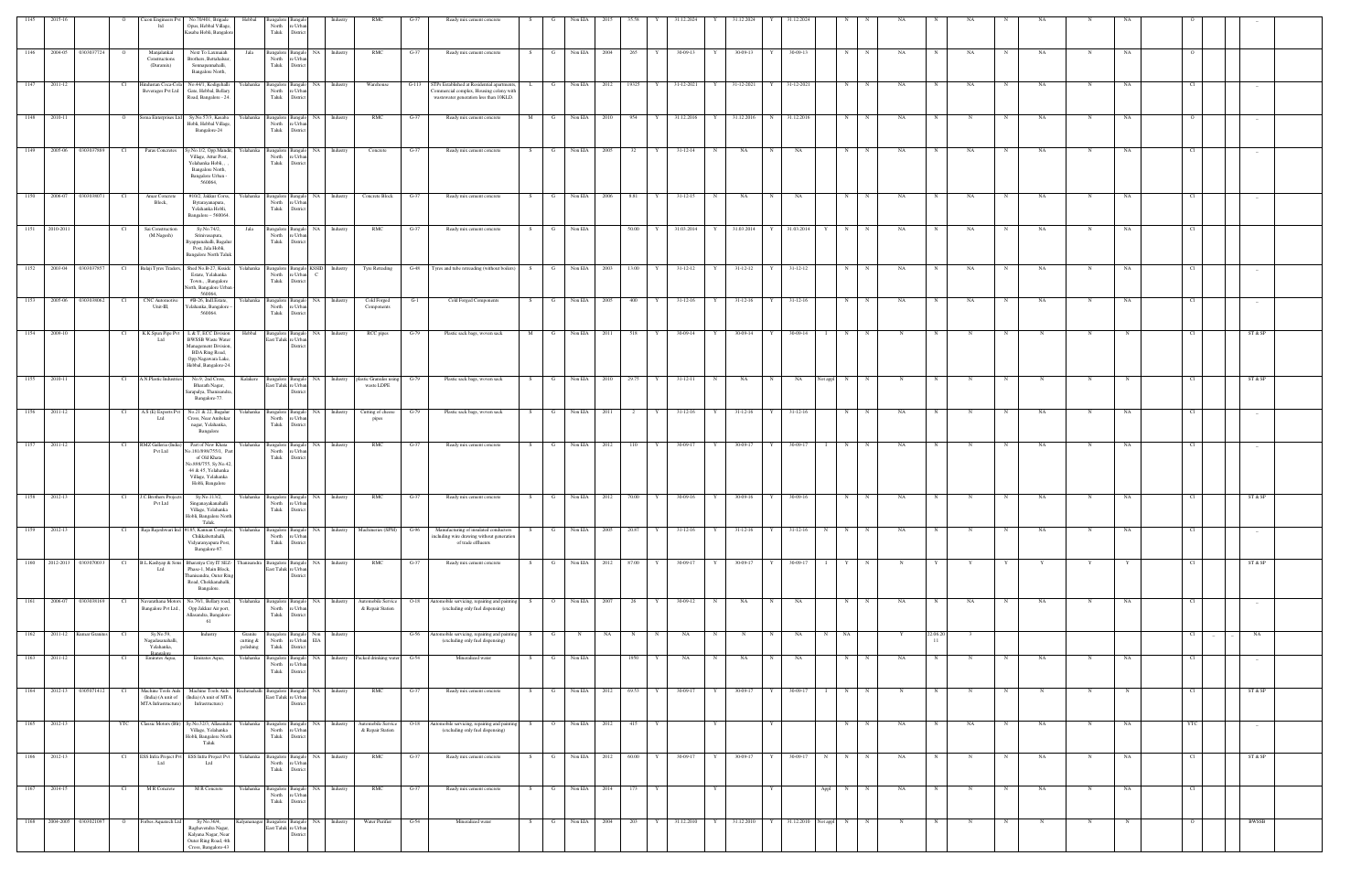| 1145              | 2015-16                   |                               | Cicon Engineers Pvt<br>ltd                                      | No.70/401, Brigade<br>Opus, Hebbal Village.<br>Kasaba Hobli, Bangalor                                                                              | angalore<br>North<br>Taluk                                                  | e Urb<br>District                                          |                                |                                                                    |         | Ready mix cement concrete                                                                                                             |                   |                   |       |           |                                     |                |              |                          |           |             |             |             |    |             |              |              |    |      |        |              |  |
|-------------------|---------------------------|-------------------------------|-----------------------------------------------------------------|----------------------------------------------------------------------------------------------------------------------------------------------------|-----------------------------------------------------------------------------|------------------------------------------------------------|--------------------------------|--------------------------------------------------------------------|---------|---------------------------------------------------------------------------------------------------------------------------------------|-------------------|-------------------|-------|-----------|-------------------------------------|----------------|--------------|--------------------------|-----------|-------------|-------------|-------------|----|-------------|--------------|--------------|----|------|--------|--------------|--|
| 1146              | 2004-05                   | 0303037724<br>$\circ$         | Manjalankal<br>Constructions<br>(Duramix)                       | Next To Laxmaiah<br>Brothers, Bettahalsui<br>Sonnapannahalli,<br>Bangalore North,                                                                  | Jala<br>North<br>Taluk                                                      | Bangalore Bangalo<br>re Urban<br>District                  | NA 1<br>Industry               | RMC                                                                | $G-37$  | Ready mix cement concrete                                                                                                             | G<br>S.           | Non EIA<br>2004   | 265   |           | 30-09-13                            | 30-09-13       |              | 30-09-13                 | N         |             | NA          |             | NA |             | NA           | $_{\rm N}$   | NA |      |        |              |  |
| 1147              | 2011-12                   | Cl                            | Iindustan Coca-Cola<br>Beverages Pvt Ltd                        | No.44/1, Kodigehalli<br>Gate, Hebbal, Bellary<br>Road, Bangalore - 24.                                                                             | Yelahanka<br>Taluk                                                          | North re Urban<br>District                                 | Bangalore Bangalo NA Industry  | Warehouse                                                          | $G-113$ | STPs Established at Residential apartments,<br>L.<br>ommercial complex, Housing colony with<br>wastewater generation less than 10KLD. | G                 | Non EIA<br>2012   |       | 19325   Y | 31-12-2021<br>Y                     | 31-12-2021     | Y 31-12-2021 |                          | N         |             | NA          |             | NA |             | NA           |              | NA |      |        |              |  |
| 1148              | 2010-11                   | $\overline{O}$                | Soma Enterprises Ltd                                            | Sy.No.57/3, Kasaba<br>Hobli, Hebbal Village<br>Bangalore-24                                                                                        | Yelahanka<br>North<br>Taluk                                                 | e Urbar<br>District                                        | Bangalore Bangalo NA Industry  | RMC                                                                | $G-37$  | Ready mix cement concrete                                                                                                             | M<br>G I          | Non EIA 2010      |       | 954<br>Y  | 31.12.2016<br>Y                     | 31.12.2016     | N 31.12.2016 |                          | N         | N           | NA          | $\mathbf N$ |    | N           | NA           | N            | NA |      |        | $-$          |  |
| 1149              | 2005-06 0303037889        | Cl                            | Paras Concretes                                                 | Sy.No.1/2, Opp.Mandir,<br>Village, Attur Post,                                                                                                     | Yelahanka<br>North                                                          | re Urbar                                                   | Bangalore Bangalo NA Industry  | Concrete                                                           | $G-37$  | Ready mix cement concrete                                                                                                             | S.<br>- G -       | Non EIA<br>2005   | 32    |           | 31-12-14<br>N<br>$\mathbf{Y}$       | NA             | N            | NA                       | N         | N           | NA          | N           | NA | N           | NA           | N            | NA |      |        |              |  |
|                   |                           |                               |                                                                 | Yelahanka Hobli, ,<br>Bangalore North,<br>Bangalore Urban -<br>560064                                                                              | Taluk                                                                       | District                                                   |                                |                                                                    |         |                                                                                                                                       |                   |                   |       |           |                                     |                |              |                          |           |             |             |             |    |             |              |              |    |      |        |              |  |
| 1150              | 2006-07                   | 0303038071<br>Cl <sub>1</sub> | Amar Concrete<br>Block,                                         | #10/2, Jakkur Corss,<br>Bytarayanapura,<br>Yelahanka Hobli,<br>Bangalore - 560064.                                                                 | Yelahanka<br>North<br>Taluk                                                 | re Urban<br>District                                       | Bangalore Bangalo NA Industry  | Concrete Block                                                     | $G-37$  | Ready mix cement concrete                                                                                                             | G<br>S.           | Non EIA<br>2006   | 8.81  |           | 31-12-15<br>N<br>$\mathbf{Y}$       | NA             | N            | NA                       | N         | $\mathbf N$ | NA          | N           | NA | $\mathbf N$ | NA           | $\mathbf N$  | NA | Cl   |        |              |  |
| 1151              | 2010-2011                 | - Cl                          | Sai Construction<br>(M.Nagesh)                                  | Sv.No.74/2.<br>Srinivasapura,<br>yappanahalli, Bagalur<br>Post, Jala Hobli,<br><b>Bangalore North Talul</b>                                        | Jala<br>North<br>Taluk                                                      | e Urban<br>District                                        | Bangalore Bangalo NA Industry  | RMC                                                                | $G-37$  | Ready mix cement concrete                                                                                                             | G<br>S.           | Non EIA           | 50.00 |           | 31.03.2014<br>Y                     | 31.03.2014     |              | 31.03.2014               | N         | N           | NA          |             | NA | N           | NA           | N            | NA |      |        |              |  |
|                   | 1152 2003-04 0303037857   | Cl <sub>1</sub>               | Balaji Tyres Traders,                                           | Shed No.B-27, Kssidc<br>Estate, Yelahanka<br>Town., , Bangalore<br>North, Bangalore Urban                                                          | Yelahanka Bangalore Bangalo KSSID Industry Tyre Retrading<br>North<br>Taluk | re Urban<br>District                                       |                                |                                                                    |         | G-48 Tyres and tube retreading (without boilers)                                                                                      | S                 | G Non EIA<br>2003 |       | 13.00 Y   | 31-12-12<br>Y                       | $31 - 12 - 12$ | Y I          | $31 - 12 - 12$           | N         | N           | NA          | $_{\rm N}$  | NA | N           | <b>NA</b>    | $\mathbf N$  | NA | - CL |        | $\sim$       |  |
| 1153              | 2005-06                   | 0303038062<br>Cl              | <b>CNC</b> Automotive<br>Unit-III,                              | 560064,<br>#B-26, Indl.Estate,<br>Yelahanka, Bangalore<br>560064.                                                                                  | Yelahanka<br>Taluk                                                          | Bangalore Bangalo<br>North re Urbar<br>District            | NA Industry                    | Cold Forged<br>Components                                          | $G-1$   | Cold Forged Components                                                                                                                | G<br>S –          | Non EIA<br>2005   | 400   |           | $31 - 12 - 16$<br>Y                 | $31 - 12 - 16$ | Y I          | $31 - 12 - 16$           | N         | N           | NA          |             | NA |             | NA           | N            | NA |      |        |              |  |
| $\overline{1154}$ | 2009-10                   | Cl <sub>1</sub>               | K.K.Spun Pipe Pvt<br>Ltd.                                       | L & T, ECC Division<br><b>BWSSB</b> Waste Water<br>Management Division,                                                                            | Hebbal                                                                      | East Taluk re Urban<br>Distri                              | Bangalore Bangalo NA Industry  | RCC pipes                                                          | $G-79$  | Plastic sack bags, woven sack                                                                                                         | M<br>$\mathbf{G}$ | Non EIA<br>2011   |       | 518 Y     | 30-09-14<br>Y                       | 30-09-14       | Y I          | 30-09-14<br>$\mathbf{I}$ | N         | N           | N           | N           | N  | N           | N            | $\mathbf N$  | N  | Cl   |        | ST & SP      |  |
|                   |                           |                               | A.N.Plastic Industries                                          | <b>BDA Ring Road,</b><br>Opp.Nagawara Lake,<br>Hebbal, Bangalore-24                                                                                | Kalakere                                                                    |                                                            |                                |                                                                    |         |                                                                                                                                       |                   |                   |       |           |                                     |                |              |                          |           |             |             |             | N  |             |              |              |    | - CL |        |              |  |
|                   | 1155 2010-11              | Cl                            |                                                                 | No.9, 2nd Cross,<br>Bharath Nagar,<br>Sarapalya, Thanisandra<br>Bangalore-77.                                                                      |                                                                             | East Taluk re Urbar<br>Distric                             |                                | Bangalore Bangalo NA Industry plastic Granules using<br>waste LDPE | $G-79$  | Plastic sack bags, woven sack                                                                                                         | S                 | G Non EIA 2010    |       | 29.75 Y   | 31-12-11<br>N                       | NA             | N            | NA<br>Not appl           | N         | N           | $\mathbf N$ | N           |    | N           | N            | N            |    |      |        | ST & SP      |  |
| 1156              | 2011-12                   | Cl                            | A.S (E) Exports Pv<br>Ltd                                       | No.21 & 22, Bagalur<br>Cross, Near Ambekar<br>nagar, Yelahanka,<br>Bangalore                                                                       | Yelahanka<br>North<br>Taluk                                                 | re Urban<br>District                                       | Bangalore Bangalo NA Industry  | Cutting of cheese<br>pipes                                         | $G-79$  | Plastic sack bags, woven sack                                                                                                         | G<br>S.           | Non EIA<br>2011   | 2     |           | $31 - 12 - 16$<br>Y<br>$\mathbf{Y}$ | $31 - 12 - 16$ | Y            | $31 - 12 - 16$           | N         | N           | NA          |             |    | N           | NA           | N            | NA | - CL |        | $-$          |  |
| 1157              | 2011-12                   | - Cl                          | RMZ Galleria (Ind.<br>Pvt Ltd                                   | Part of New Khata<br>No.181/898/755/1, Par<br>of Old Khata<br>Vo.898/755, Sy.No.42<br>44 & 45, Yelahanka<br>Village, Yelahanka<br>Hobli, Bangalore | Yelahanka<br>North<br>Taluk                                                 | re Urbar<br>Distric                                        | Bangalore Bangalo NA Industry  | RMC                                                                | G-37    | Ready mix cement concrete                                                                                                             | G<br>S.           | Non EIA<br>2012   | 110   |           | 30-09-17<br>Y<br>Y                  | 30-09-17       |              | 30-09-17                 | N         | N           | NA          |             | N  | N           | NA           | N            | NA |      |        |              |  |
|                   | 1158 2012-13              | Cl                            | J.C.Brothers Project<br>Pvt Ltd                                 | Sy.No.113/2,<br>Singanayakanahalli<br>Village, Yelahanka<br>Iobli, Bangalore North<br>Taluk.                                                       | Yelahanka<br>North<br>Taluk                                                 | e Urba<br>District                                         | Bangalore Bangalo NA Industry  | RMC                                                                | $G-37$  | Ready mix cement concrete                                                                                                             | G<br>S            | Non EIA 2012      |       | 70.00 Y   | 30-09-16<br>Y                       | 30-09-16       |              | 30-09-16                 | N         | $\mathbf N$ | NA          |             |    | N           | NA           | N            | NA | Cl   |        | ST & SP      |  |
| 1159              | 2012-13                   | Cl                            | Raja Rajeshwari Ind                                             | #185, Kannan Complex,<br>Chikkabettahalli,<br>Vidyaranyapura Post,<br>Bangalore-97.                                                                | Yelahanka<br>North<br>Taluk                                                 | re Urban<br>District                                       | Bangalore Bangalo NA Industry  | Machineries (SPM)                                                  | $G-96$  | Manufacturing of insulated conductors<br>-S.<br>including wire drawing without generation<br>of trade effluents                       | G                 | Non EIA<br>2005   | 20.87 |           | $31 - 12 - 16$<br>Y                 | $31 - 12 - 16$ | Y            | $31 - 12 - 16$           | N         |             | NA          |             |    | N           | NA           | N            | NA | - CL |        |              |  |
|                   | 1160 2012-2013 0303070033 | Cl                            | B.L.Kashyap & Sor<br>Ltd                                        | Bharatiya City IT SEZ-<br>Phase-1, Main Block,<br>Thanisandra, Outer Ring<br>Road, Chokkanahalli,<br>Bangalore.                                    | hanisandra                                                                  | East Taluk re Urban<br>District                            | Bangalore Bangalo NA Industry  | RMC                                                                | $G-37$  | Ready mix cement concrete                                                                                                             | $\mathbf{G}$<br>S | Non EIA<br>2012   |       | 87.00 Y   | 30-09-17<br>Y                       | 30-09-17       | Y            | 30-09-17<br>$\mathbf{I}$ | Y         | N           | N           | Y           | Y  | Y           | $\mathbf{Y}$ | $\mathbf{Y}$ | Y  | Cl   |        | ST & SP      |  |
| 1161              | 2006-07 0303038169        | Cl                            | Vavarathana Motors<br>Bangalore Pvt Ltd.,                       | No.76/1, Bellary road,<br>Opp.Jakkur Air port,<br>Allasandra, Bangalore-<br>61                                                                     | Yelahanka<br>North<br>Taluk                                                 | re Urban<br>District                                       | Bangalore Bangalo NA Industry  | Automobile Service<br>& Repair Station                             | $O-18$  | Automobile servicing, repairing and painting<br>S.<br>(excluding only fuel dispensing)                                                | $\overline{O}$    | Non EIA<br>2007   | 26    |           | 30-09-12<br>N<br>$\mathbf{Y}$       | NA             | $_{\rm N}$   | NA                       | N         | N           | NA          | N           | NA | N           | NA           | N            | NA | - Cl |        | $-$          |  |
| 1162              | 2011-12 Kumar Granites    | Cl <sub>1</sub>               | Sy.No.59,<br>Nagadasanahalli,<br>Yelahanka,                     | Industry                                                                                                                                           | Granite<br>cutting &<br>Taluk<br>polishing                                  | North re Urban EIA<br>District                             | Bangalore Bangalo Non Industry |                                                                    |         | G-56 Automobile servicing, repairing and paintir<br>S.<br>(excluding only fuel dispensing)                                            | G                 | $\mathbf N$<br>NA | N     |           | NA<br>$\mathbf N$<br>N              | N              | N            | NA<br>N                  | <b>NA</b> |             | Y           | 22.06.20    |    |             |              |              |    | Cl   | $\sim$ | NA           |  |
| $\overline{1163}$ | 2011-12                   | Cl                            | Emirates Aqua,                                                  | Emirates Aqua,                                                                                                                                     | Yelahanka<br>North<br>Taluk                                                 | re Urba<br>District                                        |                                | Bangalore Bangalo NA Industry Packed drinking water                | $G-54$  | Mineralized water                                                                                                                     | S.<br>G           | Non EIA           | 1950  |           | NA<br>N                             | NA             | $\mathbf N$  | NA                       | N         | $\mathbf N$ | NA          |             |    | N           | NA           | N            | NA |      |        |              |  |
| 1164              | 2012-13                   | 0305071412<br>- Cl            | Machine Tools Aids<br>(India) (A unit of<br>MTA Infrastructure) | Machine Tools Aids<br>(India) (A unit of MTA<br>Infrastructure)                                                                                    | Rachenahalli Bangalore Bangalo NA Industry                                  | East Taluk re Urban<br>District                            |                                | RMC                                                                | $G-37$  | Ready mix cement concrete<br>S.                                                                                                       | G                 | Non EIA<br>2012   | 69.53 |           | 30-09-17<br>Y                       | 30-09-17       | Y            | 30-09-17                 | N         | N           | N           |             | N  | N           | N            | N            |    | - Cl |        | ST & SP      |  |
| 1165              | 2012-13                   | YTC                           | Classic Motors (Blr)                                            | Sy.No.32/3, Allasandra<br>Village, Yelahanka<br>Hobli, Bangalore North<br>Taluk                                                                    | Yelahanka<br>Taluk                                                          | North re Urban<br>District                                 | Bangalore Bangalo NA Industry  | Automobile Service<br>& Repair Station                             | $O-18$  | Automobile servicing, repairing and painting<br>S<br>(excluding only fuel dispensing)                                                 | $\circ$           | Non EIA<br>2012   | 415   |           |                                     |                |              |                          | N         | N           | NA          | N           | NA | N           | NA           | N            | NA | YTC. |        |              |  |
| 1166              | 2012-13                   | Cl                            | ESS Infra Project Py<br>Ltd                                     | ESS Infra Project Pvt<br>Ltd                                                                                                                       | Yelahanka<br>North<br>Taluk                                                 | re Urban<br>District                                       | Bangalore Bangalo NA Industry  | RMC                                                                | $G-37$  | Ready mix cement concrete                                                                                                             | G<br>S.           | Non EIA 2012      |       | 60.00 Y   | 30-09-17<br>Y                       | 30-09-17       | Y            | 30-09-17                 | N         | N           | NA          | $\mathbf N$ |    | N           | NA           | $\mathbf N$  | NA |      |        | ST & SP      |  |
| 1167              | 2014-15                   | Cl                            | M R Concrete                                                    | M R Concrete                                                                                                                                       | Yelahanka<br>North<br>Taluk                                                 | re Urbar<br>District                                       | Bangalore Bangalo NA Industry  | RMC                                                                | $G-37$  | Ready mix cement concrete                                                                                                             | S.<br>G           | Non EIA<br>2014   | 173   |           |                                     |                |              | Appl                     | N         | N           | NA          | $_{\rm N}$  |    | N           | NA           | N            | NA | CL.  |        |              |  |
| 1168              | 2004-2005 0303021097      | $\overline{O}$                | Forbes Aquatech Ltd                                             | Sy No.36/4,<br>Raghavendra Nagar,<br>Kalyana Nagar, Near                                                                                           | Kalyananagar                                                                | Bangalore Bangalo<br>NA<br>East Taluk re Urban<br>District | Industry                       | Water Purifier                                                     | $G-54$  | Mineralized water                                                                                                                     | S.                | Non EIA<br>2004   | 203   |           | 31.12.2010<br>Y                     | 31.12.2010     |              | 31.12.2010 Not appl      | N         |             |             |             |    |             |              |              |    |      |        | <b>BWSSB</b> |  |
|                   |                           |                               |                                                                 | Outer Ring Road, 4th<br>Cross, Bangalore-43                                                                                                        |                                                                             |                                                            |                                |                                                                    |         |                                                                                                                                       |                   |                   |       |           |                                     |                |              |                          |           |             |             |             |    |             |              |              |    |      |        |              |  |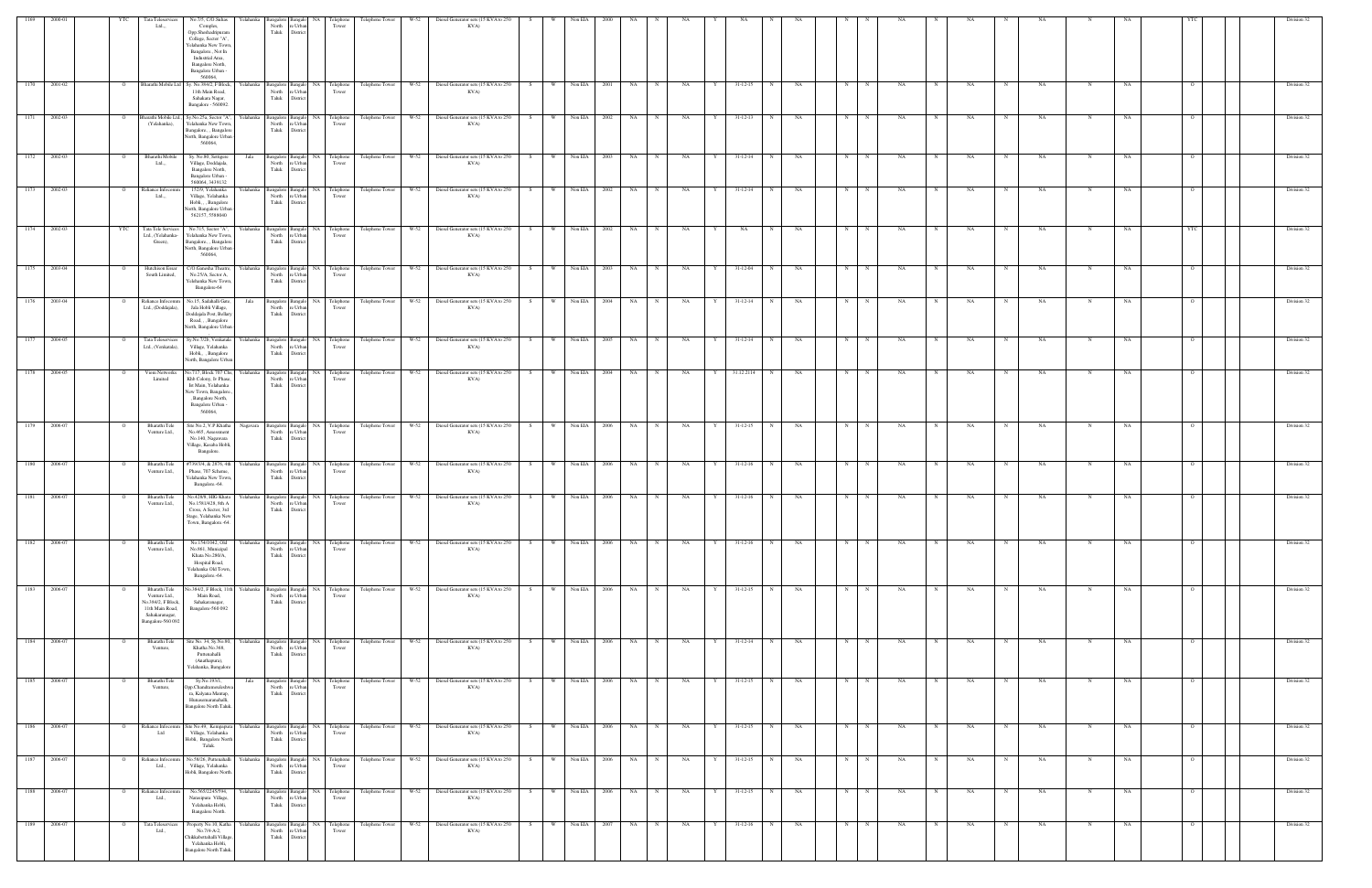| 1169         | 2000-01      | YTC            | Tata Teleservices                                                                                              | No.7/5, C/O.Suhas<br>Yelahanka                                                                                                                                           |                                                                         |                                                   | Telephone Tower      | Diesel Generator sets (15 KVA to 250<br>W-52                                                                                                             |                | Non EIA        |              |                       |                  |   |                |                |           |            |             |           |            |           |             |           |            |           |                | Division 32 |
|--------------|--------------|----------------|----------------------------------------------------------------------------------------------------------------|--------------------------------------------------------------------------------------------------------------------------------------------------------------------------|-------------------------------------------------------------------------|---------------------------------------------------|----------------------|----------------------------------------------------------------------------------------------------------------------------------------------------------|----------------|----------------|--------------|-----------------------|------------------|---|----------------|----------------|-----------|------------|-------------|-----------|------------|-----------|-------------|-----------|------------|-----------|----------------|-------------|
|              |              |                | Ltd.,,                                                                                                         | Comples,<br>Opp.Sheshadripuram<br>College, Sector "A",<br>Yelahanka New Towr<br>Bangalore., Not In<br>Industrial Area,<br>Bangalore North,<br>Bangalore Urban<br>560064, | North<br>e Urbar<br>Taluk<br>District                                   | <b>Telephone</b><br>Tower                         |                      | KVA)                                                                                                                                                     |                |                |              |                       |                  |   |                |                |           |            |             |           |            |           |             |           |            |           |                |             |
|              | 1170 2001-02 | $\overline{O}$ | Bharathi Mobile Ltd                                                                                            | Sy. No.384/2, F Block,<br>11th Main Road,<br>Sahakara Nagar,<br>Bangalore - 560092.                                                                                      | e Urban<br>North<br>Taluk<br>District                                   | Yelahanka Bangalore Bangalo NA Telephone<br>Tower |                      | Telephone Tower W-52 Diesel Generator sets (15 KVA to 250<br>KVA)                                                                                        | S              | W Non EIA      | 2001         | NA 1                  | N<br><b>NA</b>   | Y | $31 - 12 - 15$ | N              | NA        | N          | N           | NA        |            | NA        |             | NA        | N          | NA        |                | Division 32 |
| 1171         | 2002-03      |                | Bharathi Mobile Ltd<br>(Yelahanka),                                                                            | Sy.No.25a, Sector "A"<br>Yelahanka<br>Yelahanka New Town<br>Bangalore., , Bangalore<br>North, Bangalore Urban<br>560064.                                                 | Bangalore Bangalo<br>North<br>e Urban<br>Taluk<br>District              | <b>NA</b><br>Telephone<br>Tower                   | Telephone Tower      | Diesel Generator sets (15 KVA to 250<br>W-52<br>KVA)                                                                                                     |                | Non EIA        | 2002         | NA                    | NA               |   | $31 - 12 - 13$ |                | NA        | $_{\rm N}$ |             | NA        |            | NA        |             | NA        |            | <b>NA</b> |                | Division 32 |
| 1172         | 2002-03      | $\overline{O}$ | Bharathi Mobile<br>Ltd                                                                                         | Sy. No.80, Settigere<br>Jala<br>Village, Doddajala,<br>Bangalore North,<br>Bangalore Urban -<br>560064, 3439132                                                          | Bangalore Bangalo NA<br>North<br>e Urban<br>Taluk<br>District           | Telephone<br>Tower                                | Telephone Tower      | W-52<br>Diesel Generator sets (15 KVA to 250<br>KVA)                                                                                                     | W<br>S         | Non EIA        | 2003         | NA 1                  | <b>NA</b><br>N   | Y | $31 - 12 - 14$ | N              | NA        | N          | N           | NA.       | N          | NA        | N           | NA        | N          | NA        | $\Omega$       | Division 32 |
|              | 1173 2002-03 |                | Reliance Infocom<br>Ltd.,,                                                                                     | 152/9, Yelahanka<br>Village, Yelahanka<br>Hobli, , , Bangalore<br>North, Bangalore Urbar<br>562157, 5588040                                                              | Yelahanka Bangalore Bangalo NA<br>North<br>e Urban<br>Taluk<br>District | Telephone<br>Tower                                | Telephone Tower      | W-52<br>Diesel Generator sets (15 KVA to 250<br>KVA)                                                                                                     | W<br>S         | Non EIA        | 2002         | NA                    | NA               | Y | $31 - 12 - 14$ | $\mathbf N$    | NA        | N          | N           | NA        |            | NA        |             | NA        |            | NA        |                | Division 32 |
| 1174         | 2002-03      | YTC            | Tata Tele Services<br>Ltd., (Yelahanka-<br>Green),                                                             | No.715, Sector "A",<br>Yelahanka New Town<br>Bangalore., , Bangalore<br>North, Bangalore Urban<br>560064,                                                                | Yelahanka Bangalore Bangalo<br>North<br>e Urban<br>Taluk<br>District    | <b>NA</b><br>Telephone<br>Tower                   | Telephone Tower      | Diesel Generator sets (15 KVA to 250<br>W-52<br>KVA)                                                                                                     | W.<br>-S       | Non EIA        | 2002         | NA                    | NA               |   | NA             | $\mathbf N$    | NA        | N          |             | NA        |            | NA        |             | NA        | N          | NA        | YTC            | Division 32 |
| 1175         | 2003-04      |                | Hutchison Essar<br>South Limited,                                                                              | C/O.Ganesha Theatre,<br>Yelahanka<br>No.25/A, Sector A,<br>Yelehanka New Town,<br>Bangalore-64                                                                           | Bangalore<br>North<br>e Urban<br>Taluk<br>District                      | Bangalo NA<br>Telephone<br>Tower                  | Telephone Tower      | $W-52$<br>Diesel Generator sets (15 KVA to 250<br>KVA)                                                                                                   | W<br>S         | Non EIA        | 2003         | NA                    | NA<br>N          |   | 31-12-04       | N              | NA        | N          |             | NA        |            | NA        |             | NA        |            | NA        |                | Division 32 |
|              | 1176 2003-04 |                | Reliance Infocomm<br>Ltd., (Doddajala),                                                                        | No.15, Sadahalli Gate,<br>Jala<br>Jala Hobli Village,<br>Doddajala Post, Bellar<br>Road, , , Bangalore<br>North, Bangalore Urbar                                         | Bangalore Bangalo NA<br>North<br>e Urban<br>Taluk<br>District           | Telephone<br>Tower                                | Telephone Tower      | W-52<br>Diesel Generator sets (15 KVA to 250<br>KVA)                                                                                                     | <b>W</b><br>S. | Non EIA        | 2004         | NA                    | NA<br>$_{\rm N}$ | Y | $31 - 12 - 14$ |                | NA        | N          |             | NA        |            | NA        |             | NA        |            | NA        |                | Division 32 |
| 1177         | 2004-05      |                | Tata Teleservices<br>Ltd., (Venkatala),                                                                        | Sy.No.7/2b, Venkatala<br>Village, Yelahanka<br>Hobli,, Bangalore<br>North, Bangalore Urban                                                                               | Yelahanka Bangalore Bangalo NA<br>North<br>e Urban<br>Taluk<br>District | Telephone<br>Tower                                | Telephone Tower      | $W-52$<br>Diesel Generator sets (15 KVA to 250<br>KVA)                                                                                                   | $W =$<br>S.    | Non EIA        | 2005         | NA                    | NA               | Y | $31 - 12 - 14$ | N              | NA        | N          |             | NA        |            | NA        |             | NA        |            | NA        |                | Division 32 |
| 1178         | 2004-05      |                | Viom Networks<br>Limited                                                                                       | Vo.717, Block 707 Chs<br>Yelahanka<br>Khb Colony, Iv Phase,<br>Ist Main, Yelahanka<br>New Town, Bangalore.<br>, Bangalore North,<br>Bangalore Urban -<br>560064,         | Bangalore Bangalo NA<br>North<br>re Urban<br>Taluk<br>District          | Telephone<br>Tower                                | Telephone Tower      | W-52<br>Diesel Generator sets (15 KVA to 250<br>KVA)                                                                                                     | $W =$<br>S.    | Non EIA        | 2004         | NA                    | NA               |   | 31.12.2114     | N              | NA        | N          |             | NA        |            | NA        |             | NA        |            | NA        |                | Division 32 |
| 1179 2006-07 |              |                | Bharathi Tele<br>Venture Ltd.,                                                                                 | Site No.2, V.P.Khatha<br>Nagavara<br>No.465, Assessment<br>No.140, Nagawara<br>Village, Kasaba Hobli,<br>Bangalore.                                                      | North<br>e Urban<br>Taluk<br>District                                   | Bangalore Bangalo NA Telephone<br>Tower           | Telephone Tower W-52 | Diesel Generator sets (15 KVA to 250<br>KVA)                                                                                                             | w l<br>S       |                | Non EIA 2006 | NA                    | NA<br>N          | Y | $31 - 12 - 15$ | N              | NA        | N          | $\mathbf N$ | NA        |            | NA        |             | NA        |            | NA        |                | Division 32 |
| 1180         | 2006-07      |                | Bharathi Tele<br>Venture Ltd.,                                                                                 | #739/3/4, & 2876, 4th<br>Phase, 707 Scheme,<br>Yelahanka New Town<br>Bangalore.-64.                                                                                      | Yelahanka Bangalore Bangalo NA<br>North<br>e Urban<br>Taluk<br>District | Telephone<br>Tower                                | Telephone Tower      | $W-52$<br>Diesel Generator sets (15 KVA to 250<br>KVA)                                                                                                   | w l<br>S       | Non EIA        | 2006         | NA                    | NA<br>N          | Y | $31-12-16$     | N              | NA        | N          | N           | NA        | N          | NA        | N           | NA        | N          | NA        | $\Omega$       | Division 32 |
| 1181         | 2006-07      |                | Bharathi Tele<br>Venture Ltd.,                                                                                 | No.428/8, HIG Khata<br>Yelahanka l<br>No.1581/428, 8th A<br>Cross, A Sector, 3rd<br>Stage, Yelahanka Nev<br>Town, Bangalore.-64.                                         | Bangalore Bangalo NA<br>North<br>re Urban<br>Taluk<br>District          | Telephone<br>Tower                                | Telephone Tower      | Diesel Generator sets (15 KVA to 250<br>W-52<br>KVA)                                                                                                     | W<br>-S        | Non EIA        | 2006         | NA                    | NA               |   | $31 - 12 - 16$ |                | NA        | N          |             | NA        |            | NA        |             | NA        |            | NΑ        |                | Division 32 |
| 1182         | 2006-07      |                | Bharathi Tele<br>Venture Ltd.,                                                                                 | No.154/1042, Old<br>No.861, Municipal<br>Khata No.280/A,<br>Hospital Road,<br>Yelahanka Old Town,<br>Bangalore.-64.                                                      | Yelahanka Bangalore<br>North<br>e Urban<br>Taluk<br>District            | Bangalo NA<br>Telephone<br>Tower                  | Telephone Tower      | Diesel Generator sets (15 KVA to 250<br>W-52<br>KVA)                                                                                                     | <b>W</b><br>S. | Non EIA        | 2006         | NA                    | NA<br>N          | Y | $31 - 12 - 16$ | N              | NA        | N          | N           | NA        |            | NA        |             | NA        | N          | NA        |                | Division 32 |
|              | 1183 2006-07 | $\overline{O}$ | Bharathi Tele<br>Venture Ltd.,<br>No.384/2, F Block,<br>11th Main Road,<br>Sahakaranagar,<br>Bangalore-560 092 | No.384/2, F Block, 11th<br>Main Road,<br>Sahakaranagar,<br>Bangalore-560 092                                                                                             | North<br>e Urban<br>Taluk<br>District                                   | Yelahanka Bangalore Bangalo NA Telephone<br>Tower |                      | Telephone Tower W-52 Diesel Generator sets (15 KVA to 250 S<br>KVA)                                                                                      |                |                |              | W Non EIA $2006$ NA N | <b>NA</b>        | Y | $31 - 12 - 15$ | $\overline{N}$ | <b>NA</b> | N          | N           | NA        | N          | <b>NA</b> | N           | <b>NA</b> | N          | NA        | $\overline{O}$ | Division 32 |
| 1184         | 2006-07      | $\overline{O}$ | Bharathi Tele<br>Venture,                                                                                      | Site No. 34, Sy.No.80,<br>Khatha No.368,<br>Puttenahalli<br>(Anathapura),<br>Yelahanka, Bangalore                                                                        | North re Urban<br>Taluk<br>District                                     | Tower                                             |                      | Yelahanka Bangalore Bangalo   NA   Telephone   Telephone Tower   W-52   Diesel Generator sets (15 KVA to 250   S   W   Non EIA   2006   NA   N  <br>KVA) |                |                |              |                       | NA               | Y | $31 - 12 - 14$ | N              | NA        | N          | N           | <b>NA</b> | N          | <b>NA</b> | N           | <b>NA</b> | N          | NA        | $\overline{O}$ | Division 32 |
| 1185 2006-07 |              |                | Bharathi Tele<br>Venture,                                                                                      | Sy.No.193/1,<br>Jala<br>Opp.Chandramouleshwa<br>ra, Kalyana Mantap,<br>Hunasemaranahalli,<br>Bangalore North Taluk.                                                      | North<br>e Urban<br>Taluk<br>District                                   | Bangalore Bangalo NA Telephone<br>Tower           | Telephone Tower W-52 | Diesel Generator sets (15 KVA to 250<br>KVA)                                                                                                             | W<br>S         |                | Non EIA 2006 | NA N                  | NA<br>N          | Y | $31 - 12 - 15$ | N              | NA        | N          | N           | NA .      | N          | NA        | N           | NA        | N          | NA        |                | Division 32 |
| 1186 2006-07 |              | $\overline{O}$ | Reliance Infocomm<br>Ltd                                                                                       | Site No.49, Kempapura<br>Village, Yelahanka<br>Hobli, Bangalore North<br>Taluk.                                                                                          | North<br>re Urban<br>Taluk<br>District                                  | Yelahanka Bangalore Bangalo NA Telephone<br>Tower | Telephone Tower      | W-52 Diesel Generator sets (15 KVA to 250<br>KVA)                                                                                                        | S              | W Non EIA 2006 |              | NA NA                 | NA<br>N          | Y | $31 - 12 - 15$ | N              | NA        | N          | N           | NA        | $_{\rm N}$ | NA        | $\mathbf N$ | NA        | N          | NA        | $\overline{O}$ | Division 32 |
| 1187         | 2006-07      | $\circ$        | Reliance Infocomm<br>Ltd.,                                                                                     | No.58/26, Puttenahalli<br>Village, Yelahanka<br>Hobli, Bangalore North.                                                                                                  | North re Urban<br>Taluk<br>District                                     | Yelahanka Bangalore Bangalo NA Telephone<br>Tower | Telephone Tower      | W-52<br>Diesel Generator sets (15 KVA to 250<br>KVA)                                                                                                     | w  <br>S       |                | Non EIA 2006 | NA                    | N<br><b>NA</b>   | Y | $31 - 12 - 15$ | N              | NA        | N          | N           | NA.       | N          | NA        | N           | NA        | $_{\rm N}$ | NA        | $\overline{O}$ | Division 32 |
| 1188         | 2006-07      | - 0            | Reliance Infocomm<br>Ltd.,                                                                                     | No.565/2245/594,<br>Narasipura Village,<br>Yelahanka Hobli,<br>Bangalore North.                                                                                          | Yelahanka Bangalore Bangalo NA<br>North<br>e Urban<br>Taluk<br>District | Telephone<br>Tower                                | Telephone Tower      | Diesel Generator sets (15 KVA to 250<br>$W-52$<br>KVA)                                                                                                   | W.<br>S.       | Non EIA        | 2006         | <b>NA</b>             | NA<br>N          | Y | $31 - 12 - 15$ | N              | NA        | N          | $\mathbf N$ | NA        | N          | NA        | N           | NA        | $_{\rm N}$ | NA        | $\overline{O}$ | Division 32 |
|              | 1189 2006-07 | $\overline{O}$ | Tata Teleservices<br>Ltd.,                                                                                     | Property No.10, Katha<br>No.7/4-A-2,<br>Chikkabettahalli Village<br>Yelahanka Hobli,<br>Bangalore North Taluk                                                            | North<br>e Urbar<br>Taluk<br>District                                   | Yelahanka Bangalore Bangalo NA Telephone<br>Tower | Telephone Tower      | $W-52$<br>Diesel Generator sets (15 KVA to 250<br>KVA)                                                                                                   | - W - I        | Non EIA        | 2007         | NA 1                  | <b>NA</b>        | Y | $31 - 12 - 16$ | N              | NA        | N          | N           | NA        |            | NA        |             | NA        | N          | NA        | $\Omega$       | Division 32 |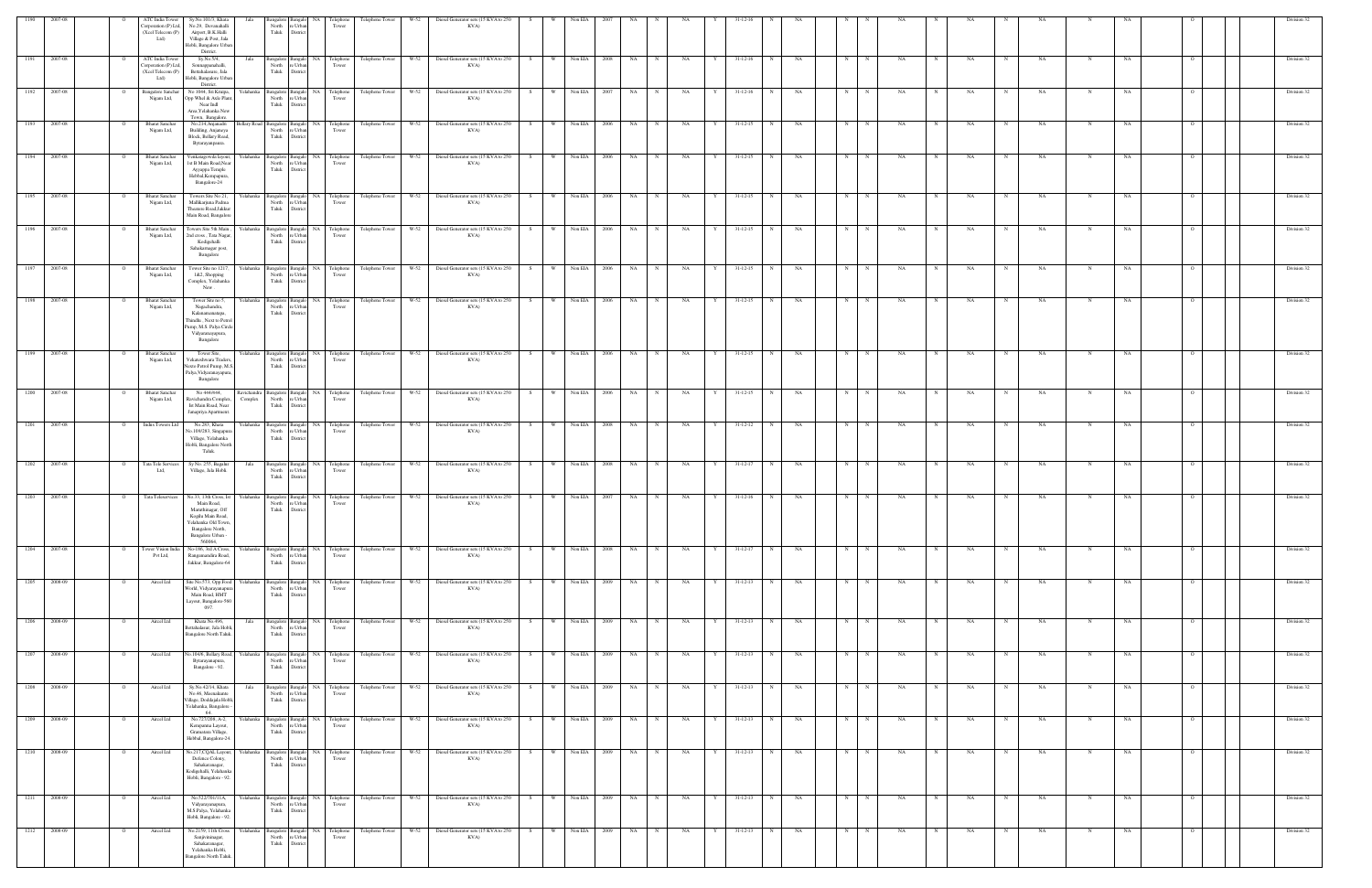| 1190         | 2007-08      |                     | ATC India Tower<br>Corporation (P) Ltd,<br>(Xcel Telecom (P)<br>Ltd) | Sy.No.101/3, Khat<br>No.29, Devanahalli<br>Airport, B.K.Halli<br>Village & Post, Jala<br>Hobli, Bangalore Urban<br>District.                              |                        | North<br>Taluk                                | e Urban<br>District                       | elephor<br>Tower                                  | Telephone Tower                                                  |      | Diesel Generator sets (15 KVA to 250<br>KVA)                                                                 |         |                       |                                |        |                                     |                        |   |            |                                  |              |           |             |                 |          |   |           |                 |                 |                  |          |                     |  | Division 32                |
|--------------|--------------|---------------------|----------------------------------------------------------------------|-----------------------------------------------------------------------------------------------------------------------------------------------------------|------------------------|-----------------------------------------------|-------------------------------------------|---------------------------------------------------|------------------------------------------------------------------|------|--------------------------------------------------------------------------------------------------------------|---------|-----------------------|--------------------------------|--------|-------------------------------------|------------------------|---|------------|----------------------------------|--------------|-----------|-------------|-----------------|----------|---|-----------|-----------------|-----------------|------------------|----------|---------------------|--|----------------------------|
| 1191 2007-08 |              |                     | ATC India Tower<br>Corporation (P) Ltd,<br>(Xcel Telecom (P)<br>Ltd) | Sy.No.5/4,<br>Sonnappanahalli,<br>Bettahalasure, Jala<br>Hobli, Bangalore Urban<br>District.                                                              | Jala                   | Taluk                                         | North re Urban<br>District                | Bangalore Bangalo NA Telephone<br>Tower           | Telephone Tower W-52                                             |      | Diesel Generator sets (15 KVA to 250<br>KVA)                                                                 | S       | <b>W</b>              | Non EIA                        | 2008   | NA<br>N                             | NA                     |   | Y          | $31 - 12 - 16$                   | $\mathbf N$  | NA        | N           |                 | NA       |   | NA        |                 | NA              |                  | NΑ       |                     |  | Division 32                |
| 1192 2007-08 |              |                     | <b>Bangalore Sanchar</b><br>Nigam Ltd,                               | No 1044, Sri Kruipa,<br>Opp Whel & Axle Plant<br>Near Indl<br>Area, Yelahanka New<br>Town, Bangalore.                                                     |                        | North<br>Taluk                                | e Urba<br>District                        | Yelahanka Bangalore Bangalo NA Telephone<br>Tower | Telephone Tower W-52                                             |      | Diesel Generator sets (15 KVA to 250<br>KVA)                                                                 | S.      | <b>W</b>              | Non EIA                        | - 2007 | NA                                  | NA                     | Y |            | $31 - 12 - 16$                   |              | NA        | $\mathbf N$ |                 | NA       |   | NA        |                 | NA              |                  | NA       |                     |  | Division 32                |
| 1193 2007-08 |              |                     | <b>Bharat Sanchar</b><br>Nigam Ltd,                                  | No.214, Anjanadri<br>Building, Anjaneya<br>Block, Bellary Road,<br>Bytarayanpaura.                                                                        |                        | North<br>Taluk                                | re Urban<br>District                      | Tower                                             | Bellary Road Bangalore Bangalo NA Telephone Telephone Tower W-52 |      | Diesel Generator sets (15 KVA to 250<br>KVA)                                                                 | S       | w I                   | Non EIA 2006                   |        | NA<br>N                             | NA                     |   | Y          | $31 - 12 - 15$                   | N            | <b>NA</b> | N           | N               | NA       |   | NA        | $_{\rm N}$      | NA              | N                | NA       |                     |  | Division 32                |
| 1194 2007-08 |              |                     | <b>Bharat Sanchar</b><br>Nigam Ltd,                                  | Venkatagowda layout,<br>1st B Main Road, Near<br>Ayyappa Temple<br>Hebbal, Kempapura,<br>Bangalore-24                                                     |                        | Yelahanka Bangalore Bangalo<br>Taluk District | North re Urban                            | NA Telephone<br>Tower                             | Telephone Tower W-52                                             |      | Diesel Generator sets (15 KVA to 250<br>KVA)                                                                 | S       | W \                   | Non EIA 2006                   |        | NA                                  | NA                     |   | Y          | $31 - 12 - 15$                   |              | NA        | N           |                 | NA       |   | NA        |                 | NA              | N                | NA       |                     |  | Division 32                |
| 1195 2007-08 |              | $\circ$             | <b>Bharat Sanchar</b><br>Nigam Ltd,                                  | Towers Site No 21,<br>Mallikarjuna Padma<br>Theatere Road, Jakkur<br>Main Road, Bangalore                                                                 |                        | North<br>Taluk                                | re Urban<br>District                      | Tower                                             | Yelahanka Bangalore Bangalo NA Telephone Telephone Tower W-52    |      | Diesel Generator sets (15 KVA to 250<br>KVA)                                                                 | S       | W \                   | Non EIA 2006                   |        | <b>NA</b><br>N                      | <b>NA</b>              |   | Y          | $31 - 12 - 15$                   | N            | NA        | N           | N               | NA       | N | NA        | N               | NA              | N                | NA       |                     |  | Division 32                |
| 1196 2007-08 |              |                     | <b>Bharat Sanchar</b><br>Nigam Ltd,                                  | Towers Site 5th Main,<br>2nd cross, Tata Nagar,<br>Kodigehalli<br>Sahakarnagar post,<br>Bangalore                                                         |                        | North<br>Taluk                                | re Urban<br>District                      | Tower                                             |                                                                  |      | Yelahanka Bangalore Bangalo NA Telephone Telephone Tower W-52 Diesel Generator sets (15 KVA to 250 S<br>KVA) |         |                       | W Non EIA 2006                 |        | NA 1<br>N                           | NA                     |   | Y          | $31 - 12 - 15$                   | N            | <b>NA</b> | N           | N               | NA       | N | NA        | $\mathbf N$     | <b>NA</b>       | N                | NA       |                     |  | Division 32                |
| 1197 2007-08 |              |                     | <b>Bharat Sanchar</b><br>Nigam Ltd,                                  | Tower Site no 1217<br>1&2, Shopping<br>Complex, Yelahanka<br>New.                                                                                         |                        | Yelahanka Bangalore Bangalo                   | North re Urban<br>Taluk District          | NA Telephone<br>Tower                             | Telephone Tower W-52                                             |      | Diesel Generator sets (15 KVA to 250<br>KVA)                                                                 | S.      | <b>W</b>              | Non EIA                        | 2006   | NA                                  | NA                     | Y |            | $31 - 12 - 15$                   | N            | NA        | N           |                 | NA       |   | NA        |                 | NA              | N                | NA       |                     |  | Division 32                |
| 1198 2007-08 |              |                     | <b>Bharat Sanchar</b><br>Nigam Ltd,                                  | Tower Site no 5,<br>Nagachandra,<br>Kalanamanatapa,<br>Thindlu, Next to Petrol<br>ump, M.S. Palya Circle<br>Vidyaranayapura,<br>Bangalore                 |                        | North<br>Taluk                                | re Urban<br>Distric                       | Tower                                             | Yelahanka Bangalore Bangalo NA Telephone Telephone Tower W-52    |      | Diesel Generator sets (15 KVA to 250<br>KVA)                                                                 | S       | <b>W</b>              | Non EIA 2006                   |        | <b>NA</b><br>N                      | NA                     |   | Y          | $31 - 12 - 15$                   | N            | NA        | N           | $\mathbf N$     | NA       |   | NA        | N               | NA              | N                | NA       |                     |  | Division 32                |
| 1199 2007-08 |              |                     | <b>Bharat Sanchar</b><br>Nigam Ltd,                                  | Tower Site,<br>Vekateshwara Traders<br>Nexto Petrol Pump, M.S.<br>Palya, Vidyaranayapura,<br>Bangalore                                                    |                        | North<br>Taluk                                | e Urban<br>Distric                        | Tower                                             |                                                                  |      | Yelahanka Bangalore Bangalo NA Telephone Telephone Tower W-52 Diesel Generator sets (15 KVA to 250 S<br>KVA) |         |                       | W Non EIA 2006                 |        | NA 1<br>N                           | <b>NA</b>              |   | Y 31-12-15 | N                                |              | NA        | N           | N               | NA       |   | NA        |                 | <b>NA</b>       | N                | NA       |                     |  | Division 32                |
| 1200 2007-08 |              |                     | <b>Bharat Sanchar</b><br>Nigam Ltd,                                  | No 444/444,<br>Ravichandra Complex,<br>Ist Main Road, Near<br>Janapriya Apartment.                                                                        | Ravichandra<br>Complex | Taluk District                                | Bangalore Bangalo<br>North re Urban       | Tower                                             | NA Telephone Telephone Tower W-52                                |      | Diesel Generator sets (15 KVA to 250<br>KVA)                                                                 | S       | W                     | Non EIA 2006                   |        | <b>NA</b>                           | NA                     |   | Y          | $31 - 12 - 15$                   |              | NA        | N           |                 | NA       |   | NA        |                 | NA              | N                | NA       |                     |  | Division 32                |
|              | 1201 2007-08 | $\overline{O}$      | Indus Towers Ltd                                                     | No.283, Khata<br>No.109/283, Singapura<br>Village, Yelahanka<br>Hobli, Bangalore North<br>Taluk.                                                          |                        | North<br>Taluk                                | re Urban<br>District                      | Tower                                             | Yelahanka Bangalore Bangalo NA Telephone Telephone Tower W-52    |      | Diesel Generator sets (15 KVA to 250<br>KVA)                                                                 | S       | W                     | Non EIA 2008                   |        | NA<br>N                             | NA                     |   | Y          | $31 - 12 - 12$                   | N            | NA        | N           | N               | NA       | N | NA        | N               | NA.             | $\mathbf N$      | NA       |                     |  | Division 32                |
|              | 1202 2007-08 |                     | Tata Tele Services<br>Ltd.                                           | Sy No. 255, Bagalur<br>Village, Jala Hobli.                                                                                                               | Jala                   | North<br>Taluk                                | e Urban<br>Distric                        | Tower                                             |                                                                  |      | Bangalore Bangalo NA Telephone Telephone Tower W-52 Diesel Generator sets (15 KVA to 250<br>KVA)             | S       |                       | W Non EIA 2008                 |        | NA<br>N                             | NA                     |   |            | $31 - 12 - 17$                   | $\mathbb{N}$ | NA        | N           |                 | NA       |   | NA        |                 | NA              |                  | NA       |                     |  | Division 32                |
| 1203 2007-08 |              |                     | Tata Teleservices                                                    | No.33, 13th Cross, Ist<br>Main Road,<br>Maruthinagar, Off<br>Kogilu Main Road,<br>Yelahanka Old Town.<br>Bangalore North,<br>Bangalore Urban -<br>560064, |                        | Yelahanka Bangalore Bangalo<br>North          | re Urban<br>Taluk District                | NA Telephone<br>Tower                             | Telephone Tower                                                  | W-52 | Diesel Generator sets (15 KVA to 250<br>KVA)                                                                 | - S     | W                     | Non EIA                        | - 2007 | NA                                  | NA                     |   |            | $31 - 12 - 16$                   |              | NA        | N           |                 | NA       |   | <b>NA</b> |                 | - NA            |                  | - NA     |                     |  | Division 32                |
| 1205 2008-09 | 1204 2007-08 |                     | Tower Vision India<br>Pvt Ltd,<br>Aircel Ltd                         | No-186, 3rd A Cross,<br>Rangamandira Road,<br>Jakkur, Bangalore-64<br>Site No.573, Opp.Food                                                               | Yelahanka              | North<br>Taluk<br>Bangalore Bangalo           | re Urban<br>District                      | Yelahanka Bangalore Bangalo NA Telephone<br>Tower | Telephone Tower W-52<br>Telephone Tower W-52                     |      | Diesel Generator sets (15 KVA to 250<br>KVA)<br>Diesel Generator sets (15 KVA to 250                         | S<br>S. | W <sub>1</sub><br>W V | Non EIA 2008<br>Non EIA 2009   |        | NA<br>N<br><b>NA</b><br>$\mathbf N$ | NA                     |   | Y<br>Y     | $31 - 12 - 17$<br>$31 - 12 - 13$ | $_{\rm N}$   | NA        | N           | N               | NA<br>NA |   | NA        |                 | NA<br>NA        | N                | NA<br>NA |                     |  | Division 32<br>Division 32 |
|              |              |                     |                                                                      | World, Vidyarayanapu<br>Main Road, HMT<br>Layout, Bangalore-560<br>097.                                                                                   |                        | North<br>Taluk                                | e Urba<br>District                        | NA Telephone<br>Tower                             |                                                                  |      | KVA)                                                                                                         |         |                       |                                |        |                                     | NA                     |   |            |                                  |              | NA        | N           |                 |          |   | NA        |                 |                 |                  |          |                     |  |                            |
| 1206 2008-09 | 1207 2008-09 | $\circ$<br>$\Omega$ | Aircel Ltd<br>Aircel Ltd                                             | Khata No.496,<br>Bettahalasur, Jala Hobli<br>Bangalore North Taluk.<br>No.104/6, Bellary Road,                                                            | Jala<br>Yelahanka      | North<br>Taluk<br>Bangalore Bangalo           | Bangalore Bangalo<br>re Urban<br>District | NA Telephone<br>Tower<br>NA Telephone             | Telephone Tower<br>Telephone Tower W-52                          | W-52 | Diesel Generator sets (15 KVA to 250<br>KVA)<br>Diesel Generator sets (15 KVA to 250                         | S<br>S  | W                     | Non EIA 2009<br>W Non EIA 2009 |        | <b>NA</b><br>N<br>NA<br>N           | NA<br>NA               |   | Y<br>Y     | $31 - 12 - 13$<br>$31 - 12 - 13$ | N<br>N       | NA<br>NA  | N<br>N      | $_{\rm N}$<br>N | NA<br>NA | N | NA<br>NA  | $_{\rm N}$<br>N | NA<br><b>NA</b> | N<br>$\mathbf N$ | NA<br>NA | $\Omega$<br>$\circ$ |  | Division 32<br>Division 32 |
| 1208         | 2008-09      | $\overline{O}$      | Aircel Ltd                                                           | Bytarayanapura,<br>Bangalore - 92.<br>Sy.No.42/14, Khata                                                                                                  | Jala                   | Taluk                                         | North re Urban<br>District                | Tower<br>Bangalore Bangalo NA Telephone           | Telephone Tower W-52                                             |      | KVA)<br>Diesel Generator sets (15 KVA to 250                                                                 | S       | W \                   | Non EIA 2009                   |        | <b>NA</b><br>N                      | $\overline{\text{NA}}$ |   | Y          | $31 - 12 - 13$                   | N            | NA        | N           | N               | NA       | N | NA        | $\mathbf N$     | NA              | $\mathbf N$      | NA       | $\overline{O}$      |  | Division 32                |
| 1209 2008-09 |              |                     | Aircel Ltd                                                           | No.46, Meenakunte<br>Village, Doddajala Hobli<br>Yelahanka, Bangalore<br>64.<br>No.727/208, A-2,                                                          | Yelahanka              | North<br>Taluk                                | re Urban<br>District<br>Bangalore Bangalo | Tower                                             | NA Telephone Telephone Tower W-52                                |      | KVA)<br>Diesel Generator sets (15 KVA to 250                                                                 | S       |                       | W Non EIA 2009                 |        | NA 1<br>N                           | NA                     |   | Y          | 31-12-13 N                       |              | <b>NA</b> | N           | N               | NA       |   | NA        |                 | NA              |                  | NA       |                     |  | Division 32                |
|              |              |                     |                                                                      | Kempanna Layout,<br>Gramatara Village,<br>Hebbal, Bangalore-24.                                                                                           |                        | North<br>Taluk                                | re Urban $\,$<br>District                 | Tower                                             |                                                                  |      | KVA)                                                                                                         |         |                       |                                |        |                                     |                        |   |            |                                  |              |           |             |                 |          |   |           |                 |                 |                  |          |                     |  |                            |
| 1210 2008-09 |              |                     | Aircel Ltd                                                           | No.217, CQAL Layout,<br>Defence Colony,<br>Sahakaranagar,<br>Kodigehalli, Yelahanka<br>Hobli, Bangalore - 92.                                             |                        |                                               | North re Urban<br>Taluk District          | Yelahanka Bangalore Bangalo NA Telephone<br>Tower | Telephone Tower                                                  | W-52 | Diesel Generator sets (15 KVA to 250<br>KVA)                                                                 | S       | W V                   | Non EIA 2009                   |        | NA<br>N                             | NA                     |   | Y          | $31 - 12 - 13$                   | $\mathbf N$  | NA        | N           | $_{\rm N}$      | NA       |   | NA        |                 | NA              | N                | NA       |                     |  | Division 32                |
|              | 1211 2008-09 |                     | Aircel Ltd                                                           | No.522/701/11A,<br>Vidyarayanapura,<br>M.S.Palya, Yelahanka<br>Hobli, Bangalore - 92.                                                                     | Yelahanka              | Bangalore 1<br>North<br>Taluk                 | Bangalo  <br>e Urban<br>District          | NA Telephone<br>Tower                             | Telephone Tower W-52                                             |      | Diesel Generator sets (15 KVA to 250<br>KVA)                                                                 | S.      | <b>W</b>              | Non EIA 2009                   |        | NA                                  | NA                     |   | Y          | $31 - 12 - 13$                   | N            | NA        | N           |                 | NA       |   | NA        |                 | NA              |                  | NA       |                     |  | Division 32                |
|              | 1212 2008-09 | $\overline{O}$      | Aircel Ltd                                                           | No.2159, 11th Cross<br>Sanjivininagar,<br>Sahakaranagar,<br>Yelahanka Hobli,<br><b>Bangalore North Taluk</b>                                              |                        | North<br>Taluk                                | e Urban<br>District                       | Tower                                             | Yelahanka Bangalore Bangalo NA Telephone Telephone Tower W-52    |      | Diesel Generator sets (15 KVA to 250<br>KVA)                                                                 | S       | W                     | Non EIA 2009                   |        | NA 1<br>N                           | NA                     |   | Y          | $31 - 12 - 13$                   | N            | <b>NA</b> | N           | N               | NA       | N | NA        | N               | NA              | N                | NA       | $\Omega$            |  | Division 32                |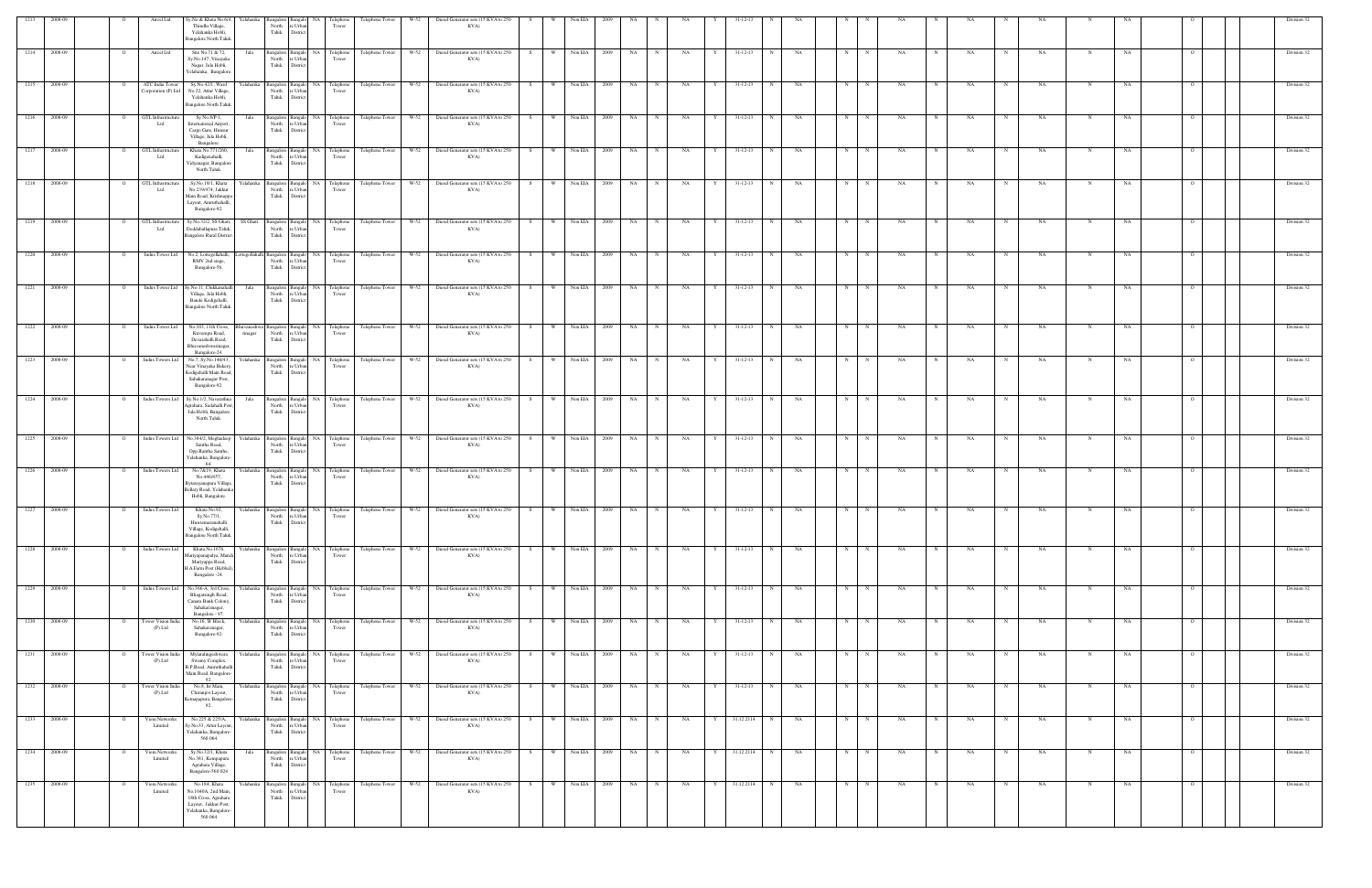|                   |              |                | Aircel Ltd                             | Sy.No & Khata No.6/4,<br>Thindlu Village,                                                                              |           | Bangalore Bangalo<br>North re Urban |                                             | NA Telephone<br>Tower                             | Telephone Tower                                          | W-52   | Diesel Generator sets (15 KVA to 250                                                                                |    |                     |              |           |             |           |   |                     |           |                           |           |                   |             |           |             |           |                |  | Division 32 |
|-------------------|--------------|----------------|----------------------------------------|------------------------------------------------------------------------------------------------------------------------|-----------|-------------------------------------|---------------------------------------------|---------------------------------------------------|----------------------------------------------------------|--------|---------------------------------------------------------------------------------------------------------------------|----|---------------------|--------------|-----------|-------------|-----------|---|---------------------|-----------|---------------------------|-----------|-------------------|-------------|-----------|-------------|-----------|----------------|--|-------------|
|                   |              |                |                                        | Yelahanka Hobli,<br>Bangalore North Taluk.                                                                             |           | Taluk District                      |                                             |                                                   |                                                          |        | KVA)                                                                                                                |    |                     |              |           |             |           |   |                     |           |                           |           |                   |             |           |             |           |                |  |             |
| 1214              | 2008-09      | $\overline{O}$ | Aircel Ltd                             | Site No.71 & 72,<br>Sy.No.147, Vinayaka<br>Nagar, Jala Hobli,<br>Yelahanka, Bangalore                                  | Jala      | North<br>Taluk                      | re Urban<br>District                        | Bangalore Bangalo NA Telephone<br>Tower           | Telephone Tower                                          | W-52   | Diesel Generator sets (15 KVA to 250<br>KVA)                                                                        | S  | W                   | Non EIA 2009 | NA        | N           | NA        | Y | $31 - 12 - 13$<br>N | NA        | N<br>N                    | NA        | NA<br>N           | $\mathbf N$ | NA.       | N           | NA        | - 0            |  | Division 32 |
| 1215 2008-09      |              | $\mathbf{o}$   | ATC India Tower<br>Corporation (P) Ltd | Sy.No.42/1, Ward<br>No.22, Attur Village,<br>Yelahanka Hobli,<br><b>Bangalore North Taluk</b>                          |           | North<br>Taluk District             | re Urban                                    | Tower                                             |                                                          |        | Yelahanka Bangalore Bangalo NA Telephone Telephone Tower W-52 Diesel Generator sets (15 KVA to 250 S<br>KVA)        |    | W Non EIA 2009      |              | NA        |             | NA        | Y | 31-12-13<br>N       | NA        | N<br>N                    | NA        | NA                |             | NA        |             | NA        |                |  | Division 32 |
| 1216              | 2008-09      | $\mathbf{o}$   | GTL Infrastructure<br>Ltd              | Sy.No.8/P-1,<br>International Airport,<br>Cargo Gate, Hunsur<br>Village, Jala Hobli,                                   | Jala      | Taluk District                      | North re Urban                              | Bangalore Bangalo NA Telephone<br>Tower           | Telephone Tower                                          | W-52   | Diesel Generator sets (15 KVA to 250<br>KVA)                                                                        | S  | W                   | Non EIA 2009 | <b>NA</b> | N           | NA        |   | 31-12-13<br>N       | NA        | N                         | NA        | NA                |             | NA        |             |           |                |  | Division 32 |
| $\frac{1217}{2}$  | 2008-09      | $\circ$        | GTL Infrastructure<br>Ltd              | Bangalore.<br>Khata No.771/260<br>Kadigenahalli,<br>Vidyanagar, Bangalore<br>North Taluk.                              | Jala      | North<br>Taluk District             | Bangalore Bangalo NA<br>re Urban            | Telephone<br>Tower                                | Telephone Tower                                          | W-52   | Diesel Generator sets (15 KVA to 250<br>KVA)                                                                        | S. | Non EIA<br><b>W</b> | 2009         | NA        |             | NA        |   | 31-12-13<br>N       | NA        |                           | NA        | NA                |             | NA        |             |           |                |  | Division 32 |
| 1218              | 2008-09      | $\circ$        | GTL Infrastructure<br>Ltd              | Sy.No.19/1, Khata<br>No.239/474, Jakkur<br>Main Road, Krishnapp                                                        |           | North<br>Taluk                      | e Urban<br>District                         | Yelahanka Bangalore Bangalo NA Telephone<br>Tower | Telephone Tower                                          | W-52   | Diesel Generator sets (15 KVA to 250<br>KVA)                                                                        | S  | W                   | Non EIA 2009 | NA        | $\mathbf N$ | NA        | Y | $31 - 12 - 13$<br>N | NA        | $\mathbf N$               | NA        | NA                |             | NA        |             |           |                |  | Division 32 |
| 1219              | 2008-09      | $\circ$        | GTL Infrastructure<br>Ltd              | Layout, Amruthahalli,<br>Bangalore-92.<br>Sy.No.32/2, SS Ghati,<br>Doddaballapura Taluk                                | SS Ghati  | North                               | re Urban                                    | Bangalore Bangalo NA Telephone<br>Tower           | Telephone Tower                                          | W-52   | Diesel Generator sets (15 KVA to 250<br>KVA)                                                                        | S  | $W =$<br>Non EIA    | 2009         | NA        |             | NA        |   | 31-12-13<br>N       | NA        |                           | NA        | NA                |             | NA        |             |           |                |  | Division 32 |
| 1220              | 2008-09      | $\overline{O}$ | Indus Tower Ltd                        | <b>Bangalore Rural District</b><br>No.2, Lottegollahalli,                                                              |           | Taluk                               | District                                    | ottegollahalli Bangalore Bangalo NA Telephone     | Telephone Tower                                          | W-52   | Diesel Generator sets (15 KVA to 250 S W                                                                            |    |                     | Non EIA 2009 | <b>NA</b> | N           | NA        | Y | 31-12-13<br>N       | NA        | N                         | NA        | NA                | $\mathbf N$ | NA        | $_{\rm N}$  | NA        |                |  | Division 32 |
| $\overline{1221}$ | 2008-09      | $\circ$        | Indus Tower Ltd                        | RMV 2nd stage,<br>Bangalore-56.<br>Sy.No.11, Chikkanahalli                                                             | Jala      | Taluk District                      | North re Urban                              | Tower<br>Bangalore Bangalo NA Telephone           | Telephone Tower                                          | $W-52$ | KVA)<br>Diesel Generator sets (15 KVA to 250                                                                        | S  | W \                 | Non EIA 2009 | NA        | N           | NA        | Y | $31 - 12 - 13$<br>N | NA        | N                         | NA        | NA                |             | NA        |             | NA        |                |  | Division 32 |
|                   |              |                |                                        | Village, Jala Hobli,<br>Bande Kodigehalli,<br><b>Bangalore North Taluk</b>                                             |           | North<br>Taluk                      | e Urban<br>District                         | Tower                                             |                                                          |        | KVA)                                                                                                                |    |                     |              |           |             |           |   |                     |           |                           |           |                   |             |           |             |           |                |  |             |
| 1222              | 2008-09      | $\mathbf{o}$   | Indus Tower Ltd                        | No.103, 11th Cross,<br>Kuvempu Road,<br>Devarahalli Road,<br>Bhuvaneshwarinagar<br>Bangalore-24.                       | rinagar   | North<br>Taluk District             | re Urban                                    | uvaneshwa Bangalore Bangalo NA Telephone<br>Tower | Telephone Tower                                          | W-52   | Diesel Generator sets (15 KVA to 250<br>KVA)                                                                        | S  | Non EIA<br>W        | 2009         | NA        | N           | NA        | Y | 31-12-13<br>N       | NA        | N<br>N                    | NA        | NA                |             | NA        |             | NA        |                |  | Division 32 |
| 1223              | 2008-09      | $\circ$        | Indus Towers Ltd                       | No.7, Sy.No.140/43,<br>Near Vinayaka Bakery<br>Kodigehalli Main Road,<br>Sahakaranagar Post,<br>Bangalore-92.          | Yelahanka | Taluk District                      | North re Urban                              | Bangalore Bangalo NA Telephone<br>Tower           | Telephone Tower                                          | W-52   | Diesel Generator sets (15 KVA to 250<br>KVA)                                                                        | S  | W                   | Non EIA 2009 | NA        |             | NA        |   | $31 - 12 - 13$<br>N | NA        | $_{\rm N}$<br>$\mathbf N$ | NA        | NA                |             | NA        |             |           |                |  | Division 32 |
| 1224              | 2008-09      | $\circ$        | <b>Indus Towers Ltd</b>                | Sy.No.1/2, Navarathna<br>Agrahara, Sadahalli Post<br>Jala Hobli, Bangalore                                             | Jala      | North<br>Taluk                      | e Urban<br>District                         | Bangalore Bangalo NA Telephone<br>Tower           | Telephone Tower                                          | W-52   | Diesel Generator sets (15 KVA to 250<br>KVA)                                                                        | S. | Non EIA<br>W        | 2009         | <b>NA</b> | $_{\rm N}$  | NA        |   | $31 - 12 - 13$<br>N | NA        | N<br>N                    | NA        | NA                |             | <b>NA</b> |             |           |                |  | Division 32 |
|                   | 1225 2008-09 | $\overline{O}$ |                                        | North Taluk.<br>Indus Towers Ltd No.384/2, Meghadeep                                                                   |           |                                     |                                             |                                                   |                                                          |        | Yelahanka Bangalore Bangalo NA Telephone Telephone Tower W-52 Diesel Generator sets (15 KVA to 250 S W Non EIA 2009 |    |                     |              | <b>NA</b> | N           | NA        | Y | 31-12-13<br>N       | <b>NA</b> | N<br>N                    | NA        | NA                |             | NA        |             |           |                |  | Division 32 |
| 1226              | 2008-09      | $\overline{O}$ | Indus Towers Ltd                       | Santhe Road,<br>Opp.Rantha Santhe.<br>Yelahanka, Bangalore<br>64.<br>No.7&19, Khata                                    | relahanka | North<br>Taluk                      | e Urban<br>District<br>Bangalore Bangalo NA | Tower<br>Telephone                                | Telephone Tower                                          | $W-52$ | KVA)<br>Diesel Generator sets (15 KVA to 250                                                                        | S  | Non EIA<br>W        | 2009         | NA        |             | NA        |   | $31 - 12 - 13$      | <b>NA</b> |                           |           |                   |             | NA        |             | <b>NA</b> |                |  | Division 32 |
|                   |              |                |                                        | No.446/457,<br>3ytarayanapura Village<br>Bellary Road, Yelahanka<br>Hobli, Bangalore.                                  |           | North<br>Taluk                      | re Urban<br><b>District</b>                 | Tower                                             |                                                          |        | KVA)                                                                                                                |    |                     |              |           |             |           |   |                     |           |                           |           |                   |             |           |             |           |                |  |             |
| 1227              | 2008-09      | $\overline{O}$ | Indus Towers Ltd                       | Khata No.92,<br>Sy.No.77/1,<br>Hunsemaranahalli<br>Village, Kodigehalli,<br>Bangalore North Taluk.                     |           |                                     | North re Urban<br>Taluk District            | Tower                                             | Yelahanka Bangalore Bangalo NA Telephone Telephone Tower | $W-52$ | Diesel Generator sets (15 KVA to 250 S<br>KVA)                                                                      |    | Non EIA<br>w l      | 2009         | <b>NA</b> | N           | NA        | Y | 31-12-13<br>N       | NA        |                           | NA        | NA                |             | NA        | $\mathbf N$ | NA        |                |  | Division 32 |
|                   | 1228 2008-09 | $\Omega$       | Indus Towers Ltd                       | Khata.No.1676,<br>Aariyapanapalya, Mand<br>Mariyappa Road,<br>H.A.Farm Post (Hebbal).<br>Bangalore -24.                |           | North<br>Taluk District             | e Urban                                     | Tower                                             |                                                          |        | Yelahanka Bangalore Bangalo NA Telephone Telephone Tower W-52 Diesel Generator sets (15 KVA to 250 S<br>KVA)        |    | W Non EIA 2009      |              | NA N      | $\mathbb N$ | NA        | Y | 31-12-13<br>N       | <b>NA</b> | N<br>N                    | NA        | NA                |             | NA        |             | NA        |                |  | Division 32 |
| 1229 2008-09      |              | $\overline{O}$ | Indus Towers Ltd                       | No.366-A, 3rd Cross,<br>Bhagatsingh Road,<br>Canara Bank Colony,<br>Sahakaranagar,                                     |           | Taluk District                      | North re Urban                              | Yelahanka Bangalore Bangalo NA Telephone<br>Tower | Telephone Tower                                          | W-52   | Diesel Generator sets (15 KVA to 250<br>KVA)                                                                        | S  | $W =$               | Non EIA 2009 | NA        | N           | $\rm NA$  | Y | $31 - 12 - 13$<br>N | NA        | N<br>N                    | <b>NA</b> | NA                | N           | NA.       | N           | NA        |                |  | Division 32 |
|                   | 1230 2008-09 | $\overline{O}$ | Tower Vision India<br>$(P)$ Ltd        | Bangalore - 97.<br>No.16, 'B' Block,<br>Sahakaranagar,<br>Bangalore-92.                                                | Yelahanka |                                     | North re Urban<br>Taluk District            | Bangalore Bangalo NA Telephone<br>Tower           | Telephone Tower                                          | $W-52$ | Diesel Generator sets (15 KVA to 250 S W Non EIA 2009<br>KVA)                                                       |    |                     |              | <b>NA</b> | N           | <b>NA</b> | Y | 31-12-13<br>N       | NA        | N<br>N                    | <b>NA</b> | NA<br>N           | $\mathbf N$ | NA.       | $\mathbf N$ | NA        | $\overline{O}$ |  | Division 32 |
| 1231              | 2008-09      | $\circ$        | Tower Vision India<br>$(P)$ Ltd        | Mylaralingeshwara<br>Swamy Complex,<br>B.P.Road, Amruthahall<br>Main Road, Bangalore-                                  |           | North<br>Taluk                      | e Urban<br>District                         | Yelahanka Bangalore Bangalo NA Telephone<br>Tower | Telephone Tower                                          | $W-52$ | Diesel Generator sets (15 KVA to 250<br>KVA)                                                                        | S  | W Non EIA 2009      |              | NA        | $_{\rm N}$  | NA        | Y | $31 - 12 - 13$<br>N | NA        | $\mathbb{N}$<br>N         | NA        | NA                | N           | NA.       | N           | NA        |                |  | Division 32 |
|                   | 1232 2008-09 | $\overline{O}$ | Tower Vision India<br>(P) Ltd          | 92.<br>No.8, Ist Main,<br>Chiranjivi Layout,<br>Kemapapura, Bangalore<br>92.                                           |           | North<br>Taluk District             | re Urban                                    | Tower                                             | Yelahanka Bangalore Bangalo NA Telephone Telephone Tower |        | W-52 Diesel Generator sets (15 KVA to 250 S W Non EIA 2009<br>KVA)                                                  |    |                     |              | NA N      | N           | <b>NA</b> | Y | 31-12-13 N          | NA        | N<br>N                    | <b>NA</b> | $\mathbf N$<br>NA | N           | <b>NA</b> | N           | NA        | $\overline{O}$ |  | Division 32 |
| 1233 2008-09      |              | $\overline{O}$ | Viom Networks<br>Limited               | No.225 & 225/A,<br>Sy.No.33, Attur Layout,<br>Yelahanka, Bangalore-<br>560 064                                         | Yelahanka | Taluk District                      | North re Urban                              | Bangalore Bangalo NA Telephone<br>Tower           | Telephone Tower                                          | W-52   | Diesel Generator sets (15 KVA to 250 S<br>KVA)                                                                      |    | W Non EIA 2009      |              | NA        | N           | NA        | Y | 31.12.2114 N        | NA        | N<br>N                    | NA        | NA                | $_{\rm N}$  | <b>NA</b> | N           | NA        | $\circ$        |  | Division 32 |
|                   | 1234 2008-09 | $\overline{O}$ | Viom Networks<br>Limited               | Sy.No.32/1, Khata<br>No.381, Kempapura<br>Agrahara Village,<br>Bangalore-560 024                                       | Jala      | Taluk                               | North re Urban<br>District                  | Tower                                             | Bangalore Bangalo NA Telephone Telephone Tower           | W-52   | Diesel Generator sets (15 KVA to 250 S W Non EIA 2009<br>KVA)                                                       |    |                     |              | NA N      | N           | NA        | Y | 31.12.2114 N        | NA        | N<br>N                    | <b>NA</b> | $_{\rm N}$<br>NA  | N           | NA        | N           | NA        | $\overline{O}$ |  | Division 32 |
| 1235 2008-09      |              | $\circ$        | Viom Networks<br>Limited               | No.184, Khata<br>No.1040A, 2nd Main<br>18th Cross, Agrahara<br>Layout, Jakkur Post,<br>Yelahanka, Bangalore<br>560 064 | Yelahanka | North<br>Taluk                      | e Urban<br>District                         | Bangalore Bangalo NA Telephone<br>Tower           |                                                          |        | Telephone Tower W-52 Diesel Generator sets (15 KVA to 250 S W Non EIA 2009<br>KVA)                                  |    |                     |              | NA N      |             | NA        | Y | 31.12.2114 N        | NA        | N<br>N                    | NA        | NA                | $\mathbf N$ | NA        |             | NA        |                |  | Division 32 |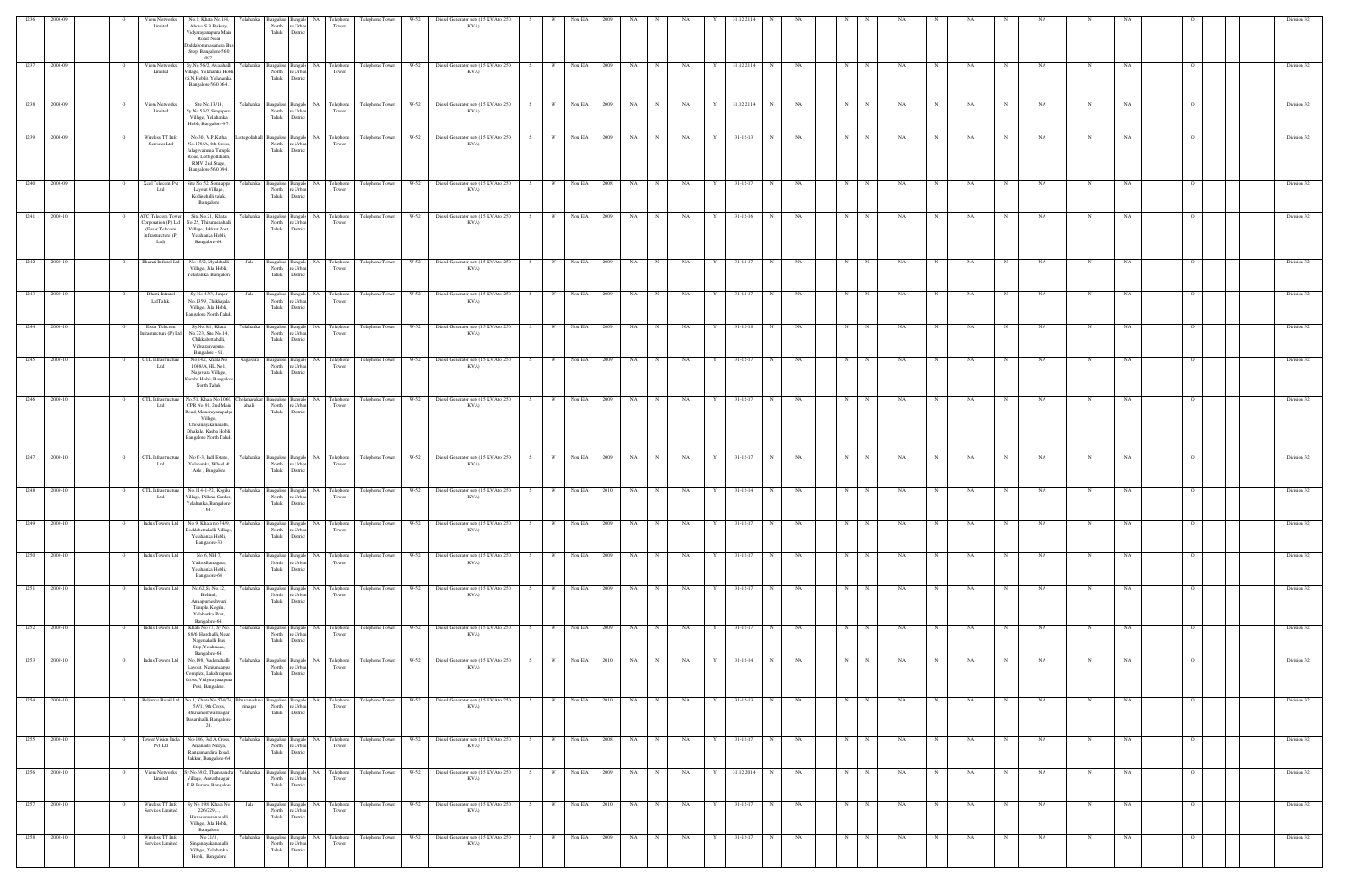| 1236   | 2008-09      |                | Viom Networks<br>Limited                                                                    | No.1, Khata No.1/4,<br>Yelahanka<br>Above S.B.Bakery,<br>Vidyarayanapura Main<br>Road, Near<br>oddabommasandra B<br>Stop, Bangalore-560<br>097                        | North<br>e Urbar<br>Taluk<br>District                                                              | 'elephon<br>Tower                                   | <b>Telephone Tower</b> | Diesel Generator sets (15 KVA to 250<br>W-52<br>KVA)              |                  |                |              |           |                   |   |                |             |    |   |             |           |             |           |            |           |            |    |                | Division 32 |
|--------|--------------|----------------|---------------------------------------------------------------------------------------------|-----------------------------------------------------------------------------------------------------------------------------------------------------------------------|----------------------------------------------------------------------------------------------------|-----------------------------------------------------|------------------------|-------------------------------------------------------------------|------------------|----------------|--------------|-----------|-------------------|---|----------------|-------------|----|---|-------------|-----------|-------------|-----------|------------|-----------|------------|----|----------------|-------------|
| 1237   | 2008-09      |                | Viom Networks<br>Limited                                                                    | Sy.No.56/2, Avalahalli<br>'illage, Yelahanka Hobl<br>(S.N.Hobli), Yelahanka<br>Bangalore-560 064.                                                                     | Yelahanka Bangalore<br>North<br>e Urban<br>Taluk<br>District                                       | Bangalo NA<br>Telephone<br>Tower                    | Telephone Tower        | W-52<br>Diesel Generator sets (15 KVA to 250<br>KVA)              | W<br>S           | Non EIA        | 2009         | NA 1      | NA<br>N           | Y | 31.12.2114     | N           | NA | N | N           | NA        | N           | NA        |            | NA        | N          | NA | - 0            | Division 32 |
|        | 1238 2008-09 |                | Viom Networks<br>Limited                                                                    | Site No.13/14,<br>Sy.No.53/2, Singapura<br>Village, Yelahanka<br>Hobli, Bangalore-97.                                                                                 | Yelahanka Bangalore<br>North<br>e Urbar<br>Taluk<br>District                                       | Telephone<br>Bangalo NA<br>Tower                    | Telephone Tower W-52   | Diesel Generator sets (15 KVA to 250<br>KVA)                      |                  | Non EIA        |              | NA        | NA                |   | 31.12.2114     |             | NA | N |             | NA        |             | NA        |            | NA        |            | NA |                | Division 32 |
| 1239   | 2008-09      |                | Wireless TT Info<br>Services Ltd                                                            | No.30, V.P, Katha<br>No.178/A, 4th Cross,<br>Jalagevamma Temple<br>Road, Lottegollahalli,<br>RMV 2nd Stage,<br>Bangalore-560 094.                                     | ottegollahalli Bangalore Bangalo NA<br>North<br>e Urban<br>Taluk<br>District                       | Telephone<br>Tower                                  | Telephone Tower        | W-52<br>Diesel Generator sets (15 KVA to 250<br>KVA)              | $W =$<br>S       | Non EIA        | 2009         | NA        | NA<br>$_{\rm N}$  | Y | $31 - 12 - 13$ | N           | NA | N |             | NA.       |             | NA        |            | NA        | N          | NA |                | Division 32 |
| 1240   | 2008-09      | $\overline{O}$ | Xcel Telecom Pvt<br>Ltd                                                                     | Site No 52, Sonnappa<br>Layout Village,<br>Kodigehalli taluk,<br>Bangalore                                                                                            | North<br>re Urban<br>Taluk<br>District                                                             | Yelahanka Bangalore Bangalo NA Telephone<br>Tower   | Telephone Tower        | W-52 Diesel Generator sets (15 KVA to 250 S<br>KVA)               | W                | Non EIA        | 2008         | NA        | N<br>NA           | Y | $31 - 12 - 17$ | N           | NA | N | N           | NA        | N           | NA        | N          | NA        | N          | NA | $\overline{O}$ | Division 32 |
|        | 1241 2009-10 |                | ATC Telecom Tower<br>Corporation (P) Ltd<br>(Essar Telecom<br>Infrasturcture (P)<br>$Ltd$ ) | Site.No.21, Khata<br>No.25, Thirumenahalli<br>Village, Jakkur Post,<br>Yelahanka Hobli,<br>Bangalore-64.                                                              | North<br>e Urban<br>Taluk<br>District                                                              | Yelahanka Bangalore Bangalo NA Telephone<br>Tower   | Telephone Tower W-52   | Diesel Generator sets (15 KVA to 250<br>KVA)                      | W<br>S           |                | Non EIA 2009 | NA 1      | NA<br>N           | Y | $31 - 12 - 16$ | N           | NA | N | $\mathbf N$ | NA.       | N           | NA        | N          | NA        | N          | NA |                | Division 32 |
| 1242   | 2009-10      | $\Omega$       | Bharati Infratel Ltd                                                                        | No 45/2, Myalahalli<br>Jala<br>Village, Jala Hobli,<br>Yelahanka, Bangalore                                                                                           | North<br>re Urban<br>Taluk<br>District                                                             | Bangalore Bangalo NA Telephone<br>Tower             | Telephone Tower        | W-52 Diesel Generator sets (15 KVA to 250<br>KVA)                 | S                | W Non EIA      | 2009         | NA        | NA<br>N           | Y | $31 - 12 - 17$ | N           | NA | N | $\mathbf N$ | NA        |             | NA        |            | NA        | N          | NA | $\Omega$       | Division 32 |
| 1243   | 2009-10      |                | Bharti Infratel<br>LtdTaluk.                                                                | Sy No 43/3, Janjer<br>Jala<br>No.1359, Chikkajala<br>Village, Jala Hobli,<br><b>Bangalore North Taluk</b>                                                             | North<br>re Urban<br>Taluk<br>District                                                             | Bangalore Bangalo NA Telephone<br>Tower             | Telephone Tower        | Diesel Generator sets (15 KVA to 250<br>$W-52$<br>KVA)            | S<br>W           | Non EIA        | 2009         | <b>NA</b> | NA<br>$_{\rm N}$  | Y | $31 - 12 - 17$ | N           | NA | N | N           | NA.       |             | NA        |            | NA        | N          | NA |                | Division 32 |
| 1244   | 2009-10      |                | Essar Telecom<br>nfrasturcture (P) Ltd                                                      | Sy.No.8/1, Khata<br>No.723, Site No.14,<br>Chikkabettahalli,<br>Vidyaranyapura,<br>Bangalore - 91.                                                                    | Yelahanka Bangalore Bangalo NA<br>North<br>e Urban<br>Taluk<br>District                            | Telephone<br>Tower                                  | Telephone Tower        | Diesel Generator sets (15 KVA to 250<br>W-52<br>KVA)              | W V<br>S.        | Non EIA        | 2009         | NA        | NA<br>N           | Y | $31 - 12 - 18$ | $\mathbf N$ | NA | N | N           | NA        |             | NA        |            | NA        | N          | NA |                | Division 32 |
|        | 1245 2009-10 | $\Omega$       | <b>GTL</b> Infrastructure<br>Ltd                                                            | No 142, Khata No<br>Nagavara<br>1008/A, HL No1,<br>Nagavara Village,<br>Kasaba Hobli, Bangalor<br>North Taluk.                                                        | North<br>e Urban<br>Taluk<br>District                                                              | Bangalore Bangalo NA Telephone<br>Tower             | Telephone Tower        | $W-52$<br>Diesel Generator sets (15 KVA to 250<br>KVA)            | w -<br>- S -     | Non EIA        | 2009         | NA        | NA                |   | 31-12-17       | N           | NA | N |             | NA        |             | NA        |            | NA.       |            | NA |                | Division 32 |
| $1246$ | 2009-10      |                | GTL Infrastructu<br>Ltd                                                                     | No.51, Khata No 1060,<br>CPR No 91, 2nd Main<br>ahalli<br>Road, Manorayanapalya<br>Village,<br>Cholanayakanahalli,<br>Dhakale, Kasba Hobli.<br>Bangalore North Taluk. | North re Urban<br>Taluk<br>District                                                                | holanayakan Bangalore Bangalo NA Telephone<br>Tower | Telephone Tower        | W-52 Diesel Generator sets (15 KVA to 250<br>KVA)                 | S.               | W Non EIA      | 2009         | NA        | NA<br>N           | Y | $31 - 12 - 17$ | N           | NA | N | $\mathbf N$ | NA        |             | NA        |            | NA        | $_{\rm N}$ | NA |                | Division 32 |
|        | 1247 2009-10 | $\overline{O}$ | GTL Infrastructu<br>Ltd                                                                     | No C-3, Indl Estate,<br>Yelahanka, Wheel &<br>Axle, Bangalore                                                                                                         | Yelahanka Bangalore Bangalo NA<br>North<br>e Urban<br>Taluk<br>District                            | Telephone<br>Tower                                  | Telephone Tower W-52   | Diesel Generator sets (15 KVA to 250<br>KVA)                      | W<br>S           | Non EIA        | 2009         | NA        | NA<br>N           | Y | $31 - 12 - 17$ | N           | NA | N | $\mathbf N$ | NA        |             | NA        |            | NA        | N          | NA |                | Division 32 |
|        | 1248 2009-10 | $\overline{O}$ | GTL Infrastructure<br>Ltd                                                                   | No.114-1-P2, Kogilu<br>Village, Pillana Garden,<br>Yelahanka, Bangalore-<br>64.                                                                                       | Yelahanka Bangalore Bangalo NA<br>e Urban<br>North<br>Taluk<br>District                            | Telephone<br>Tower                                  | Telephone Tower        | W-52<br>Diesel Generator sets (15 KVA to 250<br>KVA)              | w I<br>S         | Non EIA        | 2010         | NA        | NA<br>N           |   | 31-12-14       | N           | NA | N | N           | NA        |             | NA        |            | NA        | N          | NA |                | Division 32 |
| 1249   | 2009-10      |                | <b>Indus Towers Ltd</b>                                                                     | No 9, Khata no 74/9,<br>Yelahanka<br>Ooddabettahalli Village<br>Yelahanka Hobli,<br>Bangalore-30                                                                      | Bangalore<br>Bangalo<br>North<br>re Urban<br>Taluk<br>District                                     | <b>NA</b><br>Telephone<br>Tower                     | Telephone Tower        | W-52<br>Diesel Generator sets (15 KVA to 250<br>KVA)              | W                | Non EIA        | 2009         | NA        | NA                |   | $31 - 12 - 17$ | $\mathbf N$ | NA | N |             | NA        |             | NA        |            | NA        |            | NA |                | Division 32 |
| 1250   | 2009-10      |                | <b>Indus Towers Ltd</b>                                                                     | No 6, NH 7,<br>Yelahanka<br>Yashodhanagara,<br>Yelahanka Hobli,<br>Bangalore-64                                                                                       | Bangalore<br>North<br>e Urban<br>Taluk<br>District                                                 | Bangalo NA<br>Telephone<br>Tower                    | Telephone Tower        | $W-52$<br>Diesel Generator sets (15 KVA to 250<br>KVA)            |                  | Non EIA        | 2009         | NA        | NA                |   | $31 - 12 - 17$ |             | NA | N |             | NA        |             | NA        |            | NA.       |            | NA |                | Division 32 |
|        | 1251 2009-10 | $\overline{O}$ | Indus Towers Ltd                                                                            | No.62, Sy No.12,<br>Behind,<br>Annapurneshwari<br>Temple, Kogilu,<br>Yelahanka Post,<br>Bangalore-64.                                                                 | e Urban<br>North<br>Taluk<br>District                                                              | Yelahanka Bangalore Bangalo NA Telephone<br>Tower   |                        | Telephone Tower W-52 Diesel Generator sets (15 KVA to 250<br>KVA) | S W Non EIA 2009 |                |              | NA N      | N<br><b>NA</b>    | Y | 31-12-17       | N           | NA | N | N           | NA        | N           | <b>NA</b> | N          | <b>NA</b> | N          | NA | $\Omega$       | Division 32 |
| 1252   | 2009-10      | $\circ$        | Indus Towers Ltd                                                                            | Khata No 77, Sy No.<br>Yelahanka<br>68/6, Harohalli, Near<br>Nagenahalli Bus<br>Stop, Yelahnaka,<br>Bangalore-64.                                                     | Bangalore Bangalo NA<br>North<br>re Urban<br>Taluk<br>District                                     | Telephone<br>Tower                                  | Telephone Tower        | Diesel Generator sets (15 KVA to 250<br>W-52<br>KVA)              | W<br>S.          | Non EIA        | 2009         | NA        | NA<br>$_{\rm N}$  | Y | $31 - 12 - 17$ | N           | NA | N | $\mathbf N$ | <b>NA</b> |             | NA        |            | NA        | N          | NA | $\Omega$       | Division 32 |
| 1253   | 2009-10      | $\circ$        | Indus Towers Ltd                                                                            | No.198, Vadenahalli<br>Layout, Nanjundappa<br>Complex, Lakshmipura<br>Cross, Vidyarayanapura<br>Post, Bangalore.                                                      | North<br>re Urban<br>Taluk<br>District                                                             | Yelahanka Bangalore Bangalo NA Telephone<br>Tower   | Telephone Tower        | W-52<br>Diesel Generator sets (15 KVA to 250<br>KVA)              | W<br>S           | Non EIA        | 2010         | NA 1      | N<br><b>NA</b>    | Y | $31 - 12 - 14$ | N           | NA | N | N           | NA .      | N           | NA        | N          | NA        | N          | NA | $\overline{O}$ | Division 32 |
|        | 1254 2009-10 | $\circ$        |                                                                                             | Reliance Retail Ltd No.1, Khata No.574/74,<br>5A/1, 9th Cross,<br>rinagar<br>Bhuvaneshwarinagar,<br>Dasarahalli, Bangalore-<br>24.                                    | North<br>re Urban<br>Taluk<br>District                                                             | huvaneshwa Bangalore Bangalo NA Telephone<br>Tower  |                        | Telephone Tower W-52 Diesel Generator sets (15 KVA to 250<br>KVA) | S                | W Non EIA 2010 |              | NA N      | NA                | Y | $31 - 12 - 13$ | N           | NA | N | N           | NA        | $\mathbf N$ | NA        | $_{\rm N}$ | NA        | N          | NA |                | Division 32 |
| 1255   | 2009-10      | $\circ$        | Tower Vision India<br>Pvt Ltd                                                               | No-186, 3rd A Cross,<br>Anjanadri Nilaya,<br>Rangamandira Road,<br>Jakkur, Bangalore-64                                                                               | North re Urban<br>Taluk<br>District                                                                | Yelahanka Bangalore Bangalo NA Telephone<br>Tower   | Telephone Tower        | Diesel Generator sets (15 KVA to 250<br>W-52<br>KVA)              | w I<br>S –       | Non EIA        | 2008         | NA        | NA<br>N           | Y | $31 - 12 - 17$ | N           | NA | N | $\mathbf N$ | <b>NA</b> | N           | NA        |            | NA        | N          | NA | $\Omega$       | Division 32 |
| 1256   | 2009-10      |                | Viom Networks<br>Limited                                                                    | Sy.No.69/2, Thanisandr.<br>Village, Aswathnagar,<br>K.R.Puram, Bangalore                                                                                              | Yelahanka Bangalore Bangalo NA<br>North<br>re Urban<br>Taluk<br>District                           | Telephone<br>Tower                                  | Telephone Tower        | Diesel Generator sets (15 KVA to 250<br>$W-52$<br>KVA)            | W<br>S –         | Non EIA        | 2009         | NA        | N<br>NA           | Y | 31.12.2014     | N           | NA | N | N           | NA        |             | NA        |            | NA        | N          | NA | $\circ$        | Division 32 |
| 1257   | 2009-10      |                | Wireless TT Info<br>Services Limited                                                        | Sy No 198, Khata No<br>Jala<br>226/229,,<br>Hunasemaranahalli<br>Village, Jala Hobli,<br>Bangalore                                                                    | $\textbf{Bangalore}\quad\textbf{Bangalo}\quad\textbf{NA}$<br>North<br>e Urban<br>Taluk<br>District | Telephone<br>Tower                                  | Telephone Tower        | W-52<br>Diesel Generator sets (15 KVA to 250<br>KVA)              | W.<br>S.         | Non EIA        | 2010         | NA        | NA<br>N           | Y | $31 - 12 - 17$ | $_{\rm N}$  | NA | N | $_{\rm N}$  | NA        |             | NA        |            | NA        | N          | NA |                | Division 32 |
|        | 1258 2009-10 |                | Wireless TT Info<br>Services Limited                                                        | No 21/1,<br>Yelahanka<br>Singanayakanahalli<br>Village, Yelahanka<br>Hobli, Bangalore                                                                                 | North<br>e Urban<br>Taluk<br>District                                                              | Bangalore Bangalo NA Telephone<br>Tower             | Telephone Tower        | $W-52$<br>Diesel Generator sets (15 KVA to 250<br>KVA)            | <b>W</b><br>S.   | Non EIA        | 2009         | NA        | NA<br>$\mathbf N$ | Y | $31-12-17$     | N           | NA | N | N           | NA        |             | NA        |            | NA        |            | NA |                | Division 32 |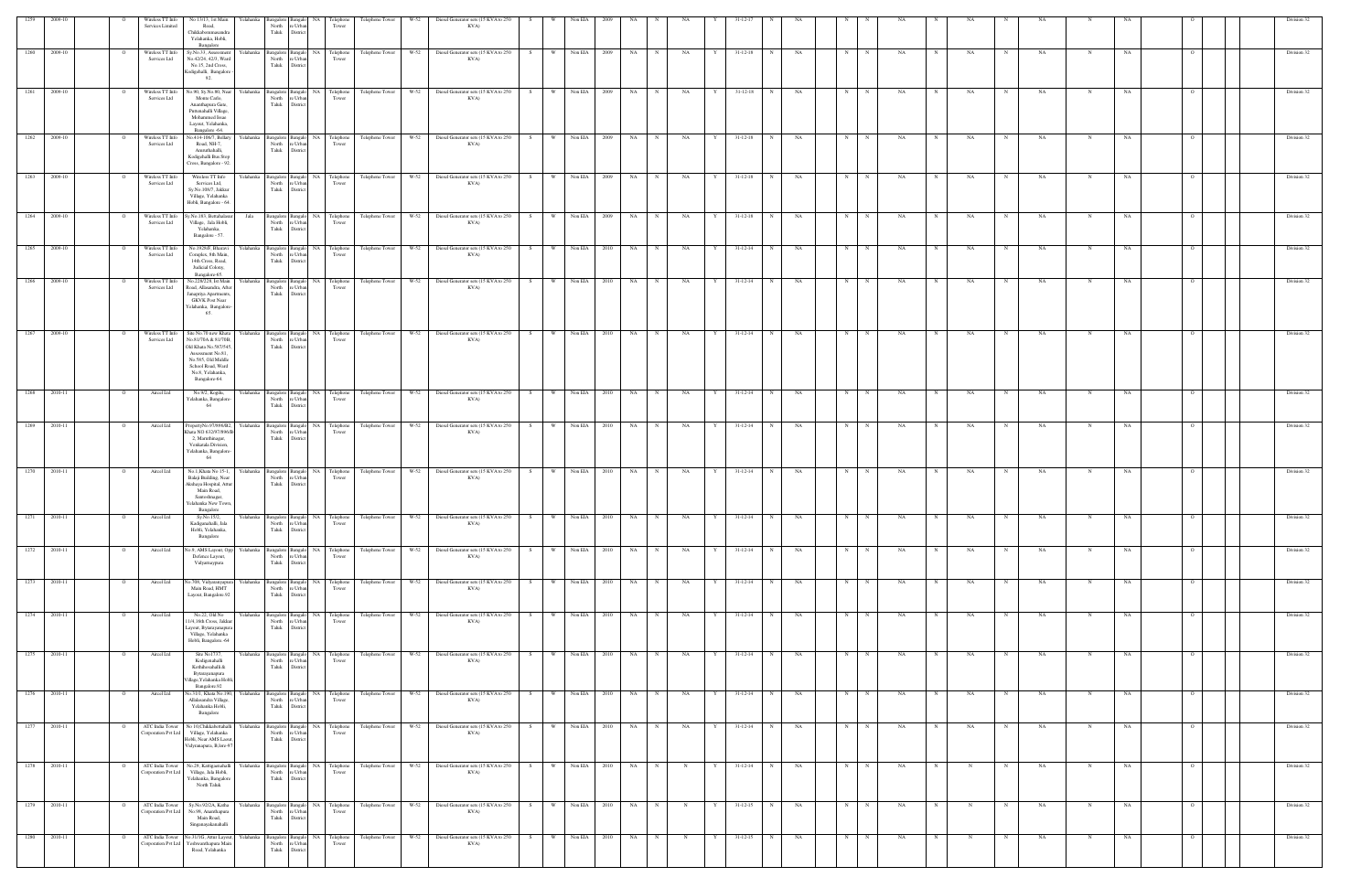| 1259         | 2009-10      | Wireless TT Info                 | No 13/13, 1st Main                                                                                                                                                       | r elahanka  |                                                       |                                                                              | 'elephon              | Telephone Tower                                               | W-52   |                                                                                                                            | Diesel Generator sets (15 KVA to 250           |    |          | Non EIA        |                     |           |             |             |   |                   |              |           |   |             |    |            |    |             |           |             |           |                | Division 32 |
|--------------|--------------|----------------------------------|--------------------------------------------------------------------------------------------------------------------------------------------------------------------------|-------------|-------------------------------------------------------|------------------------------------------------------------------------------|-----------------------|---------------------------------------------------------------|--------|----------------------------------------------------------------------------------------------------------------------------|------------------------------------------------|----|----------|----------------|---------------------|-----------|-------------|-------------|---|-------------------|--------------|-----------|---|-------------|----|------------|----|-------------|-----------|-------------|-----------|----------------|-------------|
|              |              | Services Limited                 | Road,<br>Chikkabommasandra<br>Yelahanka, Hobli,<br>Bangalore                                                                                                             |             | North<br>Taluk                                        | re Urba<br>District                                                          | Tower                 |                                                               |        |                                                                                                                            | KVA)                                           |    |          |                |                     |           |             |             |   |                   |              |           |   |             |    |            |    |             |           |             |           |                |             |
| 1260         | 2009-10      | Wireless TT Info<br>Services Ltd | Sy.No.33, Assessmen<br>No.42/24, 42/3, Ward<br>No.15, 2nd Cross,<br>Kodigehalli, Bangalore<br>92.                                                                        | Yelahanka   | Bangalore Bangalo<br>North re Urban<br>Taluk District | NA                                                                           | Telephone<br>Tower    | Telephone Tower                                               | W-52   |                                                                                                                            | Diesel Generator sets (15 KVA to 250<br>KVA)   |    | <b>W</b> | Non EIA        | 2009                | NA        |             | NA          |   | $31 - 12 - 18$    |              | NA        | N |             | NΑ |            | NA |             | NA        |             | NA        |                | Division 32 |
| 1261         | 2009-10      | Wireless TT Info<br>Services Ltd | No.90, Sy.No.80, Near<br>Monte Carlo,<br>Ananthapura Gate,<br>Puttenahalli Village,<br>Mohammed Issae<br>Layout, Yelahanka,<br>Bangalore -64.                            | Yelahanka   | Bangalore Bangalo<br>North<br>Taluk                   | NA<br>re Urba<br>District                                                    | Telephone<br>Tower    | Telephone Tower                                               | W-52   |                                                                                                                            | Diesel Generator sets (15 KVA to 250<br>KVA)   | S. | <b>W</b> | Non EIA        | - 2009              | NA        | N           | NA          | Y | $31 - 12 - 18$    |              | NA        | N |             | NA |            | NA |             | NA        | N           | NA        |                | Division 32 |
|              | 1262 2009-10 | Wireless TT Info<br>Services Ltd | No.414-106/7, Bellary<br>Road, NH-7,<br>Amruthahalli,<br>Kodigehalli Bus Stop<br>Cross, Bangalore - 92                                                                   | Yelahanka   | North<br>Taluk                                        | Bangalore Bangalo<br>re Urba<br>District                                     | NA Telephone<br>Tower | Telephone Tower                                               | $W-52$ |                                                                                                                            | Diesel Generator sets (15 KVA to 250<br>KVA)   | S  | <b>W</b> | Non EIA 2009   |                     | <b>NA</b> | N           | NA          | Y | $31 - 12 - 18$    | N            | NA        | N | $\mathbf N$ | NA |            | NA | $_{\rm N}$  | NA        | N           | NA        |                | Division 32 |
| 1263         | 2009-10      | Wireless TT Info<br>Services Ltd | Wireless TT Info<br>Services Ltd,<br>Sy.No.108/7, Jakkur<br>Village, Yelahanka<br>Hobli, Bangalore - 64.                                                                 | relahanka   | Bangalore Bangalo<br>North re Urban<br>Taluk District |                                                                              | NA Telephone<br>Tower | Telephone Tower                                               | W-52   |                                                                                                                            | Diesel Generator sets (15 KVA to 250<br>KVA)   | S  | W        | Non EIA 2009   |                     | NA        | $\mathbf N$ | NA          |   | $31 - 12 - 18$    | $\mathbf N$  | NA        | N |             | NA |            | NA |             | NA        |             | NA        |                | Division 32 |
| 1264         | 2009-10      | Wireless TT Info<br>Services Ltd | Sy.No.183, Bettahalast<br>Village, Jala Hobli,<br>Yelahanka,<br>Bangalore - 57.                                                                                          | Jala        | North<br>Taluk                                        | Bangalore Bangalo NA Telephone<br>re Urban<br>District                       | Tower                 | Telephone Tower                                               | W-52   |                                                                                                                            | Diesel Generator sets (15 KVA to 250<br>KVA)   | S. | W.       | Non EIA        | 2009                | NA        | N           | NA          | Y | $31 - 12 - 18$    | $\mathbf N$  | NA        | N | N           | NA | N          | NA | $\mathbf N$ | NA        | N           | NA        | $\Omega$       | Division 32 |
|              | 1265 2009-10 | Wireless TT Info<br>Services Ltd | No.1928/F, Bharavi<br>Complex, 8th Main,<br>14th Cross, Road,<br>Judicial Colony,<br>Bangalore-65.                                                                       | Yelahanka   | North re Urbar<br>Taluk                               | District                                                                     | Tower                 | Bangalore Bangalo NA Telephone Telephone Tower W-52           |        |                                                                                                                            | Diesel Generator sets (15 KVA to 250 S<br>KVA) |    |          | W Non EIA 2010 |                     | NA 1      | N           | NA          | Y | $31 - 12 - 14$    | $\mathbb{N}$ | <b>NA</b> | N | N           | NA | N          | NA | N           | NA        | N           | NA        |                | Division 32 |
| 1266         | 2009-10      | Wireless TT Info<br>Services Ltd | No.228/228, Ist Main<br>Road, Allasandra, Afte<br>Janapriya Apartments<br><b>GKVK Post Near</b><br>Yelahanka, Bangalore<br>65.                                           | relahanka   | Bangalore Bangalo<br>North re Urban<br>Taluk District |                                                                              | NA Telephone<br>Tower | Telephone Tower                                               | W-52   |                                                                                                                            | Diesel Generator sets (15 KVA to 250<br>KVA)   |    | W        | Non EIA        | - 2010              | NA        |             | NA          |   | $31 - 12 - 14$    | - N          | NA        | N |             | NA |            | NA |             | NA        | N           | NA        |                | Division 32 |
| 1267         | 2009-10      | Wireless TT Info<br>Services Ltd | Site No.70 new Khata<br>No.81/70A & 81/70B.<br>Old Khata No.587/545<br>Assessment No.81,<br>No.585, Old Middle<br>School Road, Ward<br>No.8, Yelahanka,<br>Bangalore-64. | relahanka   | Bangalore Bangalo<br>North<br>Taluk                   | NA<br>re Urbar<br>District                                                   | Telephone<br>Tower    | Telephone Tower                                               | W-52   |                                                                                                                            | Diesel Generator sets (15 KVA to 250<br>KVA)   | S. | W        | Non EIA        | - 2010              | NA        |             | NA          |   | $31 - 12 - 14$    |              | NA        | N |             | NA |            | NA |             | NA.       |             | NA        |                | Division 32 |
|              | 1268 2010-11 | Aircel Ltd                       | No.9/2, Kogilu,<br>Yelahanka, Bangalore<br>64                                                                                                                            | Yelahanka   | North re Urbar<br>Taluk                               | District                                                                     | Tower                 | Bangalore Bangalo NA Telephone Telephone Tower                | $W-52$ |                                                                                                                            | Diesel Generator sets (15 KVA to 250 S<br>KVA) |    | W        | Non EIA 2010   |                     | NA        | N           | NA          | Y | $31 - 12 - 14$    | N            | <b>NA</b> | N | $_{\rm N}$  | NA | N          | NA | N           | <b>NA</b> | $\mathbf N$ | NA        |                | Division 32 |
|              | 1269 2010-11 | Aircel Ltd                       | PropertyNo.97/896/B2,<br>Khata NO 632/97/896/B<br>2, Maruthinagar,<br>Venkatala Division,<br>Yelahanka, Bangalore-<br>64                                                 | Yelahanka   | Bangalore Bangalo<br>North re Urbar<br>Taluk          | District                                                                     | NA Telephone<br>Tower | Telephone Tower                                               | W-52   |                                                                                                                            | Diesel Generator sets (15 KVA to 250 S<br>KVA) |    | W        | Non EIA 2010   |                     | NA        | N           | NA          | Y | $31 - 12 - 14$    | N            | NA        | N | N           | NA | $_{\rm N}$ | NA | N           | NA        | $\mathbf N$ | NA        |                | Division 32 |
| 1270         | 2010-11      | Aircel Ltd                       | No.1, Khata No 15-1,<br>Balaji Building, Near<br>Akshaya Hospital, Attu<br>Main Road,<br>Santoshnagar,<br>Yelahanka New Town<br>Bangalore                                | relahanka   | North<br>Taluk                                        | Bangalore Bangalo NA Telephone<br>re Urban<br>District                       | Tower                 | Telephone Tower                                               | W-52   |                                                                                                                            | Diesel Generator sets (15 KVA to 250<br>KVA)   | S. | W.       | Non EIA 2010   |                     | NA 1      | N           | NA          | Y | $31 - 12 - 14$    | N            | NA        | N |             | NA |            | NA | N           | NA        |             | NA        |                | Division 32 |
|              | 1271 2010-11 | Aircel Ltd                       | Sy.No.15/2,<br>Kadiganahalli, Jala<br>Hobli, Yelahanka,<br>Bangalore                                                                                                     |             |                                                       | North re Urban<br>Taluk District                                             | Tower                 |                                                               |        | Yelahanka Bangalore Bangalo NA Telephone Telephone Tower W-52 Diesel Generator sets (15 KVA to 250 S W Non EIA 2010 NA N N | KVA)                                           |    |          |                |                     |           |             |             |   | NA   Y 31-12-14 N |              | NA        | N | $\mathbf N$ | NA | N          | NA | N           | NA        | N           | NA        |                | Division 32 |
|              | 1272 2010-11 | Aircel Ltd                       | No.9, AMS Layout, Opp<br>Defence Layout,<br>Vidyarnaypura                                                                                                                |             |                                                       | Yelahanka Bangalore Bangalo NA Telephone<br>North re Urban<br>Taluk District | Tower                 | Telephone Tower                                               | $W-52$ |                                                                                                                            | Diesel Generator sets (15 KVA to 250 S<br>KVA) |    | W        | Non EIA 2010   |                     | <b>NA</b> | N           | NA          | Y | $31 - 12 - 14$    | N            | NA        | N | $\mathbb N$ | NA |            | NA | $\mathbf N$ | NA        |             | NA        | $\overline{O}$ | Division 32 |
|              | 1273 2010-11 | Aircel Ltd                       | No.708, Vidyaranyapur<br>Main Road, HMT<br>Layout, Bangalore.92                                                                                                          |             | Taluk District                                        | Yelahanka Bangalore Bangalo NA Telephone<br>North re Urban                   | Tower                 | Telephone Tower                                               | $W-52$ |                                                                                                                            | Diesel Generator sets (15 KVA to 250<br>KVA)   | S  | <b>W</b> | Non EIA 2010   |                     | NA        | N           | NA          | Y | $31 - 12 - 14$    | N            | NA        | N |             | NA |            | NA |             | NA        | N           | NA        |                | Division 32 |
|              | 1274 2010-11 | Aircel Ltd                       | No.22, Old No<br>11/4,16th Cross, Jakkur<br>Layout, Bytarayanapura<br>Village, Yelahanka<br>Hobli, Bangalore.-64                                                         |             | Taluk District                                        | North re Urban                                                               | Tower                 | Yelahanka Bangalore Bangalo NA Telephone Telephone Tower W-52 |        |                                                                                                                            | Diesel Generator sets (15 KVA to 250 S<br>KVA) |    |          |                | W Non EIA 2010 NA N |           |             | NA          |   | Y 31-12-14 N      |              | NA        | N | $\mathbb N$ | NA | N          | NA | N           | <b>NA</b> | $\mathbf N$ | <b>NA</b> | $\Omega$       | Division 32 |
|              | 1275 2010-11 | Aircel Ltd                       | Site No1737,<br>Kodigenahalli<br>Kothihosahalli &<br>Bytarayanapura<br>illage, Yelahanka Hobli,<br>Bangalore.92                                                          | Yelahanka   | Taluk District                                        | North re Urban                                                               | Tower                 | Bangalore Bangalo NA Telephone Telephone Tower                | W-52   |                                                                                                                            | Diesel Generator sets (15 KVA to 250<br>KVA)   | S  | W        | Non EIA 2010   |                     | NA        | N           | NA          | Y | $31 - 12 - 14$    | N            | <b>NA</b> | N | N           | NA |            | NA | $_{\rm N}$  | NA        | N           | NA        | $\Omega$       | Division 32 |
|              | 1276 2010-11 | Aircel Ltd                       | No.31/1, Khata No.190,<br>Allalasandra Village,<br>Yelahanka Hobli,<br>Bangalore                                                                                         | Yelahanka   | Taluk District                                        | North re Urban                                                               | Tower                 | Bangalore Bangalo NA Telephone Telephone Tower W-52           |        |                                                                                                                            | Diesel Generator sets (15 KVA to 250 S<br>KVA) |    |          | W Non EIA 2010 |                     | NA 1      | N           | <b>NA</b>   |   | Y 31-12-14 N      |              | NA        | N | N           | NA | N          | NA | N           | <b>NA</b> | N           | NA        | $\overline{O}$ | Division 32 |
| 1277 2010-11 |              | Corporation Pvt Ltd              | ATC India Tower No 10, Chikkabettahalli<br>Village, Yelahanka<br>Hobli, Near AMS Laout<br>Vidyranapura, B,lore-97                                                        | Yelahanka   | Taluk District                                        | Bangalore Bangalo NA Telephone<br>North re Urban                             | Tower                 | Telephone Tower W-52                                          |        |                                                                                                                            | Diesel Generator sets (15 KVA to 250 S<br>KVA) |    |          | W Non EIA 2010 |                     | NA 1      | N           | NA          | Y | $31-12-14$ N      |              | NA        | N |             | NA |            | NA | $\mathbf N$ | NA        |             | NA        |                | Division 32 |
| 1278 2010-11 |              | Corporation Pvt Ltd              | ATC India Tower No.29, Kattigaenahalli<br>Village, Jala Hobli,<br>Yelahanka, Bangalore<br>North Taluk                                                                    |             | Taluk District                                        | North re Urban                                                               | Tower                 | Yelahanka Bangalore Bangalo NA Telephone Telephone Tower      | W-52   |                                                                                                                            | Diesel Generator sets (15 KVA to 250 S<br>KVA) |    |          | W Non EIA 2010 |                     | NA 1      | N           | N           | Y | 31-12-14 N        |              | NA        | N | N           | NA | N          | N  | N           | NA        | $_{\rm N}$  | NA        | $\Omega$       | Division 32 |
|              | 1279 2010-11 | ATC India Tower                  | Sy.No.92/2A, Katha<br>Corporation Pvt Ltd No.98, Ananthapura<br>Main Road,<br>Singanayakanahalli                                                                         |             | Taluk District                                        | North re Urban                                                               | Tower                 | Yelahanka Bangalore Bangalo NA Telephone Telephone Tower W-52 |        |                                                                                                                            | Diesel Generator sets (15 KVA to 250 S<br>KVA) |    | w I      | Non EIA 2010   |                     | NA        | N           | N           | Y | 31-12-15          | N            | NA        | N |             | NA |            |    | N           | NA        | N           | NA        | $\overline{O}$ | Division 32 |
|              | 1280 2010-11 | orporation Pvt Ltd               | ATC India Tower No.31/1G, Attur Layout,<br>Yeshwanthapura Main<br>Road, Yelahanka                                                                                        | Yelahanka l | North<br>Taluk                                        | Bangalore Bangalo NA Telephone<br>re Urbar<br>District                       | Tower                 | Telephone Tower                                               | W-52   |                                                                                                                            | Diesel Generator sets (15 KVA to 250<br>KVA)   | S  | <b>W</b> | Non EIA 2010   |                     | <b>NA</b> | N           | $\mathbf N$ | Y | $31 - 12 - 15$    | $_{\rm N}$   | NA        | N |             | NA | N          |    | $_{\rm N}$  | NA        | N           | NA        |                | Division 32 |
|              |              |                                  |                                                                                                                                                                          |             |                                                       |                                                                              |                       |                                                               |        |                                                                                                                            |                                                |    |          |                |                     |           |             |             |   |                   |              |           |   |             |    |            |    |             |           |             |           |                |             |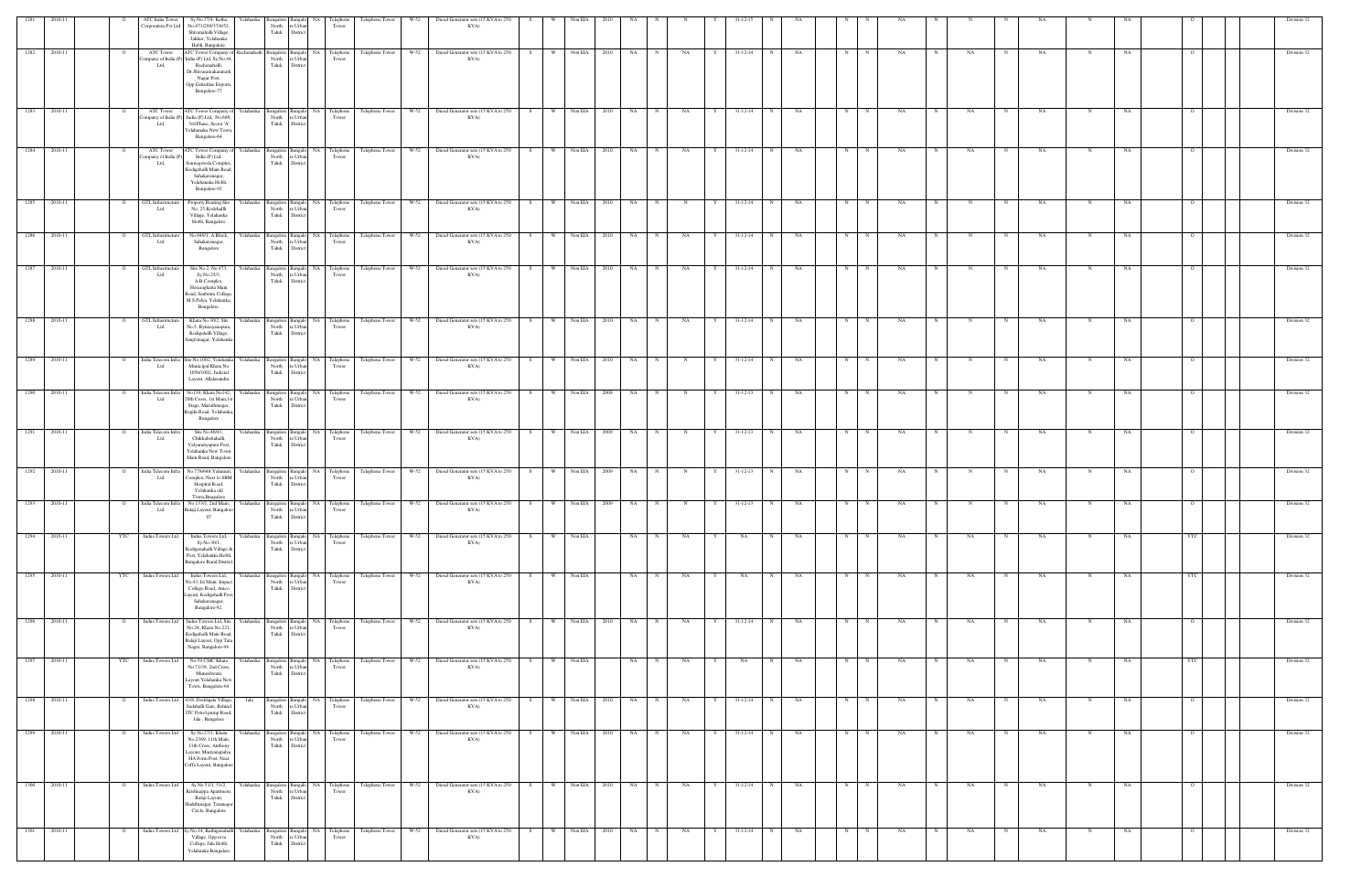| 1281 |         |                | ATC India Tower<br>Corporation Pvt Ltd    | Sy.No.37/4, Katha<br>No.471/289/37/4/52,<br>Shivanahalli Village,<br>Jakkur, Yelahanka<br>Hobli, Bangalore.                                                    | Yelahanka<br>North          | angalore Bangalo<br>re Urbar<br>Taluk District        | NA Telephone<br>Tower                                                                                                                                                           | Telephone Tower      | W-52   | Diesel Generator sets (15 KVA to 250<br>KVA)                                                                      |       |     | Non EIA           |             |             |                |                |                               |           |   |            |           |                   |             |           |            |             |            |  | Division 32 |
|------|---------|----------------|-------------------------------------------|----------------------------------------------------------------------------------------------------------------------------------------------------------------|-----------------------------|-------------------------------------------------------|---------------------------------------------------------------------------------------------------------------------------------------------------------------------------------|----------------------|--------|-------------------------------------------------------------------------------------------------------------------|-------|-----|-------------------|-------------|-------------|----------------|----------------|-------------------------------|-----------|---|------------|-----------|-------------------|-------------|-----------|------------|-------------|------------|--|-------------|
| 1282 | 2010-11 |                | ATC Tower<br>ompany of India (P<br>Ltd,   | ATC Tower Company of Rachenahalli<br>India (P) Ltd, Sy.No.44,<br>Rachenahalli,<br>Dr.Shivaramakaranath<br>Nagar Post,<br>Opp.Gokuldas Exports,<br>Bangalore-77 | North<br>Taluk              | re Urban<br>District                                  | Bangalore Bangalo NA Telephone<br>Tower                                                                                                                                         | Telephone Tower      | W-52   | Diesel Generator sets (15 KVA to 250<br>KVA)                                                                      | S.    | W   | Non EIA<br>2010   | NA          |             | NA             |                | $31 - 12 - 14$<br>$_{\rm N}$  | NA        | N |            | <b>NA</b> | NA                |             | NA        |            | NA          |            |  | Division 32 |
| 1283 | 2010-11 |                | ATC Tower<br>Company of India (P<br>Ltd,  | ATC Tower Company of Yelahanka<br>India (P) Ltd, No.689,<br>3rd Phase, Sector 'A'<br>Yelahanaka New Town,<br>Bangalore-64                                      |                             | Bangalore Bangalo<br>North re Urban<br>Taluk District | NA Telephone<br>Tower                                                                                                                                                           |                      |        | Telephone Tower W-52 Diesel Generator sets (15 KVA to 250<br>KVA)                                                 | - S - |     | W Non EIA<br>2010 | NA          | $\mathbf N$ | NA             | $31 - 12 - 14$ | N                             | NA        | N | $_{\rm N}$ | NA.       | NA                |             | NA        | N          | NA          |            |  | Division 32 |
| 1284 | 2010-11 | $\overline{O}$ | ATC Tower<br>'ompany of India (P)<br>Ltd, | ATC Tower Company of Yelahanka<br>India (P) Ltd,<br>Sonnegowda Complex,<br>Kodigehalli Main Road,<br>Sahakaranagar,<br>Yelahanaka Hobli,<br>Bangalore-92       |                             | North re Urban<br>Taluk District                      | Tower                                                                                                                                                                           |                      |        | Bangalore Bangalo NA Telephone Telephone Tower W-52 Diesel Generator sets (15 KVA to 250<br>KVA)                  | S     |     | W Non EIA<br>2010 | NA 1        | N           | NA<br>Y        | $31 - 12 - 14$ | N                             | NA        |   | N<br>N     | NA.       | $_{\rm N}$<br>NA  |             | NA        | N          | NA          |            |  | Division 32 |
| 1285 | 2010-11 | $\mathbf{o}$   | GTL Infrastructure<br>Ltd                 | Property Bearing Site<br>No. 25, Kodehallli<br>Village, Yelahanka<br>Hobli, Bangalore                                                                          | Yelahanka<br>North<br>Taluk | re Urbar<br>District                                  | Tower                                                                                                                                                                           |                      |        | Bangalore Bangalo NA Telephone Telephone Tower W-52 Diesel Generator sets (15 KVA to 250<br>KVA)                  | S     |     | W Non EIA 2010    | NA 1        | N           | N<br>Y         |                | 31-12-14<br>N                 | NA        |   | N<br>N     | NA.       |                   | $\mathbf N$ | NA        | N          | NA          |            |  | Division 32 |
| 1286 | 2010-11 | $\overline{O}$ | GTL Infrastructure<br>Ltd                 | No.849/1, A Block,<br>Sahakaranagar,<br>Bangalore                                                                                                              | Yelahanka                   | Taluk District                                        | $\begin{tabular}{l c c} \textbf{Bagalore} & \textbf{Bagalo} & \textbf{NA} & \textbf{Telephone} \\ \hline \textbf{North} & \textbf{re Urban} & \textbf{ Tower} \\ \end{tabular}$ | Telephone Tower W-52 |        | Diesel Generator sets (15 KVA to 250<br>KVA)                                                                      | S     | w I | Non EIA<br>2010   | NA          | N           | NA             |                | $31 - 12 - 14$<br>N           | NA        | N | N          | NA.       | N<br>N            |             | NA        | N          | NA          | - 0        |  | Division 32 |
| 1287 | 2010-11 | $\mathbf{o}$   | GTL Infrastructure<br>Ltd                 | Site No.2, No.473,<br>Sy.No.25/3,<br>A.B.Complex,<br>Hesaraghatta Main<br>Road, Sanbram College.<br>M.S.Palya, Yelahanka,<br>Bangalore.                        | Yelahanka                   | North re Urban<br>Taluk District                      | Bangalore Bangalo NA Telephone<br>Tower                                                                                                                                         |                      |        | Telephone Tower W-52 Diesel Generator sets (15 KVA to 250<br>KVA)                                                 | S     | W   | Non EIA 2010      | NA 1        | $_{\rm N}$  | NA             |                | $31 - 12 - 14$<br>N           | <b>NA</b> | N | N          | NA.       |                   |             | NA        | N          | NA          |            |  | Division 32 |
| 1288 | 2010-11 |                | GTL Infrastructur<br>Ltd                  | Khata No.30/2, Site<br>No.5, Bytarayanapura,<br>Kodigehalli Village,<br>Sanjivinagar, Yelahanka                                                                | North<br>Taluk              | Bangalore Bangalo<br>re Urba<br>District              | NA Telephone<br>Tower                                                                                                                                                           | Telephone Tower W-52 |        | Diesel Generator sets (15 KVA to 250<br>KVA)                                                                      |       |     | Non EIA<br>2010   | NA          |             | NA             |                | $31 - 12 - 14$                | NA        |   |            |           |                   |             | NA        |            |             |            |  | Division 32 |
| 1289 | 2010-11 | $\overline{O}$ | Ltd                                       | India Telecom Infra Site No.1002, Yelahanka Yelahanka<br>Municipal Khata No<br>1050/1002, Judicial<br>Layout, Allalasandra                                     | North                       | Bangalore Bangalo<br>re Urban<br>Taluk District       | NA Telephone<br>Tower                                                                                                                                                           | Telephone Tower      | W-52   | Diesel Generator sets (15 KVA to 250<br>KVA)                                                                      | S.    | W   | Non EIA<br>2010   | NA          |             | N              | 31-12-14       | N                             | NA        | N | $_{\rm N}$ | NA        |                   |             | NA        | N          | NA          | $\Omega$   |  | Division 32 |
| 1290 | 2010-11 | $\overline{O}$ | India Telecom Infra<br>Ltd                | No139, Khata No142,<br>20th Cross, 1st Main, 1st<br>Stage, Maruthinagar,<br>Kogilu Road, Yelahanka,<br>Bangalore                                               | Yelahanka                   | North re Urban<br>Taluk District                      | Tower                                                                                                                                                                           |                      |        | Bangalore Bangalo NA Telephone Telephone Tower W-52 Diesel Generator sets (15 KVA to 250 S W Non EIA 2009<br>KVA) |       |     |                   | NA 1        | N           | N<br>Y         | 31-12-13       | N                             | <b>NA</b> |   | N<br>N     | NA.       | $_{\rm N}$<br>N   | N           | <b>NA</b> | $_{\rm N}$ | NA          | $\circ$    |  | Division 32 |
| 1291 | 2010-11 | $\overline{O}$ | India Telecom Infra<br>Ltd                | Site No.40/41,<br>Chikkabettahalli,<br>Vidyaranyapura Post,<br>Yelahanka New Town<br>Main Road, Bangalore                                                      | Yelahanka<br>North<br>Taluk | re Urbar<br>District                                  | Bangalore Bangalo NA Telephone<br>Tower                                                                                                                                         | Telephone Tower W-52 |        | Diesel Generator sets (15 KVA to 250<br>KVA)                                                                      | S     | W   | Non EIA 2009      | NA          | N           | N<br>Y         | $31 - 12 - 13$ | N                             | NA        | N | N          | NA        |                   |             | NA        |            | NA          |            |  | Division 32 |
| 1292 | 2010-11 | $\Omega$       | India Telecom Infra<br>Ltd                | No.778/648, Yalamuri<br>Complex, Next to SBM<br>Hospital Road,<br>Yelahanka old<br>Town.Bnagalore                                                              | Yelahanka<br>North          | re Urban<br>Taluk District                            | Bangalore Bangalo NA Telephone<br>Tower                                                                                                                                         |                      |        | Telephone Tower W-52 Diesel Generator sets (15 KVA to 250<br>KVA)                                                 | S     |     | W Non EIA<br>2009 | <b>NA</b>   |             | N              |                | $31 - 12 - 13$<br>N           | NA        | N | N          | NA        |                   |             | NA        |            | NA          |            |  | Division 32 |
| 1293 | 2010-11 | $\mathbf{o}$   | India Telecom Infra<br>Ltd                | No 133/1, 2nd Main,<br>Balaji Layout, Bangalore-<br>97                                                                                                         | Yelahanka                   | North re Urban<br>Taluk Distri                        | Bangalore Bangalo NA Telephone<br>Tower                                                                                                                                         | Telephone Tower      | $W-52$ | Diesel Generator sets (15 KVA to 250<br>KVA)                                                                      | S     | W   | Non EIA<br>2009   | NA          |             |                | $31 - 12 - 13$ |                               | NA        |   |            |           |                   |             | NA        |            |             |            |  | Division 32 |
| 1294 | 2010-11 | YTC            | <b>Indus Towers Ltd</b>                   | Indus Towers Ltd,<br>Sy.No.30/1,<br>Kodigenahalli Village &<br>Post, Yelahanka Hobli,<br><b>Bangalore Rural District</b>                                       | Yelahanka<br>North<br>Taluk | e Urbar<br>District                                   | Bangalore Bangalo NA Telephone<br>Tower                                                                                                                                         | Telephone Tower      | W-52   | Diesel Generator sets (15 KVA to 250<br>KVA)                                                                      | S.    | W   | Non EIA           | NA          |             | NA<br>Y        |                | $\mathbf N$<br>NA             | NA        | N | N          | NA        | NA                |             | NA        |            | NA          | YTC        |  | Division 32 |
| 1295 | 2010-11 | <b>YTC</b>     | Indus Towers Ltd                          | Indus Towers Ltd,<br>No.43, Ist Main, Impac<br>College Road, Amco<br>ayout, Kodigehalli Post,<br>Sahakaranagar,<br>Bangalore-92.                               | Yelahank<br>North<br>Taluk  | angalore Bangalo<br>re Urba<br>District               | NA Telephone<br>Tower                                                                                                                                                           | Telephone Tower      |        | W-52 Diesel Generator sets (15 KVA to 250<br>KVA)                                                                 | S     |     | W Non EIA         | NA 1        | N           | <b>NA</b><br>Y | NA             | N                             | NA        | N | N          | NA        | NA<br>$\mathbf N$ | $\mathbf N$ | NA        |            | NA          | <b>YTC</b> |  | Division 32 |
| 1296 | 2010-11 | $\overline{O}$ | Indus Towers Ltd                          | Indus Towers Ltd, Site<br>No.24, Khata No.221<br>Kodigehalli Main Road,<br>Balaji Layout, Opp Tata<br>Nagar, Bangalore-94.                                     | Yelahanka                   | Bangalore Bangalo<br>North re Urban<br>Taluk District | NA Telephone<br>Tower                                                                                                                                                           | Telephone Tower      | W-52   | Diesel Generator sets (15 KVA to 250<br>KVA)                                                                      | S     | W   | Non EIA<br>2010   | NA          | $_{\rm N}$  | NA<br>Y        | 31-12-14       | N                             | NA        | N | N          | <b>NA</b> | $\mathbf N$<br>NA | N           | NA        | N          | NA          | $\circ$    |  | Division 32 |
| 1297 | 2010-11 | YTC            | Indus Towers Ltd                          | No.59 CMC Khata<br>No.71/38, 2nd Cross,<br>Muneshwara<br>ayout, Yelahanka Nev<br>Town, Bangalore-64                                                            | Yelahanka<br>North<br>Taluk | re Urban<br>District                                  | Bangalore Bangalo NA Telephone<br>Tower                                                                                                                                         | Telephone Tower      | W-52   | Diesel Generator sets (15 KVA to 250<br>KVA)                                                                      | S     | W \ | Non EIA           | NA          | N           | NA<br>Y        | NA             | N                             | NA        | N | N          | NA        | NA<br>$_{\rm N}$  | N           | NA        | N          | NA          | <b>YTC</b> |  | Division 32 |
| 1298 | 2010-11 | $\Omega$       |                                           | Indus Towers Ltd 43/8, Doddajala Village,<br>Sadahalli Gate, Behind<br>ITC Petrol pump Road,<br>Jala, Bangalore                                                | Jala<br>North<br>Taluk      | re Urbar<br>District                                  | angalore Bangalo NA Telephone<br>Tower                                                                                                                                          |                      |        | Telephone Tower W-52 Diesel Generator sets (15 KVA to 250 S<br>KVA)                                               |       |     | W Non EIA 2010    | NA N        |             | NA<br>Y        |                | $31-12-14$ N                  | NA        |   | $N$   $N$  | NA.       | NA<br>N           | $\mathbf N$ | NA        |            | NA          | $\Omega$   |  | Division 32 |
| 1299 | 2010-11 | $\circ$        | Indus Towers Ltd                          | Sy.No.27/1, Khata<br>No.2369, 11th Main,<br>11th Cross, Anthony<br>Layout, Mariyanapalya,<br>HA Form Post, Near<br>Coffe Layout, Bangalore                     | Yelahanka<br>North          | Bangalore Bangalo<br>re Urban<br>Taluk District       | NA Telephone<br>Tower                                                                                                                                                           | Telephone Tower      | W-52   | Diesel Generator sets (15 KVA to 250<br>KVA)                                                                      | S.    | W.  | Non EIA<br>2010   | <b>NA</b>   |             | NA             | $31 - 12 - 14$ | N                             | NA        | N | $_{\rm N}$ | NA        | NA                |             | NA        |            | NA          |            |  | Division 32 |
| 1300 | 2010-11 | $\circ$        | Indus Towers Ltd                          | Sy No 51/1, 51/2,<br>Crishnappa Apartment<br>Balaji Layout,<br>Shakthinagar, Tatanagar<br>Circle, Bangalore                                                    | Yelahanka<br>North<br>Taluk | Bangalore Bangalo<br>e Urbar<br>District              | NA Telephone<br>Tower                                                                                                                                                           | Telephone Tower      | W-52   | Diesel Generator sets (15 KVA to 250<br>KVA)                                                                      | S.    | W   | Non EIA<br>2010   | $_{\rm NA}$ |             | NA<br>Y        |                | $31 - 12 - 14$<br>$\mathbf N$ | NA        | N |            | NA        | NA                |             | NA        |            | NA          |            |  | Division 32 |
| 1301 | 2010-11 | $\overline{O}$ | Indus Towers Ltd                          | Sy.No.14, Kathigenahalli<br>Village, Opp reva<br>College, Jala Hobli,<br>Yelahanka Bangalore                                                                   | Yelahanka<br>North<br>Taluk | angalore Bangalo<br>re Urbar<br>District              | NA Telephone<br>Tower                                                                                                                                                           | Telephone Tower      | W-52   | Diesel Generator sets (15 KVA to 250<br>KVA)                                                                      | S     | W 1 | Non EIA<br>2010   | <b>NA</b>   | $\mathbf N$ | NA<br>Y        |                | $31-12-14$<br>N               | NA        | N | N          | NA        | NA                | N           | NA        | N          | $_{\rm NA}$ | $\Omega$   |  | Division 32 |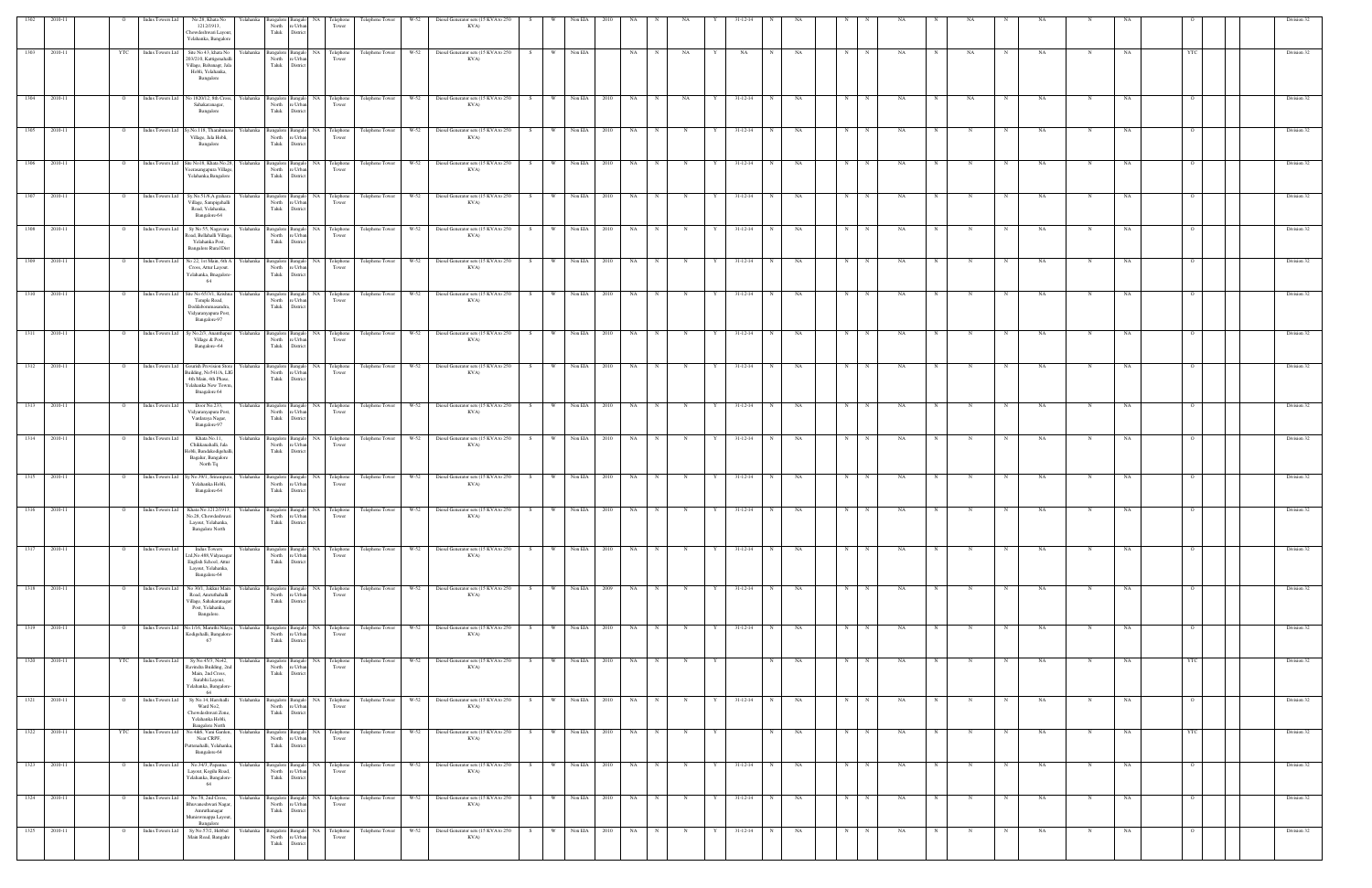| 1302 | 2010-11      |                | Indus Towers Ltd        | No.28, Khata No<br>1212/1913,<br>Chowdeshwari Layout<br>Yelahanka, Bangalore                                                                                              | Yelahank<br>North<br>Taluk  | re Urba<br>District                                   | Telephone<br>Tower                      | Telephone Tower                                | W-52   | Diesel Generator sets (15 KVA to 250<br>KVA)                                                     |     |     | Non EIA           |                   |                          |             |   |                |   |    |            |              |                          |              |             |           |             |    |                |  | Division 32 |
|------|--------------|----------------|-------------------------|---------------------------------------------------------------------------------------------------------------------------------------------------------------------------|-----------------------------|-------------------------------------------------------|-----------------------------------------|------------------------------------------------|--------|--------------------------------------------------------------------------------------------------|-----|-----|-------------------|-------------------|--------------------------|-------------|---|----------------|---|----|------------|--------------|--------------------------|--------------|-------------|-----------|-------------|----|----------------|--|-------------|
| 1303 | 2010-11      | YTC            | Indus Towers Ltd        | Site No 43, khata No<br>203/210, Kattigenahalli<br>Village, Babanagr, Jala<br>Hobli, Yelahanka,<br>Bangalore                                                              | Yelahanka<br>North<br>Taluk | re Urban<br>District                                  | Bangalore Bangalo NA Telephone<br>Tower | Telephone Tower                                | W-52   | Diesel Generator sets (15 KVA to 250<br>KVA)                                                     | S.  | W   | Non EIA           | NA                |                          | NA          |   | NA             | N | NA | N          |              | <b>NA</b>                | NA           |             | NA        |             | NA | YTC            |  | Division 32 |
| 1304 | 2010-11      | $\overline{O}$ |                         | Indus Towers Ltd No 1820/12, 8th Cross,<br>Sahakaranagar,                                                                                                                 | Yelahanka<br>North          | re Urbar                                              | Bangalore Bangalo NA Telephone<br>Tower | Telephone Tower                                |        | W-52 Diesel Generator sets (15 KVA to 250<br>KVA)                                                | S   |     | W Non EIA<br>2010 | NA                | $\mathbf N$              | NA          |   | $31 - 12 - 14$ | N | NA | N          | N            | NA                       | NA           |             | NA        | N           | NA |                |  | Division 32 |
| 1305 | 2010-11      | $\overline{O}$ | Indus Towers Ltd        | Bangalore<br>Sy.No.118, Tharahunase                                                                                                                                       | Taluk<br>Yelahanka          | District<br>Bangalore Bangalo                         | NA Telephone                            | Telephone Tower                                | W-52   | Diesel Generator sets (15 KVA to 250                                                             | S.  | W   | Non EIA<br>2010   | NA                |                          | N           | Y | $31 - 12 - 14$ | N | NA | N          |              | NA                       |              |             | NA        | N           | NA |                |  | Division 32 |
|      |              |                |                         | Village, Jala Hobli,<br>Bangalore                                                                                                                                         |                             | North re Urban<br>Taluk District                      | Tower                                   |                                                |        | KVA)                                                                                             |     |     |                   |                   |                          |             |   |                |   |    |            |              |                          |              |             |           |             |    |                |  |             |
| 1306 | 2010-11      | $\overline{O}$ | Indus Towers Ltd        | Site No18, Khata No.28,<br>Veerasangapura Village<br>Yelahanka, Bangalore                                                                                                 | Yelahanka<br>North<br>Taluk | re Urban<br>District                                  | Bangalore Bangalo NA Telephone<br>Tower | Telephone Tower                                | $W-52$ | Diesel Generator sets (15 KVA to 250<br>KVA)                                                     | S.  | W.  | Non EIA           | 2010<br>NA        |                          | $\mathbf N$ | Y | $31 - 12 - 14$ | N | NA | N          |              | NA                       |              |             | NA        | -N          | NA |                |  | Division 32 |
| 1307 | 2010-11      | $\circ$        |                         | Indus Towers Ltd Sy.No.51/6,A grahara<br>Village, Sampigehalli<br>Road, Yelahanka,<br>Bangalore-64                                                                        | Yelahanka<br>North<br>Taluk | re Urbar<br>District                                  | Bangalore Bangalo NA Telephone<br>Tower |                                                |        | Telephone Tower W-52 Diesel Generator sets (15 KVA to 250<br>KVA)                                | S   |     | W Non EIA 2010    |                   | <b>NA</b><br>$\mathbf N$ | N           | Y | $31 - 12 - 14$ | N | NA | N          | N            | NA                       |              | N           | NA        |             | NA |                |  | Division 32 |
| 1308 | 2010-11      | $\circ$        | <b>Indus Towers Ltd</b> | Sy No 55, Nagavara<br>Road, Bellahalli Village,<br>Yelahanka Post,<br><b>Bangalore Rural Dist</b>                                                                         | Yelahanka<br>North          | Bangalore Bangalo<br>re Urban<br>Taluk District       | NA Telephone<br>Tower                   | Telephone Tower                                | $W-52$ | Diesel Generator sets (15 KVA to 250<br>KVA)                                                     | S.  | W.  | Non EIA<br>2010   | NA                |                          | N           |   | 31-12-14       | N | NA | N          |              | NA                       |              |             | NA        | N           | NA |                |  | Division 32 |
| 1309 | 2010-11      | $\mathbf{o}$   | Indus Towers Ltd        | No 22, 1st Main, 6th A<br>Cross, Attur Layout.<br>Yelahanka, Bnagalore-<br>64                                                                                             | Yelahanka<br>North          | re Urban<br>Taluk District                            | Bangalore Bangalo NA Telephone<br>Tower | Telephone Tower                                | $W-52$ | Diesel Generator sets (15 KVA to 250<br>KVA)                                                     | S   | W   | Non EIA<br>2010   | NA                |                          | $_{\rm N}$  |   | 31-12-14       | N | NA | N          | N            | NA                       |              |             | NA        |             | NA |                |  | Division 32 |
| 1310 | 2010-11      |                | <b>Indus Towers Ltd</b> | Site No 65/3/1, Krishna<br>Temple Road,<br>Doddabommasandra<br>Vidyaranyapura Post,                                                                                       | Yelahanka<br>North<br>Taluk | Bangalore Bangalo<br>re Urbar<br>District             | NA Telephone<br>Tower                   | Telephone Tower                                | W-52   | Diesel Generator sets (15 KVA to 250<br>KVA)                                                     | S.  | W   | Non EIA<br>2010   | NA                |                          |             |   | $31 - 12 - 14$ |   | NA |            |              | <b>NA</b>                |              |             | NA        |             | NA |                |  | Division 32 |
| 1311 | 2010-11      | $\overline{O}$ | Indus Towers Ltd        | Bangalore-97<br>Sy No.2/3, Ananthapur<br>Village & Post,<br>Bangalore-64                                                                                                  | Yelahanka<br>North<br>Taluk | Bangalore Bangalo<br>re Urba<br>District              | NA Telephone<br>Tower                   | Telephone Tower                                | W-52   | Diesel Generator sets (15 KVA to 250<br>KVA)                                                     | S.  | W · | Non EIA           | 2010<br>NA        |                          |             |   | 31-12-14       | N | NA | $_{\rm N}$ |              | NA                       |              |             | NA        |             | NA |                |  | Division 32 |
| 1312 | 2010-11      | $\mathbf{o}$   | Indus Towers Ltd        | Gourish Provision Store<br>Building, No541/A, LIG                                                                                                                         | Yelahanka                   | Bangalore Bangalo<br>North re Urban                   | NA Telephone<br>Tower                   | Telephone Tower                                | W-52   | Diesel Generator sets (15 KVA to 250<br>KVA)                                                     | S.  | W   | Non EIA<br>2010   | NA                |                          |             |   | $31 - 12 - 14$ | N | NA | N          |              | NA                       |              |             | NA        |             |    |                |  | Division 32 |
| 1313 | 2010-11      | $\overline{O}$ | Indus Towers Ltd        | 4th Main, 4th Phase,<br>Yelahanka New Towm,<br>Bnagalore 64<br>Door No.233,                                                                                               | Yelahanka                   | Taluk District                                        | Bangalore Bangalo NA Telephone          | Telephone Tower                                | W-52   | Diesel Generator sets (15 KVA to 250                                                             | S.  | W   | Non EIA           | <b>NA</b><br>2010 |                          | N           | Y | $31 - 12 - 14$ | N | NA | N          | N            | NA                       |              | N           | NA        | N           | NA |                |  | Division 32 |
|      |              |                |                         | Vidyaranyapura Post,<br>Vardaraya Nagar,<br>Bangalore-97                                                                                                                  | North<br>Taluk              | re Urban<br>District                                  | Tower                                   |                                                |        | KVA)                                                                                             |     |     |                   |                   |                          |             |   |                |   |    |            |              |                          |              |             |           |             |    |                |  |             |
| 1314 | 2010-11      | $\overline{O}$ | Indus Towers Ltd        | Khata No.11,<br>Chikkanahalli, Jala<br>Hobli, Bandakodigehall<br>Bagalur, Bangalore<br>North Tq                                                                           | Yelahanka<br>North<br>Taluk | re Urba<br>District                                   | Bangalore Bangalo NA Telephone<br>Tower |                                                |        | Telephone Tower W-52 Diesel Generator sets (15 KVA to 250<br>KVA)                                | S   |     | W Non EIA 2010    | NA                | $\mathbf N$              | N           |   | $31 - 12 - 14$ | N | NA | N          | N            | NA<br>$\mathbf N$        | $\mathbb N$  | N           | NA        | N           | NA |                |  | Division 32 |
| 1315 | 2010-11      | $\circ$        | Indus Towers Ltd        | Sy No.39/1, Srirampura<br>Yelahanka Hobli,<br>Bangalore-64                                                                                                                | Yelahanka                   | Bangalore Bangalo<br>North re Urban<br>Taluk District | NA Telephone<br>Tower                   | Telephone Tower                                | W-52   | Diesel Generator sets (15 KVA to 250<br>KVA)                                                     | S   | W   | Non EIA<br>2010   | NA                |                          |             |   | $31 - 12 - 14$ |   | NA | N          | N            | NA                       |              |             | NA        |             | NA |                |  | Division 32 |
| 1316 | $-2010-11$   | $\overline{O}$ |                         | Indus Towers Ltd Khata No.1212/1913, Yelahanka Bangalore Bangalo NA Telephone Telephone Tower W-52<br>No.28. Chowdeshwari<br>Layout, Yelahanka,<br><b>Bangalore North</b> | North                       | Taluk District                                        | Tower                                   |                                                |        | Diesel Generator sets (15 KVA to 250<br>KVA)                                                     | S   | W   | Non EIA           | 2010<br>NA        |                          |             |   | $31 - 12 - 14$ |   | NA |            |              | NA                       |              |             | NA        |             | NA |                |  | Division 32 |
| 1317 | 2010-11      |                | Indus Towers Ltd        | <b>Indus Towers</b><br>Ltd, No.488, Vidyasagar<br>English School, Attur<br>Layout, Yelahanka,<br>Bangalore-64                                                             | North<br>Taluk              | re Urbar<br>District                                  | Bangalore Bangalo NA Telephone<br>Tower |                                                |        | Telephone Tower W-52 Diesel Generator sets (15 KVA to 250<br>KVA)                                |     |     | W Non EIA 2010    |                   | <b>NA</b>                |             |   | $31 - 12 - 14$ | N | NA |            | N            |                          |              |             | NA.       |             |    |                |  | Division 32 |
| 1318 | 2010-11      | $\overline{O}$ | <b>Indus Towers Ltd</b> | No 30/1, Jakkur Main<br>Road, Amruthahalli<br>Village, Sahakaranagar                                                                                                      | Yelahanka<br>North          | Bangalore Bangalo<br>re Urban<br>Taluk District       | NA Telephone<br>Tower                   | Telephone Tower                                | W-52   | Diesel Generator sets (15 KVA to 250<br>KVA)                                                     | S.  | W \ | Non EIA<br>2009   |                   | NA<br>$\mathbf N$        | N           | Y | $31 - 12 - 14$ | N | NA | N          | N            | NA<br>$_{\rm N}$         | $\mathbb{N}$ |             | <b>NA</b> | N           | NA | $\Omega$       |  | Division 32 |
| 1319 | 2010-11      | $\overline{O}$ | Indus Towers Ltd        | Post, Yelahanka,<br>Bangalore.<br>No.1/16, Maruthi Nilaya,                                                                                                                | Yelahanka                   |                                                       |                                         | Bangalore Bangalo NA Telephone Telephone Tower | W-52   | Diesel Generator sets (15 KVA to 250                                                             | S   | w I | Non EIA 2010      |                   | NA 1<br>$\mathbf N$      | N           | Y | $31 - 12 - 14$ | N | NA | N          | N            | <b>NA</b><br>$\mathbf N$ | N            | N           | NA        | N           | NA | $\overline{O}$ |  | Division 32 |
| 1320 | 2010-11      |                | YTC Indus Towers Ltd    | Kodigehalli, Bangalore-<br>67<br>Sy No.45/3, No42,                                                                                                                        | Yelahanka                   | North re Urban<br>Taluk District                      | Tower<br>Bangalore Bangalo NA Telephone |                                                |        | KVA)<br>Telephone Tower W-52 Diesel Generator sets (15 KVA to 250                                | S   |     | W Non EIA 2010    |                   | NA N<br>N                | N           | Y |                | N | NA | N          | N            | NA<br>$\mathbf N$        | N            | N           | NA        | N           | NA | <b>YTC</b>     |  | Division 32 |
|      |              |                |                         | Ravindra Building, 2nd<br>Main, 2nd Cross,<br>Surabhi Layout,<br>Yelahanka, Bangalore-<br>64                                                                              | North<br>Taluk              | re Urban<br>District                                  | Tower                                   |                                                |        | KVA)                                                                                             |     |     |                   |                   |                          |             |   |                |   |    |            |              |                          |              |             |           |             |    |                |  |             |
| 1321 | 2010-11      | $\overline{O}$ | Indus Towers Ltd        | Sy No.14, Harohalli<br>Ward No2,<br>Chowdeshwari Zone,<br>Yelahanka Hobli,<br><b>Bangalore North</b>                                                                      | Yelahanka                   | North re Urban<br>Taluk District                      | Bangalor NA Telephone<br>Tower          |                                                |        | Telephone Tower W-52 Diesel Generator sets (15 KVA to 250<br>KVA)                                | S   |     | W Non EIA 2010    |                   | NA 1<br>$\mathbf N$      | N           | Y | $31-12-14$     | N | NA | N          | $\mathbb{N}$ | NA<br>N                  |              | N           | NA        |             | NA | $\Omega$       |  | Division 32 |
| 1322 | 2010-11      | <b>YTC</b>     | Indus Towers Ltd        | No.4&6, Vani Garden,<br>Near CRPF,<br>Puttenahalli, Yelahanka,<br>Bangalore-64                                                                                            | Yelahanka                   | North re Urban<br>Taluk District                      | Bangalore Bangalo NA Telephone<br>Tower | Telephone Tower                                | $W-52$ | Diesel Generator sets (15 KVA to 250<br>KVA)                                                     | S   | W   | Non EIA 2010      | NA 1              | $_{\rm N}$               | N           | Y |                | N | NA | N          | N            | NA.<br>$\mathbf N$       | $\mathbf N$  | $\mathbf N$ | <b>NA</b> | N           | NA | YTC            |  | Division 32 |
| 1323 | 2010-11      | $\overline{O}$ | Indus Towers Ltd        | No.34/3, Papanna<br>Layout, Kogilu Road,<br>Yelahanka, Bangalore-<br>64                                                                                                   | Yelahanka<br>North<br>Taluk | re Urban<br>District                                  | Bangalore Bangalo NA Telephone<br>Tower | Telephone Tower                                | W-52   | Diesel Generator sets (15 KVA to 250<br>KVA)                                                     | S – | W.  | Non EIA<br>2010   | NA                | N                        | N           | Y | $31 - 12 - 14$ | N | NA | N          | N            | NA.<br>N                 | N            | N           | NA        | N           | NA | $\overline{O}$ |  | Division 32 |
|      | 1324 2010-11 | $\overline{O}$ | Indus Towers Ltd        | No.78, 2nd Cross,<br>Bhuvaneshwari Nagar,<br>Amruthanagar<br>Muniswmappa Layout,                                                                                          | Yelahanka<br>North          | re Urbar<br>Taluk District                            | Tower                                   |                                                |        | Bangalore Bangalo NA Telephone Telephone Tower W-52 Diesel Generator sets (15 KVA to 250<br>KVA) | S   |     | W Non EIA 2010    | NA                | N                        | N           | Y | $31 - 12 - 14$ | N | NA | N          | N            | NA                       | $\mathbf N$  | N           | <b>NA</b> | $\mathbf N$ | NA | $\overline{O}$ |  | Division 32 |
| 1325 | 2010-11      | $\mathbf{o}$   | <b>Indus Towers Ltd</b> | Bangalore<br>Sy No.57/2, Hebbal<br>Main Road, Bangalre                                                                                                                    | Yelahanka<br>Taluk          | Bangalore Bangalo<br>North re Urban<br>District       | NA Telephone<br>Tower                   | Telephone Tower                                | $W-52$ | Diesel Generator sets (15 KVA to 250<br>KVA)                                                     |     | W.  | Non EIA<br>2010   | NA                |                          |             |   | $31 - 12 - 14$ | N | NA |            |              | NA                       |              |             | NA        |             | NA |                |  | Division 32 |
|      |              |                |                         |                                                                                                                                                                           |                             |                                                       |                                         |                                                |        |                                                                                                  |     |     |                   |                   |                          |             |   |                |   |    |            |              |                          |              |             |           |             |    |                |  |             |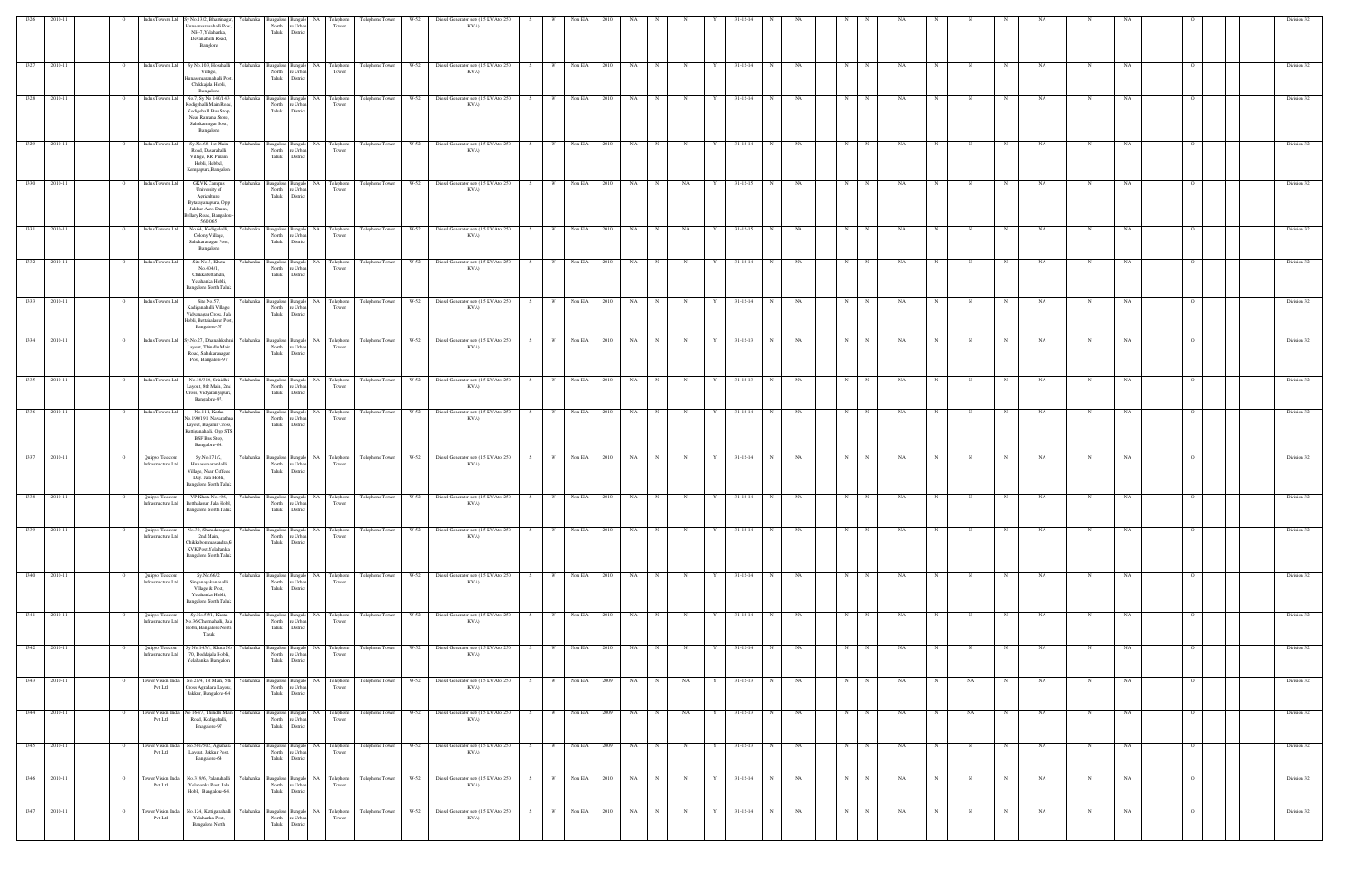|          |              |                | Indus Towers Ltd                     | Sy No.13/2, Bhartinagar,                                                                                                              |                             |                                                                                                                                    | Telephone                               | Telephone Tower                                | W-52   | Diesel Generator sets (15 KVA to 250                                                             |    |     |                  |           |             |             |   |                |   |           |    |   |                         |                  |            |           |             |    |                |  | Division 32 |
|----------|--------------|----------------|--------------------------------------|---------------------------------------------------------------------------------------------------------------------------------------|-----------------------------|------------------------------------------------------------------------------------------------------------------------------------|-----------------------------------------|------------------------------------------------|--------|--------------------------------------------------------------------------------------------------|----|-----|------------------|-----------|-------------|-------------|---|----------------|---|-----------|----|---|-------------------------|------------------|------------|-----------|-------------|----|----------------|--|-------------|
|          |              |                |                                      | lunsemaranahalli Post<br>NH-7, Yelahanka,<br>Devanahalli Road,<br>Banglore                                                            | North<br>Taluk              | 'e Urb<br>District                                                                                                                 | Tower                                   |                                                |        | KVA)                                                                                             |    |     |                  |           |             |             |   |                |   |           |    |   |                         |                  |            |           |             |    |                |  |             |
| 1327     | 2010-11      | $\overline{O}$ | Indus Towers Ltd                     | Sy No.103, Hosahalli Yelahanka<br>Village,<br>unasemaranahalli Post<br>Chikkajala Hobli,<br>Bangalore                                 |                             | North re Urban<br>Taluk District                                                                                                   | Bangalore Bangalo NA Telephone<br>Tower |                                                |        | Telephone Tower W-52 Diesel Generator sets (15 KVA to 250<br>KVA)                                | S  |     | W Non EIA 2010   | NA        |             | $_{\rm N}$  |   | 31-12-14       | N | NA        | N  | N | NA                      |                  |            | NA        |             | NA |                |  | Division 32 |
| $-$ 1328 | 2010-11      | $\overline{O}$ | Indus Towers Ltd                     | No.7, Sy No 140/143,<br>Kodigehalli Main Road,<br>Kodigehalli Bus Stop,<br>Near Ramana Store,<br>Sahakarnagar Post,<br>Bangalore      | Yelahanka<br>Taluk          | North re Urban<br>District                                                                                                         | Bangalore Bangalo NA Telephone<br>Tower | Telephone Tower W-52                           |        | Diesel Generator sets (15 KVA to 250<br>KVA)                                                     | S  | W 1 | Non EIA<br>2010  | NA        | N           | $\mathbf N$ | Y | $31 - 12 - 14$ | N | NA        | N  | N | NA                      |                  |            | <b>NA</b> | N           | NA |                |  | Division 32 |
| 1329     | 2010-11      | $\overline{O}$ | Indus Towers Ltd                     | Sy.No.68, 1st Main<br>Road, Dasarahalli<br>Village, KR Puram<br>Hobli, Hebbal,<br>Kempapura, Bangalore                                | Yelahanka<br>North<br>Taluk | re Urbar<br>District                                                                                                               | Tower                                   |                                                |        | Bangalore Bangalo NA Telephone Telephone Tower W-52 Diesel Generator sets (15 KVA to 250<br>KVA) | S  |     | W Non EIA 2010   | NA 1      | N           | N           | Y | $31 - 12 - 14$ | N | NA        | N  | N | NA.                     | $\mathbf N$<br>N | N          | NA        | N           | NA |                |  | Division 32 |
| 1330     | 2010-11      | $\circ$        | Indus Towers Ltd                     | <b>GKVK Campus</b><br>University of<br>Agriculture,<br>Bytarayanapura, Opp<br>Jakkur Aero Drum,<br>Bellary Road, Bangalore<br>560 065 | Yelahanka                   | North re Urban<br>Taluk District                                                                                                   | Bangalore Bangalo NA Telephone<br>Tower | Telephone Tower                                |        | W-52 Diesel Generator sets (15 KVA to 250<br>KVA)                                                | S  | W 1 | Non EIA<br>2010  | NA        |             | NA          |   | $31 - 12 - 15$ | N | NA        | N  | N | NA                      |                  |            | NA        |             | NA |                |  | Division 32 |
| 1331     | 2010-11      | $\circ$        | Indus Towers Ltd                     | No.64, Kodigehalli,<br>Colony Village,<br>Sahakaranagar Post,<br>Bangalore                                                            | Yelahanka<br>North<br>Taluk | angalore Bangalo<br>re Urbar<br>District                                                                                           | NA Telephone<br>Tower                   | Telephone Tower                                | $W-52$ | Diesel Generator sets (15 KVA to 250<br>KVA)                                                     | S. |     | Non EIA<br>2010  | NA        |             | NA          |   | $31 - 12 - 15$ |   | NA        |    |   |                         |                  |            | NA.       |             |    |                |  | Division 32 |
| 1332     | 2010-11      | $\overline{O}$ | Indus Towers Ltd                     | Site No.5, Khata<br>No.404/1,<br>Chikkabettahalli,<br>Yelahanka Hobli,<br><b>Bangalore North Taluk</b>                                | Yelahanka<br>North<br>Taluk | re Urba<br>District                                                                                                                | Tower                                   |                                                |        | Bangalore Bangalo NA Telephone Telephone Tower W-52 Diesel Generator sets (15 KVA to 250<br>KVA) | S  |     | W Non EIA 2010   | NA        | $\mathbf N$ | N           |   | $31 - 12 - 14$ | N | NA        | N  | N | NA.                     | N                | N          | <b>NA</b> | N           | NA |                |  | Division 32 |
| 1333     | 2010-11      | $\overline{O}$ | Indus Towers Ltd                     | Site No.57,<br>Kadiganahalli Village<br>Vidyanagar Cross, Jala<br>Hobli, Bettahalasur Post,<br>Bangalore-57                           | Yelahanka<br>North          | Bangalore Bangalo<br>re Urban<br>Taluk District                                                                                    | NA Telephone<br>Tower                   | Telephone Tower                                | W-52   | Diesel Generator sets (15 KVA to 250<br>KVA)                                                     | S. | W   | Non EIA<br>2010  | NA        |             | N           |   | 31-12-14       | N | NA        | N  | N | NA                      |                  |            | <b>NA</b> | $_{\rm N}$  | NA |                |  | Division 32 |
| 1334     | 2010-11      | $\overline{O}$ | Indus Towers Ltd                     | Sy.No.27, Dhanalakshmi<br>Layout, Thindlu Main<br>Road, Sahakaranagar<br>Post, Bangalore-97                                           | Yelahanka<br>Taluk          | North re Urban<br>District                                                                                                         | Tower                                   | Bangalore Bangalo NA Telephone Telephone Tower | $W-52$ | Diesel Generator sets (15 KVA to 250<br>KVA)                                                     | S  | w I | Non EIA<br>2010  | NA        | $\mathbf N$ | $\mathbf N$ | Y | $31 - 12 - 13$ | N | NA        | N  | N | NA.                     |                  |            | NA.       | N           | NA |                |  | Division 32 |
| 1335     | 2010-11      | $\circ$        | Indus Towers Ltd                     | No.18/310, Srinidhi<br>Layout, 8th Main, 2no<br>Cross, Vidyaranyapura,<br>Bangalore-97.                                               | Yelahanka<br>North<br>Taluk | re Urbar<br>District                                                                                                               | Tower                                   |                                                |        | Bangalore Bangalo NA Telephone Telephone Tower W-52 Diesel Generator sets (15 KVA to 250<br>KVA) | S  |     | W Non EIA 2010   | <b>NA</b> |             | $_{\rm N}$  |   | $31 - 12 - 13$ | N | NA        | N  | N | NA                      |                  |            | NA        |             | NA |                |  | Division 32 |
| 1336     | 2010-11      | $\circ$        | Indus Towers Ltd                     | No.111, Katha<br>No.190/191, Navarathi<br>Layout, Bagalur Cross,<br>Kattiganahalli, Opp STS<br><b>BSF</b> Bus Stop,<br>Bangalore-64.  | Yelahanka                   | North re Urban<br>Taluk District                                                                                                   | Bangalore Bangalo NA Telephone<br>Tower | Telephone Tower                                | W-52   | Diesel Generator sets (15 KVA to 250<br>KVA)                                                     | S  | W \ | Non EIA<br>2010  | <b>NA</b> | N           | N           |   | $31 - 12 - 14$ | N | NA        | N  | N | NA                      | $_{\rm N}$       |            | <b>NA</b> | N           | NA | $\Omega$       |  | Division 32 |
| 1337     | 2010-11      | $\circ$        | Quippo Telecom<br>Infrastructure Ltd | Sy.No.171/2,<br>Hunasemaranhalli<br>Village, Near Coffeee<br>Day. Jala Hobli,<br><b>Bangalore North Taluk</b>                         | Yelahanka<br>North<br>Taluk | $\operatorname*{re}\operatorname*{Urban}% \left( \mathcal{N}\right) \equiv\operatorname*{tr}\left( \mathcal{N}\right)$<br>District | Bangalore Bangalo NA Telephone<br>Tower | Telephone Tower                                | $W-52$ | Diesel Generator sets (15 KVA to 250<br>KVA)                                                     | S  | W.  | Non EIA<br>2010  | NA        |             |             |   | 31-12-14       |   | NA        | N. |   | <b>NA</b>               |                  |            | NA        |             | NA |                |  | Division 32 |
| 1338     | 2010-11      | $\circ$        | Quippo Telecom<br>Infrastructure Ltd | VP Khata No.496,<br>Betthalasur, Jala Hobli,<br><b>Bangalore North Taluk</b>                                                          | Yelahanka<br>North<br>Taluk | Bangalore Bangalo<br>re Urba<br>District                                                                                           | NA Telephone<br>Tower                   | Telephone Tower                                | W-52   | Diesel Generator sets (15 KVA to 250<br>KVA)                                                     |    | W   | Non EIA<br>2010  | NA        |             |             |   | $31 - 12 - 14$ |   | NA        |    |   | <b>NA</b>               |                  |            | NA        |             | NA |                |  | Division 32 |
| 1339     | 2010-11      |                | Quippo Telecom<br>Infrastructure Ltd | No.30, Sharadanagar,<br>2nd Main,<br>Chikkabommasandra, G<br>KVK Post, Yelahanka,<br><b>Bangalore North Taluk</b>                     | Yelahanka<br>North          | re Urban<br>Taluk District                                                                                                         | Bangalore Bangalo NA Telephone<br>Tower | Telephone Tower W-52                           |        | Diesel Generator sets (15 KVA to 250<br>KVA)                                                     | S  | w I | Non EIA<br>2010  | NA        |             |             |   | $31 - 12 - 14$ | N | NA        |    |   | <b>NA</b>               |                  |            | NA        |             | NA |                |  | Division 32 |
| 1340     | 2010-11      | $\overline{O}$ | Quippo Telecom<br>Infrastructure Ltd | Sy.No.66/2,<br>Singanayakanahalli<br>Village & Post,<br>Yelahanka Hobli,<br><b>Bangalore North Taluk</b>                              | Yelahanka                   | North re Urban<br>Taluk District                                                                                                   | Bangalore Bangalo NA Telephone<br>Tower | Telephone Tower W-52                           |        | Diesel Generator sets (15 KVA to 250<br>KVA)                                                     |    |     | S W Non EIA 2010 | NA N      |             | N           | Y | 31-12-14       | N | <b>NA</b> | N  | N | <b>NA</b><br>$_{\rm N}$ | N                | N          | <b>NA</b> | N           | NA | $\overline{O}$ |  | Division 32 |
| 1341     | 2010-11      | <b>O</b>       | Quippo Telecom<br>Infrastructure Ltd | Sy.No.55/1, Khata<br>No.36, Chennahalli, Jal<br>Hobli, Bangalore North<br>Taluk                                                       | Yelahanka<br>North<br>Taluk | re Urban<br>District                                                                                                               | Bangalore Bangalo NA Telephone<br>Tower | Telephone Tower W-52                           |        | Diesel Generator sets (15 KVA to 250<br>KVA)                                                     | S  |     | W Non EIA 2010   | NA        | N           | N           | Y | $31 - 12 - 14$ | N | NA        | N  | N | NA.                     | N<br>N           | $_{\rm N}$ | NA        | N           | NA |                |  | Division 32 |
|          | 1342 2010-11 | $\overline{O}$ | Quippo Telecom<br>Infrastructure Ltd | Sy No.145/1, Khata No Yelahanka<br>70, Doddajala Hobli,<br>Yelahanka. Bangalore                                                       | North                       | re Urban<br>Taluk District                                                                                                         | Bangalore Bangalo NA Telephone<br>Tower |                                                |        | Telephone Tower W-52 Diesel Generator sets (15 KVA to 250 S<br>KVA)                              |    |     | W Non EIA 2010   | NA N      |             | N           | Y | $31 - 12 - 14$ | N | NA        | N  | N | NA<br>$_{\rm N}$        | N                | N          | <b>NA</b> | N           | NA | $\overline{O}$ |  | Division 32 |
| 1343     | 2010-11      | - 0            | Tower Vision India<br>Pvt Ltd        | No.21/4, 1st Main, 5th Yelahanka<br>Cross Agrahara Layout,<br>Jakkur, Bangalore-64                                                    |                             | North re Urban<br>Taluk District                                                                                                   | Bangalore Bangalo NA Telephone<br>Tower | Telephone Tower                                | W-52   | Diesel Generator sets (15 KVA to 250<br>KVA)                                                     | S. | W   | Non EIA<br>2009  | NA        | N           | NA          | Y | $31 - 12 - 13$ | N | NA        | N  | N | NA                      | NA               |            | NA        | N           | NA |                |  | Division 32 |
| 1344     | 2010-11      | - 0            | Tower Vision India<br>Pvt Ltd        | No 164/7, Thindlu Main<br>Road, Kodigehalli,<br>Bnagalore-97                                                                          | Yelahanka<br>North<br>Taluk | re Urban<br>District                                                                                                               | angalore Bangalo NA Telephone<br>Tower  | Telephone Tower                                | $W-52$ | Diesel Generator sets (15 KVA to 250<br>KVA)                                                     | S. | W.  | Non EIA<br>2009  | NA        |             | NA          |   | 31-12-13       | N | NA        | N  |   | NA                      | NA               |            | NA        |             | NA |                |  | Division 32 |
| 1345     | 2010-11      | $\overline{O}$ | Tower Vision India<br>Pvt Ltd        | No.501/502, Agrahara<br>Layout, Jakkur Post,<br>Bangalore-64                                                                          | Yelahanka<br>North<br>Taluk | Bangalore Bangalo<br>re Urbar<br>District                                                                                          | NA Telephone<br>Tower                   | Telephone Tower                                | $W-52$ | Diesel Generator sets (15 KVA to 250<br>KVA)                                                     | S. | W \ | Non EIA 2009     | <b>NA</b> |             | $\mathbf N$ | Y | $31 - 12 - 13$ | N | NA        | N  | N | NA                      |                  |            | NA        |             | NA |                |  | Division 32 |
| 1346     | 2010-11      | $\overline{O}$ | Tower Vision India<br><b>Pvt Ltd</b> | No.319/6, Palanahalli,<br>Yelahanka Post, Jala<br>Hobli, Bangalore-64.                                                                | Yelahanka<br>North          | Bangalore Bangalo<br>re Urban<br>Taluk District                                                                                    | NA Telephone<br>Tower                   | Telephone Tower                                | W-52   | Diesel Generator sets (15 KVA to 250<br>KVA)                                                     | S. | w I | Non EIA<br>2010  | NA        | N           | N           |   | $31 - 12 - 14$ | N | NA        | N  | N | NA                      | N                |            | NA        | N           | NA | $\Omega$       |  | Division 32 |
| 1347     | 2010-11      | $\overline{O}$ | Tower Vision India<br>Pvt Ltd        | No.124, Kattiganahalli<br>Yelahanka Post,<br><b>Bangalore North</b>                                                                   | Yelahanka<br>Taluk          | Bangalore Bangalo<br>North re Urban<br>District                                                                                    | NA Telephone<br>Tower                   |                                                |        | Telephone Tower W-52 Diesel Generator sets (15 KVA to 250 S<br>KVA)                              |    |     | W Non EIA 2010   | NA        | $\mathbf N$ | N           | Y | $31 - 12 - 14$ | N | NA        | N  | N | NA<br>$_{\rm N}$        | N                | N          | NA        | $\mathbf N$ | NA | $\circ$        |  | Division 32 |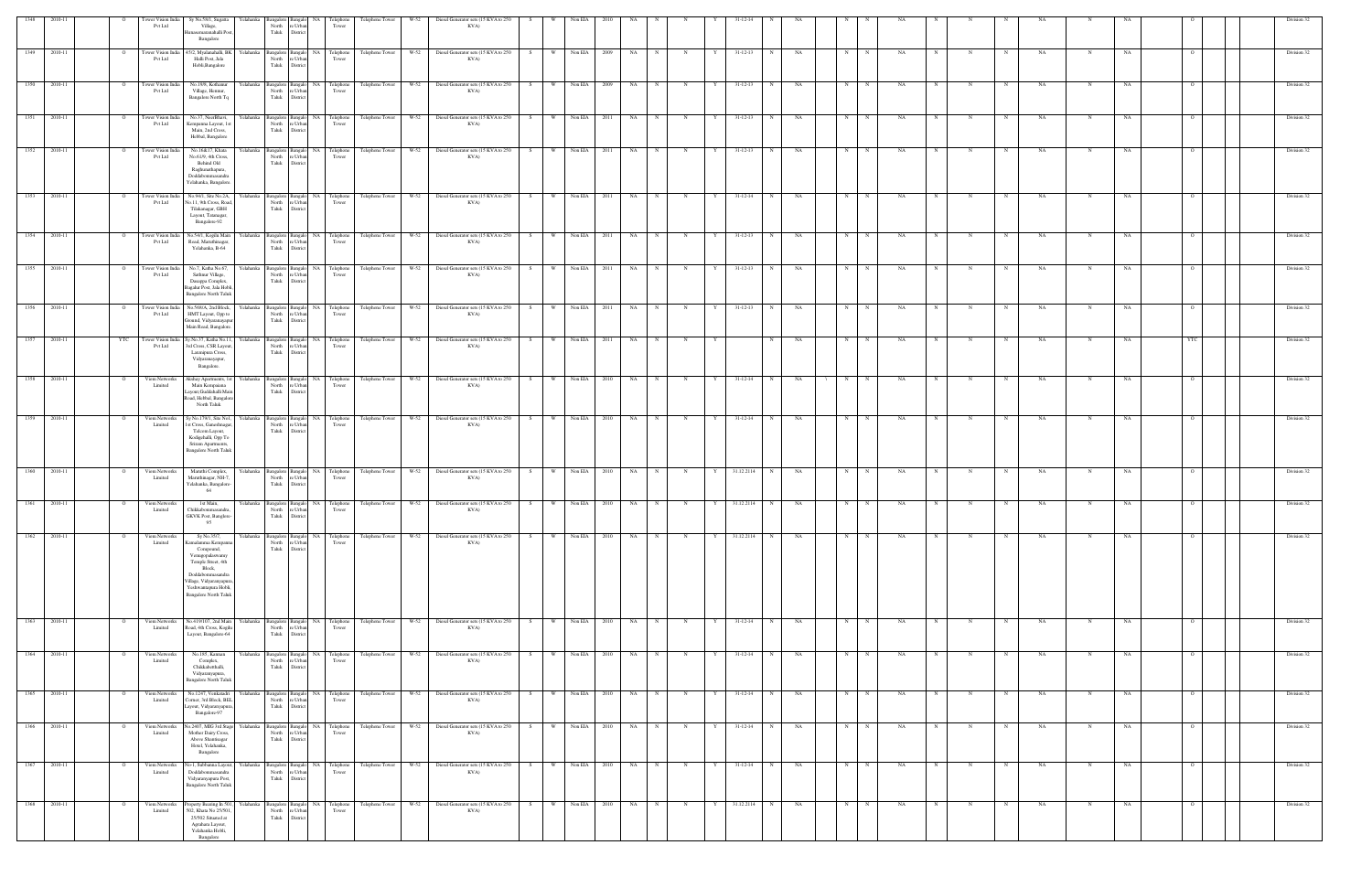|                  |              |                | ower Vision India<br>Pvt Ltd         | Sy No.58/1, Sugatta<br>Village,<br>unasemaranahalli Post,<br>Bangalore                                                                                                                           |            | North<br>Taluk                                             | e Urbi<br>District                   | <b>Telephone</b><br>Tower               | Telephone Tower | $W-52$ | Diesel Generator sets (15 KVA to 250                                                                        | KVA) |                |                |      |           |             |             |   |                |   |    |   |             |           |                          |             |           |            |    |                |  | Division 32 |
|------------------|--------------|----------------|--------------------------------------|--------------------------------------------------------------------------------------------------------------------------------------------------------------------------------------------------|------------|------------------------------------------------------------|--------------------------------------|-----------------------------------------|-----------------|--------|-------------------------------------------------------------------------------------------------------------|------|----------------|----------------|------|-----------|-------------|-------------|---|----------------|---|----|---|-------------|-----------|--------------------------|-------------|-----------|------------|----|----------------|--|-------------|
| 1349             | 2010-11      | $\overline{O}$ | Tower Vision India<br>Pvt Ltd        | 45/2, Myalanahalli, BK<br>Halli Post, Jala<br>Hobli, Bangalore                                                                                                                                   | Yelahanka  | Bangalore Bangalo<br>North<br>Taluk                        | re Urban<br>$\,$ District            | NA Telephone<br>Tower                   |                 |        | Telephone Tower W-52 Diesel Generator sets (15 KVA to 250<br>KVA)                                           |      | S.             | W Non EIA      | 2009 | NA        |             | N           | Y | $31 - 12 - 13$ | N | NA | N | N           | NA        |                          |             | NA        | N          | NA |                |  | Division 32 |
| 1350             | 2010-11      |                | <b>Tower Vision India</b><br>Pvt Ltd | No.19/8, Kothanur<br>Village, Hennur,<br>Bangalore North Tq                                                                                                                                      |            | Yelahanka Bangalore Bangalo NA Telephone<br>North<br>Taluk | re Urban<br>District                 | Tower                                   |                 |        | Telephone Tower W-52 Diesel Generator sets (15 KVA to 250<br>KVA)                                           |      | - W - I<br>S – | Non EIA        | 2009 | NA        |             |             | Y | $31 - 12 - 13$ |   | NA | N |             | NA        |                          |             | NA.       |            | NA |                |  | Division 32 |
|                  | 1351 2010-11 | $\overline{O}$ | Tower Vision India<br><b>Pvt Ltd</b> | No.37, NeerBhavi,<br>Kempanna Layout, 1st<br>Main, 2nd Cross,<br>Hebbal, Bangalore                                                                                                               |            | North<br>Taluk                                             | e Urba<br>District                   | Tower                                   |                 |        | Yelahanka Bangalore Bangalor NA Telephone Telephone Tower W-52 Diesel Generator sets (15 KVA to 250<br>KVA) |      | S              | W Non EIA 2011 |      | NA N      |             | N           | Y | $31 - 12 - 13$ | N | NA | N | N           | NA        | N<br>N                   | N           | NA        | N          | NA |                |  | Division 32 |
| 1352             | 2010-11      |                | Tower Vision India<br>Pvt Ltd        | No.16&17, Khata<br>No.61/9, 4th Cross,<br>Behind Old<br>Raghunathapura,<br>Doddabommasandra<br>Yelahanka, Bangalore.                                                                             |            | Yelahanka Bangalore Bangalo<br>North<br>Taluk              | re Urban<br>District                 | NA Telephone<br>Tower                   |                 |        | Telephone Tower W-52 Diesel Generator sets (15 KVA to 250                                                   | KVA) | W<br>- S       | Non EIA        | 2011 | NA        | N           | N           |   | $31 - 12 - 13$ | N | NA | N | $\mathbf N$ | NA        |                          |             | NA        | N          | NA |                |  | Division 32 |
| 1353             | 2010-11      | $\overline{O}$ | Tower Vision India<br>Pvt Ltd        | No.94/1, Site No.2A,<br>No.11, 9th Cross, Road,<br>Tilakanagar, GBH<br>Layout, Tatanagar,<br>Bangalore-92                                                                                        |            | Yelahanka Bangalore<br>North<br>Taluk                      | e Urban<br>District                  | Bangalo NA Telephone<br>Tower           |                 |        | Telephone Tower W-52 Diesel Generator sets (15 KVA to 250                                                   | KVA) | S<br>w I       | Non EIA        | 2011 | NA 1      | $\mathbf N$ | N           | Y | $31 - 12 - 14$ | N | NA | N | $\mathbf N$ | NA        | N                        |             | NA        |            | NA |                |  | Division 32 |
| 1354             | 2010-11      |                | Tower Vision India<br>Pvt Ltd        | No.54/1, Kogilu Main<br>Road, Maruthinagar,<br>Yelahanka, B-64                                                                                                                                   | Yelahanka  | Bangalore<br>North<br>Taluk                                | Bangalo<br>e Urba<br>Distric         | NA Telephone<br>Tower                   |                 |        | Telephone Tower W-52 Diesel Generator sets (15 KVA to 250<br>KVA)                                           |      | W I<br>S.      | Non EIA        | 2011 | NA        |             |             |   | 31-12-13       |   | NA |   |             |           |                          |             | NA        |            |    |                |  | Division 32 |
| 1355             | 2010-11      |                | Tower Vision India<br>Pvt Ltd        | No.7, Katha No.67,<br>Sathnur Village,<br>Dasappa Complex,<br>Bagalur Post, Jala Hobli,<br><b>Bangalore North Taluk</b>                                                                          | Yelahanka  | Bangalore Bangal<br>North<br>Taluk                         | <b>NA</b><br>e Urban<br>District     | Telephone<br>Tower                      |                 |        | Telephone Tower W-52 Diesel Generator sets (15 KVA to 250                                                   | KVA) | W l            | Non EIA        | 2011 | NA        |             |             |   | $31 - 12 - 13$ | N | NA | N |             | NA        |                          |             | NA        | N          | NA |                |  | Division 32 |
| $\frac{1356}{ }$ | 2010-11      | $\overline{O}$ | Pvt Ltd                              | Tower Vision India No.568/A, 2nd Block,<br>HMT Layout, Opp to<br>Ground, Vidyaranayapur<br>Main Road, Bangalore.                                                                                 | Yelahanka  | North<br>Taluk                                             | re Urban<br>District                 | Bangalore Bangalo NA Telephone<br>Tower |                 |        | Telephone Tower W-52 Diesel Generator sets (15 KVA to 250<br>KVA)                                           |      | S              | W Non EIA      | 2011 | NA 1      | N           | N           | Y | $31 - 12 - 13$ | N | NA | N | N           | NA .      | N<br>N                   | N           | <b>NA</b> | N          | NA | $\overline{O}$ |  | Division 32 |
| 1357             | 2010-11      | YTC            | Tower Vision India<br><b>Pvt Ltd</b> | Sy.No.37, Katha No.11,<br>3rd Cross, CSR Layout,<br>Laxmipura Cross,<br>Vidyaranayapur,<br>Bangalore.                                                                                            | Yelahanka  | Bangalore Bangalo<br>North<br>Taluk                        | e Urban<br>District                  | NA Telephone<br>Tower                   |                 |        | Telephone Tower W-52 Diesel Generator sets (15 KVA to 250<br>KVA)                                           |      | W l<br>S.      | Non EIA        | 2011 | NA .      |             |             |   |                |   | NA | N |             | NA        |                          |             | NA        |            | NA |                |  | Division 32 |
| 1358             | 2010-11      |                | Viom Networks<br>Limited             | Akshay Apartments, 1st Yelahanka Bangalore Bangalo<br>Main Kempaiana<br>Layout, Guddahalli Main<br>Road, Hebbal, Bangalore<br>North Taluk                                                        |            | North<br>Taluk                                             | e Urba<br>District                   | NA Telephone<br>Tower                   |                 |        | Telephone Tower W-52 Diesel Generator sets (15 KVA to 250<br>KVA)                                           |      | S              | W Non EIA      | 2010 | NA        | $_{\rm N}$  | N           |   | $31-12-14$     | N | NA | N | $\mathbf N$ | NA        |                          |             | NA        |            | NA |                |  | Division 32 |
| 1359             | 2010-11      |                | Viom Networks<br>Limited             | Sy No.179/1, Site No1,<br>1st Cross, Ganeshnagar,<br>Telcom Layout,<br>Kodigehalli, Opp To<br>Sriram Apartments,<br><b>Bangalore North Taluk</b>                                                 | Yelahanka  | Bangalore   I<br>North<br>Taluk                            | Bangalo<br>re Urban<br>District      | NA Telephone<br>Tower                   |                 |        | Telephone Tower W-52 Diesel Generator sets (15 KVA to 250<br>KVA)                                           |      | S<br>w l       | Non EIA        | 2010 | <b>NA</b> | $_{\rm N}$  | N           |   | $31 - 12 - 14$ | N | NA | N | N           | NA        |                          |             | NA        | N          | NA |                |  | Division 32 |
| 1360             | 2010-11      |                | Viom Networks<br>Limited             | Maruthi Complex,<br>Maruthinagar, NH-7,<br>Yelahanka, Bangalore-<br>64                                                                                                                           | Yelahanka  | Bangalore Bangalo<br>North<br>Taluk                        | e Urba<br>Distric                    | NA Telephone<br>Tower                   |                 |        | Telephone Tower W-52 Diesel Generator sets (15 KVA to 250<br>KVA)                                           |      | W<br>S.        | Non EIA        | 2010 | NA        |             |             |   | 31.12.2114     |   | NA | N |             | <b>NA</b> |                          |             | NA        |            | NA |                |  | Division 32 |
| 1361             | 2010-11      | $\overline{O}$ | Viom Networks<br>Limited             | 1st Main,<br>Chikkabommasandra,<br>GKVK Post, Banglore-<br>95                                                                                                                                    |            | Yelahanka Bangalore Bangalo NA Telephone<br>North<br>Taluk | e Urban<br>District                  | Tower                                   |                 |        | Telephone Tower W-52 Diesel Generator sets (15 KVA to 250<br>KVA)                                           |      | S              | W Non EIA      | 2010 | NA        |             |             |   | 31.12.2114     |   | NA |   |             |           |                          |             |           |            |    |                |  | Division 32 |
| 1362             | 2010-11      |                | Viom Networks<br>Limited             | Sy No.35/7,<br>Camalamma Kempani<br>Compound,<br>Venugopalaswamy<br>Temple Street, 4th<br>Block,<br>Doddabommasandra<br>'illage, Vidyaranyapura<br>Yeshwantapura Hobli,<br>Bangalore North Taluk | Yelahanka  | Bangalore<br>North<br>Taluk                                | NA<br>Bangal<br>re Urban<br>District | Telephone<br>Tower                      | Telephone Tower |        | W-52 Diesel Generator sets (15 KVA to 250<br>KVA)                                                           |      | W l<br>S .     | Non EIA        | 2010 | NA        | $_{\rm N}$  | N           | Y | 31.12.2114     | N | NA | N |             | NA        |                          |             | NA        |            | NA |                |  | Division 32 |
|                  | 1363 2010-11 | $\overline{O}$ | Viom Networks<br>Limited             | No.419/107, 2nd Main Yelahanka<br>Road, 4th Cross, Kogilu<br>Layout, Bangalore-64                                                                                                                |            | North<br>Taluk                                             | e Urba<br>District                   | Bangalore Bangalo NA Telephone<br>Tower |                 |        | Telephone Tower W-52 Diesel Generator sets (15 KVA to 250<br>KVA)                                           |      | S              | W Non EIA      | 2010 | $NA$ $N$  |             | N           | Y | $31-12-14$     | N | NA | N | N           | <b>NA</b> | N<br>N                   | $\mathbf N$ | NA        | $_{\rm N}$ | NA | $\Omega$       |  | Division 32 |
| 1364             | 2010-11      |                | Viom Networks<br>Limited             | No.185, Kannan<br>Complex,<br>Chikkabetthalli,<br>Vidyaranyapura,<br><b>Bangalore North Taluk</b>                                                                                                | Yelahanka  | Bangalore<br>North<br>Taluk                                | NA<br>Bangak<br>re Urban<br>District | Telephone<br>Tower                      | Telephone Tower | W-52   | Diesel Generator sets (15 KVA to 250<br>KVA)                                                                |      | W<br>S.        | Non EIA        | 2010 | <b>NA</b> | $_{\rm N}$  | $\mathbb N$ |   | $31 - 12 - 14$ | N | NA | N |             | NA        |                          |             | NA        |            | NA |                |  | Division 32 |
| 1365             | 2010-11      |                | Viom Networks<br>Limited             | No.1247, Venkatadri<br>Corner, 3rd Block, BEL<br>ayout, Vidyaranyapura,<br>Bangalore-97                                                                                                          | Y elahanka | Bangalore<br>North<br>Taluk                                | NA<br>e Urba<br>District             | Telephone<br>Tower                      | Telephone Tower | W-52   | Diesel Generator sets (15 KVA to 250<br>KVA)                                                                |      | S.             | Non EIA        | 2010 | NA        |             |             |   | 31-12-14       |   | NA | N |             | NA        |                          |             | NA.       |            | NA |                |  | Division 32 |
|                  | 1366 2010-11 | $\overline{O}$ | Viom Networks<br>Limited             | No.2407, MIG 3rd Stage Yelahanka<br>Mother Dairy Cross,<br>Above Shantisagar<br>Hotel, Yelahanka,<br>Bangalore                                                                                   |            | North<br>Taluk                                             | e Urba<br>Distric                    | Bangalore Bangalo NA Telephone<br>Tower |                 |        | Telephone Tower W-52 Diesel Generator sets (15 KVA to 250<br>KVA)                                           |      | S              | W Non EIA 2010 |      | NA N      |             | N           | Y | 31-12-14       | N | NA | N | N           | NA        | N<br>N                   | N           | <b>NA</b> | N          | NA | $\Omega$       |  | Division 32 |
| 1367             | 2010-11      | $\circ$        | Viom Networks<br>Limited             | No-1, Subbanna Layout,<br>Doddabommasandra<br>Vidyaranyapura Post,<br><b>Bangalore North Taluk</b>                                                                                               | Yelahanka  | Bangalore Bangalo<br>North<br>Taluk                        | re Urban<br>District                 | NA Telephone<br>Tower                   | Telephone Tower |        | W-52 Diesel Generator sets (15 KVA to 250                                                                   | KVA) | W l<br>S.      | Non EIA        | 2010 | NA 1      | $_{\rm N}$  | N           | Y | $31 - 12 - 14$ | N | NA | N | N           | <b>NA</b> | $_{\rm N}$<br>$_{\rm N}$ |             | NA        | $_{\rm N}$ | NA | $\Omega$       |  | Division 32 |
| 1368             | 2010-11      | $\overline{O}$ | Viom Networks<br>Limited             | roperty Bearing In 501,<br>502, Khata No 25/501,<br>25/502 Situated at<br>Agrahara Layout,<br>Yelahanka Hobli,<br>Bangalore                                                                      | Yelahanka  | North<br>Taluk                                             | e Urban<br>District                  | Bangalore Bangalo NA Telephone<br>Tower |                 |        | Telephone Tower W-52 Diesel Generator sets (15 KVA to 250<br>KVA)                                           |      | S              | W Non EIA      | 2010 | NA NA     | N           | N           | Y | 31.12.2114     | N | NA | N | N           | NA .      | N<br>N                   | N           | NA        | $_{\rm N}$ | NA | $\Omega$       |  | Division 32 |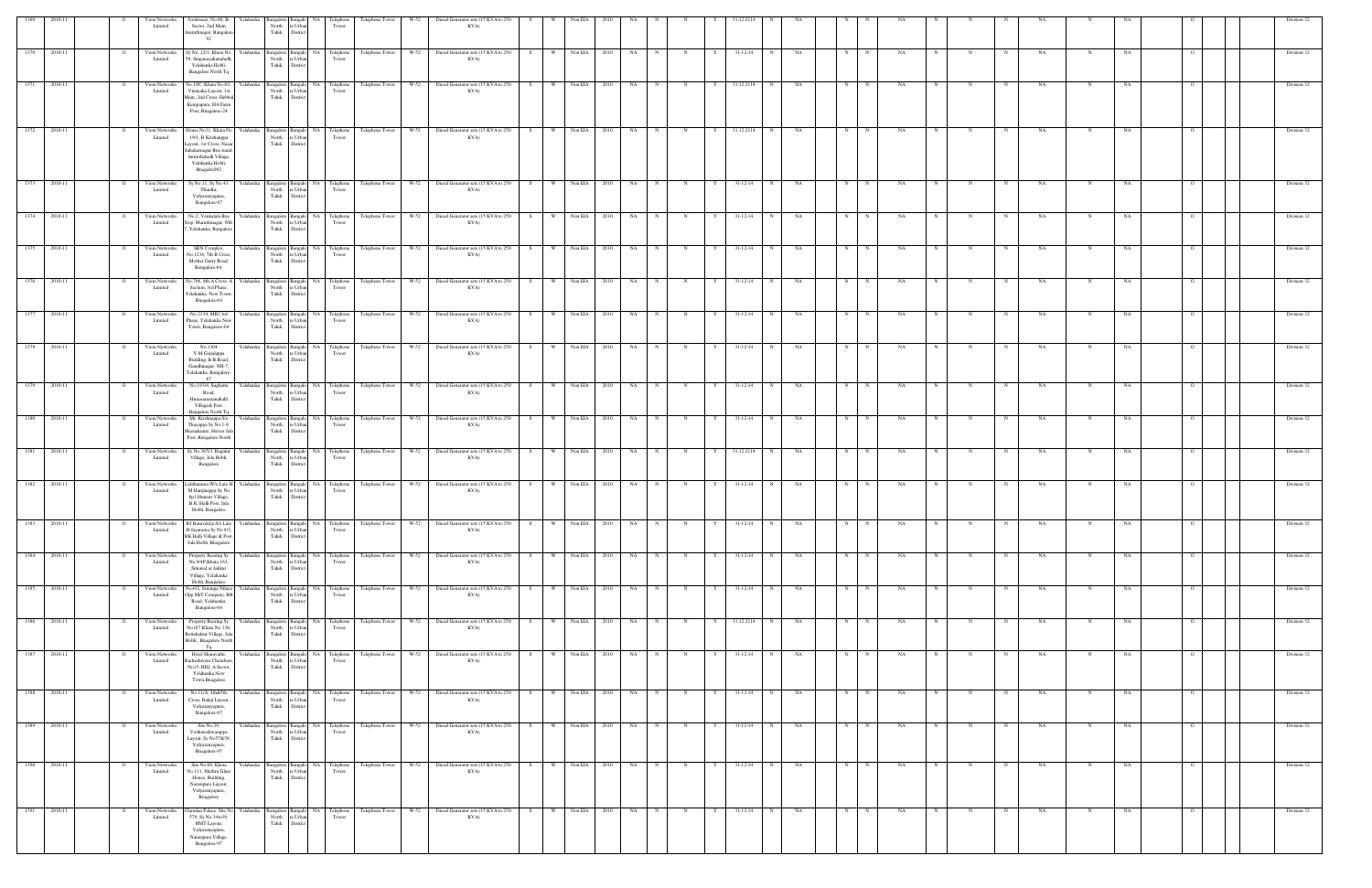|                  |              |                | Viom Networks<br>Limited | Jyotirmayi, No.66, B-<br>Sector, 2nd Main<br>Amruthnagar, Bangalore<br>92                                                                                               | Yelahank  | North<br>'e Urb<br>Taluk<br>District                     | Telephone<br>Tower                      | Telephone Tower      | W-52   | Diesel Generator sets (15 KVA to 250<br>KVA)                                                                                  |            |                |      |           |            |              |   |                |             |           |            |             |     |   |             |   |           |             |     |                | Division 32 |
|------------------|--------------|----------------|--------------------------|-------------------------------------------------------------------------------------------------------------------------------------------------------------------------|-----------|----------------------------------------------------------|-----------------------------------------|----------------------|--------|-------------------------------------------------------------------------------------------------------------------------------|------------|----------------|------|-----------|------------|--------------|---|----------------|-------------|-----------|------------|-------------|-----|---|-------------|---|-----------|-------------|-----|----------------|-------------|
| 1370             | 2010-11      | $\circ$        | Viom Networks<br>Limited | Sy No. 22/1, Khata No.<br>58, Singanayakanahalli,<br>Yelahanka Hobli,<br>Bangalore North Tq                                                                             | Yelahanka | Bangalore Bangalo<br>re Urban<br>North<br>Taluk District | NA Telephone<br>Tower                   | Telephone Tower      | W-52   | Diesel Generator sets (15 KVA to 250<br>KVA)                                                                                  | W  <br>S.  | Non EIA        | 2010 | NA        |            |              |   | 31-12-14       | $\mathbf N$ | NA        | N          |             | NA  |   |             |   | NA        | N           | NA  |                | Division 32 |
| 1371             | 2010-11      | - 0            | Viom Networks<br>Limited | No.19C, Khata No.8/1,<br>Vinayaka Layout, 1st<br>Main, 2nd Cross, Hebbal<br>Kempapura, HA Farm<br>Post, Bnagalore-24                                                    | Yelahanka | North<br>re Urban<br>Taluk District                      | Bangalore Bangalo NA Telephone<br>Tower |                      |        | Telephone Tower W-52 Diesel Generator sets (15 KVA to 250<br>KVA)                                                             | S –        | W Non EIA      | 2010 | <b>NA</b> | N          | N            | Y | 31.12.2114     | N           | NA        | N          |             | NA  |   |             |   | NA.       |             | NA. |                | Division 32 |
| $\frac{1372}{ }$ | 2010-11      | $\mathbf{o}$   | Viom Networks<br>Limited | House No11, Khata No Yelahanka<br>19/1, B Krishanppa<br>Layout, 1st Cross, Neaar<br>Sahakarnagar Bus stand.<br>Amruthahalli Village,<br>Yelahanka Hobli,<br>Bnagalre092 |           | re Urba<br>North<br>Taluk<br>District                    | Bangalore Bangalo NA Telephone<br>Tower |                      |        | Telephone Tower W-52 Diesel Generator sets (15 KVA to 250<br>KVA)                                                             | S          | W Non EIA 2010 |      | NA N      |            | N            | Y | 31.12.2114     | N           | NA        | N          | $\mathbf N$ | NA  |   | $\mathbf N$ |   | NA        | N           | NA  |                | Division 32 |
| 1373             | 2010-11      | $\circ$        | Viom Networks<br>Limited | Sy No.11, Sy No.43,<br>Thindlu,<br>Vidyaranyapura,<br>Bangalore-97                                                                                                      | Yelahanka | Bangalore Bangalo<br>re Urban<br>North<br>Taluk District | NA Telephone<br>Tower                   |                      |        | Telephone Tower W-52 Diesel Generator sets (15 KVA to 250<br>KVA)                                                             | W \<br>S   | Non EIA        | 2010 | NA        |            | $\mathbf N$  |   | $31 - 12 - 14$ |             | NA        | $_{\rm N}$ |             | NA  |   |             |   | NA        |             | NA  |                | Division 32 |
| 1374             | 2010-11      |                | Viom Networks<br>Limited | No.2, Venkatala Bus<br>Stop, Maruthinagar, NH-<br>, Yelahanka, Bangalore                                                                                                | Yelahanka | re Urban<br>North<br>Taluk District                      | Bangalore Bangalo NA Telephone<br>Tower | Telephone Tower      | W-52   | Diesel Generator sets (15 KVA to 250<br>KVA)                                                                                  | W<br>S.    | Non EIA        | 2010 | NA        |            |              |   | $31 - 12 - 14$ |             | NA        | N          |             | NA  |   |             |   | NA        |             | NΑ  |                | Division 32 |
| 1375             | 2010-11      |                | Viom Networks<br>Limited | SRN Complex,<br>No.1234, 7th B Cross,<br>Mother Dairy Road,<br>Bangalore-64,                                                                                            | Yelahanka | re Urba<br>North<br>Taluk<br>District                    | Bangalore Bangalo NA Telephone<br>Tower |                      |        | Telephone Tower W-52 Diesel Generator sets (15 KVA to 250<br>KVA)                                                             | S.         | W Non EIA      | 2010 | NA        |            |              |   | $31 - 12 - 14$ |             | NA        | $_{\rm N}$ |             | NA  |   |             |   | NA        |             | NA  |                | Division 32 |
| 1376             | 2010-11      | $\circ$        | Viom Networks<br>Limited | No.796, 8th A Cross, A Yelahanka<br>Section, 3rd Phase,<br>Yelahanka, New Town,<br>Bnagalore-64                                                                         |           | re Urbar<br>North<br>Taluk District                      | Bangalore Bangalo NA Telephone<br>Tower |                      |        | Telephone Tower W-52 Diesel Generator sets (15 KVA to 250<br>KVA)                                                             | w l<br>S – | Non EIA        | 2010 | NA        |            |              |   | 31-12-14       | N           | NA        | N          | N           | NA  |   |             |   | NA        | N           | NA  |                | Division 32 |
| 1377             | 2010-11      |                | Viom Networks<br>Limited | No.2334, MIG 3rd<br>Phase, Yelahanka New<br>Town, Bangalore-64                                                                                                          | Yelahanka | Bangalore Bangalo<br>North<br>re Urbar<br>Taluk District | NA Telephone<br>Tower                   |                      |        | Telephone Tower W-52 Diesel Generator sets (15 KVA to 250<br>KVA)                                                             | S.         | W Non EIA      | 2010 | NA        |            |              |   | $31 - 12 - 14$ | N           | NA        | N          |             | NA  |   |             |   | NA        |             | NA  |                | Division 32 |
| 1378             | 2010-11      | $\overline{O}$ | Viom Networks<br>Limited | No.1304<br>Y.M.Gopalappa<br>Building, B.B.Road,<br>Gandhinagar, NH-7,<br>Yelahanka, Bangalore-<br>67                                                                    | Yelahanka | North<br>re Urban<br>Taluk<br>District                   | Bangalore Bangalo NA Telephone<br>Tower |                      |        | Telephone Tower W-52 Diesel Generator sets (15 KVA to 250<br>KVA)                                                             | W 1<br>S   | Non EIA        | 2010 | NA N      | N          | N            | Y | $31-12-14$     | N           | NA        | N          | N           | NA  | N | N           | N | NA        | N           | NA  | $\overline{O}$ | Division 32 |
|                  | 1379 2010-11 | $\overline{O}$ | Viom Networks<br>Limited | Road,<br>Hunasemaranahalli<br>Village& Post,<br><b>Bangalore North Tq</b>                                                                                               |           | re Urban<br>North<br>Taluk District                      | Tower                                   |                      |        | No.193/4, Sughatta Yelahanka Bangalore Bangalo NA Telephone Telephone Tower W-52 Diesel Generator sets (15 KVA to 250<br>KVA) | S          | W Non EIA 2010 |      | NA N      |            | N            | Y | $31 - 12 - 14$ | N           | <b>NA</b> | N          | N           | NA. | N | $_{\rm N}$  | N | <b>NA</b> | N           | NA  | $\Omega$       | Division 32 |
| 1380             | 2010-11      |                | Viom Networks<br>Limited | Mr. Krishnappa S/o<br>Thayappa Sy No 1-9.<br>Meenakunte, Herror Jala<br>Post, Bangalore North                                                                           | Yelahanka | Bangalore Bangalo<br>re Urban<br>North<br>Taluk District | NA Telephone<br>Tower                   |                      |        | Telephone Tower W-52 Diesel Generator sets (15 KVA to 250<br>KVA)                                                             | W<br>S.    | Non EIA        | 2010 | NA        | $_{\rm N}$ | N            |   | $31 - 12 - 14$ | $_{\rm N}$  | NA        | N          |             | NA  |   |             |   | NA        | N           | NA  |                | Division 32 |
| 1381             | 2010-11      | $\overline{O}$ | Viom Networks<br>Limited | Sy No.365/3, Bagalur<br>Village, Jala Hobli,<br>Bangalore                                                                                                               | Yelahanka | re Urban<br>North<br>Taluk District                      | Bangalore Bangalo NA Telephone<br>Tower | Telephone Tower      |        | W-52 Diesel Generator sets (15 KVA to 250<br>KVA)                                                                             | S<br>W.    | Non EIA        | 2010 | <b>NA</b> | $_{\rm N}$ | N            | Y | 31.12.2114     | N           | NA        | N          | N           | NA  | N | $\mathbf N$ | N | NA        | N           | NA  | $\circ$        | Division 32 |
| 1382             | 2010-11      | $\overline{O}$ | Viom Networks<br>Limited | .atithamma W/o Late H Yelahanka<br>M Hanjinappa Sy No<br>8p1, Hunsur Village,<br>B.K. Halli Post, Jala<br>Hobli, Bangalore                                              |           | North<br>re Urba<br>Taluk<br>Distric                     | Bangalore Bangalo NA Telephone<br>Tower |                      |        | Telephone Tower W-52 Diesel Generator sets (15 KVA to 250<br>KVA)                                                             | W  <br>S – | Non EIA        | 2010 | NA        | N          | N            | Y | $31 - 12 - 14$ | N           | NA        | N          | $\mathbf N$ | NA  |   | N           |   | NA        | $\mathbf N$ | NA  |                | Division 32 |
| 1383             | 2010-11      |                | Viom Networks<br>Limited | BJ Basavaraja S/o Late Yelahanka<br>H Jayarama Sy No 9/3,<br>BK Halli Village & Post,<br>Jala Hobli, Bnagalore                                                          |           | Bangalore Bangalo<br>re Urban<br>North<br>Taluk District | NA Telephone<br>Tower                   | Telephone Tower      | W-52   | Diesel Generator sets (15 KVA to 250<br>KVA)                                                                                  | S.         | Non EIA        | 2010 | NA        |            |              |   | 31-12-14       |             | NA.       |            |             |     |   |             |   |           |             |     |                | Division 32 |
| 1384             | 2010-11      | $\mathbf{o}$   | Viom Networks<br>Limited | Property Bearing Sy<br>No.9/4P, Khata 163,<br>Situated at Jakkur<br>Village, Yelahanka<br>Hobli, Bangalore                                                              | Yelahanka | North re Urban<br>Taluk District                         | Bangalore Bangalo NA Telephone<br>Tower |                      |        | Telephone Tower W-52 Diesel Generator sets (15 KVA to 250<br>KVA)                                                             | S          | W Non EIA      | 2010 | NA N      |            | N            | Y | $31 - 12 - 14$ | N           | NA        | N          | N           | NA  | N | N           | N | <b>NA</b> | $\mathbf N$ | NA  |                | Division 32 |
| 1385             | 2010-11      | $\overline{O}$ | Viom Networks<br>Limited | No-6/2, Sriranga Nilaya<br>Opp SBT Company, BE<br>Road, Yelahanka,<br>Bangalore-64                                                                                      | Yelahanka | North<br>re Urban<br>Taluk District                      | Tower                                   |                      |        | Bangalore Bangalo NA Telephone Telephone Tower W-52 Diesel Generator sets (15 KVA to 250<br>KVA)                              | w I<br>S   | Non EIA        | 2010 | NA 1      | N          | N            | Y | $31 - 12 - 14$ | N           | NA        | N          | N           | NA  | N | N<br>N      |   | NA        | N           | NA  | $\overline{O}$ | Division 32 |
|                  | 1386 2010-11 | $\mathbf{o}$   | Viom Networks<br>Limited | Property Bearing Sy Yelahanka<br>No167 Khata No 136,<br>Bettahalsur Village, Jal<br>Hobli,. Bnagalore North<br>Tq                                                       |           | re Urban<br>North<br>Taluk District                      | Bangalore Bangalo NA Telephone<br>Tower |                      |        | Telephone Tower W-52 Diesel Generator sets (15 KVA to 250 S<br>KVA)                                                           |            | W Non EIA 2010 |      | NA N      |            | N            | Y | 31.12.2114 N   |             | <b>NA</b> | N          | N           | NA  | N | N<br>N      |   | <b>NA</b> | $\mathbf N$ | NA  | $\circ$        | Division 32 |
| 1387             | 2010-11      |                | Viom Networks<br>Limited | Hotel Sharavathi,<br>Rudreshwara Chambers<br>No15, HIG, A Sector,<br>Yelahanka New<br>Town, Bnagalore                                                                   | Yelahanka | re Urban<br>North<br>Taluk District                      | Bangalore Bangalo NA Telephone<br>Tower | Telephone Tower      | W-52   | Diesel Generator sets (15 KVA to 250<br>KVA)                                                                                  | W<br>S.    | Non EIA        | 2010 | NA        | $_{\rm N}$ | $\mathbb N$  |   | $31 - 12 - 14$ | N           | NA        | $_{\rm N}$ |             | NA  |   |             |   | NA        |             | NA  |                | Division 32 |
| 1388             | 2010-11      | $\circ$        | Viom Networks<br>Limited | No.11/A, 4th&5th<br>Cross, Balaji Layout,<br>Vidyaranyapura,<br>Bangalore-97                                                                                            | Yelahanka | North<br>re Urban<br>Taluk<br>District                   | Bangalore Bangalo NA Telephone<br>Tower | Telephone Tower      | $W-52$ | Diesel Generator sets (15 KVA to 250<br>KVA)                                                                                  | S.<br>W.   | Non EIA        | 2010 | <b>NA</b> | $_{\rm N}$ | $\mathbf N$  |   | 31-12-14       | N           | NA        | N          |             | NA  |   |             |   | NA        | N           | NA  |                | Division 32 |
| 1389             | 2010-11      | $\circ$        | Viom Networks<br>Limited | Site No.29,<br>Venkateshwarappa<br>Layout, Sy No57&58,<br>Vidyaranyapura,<br>Bnagalore-97                                                                               | Yelahanka | North<br>re Urbar<br>Taluk<br>District                   | Bangalore Bangalo NA Telephone<br>Tower | Telephone Tower W-52 |        | Diesel Generator sets (15 KVA to 250<br>KVA)                                                                                  | W<br>S –   | Non EIA        | 2010 | <b>NA</b> | $_{\rm N}$ | $\mathbb{N}$ | Y | $31 - 12 - 14$ | $_{\rm N}$  | NA        | N          | $\mathbb N$ | NA  |   |             |   | NA        | N           | NA  |                | Division 32 |
| 1390             | 2010-11      | $\Omega$       | Viom Networks<br>Limited | Site No.68, Khata<br>No.111, Mathru Glass<br>House, Building,<br>Narasipura Layout,<br>Vidyaranyapura,<br>Bnagalore                                                     | Yelahanka | Bangalore Bangalo<br>re Urban<br>North<br>Taluk District | NA Telephone<br>Tower                   |                      |        | Telephone Tower W-52 Diesel Generator sets (15 KVA to 250<br>KVA)                                                             | S.         | W Non EIA      | 2010 | NA N      | N          | N            | Y | $31 - 12 - 14$ | N           | NA        | N          | N           | NA  |   | N           |   | NA        | N           | NA  |                | Division 32 |
| 1391             | 2010-11      | $\overline{O}$ | Viom Networks<br>Limited | Chandan Palace, Site No Yelahanka<br>579, Sy No 34to 39,<br>HMT Layout,<br>Vidyaranyapura,<br>Narasipura Village,<br>Bangalore-97                                       |           | re Urban<br>North<br>Taluk<br>District                   | Bangalore Bangalo NA Telephone<br>Tower |                      |        | Telephone Tower W-52 Diesel Generator sets (15 KVA to 250<br>KVA)                                                             | S          | W Non EIA 2010 |      | $NA$ N    |            | N            | Y | $31 - 12 - 14$ | N           | NA        | N          | N           | NA  | N | $_{\rm N}$  | N | NA        | $\mathbf N$ | NA  | $\overline{O}$ | Division 32 |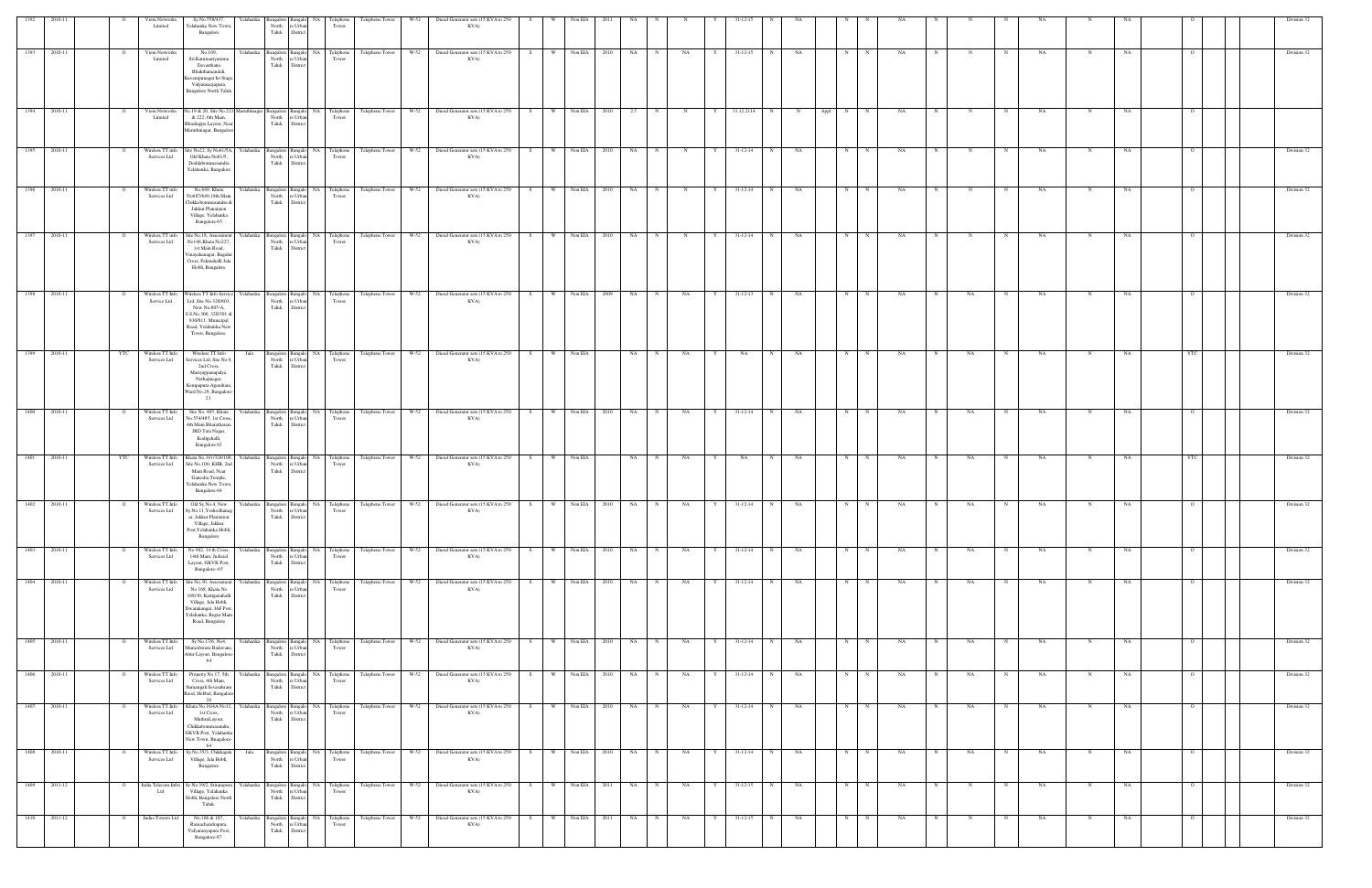|      |              |                | <b>Viom Networks</b><br>Limited  | Sv.No.558/437.<br>Yelahanka New Town,<br>Bangalore                                                                                                                     | Yelahank<br>North<br>Taluk  | e Urb<br>Distric                                             | Telephone<br>Tower                      | Telephone Tower                                | W-52   | Diesel Generator sets (15 KVA to 250<br>KVA)                                                                      |    |     | Non EL          |           |             |             |   |                |   |           |        |                  |                |            |            |             |           |             |    |                |  | Division 32 |
|------|--------------|----------------|----------------------------------|------------------------------------------------------------------------------------------------------------------------------------------------------------------------|-----------------------------|--------------------------------------------------------------|-----------------------------------------|------------------------------------------------|--------|-------------------------------------------------------------------------------------------------------------------|----|-----|-----------------|-----------|-------------|-------------|---|----------------|---|-----------|--------|------------------|----------------|------------|------------|-------------|-----------|-------------|----|----------------|--|-------------|
| 1393 | 2010-11      | $\overline{O}$ | Viom Networks<br>Limited         | No.109,<br>Sri.Karumariyamma<br>Devasthana<br>Bhakthamandali,<br>Kuvempunagar Ist Stage<br>Vidyaranayapura,<br><b>Bangalore North Taluk</b>                            | Yelahanka<br>North          | Bangalore Bangalo<br>re Urba<br>Taluk District               | NA Telephone<br>Tower                   | Telephone Tower W-52                           |        | Diesel Generator sets (15 KVA to 250<br>KVA)                                                                      | S  |     | W Non EIA 2010  | <b>NA</b> |             | NA          |   | $31 - 12 - 15$ | N | <b>NA</b> |        | N                | N<br>NA        |            |            |             | <b>NA</b> | N           | NA |                |  | Division 32 |
| 1394 | 2010-11      | $\overline{O}$ | Viom Networks<br>Limited         | No.19 & 20, Site No.221 Maruthinagar<br>& 222, 6th Main,<br>Bhadrappa Layout, Near<br>Maruthinagar, Bangalore                                                          |                             | North re Urban<br>Taluk District                             | Tower                                   |                                                |        | Bangalore Bangalo NA Telephone Telephone Tower W-52 Diesel Generator sets (15 KVA to 250<br>KVA)                  | S  |     | W Non EIA 2010  | 2.5       | $\mathbf N$ | N           | Y | 31.12.2114     | N | N         | Appl N |                  | N<br>NA        | N          | N          |             | <b>NA</b> | $_{\rm N}$  | NA |                |  |             |
| 1395 | 2010-11      | $\Omega$       | Wireless TT info<br>Serivces Ltd | Site No22, Sy No61/5A, Yelahanka<br>Old Khata No61/5,<br>Doddabommasandra<br>Yelahanka, Bangalore                                                                      | North<br>Taluk              | re Urban<br>District                                         | Bangalore Bangalo NA Telephone<br>Tower |                                                |        | Telephone Tower W-52 Diesel Generator sets (15 KVA to 250<br>KVA)                                                 | S  | W \ | Non EIA 2010    | NA        | N           | $\mathbf N$ | Y | $31 - 12 - 14$ | N | NA        |        | N<br>N           | NA.            |            | N          | $_{\rm N}$  | NA        | N           | NA |                |  | Division 32 |
| 1396 | 2010-11      | $\Omega$       | Wireless TT info<br>Serivces Ltd | No.649, Khata<br>No687/649,18th Main<br>Chikkobommasandra &<br>Jakkur Planataion<br>Village, Yelahanka<br>Bangalore-65                                                 | Yelahanka<br>North          | Bangalore Bangalo<br>re Urbar<br>Taluk District              | NA Telephone<br>Tower                   | Telephone Tower W-52                           |        | Diesel Generator sets (15 KVA to 250<br>KVA)                                                                      | S  |     | W Non EIA 2010  | NA        | $\mathbf N$ | N           | Y | $31 - 12 - 14$ | N | NA        |        | N                | NA.<br>N       |            |            |             | <b>NA</b> | N           | NA |                |  | Division 32 |
| 1397 | 2010-11      | $\overline{O}$ | Wireless TT info<br>Serivces Ltd | Site No.18, Assessment<br>No146, Khata No227,<br>1st Main Road,<br>/inayakanagar, Bagalur<br>Cross, Palanahalli Jala<br>Hobli, Bangalore                               | Yelahanka                   | North re Urban<br>Taluk District                             | Bangalore Bangalo NA Telephone<br>Tower |                                                |        | Telephone Tower W-52 Diesel Generator sets (15 KVA to 250<br>KVA)                                                 | S  | W   | Non EIA 2010    | NA        | $\mathbf N$ | N           |   | $31 - 12 - 14$ | N | NA        |        | N                | N<br>NA.       | $_{\rm N}$ | $_{\rm N}$ | N           | NA        | $_{\rm N}$  | NA |                |  | Division 32 |
| 1398 | 2010-11      | $\overline{O}$ | Wireless TT Info<br>Service Ltd  | Wireless TT Info Service Yelahanka<br>Ltd, Site No.328/803,<br>New No.805-A,<br>S.S.No.300, 320/301 &<br>830/811, Municipal<br>Road, Yelahanka New<br>Town, Bangalore. | North<br>Taluk              | re Urba<br>District                                          | Tower                                   |                                                |        | Bangalore Bangalo NA Telephone Telephone Tower W-52 Diesel Generator sets (15 KVA to 250 S<br>KVA)                |    |     | W Non EIA 2009  | NA        | $_{\rm N}$  | NA          |   | $31 - 12 - 13$ | N | NA        |        | N                | N<br>NA.       |            | NA         |             | <b>NA</b> | N           | NA |                |  | Division 32 |
| 1399 | 2010-11      | YTC            | Wireless TT Info<br>Services Ltd | Wireless TT Info<br>Services Ltd, Site No.9,<br>2nd Cross,<br>Mariyappanapalya,<br>Nethajinagar,<br>Kempapura Agarahara,<br>Ward No.29, Bangalore<br>23.               | Jala                        | North re Urban<br>Taluk District                             | Tower                                   |                                                |        | Bangalore Bangalo NA Telephone Telephone Tower W-52 Diesel Generator sets (15 KVA to 250 S W Non EIA<br>KVA)      |    |     |                 | NA 1      | N           | <b>NA</b>   | Y | NA             | N | <b>NA</b> |        | N                | N<br><b>NA</b> | N          | <b>NA</b>  | N           | <b>NA</b> | N           | NA | YTC            |  | Division 32 |
| 1400 | 2010-11      | $\circ$        | Wireless TT Info<br>Services Ltd | Site No. 485, Khata<br>No.554/485, 1st Cross<br>4th Main Bharatharata<br>JRD Tata Nagar,<br>Kodigehalli,<br>Bangalore.92                                               | Yelahanka<br>North<br>Taluk | re Urba<br>District                                          | Tower                                   |                                                |        | Bangalore Bangalo NA Telephone Telephone Tower W-52 Diesel Generator sets (15 KVA to 250 S W Non EIA 2010<br>KVA) |    |     |                 | NA N      |             | NA          | Y | 31-12-14 N     |   | NA        |        | $N$ N            | NA             | $_{\rm N}$ | NA         | $\mathbf N$ | NA        |             | NA |                |  | Division 32 |
| 1401 | 2010-11      | YTC            | Wireless TT Info<br>Services Ltd | Khata No.341/324/100,<br>Site No.100, KHB, 2nd<br>Main Road, Near<br>Ganesha Temple,<br>Yelahanka New Town,<br>Bangalore-64                                            | Yelahanka                   | Bangalore Bangak<br>North re Urban<br>Taluk District         | NA Telephone<br>Tower                   | Telephone Tower                                | $W-52$ | Diesel Generator sets (15 KVA to 250<br>KVA)                                                                      | S. |     | Non EIA         | NA        |             | NA          |   | NA             |   | NA        |        |                  | NA             |            | NA         |             | NA        |             | NA | YTC            |  | Division 32 |
| 1402 | 2010-11      | $\overline{O}$ | Wireless TT Info<br>Services Ltd | Old Sy.No.4, New<br>Sy.No.11, Yeshodhanag<br>ar, Jakkur Plantation<br>Village, Jakkur<br>Post, Yelahanka Hobli,<br>Bangalore                                           | Yelahanka<br>Taluk          | North re Urban                                               | Tower                                   | Bangalore Bangalo NA Telephone Telephone Tower | $W-52$ | Diesel Generator sets (15 KVA to 250<br>KVA)                                                                      | S  | W.  | Non EIA<br>2010 | NA        |             | NA          |   | 31-12-14       |   | NA        |        |                  | NA             |            | NA         |             | NA        |             |    |                |  | Division 32 |
|      | 1403 2010-11 | $\overline{O}$ | Wireless TT Info<br>Services Ltd | No 982, 14 th Cross,<br>14th Mian, Judicial<br>Layout, GKVK Post,<br>Bangalore-65                                                                                      | Yelahanka<br>North          | re Urbar<br>Taluk District                                   | Tower                                   |                                                |        | Bangalore Bangalo NA Telephone Telephone Tower W-52 Diesel Generator sets (15 KVA to 250<br>KVA)                  | S  |     | W Non EIA 2010  | NA N      |             | NA          | Y | $31 - 12 - 14$ | N | NA        |        | N<br>N           | NA             |            | NA         | N           | <b>NA</b> | $\mathbf N$ | NA |                |  | Division 32 |
| 1404 | 2010-11      | $\mathbf{o}$   | Wireless TT Info<br>Services Ltd | Site No.30, Assessment<br>No 168, Khata No<br>168/30, Kattiganahalli<br>Village, Jala Hobli,<br>Dwarakangar, IAF Post,<br>Yelahanka, Begur Main<br>Road, Bangalore     | Yelahanka                   | <b>Bangalore</b> Bangalo<br>North re Urban<br>Taluk District | NA Telephone<br>Tower                   | Telephone Tower                                | $W-52$ | Diesel Generator sets (15 KVA to 250<br>KVA)                                                                      | S. | W   | Non EIA<br>2010 | NA        |             | NA          |   | $31 - 12 - 14$ | N | NA        |        | N                | NA             |            | NA         |             | NA        | N           | NA |                |  | Division 32 |
| 1405 | 2010-11      | $\overline{O}$ | Wireless TT Info<br>Services Ltd | Sy No 17/6, No4,<br>Muneshwara Badavane,<br>Attur Layout, Bangalore-<br>64                                                                                             | Yelahanka<br>North<br>Taluk | re Urban<br>District                                         | Bangalore Bangalo NA Telephone<br>Tower | Telephone Tower                                | W-52   | Diesel Generator sets (15 KVA to 250<br>KVA)                                                                      | S  | W   | Non EIA 2010    | NA N      | N           | $\rm NA$    | Y | $31 - 12 - 14$ | N | NA        |        | N                | N<br>NA        | $_{\rm N}$ | NA         | N           | NA        | N           | NA | $\overline{O}$ |  | Division 32 |
| 1406 | 2010-11      | $\overline{O}$ | Wireless TT Info<br>Services Ltd | Property No 17, 5th Yelahanka<br>Cross, 4th Mian,<br>Sumangali Sevasahram<br>Raod, Hebbal, Bangalore<br>24                                                             | North                       | re Urban<br>Taluk District                                   | Bangalore Bangalo NA Telephone<br>Tower |                                                |        | Telephone Tower W-52 Diesel Generator sets (15 KVA to 250<br>KVA)                                                 | S  |     | W Non EIA 2010  | NA N      |             | NA          | Y | $31 - 12 - 14$ | N | NA        |        | N                | N<br>NA        | N          | NA         | $\mathbf N$ | NA        | N           | NA | $\overline{O}$ |  | Division 32 |
| 1407 | 2010-11      | $\circ$        | Wireless TT Info<br>Services Ltd | Khata No.16/4A No12,<br>1st Cross,<br>MathruLayout,<br>Chikkabommasandra<br>GKVK Post, Yelahanka<br>New Town, Bnagalore-<br>64                                         | Yelahanka                   | Bangalore Bangalo<br>North re Urban<br>Taluk District        | NA Telephone<br>Tower                   | Telephone Tower                                | W-52   | Diesel Generator sets (15 KVA to 250<br>KVA)                                                                      | S. | W   | Non EIA<br>2010 | NA        | $\mathbf N$ | NA          |   | $31 - 12 - 14$ | N | NA        |        | N<br>N           | NA.            |            | NA         |             | NA        |             | NA |                |  | Division 32 |
| 1408 | 2010-11      | $\overline{O}$ | Wireless TT Info<br>Services Ltd | Sy.No.35/3, Chikkajala<br>Village, Jala Hobli,<br>Bangalore                                                                                                            | Jala<br>North<br>Taluk      | re Urban<br>District                                         | Bangalore Bangalo NA Telephone<br>Tower | Telephone Tower                                | $W-52$ | Diesel Generator sets (15 KVA to 250<br>KVA)                                                                      | S  | W   | Non EIA<br>2010 | NA        | N           | NA          | Y | $31 - 12 - 14$ | N | NA        |        | $\mathbf N$<br>N | NA             | N          | NA         | N           | NA        | N           | NA | - 0            |  | Division 32 |
| 1409 | 2011-12      | $\overline{O}$ | India Telecom Infra<br>Ltd       | Sy.No.39/2, Srirampura<br>Village, Yelahanka<br>Hobli, Bangalore North<br>Taluk.                                                                                       | Yelahanka<br>North<br>Taluk | re Urba<br>District                                          | Bangalore Bangalo NA Telephone<br>Tower | Telephone Tower                                | $W-52$ | Diesel Generator sets (15 KVA to 250<br>KVA)                                                                      | S  | W \ | Non EIA 2011    | NA        | $\mathbf N$ | NA          | Y | $31 - 12 - 15$ | N | NA        |        | N                | N<br>NA        |            |            | N           | NA        | N           | NA |                |  | Division 32 |
| 1410 | 2011-12      | $\overline{O}$ | Indus Towers Ltd                 | No.106 & 107,<br>Ramachandrapura,<br>Vidyaranyapura Post,<br>Bangalore-97.                                                                                             | Yelahanka<br>North          | 3angalore Bangalo<br>re Urban<br>Taluk District              | NA Telephone<br>Tower                   | Telephone Tower                                | W-52   | Diesel Generator sets (15 KVA to 250<br>KVA)                                                                      | S. | W   | Non EIA<br>2011 | NA        |             | NA          |   | $31 - 12 - 15$ | N | NA        |        | $_{\rm N}$<br>N  | NA             |            | N          |             | NA        | N           | NA | - 0            |  | Division 32 |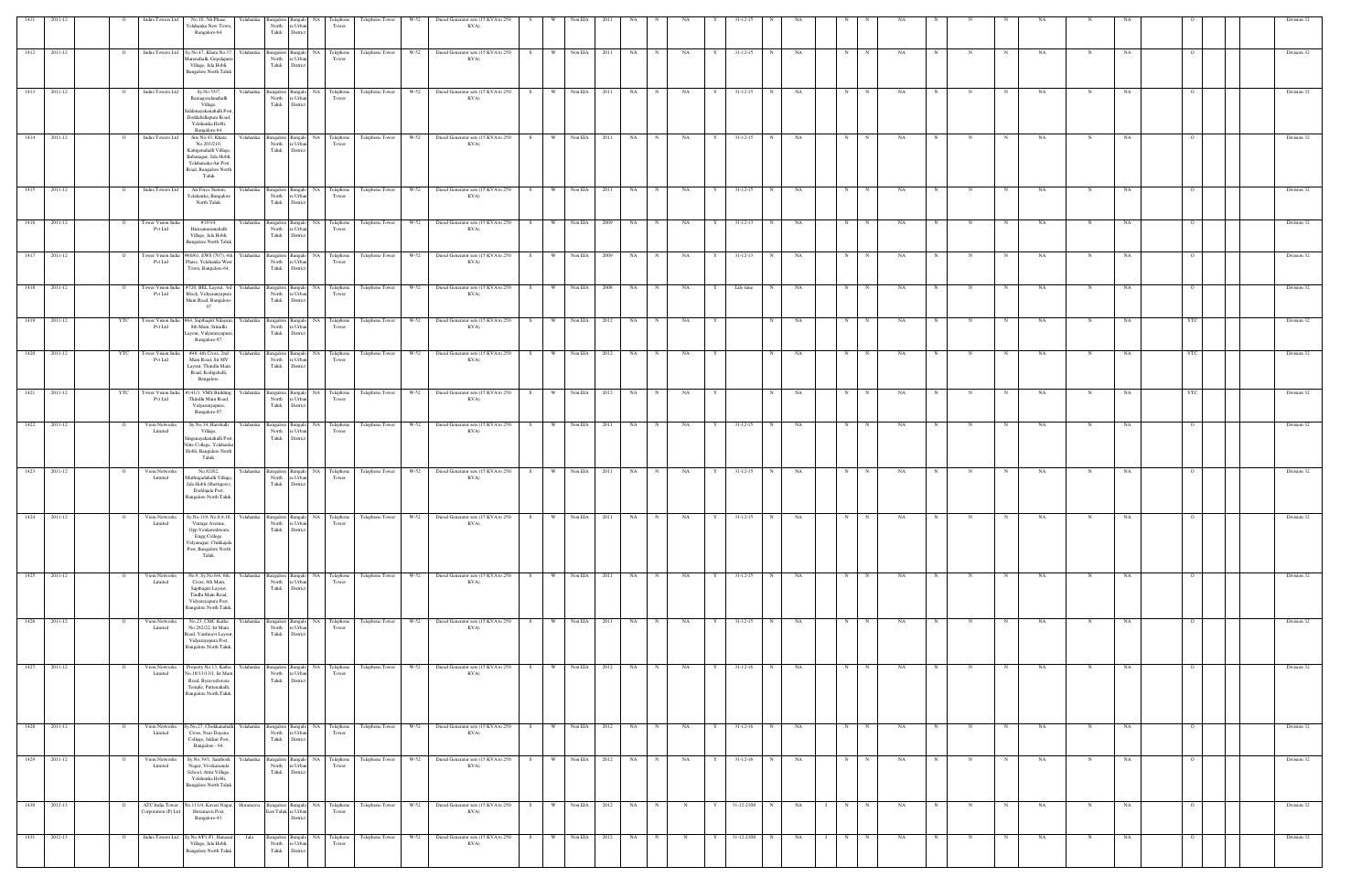| 1411          | 2011-12   |                | <b>Indus Towers Ltd</b>                | No.10, 5th Phase,<br>Yelahanka New Town,<br>Bangalore-64.                                                                                                   | North<br>e Urbar<br>Taluk<br>District                                    | Telephone<br>Tower                                                                                                                | Telephone Tower | W-52                 | Diesel Generator sets (15 KVA to 250<br>KVA)                                       |     |           |              |              |       |            |           |   |                |              |    |   |             |           |             |             |             |           |             |    |                |  | Division 32 |  |
|---------------|-----------|----------------|----------------------------------------|-------------------------------------------------------------------------------------------------------------------------------------------------------------|--------------------------------------------------------------------------|-----------------------------------------------------------------------------------------------------------------------------------|-----------------|----------------------|------------------------------------------------------------------------------------|-----|-----------|--------------|--------------|-------|------------|-----------|---|----------------|--------------|----|---|-------------|-----------|-------------|-------------|-------------|-----------|-------------|----|----------------|--|-------------|--|
| 1412          | 2011-12   |                |                                        | Indus Towers Ltd Sy.No.47, Khata No.37<br>İarenahalli, Gopalapur<br>Village, Jala Hobli,<br><b>Bangalore North Taluk</b>                                    | Yelahanka Bangalore Bangalo NA<br>North<br>e Urban<br>Taluk<br>District  | Telephone<br>Tower                                                                                                                | Telephone Tower | W-52                 | Diesel Generator sets (15 KVA to 250<br>KVA)                                       | S.  | <b>W</b>  | Non EIA      | 2011         | NA    |            | NA        |   | $31 - 12 - 15$ |              | NA | N |             | NA        |             |             |             | NA        |             | NA |                |  | Division 32 |  |
| 1413          | 2011-12   | $\overline{O}$ | Indus Towers Ltd                       | Sy.No.55/7,<br>Ramagondanahalli<br>Village,<br>iddanayakanahalli Post<br>Doddaballapura Road,<br>Yelahanka Hobli,<br>Bangalore-64.                          | Yelahanka Bangalore Bangalo NA<br>North<br>e Urban<br>Taluk<br>District  | Telephone<br>Tower                                                                                                                | Telephone Tower | W-52                 | Diesel Generator sets (15 KVA to 250<br>KVA)                                       | S.  | W         | Non EIA      | 2011         | NA    | N          | NA        |   | $31 - 12 - 15$ | N            | NA | N |             | <b>NA</b> |             |             |             | NA        | N           | NA |                |  | Division 32 |  |
| $\sqrt{1414}$ | 2011-12   | $\circ$        | Indus Towers Ltd                       | Site No.43, Khata<br>Yelahanka<br>No.203/210,<br>Kattigenahalli Village,<br>Babanagar, Jala Hobli,<br>Yelahanaka-Air Post<br>Road, Bangalore North<br>Taluk | North<br>e Urban<br>Taluk<br>District                                    | Bangalore Bangalo NA Telephone<br>Tower                                                                                           | Telephone Tower | $W-52$               | Diesel Generator sets (15 KVA to 250<br>KVA)                                       | S   | W         | Non EIA      | 2011         | NA    | N          | NA        | Y | $31 - 12 - 15$ | N            | NA | N | N           | NA        |             |             |             | NA        |             | NA |                |  | Division 32 |  |
| 1415 2011-12  |           | $\overline{O}$ | Indus Towers Ltd                       | Air Force Station,<br>Yelahanka, Bangalore<br>North Taluk.                                                                                                  | e Urban<br>North<br>Taluk<br>District                                    | Yelahanka Bangalore Bangalo NA Telephone<br>Tower                                                                                 |                 |                      | Telephone Tower W-52 Diesel Generator sets (15 KVA to 250 S W Non EIA 2011<br>KVA) |     |           |              |              | NA N  |            | NA        | Y | $31 - 12 - 15$ | N            | NA | N | N           | NA.       | $\mathbf N$ |             | $\mathbf N$ | NA        | N           | NA |                |  | Division 32 |  |
| 1416          | 2011-12   | $\circ$        | Tower Vision India<br>Pvt Ltd          | #193/4.<br>Hunsamaranahalli<br>Village, Jala Hobli,<br><b>Bangalore North Taluk</b>                                                                         | North<br>re Urban<br>Taluk<br>District                                   | Yelahanka Bangalore Bangalo NA Telephone<br>Tower                                                                                 | Telephone Tower | W-52                 | Diesel Generator sets (15 KVA to 250<br>KVA)                                       | S   | W Non EIA |              | 2009         | NA    | $_{\rm N}$ | NA        | Y | $31 - 12 - 13$ | N            | NA | N | N           | NA.       |             |             |             | NA        | N           | NA | $\Omega$       |  | Division 32 |  |
| 1417          | 2011-12   |                | Pvt Ltd                                | Tower Vision India #60/61, EWS (707), 4th Yelahanka Bangalore Bangalo NA Telephone<br>Phase, Yelahanka West<br>Town, Bangalore-64.                          | North re Urban<br>Taluk<br>District                                      | Tower                                                                                                                             | Telephone Tower | $W-52$               | Diesel Generator sets (15 KVA to 250<br>KVA)                                       | S   | W         | Non EIA      | 2009         | NA    | N          | <b>NA</b> | Y | $31 - 12 - 13$ | N            | NA | N | N           | NA.       | N           | $_{\rm N}$  |             | NA        | $_{\rm N}$  | NA | $\Omega$       |  | Division 32 |  |
| 1418          | 2011-12   |                | Pvt Ltd                                | Tower Vision India #720, BEL Layout, 3rd<br>Block, Vidyaranyapura<br>Main Road, Bangalore-<br>97                                                            | North<br>e Urban<br>Taluk<br>District                                    | Yelahanka Bangalore Bangalo NA Telephone<br>Tower                                                                                 |                 | Telephone Tower W-52 | Diesel Generator sets (15 KVA to 250<br>KVA)                                       | S   | W         | Non EIA      | 2008         | NA    | N          | NA        | Y | Life time      | $_{\rm N}$   | NA | N | $\mathbf N$ | NA        |             |             |             | NA        | N           | NA |                |  | Division 32 |  |
| 1419 2011-12  |           |                | Pvt Ltd                                | YTC Tower Vision India #64, Sapthagiri Nilayam<br>8th Main, Srinidhi<br>Layout, Vidyaranyapura,<br>Bangalore-97.                                            | North<br>e Urban<br>Taluk<br>District                                    | Yelahanka Bangalore Bangalo NA Telephone<br>Tower                                                                                 |                 |                      | Telephone Tower W-52 Diesel Generator sets (15 KVA to 250 S<br>KVA)                |     | W Non EIA |              | 2012         | NA    | N          | <b>NA</b> | Y |                | N            | NA | N | N           | NA        | $_{\rm N}$  | N           | N           | NA        | N           | NA | YTC            |  | Division 32 |  |
| 1420          | 2011-12   | YTC            | Tower Vision India<br>Pvt Ltd          | #48, 4th Cross, 2nd<br>Main Road, Sir MV<br>Layout, Thindlu Main<br>Road, Kodigehalli,<br>Bangalore.                                                        | North<br>re Urban<br>Taluk<br>District                                   | Yelahanka Bangalore Bangalo NA Telephone<br>Tower                                                                                 | Telephone Tower |                      | W-52 Diesel Generator sets (15 KVA to 250<br>KVA)                                  | S   | W Non EIA |              | 2012         | NA    | N          | NA        | Y |                | N            | NA | N | $\mathbf N$ | NA.       |             | N           |             | NA        | $\mathbf N$ | NA | YTC            |  | Division 32 |  |
| 1421          | 2011-12   | YTC            | Tower Vision India<br>Pvt Ltd          | #141/3, VMS Building,<br>Thindlu Main Road,<br>Vidyaranyapura,<br>Bangalore-97.                                                                             | North<br>e Urban<br>Taluk<br>District                                    | Yelahanka Bangalore Bangalo NA Telephone<br>Tower                                                                                 | Telephone Tower |                      | W-52 Diesel Generator sets (15 KVA to 250<br>KVA)                                  | S   | $W =$     | Non EIA      | 2012         | NA    | N          | NA        | Y |                | N            | NA | N | N           | NA        | N           | N           | N           | NA        | N           | NA | YTC            |  | Division 32 |  |
| 1422 2011-12  |           | $\overline{O}$ | Viom Networks<br>Limited               | Sy.No.14, Harohalli<br>Village,<br>Singanayakanahalli Post<br>Nitte College, Yelahanka<br>Hobli, Bangalore North<br>Taluk.                                  | e Urban<br>North<br>Taluk<br>District                                    | Yelahanka Bangalore Bangalo NA Telephone Telephone Tower W-52 Diesel Generator sets (15 KVA to 250 S W Non EIA 2011 NA N<br>Tower |                 |                      | KVA)                                                                               |     |           |              |              |       |            | <b>NA</b> | Y | $31-12-15$ N   |              | NA | N | N           | NA        | N           | N           | N           | <b>NA</b> | N           | NA | $\Omega$       |  | Division 32 |  |
| 1423          | 2011-12   |                | Viom Networks<br>Limited               | No.82/82,<br>Muthugadahalli Village<br>Jala Hobli (Shettigere)<br>Doddajala Post,<br>Bangalore North Taluk.                                                 | Yelahanka Bangalore Bangalo NA<br>North<br>re Urban<br>Taluk<br>District | Telephone<br>Tower                                                                                                                | Telephone Tower | W-52                 | Diesel Generator sets (15 KVA to 250<br>KVA)                                       | S   | W         | Non EIA      | 2011         | NA    | N          | NA        | Y | $31 - 12 - 15$ | N            | NA | N |             | NA        |             |             |             | NA        | N           | NA |                |  | Division 32 |  |
| 1424          | - 2011-12 |                | Viom Networks<br>Limited               | Sv.No.119. No.8.9.10.<br>Yelahanka l<br>Vintage Avenue,<br>Opp.Venkateshwara<br>Engg College,<br>Vidyanagar, Chikkajala<br>Post, Bangalore North<br>Taluk.  | North re Urban<br>Taluk<br>District                                      | elephone<br>Tower                                                                                                                 | Telephone Tower | $W - 52$             | Diesel Generator sets (15 KVA to 250<br>KVA)                                       |     |           | Non EIA      | - 2011       | NA.   |            |           |   |                |              |    |   |             |           |             |             |             |           |             |    |                |  | Division 32 |  |
| 1425 2011-12  |           |                | Viom Networks<br>Limited               | No.9, Sy.No.6/4, 6th<br>Yelahanka<br>Cross, 8th Main,<br>Sapthagiri Layout,<br>Tindlu Main Road,<br>Vidyarayapura Post,<br>Bangalore North Taluk.           | North<br>Taluk<br>District                                               | Bangalore Bangalo NA Telephone<br>e Urban<br>Tower                                                                                | Telephone Tower | $W-52$               | Diesel Generator sets (15 KVA to 250<br>KVA)                                       | S – | W         | Non EIA      | 2011         | NA 1  | N          | NA        | Y | $31 - 12 - 15$ | $\mathbb{N}$ | NA | N | N           | NA        |             |             |             | NA        |             | NA |                |  | Division 32 |  |
| 1426          | 2011-12   |                | Viom Networks<br>Limited               | No.23, CMC Katha<br>Yelahanka<br>No.282/22, Ist Main<br>Road, Vaishnavi Layout<br>Vidyarayapura Post,<br>Bangalore North Taluk.                             | Bangalore<br>North re Urban<br>Taluk<br>District                         | Bangalo NA<br>Telephone<br>Tower                                                                                                  | Telephone Tower | W-52                 | Diesel Generator sets (15 KVA to 250<br>KVA)                                       | S   | W Non EIA |              | 2011         | NA 1  | N          | <b>NA</b> | Y | $31 - 12 - 15$ | N            | NA | N | N           | NA        | $_{\rm N}$  | $\mathbf N$ | N           | NA        | N           | NA |                |  | Division 32 |  |
| 1427          | 2011-12   |                | Viom Networks<br>Limited               | Property No.13, Katha<br>Yelahanka<br>No.18/13/13/1, Ist Mair<br>Road, Byraveshwara<br>Temple, Puttenahalli,<br><b>Bangalore North Taluk</b>                | Bangalore Bangalo NA<br>North<br>e Urban<br>Taluk<br>District            | Telephone<br>Tower                                                                                                                |                 | Telephone Tower W-52 | Diesel Generator sets (15 KVA to 250<br>KVA)                                       | S   | W         | Non EIA 2012 |              | NA    | N          | NA        | Y | $31 - 12 - 16$ | N            | NA | N | $\mathbf N$ | NA        |             |             |             | NA        |             | NA |                |  | Division 32 |  |
| 1428          | 2011-12   |                | Viom Networks<br>Limited               | Sy.No.27, Chokkanahall<br>Yelahanka<br>Cross, Near Dayana<br>College, Jakkur Post,<br>Bangalore - 64.                                                       | Bangalore Bangalo NA<br>North<br>re Urban<br>Taluk<br>District           | Telephone<br>Tower                                                                                                                | Telephone Tower | W-52                 | Diesel Generator sets (15 KVA to 250<br>KVA)                                       | S.  | W         | Non EIA      | 2012         | NA    | N          | NA        | Y | $31 - 12 - 16$ | N            | NA | N | N           | NA        |             |             |             | NA        |             | NA |                |  | Division 32 |  |
| 1429          | 2011-12   |                | Viom Networks<br>Limited               | Sy.No.39/1, Santhosh<br>Yelahanka<br>Nagar, Vivekananda<br>School, Attur Village,<br>Yelahanka Hobli,<br><b>Bangalore North Talul</b>                       | Bangalore<br>North<br>e Urban<br>Taluk<br>District                       | Bangalo NA<br>Telephone<br>Tower                                                                                                  | Telephone Tower | W-52                 | Diesel Generator sets (15 KVA to 250<br>KVA)                                       | S   | W         | Non EIA      | 2012         | NA 1  | N          | NA        | Y | $31 - 12 - 16$ | N            | NA | N |             | NA        |             |             |             | NA        | N           | NA | $\overline{O}$ |  | Division 32 |  |
| 1430 2012-13  |           |                | ATC India Tower<br>Corporation (P) Ltd | No.111/4, Kaveri Nagar,<br>Horamavu Post,<br>Bangalore-43.                                                                                                  | East Taluk re Urban<br>District                                          | Horamavu Bangalore Bangalo NA Telephone<br>Tower                                                                                  |                 | Telephone Tower W-52 | Diesel Generator sets (15 KVA to 250<br>KVA)                                       | S   | W         |              | Non EIA 2012 | NA NA | N          | N         | Y | 31-12-2100 N   |              | NA | N | N           | NA        |             |             |             | NA        | N           | NA |                |  | Division 32 |  |
| 1431          | 2012-13   |                | Indus Towers Ltd                       | Sy.No.8/P1-P1, Hanas<br>Jala<br>Village, Jala Hobli,<br><b>Bangalore North Taluk</b>                                                                        | Bangalore<br>North<br>Taluk<br>District                                  | Bangalo NA<br>Telephone<br>e Urban<br>Tower                                                                                       | Telephone Tower | $W-52$               | Diesel Generator sets (15 KVA to 250<br>KVA)                                       |     |           | Non EIA      | 2012         | NA    |            |           |   | 31-12-2100     | $_{\rm N}$   | NA | N |             | NA        |             |             |             | NA        |             | NA |                |  | Division 32 |  |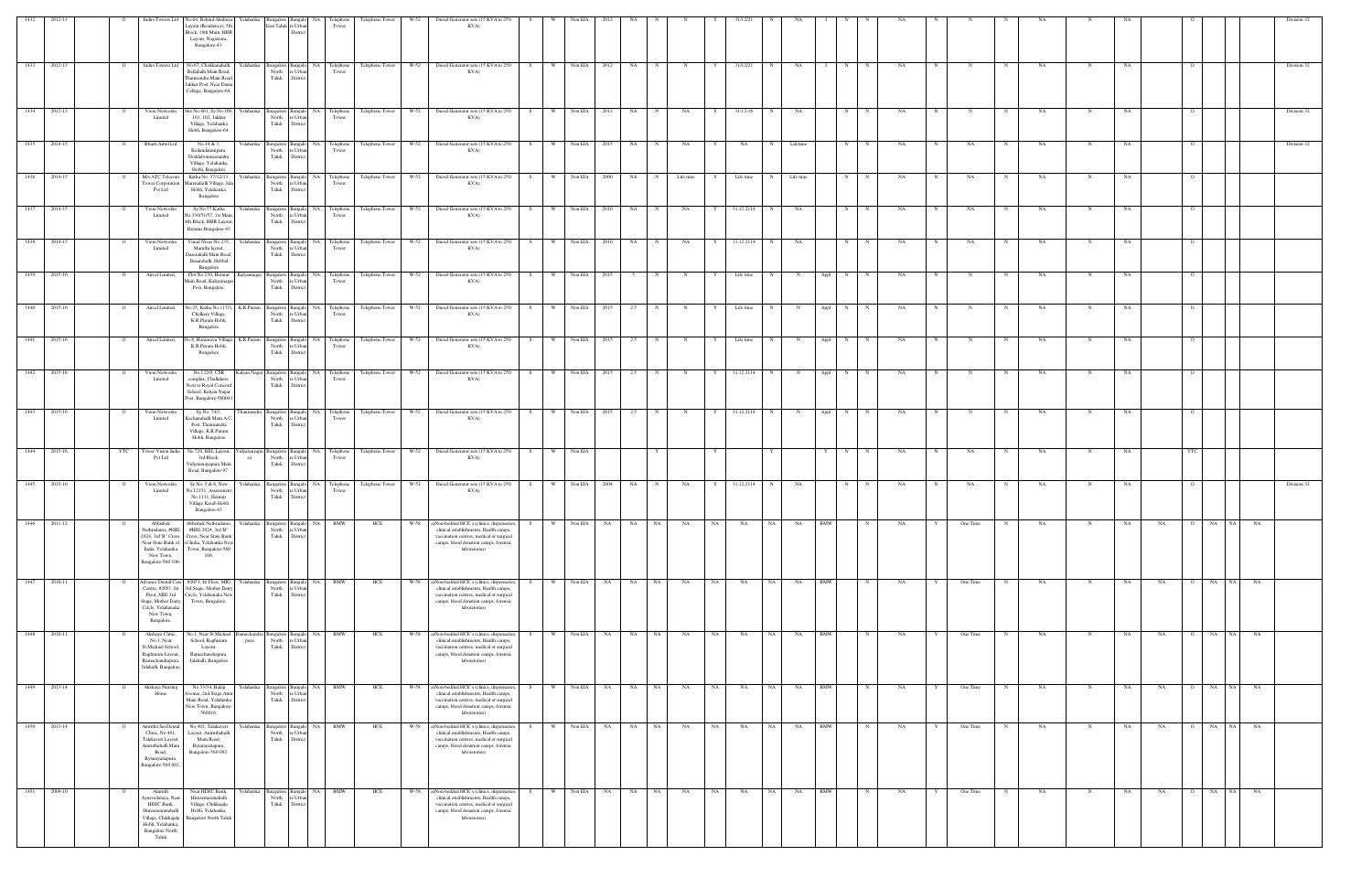|                   |              |                | Indus Towers Ltd                                                                                                                              | No.64, Behind Akshaya<br>Layout (Residency), 5th<br>Block, 19th Main, HBR<br>Layout, Nagawara,<br>Bangalore-43.                                                        | Yelahanka<br>angalore Banga<br>East Taluk re Urba    | District                                              | NA 1<br>Telephone<br>Tower                                                                                                                                                          | Telephone Tower      | W-52 | Diesel Generator sets (15 KVA to 250<br>KVA)                                                                                                                                                    |            |                |           |           |             |             |           |                |            |                         |                   |             |      |   |            |             |           |             |    |           |                    |           |           | Division 32 |
|-------------------|--------------|----------------|-----------------------------------------------------------------------------------------------------------------------------------------------|------------------------------------------------------------------------------------------------------------------------------------------------------------------------|------------------------------------------------------|-------------------------------------------------------|-------------------------------------------------------------------------------------------------------------------------------------------------------------------------------------|----------------------|------|-------------------------------------------------------------------------------------------------------------------------------------------------------------------------------------------------|------------|----------------|-----------|-----------|-------------|-------------|-----------|----------------|------------|-------------------------|-------------------|-------------|------|---|------------|-------------|-----------|-------------|----|-----------|--------------------|-----------|-----------|-------------|
| 1433              | 2012-13      | $\overline{O}$ |                                                                                                                                               | Indus Towers Ltd No.67, Chokkanahalli,<br>Bellahalli Main Road,<br>Thanisandra Main Road,<br>Jakkur Post, Near Daina<br>College, Bangalore-64.                         | Yelahanka                                            | North re Urban<br>Taluk District                      | Tower                                                                                                                                                                               |                      |      | Bangalor Bangalo NA Telephone Telephone Tower W-52 Diesel Generator sets (15 KVA to 250<br>KVA)                                                                                                 | $S \cup$   | W Non EIA      | 2012      | NA N      |             | N           | Y         | 31/12/21       | N          | NA                      | N<br>$\mathbf{I}$ | N           | NA   | N | N          | N           | NA        | $\mathbf N$ | NA |           |                    |           |           | Division 32 |
| 1434              | 2012-13      |                | Viom Networks<br>Limited                                                                                                                      | Site No.461, Sy.No.100, Yelahanka<br>101, 102, Jakkur<br>Village, Yelahanka<br>Hobli, Bangalore-64.                                                                    | North                                                | re Urbar<br>Taluk District                            | Tower                                                                                                                                                                               |                      |      | Bangalore Bangalo NA Telephone Telephone Tower W-52 Diesel Generator sets (15 KVA to 250<br>KVA)                                                                                                | S          | W Non EIA      | 2012      | NA N      |             | NA          | Y         | $31 - 12 - 16$ | N          | NA                      | N                 | $\mathbf N$ | NA   |   |            |             | NA        |             | NA |           |                    |           |           | Division 32 |
| 1435              | 2014-15      | $\Omega$       | Bharti Airtel Ltd                                                                                                                             | $\sqrt{N_0.14}$ & 3,<br>Kodandarampura,<br>Doddabommasandra<br>Village, Yelahanka<br>Hobli, Bangalore                                                                  | Yelahanka                                            | Taluk District                                        | $\begin{tabular}{l c c c} \textbf{Bangalore} & \textbf{Bangalo} & \textbf{NA} & \textbf{Telephone} \\ \hline \textbf{North} & \textbf{re Urban} & \textbf{ Tower} \\ \end{tabular}$ |                      |      | Telephone Tower W-52 Diesel Generator sets (15 KVA to 250<br>KVA)                                                                                                                               | S.         | W Non EIA      | 2015      | NA        | N           | NA          |           | NA             | $_{\rm N}$ | Lifetime                | N                 |             | NA   |   | NA         |             | NA        | N           | NA |           |                    |           |           | Division 32 |
| 1436              | 2014-15      |                | M/s ATC Telecom<br>Tower Corporation<br>Pvt Ltd                                                                                               | Katha No. 37/12/13,<br>Marenahalli Village, Jala<br>Hobli, Yelahanka,<br>Bangalore                                                                                     | Yelahanka                                            | North re Urban<br>Taluk District                      | Bangalore Bangalo NA Telephone<br>Tower                                                                                                                                             |                      |      | Telephone Tower W-52 Diesel Generator sets (15 KVA to 250<br>KVA)                                                                                                                               | W  <br>S   | Non EIA        | 2000      | NA        | $_{\rm N}$  | Life time   |           | Life time      | N          | Life time               | N                 |             | NA   |   | NA         |             | NA        |             | NA |           |                    |           |           |             |
| 1437              | 2014-15      |                | Viom Networks<br>Limited                                                                                                                      | Sy.No.57,Katha<br>No.330/51/57, 1st Main<br>4th Block, HBR Layout<br>Hennur Bangalore-43                                                                               | Yelahanka<br>North<br>Taluk                          | re Urbar<br>District                                  | Bangalore Bangalo NA Telephone<br>Tower                                                                                                                                             | Telephone Tower W-52 |      | Diesel Generator sets (15 KVA to 250<br>KVA)                                                                                                                                                    | W.<br>S.   | Non EIA        | 2010      | NA        |             | NA          |           | 31.12.2114     |            | NA                      | N                 |             | NA   |   | NA         |             | NA        |             |    |           |                    |           |           |             |
| 1438              | 2014-15      | $\circ$        | Viom Networks<br>Limited                                                                                                                      | Vimal Nivas No.235, Yelahanka<br>Maruthi layout,<br>Dasarahalli Main Road,<br>Dasarahalli, Hebbal<br>Bangalore                                                         | North                                                | re Urba<br>Taluk District                             | Tower                                                                                                                                                                               |                      |      | Bangalore Bangalo NA Telephone Telephone Tower W-52 Diesel Generator sets (15 KVA to 250<br>KVA)                                                                                                | S          | W Non EIA      | 2010      | <b>NA</b> | N           | NA          |           | 31.12.2114     | N          | NA                      | N                 | N           | NA   |   | NA         |             | NA        | N           | NA |           |                    |           |           |             |
| 1439              | 2015-16      | $\Omega$       | Aircel Limited,                                                                                                                               | Plot No.230, Hennur<br>Main Road, Kalyannaga<br>Post, Bangalore.                                                                                                       | Kalyannagar<br>North                                 | re Urban<br>Taluk District                            | Bangalore Bangalo NA Telephone<br>Tower                                                                                                                                             |                      |      | Telephone Tower W-52 Diesel Generator sets (15 KVA to 250<br>KVA)                                                                                                                               | S          | W Non EIA      | 2015      |           |             | N           | Y         | Life time      | N          | $\mathbf N$             | Appl<br>N         |             | NA   |   |            |             | NA        | N           | NA |           |                    |           |           |             |
| $\overline{1440}$ | 2015-16      | $\overline{O}$ | Aircel Limited,                                                                                                                               | No.25, Katha No.117/3,<br>Chelkere Village,<br>K.R.Puram Hobli,<br>Bangalore                                                                                           | K.R.Puram<br>Taluk                                   | North re Urban<br>District                            | Tower                                                                                                                                                                               |                      |      | Bangalor Bangalo NA Telephone Telephone Tower W-52 Diesel Generator sets (15 KVA to 250<br>KVA)                                                                                                 | S          | W Non EIA      | 2015      | 2.5       | $\mathbf N$ | $\mathbf N$ | Y         | Life time      | N          | $_{\rm N}$              | Appl<br>N         | N           | NA   | N | N          | N           | NA        | $\mathbf N$ | NA |           |                    |           |           |             |
| $\overline{1441}$ | 2015-16      | $\circ$        | Aircel Limited,                                                                                                                               | K.R.Puram Hobli,<br>Bangalore                                                                                                                                          | North                                                | re Urbar<br>Taluk District                            | Tower                                                                                                                                                                               |                      |      | No.8, Horamavu Village, K.R.Puram Bangalore Bangalo NA Telephone Telephone Tower W-52 Diesel Generator sets (15 KVA to 250 S<br>KVA)                                                            |            | W Non EIA 2015 |           | 2.5       |             |             |           | Life time      | N          |                         | Appl<br>N         |             | NA   |   |            |             | NA        |             | NA |           |                    |           |           |             |
| 1442              | 2015-16      | $\circ$        | Viom Networks<br>Limited                                                                                                                      | No.122/9, CSR<br>complex, Challakere,<br>Next to Royal Concord<br>School, Kalyan Nagar<br>Post, Bangalore-560043                                                       | Kalyan Nagar Bangalore Bangalo NA Telephone<br>North | re Urban<br>Taluk District                            | Tower                                                                                                                                                                               |                      |      | Telephone Tower W-52 Diesel Generator sets (15 KVA to 250<br>KVA)                                                                                                                               | S          | W Non EIA      | 2015      | 2.5       | $\mathbf N$ | N           | Y         | 31.12.2114     | N          | N                       | Appl<br>N         | N           | NA   |   |            |             | NA        | N           | NA |           |                    |           |           |             |
| 1443              | 2015-16      | $\mathbf{o}$   | Viom Networks<br>Limited                                                                                                                      | Sy.No. 74/1,<br>Kachanahalli Main A.C.<br>Post, Thanisandra<br>Village, K.R.Puram<br>Hobli, Bangalore                                                                  | Thanisandra<br>North                                 | re Urban<br>Taluk District                            | Bangalore Bangalo NA Telephone<br>Tower                                                                                                                                             |                      |      | Telephone Tower W-52 Diesel Generator sets (15 KVA to 250<br>KVA)                                                                                                                               | S<br>W     | Non EIA        | 2015      | 2.5       | $\mathbf N$ | N           | Y         | 31.12.2114     | N          | $\mathbf N$             | Appl<br>N         | N           | NA.  | N | $_{\rm N}$ | $\mathbf N$ | <b>NA</b> | $\mathbf N$ | NA |           | $\circ$            |           |           |             |
| 1444              | 2015-16      | YTC            | Tower Vision India<br>Pvt Ltd                                                                                                                 | No.720, BEL Layout, Vidyaranyapu<br>3rd Block,<br>Vidyaranayapura Main<br>Road, Bangalore-97.                                                                          | North<br>ra<br>Taluk                                 | re Urbar<br>District                                  | Tower                                                                                                                                                                               |                      |      | Bangalore Bangalo NA Telephone Telephone Tower W-52 Diesel Generator sets (15 KVA to 250<br>KVA)                                                                                                | W  <br>S – | Non EIA        |           |           |             |             |           |                |            |                         | N                 | N           | NA   |   | NA         |             | NA        | N           | NA |           | YTC                |           |           |             |
| 1445              | 2015-16      | $\overline{O}$ | Viom Networks<br>Limited                                                                                                                      | Sy.No. 5 & 6, New<br>No.12151, Assessment<br>No.1111, Hennur<br>Village Kasab Hobli<br>Bangalore-43                                                                    | Yelahanka<br>North                                   | re Urbar<br>Taluk District                            | Tower                                                                                                                                                                               |                      |      | Bangalore Bangalo NA Telephone Telephone Tower W-52 Diesel Generator sets (15 KVA to 250 S<br>KVA)                                                                                              |            | W Non EIA      | 2004      | NA 1      | $_{\rm N}$  | NA          | Y         | 31.12.2114     | N          | NA                      | N                 | N           | NA   |   | NA         |             | NA        | $\mathbf N$ | NA |           |                    |           |           | Division 32 |
| 1446              | 2011-12      |                | Abhishek<br>Nethradama, #HIG<br>India, Yelahanka<br>New Town,<br>Bangalore-560 106.                                                           | Abhishek Nethradama,<br>#HIG 2024, 3rd 'B"<br>2024, 3rd 'B" Cross, Cross, Near State Bank<br>Near State Bank of of India, Yelahanka New<br>Town, Bangalore-560<br>106. | Yelahanka                                            | Bangalore Bangalo<br>North re Urbar<br>Taluk District | NA BMW                                                                                                                                                                              | HCE                  | W-58 | a)Non-bedded HCE's (clinics, dispensaries,<br>clinical establishments, Health camps,<br>vaccination centres, medical or surgical<br>camps, blood donation camps, forensic<br>laboratories)      | S –<br>W   | Non EIA        | NA        | NA        | NA          | NA          | NA        | NA             | NA         | NA<br>BMW               |                   |             | NA   |   | One Time   |             | NA        |             | NA | NA        | NA<br>$\mathbf{O}$ | <b>NA</b> | NA        |             |
| 1447              | 2010-11      |                | Centre, #2051, Ist<br>Floor, MIG 3rd<br>Stage, Mother Dairy<br>Circle, Yelahanaka<br>New Town,<br>Bangalore.                                  | Advance Dental Care #2051, Ist Floor, MIG Yelahanka<br>3rd Stage, Mother Dairy<br>Circle, Yelahanaka New<br>Town, Bangalore.                                           | North<br>Taluk                                       | 'e Urba<br>District                                   | Bangalore Bangalo NA BMW                                                                                                                                                            | HCE                  |      | W-58 a)Non-bedded HCE's (clinics, dispensaries,<br>clinical establishments, Health camps,<br>vaccination centres, medical or surgical<br>camps, blood donation camps, forensic<br>laboratories) |            | Non EIA        | <b>NA</b> |           | NA NA       | NA          | NA        | NA             | NA 1       | <b>NA</b><br><b>BMW</b> |                   |             | NA   |   | One Time   |             | NA        |             | NA | NA        | O NA NA            |           | NA        |             |
| 1448              | 2010-11      | $\circ$        | Akshaya Clinic,<br>No.1, Near<br>St.Michael School,<br>Raghuram Layout,<br>Ramachandrapura,<br>Jalahalli, Bangalore                           | No.1, Near St.Michael Ramachandra<br>School, Raghuram<br>Layout,<br>Ramachandrapura,<br>Jalahalli, Bangalore                                                           | North<br>pura                                        | Bangalore Bangalo<br>re Urban<br>Taluk District       | NA BMW                                                                                                                                                                              | HCE                  |      | W-58 a)Non-bedded HCE's (clinics, dispensaries,<br>clinical establishments, Health camps,<br>vaccination centres, medical or surgical<br>camps, blood donation camps, forensic<br>laboratories) | W<br>S.    | Non EIA        | NA 1      |           | NA NA       | NA          | <b>NA</b> | NA             | NA         | <b>BMW</b><br>NA 1      |                   |             | NA.  |   | One Time   | $_{\rm N}$  | NA        | $\mathbf N$ | NA | <b>NA</b> | O NA NA            |           | <b>NA</b> |             |
| 1449              | 2013-14      | $\Omega$       | Akshaya Nursing<br>Home                                                                                                                       | No.33/34, Balaji<br>Avenue, 2nd Stage, Attu<br>Main Road, Yelahanka<br>New Town, Bangalore<br>560016.                                                                  | Yelahanka<br>North<br>Taluk                          | e Urbar<br>District                                   | Bangalore Bangalo NA BMW                                                                                                                                                            | HCE                  | W-58 | a)Non-bedded HCE's (clinics, dispensaries,<br>clinical establishments, Health camps,<br>vaccination centres, medical or surgical<br>camps, blood donation camps, forensic<br>laboratories)      | S.<br>W.   | Non EIA        | NA        | NA 1      | NA          | <b>NA</b>   | NA        | NA             | NA 1       | <b>BMW</b><br><b>NA</b> |                   | N           | NA . | Y | One Time   | N           | NA        | N           | NA | NA        | NA<br>$\circ$      | NA        | NA        |             |
|                   | 1450 2013-14 | $\circ$        | Amritha Sai Dental<br>Clinic, No.491,<br>Talakaveri Layout,<br>Amruthahalli Main<br>Road,<br>Bytarayanapura,<br>Bangalore-560 092.            | No.492, Talakaveri<br>Layout, Amruthahalli<br>Main Road,<br>Bytarayanapura,<br>Bangalore-560 092.                                                                      | Yelahanka<br>North                                   | re Urba<br>Taluk District                             | Bangalore Bangalo NA BMW                                                                                                                                                            | HCE                  |      | W-58 a)Non-bedded HCE's (clinics, dispensaries,<br>clinical establishments, Health camps,<br>vaccination centres, medical or surgical<br>camps, blood donation camps, forensic<br>laboratories) | S.         | W Non EIA      | NA        | NA NA     |             | NA          | NA        | NA             | NA 1       | <b>BMW</b><br>NA        |                   | N           | NA   | Y | One Time   | $\mathbf N$ | NA        | $\mathbf N$ | NA | NA        | O NA NA            |           | NA        |             |
| 1451              | 2009-10      | $\overline{O}$ | Amruth<br>vyurvedalaya, Near<br>HDFC Bank,<br>Hunsemaranahalli<br>Village, Chikkajala<br>Hobli, Yelahanka,<br><b>Bangalore North</b><br>Taluk | Near HDFC Bank,<br>Hunsemaranahalli<br>Village, Chikkajala<br>Hobli, Yelahanka,<br><b>Bangalore North Taluk</b>                                                        | Yelahanka<br>North                                   | re Urbar<br>Taluk District                            | Bangalore Bangalo NA BMW                                                                                                                                                            | HCE                  |      | W-58 a)Non-bedded HCE's (clinics, dispensaries,<br>clinical establishments, Health camps,<br>vaccination centres, medical or surgical<br>camps, blood donation camps, forensic<br>laboratories) | S<br>W I   | Non EIA        | NA 1      |           | NA NA       | NA          | NA 1      | NA             | NA 1       | NA<br><b>BMW</b>        |                   | N           | NA 1 | Y | One Time   | N           | NA.       | N           | NA | NA 1      | O NA NA            |           | NA        |             |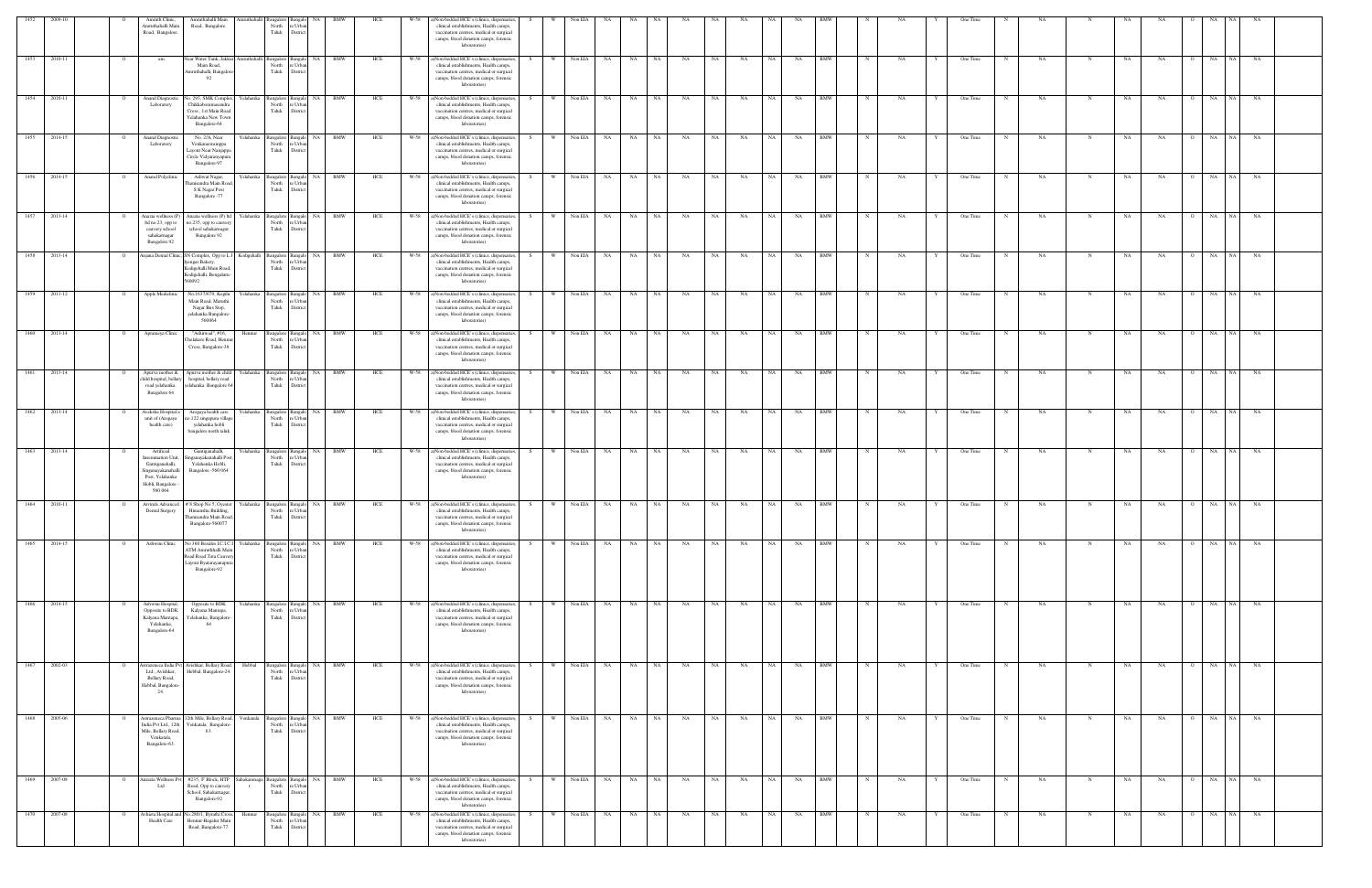| 1452 | 2009-10      |              | Amruth Clinic,                                                                                                           | Amruthahalli Main                                                                                                                  |                                                | mruthahalli Bangalore Bangalo NA                                       | BMW                                   | HCE | W-58 |                                                                                                                                                                                                 |     |          | Non EIA      |                     |            |      |           |      |           |           |           |            |             |    |   |          |            |     |             |           |                             |            |           |  |
|------|--------------|--------------|--------------------------------------------------------------------------------------------------------------------------|------------------------------------------------------------------------------------------------------------------------------------|------------------------------------------------|------------------------------------------------------------------------|---------------------------------------|-----|------|-------------------------------------------------------------------------------------------------------------------------------------------------------------------------------------------------|-----|----------|--------------|---------------------|------------|------|-----------|------|-----------|-----------|-----------|------------|-------------|----|---|----------|------------|-----|-------------|-----------|-----------------------------|------------|-----------|--|
|      |              |              | Amruthahalli Main<br>Road, Bangalore.                                                                                    | Road, Bangalore.                                                                                                                   | North<br>Taluk                                 | e Urbar<br>District                                                    |                                       |     |      | )Non-bedded HCE's (clinics, dispensaries,<br>clinical establishments, Health camps,<br>vaccination centres, medical or surgical<br>camps, blood donation camps, forensic<br>laboratories)       |     |          |              |                     |            |      |           |      |           |           |           |            |             |    |   |          |            |     |             |           |                             |            |           |  |
| 1453 | 2010-11      |              | am                                                                                                                       | Vear Water Tank, Jakkur<br>Main Road,<br>mruthahalli, Bangalo<br>92                                                                | North<br>Taluk                                 | e Urba<br>Distric                                                      | mruthahalli Bangalore Bangalo NA BMW  | HCE | W-58 | a)Non-bedded HCE's (clinics, dispensaries,<br>clinical establishments, Health camps,<br>vaccination centres, medical or surgical<br>camps, blood donation camps, forensic<br>laboratories)      | S.  | <b>W</b> | Non EIA      | NA                  | NA<br>NA   |      | NA        | NA   | NA        | NA        | NA        | <b>BMW</b> | $_{\rm N}$  | NA |   | One Time |            | NA  | N           | NA        | NA                          | NA<br>NA 1 | NA        |  |
|      | 1454 2010-11 |              | Anand Diagnosti<br>Laboratory                                                                                            | No. 293, SMK Complex.<br>Chikkabommasandra<br>Cross, 1st Main Road<br>Yelahanka New Town<br>Bangalore-64                           | North<br>Taluk                                 | e Urba<br>District                                                     | Yelahanka Bangalore Bangalo NA BMW    | HCE |      | W-58 a)Non-bedded HCE's (clinics, dispensaries,<br>clinical establishments, Health camps,<br>vaccination centres, medical or surgical<br>camps, blood donation camps, forensic<br>laboratories) | S.  |          | W Non EIA NA |                     | NA N       | NA 1 | NA        | NA 1 | <b>NA</b> | NA N      | NA 1      | <b>BMW</b> | $_{\rm N}$  | NA |   | One Time | N          | NA. | N           | <b>NA</b> | NA<br>$\Omega$              | NA         | NA NA     |  |
| 1455 | 2014-15      |              | <b>Anand Diagnosti</b><br>Laboratory                                                                                     | No. 2/A, Near<br>Yelahanka<br>Venkataswamppa<br>Layout Near Nanjappa<br>Circle Vidyaranyapura<br>Bangalore-97                      | North<br>Taluk                                 | re Urbar<br>District                                                   | Bangalore Bangalo NA BMW              | HCE | W-58 | a)Non-bedded HCE's (clinics, dispensaries,<br>clinical establishments, Health camps,<br>vaccination centres, medical or surgical<br>camps, blood donation camps, forensic<br>laboratories)      | S.  | W        | Non EIA NA   |                     | NA 1       | NA 1 | <b>NA</b> | NA   | <b>NA</b> | NA 1      | NA        | <b>BMW</b> | $\mathbb N$ | NA | Y | One Time | N          | NA. | N           | NA        | NA<br>$\overline{O}$        | NA<br>NA 1 | NA        |  |
| 1456 | 2014-15      |              | Anand Polyclinic                                                                                                         | Ashwat Nagar,<br>hanisandra Main Road<br>S K Nagar Post<br>Bangalore -77                                                           | North<br>Taluk                                 | Yelahanka Bangalore Bangalo NA<br>e Urba<br>District                   | <b>BMW</b>                            | HCE | W-58 | a)Non-bedded HCE's (clinics, dispensaries,<br>clinical establishments, Health camps,<br>vaccination centres, medical or surgical<br>camps, blood donation camps, forensic<br>laboratories)      | - S | <b>W</b> | Non EIA NA   |                     | NA 1       | NA 1 | NA        | NA - | NA        | NA 1      | NA        | <b>BMW</b> | $_{\rm N}$  | NA |   | One Time | N          | NA  | N           | NA        | NA<br>$\overline{O}$        | NA<br>NA 1 | NA        |  |
| 1457 | 2013-14      |              | Anazia wellness (P)<br>ltd no.23, opp to<br>cauvery school<br>sahakarnagar<br>Bangalore 92                               | Anazia wellness (P) ltd<br>Yelahanka<br>no.235, opp to cauver<br>school sahakarnagar<br>Bangalore 92                               | North<br>Taluk                                 | Bangalore Bangalo<br>e Urba<br>District                                | NA 1<br>BMW                           | HCE | W-58 | a)Non-bedded HCE's (clinics, dispensaries,<br>clinical establishments, Health camps,<br>vaccination centres, medical or surgical<br>camps, blood donation camps, forensic<br>laboratories)      | - S | <b>W</b> | Non EIA NA   |                     | NA 1       | NA   | NA        | NA 1 | <b>NA</b> | NA        | <b>NA</b> | <b>BMW</b> | $_{\rm N}$  | NA |   | One Time | N          | NA  | N           | NA        | NA.<br>$\Omega$             | NA NA NA   |           |  |
| 1458 | 2013-14      |              |                                                                                                                          | njana Dental Clinic, SN Complex, Opp to L.<br>engar Bakery,<br><b>Codigehalli Main Road</b> ,<br>Godigehalli, Bengaluru-<br>560092 | Kodigehalli Bangalore Bangal<br>North<br>Taluk | NA<br>re Urbar<br>District                                             | BMW                                   | HCE | W-58 | a)Non-bedded HCE's (clinics, dispensaries,<br>clinical establishments, Health camps,<br>vaccination centres, medical or surgical<br>camps, blood donation camps, forensic<br>laboratories)      |     |          | Non EIA      | NA                  | NA         | NA   | NA        | NA   | NA        | <b>NA</b> | NA        | <b>BMW</b> |             | NA |   | One Time |            | NA  | N           | NA        | NA<br>$\circ$               | NA<br>NA 1 | NA        |  |
| 1459 | 2011-12      |              | Apple Mediclinic                                                                                                         | No.1637/679, Kogilu<br>Yelahanka<br>Main Road, Maruthi<br>Nagar Bus Stop,<br>yelahanka Bangalore<br>560064                         | North<br>Taluk                                 | NA<br>Bangalore Bangalo<br>: Urb<br>District                           | BMW                                   | HCE |      | ()Non-bedded HCE's (clinics, dispensaries,<br>clinical establishments, Health camps,<br>vaccination centres, medical or surgical<br>camps, blood donation camps, forensic<br>laboratories)      |     |          | Non EIA      | NA.                 | NA         | NA   | NA        | NA   | NA        | NA        | NA        | BMW        |             | NA |   | One Time |            | NA  | N           | NA        | NA<br>$\circ$               | NA<br>NA   | NA        |  |
|      | 1460 2013-14 |              | Aprameya Clinic                                                                                                          | "Ashirwad", #16,<br>Hennur<br>helakere Road, Henr<br>Cross, Bangalore-38                                                           | North<br>Taluk                                 | Bangalore Bangalo<br>e Urba<br>District                                | NA.<br>BMW                            | HCE | W-58 | a)Non-bedded HCE's (clinics, dispensaries,<br>clinical establishments, Health camps,<br>vaccination centres, medical or surgical<br>camps, blood donation camps, forensic<br>laboratories)      |     |          | Non EIA NA   |                     | NA 1<br>NA |      | NA        | NA   | NA        | <b>NA</b> | NA        | <b>BMW</b> |             | NA |   | One Time |            | NA  |             | NA        | NA<br>$\Omega$              | NA<br>NA 1 | NA        |  |
| 1461 | 2013-14      |              | Apurva mother &<br>child hospital, bellary<br>road yelahanka.<br>Bangalore 64                                            | Apurva mother & child<br>Yelahanka<br>hospital, bellary road<br>elahanka. Bangalore 6                                              | North<br>Taluk                                 | Bangalore Bangalo<br>re Urbar<br>District                              | <b>BMW</b><br>NA                      | HCE | W-58 | a)Non-bedded HCE's (clinics, dispensaries,<br>clinical establishments, Health camps,<br>vaccination centres, medical or surgical<br>camps, blood donation camps, forensic<br>laboratories)      |     | W        | Non EIA      | NA                  | NA         | NA   | NA        | NA   | NA        | NA        | NA        | <b>BMW</b> |             | NA |   | One Time |            | NA. | N           | NA        | NA<br>$\overline{O}$        | NA<br>NA   | NA        |  |
| 1462 | 2013-14      |              | Aveksha Hospital a<br>unit of (Arogaya<br>health care)                                                                   | Yelahanka<br>Arogaya health care<br>o.122 singapura village<br>yelahanka hobli<br>bangalore north taluk                            | North<br>Taluk                                 | Bangalore Bangalo NA<br>e Urba<br>District                             | BMW                                   | HCE | W-58 | a)Non-bedded HCE's (clinics, dispensaries,<br>clinical establishments, Health camps,<br>vaccination centres, medical or surgical<br>camps, blood donation camps, forensic<br>laboratories)      | - S | W        | Non EIA      | <b>NA</b>           | <b>NA</b>  | NA   | NA        | NA   | NA        | NA        | NA        | <b>BMW</b> |             | NA |   | One Time |            | NA  | N           | NA        | NA<br>$\overline{O}$        | NA<br>NA   | NA        |  |
|      | 1463 2013-14 |              | Artificial<br>nsemination Uni<br>Gantiganahalli,<br>Singanayakanahalli<br>Post, Yelahanka<br>Hobli, Bangalore<br>560 064 | Gantiganahalli,<br>inganayakanahalli Pos<br>Yelahanka Hobli,<br>Bangalore -560 064                                                 | North<br>Taluk                                 | e Urb<br>District                                                      | Yelahanka Bangalore Bangalo NA BMW    | HCE | W-58 | a)Non-bedded HCE's (clinics, dispensaries,<br>clinical establishments, Health camps,<br>vaccination centres, medical or surgical<br>camps, blood donation camps, forensic<br>laboratories)      | S   | W        |              | Non EIA NA NA NA NA |            |      | NA        | NA 1 | NA        | NA N      | NA        | <b>BMW</b> | $\mathbb N$ | NA | Y | One Time | N          | NA. | N           | NA        | <b>NA</b>                   | O NA NA NA |           |  |
| 1464 | 2010-11      |              | Dental Surgery                                                                                                           | Arvinds Advanced # 8 Shop No 5, Oyester<br>Himanshu Building,<br>'hanisandra Main Roa<br>Bangalore-560077                          |                                                | Yelahanka Bangalore Bangalo NA BMW<br>North re Urban<br>Taluk District |                                       | HCE | W-58 | a)Non-bedded HCE's (clinics, dispensaries,<br>clinical establishments, Health camps,<br>accination centres, medical or surgical<br>camps, blood donation camps, forensic<br>laboratories)       | S.  | W        | Non EIA NA   |                     | <b>NA</b>  | NA   | NA        | NA   | NA        | NA        | NA        | <b>BMW</b> |             | NA |   | One Time | $_{\rm N}$ | NA  | N           | NA        | NA<br>$\overline{O}$        | NA<br>NA   | NA        |  |
| 1465 | 2014-15      |              | Ashwini Clinic                                                                                                           | No 360 Besides I.C.I.C.<br>Yelahanka<br>ATM Amruthhalli Mai<br>Road Road Tata Cauvery<br>ayout Byatarayanapur.<br>Bangalore-92     | North<br>Taluk                                 | Bangalore Bangalo NA<br>e Urba<br>District                             | <b>BMW</b>                            | HCE | W-58 | (clinics, dispensaries,<br>clinical establishments, Health camps,<br>vaccination centres, medical or surgical<br>camps, blood donation camps, forensic<br>laboratories)                         |     | - W      | Non EIA      | NA                  | NA         | NA   | NA        | NA   | NA        | NA        | NA        | <b>BMW</b> |             | NA |   | One Time |            | NA  | N           | NA        | NA<br>$\overline{O}$        | NA  <br>NA | NA        |  |
| 1466 | 2014-15      |              | Ashwini Hospital,<br>Opposite to BDK<br>Kalyana Mantapa,<br>Yelahanka,<br>Bangalore-64                                   | Opposite to BDK<br>Kalyana Mantapa,<br>Yelahanka, Bangalore-<br>64                                                                 |                                                | North re Urban<br>Taluk District                                       | Yelahanka Bangalore Bangalo NA BMW    | HCE | W-58 | a)Non-bedded HCE's (clinics, dispensaries,<br>clinical establishments, Health camps,<br>vaccination centres, medical or surgical<br>camps, blood donation camps, forensic<br>laboratories)      | S.  | <b>W</b> | Non EIA NA   |                     | NA         | NA   | NA        | NA 1 | NA        | NA 1      | NA 1      | <b>BMW</b> | $\mathbf N$ | NA | Y | One Time | N          | NA  | $_{\rm N}$  | NA        | <b>NA</b><br>$\circ$        | <b>NA</b>  | NA NA     |  |
| 1467 | 2002-03      |              | Ltd., Avishkar,<br>Bellary Road,<br>Hebbal, Bangalore-<br>24.                                                            | strazeneca India Pvt Avishkar, Bellary Road,<br>Hebbal<br>Hebbal, Bangalore-24.                                                    |                                                | Bangalore Bangalo<br>North re Urban<br>Taluk District                  | <b>BMW</b><br>NA                      | HCE | W-58 | a)Non-bedded HCE's (clinics, dispensaries,<br>clinical establishments, Health camps,<br>vaccination centres, medical or surgical<br>camps, blood donation camps, forensic<br>laboratories)      |     | W        | Non EIA NA   |                     | NA         | NA . | <b>NA</b> | NA   | NA        | <b>NA</b> | <b>NA</b> | <b>BMW</b> |             | NA |   | One Time | $_{\rm N}$ | NA  | N           | NA        | NA<br>$\circ$               | NA 1<br>NA | NA        |  |
| 1468 | 2005-06      |              | ndia Pvt Ltd., 12th<br>Mile, Bellary Road,<br>Venkatala,<br>Bangalore-63.                                                | Astrazeneca Pharma 12th Mile, Bellary Road,<br>Venkatala<br>Venkatala, Bangalore<br>63.                                            | North<br>Taluk                                 | Bangalore Bangalo NA<br>e Urba<br>District                             | BMW                                   | HCE | W-58 | ()Non-bedded HCE's (clinics, dispensaries,<br>clinical establishments, Health camps,<br>vaccination centres, medical or surgical<br>camps, blood donation camps, forensic<br>laboratories)      | - S | <b>W</b> | Non EIA NA   |                     | <b>NA</b>  | NA . | <b>NA</b> | NA   | NA        | <b>NA</b> | NA        | <b>BMW</b> |             | NA |   | One Time |            | NA. | $\mathbf N$ | NA        | NA<br>$\overline{O}$        | NA  <br>NA | <b>NA</b> |  |
| 1469 | 2007-08      | $\mathbf{o}$ | Ltd                                                                                                                      | Aurazia Wellness Pvt #235, F Block, HTP<br>Road, Opp to cauvery<br>$\Gamma$<br>School, Sahakarnagar,<br>Bangalore-92               | Taluk                                          | North re Urban<br>District                                             | Sahakaranaga Bangalore Bangalo NA BMW | HCE | W-58 | a)Non-bedded HCE's (clinics, dispensaries,<br>clinical establishments, Health camps,<br>vaccination centres, medical or surgical<br>camps, blood donation camps, forensic<br>laboratories)      | S.  | W        | Non EIA NA   |                     | NA         | NA   | NA        | NA 1 | NA        | NA 1      | NA 1      | <b>BMW</b> | $\mathbf N$ | NA | Y | One Time | N          | NA  | $_{\rm N}$  | NA        | <b>NA</b><br>$\overline{O}$ | NA NA NA   |           |  |
|      | 1470 2007-08 | $\circ$      | Health Care                                                                                                              | Avhieta Hospital and No.280/1, Byrathi Cross,<br>Hennur<br>Hennur-Bagalur Main<br>Road, Bangalore-77.                              | North                                          | re Urban<br>Taluk District                                             | Bangalore Bangalo NA BMW              | HCE | W-58 | a)Non-bedded HCE's (clinics, dispensaries,<br>clinical establishments, Health camps,<br>vaccination centres, medical or surgical<br>camps, blood donation camps, forensic<br>laboratories)      | - S | - W - I  | Non EIA NA   |                     | NA NA      |      | NA        | NA   | NA        | NA N      | NA BMW    |            | N           | NA | Y | One Time | N          | NA  | $\mathbf N$ | <b>NA</b> | <b>NA</b>                   | O NA NA NA |           |  |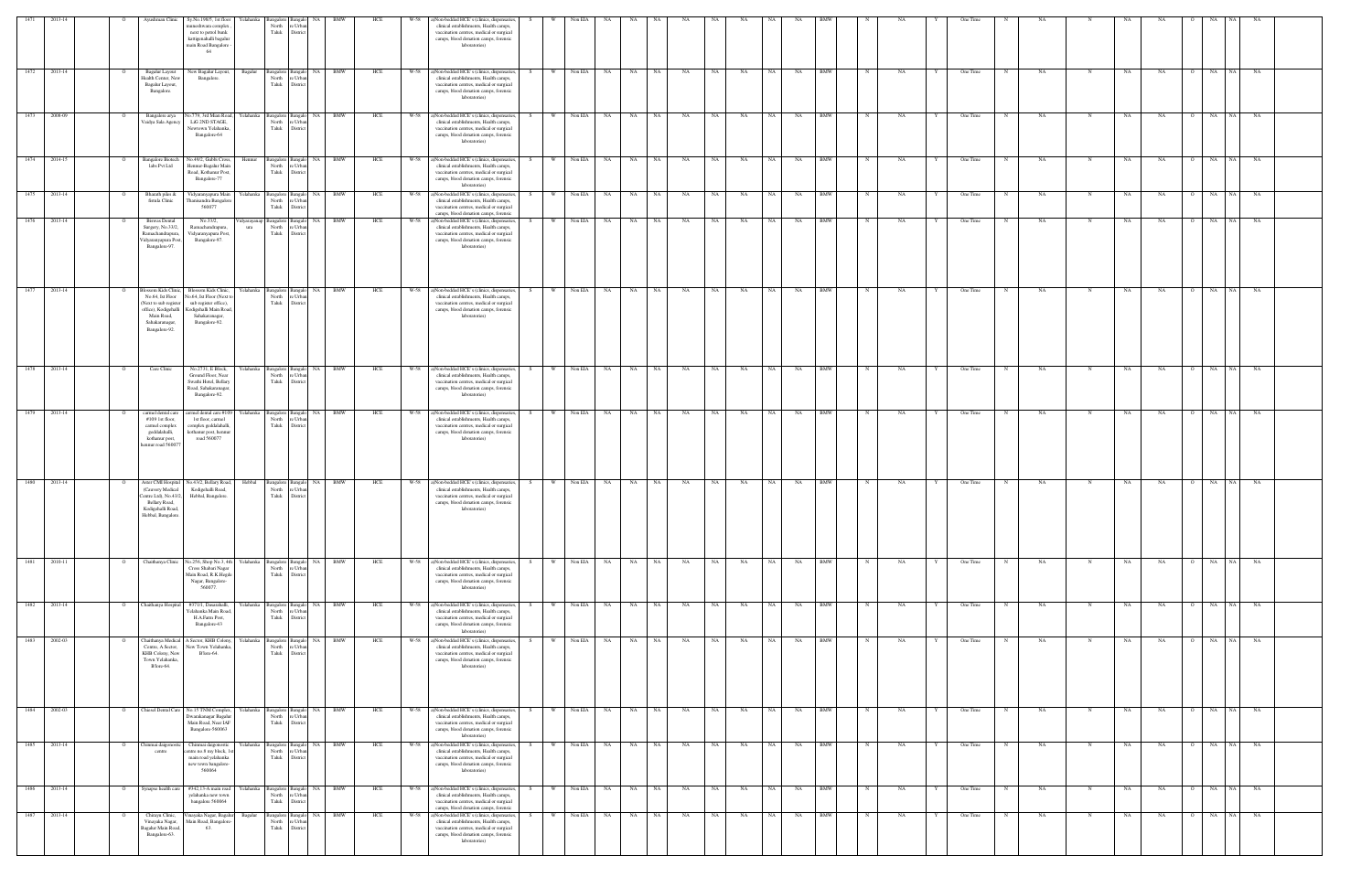| 1471 |                                               | Ayushman Clinic                                                                                                                              | Sy.No.198/5, 1st floor<br>nuneshwara complex<br>next to petrol bunk<br>kattigenahalli bagalur<br>main Road Bangalore -<br>64           | Yelahanka<br>ngalore<br>North<br>Taluk           | re Urba<br>District                               | <b>BMW</b>                                          | HCI        | W-58 | a)Non-bedded HCE's (clinics, dispensaries,<br>clinical establishments, Health camps,<br>vaccination centres, medical or surgical<br>camps, blood donation camps, forensic<br>laboratories)                                                    |                      | Non EIA                                      |           |             |                 |          |          |              |           |                          |        |          |        | One Time                       |           |             |          |                      |                          |           |  |
|------|-----------------------------------------------|----------------------------------------------------------------------------------------------------------------------------------------------|----------------------------------------------------------------------------------------------------------------------------------------|--------------------------------------------------|---------------------------------------------------|-----------------------------------------------------|------------|------|-----------------------------------------------------------------------------------------------------------------------------------------------------------------------------------------------------------------------------------------------|----------------------|----------------------------------------------|-----------|-------------|-----------------|----------|----------|--------------|-----------|--------------------------|--------|----------|--------|--------------------------------|-----------|-------------|----------|----------------------|--------------------------|-----------|--|
| 1472 | 2013-14<br>- 0                                | Bagalur Layout<br>Health Center, New<br>Bagalur Layout,<br>Bangalore.                                                                        | New Bagalur Layout,<br>Bangalore.                                                                                                      | Bagalur<br>North<br>Taluk                        | Bangalore Bangalo NA<br>e Urba<br>Distri          | BMW                                                 | HCE        | W-58 | a)Non-bedded HCE's (clinics, dispensaries,<br>clinical establishments, Health camps,<br>vaccination centres, medical or surgical<br>camps, blood donation camps, forensic<br>laboratories)                                                    | W                    | Non EIA<br>NA                                | NA        | NA          | NA              | NA       | NA       | NA           | NA        | <b>BMW</b>               |        | NA       |        | One Time                       | NA        | N           | NA       | NA                   | NA<br>NA                 | NA        |  |
| 1473 | 2008-09<br>$\circ$                            | Bangalore arya<br>Vaidya Sala Agency                                                                                                         | No.779, 3rd Mian Road,<br>LiG 2ND STAGE,<br>Newtown Yelahanka<br>Bangalore-64                                                          | Yelahanka<br>North<br>Taluk                      | e Urba<br>District                                | Bangalore Bangalo NA BMW                            | HCE        |      | W-58 a)Non-bedded HCE's (clinics, dispensaries,<br>clinical establishments, Health camps,<br>vaccination centres, medical or surgical<br>camps, blood donation camps, forensic<br>laboratories)                                               | W<br>S.              | Non EIA<br><b>NA</b>                         | NA N      | NA          | NA              | NA       | NA       | NA 1         | <b>NA</b> | <b>BMW</b>               |        | NA       |        | One Time                       | NA        | N           | NA       | NA<br>$\circ$        | NA<br>NA 1               | NA        |  |
| 1474 | 2014-15<br>$\circ$                            | <b>Bangalore Biotech</b><br>labs Pvt Ltd                                                                                                     | Vo.49/2, Gubbi Cross,<br>Hennur-Bagalur Main<br>Road, Kothanur Post,<br>Bangalore-77                                                   | Bangalore Bangalo<br>Hennur<br>North<br>Taluk    | <b>NA</b><br>e Urb<br>Distric                     | <b>BMW</b>                                          | HCE        | W-58 | a)Non-bedded HCE's (clinics, dispensaries,<br>clinical establishments, Health camps,<br>vaccination centres, medical or surgical<br>camps, blood donation camps, forensic<br>laboratories)                                                    | S                    | Non EIA<br>NA                                | NA .      | NA          | NA              | NA       | NA       | NA           | NA        | <b>BMW</b>               |        | NA       |        | One Time                       | NA        | -N          | NA       | NA                   | NA<br>NA                 | NA        |  |
| 1475 | 2013-14                                       | Bharath piles &<br>fistula Clinic                                                                                                            | Vidyaranyapura Main<br>Thanisandra Bangalore<br>560077                                                                                 | Yelahanka<br>Bangalore Bangalo<br>North<br>Taluk | NA<br>re Urba<br>District                         | <b>BMW</b>                                          | HCE        |      | W-58 a)Non-bedded HCE's (clinics, dispensaries,<br>clinical establishments, Health camps,<br>vaccination centres, medical or surgical<br>camps, blood donation camps, forensic                                                                |                      | Non EIA<br>NA                                | NA        | NA          | NA              | NA       | NA       | NA           | NA        | <b>BMW</b>               |        | NA       |        | One Time                       | NA        |             | NA       | NA                   | NA<br>NA                 | NA        |  |
| 1476 | 2013-14                                       | <b>Biswas Dental</b><br>Surgery, No.33/2,<br>Ramachandrapura,<br>Vidyaranyapura Post<br>Bangalore-97.                                        | No.33/2,<br>Ramachandrapura,<br>Vidyaranyapura Post,<br>Bangalore-97.                                                                  | idyarayana<br>North<br>ura<br>Taluk              | Bangalore Bangalo<br>  NA<br>re Urbar<br>District | BMW                                                 | HCE        | W-58 | a)Non-bedded HCE's (clinics, dispensaries,<br>clinical establishments, Health camps,<br>vaccination centres, medical or surgical<br>camps, blood donation camps, forensic<br>laboratories)                                                    | S.                   | Non EIA<br>NA                                | NA        | NA          | NA              | NA       | NA       | NA           | NA        | <b>BMW</b>               |        | NA       |        | One Time                       | NA        |             | NA       | NA                   | NA<br>NA                 | NA        |  |
| 1477 | 2013-14<br>$\circ$                            | <b>ossom Kids Clinic</b><br>No.64, Ist Floor<br>Next to sub registe<br>office), Kodigehalli<br>Main Road,<br>Sahakaranagar,<br>Bangalore-92. | Blossom Kids Clinic,<br>No.64, Ist Floor (Next to<br>sub register office),<br>Codigehalli Main Road<br>Sahakaranagar,<br>Bangalore-92. | Yelahanka<br>North<br>Taluk                      | e Urba<br>District                                | Bangalore Bangalo NA BMW                            | HCE        |      | W-58 a)Non-bedded HCE's (clinics, dispensaries,<br>clinical establishments, Health camps,<br>vaccination centres, medical or surgical<br>camps, blood donation camps, forensic<br>laboratories)                                               | S<br>W.              | Non EIA<br><b>NA</b>                         | NA 1      | NA          | NA              | NA       | NA       | NA 1         | NA        | <b>BMW</b>               |        | NA       |        | One Time<br>N                  | NA        | N           | NA       | NA<br>$\overline{O}$ | NA<br>NA 1               | NA        |  |
| 1478 | 2013-14<br>$\circ$                            | Care Clinic                                                                                                                                  | No.2731, E Block,<br>Ground Floor, Near<br>Swathi Hotel, Bellary<br>Road, Sahakaranagar,<br>Bangalore-92.                              | Yelahanka<br>Bangalore Bangalo<br>North<br>Taluk | re Urba<br>District                               | NA BMW                                              | HCE        |      | W-58 a)Non-bedded HCE's (clinics, dispensaries,<br>clinical establishments, Health camps,<br>vaccination centres, medical or surgical<br>camps, blood donation camps, forensic<br>laboratories)                                               | S.                   | Non EIA<br>NA                                | NA 1      | NA          | NA              | NA       | NA       | NA           | NA        | <b>BMW</b>               |        | NA       |        | One Time                       | NA        | -N          | NA       | NA                   | NA  <br>NA               | NA        |  |
| 1479 | 2013-14<br>$\mathbf{o}$                       | carmel dental care<br>$#109$ 1st floor,<br>carmel complex<br>geddalahalli,<br>kothanur post,<br>hennur road 56007?                           | carmel dental care #109<br>1st floor, carmel<br>complex geddalahalli,<br>kothanur post, hennur<br>road 560077                          | Yelahanka<br>Bangalore Bangalo                   | North re Urbar<br>Taluk District                  | NA BMW                                              | HCE        |      | W-58 a)Non-bedded HCE's (clinics, dispensaries,<br>clinical establishments, Health camps,<br>vaccination centres, medical or surgical<br>camps, blood donation camps, forensic<br>laboratories)                                               | W.                   | Non EIA<br>NA                                |           | NA NA       | NA              | NA       | NA       | NA 1         | NA        | <b>BMW</b>               |        | NA       |        | One Time<br>N                  | NA        | N           | NA       | NA                   | O NA<br>NA 1             | NA        |  |
| 1480 | 2013-14                                       | Aster CMI Hospital<br>(Cauvery Medical<br>Centre Ltd), No.43/2<br>Bellary Road,<br>Kodigehalli Road,<br><b>Jehhal</b> , Bangalor             | No.43/2, Bellary Road,<br>Kodigehalli Road,<br>Hebbal, Bangalore.                                                                      | Hebbal<br>North<br>Taluk                         | Bangalore Bangalo NA<br>re Urbar<br>District      | <b>BMW</b>                                          | HCE        |      | W-58 a)Non-bedded HCE's (clinics, dispensaries,<br>clinical establishments, Health camps,<br>vaccination centres, medical or surgical<br>camps, blood donation camps, forensic<br>laboratories)                                               | S<br>W.              | Non EIA<br>NA 1                              | NA 1      | NA          | NA              | NA       | NA       | NA 1         | NA        | <b>BMW</b>               |        | NA       |        | One Time<br>N                  | NA        | N           | NA       | NA<br>$\overline{O}$ | NA  <br>NA               | NA        |  |
| 1481 | 2010-11<br>$\overline{O}$                     | Chaithanya Clinic                                                                                                                            | No.256, Shop No.3, 4th<br>Cross Shabari Nagar<br>Main Road, R.K.Hegde<br>Nagar, Bangalore-<br>560077.                                  | Yelahanka<br>North<br>Taluk                      | re Urbar<br>District                              | Bangalore Bangalo NA BMW                            | HCE        |      | W-58 a)Non-bedded HCE's (clinics, dispensaries,<br>clinical establishments, Health camps,<br>vaccination centres, medical or surgical<br>camps, blood donation camps, forensic<br>laboratories)                                               |                      | W Non EIA<br>NA 1                            |           | NA NA       | NA              | NA       | NA       | NA 1         | <b>NA</b> | <b>BMW</b>               | N      | NA       |        | One Time<br>N                  | NA        | N           | NA       | NA<br>. റ            | NA<br>NA                 | NA        |  |
| 1483 | 1482 2013-14<br>$\circ$<br>2002-03<br>$\circ$ | Chaithanya Hospital<br>Chaithanya Medical                                                                                                    | #371/1, Dasarahalli,<br>Yelahanka Main Road<br>H.A.Farm Post,<br>Bangalore-43<br>A Sector, KHB Colony,                                 | Yelahanka<br>North<br>Taluk<br>Yelahanka         | re Urban<br>District                              | angalore Bangalo NA BMW<br>Bangalore Bangalo NA BMW | HCE<br>HCE | W-58 | W-58 a)Non-bedded HCE's (clinics, dispensaries,<br>clinical establishments, Health camps,<br>vaccination centres, medical or surgical<br>camps, blood donation camps, forensic<br>laboratories)<br>a)Non-bedded HCE's (clinics, dispensaries, | S.<br>W I<br>W<br>S. | Non EIA<br><b>NA</b><br>Non EIA<br><b>NA</b> | NA 1      | NA NA<br>NA | <b>NA</b><br>NA | NA<br>NA | NA<br>NA | NA  <br>NA 1 | NA<br>NA  | <b>BMW</b><br><b>BMW</b> | N<br>N | NA<br>NA | Y<br>Y | One Time<br>N<br>One Time<br>N | NA<br>NA  | N<br>N      | NA<br>NA | NA<br>NA<br>$\circ$  | O NA NA NA<br>NA<br>NA 1 | NA        |  |
|      |                                               | Centre, A Sector,<br>KHB Colony, New<br>Town Yelahanka,<br>B'lore-64.                                                                        | New Town Yelahanka,<br>B'lore-64.                                                                                                      | North<br>Taluk                                   | e Urbar<br>District                               |                                                     |            |      | clinical establishments, Health camps,<br>vaccination centres, medical or surgical<br>camps, blood donation camps, forensic<br>laboratories)                                                                                                  |                      |                                              |           |             |                 |          |          |              |           |                          |        |          |        |                                |           |             |          |                      |                          |           |  |
|      | 1484 2002-03<br>$\overline{O}$                | Chiesel Dental Care                                                                                                                          | No.15 TNM Complex,<br>Dwarakanagar Bagalui<br>Main Road, Near IAF<br>Bangalore-560063                                                  | Yelahanka<br>North<br>Taluk                      | re Urba<br>District                               | Bangalore Bangalo NA BMW                            | HCE        |      | W-58 a)Non-bedded HCE's (clinics, dispensaries,<br>clinical establishments, Health camps,<br>vaccination centres, medical or surgical<br>camps, blood donation camps, forensic<br>laboratories)                                               | S.                   | W Non EIA<br><b>NA</b>                       |           | NA NA       | NA              | NA       | NA       | NA 1         | <b>NA</b> | <b>BMW</b>               | N      | NA       | Y      | One Time<br>$\mathbf N$        | <b>NA</b> | $\mathbf N$ | NA       | NA<br>$\overline{O}$ | NA<br>NA                 | <b>NA</b> |  |
| 1485 | 2013-14<br>$\mathbf{o}$                       | Chinmai daigonostic<br>centre                                                                                                                | Chinmai daigonostic<br>entre no.8 my block, 1s<br>main road yelahanka<br>new town bangalore-<br>560064                                 | Yelahanka<br>Bangalore Bangalo<br>North<br>Taluk | NA<br>re Urba<br>District                         | BMW                                                 | HCE        | W-58 | a)Non-bedded HCE's (clinics, dispensaries,<br>clinical establishments, Health camps,<br>vaccination centres, medical or surgical<br>camps, blood donation camps, forensic<br>laboratories)                                                    | S.                   | Non EIA<br>NA                                | NA        | NA          | NA              | NA       | NA       | NA           | NA        | BMW                      |        | NA       |        | One Time<br>N                  | NA        | N           | NA       | NA<br>$\Omega$       | NA<br>NA 1               | NA        |  |
| 1486 | 2013-14<br>$\overline{O}$                     | Synapse health care                                                                                                                          | #342,13-A main road<br>yelahanka new town<br>bangalore 560064                                                                          | Yelahanka<br>North<br>Taluk                      | re Urba<br>District                               | Bangalore Bangalo NA BMW                            | HCE        |      | W-58 a)Non-bedded HCE's (clinics, dispensaries,<br>clinical establishments, Health camps,<br>vaccination centres, medical or surgical<br>camps, blood donation camps, forensic                                                                | S<br>W.              | Non EIA<br>NA 1                              |           | NA NA       | NA              | NA       | NA       | NA 1         | <b>NA</b> | <b>BMW</b>               | N      | NA       | Y      | One Time<br>$\mathbf N$        | NA        | $\mathbf N$ | NA       | NA<br>$\overline{O}$ | NA<br>NA 1               | NA        |  |
| 1487 | 2013-14<br>$\circ$                            | Chirayu Clinic,<br>Vinayaka Nagar,<br>Bagalur Main Road,<br>Bangalore-63.                                                                    | /inayaka Nagar, Bagalur<br>Main Road, Bangalore<br>63.                                                                                 | Bagalur<br>Bangalore Bangalo<br>North<br>Taluk   | NA N<br>e Urbar<br>District                       | <b>BMW</b>                                          | HCE        | W-58 | a)Non-bedded HCE's (clinics, dispensaries,<br>clinical establishments, Health camps,<br>vaccination centres, medical or surgical<br>camps, blood donation camps, forensic<br>laboratories)                                                    | S.                   | Non EIA<br><b>NA</b>                         | <b>NA</b> | NA          | NA              | NA       | NA       | NA 1         | NA        | <b>BMW</b>               | N      | NA       |        | One Time<br>N                  | NA        | N           | NA       | NA<br>$\circ$        | NA<br>NA 1               | NA        |  |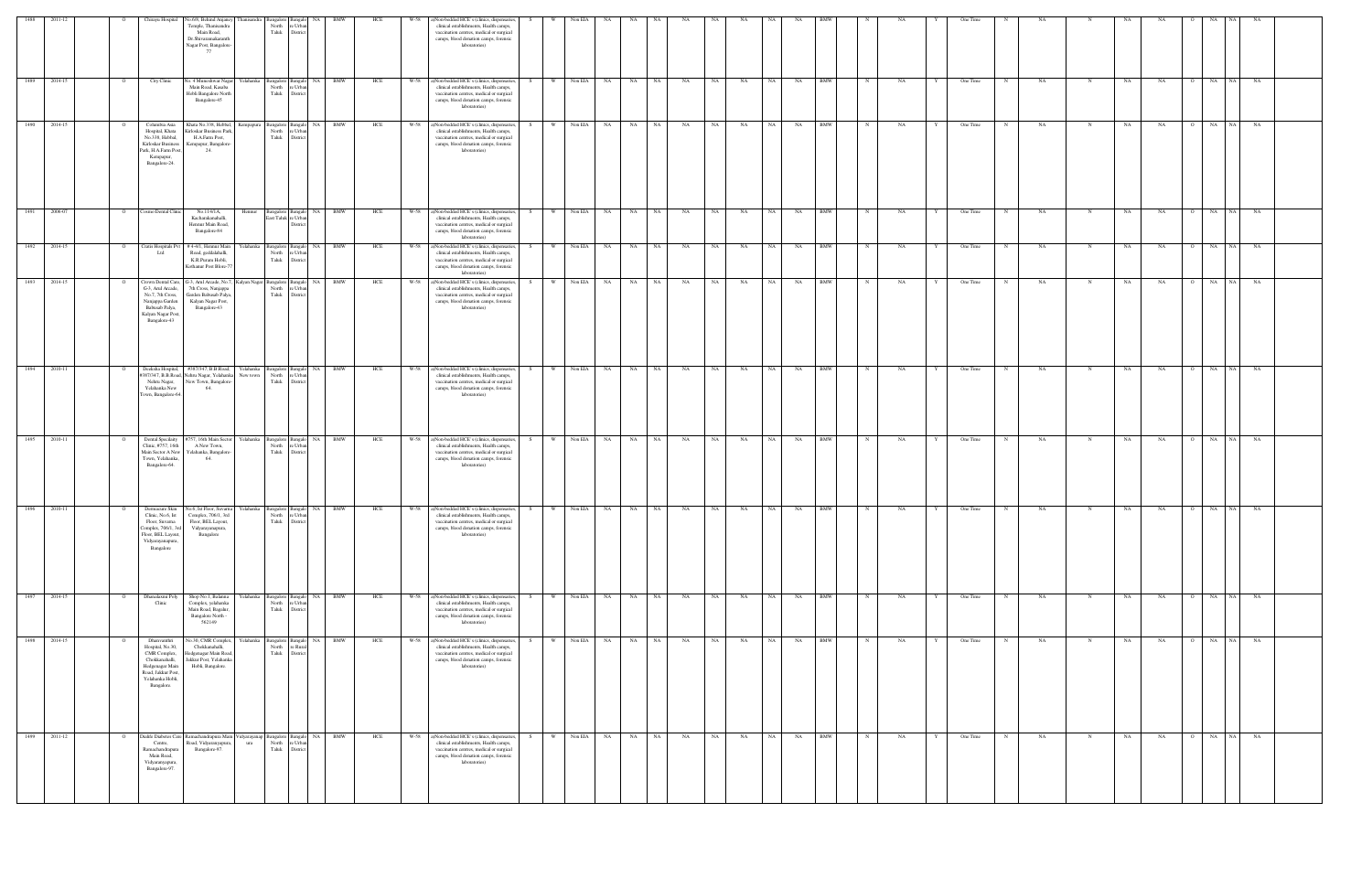| 1488         | 2011-12 |                | Chirayu Hospital                                                                                                                             | No.6/8, Behind Anjaney<br>Temple, Thanisandra<br>Main Road,<br>Dr.Shivaramakaranth<br>Nagar Post, Bangalore<br>77                                                          | ingalore<br>North<br>Taluk  | e Urbs<br>District                                     |                                       |     | W-58 | )Non-bedded HCE's (clinics, dispensaries,<br>clinical establishments, Health camps,<br>vaccination centres, medical or surgical<br>camps, blood donation camps, forensic<br>laboratories)  |     |          | Non EIA    |      |              |           |           |           |           |           |            |             |    |              | One Time |             |     |             |    |                             |                 |       |  |
|--------------|---------|----------------|----------------------------------------------------------------------------------------------------------------------------------------------|----------------------------------------------------------------------------------------------------------------------------------------------------------------------------|-----------------------------|--------------------------------------------------------|---------------------------------------|-----|------|--------------------------------------------------------------------------------------------------------------------------------------------------------------------------------------------|-----|----------|------------|------|--------------|-----------|-----------|-----------|-----------|-----------|------------|-------------|----|--------------|----------|-------------|-----|-------------|----|-----------------------------|-----------------|-------|--|
| 1489         | 2014-15 |                | City Clinic                                                                                                                                  | lo. 4 Muneshwar Naga<br>'elahanka<br>Main Road, Kasaba<br>Hobli Bangalore North<br>Bangalore-45                                                                            | Bangalore<br>North<br>Taluk | sangal<br>e Urba<br>District                           | NA<br>BMW                             | HCE | W-58 | )Non-bedded HCE's (clinics, dispensaries,<br>clinical establishments, Health camps,<br>vaccination centres, medical or surgical<br>camps, blood donation camps, forensic<br>laboratories)  |     |          | Non EIA    | - NA | NA<br>NA     | NA        | NA        | NA        |           | NA        | <b>BMW</b> |             |    |              | One Time |             | NA  |             | NA | NA                          | NA<br>NA        | NA    |  |
| 1490         | 2014-15 |                | Columbia Asia<br>Hospital, Khata<br>No.338, Hebbal,<br>Kirloskar Business<br>Park, H.A.Farm Post,<br>Kempapur,<br>Bangalore-24.              | Khata No.338, Hebbal,<br>Kempapura<br>Grloskar Business Park<br>H.A.Farm Post,<br>Kempapur, Bangalore-<br>24.                                                              | North<br>Taluk              | Bangalore Bangalo<br>e Urba<br>District                | BMW<br>NA                             | HCE | W-58 | ()Non-bedded HCE's (clinics, dispensaries,<br>clinical establishments, Health camps,<br>vaccination centres, medical or surgical<br>camps, blood donation camps, forensic<br>laboratories) | - S | W        | Non EIA NA |      | NA 1<br>NA   | NA        | NA        | NA        | NA -      | NA        | BMW        |             | NA |              | One Time |             | NA  |             | NA | NA                          | NA I<br>NA      | NA    |  |
| 1491         | 2006-07 |                | osmo Dental Clinic                                                                                                                           | No.114/1A,<br>Hennur<br>Kacharakanahalli,<br>Hennur Main Road,<br>Bangalore-84                                                                                             |                             | Bangalore Bangalo NA<br>East Taluk re Urbar<br>Distric | BMW                                   | HCE | W-58 | a)Non-bedded HCE's (clinics, dispensaries,<br>clinical establishments, Health camps,<br>vaccination centres, medical or surgical<br>camps, blood donation camps, forensic<br>laboratories) | - S | W.       | Non EIA NA |      | NA .<br>NA   | NA        | NA        | NA        | NA 1      | NA .      | BMW        |             | NA |              | One Time | N           | NA  |             | NA | NA<br>$\circ$               | NA  <br>NA      | NA    |  |
| 1492         | 2014-15 |                | Cratis Hospitals P<br>Ltd                                                                                                                    | #4-4/1, Hennur Main<br>Yelahanka<br>Road, geddalahalli,<br>K.R.Puram Hobli,<br>Kothanur Post Blore-7                                                                       | North<br>Taluk              | Bangalore Bangalo<br>re Urbar<br>District              | NA 1<br><b>BMW</b>                    | HCE | W-58 | a)Non-bedded HCE's (clinics, dispensaries,<br>clinical establishments, Health camps,<br>vaccination centres, medical or surgical<br>camps, blood donation camps, forensic<br>laboratories) |     | W        | Non EIA    | NA   | NA<br>NA     | NA        | NA        | NA        | NA        | NA        | <b>BMW</b> | $\mathbb N$ | NA |              | One Time | N           | NA  | N           | NA | NA<br>$\overline{O}$        | NA<br>NA        | NA    |  |
| 1493         | 2014-15 |                | Crown Dental Care,<br>G-3, Arul Arcade,<br>No.7, 7th Cross,<br>Nanjappa Garden<br>Babusab Palya,<br>Kalyan Nagar Post<br>Bangalore-43        | G-3, Arul Arcade, No.7<br>7th Cross, Nanjappa<br>Garden Babusab Palya<br>Kalyan Nagar Post,<br>Bangalore-43                                                                | North<br>Taluk              | e Urba<br>District                                     | Kalyan Nagar Bangalore Bangalo NA BMW | HCE | W-58 | a)Non-bedded HCE's (clinics, dispensaries,<br>clinical establishments, Health camps,<br>vaccination centres, medical or surgical<br>camps, blood donation camps, forensic<br>laboratories) |     | W        | Non EIA NA |      | NA<br>NA     | NA        | NA        | <b>NA</b> | <b>NA</b> | <b>NA</b> | <b>BMW</b> |             | NA |              | One Time | $\mathbf N$ | NA  |             | NA | NA<br>$\overline{O}$        | NA 1<br>NA      | NA    |  |
| 1494         | 2010-11 |                | Deeksha Hospital,<br>387/347, B.B.Road,<br>Nehru Nagar,<br>Yelahanka New<br>Town, Bangalore-6-                                               | #387/347, B.B.Road,<br>Nehru Nagar, Yelahank<br>New town<br>New Town, Bangalore-<br>64.                                                                                    | North<br>Taluk              | e Urba<br>District                                     | Yelahanka Bangalore Bangalo NA BMW    | HCE | W-58 | a)Non-bedded HCE's (clinics, dispensaries,<br>clinical establishments, Health camps,<br>vaccination centres, medical or surgical<br>camps, blood donation camps, forensic<br>laboratories) | S   | W        | Non EIA NA |      | NA .<br>NA 1 | <b>NA</b> | <b>NA</b> | <b>NA</b> | NA N      | NA 1      | <b>BMW</b> | $\mathbb N$ | NA | Y            | One Time | $\mathbf N$ | NA  | N           | NA | <b>NA</b><br>$\overline{O}$ | NA              | NA NA |  |
| 1495         | 2010-11 |                | Dental Specilaity<br>Clinic, #757, 16th<br>Main Sector A New<br>Town, Yelahanka,<br>Bangalore-64.                                            | 757, 16th Main Sector<br>A New Town,<br>Yelahanka, Bangalore<br>64.                                                                                                        | Yelahanka<br>North<br>Taluk | Bangalore Bangalo<br>re Urba<br>District               | NA<br>BMW                             | HCE | W-58 | a)Non-bedded HCE's (clinics, dispensaries,<br>clinical establishments, Health camps,<br>vaccination centres, medical or surgical<br>camps, blood donation camps, forensic<br>laboratories) |     | W        | Non EIA NA |      | NA<br>NA     | NA        | NA        | NA        | NA        | NA        | <b>BMW</b> | N           | NA |              | One Time | N           | NA  | N           | NA | NA<br>റ                     | NA<br>NA 1      | NA    |  |
| 1496         | 2010-11 |                | Floor, Suvarna<br>Complex, 706/1, 3rd<br>Floor, BEL Layout,<br>Vidyarayanapura,<br>Bangalore                                                 | Dermacure Skin No.6, Ist Floor, Suvarna Yelahanka Bangalore Bangalo NA BMW<br>Clinic, No.6, Ist Complex, 706/1, 3rd<br>Floor, BEL Layout,<br>Vidyarayanapura,<br>Bangalore |                             | North re Urban<br>Taluk District                       |                                       | HCE | W-58 | a)Non-bedded HCE's (clinics, dispensaries,<br>clinical establishments, Health camps,<br>vaccination centres, medical or surgical<br>camps, blood donation camps, forensic<br>laboratories) | S   | W        | Non EIA NA |      | NA<br>NA .   | NA        | <b>NA</b> | NA        | NA -      | NA        | <b>BMW</b> |             | NA |              | One Time |             | NA. | $\mathbf N$ | NA | NA<br>$\overline{O}$        | NA<br>NA        | NA    |  |
| 1497         | 2014-15 | $\overline{O}$ | Dhanalaxmi Poly<br>Clinic                                                                                                                    | Yelahanka<br>Shop No.1, Balanna<br>Complex, yelahanka<br>Main Road, Bagalur,<br>Bangalore North -<br>562149                                                                | Taluk                       | North re Urban<br>District                             | Bangalore Bangalo NA BMW              | HCE | W-58 | a)Non-bedded HCE's (clinics, dispensaries,<br>clinical establishments, Health camps,<br>vaccination centres, medical or surgical<br>camps, blood donation camps, forensic<br>laboratories) |     | W        | Non EIA NA |      | NA<br>NA .   | NA        | NA        | NA        | NA 1      | NA        | <b>BMW</b> | $\mathbf N$ | NA | Y            | One Time | N           | NA. | N           | NA | <b>NA</b>                   | 0 NA NA NA      |       |  |
| 1498         | 2014-15 |                | Dhanvanthri<br>Hospital, No.30,<br>CMR Complex,<br>Chokkanahalli,<br>Hedgenagar Main<br>Road, Jakkur Post,<br>Yelahanka Hobli,<br>Bangalore. | Vo.30, CMR Complex,<br>Chokkanahalli,<br>Iedgenagar Main Road<br>Jakkur Post, Yelahanka<br>Hobli, Bangalore.                                                               | Yelahanka<br>North          | Bangalore Bangalo<br>re Rural<br>Taluk District        | <b>BMW</b><br>NA                      | HCE | W-58 | ()Non-bedded HCE's (clinics, dispensaries,<br>clinical establishments, Health camps,<br>vaccination centres, medical or surgical<br>camps, blood donation camps, forensic<br>laboratories) |     | <b>W</b> | Non EIA NA |      | NA<br>NA     | NA        | NA        | NA        | <b>NA</b> | NA        | <b>BMW</b> |             | NA |              | One Time | $_{\rm N}$  | NA. | N           | NA | <b>NA</b><br>$\overline{O}$ | NA<br><b>NA</b> | NA    |  |
| 1499 2011-12 |         |                | ialife Diabetes Care<br>Centre,<br>Ramachandrapura<br>Main Road,<br>Vidyaranyapura,<br>Bangalore-97.                                         | Ramachandrapura Main<br>Road, Vidyaranyapura,<br>ura<br>Bangalore-97.                                                                                                      | idyarayanap<br>Taluk        | Bangalore Bangalo NA<br>North re Urban<br>District     | BMW                                   | HCE | W-58 | a)Non-bedded HCE's (clinics, dispensaries,<br>clinical establishments, Health camps,<br>vaccination centres, medical or surgical<br>camps, blood donation camps, forensic<br>laboratories) | S.  | W        | Non EIA NA |      | NA 1<br>NA 1 | NA        | NA        | <b>NA</b> | NA 1      | NA .      | BMW        | N           | NA | $\mathbf{Y}$ | One Time | $\mathbf N$ | NA  | N           | NA | NA<br>$\overline{O}$        | NA NA NA        |       |  |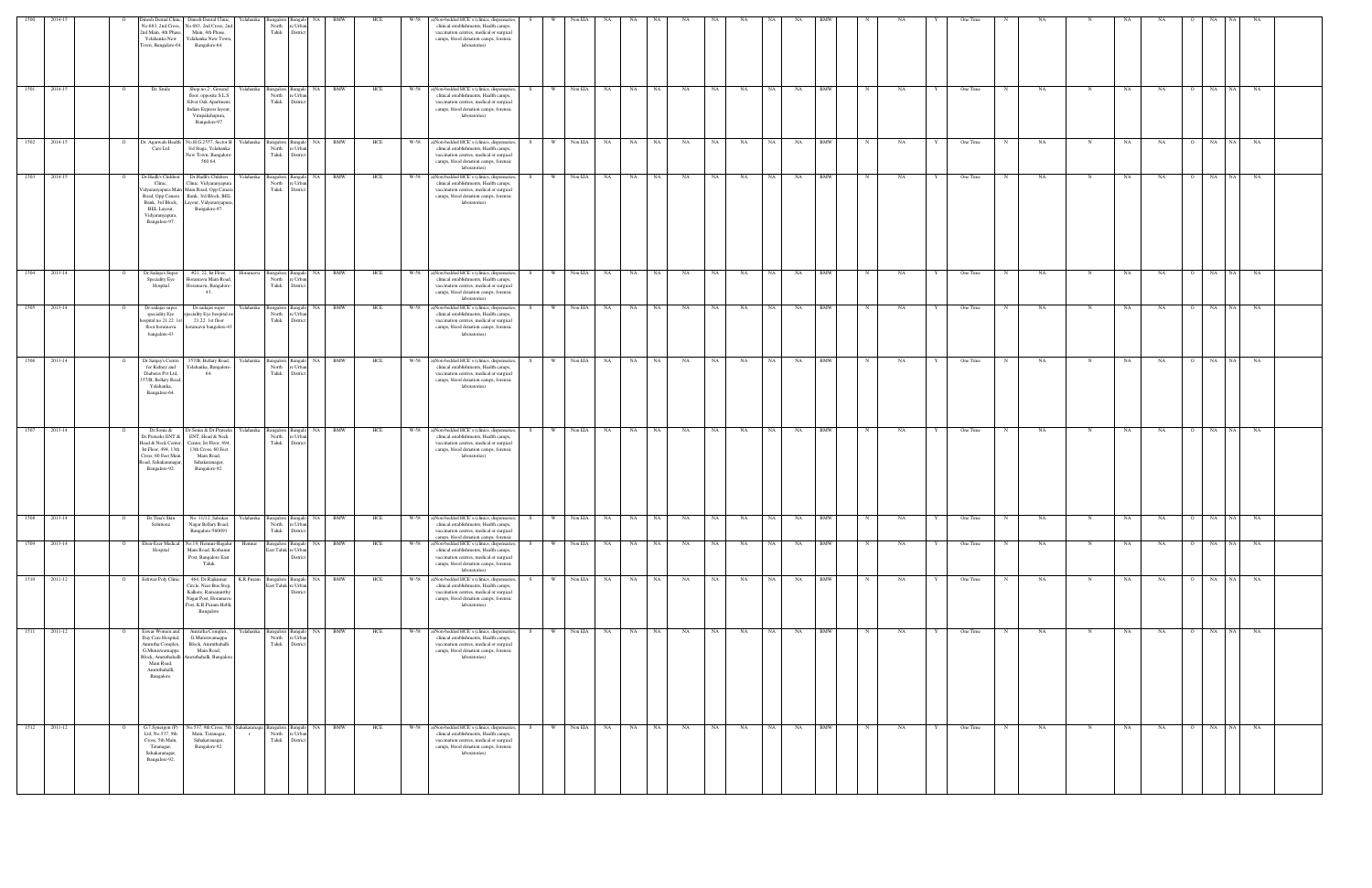| 1500              | 2014-15      |                                                                        | 2nd Main, 4th Phase,<br>Yelahanka New<br>Town, Bangalore-64.                                                                                    | Dinesh Dental Clinic, Dinesh Dental Clinic,<br>No.683, 2nd Cross, No.683, 2nd Cross, 2nd<br>Main, 4th Phase,<br>Yelahanka New Town,<br>Bangalore-64.              | Yelahanka | Bangalore<br>North<br>Taluk              | Bangal<br>re Urban<br>District                            | NA                      | BMW | HCE<br>W-58 | a)Non-bedded HCE's (clinics, dispensaries,<br>clinical establishments, Health camps,<br>vaccination centres, medical or surgical<br>camps, blood donation camps, forensic<br>laboratories)      |     |          | Non EIA         |            | NA                                        | <b>NA</b> |      |           |      |            |            |              |      |   | One Time   |            |           |             | NΑ | NA                    | NA                |       |  |
|-------------------|--------------|------------------------------------------------------------------------|-------------------------------------------------------------------------------------------------------------------------------------------------|-------------------------------------------------------------------------------------------------------------------------------------------------------------------|-----------|------------------------------------------|-----------------------------------------------------------|-------------------------|-----|-------------|-------------------------------------------------------------------------------------------------------------------------------------------------------------------------------------------------|-----|----------|-----------------|------------|-------------------------------------------|-----------|------|-----------|------|------------|------------|--------------|------|---|------------|------------|-----------|-------------|----|-----------------------|-------------------|-------|--|
| 1501              | 2014-15      | $\circ$                                                                | Dr. Smile                                                                                                                                       | Shop.no.2, Ground<br>floor, opposite S.L.S<br>Silver Oak Apartment,<br>Indian Express layout,<br>Virupakshapura,<br>Bangalore-97                                  |           | Yelahanka Bangalore<br>North<br>Taluk    | Bangalo NA<br>e Urba<br>Distric                           | <b>BMW</b>              |     | W-58<br>HCE | a)Non-bedded HCE's (clinics, dispensaries,<br>clinical establishments, Health camps,<br>vaccination centres, medical or surgical<br>camps, blood donation camps, forensic<br>laboratories)      | S.  | W        | Non EIA         | <b>NA</b>  | NA<br>NA 1                                | NA        | NA 1 | NA        | NA - | <b>NA</b>  | <b>BMW</b> | N            | NA   |   | One Time   |            | NA        | $\mathbf N$ | NA | NA<br>$\overline{O}$  | NA<br>NA 1        | NA    |  |
|                   | 1502 2014-15 | $\overline{O}$                                                         | Care Ltd                                                                                                                                        | Dr. Agarwals Health No.H.G.2557, Sector B Yelahanka Bangalore Bangalo NA<br>3rd Stage, Yelahanka<br>New Town, Bangalore-<br>560 64.                               |           | North<br>Taluk                           | e Urbar<br>District                                       | <b>BMW</b>              |     | HCE         | W-58 a)Non-bedded HCE's (clinics, dispensaries,<br>clinical establishments, Health camps,<br>vaccination centres, medical or surgical<br>camps, blood donation camps, forensic<br>laboratories) | S – |          | W Non EIA NA NA |            | <b>NA</b>                                 | NA        |      | NA NA     |      | NA N       | NA BMW     | $_{\rm N}$   | NA   |   | One Time   | N          | <b>NA</b> | $\mathbf N$ | NA | <b>NA</b><br>$\Omega$ | NA NA NA          |       |  |
| 1503              | 2014-15      |                                                                        | Dr.Hadli's Children<br>Clinic,<br>Road, Opp.Canara<br>Bank, 3rd Block,<br>BEL Layout,<br>Vidyaranyapura,<br>Bangalore-97.                       | Dr.Hadli's Children<br>Clinic, Vidyaranyapura<br>Vidyaranyapura Main Main Road, Opp.Canara<br>Bank, 3rd Block, BEL<br>Layout, Vidyaranyapura<br>Bangalore-97.     |           | Yelahanka Bangalore<br>North<br>Taluk    | langalo<br>: Urba<br>Distric                              | NA                      | BMW | HCE<br>W-58 | a)Non-bedded HCE's (clinics, dispensaries,<br>clinical establishments, Health camps,<br>vaccination centres, medical or surgical<br>camps, blood donation camps, forensic<br>laboratories)      | -S  | - W      | Non EIA         | NA         | <b>NA</b><br>NA 1                         | <b>NA</b> | NA – | NA        | NA   | NA         | <b>BMW</b> |              | NA   |   | One Time   |            | NA        | $\mathbf N$ | NA | NA<br>$\circ$         | NA<br>NA 1        | NA    |  |
|                   | 1504 2013-14 | $\Omega$                                                               | Dr.Sailaja's Super<br>Speciality Eye<br>Hospital                                                                                                | #21, 22, Ist Floor,<br>Horamavu Main Road,<br>Horamavu, Bangalore-<br>43.                                                                                         |           | Horamavu Bangalore<br>North<br>Taluk     | Bangalo<br>e Urban<br>District                            | BMW<br>NA               |     | HCE         | W-58 a)Non-bedded HCE's (clinics, dispensaries,<br>clinical establishments, Health camps,<br>vaccination centres, medical or surgical<br>camps, blood donation camps, forensic<br>laboratories) | S.  |          | W Non EIA NA NA |            | <b>NA</b>                                 | NA        |      | NA NA     |      | NA N       | NA BMW     | $_{\rm N}$   | NA   |   | One Time   | N          | NA        | $\mathbf N$ | NA | NA<br>$\Omega$        | NA NA NA          |       |  |
| 1505              | 2013-14      | $\overline{O}$                                                         | Dr.sailajas super<br>speciality Eye<br>ospital no 21.22. 1s<br>floor horamavu<br>bangalore-43                                                   | Dr.sailajas super<br>peciality Eye hospital no<br>21.22. 1st floor<br>noramavu bangalore-43                                                                       |           | North<br>Taluk                           | Yelahanka Bangalore Bangalo NA BMW<br>e Urbar<br>District |                         |     | HCE<br>W-58 | a)Non-bedded HCE's (clinics, dispensaries,<br>clinical establishments, Health camps,<br>vaccination centres, medical or surgical<br>camps, blood donation camps, forensic<br>laboratories)      | S.  | W        |                 | Non EIA NA | NA<br>NA N                                | NA        | NA N | <b>NA</b> |      | NA 1       | NA BMW     | N            | NA . | Y | One Time   | N          | NA        | N           | NA | NA<br>$\overline{O}$  | NA NA NA          |       |  |
|                   | 1506 2013-14 | $\overline{O}$                                                         | Dr.Sanjay's Centre<br>for Kidney and<br>Diabetes Pvt Ltd,<br>357/B, Bellary Road,<br>Yelahanka,<br>Bangalore-64.                                | 357/B, Bellary Road,<br>Yelahanka, Bangalore<br>64.                                                                                                               |           | North<br>Taluk                           | Yelahanka Bangalore Bangalo NA BMW<br>e Urba<br>District  |                         |     | HCE         | W-58 a)Non-bedded HCE's (clinics, dispensaries,<br>clinical establishments, Health camps,<br>vaccination centres, medical or surgical<br>camps, blood donation camps, forensic<br>laboratories) | S.  |          |                 |            | W Non EIA NA NA NA                        | <b>NA</b> |      | NA NA     |      | NA N       | NA BMW     | $\mathbb{N}$ | NA   | Y | One Time   | N          | NA        | $\mathbf N$ | NA | <b>NA</b>             | O NA NA NA        |       |  |
| 1507              | 2013-14      |                                                                        | Dr.Sonia &<br>Dr.Prateeks ENT &<br>Ist Floor, 494, 13th<br>Cross, 60 Feet Main<br>Road, Sahakaranagar,<br>Bangalore-92.                         | Dr.Sonia & Dr.Prateeks<br>ENT, Head & Neck<br>Head & Neck Center, Center, Ist Floor, 494,<br>13th Cross, 60 Feet<br>Main Road,<br>Sahakaranagar,<br>Bangalore-92. | Yelahanka | Bangalore<br>North<br>Taluk              | <b>Bangal</b><br>e Urbar<br>District                      | <b>BMW</b><br><b>NA</b> |     | HCE<br>W-58 | a)Non-bedded HCE's (clinics, dispensaries,<br>clinical establishments, Health camps,<br>vaccination centres, medical or surgical<br>camps, blood donation camps, forensic<br>laboratories)      |     | W        | Non EIA         | NA         | <b>NA</b><br>NA                           | NA        | NA 1 | NA        |      | NA<br>NA 1 | <b>BMW</b> |              | NA.  |   | One Time   |            | NA        | N           | NA | NA<br>$\Omega$        | NA<br>NA          | NA    |  |
|                   | 1508 2013-14 | O Dr.Tina's Skin No. 11/12, Sahakar Yelahanka Bangalore Bangalo NA BMW | Solutionz                                                                                                                                       | Nagar Bellary Road,<br>Bangalore-560091                                                                                                                           |           | Taluk                                    | North re Urban<br>District                                |                         |     | HCE         | W-58 a)Non-bedded HCE's (clinics, dispensaries,<br>clinical establishments, Health camps,<br>vaccination centres, medical or surgical<br>camps, blood donation camps, forensic                  |     |          |                 |            | S W NonEIA NA NA NA NA NA NA NA NA NA BMW |           |      |           |      |            |            |              | N NA |   | Y One Time |            |           |             |    | NA NA                 | $\overline{O}$ NA | NA NA |  |
| 1509              | 2013-14      | $\overline{O}$                                                         | Eben-Ezer Medical<br>Hospital                                                                                                                   | No.19, Hennur-Bagalur<br>Main Road, Kothanur<br>Post, Bangalore East<br>Taluk                                                                                     | Hennur    | Bangalore                                | Bangalo<br>East Taluk re Urban<br>District                | NA                      | BMW | HCE<br>W-58 | a)Non-bedded HCE's (clinics, dispensaries,<br>clinical establishments, Health camps,<br>vaccination centres, medical or surgical<br>camps, blood donation camps, forensic<br>laboratories)      | S.  | <b>W</b> | Non EIA         | NA 1       | NA<br>NA 1                                | <b>NA</b> | NA 1 | NA        |      | NA  <br>NA | <b>BMW</b> | $\mathbf N$  | NA   | Y | One Time   | N          | NA        | $\mathbf N$ | NA | NA<br>$\circ$         | NA NA             | NA    |  |
| $\overline{1510}$ | 2011-12      | <b>Eshwar Poly Clinic</b><br>$\overline{O}$                            |                                                                                                                                                 | 464, Dr.Rajkumar<br>Circle, Near Bus Stop,<br>Kalkere, Ramamurthy<br>Nagar Post, Horamavu<br>Post, K.R.Puram Hobli,<br>Bangalore                                  |           | K.R.Puram Bangalore<br>East Taluk        | Bangalo<br>re Urbar<br><b>Distric</b>                     | <b>BMW</b><br>NA        |     | HCE<br>W-58 | a)Non-bedded HCE's (clinics, dispensaries,<br>clinical establishments, Health camps,<br>vaccination centres, medical or surgical<br>camps, blood donation camps, forensic<br>laboratories)      |     | <b>W</b> | Non EIA         | NA         | NA<br><b>NA</b>                           | NA        | NA . | NA        | NA   | NA         | <b>BMW</b> | $\mathbf N$  | NA   |   | One Time   | $_{\rm N}$ | <b>NA</b> | N           | NA | NA<br>$\Omega$        | NA<br>NA 1        | NA    |  |
| $-1511$           | 2011-12      | $\circ$                                                                | Eswar Women and<br>Day Care Hospital,<br>Amrutha Complex,<br>G.Muniswamappa<br>Block, Amruthahalli<br>Main Road,<br>Amruthahalli,<br>Bangalore. | Amrutha Complex,<br>G.Muniswamappa<br>Block, Amruthahalli<br>Main Road,<br>Amruthahalli, Bangalore                                                                | Yelahanka | Bangalore<br>North<br>Taluk              | <b>Bangalo</b><br>e Urban<br>District                     | NA                      | BMW | HCE<br>W-58 | a)Non-bedded HCE's (clinics, dispensaries,<br>clinical establishments, Health camps,<br>vaccination centres, medical or surgical<br>camps, blood donation camps, forensic<br>laboratories)      | S.  | W        | Non EIA         | <b>NA</b>  | NA 1<br>NA 1                              | NA        | NA 1 | NA        |      | NA 1<br>NA | <b>BMW</b> | $\mathbb{N}$ | NA   | Y | One Time   | $_{\rm N}$ | NA        | N           | NA | NA<br>$\overline{O}$  | <b>NA</b><br>NA   | NA    |  |
| 1512              | 2011-12      |                                                                        | G.7.Synergon (P)<br>Ltd, No.537, 9th<br>Cross, 5th Main,<br>Tatanagar,<br>Sahakaranagar,<br>Bangalore-92.                                       | No.537, 9th Cross, 5th<br>Main, Tatanagar,<br>Sahakaranagar,<br>Bangalore-92.                                                                                     | $\Gamma$  | Sahakaranaga Bangalore<br>North<br>Taluk | 3angalo<br>: Urba<br>Distric                              | <b>BMW</b><br>NA        |     | W-58<br>HCE | a)Non-bedded HCE's (clinics, dispensaries,<br>clinical establishments, Health camps,<br>vaccination centres, medical or surgical<br>camps, blood donation camps, forensic<br>laboratories)      | S.  | W        | Non EIA         | NA         | NA<br>NA                                  | NA        | NA   | NA        | NA   | NA         | <b>BMW</b> |              | NA   |   | One Time   | - N        | NA        | N           | NA | NA<br>- 0             | NA  <br>NA        | NA    |  |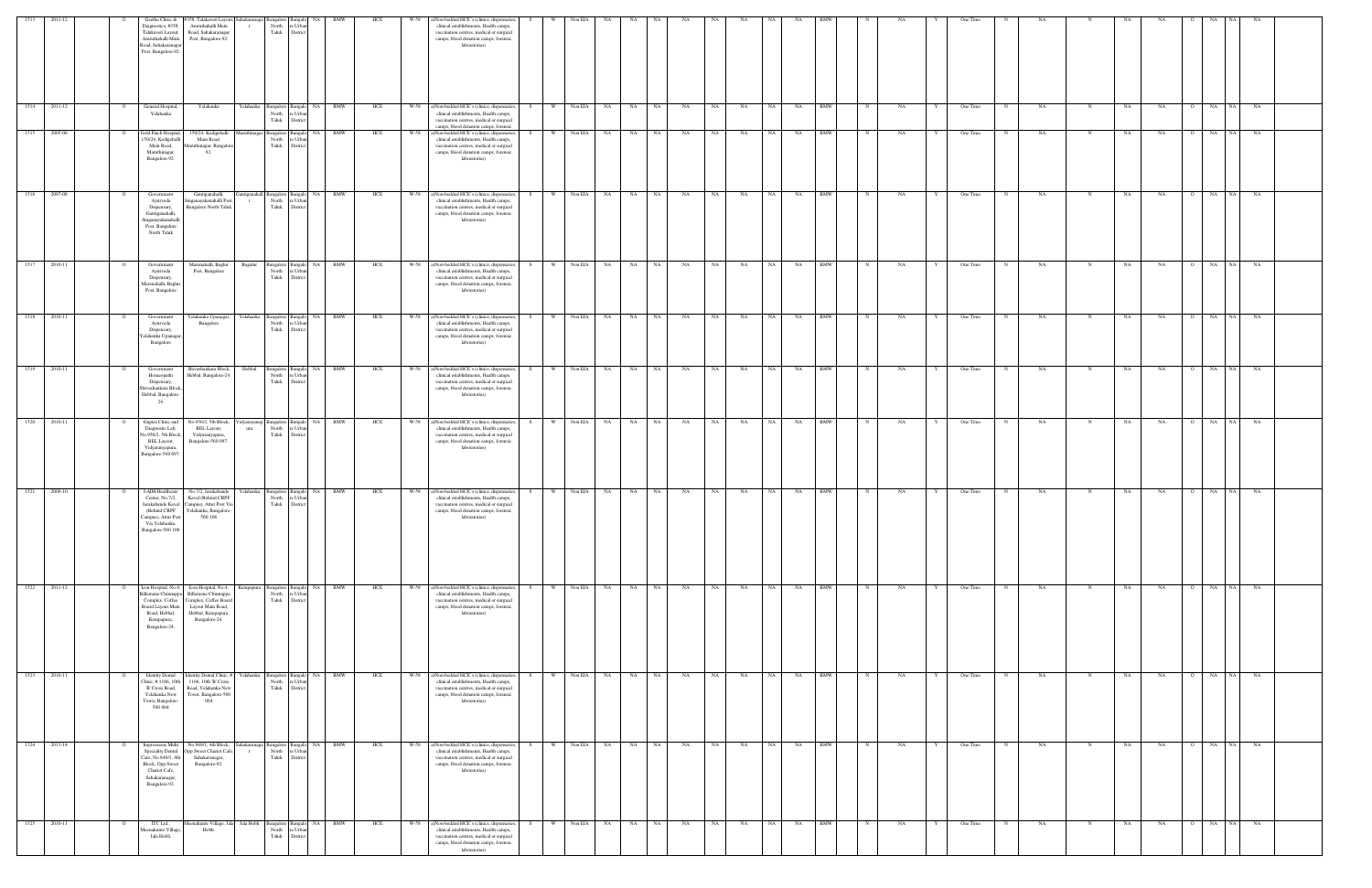| 1513 | 2011-12      |                | Geetha Clinic &<br>Diagnostics, #358,<br>Talakaveri Layout,<br>Amruthahalli Main<br>Road, Sahakaranaga<br>Post, Bangalore-92.              | #358, Talakaveri Layout, Sahakaranag<br>Amruthahalli Main<br>Road, Sahakaranagar<br>Post, Bangalore-92.                                 |                    | ngalore<br>North<br>re Urba<br>Taluk District                     |           |        | HCE | W-58 | a)Non-bedded HCE's (clinics, dispensaries,<br>clinical establishments, Health camps,<br>vaccination centres, medical or surgical<br>camps, blood donation camps, forensic<br>laboratories)                                          |           | Non EIA   |           |           |           |                 |    |                   |            |             |      |              | One Time                |    |    |             |    |           |                |                 |    |  |
|------|--------------|----------------|--------------------------------------------------------------------------------------------------------------------------------------------|-----------------------------------------------------------------------------------------------------------------------------------------|--------------------|-------------------------------------------------------------------|-----------|--------|-----|------|-------------------------------------------------------------------------------------------------------------------------------------------------------------------------------------------------------------------------------------|-----------|-----------|-----------|-----------|-----------|-----------------|----|-------------------|------------|-------------|------|--------------|-------------------------|----|----|-------------|----|-----------|----------------|-----------------|----|--|
| 1514 | 2011-12      |                | General Hospital,<br>Yelahanka                                                                                                             | Yelahanka                                                                                                                               | Yelahanka          | angalore Bangal<br>North<br>re Urba<br>Taluk<br>Distric           | <b>NA</b> | BMW    | HCE |      | W-58 a)Non-bedded HCE's (clinics, dispensaries,<br>clinical establishments, Health camps,<br>vaccination centres, medical or surgical                                                                                               | S.        | Non EIA   | <b>NA</b> | NA        | NA        | NA<br>NA        | NA | NA<br>NA          | <b>BMW</b> |             | NA   |              | One Time                |    | NA |             | NA | NA        | NA             | <b>NA</b>       | NA |  |
| 1515 | 2005-06      |                | Gold Finch Hospital,<br>150/24, Kodigehalli<br>Main Road,<br>Maruthinagar,<br>Bangalore-92.                                                | 150/24, Kodigehalli<br>Main Road,<br>Aaruthinagar, Bangalore<br>92.                                                                     |                    | Bangalore Bangalo<br>North<br>re Urba<br>Taluk<br>District        | NA.       | BMW    | HCE | W-58 | camps, blood donation camps, forensic<br>a)Non-bedded HCE's (clinics, dispensaries,<br>clinical establishments, Health camps,<br>vaccination centres, medical or surgical<br>camps, blood donation camps, forensic<br>laboratories) | S.        | Non EIA   | NA        | NA        | NA        | NA<br>NA        | NA | NA<br>NA          | BMW        |             | NA   |              | One Time                | NA |    | N           | NA | NA        | $\overline{O}$ | NA<br>- NA      | NA |  |
| 1516 | 2007-08      |                | Governmen<br>Ayurveda<br>Dispensary,<br>Gantiganahalli,<br>Singanayakanahalli<br>Post, Bangalore<br>North Taluk                            | Gantiganahalli,<br>Singanayakanahalli Post<br><b>Bangalore North Taluk</b>                                                              | ıtıganaha          | Bangalore Bangak<br>North<br>re Urba<br>Taluk District            |           | NA BMW | HCE |      | W-58 a)Non-bedded HCE's (clinics, dispensaries,<br>clinical establishments, Health camps,<br>vaccination centres, medical or surgical<br>camps, blood donation camps, forensic<br>laboratories)                                     | S.        | Non EIA   | <b>NA</b> | NA        | NA        | NA<br>NA        | NA | NA<br>NA          | <b>BMW</b> |             | NA   |              | One Time                |    | NA |             | NA | NA        |                | NA<br>NA        | NA |  |
| 1517 | 2010-11      | $\overline{O}$ | Government<br>Ayurveda<br>Dispensary,<br>Marenahalli, Baglur<br>Post, Bangalore                                                            | Marenahalli, Baglur<br>Post, Bangalore                                                                                                  | Bagalur            | Bangalore Bangalo NA BMW<br>North<br>re Urba<br>Taluk<br>District |           |        | HCE |      | W-58 a)Non-bedded HCE's (clinics, dispensaries,<br>clinical establishments, Health camps,<br>vaccination centres, medical or surgical<br>camps, blood donation camps, forensic<br>laboratories)                                     | W<br>S.   | Non EIA   | <b>NA</b> | NA 1      | NA        | NA<br><b>NA</b> | NA | NA 1<br><b>NA</b> | <b>BMW</b> | N           | NA   |              | One Time<br>N           |    | NA | N           | NA | NA        | 0 NA NA        |                 | NA |  |
| 1518 | 2010-11      |                | Government<br>Ayurveda<br>Dispensary,<br>felahanka Upanagar<br>Bangalore                                                                   | Yelahanka Upanagar,<br>Bangalore                                                                                                        | Yelahanka          | Bangalore Bangalo NA BMW<br>North<br>e Urb:<br>Taluk<br>District  |           |        | HCE |      | W-58 a)Non-bedded HCE's (clinics, dispensaries,<br>clinical establishments, Health camps,<br>vaccination centres, medical or surgical<br>camps, blood donation camps, forensic<br>laboratories)                                     | S.        | W Non EIA | NA 1      | NA NA     |           | NA<br><b>NA</b> | NA | NA 1<br>NA        | <b>BMW</b> | N           | NA   |              | One Time<br>N           |    | NA |             | NA | NA        | O NA NA        |                 | NA |  |
| 1519 | 2010-11      |                | Government<br>Homeopathi<br>Dispensary,<br>Shivashankara Block<br>Hebbal, Bangalore-<br>24.                                                | Shivashankara Block,<br>Hebbal, Bangalore-24.                                                                                           | Hebbal             | Bangalore Bangalo<br>re Urba<br>North<br>Taluk<br>District        |           | NA BMW | HCE |      | W-58 a)Non-bedded HCE's (clinics, dispensaries,<br>clinical establishments, Health camps,<br>vaccination centres, medical or surgical<br>camps, blood donation camps, forensic<br>laboratories)                                     | W<br>-S.  | Non EIA   | NA        | NA 1      | NA        | NA<br>NA        | NA | NA<br>NA          | <b>BMW</b> |             | NA   |              | One Time                |    | NA | - N         | NA | NA        | $\mathbf{O}$   | NA<br>NA        | NA |  |
| 1520 | 2010-11      | $\Omega$       | Guptas Clinic and<br>Diagnostic Lab,<br>No.956/2, 5th Block<br>BEL Layout,<br>Vidyaranyapura,<br>Bangalore-560 097.                        | No.956/2, 5th Block,<br>BEL Layout,<br>Vidyaranyapura,<br>Bangalore-560 097.                                                            | 'idyarayana<br>ura | Bangalore Bangalo<br>North<br>'e Urba<br>Taluk<br>Distric         |           | NA BMW | HCE | W-58 | a)Non-bedded HCE's (clinics, dispensaries,<br>clinical establishments, Health camps,<br>vaccination centres, medical or surgical<br>camps, blood donation camps, forensic<br>laboratories)                                          | S.<br>W   | Non EIA   | NA .      | <b>NA</b> | NA        | <b>NA</b><br>NA | NA | NA .<br>NA        | <b>BMW</b> |             | NA   |              | One Time                |    | NA | N           | NA | NA        | $\circ$        | NA<br>NA        | NA |  |
|      | 1521 2009-10 | $\circ$        | I-AIM Healthcare<br>Center, No.7/2,<br>Campus), Attur Post<br>Via Yelahanka,<br>Bangalore-560 106                                          | No.7/2, Jarakabande<br>Kaval (Behind CRPF<br>Jarakabande Kaval Campus), Attur Post Via<br>(Behind CRPF Yelahanka, Bangalore-<br>560 106 | Yelahanka          | Bangalore Bangalo NA BMW<br>North<br>e Urb.<br>Taluk<br>District  |           |        | HCE |      | W-58 a)Non-bedded HCE's (clinics, dispensaries,<br>clinical establishments, Health camps,<br>vaccination centres, medical or surgical<br>camps, blood donation camps, forensic<br>laboratories)                                     | W \<br>S  | Non EIA   | NA 1      | NA NA     |           | NA<br>NA        | NA | NA 1<br><b>NA</b> | <b>BMW</b> | N           | NA   |              | One Time<br>$\mathbf N$ |    | NA | N           | NA | NA        | O NA NA        |                 | NA |  |
| 1522 | 2011-12      | $\overline{O}$ | Icon Hospital, No.4,<br><b>Billemane Chinnappa</b><br>Complex, Coffee<br>Board Layout Main<br>Road, Hebbal,<br>Kempapura,<br>Bangalore-24. | Icon Hospital, No.4,<br>Billemane Chinnappa<br>Complex, Coffee Board<br>Layout Main Road,<br>Hebbal, Kempapura,<br>Bangalore-24.        | Kempapura          | Bangalore Bangalo<br>re Urbar<br>North<br>Taluk District          |           | NA BMW | HCE | W-58 | a)Non-bedded HCE's (clinics, dispensaries,<br>clinical establishments, Health camps,<br>vaccination centres, medical or surgical<br>camps, blood donation camps, forensic<br>laboratories)                                          | W  <br>S. | Non EIA   | <b>NA</b> | NA NA     |           | NA<br>NA        | NA | NA 1<br>NA        | <b>BMW</b> | $\mathbf N$ | NA . | $\mathbf{Y}$ | One Time<br>$\mathbf N$ |    | NA | N           | NA | NA        | O NA NA        |                 | NA |  |
| 1523 | 2010-11      | $\overline{O}$ | <b>Identity Dental</b><br>Clinic, #1166, 10th<br>'B' Cross Road,<br>Yelahanka New<br>Town, Bangalore-<br>560064                            | Identity Dental Clinic, # Yelahanka<br>1166, 10th 'B' Cross<br>Road, Yelahanka New<br>Town, Bangalore-560<br>064                        |                    | Bangalore Bangalo<br>re Urbar<br>North<br>Taluk District          |           | NA BMW | HCE |      | W-58 a)Non-bedded HCE's (clinics, dispensaries,<br>clinical establishments, Health camps,<br>vaccination centres, medical or surgical<br>camps, blood donation camps, forensic<br>laboratories)                                     | W I<br>S. | Non EIA   | NA        | NA NA     | NA        | NA<br>NA        | NA | NA 1<br>NA        | <b>BMW</b> | $\mathbf N$ | NA.  |              | One Time<br>N           |    | NA | $\mathbf N$ | NA | <b>NA</b> | O NA NA        |                 | NA |  |
| 1524 | 2013-14      | $\overline{O}$ | Impressions Multi<br>Speciality Dental<br>Care, No.849/1, 4th<br>Block, Opp.Sweet<br>Chariot Cafe,<br>Sahakaranagar,<br>Bangalore-92.      | No.849/1, 4th Block, Sahakaranaga<br>Opp.Sweet Chariot Cafe,<br>Sahakaranagar,<br>Bangalore-92.                                         | $\Gamma$           | Bangalore Bangalo<br>North<br>re Urba<br>Taluk District           |           | NA BMW | HCE |      | W-58 a)Non-bedded HCE's (clinics, dispensaries,<br>clinical establishments, Health camps,<br>vaccination centres, medical or surgical<br>camps, blood donation camps, forensic<br>laboratories)                                     | S<br>W    | Non EIA   | NA        | NA 1      | NA        | NA<br>NA        | NA | NA 1<br>NA        | <b>BMW</b> | N           | NA   | Y            | One Time<br>N           |    | NA | $\mathbf N$ | NA | NA        | $\overline{O}$ | NA<br><b>NA</b> | NA |  |
| 1525 | 2010-11      | $\Omega$       | ITC Ltd.,<br>Meenakunte Village<br>Jala Hobli.                                                                                             | Aeenakunte Village, Jala Jala Hobli<br>Hobli.                                                                                           |                    | 3angalore Bangalo<br>North<br>re Urba<br>Taluk<br>District        |           | NA BMW | HCE |      | W-58 a)Non-bedded HCE's (clinics, dispensaries,<br>clinical establishments, Health camps,<br>vaccination centres, medical or surgical<br>camps, blood donation camps, forensic<br>laboratories)                                     |           | Non EIA   | NA        | NA 1      | <b>NA</b> | NA<br>NA        | NA | NA<br>NA          | <b>BMW</b> | N           | NA   |              | One Time<br>N           | NA |    |             | NA | NA        | O NA NA        |                 | NA |  |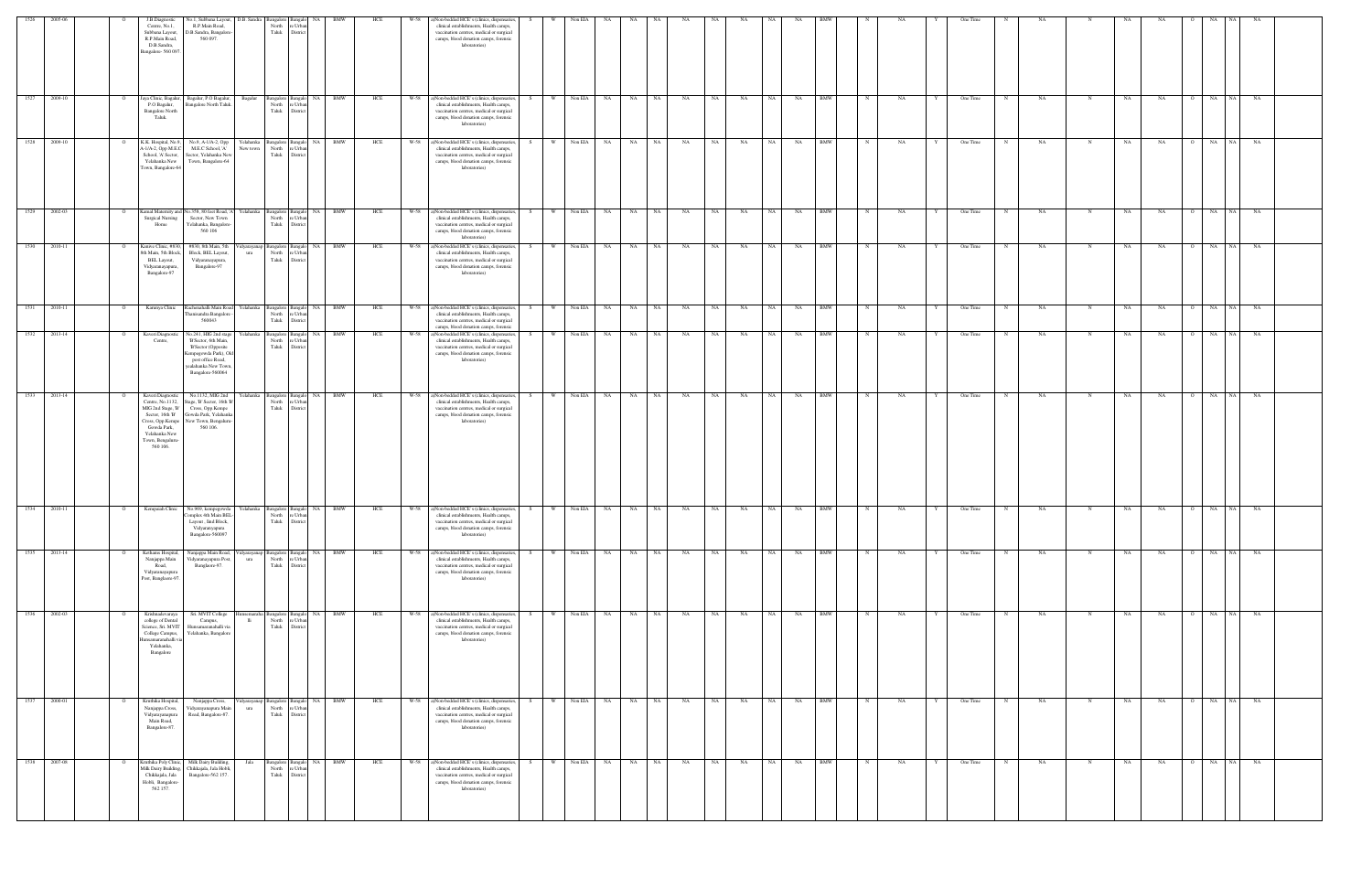| 1526              |                                | J.B.Diagnostic<br>Centre, No.1,<br>Subbana Layout,<br>R.P.Main Road,<br>D.B.Sandra,<br>Bangalore-560 097                                                           | No.1, Subbana Layout,<br>R.P.Main Road,<br>D.B.Sandra, Bangalor<br>560 097.                                                                                   | D.B. Sandra           | <b>Bangalore</b><br>North<br>Taluk | e Urba<br>District                           |                                       | HCE | W-58 | a)Non-bedded HCE's (clinics, dispensaries,<br>clinical establishments, Health camps,<br>vaccination centres, medical or surgical<br>camps, blood donation camps, forensic<br>laboratories)        |          | Non EL       |           |            |           |      |           |      |           |            |              |           |   | One Time                |           |              |           |                      |                 |       |  |
|-------------------|--------------------------------|--------------------------------------------------------------------------------------------------------------------------------------------------------------------|---------------------------------------------------------------------------------------------------------------------------------------------------------------|-----------------------|------------------------------------|----------------------------------------------|---------------------------------------|-----|------|---------------------------------------------------------------------------------------------------------------------------------------------------------------------------------------------------|----------|--------------|-----------|------------|-----------|------|-----------|------|-----------|------------|--------------|-----------|---|-------------------------|-----------|--------------|-----------|----------------------|-----------------|-------|--|
|                   | 2009-10<br>$\mathbf{o}$        | Jaya Clinic, Bagalur,<br>P.O Bagalur,<br><b>Bangalore North</b><br>Taluk.                                                                                          | Bagalur, P.O Bagalur,<br>Bangalore North Taluk.                                                                                                               | Bagalur               | North<br>Taluk                     | re Urba<br>District                          | Bangalore Bangalo NA BMW              | HCE |      | W-58 a)Non-bedded HCE's (clinics, dispensaries,<br>clinical establishments, Health camps,<br>vaccination centres, medical or surgical<br>camps, blood donation camps, forensic<br>laboratories)   | S<br>W.  | Non EIA      | <b>NA</b> | NA NA      | NA        | NA   | NA        | NA 1 | <b>NA</b> | <b>BMW</b> | N            | NA        |   | One Time<br>N           | NA        | $\mathbb{N}$ | NA        | NA<br>$\circ$        | NA<br><b>NA</b> | NA    |  |
| 1528              | 2009-10<br>$\mathbf{o}$        | K.K. Hospital, No.9.<br>A-1/A-2, Opp M.E.C<br>School, 'A' Sector,<br>Yelahanka New<br>Town, Bangalore-64                                                           | No.9, A-1/A-2, Opp<br>M.E.C School, 'A'<br>Sector, Yelahanka New<br>Town, Bangalore-64                                                                        | Yelahanka<br>New town | North<br>Taluk                     | re Urba<br>District                          | Bangalore Bangalo NA BMW              | HCE | W-58 | a)Non-bedded HCE's (clinics, dispensaries,<br>clinical establishments, Health camps,<br>vaccination centres, medical or surgical<br>camps, blood donation camps, forensic<br>laboratories)        | S<br>W   | Non EIA      | NA 1      | NA NA      | <b>NA</b> | NA   | NA        | NA   | <b>NA</b> | <b>BMW</b> | $\mathbb{N}$ | NA        |   | One Time<br>N           | NA        | N            | NA        | NA<br>$\circ$        | NA  <br>NA      | NA    |  |
|                   | 1529 2002-03<br>$\mathbf{o}$   | <b>Surgical Nursing</b><br>Home                                                                                                                                    | Kamal Maternity and No.358, 80 feet Road, 'A' Yelahanka Bangalore Bangalo NA BMW<br>Sector, New Town<br>Yelahanka, Bangalore-<br>560 106                      |                       | North<br>Taluk                     | re Urba<br>District                          |                                       | HCE |      | W-58 a)Non-bedded HCE's (clinics, dispensaries,<br>clinical establishments, Health camps,<br>vaccination centres, medical or surgical<br>camps, blood donation camps, forensic<br>laboratories)   | S –      | W Non EIA NA |           | NA NA      | NA        | NA N | NA        | NA   | NA BMW    |            | N            | NA        |   | One Time<br>N           | NA        | N            | NA        | NA                   | O NA NA NA      |       |  |
|                   | 1530 2010-11<br>$\overline{O}$ | Kanive Clinic, #830,<br>3th Main, 5th Block,<br><b>BEL Layout,</b><br>Vidyaranayapura,<br>Bangalore-97                                                             | #830, 8th Main, 5th<br>Block, BEL Layout,<br>Vidyaranayapura,<br>Bangalore-97                                                                                 | ura                   | North re Urban<br>Taluk            | District                                     | 'idyarayanap Bangalore Bangalo NA BMW | HCE |      | W-58 a)Non-bedded HCE's (clinics, dispensaries,<br>clinical establishments, Health camps,<br>vaccination centres, medical or surgical<br>camps, blood donation camps, forensic<br>laboratories)   | S<br>W I | Non EIA      | NA 1      | NA NA      | NA        | NA 1 | NA        | NA 1 | NA 1      | <b>BMW</b> | N            | NA        | Y | One Time<br>N           | <b>NA</b> | N            | NA        | NA                   | O NA NA NA      |       |  |
| $\overline{1531}$ | 2010-11<br>$\overline{O}$      | Karunya Clinic                                                                                                                                                     | Rachenahalli Main Road Yelahanka<br>Thanisandra Bangalore<br>560043                                                                                           |                       | North re Urban<br>Taluk            | District                                     | Bangalore Bangalo NA BMW              | HCE |      | W-58 a)Non-bedded HCE's (clinics, dispensaries,<br>clinical establishments, Health camps,<br>vaccination centres, medical or surgical<br>camps, blood donation camps, forensic                    | S<br>W \ | Non EIA      | <b>NA</b> | NA NA      | NA        | NA   | <b>NA</b> | NA 1 | NA        | <b>BMW</b> | N            | NA        | Y | One Time<br>N           | NA        | $\mathbf N$  | <b>NA</b> | NA                   | O NA            | NA NA |  |
|                   | 1532 2013-14<br>$\overline{O}$ | Kaveri Diagnostic<br>Centre.                                                                                                                                       | No.241, HIG 2nd stage<br>'B'Sector, 6th Main,<br>'B'Sector (Opposite<br>Kempegowda Park), Old<br>post office Road,<br>yealahanka New Town<br>Bangalore-560064 | Yelahanka             | North<br>Taluk                     | re Urban<br>District                         | Bangalore Bangalo NA BMW              | HCE |      | W-58 a)Non-bedded HCE's (clinics, dispensaries,<br>clinical establishments, Health camps,<br>vaccination centres, medical or surgical<br>camps, blood donation camps, forensic<br>laboratories)   | S.<br>W. | Non EIA      | NA 1      | NA NA      | NA        | NA 1 | NA        | NA   | NA        | <b>BMW</b> | N            | NA        | Y | One Time<br>N           | NA        | N            | NA        | NA                   | O NA NA NA      |       |  |
|                   | 1533 2013-14<br>$\overline{O}$ | Kaveri Diagnostic<br>Centre, No.1132,<br>MIG 2nd Stage, 'B'<br>Sector, 16th B'<br>Cross, Opp.Kempe<br>Gowda Park,<br>Yelahanka New<br>Town, Bengaluru-<br>560 106. | No.1132, MIG 2nd<br>Stage, B' Sector, 16th B<br>Cross, Opp.Kempe<br>Gowda Park, Yelahanka<br>New Town, Bengaluru-<br>560 106.                                 | Yelahanka             | North re Urban<br>Taluk District   |                                              | Bangalore Bangalo NA BMW              | HCE |      | W-58 a)Non-bedded HCE's (clinics, dispensaries, S<br>clinical establishments, Health camps,<br>vaccination centres, medical or surgical<br>camps, blood donation camps, forensic<br>laboratories) |          | W Non EIA NA |           | NA NA      | NA        | NA N | NA        | NA 1 | NA        | <b>BMW</b> | N            | <b>NA</b> | Y | One Time<br>N           | <b>NA</b> | N            | NA        | NA                   | O NA NA NA      |       |  |
| $\boxed{1534}$    | 2010-11<br>$\overline{O}$      |                                                                                                                                                                    | Kempaiah Clinic No.969, kempegowda Yelahanka Bangalore Bangalo NA BMW<br>Complex 4th Main BEL-<br>Layout, Ind Block,<br>Vidyaranyapura<br>Bangalore-560097    |                       | North re Urban<br>Taluk District   |                                              |                                       | HCE |      | W-58 a)Non-bedded HCE's (clinics, dispensaries,<br>clinical establishments, Health camps,<br>vaccination centres, medical or surgical<br>camps, blood donation camps, forensic<br>laboratories)   | S        | W Non EIA    | NA N      | NA NA      | NA        | NA   | NA        | NA 1 | NA        | BMW        |              | NA        | Y | One Time<br>N           | NA        | $\mathbf N$  | NA        | NA<br>$\overline{O}$ | NA<br>NA 1      | NA    |  |
| 1535              | 2013-14<br>$\overline{O}$      | Kethams Hospital,<br>Nanjappa Main<br>Road,<br>Vidyaranayapura<br>Post, Banglaore-97.                                                                              | Nanjappa Main Road,<br>Vidyaranayapura Post,<br>Banglaore-97.                                                                                                 | 'idyarayanap<br>ura   | North<br>Taluk                     | Bangalore Bangalo NA<br>re Urban<br>District | <b>BMW</b>                            | HCE | W-58 | a)Non-bedded HCE's (clinics, dispensaries,<br>clinical establishments, Health camps,<br>vaccination centres, medical or surgical<br>camps, blood donation camps, forensic<br>laboratories)        | S.<br>W  | Non EIA      | NA        | NA 1<br>NA | NA        | NA   | NA        | NA 1 | NA        | <b>BMW</b> |              | NA        |   | One Time<br>N           | NA        | N            | NA        | NA<br>$\Omega$       | NA<br>NA 1      | NA    |  |
|                   | 1536 2002-03<br>$\overline{O}$ | Krishnadevaraya<br>college of Dental<br>Science, Sri. MVIT<br>College Campus,<br>lunsamaranahalli vi<br>Yelahanka,<br>Bangalore                                    | Sri. MVIT College<br>Campus,<br>Hunsamaranahalli via<br>Yelahanka, Bangalore                                                                                  | Iunsemaraha<br>lli —  | North<br>Taluk District            | re Urban                                     | Bangalore Bangalo NA BMW              | HCE |      | W-58 a)Non-bedded HCE's (clinics, dispensaries,<br>clinical establishments, Health camps,<br>vaccination centres, medical or surgical<br>camps, blood donation camps, forensic<br>laboratories)   | S<br>W   | Non EIA NA   |           | NA NA      | NA        | NA   | NA        | NA 1 | <b>NA</b> | <b>BMW</b> | N            | NA        | Y | One Time<br>$\mathbf N$ | <b>NA</b> | $_{\rm N}$   | NA        | NA                   | O NA NA NA      |       |  |
| $\frac{1537}{ }$  | 2000-01<br>$\overline{O}$      | Kruthika Hospital,<br>Nanjappa Cross,<br>Vidyarayanapura<br>Main Road,<br>Bangalore-87.                                                                            | Nanjappa Cross,<br>Vidyarayanapura Main<br>Road, Bangalore-87.                                                                                                | ura                   | North re Urban<br>Taluk District   |                                              | Vidyarayanap Bangalore Bangalo NA BMW | HCE |      | W-58 a)Non-bedded HCE's (clinics, dispensaries,<br>clinical establishments, Health camps,<br>vaccination centres, medical or surgical<br>camps, blood donation camps, forensic<br>laboratories)   | S<br>W   | Non EIA      | NA        | NA NA      | NA        | NA . | NA        | NA 1 | <b>NA</b> | <b>BMW</b> | $\mathbf N$  | NA        | Y | One Time<br>N           | <b>NA</b> | $_{\rm N}$   | <b>NA</b> | NA<br>$\circ$        | NA NA NA        |       |  |
|                   | 1538 2007-08<br>$\mathbf{o}$   | Kruthika Poly Clinic,<br>Milk Dairy Building,<br>Chikkajala, Jala<br>Hobli, Bangalore-<br>562 157.                                                                 | Milk Dairy Building,<br>Chikkajala, Jala Hobli,<br>Bangalore-562 157.                                                                                         | Jala                  | North<br>Taluk District            | Bangalore Bangalo NA<br>re Urban             | <b>BMW</b>                            | HCE |      | W-58 a)Non-bedded HCE's (clinics, dispensaries,<br>clinical establishments, Health camps,<br>vaccination centres, medical or surgical<br>camps, blood donation camps, forensic<br>laboratories)   | W<br>S.  | Non EIA      | NA        | NA 1<br>NA | NA        | NA   | NA        | NA 1 | NA        | <b>BMW</b> |              | NA        |   | One Time<br>N           | NA        | $_{\rm N}$   | NA        | NA<br>$\Omega$       | NA<br>NA 1      | NA    |  |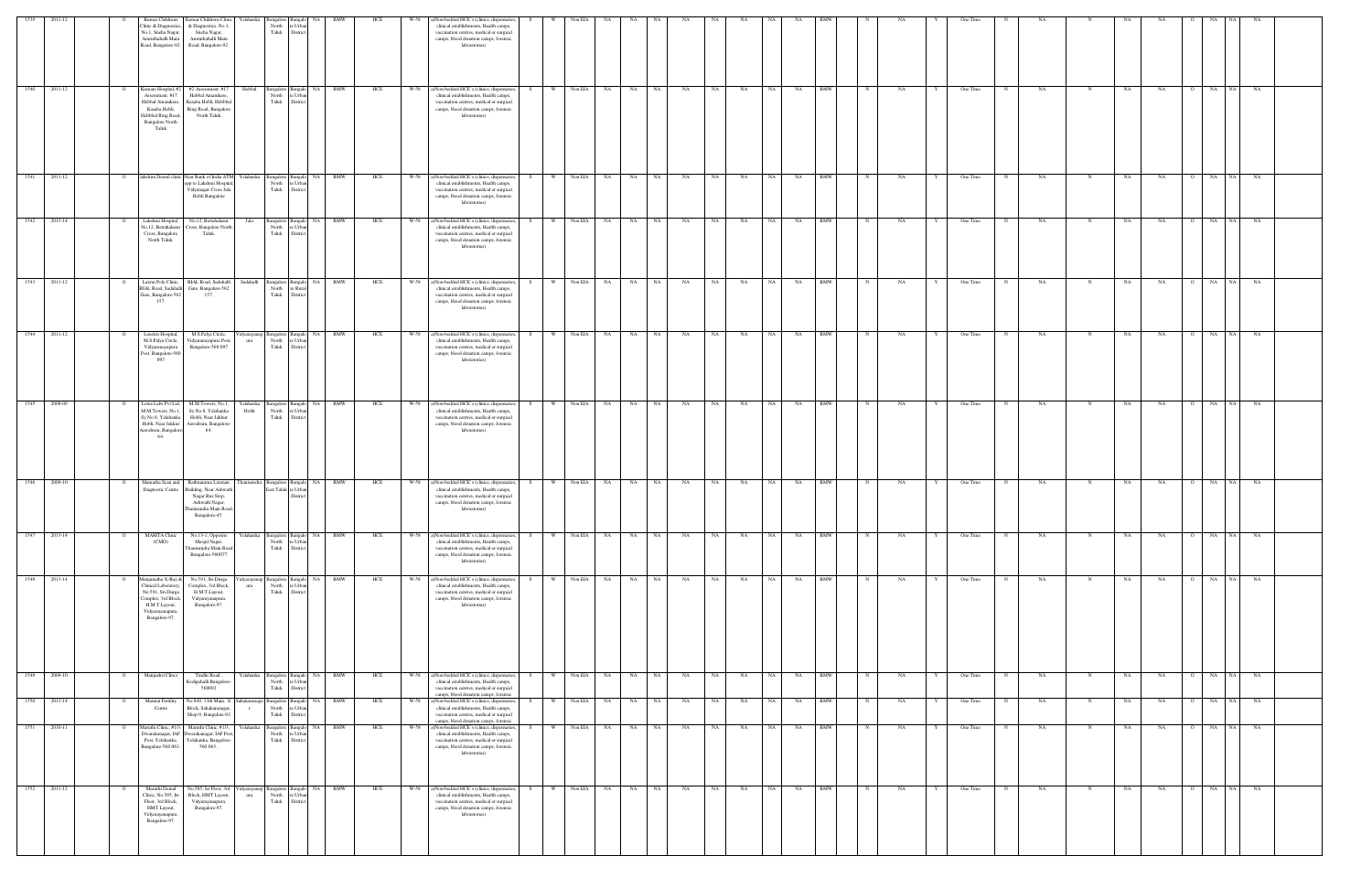|      | 1539 2011-12 |                |                                                                                                                                              |                                                                                                                                | Yelahanka                                                      |                                                       | BMW                | HCE | W-58 |                                                                                                                                                                                                 |     |                     | NA         |                 |           |           |           |                 |                  |                           |           |   |          |   |           |             |    |           |         |               |                        |  |
|------|--------------|----------------|----------------------------------------------------------------------------------------------------------------------------------------------|--------------------------------------------------------------------------------------------------------------------------------|----------------------------------------------------------------|-------------------------------------------------------|--------------------|-----|------|-------------------------------------------------------------------------------------------------------------------------------------------------------------------------------------------------|-----|---------------------|------------|-----------------|-----------|-----------|-----------|-----------------|------------------|---------------------------|-----------|---|----------|---|-----------|-------------|----|-----------|---------|---------------|------------------------|--|
|      |              |                | Kumar Children:<br>linic & Diagnostics,<br>No.1, Sneha Nagar,<br>Amruthahalli Main                                                           | Kumar Childrens Clinic<br>& Diagnostics, No.1.<br>Sneha Nagar,<br>Amruthahalli Main<br>Road, Bangalore-92. Road, Bangalore-92. | North<br>Taluk                                                 | e Urba<br>District                                    |                    |     |      | a)Non-bedded HCE's (clinics, dispensaries,<br>clinical establishments, Health camps,<br>vaccination centres, medical or surgical<br>camps, blood donation camps, forensic<br>laboratories)      |     | Non EIA             |            |                 |           |           | NA        | NA.             |                  |                           |           |   | One Time |   |           |             |    |           |         |               |                        |  |
|      | 1540 2011-12 |                | Assessment, #17<br>Hebbal Amanikere,<br>Kasaba Hobli,<br>Hebbbal Ring Road,<br><b>Bangalore North</b><br>Taluk                               | Kumars Hospital, #2   #2 Assessment, #17<br>Hebbal Amanikere,<br>Kasaba Hobli, Hebbbal<br>Ring Road, Bangalore<br>North Taluk  | Hebbal<br>North                                                | Bangalore Bangalo<br>e Urban<br>Taluk District        | NA BMW             | HCE |      | W-58 a)Non-bedded HCE's (clinics, dispensaries,<br>clinical establishments, Health camps,<br>vaccination centres, medical or surgical<br>camps, blood donation camps, forensic<br>laboratories) |     | W  <br>Non EIA      | NA         | NA<br>NA        | NA        | NA        | NA        | NA 1<br>NA      |                  | <b>BMW</b>                | NA        |   | One Time |   | NA        |             | NA | <b>NA</b> |         | O NA NA       | NA                     |  |
| 1541 | 2011-12      |                |                                                                                                                                              | lakshmi Dental clinic Near Bank of India ATM Yelahanka<br>opp to Lakshmi Hospita<br>Vidyanagar Cross Jala<br>Hobli Bangalore   | North                                                          | Bangalore Bangalo<br>re Urban<br>Taluk District       | NA BMW             | HCE |      | W-58 a)Non-bedded HCE's (clinics, dispensaries,<br>clinical establishments, Health camps,<br>vaccination centres, medical or surgical<br>camps, blood donation camps, forensic<br>laboratories) |     | W I<br>Non EIA      | NA         | NA<br>NA        | NA        | NA        | NA        | NA  <br>NA      |                  | BMW<br>$\mathbb{N}$       | NA        |   | One Time |   | NA        |             | NA | NA        |         | O NA          | NA<br>NA               |  |
|      | 1542 2013-14 |                | Lakshmi Hospital,<br>No.12, Bettahalasur<br>Cross, Bangalore<br>North Taluk.                                                                 | No.12, Bettahalasur<br>Cross, Bangalore North<br>Taluk.                                                                        | Jala                                                           | Bangalore Bangalo<br>North re Urban<br>Taluk District | NA BMW             | HCE |      | W-58 a)Non-bedded HCE's (clinics, dispensaries,<br>clinical establishments, Health camps,<br>vaccination centres, medical or surgical<br>camps, blood donation camps, forensic<br>laboratories) |     | Non EIA<br><b>W</b> | NA         | NA<br>NA        | NA        | NA        | NA        | NA              | NA               | <b>BMW</b><br>$_{\rm N}$  | NA        |   | One Time |   | NA        | N           | NA | NA        |         | O NA          | <b>NA</b><br><b>NA</b> |  |
|      | 1543 2011-12 | $\Omega$       | Gate, Bangalore-562<br>157                                                                                                                   | Laxmi Poly Clinic, BIAL Road, Sadahalli Sadahalli Bangalore Bangalo<br>BIAL Road, Sadahalli Gate, Bangalore-562<br>157.        | North                                                          | re Rural<br>Taluk District                            | NA BMW             | HCE |      | W-58 a)Non-bedded HCE's (clinics, dispensaries,<br>clinical establishments, Health camps,<br>vaccination centres, medical or surgical<br>camps, blood donation camps, forensic<br>laboratories) | S.  | W Non EIA NA NA NA  |            |                 | <b>NA</b> | NA NA     | NA NA     |                 | NA BMW           | N                         | <b>NA</b> | Y | One Time | N | <b>NA</b> | N           | NA | NA        |         | O NA NA       | <b>NA</b>              |  |
|      | 1544 2011-12 |                | London Hospital,<br>Vidyaranayapura<br>Post, Bangalore-560<br>097                                                                            | M.S.Palya Circle,<br>M.S.Palya Circle, Vidyaranayapura Post,<br>Bangalore-560 097                                              | Vidyarayanap Bangalore Bangalo NA BMW<br>North<br>ura<br>Taluk | re Urban<br>District                                  |                    | HCE |      | W-58 a)Non-bedded HCE's (clinics, dispensaries,<br>clinical establishments, Health camps,<br>vaccination centres, medical or surgical<br>camps, blood donation camps, forensic<br>laboratories) |     | <b>W</b>            | Non EIA NA | NA<br>NA .      | <b>NA</b> | <b>NA</b> | <b>NA</b> | NA 1<br>NA      |                  | <b>BMW</b><br>N           | NA        | Y | One Time | N | NA.       | $_{\rm N}$  | NA | NA        |         | O NA          | NA 1<br><b>NA</b>      |  |
|      | 1545 2008-09 |                | M.M.Towers, No.1,<br>Sy.No.8, Yelahanka<br>Hobli, Near Jakkur<br>Aerodrum, Bangalore<br>64.                                                  | Lotus Labs Pvt Ltd, M.M.Towers, No.1,<br>Sy.No.8, Yelahanka<br>Hobli, Near Jakkur<br>Aerodrum, Bangalore<br>64.                | Yelahanka Bangalore Bangalo NA BMW<br>Hobli<br>North<br>Taluk  | e Urban<br>District                                   |                    | HCE | W-58 | a)Non-bedded HCE's (clinics, dispensaries,<br>clinical establishments, Health camps,<br>vaccination centres, medical or surgical<br>camps, blood donation camps, forensic<br>laboratories)      | S – | Non EIA<br>W        | NA N       | NA NA           | NA        | NA        | NA        | NA N            | NA 1             | <b>BMW</b><br>N           | NA        | Y | One Time | N | <b>NA</b> | N           | NA | NA        |         | O NA NA       | NA                     |  |
|      | 1546 2009-10 |                | Mamatha Scan and<br>Diagnostic Centre                                                                                                        | Rathnamma Laxman<br>Building, Near Ashwath<br>Nagar Bus Stop,<br>Ashwath Nagar,<br>Thanisandra Main Road,<br>Bangalore-45.     | hanisandra Bangalore Bangalo                                   | East Taluk re Urban<br>District                       | NA  <br><b>BMW</b> | HCE | W-58 | a)Non-bedded HCE's (clinics, dispensaries,<br>clinical establishments, Health camps,<br>vaccination centres, medical or surgical<br>camps, blood donation camps, forensic<br>laboratories)      |     | Non EIA<br>W        | NA<br>NA   | NA              | NA        | NA        | NA        | NA<br><b>NA</b> |                  | <b>BMW</b>                | NA        |   | One Time |   | NA        |             | NA | NA        |         | O NA          | <b>NA</b><br>NA        |  |
| 1547 | 2013-14      | - 0            | <b>MAMTA Clinic</b><br>(CMD)                                                                                                                 | No.13-1, Opposite<br>Masjid Nagar,<br>hanisandra Main Road<br>Bangalore-560077                                                 | Yelahanka Bangalore<br>North<br>Taluk                          | Bangalo NA<br>e Urba<br>District                      | <b>BMW</b>         | HCE | W-58 | a)Non-bedded HCE's (clinics, dispensaries,<br>clinical establishments, Health camps,<br>vaccination centres, medical or surgical<br>camps, blood donation camps, forensic<br>laboratories)      |     | Non EIA<br>w        | NA         | NA<br>NA        | NA        | NA        | NA        | NA<br>NA        |                  | <b>BMW</b><br>N           | NA        |   | One Time | N | NA        | N           | NA | NA        | $\circ$ | $_{\rm NA}$   | NA<br>NA               |  |
|      | 1548 2013-14 | $\circ$        | lanjunatha X-Ray &<br>Clinical Laboratory,<br>No.591, Sri.Durga<br>Complex, 3rd Block,<br>H.M.T.Layout,<br>Vidyarayanapura,<br>Bangalore-97. | No.591, Sri.Durga<br>Complex, 3rd Block,<br>H.M.T.Layout,<br>Vidyarayanapura,<br>Bangalore-97.                                 | Vidyarayanap Bangalore Bangalo NA BMW<br>North<br>ura<br>Taluk | e Urban<br>District                                   |                    | HCE |      | W-58 a)Non-bedded HCE's (clinics, dispensaries,<br>clinical establishments, Health camps,<br>vaccination centres, medical or surgical<br>camps, blood donation camps, forensic<br>laboratories) | S.  | Non EIA<br><b>W</b> | <b>NA</b>  | NA<br>NA NA     | NA        | NA        | NA        | NA 1            | NA               | <b>BMW</b><br>$\mathbf N$ | NA        | Y | One Time | N | NA        | N           | NA | NA        |         | 0 NA NA       | NA                     |  |
|      | 1549 2009-10 | $\overline{O}$ | Manjushri Clinci                                                                                                                             | Tindlu Road,<br>Kodigehalli Bangalore<br>560092                                                                                | Yelahanka Bangalore Bangalo NA BMW<br>North<br>Taluk           | e Urban<br>District                                   |                    | HCE |      | W-58 a)Non-bedded HCE's (clinics, dispensaries,<br>clinical establishments, Health camps,<br>vaccination centres, medical or surgical<br>camps, blood donation camps, forensic                  | S.  | W Non EIA NA        |            | NA NA           | NA        | NA        | NA        | NA N            | NA<br><b>BMW</b> | $_{\rm N}$                | NA        | Y | One Time | N | <b>NA</b> | N           | NA | <b>NA</b> |         | $O$ $NA$ $NA$ | NA                     |  |
|      | 1550 2013-14 | $\overline{O}$ | Mannat Fertility<br>Centre                                                                                                                   | No.849, 13th Main, 'A' Sahakaranaga Bangalore Bangalo<br>Block, Sahakaranagar,<br>Shop-9, Bangalore-92                         | North<br>$\Gamma$<br>Taluk                                     | re Urban<br>District                                  | <b>BMW</b><br>NA 1 | HCE | W-58 | a)Non-bedded HCE's (clinics, dispensaries,<br>clinical establishments, Health camps,<br>vaccination centres, medical or surgical<br>camps, blood donation camps, forensic                       | S.  | W<br>Non EIA        | <b>NA</b>  | NA<br><b>NA</b> | <b>NA</b> | NA        | NA        | NA 1<br>NA      |                  | <b>BMW</b><br>N           | NA        | Y | One Time | N | NA.       | N           | NA | NA        |         | O NA          | NA 1<br><b>NA</b>      |  |
|      | 1551 2010-11 | $\overline{O}$ | Maruthi Clinic, #1/3,<br>Bangalore-560 063.                                                                                                  | Maruthi Clinic, #1/3,<br>Dwarakanagar, IAF Dwarakanagar, IAF Post,<br>Post, Yelahanka, Yelahanka, Bangalore-<br>560 063.       | Yelahanka Bangalore Bangalo<br>North<br>Taluk                  | re Urban<br>District                                  | NA BMW             | HCE |      | W-58 a)Non-bedded HCE's (clinics, dispensaries,<br>clinical establishments, Health camps,<br>vaccination centres, medical or surgical<br>camps, blood donation camps, forensic<br>laboratories) | S – | W                   | Non EIA NA | NA NA           | NA        | NA N      | NA        | NA              | NA 1             | BMW<br>N                  | NA        | Y | One Time | N | <b>NA</b> | N           | NA | NA        |         | O NA NA       | <b>NA</b>              |  |
|      | 1552 2011-12 |                | Maruthi Dental<br>Clinic, No.585, Ist<br>Floor, 3rd Block,<br>HMT Layout,<br>Vidyarayanapura,<br>Bangalore-97.                               | No.585, Ist Floor, 3rd<br>Block, HMT Layout,<br>Vidyarayanapura,<br>Bangalore-97.                                              | Vidyarayanap Bangalore Bangalo<br>ura                          | North re Urban<br>Taluk District                      | NA BMW             | HCE | W-58 | a)Non-bedded HCE's (clinics, dispensaries,<br>clinical establishments, Health camps,<br>vaccination centres, medical or surgical<br>camps, blood donation camps, forensic<br>laboratories)      |     | W \<br>Non EIA      | NA         | NA NA           | NA        | NA N      | NA        | NA N<br>NA      |                  | BMW<br>N                  | NA        | Y | One Time | N | NA        | $\mathbf N$ | NA | NA        |         | O NA NA       | NA                     |  |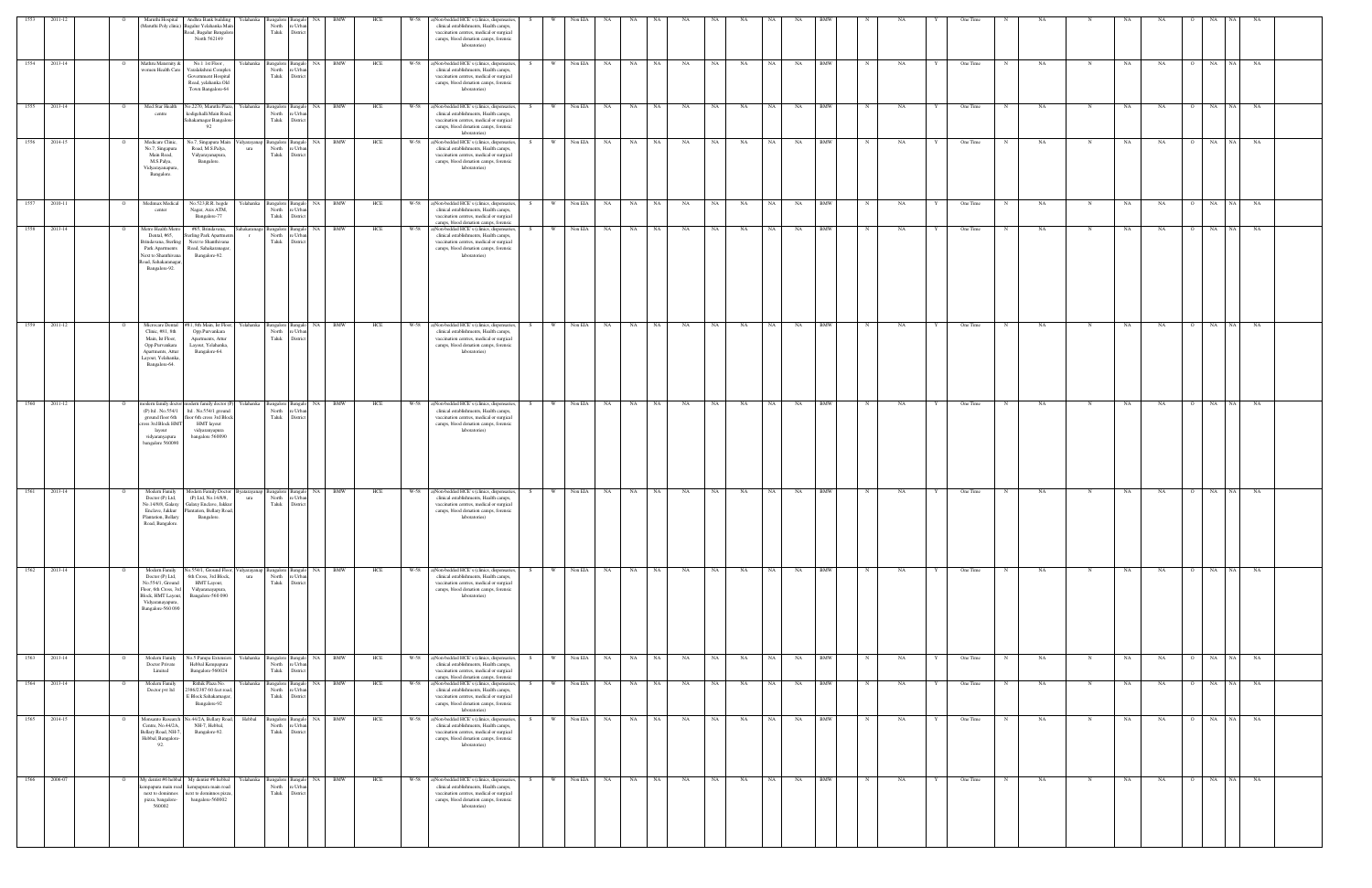| 1553         | 2011-12      |                | Maruthi Hospital                                                                                                                              | Andhra Bank building                                                                                                                                                                               | Yelahanka Bangalore                                  | Bangalo I                             | <b>NA</b> | BMW        | HCE | W-58 | a)Non-bedded HCE's (clinics, dispensaries,                                                                                                                                                      |     |              | Non EIA | NA.                |       |           |    |           |           |           |            |             |    |   | One Time |            |           |             |    |           |             |           |           |
|--------------|--------------|----------------|-----------------------------------------------------------------------------------------------------------------------------------------------|----------------------------------------------------------------------------------------------------------------------------------------------------------------------------------------------------|------------------------------------------------------|---------------------------------------|-----------|------------|-----|------|-------------------------------------------------------------------------------------------------------------------------------------------------------------------------------------------------|-----|--------------|---------|--------------------|-------|-----------|----|-----------|-----------|-----------|------------|-------------|----|---|----------|------------|-----------|-------------|----|-----------|-------------|-----------|-----------|
|              |              |                |                                                                                                                                               | (Maruthi Poly clinic) Bagalur Yelahanka Mair<br>Road, Bagalur Bangalore<br>North 562149                                                                                                            | North<br>Taluk                                       | e Urba<br>District                    |           |            |     |      | clinical establishments, Health camps,<br>vaccination centres, medical or surgical<br>camps, blood donation camps, forensic<br>laboratories)                                                    |     |              |         | NA.                |       |           |    |           |           |           |            |             |    |   |          |            |           |             |    |           |             |           |           |
| 1554 2013-14 |              | $\circ$        | Mathru Maternity &                                                                                                                            | No.1 1st Floor,<br>women Health Care Varalakshmi Complex<br>Government Hospital<br>Road, yelahanka Old<br>Town Bangalore-64                                                                        | Yelahanka Bangalore Bangalo NA BMW<br>North<br>Taluk | e Urba<br>District                    |           |            | HCE |      | W-58 a)Non-bedded HCE's (clinics, dispensaries,<br>clinical establishments, Health camps,<br>vaccination centres, medical or surgical<br>camps, blood donation camps, forensic<br>laboratories) | S   | W 1          | Non EIA | NA                 | NA NA | NA        | NA | NA        | NA N      | NA        | BMW        | N           | NA | Y | One Time | N          | <b>NA</b> | N           | NA | NA        | O NA NA     |           | NA        |
| 1555 2013-14 |              |                | Med Star Health<br>centre                                                                                                                     | No.2270, Maruthi Plaza,<br>kodigehalli Main Road,<br>Sahakarnagar Bangalore<br>92                                                                                                                  | Yelahanka Bangalore<br>North<br>Taluk                | Bangalo<br>e Urba<br>District         | <b>NA</b> | <b>BMW</b> | HCE | W-58 | a)Non-bedded HCE's (clinics, dispensaries,<br>clinical establishments, Health camps,<br>vaccination centres, medical or surgical<br>camps, blood donation camps, forensic<br>laboratories)      |     | <b>W</b>     | Non EIA | NA<br><b>NA</b>    | NA    | NA        | NA | NA        | NA        | NA        | <b>BMW</b> |             | NA |   | One Time |            | NA        | N           | NA | NA        | $_{\rm NA}$ | NA        | NA        |
| 1556 2014-15 |              |                | Medicare Clinic,<br>No.7, Singapura<br>Main Road,<br>M.S.Palya,<br>Vidyarayanapura,<br>Bangalore.                                             | No.7, Singapura Main<br>Road, M.S.Palya,<br>Vidyarayanapura,<br>Bangalore.                                                                                                                         | 'idyarayanap Bangalore Bangalo<br>ura<br>North       | re Urban<br>Taluk District            | NA BMW    |            | HCE |      | W-58 a)Non-bedded HCE's (clinics, dispensaries<br>clinical establishments, Health camps,<br>vaccination centres, medical or surgical<br>camps, blood donation camps, forensic<br>laboratories)  |     | <b>W</b>     | Non EIA | NA<br>NA           | NA    | NA        | NA | NA        | NA        | NA        | <b>BMW</b> | $_{\rm N}$  | NA |   | One Time |            | NA.       |             | NA | NA        | O NA        | <b>NA</b> | NA        |
| 1557 2010-11 |              | $\overline{O}$ | Medimax Medical<br>center                                                                                                                     | No.523, R.R. hegde<br>Nagar, Axis ATM,<br>Bangalore-77                                                                                                                                             | Yelahanka Bangalore Bangalo<br>North<br>Taluk        | e Urban<br>District                   | NA BMW    |            | HCE |      | W-58 a)Non-bedded HCE's (clinics, dispensaries,<br>clinical establishments, Health camps,<br>vaccination centres, medical or surgical<br>camps, blood donation camps, forensic                  | S – |              |         | W Non EIA NA NA NA |       | NA NA     | NA | NA NA     | NA N      | NA BMW    |            | $\mathbf N$ | NA |   | One Time | N          | NA        | $\mathbf N$ | NA | <b>NA</b> | O NA NA     |           | NA        |
| 1558 2013-14 |              |                | Metro Health Metro<br>Dental, #65,<br>Brindavana, Sterling<br>Park Apartments<br>Next to Shanthivana<br>Road, Sahakaranagar,<br>Bangalore-92. | #65, Brindavana,<br>Sterling Park Apartments<br>Next to Shanthivana<br>Road, Sahakaranagar,<br>Bangalore-92.                                                                                       | Sahakaranaga Bangalore Bangalo<br>North<br>$\Gamma$  | re Urban<br>Taluk District            | NA        | <b>BMW</b> | HCE | W-58 | a)Non-bedded HCE's (clinics, dispensaries,<br>clinical establishments, Health camps,<br>vaccination centres, medical or surgical<br>camps, blood donation camps, forensic<br>laboratories)      |     | W            | Non EIA | NA<br><b>NA</b>    | NA    | <b>NA</b> | NA | NA        | <b>NA</b> | NA        | <b>BMW</b> |             | NA |   | One Time | $_{\rm N}$ | NA.       | N           | NA | NA        | O NA        | NA        | <b>NA</b> |
|              | 1559 2011-12 |                | Microcare Dental<br>Clinic, #81, 8th<br>Main, Ist Floor,<br>Opp.Purvankara<br>Apartments, Attur<br>Layout, Yelahanka,<br>Bangalore-64.        | #81, 8th Main, Ist Floor,<br>Opp.Purvankara<br>Apartments, Attur<br>Layout, Yelahanka,<br>Bangalore-64.                                                                                            | Yelahanka Bangalore Bangalo NA BMW<br>North<br>Taluk | Urban<br>District                     |           |            | HCE | W-58 | a)Non-bedded HCE's (clinics, dispensaries,<br>clinical establishments, Health camps,<br>vaccination centres, medical or surgical<br>camps, blood donation camps, forensic<br>laboratories)      | S – | W 1          | Non EIA | NA N               | NA NA | NA        | NA | NA        | NA N      | NA        | BMW        | N           | NA | Y | One Time | N          | <b>NA</b> | N           | NA | NA        | O NA NA     |           | NA        |
| 1560 2011-12 |              |                | cross 3rd Block HMT<br>layout<br>vidyaranyapura<br>bangalore 560090                                                                           | modern family doctor modern family doctor (P)<br>(P) ltd . No.554/1 ltd . No.554/1 ground<br>ground floor 6th floor 6th cross 3rd Block<br><b>HMT</b> layout<br>vidyaranyapura<br>bangalore 560090 | Yelahanka Bangalore Bangalo<br>North                 | re Urban<br>Taluk District            | NA 1      | <b>BMW</b> | HCE |      | W-58 a)Non-bedded HCE's (clinics, dispensaries,<br>clinical establishments, Health camps,<br>vaccination centres, medical or surgical<br>camps, blood donation camps, forensic<br>laboratories) |     | W            | Non EIA | NA<br>NA           | NA    | NA        | NA | NA        | <b>NA</b> | NA        | <b>BMW</b> |             | NA |   | One Time |            | NA.       | N           | NA | NA        | O NA        | <b>NA</b> | NA        |
| 1561 2013-14 |              |                | Modern Family<br>Doctor (P) Ltd,<br>Plantation, Bellary<br>Road, Bangalore.                                                                   | Modern Family Doctor Byatarayanap Bangalore Bangalo<br>(P) Ltd, No.14/8/8,<br>No.14/8/8, Galaxy Galaxy Enclave, Jakkur<br>Enclave, Jakkur Plantation, Bellary Road,<br>Bangalore                   | North<br>ura                                         | re Urban<br>Taluk District            | NA BMW    |            | HCE |      | W-58 a)Non-bedded HCE's (clinics, dispensaries,<br>clinical establishments, Health camps,<br>vaccination centres, medical or surgical<br>camps, blood donation camps, forensic                  |     | <b>W</b>     | Non EIA | NA<br>NA           | NA    | NA        | NA | NA        | <b>NA</b> | NA        | <b>BMW</b> |             | NA |   | One Time |            | NA.       |             | NA | NA        | O NA        | <b>NA</b> | NA        |
|              | 1562 2013-14 |                | Modern Family<br>Doctor (P) Ltd,<br>No.554/1, Ground<br>Floor, 6th Cross, 3rd<br>Block, HMT Layout,<br>Vidyaranayapura,<br>Bangalore-560 090  | No.554/1, Ground Floor, Vidyarayanap Bangalore Bangalo<br>6th Cross, 3rd Block,<br>HMT Layout,<br>Vidyaranayapura,<br>Bangalore-560 090                                                            | ura<br>North<br>Taluk                                | e Urba<br>District                    | NA BMW    |            | HCE |      | W-58 a)Non-bedded HCE's (clinics, dispensaries,<br>clinical establishments, Health camps,<br>vaccination centres, medical or surgical<br>camps, blood donation camps, forensic<br>laboratories) |     | <b>W</b>     | Non EIA | <b>NA</b><br>NA 1  | NA    | NA        | NA | <b>NA</b> | <b>NA</b> | <b>NA</b> | <b>BMW</b> |             | NA |   | One Time | N          | NA        | N           | NA | NA        | O NA NA     |           | NA        |
|              | 1563 2013-14 |                | Modern Family<br>Doctor Private<br>Limited                                                                                                    | No.5 Pampa Extension<br>Hebbal Kempapura<br>Bangalore-560024                                                                                                                                       | Yelahanka Bangalore Bangalo NA BMW<br>North<br>Taluk | e Urba<br>District                    |           |            | HCE |      | W-58 a)Non-bedded HCE's (clinics, dispensaries,<br>clinical establishments, Health camps,<br>vaccination centres, medical or surgical<br>camps, blood donation camps, forensic                  | S.  | W Non EIA NA |         |                    | NA NA | NA        | NA | NA        | NA 1      | <b>NA</b> | <b>BMW</b> | $\mathbf N$ | NA | Y | One Time | N          | NA        | $\mathbf N$ | NA | NA        | O NA        | NA 1      | <b>NA</b> |
|              | 1564 2013-14 |                | Modern Family<br>Doctor pvt ltd                                                                                                               | Rithik Plaza No.<br>386/2387 60 feet road<br>E Block Sahakamagar,<br>Bangalore-92                                                                                                                  | Yelahanka Bangalore Bangalo<br>North<br>Taluk        | : Urban<br>District                   | NA 1      | <b>BMW</b> | HCE | W-58 | a)Non-bedded HCE's (clinics, dispensaries<br>clinical establishments, Health camps,<br>vaccination centres, medical or surgical<br>camps, blood donation camps, forensic<br>laboratories)       |     | W            | Non EIA | <b>NA</b><br>NA    | NA    | NA        | NA | NA        | <b>NA</b> | NA        | <b>BMW</b> |             | NA |   | One Time | $_{\rm N}$ | NA        | N           | NA | NA        | O NA        | - NA      | <b>NA</b> |
| 1565         | 2014-15      |                | Monsanto Research<br>Centre, No.44/2A,<br>Bellary Road, NH-7,<br>Hebbal, Bangalore<br>92.                                                     | No.44/2A, Bellary Road,<br>NH-7, Hebbal,<br>Bangalore-92.                                                                                                                                          | Hebbal<br>Bangalore<br>North<br>Taluk                | <b>Bangalo</b><br>e Urba<br>District  | NA        | BMW        | HCE | W-58 | a)Non-bedded HCE's (clinics, dispensaries<br>clinical establishments, Health camps,<br>vaccination centres, medical or surgical<br>camps, blood donation camps, forensic<br>laboratories)       |     | W            | Non EIA | NA<br>NA           | NA    | NA        | NA | NA        | NA        | NA        | <b>BMW</b> |             | NA |   | One Time |            | NA        | N           | NA | NA        | NA          | NA        | NA        |
|              | 1566 2006-07 |                | My dentist #6 hebbal<br>next to dominnos<br>pizza, bangalore-<br>560002                                                                       | My dentist #6 hebbal<br>npapura main road kempapura main road<br>next to dominnos pizza,<br>bangalore-560002                                                                                       | Yelahanka l<br>Bangalore<br>North<br>Taluk           | <b>Sangalo</b><br>e Urban<br>District | NA        | <b>BMW</b> | HCE |      | W-58 a)Non-bedded HCE's (clinics, dispensaries<br>clinical establishments, Health camps,<br>vaccination centres, medical or surgical<br>camps, blood donation camps, forensic<br>laboratories)  |     | W            | Non EIA | NA<br>NA           | NA    | NA        | NA | NA        | NA        | NA        | <b>BMW</b> |             | NΑ |   | One Time |            | NA        |             | NA | NA        | NA          | NA.       | NA        |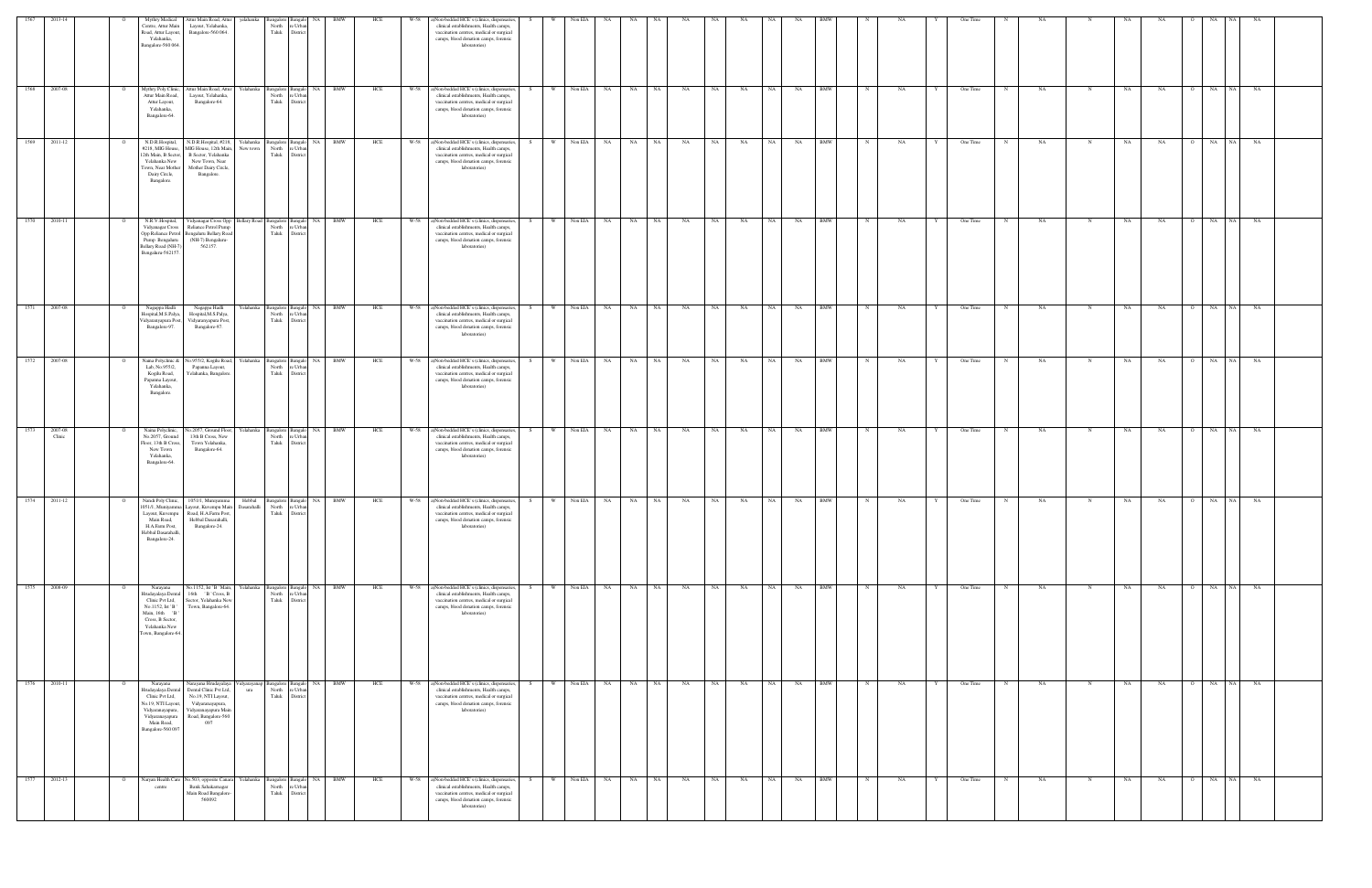| 1567 |                                | Mythry Medical<br>Centre, Attur Main<br>Road, Attur Layout,<br>Yelahanka,<br>Bangalore-560 064.                                                    | Attur Main Road, Attur<br>Layout, Yelahanka,<br>Bangalore-560 064.                                                                                      | yelahanka<br>North<br>Taluk                                | Bangalore Bangalo NA<br>e Urba<br>District          | BMW                      | HCE | W-58 | a)Non-bedded HCE's (clinics, dispensaries,<br>clinical establishments, Health camps,<br>vaccination centres, medical or surgical<br>camps, blood donation camps, forensic<br>laboratories)      |           | Non EIA      | NA |           |          |           |           |      |           |            |            |                    | One Time |             |           |             |    |           |                | NA.        |    |  |
|------|--------------------------------|----------------------------------------------------------------------------------------------------------------------------------------------------|---------------------------------------------------------------------------------------------------------------------------------------------------------|------------------------------------------------------------|-----------------------------------------------------|--------------------------|-----|------|-------------------------------------------------------------------------------------------------------------------------------------------------------------------------------------------------|-----------|--------------|----|-----------|----------|-----------|-----------|------|-----------|------------|------------|--------------------|----------|-------------|-----------|-------------|----|-----------|----------------|------------|----|--|
| 1568 | 2007-08<br>$\mathbf{o}$        | Mythry Poly Clinic,<br>Attur Main Road,<br>Attur Layout,<br>Yelahanka,<br>Bangalore-64.                                                            | Attur Main Road, Attur<br>Layout, Yelahanka,<br>Bangalore-64.                                                                                           | Yelahanka                                                  | North re Urban<br>Taluk District                    | Bangalore Bangalo NA BMW | HCE |      | W-58 a)Non-bedded HCE's (clinics, dispensaries,<br>clinical establishments, Health camps,<br>vaccination centres, medical or surgical<br>camps, blood donation camps, forensic<br>laboratories) | W<br>S    | Non EIA NA   |    | NA N      | NA<br>NA | NA        | <b>NA</b> | NA 1 | <b>NA</b> | <b>BMW</b> | N          | NA.                | One Time |             | NA        | N           | NA | NA        | $\circ$        | NA NA      | NA |  |
| 1569 | 2011-12<br>$\mathbf{o}$        | N.D.R.Hospital,<br>#218, MIG House,<br>12th Main, B Sector<br>Yelahanka New<br>Town, Near Mother<br>Dairy Circle,<br>Bangalore.                    | N.D.R.Hospital, #218,<br>MIG House, 12th Main,<br>B Sector, Yelahanka<br>New Town, Near<br>Mother Dairy Circle,<br>Bangalore.                           | Yelahanka<br>New town<br>North<br>Taluk                    | Bangalore Bangalo NA<br>e Urban<br>District         | <b>BMW</b>               | HCE | W-58 | a)Non-bedded HCE's (clinics, dispensaries,<br>clinical establishments, Health camps,<br>vaccination centres, medical or surgical<br>camps, blood donation camps, forensic<br>laboratories)      | W<br>S.   | Non EIA      | NA | <b>NA</b> | NA       | NA<br>NA  | <b>NA</b> | NA 1 | NA .      | <b>BMW</b> | N          | NA .<br>Y          | One Time | N           | <b>NA</b> | N           | NA | NA        | $\circ$        | NA<br>NA   | NA |  |
| 1570 | 2010-11<br>$\mathbf{o}$        | N.R.V.Hospital,<br>Vidyanagar Cross<br>Pump Bengaluru<br>Bellary Road (NH-7)<br>Bengaluru-562157                                                   | Reliance Petrol Pump<br>Opp Reliance Petrol Bengaluru Bellary Road<br>(NH-7) Bengaluru-<br>562157.                                                      | Vidyanagar Cross Opp Bellary Road Bangalore Bangalo NA BMW | North re Urban<br>Taluk District                    |                          | HCE |      | W-58 a)Non-bedded HCE's (clinics, dispensaries,<br>clinical establishments, Health camps,<br>vaccination centres, medical or surgical<br>camps, blood donation camps, forensic<br>laboratories) | w I<br>S. | Non EIA NA   |    | NA NA     | NA       | NA        | NA        | NA N | NA        | <b>BMW</b> | N          | NA .               | One Time |             | <b>NA</b> | N           | NA | NA        | O NA NA        |            | NA |  |
| 1571 | 2007-08                        | Nagappa Hadli<br>Hospital, M.S.Palya,<br>Vidyaranyapura Post,<br>Bangalore-97.                                                                     | Nagappa Hadli<br>Hospital, M.S.Palya,<br>Vidyaranyapura Post,<br>Bangalore-97.                                                                          | Yelahanka<br>North                                         | re Urban<br>Taluk District                          | Bangalore Bangalo NA BMW | HCE |      | W-58 a)Non-bedded HCE's (clinics, dispensaries,<br>clinical establishments, Health camps,<br>vaccination centres, medical or surgical<br>camps, blood donation camps, forensic<br>laboratories) | W         | Non EIA NA   |    | NA 1      | NA<br>NA | NA        | NA        | NA 1 | NA        | <b>BMW</b> | $_{\rm N}$ | NA.                | One Time |             | NA        | N           | NA | NA        | O NA NA        |            | NA |  |
|      | 1572 2007-08<br>$\overline{O}$ | Naina Polyclinic &<br>Lab, No.955/2,<br>Kogilu Road,<br>Papanna Layout,<br>Yelahanka,<br>Bangalore.                                                | No.955/2, Kogilu Road,<br>Papanna Layout,<br>Yelahanka, Bangalore                                                                                       | Yelahanka<br>North<br>Taluk                                | re Urban<br>District                                | Bangalore Bangalo NA BMW | HCE | W-58 | a)Non-bedded HCE's (clinics, dispensaries,<br>clinical establishments, Health camps,<br>vaccination centres, medical or surgical<br>camps, blood donation camps, forensic<br>laboratories)      | W<br>S.   | Non EIA      | NA | NA N      | NA<br>NA | NA        | NA        | NA 1 | <b>NA</b> | <b>BMW</b> | N          | NA<br>Y            | One Time | N           | NA        | N           | NA | NA        | $\overline{O}$ | NA NA      | NA |  |
| 1573 | 2007-08<br>Clinic              | Naina Polyclinic,<br>No.2057, Ground<br>Floor, 13th B Cross,<br>New Town<br>Yelahanka,<br>Bangalore-64.                                            | lo.2057, Ground Floor,<br>13th B Cross, New<br>Town Yelahanka,<br>Bangalore-64.                                                                         | Yelahanka<br>North<br>Taluk                                | Bangalore Bangalo<br>e Urb<br>District              | NA BMW                   | HCE | W-58 | a)Non-bedded HCE's (clinics, dispensaries,<br>clinical establishments, Health camps,<br>vaccination centres, medical or surgical<br>camps, blood donation camps, forensic<br>laboratories)      |           | Non EIA NA   |    | NA 1      | NA<br>NA | <b>NA</b> | NA        | NA   | NA<br>BMW |            |            | NA                 | One Time |             | NA        |             | NA | NA        |                | NA NA      | NA |  |
|      | 1574 2011-12<br>$\circ$        | Nandi Poly Clinic,<br>Main Road,<br>H.A.Farm Post,<br>Hebbal Dasarahalli,<br>Bangalore-24.                                                         | 1051/1, Muniyamma<br>1051/1, Muniyamma Layout, Kuvempu Main Dasarahalli<br>Layout, Kuvempu Road, H.A.Farm Post,<br>Hebbal Dasarahalli,<br>Bangalore-24. | Hebbal<br>North<br>Taluk                                   | Bangalore Bangalo NA<br>re Urban<br><b>District</b> | <b>BMW</b>               | HCE |      | W-58 a)Non-bedded HCE's (clinics, dispensaries,<br>clinical establishments, Health camps,<br>vaccination centres, medical or surgical<br>camps, blood donation camps, forensic<br>laboratories) | W         | Non EIA      | NA | <b>NA</b> | NA<br>NA | NA        | NA        | NA   | NA        | <b>BMW</b> |            | NA                 | One Time |             | NA        |             | NA | NA        |                | NA NA      | NA |  |
|      | 1575 2008-09<br>$\overline{O}$ | Narayana<br>Hrudayalaya Dental<br>Clinic Pvt Ltd,<br>No.1152, Ist 'B'<br>Main, 16th 'B'<br>Cross, B Sector,<br>Yelahanka New<br>Town, Bangalore-64 | No.1152, Ist ' B ' Main,<br>16th 'B' Cross, B<br>Sector, Yelahanka New<br>Town, Bangalore-64.                                                           | Yelahanka<br>North<br>Taluk                                | re Urban<br>District                                | Bangalore Bangalo NA BMW | HCE |      | W-58 a)Non-bedded HCE's (clinics, dispensaries,<br>clinical establishments, Health camps,<br>vaccination centres, medical or surgical<br>camps, blood donation camps, forensic<br>laboratories) | w I<br>S. | Non EIA NA   |    | NA NA     | NA       | NA        | NA        | NA N | <b>NA</b> | <b>BMW</b> | N          | NA<br>$\mathbf{Y}$ | One Time | $\mathbf N$ | NA        | N           | NA | NA        | O NA NA        |            | NA |  |
| 1576 | 2010-11<br>$\overline{O}$      | Narayana<br>Hrudayalaya Dental<br>Clinic Pvt Ltd,<br>No.19, NTI Layout,<br>Vidyaranayapura,<br>Vidyaranayapura<br>Main Road,<br>Bangalore-560 097  | Narayana Hrudayalaya<br>Dental Clinic Pvt Ltd,<br>No.19, NTI Layout,<br>Vidyaranayapura,<br>Vidyaranayapura Main<br>Road, Bangalore-560<br>097          | Vidyarayanap Bangalore Bangalo NA BMW<br>ura               | North re Urban<br>Taluk District                    |                          | HCE | W-58 | a)Non-bedded HCE's (clinics, dispensaries, S<br>clinical establishments, Health camps,<br>vaccination centres, medical or surgical<br>camps, blood donation camps, forensic<br>laboratories)    |           | W Non EIA NA |    | NA NA     | NA       | NA        | <b>NA</b> | NA 1 | NA 1      | <b>BMW</b> | N          | NA<br>Y            | One Time | N           | NA        | $\mathbf N$ | NA | <b>NA</b> | O NA NA        |            | NA |  |
| 1577 | 2012-13<br>$\circ$             | Naryan Health Care<br>centre                                                                                                                       | No.503, opposite Canara Yelahanka<br>Bank Sahakarnagar<br>Main Road Bangalore<br>560092                                                                 | North<br>Taluk                                             | Bangalore Bangalo<br>e Urban<br>District            | <b>NA</b><br><b>BMW</b>  | HCE | W-58 | a)Non-bedded HCE's (clinics, dispensaries,<br>clinical establishments, Health camps,<br>vaccination centres, medical or surgical<br>camps, blood donation camps, forensic<br>laboratories)      |           | Non EIA NA   |    | NA        | NA<br>NA | NA        | NA        | NA   | NA        | <b>BMW</b> |            | NA                 | One Time |             | NA        |             | NA | NA        |                | NA<br>- NA | NA |  |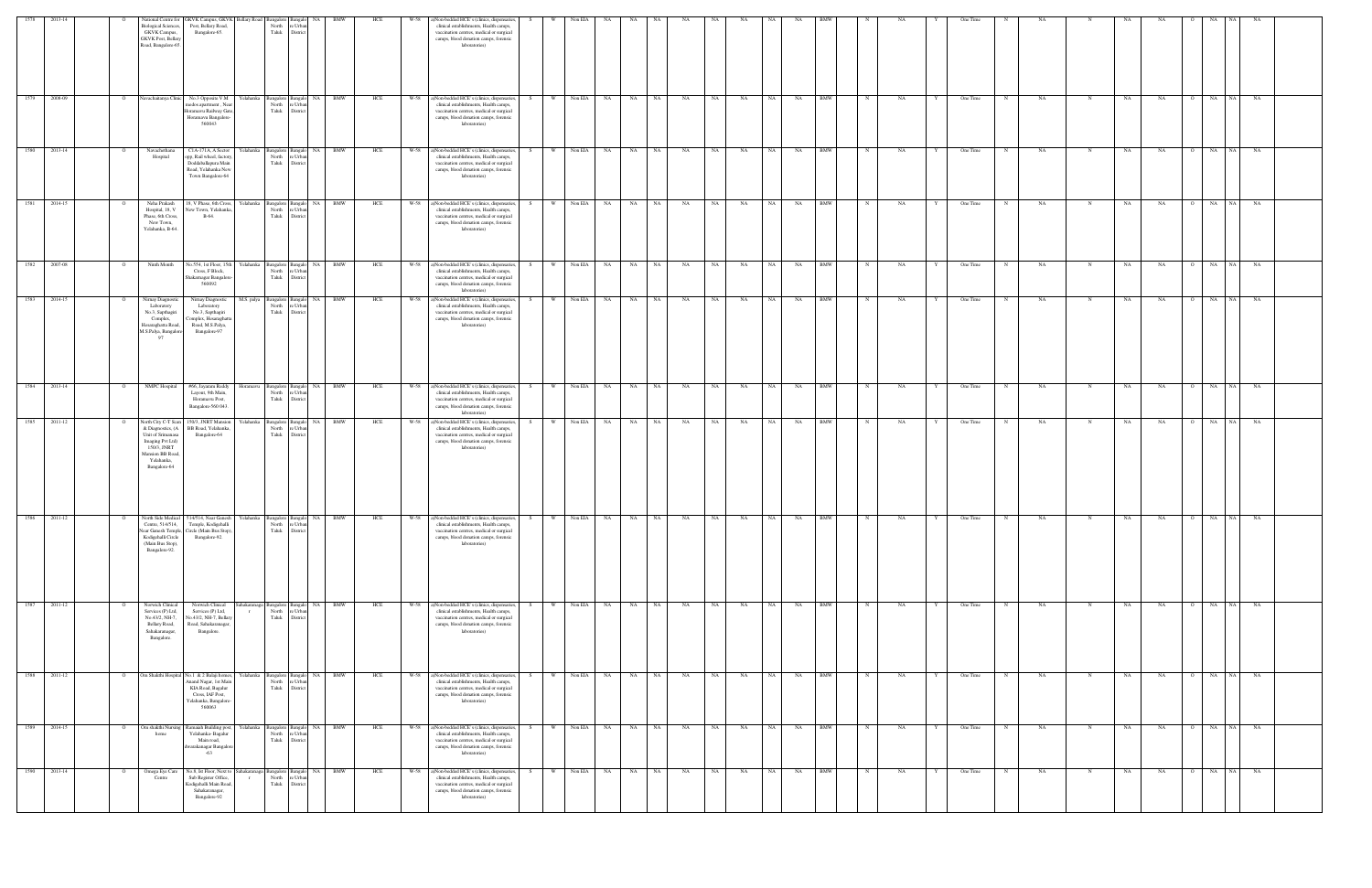| 1578 | 2013-14      |                | <b>Biological Sciences,</b><br><b>GKVK</b> Campus,<br><b>GKVK Post</b> , Bellary<br>Road, Bangalore-65.                                            | National Centre for GKVK Campus, GKVK Bellary Road Bangalore Bangalo NA<br>Post, Bellary Road,<br>Bangalore-65.                                | North<br>Taluk                                   | e Urba<br>Distric                                                   | BMW        | HCE | W-58 | a)Non-bedded HCE's (clinics, dispensaries,<br>clinical establishments, Health camps,<br>vaccination centres, medical or surgical<br>camps, blood donation camps, forensic<br>laboratories)      | S   | <b>W</b> | Non EIA    | NA                    |                 |           |           |                 |           |           |            |              |    |   | One Time  |            |           |              |    |                |                      |            |  |
|------|--------------|----------------|----------------------------------------------------------------------------------------------------------------------------------------------------|------------------------------------------------------------------------------------------------------------------------------------------------|--------------------------------------------------|---------------------------------------------------------------------|------------|-----|------|-------------------------------------------------------------------------------------------------------------------------------------------------------------------------------------------------|-----|----------|------------|-----------------------|-----------------|-----------|-----------|-----------------|-----------|-----------|------------|--------------|----|---|-----------|------------|-----------|--------------|----|----------------|----------------------|------------|--|
| 1579 | 2008-09      | $\circ$        | Navachaitanya Clinic                                                                                                                               | No.3 Opposite V.M<br>Yelahanka<br>nedos apartment, Nea<br>loramavu Railway Gate<br>Horamavu Bangalore<br>560043                                | North<br>Taluk                                   | Bangalore Bangalo NA<br>re Urbar<br>District                        | <b>BMW</b> | HCE | W-58 | a)Non-bedded HCE's (clinics, dispensaries,<br>clinical establishments, Health camps,<br>vaccination centres, medical or surgical<br>camps, blood donation camps, forensic<br>laboratories)      | S   | W        | Non EIA NA |                       | NA<br>NA 1      | NA        | NA -      | NA              | NA N      | NA        | <b>BMW</b> | N            | NA | Y | One Time  | N          | NA        | $\mathbf N$  | NA | NA             | NA<br>$\overline{O}$ | NA 1<br>NA |  |
|      | 1580 2013-14 |                | Navachethana<br>Hospital                                                                                                                           | Yelahanka<br>C1A-171A, A Sector<br>opp, Rail wheel, factory<br>Doddaballapura Main<br>Road, Yelahanka New<br>Town Bangalore-64                 | North<br>Taluk                                   | Bangalore Bangalo NA BMW<br>e Urba<br>District                      |            | HCE | W-58 | a)Non-bedded HCE's (clinics, dispensaries,<br>clinical establishments, Health camps,<br>vaccination centres, medical or surgical<br>camps, blood donation camps, forensic<br>laboratories)      | S   | W        | Non EIA NA |                       | NA NA           | <b>NA</b> | <b>NA</b> | NA              | NA N      | <b>NA</b> | <b>BMW</b> | $\mathbf N$  | NA |   | One Time  | N          | NA.       | N            | NA | NA<br>$\Omega$ |                      | NA NA NA   |  |
| 1581 | 2014-15      |                | Neha Prakash<br>Hospital, 18, V<br>Phase, 6th Cross,<br>New Town,<br>Yelahanka, B-64.                                                              | 18, V Phase, 6th Cross,<br>Yelahanka<br>New Town, Yelahanka<br>B-64.                                                                           | Taluk                                            | NA<br>Bangalore Bangalo<br>North re Urbar<br>District               | <b>BMW</b> | HCE | W-58 | a)Non-bedded HCE's (clinics, dispensaries,<br>clinical establishments, Health camps,<br>vaccination centres, medical or surgical<br>camps, blood donation camps, forensic<br>laboratories)      |     | W        | Non EIA NA |                       | NA<br>NA        | NA        | NA        | NA              | <b>NA</b> | <b>NA</b> | <b>BMW</b> |              | NA |   | One Time  | $_{\rm N}$ | NA        | $\mathbf N$  | NA | NA<br>$\circ$  | NA                   | NA  <br>NA |  |
| 1582 | 2007-08      |                | Ninth Month                                                                                                                                        | Vo.554, 1st Floor, 15th<br>Yelahanka<br>Cross, F Block,<br>hakarnagar Bangalore<br>560092                                                      | North<br>Taluk                                   | <b>NA</b><br>Bangalore Bangalo<br>re Urbar<br>District              | <b>BMW</b> | HCE | W-58 | a)Non-bedded HCE's (clinics, dispensaries,<br>clinical establishments, Health camps,<br>vaccination centres, medical or surgical<br>camps, blood donation camps, forensic<br>laboratories)      |     | <b>W</b> | Non EIA NA |                       | NA<br>NA        | NA        | NA        | <b>NA</b>       | NA        | NA        | <b>BMW</b> | N            | NA |   | One Time  | N          | <b>NA</b> | N            | NA | NA<br>റ        | NA                   | NA 1<br>NA |  |
|      | 1583 2014-15 |                | Virnay Diagnosti<br>Laboratory<br>No.3, Sapthagiri<br>Complex,<br>Hesaraghatta Road,<br>M.S.Palya, Bangalore<br>97                                 | M.S. palya<br>Nirnay Diagnostic<br>Laboratory<br>No.3, Sapthagiri<br>Complex, Hesaraghatta<br>Road, M.S.Palya,<br>Bangalore-97                 | North<br>Taluk                                   | Bangalore Bangalo NA<br>e Urba<br>District                          | BMW        | HCE | W-58 | ()Non-bedded HCE's (clinics, dispensaries,<br>clinical establishments, Health camps,<br>vaccination centres, medical or surgical<br>camps, blood donation camps, forensic<br>laboratories)      | - S | <b>W</b> | Non EIA NA |                       | NA 1<br>NA 1    | <b>NA</b> | NA        | NA              | NA 1      | NA .      | BMW        | N            | NA |   | One Time  | N          | NA .      | N            | NA | NA             | NA<br>$\overline{O}$ | NA  <br>NA |  |
|      | 1584 2013-14 |                | NMPC Hospital                                                                                                                                      | #66, Jayaram Reddy<br>Horamavu<br>Layout, 9th Main,<br>Horamavu Post,<br>Bangalore-560 043.                                                    | North<br>Taluk                                   | Bangalore Bangalo NA<br>e Urba<br>District                          | BMW        | HCE | W-58 | a)Non-bedded HCE's (clinics, dispensaries,<br>clinical establishments, Health camps,<br>vaccination centres, medical or surgical<br>camps, blood donation camps, forensic<br>laboratories)      | - S | <b>W</b> | Non EIA NA |                       | NA<br><b>NA</b> | <b>NA</b> | NA        | NA              | NA 1      | NA 1      | BMW        | $\mathbb{N}$ | NA |   | One Time  | N          | NA        | N            | NA | NA             | NA<br>$\overline{O}$ | NA 1<br>NA |  |
| 1585 | 2011-12      |                | North City C-T Scan<br>& Diagnostics, (A<br>Unit of Srimanasa<br>Imaging Pvt Ltd)<br>150/3, JNRT<br>Mansion BB Road,<br>Yelahanka,<br>Bangalore-64 | 150/3, JNRT Mansion<br>Yelahanka<br>BB Road, Yelahanka,<br>Bangalore-64                                                                        | Taluk                                            | Bangalore Bangalo NA BMW<br>North re Urbar<br>District              |            | HCE | W-58 | a)Non-bedded HCE's (clinics, dispensaries,<br>clinical establishments, Health camps,<br>vaccination centres, medical or surgical<br>camps, blood donation camps, forensic<br>laboratories)      | S.  | W.       | Non EIA NA |                       | NA<br>NA 1      | <b>NA</b> | NA        | NA              | NA 1      | NA        | <b>BMW</b> | $\mathbb{N}$ | NA | Y | One Time  | N          | <b>NA</b> | $\mathbf N$  | NA | NA             | O NA NA              | <b>NA</b>  |  |
| 1286 | 2011-12      |                | orth Side Medical<br>Centre, 514/514,<br>Kodigehalli Circle<br>(Main Bus Stop),<br>Bangalore-92.                                                   | 514/514. Near Ganesh<br>r elahanka<br>Temple, Kodigehalli<br>Near Ganesh Temple, Circle (Main Bus Stop),<br>Bangalore-92.                      | Bangalor<br>Taluk                                | North re Urban<br>District                                          |            | HCE | พ-ว8 | on-bedded HCE's (clinics, dispensaries,<br>clinical establishments, Health camps,<br>vaccination centres, medical or surgical<br>camps, blood donation camps, forensic<br>laboratories)         |     |          | Non EIA    |                       |                 |           |           |                 |           |           |            |              |    |   | One 1 ime |            |           |              |    |                |                      |            |  |
| 1587 | 2011-12      |                | Norwich Clinical<br>Services (P) Ltd,<br>No.43/2, NH-7,<br>Bellary Road,<br>Sahakaranagar,<br>Bangalore.                                           | Norwich Clinical<br>Services (P) Ltd,<br>$\Gamma$<br>Vo.43/2, NH-7, Bellar<br>Road, Sahakaranagar,<br>Bangalore.                               | Sahakaranaga Bangalore Bangalo<br>North<br>Taluk | <b>NA</b><br>e Urban<br>District                                    | BMW        | HCE | W-58 | (i)Non-bedded HCE's (clinics, dispensaries,<br>clinical establishments, Health camps,<br>vaccination centres, medical or surgical<br>camps, blood donation camps, forensic<br>laboratories)     |     |          | Non EIA    | NA                    | NA .<br>NA      | NA        | NA        | NA              | NA        | NA        | BMW        |              | NA |   | One Time  |            | NA        | $\mathbb{N}$ | NA | NA             | NA                   | NA<br>NA.  |  |
|      | 1588 2011-12 | $\overline{O}$ |                                                                                                                                                    | Om Shakthi Hospital No.1 & 2 Balaji homes,<br>Anand Nagar, 1st Main<br>KIA Road, Bagalur<br>Cross, IAF Post,<br>Yelahanka, Bangalore<br>560063 | North<br>Taluk                                   | Yelahanka Bangalore Bangalo NA BMW<br>re Urbar<br>District          |            | HCE |      | W-58 a)Non-bedded HCE's (clinics, dispensaries,<br>clinical establishments, Health camps,<br>vaccination centres, medical or surgical<br>camps, blood donation camps, forensic<br>laboratories) | S   |          |            | W Non EIA NA NA NA NA |                 |           |           | NA NA NA NA BMW |           |           |            | N            | NA | Y | One Time  | N          | NA        | N            | NA | <b>NA</b>      |                      | O NA NA NA |  |
| 1589 | 2014-15      |                | Om shakthi Nursing<br>home                                                                                                                         | Ramaiah Building post,<br>Yelahanka<br>Yelahanka-Bagalur<br>Main road,<br>lwarakanagar Bangalore<br>$-63$                                      |                                                  | Bangalore Bangalo NA BMW<br>North re Urban<br>Taluk District        |            | HCE | W-58 | a)Non-bedded HCE's (clinics, dispensaries,<br>clinical establishments, Health camps,<br>vaccination centres, medical or surgical<br>camps, blood donation camps, forensic<br>laboratories)      |     | <b>W</b> | Non EIA NA |                       | NA<br>NA        | NA        | NA        | NA              | NA        | NA        | <b>BMW</b> | $_{\rm N}$   | NA |   | One Time  | N          | NA.       | N            | NA | NA             | NA<br>$\circ$        | NA  <br>NA |  |
|      | 1590 2013-14 | $\circ$        | Omega Eye Care<br>Centre                                                                                                                           | No.8, Ist Floor, Next to<br>Sub Register Office,<br>$\Gamma$<br>Kodigehalli Main Road,<br>Sahakaranagar,<br>Bangalore-92                       | Taluk                                            | Sahakaranaga Bangalore Bangalo NA BMW<br>North re Urban<br>District |            | HCE | W-58 | a)Non-bedded HCE's (clinics, dispensaries,<br>clinical establishments, Health camps,<br>vaccination centres, medical or surgical<br>camps, blood donation camps, forensic<br>laboratories)      |     | <b>W</b> | Non EIA NA | NA                    | NA .            | NA        | NA        | NA              | NA 1      | NA        | <b>BMW</b> |              | NA |   | One Time  | N          | <b>NA</b> | $\mathbf N$  | NA | NA             | 0 NA NA NA           |            |  |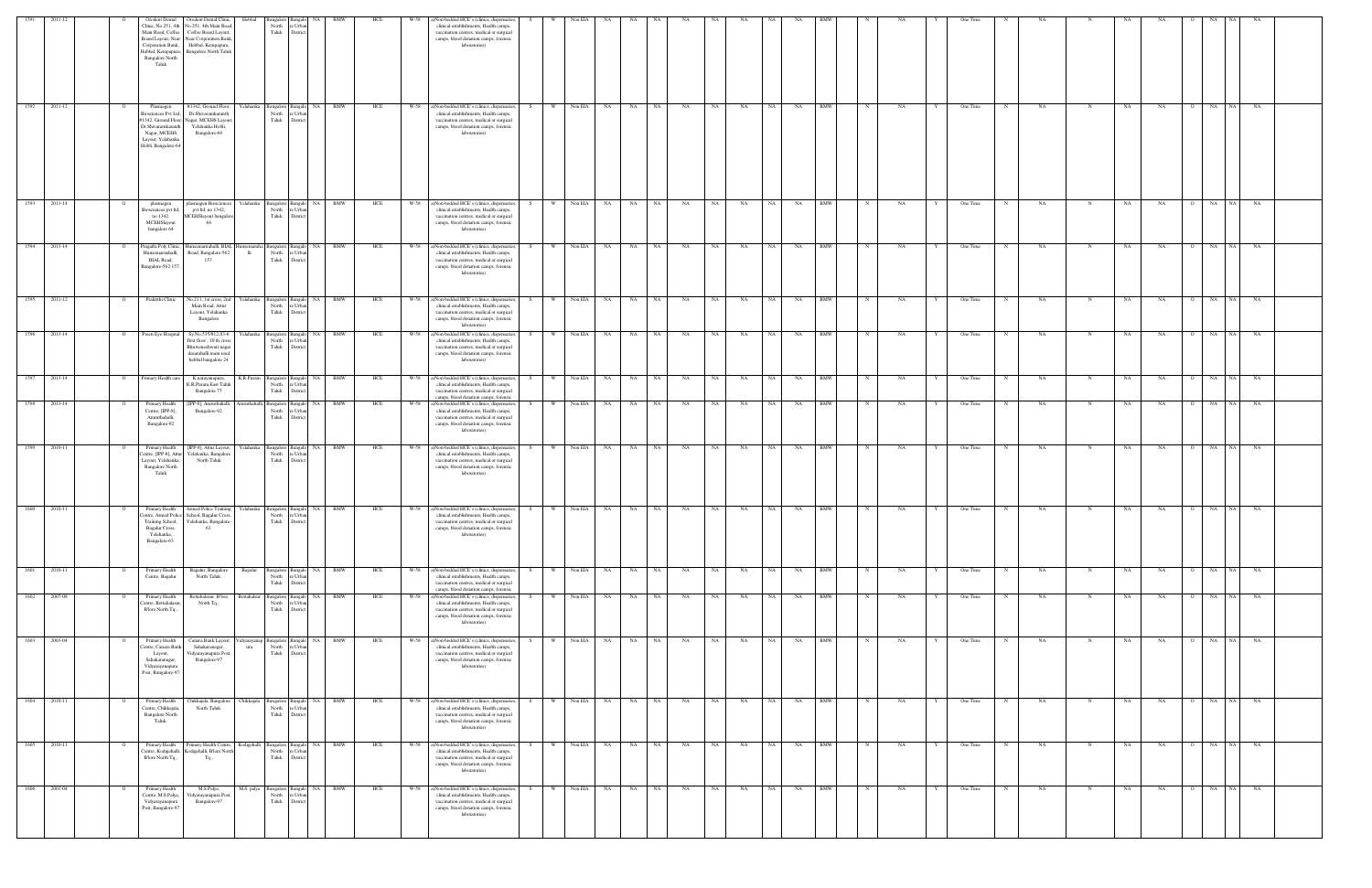| 1591         | 2011-12      | Orodent Dental<br>linic, No.251, 4th<br>Main Road, Coffee<br>Corporation Bank,<br>Hebbal, Kempapura,<br><b>Bangalore North</b><br>Taluk  | Orodent Dental Clinic,<br>lo.251, 4th Main Road<br>Coffee Board Layout,<br>Board Layout, Near Near Corporation Bank<br>Hebbal, Kempapura,<br><b>Bangalore North Taluk</b> | Hebbal    | Bangalore Bangalo<br>North<br>Taluk                                | NA.<br>e Urba<br>District                                   | <b>BMW</b> | HCE | W-58   | ()Non-bedded HCE's (clinics, dispensaries,<br>clinical establishments, Health camps,<br>vaccination centres, medical or surgical<br>camps, blood donation camps, forensic<br>laboratories)      |       |                | Non EIA      |                          |                 |               |      |                 |           |           |            |             |           |   | One Time |   |           |             |           |           |            |           |     |
|--------------|--------------|------------------------------------------------------------------------------------------------------------------------------------------|---------------------------------------------------------------------------------------------------------------------------------------------------------------------------|-----------|--------------------------------------------------------------------|-------------------------------------------------------------|------------|-----|--------|-------------------------------------------------------------------------------------------------------------------------------------------------------------------------------------------------|-------|----------------|--------------|--------------------------|-----------------|---------------|------|-----------------|-----------|-----------|------------|-------------|-----------|---|----------|---|-----------|-------------|-----------|-----------|------------|-----------|-----|
| 1592         | 2011-12      | Plasmagen<br>iosciences Pvt Ltd,<br>342, Ground Floor,<br>Dr.Shivaramkaranth<br>Nagar, MCEHS<br>Layout, Yelahanka<br>Hobli, Bangalore-64 | #1342, Ground Floor,<br>Dr.Shivaramkaranth<br>Vagar, MCEHS Layout<br>Yelahanka Hobli,<br>Bangalore-64                                                                     | Yelahanka | Bangalore Bangalo<br>North<br>Taluk                                | NA<br>e Urba<br>District                                    | BMW        | HCE | W-58   | ()Non-bedded HCE's (clinics, dispensaries,<br>clinical establishments, Health camps,<br>vaccination centres, medical or surgical<br>camps, blood donation camps, forensic<br>laboratories)      |       | - W            | Non EIA      | NA                       | NA<br>NA        | NA            | NA   | NA              | <b>NA</b> | NA        | BMW        |             | NA        |   | One Time |   | NA        |             | NA        | NA        | NA         | NA        | NA  |
|              | 1593 2013-14 | plasmagen<br>Biosciences pvt ltd,<br>no 1342,<br>MCEHSlayout<br>bangalore 64                                                             | plasmagen Biosciences<br>pvt ltd, no 1342,<br>MCEHSlayout bangalor<br>64                                                                                                  | Yelahanka | Bangalore Bangalo<br>North<br>Taluk District                       | re Urba                                                     | NA BMW     | HCE |        | W-58 a)Non-bedded HCE's (clinics, dispensaries,<br>clinical establishments, Health camps,<br>vaccination centres, medical or surgical<br>camps, blood donation camps, forensic<br>laboratories) | S –   | w I            | Non EIA NA   |                          | NA NA           | NA            | NA 1 | NA              | NA        | NA BMW    |            | $\mathbf N$ | NA        |   | One Time | N | <b>NA</b> | $\mathbf N$ | NA        | NA        | O NA NA    | <b>NA</b> |     |
|              | 1594 2013-14 | Pragathi Poly Clinic,<br>Hunsemarnahalli,<br><b>BIAL Road,</b><br>Bangalore-562 157.                                                     | Hunsemamahalli, BIAL<br>Road, Bangalore-562<br>157.                                                                                                                       | lli       | North re Urbar<br>Taluk                                            | Insemaraha Bangalore Bangalo NA BMW<br>District             |            | HCE |        | W-58 a)Non-bedded HCE's (clinics, dispensaries,<br>clinical establishments, Health camps,<br>vaccination centres, medical or surgical<br>camps, blood donation camps, forensic<br>laboratories) | -S -  | w l            | Non EIA NA   |                          | NA NA           | NA            | NA N | NA              | NA N      | NA BMW    |            | $\mathbb N$ | NA .      |   | One Time | N | <b>NA</b> | N           | NA        | <b>NA</b> | O NA NA    | <b>NA</b> |     |
|              | 1595 2011-12 | Prakrithi Clinic                                                                                                                         | No.211, 1st cross, 2nd<br>Main Road, Attur<br>Layout, Yelahanka<br>Bangalore                                                                                              | Yelahanka | Bangalore Bangalo<br>North re Urban<br>Taluk District              |                                                             | NA BMW     | HCE | W-58   | a)Non-bedded HCE's (clinics, dispensaries,<br>clinical establishments, Health camps,<br>vaccination centres, medical or surgical<br>camps, blood donation camps, forensic<br>laboratories)      | - S - | - W - I        | Non EIA NA   |                          | NA  <br>NA 1    | NA            | NA   | NA              | NA I      | NA        | <b>BMW</b> | N           | NA        |   | One Time | N | <b>NA</b> | N           | NA        | <b>NA</b> | O NA       | - NA      | NA  |
|              | 1596 2013-14 | Preeti Eye Hospital                                                                                                                      | Sy.No.535/812,03-6<br>First floor, 10 th cross<br>Bhuwaneshwari nagar<br>dasarahalli main road<br>hebbal bangalore $24\,$                                                 | Yelahanka | Bangalore Bangalo<br>North<br>Taluk District                       | re Urba                                                     | NA BMW     | HCE | W-58   | a)Non-bedded HCE's (clinics, dispensaries,<br>clinical establishments, Health camps,<br>vaccination centres, medical or surgical<br>camps, blood donation camps, forensic<br>laboratories)      |       | <b>W</b>       | Non EIA NA   |                          | NA<br><b>NA</b> | NA            | NA   | NA              | NA        | NA        | <b>BMW</b> |             | NA        |   | One Time |   | <b>NA</b> | N           | NA        | NA        | O NA       | <b>NA</b> | NA. |
|              | 1597 2013-14 | Primary Health care                                                                                                                      | K.narayanapura,<br>K.R.Puram East Taluk<br>Bangalore 77                                                                                                                   | K.R.Puram | Bangalore Bangalo<br>North<br>Taluk                                | NA 1<br>re Urba<br>District                                 | <b>BMW</b> | HCE | W-58   | a)Non-bedded HCE's (clinics, dispensaries,<br>clinical establishments, Health camps,<br>vaccination centres, medical or surgical<br>camps, blood donation camps, forensic                       |       | <b>W</b>       | Non EIA NA   |                          | NA 1<br>NA      | $\mathbf{NA}$ | NA   | <b>NA</b>       | NA        | NA        | <b>BMW</b> |             | NA        |   | One Time | N | NA        | N           | NA        | <b>NA</b> | O NA       | NA        | NA  |
| 1598         | 2013-14      | Primary Health<br>Centre, [IPP-8],<br>Amruthahalli,<br>Bangalore-92                                                                      | [IPP-8], Amruthahalli<br>Bangalore-92                                                                                                                                     |           | mruthahalli Bangalore Bangalo<br>North re Urbar<br>Taluk District  | NA                                                          | <b>BMW</b> | HCE | W-58   | ()Non-bedded HCE's (clinics, dispensaries,<br>clinical establishments, Health camps,<br>vaccination centres, medical or surgical<br>camps, blood donation camps, forensic<br>laboratories)      |       | W              | Non EIA      | <b>NA</b><br>NA          | NA              | NA            | NA   | NA              | <b>NA</b> | NA        | <b>BMW</b> |             | <b>NA</b> |   | One Time |   | <b>NA</b> |             | NA        | <b>NA</b> | NA         | NA        | NA  |
|              | 1599 2010-11 | Primary Health<br>Layout, Yelahanka,<br><b>Bangalore North</b><br>Taluk                                                                  | [IPP-8], Attur Layout,<br>Centre, [IPP-8], Attur Yelahanka, Bangalore<br>North Taluk                                                                                      | Yelahanka | Bangalore Bangalo<br>North re Urbar<br>Taluk District              |                                                             | NA BMW     | HCE | W-58   | a)Non-bedded HCE's (clinics, dispensaries,<br>clinical establishments, Health camps,<br>vaccination centres, medical or surgical<br>camps, blood donation camps, forensic<br>laboratories)      |       | W <sub>1</sub> | Non EIA NA   |                          | NA<br>NA 1      | NA            | NA   | NA              | NA 1      | NA        | <b>BMW</b> |             | NA        |   | One Time |   | NA        |             | NA        | NA        | O NA       | NA N      | NA  |
| 1600         | 2010-11      | Training School,<br>Bagalur Cross,<br>Yelahanka,<br>Bangalore-63.                                                                        | Primary Health Armed Police Training Yelahanka Bangalore Bangalo NA BMW<br>entre, Armed Police School, Bagalur Cross,<br>Yelahanka, Bangalore-<br>63.                     |           | North re Urba<br>Taluk District                                    |                                                             |            | HCE |        | W-58 a)Non-bedded HCE's (clinics, dispensaries,<br>clinical establishments. Health camps.<br>vaccination centres, medical or surgical<br>camps, blood donation camps, forensic<br>laboratories) | S     | W              | Non EIA NA   |                          | NA  <br>NA 1    | <b>NA</b>     | NA   | NA              | NA        | NA        | <b>BMW</b> |             | NA        |   | One Time |   | NA        | $\mathbf N$ | NA        | NA        | O NA       | NA        | NA  |
|              | 1601 2010-11 | Primary Health<br>Centre, Bagalur                                                                                                        | Bagalur, Bangalore<br>North Taluk.                                                                                                                                        | Bagalur   | North<br>Taluk                                                     | Bangalore Bangalo NA BMW<br>re Urba<br>District             |            | HCE | $W-58$ | a)Non-bedded HCE's (clinics, dispensaries,<br>clinical establishments, Health camps,<br>vaccination centres, medical or surgical<br>camps, blood donation camps, forensic                       | S.    | W              | Non EIA NA   |                          | NA .<br>NA 1    | <b>NA</b>     | NA   | NA              | NA N      | NA        | <b>BMW</b> |             | NA        |   | One Time | N | NA        | N           | NA        | NA        | O NA NA    | NA        |     |
|              | 1602 2007-08 | Primary Health<br>Centre, Bettahalasur.<br>B'lore North Tq.,                                                                             | Bettahalasur, B'lore<br>North Tq.,                                                                                                                                        |           | Bettahalsur Bangalore Bangalo<br>North<br>Taluk District           | re Urba                                                     | NA BMW     | HCE | W-58   | a)Non-bedded HCE's (clinics, dispensaries,<br>clinical establishments, Health camps,<br>vaccination centres, medical or surgical<br>camps, blood donation camps, forensic<br>laboratories)      | S.    | <b>W</b>       | Non EIA NA   |                          | NA 1<br>NA 1    | NA            | NA 1 | NA              | NA N      | NA        | <b>BMW</b> | N           | NA        |   | One Time | N | NA        | N           | NA        | NA        | O NA NA    | NA        |     |
|              | 1603 2003-04 | Primary Health<br>entre, Canara Bank<br>Layout,<br>Sahakaranagar,<br>Vidyarayanapura<br>Post, Bangalore-97                               | Canara Bank Layout,<br>Sahakaranagar,<br>Vidyarayanapura Post,<br>Bangalore-97                                                                                            | ura       | 'idyarayanap Bangalore Bangalo<br>North re Urban<br>Taluk District |                                                             | NA BMW     | HCE |        | W-58 a)Non-bedded HCE's (clinics, dispensaries,<br>clinical establishments, Health camps,<br>vaccination centres, medical or surgical<br>camps, blood donation camps, forensic<br>laboratories) | S.    |                |              | W Non EIA NA NA NA NA    |                 |               |      | NA NA           |           | NA NA BMW |            | N           | NA        | Y | One Time | N | <b>NA</b> | N           | <b>NA</b> | <b>NA</b> | O NA NA    | NA        |     |
| 1604 2010-11 |              | Primary Health<br>Centre, Chikkajala,<br><b>Bangalore North</b><br>Taluk.                                                                | Chikkajala, Bangalore Chikkajala Bangalore Bangalo NA BMW<br>North Taluk.                                                                                                 |           | North<br>Taluk                                                     | re Urba<br>District                                         |            | HCE |        | W-58 a)Non-bedded HCE's (clinics, dispensaries,<br>clinical establishments, Health camps,<br>vaccination centres, medical or surgical<br>camps, blood donation camps, forensic<br>laboratories) | S     |                |              | W Non EIA NA NA NA NA    |                 |               |      | NA NA NA NA BMW |           |           |            | N           | NA        | Y | One Time | N | <b>NA</b> | $\mathbf N$ | <b>NA</b> | <b>NA</b> | O NA NA NA |           |     |
|              | 1605 2010-11 | Primary Health<br>'entre, Kodigehalli,<br>Blore North Tq.,                                                                               | Primary Health Centre,<br>odigehalli, B'lore Nort<br>Tq.,                                                                                                                 |           | North<br>Taluk                                                     | Kodigehalli Bangalore Bangalo NA BMW<br>re Urba<br>District |            | HCE | W-58   | a)Non-bedded HCE's (clinics, dispensaries,<br>clinical establishments, Health camps,<br>vaccination centres, medical or surgical<br>camps, blood donation camps, forensic<br>laboratories)      |       |                | W Non EIA NA |                          | NA NA           | <b>NA</b>     | NA 1 | NA              | NA 1      | NA BMW    |            |             | NA        |   | One Time | N | <b>NA</b> | N           | <b>NA</b> | <b>NA</b> | O NA NA    | <b>NA</b> |     |
|              | 1606 2003-04 | Primary Health<br>Centre, M.S.Palya,<br>Vidyarayanapura<br>Post, Bangalore-97                                                            | M.S.Palya,<br>Vidyarayanapura Post<br>Bangalore-97                                                                                                                        |           | North<br>Taluk District                                            | M.S. palya Bangalore Bangalo NA BMW<br>re Urba              |            | HCE |        | W-58 a)Non-bedded HCE's (clinics, dispensaries,<br>clinical establishments, Health camps,<br>vaccination centres, medical or surgical<br>camps, blood donation camps, forensic<br>laboratories) | S.    |                |              | W Non EIA NA NA NA NA NA |                 |               |      | NA NA           |           | NA NA BMW |            | N           | NA        | Y | One Time | N | <b>NA</b> | N           | <b>NA</b> | <b>NA</b> | O NA NA    | <b>NA</b> |     |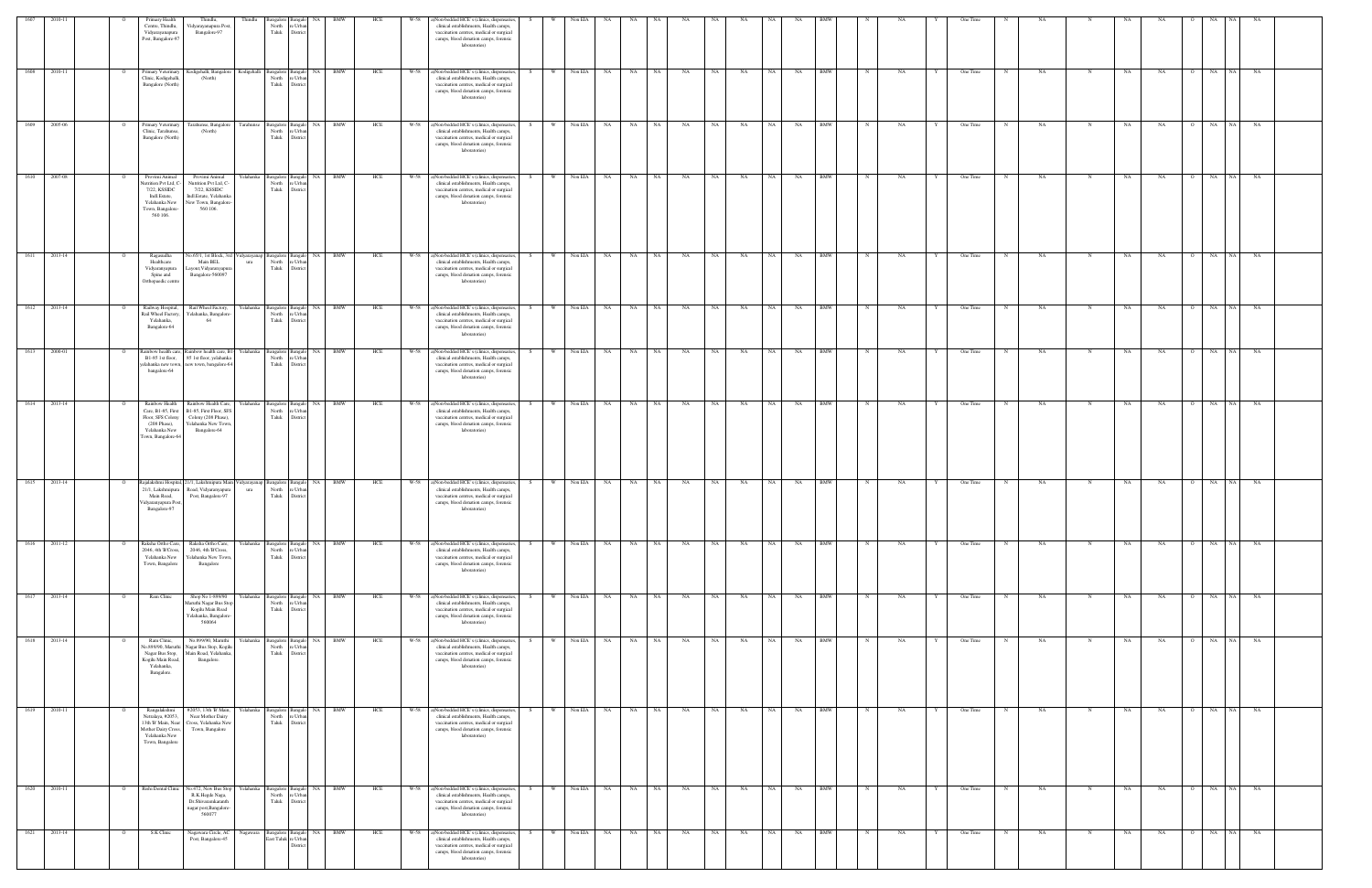| 1607 | 2010-11 |                | Primary Health<br>Centre, Thindlu,<br>Vidyarayanapura<br>Post, Bangalore-97                                             | Thindlu,<br>Vidyarayanapura Pos<br>Bangalore-97                                                                                  | Thindlu           | angalore<br>North<br>e Urb<br>Taluk<br>Distric              |                 | BMW        | HCE<br>W-58 | a)Non-bedded HCE's (clinics, dispensaries,<br>clinical establishments, Health camps,<br>vaccination centres, medical or surgical<br>camps, blood donation camps, forensic<br>laboratories)      | -S        | Non EIA   | <b>NA</b> | NA    |      | NA        | NA   | NA    |      | NA        |            |              | NΑ |   | One Time |             | NA        |             |             |           |                | NA                     |           |  |
|------|---------|----------------|-------------------------------------------------------------------------------------------------------------------------|----------------------------------------------------------------------------------------------------------------------------------|-------------------|-------------------------------------------------------------|-----------------|------------|-------------|-------------------------------------------------------------------------------------------------------------------------------------------------------------------------------------------------|-----------|-----------|-----------|-------|------|-----------|------|-------|------|-----------|------------|--------------|----|---|----------|-------------|-----------|-------------|-------------|-----------|----------------|------------------------|-----------|--|
| 1608 | 2010-11 |                | Primary Veterinary<br>Clinic, Kodigehalli,<br>Bangalore (North)                                                         | Kodigehalli, Bangalore Kodigehalli<br>(North)                                                                                    |                   | Bangalore Bangalo<br>North<br>e Urba<br>Taluk<br>District   |                 | NA BMW     | HCE         | W-58 a)Non-bedded HCE's (clinics, dispensaries<br>clinical establishments, Health camps,<br>vaccination centres, medical or surgical<br>camps, blood donation camps, forensic<br>laboratories)  | W         | Non EIA   | NA        | NA    | NA 1 | NA        | NA 1 | NA    | NA   | NA        | <b>BMW</b> | N            | NA |   | One Time | $\mathbf N$ | NA        | N           | NA          | <b>NA</b> | $\overline{O}$ | NA NA                  | NA        |  |
| 1609 | 2005-06 |                | Primary Veterinary<br>Clinic, Tarahunse,<br>Bangalore (North)                                                           | Tarahunse, Bangalore<br>(North)                                                                                                  | Tarahunse         | 3angalore<br>North<br>e Urbi<br>Taluk<br>Distric            |                 | BMW        | W-58<br>HCE | a)Non-bedded HCE's (clinics, dispensaries,<br>clinical establishments, Health camps,<br>vaccination centres, medical or surgical<br>camps, blood donation camps, forensic<br>laboratories)      |           | Non EIA   | NA        | NA    | NA   | NA        | NA   | NA    | NA   | NA        | BMW        |              | NA |   | One Time |             | NA        |             | NA          | NA.       |                | NA                     | NA        |  |
| 1610 | 2007-08 | $\overline{O}$ | Provimi Animal<br>lutrition Pvt Ltd, C<br>7/22, KSSIDC<br>Indl.Estate,<br>Yelahanka New<br>Town, Bangalore-<br>560 106. | Provimi Animal<br>Nutrition Pvt Ltd, C-<br>7/22, KSSIDC<br>Indl.Estate, Yelahanka<br>New Town, Bangalore-<br>560 106.            | Yelahanka         | Bangalore Bangalo<br>North<br>∘ Urb:<br>Taluk<br>District   |                 | NA BMW     | HCE         | W-58 a)Non-bedded HCE's (clinics, dispensaries,<br>clinical establishments, Health camps,<br>vaccination centres, medical or surgical<br>camps, blood donation camps, forensic<br>laboratories) | w I<br>S. | Non EIA   |           | NA NA | NA   | NA        |      | NA NA | NA N | NA BMW    |            | N            | NA | Y | One Time | N           | <b>NA</b> | N           | NA          | NA        | $\overline{O}$ | NA NA                  | NA        |  |
| 1611 | 2013-14 | $\Omega$       | Ragasudha<br>Healthcare<br>Vidyaranyapura<br>Spine and<br>Orthopaedic centre                                            | Vo.65/1, 1st Block, 3rd<br>Main BEL<br>Layout, Vidyaranyapura<br>Bangalore-560097                                                | idyarayana<br>ura | angalore<br>Bangalo<br>North<br>e Urba<br>Taluk<br>District |                 | NA BMW     | HCE<br>W-58 | a)Non-bedded HCE's (clinics, dispensaries,<br>clinical establishments, Health camps,<br>vaccination centres, medical or surgical<br>camps, blood donation camps, forensic<br>laboratories)      | W.<br>S.  | Non EIA   | NA        | NA 1  | NA   | NA        | NA 1 | NA    | NA 1 | <b>NA</b> | <b>BMW</b> | N            | NA |   | One Time |             | NA        |             | NA          | NA        | $\overline{O}$ | NA<br>NA               | NA        |  |
| 1612 | 2013-14 | $\overline{O}$ | Railway Hospital,<br>Rail Wheel Factory,<br>Yelahanka,<br>Bangalore-64                                                  | Rail Wheel Factory, Yelahanka Bangalore Bangal<br>Yelahanka, Bangalore<br>64                                                     |                   | North<br>e Urb<br>Taluk<br>District                         |                 | NA BMW     | HCE         | W-58 a)Non-bedded HCE's (clinics, dispensaries,<br>clinical establishments, Health camps,<br>vaccination centres, medical or surgical<br>camps, blood donation camps, forensic<br>laboratories) | S.        | W Non EIA | NA 1      | NA    | NA 1 | <b>NA</b> | NA N | NA    | NA   | <b>NA</b> | <b>BMW</b> | $\mathbb{N}$ | NA |   | One Time | N           | NA.       | $\mathbf N$ | NA          | NA        | $\overline{O}$ | NA NA                  | <b>NA</b> |  |
| 1613 | 2000-01 | $\circ$        | B1-85 1st floor,<br>bangalore-64                                                                                        | Rainbow health care, Rainbow health care, B1- Yelahanka<br>85 1st floor, yelahanka<br>yelahanka new town, new town, bangalore-64 |                   | Bangalore Bangalo<br>North<br>∘ Urb:<br>Taluk<br>District   |                 | NA BMW     | HCE         | W-58 a)Non-bedded HCE's (clinics, dispensaries,<br>clinical establishments, Health camps,<br>vaccination centres, medical or surgical<br>camps, blood donation camps, forensic<br>laboratories) | w I<br>S. | Non EIA   | NA 1      | NA N  | NA 1 | NA        |      | NA NA | NA N | <b>NA</b> | <b>BMW</b> | $_{\rm N}$   | NA | Y | One Time | N           | NA.       | $\mathbf N$ | NA          | NA.       | $\overline{O}$ | NA NA                  | NA        |  |
| 1614 | 2013-14 | $\overline{O}$ | Rainbow Health<br>Floor, SFS Colony<br>$(208$ Phase),<br>Yelahanka New<br>Town, Bangalore-64                            | Rainbow Health Care,<br>Care, B1-85, First B1-85, First Floor, SFS<br>Colony (208 Phase),<br>Yelahanka New Town,<br>Bangalore-64 | Yelahanka         | Bangalore Bangalo<br>North<br>e Urba<br>Taluk<br>District   |                 | NA BMW     | HCE         | W-58 a)Non-bedded HCE's (clinics, dispensaries,<br>clinical establishments, Health camps,<br>vaccination centres, medical or surgical<br>camps, blood donation camps, forensic<br>laboratories) | S<br>W    | Non EIA   | NA N      | NA 1  | NA   | <b>NA</b> |      | NA NA | NA N | NA 1      | <b>BMW</b> | N            | NA | Y | One Time | N           | NA.       | N           | NA          | NA        | $\overline{O}$ | NA NA                  | <b>NA</b> |  |
| 1615 | 2013-14 | $\Omega$       | 21/1, Lakshmipura<br>Main Road,<br>Vidyaranyapura Post<br>Bangalore-97                                                  | Rajalakshmi Hospital, 21/1, Lakshmipura Main Vidyarayanap<br>Road, Vidyaranyapura<br>Post, Bangalore-97                          | ura               | Bangalore Bangalo<br>North<br>∘ Urb:<br>Taluk<br>District   |                 | NA BMW     | HCE         | W-58 a)Non-bedded HCE's (clinics, dispensaries,<br>clinical establishments, Health camps,<br>vaccination centres, medical or surgical<br>camps, blood donation camps, forensic<br>laboratories) | w -<br>S. | Non EIA   | NA        | NA 1  | NA . | <b>NA</b> | NA 1 | NA    | NA 1 | NA        | <b>BMW</b> | N            | NA |   | One Time | N           | NA        | $\mathbf N$ | NA          | NA        | $\overline{O}$ | NA NA                  | <b>NA</b> |  |
| 1616 | 2011-12 | $\circ$        | Raksha Ortho Care,<br>2046, 4th B'Cross.<br>Yelahanka New<br>Town, Bangalore                                            | Raksha Ortho Care,<br>2046, 4th B'Cross,<br>Yelahanka New Town,<br>Bangalore                                                     | Yelahanka         | Bangalore<br>Bangak<br>North<br>∘ Urb:<br>Taluk<br>Distric  |                 | NA BMW     | HCE<br>W-58 | a)Non-bedded HCE's (clinics, dispensaries,<br>clinical establishments, Health camps,<br>vaccination centres, medical or surgical<br>camps, blood donation camps, forensic<br>laboratories)      | W<br>S.   | Non EIA   | NA        | NA    | NA   | NA        | NA   | NA    | NA 1 | NA        | <b>BMW</b> |              | NA |   | One Time |             | NA        | N           | NA          | NA        | $\overline{O}$ | NA NA                  | NA        |  |
| 1617 | 2013-14 |                | Ram Clinic                                                                                                              | Shop No 1-899/90<br>Maruthi Nagar Bus Stop<br>Kogilu Main Road<br>Yelahanka, Bangalore-<br>560064                                | Yelahanka         | Bangalore<br>North<br>e Urb<br>Taluk<br>District            | NA<br><b>NA</b> | <b>BMW</b> | W-58<br>HCE | a)Non-bedded HCE's (clinics, dispensaries,<br>clinical establishments, Health camps,<br>vaccination centres, medical or surgical<br>camps, blood donation camps, forensic<br>laboratories)      | W         | Non EIA   | NA        | NA    | NA   | NA        | NA   | NA    | NA   | NA        | <b>BMW</b> |              | NA |   | One Time |             | NA        | N           | NA          | NA        | - 0            | NA<br>NA.<br><b>NA</b> | NA        |  |
| 1618 | 2013-14 | $\overline{O}$ | Ram Clinic,<br>No.899/90, Maruthi<br>Nagar Bus Stop,<br>Kogilu Main Road,<br>Yelahanka,<br>Bangalore.                   | No.899/90, Maruthi<br>Nagar Bus Stop, Kogilu<br>Main Road, Yelahanka,<br>Bangalore.                                              | Yelahanka         | angalore<br>North<br>e Urba<br>Taluk<br>District            |                 | <b>BMW</b> | W-58<br>HCE | a)Non-bedded HCE's (clinics, dispensaries<br>clinical establishments, Health camps,<br>vaccination centres, medical or surgical<br>camps, blood donation camps, forensic<br>laboratories)       | W         | Non EIA   | NA        | NA    | NA   | NA        | NA   | NA    | NA   | NA        | <b>BMW</b> | $_{\rm N}$   | NA |   | One Time |             | <b>NA</b> | N           | $_{\rm NA}$ | NA        | $\overline{O}$ | NA                     | NA        |  |
| 1619 | 2010-11 |                | Rangalakshmi<br>Netralaya, #2053,<br>13th 'B' Main, Near<br>Mother Dairy Cross,<br>Yelahanka New<br>Town, Bangalore     | #2053, 13th 'B' Main,<br>Near Mother Dairy<br>Cross, Yelahanka New<br>Town, Bangalore                                            | Yelahanka         | Bangalore<br>Bangak<br>North<br>e Urb.<br>Taluk<br>Distric  | NA .            | BMW        | HCE         | W-58 a)Non-bedded HCE's (clinics, dispensaries,<br>clinical establishments, Health camps,<br>vaccination centres, medical or surgical<br>camps, blood donation camps, forensic<br>laboratories) | W.<br>S.  | Non EIA   | NA        | NA    | NA 1 | NA        | NA   | NA    | NA   | NA        | <b>BMW</b> |              | NA |   | One Time | $_{\rm N}$  | NA        | N           | NA          | NA        | $\overline{O}$ | NA<br>NA               | NA        |  |
| 1620 | 2010-11 | $\overline{O}$ | Rishi Dental Clinic                                                                                                     | No.472, New Bus Stop Yelahanka<br>R.K.Hegde Naga,<br>Dr.Shivaramkaranth<br>nagar post, Bangalore-<br>560077                      |                   | Bangalore<br>North<br>∘ Urb:<br>Taluk<br>Distric            |                 | NA BMW     | HCE         | W-58 a)Non-bedded HCE's (clinics, dispensaries,<br>clinical establishments, Health camps,<br>vaccination centres, medical or surgical<br>camps, blood donation camps, forensic<br>laboratories) | W         | Non EIA   | NA        | NA    | NA 1 | NA        | NA 1 | NA    | NA   | NA        | <b>BMW</b> | $_{\rm N}$   | NA |   | One Time | $\mathbf N$ | <b>NA</b> | N           | NA          | NA        | $\overline{O}$ | NA<br><b>NA</b>        | NA        |  |
| 1621 | 2013-14 | $\overline{O}$ | S.K Clinic                                                                                                              | Nagawara Circle, AC<br>Post, Bangalore-45                                                                                        | Nagawara          | angalore<br>East Taluk re Urba<br>Distric                   |                 | NA BMW     | HCE         | W-58 a)Non-bedded HCE's (clinics, dispensaries,<br>clinical establishments, Health camps,<br>vaccination centres, medical or surgical<br>camps, blood donation camps, forensic<br>laboratories) | <b>W</b>  | Non EIA   | NA        | NA    | NA . | NA        | NA . | NA    | NA   | NA        | <b>BMW</b> | $_{\rm N}$   | NA |   | One Time | N           | NA        | N           | $_{\rm NA}$ | NA        | $\overline{O}$ | NA NA                  | <b>NA</b> |  |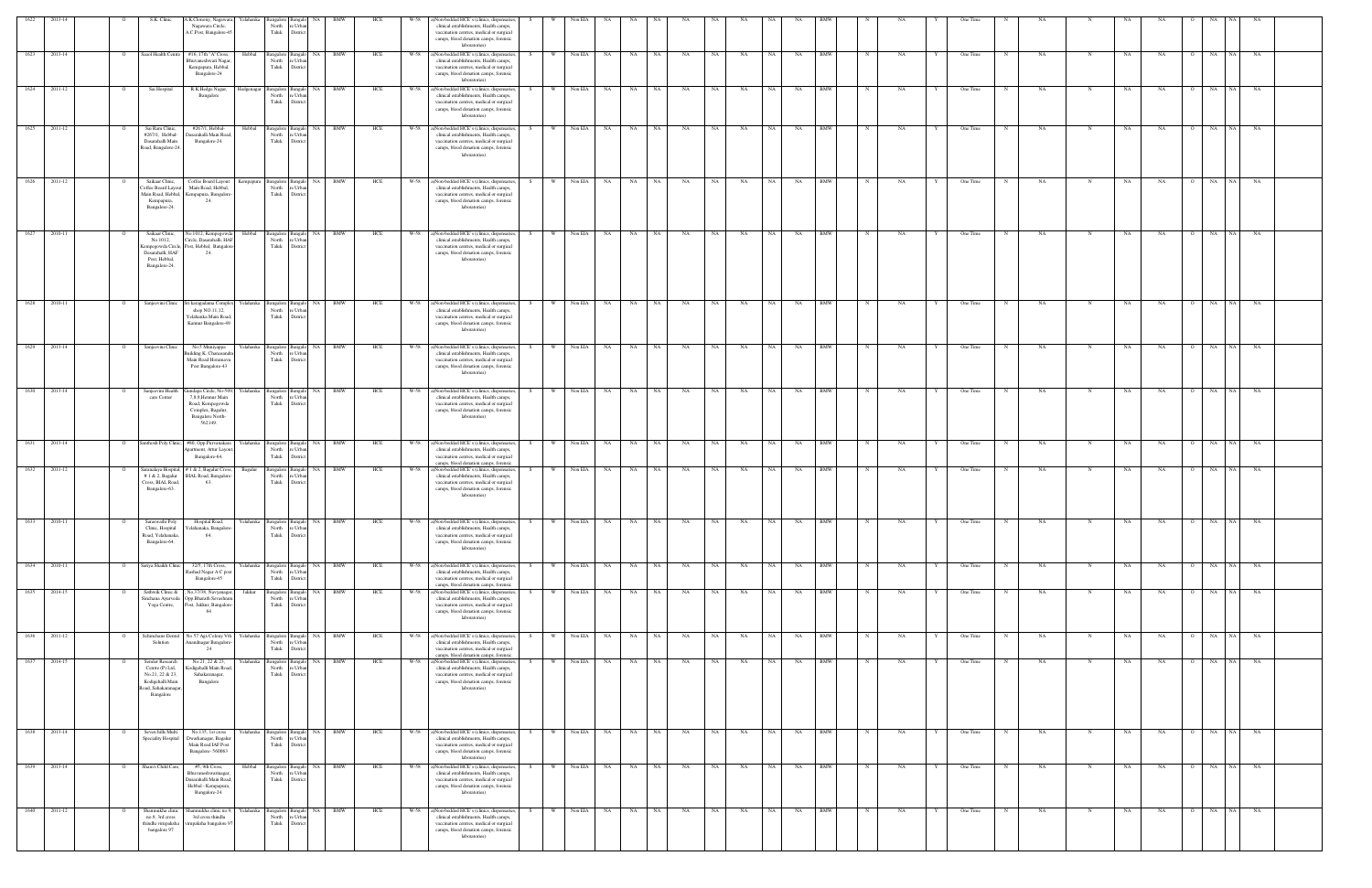| 1622 | 2013-14      |                | S.K. Clinic                                                                                                   | A.K.Clonony, Nagawara, Yelahanka Bangalore<br>Nagawara Circle,<br>A.C.Post, Bangalore-45                                                    |            | North<br>Taluk                        | Bangalo NA<br>e Urbar<br>Distric               | BMW                |            | HCE | W-58 | a)Non-bedded HCE's (clinics, dispensaries,<br>clinical establishments, Health camps,<br>vaccination centres, medical or surgical<br>camps, blood donation camps, forensic<br>laboratories)      | S   |          | Non EIA         | NA   |                    |      |           |       |           |           |           |            |              |    |   | One Time |             |           |             |             |           |                |                 |           |  |
|------|--------------|----------------|---------------------------------------------------------------------------------------------------------------|---------------------------------------------------------------------------------------------------------------------------------------------|------------|---------------------------------------|------------------------------------------------|--------------------|------------|-----|------|-------------------------------------------------------------------------------------------------------------------------------------------------------------------------------------------------|-----|----------|-----------------|------|--------------------|------|-----------|-------|-----------|-----------|-----------|------------|--------------|----|---|----------|-------------|-----------|-------------|-------------|-----------|----------------|-----------------|-----------|--|
|      | 1623 2013-14 | $\overline{O}$ |                                                                                                               | Saaol Health Centre #16, 17th "A" Cross,<br>Bhuvaneshwari Nagar<br>Kempapura, Hebbal,<br>Bangalore-24                                       | Hebbal     | North<br>Taluk                        | Bangalore Bangalo<br>e Urbar<br>District       | BMW<br>NA          |            | HCE |      | W-58 a)Non-bedded HCE's (clinics, dispensaries,<br>clinical establishments, Health camps,<br>vaccination centres, medical or surgical<br>camps, blood donation camps, forensic<br>laboratories) | - S | W -      | Non EIA         | NA 1 | NA 1               | NA 1 | NA        | NA N  | NA        | NA N      | <b>NA</b> | <b>BMW</b> | N            | NA |   | One Time | N           | NA        | N           | NA          | NA        | $\Omega$       | NA NA NA        |           |  |
| 1624 | 2011-12      | $\overline{O}$ | Sai Hospital                                                                                                  | R.K.Hedge Nagar,<br>Bangalore                                                                                                               | Hedgenagar | Bangalore<br>North<br>Taluk           | Bangalo NA<br>e Urba<br>District               | <b>BMW</b>         |            | HCE | W-58 | a)Non-bedded HCE's (clinics, dispensaries,<br>clinical establishments, Health camps,<br>vaccination centres, medical or surgical<br>camps, blood donation camps, forensic<br>laboratories)      | S.  | <b>W</b> | Non EIA         | NA   | NA                 | NA 1 | NA        | NA 1  | <b>NA</b> | NA 1      | <b>NA</b> | <b>BMW</b> | N            | NA | Y | One Time | N           | NA        | N           | NA          | NA        | $\overline{O}$ | NA  <br>NA 1    | <b>NA</b> |  |
|      | 1625 2011-12 | $\overline{O}$ | Sai Ram Clinic,<br>#267/1, Hebbal-<br>Dasarahalli Main<br>Road, Bangalore-24                                  | #267/1, Hebbal-<br>Dasarahalli Main Road<br>Bangalore-24.                                                                                   | Hebbal     | North<br>Taluk                        | Bangalore Bangalo NA BMW<br>e Urba<br>District |                    |            | HCE |      | W-58 a)Non-bedded HCE's (clinics, dispensaries,<br>clinical establishments, Health camps,<br>vaccination centres, medical or surgical<br>camps, blood donation camps, forensic<br>laboratories) | S   |          |                 |      | W Non EIA NA NA NA |      | NA        | NA NA |           | NA N      | NA BMW    |            | N            | NA | Y | One Time | N           | NA        | $\mathbf N$ | NA          | <b>NA</b> |                | O NA NA NA      |           |  |
| 1626 | 2011-12      |                | Saikaar Clinic,<br>Coffee Board Layout<br>Kempapura,<br>Bangalore-24.                                         | Coffee Board Layout<br>Main Road, Hebbal,<br>Main Road, Hebbal, Kempapura, Bangalore-<br>24.                                                | .empapura  | Bangalore<br>North<br>Taluk           | Bangal<br>re Urba<br>District                  | <b>BMW</b><br>NA   |            | HCE | W-58 | a)Non-bedded HCE's (clinics, dispensaries,<br>clinical establishments, Health camps,<br>vaccination centres, medical or surgical<br>camps, blood donation camps, forensic<br>laboratories)      |     | W        | Non EIA         | NA.  | NA                 | NA   | NA        | NA    | NA        | NA        | NA        | <b>BMW</b> |              | NA |   | One Time |             | NA        |             | NA          | NA        |                | NA<br>NA 1      | NA        |  |
| 1627 | 2010-11      |                | Saikaar Clinic,<br>No.1012,<br>empegowda Circle,<br>Dasarahalli, HAF<br>Post, Hebbal,<br>Bangalore-24.        | No.1012, Kempegowda<br>Circle, Dasarahalli, HAF<br>Post, Hebbal, Bangalor<br>24                                                             | Hebbal     | Bangalore<br>North<br>Taluk           | <b>Bangalo</b><br>Distri                       | <b>BMW</b><br>NA 1 |            | HCE | W-58 | a)Non-bedded HCE's (clinics, dispensaries,<br>clinical establishments, Health camps,<br>vaccination centres, medical or surgical<br>camps, blood donation camps, forensic<br>laboratories)      |     | W        | Non EIA         | NA . | NA                 | NA   | <b>NA</b> | NA –  | NA        | <b>NA</b> | NA        | <b>BMW</b> |              | NA |   | One Time |             | NA        | N           | NA          | NA        |                | NA<br>NA 1      | <b>NA</b> |  |
|      | 1628 2010-11 | $\overline{O}$ |                                                                                                               | Sanjeevini Clinic Sri karagadama Complex Yelahanka Bangalore Bangalo NA BMW<br>shop NO.11,12,<br>Yelahanka Main Road<br>Kannur Bangalore-49 |            | North<br>Taluk                        | : Urbs<br>District                             |                    |            | HCE |      | W-58 a)Non-bedded HCE's (clinics, dispensaries,<br>clinical establishments, Health camps,<br>vaccination centres, medical or surgical<br>camps, blood donation camps, forensic<br>laboratories) | S – |          |                 |      | W Non EIA NA NA NA |      | NA        | NA N  | NA        | NA N      | NA        | BMW        | N            | NA |   | One Time | N           | NA.       | $\mathbf N$ | NA          | NA        |                | 0 NA NA NA      |           |  |
|      | 1629 2013-14 | $\overline{O}$ | Sanjeevini Clinic                                                                                             | No.5 Muniyappa<br>uilding K. Chanasand<br>Main Road Horamavu<br>Post Bangalore-43                                                           |            | Yelahanka Bangalore<br>North<br>Taluk | : Urbs<br>District                             | <b>NA</b>          | BMW        | HCE | W-58 | a)Non-bedded HCE's (clinics, dispensaries,<br>clinical establishments, Health camps,<br>vaccination centres, medical or surgical<br>camps, blood donation camps, forensic<br>laboratories)      |     | W W      | Non EIA         | NA 1 | NA 1               | NA 1 | NA        | NA N  | NA        | NA 1      | <b>NA</b> | <b>BMW</b> |              | NA |   | One Time | N           | NA.       | $\mathbf N$ | NA          | NA        |                | O NA NA NA      |           |  |
|      | 1630 2013-14 | $\Omega$       | Sanjeevini Health<br>care Center                                                                              | lundapa Circle, No-509,<br>7,8,9, Hennur Main<br>Road, Kempegowda<br>Complex, Bagalur,<br>Bangalore North-<br>562149.                       |            | Yelahanka Bangalore<br>North<br>Taluk | <b>Bangalo</b><br>: Urbs<br>District           | NA                 | <b>BMW</b> | HCE |      | W-58 a)Non-bedded HCE's (clinics, dispensaries,<br>clinical establishments, Health camps,<br>vaccination centres, medical or surgical<br>camps, blood donation camps, forensic<br>laboratories) | S – |          | W Non EIA NA NA |      |                    | NA 1 | NA        | NA 1  | NA        | NA        | NA BMW    |            | $\mathbb{N}$ | NA |   | One Time | N           | NA        | $\mathbf N$ | NA          | NA        | $\Omega$       | NA NA NA        |           |  |
| 1631 | 2013-14      |                |                                                                                                               | Santhosh Poly Clinic, #80, Opp.Purvanakara<br>partment, Attur Layou<br>Bangalore-64.                                                        | Yelahanka  | Bangalore<br>North<br>Taluk           | <b>Bangal</b><br>e Urba<br>Distric             | <b>NA</b><br>BMW   |            | HCE | W-58 | a)Non-bedded HCE's (clinics, dispensaries,<br>clinical establishments, Health camps,<br>vaccination centres, medical or surgical<br>camps, blood donation camps, forensic                       |     | W        | Non EIA         | NA   | NA                 | NA   | NA        | NA    | NA        | NA        | NA        | <b>BMW</b> |              | NA |   | One Time |             | NA        |             | NA          | NA        |                | NA<br>NA        | NA        |  |
| 1632 | 2011-12      |                | #1 & 2, Bagalur<br>Cross, BIAL Road,<br>Bangalore-63.                                                         | Saranalaya Hospital, # 1 & 2, Bagalur Cross,<br>BIAL Road, Bangalore<br>63.                                                                 | Bagalur    | Bangalore<br>North<br>Taluk           | langal<br>e Urba<br>Distric                    | <b>NA</b>          | BMW        | HCE | W-58 | a)Non-bedded HCE's (clinics, dispensaries,<br>clinical establishments, Health camps,<br>vaccination centres, medical or surgical<br>camps, blood donation camps, forensic<br>laboratories)      |     | W        | Non EIA         | NA   | NA                 | NA   | NA        | NA    | NA        | NA        | NA        | BMW        |              | NA |   | One Time |             | NA        | N           | NA          | NA        |                | NA              | NA        |  |
| 1633 | 2010-11      |                | Saraswathi Poly<br>Clinic, Hospital<br>Road, Yelahanaka,<br>Bangalore-64.                                     | Hospital Road,<br>'elahanaka, Bangalore<br>64.                                                                                              | Yelahanka  | Bangalore<br>North<br>Taluk           | Bangalo<br>e Urba<br>District                  | NA                 | BMW        | HCE | W-58 | a)Non-bedded HCE's (clinics, dispensaries,<br>clinical establishments, Health camps,<br>vaccination centres, medical or surgical<br>camps, blood donation camps, forensic<br>laboratories)      |     | W        | Non EIA         | NA   | NA<br>NA           |      | NA        | NA    | NA        | NA        | NA        | BMW        |              | NA |   | One Time | $\mathbf N$ | NA        |             | NA          | NA        | $\Omega$       | NA<br>NA        | NA        |  |
|      | 1634 2010-11 | $\Omega$       | Sariya Shaikh Clinic                                                                                          | 32/5, 17th Cross,<br>Rashad Nagar A C pos<br>Bangalore-45                                                                                   |            | Yelahanka Bangalore<br>North<br>Taluk | e Urba<br>District                             | Bangalo NA BMW     |            | HCE |      | W-58 a)Non-bedded HCE's (clinics, dispensaries,<br>clinical establishments, Health camps,<br>vaccination centres, medical or surgical<br>camps, blood donation camps, forensic                  | S.  |          |                 |      | W Non EIA NA NA NA |      | NA        | NA 1  | NA        | NA N      | NA BMW    |            | $\mathbb{N}$ | NA |   | One Time | N           | NA        | N           | NA          | <b>NA</b> | $\overline{O}$ | NA NA NA        |           |  |
| 1635 | 2014-15      |                | Sathwik Clinic &<br>Yoga Centre,                                                                              | , No.37/38, Navyanagar.<br>Sinchana Ayurveda Opp.Bharath Sevashran<br>Post, Jakkur, Bangalore<br>64                                         | Jakkur     | Bangalore<br>North<br>Taluk           | Bangalo<br>e Urban<br>District                 | BMW<br>NA          |            | HCE | W-58 | a)Non-bedded HCE's (clinics, dispensaries,<br>clinical establishments, Health camps,<br>vaccination centres, medical or surgical<br>camps, blood donation camps, forensic<br>laboratories)      |     | W        | Non EIA         | NA   | NA                 | NA   | NA        | NA    | NA        | NA        | NA        | <b>BMW</b> |              | NA |   | One Time |             | NA        | N           | NA          | NA        |                | NA<br>NA I      | NA        |  |
| 1636 | 2011-12      | $\circ$        | Schinchans Denta<br>Solution                                                                                  | No 57 Ags Colony Vth<br>Anandnagar Bangalore<br>24                                                                                          | Yelahanka  | Bangalore<br>North<br>Taluk           | Bangalo<br>e Urbar<br>Distric                  | NA<br><b>BMW</b>   |            | HCE | W-58 | a)Non-bedded HCE's (clinics, dispensaries,<br>clinical establishments, Health camps,<br>vaccination centres, medical or surgical<br>camps, blood donation camps, forensic                       |     | <b>W</b> | Non EIA         | NA   | NA                 | NA   | NA        | NA    | NA        | <b>NA</b> | NA        | <b>BMW</b> |              | NA |   | One Time | N           | <b>NA</b> | N           | $_{\rm NA}$ | NA        | $\overline{O}$ | NA<br>NA 1      | NA        |  |
| 1637 | 2014-15      |                | Semler Research<br>Centre (P) Ltd,<br>No.21, 22 & 23,<br>Kodigehalli Main<br>Road, Sahakaranagar<br>Bangalore | No.21, 22 & 23,<br>Kodigehalli Main Road<br>Sahakaranagar,<br>Bangalore                                                                     | Yelahanka  | Bangalore<br>North<br>Taluk           | Bangal<br>re Urbar<br>District                 | NA                 | BMW        | HCE | W-58 | a)Non-bedded HCE's (clinics, dispensaries,<br>clinical establishments, Health camps,<br>vaccination centres, medical or surgical<br>camps, blood donation camps, forensic<br>laboratories)      |     | W        | Non EIA         | NA   | <b>NA</b>          | NA 1 | NA        | NA    | NA        | <b>NA</b> | NA        | <b>BMW</b> |              | NA |   | One Time |             | NA        | N           | NA          | NA        | $\circ$        | NA<br><b>NA</b> | NA        |  |
| 1638 | 2013-14      |                | Seven hills Multi<br>Speciality Hospital                                                                      | No.135, 1st cross<br>Dwarkanagar, Bagalur<br>Main Road IAF Post<br>Bangalore-560063                                                         | Yelahanka  | Bangalore<br>North<br>Taluk           | langal<br>e Urbar<br>District                  | BMW<br>NA          |            | HCE | W-58 | a)Non-bedded HCE's (clinics, dispensaries,<br>clinical establishments, Health camps,<br>vaccination centres, medical or surgical<br>camps, blood donation camps, forensic<br>laboratories)      |     | W        | Non EIA         | NA   | NA                 | NA 1 | NA        | NA    | NA        | NA        | NA        | BMW        |              | NA |   | One Time |             | NA        |             | NA          | NA        |                | NA 1<br>NA      | NA        |  |
| 1639 | 2013-14      |                | Sham's Child Care,                                                                                            | #5, 9th Cross,<br>Bhuvaneshwarinagar<br>Dasarahalli Main Road<br>Hebbal - Kempapura,<br>Bangalore-24.                                       | Hebbal     | Bangalore<br>North<br>Taluk           | Bangalo<br>e Urbar<br>District                 | BMW<br>NA          |            | HCE | W-58 | a)Non-bedded HCE's (clinics, dispensaries,<br>clinical establishments, Health camps,<br>vaccination centres, medical or surgical<br>camps, blood donation camps, forensic<br>laboratories)      |     | - W      | Non EIA         | NA   | NA                 | NA   | NA        | NA    | NA        | NA        | NA        | <b>BMW</b> |              | NA |   | One Time |             | NA        | N           | NA          | NA        |                | NA<br>NA 1      | NA        |  |
| 1640 | 2011-12      |                | Shanmukha clini<br>no.9, 3rd cross<br>thindlu virupaksha<br>bangalore 97                                      | shanmukha clinic no.9<br>3rd cross thindlu<br>virupaksha bangalore 9                                                                        | Yelahanka  | Bangalore<br>North<br>Taluk           | Bangal<br>e Urbar<br>District                  | NA<br><b>BMW</b>   |            | HCE | W-58 | a)Non-bedded HCE's (clinics, dispensaries,<br>clinical establishments, Health camps,<br>vaccination centres, medical or surgical<br>camps, blood donation camps, forensic<br>laboratories)      |     | W        | Non EIA         | NA   | NA                 | NA   | NA        | NA .  | NA        | NA        | NA        | <b>BMW</b> |              | NA |   | One Time |             | NA        | N           | NA          | NA        | $\Omega$       | NA  <br>NA      | NA        |  |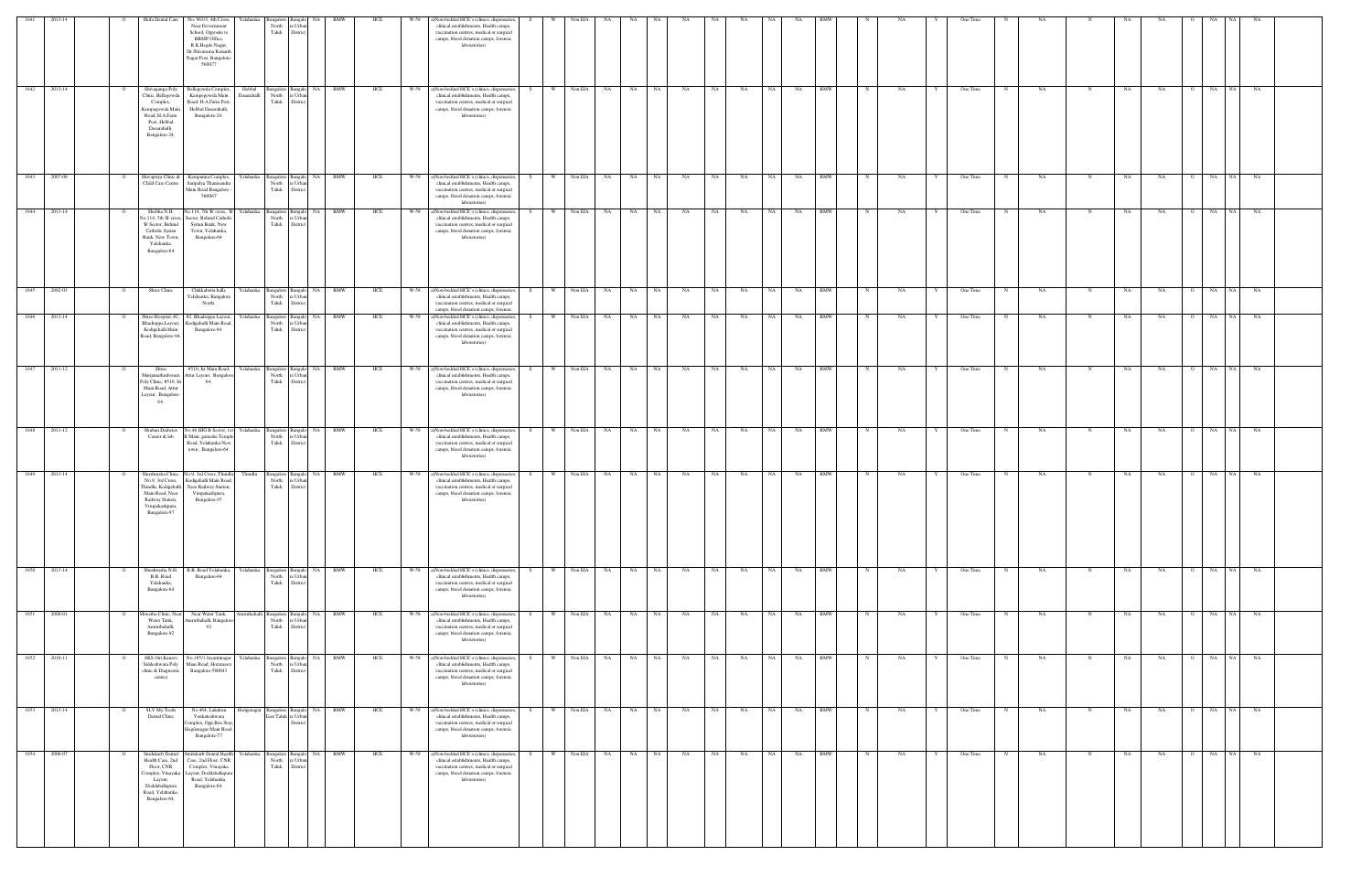| 1641              | 2013-14          |                | Shifa Dental Care                                                                                                                          | No. 963/3, 4th Cross,<br>Near Government<br>School, Opposite to<br><b>BBMP</b> Office,<br>R.K.Hegde Nagar,<br>Dr.Shivarama Karanth<br>Nagar Post, Bangalore-<br>560077 | Yelahanka             | Bangalore<br>North<br>Taluk              | : Urba<br>Distric                                    | <b>BMW</b>              | HCE | W-58   | a)Non-bedded HCE's (clinics, dispensaries,<br>clinical establishments, Health camps,<br>vaccination centres, medical or surgical<br>camps, blood donation camps, forensic<br>laboratories)      |    |          | Non EIA |               | NA.                |           | NA.       |       | NA        |      |           |            |              |    |              | One Time |             |           |             |    | NA.       |                |                 |           |  |
|-------------------|------------------|----------------|--------------------------------------------------------------------------------------------------------------------------------------------|------------------------------------------------------------------------------------------------------------------------------------------------------------------------|-----------------------|------------------------------------------|------------------------------------------------------|-------------------------|-----|--------|-------------------------------------------------------------------------------------------------------------------------------------------------------------------------------------------------|----|----------|---------|---------------|--------------------|-----------|-----------|-------|-----------|------|-----------|------------|--------------|----|--------------|----------|-------------|-----------|-------------|----|-----------|----------------|-----------------|-----------|--|
|                   | 1642 2013-14     | $\overline{O}$ | Shivaganga Poly<br>Clinic, Bellegowd:<br>Complex,<br>Kempegowda Mair<br>Road, H.A.Farm<br>Post, Hebbal<br>Dasarahalli,<br>Bangalore-24.    | Bellegowda Complex,<br>Kempegowda Main<br>Road, H.A.Farm Post,<br>Hebbal Dasarahalli,<br>Bangalore-24.                                                                 | Hebbal<br>Dasarahalli | North<br>Taluk                           | Bangalore Bangalo NA BMW<br>e Urba<br>District       |                         | HCE |        | W-58 a)Non-bedded HCE's (clinics, dispensaries,<br>clinical establishments, Health camps,<br>vaccination centres, medical or surgical<br>camps, blood donation camps, forensic<br>laboratories) | S  |          |         |               | W Non EIA NA NA NA |           | NA        | NA NA |           | NA N | NA BMW    |            | N            | NA | Y            | One Time | N           | NA        | $\mathbf N$ | NA | <b>NA</b> |                | O NA NA NA      |           |  |
|                   | 1643 2007-08     | $\circ$        | Child Care Centre                                                                                                                          | Shivapriya Clinic & Kempanna Complex,<br>Saripalya Thanisandra<br>Main Road Bangalore<br>560067                                                                        |                       | North<br>Taluk                           | Yelahanka Bangalore Bangalo NA<br>: Urba<br>District | <b>BMW</b>              | HCE |        | W-58 a)Non-bedded HCE's (clinics, dispensaries,<br>clinical establishments, Health camps,<br>vaccination centres, medical or surgical<br>camps, blood donation camps, forensic<br>laboratories) | S  |          |         | W Non EIA NA  | NA 1               | NA 1      | NA        | NA N  | <b>NA</b> | NA N | NA BMW    |            | $\mathbb{N}$ | NA |              | One Time | N           | NA        | $\mathbf N$ | NA | <b>NA</b> |                | O NA NA NA      |           |  |
| $\overline{1644}$ | 2013-14          |                | Shobha N.H.<br>No.114, 7th 'B' cross,<br>'B' Sector, Behind<br>Catholic Syrian<br>Bank, New Town,<br>Yelahanka,<br>Bangalore-64            | No.114, 7th 'B' cross, 'B'<br>Sector, Behind Catholic<br>Syrian Bank, New<br>Town, Yelahanka,<br>Bangalore-64                                                          | Yelahanka             | Bangalore<br>North<br>Taluk              | <b>Bangalo</b><br>e Urba<br>District                 | <b>BMW</b><br>NA        | HCE | W-58   | a)Non-bedded HCE's (clinics, dispensaries,<br>clinical establishments, Health camps,<br>vaccination centres, medical or surgical<br>camps, blood donation camps, forensic<br>laboratories)      | S. | <b>W</b> | Non EIA | NA.           | NA                 | NA 1      | NA        | NA 1  | NA        | NA I | NA        | <b>BMW</b> | N            | NA |              | One Time | N           | NA        |             | NA | NA        | $\circ$        | NA<br>NA I      | NA        |  |
| 1645              | 2002-03          | $\overline{O}$ | Shree Clinic                                                                                                                               | Chikkabetta halli,<br>Yelahanka, Bangalor<br>North.                                                                                                                    |                       | Yelahanka Bangalore<br>North<br>Taluk    | <b>Bangalo</b><br>e Urba<br>Distric                  | <b>BMW</b><br>NA        | HCE |        | W-58 a)Non-bedded HCE's (clinics, dispensaries,<br>clinical establishments, Health camps,<br>vaccination centres, medical or surgical<br>camps, blood donation camps, forensic                  | S. | W        | Non EIA | <b>NA</b>     | NA                 | NA 1      | NA        | NA .  | NA        | NA . | NA        | <b>BMW</b> |              | NA |              | One Time | $_{\rm N}$  | NA        | N           | NA | NA        |                | NA<br>NA 1      | <b>NA</b> |  |
| 1646              | 2013-14          |                | Shree Hospital, #2,<br>Bhadrappa Layout,<br>Kodigehalli Main<br>Road, Bangalore-94.                                                        | #2, Bhadrappa Layout,<br>Kodigehalli Main Road,<br>Bangalore-94.                                                                                                       | Yelahanka             | Bangalore<br>North<br>Taluk              | Bangal<br>re Urbar<br>District                       | BMW<br>NA               | HCE | W-58   | a)Non-bedded HCE's (clinics, dispensaries,<br>clinical establishments, Health camps,<br>vaccination centres, medical or surgical<br>camps, blood donation camps, forensic<br>laboratories)      |    | W        | Non EIA | NA            | NA                 | NA        | NA        | NA    | NA        | NA   | NA        | <b>BMW</b> |              | NA |              | One Time |             | NA        |             | NA | NA        |                | NA<br>NA 1      | NA        |  |
| 1647              | 2011-12          |                | Shree<br>Manjunatheshwara<br>Poly Clinic, #510, Ist<br>Main Road, Attur<br>Layout, Bangalore<br>64                                         | #510, Ist Main Road,<br>Attur Layout, Bangalore<br>64                                                                                                                  |                       | Yelahanka Bangalore<br>North<br>Taluk    | langalo<br>: Urb<br>Distric                          | <b>BMW</b><br>NA        | HCE | W-58   | a)Non-bedded HCE's (clinics, dispensaries,<br>clinical establishments, Health camps,<br>vaccination centres, medical or surgical<br>camps, blood donation camps, forensic<br>laboratories)      | S. | - W      | Non EIA | NA            | NA                 | NA        | NA        | NA .  | NA        | NA   | NA        | <b>BMW</b> |              | NA |              | One Time |             | NA        | N           | NA | NA        |                | NA<br>NA        | NA        |  |
| 1648              | 2011-12          |                | Shuban Diabetes<br>Center & lab                                                                                                            | 0.46 HIG B Sector, 1st<br>Main, ganesha Temple<br>Road, Yelahanka New<br>town, Bangalore-64.                                                                           |                       | Yelahanka Bangalore<br>North<br>Taluk    | langal<br>e Urba<br>Distric                          | BMW<br>NA               | HCE | W-58   | a)Non-bedded HCE's (clinics, dispensaries,<br>clinical establishments, Health camps,<br>vaccination centres, medical or surgical<br>camps, blood donation camps, forensic<br>laboratories)      | S. | <b>W</b> | Non EIA | NA            | NA                 | NA        | NA        | NA 1  | NA        | NA 1 | NA        | <b>BMW</b> |              | NA |              | One Time | N           | NA        |             | NA | NA        | . റ            | NA<br>NA 1      | NA        |  |
| 1649              | 2013-14          |                | Shushrusha Clinic,<br>No.9, 3rd Cross,<br>Thindlu, Kodigehalli<br>Main Road, Near<br>Railway Station,<br>Virupakashpura,<br>Bangalore-97   | No.9, 3rd Cross, Thindlu<br>Kodigehalli Main Road,<br>Near Railway Station,<br>Virupakashpura,<br>Bangalore-97                                                         | Thindlu               | Bangalore<br>North<br>Taluk              | e Urbar<br>District                                  | Bangalo NA BMW          | HCE | $W-58$ | a)Non-bedded HCE's (clinics, dispensaries,<br>clinical establishments, Health camps,<br>vaccination centres, medical or surgical<br>camps, blood donation camps, forensic<br>laboratories)      | S  | W -      |         | Non EIA NA NA |                    | NA        | NA        | NA NA |           | NA 1 | NA 1      | <b>BMW</b> | N            | NA | Y            | One Time | N           | <b>NA</b> | N           | NA | NA        | $\overline{O}$ | NA              | NA NA     |  |
|                   | $1650$ $2013-14$ | $\Omega$       | Shushrusha N.H.<br>B.B. Road<br>Yelahanka,<br>Bangalore-64                                                                                 | B.B. Road Yelahanka,<br>Bangalore-64                                                                                                                                   |                       | Yelahanka Bangalore<br>North<br>Taluk    | Bangalo NA<br>: Urba<br>Distric                      | <b>BMW</b>              | HCE | W-58   | a)Non-bedded HCE's (clinics, dispensaries,<br>clinical establishments, Health camps,<br>vaccination centres, medical or surgical<br>camps, blood donation camps, forensic<br>laboratories)      | S  | W        | Non EIA | NA 1          | NA                 | NA 1      | NA        | NA 1  | NA        | NA - | NA        | <b>BMW</b> |              | NA |              | One Time | N           | NA        | N           | NA | NA        | $\overline{O}$ | NA              | NA NA     |  |
|                   | 1651 2000-01     |                | Shwetha Clinic, Near<br>Water Tank,<br>Amruthahalli,<br>Bangalore-92                                                                       | Near Water Tank,<br>mruthahalli, Bangalor<br>92                                                                                                                        |                       | Amruthahalli Bangalore<br>North<br>Taluk | Bangalo<br>: Urba<br>District                        | NA 1<br><b>BMW</b>      | HCE | W-58   | a)Non-bedded HCE's (clinics, dispensaries,<br>clinical establishments, Health camps,<br>vaccination centres, medical or surgical<br>camps, blood donation camps, forensic<br>laboratories)      | S. | W        |         | Non EIA NA NA |                    | <b>NA</b> | NA        | NA N  | NA        | NA N | <b>NA</b> | BMW        |              | NA |              | One Time | $\mathbf N$ | NA        | N           | NA | NA        | $\Omega$       | NA NA NA        |           |  |
|                   | $1652 - 2010-11$ |                | SKS (Sri Kanavi<br>Siddeshwara Poly<br>clinic & Diagnostic<br>centre)                                                                      | No,185/1 Jayantinagar<br>Mian Road, Horamavu<br>Bangalore-560043                                                                                                       |                       | Yelahanka Bangalore<br>North<br>Taluk    | Bangalo NA<br>e Urba<br>Distric                      | <b>BMW</b>              | HCE | W-58   | a)Non-bedded HCE's (clinics, dispensaries,<br>clinical establishments, Health camps,<br>vaccination centres, medical or surgical<br>camps, blood donation camps, forensic<br>laboratories)      | S  | W        | Non EIA | NA N          | NA N               | NA 1      | NA        | NA N  | NA        | NA N | NA        | <b>BMW</b> | $\mathbb N$  | NA | $\mathbf{Y}$ | One Time | N           | NA        | N           | NA | NA        | $\overline{O}$ | NA              | NA NA     |  |
| 1653              | 2013-14          | $\circ$        | SLV My Teeth<br>Dental Clinic                                                                                                              | No.464, Lakshmi<br>Venkateshwara<br>Complex, Opp.Bus Stop<br>Hegdenagar Main Road,<br>Bangalore-77                                                                     |                       | Hedgenagar Bangalore                     | Bangalo<br>East Taluk re Urban<br>Distric            | NA 1<br><b>BMW</b>      | HCE | W-58   | a)Non-bedded HCE's (clinics, dispensaries,<br>clinical establishments, Health camps,<br>vaccination centres, medical or surgical<br>camps, blood donation camps, forensic<br>laboratories)      | S. | W        | Non EIA | NA            | NA                 | NA 1      | <b>NA</b> | NA 1  | NA        | NA 1 | NA        | <b>BMW</b> | $\mathbb{N}$ | NA | Y            | One Time | N           | NA.       | N           | NA | NA        | $\overline{O}$ | NA<br><b>NA</b> | NA        |  |
| 1654              | 2006-07          |                | Smilekarft Dental<br>Health Care, 2nd<br>Floor, CNR<br>Complex, Vinayaka<br>Layout,<br>Doddaballapura<br>Road, Yelahanka,<br>Bangalore-64. | Smilekarft Dental Health<br>Care, 2nd Floor, CNR<br>Complex, Vinayaka<br>Layout, Doddaballapura<br>Road, Yelahanka,<br>Bangalore-64.                                   |                       | Yelahanka Bangalore<br>North<br>Taluk    | Bangalo<br>re Urbar<br>District                      | <b>NA</b><br><b>BMW</b> | HCE | W-58   | a)Non-bedded HCE's (clinics, dispensaries,<br>clinical establishments, Health camps,<br>vaccination centres, medical or surgical<br>camps, blood donation camps, forensic<br>laboratories)      | -S | <b>W</b> | Non EIA | <b>NA</b>     | NA                 | NA 1      | <b>NA</b> | NA 1  | NA        | NA   | <b>NA</b> | <b>BMW</b> | N            | NA |              | One Time | N           | NA        | $\mathbf N$ | NA | NA        | $\circ$        | NA<br>NA        | <b>NA</b> |  |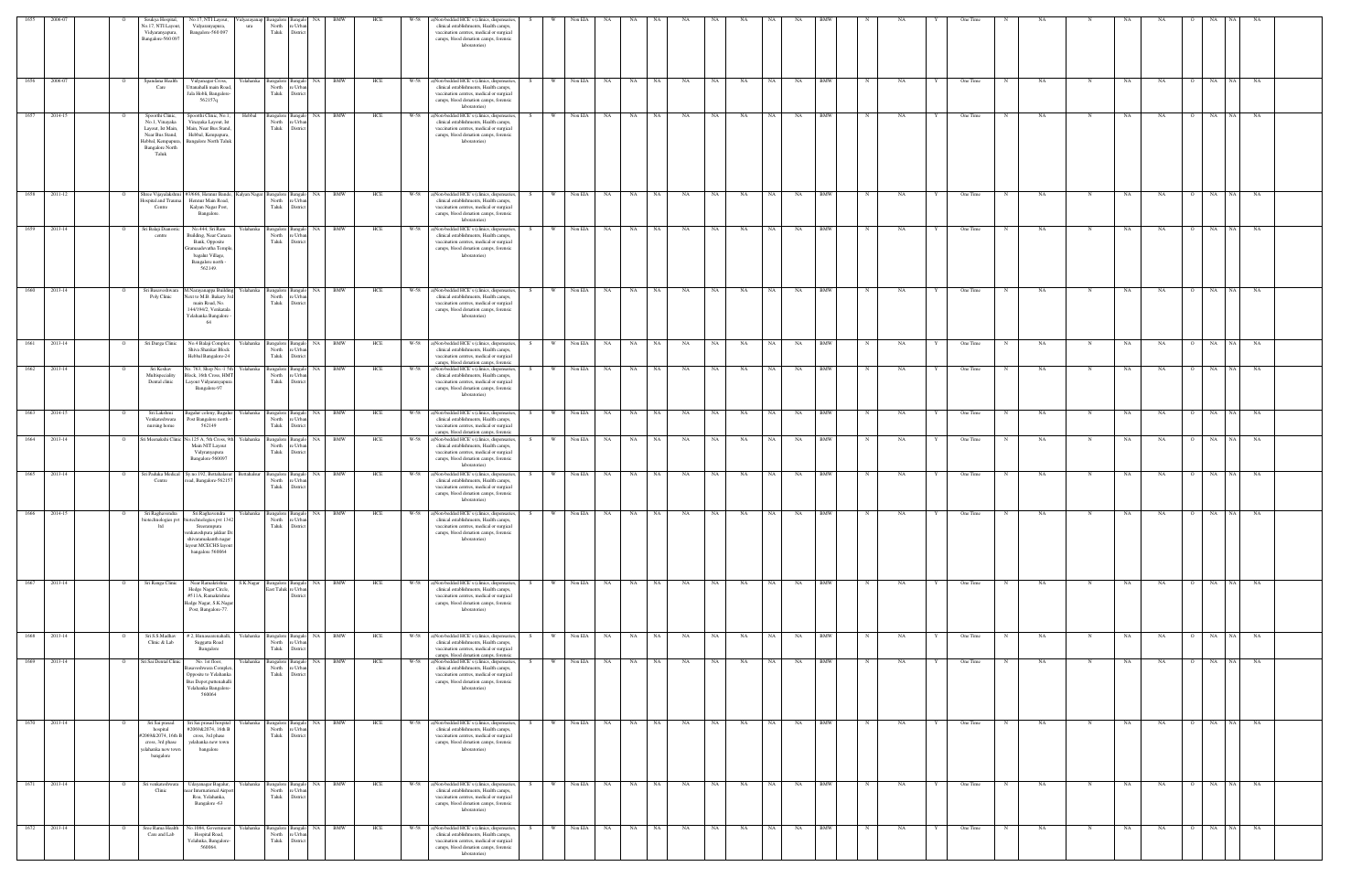| 1655<br>2006-07              |                |                                                                                                                                     |                                                                                                                                                                                            |                                                    |                                                                                                                       | HCI |      |                                                                                                                                                                                                 |      |          |            |                                                 |                   |           |           |    |           |           |            |              |      |   |            |             |             |             |             |           |                |                 |       |  |
|------------------------------|----------------|-------------------------------------------------------------------------------------------------------------------------------------|--------------------------------------------------------------------------------------------------------------------------------------------------------------------------------------------|----------------------------------------------------|-----------------------------------------------------------------------------------------------------------------------|-----|------|-------------------------------------------------------------------------------------------------------------------------------------------------------------------------------------------------|------|----------|------------|-------------------------------------------------|-------------------|-----------|-----------|----|-----------|-----------|------------|--------------|------|---|------------|-------------|-------------|-------------|-------------|-----------|----------------|-----------------|-------|--|
|                              |                | Soukya Hospita<br>lo.17, NTI Layou<br>Vidyaranyapura,<br>Bangalore-560 097                                                          | No.17, NTI Layou<br>Vidyaranyapura,<br>ura<br>Bangalore-560 097                                                                                                                            | North<br>Taluk                                     | e Urba<br>District                                                                                                    |     |      | )Non-bedded HCE's (clinics, dispensaries,<br>clinical establishments, Health camps,<br>vaccination centres, medical or surgical<br>camps, blood donation camps, forensic<br>laboratories)       |      |          | Non EIA    |                                                 |                   |           |           |    |           |           |            |              |      |   | One Time   |             |             |             |             |           |                |                 |       |  |
| 1656 2006-07                 |                | Spandana Health<br>Care                                                                                                             | Vidyanagar Cross,<br>Yelahanka<br>Uttanahalli main Road<br>Jala Hobli, Bangalore-<br>562157q                                                                                               | Bangalore Bangalo<br>North<br>Taluk                | BMW<br>NA<br>e Urba<br>District                                                                                       | HCE | W-58 | a)Non-bedded HCE's (clinics, dispensaries,<br>clinical establishments, Health camps,<br>vaccination centres, medical or surgical<br>camps, blood donation camps, forensic<br>laboratories)      |      |          | Non EIA NA |                                                 | NA 1<br>NA 1      | NA        | NA        | NA | NA 1      | NA        | <b>BMW</b> |              | NA   |   | One Time   |             | NA          |             | NA          | NA        |                | NA<br>NA        | NA    |  |
| 1657<br>2014-15              |                | Spoorthi Clinic,<br>No.1, Vinayaka<br>Layout, Ist Main,<br>Near Bus Stand,<br>Hebbal, Kempapura,<br><b>Bangalore North</b><br>Taluk | Hebbal<br>Spoorthi Clinic, No.1,<br>Vinayaka Layout, Ist<br>Main, Near Bus Stand<br>Hebbal, Kempapura,<br><b>Bangalore North Taluk</b>                                                     | North<br>Taluk                                     | Bangalore Bangalo NA BMW<br>re Urbar<br>District                                                                      | HCE | W-58 | a)Non-bedded HCE's (clinics, dispensaries,<br>clinical establishments, Health camps,<br>vaccination centres, medical or surgical<br>camps, blood donation camps, forensic<br>laboratories)      | -S - | $W =$    | Non EIA NA |                                                 | NA 1<br>NA        | <b>NA</b> | NA 1      | NA | NA 1      | <b>NA</b> | <b>BMW</b> | $\mathbb{N}$ | NA   | Y | One Time   | N           | NA.         | N           | NA          | NA        | $\overline{O}$ | NA NA           | NA    |  |
| $2011-12$<br>1658            |                | Shree Vijayalakshmi<br>ospital and Traur<br>Centre                                                                                  | #3/666, Hennur Bande,<br>Hennur Main Road,<br>Kalyan Nagar Post,<br>Bangalore.                                                                                                             | Kalyan Nagar Bangalore Bangalo<br>North<br>Taluk   | NA BMW<br>e Urba<br>District                                                                                          | HCE |      | W-58 a)Non-bedded HCE's (clinics, dispensaries,<br>clinical establishments, Health camps,<br>vaccination centres, medical or surgical<br>camps, blood donation camps, forensic<br>laboratories) |      | w I      | Non EIA NA |                                                 | NA<br>NA 1        | NA        | NA        | NA | NA        | NA        | <b>BMW</b> | $_{\rm N}$   | NA   |   | One Time   | N           | NA          | N           | $_{\rm NA}$ | NA        |                | NA<br>NA 1      | NA    |  |
| 1659<br>2013-14              |                | Sri Balaji Dianosti<br>centre                                                                                                       | No.444, Sri Ram<br>Yelahanka<br>Building, Near Canara<br>Bank, Opposite<br>ramaadevatha Tempk<br>bagalur Village,<br>Bangalore north -<br>562149.                                          | Taluk                                              | $\begin{tabular}{l c} Bangalore & Bangalo & NA \\ \hline North & re Urban \\ \end{tabular}$<br><b>BMW</b><br>District | HCE | W-58 | a)Non-bedded HCE's (clinics, dispensaries,<br>clinical establishments, Health camps,<br>vaccination centres, medical or surgical<br>camps, blood donation camps, forensic<br>laboratories)      |      | W.       | Non EIA    | NA                                              | NA<br>NA .        | NA        | NA        | NA | NA .      | NA        | <b>BMW</b> | N            | NA   |   | One Time   |             | NA          | $\mathbf N$ | NA          | NA        | $\Omega$       | NA<br>NA 1      | NA    |  |
| $\overline{1660}$<br>2013-14 |                | Sri Basaveshwara<br>Poly Clinic                                                                                                     | M.Narayanappa Building<br>Yelahanka<br>Vext to M.B. Bakery 3r<br>main Road, No.<br>144/194/2, Venkatala<br>Yelahanka Bangalore<br>64                                                       | North<br>Taluk                                     | Bangalore Bangalo NA BMW<br>re Urba<br>District                                                                       | HCE | W-58 | a)Non-bedded HCE's (clinics, dispensaries,<br>clinical establishments, Health camps,<br>vaccination centres, medical or surgical<br>camps, blood donation camps, forensic<br>laboratories)      | - S  | W        | Non EIA NA |                                                 | NA 1<br>NA        | NA        | <b>NA</b> | NA | NA 1      | <b>NA</b> | <b>BMW</b> | $\mathbb{N}$ | NA   |   | One Time   | N           | NA.         | N           | NA          | NA        | $\overline{O}$ | <b>NA</b><br>NA | NA    |  |
| 1661<br>2013-14              |                | Sri Durga Clinic                                                                                                                    | No.4 Balaji Complex<br>relahanka<br>Shiva Shankar Block<br>Hebbal Bangalore-24                                                                                                             | North<br>Taluk                                     | angalore Bangalo NA<br>BMW<br>: Urb<br>Distric                                                                        | HCE | W-58 | a)Non-bedded HCE's (clinics, dispensaries,<br>clinical establishments, Health camps,<br>vaccination centres, medical or surgical<br>camps, blood donation camps, forensic                       |      | W        | Non EIA NA |                                                 | <b>NA</b><br>NA 1 | NA        | NA        | NA | NA 1      | NA        | <b>BMW</b> |              | NΑ   |   | One Time   |             | NA          |             | NA          | NA        |                | NA<br>NA        | NA    |  |
| 2013-14<br>1662              |                | Sri Keshav<br>Multispeciality<br>Dental clinic                                                                                      | Vo. 763, Shop No.-1 5t<br>Yelahanka<br>Block, 16th Cross, HM<br>Layout Vidyaranyapur<br>Bangalore-97                                                                                       | Bangalore Bangalo<br>North<br>Taluk                | BMW<br>NA<br>e Urba<br>District                                                                                       | HCE | W-58 | a)Non-bedded HCE's (clinics, dispensaries,<br>clinical establishments, Health camps,<br>vaccination centres, medical or surgical<br>camps, blood donation camps, forensic<br>laboratories)      |      | W        | Non EIA NA |                                                 | NA<br><b>NA</b>   | NA        | NA        | NA | NA        | NA        | <b>BMW</b> |              | NA   |   | One Time   |             | NA          |             | NA          | NA        |                | NA<br>NA 1      | NA    |  |
| 2014-15<br>1663              |                | Sri Lakshmi<br>Venkateshwara<br>nursing home                                                                                        | Yelahanka<br>agalur colony, Bagalur<br>Post Bangalore north -<br>562149                                                                                                                    | Bangalore Bangalo<br>North<br>Taluk                | NA<br>BMW<br>e Urba<br>District                                                                                       | HCE | W-58 | a)Non-bedded HCE's (clinics, dispensaries,<br>clinical establishments, Health camps,<br>vaccination centres, medical or surgical<br>camps, blood donation camps, forensic                       |      | W        | Non EIA    | <b>NA</b><br><b>NA</b>                          | NA                | NA        | NA        | NA | NA        | NA        | <b>BMW</b> |              | NA   |   | One Time   |             | $_{\rm NA}$ |             | $_{\rm NA}$ | NA        | $\Omega$       | NA<br>NA 1      | NA    |  |
| 2013-14<br>1664              |                | ri Meenakshi Clin                                                                                                                   | o.125 A, 5th Cross, 9<br><b>Celahanka</b><br>Main NIT Layout<br>Vidyranyapura<br>Bangalore-560097                                                                                          | sangalore<br>North<br>Taluk                        | <b>BMW</b><br>NA<br>Banga<br>e Urba<br>District                                                                       | HCE | W-58 | a)Non-bedded HCE's (clinics, dispensaries,<br>clinical establishments, Health camps,<br>vaccination centres, medical or surgical<br>camps, blood donation camps, forensic<br>laboratories)      |      | W        | Non EIA    | NA<br><b>NA</b>                                 | NA                | NA        | NA        | NA | <b>NA</b> | NA        | <b>BMW</b> |              | NA   |   | One Time   |             | NA          |             | NA          | NA        |                | NA<br>NA.       | NA    |  |
| 2013-14                      |                | Sri Paduka Medical<br>Centre                                                                                                        | Sy.no.192, Bettahala<br>oad, Bangalore-56215                                                                                                                                               | Bangalore<br>North<br>Taluk                        | NA 1<br>BMW<br>Bangak<br>e Urba<br><b>Distric</b>                                                                     | HCE | W-58 | ()Non-bedded HCE's (clinics, dispensaries,<br>clinical establishments, Health camps,<br>vaccination centres, medical or surgical<br>camps, blood donation camps, forensic<br>laboratories)      |      |          | Non EIA NA |                                                 | NA<br>NA          | NA        | NA        | NA | NA        | NA        | <b>BMW</b> |              | NA   |   | One Time   |             | NA          |             |             | NA        |                | NA 1<br>NA      | NA    |  |
| 1666 2014-15                 | $\overline{O}$ | ltd                                                                                                                                 | Sri Raghavendra Sri Raghavendra<br>biotechnologies pvt biotechnologies pvt 134<br>Sreerampura<br>enkateshpura jakkur Di<br>shivaramakanth nagar<br>ayout MCECHS layout<br>bangalore 560064 | North<br>Taluk                                     | Yelahanka Bangalore Bangalo NA BMW<br>re Urban<br>District                                                            | HCE |      | W-58 a)Non-bedded HCE's (clinics, dispensaries<br>clinical establishments, Health camps,<br>vaccination centres, medical or surgical<br>camps, blood donation camps, forensic<br>laboratories)  |      |          |            | S WINOREIA NA INA INA INA INA INA INA INA IRMWI |                   |           |           |    |           |           |            |              | N NA |   | V One Time |             | <b>NA</b>   |             | NA          | NA NA     | $O$ NA         |                 | NA NA |  |
| 1667<br>2013-14              |                | Sri Ranga Clinic                                                                                                                    | Near Ramakrishna<br>Hedge Nagar Circle,<br>#511A, Ramakrishna<br>Iedge Nagar, S.K.Nagar<br>Post, Bangalore-77.                                                                             | S.K.Nagar Bangalore Bangalo<br>East Taluk re Urban | NA 1<br><b>BMW</b><br>District                                                                                        | HCE | W-58 | a)Non-bedded HCE's (clinics, dispensaries,<br>clinical establishments, Health camps,<br>vaccination centres, medical or surgical<br>camps, blood donation camps, forensic<br>laboratories)      |      | W.       | Non EIA    | <b>NA</b><br>NA                                 | NA .              | NA        | NA        | NA | NA        | NA        | <b>BMW</b> |              | NA   |   | One Time   |             | NA          | N           | NA          | NA        | $\Omega$       | NA<br>NA 1      | NA    |  |
| 2013-14<br>1668              |                | Sri S.S.Madhav<br>Clinic & Lab                                                                                                      | #2, Hunasearenahalli<br>relahanka<br>Suggatta Road<br>Bangalore                                                                                                                            | North<br>Taluk                                     | Bangalore Bangalo NA<br>BMW<br>e Urba<br>District                                                                     | HCE | W-58 | ()Non-bedded HCE's (clinics, dispensaries,<br>clinical establishments, Health camps,<br>vaccination centres, medical or surgical<br>camps, blood donation camps, forensic                       |      | W        | Non EIA    | NA                                              | NA<br>NA          | NA        | NA        | NA | NA        | NA        | <b>BMW</b> |              | NA   |   | One Time   |             | NA          | N           | NA          | NA        |                | NA  <br>NA      | NA    |  |
| 1669 2013-14                 |                | Sri Sai Dental Clinic                                                                                                               | No. 1st floor,<br>Yelahanka<br>aveshwara Comple<br>Opposite to Yelahanka<br>Bus Depot, puttenahall<br>Yelahanka Bangalore<br>560064                                                        | North<br>Taluk                                     | Bangalore Bangalo NA<br>BMW<br>e Urba<br>District                                                                     | HCE | W-58 | ()Non-bedded HCE's (clinics, dispensaries,<br>clinical establishments, Health camps,<br>vaccination centres, medical or surgical<br>camps, blood donation camps, forensic<br>laboratories)      |      | <b>W</b> | Non EIA NA |                                                 | NA<br>NA .        | NA        | NA        | NA | NA 1      | <b>NA</b> | <b>BMW</b> |              | NA   |   | One Time   | $\mathbf N$ | NA          | N           | NA          | <b>NA</b> | $\overline{O}$ | NA              | NA NA |  |
| 2013-14<br>1670              |                | Sri Sai prasad<br>hospital<br>2069&2074, 16th<br>cross, 3rd phase<br>yelahanka new town<br>bangalore                                | Sri Sai prasad hospital<br>relahanka<br>#2069&2074, 16th B<br>cross, 3rd phase<br>yelahanka new town<br>bangalore                                                                          | North<br>Taluk                                     | Bangalore Bangalo NA<br><b>BMW</b><br>e Urba<br>District                                                              | HCE | W-58 | ()Non-bedded HCE's (clinics, dispensaries,<br>clinical establishments, Health camps,<br>vaccination centres, medical or surgical<br>camps, blood donation camps, forensic<br>laboratories)      | - S  | W        | Non EIA    | <b>NA</b><br>NA                                 | NA                | NA        | NA        | NA | NA        | NA        | <b>BMW</b> |              | NA   |   | One Time   |             | NA          | N           | NA          | NA        | $\circ$        | NA 1<br>NA      | NA    |  |
| 1671<br>2013-14              |                | Sri venkateshwara<br>Clinic                                                                                                         | Udayanagar Bagalur,<br>Yelahanka<br>ear International Airport<br>Roa, Yelahanka,<br>Bangalore -63                                                                                          | Bangalore Bangalo<br>North<br>Taluk                | NA .<br>BMW<br>e Urbar<br>District                                                                                    | HCE | W-58 | a)Non-bedded HCE's (clinics, dispensaries,<br>clinical establishments, Health camps,<br>vaccination centres, medical or surgical<br>camps, blood donation camps, forensic<br>laboratories)      | S.   | W.       | Non EIA NA |                                                 | NA .<br>NA        | NA        | <b>NA</b> | NA | NA        | <b>NA</b> | <b>BMW</b> | N            | NA   | Y | One Time   | N           | NA          | $\mathbf N$ | NA          | NA        | $\overline{O}$ | NA<br>NA 1      | NA    |  |
| 1672<br>2013-14              | $\circ$        | Sree Rama Health<br>Care and Lab                                                                                                    | Yelahanka<br>No.1084, Governmer<br>Hospital Road,<br>Yelahnka, Bangalore-<br>560064.                                                                                                       | North<br>Taluk                                     | Bangalore Bangalo NA<br><b>BMW</b><br>re Urban<br>District                                                            | HCE | W-58 | a)Non-bedded HCE's (clinics, dispensaries,<br>clinical establishments, Health camps,<br>vaccination centres, medical or surgical<br>camps, blood donation camps, forensic<br>laboratories)      | S.   | <b>W</b> | Non EIA NA |                                                 | NA 1<br><b>NA</b> | NA        | NA 1      | NA | NA        | NA 1      | <b>BMW</b> | N            | NA   | Y | One Time   | $\mathbf N$ | NA          | $\mathbf N$ | NA          | NA        | $\overline{O}$ | NA<br>NA        | NA    |  |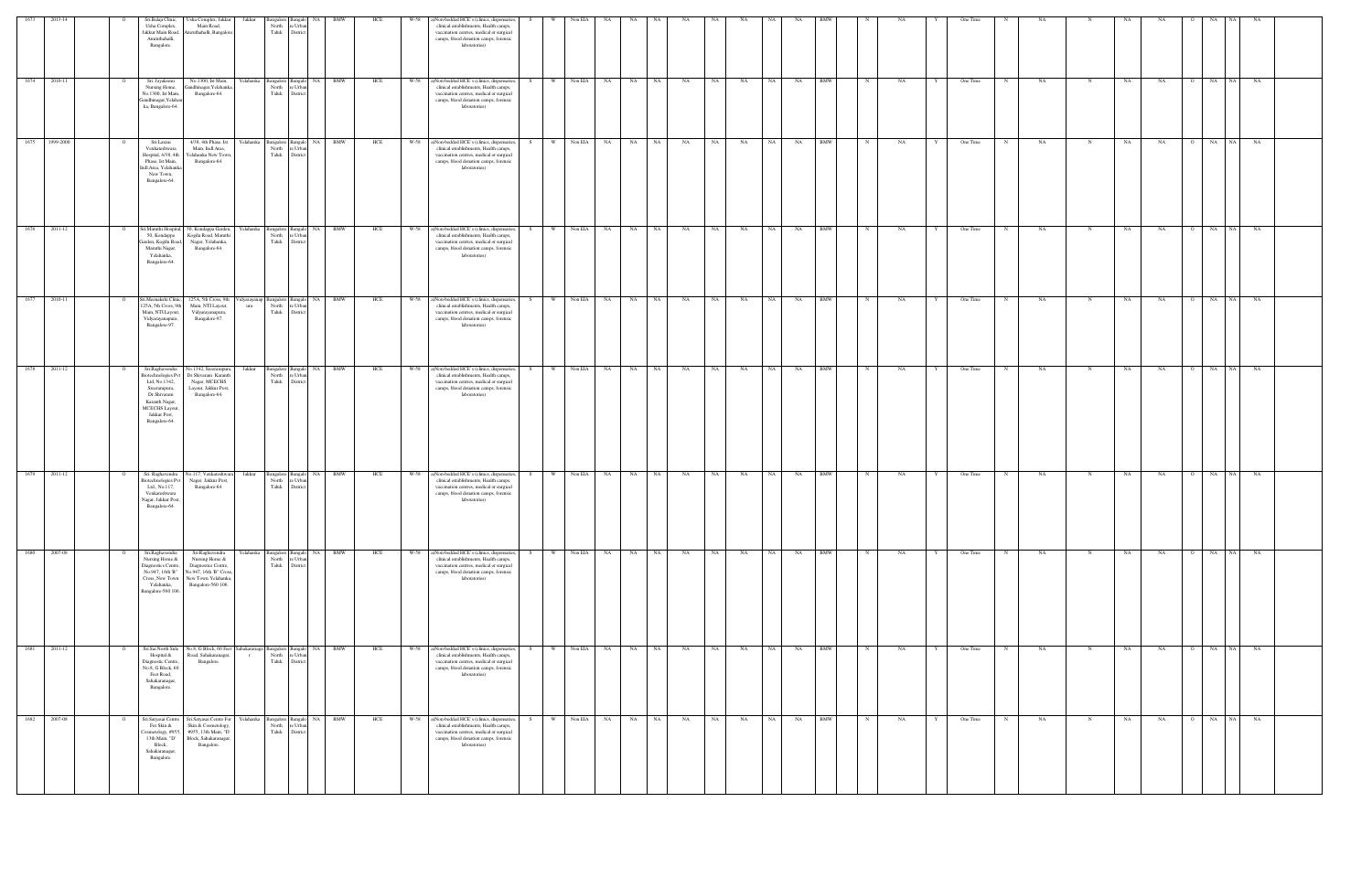| 2010-11<br>1677<br>1678 2011-12                                                                                                                                                                                                                                                        |
|----------------------------------------------------------------------------------------------------------------------------------------------------------------------------------------------------------------------------------------------------------------------------------------|
| $\circ$                                                                                                                                                                                                                                                                                |
| Sri.Raghavendra<br>No.1342, Sreerampura,<br>Jakkur<br>Dr.Shivaram Karanth<br><b>Biotechnologies Pvt</b><br>Ltd, No.1342,<br>Nagar, MCECHS<br>Layout, Jakkur Post,<br>Sreerampura,<br>Dr.Shivaram<br>Bangalore-64.<br>Karanth Nagar,<br>MCECHS Layout,<br>Jakkur Post,<br>Bangalore-64. |
| Bangalore Bangalo NA BMW<br>North re Urban<br>Taluk<br>District                                                                                                                                                                                                                        |
|                                                                                                                                                                                                                                                                                        |
| HCE                                                                                                                                                                                                                                                                                    |
| a)Non-bedded HCE's (clinics, dispensaries,<br>W-58<br>clinical establishments, Health camps,<br>vaccination centres, medical or surgical<br>camps, blood donation camps, forensic<br>laboratories)                                                                                     |
|                                                                                                                                                                                                                                                                                        |
|                                                                                                                                                                                                                                                                                        |
|                                                                                                                                                                                                                                                                                        |
|                                                                                                                                                                                                                                                                                        |
| S W Non EIA NA NA NA NA                                                                                                                                                                                                                                                                |
|                                                                                                                                                                                                                                                                                        |
| NA NA                                                                                                                                                                                                                                                                                  |
| NA N                                                                                                                                                                                                                                                                                   |
|                                                                                                                                                                                                                                                                                        |
|                                                                                                                                                                                                                                                                                        |
|                                                                                                                                                                                                                                                                                        |
|                                                                                                                                                                                                                                                                                        |
|                                                                                                                                                                                                                                                                                        |
|                                                                                                                                                                                                                                                                                        |
|                                                                                                                                                                                                                                                                                        |
|                                                                                                                                                                                                                                                                                        |
|                                                                                                                                                                                                                                                                                        |
|                                                                                                                                                                                                                                                                                        |
|                                                                                                                                                                                                                                                                                        |
|                                                                                                                                                                                                                                                                                        |
|                                                                                                                                                                                                                                                                                        |
| O NA NA                                                                                                                                                                                                                                                                                |
| NA                                                                                                                                                                                                                                                                                     |
|                                                                                                                                                                                                                                                                                        |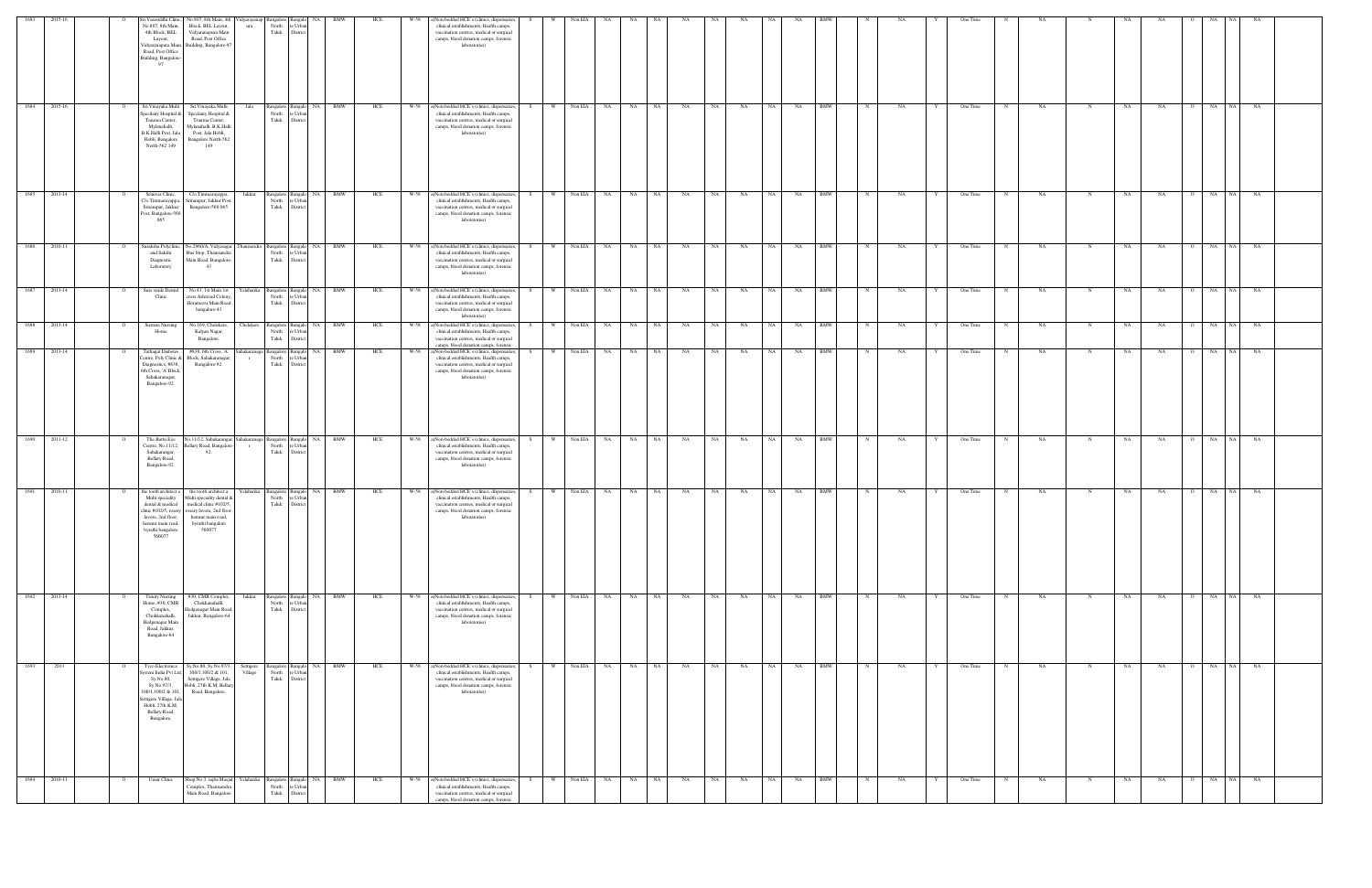| 1683<br>2015-16 | Sri. Varasiddhi Clinic,<br>No.807, 8th Main, 4th                                                                                                                                                                                                                                                                              | Vidyarayanap Bangalore Bangalo NA<br>BMW                                                               | HCE<br>W-58 | )Non-bedded HCE's (clinics, dispensaries,                                                                                                                                                       | - S | Non EIA        | NA.        | NA           |           |      | <b>NA</b> |           |           |                           |                    |   | One Time |             |           |             |             | NA.                         |            |           |  |
|-----------------|-------------------------------------------------------------------------------------------------------------------------------------------------------------------------------------------------------------------------------------------------------------------------------------------------------------------------------|--------------------------------------------------------------------------------------------------------|-------------|-------------------------------------------------------------------------------------------------------------------------------------------------------------------------------------------------|-----|----------------|------------|--------------|-----------|------|-----------|-----------|-----------|---------------------------|--------------------|---|----------|-------------|-----------|-------------|-------------|-----------------------------|------------|-----------|--|
|                 | No.807, 8th Main<br>Block, BEL Layout,<br>$_{\rm ura}$<br>4th Block, BEL<br>Vidyaranapura Main<br>Road, Post Office<br>Layout,<br>Building, Bangalore-97<br>Vidyaranapura Main<br>Road, Post Office<br><b>Building</b> , Bangalore<br>97                                                                                      | North<br>e Urba<br>Taluk<br>District                                                                   |             | clinical establishments, Health camps,<br>vaccination centres, medical or surgical<br>camps, blood donation camps, forensic<br>laboratories)                                                    |     |                |            |              |           |      |           |           |           |                           |                    |   |          |             |           |             |             |                             |            |           |  |
| 1684<br>2015-16 | Sri.Vinayaka Multi<br>Sri.Vinayaka Multi<br>Jala<br>pecilaity Hospital &<br>Specilaity Hospital &<br>Trauma Center,<br>Trauma Center,<br>Mylanahalli,<br>Mylanahalli, B.K.Halli<br>B.K.Halli Post, Jak<br>Post, Jala Hobli,<br>Hobli, Bangalore<br>Bangalore North-562<br>North-562 149<br>149                                | <b>BMW</b><br>NA 1<br>Bangalore Bangalo<br>North<br>e Urba<br>Taluk<br>District                        | HCE<br>W-58 | ()Non-bedded HCE's (clinics, dispensaries,<br>clinical establishments, Health camps,<br>vaccination centres, medical or surgical<br>camps, blood donation camps, forensic<br>laboratories)      | S.  | Non EIA<br>W   | <b>NA</b>  | NA<br>NA     | NA        | NA   | NA        | NA        | NA        | <b>BMW</b>                | NA                 |   | One Time |             | NA        | $\mathbf N$ | NA          | NA<br>$\Omega$              | NA<br>NA 1 | <b>NA</b> |  |
| 2013-14<br>1685 | Srinivas Clinic,<br>C/o.Timmarayappa,<br>Jakkur<br>'/o.Timmarayappa,<br>rirampur, Jakkur Post<br>Srirampur, Jakkur<br>Bangalore-560 065<br>Post, Bangalore-560<br>065                                                                                                                                                         | Bangalore Bangalo NA BMW<br>North<br>e Urba<br>Taluk<br>District                                       | W-58<br>HCE | a)Non-bedded HCE's (clinics, dispensaries,<br>clinical establishments, Health camps,<br>vaccination centres, medical or surgical<br>camps, blood donation camps, forensic<br>laboratories)      | S.  | W              | Non EIA NA | NA<br>NA     | <b>NA</b> | NA   | NA        | <b>NA</b> | NA        | <b>BMW</b>                | NA<br>$_{\rm N}$   |   | One Time |             | NA        | N           | NA          | NA<br>$\circ$               | NA<br>NA 1 | <b>NA</b> |  |
| 2010-11<br>1686 | Suraksha Polyclin<br>No.2960/A, Vidyasagar<br>$\overline{O}$<br>and Sakshi<br>Bus Stop, Thanisandra<br>Main Road, Bangalore-<br>Diagnostic<br>Laboratory<br>43                                                                                                                                                                | hanisandra Bangalore Bangalo<br>NA 1<br><b>BMW</b><br>North<br>re Urban<br>Taluk<br>District           | HCE<br>W-58 | a)Non-bedded HCE's (clinics, dispensaries,<br>clinical establishments, Health camps,<br>vaccination centres, medical or surgical<br>camps, blood donation camps, forensic<br>laboratories)      |     | W.             | Non EIA NA | NA<br>NA .   | NA        | NA   | NA        | NA        | NA        | <b>BMW</b><br>N           | NA                 | Y | One Time | N           | NA        | N           | NA          | NA<br>$\overline{O}$        | NA<br>NA   | NA        |  |
| 1687<br>2013-14 | Sure smile Denta<br>No.43, 1st Main 1st<br>Yelahanka<br>Clinic<br>cross Ashirvad Colony<br>Horamavu Main Road<br>bangalore-43                                                                                                                                                                                                 | NA 1<br><b>BMW</b><br>Bangalore Bangalo<br>North<br>re Urban<br>Taluk<br>District                      | HCE<br>W-58 | a)Non-bedded HCE's (clinics, dispensaries,<br>clinical establishments, Health camps,<br>vaccination centres, medical or surgical<br>camps, blood donation camps, forensic<br>laboratories)      |     | W              | Non EIA NA | NA<br>NA .   | NA        | NA   | NA        | NA        | NA        | <b>BMW</b>                | NA<br>N            |   | One Time | N           | <b>NA</b> | N           | $_{\rm NA}$ | NA<br>$\Omega$              | NA<br>NA 1 | <b>NA</b> |  |
| 1688 2013-14    | <b>Susruta Nursing</b><br>No.169, Chelekere,<br>Chelekere<br>Home<br>Kalyan Nagar,<br>Bangalore.                                                                                                                                                                                                                              | Bangalore Bangalo NA BMW<br>North<br>e Urba<br>Taluk<br>District                                       | HCE<br>W-58 | a)Non-bedded HCE's (clinics, dispensaries,<br>clinical establishments, Health camps,<br>vaccination centres, medical or surgical<br>camps, blood donation camps, forensic                       | S.  | W.             | Non EIA NA | NA<br>NA .   | NA        | NA   | NA        | NA 1      | NA        | <b>BMW</b>                | NA<br>$\mathbb{N}$ |   | One Time | N           | <b>NA</b> | N           | NA          | NA<br>$\overline{O}$        | NA<br>NA 1 | NA        |  |
| 1689 2013-14    | <b>Tathagat Diabetes</b><br>#838, 6th Cross, 'A'<br>$\circ$<br>entre, Poly Clinic &<br>Block, Sahakaranagar<br>Diagnostics, #838,<br>Bangalore-92.<br>6th Cross, 'A' Block,<br>Sahakaranagar,<br>Bangalore-92.                                                                                                                | Sahakaranaga Bangalore Bangalo NA<br><b>BMW</b><br>re Urba<br>North<br>Taluk<br>District               | HCE         | W-58 a)Non-bedded HCE's (clinics, dispensaries,<br>clinical establishments, Health camps,<br>vaccination centres, medical or surgical<br>camps, blood donation camps, forensic<br>laboratories) | S   | w I            | Non EIA NA | NA 1<br>NA 1 | <b>NA</b> | NA 1 | NA        | NA        | <b>NA</b> | <b>BMW</b><br>$\mathbf N$ | NA                 | Y | One Time | N           | NA        | $\mathbf N$ | NA          | NA<br>$\overline{O}$        | NA NA NA   |           |  |
| 1690 2011-12    | The Battu Eye<br>$\circ$<br>ellary Road, Bangalor<br>Centre, No.11/12,<br>Sahakarangar,<br>92.<br>Bellary Road,<br>Bangalore-92.                                                                                                                                                                                              | No.11/12, Sahakarangar, Sahakaranaga Bangalore Bangalo NA BMW<br>re Urba<br>North<br>Taluk<br>District | HCE         | W-58 a)Non-bedded HCE's (clinics, dispensaries,<br>clinical establishments, Health camps,<br>vaccination centres, medical or surgical<br>camps, blood donation camps, forensic<br>laboratories) | S – | W Non EIA NA   |            | NA NA        | NA        | NA N | NA        | NA        | NA BMW    | $\mathbb N$               | NA                 | Y | One Time | N           | NA        | $\mathbf N$ | <b>NA</b>   | <b>NA</b>                   | 0 NA NA NA |           |  |
| 1691<br>2010-11 | the tooth architect a<br>the tooth architect a<br>Multi speciality dental &<br>Multi speciality<br>medical clinic #102/5,<br>dental & medical<br>clinic #102/5, rosary rosary lavora, 2nd floor,<br>lavora, 2nd floor.<br>hennur main road<br>hennur main road,<br>byrathi bangalore<br>byrathi bangalore<br>560077<br>560077 | Yelahanka Bangalore Bangalo NA<br><b>BMW</b><br>North re Urbar<br>Taluk<br>District                    | HCE<br>W-58 | a)Non-bedded HCE's (clinics, dispensaries,<br>clinical establishments, Health camps,<br>vaccination centres, medical or surgical<br>camps, blood donation camps, forensic<br>laboratories)      |     | W              | Non EIA NA | NA<br>NA .   | NA        | NA   | NA        | <b>NA</b> | NA        | <b>BMW</b>                | NA                 | Y | One Time | $\mathbf N$ | NA        | $\mathbf N$ | NA          | NA<br>$\overline{O}$        | NA<br>NA 1 | NA        |  |
| 2013-14<br>1692 | #30, CMR Complex,<br><b>Trinity Nursing</b><br>Jakkur<br>Home, #30, CMR<br>Chokkanahalli,<br>Iedgenagar Main Road<br>Complex,<br>Chokkanahalli,<br>Jakkur, Bangalore-64<br>Hedgenagar Main<br>Road, Jakkur,<br>Bangalore-64                                                                                                   | NA<br>BMW<br>Bangalore Bangalo<br>North<br>re Urban<br>Taluk<br>District                               | HCE<br>W-58 | a)Non-bedded HCE's (clinics, dispensaries,<br>clinical establishments, Health camps,<br>vaccination centres, medical or surgical<br>camps, blood donation camps, forensic<br>laboratories)      |     | W<br>Non EIA   | NA         | NA<br>NA     | NA        | NA   | NA        | NA        | NA        | <b>BMW</b><br>$_{\rm N}$  | NA                 |   | One Time | $_{\rm N}$  | <b>NA</b> | N           | $_{\rm NA}$ | NA<br>$\overline{O}$        | NA<br>NA 1 | NA        |  |
| 1693<br>2013    | Tyco Electronics<br>Sy.No.80, Sy.No.97/3<br>Settigere<br>100/1,100/2 & 101,<br>Village<br>ystem India Pvt Ltd,<br>Settigere Village, Jala<br>Sy.No.80,<br>Sy.No.97/3,<br>Hobli, 27th K.M, Bellary<br>100/1,100/2 & 101,<br>Road, Bangalore.<br>Settigere Village, Jal:<br>Hobli, 27th K.M,<br>Bellary Road,<br>Bangalore.     | Bangalore Bangalo<br><b>NA</b><br>BMW<br>North<br>re Urban<br>Taluk<br>District                        | HCE<br>W-58 | a)Non-bedded HCE's (clinics, dispensaries,<br>clinical establishments, Health camps,<br>vaccination centres, medical or surgical<br>camps, blood donation camps, forensic<br>laboratories)      | S.  | W              | Non EIA NA | NA<br>NA 1   | NA        | NA   | NA        | <b>NA</b> | NA        | <b>BMW</b>                | NA<br>N            | Y | One Time | $\mathbf N$ | NA.       | $\mathbf N$ | NA          | <b>NA</b><br>$\overline{O}$ | NA<br>NA 1 | NA        |  |
| 1694<br>2010-11 | Umar Clinic<br>Shop.No.3, uqba Masjid<br>Yelahanka<br>Complex, Thanisandra<br>Main Road, Bangalore                                                                                                                                                                                                                            | Bangalore Bangalo NA<br>BMW<br>North<br>e Urbar<br>Taluk<br>District                                   | W-58<br>HCE | )Non-bedded HCE's (clinics, dispensaries,<br>clinical establishments, Health camps,<br>vaccination centres, medical or surgical<br>camps, blood donation camps, forensic                        | S.  | Non EIA<br>- W | NA.        | NA<br>NA     | NA        | NA   | NA        | - NA      | NA        | BMW                       | NA                 |   | One Time |             | NA        |             | NA          | NA                          | NA.<br>NA. | NA        |  |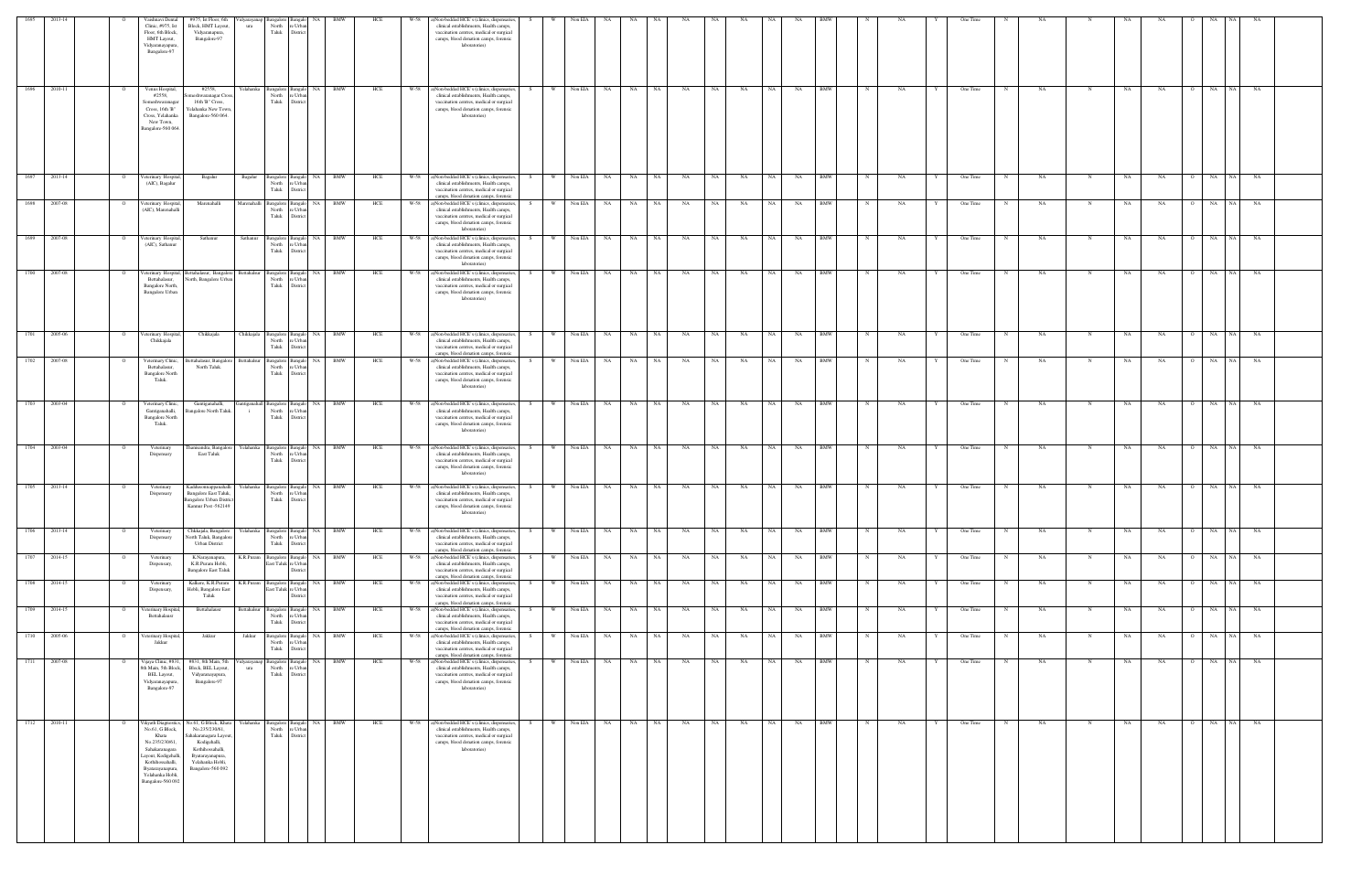| 1695 | 2013-14      | Vaishnavi Dental                                                                                                                                                                              | #975, Ist Floor, 6th                                                                                                                                              |                     |                                                                    | 'idyarayanap Bangalore Bangalo NA               | BMW        | HCE | W-58 | ()Non-bedded HCE's (clinics, dispensaries,                                                                                                                                                                                          |      |                | Non EIA      |    |           |               |           |           |           |           |           |            |   |    |   | One Time |             |           |             |    |           |                |           |           |  |
|------|--------------|-----------------------------------------------------------------------------------------------------------------------------------------------------------------------------------------------|-------------------------------------------------------------------------------------------------------------------------------------------------------------------|---------------------|--------------------------------------------------------------------|-------------------------------------------------|------------|-----|------|-------------------------------------------------------------------------------------------------------------------------------------------------------------------------------------------------------------------------------------|------|----------------|--------------|----|-----------|---------------|-----------|-----------|-----------|-----------|-----------|------------|---|----|---|----------|-------------|-----------|-------------|----|-----------|----------------|-----------|-----------|--|
|      |              | Clinic, #975, Ist<br>Floor, 6th Block,<br>HMT Layout,<br>Vidyaranayapura,<br>Bangalore-97                                                                                                     | Block, HMT Layout,<br>Vidyaranapura,<br>Bangalore-97                                                                                                              | ura                 | North<br>Taluk                                                     | re Urbar<br>District                            |            |     |      | clinical establishments, Health camps,<br>vaccination centres, medical or surgical<br>camps, blood donation camps, forensic<br>laboratories)                                                                                        |      |                |              |    |           |               |           |           |           |           |           |            |   |    |   |          |             |           |             |    |           |                |           |           |  |
|      | 1696 2010-11 | Venus Hospital,<br>#2558,<br>Someshwaranagar<br>Cross, 16th 'B"<br>Cross, Yelahanka<br>New Town,<br>Bangalore-560 064                                                                         | #2558,<br>omeshwaranagar Cross<br>16th 'B" Cross,<br>Yelahanka New Town<br>Bangalore-560 064.                                                                     | Yelahanka           | North<br>Taluk                                                     | Bangalore Bangalo NA BMW<br>re Urba<br>District |            | HCE | W-58 | a)Non-bedded HCE's (clinics, dispensaries,<br>clinical establishments, Health camps,<br>vaccination centres, medical or surgical<br>camps, blood donation camps, forensic<br>laboratories)                                          | S –  | W <sub>1</sub> | Non EIA NA   |    | NA 1      | NA            | NA        | NA -      | NA        | NA N      | NA        | <b>BMW</b> | N | NA | Y | One Time | N           | NA        | N           | NA | NA        | O NA NA        |           | NA        |  |
| 1697 | 2013-14      | eterinary Hospital,<br>(AIC), Bagalur                                                                                                                                                         | Bagalur                                                                                                                                                           | Bagalur             | Bangalore Bangalo<br>North<br>Taluk                                | NA 1<br>re Urba<br>District                     | <b>BMW</b> | HCE | W-58 | a)Non-bedded HCE's (clinics, dispensaries,<br>clinical establishments, Health camps,<br>vaccination centres, medical or surgical                                                                                                    | S.   | W.             | Non EIA      | NA | <b>NA</b> | NA 1          | NA        | NA        | NA        | NA        | NA        | <b>BMW</b> | N | NA |   | One Time | N           | NA        | N           | NA | NA        | NA<br>$\circ$  | NA        | NA        |  |
|      | 1698 2007-08 | /eterinary Hospital,<br>(AIC), Marenahalli                                                                                                                                                    | Marenahalli                                                                                                                                                       | Marenahalli         | Bangalore Bangalo<br>North<br>Taluk                                | NA<br>e Urba<br>District                        | <b>BMW</b> | HCE | W-58 | camps, blood donation camps, forensic<br>a)Non-bedded HCE's (clinics, dispensaries,<br>clinical establishments, Health camps,<br>vaccination centres, medical or surgical<br>camps, blood donation camps, forensic<br>laboratories) | - S  |                | Non EIA NA   |    | <b>NA</b> | NA            | NA        | NA        | NA        | <b>NA</b> | NA        | <b>BMW</b> |   | NA |   | One Time |             | NA        |             | NA | NA        | NA             | <b>NA</b> | NA        |  |
|      | 1699 2007-08 | eterinary Hospital,<br>(AIC), Sathanur                                                                                                                                                        | Sathanur                                                                                                                                                          | Sathanur            | Bangalore Bangalo<br>North re Urba<br>Taluk                        | District                                        | NA BMW     | HCE | W-58 | a)Non-bedded HCE's (clinics, dispensaries,<br>clinical establishments, Health camps,<br>vaccination centres, medical or surgical<br>camps, blood donation camps, forensic<br>laboratories)                                          | S.   | <b>W</b>       | Non EIA NA   |    | NA        | NA            | NA        | NA        | NA        | <b>NA</b> | NA        | <b>BMW</b> |   | NΑ |   | One Time | N           | NA        |             | NA | NA        | O NA           | NA        | NA        |  |
|      | 1700 2007-08 | Veterinary Hospital,<br>Bettahalasur,<br>Bangalore North,<br>Bangalore Urban                                                                                                                  | Bettahalasur, Bangalore<br>North, Bangalore Urban                                                                                                                 | Bettahalsur         | Bangalore Bangalo<br>North<br>Taluk                                | re Urba<br>District                             | NA BMW     | HCE | W-58 | a)Non-bedded HCE's (clinics, dispensaries,<br>clinical establishments, Health camps,<br>vaccination centres, medical or surgical<br>camps, blood donation camps, forensic<br>laboratories)                                          |      | W              | Non EIA NA   |    | NA 1      | NA 1          | <b>NA</b> | NA        | <b>NA</b> | NA 1      | NA        | <b>BMW</b> | N | NA |   | One Time | N           | NA        | N           | NA | <b>NA</b> | O NA           | <b>NA</b> | <b>NA</b> |  |
|      | 1701 2005-06 | eterinary Hospital,<br>Chikkajala                                                                                                                                                             | Chikkajala                                                                                                                                                        | Chikkajala          | Bangalore Bangalo<br>North<br>Taluk                                | NA 1<br>e Urba<br>Distric                       | <b>BMW</b> | HCE | W-58 | a)Non-bedded HCE's (clinics, dispensaries<br>clinical establishments, Health camps,<br>vaccination centres, medical or surgical                                                                                                     |      | - W            | Non EIA      | NA | NA        | NA            | NA        | NA        | NA        | NA        | NA        | BMW        |   | NA |   | One Time | N           | NA        | N           | NA | NA        | NA             | NA        | NA        |  |
|      | 1702 2007-08 | Veterinary Clinic,<br>Bettahalasur,<br><b>Bangalore North</b><br>Taluk.                                                                                                                       | Bettahalasur, Bangalore<br>North Taluk.                                                                                                                           | Bettahalsur         | Bangalore Bangalo<br>North<br>Taluk                                | re Urba<br>District                             | NA BMW     | HCE | W-58 | camps, blood donation camps, forensic<br>a)Non-bedded HCE's (clinics, dispensaries,<br>clinical establishments, Health camps,<br>vaccination centres, medical or surgical<br>camps, blood donation camps, forensic<br>laboratories) |      | <b>W</b>       | Non EIA NA   |    | <b>NA</b> | NA            | NA        | <b>NA</b> | NA        | <b>NA</b> | NA        | <b>BMW</b> |   | NA |   | One Time | N           | <b>NA</b> | N           | NA | NA        | O NA NA        |           | <b>NA</b> |  |
|      | 1703 2003-04 | Veterinary Clinic,<br>Gantiganahalli,<br><b>Bangalore North</b><br>Taluk.                                                                                                                     | Gantiganahalli,<br>Bangalore North Taluk.                                                                                                                         |                     | intiganahall Bangalore Bangalo<br>North re Urban<br>Taluk District |                                                 | NA BMW     | HCE |      | W-58 a)Non-bedded HCE's (clinics, dispensaries,<br>clinical establishments, Health camps,<br>vaccination centres, medical or surgical<br>camps, blood donation camps, forensic<br>laboratories)                                     | -S - |                | W Non EIA NA |    | NA N      | NA 1          | NA        | NA N      | <b>NA</b> | NA N      | <b>NA</b> | <b>BMW</b> | N | NA |   | One Time | N           | <b>NA</b> | N           | NA | NA        | O NA NA        |           | NA        |  |
|      | 1704 2003-04 | Veterinary<br>Dispensary                                                                                                                                                                      | hanisandra, Bangalore<br>East Taluk                                                                                                                               |                     | Yelahanka Bangalore Bangalo<br>North<br>Taluk                      | re Urba<br>District                             | NA BMW     | HCE |      | W-58 a)Non-bedded HCE's (clinics, dispensaries,<br>clinical establishments, Health camps,<br>vaccination centres, medical or surgical<br>camps, blood donation camps, forensic<br>laboratories)                                     |      | <b>W</b>       | Non EIA NA   |    | NA N      | $\mathbf{NA}$ | <b>NA</b> | NA 1      | <b>NA</b> | NA N      | NA        | <b>BMW</b> |   | NA |   | One Time | N           | <b>NA</b> | N           | NA | <b>NA</b> | O NA NA        |           | NA        |  |
|      | 1705 2013-14 | Veterinary<br>Dispensary                                                                                                                                                                      | Kaddusonnappanahalli<br>Bangalore East Taluk,<br><b>Bangalore Urban District</b><br>Kannur Post -562149                                                           | Yelahanka           | Bangalore Bangalo<br>North re Urba<br>Taluk District               |                                                 | NA BMW     | HCE | W-58 | a)Non-bedded HCE's (clinics, dispensaries,<br>clinical establishments, Health camps,<br>vaccination centres, medical or surgical<br>camps, blood donation camps, forensic<br>laboratories)                                          |      | <b>W</b>       | Non EIA NA   |    | NA        | NA            | NA        | <b>NA</b> | NA        | <b>NA</b> | NA        | <b>BMW</b> |   | NA |   | One Time |             | NA        |             | NA | NA        | O NA           | <b>NA</b> | NA        |  |
| 1706 | 2013-14      | Veterinary<br>Dispensary                                                                                                                                                                      | Chkkajala, Bangalore<br>North Taluk, Bangalon<br><b>Urban District</b>                                                                                            | Yelahanka           | Bangalore Bangalo<br>North<br>Taluk                                | NA 1<br>re Urba<br>Distric                      | <b>BMW</b> | HCE | W-58 | a)Non-bedded HCE's (clinics, dispensaries,<br>clinical establishments, Health camps,<br>vaccination centres, medical or surgical<br>camps, blood donation camps, forensic                                                           |      | W              | Non EIA      | NA | NA        | NA            | NA        | NA        | NA        | <b>NA</b> | NA        | <b>BMW</b> |   | NΑ |   | One Time |             | NA        |             | NΑ | NA        | NA             | NA        | NA        |  |
| 1707 | 2014-15      | Veterinary<br>Dispensary,                                                                                                                                                                     | K.Narayanapura,<br>K.R.Puram Hobli,<br><b>Bangalore East Taluk</b>                                                                                                | K.R.Puram           | Bangalore Bangalo<br>East Taluk re Urbar                           | <b>NA</b><br>Distric                            | BMW        | HCE | W-58 | ()Non-bedded HCE's (clinics, dispensaries,<br>clinical establishments, Health camps,<br>vaccination centres, medical or surgical<br>camps, blood donation camps, forensic                                                           |      | - W            | Non EIA      | NA | NA        | NA            | NA        | NA        | NA        | NA        | NA        | BMW        |   | NΑ |   | One Time |             | NA        |             | NA | NA        | NA             | NA.       | NA        |  |
|      | 1708 2014-15 | Veterinary<br>Dispensary,                                                                                                                                                                     | Kalkere, K.R.Puram<br>Hobli, Bangalore East<br>Taluk                                                                                                              | K.R.Puram           | Bangalore Bangalo<br>East Taluk re Urba                            | Distric                                         | NA BMW     | HCE | W-58 | ()Non-bedded HCE's (clinics, dispensaries,<br>clinical establishments, Health camps,<br>vaccination centres, medical or surgical<br>camps, blood donation camps, forensic                                                           | S.   | W              | Non EIA      | NA | NA        | NA            | NA        | NA        | NA        | <b>NA</b> | NA        | BMW        |   | NA |   | One Time |             | NA        |             | NA | NA        | NA             | NA        | NA        |  |
| 1709 | 2014-15      | eterinary Hospital<br>Bettahalausr                                                                                                                                                            | Bettahalausr                                                                                                                                                      | Bettahalsur         | Bangalore Bangalo<br>North<br>Taluk                                | NA 1<br>re Urba<br>District                     | BMW        | HCE | W-58 | a)Non-bedded HCE's (clinics, dispensaries,<br>clinical establishments, Health camps,<br>vaccination centres, medical or surgical<br>camps, blood donation camps, forensic                                                           | S.   | <b>W</b>       | Non EIA      | NA | NA        | NA            | NA        | NA        | NA        | NA        | NA        | <b>BMW</b> |   | NA |   | One Time | N           | NA        | N           | NA | NA        | NA             | <b>NA</b> | NA        |  |
| 1710 | 2005-06      | eterinary Hospita<br>Jakkur                                                                                                                                                                   | Jakkur                                                                                                                                                            | Jakkur              | Bangalore Bangal<br>North<br>Taluk                                 | NA<br>re Urba<br>District                       | BMW        | HCE | W-58 | a)Non-bedded HCE's (clinics, dispensaries,<br>clinical establishments, Health camps,<br>vaccination centres, medical or surgical<br>camps, blood donation camps, forensic                                                           |      | W              | Non EIA      | NA | NA        | NA            | NA        | NA        | NA        | <b>NA</b> | NA        | BMW        |   | NA |   | One Time | N           | NA        | N           | NA | NA        | NA<br>$\Omega$ | NA        | NA        |  |
|      | 1711 2007-08 | Vijaya Clinic, #831,<br>8th Main, 5th Block,<br>BEL Layout,<br>Vidyaranayapura,<br>Bangalore-97                                                                                               | #831, 8th Main, 5th<br>Block, BEL Layout,<br>Vidyaranayapura,<br>Bangalore-97                                                                                     | /idyarayanap<br>ura | Bangalore Bangal<br>North re Urbar<br>Taluk District               | NA                                              | <b>BMW</b> | HCE | W-58 | a)Non-bedded HCE's (clinics, dispensaries,<br>clinical establishments, Health camps,<br>vaccination centres, medical or surgical<br>camps, blood donation camps, forensic<br>laboratories)                                          | S.   | <b>W</b>       | Non EIA      | NA | <b>NA</b> | NA            | NA        | NA        | NA        | NA        | NA        | <b>BMW</b> |   | NA |   | One Time | $\mathbf N$ | NA        | $\mathbf N$ | NA | NA        | O NA           | NA        | NA        |  |
|      | 1712 2010-11 | Vikyath Diagnostics,<br>No.61, G Block,<br>Khata<br>No.235/230/61,<br>Sahakaranagara<br>Layout, Kodigehalli,<br>Kothihossahalli,<br>Byatarayanapura,<br>Yelahanka Hobli,<br>Bangalore-560 092 | No.61, G Block, Khata<br>No.235/230/61,<br>Sahakaranagara Layout<br>Kodigehalli,<br>Kothihossahalli,<br>Byatarayanapura,<br>Yelahanka Hobli,<br>Bangalore-560 092 | Yelahanka           | Bangalore Bangalo<br>North<br>Taluk                                | re Urbar<br>District                            | NA BMW     | HCE | W-58 | a)Non-bedded HCE's (clinics, dispensaries,<br>clinical establishments, Health camps,<br>vaccination centres, medical or surgical<br>camps, blood donation camps, forensic<br>laboratories)                                          |      | W              | Non EIA NA   |    | <b>NA</b> | NA            | NA        | NA        | <b>NA</b> | NA        | <b>NA</b> | <b>BMW</b> | N | NA |   | One Time | $_{\rm N}$  | NA        | N           | NA | <b>NA</b> | O NA           | <b>NA</b> | NA        |  |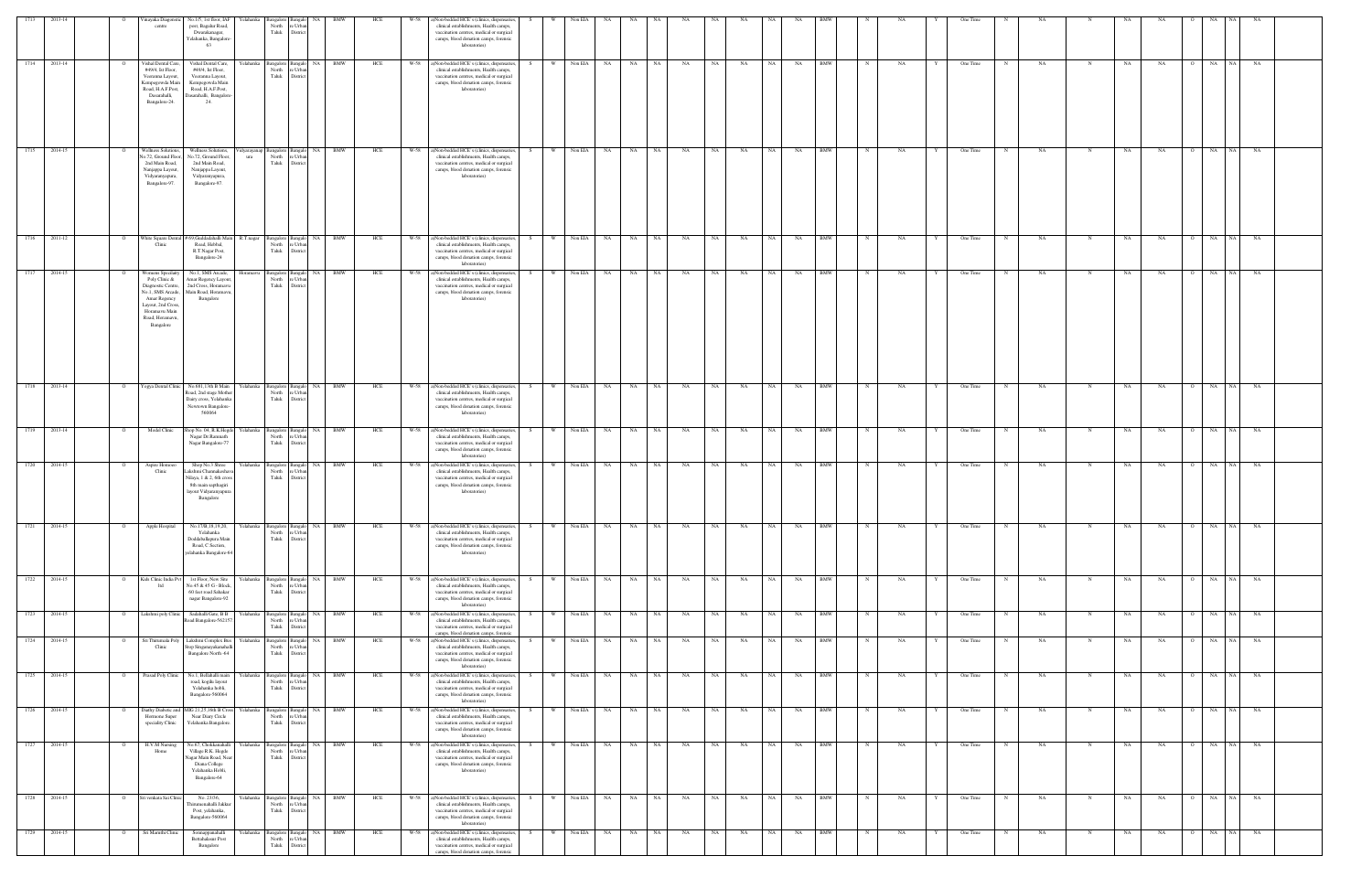| 1713         | 2013-14 |                | /inayaka Diagonst<br>centre                                                                                                                                         | No.1/5, 1st floor, IAF<br>r′elahanka<br>post, Bagalur Road,<br>Dwarakanagar,<br>Yelahanka, Bangalore<br>63                                         | North<br>Taluk                     | e Urbar<br>District                                    | <b>BMW</b> | HCE | W-58 | a)Non-bedded HCE's (clinics, dispensaries,<br>clinical establishments, Health camps,<br>vaccination centres, medical or surgical<br>camps, blood donation camps, forensic<br>laboratories)                         |               | Non EIA |           | NA.             |    |    |      |           |           |    |            |              |    |   | One Time |             |           |             |    |           |              |                 |                 |  |
|--------------|---------|----------------|---------------------------------------------------------------------------------------------------------------------------------------------------------------------|----------------------------------------------------------------------------------------------------------------------------------------------------|------------------------------------|--------------------------------------------------------|------------|-----|------|--------------------------------------------------------------------------------------------------------------------------------------------------------------------------------------------------------------------|---------------|---------|-----------|-----------------|----|----|------|-----------|-----------|----|------------|--------------|----|---|----------|-------------|-----------|-------------|----|-----------|--------------|-----------------|-----------------|--|
| 1714 2013-14 |         | - 0            | Vishal Dental Care<br>#49/4, Ist Floor,<br>Veeranna Layout,<br>Kempegowda Main<br>Road, H.A.F.Post,<br>Dasarahalli,<br>Bangalore-24.                                | Vishal Dental Care,<br>Yelahanka<br>#49/4, Ist Floor,<br>Veeranna Layout,<br>Kempegowda Main<br>Road, H.A.F.Post,<br>Dasarahalli, Bangalore<br>24. | North<br>Taluk                     | <b>NA</b><br>Bangalore Bangalo<br>e Urba<br>District   | <b>BMW</b> | HCE | W-58 | a)Non-bedded HCE's (clinics, dispensaries,<br>clinical establishments, Health camps,<br>vaccination centres, medical or surgical<br>camps, blood donation camps, forensic<br>laboratories)                         | <b>W</b>      | Non EIA | NA        | NA 1<br>NA      | NA |    | NA 1 | <b>NA</b> | NA 1      | NA | <b>BMW</b> | $\mathbb{N}$ | NA |   | One Time | N           | <b>NA</b> | $\mathbf N$ | NA | <b>NA</b> |              | O NA NA         | <b>NA</b>       |  |
| 1715 2014-15 |         |                | <b>Wellness Solution</b><br>Vo.72, Ground Floor.<br>2nd Main Road,<br>Nanjappa Layout,<br>Vidyaranyapura,<br>Bangalore-97.                                          | Wellness Solutions,<br>No.72, Ground Floor,<br>ura<br>2nd Main Road,<br>Nanjappa Layout,<br>Vidyaranyapura,<br>Bangalore-97.                       | North<br>Taluk                     | idyarayanap Bangalore Bangalo NA<br>e Urba<br>District | <b>BMW</b> | HCE | W-58 | a)Non-bedded HCE's (clinics, dispensaries,<br>clinical establishments, Health camps,<br>vaccination centres, medical or surgical<br>camps, blood donation camps, forensic<br>laboratories)                         | W.            | Non EIA | NA        | NA<br>NA 1      | NA |    | NA 1 | <b>NA</b> | NA 1      | NA | <b>BMW</b> | $\mathbf N$  | NA |   | One Time | N           | NA        | N           | NA | <b>NA</b> |              | O NA NA         | NA              |  |
| 1716 2011-12 |         |                | Clinic                                                                                                                                                              | White Square Dental # 69, Guddadahalli Mair<br>R.T.nagar<br>Road, Hebbal,<br>R.T.Nagar Post,<br>Bangalore-24                                       | Bangalore<br>North<br>Taluk        | NA<br>Bangalo<br>e Urba<br>District                    | <b>BMW</b> | HCE | W-58 | a)Non-bedded HCE's (clinics, dispensaries,<br>clinical establishments, Health camps,<br>vaccination centres, medical or surgical<br>camps, blood donation camps, forensic<br>laboratories)                         | W             | Non EIA | NA        | NA<br><b>NA</b> | NA | NA |      | NA        | NA .      | NA | <b>BMW</b> |              | NA |   | One Time |             | NA        | N           | NA | NA        | O NA         |                 | <b>NA</b><br>NA |  |
| 1717         | 2014-15 |                | Vomens Specilaity<br>Poly Clinic &<br>Diagnostic Centre,<br>No.1, SMS Arcade,<br>Amar Regency<br>Layout, 2nd Cross<br>Horamavu Main<br>Road, Horamavu,<br>Bangalore | No.1, SMS Arcade,<br>Horamavu<br>Amar Regency Layout<br>2nd Cross, Horamavu<br>Main Road, Horamav<br>Bangalore                                     | Bangalore<br>North<br>Taluk        | <b>NA</b><br>3angalo<br>: Urb<br>Distri                | <b>BMW</b> | HCE | W-58 | a)Non-bedded HCE's (clinics, dispensaries,<br>clinical establishments, Health camps,<br>vaccination centres, medical or surgical<br>camps, blood donation camps, forensic<br>laboratories)                         | W             | Non EIA | NA        | NA<br>NA        | NA | NA |      | NA        | NA        | NA | <b>BMW</b> |              | NA |   | One Time |             | NA        | N           | NA | NA        |              | NA              | NA<br>NA        |  |
| 1718         | 2013-14 |                | Yogya Dental Clinic                                                                                                                                                 | No.681,13th B Main<br>load, 2nd stage Mother<br>Dairy cross, Yelahanka<br>Newtown Bangalore-<br>560064                                             | 3angalon<br>North<br>Taluk         | NA<br>: Urb<br>Distric                                 | BMW        | HCE | W-58 | a)Non-bedded HCE's (clinics, dispensaries,<br>clinical establishments, Health camps,<br>vaccination centres, medical or surgical<br>camps, blood donation camps, forensic<br>laboratories)                         |               | Non EIA |           | NA<br>NA        | NA | NA |      | NA        | NA        | NA | BMW        |              |    |   | One Time |             | NA        |             | NA | NA        |              | NA<br><b>NA</b> |                 |  |
| 1719 2013-14 |         |                | Model Clinic                                                                                                                                                        | 10p No. 04, R.K.Hego<br>relahanka<br>Nagar Dr.Ramnath<br>Nagar Bangalore-77                                                                        | Bangalore<br>North<br>Taluk        | NA<br>3angalo<br>: Urba<br>District                    | BMW        | HCE | W-58 | a)Non-bedded HCE's (clinics, dispensaries,<br>clinical establishments, Health camps,<br>vaccination centres, medical or surgical<br>camps, blood donation camps, forensic<br>laboratories)                         | - W           | Non EIA | NA        | <b>NA</b><br>NA | NA | NA |      | NA        | NA .      | NA | <b>BMW</b> |              | NA |   | One Time |             | NA        |             | NA | NA        |              | NA              | NA<br>NA        |  |
| 1720         | 2014-15 |                | Aspire Homoeo<br>Clinic                                                                                                                                             | Shop No.3 Shree<br>Yelahanka<br>Lakshmi Channakeshav<br>Vilaya, 1 & 2, 6th cross<br>8th main sapthagiri<br>ayout Vidyaranyapura<br>Bangalore       | <b>Bangalore</b><br>North<br>Taluk | Bangalo NA<br>e Urba<br>District                       | <b>BMW</b> | HCE | W-58 | a)Non-bedded HCE's (clinics, dispensaries,<br>clinical establishments, Health camps,<br>vaccination centres, medical or surgical<br>camps, blood donation camps, forensic<br>laboratories)                         | W<br>S.       | Non EIA | <b>NA</b> | NA 1<br>NA 1    | NA |    | NA 1 | NA        | NA 1      | NA | BMW        | $\mathbb N$  | NA |   | One Time | N           | NA        |             | NA | NA        | O NA         |                 | <b>NA</b><br>NA |  |
| 1721         | 2014-15 |                | Apple Hospital                                                                                                                                                      | No.17/B,18,19,20,<br>Yelahanka<br>Yelahanka<br>Doddaballapura Main<br>Road, C Section,<br>elahanka Bangalore-64                                    | sangalore<br>North<br>Taluk        | Bangalo NA<br>e Urban<br>District                      | <b>BMW</b> | HCE | W-58 | a)Non-bedded HCE's (clinics, dispensaries,<br>clinical establishments, Health camps,<br>vaccination centres, medical or surgical<br>camps, blood donation camps, forensic<br>laboratories)                         | W             | Non EIA | NA        | NA<br>NA        | NA | NA |      | NA        | <b>NA</b> | NA | BMW        |              | NA |   | One Time |             | NA        |             | NA | NA        |              | NA<br><b>NA</b> | <b>NA</b>       |  |
| 1722         | 2014-15 |                | Kids Clinic India Pv<br>ltd                                                                                                                                         | 1st Floor, New Site<br>Yelahanka<br>No.45 & 45 G - Block<br>60 feet road Sahakar<br>nagar Bangalore-92                                             | North<br>Taluk                     | Bangalore Bangalo NA<br>e Urbar<br>District            | <b>BMW</b> | HCE | W-58 | a)Non-bedded HCE's (clinics, dispensaries,<br>clinical establishments, Health camps,<br>vaccination centres, medical or surgical<br>camps, blood donation camps, forensic<br>laboratories)                         | W<br>S.       | Non EIA | NA        | NA<br>NA 1      | NA | NA |      | NA        | NA 1      | NA | <b>BMW</b> | N            | NA |   | One Time | N           | NA        | N           | NA | NA        | $\mathbf{o}$ | NA<br>NA        | NA              |  |
| 1723         | 2014-15 |                | Lakshmi poly Clini                                                                                                                                                  | Sadahalli Gate, B B<br>relahanka<br>Road Bangalore-56215                                                                                           | North<br>Taluk                     | NA<br>Bangalore Bangalo<br>e Urban<br>District         | <b>BMW</b> | HCE | W-58 | a)Non-bedded HCE's (clinics, dispensaries,<br>clinical establishments, Health camps,<br>vaccination centres, medical or surgical<br>camps, blood donation camps, forensic                                          | <b>W</b>      | Non EIA | NA        | <b>NA</b><br>NA | NA | NA |      | NA        | NA        | NA | <b>BMW</b> | $_{\rm N}$   | NA |   | One Time |             | NA        | N           | NA | NA        | O NA         |                 | NA<br>NA        |  |
| 1724         | 2014-15 | $\circ$        | Sri Thirumala Poly<br>Clinic                                                                                                                                        | Lakshmi Complex Bus<br>Yelahanka<br>Stop Singanayakanahalli<br>Bangalore North -64                                                                 | Bangalore<br>North<br>Taluk        | NA .<br>Bangalo<br>e Urban<br>District                 | BMW        | HCE | W-58 | a)Non-bedded HCE's (clinics, dispensaries,<br>clinical establishments, Health camps,<br>vaccination centres, medical or surgical<br>camps, blood donation camps, forensic<br>laboratories)                         | S<br><b>W</b> | Non EIA | <b>NA</b> | NA 1<br>NA 1    | NA |    | NA 1 | <b>NA</b> | NA 1      | NA | <b>BMW</b> | $\mathbb N$  | NA | Y | One Time | $\mathbf N$ | NA        | $\mathbf N$ | NA | NA        | O NA         |                 | NA<br>NA        |  |
| 1725 2014-15 |         | $\overline{O}$ | Prasad Poly Clinic                                                                                                                                                  | No.1, Bellahalli main<br>Yelahanka  <br>road, kogilu layout<br>Yelahanka hobli,<br>Bangalore-560064                                                | North<br>Taluk                     | Bangalore Bangalo NA<br>e Urbar<br>District            | BMW        | HCE | W-58 | a)Non-bedded HCE's (clinics, dispensaries,<br>clinical establishments, Health camps,<br>vaccination centres, medical or surgical<br>camps, blood donation camps, forensic<br>laboratories)                         | W             | Non EIA | <b>NA</b> | NA .<br>NA      | NA |    | NA 1 | NA        | NA 1      | NA | <b>BMW</b> | N            | NA |   | One Time | N           | NA        | $\mathbf N$ | NA | NA        |              | $O$ NA NA       | NA              |  |
| 1726         | 2014-15 |                | Diathy Diabetic and<br>Hormone Super<br>speciality Clinic                                                                                                           | 4IG 21,25,16th B Cros<br>Yelahanka<br>Near Diary Circle<br>Yelahanka Bangalore                                                                     | Bangalore<br>North<br>Taluk        | Bangalo NA<br>: Urba<br>District                       | BMW        | HCE | W-58 | (clinics, dispensaries,<br>clinical establishments, Health camps,<br>vaccination centres, medical or surgical<br>camps, blood donation camps, forensic<br>laboratories)                                            | S.            | Non EIA | NA        | NA<br>NA        | NA | NA |      | NA        | NA        | NA | BMW        |              | NA |   | One Time |             | NA        | N           | NA | NA        |              | NA              | NA<br>NA        |  |
| 1727         | 2014-15 |                | H.V.M Nursing<br>Home                                                                                                                                               | No.67, Chokkanahall<br>relahanka<br>Village R.K. Hegde<br>Vagar Main Road, Near<br>Diana College<br>Yelahanka Hobli,<br>Bangalore-64               | Bangalore<br>North<br>Taluk        | NA<br>Bangalo<br>e Urban<br>District                   | <b>BMW</b> | HCE | W-58 | (clinics, dispensaries, i)Non-bedded HCE's (clinics, dispensaries,<br>clinical establishments, Health camps,<br>vaccination centres, medical or surgical<br>camps, blood donation camps, forensic<br>laboratories) | - W           | Non EIA | NA        | NA<br>NA        | NA | NA |      | NA        | NA        | NA | <b>BMW</b> |              | NA |   | One Time |             | NA        | - N         | NA | NA        |              | NA              | NA<br>NA        |  |
| 1728         | 2014-15 |                | šri venkata Sai Clinic                                                                                                                                              | No. 23/36,<br>relahanka<br>irumenahalli Jakku<br>Post, yelahanka,<br>Bangalore-560064                                                              | Bangalore<br>North<br>Taluk        | Bangalo NA<br>: Urba<br>District                       | BMW        | HCE | W-58 | a)Non-bedded HCE's (clinics, dispensaries,<br>clinical establishments, Health camps,<br>vaccination centres, medical or surgical<br>camps, blood donation camps, forensic<br>laboratories)                         | - S<br>- W    | Non EIA | NA        | NA<br>NA        | NA | NA |      | NA        | NA        | NA | BMW        |              | NA |   | One Time |             | NA        | N           | NA | NA        |              | NA<br><b>NA</b> | NA              |  |
| 1729         | 2014-15 |                | Sri Maruthi Clinic                                                                                                                                                  | Sonnappanahalli<br>relahanka<br><b>Bettahalasur</b> Post<br>Bangalore                                                                              | North<br>Taluk                     | NA<br>Bangalore Bangalo<br>re Urban<br>District        | BMW        | HCE | W-58 | a)Non-bedded HCE's (clinics, dispensaries,<br>clinical establishments, Health camps,<br>vaccination centres, medical or surgical<br>camps, blood donation camps, forensic                                          | W             | Non EIA | NA        | NA<br>NA        | NA | NA |      | NA        | NA        | NA | <b>BMW</b> |              | NA |   | One Time | N           | NA        | N           | NA | NA        | $\circ$      | NA              | <b>NA</b><br>NA |  |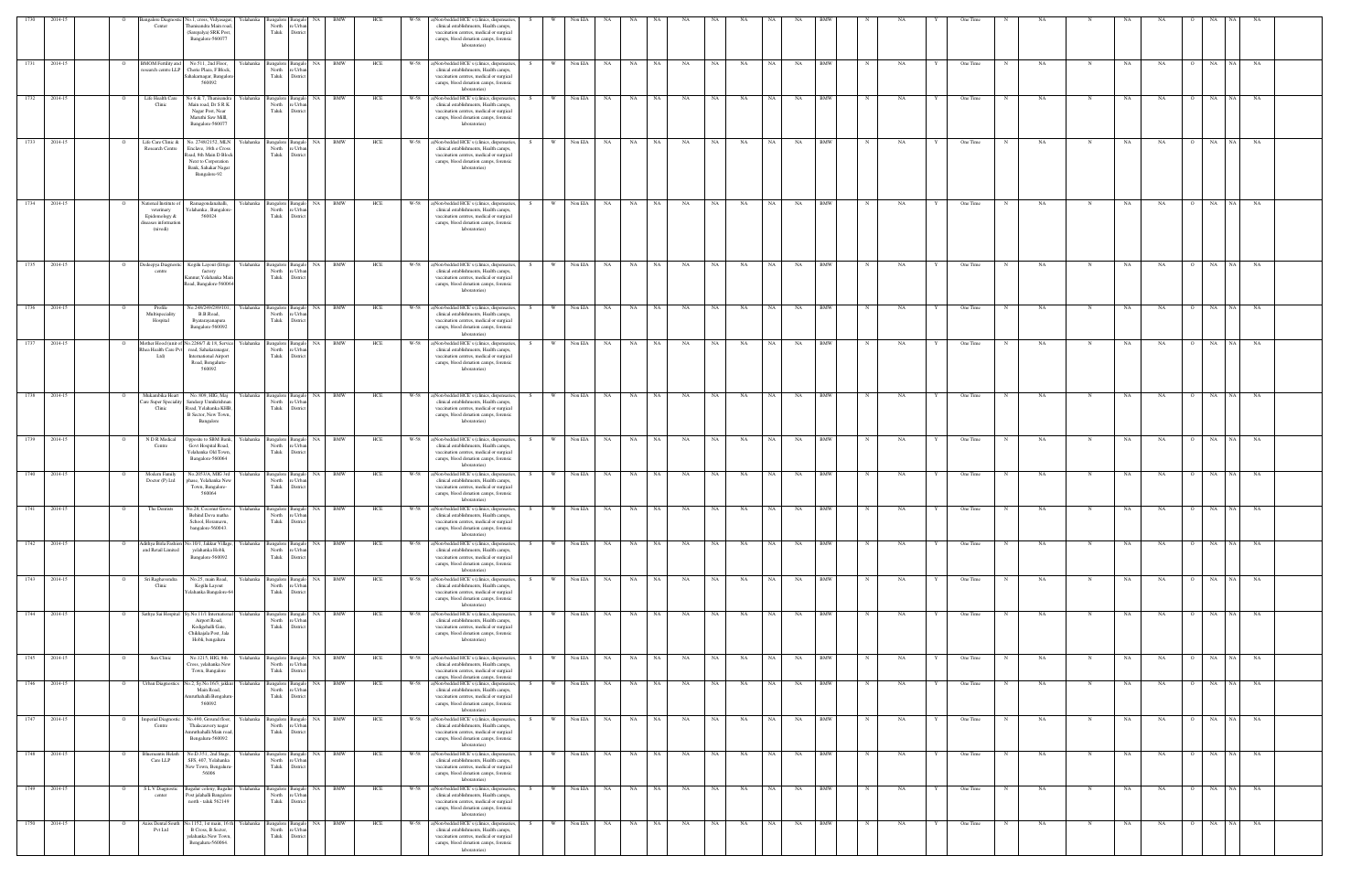| 1730         | 2014-15            |                            | ingalore Diagnosti                                                                      | No.1, cross, Vidyasagar, Yelahanka                                                                                                             |                        | ngalore                                         |                                         | BMW                      | HCE        | W-58         | a)Non-bedded HCE's (clinics, dispensaries,                                                                                                                                                                              |            | Non EIA            |           |                 |          |           |          |           |              |           |                   |             |          |   | One Time             |            |           |            |           |          |          |                             |           |  |
|--------------|--------------------|----------------------------|-----------------------------------------------------------------------------------------|------------------------------------------------------------------------------------------------------------------------------------------------|------------------------|-------------------------------------------------|-----------------------------------------|--------------------------|------------|--------------|-------------------------------------------------------------------------------------------------------------------------------------------------------------------------------------------------------------------------|------------|--------------------|-----------|-----------------|----------|-----------|----------|-----------|--------------|-----------|-------------------|-------------|----------|---|----------------------|------------|-----------|------------|-----------|----------|----------|-----------------------------|-----------|--|
|              |                    |                            | Center                                                                                  | Thanisandra Main road,<br>(Sarepalya) SRK Post,<br>Bangalore-560077                                                                            |                        | North<br>Taluk                                  | 'e Urb<br>Distric                       |                          |            |              | clinical establishments, Health camps,<br>vaccination centres, medical or surgical<br>camps, blood donation camps, forensic<br>laboratories)                                                                            |            |                    |           |                 |          |           |          |           |              |           |                   |             |          |   |                      |            |           |            |           |          |          |                             |           |  |
| 1731         | 2014-15            | $\overline{O}$             | <b>BMOM Fertility and</b>                                                               | No.511, 2nd Floor,<br>esearch centre LLP  Cherie Plaza, F Block,<br>Sahakarnagar, Bangalore<br>560092                                          | Yelahanka              | North<br>Taluk                                  | 'e Urba<br>Distric                      | Bangalore Bangalo NA BMW | HCE        |              | W-58 a)Non-bedded HCE's (clinics, dispensaries,<br>clinical establishments, Health camps,<br>vaccination centres, medical or surgical<br>camps, blood donation camps, forensic<br>laboratories)                         | S –        | W Non EIA          | NA 1      | NA NA           |          | <b>NA</b> | NA 1     | NA        | NA 1         | NA        | <b>BMW</b>        | N           | NA       | Y | One Time             | N          | NA        | $_{\rm N}$ | <b>NA</b> | NA       |          | O NA NA NA                  |           |  |
| 1732         | 2014-15            | $\overline{O}$             | Life Health Care<br>Clinic                                                              | No 6 & 7, Thanisandra Yelahanka<br>Main road, Dr S R K<br>Nagar Post, Near<br>Maruthi Saw Milll,<br>Bangalore-560077                           |                        | Bangalore Bangalo<br>North<br>Taluk             | e Urba<br>Distric                       | NA BMW                   | HCE        |              | W-58 a)Non-bedded HCE's (clinics, dispensaries<br>clinical establishments, Health camps,<br>vaccination centres, medical or surgical<br>camps, blood donation camps, forensic<br>laboratories)                          |            | W Non EIA          | <b>NA</b> | NA NA           |          | <b>NA</b> | NA 1     | NA        | NA 1         | NA        | <b>BMW</b>        | N           | NA       |   | One Time             | N          | NA.       | N          | NA        | NA.      | $\Omega$ | NA<br>NA 1                  | <b>NA</b> |  |
| 1733         | 2014-15            | $\overline{O}$             | Life Care Clinic &<br>Research Centre                                                   | No. 2748/2152, MLN Yelahanka<br>Enclave, 16th e Cross<br>Road, 8th Main D Block<br>Next to Corporation<br>Bank, Sahakar Nagar<br>Bangalore-92  |                        | Bangalore Bangalo<br>North<br>Taluk             | e Urba<br>District                      | NA BMW                   | HCE        |              | W-58 a)Non-bedded HCE's (clinics, dispensaries,<br>clinical establishments, Health camps,<br>vaccination centres, medical or surgical<br>camps, blood donation camps, forensic<br>laboratories)                         | S.         | W Non EIA          | NA 1      | NA N            | NA 1     | <b>NA</b> | NA N     | <b>NA</b> | NA 1         | <b>NA</b> | <b>BMW</b>        | N           | NA       |   | One Time             | N          | NA        | N          | NA        | NA.      | $\Omega$ | NA NA NA                    |           |  |
| 1734         | 2014-15            |                            | ational Institute of<br>veterinary<br>Epidomology &<br>liseases information<br>(nivedi) | Ramagondanahalli,<br>Yelahanka, Bangalor<br>560024                                                                                             | Yelahanka              | Bangalore<br>North<br>Taluk                     | Bangal<br>e Urb<br>Distric              | NA BMW                   | HCE        | W-58         | a)Non-bedded HCE's (clinics, dispensaries,<br>clinical establishments, Health camps,<br>vaccination centres, medical or surgical<br>camps, blood donation camps, forensic<br>laboratories)                              | W          | Non EIA            | <b>NA</b> | NA              | NA       | NA        | NA       | NA        | NA 1         | NA        | BMW               |             | NA       |   | One Time             |            | NA        |            | NA        | NA       |          | NA<br>NA 1                  | NA        |  |
| 1735         | 2014-15            | $\overline{O}$             | Dedeepya Diagnostic<br>centre                                                           | Kogilu Layout (Ettige<br>factory<br>Kannur, Yelahanka Mai<br>Road, Bangalore-560064                                                            | Yelahanka              | Bangalore Bangalo<br>North<br>Taluk             | e Urbi<br>Distric                       | NA BMW                   | HCE        | W-58         | a)Non-bedded HCE's (clinics, dispensaries,<br>clinical establishments, Health camps,<br>vaccination centres, medical or surgical<br>camps, blood donation camps, forensic<br>laboratories)                              | W ·<br>S.  | Non EIA            | NA 1      | NA 1            | NA 1     | NA        | NA       | NA        | NA 1         | NA        | <b>BMW</b>        | N           | NA       |   | One Time             | N          | <b>NA</b> | N          | NA        | NA       | $\circ$  | NA<br>NA 1                  | NA        |  |
| 1736         | 2014-15            | 0                          | Profile<br>Multispeciality<br>Hospital                                                  | No.248/249/289/101.<br>B.B.Road,<br>Byatarayanapura<br>Bangalore-560092                                                                        | Yelahanka              | angalore<br>North<br>Taluk                      | <b>NA</b><br>: Urb<br>Distric           | BMW                      | HCE        | W-58         | a)Non-bedded HCE's (clinics, dispensaries<br>clinical establishments, Health camps,<br>vaccination centres, medical or surgical<br>camps, blood donation camps, forensic<br>laboratories)                               |            | Non EIA            | NA        | NA              | NA       | NA        | NA       | NA        | NA           | NA        | <b>BMW</b>        |             | NA       |   | One Time             |            | NA        | -N         | NA.       | NA       |          | NA<br><b>NA</b>             | NA        |  |
| 1737         | 2014-15            |                            | fother Hood (unit<br>hea Health Care P<br>Ltd)                                          | .2266/7 & 18, Service<br>road, Sahakaranagar.<br><b>International Airport</b><br>Road, Bengaluru-<br>560092                                    | Yelahanka              | angalore<br>North<br>Taluk                      | e Urb<br>Distric                        | <b>BMW</b>               | HCE        | W-58         | a)Non-bedded HCE's (clinics, dispensaries<br>clinical establishments, Health camps,<br>vaccination centres, medical or surgical<br>camps, blood donation camps, forensic<br>laboratories)                               |            | Non EIA            | NA        | NA              | NA       | NA        | NA       | NA        | <b>NA</b>    | NA        | BMW               |             | NA       |   | One Time             |            | NA        |            | NA        | NA       |          | NA<br>NA                    | NA        |  |
| 1738         | 2014-15            |                            | Mukambika Heart<br>Care Super Specialit<br>Clinic                                       | No. 809, HIG, Maj<br>Sandeep Unnikrishna<br>Road, Yelahanka KHB,<br>B Sector, New Town,<br>Bangalore                                           | Yelahanka              | <b>Bangalore</b><br>North<br>Taluk              | NA<br>Banga<br>: Urb<br>Distri          | <b>BMW</b>               | HCE        | W-58         | a)Non-bedded HCE's (clinics, dispensaries,<br>clinical establishments, Health camps,<br>vaccination centres, medical or surgical<br>camps, blood donation camps, forensic<br>laboratories)                              |            | Non EIA            | NA        | NA              | NA       | NA        | NA       | NA        | NA           | NA        | BMW               |             | NA       |   | One Time             |            | NA        | N          | NA        | NA       |          | NA<br>NA                    | NA        |  |
| 1739         | 2014-15            | $\circ$                    | N D R Medical<br>Centre                                                                 | Opposite to SBM Bank,<br>Govt Hospital Road,<br>Yelahanka Old Town,<br>Bangalore-560064                                                        | Yelahanka              | Bangalore Bangalo<br>North<br>Taluk             | e Urbi<br>Distric                       | NA BMW                   | HCE        | W-58         | a)Non-bedded HCE's (clinics, dispensaries,<br>clinical establishments, Health camps,<br>vaccination centres, medical or surgical<br>camps, blood donation camps, forensic<br>laboratories)                              | W<br>S.    | Non EIA            | NA .      | NA              | NA       | NA        | NA       | NA        | NA 1         | NA        | <b>BMW</b>        | N           | NA       |   | One Time             | N          | <b>NA</b> | N          | NA        | NA       | $\circ$  | <b>NA</b><br>NA 1           | NA        |  |
| 1740         | 2014-15            |                            | Modern Family<br>Doctor (P) Ltd                                                         | No.2053/A, MIG 3rd<br>phase, Yelahanka New<br>Town, Bangalore-<br>560064                                                                       | Yelahanka              | angalore<br>North<br>Taluk                      | e Urb.<br>District                      | NA BMW                   | HCE        | W-58         | a)Non-bedded HCE's (clinics, dispensaries<br>clinical establishments, Health camps,<br>vaccination centres, medical or surgical<br>camps, blood donation camps, forensic<br>laboratories)                               |            | Non EIA            | NA        | NA              | NA       | NA        | NA       | NA        | NA           | NA        | <b>BMW</b>        |             | NA       |   | One Time             |            | NA        |            | NA        | NA       |          | NA<br>NA<br><b>NA</b>       | NA        |  |
| 1741<br>1742 | 2014-15<br>2014-15 |                            | The Dentists                                                                            | No.28, Coconut Grove Yelahanka<br>Behind Deva matl<br>School, Horamavu,<br>bangalore-560043.<br>Adithya Birla Fashion No.10/1, Jakkur Village, | Yelahanka              | Bangalore Bangalo<br>Taluk<br><b>Bangalore</b>  | District<br>Bangal<br>NA                | NA BMW<br>BMW            | HCE<br>HCE | W-58         | W-58 a)Non-bedded HCE's (clinics, dispensaries,<br>vaccination centres, medical or surgical<br>camps, blood donation camps, forensic<br>laboratories)<br>a)Non-bedded HCE's (clinics, dispensaries,                     | W  <br>S . | Non EIA<br>Non EIA | NA.<br>NA | NA<br><b>NA</b> | NA<br>NA | NA<br>NA  | NA<br>NA | NA<br>NA  | NA .<br>NA . | NA<br>NA  | BMW<br>BMW        |             | NA<br>NA |   | One Time<br>One Time |            | NA<br>NA  |            | NA<br>NA  | NA<br>NA | $\circ$  | NA<br>NA<br>NA 1            | NA<br>NA  |  |
| 1743         | 2014-15            | $\mathbf{o}$               | and Retail Limited<br>Sri Raghavendra                                                   | yelahanka Hobli,<br>Bangalore-560092<br>No.25, main Road,                                                                                      | Yelahanka              | North<br>Taluk<br>angalore Bangalo              | 'e Urba<br>Distric                      | NA BMW                   | HCE        |              | clinical establishments, Health camps,<br>vaccination centres, medical or surgical<br>camps, blood donation camps, forensic<br>laboratories)<br>W-58 a)Non-bedded HCE's (clinics, dispensaries                          | W I        | Non EIA            | <b>NA</b> | NA 1            | NA       | NA        | NA       | NA        | NA 1         | NA        | <b>BMW</b>        | $\mathbf N$ | NA       |   | One Time             | $_{\rm N}$ | NA        | N          | NA        | NA       |          | NA NA                       | NA        |  |
| 1744         | 2014-15            | $\overline{O}$             | Clinic<br>Sathya Sai Hospital                                                           | Kogilu Layout<br>celahanka Bangalore-64<br>Sy.No.11/1 International                                                                            | Yelahanka              | North<br>Taluk<br><b>Bangalore</b>              | e Urba<br>District<br>Bangak            | NA BMW                   | HCE        | W-58         | clinical establishments, Health camps,<br>vaccination centres, medical or surgical<br>camps, blood donation camps, forensic<br>laboratories)<br>a)Non-bedded HCE's (clinics, dispensaries,                              | W<br>S.    | Non EIA            | NA        | <b>NA</b>       | NA       | NA        | NA       | NA        | NA 1         | NA        | <b>BMW</b>        | N           | NA       |   | One Time             |            | <b>NA</b> | N          | NA        | NA       | $\circ$  | NA<br>NA 1                  | NA        |  |
|              |                    |                            |                                                                                         | Airport Road,<br>Kodigehalli Gate,<br>Chikkajala Post, Jala<br>Hobli, bengaluru                                                                |                        | North<br>Taluk                                  | e Urba<br>District                      |                          |            |              | clinical establishments, Health camps,<br>vaccination centres, medical or surgical<br>camps, blood donation camps, forensic<br>laboratories)                                                                            |            |                    |           |                 |          |           |          |           |              |           |                   |             |          |   |                      |            |           |            |           |          |          |                             |           |  |
| 1745<br>1746 | 2014-15<br>2014-15 | $\overline{O}$<br><b>O</b> | Sun Clinic<br>Urban Diagnostics                                                         | No.1215, HIG, 8th<br>Cross, yelahanka New<br>Town, Bangalore<br>No.2, Sy.No.16/3, jakkur                                                       | Yelahanka<br>Yelahanka | <b>Bangalore</b><br>North<br>Taluk<br>Bangalore | NA<br>e Urba<br>Distric<br>NA<br>Bangak | BMW<br>BMW               | HCE<br>HCE | W-58<br>W-58 | a)Non-bedded HCE's (clinics, dispensaries,<br>clinical establishments, Health camps,<br>vaccination centres, medical or surgical<br>camps, blood donation camps, forensic<br>a)Non-bedded HCE's (clinics, dispensaries, | S.<br>S.   | Non EIA<br>Non EIA | NA<br>NA  | NA<br>NA        | NA<br>NA | NA<br>NA  | NA<br>NA | NA<br>NA  | NA<br>NA     | NA<br>NA  | <b>BMW</b><br>BMW |             | NA<br>NA |   | One Time<br>One Time |            | NA<br>NA  | N<br>N     | NA<br>NA  | NA<br>NA |          | NA<br><b>NA</b><br>NA<br>NA | NA<br>NA  |  |
| 1747         | 2014-15            |                            | mperial Diagno:                                                                         | Main Road,<br>mruthahalli Bengaluru<br>560092<br>Vo.490, Ground floor,                                                                         | Yelahanka              | North<br>Taluk<br>angalore                      | e Urb<br>Distric<br>NA                  | BMW                      | HCE        | W-58         | clinical establishments, Health camps,<br>vaccination centres, medical or surgical<br>camps, blood donation camps, forensic<br>laboratories)<br>a)Non-bedded HCE's (clinics, dispensaries,                              |            | Non EIA            | NA        | NA              | NA       | NA        | NA       | NA        | NA           | NA        | BMW               |             | NA       |   | One Time             |            | NA        |            | NA        | NA       |          | NA<br>NA 1                  | NA        |  |
| 1748         | 2014-15            | $\mathbf{o}$               | Centre<br><b>Bluemantis Helath</b>                                                      | Thalacauvery nagar<br>Amruthahalli Main road,<br>Bengaluru-560092<br>No.D.351, 2nd Stage,                                                      | Yelahanka              | North<br>Taluk<br>angalore Bangalo              | 'e Urb<br>Distric                       | NA BMW                   | HCE        |              | clinical establishments, Health camps,<br>vaccination centres, medical or surgical<br>camps, blood donation camps, forensic<br>laboratories)<br>W-58 a)Non-bedded HCE's (clinics, dispensaries                          | W ·        | Non EIA            | <b>NA</b> | NA N            | NA       | NA        | NA       | NA        | NA 1         | <b>NA</b> | <b>BMW</b>        | $\mathbb N$ | NA       |   | One Time             | N          | NA        | N          | NA        | NA       |          | NA<br>NA 1                  | <b>NA</b> |  |
| 1749         | 2014-15            | $\overline{O}$             | Care LLP<br>$\overline{\textrm{S} \; \textrm{L} \; \textrm{V}}$ Diagnostic              | SFS, 407, Yelahanka<br>New Town, Bengaluru-<br>56006<br>agalur colony, Bagalur                                                                 | Yelahanka              | North<br>Taluk<br>3angalore                     | e Urba<br>District<br>NA<br>Banga       | <b>BMW</b>               | HCE        | W-58         | clinical establishments, Health camps,<br>vaccination centres, medical or surgical<br>camps, blood donation camps, forensic<br>laboratories)<br>a)Non-bedded HCE's (clinics, dispensaries,                              | S.<br>- W  | Non EIA            | NA        | <b>NA</b>       | NA       | NA        | NA       | NA        | NA 1         | NA        | BMW               |             | NA       |   | One Time             |            | <b>NA</b> | N          | NA        | NA       | $\circ$  | NA<br>NA                    | NA        |  |
| 1750         | 2014-15            |                            | center<br><b>Axiss Dental Sout</b>                                                      | Post jalahalli Bangalore<br>north - taluk 562149<br>Vo.1152, 1st main, 16 th                                                                   | Yelahank               | North<br>Taluk<br>angalore                      | 'e Urb<br>District<br>NA                | <b>BMW</b>               | HCE        | W-58         | clinical establishments, Health camps,<br>vaccination centres, medical or surgical<br>camps, blood donation camps, forensic<br>laboratories)<br>a)Non-bedded HCE's (clinics, dispensaries                               |            | Non EIA            | NA        | NA              | NA       | NA        | NA       | NA        | NA .         | NA        | BMW               |             | NA       |   | One Time             |            | NA        | N          | NA        | NA       |          | NA<br><b>NA</b>             | NA        |  |
|              |                    |                            | Pvt Ltd                                                                                 | B Cross, B Sector,<br>yelahanka New Town,<br>Bengaluru-560064.                                                                                 |                        | North<br>Taluk                                  | e Urb.<br>Distric                       |                          |            |              | clinical establishments, Health camps,<br>vaccination centres, medical or surgical<br>camps, blood donation camps, forensic<br>laboratories)                                                                            |            |                    |           |                 |          |           |          |           |              |           |                   |             |          |   |                      |            |           |            |           |          |          |                             |           |  |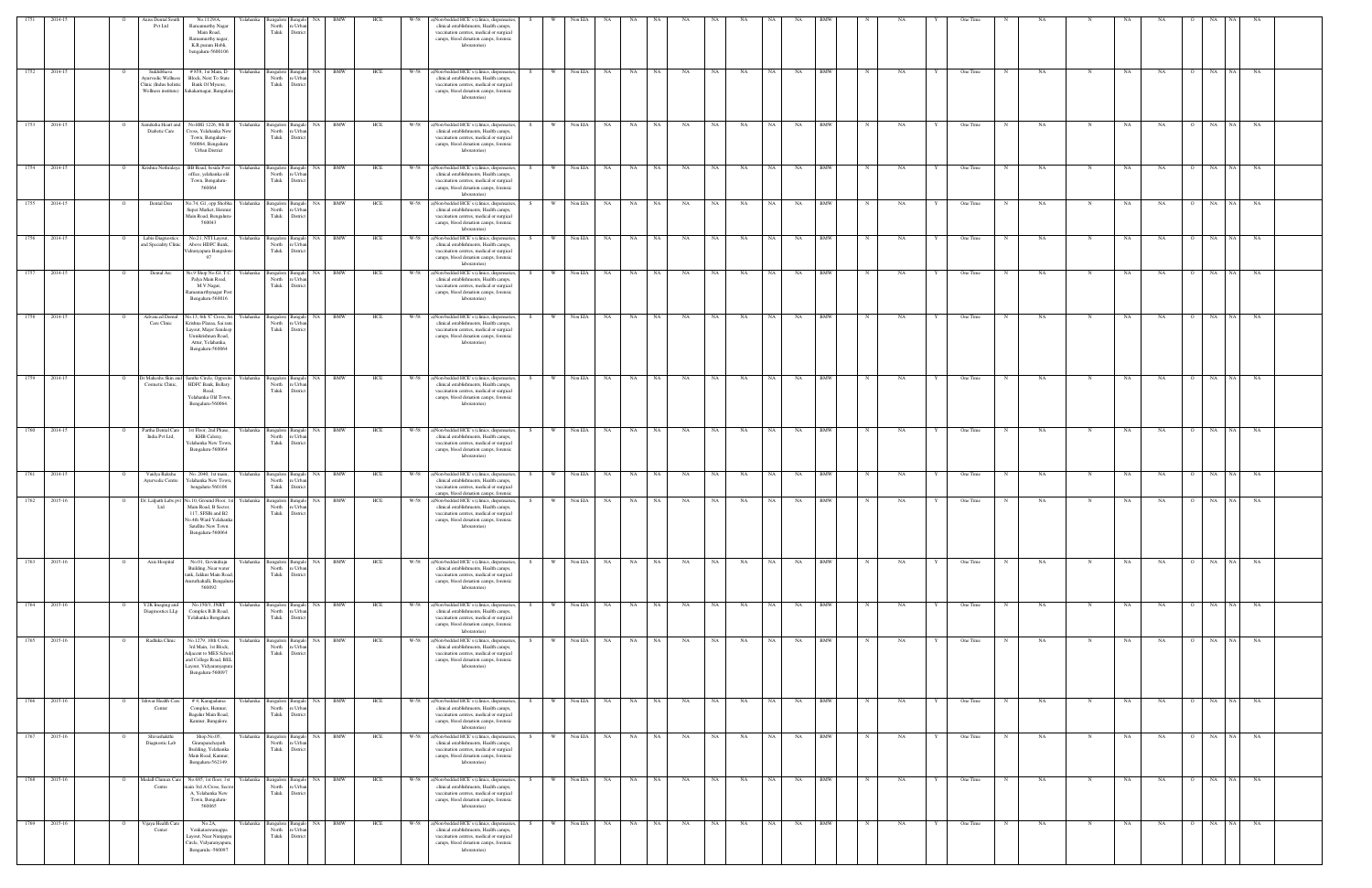|                   | 2014-15      |                | xiss Dental Sout<br>Pvt Ltd                                       | No.1129/A.<br>Ramamurthy Nagar<br>Main Road,<br>Ramamurthy nagar.<br>K.R.puram Hobli,<br>bengaluru-5600106                                                    | Yelahanka           | nealor<br>North<br>: Urba<br>Taluk<br>Distric                           |                |            | HCE<br>W-58 | )Non-bedded HCE's (clinics, dispensaries,<br>clinical establishments, Health camps,<br>vaccination centres, medical or surgical<br>camps, blood donation camps, forensic<br>laboratories)       |     |          | Non EIA |            |           |           |           |      |           |      |           |            |             |    |   | One Time |            |           |             |             |           |                |                 |           |  |
|-------------------|--------------|----------------|-------------------------------------------------------------------|---------------------------------------------------------------------------------------------------------------------------------------------------------------|---------------------|-------------------------------------------------------------------------|----------------|------------|-------------|-------------------------------------------------------------------------------------------------------------------------------------------------------------------------------------------------|-----|----------|---------|------------|-----------|-----------|-----------|------|-----------|------|-----------|------------|-------------|----|---|----------|------------|-----------|-------------|-------------|-----------|----------------|-----------------|-----------|--|
|                   | 1752 2014-15 |                | Sukhibhava<br><b>Ayurvedic Wellness</b><br>Clinic (Indus holistic | # 858, 1st Main, D<br>Block, Next To State<br>Bank Of Mysore,<br>Wellness institute) Sahakarnagar, Bangalore                                                  | Yelahanka           | Bangalore<br><b>Bangalo</b><br>North<br>e Urba<br>Taluk<br>District     | <b>NA</b>      | <b>BMW</b> | HCE         | W-58 a)Non-bedded HCE's (clinics, dispensaries,<br>clinical establishments, Health camps,<br>vaccination centres, medical or surgical<br>camps, blood donation camps, forensic<br>laboratories) |     | <b>W</b> | Non EIA | NA         | NA        | NA 1      | NA        | NA . | NA        | NA 1 | NA        | <b>BMW</b> | $_{\rm N}$  | NA |   | One Time |            | NA        |             | NA          | NA        |                | NA<br>NA 1      | NA        |  |
| 1753              | 2014-15      |                | Samiksha Heart and<br>Diabetic Care                               | No.HIG 1226, 8th B<br>Cross, Yelahanka New<br>Town, Bengaluru-<br>560064, Bengaluru<br><b>Urban District</b>                                                  | Yelahanka           | Bangalore<br>North<br>e Urba<br>Taluk<br>Distric                        | NA             | <b>BMW</b> | HCE<br>W-58 | a)Non-bedded HCE's (clinics, dispensaries,<br>clinical establishments, Health camps,<br>vaccination centres, medical or surgical<br>camps, blood donation camps, forensic<br>laboratories)      |     |          | Non EIA | NA         | NA        | NA        | NA        | NA   | NA        | NA   | NA        | <b>BMW</b> |             | NA |   | One Time |            | NA        |             | NA          | NA        |                | NA<br>NA 1      | NA        |  |
| 1754              | 2014-15      | $\overline{O}$ | Krishna Nethralaya                                                | BB Road, beside Post<br>office, yelahanka old<br>Town, Bengaluru-<br>560064                                                                                   | Yelahanka           | Bangalore<br>North<br>e Urba<br>Taluk<br>District                       | Bangalo NA     | BMW        | HCE         | W-58 a)Non-bedded HCE's (clinics, dispensaries,<br>clinical establishments, Health camps,<br>vaccination centres, medical or surgical<br>camps, blood donation camps, forensic<br>laboratories) | - S | <b>W</b> | Non EIA | NA         | NA        | NA 1      | NA        | NA 1 | NA        | NA 1 | NA        | <b>BMW</b> |             | NA |   | One Time |            | NA.       |             | NA          | NA        | $\circ$        | NA 1<br>NA      | NA        |  |
| 1755              | 2014-15      | $\overline{O}$ | Dental Den                                                        | No.74, G1, opp Shobha<br>Super Market, Hennur<br>Main Road, Bengaluru-<br>560043                                                                              | Yelahanka Bangalore | North<br>e Urba<br>Taluk<br>District                                    | NA             | <b>BMW</b> | W-58<br>HCE | a)Non-bedded HCE's (clinics, dispensaries,<br>clinical establishments, Health camps,<br>vaccination centres, medical or surgical<br>camps, blood donation camps, forensic<br>laboratories)      |     | W        | Non EIA | NA         | NA        | NA        | NA        | NA   | NA        | NA   | NA        | <b>BMW</b> |             | NA |   | One Time |            | NA        |             | $_{\rm NA}$ | NA        |                | NA<br>NA 1      | NA        |  |
| 1756              | 2014-15      |                | Labis Diagnostics<br>and Speciality Clinic                        | No.21, NTI Layout,<br>Above HDFC Bank,<br>idranyapura Bangalore-<br>97                                                                                        | Yelahanka           | Bangalore<br>North<br>: Urb<br>Taluk<br>Distric                         | NA.            | BMW        | HCE<br>W-58 | a)Non-bedded HCE's (clinics, dispensaries,<br>clinical establishments, Health camps,<br>vaccination centres, medical or surgical<br>camps, blood donation camps, forensic<br>laboratories)      |     |          | Non EIA | NA         | NA        | NA        | NA        | NA   | NA        | NA   | NA        | BMW        |             | NA |   | One Time |            | NA        |             | NA          | NA        |                | <b>NA</b><br>NA | NA        |  |
| 1757              | 2014-15      |                | Dental Arc                                                        | No.9 Shop No.G1.T.C<br>Palya Main Road,<br>M.V.Nagar,<br><b>tamamurthynagar Post</b><br>Bengaluru-560016                                                      | Yelahanka           | Bangalore<br><b>Bangal</b><br>North<br>e Urba<br>Taluk<br>District      | NA             | <b>BMW</b> | W-58<br>HCE | a)Non-bedded HCE's (clinics, dispensaries,<br>clinical establishments, Health camps,<br>vaccination centres, medical or surgical<br>camps, blood donation camps, forensic<br>laboratories)      |     | W        | Non EIA | NA         | NA        | NA        | NA        | NA   | NA        | NA   | NA        | <b>BMW</b> |             | NA |   | One Time |            | NA        |             | NA          | NA        |                | NA<br>NA 1      | NA        |  |
| 1758              | 2014-15      |                | Advanced Denta<br>Care Clinic                                     | No.13, 6th 'C' Cross, Sri<br>Krishna Plazaa, Sai ran<br>Layout, Major Sandeep<br>Unnikrishnan Road,<br>Attur, Yelahanka,<br>Bengaluru-560064                  | Yelahanka           | Bangalore<br>Bangal<br>North<br>e Urba<br>Taluk<br>Distric              | NA 1           | <b>BMW</b> | HCE<br>W-58 | a)Non-bedded HCE's (clinics, dispensaries,<br>clinical establishments, Health camps,<br>vaccination centres, medical or surgical<br>camps, blood donation camps, forensic<br>laboratories)      |     | <b>W</b> | Non EIA | NA         | NA        | <b>NA</b> | NA        | NA   | NA        | NA   | NA        | <b>BMW</b> |             | NA |   | One Time |            | NA        |             | NA          | NA        |                | NA<br>NA        | NA        |  |
| 1759              | 2014-15      | $\overline{O}$ | Cosmetic Clinic,                                                  | Dr Maheshs Skin and Santhe Circle, Opposite<br>HDFC Bank, Bellary<br>Road,<br>Yelahanka Old Town,<br>Bengaluru-560064.                                        | Yelahanka Bangalore | <b>Bangalo</b><br>North<br>e Urba<br>Taluk<br>District                  | NA 1           | <b>BMW</b> | W-58<br>HCE | a)Non-bedded HCE's (clinics, dispensaries,<br>clinical establishments, Health camps,<br>vaccination centres, medical or surgical<br>camps, blood donation camps, forensic<br>laboratories)      |     | <b>W</b> | Non EIA | NA         | NA        | NA        | <b>NA</b> | NA 1 | <b>NA</b> | NA 1 | NA        | <b>BMW</b> | $\mathbf N$ | NA |   | One Time | $_{\rm N}$ | NA        | N           | NA          | NA        | $\Omega$       | NA<br>NA        | <b>NA</b> |  |
| 1760              | 2014-15      | - 0            | Partha Dental Care<br>India Pvt Ltd,                              | 1st Floor, 2nd Phase,<br>KHB Calony,<br>Yelahanka New Town,<br>Bengaluru-560064                                                                               | Yelahanka           | Bangalore<br>angalo<br>North<br>e Urbar<br>Taluk<br>District            | NA 1           | <b>BMW</b> | HCE<br>W-58 | a)Non-bedded HCE's (clinics, dispensaries,<br>clinical establishments, Health camps,<br>vaccination centres, medical or surgical<br>camps, blood donation camps, forensic<br>laboratories)      | S   | W        |         | Non EIA NA | <b>NA</b> | NA 1      | NA        | NA 1 | NA        | NA I | <b>NA</b> | <b>BMW</b> | N           | NA |   | One Time | N          | NA.       |             | NA          | NA        | $\overline{O}$ | NA I<br>NA      | NA        |  |
| 1761              | 2014-15      |                | Vaidya Raksha<br>Ayurvedic Centre                                 | No. 2040, 1st main,<br>Yelahanka New Town<br>bengaluru-560106                                                                                                 | Yelahanka           | Bangalore<br>angal<br>North<br>e Urba<br>Taluk<br>Distric               | NA             | BMW        | HCE<br>W-58 | a)Non-bedded HCE's (clinics, dispensaries,<br>clinical establishments, Health camps,<br>vaccination centres, medical or surgical<br>amps, blood donation camps, forensic                        |     | w        | Non EIA | NA         | NA        | NA 1      | NA        | NA   | NA        | NA   | NA        | BMW        |             | NA |   | One Time |            | NA        |             | NA          | NA        |                | NA              | NA        |  |
| 1762              | 2015-16      | $\circ$        | Ltd                                                               | Dr. Lalpath Labs pvt No.10, Ground Floor, 1st<br>Main Road, B Sector,<br>117, SFSBi and B2<br>No.4th Ward Yelahanka<br>Satellite New Town<br>Bengaluru-560064 | Yelahanka           | Bangalore<br>North<br>: Urba                                            | - NA           | BMW        | HCE<br>W-58 | a)Non-bedded HCE's (clinics, dispensaries,<br>clinical establishments, Health camps,<br>accination centres, medical or surgical<br>camps, blood donation camps, forensic<br>laboratories)       | S.  | W        | Non EIA | NA         | NA        | NA        | NA        | NA   | NA        | NA   | NA        | BMW        |             | NA |   | One Time |            | NA        |             | NA          | NA        |                | NA<br><b>NA</b> | NA        |  |
| $\overline{1763}$ | 2015-16      | $\Omega$       | Axis Hospital                                                     | No.01, Govindraju<br>Building, Near water<br>tank, Jakkur Main Road,<br>Amruthahalli, Bengaluru<br>560092                                                     | Yelahanka Bangalore | North<br>e Urbar<br>Taluk<br>District                                   | angalo NA      | <b>BMW</b> | W-58<br>HCE | a)Non-bedded HCE's (clinics, dispensaries,<br>clinical establishments, Health camps,<br>vaccination centres, medical or surgical<br>camps, blood donation camps, forensic<br>laboratories)      |     | - W      | Non EIA | NA.        | NA        | NA 1      | NA        | NA 1 | NA        | NA 1 | NA        | <b>BMW</b> |             | NA |   | One Time |            | NA        | N           | NA          | NA.       |                | NA<br>NA 1      | NA        |  |
|                   | 1764 2015-16 | $\Omega$       | Y2K Imaging and<br>Diagmostics LLp                                | No.150/3, JNRT<br>Complex B.B Road,<br>Yelahanka Bengaluru                                                                                                    | Yelahanka Bangalore | North<br>e Urban<br>Taluk<br>District                                   | Bangalo NA BMW |            | HCE         | W-58 a)Non-bedded HCE's (clinics, dispensaries,<br>clinical establishments, Health camps,<br>vaccination centres, medical or surgical<br>camps, blood donation camps, forensic<br>laboratories) | S.  | <b>W</b> |         | Non EIA NA | NA 1      | NA        | NA        |      | NA NA     | NA 1 | NA 1      | <b>BMW</b> | N           | NA | Y | One Time | N          | NA        | $_{\rm N}$  | NA          | NA        |                | O NA NA NA      |           |  |
|                   | 1765 2015-16 | $\overline{O}$ | Radhika Clinic                                                    | No.1279, 10th Cross.<br>3rd Main, 1st Block,<br>Adjacent to MES School<br>and College Road, BEL<br>Layout, Vidyaranyapura<br>Bengaluru-560097                 |                     | Yelahanka Bangalore Bangalo NA<br>North<br>e Urbar<br>Taluk<br>District |                | <b>BMW</b> | HCE         | W-58 a)Non-bedded HCE's (clinics, dispensaries,<br>clinical establishments, Health camps,<br>vaccination centres, medical or surgical<br>camps, blood donation camps, forensic<br>laboratories) |     | W W      | Non EIA | NA 1       | NA 1      | NA 1      | NA        |      | NA NA     | NA N | NA BMW    |            | $\mathbb N$ | NA | Y | One Time | N          | <b>NA</b> | $\mathbf N$ | <b>NA</b>   | <b>NA</b> |                | 0 NA NA NA      |           |  |
|                   | 1766 2015-16 | $\circ$        | Ishwar Health Care<br>Center                                      | # 4, Karagadama<br>Complex, Hennur,<br>Bagalur Main Road,<br>Kannur, Bangalore.                                                                               | Yelahanka Bangalore | North<br>: Urba<br>Taluk<br>Distric                                     | Bangalo NA     | <b>BMW</b> | HCE<br>W-58 | a)Non-bedded HCE's (clinics, dispensaries,<br>clinical establishments, Health camps,<br>vaccination centres, medical or surgical<br>camps, blood donation camps, forensic<br>laboratories)      | S.  | W        | Non EIA | NA 1       | NA        | NA .      | NA        | NA 1 | NA        | NA N | NA        | <b>BMW</b> |             | NA |   | One Time | N          | NA        | N           | NA          | NA        | $\overline{O}$ | NA              | NA NA     |  |
| 1767              | 2015-16      |                | Shivashakthi<br>Diagnostic Lab                                    | Shop.No.05,<br>Grampanchayath<br>Building, Yelahanka<br>Main Road, Kannur,<br>Bengaluru-562149.                                                               | Yelahanka Bangalore | North<br>e Urbar<br>Taluk<br>District                                   | Bangalo NA     | BMW        | HCE<br>W-58 | a)Non-bedded HCE's (clinics, dispensaries,<br>clinical establishments, Health camps,<br>vaccination centres, medical or surgical<br>camps, blood donation camps, forensic<br>laboratories)      |     |          | Non EIA | NA         | NA        | NA        | NA        | NA – | NA        | NA   | NA        | <b>BMW</b> |             | NA |   | One Time |            | NA        | N           | NA          | NA        |                | NA<br>NA 1      | NA        |  |
|                   | 1768 2015-16 | $\overline{O}$ | Medall Clumax Care<br>Centre                                      | No.685, 1st floor, 1st<br>nain 3rd A Cross, Sector<br>A, Yelahanka New<br>Town, Bengaluru-<br>560065                                                          | Yelahanka Bangalore | North<br>e Urbar<br>Taluk<br>District                                   | Bangalo NA BMW |            | HCE         | W-58 a)Non-bedded HCE's (clinics, dispensaries,<br>clinical establishments, Health camps,<br>vaccination centres, medical or surgical<br>camps, blood donation camps, forensic<br>laboratories) | S.  | W -      |         | Non EIA NA | NA 1      | NA        | NA        | NA   | NA        | NA 1 | NA 1      | <b>BMW</b> | N           | NA | Y | One Time | N          | NA        | $_{\rm N}$  | NA          | NA        | $\circ$        | NA NA NA        |           |  |
| 1769              | 2015-16      | $\Omega$       | Vijaya Health Car<br>Center                                       | No.2A,<br>Venkataswamappa<br>Layout, Near Nanjappa<br>Circle, Vidyaranyapura,<br>Bengarulu -560097                                                            | Yelahanka Bangalore | North<br>e Urba<br>Taluk<br>District                                    | NA.            | BMW        | HCE<br>W-58 | a)Non-bedded HCE's (clinics, dispensaries,<br>clinical establishments, Health camps,<br>vaccination centres, medical or surgical<br>camps, blood donation camps, forensic<br>laboratories)      |     |          | Non EIA | NA         | NA        | NA 1      | NA        | NA – | NA        | NA   | NA        | <b>BMW</b> |             | NA |   | One Time |            | NA        | N           | NA          | NA        |                | NA<br>NA I      | NA        |  |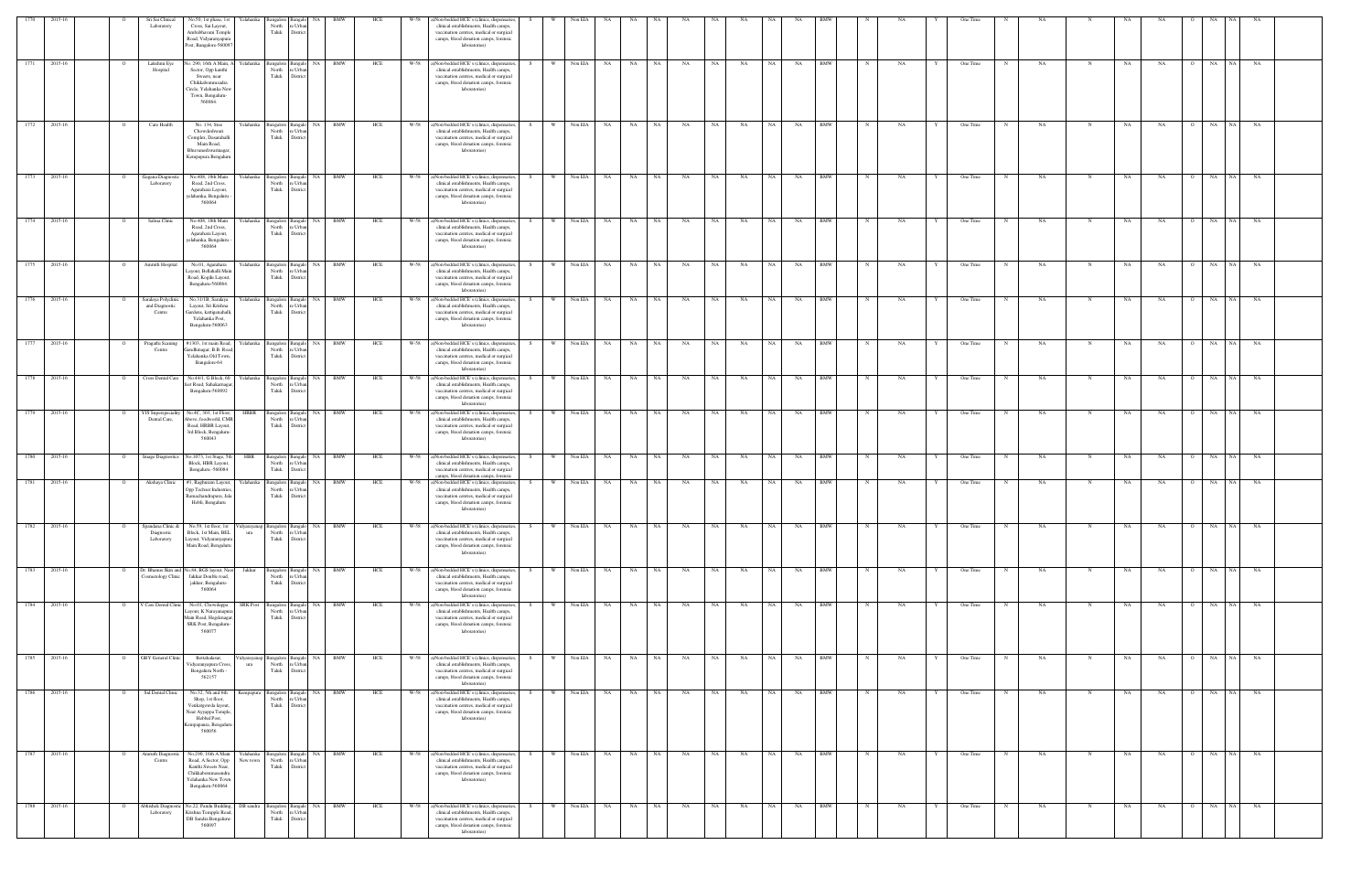|                                    |  |         | Sri Sai Clinical<br>Laboratory                 | No.50, 1st phase, 1s<br>relahanka<br>Cross, Sai Layout,<br>Ambabhavani Temple<br>Road, Vidyaranyapura<br>Post, Bangalore-560097                           | angalore<br>North<br>Taluk  | re Urbar<br>District                                        |                    | HCI        |                | Non-bedded HCE's (clinics, dispensaries,<br>clinical establishments, Health camps,<br>vaccination centres, medical or surgical<br>camps, blood donation camps, forensic<br>laboratories)                                                  |       |                | √on EL4            |          |           |          |           |           |           |                 |           |                          |             |           |   | One Time             |              |           |             |           |           |                |                          |           |  |
|------------------------------------|--|---------|------------------------------------------------|-----------------------------------------------------------------------------------------------------------------------------------------------------------|-----------------------------|-------------------------------------------------------------|--------------------|------------|----------------|-------------------------------------------------------------------------------------------------------------------------------------------------------------------------------------------------------------------------------------------|-------|----------------|--------------------|----------|-----------|----------|-----------|-----------|-----------|-----------------|-----------|--------------------------|-------------|-----------|---|----------------------|--------------|-----------|-------------|-----------|-----------|----------------|--------------------------|-----------|--|
| 1771<br>2015-16                    |  |         | Lakshmi Eye<br>Hospital                        | o. 290, 16th A Main,<br><b>relahanka</b><br>Sector, Opp kanthi<br>Sweets, near<br>Chikkabommsadra<br>Circle, Yelahanka Nev<br>Town, Bengaluru-<br>560064. | North<br>Taluk              | Bangalore Bangalo<br>re Urbar<br>District                   | NA 1<br><b>BMW</b> | HCE        | W-58           | a)Non-bedded HCE's (clinics, dispensaries,<br>clinical establishments, Health camps,<br>vaccination centres, medical or surgical<br>camps, blood donation camps, forensic<br>laboratories)                                                |       | <b>W</b>       | Non EIA            | NA       | NA        | NA       | NA        | NA        | NA        | NA              | NA        | <b>BMW</b>               |             | NA        |   | One Time             |              | NA        |             | NA        | NA        |                | NA<br>NA 1               | NA        |  |
| 1772 2015-16                       |  |         | Care Health                                    | No. 134, Sree<br>r'elahanka<br>Chowdeshwari<br>Complex, Dasarahalli<br>Main Road,<br>Bhuvaneshwarinagar.<br>Kempapura Bengaluru                           | ıngalore<br>North<br>Taluk  | NA<br>3anga<br>e Urba<br>District                           | <b>BMW</b>         | HCE        | W-58           | a)Non-bedded HCE's (clinics, dispensaries,<br>clinical establishments, Health camps,<br>vaccination centres, medical or surgical<br>camps, blood donation camps, forensic<br>laboratories)                                                |       | W              | Non EIA NA         |          | NA 1      | NA       | NA        | NA        | NA        | NA I            | NA        | <b>BMW</b>               |             | <b>NA</b> |   | One Time             |              | NA        |             | <b>NA</b> | NA        |                | NA<br>NA 1               | NA        |  |
| 2015-16<br>1773                    |  |         | Gagana Diagnos<br>Laboratory                   | No.408, 18th Main<br>relahanka<br>Road, 2nd Cross,<br>Agarahara Layout,<br>elahanka, Bengaluru<br>560064                                                  | Bangalore<br>North<br>Taluk | NA<br>3angal<br>e Urba<br>District                          | <b>BMW</b>         | HCE        | W-58           | ()Non-bedded HCE's (clinics, dispensaries,<br>clinical establishments, Health camps,<br>vaccination centres, medical or surgical<br>camps, blood donation camps, forensic<br>laboratories)                                                |       | <b>W</b>       | Non EIA            | NA.      | NA        | NA       | NA        | NA        | NA        | NA              | NA        | BMW                      |             | NA        |   | One Time             |              | NA        |             | NA        | NA        |                | NA<br>NA.                | NA        |  |
| 1774<br>2015-16                    |  |         | Salma Clinic                                   | No.408, 18th Main<br>Yelahanka<br>Road, 2nd Cross,<br>Agarahara Layout,<br>elahanka, Bengaluru<br>560064                                                  | North<br>Taluk              | Bangalore Bangalo NA<br>e Urba<br>District                  | <b>BMW</b>         | HCE        | W-58           | a)Non-bedded HCE's (clinics, dispensaries,<br>clinical establishments, Health camps,<br>vaccination centres, medical or surgical<br>camps, blood donation camps, forensic<br>laboratories)                                                | - S - | W              | Non EIA NA         |          | <b>NA</b> | NA 1     | NA        | NA -      | NA        | NA 1            | NA        | <b>BMW</b>               |             | NA        |   | One Time             |              | NA        |             | NA        | NA        | $\Omega$       | NA<br>NA 1               | NA        |  |
| 1775<br>2015-16                    |  |         | Amruth Hospital                                | No.01, Agarahara<br>relahanka<br>Layout, Bellahalli Mair<br>Road, Kogilu Layout,<br>Bengaluru-560064.                                                     | Bangalore<br>North<br>Taluk | NA<br>Bangalo<br>e Urba<br>Distric                          | <b>BMW</b>         | HCE        | W-58           | a)Non-bedded HCE's (clinics, dispensaries,<br>clinical establishments, Health camps,<br>vaccination centres, medical or surgical<br>camps, blood donation camps, forensic<br>laboratories)                                                |       | <b>W</b>       | Non EIA            | NA.      | NA        | NA       | NA        | NA        | NA        | NA              | NA        | BMW                      |             | NA        |   | One Time             |              | NA        |             | NA        | NA        |                | NA<br>NA.                | NA        |  |
| 1776 2015-16                       |  |         | Saralaya Polyclini<br>and Diagnostic<br>Centre | No.31/1B, Saralaya<br>relahanka<br>Layout, Sri Krishna<br>Gardens, kattigenahalli<br>Yelahanka Post,<br>Bengaluru-560063                                  | North<br>Taluk              | NA<br>Bangalore Bangalo<br>e Urba<br>District               | BMW                | HCE        | W-58           | a)Non-bedded HCE's (clinics, dispensaries,<br>clinical establishments, Health camps,<br>vaccination centres, medical or surgical<br>camps, blood donation camps, forensic<br>laboratories)                                                |       | <b>W</b>       | Non EIA NA         |          | NA 1      | NA T     | NA        | NA        | NA        | NA 1            | NA        | <b>BMW</b>               |             | NA        |   | One Time             |              | NA        |             | NA        | NA        |                | NA  <br>NA               | NA        |  |
| 1777<br>2015-16                    |  |         | Pragathi Scaning<br>Centre                     | #1303, 1st main Road,<br>celahanka<br>Gandhinagar, B.B. Roa<br>Yelahanka Old Town,<br>Bangalore-64<br>No.44/1, G Block, 60                                | North<br>Taluk              | Bangalore Bangalo<br>e Urba<br>District                     | BMW<br>NA 1        | HCE        | $W-58$<br>W-58 | a)Non-bedded HCE's (clinics, dispensaries,<br>clinical establishments, Health camps,<br>vaccination centres, medical or surgical<br>camps, blood donation camps, forensic<br>laboratories)<br>(i)Non-bedded HCE's (clinics, dispensaries, |       | W              | Non EIA NA         |          | NA 1      | NA 1     | NA        | NA        | <b>NA</b> | NA 1            | NA        | <b>BMW</b><br>BMW        |             | NA        |   | One Time             |              | NA        |             | NA        | NA        |                | NA<br>NA I<br>NA         | <b>NA</b> |  |
| 2015-16<br>1778<br>2015-16<br>1779 |  |         | Cross Dental Care<br>YJS Superspeciality       | relahanka<br>eet Road, Sahakarnaga<br>Bengaluru-560092<br>No.4C, 303, 1st Floor,<br>HRBR                                                                  | Bangalore<br>North<br>Taluk | NA<br>Bangalo<br>: Urb<br>Distri<br>NA<br>Bangalore Bangale | BMW<br>BMW         | HCE<br>HCE | W-58           | clinical establishments, Health camps,<br>vaccination centres, medical or surgical<br>camps, blood donation camps, forensic<br>laboratories)<br>a)Non-bedded HCE's (clinics, dispensaries,                                                |       | W              | Non EIA<br>Non EIA | NA<br>NA | NA<br>NA  | NA<br>NA | NA<br>NA  | NA<br>NA  | NA<br>NA  | NA<br><b>NA</b> | NA<br>NA  | <b>BMW</b>               |             | NA<br>NA  |   | One Time<br>One Time |              | NA<br>NA  |             | NA<br>NA  | NA<br>NA  | - 0            | NA<br>NA<br>NA 1         | NA<br>NA  |  |
|                                    |  |         | Dental Care,                                   | bove, foodworld, CM<br>Road, HRBR Layout,<br>3rd Block, Bengaluru-<br>560043                                                                              | North<br>Taluk              | re Urba<br>District                                         |                    |            |                | clinical establishments, Health camps,<br>vaccination centres, medical or surgical<br>camps, blood donation camps, forensic<br>laboratories)                                                                                              |       |                |                    |          |           |          |           |           |           |                 |           |                          |             |           |   |                      |              |           |             |           |           |                |                          |           |  |
| 2015-16<br>1780                    |  |         | <b>Image Diagnostics</b>                       | No.1073, 1st Stage, 5tl<br>HBR<br>Block, HBR Layout,<br>Bengaluru -560084                                                                                 | North<br>Taluk              | Bangalore Bangalo<br>re Urbar<br>District                   | NA 1<br><b>BMW</b> | HCE        | W-58           | a)Non-bedded HCE's (clinics, dispensaries,<br>clinical establishments, Health camps,<br>vaccination centres, medical or surgical<br>camps, blood donation camps, forensic                                                                 |       | W              | Non EIA NA         |          | <b>NA</b> | NA       | NA        | NA        | NA        | <b>NA</b>       | NA        | <b>BMW</b>               |             | NA        |   | One Time             | $\mathbb{N}$ | NA        | N           | NA        | NA        | $\overline{O}$ | NA<br>NA 1               | NA        |  |
| 1781<br>2015-16                    |  |         | Akshaya Clinic                                 | #1, Raghuram Layout,<br>Yelahanka<br>Opp Techser Industries<br>Ramachandrapura, Jala<br>Hobli, Bengaluru                                                  | North<br>Taluk              | Bangalore Bangalo<br>re Urba<br>District                    | <b>BMW</b><br>NA 1 | HCE        | W-58           | a)Non-bedded HCE's (clinics, dispensaries,<br>clinical establishments, Health camps,<br>vaccination centres, medical or surgical<br>camps, blood donation camps, forensic<br>laboratories)                                                | - S   | W.             | Non EIA NA         |          | NA        | NA .     | NA        | NA        | NA        | NA .            | NA        | <b>BMW</b>               | N           | NA        |   | One Time             | N            | NA        | N           | NA        | NA        | $\overline{O}$ | NA  <br>NA               | NA        |  |
| 1782<br>2015-16                    |  |         | spandana Clinic &<br>Diagnostic<br>Laboratory  | No.59, 1st floor, 1st<br>idyarayanap<br>Block, 1st Main, BEL<br>ura<br>Layout, Vidyaranyapura<br>Main Road, Bengaluru                                     | 3angalore<br>North<br>Taluk | <b>NA</b><br>Bangalo<br>re Urban<br>District                | BMW                | HCE        | W-58           | )Non-bedded HCE's (clinics, dispensaries,<br>clinical establishments, Health camps,<br>vaccination centres, medical or surgical<br>camps, blood donation camps, forensic<br>laboratories)                                                 |       |                | Non EIA            | NA       | NA        | NA       | NA        | NA        | NA        | NA              | NA        | BMW                      |             | NA        |   | One Time             |              | NA        |             | NA        | NA        | $\overline{O}$ | NA<br><b>NA</b>          | NA        |  |
| 1783<br>2015-16<br>1784 2015-16    |  |         | Cosmetology Clinic                             | Dr. Bhanus Skin and No.84, BGS layout, Nea<br>Jakkur<br>Jakkur Double road,<br>jakkur, Bengaluru-<br>560064                                               | North<br>Taluk              | Bangalore Bangalo NA BMW<br>re Urban<br>District            |                    | HCE        | W-58           | a)Non-bedded HCE's (clinics, dispensaries,<br>clinical establishments, Health camps,<br>vaccination centres, medical or surgical<br>camps, blood donation camps, forensic<br>laboratories)<br>a)Non-bedded HCE's (clinics, dispensaries,  | S.    | W.<br><b>W</b> | Non EIA NA         |          | NA        | NA 1     | <b>NA</b> | NA        | NA        | NA 1            | NA        | <b>BMW</b><br><b>BMW</b> | $\mathbf N$ | NA        | Y | One Time             | N            | <b>NA</b> | N           | NA        | NA        | $\overline{O}$ | NA 1<br>NA<br>NA<br>NA 1 | <b>NA</b> |  |
|                                    |  | $\circ$ | V Care Dental Clini                            | <b>SRK Post</b><br>No.01, Chowdappa<br>Layout, K Narayanapur<br>Main Road, Hegdenagar,<br>SRK Post, Bengaluru-<br>560077                                  | North<br>Taluk              | Bangalore Bangalo NA BMW<br>re Urbar<br>District            |                    | HCE        | $W-58$         | clinical establishments, Health camps,<br>vaccination centres, medical or surgical<br>camps, blood donation camps, forensic<br>laboratories)                                                                                              |       |                | Non EIA NA         |          | <b>NA</b> | NA T     | NA        | NA        | NA        | NA              | NA        |                          | $_{\rm N}$  | NA        |   | One Time             |              | NA        | N           | NA        | NA.       | $\overline{O}$ |                          | <b>NA</b> |  |
| 1785<br>2015-16                    |  |         | GBY General Clinic                             | Bettahalasur,<br>dyarayanap<br>Vidyaranyapura Cross,<br>ura<br>Bengaluru North -<br>562157                                                                | Taluk                       | Bangalore Bangalo NA<br>North re Urban<br>District          | BMW                | HCE        | W-58           | )Non-bedded HCE's (clinics, dispensaries,<br>clinical establishments, Health camps,<br>vaccination centres, medical or surgical<br>camps, blood donation camps, forensic<br>laboratories)                                                 | S.    | <b>W</b>       | Non EIA NA         |          | <b>NA</b> | NA .     | NA        | <b>NA</b> | NA        | NA 1            | <b>NA</b> | <b>BMW</b>               | $\mathbf N$ | NA        | Y | One Time             | N            | <b>NA</b> | $\mathbf N$ | NA        | NA        | $\overline{O}$ | NA 1<br>NA               | NA        |  |
| 1786 2015-16                       |  |         | Sid Dental Clinic                              | No.32, 5th and 6th<br>empapura<br>Shop, 1st floor,<br>Venkatgowda layout,<br>Near Ayyappa Temple,<br>Hebbal Post,<br>mpapaura, Bengalun<br>560056         | North<br>Taluk              | sangalore Bangalo<br>e Urbar<br>District                    | BMW<br>NA          | HCE        | W-58           | a)Non-bedded HCE's (clinics, dispensaries,<br>clinical establishments, Health camps,<br>vaccination centres, medical or surgical<br>camps, blood donation camps, forensic<br>laboratories)                                                |       | <b>W</b>       | Non EIA NA         |          | <b>NA</b> | NA       | NA        | NA        | NA        | NA              | NA        | <b>BMW</b>               |             | NA        |   | One Time             |              | NA        |             | NA        | NA        | - 0            | NA<br>NA I               | NA        |  |
| 1787 2015-16                       |  |         | Amruth Diagnosti<br>Centre                     | No.290, 16th A Main<br>Road, A Sector, Opp<br>New town<br>Kanthi Sweets Near,<br>Chikkabommasandra<br>Yelahanka New Town<br>Bengaluru-560064              | North<br>Taluk              | Yelahanka Bangalore Bangalo NA BMW<br>re Urbar<br>District  |                    | HCE        | W-58           | a)Non-bedded HCE's (clinics, dispensaries,<br>clinical establishments, Health camps,<br>vaccination centres, medical or surgical<br>camps, blood donation camps, forensic<br>laboratories)                                                |       | W              | Non EIA NA         |          | NA 1      | NA 1     | <b>NA</b> | NA        | <b>NA</b> | NA N            | NA        | <b>BMW</b>               | $\mathbf N$ | NA        | Y | One Time             | $\mathbf N$  | NA.       | $\mathbf N$ | NA        | <b>NA</b> |                | O NA NA NA               |           |  |
| 2015-16<br>1788                    |  |         | Abhishek Diagnos<br>Laboratory                 | Vo.22, Pandu Building.<br>DB sandra<br>Krishna Tempple Road.<br>DB Sandra Bengaluru-<br>560097                                                            | Taluk                       | Bangalore Bangalo<br>North re Urban<br>District             | <b>BMW</b><br>NA 1 | HCE        | W-58           | a)Non-bedded HCE's (clinics, dispensaries,<br>clinical establishments, Health camps,<br>vaccination centres, medical or surgical<br>camps, blood donation camps, forensic<br>laboratories)                                                |       | <b>W</b>       | Non EIA            | NA       | NA        | NA       | NA        | NA        | NA        | NA              | NA        | <b>BMW</b>               |             | NA        |   | One Time             |              | NA.       | $\mathbf N$ | NA        | NA        | $\overline{O}$ | NA  <br>NA               | NA        |  |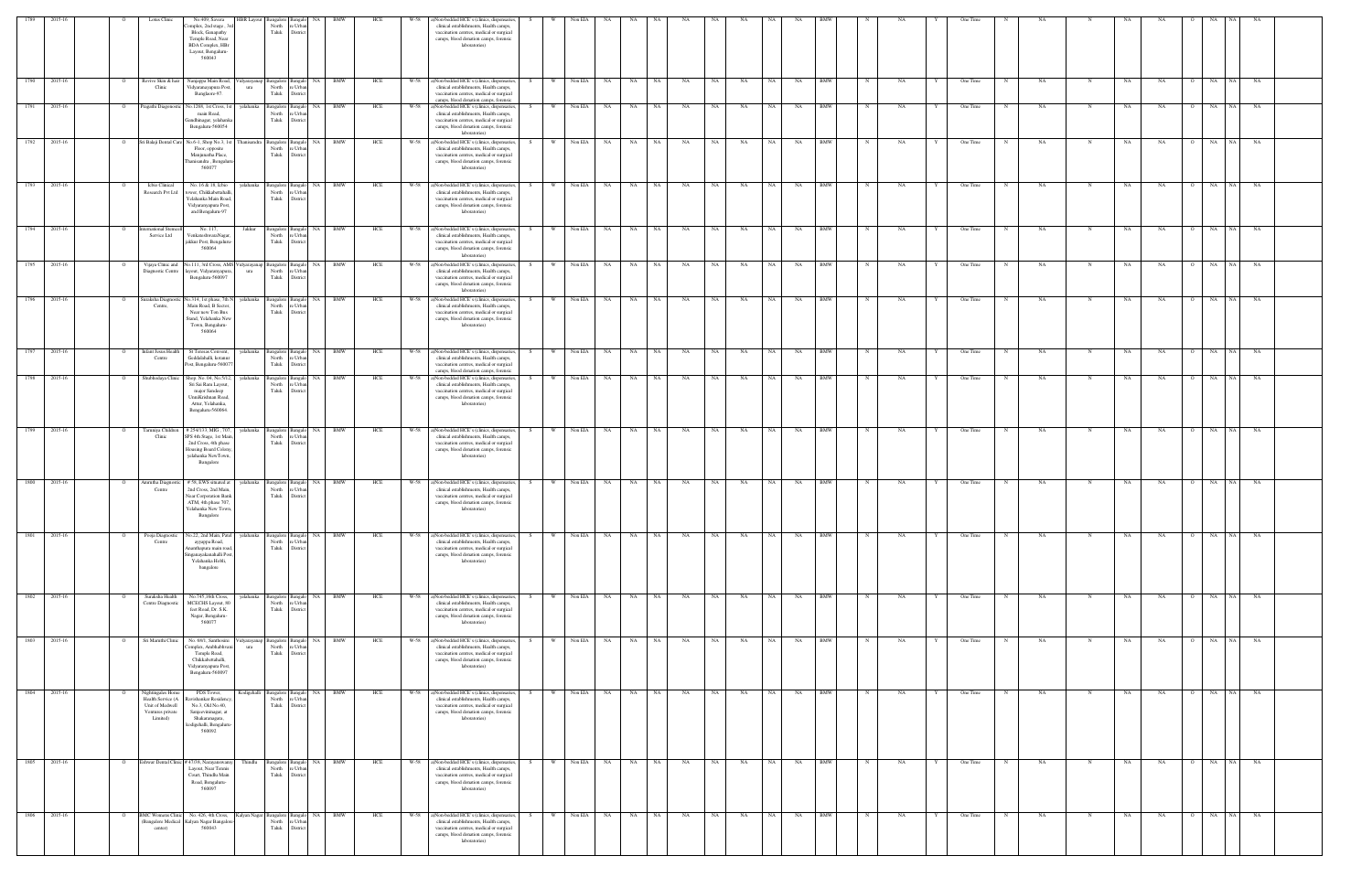| 1789         | 2015-16      |                | Lotus Clinic                                                                             | No.409, Savera<br>omplex, 2nd stage, 3<br>Block, Ganapathy                                                                           | <b>IBR</b> Layou<br>North<br>Taluk                                                    | Urba<br>District                                                          |                         | HCE | W-58 | a)Non-bedded HCE's (clinics, dispensaries,<br>clinical establishments, Health camps,<br>vaccination centres, medical or surgical                                                                |     | Non EIA               |           |      |       |           |           |           |           |           |                   |            |           |   |          |            |      |             |     |           |                |            |           |  |
|--------------|--------------|----------------|------------------------------------------------------------------------------------------|--------------------------------------------------------------------------------------------------------------------------------------|---------------------------------------------------------------------------------------|---------------------------------------------------------------------------|-------------------------|-----|------|-------------------------------------------------------------------------------------------------------------------------------------------------------------------------------------------------|-----|-----------------------|-----------|------|-------|-----------|-----------|-----------|-----------|-----------|-------------------|------------|-----------|---|----------|------------|------|-------------|-----|-----------|----------------|------------|-----------|--|
|              |              |                |                                                                                          | Temple Road, Near<br><b>BDA</b> Complex, HBr<br>Layout, Bengaluru-<br>560043                                                         |                                                                                       |                                                                           |                         |     |      | camps, blood donation camps, forensic<br>laboratories)                                                                                                                                          |     |                       |           |      |       |           |           |           |           |           |                   |            |           |   |          |            |      |             |     |           |                |            |           |  |
| 1790 2015-16 |              |                | Revive Skin & hair<br>Clinic                                                             | Nanjappa Main Road,<br>Vidyaranayapura Post,<br>Banglaore-97.                                                                        | 'idyarayanap<br>North<br>ura<br>Taluk                                                 | <b>Bangalo</b><br>e Urban<br>District                                     | BMW                     | HCE |      | W-58 a)Non-bedded HCE's (clinics, dispensaries<br>clinical establishments, Health camps,<br>vaccination centres, medical or surgical<br>camps, blood donation camps, forensic                   |     | Non EIA               | NA        | NA   | NA    | NA        | NA        | NA        |           | NA        | <b>BMW</b>        |            | NA        |   | One Time |            | NA   |             | NA  | NA        |                | NA         | NA        |  |
|              | 1791 2015-16 | $\circ$        |                                                                                          | Pragathi Diagonostic No.1268, 1st Cross, 1st<br>main Road,<br>iandhinagar, yelahanka<br>Bengaluru-560054                             | yelahanka Bangalore Bangalo<br>North<br>Taluk                                         | e Urban<br>District                                                       | NA<br>BMW               | HCE | W-58 | a)Non-bedded HCE's (clinics, dispensaries<br>clinical establishments, Health camps,<br>vaccination centres, medical or surgical<br>camps, blood donation camps, forensic<br>laboratories)       | S.  | Non EIA<br>- W        | NA        | NA 1 | NA    | NA        | NA        | NA        |           | NA        | <b>BMW</b>        |            | NA        |   | One Time |            | NA   |             | NA  | NA        | $\overline{O}$ | NA<br>NA 1 | NA        |  |
| 1792 2015-16 |              |                |                                                                                          | Sri Balaji Dental Care No.6-1, Shop No.3, 1st<br>Floor, opposite<br>Manjunatha Place,<br>Thanisandra, Bengaluru<br>560077            | Thanisandra Bangalore Bangalo<br>North<br>Taluk                                       | e Urbar<br>District                                                       | NA  <br><b>BMW</b>      | HCE |      | W-58 a)Non-bedded HCE's (clinics, dispensaries<br>clinical establishments, Health camps,<br>vaccination centres, medical or surgical<br>camps, blood donation camps, forensic<br>laboratories)  |     | W Non EIA             | NA        |      | NA NA | NA        | NA        | NA        | NA        | NA        | <b>BMW</b>        | $_{\rm N}$ | NA        |   | One Time | N          | NA   | N           | NA  | <b>NA</b> | $\overline{O}$ | NA<br>NA I | <b>NA</b> |  |
| 1793 2015-16 |              |                | Icbio Clinical<br>Research Pvt Ltd                                                       | No. 16 & 18, Icbio<br>tower, Chikkabettahalli<br>Yelahanka Main Road<br>Vidyaranyapura Post,<br>and Bengaluru-97                     | velahanka<br>North<br>Taluk                                                           | Bangalore Bangalo<br>Urbar<br>District                                    | <b>NA</b><br><b>BMW</b> | HCE | W-58 | a)Non-bedded HCE's (clinics, dispensaries<br>clinical establishments, Health camps,<br>vaccination centres, medical or surgical<br>camps, blood donation camps, forensic<br>laboratories)       |     | W Non EIA             | NA        |      | NA NA | NA        | NA        | NA        |           | NA        | <b>BMW</b>        |            | NA        |   | One Time |            | NA   | $\mathbf N$ | NA  | <b>NA</b> | $\overline{O}$ | NA<br>NA 1 | <b>NA</b> |  |
| 1794 2015-16 |              |                | ternational Steme<br>Service Ltd                                                         | No. 117.<br>VenkateshwaraNagar<br>jakkur Post, Bengaluru<br>560064                                                                   | Jakkur<br>Bangalore<br>North                                                          | <b>Bangalo</b><br>e Urban<br>Taluk District                               | <b>BMW</b><br><b>NA</b> | HCE |      | W-58 a)Non-bedded HCE's (clinics, dispensaries<br>clinical establishments, Health camps,<br>vaccination centres, medical or surgical<br>camps, blood donation camps, forensic<br>laboratories)  |     | Non EIA<br><b>W</b>   | NA        | NA   | NA    | NA        | NA        | NA        |           | NA        | <b>BMW</b>        |            | <b>NA</b> |   | One Time |            | NA   | N           | NA  | <b>NA</b> | $\Omega$       | NA<br>NA 1 | NA        |  |
| 1795 2015-16 |              |                | Vijaya Clinic and<br>Diagnostic Centre                                                   | layout, Vidyaranyapura,<br>Bengaluru-560097                                                                                          | No.111, 3rd Cross, AMS Vidyarayanap Bangalore Bangalo NA BMW<br>North<br>ura<br>Taluk | Urbar<br>District                                                         |                         | HCE |      | W-58 a)Non-bedded HCE's (clinics, dispensaries<br>clinical establishments, Health camps,<br>vaccination centres, medical or surgical<br>camps, blood donation camps, forensic<br>laboratories)  |     | W Non EIA             | NA NA     |      | NA NA | NA        | NA        | NA        | NA 1      | NA        | <b>BMW</b>        | N          | NA        |   | One Time | $_{\rm N}$ | NA.  | $\mathbf N$ | NA  | NA        | $\overline{O}$ | NA<br>NA N | NA        |  |
|              | 1796 2015-16 |                | Suraksha Diagno<br>Centre,                                                               | lo.314, 1st phase, 7th N<br>Main Road, B Sector,<br>Near new Ton Bus<br>Stand, Yelahanka New<br>Town, Bengaluru-<br>560064           | yelahanka<br>Bangalore<br>North<br>Taluk                                              | <b>Bangalo</b><br>e Urbar<br>Distric                                      | <b>BMW</b><br>NA I      | HCE |      | W-58 a)Non-bedded HCE's (clinics, dispensaries<br>clinical establishments, Health camps,<br>vaccination centres, medical or surgical<br>camps, blood donation camps, forensic<br>laboratories)  |     | Non EIA<br>W I        | NA        | NA 1 | NA    | NA        | NA        | NA        | NA 1      | NA        | <b>BMW</b>        |            | NA        |   | One Time |            | NA   |             | NA. | NA        | $\circ$        | NA<br>NA 1 | NA.       |  |
| 1797 2015-16 |              |                | <b>Infant Jesus Health</b><br>Centre                                                     | St Teresas Convent,<br>Geddalahalli, kotanur<br>Post, Bengaluru-56007                                                                | yelahanka<br>Bangalore<br>North<br>Taluk                                              | angalo<br>Urb;<br>Distric                                                 | NA  <br><b>BMW</b>      | HCE |      | W-58 a)Non-bedded HCE's (clinics, dispensaries,<br>clinical establishments, Health camps,<br>vaccination centres, medical or surgical<br>camps, blood donation camps, forensic                  |     | W Non EIA             | NA 1      |      | NA NA | NA        | NA        | NA        | NA I      | NA        | <b>BMW</b><br>BMW |            | NA        |   | One Time |            | NA   |             | NA  | NA        |                | NA<br>NA   | NA        |  |
|              | 1798 2015-16 |                | Shubhodaya Clinic                                                                        | Shop. No. 04, No.5/12,<br>Sri Sai Ram Layout<br>major Sandeep<br>UnniKrishnan Road,<br>Attur, Yelahanka,<br>Bengaluru-560064.        | yelahanka Bangalore Bangalo<br>North<br>Taluk                                         | : Urbar<br>District                                                       | NA 1<br><b>BMW</b>      | HCE |      | W-58 a)Non-bedded HCE's (clinics, dispensaries,<br>clinical establishments, Health camps,<br>vaccination centres, medical or surgical<br>camps, blood donation camps, forensic<br>laboratories) | S.  | W Non EIA             | NA NA     |      | NA NA | <b>NA</b> | NA        | <b>NA</b> | NA 1      | NA        |                   |            | NA.       |   | One Time | N          | NA   |             | NA  | NA        | $\overline{O}$ | <b>NA</b>  | NA NA     |  |
|              | 1799 2015-16 |                | Faruniya Childr<br>Clinic                                                                | #254/133, MIG, 7<br>SPS 4th Stage, 1st Main,<br>2nd Cross, 4th phase<br>Housing Board Colony<br>yelahanka NewTown,<br>Bangalore      | yelahanka<br>North<br>Taluk                                                           | anga<br>e Urban<br>Distric                                                | BMW                     | HCE |      | W-58 a)Non-bedded HCE's (clinics, dispensaries<br>clinical establishments, Health camps,<br>vaccination centres, medical or surgical<br>camps, blood donation camps, forensic<br>laboratories)  |     | Non EIA               | NA        | NA   | NA    | NA        | NA        | NA        |           | NA        | <b>BMW</b>        |            | NA        |   | One Time | N          | NA   |             | NA  | NA        |                | NA         | NA        |  |
|              | 1800 2015-16 |                | Amrutha Diagnostic<br>Centre                                                             | # 58, EWS situated at<br>2nd Cross, 2nd Main<br>Near Corporation Banl<br>ATM, 4th phase 707,<br>Yelahanka New Town,<br>Bangalore     | yelahanka<br>Bangalore<br>North<br>Taluk                                              | angalo<br>Urb;<br>Distric                                                 | NA<br>BMW               | HCE | W-58 | a)Non-bedded HCE's (clinics, dispensaries<br>clinical establishments, Health camps,<br>vaccination centres, medical or surgical<br>camps, blood donation camps, forensic<br>laboratories)       |     | Non EIA<br>- W        | NA        | NA   | NA    | <b>NA</b> | NA        | NA        | NA        | NA        | BMW               |            | NA        |   | One Time |            | NA   | N           | NA  | NA        | $\overline{O}$ | NA  <br>NA | NA        |  |
| 1801         | 2015-16      |                | Pooja Diagnostic<br>Centre                                                               | No.22, 2nd Main, Patel<br>ayyappa Road,<br>Ananthapura main road<br>Singanayakanahalli Post<br>Yelahanka Hobli,<br>bangalore         | velahanka<br>North<br>Taluk                                                           | Bangalore Bangalo<br>e Urban<br>District                                  | NA  <br><b>BMW</b>      | HCE | W-58 | a)Non-bedded HCE's (clinics, dispensaries<br>clinical establishments, Health camps,<br>vaccination centres, medical or surgical<br>camps, blood donation camps, forensic<br>laboratories)       |     | Non EIA<br><b>W</b>   | <b>NA</b> |      | NA NA | NA        | NA        | NA        | <b>NA</b> | NA        | <b>BMW</b>        |            | NA        |   | One Time |            | NA   | N           | NA  | <b>NA</b> | $\Omega$       | NA<br>NA   | NA        |  |
|              | 1802 2015-16 |                | Suraksha Health<br>Centre Diagnostic                                                     | No.745,16th Cross,<br>MCECHS Layout, 80<br>feet Road, Dr. S.K.<br>Nagar, Bengaluru-<br>560077                                        | yelahanka<br>Bangalore<br>North<br>Taluk                                              | <b>Bangalo</b><br>e Urba<br>District                                      | NA BMW                  | HCE |      | W-58 a)Non-bedded HCE's (clinics, dispensaries<br>clinical establishments, Health camps,<br>vaccination centres, medical or surgical<br>camps, blood donation camps, forensic<br>laboratories)  |     | W Non EIA             | NA 1      |      | NA NA | <b>NA</b> | <b>NA</b> | <b>NA</b> | NA        | <b>NA</b> | <b>BMW</b>        |            | NA        |   | One Time |            | NA   | $\mathbf N$ | NA  | NA        | $\overline{O}$ | NA NA NA   |           |  |
| 1803 2015-16 |              |                | Sri Maruthi Clinic                                                                       | No. 68/1, Santhosini<br>'omplex, Ambhabhvar<br>Temple Road,<br>Chikkabettahalli,<br>Vidyaranyapura Post<br>Bengaluru-560097          | idyarayanap<br><b>Bangalore</b><br>North<br>ura<br>Taluk                              | <b>Bangalo</b><br>: Urbar<br>District                                     | NA BMW                  | HCE |      | W-58 a)Non-bedded HCE's (clinics, dispensaries<br>clinical establishments, Health camps,<br>vaccination centres, medical or surgical<br>camps, blood donation camps, forensic<br>laboratories)  |     | W Non EIA             | NA N      |      | NA NA | NA        | <b>NA</b> | <b>NA</b> | NA 1      | NA        | <b>BMW</b>        | N          | NA        |   | One Time | N          | NA   |             | NA  | NA        | $\circ$        | NA NA NA   |           |  |
|              | 1804 2015-16 |                | Nightingales Hom<br>Health Service (A<br>Unit of Medwell<br>Ventures private<br>Limited) | PDS Tower,<br>Ravishankar Residency<br>No.3, Old No.40,<br>Sanjeevininagar, at<br>Shakaranagara,<br>kodigehalli, Bengaluru<br>560092 | Kodigehalli<br>North<br>Taluk                                                         | <b>Bangalo</b><br>e Urban<br>District                                     | <b>NA</b><br>BMW        | HCE | W-58 | a)Non-bedded HCE's (clinics, dispensaries<br>clinical establishments, Health camps,<br>vaccination centres, medical or surgical<br>camps, blood donation camps, forensic<br>laboratories)       |     | Non EIA               | NA.       | NA   | NA    | NA        | NA        | NA        |           | NA        | <b>BMW</b>        |            | NA        |   | One Time |            | NA   |             | NA  | NA        |                | NA<br>NA 1 | NA        |  |
|              | 1805 2015-16 | $\overline{O}$ |                                                                                          | Eshwar Dental Clinic #47/38, Narayanswamy<br>Layout, Near Tennis<br>Court, Thindlu Main<br>Road, Bengaluru-<br>560097                | Thindlu<br>North<br>Taluk                                                             | $\textbf{Bangalore Bangalo} \quad \text{NA} \quad$<br>e Urban<br>District | <b>BMW</b>              | HCE |      | W-58 a)Non-bedded HCE's (clinics, dispensaries,<br>clinical establishments, Health camps,<br>vaccination centres, medical or surgical<br>camps, blood donation camps, forensic<br>laboratories) | S – | W Non EIA             | NA 1      |      | NA NA | <b>NA</b> | NA        | <b>NA</b> | NA 1      | NA        | <b>BMW</b>        | N          | NA        | Y | One Time | N          | NA . | N           | NA  | NA        | $\overline{O}$ | NA NA      | NA        |  |
|              | 1806 2015-16 |                | center)                                                                                  | BMC Womens Clinic No. 426, 4th Cross, Kalyan Nagar Bangalore Bangalo NA BMW<br>Bangalore Medical Kalyan Nagar Bangalor<br>560043     | North<br>Taluk                                                                        | Urban<br>District                                                         |                         | HCE |      | W-58 a)Non-bedded HCE's (clinics, dispensaries,<br>clinical establishments, Health camps,<br>vaccination centres, medical or surgical<br>camps, blood donation camps, forensic<br>laboratories) |     | W Non EIA NA NA NA NA |           |      |       | NA NA     | NA N      | NA        | NA N      | NA BMW    |                   | N          | NA        | Y | One Time | N          | NA   | $\mathbf N$ | NA  | <b>NA</b> |                | 0 NA NA NA |           |  |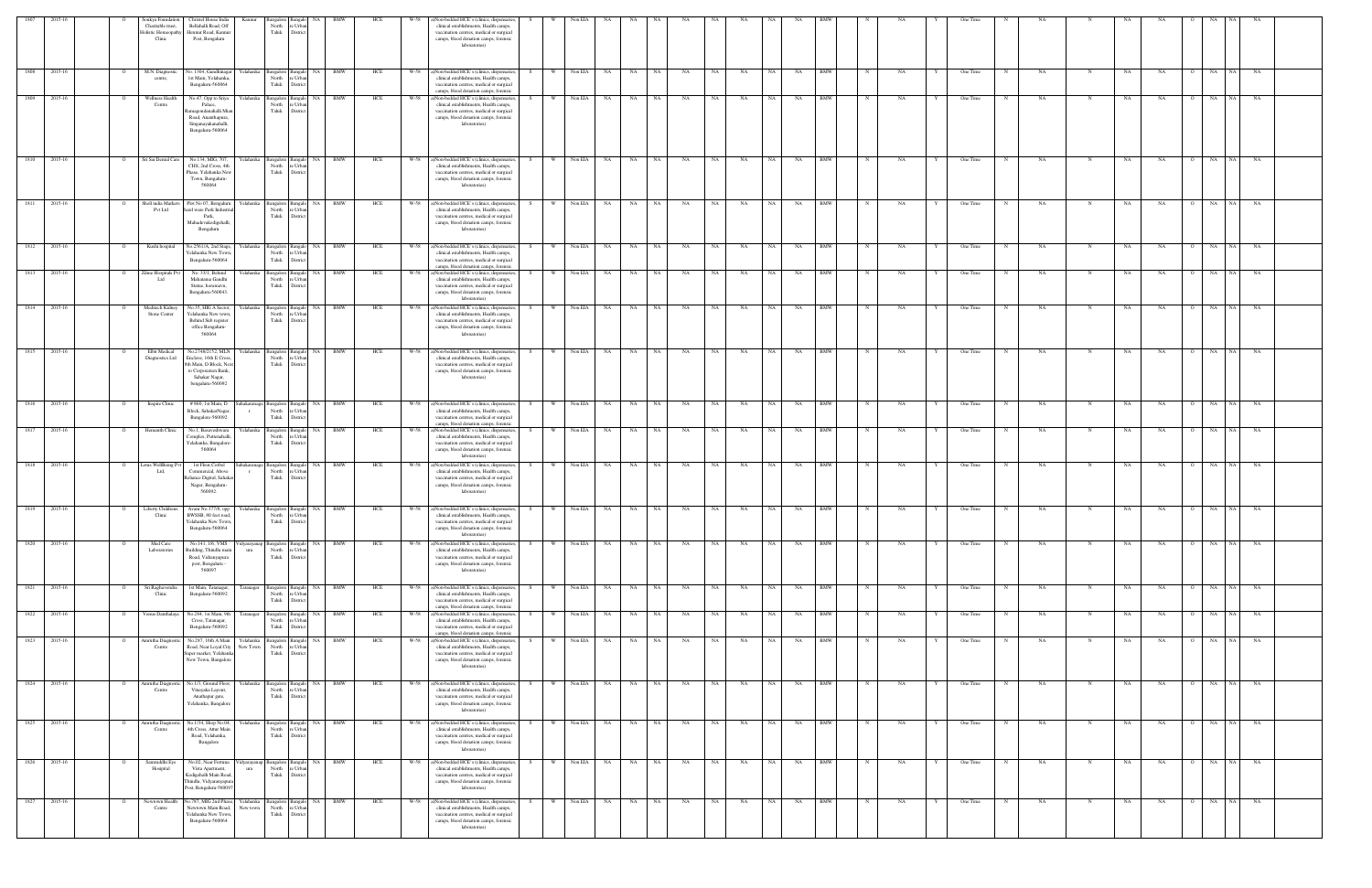|        |              |                | Soukya Foundation<br>Charitable trust,<br><b>Holistic Homeopath</b><br>Clinic | Christel House India<br>Bellahalli Road, Off<br>Hennur Road, Kannu<br>Post, Bengaluru                                            | Kannur                     | angalore Bangalo<br>North<br>e Urb<br>Taluk<br>District            |           |                          | HCE | W-58 | a)Non-bedded HCE's (clinics, dispensaries,<br>clinical establishments, Health camps,<br>vaccination centres, medical or surgical<br>camps, blood donation camps, forensic<br>laboratories)      |          | Non ELA   |           |           |           |           |           |           |           |           |            |             |           | One Time               |           |     |    |           |                |            |           |  |
|--------|--------------|----------------|-------------------------------------------------------------------------------|----------------------------------------------------------------------------------------------------------------------------------|----------------------------|--------------------------------------------------------------------|-----------|--------------------------|-----|------|-------------------------------------------------------------------------------------------------------------------------------------------------------------------------------------------------|----------|-----------|-----------|-----------|-----------|-----------|-----------|-----------|-----------|-----------|------------|-------------|-----------|------------------------|-----------|-----|----|-----------|----------------|------------|-----------|--|
| 1808   | 2015-16      | $\overline{O}$ | M.N. Diagnostic<br>centre,                                                    | No. 1304, Gandhinagar<br>1st Main, Yelahanka,<br>Bengaluru-560064                                                                | Yelahanka                  | Bangalore Bangal<br>North<br>re Urba<br>Taluk<br>District          | <b>NA</b> | <b>BMW</b>               | HCE | W-58 | a)Non-bedded HCE's (clinics, dispensaries<br>clinical establishments, Health camps,<br>vaccination centres, medical or surgical<br>camps, blood donation camps, forensic                        | W        | Non EIA   | NA        | NA 1      | NA        | NA        | NA        | NA        | <b>NA</b> | NA        | <b>BMW</b> |             | NA        | One Time               | NA        | N   | NA | NA        | $\Omega$       | NA<br>NA   | NA        |  |
| 1809   | 2015-16      | $\overline{O}$ | Wellness Health<br>Centre                                                     | No.47, Opp to Sriya<br>Palace.<br>damagondanahalli Miar<br>Road, Ananthapura,<br>Singanayakanahalli,<br>Bengaluru-560064         | Yelahanka                  | Bangalore Bangale<br>North<br>re Urbar<br>Taluk<br>District        | <b>NA</b> | <b>BMW</b>               | HCE |      | W-58 a)Non-bedded HCE's (clinics, dispensaries,<br>clinical establishments, Health camps,<br>vaccination centres, medical or surgical<br>camps, blood donation camps, forensic<br>laboratories) | S.<br>W. | Non EIA   | NA        | NA 1      | <b>NA</b> | NA        | NA        | NA        | NA 1      | <b>NA</b> | <b>BMW</b> | $\mathbf N$ | NA        | One Time<br>N          | NA        |     | NA | NA        | O NA           | NA 1       | NA        |  |
| 1810   | 2015-16      | $\overline{O}$ | Sri Sai Dental Care                                                           | No.134, MIG, 707,<br>CHS, 2nd Cross, 4th<br>Phase, Yelahanka New<br>Town, Bengaluru-<br>560064                                   | Yelahanka                  | Bangalore Bangalo<br>North<br>re Urba<br>Taluk<br>District         | <b>NA</b> | BMW                      | HCE | W-58 | a)Non-bedded HCE's (clinics, dispensaries<br>clinical establishments, Health camps,<br>vaccination centres, medical or surgical<br>camps, blood donation camps, forensic<br>laboratories)       | W        | Non EIA   | NA        | NA 1      | NA        | NA        | NA        | NA        | <b>NA</b> | NA        | <b>BMW</b> |             | NA        | One Time               | <b>NA</b> | N   | NA | NA        | $\Omega$       | NA<br>NA 1 | NA        |  |
| 1811   | 2015-16      |                | Shell india Markets<br>Pvt Ltd                                                | Plot No 07, Bengaluru<br>ard ware Park Indust<br>Park,<br>Mahadevakodigehalli<br>Bengaluru                                       | Yelahanka                  | Bangalore Bangalo<br>North<br>re Urbar<br>Taluk<br>District        | NA        | <b>BMW</b>               | HCE | W-58 | a)Non-bedded HCE's (clinics, dispensaries<br>clinical establishments, Health camps,<br>vaccination centres, medical or surgical<br>camps, blood donation camps, forensic<br>laboratories)       | W.       | Non EIA   | NA        | NA 1      | NA        | NA        | NA        | NA        | <b>NA</b> | NA        | <b>BMW</b> |             | <b>NA</b> | One Time               | <b>NA</b> | N   | NA | <b>NA</b> |                | NA<br>NA   | <b>NA</b> |  |
| 1812   | 2015-16      | $\overline{O}$ | Kushi hospital                                                                | No.2561/A, 2nd Stage,<br>Yelahanka New Town<br>Bengaluru-560064                                                                  | Yelahanka                  | Bangalore Bangalo<br>North<br>re Urbar<br>Taluk<br>District        | <b>NA</b> | <b>BMW</b>               | HCE | W-58 | a)Non-bedded HCE's (clinics, dispensaries<br>clinical establishments, Health camps,<br>vaccination centres, medical or surgical<br>camps, blood donation camps, forensic                        | W        | Non EIA   | NA.       | NA 1      | NA        | NA        | NA        | NA        | <b>NA</b> | NA        | <b>BMW</b> |             | NA        | One Time               | NA        | N   | NA | NA        |                | NA<br>NA   | <b>NA</b> |  |
| 1813   | 2015-16      | $\overline{O}$ | Zilme Hospitals Pv<br>bt I                                                    | No. 33/1, Behind<br>Mahatama Gandhi<br>Statue, horamavu,<br>Bengaluru-560043.                                                    | Yelahanka                  | Bangalore Bangalo<br>North<br>re Urbar<br>Taluk<br>District        | <b>NA</b> | BMW                      | HCE |      | W-58 a)Non-bedded HCE's (clinics, dispensaries,<br>clinical establishments, Health camps,<br>vaccination centres, medical or surgical<br>camps, blood donation camps, forensic<br>laboratories) | S.<br>W  | Non EIA   | NA        | NA 1      | NA        | <b>NA</b> | NA        | NA        | NA 1      | <b>NA</b> | <b>BMW</b> |             | NA        | One Time<br>N          | <b>NA</b> |     | NA | <b>NA</b> | O NA           | NA 1       | NA        |  |
|        | 1814 2015-16 | $\overline{O}$ | Meditech Kidney<br>Stone Center                                               | No.35, HIG A Sector,<br>Yelahanka New town<br>Behind Sub register<br>office Bengaluru-<br>560064                                 | Yelahanka                  | Bangalore Bangalo<br>North<br>e Urh<br>Taluk<br>District           |           | NA BMW                   | HCE |      | W-58 a)Non-bedded HCE's (clinics, dispensaries,<br>clinical establishments, Health camps,<br>vaccination centres, medical or surgical<br>camps, blood donation camps, forensic<br>laboratories) |          | W Non EIA | NA        | NA NA     |           | NA        | <b>NA</b> | NA        | NA 1      | NA        | <b>BMW</b> |             | NA        | One Time<br>$_{\rm N}$ | <b>NA</b> | N   | NA | NA.       | O NA           |            | NA NA     |  |
|        | 1815 2015-16 | $\circ$        | Elbit Medical<br>Diagnostics Ltd                                              | No.2748/2152, MLN<br>Enclave, 16th E Cros<br>8th Main, D Block, Ne<br>to Corporation Bank,<br>Sahakar Nagar,<br>bengaluru-560092 | Yelahanka                  | North<br>e Urb<br>Taluk<br>District                                |           | Bangalore Bangalo NA BMW | HCE |      | W-58 a)Non-bedded HCE's (clinics, dispensaries,<br>clinical establishments, Health camps,<br>vaccination centres, medical or surgical<br>camps, blood donation camps, forensic<br>laboratories) | S.       | W Non EIA | NA 1      | NA NA     |           | NA        | NA        | NA        | NA 1      | NA        | <b>BMW</b> |             | NA        | One Time<br>N          | NA        | N   | NA | NA.       |                | O NA NA NA |           |  |
| 1816   | 2015-16      | $\mathbf{o}$   | Inspire Clinic                                                                | # 860, 1st Main, D<br>Block, SahakarNagar,<br>Bangalore-560092                                                                   | Sahakaranaga<br>$\Gamma$   | Bangalore Bangalo<br>North<br>re Urbar<br>Taluk<br>Distric         | <b>NA</b> | BMW                      | HCE |      | W-58 a)Non-bedded HCE's (clinics, dispensaries,<br>clinical establishments, Health camps,<br>vaccination centres, medical or surgical<br>camps, blood donation camps, forensic                  | S.<br>W  | Non EIA   | NA        | <b>NA</b> | NA        | NA        | NA        | NA        | NA        | NA        | BMW        |             | NA        | One Time               | NA        | N   | NA | <b>NA</b> | $\Omega$       | NA<br>NA 1 | NA        |  |
| 1817   | 2015-16      |                | Hemanth Clinic                                                                | No.1. Basaveshwara<br>Complex, Puttenahalli<br>Yelahanka, Bangalore-<br>560064                                                   | Yelahanka                  | Bangalore Bangal<br>North<br>e Urb<br>Taluk<br>Distri              | - NA      | BMW                      | HCE | W-58 | a)Non-bedded HCE's (clinics, dispensaries,<br>clinical establishments, Health camps,<br>vaccination centres, medical or surgical<br>camps, blood donation camps, forensic<br>laboratories)      |          | Non EIA   | NA        | NA.       | - NA      | NA        | NA        | <b>NA</b> | NA.       | NA.       | BMW        |             | NA.       | One Time               | NA        |     | NA | NA.       |                | NA.        | NA.       |  |
| 1818   | 2015-16      | $\circ$        | Lotus WellBeing P<br>Ltd,                                                     | 1st Floor, Corbel<br>Commercial, Above<br>Reliance Digital, Sahakar<br>Nagar, Bengaluru-<br>560092.                              | ahakaranaga                | Bangalore Bangalo<br>North<br>e Urba<br>Taluk<br>District          | NA        | BMW                      | HCE |      | W-58 a)Non-bedded HCE's (clinics, dispensaries<br>clinical establishments, Health camps,<br>vaccination centres, medical or surgical<br>camps, blood donation camps, forensic<br>laboratories)  | W        | Non EIA   | NA        | NA 1      | NA        | NA        | NA        | NA        | <b>NA</b> | NA        | <b>BMW</b> |             | NA        | One Time               | <b>NA</b> | - N | NA | NA        |                | NA<br>NA 1 | NA        |  |
| 1819   | 2015-16      | $\mathbf{o}$   | <b>Liberty Childrens</b><br>Clinic                                            | Avani No.377/8, opp Yelahanka Bangalore Bangalo NA<br>BWSSB, 80 feet road.<br>Yelahanka New Town,<br>Bengaluru-560064            |                            | North<br>Taluk District                                            | re Urban  | BMW                      | HCE |      | W-58 a)Non-bedded HCE's (clinics, dispensaries,<br>clinical establishments, Health camps,<br>vaccination centres, medical or surgical<br>camps, blood donation camps, forensic<br>laboratories) | W<br>S.  | Non EIA   | NA        | NA        | NA        | NA        | NA        | NA        | NA        | NA        | <b>BMW</b> |             | NA        | One Time               | NA        | N   | NA | NA        | $\overline{O}$ | NA<br>NA 1 | NA        |  |
| 1820   | 2015-16      |                | Med Care<br>Laboratories                                                      | No.141, 1/6, VMS<br>Building, Thindlu mai<br>Road, Vidranyapura<br>post, Bengaluru -<br>560097                                   | idyarayana<br>$_{\rm ura}$ | Bangalore Bangalo<br>North<br>e Urb<br>Taluk<br>District           | <b>NA</b> | <b>BMW</b>               | HCE | W-58 | a)Non-bedded HCE's (clinics, dispensaries,<br>clinical establishments, Health camps,<br>vaccination centres, medical or surgical<br>camps, blood donation camps, forensic<br>laboratories)      |          | Non EIA   | NA        | NA        | NA        | NA        | NA        | NA        | NA 1      | NA        | <b>BMW</b> |             | NA        | One Time               | NA        |     | NA | NA        |                | NA 1<br>NA | NA        |  |
|        | 1821 2015-16 | $\circ$        | Sri Raghavendra<br>Clinic                                                     | 1st Main, Tatanagar,<br>Bengaluru-560092                                                                                         | Tatanagar                  | angalore Bangalo<br>North<br>e Urba<br>Taluk<br>District           |           | NA BMW                   | HCE |      | W-58 a)Non-bedded HCE's (clinics, dispensaries,<br>clinical establishments, Health camps,<br>vaccination centres, medical or surgical<br>camps, blood donation camps, forensic                  | W<br>S.  | Non EIA   | <b>NA</b> | NA 1      | NA        | NA        | NA        | NA        | NA 1      | NA        | <b>BMW</b> |             | NA        | One Time<br>N          | NA        | N   | NA | NA        |                | NA<br>NA   | NA        |  |
|        | 1822 2015-16 | $\mathbf{o}$   | Venus Danthalaya                                                              | No.284, 1st Main, 9th<br>Cross, Tatanagar,<br>Bengaluru-560092                                                                   | Tatanagar                  | Bangalore Bangalo<br>North<br>e Urb<br>Taluk<br>District           | NA        | BMW                      | HCE |      | W-58 a)Non-bedded HCE's (clinics, dispensaries,<br>clinical establishments, Health camps,<br>vaccination centres, medical or surgical<br>camps, blood donation camps, forensic                  | W<br>S   | Non EIA   | NA        | NA 1      | NA        | NA        | NA        | NA        | NA 1      | NA        | <b>BMW</b> |             | NA        | One Time<br>N          | NA        | N   | NA | NA        | $\Omega$       | NA NA NA   |           |  |
| 1823   | 2015-16      | $\circ$        | Amrutha Diagnos<br>Centre                                                     | No.287, 16th A Main<br>Road, Near Loyal City<br>Super market, Yelahanka<br>New Town, Bangalore                                   | Yelahanka<br>New Town      | Bangalore Bangalo<br>North<br>re Urbar<br>Taluk District           | <b>NA</b> | BMW                      | HCE | W-58 | a)Non-bedded HCE's (clinics, dispensaries,<br>clinical establishments, Health camps,<br>vaccination centres, medical or surgical<br>camps, blood donation camps, forensic<br>laboratories)      |          | Non EIA   | NA        | NA        | NA        | NA        | NA        | NA        | NA        | NA        | <b>BMW</b> |             | NA        | One Time               | NA        | N   | NΑ | NA        |                | NA<br>NA 1 | NA        |  |
| 1824   | 2015-16      | $\overline{O}$ | Amrutha Diagno:<br>Centre                                                     | No.1/3, Ground Floor,<br>Vinayaka Layout,<br>Anathapur gate,<br>Yelahanka, Bangalore                                             | Yelahanka                  | Bangalore Bangalo<br>North<br>re Urbar<br>Taluk<br>District        | NA        | <b>BMW</b>               | HCE | W-58 | a)Non-bedded HCE's (clinics, dispensaries<br>clinical establishments, Health camps,<br>vaccination centres, medical or surgical<br>camps, blood donation camps, forensic<br>laboratories)       | W        | Non EIA   | NA        | NA 1      | NA        | NA        | NA        | NA        | NA        | NA        | <b>BMW</b> |             | NA        | One Time               | NA        | N   | NA | NA        |                | NA<br>NA   | NA        |  |
| $1825$ | 2015-16      | $\mathbf{o}$   | smrutha Diagno:<br>Centre                                                     | No.1/34, Shop No.04,<br>4th Cross, Attur Main<br>Road, Yelahanka,<br>Bangalore                                                   | Yelahanka                  | North<br>re Urban<br>Taluk<br>District                             |           | Bangalore Bangalo NA BMW | HCE | W-58 | a)Non-bedded HCE's (clinics, dispensaries,<br>clinical establishments, Health camps,<br>vaccination centres, medical or surgical<br>camps, blood donation camps, forensic<br>laboratories)      | W.<br>S. | Non EIA   | NA        | NA        | NA        | NA        | NA        | NA        | NA 1      | NA        | BMW        | N           | NA        | One Time               | NA        | N   | NA | NA        | $\circ$        | NA 1<br>NA | NA        |  |
|        | 1826 2015-16 | $\circ$        | Samruddhi Eye<br>Hosipital                                                    | No.02, Near Fortuna<br>Vista Apartment,<br>Kodigehalli Main Road,<br>Thindlu, Vidyaranyapu<br>Post, Bengaluru-560097             | dyarayanap<br>ura          | angalore Bangalo<br>North<br>e Urba<br>Taluk<br>District           |           | NA BMW                   | HCE | W-58 | a)Non-bedded HCE's (clinics, dispensaries,<br>clinical establishments, Health camps,<br>vaccination centres, medical or surgical<br>camps, blood donation camps, forensic<br>laboratories)      |          | Non EIA   | NA        | NA 1      | NA        | NA        | NA        | NA        | NA 1      | NA        | <b>BMW</b> |             | NA        | One Time               | NA        |     | NA | NA        |                | NA<br>NA 1 | NA        |  |
| 1827   | 2015-16      | $\circ$        | Newtown Health<br>Centre                                                      | o.787, MIG 2nd Phase,<br>Newtown Main Road,<br>Yelahanka New Town<br>Bengaluru-560064                                            | Yelahanka<br>New town      | <b>3angalore</b> Bangalo<br>North<br>re Urbar<br>Taluk<br>District | <b>NA</b> | BMW                      | HCE | W-58 | a)Non-bedded HCE's (clinics, dispensaries<br>clinical establishments, Health camps,<br>vaccination centres, medical or surgical<br>camps, blood donation camps, forensic<br>laboratories)       |          | Non EIA   | NA        | <b>NA</b> | NA        | NA        | NA        | NA        | <b>NA</b> | NA        | <b>BMW</b> |             | NA        | One Time               | NA        | N   | NA | NA        |                | NA<br>NA   | NA        |  |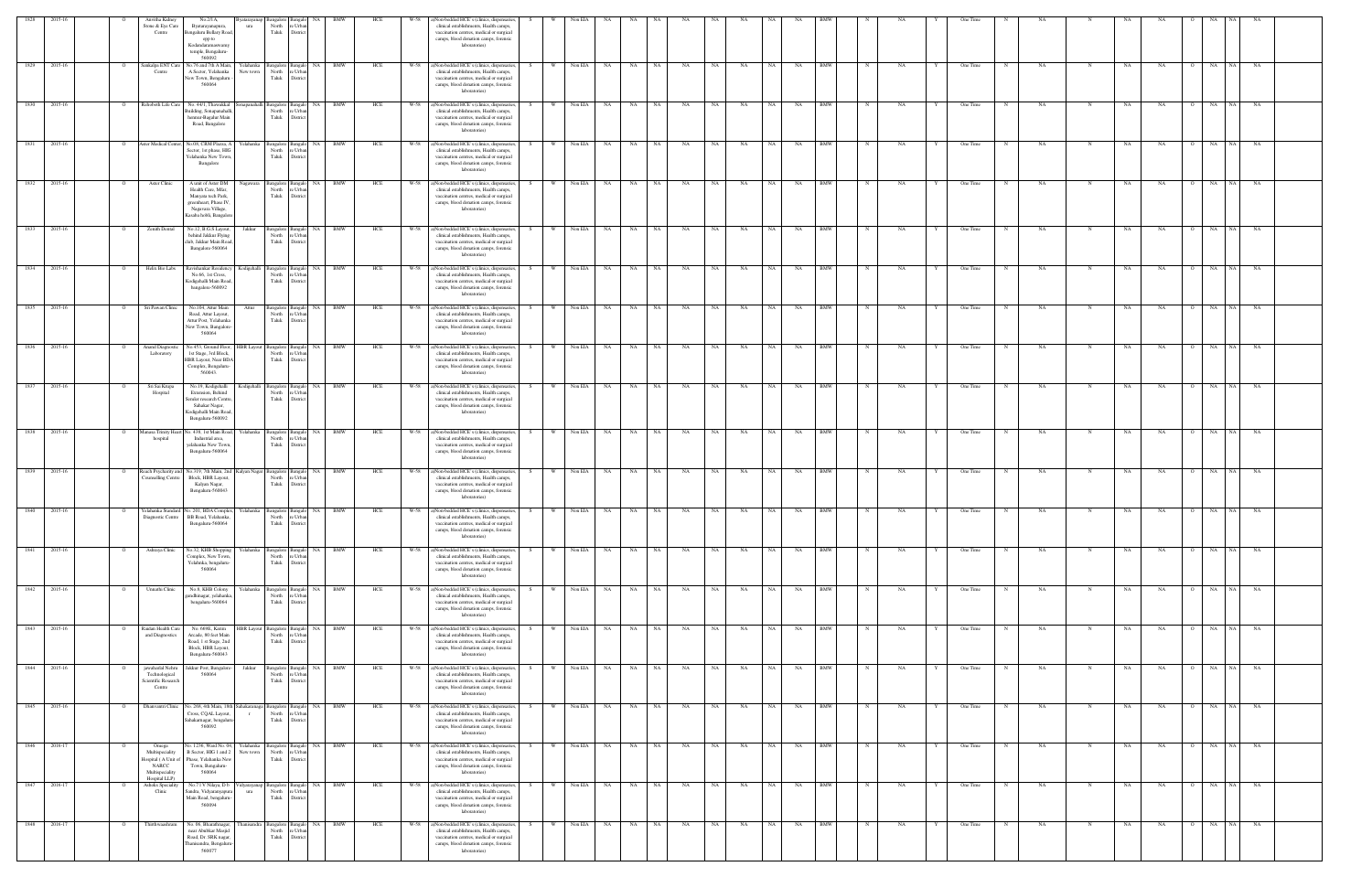| 1828 |              |                | Anvitha Kidney                                                                               | No.2/1A.                                                                                                                                 | vataravan             |                                              |                            |                          |            | W-58 | a)Non-bedded HCE's (clinics, dispensaries,                                                                                                                                                        |           | Non EIA   |           |                          |           |           |           |           |      |           |            |              |    |   |          |             |           |            |           |                       |                 |           |  |
|------|--------------|----------------|----------------------------------------------------------------------------------------------|------------------------------------------------------------------------------------------------------------------------------------------|-----------------------|----------------------------------------------|----------------------------|--------------------------|------------|------|---------------------------------------------------------------------------------------------------------------------------------------------------------------------------------------------------|-----------|-----------|-----------|--------------------------|-----------|-----------|-----------|-----------|------|-----------|------------|--------------|----|---|----------|-------------|-----------|------------|-----------|-----------------------|-----------------|-----------|--|
|      |              |                | Stone & Eye Care<br>Centre                                                                   | Byatarayanapura<br>Bengaluru Bellary Road<br>opp to<br>Kodandaramaswamy<br>temple, Bengaluru-<br>560092                                  | ura                   | North<br>Taluk                               | e Urb.<br>Distric          |                          |            |      | clinical establishments, Health camps,<br>vaccination centres, medical or surgical<br>camps, blood donation camps, forensic<br>laboratories)                                                      |           |           |           |                          |           |           |           |           |      |           |            |              |    |   |          |             |           |            |           |                       |                 |           |  |
| 1829 | 2015-16      |                | Sankalpa ENT Care<br>Centre                                                                  | No.76 and 7th A Main,<br>A Sector, Yelahanka<br>New Town, Bengaluru<br>560064                                                            | Yelahanka<br>New town | 3angalore<br>North<br>Taluk                  | NA<br>Bangal<br>Distri     | <b>BMW</b>               | HCE        | W-58 | a)Non-bedded HCE's (clinics, dispensaries<br>clinical establishments, Health camps,<br>vaccination centres, medical or surgical<br>camps, blood donation camps, forensic<br>laboratories)         |           | Non EIA   | NA        | NA                       | NA        | NA        | NA        | NA        | NA . | NA        | <b>BMW</b> |              | NA |   | One Time |             | NA        | N          | NA        | NA                    | NA<br><b>NA</b> | NA        |  |
| 1830 | 2015-16      |                | Rehoboth Life Care                                                                           | No. 44/1, Thawakkal<br>Building, Sonapanahall<br>hennur-Bagalur Main<br>Road, Bangalore                                                  |                       | Bangalore Bangal<br>North<br>Taluk           | e Urb<br>Distric           | NA BMW                   | HCE        |      | W-58 a)Non-bedded HCE's (clinics, dispensaries<br>clinical establishments, Health camps,<br>vaccination centres, medical or surgical<br>camps, blood donation camps, forensic<br>laboratories)    |           | Non EIA   | NA        | NA 11                    | NA        | NA        | NA        | NA        | NA 1 | NA        | <b>BMW</b> |              | NA |   | One Time |             | NA        |            | NA        | NA                    | NA I<br>NA      | <b>NA</b> |  |
| 1831 | 2015-16      | $\Omega$       | Aster Medical Center                                                                         | No.08, CRM Plazza, A<br>Sector, 1st phase, HIG<br>Yelahanka New Town,<br>Bangalore                                                       | Yelahanka             | <b>Bangalore</b> Bangalo<br>North<br>Taluk   | 'e Urba<br>Distric         | NA BMW                   | HCE        | W-58 | a)Non-bedded HCE's (clinics, dispensaries<br>clinical establishments, Health camps,<br>vaccination centres, medical or surgical<br>camps, blood donation camps, forensic<br>laboratories)         | W I       | Non EIA   | NA        | NA                       | NA        | NA        | NA        | NA        | NA 1 | NA        | <b>BMW</b> |              | NA |   | One Time |             | NA        |            | NA        | NA                    | NA<br>NA        | NA        |  |
| 1832 | 2015-16      | $\overline{O}$ | Aster Clinic                                                                                 | A unit of Aster DM<br>Health Care, Mfar,<br>Manyata tech Park,<br>greenheart, Phase IV<br>Nagavara Village,<br>Kasaba hobli, Bangalor    | Nagawara              | Bangalore Bangalo<br>North<br>Taluk          | e Urb<br>Distric           | NA BMW                   | HCE        | W-58 | a)Non-bedded HCE's (clinics, dispensaries,<br>clinical establishments, Health camps,<br>vaccination centres, medical or surgical<br>camps, blood donation camps, forensic<br>laboratories)        | W ·<br>S. | Non EIA   | <b>NA</b> | NA 1                     | NA 1      | NA        | NA        | NA        | NA 1 | NA        | <b>BMW</b> | N            | NA |   | One Time |             | <b>NA</b> | $_{\rm N}$ | NA        | NA<br>$\circ$         | NA<br>NA 1      | NA        |  |
| 1833 | 2015-16      |                | Zenith Dental                                                                                | No.12, B.G.S Layout,<br>behind Jakkur Flying<br>club, Jakkur Main Road<br>Bangalore-560064                                               | Jakkur                | Bangalore Bangal<br>North<br>Taluk           | e Urb<br>District          | NA BMW                   | HCE        |      | W-58 a)Non-bedded HCE's (clinics, dispensaries<br>clinical establishments, Health camps,<br>vaccination centres, medical or surgical<br>camps, blood donation camps, forensic<br>laboratories)    |           | W Non EIA | NA 1      | NA 1                     | NA        | <b>NA</b> | NA 1      | NA        | NA 1 | NA        | <b>BMW</b> |              | NA |   | One Time |             | NA        |            | NA        | NA                    | NA NA NA        |           |  |
| 1834 | 2015-16      |                | Helix Bio Labs                                                                               | Ravishankar Residency<br>No.66, 1st Cross,<br>Kodigehalli Main Road<br>bangalore-560092                                                  | Kodigehalli           | Bangalore<br>North<br>Taluk                  | 'e Urba<br>Distric         | <b>BMW</b>               | HCE        | W-58 | a)Non-bedded HCE's (clinics, dispensaries<br>clinical establishments, Health camps,<br>vaccination centres, medical or surgical<br>camps, blood donation camps, forensic<br>laboratories)         |           | Non EIA   | NA        | NA                       | NA        | NA        | NA        | NA        | NA   | NA        | BMW        |              | NA |   | One Time |             | NA        |            | NA        | NA                    | NA<br><b>NA</b> | NA        |  |
| 1835 | 2015-16      | $\circ$        | Sri Pawan Clinic                                                                             | No.104, Attur Main<br>Road, Attur Layout,<br>Attur Post, Yelahanka<br>New Town, Bangalore-<br>560064                                     | Attur                 | Bangalore<br>North<br>Taluk                  | NA<br>e Urb<br>Distric     | <b>BMW</b>               | HCE        | W-58 | a)Non-bedded HCE's (clinics, dispensaries,<br>clinical establishments, Health camps,<br>vaccination centres, medical or surgical<br>camps, blood donation camps, forensic<br>laboratories)        |           | Non EIA   | NA        | NA                       | NA        | NA        | NA        | NA        | NA   | NA        | BMW        |              | NA |   | One Time |             | <b>NA</b> | N          | NA        | NA                    | NA<br>NA 1      | NA        |  |
| 1836 | 2015-16      | $\circ$        | Anand Diagnostic<br>Laboratory                                                               | No.453, Ground Floor, HBR Layout<br>1st Stage, 3rd Block,<br>HBR Layout, Near BDA<br>Complex, Bengaluru-<br>560043.                      |                       | Bangalore Bangal<br>North<br>Taluk           | ∘ Urb:<br>District         | NA BMW                   | HCE        |      | W-58 a)Non-bedded HCE's (clinics, dispensaries<br>clinical establishments, Health camps,<br>vaccination centres, medical or surgical<br>camps, blood donation camps, forensic<br>laboratories)    |           | W Non EIA | NA        | NA 1                     | NA        | <b>NA</b> | <b>NA</b> | NA        | NA 1 | NA        | <b>BMW</b> |              | NA |   | One Time | $\mathbf N$ | NA        | N          | NA        | <b>NA</b><br>$\Omega$ | NA NA           | NA        |  |
| 1837 | 2015-16      |                | Sri Sai Krupa<br>Hospital                                                                    | No.19, Kodigehalli<br>Extension, Behind<br>Semler research Centre<br>Sahakar Nagar,<br>Kodigehalli Main Road,<br>Bengaluru-560092        | <b>Codigehalli</b>    | Bangalore Bangal<br>North<br>Taluk           | e Urb.<br>District         | NA BMW                   | HCE        | W-58 | a)Non-bedded HCE's (clinics, dispensaries<br>clinical establishments, Health camps,<br>vaccination centres, medical or surgical<br>camps, blood donation camps, forensic<br>laboratories)         | W I       | Non EIA   | NA        | NA                       | NA        | NA        | NA        | NA        | NA 1 | NA        | BMW        |              | NA |   | One Time |             | NA        | N          | NA        | NA                    | O NA<br>NA      | NA        |  |
| 1838 | 2015-16      | $\overline{O}$ | <b>Ianasa Trinity Hear</b><br>hospital                                                       | No. 438, 1st Main Road,<br>Industrial area,<br>yelahanka New Town<br>Bengaluru-560064                                                    | Yelahanka             | Bangalore Bangalo<br>North<br>Taluk          | e Urba<br>Distric          | NA BMW                   | HCE        | W-58 | a)Non-bedded HCE's (clinics, dispensaries,<br>clinical establishments, Health camps,<br>vaccination centres, medical or surgical<br>camps, blood donation camps, forensic<br>laboratories)        | W ·<br>S. | Non EIA   | <b>NA</b> | NA                       | NA 1      | NA        | NA        | NA        | NA 1 | NA        | <b>BMW</b> | $_{\rm N}$   | NA |   | One Time | N           | <b>NA</b> | N          | NA        | NA<br>$\circ$         | <b>NA</b><br>NA | NA        |  |
| 1839 | 2015-16      | $\circ$        | Reach Psycharity and<br>Counselling Centre                                                   | No.319, 7th Main, 2nd Kalyan Nagar Bangalore Bangal<br>Block, HBR Layout,<br>Kalyan Nagar,<br>Bengaluru-560043                           |                       | North<br>Taluk                               | e Urb<br>District          | NA BMW                   | HCE        |      | W-58 a)Non-bedded HCE's (clinics, dispensaries,<br>clinical establishments, Health camps,<br>vaccination centres, medical or surgical<br>camps, blood donation camps, forensic<br>laboratories)   | S.        | W Non EIA | NA 1      | NA NA                    | NA 1      | <b>NA</b> | NA 1      | NA        | NA 1 | <b>NA</b> | <b>BMW</b> |              | NA |   | One Time | N           | NA        | N          | NA        | <b>NA</b>             | 0 NA NA NA      |           |  |
| 1840 | 2015-16      | $\overline{O}$ |                                                                                              | Yelahanka Standard No. 201, BDA Complex, Yelahanka Bangalore Bangalo NA BMW<br>Diagnostic Centre BB Road, Yelahanka,<br>Bengaluru-560064 |                       | North re Urban<br>Taluk District             |                            |                          | <b>HCE</b> |      | W-58 a)Non-bedded HCE's (clinics, dispensaries, S<br>clinical establishments, Health camps,<br>vaccination centres, medical or surgical<br>camps, blood donation camps, forensic<br>laboratories) |           |           |           | W Non EIA NA NA NA NA NA |           |           |           | NA NA     |      | NA NA BMW |            | N            | NA | Y | One Time | N           | NA.       | N          | NA        | <b>NA</b><br>$\circ$  | NA NA NA        |           |  |
| 1841 | 2015-16      | $\overline{O}$ | Ashraya Clinic                                                                               | No.32, KHB Shopping<br>Complex, New Town,<br>Yelahnka, bengaluru-<br>560064                                                              | Yelahanka             | Bangalore Bangalo<br>North<br>Taluk          | e Urba<br>District         | NA BMW                   | HCE        | W-58 | a)Non-bedded HCE's (clinics, dispensaries,<br>clinical establishments, Health camps,<br>vaccination centres, medical or surgical<br>camps, blood donation camps, forensic<br>laboratories)        |           | Non EIA   | NA        | <b>NA</b>                | <b>NA</b> | NA        | NA        | NA        | NA 1 | NA        | <b>BMW</b> |              | NA |   | One Time |             | NA        |            | NA        | NA                    | NA<br>N A       | NA        |  |
|      | 1842 2015-16 | $\overline{O}$ | Unnathi Clinic                                                                               | No.8, KHB Colony<br>gandhinagar, yelahanka<br>bengaluru-560064                                                                           | Yelahanka             | North<br>Taluk                               | e Urba<br>District         | Bangalore Bangalo NA BMW | HCE        |      | W-58 a)Non-bedded HCE's (clinics, dispensaries,<br>clinical establishments, Health camps,<br>vaccination centres, medical or surgical<br>camps, blood donation camps, forensic<br>laboratories)   | S.        | W Non EIA | NA 1      | NA NA                    |           | NA        | NA 1      | NA        | NA N | NA BMW    |            | N            | NA |   | One Time | N           | NA.       | $_{\rm N}$ | <b>NA</b> | <b>NA</b>             | O NA NA NA      |           |  |
| 1843 | 2015-16      | $\Omega$       | Raidan Health Care<br>and Diagnostics                                                        | No. 669E, Karim<br>Arcade, 80 feet Main<br>Road, 1 st Stage, 2nd<br>Block, HBR Layout,<br>Bengaluru-560043                               | <b>HBR</b> Layout     | Bangalore Bangalo<br>North<br>Taluk District | re Urban                   | NA BMW                   | HCE        | W-58 | a)Non-bedded HCE's (clinics, dispensaries<br>clinical establishments, Health camps,<br>vaccination centres, medical or surgical<br>camps, blood donation camps, forensic<br>laboratories)         | W ·       | Non EIA   | <b>NA</b> | NA 1                     | NA        | NA        | NA        | NA        | NA   | NA        | <b>BMW</b> | $\mathbb{N}$ | NA |   | One Time |             | NA        | $_{\rm N}$ | NA        | <b>NA</b><br>$\Omega$ | NA<br>NA 1      | NA        |  |
| 1844 | 2015-16      | $\overline{O}$ | jawaharlal Nehru<br>Technological<br>Scientific Research<br>Centre                           | Jakkur Post, Bangalore-<br>560064                                                                                                        | Jakkur                | North<br>Taluk District                      | re Urban                   | Bangalore Bangalo NA BMW | HCE        | W-58 | a)Non-bedded HCE's (clinics, dispensaries,<br>clinical establishments, Health camps,<br>vaccination centres, medical or surgical<br>camps, blood donation camps, forensic<br>laboratories)        | S.<br>W I | Non EIA   | NA 1      | NA NA                    |           | NA        | NA 1      | <b>NA</b> | NA   | <b>NA</b> | <b>BMW</b> | N            | NA | Y | One Time | N           | NA.       | N          | NA        | NA                    | O NA NA NA      |           |  |
| 1845 | 2015-16      |                | Dhanvantri Clinic                                                                            | No. 268, 4th Main, 18th Sahakaranaga<br>Cross, CQAL Layout,<br>Sahakarnagar, bengaluru<br>560092                                         |                       | angalore Bangalo<br>North<br>Taluk           | 'e Urba<br>District        | NA BMW                   | HCE        | W-58 | a)Non-bedded HCE's (clinics, dispensaries,<br>clinical establishments, Health camps,<br>vaccination centres, medical or surgical<br>camps, blood donation camps, forensic<br>laboratories)        |           | Non EIA   | <b>NA</b> | NA N                     | NA 1      | <b>NA</b> | NA 1      | NA        | NA 1 | NA        | <b>BMW</b> |              | NA |   | One Time |             | NA        |            | NA        | NA                    | NA NA           | NA        |  |
| 1846 | 2016-17      |                | Omega<br>Multispeciality<br>lospital (A Unit of<br>NARCC<br>Multispeciality<br>Hospital LLP) | No. 1236, Ward No. 04, Yelahanka<br>B Sector, HIG 1 and 2<br>Phase, Yelahanka New<br>Town, Bengaluru-<br>560064                          | New town              | Bangalore Bangalo<br>North<br>Taluk District | re Urban                   | $\it NA$ BMW             | HCE        | W-58 | a)Non-bedded HCE's (clinics, dispensaries<br>clinical establishments, Health camps,<br>vaccination centres, medical or surgical<br>camps, blood donation camps, forensic<br>laboratories)         | W I       | Non EIA   | <b>NA</b> | NA 1                     | NA        | NA        | NA        | NA        | NA 1 | NA        | <b>BMW</b> |              | NA |   | One Time | $\mathbf N$ | NA        | N          | NA        | <b>NA</b><br>$\Omega$ | NA 1            | NA NA     |  |
| 1847 | 2016-17      | $\Omega$       | Ashoks Speciality<br>Clinic                                                                  | No.7 l V Nilaya, D b<br>Sandra, Vidyaranyapura<br>Main Road, bengaluru-<br>560094                                                        | Vidyarayanap<br>ura   | Bangalore Bangalo<br>North<br>Taluk          | e Urba<br>District         | NA BMW                   | HCE        | W-58 | a)Non-bedded HCE's (clinics, dispensaries,<br>clinical establishments, Health camps,<br>vaccination centres, medical or surgical<br>camps, blood donation camps, forensic<br>laboratories)        | S.<br>W.  | Non EIA   | NA        | NA 1                     | NA 1      | NA        | NA        | NA        | NA 1 | NA        | <b>BMW</b> |              | NA |   | One Time | N           | NA        | N          | NA        | NA<br>$\circ$         | NA<br>NA 1      | NA        |  |
| 1848 | 2016-17      | 0              | Thirthwaashram                                                                               | No. 06, Bharathnagar,<br>near Abubkar Masjid<br>Road, Dr. SRK nagar,<br>Thanisandra, Bengaluru<br>560077                                 | Thanisandr            | Bangalore<br>North<br>Taluk                  | Banga<br>e Urb<br>District | NA BMW                   | HCE        | W-58 | a)Non-bedded HCE's (clinics, dispensaries,<br>clinical establishments, Health camps,<br>vaccination centres, medical or surgical<br>camps, blood donation camps, forensic<br>laboratories)        |           | Non EIA   | NA        | NA                       | NA        | NA        | NA        | NA        | NA . | NA        | BMW        |              | NA |   | One Time |             | NA        | N          | NA        | NA                    | NA<br>NA 1      | NA        |  |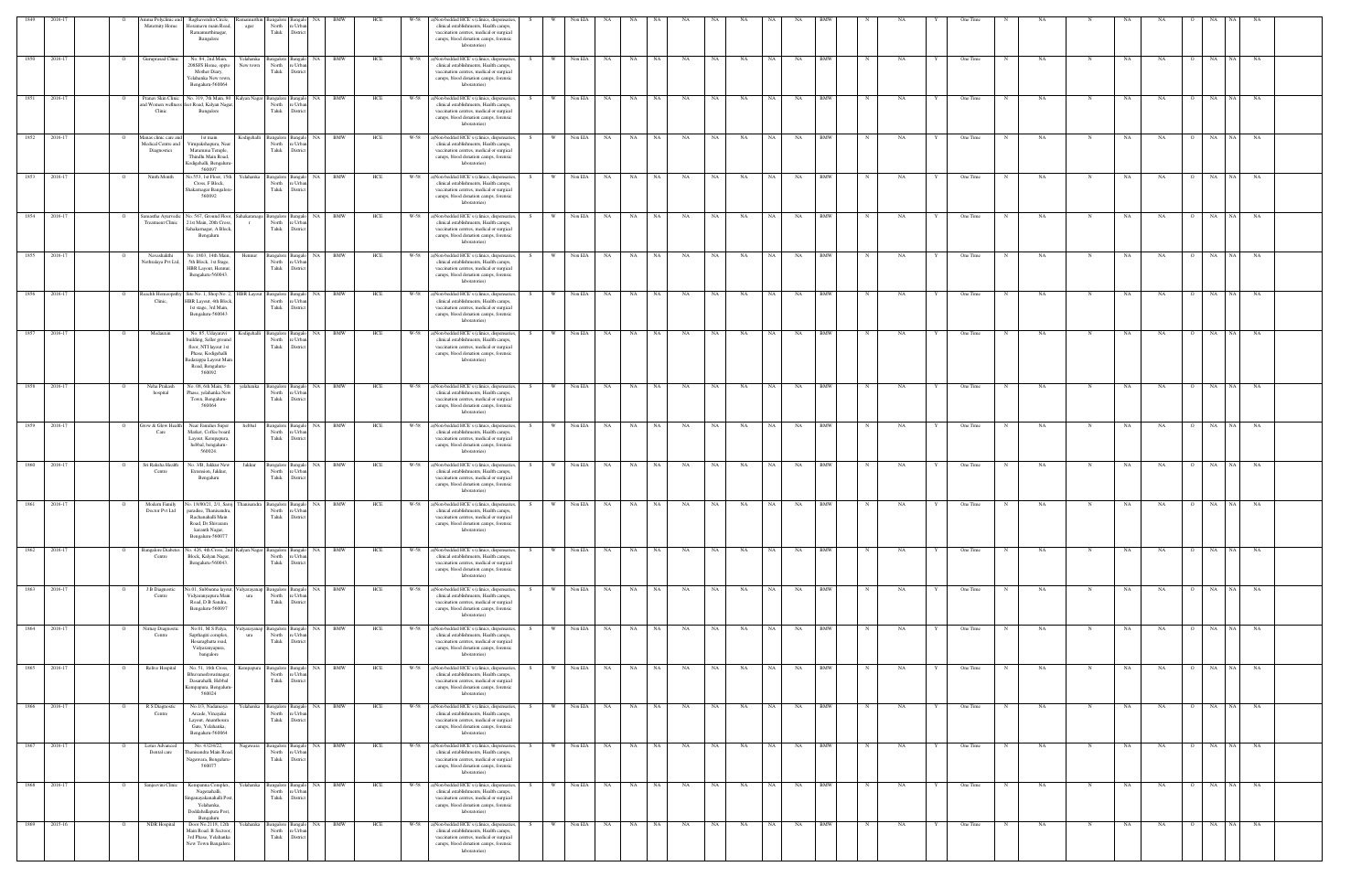| 1849 | 2016-1       | nma Polyclinic and<br>Maternity Home                       | Raghavendra Circle,<br>Horamavu main Road<br>Ramamurthinagar,<br>Bangalore                                                                                   | agar                           | North<br>Taluk                                | ∘ Urb:<br>District                                          |            |     |      | ()Non-bedded HCE's (clinics, dispensaries<br>clinical establishments, Health camps,<br>vaccination centres, medical or surgical<br>camps, blood donation camps, forensic<br>laboratories)       |    |          | Non EIA    |           |           |      |           |           |           |           |           |            |            |    | One Time |     |             |     |           |                |                 |           |  |
|------|--------------|------------------------------------------------------------|--------------------------------------------------------------------------------------------------------------------------------------------------------------|--------------------------------|-----------------------------------------------|-------------------------------------------------------------|------------|-----|------|-------------------------------------------------------------------------------------------------------------------------------------------------------------------------------------------------|----|----------|------------|-----------|-----------|------|-----------|-----------|-----------|-----------|-----------|------------|------------|----|----------|-----|-------------|-----|-----------|----------------|-----------------|-----------|--|
|      | 1850 2016-17 | Guruprasad Clinic                                          | No. 84, 2nd Main,<br>208SFS Home, oppto<br>Mother Diary,<br>Yelahanka New town,<br>Bengaluru-560064                                                          | Yelahanka<br>New town          | Bangalore Bangalo<br>North<br>Taluk           | re Urbar<br>District                                        | NA BMW     | HCE | W-58 | a)Non-bedded HCE's (clinics, dispensaries,<br>clinical establishments, Health camps,<br>vaccination centres, medical or surgical<br>camps, blood donation camps, forensic<br>laboratories)      |    | <b>W</b> | Non EIA    | NA        | NA        | NA   | NA        | <b>NA</b> | NA        | <b>NA</b> | NA        | <b>BMW</b> |            | NA | One Time | NA  |             | NA  | NA        |                | NA<br>NA 1      | NA        |  |
| 1851 | 2016-17      | Pranav Skin Clinic<br>Clinic                               | No. 319, 7th Main, 80<br>nd Women wellness feet Road, Kalyan Nagar,<br>Bangalore                                                                             | Kalyan Nagar Bangalore Bangalo | North<br>Taluk                                | NA  <br>re Urba<br>Distrio                                  | <b>BMW</b> | HCE | W-58 | a)Non-bedded HCE's (clinics, dispensaries<br>clinical establishments, Health camps,<br>vaccination centres, medical or surgical<br>camps, blood donation camps, forensic<br>laboratories)       |    | - W      | Non EIA    | NA        | NA        | NA   | NA        | NA        | NA        | NA        | NA        | <b>BMW</b> |            | NA | One Time | NA  |             | NA  | NA        |                | NA              | NA        |  |
|      | 1852 2016-17 | Manas clinic care and<br>Medical Centre and<br>Diagnostics | 1st main<br>Virupakshapura, Near<br>Maramma Temple,<br>Thindlu Main Road,<br>Kodigehalli, Bengaluru<br>560097                                                |                                | North<br>Taluk                                | Kodigehalli Bangalore Bangalo NA BMW<br>e Urba<br>Distric   |            | HCE |      | W-58 a)Non-bedded HCE's (clinics, dispensaries,<br>clinical establishments, Health camps,<br>vaccination centres, medical or surgical<br>camps, blood donation camps, forensic<br>laboratories) |    | w l      | Non EIA    | <b>NA</b> | NA NA     |      | <b>NA</b> | NA        | <b>NA</b> | NA 1      | <b>NA</b> | <b>BMW</b> |            | NA | One Time | NA  | N           | NA  | NA        | $\circ$        | NA<br>NA        | NA        |  |
| 1853 | 2016-17      | Ninth Month                                                | Vo.553, 1st Floor, 15th<br>Cross, F Block,<br>Shakarnagar Bangalore<br>560092                                                                                | Yelahanka                      | Bangalore Bangalo<br>North<br>Taluk           | re Urba<br>District                                         | NA BMW     | HCE | W-58 | a)Non-bedded HCE's (clinics, dispensaries<br>clinical establishments, Health camps,<br>vaccination centres, medical or surgical<br>camps, blood donation camps, forensic<br>laboratories)       |    | <b>W</b> | Non EIA    | <b>NA</b> | NA        | NA   | NA        | NA        | NA        | <b>NA</b> | NA        | <b>BMW</b> |            | NA | One Time | NA  | N           | NA  | NA        |                | NA<br>NA        | NA        |  |
| 1854 | 2016-17      | Samastha Ayurvedic<br><b>Treatment Clinic</b>              | No. 567, Ground Floor,<br>21st Main, 20th Cross,<br>Sahakarnagar, A Block<br>Bengaluru                                                                       | Sahakaranaga<br>$\Gamma$       | Bangalore Bangalo<br>North<br>Taluk           | re Urbar<br>District                                        | NA BMW     | HCE | W-58 | a)Non-bedded HCE's (clinics, dispensaries<br>clinical establishments, Health camps,<br>vaccination centres, medical or surgical<br>camps, blood donation camps, forensic<br>laboratories)       |    | <b>W</b> | Non EIA    | <b>NA</b> | <b>NA</b> | NA   | <b>NA</b> | NA        | NA        | NA        | NA        | <b>BMW</b> |            | NA | One Time | NA  |             | NA  | NA        |                | NA  <br>NA      | <b>NA</b> |  |
|      | 1855 2016-17 | Navashakthi<br>Nethralaya Pvt Ltd,                         | No. 1803, 14th Main,<br>5th Block, 1st Stage,<br>HBR Layout, Hennus<br>Bengaluru-560043.                                                                     | Hennur                         | Bangalore Bangalo<br>North<br>Taluk           | e Urba<br>District                                          | NA BMW     | HCE | W-58 | a)Non-bedded HCE's (clinics, dispensaries<br>clinical establishments, Health camps,<br>vaccination centres, medical or surgical<br>camps, blood donation camps, forensic<br>laboratories)       |    | <b>W</b> | Non EIA    | NA        | NA        | NA   | NA        | NA        | NA        | NA        | NA        | <b>BMW</b> |            | NA | One Time | NA  |             | NA  | NA        |                | NA<br>NA 1      | NA        |  |
| 1856 | 2016-17      | Reachh Homeopat<br>Clinic,                                 | Site No. 1, Shop No. 2<br>HBR Layout, 4th Block<br>1st stage, 3rd Main,<br>Bengaluru-560043                                                                  | <b>HBR</b> Layout              | Bangalore Bangal<br>North<br>Taluk            | NA.<br>re Urba<br>District                                  | BMW        | HCE | W-58 | a)Non-bedded HCE's (clinics, dispensaries<br>clinical establishments, Health camps,<br>vaccination centres, medical or surgical<br>camps, blood donation camps, forensic<br>laboratories)       |    |          | Non EIA    | NA        | <b>NA</b> | NA   | NA        | <b>NA</b> | NA        | <b>NA</b> | NA        | <b>BMW</b> |            | NA | One Time | NA  | N           | NA  | <b>NA</b> |                | NA<br>NA 1      | NA        |  |
| 1857 | 2016-1       | Medauxin                                                   | No. 85, Udayaravi<br>building, Seller ground<br>floor, NTI layout 1st<br>Phase, Kodigehalli<br>adarappa Layout Mair<br>Road, Bengaluru-<br>560092            | Kodigehalli                    | Bangalore<br>North<br>Taluk                   | Bangak<br>NA.<br>re Urba<br>District                        | <b>BMW</b> | HCE | W-58 | a)Non-bedded HCE's (clinics, dispensaries<br>clinical establishments, Health camps,<br>vaccination centres, medical or surgical<br>camps, blood donation camps, forensic<br>laboratories)       |    |          | Non EIA    | - NA      | NA        | NA   | NA        | NA        | NA        |           | NA        | <b>BMW</b> |            | NA | One Time | NA  |             | NA. | NA        |                | NA              | NA        |  |
|      | 1858 2016-17 | Neha Prakash<br>hospital                                   | No. 08, 6th Main, 5th<br>Phase, yelahanka New<br>Town, Bengaluru-<br>560064                                                                                  | velahanka                      | Bangalore Bangalo<br>North<br>Taluk           | e Urba<br>Distric                                           | NA BMW     | HCE |      | W-58 a)Non-bedded HCE's (clinics, dispensaries,<br>clinical establishments, Health camps,<br>vaccination centres, medical or surgical<br>camps, blood donation camps, forensic<br>laboratories) |    | <b>W</b> | Non EIA    | <b>NA</b> | <b>NA</b> | NA   | <b>NA</b> | <b>NA</b> | NA        | - NA      | NA        | <b>BMW</b> |            | NA | One Time | NA  | $\mathbf N$ | NA  | NA        | $\overline{O}$ | NA<br>NA 1      | NA        |  |
| 1859 | 2016-17      | Grow & Glow Healt<br>Care                                  | Near Families Super<br>Market, Coffee board<br>Layout, Kempapura,<br>hebbal, bengaluru-<br>560024.                                                           | hebbal                         | angalore Bangal<br>North<br>Taluk             | <b>NA</b><br>e Urba<br>District                             | <b>BMW</b> | HCE | W-58 | a)Non-bedded HCE's (clinics, dispensaries<br>clinical establishments, Health camps,<br>vaccination centres, medical or surgical<br>camps, blood donation camps, forensic<br>laboratories)       |    | <b>W</b> | Non EIA    | NA.       | NA        | NA   | NA        | NA        | NA        | <b>NA</b> | NA        | <b>BMW</b> |            | NA | One Time | NA  | N           | NA  | NA        | $\Omega$       | NA<br><b>NA</b> | NA        |  |
|      | 1860 2016-17 | Sri Raksha Health<br>Centre                                | No. 3/B, Jakkur New<br>Extension, Jakkur.<br>Bengaluru                                                                                                       | Jakkur                         | North<br>Taluk                                | NA 1<br>Bangalore Bangalo<br>re Urba<br>District            | <b>BMW</b> | HCE | W-58 | a)Non-bedded HCE's (clinics, dispensaries<br>clinical establishments, Health camps,<br>vaccination centres, medical or surgical<br>camps, blood donation camps, forensic<br>laboratories)       |    | W        | Non EIA    | <b>NA</b> | <b>NA</b> | NA   | NA        | NA        | NA        | NA .      | NA        | BMW        |            | NA | One Time | NA. | N           | NA  | NA        | $\overline{O}$ | NA 1<br>NA      | NA        |  |
|      | 1861 2016-17 | Doctor Pvt Ltd                                             | Modern Family No. 18/80/21, 2/1, Saroj Thanisandra<br>paradise, Thanisandra,<br>Rachanahalli Main<br>Road, Dr Shivaram<br>karanth Nagar,<br>Bengaluru-560077 |                                | Bangalore Bangalo<br>North                    | re Urba<br>Taluk District                                   | NA BMW     | HCE | W-58 | a)Non-bedded HCE's (clinics, dispensaries,<br>clinical establishments, Health camps,<br>vaccination centres, medical or surgical<br>camps, blood donation camps, forensic<br>laboratories)      |    | W        | Non EIA    | NA        | NA        | NA   | NA        | NA        | NA        | <b>NA</b> | NA        | <b>BMW</b> |            | NA | One Time | NA  | N           | NA  | NA        | $\circ$        | NA<br>NA 1      | NA        |  |
|      | 1862 2016-17 | <b>Bangalore Diabete:</b><br>Centre                        | No. 426, 4th Cross, 2nd Kalyan Nagar Bangalore Bangalo<br>Block, Kalyan Nagar,<br>Bengaluru-560043.                                                          |                                | North<br>Taluk                                | re Urbar<br>District                                        | NA BMW     | HCE | W-58 | a)Non-bedded HCE's (clinics, dispensaries<br>clinical establishments, Health camps,<br>vaccination centres, medical or surgical<br>camps, blood donation camps, forensic<br>laboratories)       |    | W        | Non EIA    | NA        | NA        | NA   | NA        | NA        | NA        | NA        | NA        | <b>BMW</b> |            | NA | One Time | NA  | $\mathbf N$ | NA  | NA        |                | NA<br>NA        | NA        |  |
| 1863 | 2016-17      | J B Diagnostic<br>Centre                                   | o.01, Subbanna layout<br>Vidyaranyapura Main<br>Road, D B Sandra,<br>Bengaluru-560097                                                                        | 'idyarayanap<br>ura            | Bangalore Bangalo<br>North<br>Taluk           | NA 1<br>re Urban<br>District                                | <b>BMW</b> | HCE | W-58 | a)Non-bedded HCE's (clinics, dispensaries<br>clinical establishments, Health camps,<br>vaccination centres, medical or surgical<br>camps, blood donation camps, forensic<br>laboratories)       |    | - W      | Non EIA    | NA.       | <b>NA</b> | NA   | NA        | NA        | NA        | <b>NA</b> | NA        | BMW        |            | NA | One Time | NA  | N           | NA  | NA        | $\Omega$       | NA              | NA        |  |
|      | 1864 2016-17 | Nirnay Diagnosti<br>Centre                                 | No.01, M S Palya,<br>Sapthagiri complex,<br>Hesaraghatta road,<br>Vidyaranyapura,<br>bangalore                                                               | ura                            | North<br>Taluk                                | idyarayanap Bangalore Bangalo NA BMW<br>re Urba<br>District |            | HCE | W-58 | a)Non-bedded HCE's (clinics, dispensaries<br>clinical establishments, Health camps,<br>vaccination centres, medical or surgical<br>camps, blood donation camps, forensic<br>laboratories)       |    | <b>W</b> | Non EIA    | NA        | <b>NA</b> | NA   | NA        | NA        | NA        | NA        | NA        | <b>BMW</b> |            | NA | One Time | NA  | N           | NA  | NA        |                | NA<br>NA 1      | NA        |  |
| 1865 | 2016-17      | Relive Hospital                                            | No. 51, 16th Cross,<br>Bhuvaneshwarinagar,<br>Dasarahalli, Hebbal<br>Kempapura, Bengaluru<br>560024                                                          | Kempapura                      | Bangalore Bangalo<br>North<br>Taluk           | re Urban<br>District                                        | NA BMW     | HCE | W-58 | a)Non-bedded HCE's (clinics, dispensaries<br>clinical establishments, Health camps,<br>vaccination centres, medical or surgical<br>camps, blood donation camps, forensic<br>laboratories)       |    | <b>W</b> | Non EIA    | NA        | NA        | NA   | NA        | NA        | NA        | NA        | NA        | <b>BMW</b> |            | NA | One Time | NA  | N           | NA  | <b>NA</b> | $\Omega$       | NA<br>NA        | <b>NA</b> |  |
|      | 1866 2016-17 | R S Diagnostic<br>Centre                                   | No.1/3, Nadamaya<br>Arcade, Vinayaka<br>Layout, Ananthoura<br>Gate, Yelahanka,<br>Bengaluru-560064                                                           | Yelahanka                      | North<br>Taluk                                | Bangalore Bangalo NA BMW<br>re Urban<br>District            |            | HCE | W-58 | a)Non-bedded HCE's (clinics, dispensaries,<br>clinical establishments, Health camps,<br>vaccination centres, medical or surgical<br>camps, blood donation camps, forensic<br>laboratories)      | S. | W I      | Non EIA NA |           | NA        | NA . | <b>NA</b> | <b>NA</b> | NA        | NA        | <b>NA</b> | <b>BMW</b> | N          | NA | One Time | NA  | N           | NA  | NA        | $\circ$        | NA NA           | NA        |  |
|      | 1867 2016-17 | Lotus Advanced<br>Dental care                              | No. 432/4/22,<br>hanisandra Main Roa<br>Nagawara, Bengaluru-<br>560077                                                                                       | Nagawara                       | Bangalore Bangalo<br>North<br>Taluk           | re Urba<br>District                                         | NA BMW     | HCE | W-58 | a)Non-bedded HCE's (clinics, dispensaries<br>clinical establishments, Health camps,<br>vaccination centres, medical or surgical<br>camps, blood donation camps, forensic<br>laboratories)       |    | <b>W</b> | Non EIA    | NA        | NA N      | NA   | NA        | NA        | NA        | NA 1      | NA        | <b>BMW</b> | $_{\rm N}$ | NA | One Time | NA  | $\mathbf N$ | NA  | NA        |                | NA NA           | NA        |  |
|      | 1868 2016-17 | Sanjeevini Clinic                                          | Kempanna Complex,<br>Nagenahalli,<br>inganayakanahalli Post<br>Yelahanka,<br>Doddaballapura Post,<br>Bengaluru                                               | Yelahanka                      | Bangalore Bangak<br>North<br>Taluk District   | NA 1<br>re Urbar                                            | <b>BMW</b> | HCE | W-58 | a)Non-bedded HCE's (clinics, dispensaries<br>clinical establishments, Health camps,<br>vaccination centres, medical or surgical<br>camps, blood donation camps, forensic<br>laboratories)       |    | <b>W</b> | Non EIA    | NA        | NA        | NA   | NA        | NA        | NA        | <b>NA</b> | NA        | <b>BMW</b> |            | NA | One Time | NA  | N           | NA  | <b>NA</b> | $\Omega$       | NA              | NA NA     |  |
|      | 1869 2015-16 | NDR Hospital                                               | Door No.2118, 12th<br>Main Road. B Sectoor,<br>3rd Phase, Yelahanka<br>New Town Bangalore.                                                                   |                                | Yelahanka Bangalore Bangalo<br>North<br>Taluk | NA<br>re Urbar<br>District                                  | <b>BMW</b> | HCE | W-58 | a)Non-bedded HCE's (clinics, dispensaries,<br>clinical establishments, Health camps,<br>vaccination centres, medical or surgical<br>camps, blood donation camps, forensic<br>laboratories)      |    | - W      | Non EIA    | <b>NA</b> | <b>NA</b> | NA   | <b>NA</b> | <b>NA</b> | NA        | <b>NA</b> | NA        | <b>BMW</b> |            | NA | One Time | NA  | N           | NA  | <b>NA</b> | $\circ$        | NA<br>NA 1      | NA        |  |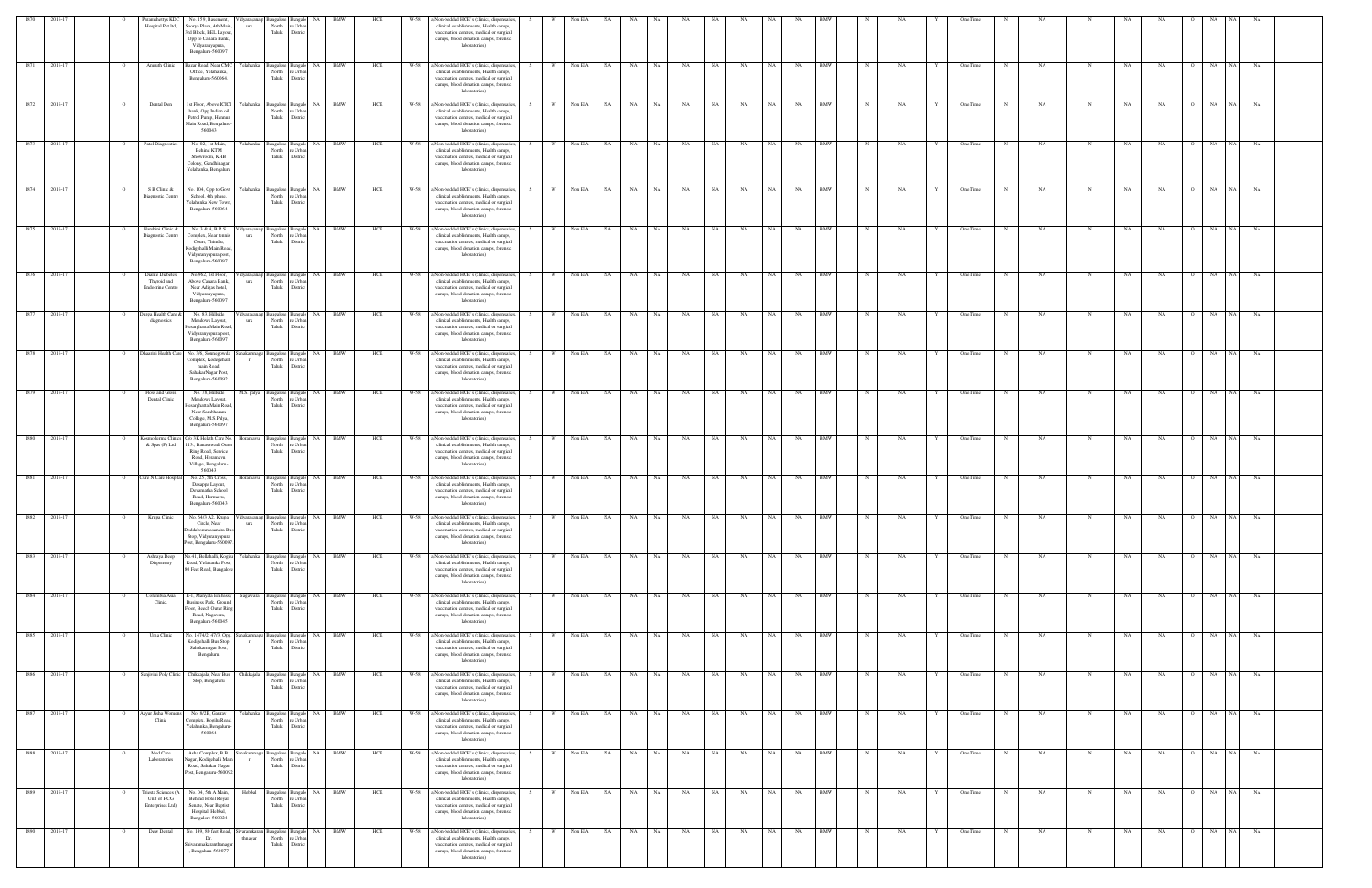| 1870         |         |         |                                                                   | No. 159, Basement                                                                                                                                     |                                                 |                                                                                                                                                                                             |                                    |     |        |                                                                                                                                                                                                 |    |          |            |                    |       |    |           |           |           |           |    |            |             |           |   | One Time   |             |           |            |           |           |                         |                 |           |  |
|--------------|---------|---------|-------------------------------------------------------------------|-------------------------------------------------------------------------------------------------------------------------------------------------------|-------------------------------------------------|---------------------------------------------------------------------------------------------------------------------------------------------------------------------------------------------|------------------------------------|-----|--------|-------------------------------------------------------------------------------------------------------------------------------------------------------------------------------------------------|----|----------|------------|--------------------|-------|----|-----------|-----------|-----------|-----------|----|------------|-------------|-----------|---|------------|-------------|-----------|------------|-----------|-----------|-------------------------|-----------------|-----------|--|
|              |         |         | aramshettys KDC<br>Hospital Pvt ltd,                              | Soorya Plaza, 4th Main<br>ura<br>rd Block, BEL Layou<br>Opp to Canara Bank,<br>Vidyaranyapura,<br>Bengaluru-560097                                    | North<br>Taluk                                  | re Urba<br>District                                                                                                                                                                         |                                    |     |        | Non-bedded HCE's (clinics, dispensaries,<br>clinical establishments, Health camps,<br>vaccination centres, medical or surgical<br>camps, blood donation camps, forensic<br>laboratories)        |    |          |            |                    |       |    |           |           |           |           |    |            |             |           |   |            |             |           |            |           |           |                         |                 |           |  |
| 1871         | 2016-17 |         | Amruth Clinic                                                     | Bazar Road, Near CMC<br>relahanka<br>Office, Yelahanka,<br>Bengaluru-560064.                                                                          | Bangalore Bangale<br>North<br>Taluk             | NA<br>e Urba<br>Distric                                                                                                                                                                     | <b>BMW</b>                         | HCE | W-58   | a)Non-bedded HCE's (clinics, dispensaries,<br>clinical establishments, Health camps,<br>vaccination centres, medical or surgical<br>camps, blood donation camps, forensic<br>laboratories)      |    |          | Non EIA    | <b>NA</b>          | NA .  | NA | NA        | NA        | NA        |           | NA | <b>BMW</b> |             | NA        |   | One Time   |             | NA        | N          | <b>NA</b> | NA        | $\overline{O}$          | NA              | NA        |  |
| 1872         | 2016-17 |         | Dental Den                                                        | 1st Floor, Above ICICI<br>relahanka<br>bank, Opp Indian oil<br>Petrol Pump, Hennur<br>Main Road, Bengaluru<br>560043                                  | North<br>Taluk                                  | NA 1<br>angalore Bangalo<br>e Urb<br>District                                                                                                                                               | <b>BMW</b>                         | HCE | W-58   | a)Non-bedded HCE's (clinics, dispensaries<br>clinical establishments, Health camps,<br>vaccination centres, medical or surgical<br>camps, blood donation camps, forensic<br>laboratories)       |    |          | Non EIA    | <b>NA</b>          | NA 1  | NA | NA        | NA        | NA        |           | NA | <b>BMW</b> |             | NA        |   | One Time   |             | NA        |            | <b>NA</b> | NA.       | $\Omega$                | NA<br>N A       | NA        |  |
| 1873         | 2016-17 |         | Patel Diagnostics                                                 | No. 02, 1st Main,<br><b>relahanka</b><br>Behind KTM<br>Showroom, KHB<br>Colony, Gandhinagar<br>Yelahanka, Bengaluru                                   | Taluk                                           | Bangalore Bangalo<br>North re Urba<br>District                                                                                                                                              | NA BMW                             | HCE | W-58   | a)Non-bedded HCE's (clinics, dispensaries,<br>clinical establishments, Health camps,<br>vaccination centres, medical or surgical<br>camps, blood donation camps, forensic<br>laboratories)      |    | <b>W</b> | Non EIA    | <b>NA</b>          | NA    | NA | NA        | NA        | NA        | NA .      | NA | <b>BMW</b> |             | NA        |   | One Time   |             | NA        |            | NA        | NA        | $\overline{O}$          | NA<br>$N_A$     | NA        |  |
| 1874         | 2016-17 |         | S B Clinic &<br>Diagnostic Centre                                 | No. 104, Opp to Govt<br>Yelahanka<br>School, 4th phase,<br>Yelahanka New Towr<br>Bengaluru-560064                                                     | Taluk                                           | NA<br>Bangalore Bangalo<br>North re Urban<br>District                                                                                                                                       | <b>BMW</b>                         | HCE | W-58   | a)Non-bedded HCE's (clinics, dispensaries,<br>clinical establishments, Health camps,<br>vaccination centres, medical or surgical<br>camps, blood donation camps, forensic<br>laboratories)      |    | <b>W</b> | Non EIA    | <b>NA</b>          | NA    | NA | NA        | NA        | NA        | NA        | NA | <b>BMW</b> |             | NA        |   | One Time   |             | NA        | N          | NA        | NA        | $\overline{O}$          | NA<br>NA        | NA        |  |
| 1875         | 2016-17 |         | Harshini Clinic &<br>Diagnostic Centre                            | No. 3 & 4, B R S<br>dyarayanap<br>Complex, Near tennis<br>ura<br>Court, Thindlu,<br>Codigehalli Main Road<br>Vidyaranyapura post,<br>Bengaluru-560097 | North<br>Taluk                                  | NA 1<br>angalore Bangalo<br>re Urba<br>District                                                                                                                                             | <b>BMW</b>                         | HCE | W-58   | a)Non-bedded HCE's (clinics, dispensaries,<br>clinical establishments, Health camps,<br>vaccination centres, medical or surgical<br>camps, blood donation camps, forensic<br>laboratories)      |    |          | Non EIA    | NA.                | NA    | NA | NA        | NA        | NA        | NA.       | NA | <b>BMW</b> |             | NA        |   | One Time   |             | <b>NA</b> |            | NA        | NA        | $\Omega$                | NA NA           | <b>NA</b> |  |
| 1876         | 2016-17 |         | <b>Dialife Diabetes</b><br>Thyroid and<br><b>Endocrine Centre</b> | No.962, 1st Floor,<br>dyarayanap<br>Above Canara Bank,<br>ura<br>Near Adigas hotel,<br>Vidyaranyapura,<br>Bengaluru-560097                            | Bangalore Bangal<br>Taluk                       | NA 1<br>North re Urbar<br>District                                                                                                                                                          | <b>BMW</b>                         | HCE | W-58   | a)Non-bedded HCE's (clinics, dispensaries,<br>clinical establishments, Health camps,<br>vaccination centres, medical or surgical<br>camps, blood donation camps, forensic<br>laboratories)      |    |          | Non EIA    | <b>NA</b>          | NA    | NA | NA        | <b>NA</b> | NA        | <b>NA</b> | NA | <b>BMW</b> |             | NA        |   | One Time   |             | NA        |            | <b>NA</b> | NA        |                         | NA<br><b>NA</b> | NA        |  |
| 1877         | 2016-17 |         | Jurga Health Care &<br>diagnostics                                | No. 83, Hillside<br>Meadows Layout,<br>ura<br>lesarghatta Main Roa<br>Vidyaranyapura post,<br>Bengaluru-560097                                        | idyarayanap Bangalore Bangalo<br>North<br>Taluk | NA<br>e Urba<br>Distric                                                                                                                                                                     | <b>BMW</b>                         | HCE | W-58   | a)Non-bedded HCE's (clinics, dispensaries,<br>clinical establishments, Health camps,<br>vaccination centres, medical or surgical<br>camps, blood donation camps, forensic<br>laboratories)      |    |          | Non EIA    | NA                 | NA    | NA | NA        | NA        | NA        | <b>NA</b> | NA | BMW        |             | NA        |   | One Time   |             | NA        | N          | <b>NA</b> | NA        | $\circ$                 | NA              | NA        |  |
| 1878 2016-17 |         |         | Dhaarini Health Care                                              | No. 3/6, Sonnegowda<br>Complex, Kodegehalli<br>main Road,<br>SahakarNagar Post,<br>Bengaluru-560092                                                   | ahakaranaga Bangalore Bangalo<br>North<br>Taluk | re Urba<br>District                                                                                                                                                                         | NA BMW                             | HCE | $W-58$ | a)Non-bedded HCE's (clinics, dispensaries,<br>clinical establishments, Health camps,<br>vaccination centres, medical or surgical<br>camps, blood donation camps, forensic<br>laboratories)      |    | W        | Non EIA NA |                    | NA 1  | NA | NA        | <b>NA</b> | NA        | - NA      | NA | <b>BMW</b> |             | NA        |   | One Time   |             | NA        |            | NA        | NA        | $\Omega$                | NA<br>N A       | <b>NA</b> |  |
| 1879         | 2016-17 |         | Floss and Gloss<br>Dental Clinic                                  | No. 78, Hillside<br>M.S. palya<br>Meadows Layout,<br>Iesarghatta Main Roa<br>Near Sambharam<br>College, M.S.Palya,<br>Bengaluru-560097                | Bangalore Bangalo<br>Taluk                      | North re Urba<br>District                                                                                                                                                                   | NA BMW                             | HCE | W-58   | a)Non-bedded HCE's (clinics, dispensaries,<br>clinical establishments, Health camps,<br>vaccination centres, medical or surgical<br>camps, blood donation camps, forensic<br>laboratories)      |    | <b>W</b> | Non EIA    | NA                 | NA    | NA | NA        | NA        | NA        | NA 1      | NA | <b>BMW</b> |             | NA        |   | One Time   |             | NA        | $_{\rm N}$ | NA        | NA        | $\overline{O}$          | NA<br>$N_A$     | NA        |  |
| 1880         | 2016-17 |         | Cosmoderma Clinics<br>& Spas (P) Ltd                              | Yo 3K Helath Care No<br>Horamavu<br>13., Banasawadi Outer<br>Ring Road, Service<br>Road, Horamavu<br>Village, Bengaluru-<br>560043                    | North<br>Taluk                                  | NA<br>Bangalore Bangalo<br>e Urba<br>District                                                                                                                                               | <b>BMW</b>                         | HCE | W-58   | a)Non-bedded HCE's (clinics, dispensaries,<br>clinical establishments, Health camps,<br>vaccination centres, medical or surgical<br>camps, blood donation camps, forensic<br>laboratories)      |    | W        | Non EIA    | NA                 | NA    | NA | NA        | NA        | NA        | NA.       | NA | <b>BMW</b> | N           | NA        |   | One Time   | $_{\rm N}$  | NA        | $_{\rm N}$ | NA        | NA        | $\overline{O}$          | NA 1<br>NA      | NA        |  |
| 1881 2016-17 |         |         | Cure N Care Hospital                                              | No. 25, 5th Cross,<br>Ioramavu<br>Dasappa Layout,<br>Devamatha School<br>Road, Hormavu,<br>Bengaluru-560043                                           | North<br>Taluk                                  | angalore Bangalo<br>e Urba<br>District                                                                                                                                                      | NA BMW                             | HCE |        | W-58 a)Non-bedded HCE's (clinics, dispensaries,<br>clinical establishments, Health camps,<br>vaccination centres, medical or surgical<br>camps, blood donation camps, forensic<br>laboratories) |    | - W      | Non EIA NA |                    | NA NA | NA | NA        | NA        | NA        | NA I      | NA | <b>BMW</b> |             | NA        |   | One Time   | N           | NA        | N          | NA        | NA        | $\overline{O}$          | NA NA NA        |           |  |
| 1882 2016-17 |         |         | Krupa Clinic                                                      | No. 64/3 A2, Krupa<br>Vidyarayanap<br>Circle, Near<br>ura<br>oddabommasandra Bus<br>Stop, Vidyaranyapura<br>Post, Bengaluru-560097                    |                                                 | angalore Bangalo NA BMW<br>North re Urban<br>Taluk District                                                                                                                                 |                                    | HCE | W-58   | a)Non-bedded HCE's (clinics, dispensaries,<br>clinical establishments, Health camps,<br>vaccination centres, medical or surgical<br>camps, blood donation camps, forensic<br>laboratories)      | S  |          |            | Non EIA NA NA NA   |       |    | NA        | NA N      | NA        | NA 1      |    | NA BMW     |             | NA        |   | One Time N |             | NA        |            |           |           |                         | <b>NA</b>       |           |  |
| 1883         | 2016-17 |         | Ashraya Deep<br>Dispensary                                        | No.41, Bellahalli, Kogilu<br>Road, Yelahanka Post,<br>80 Feet Road, Bangalore                                                                         | North<br>Taluk                                  | Yelahanka Bangalore Bangalo NA<br>re Urbar<br>District                                                                                                                                      | BMW                                | HCE | W-58   | a)Non-bedded HCE's (clinics, dispensaries<br>clinical establishments, Health camps,<br>vaccination centres, medical or surgical<br>camps, blood donation camps, forensic<br>laboratories)       |    |          | Non EIA    | <b>NA</b>          | NA    | NA | <b>NA</b> | NA        | NA        | NA.       | NA | BMW        |             | NA.       |   | One Time   |             | NA        | N          | NA        | NA        | $\overline{O}$          | NA              | NA        |  |
| 1884 2016-17 |         |         | Columbia Asia<br>Clinic,                                          | E-1, Manyata Embassy<br>Business Park, Ground<br>Floor, Beech Outer Ring<br>Road, Nagavara,<br>Bengaluru-560045                                       |                                                 | Nagawara Bangalore Bangalo NA BMW<br>North re Urba<br>Taluk District                                                                                                                        |                                    | HCE | W-58   | a)Non-bedded HCE's (clinics, dispensaries,<br>clinical establishments, Health camps,<br>vaccination centres, medical or surgical<br>camps, blood donation camps, forensic<br>laboratories)      |    | w l      | Non EIA NA |                    | NA NA |    | NA        | NA        | NA        | NA 1      | NA | BMW        | N           | NA.       |   | One Time   | N           | NA        | N          | NA .      | <b>NA</b> | $\overline{O}$          | NA NA           | NA        |  |
| 1885         | 2016-17 |         | Uma Clinic                                                        | Vo. 1474/2, 47/3, Opp.<br>Kodigehalli Bus Stop,<br>Sahakarnagar Post,<br>Bengaluru                                                                    |                                                 | Sahakaranaga Bangalore Bangalo NA BMW<br>North re Urban<br>Taluk District                                                                                                                   |                                    | HCE | W-58   | a)Non-bedded HCE's (clinics, dispensaries,<br>clinical establishments, Health camps,<br>vaccination centres, medical or surgical<br>camps, blood donation camps, forensic<br>laboratories)      |    | W        | Non EIA NA |                    | NA N  | NA | NA        | NA        | <b>NA</b> | NA 1      | NA | <b>BMW</b> |             | NA.       |   | One Time   | N           | NA        | N          | NA        | NA        | $\overline{O}$          | NA NA           | <b>NA</b> |  |
| $1886$       | 2016-17 | $\circ$ | Sanjivini Poly Clinic                                             | Chikkajala, Near Bus<br>Chikkajala<br>Stop, Bengaluru                                                                                                 | Taluk                                           | Bangalore Bangalo NA BMW<br>North re Urban<br>District                                                                                                                                      |                                    | HCE | W-58   | a)Non-bedded HCE's (clinics, dispensaries,<br>clinical establishments, Health camps,<br>vaccination centres, medical or surgical<br>camps, blood donation camps, forensic<br>laboratories)      | S. | w I      | Non EIA NA |                    | NA NA |    | NA        | NA N      | NA        | NA 1      | NA | BMW        | N           | NA        | Y | One Time   | N           | NA        | N          | NA        | <b>NA</b> | $\overline{\mathbf{O}}$ | NA NA           | NA        |  |
| 1887 2016-17 |         | $\circ$ | Aayur Jisha Womens<br>Clinic                                      | No. 8/2B, Gaurav<br>Complex, Kogilu Road,<br>Yelahanka, Bengaluru-<br>560064                                                                          | Taluk                                           | North re Urban<br>District                                                                                                                                                                  | Yelahanka Bangalore Bangalo NA BMW | HCE |        | W-58 a)Non-bedded HCE's (clinics, dispensaries,<br>clinical establishments, Health camps,<br>vaccination centres, medical or surgical<br>camps, blood donation camps, forensic<br>laboratories) | S. |          |            | W Non EIA NA NA NA |       |    | NA NA     | NA NA     |           | NA NA     |    | NA BMW     | N           | <b>NA</b> | Y | One Time   | N           | NA        | N          | NA 1      | <b>NA</b> |                         | O NA NA NA      |           |  |
| 1888         | 2016-17 |         | Med Care<br>Laboratories                                          | Asha Complex, B.B.<br>Nagar, Kodigehalli Main<br>Road, Sahakar Nagar<br>Post, Bengaluru-560092                                                        |                                                 | $\begin{tabular}{llllll} \multicolumn{2}{c}{Shakaranaga}&\text{Bangalore}&\text{Bangalo}&\text{NA}&\text{BMW}\\ &\text{r}&\text{North}&\text{re Urban} &\\ \end{tabular}$<br>Taluk District |                                    | HCE | W-58   | a)Non-bedded HCE's (clinics, dispensaries,<br>clinical establishments, Health camps,<br>vaccination centres, medical or surgical<br>camps, blood donation camps, forensic<br>laboratories)      |    | <b>W</b> | Non EIA NA |                    | NA 1  | NA | NA        | NA        | NA        | NA        | NA | <b>BMW</b> | N           | NA        |   | One Time   | $\mathbf N$ | NA        | N          | NA        | NA        | $\overline{O}$          | NA NA           | NA        |  |
| 1889         | 2016-17 |         | Friesta Sciences (A<br>Unit of HCG<br>Enterprises Ltd)            | No. 04, 5th A Main,<br>Hebbal<br><b>Behind Hotel Royal</b><br>Senate, Near Baptist<br>Hospital, Hebbal,<br>Bangalore-560024                           |                                                 | Bangalore Bangalo NA BMW<br>North re Urban<br>Taluk District                                                                                                                                |                                    | HCE | W-58   | a)Non-bedded HCE's (clinics, dispensaries,<br>clinical establishments, Health camps,<br>vaccination centres, medical or surgical<br>camps, blood donation camps, forensic<br>laboratories)      |    | - W      | Non EIA NA |                    | NA    | NA | NA        | NA        | <b>NA</b> | NA 1      | NA | <b>BMW</b> | $\mathbf N$ | NA        | Y | One Time   | N           | NA        | N          | NA        | NA        | $\overline{O}$          | NA<br>NA        | NA        |  |
| 1890 2016-17 |         |         | Dew Dental                                                        | No. 149, 80 feet Road,<br>Dr.<br>thnagar<br>Shivaramakaranthanaga<br>, Bengaluru-560077                                                               | North<br>Taluk                                  | varamkaran Bangalore Bangalo NA BMW<br>re Urbar<br>District                                                                                                                                 |                                    | HCE | W-58   | a)Non-bedded HCE's (clinics, dispensaries,<br>clinical establishments, Health camps,<br>vaccination centres, medical or surgical<br>camps, blood donation camps, forensic<br>laboratories)      |    |          | Non EIA NA |                    | NA    | NA | NA        | NA        | NA        | NA        | NA | <b>BMW</b> |             | NA        |   | One Time   |             | NA        |            | NA        | NA        | $\overline{O}$          | NA<br>NA.       | NA        |  |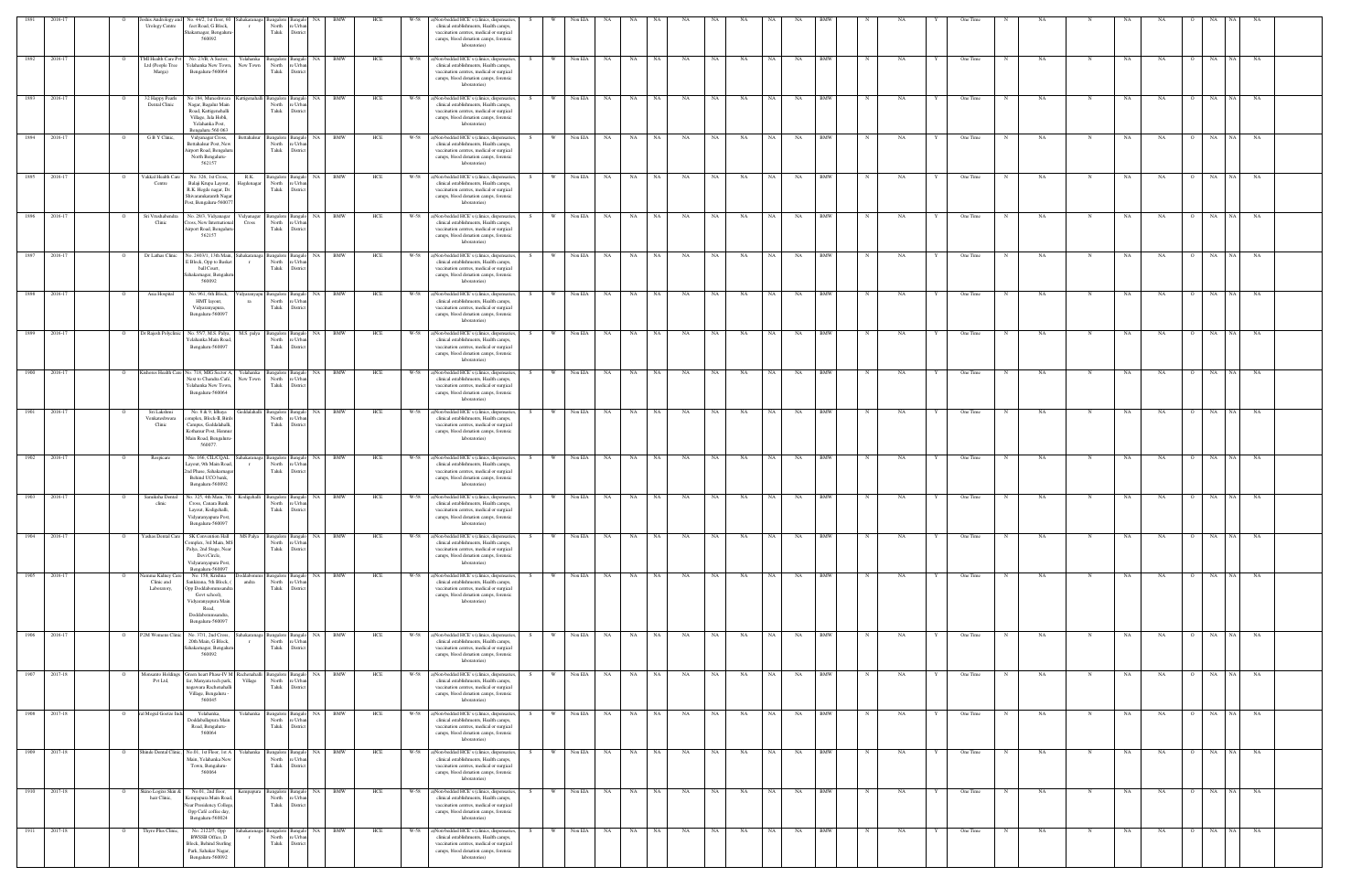| 1891 | 2016-17      | shis Andrology an<br><b>Urology Centre</b>                    | No. 44/2, 1st floor, 60<br>feet Road, G Block,<br>Shakarnagar, Bengalur<br>560092                                                                           | Sahakaranaga             | sangalore<br>North<br>Taluk                      | District                                   |            | HCE |      | a)Non-bedded HCE's (clinics, dispensaries,<br>clinical establishments, Health camps,<br>vaccination centres, medical or surgical<br>camps, blood donation camps, forensic<br>laboratories)                  | Non EIA                 |                        |                   |      |                   |           |            |   |           | One Time      |             |           |             |     |           |           |                |                 |           |  |
|------|--------------|---------------------------------------------------------------|-------------------------------------------------------------------------------------------------------------------------------------------------------------|--------------------------|--------------------------------------------------|--------------------------------------------|------------|-----|------|-------------------------------------------------------------------------------------------------------------------------------------------------------------------------------------------------------------|-------------------------|------------------------|-------------------|------|-------------------|-----------|------------|---|-----------|---------------|-------------|-----------|-------------|-----|-----------|-----------|----------------|-----------------|-----------|--|
| 1892 | 2016-17      | <b>TMI Health Care Py</b><br>Ltd (People Tree<br>Marga)       | No. 23/B, A Sector,<br>Yelahanka New Town,<br>Bengaluru-560064                                                                                              | Yelahanka<br>New Town    | angalore Bangalo<br>North<br>Taluk               | NA<br>: Urban<br>District                  | <b>BMW</b> | HCE |      | W-58 a)Non-bedded HCE's (clinics, dispensaries,<br>W<br>clinical establishments, Health camps,<br>vaccination centres, medical or surgical<br>camps, blood donation camps, forensic<br>laboratories)        | Non EIA<br>NA           | NA                     | NA<br>NA          | NA   | NA<br>NA          | NA        | <b>BMW</b> | N | NA        | One Time      |             | NA        | $_{\rm N}$  | NA  |           | NA        | $\overline{O}$ | NA<br>NA        | NA        |  |
| 1893 | 2016-17      | 32 Happy Pearls<br>$\Omega$<br>Dental Clinic                  | No 184, Muneshwara Kattigenahalli Bangalore<br>Nagar, Bagalur Main<br>Road, Kattigenehalli<br>Village, Jala Hobli,<br>Yelahanka Post,<br>Bengaluru 560 063  |                          | North<br>Taluk                                   | Bangalo<br>NA<br>: Urba<br>District        | BMW        | HCE |      | W-58 a)Non-bedded HCE's (clinics, dispensaries,<br>- W<br>clinical establishments, Health camps,<br>vaccination centres, medical or surgical<br>camps, blood donation camps, forensic<br>laboratories)      | Non EIA<br><b>NA</b>    | NA                     | NA<br><b>NA</b>   | NA 1 | NA<br>NA          | <b>NA</b> | BMW        | N | NA        | One Time      | N           | NA        | $_{\rm N}$  | NA  |           | NA        | $\overline{O}$ | NA<br>NA        | NA.       |  |
| 1894 | 2016-17      | G B Y Clinic,                                                 | Vidyanagar Cross,<br>settahalsur Post, New<br>Airport Road, Bengalur<br>North Bengaluru-<br>562157                                                          | settahalsur              | Bangalore I<br>North<br>Taluk                    | NA<br><b>Bangalo</b><br>Urb<br>Distric     | BMW        | HCE |      | W-58 a)Non-bedded HCE's (clinics, dispensaries,<br>clinical establishments, Health camps,<br>vaccination centres, medical or surgical<br>camps, blood donation camps, forensic<br>laboratories)             | Non EIA<br>NA .         | NA                     | NA<br>NA          | NA   | NA<br>NA          | NA        | <b>BMW</b> |   | NA        | One Time      |             | NA        | $\mathbf N$ |     | NA        | NA        | $\overline{O}$ | NA              | NA        |  |
| 1895 | 2016-17      | Vakkal Health Care<br>Centre                                  | No. 326, 1st Cross,<br>Balaji Krupa Layout,<br>R.K. Hegde nagar, Dr.<br>Shivaramkaranth Nagar<br>Post, Bengaluru-560077                                     | R.K.<br>legdenagar       | Bangalore Bangalo<br>North<br>Taluk              | NA<br>: Urban<br>District                  | <b>BMW</b> | HCE |      | W-58 a)Non-bedded HCE's (clinics, dispensaries,<br>W<br>clinical establishments, Health camps,<br>vaccination centres, medical or surgical<br>camps, blood donation camps, forensic<br>laboratories)        | Non EIA<br>NA           | NA                     | NA<br><b>NA</b>   | NA   | NA<br>NA 1        | NA        | <b>BMW</b> |   | NA        | One Time      |             | <b>NA</b> | $\mathbf N$ | NA  |           | NA        | $\overline{O}$ | NA<br>NA.       |           |  |
| 1896 | 2016-17      | Sri Vrushabendra<br>$\circ$<br>Clinic                         | No. 28/3, Vidyanagar<br>ross, New International<br>Airport Road, Bengaluri<br>562157                                                                        | Vidyanagar<br>Cross      | Bangalore Bangalo<br>North<br>Taluk              | NA 1<br>e Urban<br>District                | <b>BMW</b> | HCE |      | W-58 a)Non-bedded HCE's (clinics, dispensaries,<br>W<br>clinical establishments, Health camps,<br>vaccination centres, medical or surgical<br>camps, blood donation camps, forensic<br>laboratories)        | Non EIA                 | NA 1<br><b>NA</b>      | NA 1<br><b>NA</b> | NA 1 | NA<br>NA          | <b>NA</b> | BMW        | N | NA        | One Time      | N           | NA        | N           |     | NA        | NA        | $\overline{O}$ | NA NA           | NA        |  |
| 1897 | 2016-17      | Dr Lathas Clinic<br>$\circ$                                   | Vo. 2403/1, 13th Main,<br><b>Block</b> , Opp to Basket<br>ball Court,<br>ahakarnagar, Bengalu<br>560092                                                     | Sahakaranaga<br>$\Gamma$ | Bangalore E<br>North<br>Taluk                    | NA<br>3angalo<br>Urb:<br>District          | <b>BMW</b> | HCE | W-58 | a)Non-bedded HCE's (clinics, dispensaries,<br>W<br>clinical establishments, Health camps,<br>vaccination centres, medical or surgical<br>camps, blood donation camps, forensic<br>laboratories)             | Non EIA<br>NA           | NA                     | NA<br>NA          | NA   | NA<br>NA          | NA        | <b>BMW</b> |   | <b>NA</b> | One Time      |             | NA        | N           |     | NA        | NA        | $\circ$        | NA<br>NA        | NA        |  |
| 1898 | 2016-17      | Asia Hospital                                                 | No. 961, 6th Block<br>HMT layout,<br>Vidyaranyapura,<br>Bengaluru-560097                                                                                    |                          | 'idyaranyapu Bangalore E<br>North<br>Taluk       | NA.<br>3angalo<br>: Urbar<br>District      | <b>BMW</b> | HCE |      | W-58 a)Non-bedded HCE's (clinics, dispensaries,<br><b>W</b><br>clinical establishments, Health camps,<br>vaccination centres, medical or surgical<br>camps, blood donation camps, forensic<br>laboratories) | Non EIA<br>NA .         | NA                     | NA<br>NA          | NA   | NA<br>NA          | NA        | <b>BMW</b> |   | NA        | One Time      |             | NA        | N           |     | NA        | NA        | $\Omega$       | NA<br>NA 1      | NA        |  |
| 1899 | 2016-17      | Dr Rajesh Polyclini                                           | No. 55/7, M.S. Palya,<br>Yelahanka Main Road<br>Bengaluru-560097                                                                                            | M.S. palya               | sangalore<br>North<br>Taluk                      | : Urbar<br>District                        | BMW        | HCE | W-58 | a)Non-bedded HCE's (clinics, dispensaries,<br>clinical establishments, Health camps,<br>vaccination centres, medical or surgical<br>camps, blood donation camps, forensic<br>laboratories)                  | Non EIA<br>NA           |                        | NA                | NA   |                   |           | <b>BMW</b> |   |           | One Time      |             |           |             | NA. |           |           |                | NA              |           |  |
| 1900 | 2016-17      | Lishores Health Care<br>0                                     | No. 718, MIG Sector A,<br>Next to Chandra Café,<br>Yelahanka New Town<br>Bengaluru-560064                                                                   | relahanka<br>lew Town    | <b>Bangalore</b><br>North<br>Taluk               | Urb<br>District                            | BMW        | HCE | W-58 | a)Non-bedded HCE's (clinics, dispensaries,<br>clinical establishments, Health camps,<br>vaccination centres, medical or surgical<br>camps, blood donation camps, forensic<br>laboratories)                  | Non EIA<br>NA           | <b>NA</b>              | NA                | NA   | NA<br>- NA        | NA        | <b>BMW</b> |   | NA.       | One Time      |             | NA        |             | NA. |           | NA        | $\circ$        | <b>NA</b>       | NA        |  |
| 1901 | 2016-17      | Sri Lakshmi<br>Venkateshwara<br>Clinic                        | No. 8 & 9, Idhaya<br>omplex, Block-II, Bird<br>Campus, Geddalahalli,<br>Kothanur Post, Hennur<br>Main Road, Bengaluru<br>560077                             |                          | eddalahalli Bangalore<br>North<br>Taluk          | <b>NA</b><br>Urba<br>District              | <b>BMW</b> | HCE | W-58 | a)Non-bedded HCE's (clinics, dispensaries,<br>W<br>clinical establishments, Health camps,<br>vaccination centres, medical or surgical<br>camps, blood donation camps, forensic<br>laboratories)             | Non EIA<br><b>NA</b>    | <b>NA</b>              | <b>NA</b><br>NA   | NA   | NA<br>NA.         | NA        | <b>BMW</b> |   | <b>NA</b> | One Time      |             | NA        |             | NA  |           | NA        | $\overline{O}$ | NA<br><b>NA</b> | <b>NA</b> |  |
| 1902 | 2016-17      | Respicare                                                     | No. 166, CIL/CQAL<br>Layout, 9th Main Road,<br>2nd Phase, Sahakarnagar<br>Behind UCO bank,<br>Bengaluru-560092                                              | hakaranaga<br>$\Gamma$   | Bangalore<br>North<br>Taluk                      | <b>NA</b><br>langak<br>e Urban<br>District | <b>BMW</b> | HCE |      | W-58 a)Non-bedded HCE's (clinics, dispensaries<br><b>W</b><br>clinical establishments, Health camps,<br>vaccination centres, medical or surgical<br>camps, blood donation camps, forensic<br>laboratories)  | Non EIA                 | NA 1<br>NA             | NA 1<br>NA        | NA   | NA<br>NA          | NA        | BMW        |   | NA        | One Time      |             | NA        |             | NA  |           | NA        | $\overline{O}$ | NA<br><b>NA</b> | NA        |  |
| 1903 | 2016-17      | Samiksha Dental<br>clinic                                     | Vo. 325, 4th Main, 7th<br>Cross, Canara Bank<br>Layout, Kodigehalli,<br>Vidyaranyapura Post,<br>Bengaluru-560097                                            | Kodigehalli              | Bangalore<br>North<br>Taluk                      | NA<br>angalo<br>Urba<br>District           | BMW        | HCE | W-58 | a)Non-bedded HCE's (clinics, dispensaries,<br>W<br>clinical establishments, Health camps,<br>vaccination centres, medical or surgical<br>camps, blood donation camps, forensic<br>laboratories)             | Non EIA<br>NA           | NA                     | NA<br>NA          | NA   | NA<br>NA.         | NA        | <b>BMW</b> |   | NA        | One Time      |             | NA        |             | NA  |           | NA        | $\overline{O}$ | NA<br>NA        | NA        |  |
|      | 1904 2016-17 | Yashas Dental Care<br>$\overline{O}$                          | SK Convention Hall<br>Complex, 3rd Main, MS<br>Palya, 2nd Stage, Near<br>Devi Circle,<br>Vidyaranyapura Post,<br>Bengaluru-560097                           | MS Palya                 | Bangalore Bangalo NA BMW<br>North<br>Taluk       | : Urba<br>District                         |            | HCE |      | W-58 a)Non-bedded HCE's (clinics, dispensaries,<br><b>W</b><br>clinical establishments, Health camps,<br>vaccination centres, medical or surgical<br>camps, blood donation camps, forensic<br>laboratories) | Non EIA                 | NA NA                  | NA<br>NA          | NA 1 | NA<br>NA          | NA        | <b>BMW</b> | N | NA        | One Time      | $\mathbf N$ | NA        | $_{\rm N}$  | NA  |           | NA        | $\overline{O}$ | NA NA           | <b>NA</b> |  |
| 1905 | 2016-17      | amma Kidney Ca<br>$\overline{O}$<br>Clinic and<br>Laboratory, | No. 158, Krishna<br>Sankirana, 5th Block, (<br>Opp Doddabommsandra<br>Govt school),<br>Vidyaranyapura Main<br>Road,<br>Doddabommsandra,<br>Bengaluru-560097 | ddabomm<br>andra         | Bangalore Bangalo<br>North<br>Taluk District     | NA<br>re Urban                             | <b>BMW</b> | HCE |      | W-58 a)Non-bedded HCE's (clinics, dispensaries,<br>clinical establishments, Health camps,<br>vaccination centres, medical or surgical<br>camps, blood donation camps, forensic<br>laboratories)             | Non EIA                 | <b>NA</b><br><b>NA</b> | NA<br>NA          | NA 1 | NA<br>NA          | <b>NA</b> | <b>BMW</b> | N | NA        | One Time      | $\mathbf N$ | NA        | N           | NA  |           | NA        | $\overline{O}$ | NA NA           | <b>NA</b> |  |
| 1906 | 2016-17      | P2M Womens Clinic<br>$\overline{O}$                           | No. 37/1, 2nd Cross,<br>20th Main, G Block,<br>ahakamagar, Bengalur<br>560092                                                                               | $\Gamma$                 | Sahakaranaga Bangalore Bangalo<br>North<br>Taluk | NA<br>: Urbar<br>District                  | BMW        | HCE | W-58 | a)Non-bedded HCE's (clinics, dispensaries,<br>- W<br>clinical establishments, Health camps,<br>vaccination centres, medical or surgical<br>camps, blood donation camps, forensic<br>laboratories)           | Non EIA                 | NA 1<br><b>NA</b>      | NA<br>NA          | NA   | NA<br>NA          | NA        | BMW        |   | NA        | One Time      |             | NA        | $\mathbf N$ |     | NA        | NA        | $\overline{O}$ | NA<br>NA.       | NA        |  |
| 1907 | 2017-18      | Monsanto Holding<br>$\overline{O}$<br>Pvt Ltd,                | Green heart Phase-IV M Rachenahalli<br>far, Manyata tech park,<br>nagawara Rachenahalli<br>Village, Bengaluru -<br>560045                                   | Village                  | Bangalore Bangalo<br>North<br>Taluk              | NA<br>e Urban<br>District                  | <b>BMW</b> | HCE | W-58 | a)Non-bedded HCE's (clinics, dispensaries,<br><b>W</b><br>clinical establishments, Health camps,<br>vaccination centres, medical or surgical<br>camps, blood donation camps, forensic<br>laboratories)      | Non EIA<br><b>NA</b>    | NA                     | NA<br><b>NA</b>   | NA   | <b>NA</b><br>NA 1 | NA        | <b>BMW</b> |   | NA        | One Time      |             | NA        | $_{\rm N}$  | NA  |           | NA        | $\overline{O}$ | NA<br>NA        | <b>NA</b> |  |
|      | 1908 2017-18 | ral Mogul Goetze Ind<br>$\overline{O}$                        | Yelahanka,<br>Doddaballapura Main<br>Road, Bengaluru-<br>560064                                                                                             | Yelahanka                | Bangalore Bangalo NA BMW<br>North<br>Taluk       | re Urban<br>District                       |            | HCE |      | W-58 a)Non-bedded HCE's (clinics, dispensaries,<br>S –<br>clinical establishments, Health camps,<br>vaccination centres, medical or surgical<br>camps, blood donation camps, forensic<br>laboratories)      | W Non EIA NA NA NA      |                        | NA                | NA 1 | NA NA             | NA NA     | <b>BMW</b> | N | NA        | One Time<br>Y | N           | NA        | $\mathbf N$ |     | NA        | <b>NA</b> | $\overline{O}$ | NA NA           | <b>NA</b> |  |
|      | 1909 2017-18 | Shinde Dental Clinic,<br>$\overline{O}$                       | No.01, 1st Floor, 1st A<br>Main, Yelahanka New<br>Town, Bengaluru-<br>560064                                                                                | Yelahanka                | Bangalore Bangalo NA BMW<br>North<br>Taluk       | : Urbar<br>District                        |            | HCE |      | W-58 a)Non-bedded HCE's (clinics, dispensaries,<br>W<br>S<br>clinical establishments, Health camps,<br>vaccination centres, medical or surgical<br>camps, blood donation camps, forensic<br>laboratories)   | Non EIA $NA$ NA $NA$ NA |                        | NA                | NA . | <b>NA</b>         | NA NA     | <b>BMW</b> | N | NA        | One Time<br>Y | N           | NA        | N           | NA  |           | NA        | $\overline{O}$ | NA NA           | NA        |  |
|      | 1910 2017-18 | Skino Logixs Skin &<br>$\overline{O}$<br>hair Clinic,         | No.01, 2nd floor,<br>Kempapura Main Road,<br>Near Presidency College,<br>Opp Café coffee day,<br>Bengaluru-560024                                           | Kempapura                | Bangalore Bangalo NA BMW<br>North<br>Taluk       | : Urban<br>District                        |            | HCE |      | W-58 a)Non-bedded HCE's (clinics, dispensaries,<br>clinical establishments, Health camps,<br>vaccination centres, medical or surgical<br>camps, blood donation camps, forensic<br>laboratories)             | W Non EIA NA NA NA      |                        | NA                | NA N | NA                | NA 1      | NA BMW     | N | NA        | One Time      | N           | NA        | N           |     | <b>NA</b> | <b>NA</b> |                | 0 NA NA NA      |           |  |
| 1911 | 2017-18      | Thyro Plus Clinic,<br>$\overline{O}$                          | No. 2122/5, Opp<br>BWSSB Office, D<br><b>Block</b> , Behind Sterling<br>Park, Sahakar Nagar,<br>Bengaluru-560092                                            | $\Gamma$                 | Sahakaranaga Bangalore Bangalo<br>North<br>Taluk | NA<br>e Urban<br>District                  | <b>BMW</b> | HCE |      | W-58 a)Non-bedded HCE's (clinics, dispensaries,<br>- W<br>clinical establishments, Health camps,<br>vaccination centres, medical or surgical<br>camps, blood donation camps, forensic<br>laboratories)      | Non EIA                 | NA 1<br>NA             | NA<br>NA          | NA 1 | NA<br>NA          | <b>NA</b> | BMW        | N | NA        | One Time      | $\mathbf N$ | NA        | N           |     | NA        | NA        | $\overline{O}$ | NA NA           | NA        |  |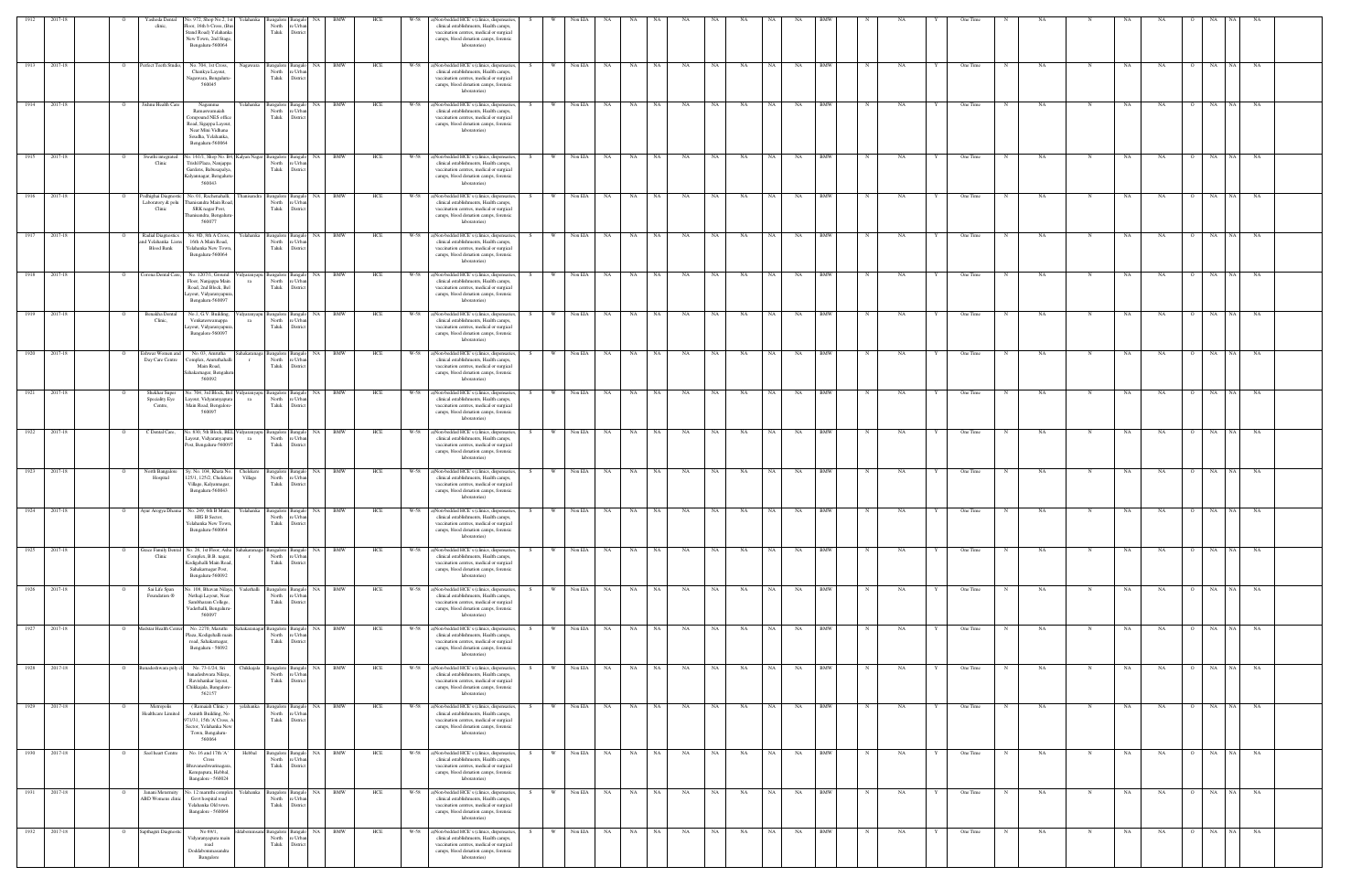| 1912         | 2017-18            |                | Yashoda Dental<br>clinic,                                   | lo. 972, Shop No.2, 1s<br>r elahanka<br>loor, 16th b Cross, (B)<br>Stand Road) Yelahanka<br>New Town, 2nd Stage<br>Bengaluru-560064                        | North<br>Taluk                                                                   | e Urba<br>District                                      |            |            |              | Non-bedded HCE's (clinics, dispensaries<br>clinical establishments, Health camps,<br>vaccination centres, medical or surgical<br>camps, blood donation camps, forensic<br>laboratories)                                                 |     |          | Non EIA            |                 |                 |          |           |           |           |                 |          |                   |             |          |   | One Time             |            |          |            |             |          |                           |                 |                 |  |
|--------------|--------------------|----------------|-------------------------------------------------------------|------------------------------------------------------------------------------------------------------------------------------------------------------------|----------------------------------------------------------------------------------|---------------------------------------------------------|------------|------------|--------------|-----------------------------------------------------------------------------------------------------------------------------------------------------------------------------------------------------------------------------------------|-----|----------|--------------------|-----------------|-----------------|----------|-----------|-----------|-----------|-----------------|----------|-------------------|-------------|----------|---|----------------------|------------|----------|------------|-------------|----------|---------------------------|-----------------|-----------------|--|
| 1913         | 2017-18            |                | erfect Teeth Studio                                         | No. 704, 1st Cross,<br>Nagawara<br>Chankya Layout,<br>Vagawara, Bengaluru<br>560045                                                                        | North<br>Taluk                                                                   | NA<br>Bangalore Bangalo<br>re Urba<br>District          | BMW        | HCE        | W-58         | a)Non-bedded HCE's (clinics, dispensaries,<br>clinical establishments, Health camps,<br>vaccination centres, medical or surgical<br>camps, blood donation camps, forensic<br>laboratories)                                              |     |          | Non EIA            | NA.             | NA              | NA       | NA        | NA        | NA        | - NA            | NA       | BMW               |             | NA       |   | One Time             |            | NA       |            | NA          | NA       | $\overline{O}$            | NA<br>NA        | NA              |  |
| 1914         | 2017-18            |                | ishnu Health Care                                           | Nagamma<br>Ramaswamaiah<br>Compound NES office<br>Road, Sigappa Layout,<br>Near Mini Vidhana<br>Soudha, Yelahanka,<br>Bengaluru-560064                     | <b>Bangalore</b><br>North<br>Taluk                                               | NA<br>Banga<br>e Urba<br>District                       |            | HCE        |              | ()Non-bedded HCE's (clinics, dispensaries<br>clinical establishments, Health camps,<br>vaccination centres, medical or surgical<br>camps, blood donation camps, forensic<br>laboratories)                                               |     |          | Non EIA            |                 |                 | NA       |           |           | NA        |                 | NA       |                   |             |          |   | One Time             |            | NA       |            |             | NA       |                           | NA              |                 |  |
| 1915         | 2017-18            |                | Swathi integrated<br>Clinic                                 | lo. 161/1, Shop No. B4,<br>Kalyan Nagar Bangalore Bangalo<br>Trishl Plaza, Nanjappa<br>Gardens, Babusapalya,<br>Kalyannagar, Bengaluru<br>560043           | Taluk                                                                            | North re Urba<br>District                               | NA BMW     | HCE        | W-58         | a)Non-bedded HCE's (clinics, dispensaries,<br>clinical establishments, Health camps,<br>vaccination centres, medical or surgical<br>camps, blood donation camps, forensic<br>laboratories)                                              |     | W        | Non EIA            | <b>NA</b>       | <b>NA</b>       | NA       | NA        | NA        | NA        | NA              | NA       | <b>BMW</b>        |             | NA       |   | One Time             |            | NA       | N          | NA          | NA       | $\overline{O}$            | <b>NA</b><br>NA | NA              |  |
| 1916         | 2017-18            |                | Podhighai Diagnostic<br>Laboratory & polu<br>Clinic         | No. 01, Rachenahalli,<br>hanisandra<br>Thanisandra Main Road<br>SRK nagar Post,<br>hanisandra, Bengaluru<br>560077                                         | North<br>Taluk                                                                   | Bangalore Bangalo NA BMW<br>re Urba<br>District         |            | HCE        | W-58         | a)Non-bedded HCE's (clinics, dispensaries,<br>clinical establishments, Health camps,<br>vaccination centres, medical or surgical<br>camps, blood donation camps, forensic<br>laboratories)                                              | S – | W \      | Non EIA NA         |                 | NA NA           | NA       | NA        | NA        | <b>NA</b> | NA              | NA       | <b>BMW</b>        | N           | NA       | Y | One Time             | N          | NA       | N          | NA          | NA       | $\overline{O}$            | NA NA           | NA              |  |
|              | 1917 2017-18       |                | Radial Diagnostics<br>d Yelahanka Lior<br><b>Blood Bank</b> | Yelahanka<br>No. 9D, 8th A Cross,<br>16th A Main Road,<br>Yelahanka New Towr<br>Bengaluru-560064                                                           | North<br>Taluk                                                                   | Bangalore Bangalo NA BMW<br>e Urba<br>District          |            | HCE        |              | W-58 a)Non-bedded HCE's (clinics, dispensaries,<br>clinical establishments, Health camps,<br>vaccination centres, medical or surgical<br>camps, blood donation camps, forensic<br>laboratories)                                         |     | W        | Non EIA NA         |                 | NA NA           |          | NA        | NA        | NA        | NA 1            | NA       | <b>BMW</b>        | $\mathbf N$ | NA       |   | One Time             | N          | NA       |            | NA          | NA       | $\overline{O}$            | NA NA           | <b>NA</b>       |  |
| 1918<br>1919 | 2017-18<br>2017-18 |                | Corona Dental Care,<br>Benakha Dental                       | No. 1207/1, Ground<br>Floor, Nanjappa Main<br>ra<br>Road, 2nd Block, Bel<br>ayout, Vidyaranyapura<br>Bengaluru-560097<br>No.1, G.V. Building,              | idyaranyapu Bangalore Bangalo<br>North<br>Taluk<br>idyaranyapu Bangalore Bangalo | NA<br>re Urba<br>District<br>NA                         | BMW<br>BMW | HCE<br>HCE | W-58<br>W-58 | a)Non-bedded HCE's (clinics, dispensaries<br>clinical establishments, Health camps,<br>vaccination centres, medical or surgical<br>camps, blood donation camps, forensic<br>laboratories)<br>a)Non-bedded HCE's (clinics, dispensaries, |     | <b>W</b> | Non EIA<br>Non EIA | <b>NA</b><br>NA | <b>NA</b><br>NA | NA<br>NA | NA<br>NA  | NA<br>NA  | NA<br>NA  | NA<br><b>NA</b> | NA<br>NA | BMW<br><b>BMW</b> |             | NA<br>NA |   | One Time<br>One Time |            | NA<br>NA | N          | NA<br>NA    | NA<br>NA | $\overline{O}$<br>$\circ$ | NA<br>NA<br>NA  | <b>NA</b><br>NA |  |
| 1920         | 2017-18            |                | Clinic,<br>Eshwar Women and                                 | Venkateswamappa<br>ra<br>ayout, Vidyaranyapura<br>Bangalore-560097<br>No. 03, Amrutha                                                                      | North<br>Taluk<br>hakaranaga Bangalore Bangalo                                   | re Urba<br>District                                     | NA BMW     | HCE        | W-58         | clinical establishments, Health camps,<br>vaccination centres, medical or surgical<br>camps, blood donation camps, forensic<br>laboratories)<br>a)Non-bedded HCE's (clinics, dispensaries                                               |     |          | Non EIA            |                 | NA              | NA       | NA        | NA        | NA        |                 | NA       | <b>BMW</b>        |             | NA       |   | One Time             |            | NA       |            |             | NA       |                           | NA              |                 |  |
| 1921         | 2017-18            |                | Day Care Centre<br>Shekhar Super                            | Complex, Amruthahall<br>Main Road,<br>ahakamagar, Bengalu<br>560092<br>lo. 704, 3rd Block, Be                                                              | North<br>Taluk<br>idyaranyapu Bangalore Bangalo                                  | e Urba<br>Distric<br>NA                                 | <b>BMW</b> | HCE        | W-58         | clinical establishments, Health camps,<br>vaccination centres, medical or surgical<br>camps, blood donation camps, forensic<br>laboratories)<br>a)Non-bedded HCE's (clinics, dispensaries                                               |     | W        | Non EIA            | NA.             | <b>NA</b>       | NA       | NA        | NA        | NA        | <b>NA</b>       | NA       | <b>BMW</b>        |             | NA       |   | One Time             |            | NA       | N          | NA          | NA       | $\overline{O}$            | <b>NA</b><br>NA | NA              |  |
| 1922         | 2017-18            |                | Speciality Eye<br>Centre,<br>C Dental Care,                 | ayout, Vidyaranyapur.<br>ra<br>Main Road, Bengalore<br>560097<br>o. 830, 5th Block, BEL<br>'idyaranyapu                                                    | North<br>Taluk                                                                   | re Urbar<br>District<br>Bangalore Bangalo NA BMW        |            | HCE        | W-58         | clinical establishments, Health camps,<br>vaccination centres, medical or surgical<br>camps, blood donation camps, forensic<br>laboratories)<br>a)Non-bedded HCE's (clinics, dispensaries,                                              |     | W        | Non EIA            | NA              | NA              | NA       | NA        | NA        | NA        | NA              | NA       | <b>BMW</b>        |             | NA       |   | One Time             | $_{\rm N}$ | NA       | $_{\rm N}$ | NA          | NA       | $\overline{O}$            | NA<br><b>NA</b> | NA              |  |
| 1923         | 2017-18            |                | North Bangalore                                             | ayout, Vidyaranyapura<br>ra<br>ost, Bengaluru-560097<br>Sy. No. 104, Khata No.<br>Chelekere                                                                | North re Urba<br>Taluk                                                           | District<br>angalore Bangalo NA                         | <b>BMW</b> | HCE        | W-58         | clinical establishments, Health camps,<br>vaccination centres, medical or surgical<br>camps, blood donation camps, forensic<br>laboratories)<br>a)Non-bedded HCE's (clinics, dispensaries,                                              |     | <b>W</b> | Non EIA            | <b>NA</b>       | <b>NA</b>       | NA       | NA        | NA        | NA        | NA              | NA       | <b>BMW</b>        |             | NA       |   | One Time             |            | NA       | N          | NA          | NA       | $\overline{O}$            | NA<br>NA 1      | NA              |  |
|              | 1924 2017-18       | $\overline{O}$ | Hospital                                                    | 25/1, 125/2, Cheleker<br>Village<br>Village, Kalyannagar,<br>Bengaluru-560043<br>Ayur Arogya Dhama No. 249, 6th B Main, Yelahanka Bangalore Bangalo NA BMW | North<br>Taluk                                                                   | e Urba<br>District                                      |            | HCE        |              | clinical establishments, Health camps,<br>vaccination centres, medical or surgical<br>camps, blood donation camps, forensic<br>laboratories)<br>W-58 a)Non-bedded HCE's (clinics, dispensaries, S W Non EIA NA NA NA NA NA NA           |     |          |                    |                 |                 |          |           |           | <b>NA</b> | NA 1            |          | NA BMW            | N           | NA       |   | One Time             | N          | NA       | N          |             | NA NA    |                           | O NA NA NA      |                 |  |
| 1925         | 2017-18            |                | Grace Family Denta                                          | HIG B Sector,<br>felahanka New Town<br>Bengaluru-560064<br>No. 26, 1st Floor, Asha                                                                         | ahakaranaga Bangalore Bangalo                                                    | North re Urban<br>Taluk District<br>NA 1                | <b>BMW</b> | HCE        | W-58         | clinical establishments, Health camps,<br>vaccination centres, medical or surgical<br>camps, blood donation camps, forensic<br>laboratories)<br>a)Non-bedded HCE's (clinics, dispensaries,                                              |     |          | Non EIA            | NA              | NA              | NA       | NA        | NA        | NA        | - NA            | NA       | BMW               |             | NA       |   | One Time             | N          | NA       |            | NA          | NA       | $\circ$                   | NA              | NA              |  |
|              | 1926 2017-18       |                | Clinic<br>Sai Life Span                                     | Complex, B.B. nagar,<br><b>Codigehalli Main Road,</b><br>Sahakarnagar Post,<br>Bengaluru-560092<br>lo. 108, Bhavan Nilaya,<br>Vaderhalli                   | Taluk                                                                            | North re Urban<br>District<br>Bangalore Bangalo NA BMW  |            | HCE        | W-58         | clinical establishments, Health camps,<br>vaccination centres, medical or surgical<br>camps, blood donation camps, forensic<br>laboratories)<br>a)Non-bedded HCE's (clinics, dispensaries                                               |     | W        | Non EIA            | <b>NA</b>       | NA              | NA       | NA        | NA        | NA        | <b>NA</b>       | NA       | <b>BMW</b>        |             | NA       |   | One Time             |            | NA       | N          | NA          | NA       | $\overline{O}$            | NA<br>NA        | NA              |  |
| 1927         | 2017-18            |                | Foundation ®<br>Aedstar Health Cen                          | Nethaji Layout, Near<br>Sambharam College,<br>Vaderhalli, Bengaluru-<br>560097<br>No. 2270, Maruthi                                                        | North<br>Taluk<br>hakaranagar Bangalore Bangalo                                  | e Urba<br>District<br>NA 1                              | <b>BMW</b> | HCE        | W-58         | clinical establishments, Health camps,<br>vaccination centres, medical or surgical<br>camps, blood donation camps, forensic<br>laboratories)<br>a)Non-bedded HCE's (clinics, dispensaries                                               |     | W        | Non EIA            | NA              | NA              | NA       | NA        | NA        | <b>NA</b> | NA              | NA       | <b>BMW</b>        |             | NA       |   | One Time             | N          | NA       | N          | NA          | NA       | $\overline{O}$            | NA<br><b>NA</b> | NA              |  |
| 1928         | 2017-18            |                | anadeshwara poly                                            | Plaza, Kodigehalli mai<br>road, Sahakamagar,<br>Bengaluru - 56092<br>No. 73-1/24, Sri<br>Chikkajala                                                        | North<br>Taluk                                                                   | re Urbar<br>District<br>Bangalore Bangalo               | NA BMW     | HCE        | W-58         | clinical establishments, Health camps,<br>vaccination centres, medical or surgical<br>camps, blood donation camps, forensic<br>laboratories)<br>a)Non-bedded HCE's (clinics, dispensaries                                               |     | <b>W</b> | Non EIA            | <b>NA</b>       | <b>NA</b>       | NA       | <b>NA</b> | <b>NA</b> | NA        | NA 1            | NA       | BMW               | N           | NA       |   | One Time             | N          | NA       | N          | NA          | NA       | $\overline{O}$            | NA NA           | NA              |  |
| 1929         | 2017-18            |                | Metropolis                                                  | banadeshwara Nilaya<br>Ravishankar layout,<br>Chikkajala, Bangalore-<br>562157<br>(Ramaiah Clinic)<br>yelahanka                                            | Taluk                                                                            | North re Urban<br>District<br>NA<br>angalore Bangalo    | <b>BMW</b> | HCE        | W-58         | clinical establishments, Health camps,<br>vaccination centres, medical or surgical<br>camps, blood donation camps, forensic<br>laboratories)<br>Non-bedded HCE's (clinics, dispensaries                                                 |     |          | Non EIA            | <b>NA</b>       | NA              | NA       | NA        | NA        | NA        | NA              | NA       | BMW               |             | NA       |   | One Time             |            | NA       |            | <b>NA</b>   | NA       | $\overline{O}$            | NA 1<br>NA      | NA              |  |
|              |                    |                | <b>Jealthcare Limited</b>                                   | Asmith Building, No<br>71/31, 15th 'A' Cross,<br>Sector, Yelahanka New<br>Town, Bengaluru-<br>560064                                                       | North<br>Taluk                                                                   | e Urba<br>District                                      |            |            |              | clinical establishments, Health camps,<br>vaccination centres, medical or surgical<br>camps, blood donation camps, forensic<br>laboratories)                                                                                            |     |          |                    |                 |                 |          |           |           |           |                 |          |                   |             |          |   |                      |            |          |            |             |          |                           |                 |                 |  |
|              | 1930 2017-18       |                | Saol heart Centre                                           | Hebbal<br>No. 16 and 17th 'A'<br>Cross<br>Bhuvaneshwarinagara,<br>Kempapura, Hebbal,<br>Bangalore - 560024                                                 | North<br>Taluk                                                                   | NA  <br>angalore Bangalo<br>re Urba<br>District         | <b>BMW</b> | HCE        | W-58         | a)Non-bedded HCE's (clinics, dispensaries,<br>clinical establishments, Health camps,<br>vaccination centres, medical or surgical<br>camps, blood donation camps, forensic<br>laboratories)                                              |     | W        | Non EIA NA         |                 | NA 1            | NA       | NA        | NA        | NA        | NA              | NA       | <b>BMW</b>        | N           | NA       |   | One Time             | N          | NA       | N          | $_{\rm NA}$ | NA       | $\overline{O}$            | NA NA           | NA              |  |
| 1931         | 2017-18            |                | Janani Metermity<br>ABD Womens clinic                       | No. 12 maruthi comple<br>Yelahanka<br>Govt hospital road<br>Yelahanka Old town.<br>Bangalore - 560064                                                      | Taluk                                                                            | Bangalore Bangalo<br>NA 1<br>North re Urban<br>District | <b>BMW</b> | HCE        | W-58         | a)Non-bedded HCE's (clinics, dispensaries<br>clinical establishments, Health camps,<br>vaccination centres, medical or surgical<br>camps, blood donation camps, forensic<br>laboratories)                                               |     | - W      | Non EIA            | NA              | <b>NA</b>       | NA       | NA        | <b>NA</b> | NA        | NA              | NA       | <b>BMW</b>        |             | NA       |   | One Time             | N          | NA       | N          | NA          | NA       | $\overline{O}$            | NA<br>NA        | NA              |  |
| 1932         | 2017-18            |                | apthagiri Diagnos                                           | No 69/1<br>Vidyaranyapura main<br>road<br>Doddabommasandra<br>Bangalore                                                                                    | North<br>Taluk                                                                   | NA<br>angalore Bangalo<br>e Urba<br>District            |            | HCE        | W-58         | Non-bedded HCE's (clinics, dispensaries,<br>clinical establishments, Health camps,<br>vaccination centres, medical or surgical<br>camps, blood donation camps, forensic<br>laboratories)                                                |     |          | Non EIA            | NA.             | NA              | NA       | NA        | NA        | NA        |                 | NA       | BMW               |             | NA       |   | One Time             |            | NA       |            | <b>NA</b>   | NA       | $\circ$                   | NA              | NA              |  |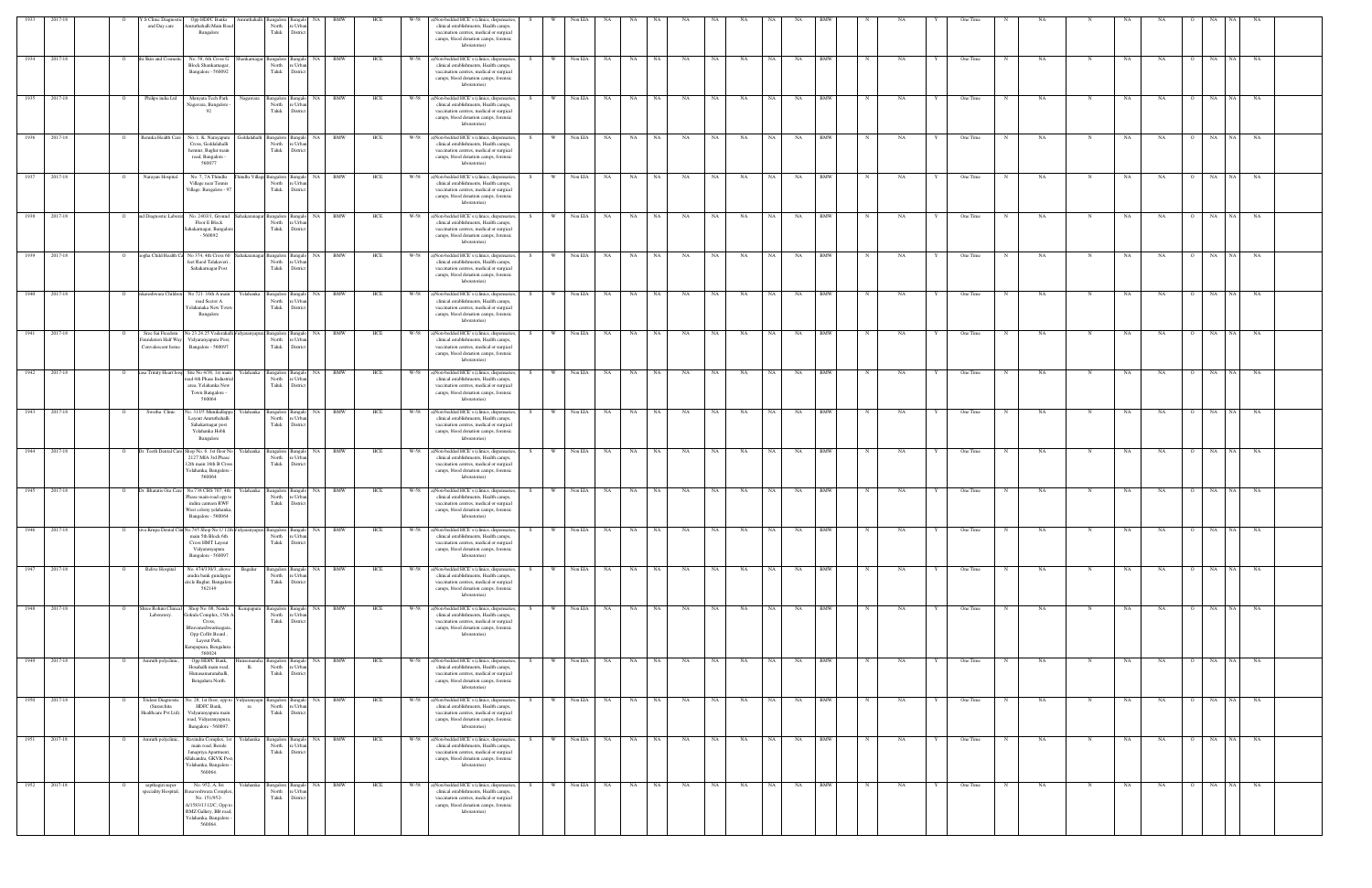| 2017-18                      |          | Opp HDFC Banks<br>S Clinic Diagnostic<br>and Day care<br>ruthahalli Main Roa<br>Bangalore                                                                                                               | Amruthahalli Bangalore Bangalo<br>North<br>Taluk   | <b>NA</b><br>: Urb<br>Distric                                  | HCF |      | Non-bedded HCE's (clinics, dispensaries,<br>clinical establishments, Health camps,<br>vaccination centres, medical or surgical<br>camps, blood donation camps, forensic<br>laboratories)    |     |          | Non EIA    |           |           |      |           |           |           |           |           |            |             |    |   | One Time |   |           |             |    |           |                |                 |           |  |
|------------------------------|----------|---------------------------------------------------------------------------------------------------------------------------------------------------------------------------------------------------------|----------------------------------------------------|----------------------------------------------------------------|-----|------|---------------------------------------------------------------------------------------------------------------------------------------------------------------------------------------------|-----|----------|------------|-----------|-----------|------|-----------|-----------|-----------|-----------|-----------|------------|-------------|----|---|----------|---|-----------|-------------|----|-----------|----------------|-----------------|-----------|--|
| 2017-18<br>1934              |          | i Skin and Cosme<br>No. 58, 6th Cross G<br>Block Shankarnagar,<br>Bangalore - 560092                                                                                                                    | hankarnagar Bangalore Bangalo<br>North<br>Taluk    | NA<br><b>BMW</b><br>re Urbar<br>District                       | HCE | W-58 | a)Non-bedded HCE's (clinics, dispensaries,<br>clinical establishments, Health camps,<br>vaccination centres, medical or surgical<br>camps, blood donation camps, forensic<br>laboratories)  |     | W        | Non EIA    | <b>NA</b> | NA        | NA   | NA        | NA        | NA        | NA        | NA        | <b>BMW</b> |             | NA |   | One Time |   | NA        | N           | NA | NA        |                | NA  <br>NA      | NA        |  |
| 1935<br>2017-18              |          | Philips india Ltd<br>Manyata Tech Park<br>Nagawara<br>Nagavara, Bangalore<br>- 92                                                                                                                       | North<br>Taluk                                     | Bangalore Bangalo NA BMW<br>re Urbar<br>District               | HCE | W-58 | a)Non-bedded HCE's (clinics, dispensaries,<br>clinical establishments, Health camps,<br>vaccination centres, medical or surgical<br>camps, blood donation camps, forensic<br>laboratories)  | S.  | W        | Non EIA NA |           | NA        | NA 1 | <b>NA</b> | <b>NA</b> | <b>NA</b> | NA 1      | <b>NA</b> | <b>BMW</b> | $\mathbf N$ | NA | Y | One Time | N | NA.       | N           | NA | NA        | $\overline{O}$ | NA<br>NA        | NA        |  |
| 1936<br>2017-18              |          | Renuka Health Care<br>No. 1. K. Narayapura<br>Cross, Geddalahalli<br>hennur, Baglur main<br>road, Bangalore -<br>560077                                                                                 | North<br>Taluk                                     | eddalahalli Bangalore Bangalo NA<br>BMW<br>e Urba<br>District  | HCE | W-58 | a)Non-bedded HCE's (clinics, dispensaries,<br>clinical establishments, Health camps,<br>vaccination centres, medical or surgical<br>camps, blood donation camps, forensic<br>laboratories)  |     | <b>W</b> | Non EIA NA |           | NA        | NA   | NA        | NA        | NA        | <b>NA</b> | NA        | <b>BMW</b> |             | NA |   | One Time |   | NA        |             | NA | NA        |                | NA 1<br>NA      | NA        |  |
| 1937<br>2017-18              | $\Omega$ | Narayan Hospital<br>No. 7, 7A Thindlu<br>Village near Tennis<br>Village. Bangalore - 9'                                                                                                                 | nindlu Village Bangalore Bangalo<br>North<br>Taluk | NA 1<br>BMW<br>e Urba<br>District                              | HCE | W-58 | a)Non-bedded HCE's (clinics, dispensaries,<br>clinical establishments, Health camps,<br>vaccination centres, medical or surgical<br>camps, blood donation camps, forensic<br>laboratories)  |     | <b>W</b> | Non EIA NA |           | NA 1      | NA 1 | <b>NA</b> | <b>NA</b> | NA        | NA N      | <b>NA</b> | <b>BMW</b> |             | NA |   | One Time | N | NA        | N           | NA | NA.       | $\Omega$       | NA NA NA        |           |  |
| 1938<br>2017-18              |          | d Diagnostic Laborat<br>No. 2403/1, Ground<br>Floor E Block<br>Sahakarnagar, Bangalor<br>$-560092$                                                                                                      | hakaranagar Bangalore<br>North<br>Taluk            | NA<br>BMW<br>Banga<br>re Urba<br>District                      | HCE | W-58 | ()Non-bedded HCE's (clinics, dispensaries,<br>clinical establishments, Health camps,<br>vaccination centres, medical or surgical<br>camps, blood donation camps, forensic<br>laboratories)  |     | W        | Non EIA    | NA        | NA        | NA   | NA        | NA        | NA        | NA        | NA        | BMW        |             | NΑ |   | One Time |   | NA        |             | NA | NA        |                | NA<br>NA 1      | NA        |  |
| 1939<br>2017-18              |          | ogha Child Health C<br>No 374, 4th Cross 60<br>feet Raod Talakaveri.<br>Sahakarnagar Post                                                                                                               | hakaranagar Bangalore<br>North<br>Taluk            | NA<br>BMW<br>: Urb<br>Distri                                   | HCE |      | (i)Non-bedded HCE's (clinics, dispensaries,<br>clinical establishments, Health camps,<br>vaccination centres, medical or surgical<br>camps, blood donation camps, forensic<br>laboratories) |     |          | Non EIA    | NA        | NA        | NA   | NA        | NA        | NA        | NA        | NA        | BMW        |             | NA |   | One Time |   | NA        |             | NA | NA        | $\circ$        | NA<br>NA        | NA        |  |
| 1940<br>2017-18              |          | nkateshwara Childre<br>No 721. 16th A main<br>r'elahanka<br>road Sector A<br>relahanaka New Tow<br>Bangalore                                                                                            | Bangalore Bangalo<br>North<br>Taluk                | NA 1<br><b>BMW</b><br>e Urba<br>District                       | HCE | W-58 | a)Non-bedded HCE's (clinics, dispensaries,<br>clinical establishments, Health camps,<br>vaccination centres, medical or surgical<br>camps, blood donation camps, forensic<br>laboratories)  |     | W        | Non EIA NA |           | NA        | NA   | NA        | NA        | NA        | NA        | NA        | <b>BMW</b> |             | NA |   | One Time |   | NA        |             | NA | NA        | $\Omega$       | NA<br>NA 1      | <b>NA</b> |  |
| 2017-18                      |          | Sree Sai Freedom<br>No 23.24.25 Vaderahal<br>dyaran yapuı<br>oundation Half Way Vidyaranyapura Post,<br>Convalescent home<br>Bangalore - 560097                                                         | sangalore<br>North<br>Taluk                        | NA<br>BMW<br>Banga<br>re Urba<br>District                      | HCE | W-58 | a)Non-bedded HCE's (clinics, dispensaries,<br>clinical establishments, Health camps,<br>vaccination centres, medical or surgical<br>camps, blood donation camps, forensic<br>laboratories)  |     | <b>W</b> | Non EIA NA |           | NA        | NA . | NA        | NA        | NA        | NA .      | NA        | BMW        |             | NA |   | One Time |   | NA        |             | NA | NA        |                | NA<br>NA 1      | NA        |  |
| 1942<br>2017-18              |          | asa Trinity Heart hosp Site No 4/38, 1st main<br>Yelahanka<br>ad 4th Phase Industri<br>area, Yelahanka New<br>Town Bangalore -<br>560064                                                                | North<br>Taluk                                     | Bangalore Bangalo NA<br>BMW<br>: Urb<br>District               | HCE | W-58 | a)Non-bedded HCE's (clinics, dispensaries,<br>clinical establishments, Health camps,<br>vaccination centres, medical or surgical<br>camps, blood donation camps, forensic<br>laboratories)  | - S | <b>W</b> | Non EIA    | <b>NA</b> | <b>NA</b> | NA   | NA        | NA        | NA        | NA        | NA        | <b>BMW</b> |             | NA |   | One Time |   | NA        | N           | NA | NA        | $\overline{O}$ | NA<br>NA        | NA        |  |
| 1943<br>2017-18              |          | Swetha Clinic<br>No. 313/5 Munikallapp<br><b>Yelahanka</b><br>Layout Amruthahalli<br>Sahakarnagar post<br>Yelahanka Hobli<br>Bangalore                                                                  | Bangalore Bangalo<br>North<br>Taluk                | <b>BMW</b><br>NA<br>e Urb<br>District                          | HCE | W-58 | a)Non-bedded HCE's (clinics, dispensaries,<br>clinical establishments, Health camps,<br>vaccination centres, medical or surgical<br>camps, blood donation camps, forensic<br>laboratories)  |     | W        | Non EIA    | NA        | NA        | NA   | NA        | NA        | NA        | NA        | NA        | <b>BMW</b> |             | NA |   | One Time |   | NA        | N           | NA | NA        |                | NA<br>NA 1      | NA        |  |
| 2017-18                      |          | Or. Teeth Dental Care Shop No. 6. 1st floor N<br>relahanka<br>2127 MIA 3rd Phase<br>12th main 16th B Cross<br>Yelahanka, Bangalore -<br>560064                                                          | Bangalore Bangale<br>North<br>Taluk                | NA<br>BMW<br>re Urba<br>Distric                                | HCE | W-58 | a)Non-bedded HCE's (clinics, dispensaries,<br>clinical establishments, Health camps,<br>vaccination centres, medical or surgical<br>camps, blood donation camps, forensic<br>laboratories)  |     | <b>W</b> | Non EIA    | NA        | NA        | NA   | NA        | NA        | NA        | <b>NA</b> | NA        | <b>BMW</b> |             | NA |   | One Time |   | NA        |             | NA | NA        |                | NA<br>NA 1      | NA        |  |
| 2017-18<br>1945              |          | Dr. Bharatis Ora Care<br>No.738 CHS 707, 4th<br>relahanka<br>Phase main road opp t<br>indira canteen RWF<br>West colony yelahanka,<br>angalore 56006                                                    | Bangalore Bangalo<br>North<br>Taluk                | NA<br>BMW<br>: Urb<br>Distri                                   | HCE | W-58 | (a)Non-bedded HCE's (clinics, dispensaries,<br>clinical establishments, Health camps,<br>vaccination centres, medical or surgical<br>camps, blood donation camps, forensic                  |     | - W      | Non EIA    | NA        | NA        | NA   | NA        | NA        | NA        | NA        | NA        | <b>BMW</b> |             | NA |   | One Time |   | NA        |             | NA | NA        |                | NA<br><b>NA</b> | NA        |  |
| $2017-18$<br>1946            |          | iva Krupa Dental Clin No.745 Shop No 1/12th<br>main 5th Block 6th<br>Cross HMT Layout<br>Vidyaranyapura<br>Bangalore - 560097                                                                           | North<br>Taluk                                     | dyaranyapura Bangalore Bangalo NA<br>BMW<br>e Urba<br>District | HCE | W-58 | a)Non-bedded HCE's (clinics, dispensaries,<br>clinical establishments, Health camps,<br>vaccination centres, medical or surgical<br>camps, blood donation camps, forensic<br>laboratories)  | S   | W        | Non EIA    | <b>NA</b> | NA        | NA   | NA        | NA        | NA        | NA        | NA        | <b>BMW</b> |             | NΑ |   | One Time |   | NA        |             | NA | NA        |                | NA<br>NA 1      | NA        |  |
| 1947<br>2017-18              |          | Relive Hospital<br>No. 474/330/3, above<br>Bagalur<br>amdra bank gundappa<br>circle Baglur, Bangalon<br>562149                                                                                          | North re Urban<br>Taluk                            | Bangalore Bangalo NA BMW<br>District                           | HCE | W-58 | a)Non-bedded HCE's (clinics, dispensaries,<br>clinical establishments, Health camps,<br>vaccination centres, medical or surgical<br>camps, blood donation camps, forensic<br>laboratories)  |     | <b>W</b> | Non EIA NA |           | NA        | NA 1 | NA        | NA        | NA        | NA 1      | NA        | <b>BMW</b> |             | NA |   | One Time |   | NA        | $\mathbf N$ | NA | NA        | $\overline{O}$ | NA<br>NA 1      | NA        |  |
| 1948 2017-18<br>1949 2017-18 |          | nree Rohini Clinical<br>Shop No. 08, Nanda<br>.empapura<br>Laboratory.<br>Gokula Complex, 15th /<br>Cross,<br>3huvaneshwarinagara<br>Opp Coffrr Board,<br>Layout Park,<br>empapura, Bengaluru<br>560024 | North<br>Taluk                                     | Bangalore Bangalo NA<br><b>BMW</b><br>e Urba<br>District       | HCE | W-58 | a)Non-bedded HCE's (clinics, dispensaries,<br>clinical establishments, Health camps,<br>vaccination centres, medical or surgical<br>camps, blood donation camps, forensic<br>laboratories)  | - S | W<br>W   | Non EIA NA |           | NA 1      | NA 1 | NA .      | NA        | NA        | NA        | NA 1      | <b>BMW</b> | N           | NA |   | One Time |   | NA        |             | NA | NA        | $\overline{O}$ | NA<br>NA 1      | NA        |  |
|                              | $\circ$  | Amruth polyclinic,<br>Opp HDFC Bank,<br>isemaraha<br>Hosahalli main road,<br>lli<br>Hunasamaranahalli,<br>Bengaluru North.                                                                              | North<br>Taluk                                     | sangalore Bangalo NA BMW<br>re Urbar<br>District               | HCE | W-58 | a)Non-bedded HCE's (clinics, dispensaries,<br>clinical establishments, Health camps,<br>vaccination centres, medical or surgical<br>camps, blood donation camps, forensic<br>laboratories)  |     |          | Non EIA NA |           | NA N      | NA 1 | NA        | NA        | NA        | NA N      | NA        | <b>BMW</b> | $_{\rm N}$  | NA |   | One Time | N | NA        | N           | NA | <b>NA</b> |                | NA NA NA        |           |  |
| 1950<br>2017-18              |          | <b>Trident Diagnosti</b><br>Vo. 28, 1st floor, opp to<br>idyaranyapu<br>(Surarchita<br>HDFC Bank,<br>ra<br>Healthcare Pvt Ltd).<br>Vidyaranyapura main<br>road, Vidyaranyapura,<br>Bangalore - 560097.  | Bangalore Bangalo<br>North<br>Taluk                | NA<br>BMW<br>re Urban<br>District                              | HCE | W-58 | ()Non-bedded HCE's (clinics, dispensaries,<br>clinical establishments, Health camps,<br>vaccination centres, medical or surgical<br>camps, blood donation camps, forensic<br>laboratories)  |     |          | Non EIA    | NA        | NA        | NA   | NA        | NA        | NA        | NA        | NA        | <b>BMW</b> |             | NA |   | One Time |   | NA        |             | NA | NA        |                | NA<br>NA 1      | NA        |  |
| 1951<br>2017-18              |          | Amruth polyclinic,<br>Ravindra Complex, 1st<br>Yelahanka<br>main road, Beside<br>Janapriya Apartment,<br>Ilalsandra, GKVK Pos<br>Yelahanka, Bangalore<br>560064                                         | North<br>Taluk                                     | Bangalore Bangalo NA<br><b>BMW</b><br>e Urbar<br>District      | HCE | W-58 | a)Non-bedded HCE's (clinics, dispensaries,<br>clinical establishments, Health camps,<br>vaccination centres, medical or surgical<br>camps, blood donation camps, forensic<br>laboratories)  |     | W        | Non EIA    | NA        | NA        | NA   | NA        | NA        | NA        | NA        | NA        | <b>BMW</b> |             | NA |   | One Time |   | NA        | $\mathbf N$ | NA | NA        | $\Omega$       | NA<br>NA 1      | NA        |  |
| 1952 2017-18                 |          | No. 952, A, Sri<br>Yelahanka<br>sapthagiri super<br>speciality Hospital,<br>saveshwara Comple<br>No. 151/952-<br>A/1583/1312/C, Opp to<br>RMZ Gallery, BB road<br>Yelahanka, Bangalore<br>560064.       | North<br>Taluk                                     | Bangalore Bangalo NA BMW<br>e Urba<br>District                 | HCE | W-58 | a)Non-bedded HCE's (clinics, dispensaries,<br>clinical establishments, Health camps,<br>vaccination centres, medical or surgical<br>camps, blood donation camps, forensic<br>laboratories)  |     | W        | Non EIA NA |           | NA N      | NA 1 | NA        | NA        | NA        | NA        | NA        | <b>BMW</b> |             | NA |   | One Time | N | <b>NA</b> | $\mathbf N$ | NA | <b>NA</b> | $\Omega$       | NA<br>NA 1      | NA        |  |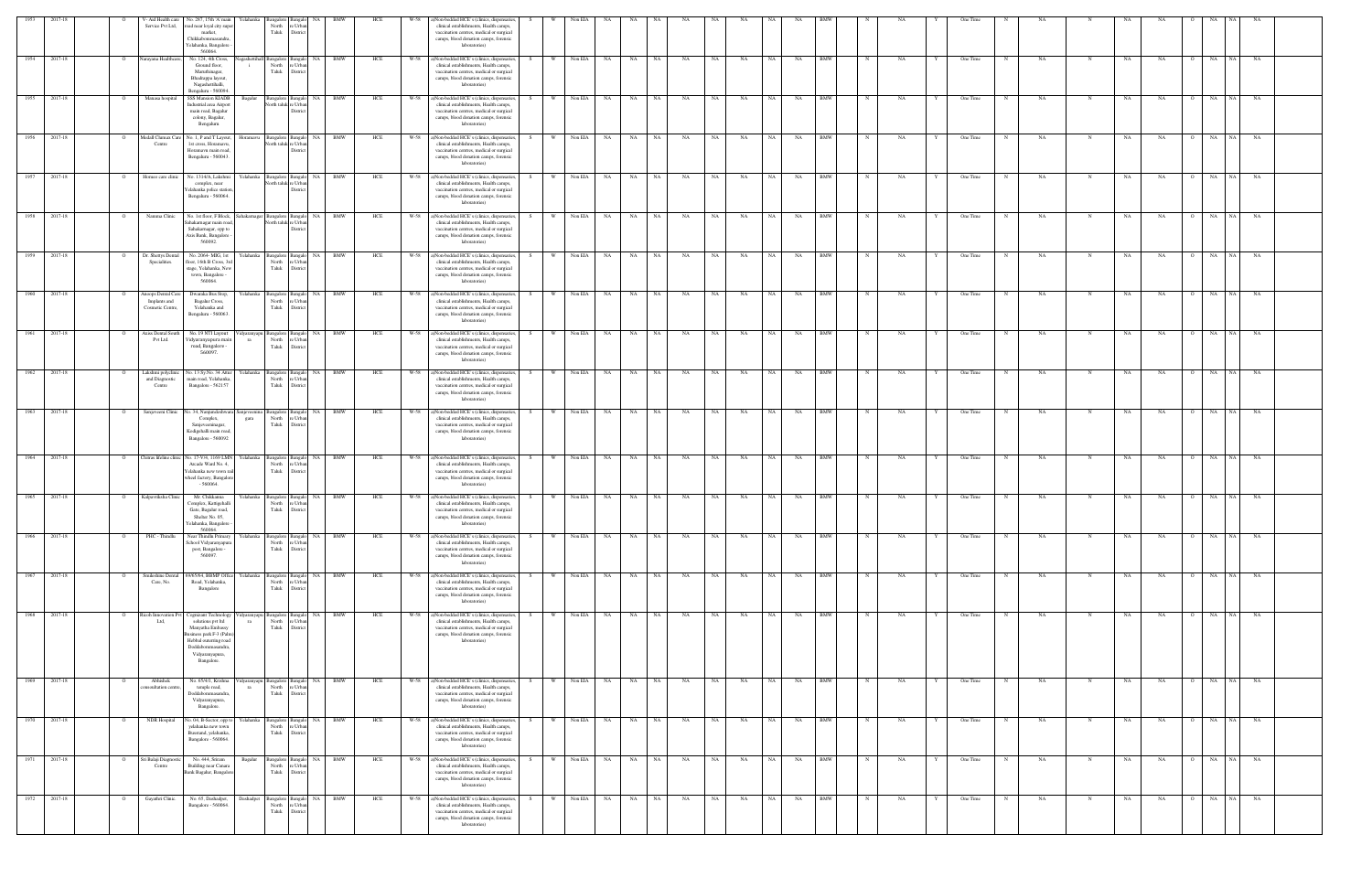| 1953         | 2017-18      |          |                                                        | V-Aid Health care No. 287, 15th 'A' main                                                                                                                               | Yelahanka         | Bangalore Bangalo                                         | <b>NA</b>                                       | BMW        | HCE | W-58 | a)Non-bedded HCE's (clinics, dispensaries,                                                                                                                                                      |      |              | Non EIA    |                    |             |           |           |           |           |           |            |             |           |   | One Time |   |           |             |           |           |                |            |           |  |
|--------------|--------------|----------|--------------------------------------------------------|------------------------------------------------------------------------------------------------------------------------------------------------------------------------|-------------------|-----------------------------------------------------------|-------------------------------------------------|------------|-----|------|-------------------------------------------------------------------------------------------------------------------------------------------------------------------------------------------------|------|--------------|------------|--------------------|-------------|-----------|-----------|-----------|-----------|-----------|------------|-------------|-----------|---|----------|---|-----------|-------------|-----------|-----------|----------------|------------|-----------|--|
|              |              |          | Service Pvt Ltd,                                       | road near loyal city supe<br>market.<br>Chikkabommasandra,<br>Yelahanka, Bangalore<br>560064.                                                                          |                   | North<br>Taluk                                            | e Urba<br>Distrio                               |            |     |      | clinical establishments, Health camps,<br>vaccination centres, medical or surgical<br>camps, blood donation camps, forensic<br>laboratories)                                                    |      |              |            |                    |             |           |           |           |           |           |            |             |           |   |          |   |           |             |           |           |                |            |           |  |
|              | 1954 2017-18 |          | Narayana Healthcare,                                   | No. 124, 4th Cross,<br>Ground floor,<br>Maruthinagar,<br>Bhadrappa layout,<br>Nagashettihalli,<br>Bengaluru - 560094.                                                  |                   | agashettihall Bangalore Bangalo<br>North<br>Taluk         | e Urba<br>District                              | NA BMW     | HCE |      | W-58 a)Non-bedded HCE's (clinics, dispensaries,<br>clinical establishments, Health camps,<br>vaccination centres, medical or surgical<br>camps, blood donation camps, forensic<br>laboratories) |      | W Non EIA NA |            |                    | NA NA       | NA        | NA        | <b>NA</b> | NA        | NA        | <b>BMW</b> | N           | <b>NA</b> | Y | One Time |   | NA        | N           | NA.       | NA        | $\Omega$       | NA NA NA   |           |  |
| 1955         | 2017-18      |          | Manasa hospital                                        | <b>SSS Mansion KIADB</b><br>Industrial area Airport<br>main road, Bagalur<br>colony, Bagalur,<br>Bengaluru                                                             | Bagalur           | Bangalore Bangalo<br>North taluk re Urbar                 | Distric                                         | NA BMW     | HCE | W-58 | a)Non-bedded HCE's (clinics, dispensaries,<br>clinical establishments, Health camps,<br>vaccination centres, medical or surgical<br>camps, blood donation camps, forensic<br>laboratories)      |      | W            | Non EIA    | NA<br><b>NA</b>    | NA          | NA        | NA        | NA        | NA        | NA        | <b>BMW</b> |             | NA        |   | One Time |   | <b>NA</b> |             | NA        | NA        | $\overline{O}$ | NA<br>NA 1 | <b>NA</b> |  |
| 1956         | 2017-18      |          | Medall Clumax Car<br>Centre                            | No. 1, P and T Layout,<br>1st cross, Horamavu,<br>Horamavu main road,<br>Bengaluru - 560043.                                                                           | Horamavu          | orth taluk re Urbar                                       | Bangalore Bangalo NA BMW<br>Distrio             |            | HCE | W-58 | a)Non-bedded HCE's (clinics, dispensaries<br>clinical establishments, Health camps,<br>vaccination centres, medical or surgical<br>camps, blood donation camps, forensic<br>laboratories)       | S.   | W            | Non EIA    | <b>NA</b><br>NA    | NA          | NA        | NA        | NA        | NA        | NA        | <b>BMW</b> | $_{\rm N}$  | NA        |   | One Time | N | <b>NA</b> | N           | NA        | NA        | $\overline{O}$ | NA<br>NA 1 | <b>NA</b> |  |
|              | 1957 2017-18 |          | Homeo care clinic                                      | No. 1314/A, Lakshmi<br>complex, near<br>elahanka police station<br>Bengaluru - 560064.                                                                                 |                   | Vorth taluk re Urba                                       | Yelahanka Bangalore Bangalo NA BMW<br>District  |            | HCE |      | W-58 a)Non-bedded HCE's (clinics, dispensaries,<br>clinical establishments, Health camps,<br>vaccination centres, medical or surgical<br>camps, blood donation camps, forensic<br>laboratories) |      | W Non EIA NA |            |                    | NA NA       | <b>NA</b> | <b>NA</b> | <b>NA</b> | NA I      | NA        | <b>BMW</b> | N           | NA        |   | One Time | N | NA        | N           | NA        | NA        | $\Omega$       | NA NA NA   |           |  |
| 1958         | 2017-18      |          | Namma Clinic                                           | No. 1 st floor, F Block,<br>Sahakarnagar main road<br>Sahakarnagar, opp to<br>Axis Bank, Bangalore<br>560092.                                                          |                   | Sahakarnagar Bangalore Bangalo<br>North taluk re Urbar    | Distric                                         | NA BMW     | HCE | W-58 | a)Non-bedded HCE's (clinics, dispensaries<br>clinical establishments, Health camps,<br>vaccination centres, medical or surgical<br>camps, blood donation camps, forensic<br>laboratories)       |      |              | Non EIA    | NA<br>NA           | NA          | NA        | NA        | NA        | NA        | NA        | BMW        |             | NA        |   | One Time |   | NA        |             | NA        | NA        | $\circ$        | NA<br>NA 1 | NA        |  |
| 1959         | 2017-18      |          | Dr. Shettys Dental<br>Specialities.                    | No. 2064-MIG, 1st<br>floor, 16th B Cross, 3n<br>stage, Yelahanka, Nev<br>town, Bangalore -<br>560064                                                                   | Yelahanka         | Bangalore Bangalo<br>North<br>Taluk                       | NA<br>e Urba<br>Distric                         | BMW        | HCE | W-58 | a)Non-bedded HCE's (clinics, dispensaries<br>clinical establishments, Health camps,<br>vaccination centres, medical or surgical<br>camps, blood donation camps, forensic<br>laboratories)       |      | - W          | Non EIA    | NA<br>NA           | NA          | NA        | NA        | NA        | <b>NA</b> | NA        | <b>BMW</b> |             | NA        |   | One Time |   | NA        |             | NA        | NA        |                | NA<br>NA.  | NA        |  |
|              | 1960 2017-18 |          | Anoops Dental Care<br>Implants and<br>Cosmetic Centre, | Dwaraka Bus Stop,<br>Bagalur Cross,<br>Yelahanka and<br>Bengaluru - 560063.                                                                                            |                   | Yelahanka Bangalore Bangalo<br>North<br>Taluk             | e Urba<br>District                              | NA BMW     | HCE |      | W-58 a)Non-bedded HCE's (clinics, dispensaries,<br>clinical establishments, Health camps,<br>vaccination centres, medical or surgical<br>camps, blood donation camps, forensic<br>laboratories) |      | w l          | Non EIA NA |                    | NA NA       | NA        | NA        | NA        | NA I      | <b>NA</b> | <b>BMW</b> |             | NA        |   | One Time |   | NA        | N           | NA.       | NA        |                | O NA NA NA |           |  |
| 1961         | 2017-18      |          | <b>Axiss Dental South</b><br>Pvt Ltd.                  | No. 19 NTI Layout<br>Vidyaranyapura main<br>road, Bangalore -<br>560097.                                                                                               | idyaranyapu<br>ra | Bangalore Bangalo<br>North<br>Taluk                       | NA<br>re Urbar<br>District                      | <b>BMW</b> | HCE | W-58 | a)Non-bedded HCE's (clinics, dispensaries<br>clinical establishments, Health camps,<br>vaccination centres, medical or surgical<br>camps, blood donation camps, forensic<br>laboratories)       |      |              | Non EIA    | NA<br>NA.          | NA          | NA        | <b>NA</b> | NA        |           | NA        | <b>BMW</b> |             | NA        |   | One Time |   | NA        |             | <b>NA</b> | NA        |                | NA<br>NA.  | NA        |  |
|              | 1962 2017-18 |          | Lakshmi polyclinic<br>and Diagnostic<br>Centre         | No. 13 Sy. No. 34 Attur<br>main road, Yelahanka,<br>Bangalore - 562157                                                                                                 | Yelahanka         | North<br>Taluk                                            | Bangalore Bangalo NA BMW<br>re Urba<br>District |            | HCE | W-58 | a)Non-bedded HCE's (clinics, dispensaries,<br>clinical establishments, Health camps,<br>vaccination centres, medical or surgical<br>camps, blood donation camps, forensic<br>laboratories)      | -S - | w I          | Non EIA    | <b>NA</b><br>NA 1  | NA .        | <b>NA</b> | NA        | NA        | NA 1      | <b>NA</b> | <b>BMW</b> | $_{\rm N}$  | NA        | Y | One Time | N | NA.       | N           | NA        | NA.       | $\overline{O}$ | NA NA NA   |           |  |
| 1963 2017-18 |              |          |                                                        | Sanjeveeni Clinic No. 34, Nanjundeshwara Sanjeveenina<br>Complex,<br>Sanjeveeninagar,<br>Kodigehalli main road,<br>Bangalore - 560092                                  | gara              | North<br>Taluk                                            | Bangalore Bangalo NA BMW<br>e Urba<br>District  |            | HCE |      | W-58 a)Non-bedded HCE's (clinics, dispensaries,<br>clinical establishments, Health camps,<br>vaccination centres, medical or surgical<br>camps, blood donation camps, forensic<br>laboratories) | S.   |              |            | W Non EIA NA NA NA |             | <b>NA</b> | NA        | NA        | NA N      | NA        | <b>BMW</b> | $\mathbf N$ | NA        | Y | One Time | N | NA.       |             | NA        | NA        |                | 0 NA NA NA |           |  |
| 1964         | 2017-18      |          | Chitras lifeline clinic                                | No. 17-V/4, 1169 LMN<br>Arcade Ward No. 4,<br>felahanka new town ra<br>wheel factory, Bangalore<br>$-560064$                                                           | Yelahanka         | Bangalore Bangal<br>North<br>Taluk                        | re Urbar<br>District                            | BMW        | HCE | W-58 | a)Non-bedded HCE's (clinics, dispensaries<br>clinical establishments, Health camps,<br>vaccination centres, medical or surgical<br>camps, blood donation camps, forensic<br>laboratories)       |      |              | Non EIA    | NA<br>NA           | NA          | NA        | <b>NA</b> | NA        |           | NA        | BMW        |             | NA        |   | One Time |   | NA        |             | <b>NA</b> | NA        |                | NA         | NA        |  |
| 1965         | 2017-18      |          | Kalpavriksha Clinic                                    | Mr. Chikkanna<br>Complex, Kattigehalli<br>Gate, Bagalur road,<br>Shelter No. 05,<br>Celahanka, Bangalore<br>560064                                                     | Yelahanka l       | Bangalore Bangalo<br>North<br>Taluk District              | NA<br>re Urbar                                  | BMW        | HCE | W-58 | a)Non-bedded HCE's (clinics, dispensaries<br>clinical establishments, Health camps,<br>vaccination centres, medical or surgical<br>camps, blood donation camps, forensic<br>laboratories)       |      | - W          | Non EIA    | NA<br>NA           | NA          | NA        | NA        | NA        | NA        | NA        | BMW        |             | NA        |   | One Time |   | NA        | N           | NA        | NA        | $\overline{O}$ | NA<br>NA 1 | NA        |  |
|              | 1966 2017-18 |          | PHC - Thindlu                                          | Near Thindlu Primary<br>school Vidyaranyapura<br>post, Bangalore -<br>560097.                                                                                          | Yelahanka         | North<br>Taluk                                            | Bangalore Bangalo NA BMW<br>re Urba<br>District |            | HCE | W-58 | a)Non-bedded HCE's (clinics, dispensaries<br>clinical establishments, Health camps,<br>vaccination centres, medical or surgical<br>camps, blood donation camps, forensic<br>laboratories)       |      | <b>W</b>     | Non EIA NA |                    | NA NA       | <b>NA</b> | NA        | NA        | NA N      | NA        | <b>BMW</b> | $\mathbf N$ | NA        | Y | One Time | N | NA.       |             | NA.       | <b>NA</b> | $\overline{O}$ | NA         | NA NA     |  |
|              | 1967 2017-18 |          | Smileshine Dental<br>Care, No.                         | 69/65/64, BBMP Office<br>Road, Yelahanka,<br>Bangalore                                                                                                                 | Yelahanka         | Bangalore Bangalo<br>Taluk District                       | North re Urban                                  | NA BMW     | HCE | W-58 | a)Non-bedded HCE's (clinics, dispensaries<br>clinical establishments, Health camps,<br>vaccination centres, medical or surgical<br>camps, blood donation camps, forensic<br>laboratories)       |      | <b>W</b>     | Non EIA    | NA<br><b>NA</b>    | NA          | NA        | NA        | NA        | NA 1      | NA        | <b>BMW</b> | $_{\rm N}$  | <b>NA</b> |   | One Time |   | NA        | $\mathbf N$ | <b>NA</b> | NA        | $\overline{O}$ | NA         | NA NA     |  |
|              | 1968 2017-18 | $\Omega$ | Ricoh Innovation Pv<br>Ltd.                            | Cognizant Technology<br>solutions pvt ltd<br>Manyatha Embassy<br>usiness park F-3 (Palm<br>Hebbal outerring road<br>Doddabommasandra,<br>Vidyaranyapura,<br>Bangalore. | ra                | North re Urban<br>Taluk District                          | Vidyaranyapu Bangalore Bangalo NA BMW           |            | HCE | W-58 | a)Non-bedded HCE's (clinics, dispensaries<br>clinical establishments, Health camps,<br>vaccination centres, medical or surgical<br>camps, blood donation camps, forensic<br>laboratories)       | S.   | W            | Non EIA NA |                    | NA<br>NA NA | NA        | NA        | NA        | NA 1      | <b>NA</b> | BMW        | N           | NA        | Y | One Time | N | NA        | $\mathbf N$ | NA 1      | NA.       | $\overline{O}$ | NA NA NA   |           |  |
|              | 1969 2017-18 |          | Abhishek<br>onsoultation centre,                       | No. 65/4/1, Krishna<br>temple road,<br>Doddabommasandra,<br>Vidyaranyapura,<br>Bangalore.                                                                              | ra                | /idyaranyapu Bangalore Bangalo<br>North<br>Taluk District | re Urban                                        | NA BMW     | HCE |      | W-58 a)Non-bedded HCE's (clinics, dispensaries,<br>clinical establishments, Health camps,<br>vaccination centres, medical or surgical<br>camps, blood donation camps, forensic<br>laboratories) | S.   |              |            | W Non EIA NA NA NA |             | <b>NA</b> | NA N      | NA        | NA N      | NA BMW    |            | N           | NA        | Y | One Time | N | NA.       | $\mathbf N$ | NA        | NA        |                | 0 NA NA NA |           |  |
|              | 1970 2017-18 |          | <b>NDR Hospital</b>                                    | Vo. 04, B-Sector, opp t<br>yelahanka new town<br>Busstand, yelahanka,<br>Bangalore - 560064.                                                                           | ∕elahanka         | Bangalore Bangalo<br>North re Urban<br>Taluk District     | NA                                              | BMW        | HCE | W-58 | a)Non-bedded HCE's (clinics, dispensaries<br>clinical establishments, Health camps,<br>vaccination centres, medical or surgical<br>camps, blood donation camps, forensic<br>laboratories)       |      |              | Non EIA    | NA<br>NA           | NA          | NA        | NA        | NA        | NA        | NA        | BMW        |             | NA        |   | One Time |   | NA        |             | NA        | NA        |                | NA<br>NA 1 | NA        |  |
|              | 1971 2017-18 |          | Sri Balaji Diagnostic<br>Centre                        | No. 444, Sriram<br><b>Building near Canara</b><br>Bank Bagalur, Bangalor                                                                                               | Bagalur           | Bangalore Bangalo<br>North<br>Taluk                       | NA  <br>re Urbar<br>District                    | BMW        | HCE | W-58 | a)Non-bedded HCE's (clinics, dispensaries<br>clinical establishments, Health camps,<br>vaccination centres, medical or surgical<br>camps, blood donation camps, forensic<br>laboratories)       |      |              | Non EIA    | <b>NA</b><br>NA    | NA          | NA        | NA        | NA        | NA        | NA        | <b>BMW</b> |             | NA        |   | One Time |   | NA        | N           | NA        | NA        | $\overline{O}$ | NA<br>NA 1 | NA        |  |
|              | 1972 2017-18 |          | Gayathri Clinic.                                       | No. 65, Dashadpet,<br>Bangalore - 560064.                                                                                                                              | Dashadpet         | Bangalore Bangalo<br>North<br>Taluk                       | re Urba<br>District                             | NA BMW     | HCE | W-58 | a)Non-bedded HCE's (clinics, dispensaries<br>clinical establishments, Health camps,<br>vaccination centres, medical or surgical<br>camps, blood donation camps, forensic<br>laboratories)       |      | W            | Non EIA    | NA<br><b>NA</b>    | NA          | NA        | NA        | NA        | NA        | NA        | <b>BMW</b> |             | NA        |   | One Time |   | NA        |             | NA        | NA        | $\Omega$       | NA         | NA NA     |  |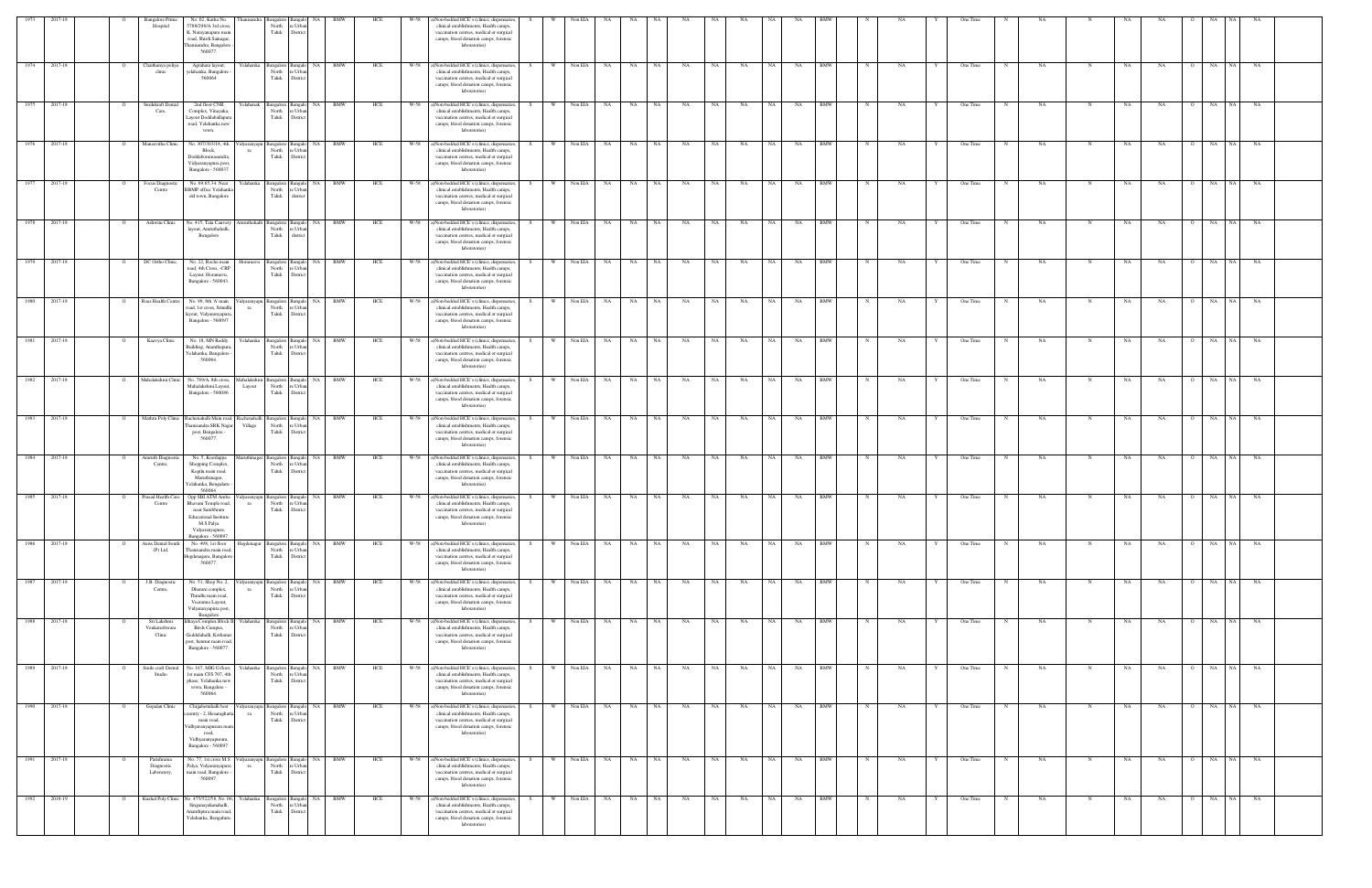|                              |              |                | <b>Bangalore Prime</b><br>Hospital      | No. 02, Katha No.<br>5788/296/A 3rd cross,<br>K. Narayanapura main<br>road, Shirdi Sainagar,<br>hanisandra, Bangalore<br>560077.                 |                   | North<br>Taluk                           | : Urba<br>District                         |                          |     | a)Non-bedded HCE's (clinics, dispensaries,<br>clinical establishments, Health camps,<br>vaccination centres, medical or surgical<br>camps, blood donation camps, forensic<br>laboratories)         |    |          |         |            |           |      |           |      |           |           |           |            |             |    |   |          |            |           |             |           |           |                |             |           |  |
|------------------------------|--------------|----------------|-----------------------------------------|--------------------------------------------------------------------------------------------------------------------------------------------------|-------------------|------------------------------------------|--------------------------------------------|--------------------------|-----|----------------------------------------------------------------------------------------------------------------------------------------------------------------------------------------------------|----|----------|---------|------------|-----------|------|-----------|------|-----------|-----------|-----------|------------|-------------|----|---|----------|------------|-----------|-------------|-----------|-----------|----------------|-------------|-----------|--|
| 1974                         | 2017-18      | $\overline{O}$ | Chaithanya poliya<br>clinic             | Agrahara layout,<br>yelahanka, Bangalore<br>560064                                                                                               | Yelahanka         | Bangalore<br>North<br>Taluk              | Bangalo NA<br>e Urba<br>District           | <b>BMW</b>               | HCE | W-58<br>a)Non-bedded HCE's (clinics, dispensaries,<br>clinical establishments, Health camps,<br>vaccination centres, medical or surgical<br>camps, blood donation camps, forensic<br>laboratories) | S  | W        | Non EIA | NA N       | NA        | NA   | NA        | NA 1 | NA        | NA 1      | NA        | <b>BMW</b> | $\mathbf N$ | NA | Y | One Time | $_{\rm N}$ | NA        | N           | NA        | NA        | $\overline{O}$ | NA 1<br>NA  | <b>NA</b> |  |
|                              | 1975 2017-18 |                | Smilekraft Dental<br>Care,              | 2nd floor CNR<br>Complex, Vinayaka,<br>Layout Doddaballapun<br>road, Yelahanka new<br>town.                                                      | Yelahanak         | Bangalore<br>North<br>Taluk              | : Urb<br>Distric                           | Bangalo NA BMW           | HCE | W-58<br>a)Non-bedded HCE's (clinics, dispensaries,<br>clinical establishments, Health camps,<br>vaccination centres, medical or surgical<br>camps, blood donation camps, forensic<br>laboratories) | S. | <b>W</b> |         | Non EIA NA | NA N      | NA 1 | NA        | NA – | NA        | NA N      | NA        | <b>BMW</b> |             | NA |   | One Time |            | NA        |             | NA        | NA        |                | NA<br>NA 1  | NA        |  |
| 1976                         | 2017-18      | $\circ$        | Manasvitha Clinic.                      | No. 307/303/18, 4th<br>Block,<br>Doddabommasandra,<br>Vidyaranyapura post.<br>Bangalore - 560037                                                 |                   | 'idyaranyapu Bangalore<br>North<br>Taluk | NA<br>saneal<br>e Urba<br>District         | <b>BMW</b>               | HCE | W-58<br>a)Non-bedded HCE's (clinics, dispensaries,<br>clinical establishments, Health camps,<br>vaccination centres, medical or surgical<br>camps, blood donation camps, forensic<br>laboratories) |    | W        | Non EIA | NA         | <b>NA</b> | NA   | NA        | NA   | <b>NA</b> | <b>NA</b> | NA        | <b>BMW</b> |             | NA |   | One Time |            | NA        | N           | NA        | NA        |                | NA  <br>NA  | NA        |  |
| 1977                         | 2017-18      |                | Focus Diagnostic<br>Centre              | No. 69.65.34. Near<br><b>BBMP</b> office Yelahank<br>old town, Bangalore                                                                         | Yelahanka         | Bangalore<br>North<br>Taluk              | NA<br>langalo<br>e Urba<br>distric         | <b>BMW</b>               | HCE | W-58<br>a)Non-bedded HCE's (clinics, dispensaries,<br>clinical establishments, Health camps,<br>vaccination centres, medical or surgical<br>camps, blood donation camps, forensic<br>laboratories) |    |          | Non EIA | NA         | NA        | NA   | NA        | NA   | NA        | NA        | NA        | BMW        |             | NA |   | One Time |            | NA        |             | NΑ        | NA        |                | NA<br>NA.   | NA        |  |
|                              | 1978 2017-18 |                | Ashwini Clinic                          | No. 415, Tala Cauvery<br>layout, Amruthahalli,<br>Bangalore                                                                                      |                   | smruthahalli Bangalore<br>North<br>Taluk | Bangalo NA<br>: Urba<br>listric            | <b>BMW</b>               | HCE | W-58<br>a)Non-bedded HCE's (clinics, dispensaries,<br>clinical establishments, Health camps,<br>vaccination centres, medical or surgical<br>camps, blood donation camps, forensic<br>laboratories) | S. |          | Non EIA | NA         | NA        | NA   | NA        | NA   | NA        | NA        | NA        | <b>BMW</b> |             | NA |   | One Time |            | NA        |             | NA        | NA        |                | NA<br>NA 1  | NA        |  |
| 1979                         | 2017-18      | $\overline{O}$ | DC Ortho Clinic,                        | No. 22, Roche main<br>road, 4th Cross, -CRP<br>Layout, Horamavu,<br>Bangalore - 560043.                                                          | Horamavu          | Bangalore Bangalo<br>North<br>Taluk      | NA<br>e Urbar<br>District                  | <b>BMW</b>               | HCE | W-58<br>a)Non-bedded HCE's (clinics, dispensaries,<br>clinical establishments, Health camps,<br>vaccination centres, medical or surgical<br>camps, blood donation camps, forensic<br>laboratories) |    | W        | Non EIA | NA         | NA        | NA   | NA        | NA   | NA        | <b>NA</b> | NA        | <b>BMW</b> |             | NA |   | One Time |            | <b>NA</b> | N           | NA        | NA        |                | NA<br>NA    | NA        |  |
| 1980                         | 2017-18      | $\Omega$       | Roas Health Centre                      | No. 99, 8th 'A' main<br>road, 1st cross, Srinidhi<br>ayout, Vidyaranyapura,<br>Bangalore - 560097                                                | idyaranyapu<br>ra | Bangalore<br>North<br>Taluk              | Bangalo NA<br>re Urban<br>District         | <b>BMW</b>               | HCE | W-58<br>a)Non-bedded HCE's (clinics, dispensaries,<br>clinical establishments, Health camps,<br>vaccination centres, medical or surgical<br>camps, blood donation camps, forensic<br>laboratories) | S. | W        | Non EIA | NA 1       | NA        | NA   | NA        | NA 1 | NA        | NA 1      | NA        | BMW        | N           | NA |   | One Time | $_{\rm N}$ | NA        |             | NA        | NA        | $\mathbf{O}$   | NA<br>NA 1  | NA        |  |
| $\overline{1981}$            | 2017-18      |                | Kaavya Clinic                           | No. 18, MN Reddy<br>Building, Ananthapur,<br>Yelahanka, Bangalore<br>560064                                                                      |                   | Yelahanka Bangalore<br>North<br>Taluk    | : Urba<br>District                         | Bangalo NA BMW           | HCE | W-58<br>a)Non-bedded HCE's (clinics, dispensaries,<br>clinical establishments, Health camps,<br>vaccination centres, medical or surgical<br>camps, blood donation camps, forensic<br>laboratories) |    | W W      |         | Non EIA NA | NA 1      | NA 1 | NA        | NA   | NA        | NA 1      | NA        | <b>BMW</b> |             | NA |   | One Time |            | NA        |             | NA        | NA        |                | NA<br>NA    | NA        |  |
| 1982                         | 2017-18      | $\Omega$       | Mahalakshmi Clinic                      | No. 789/A, 8th cross,<br>Mahalakshmi Layout,<br>Bangalore - 560086                                                                               | Layout            | Mahalakshmi Bangalore<br>North<br>Taluk  | NA<br>Bangal<br>e Urbar<br>District        | <b>BMW</b>               | HCE | W-58<br>a)Non-bedded HCE's (clinics, dispensaries,<br>clinical establishments, Health camps,<br>vaccination centres, medical or surgical<br>camps, blood donation camps, forensic<br>laboratories) |    | <b>W</b> | Non EIA | NA 1       | NA        | NA 1 | <b>NA</b> | NA 1 | NA        | NA 1      | NA        | <b>BMW</b> |             | NA |   | One Time | $_{\rm N}$ | NA        |             | NA        | NA        |                | NA<br>NA 1  | NA        |  |
| 1983                         | 2017-18      |                |                                         | Mathru Poly Clinic Rachenahalli Main road, Rachenahalli Bangalore<br>hanisandra SRK Nagar<br>post, Bangalore -<br>560077                         | Village           | North<br>Taluk                           | NA<br><b>Bangalo</b><br>e Urba<br>Distric  | BMW                      | HCE | W-58<br>a)Non-bedded HCE's (clinics, dispensaries,<br>clinical establishments, Health camps,<br>vaccination centres, medical or surgical<br>camps, blood donation camps, forensic<br>laboratories) |    | <b>W</b> | Non EIA | NA         | NA        | NA 1 | NA        | NA – | NA        | NA        | NA        | BMW        |             | NA |   | One Time |            | NA        |             | NA        | NA        | $\Omega$       | NA<br>NA 1  | NA        |  |
| 1984                         | 2017-18      |                | mruth Diagno:<br>Centre,                | No. 5, Koorlappa<br>Shopping Complex,<br>Kogilu main road.<br>Maruthinagar,<br>Yelahanka, Bengaluru<br>560064.                                   |                   | Bangalor<br>North<br>Taluk               | : Urb<br>Distri                            | <b>BMW</b>               | HCE | a)Non-bedded HCE's (clinics, dispensaries,<br>clinical establishments, Health camps,<br>vaccination centres, medical or surgical<br>camps, blood donation camps, forensic<br>laboratories)         |    |          | Non EIA | NA         | <b>NA</b> | NA   | NA        | NA – | NA        | NA        | NA        | BMW        |             | NA |   | One Time |            | NA        |             | NA        | NA        |                | NA.<br>NA 1 | NA        |  |
|                              | 1985 2017-18 |                | Prasad Health Care<br>Centre            | Opp SBI ATM Amba<br>Bhavani Temple road,<br>near Sambhram<br><b>Educational Institute</b><br>M.S Palya<br>Vidyaranyapura,<br>Bangalore - 560097. | ra                | idyaranyapu Bangalore<br>North<br>Taluk  | NA<br>e Urba<br>District                   | <b>BMW</b>               | HCE | a)Non-bedded HCE's (clinics, dispensaries,<br>W-58<br>clinical establishments, Health camps,<br>vaccination centres, medical or surgical<br>camps, blood donation camps, forensic<br>laboratories) |    | W        | Non EIA | NA         | NA        | NA   | NA        | NA   | NA        | <b>NA</b> | NA        | <b>BMW</b> |             | NΑ |   | One Time |            | NA        | N           | NA        | NA        | $\Omega$       | NA<br>NA 1  | NA        |  |
|                              | 1986 2017-18 | $\overline{O}$ | Axiss Dental South<br>$(P)$ Ltd,        | No. 498, 1st floor<br>Thanisandra main road<br>Hegdenagara, Bangalore<br>560077.                                                                 | Hegdenagar        | North<br>Taluk                           | e Urban<br>District                        | Bangalore Bangalo NA BMW | HCE | W-58 a)Non-bedded HCE's (clinics, dispensaries,<br>clinical establishments, Health camps,<br>vaccination centres, medical or surgical<br>camps, blood donation camps, forensic<br>laboratories)    | S  | $W =$    | Non EIA | NA 1       | <b>NA</b> | NA   | NA        | NA 1 | <b>NA</b> | NA        | <b>NA</b> | <b>BMW</b> | N           | NA | Y | One Time | N          | NA.       | $_{\rm N}$  | <b>NA</b> | <b>NA</b> |                | O NA NA     | NA        |  |
| 1987                         | 2017-18      |                | J.B. Diagnostic<br>Centre,              | No. 51, Shop No. 2,<br>Dharani complex,<br>Thindlu main road,<br>Veeranna Layout,<br>Vidyaranyapura post.<br>Bangalore                           | idyaranyar<br>ra  | sangalore<br>North<br>Taluk              | Bangalo NA<br>e Urbar<br>District          | BMW                      | HCE | W-58<br>a)Non-bedded HCE's (clinics, dispensaries,<br>clinical establishments, Health camps,<br>vaccination centres, medical or surgical<br>camps, blood donation camps, forensic<br>laboratories) | S. |          |         | Non EIA NA | NA 1      | NA 1 | NA        | NA 1 | NA        | NA 1      | NA .      | BMW        |             | NA |   | One Time |            | NA        |             | NA        | NA        |                | NA<br>NA 1  | NA        |  |
|                              | 1988 2017-18 |                | Sri Lakshmi<br>Venkateshwara<br>Clinic  | Idhaya Complex Block II Yelahanka<br>Birds Campus,<br>Geddalahalli, Kothanur<br>post, hennur main road<br>Bangalore - 560077.                    |                   | Bangalore<br>North<br>Taluk              | NA.<br>Bangalo<br>e Urba<br>District       | <b>BMW</b>               | HCE | W-58 a)Non-bedded HCE's (clinics, dispensaries,<br>clinical establishments, Health camps,<br>vaccination centres, medical or surgical<br>camps, blood donation camps, forensic<br>laboratories)    |    | w ·      | Non EIA | NA N       | NA N      | NA 1 | NA        | NA   | NA        | NA 1      | NA BMW    |            | N           | NA |   | One Time | $_{\rm N}$ | NA        | $\mathbf N$ | NA        | NA        |                | NA NA NA    |           |  |
| 1989                         | 2017-18      | $\Omega$       | Smile craft Dental<br>Studio            | No. 167, MIG G floor,<br>1st main CFS 707, 4th<br>phase, Yelahanka new<br>town, Bangalore -<br>560064.                                           |                   | Yelahanka Bangalore<br>North<br>Taluk    | NA<br><b>Bangalo</b><br>e Urba<br>District | BMW                      | HCE | a)Non-bedded HCE's (clinics, dispensaries,<br>W-58<br>clinical establishments, Health camps,<br>vaccination centres, medical or surgical<br>camps, blood donation camps, forensic<br>laboratories) |    | W        | Non EIA | <b>NA</b>  | NA        | NA 1 | <b>NA</b> | NA 1 | NA        | NA -      | NA        | <b>BMW</b> |             | NA |   | One Time |            | NA        | N           | NA        | NA        | $\circ$        | NA<br>NA    | NA        |  |
| 1990                         | 2017-18      |                | Gopalan Clinic                          | Chijjabettahalli best<br>untry - 2, Hesaraghat<br>main road,<br>Vidhyaranyapuram mair<br>road.<br>Vidhyaranyapuram,<br>Bangalore - 560097.       | ıdvaranyap<br>ra  | Bangalore<br>North<br>Taluk              | <b>NA</b><br>: Urba<br>Distric             | BMW                      | HCE | a)Non-bedded HCE's (clinics, dispensaries,<br>W-58<br>clinical establishments, Health camps,<br>vaccination centres, medical or surgical<br>camps, blood donation camps, forensic<br>laboratories) |    |          | Non EIA | NA         | NA        | NA   | NA        | NA   | NA        | NA        | NA        | BMW        |             | NA |   | One Time |            | NA        |             | NA        | NA        |                | NA.<br>NA 1 | NA        |  |
| 1991                         | 2017-18      |                | Parishrama<br>Diagnostic<br>Laboratory, | No. 77, 1st cross M.S.<br>Palya, Vidyaranyapura<br>main road, Bangalore<br>560097.                                                               | ra                | Vidyaranyapu Bangalore<br>North<br>Taluk | NA<br>Bangalo<br>e Urban<br>District       | <b>BMW</b>               | HCE | W-58<br>a)Non-bedded HCE's (clinics, dispensaries,<br>clinical establishments, Health camps,<br>vaccination centres, medical or surgical<br>camps, blood donation camps, forensic<br>laboratories) |    | <b>W</b> | Non EIA | NA         | NA        | NA   | NA        | NA   | NA        | <b>NA</b> | NA        | <b>BMW</b> |             | NA |   | One Time |            | NA        | N           | NA        | <b>NA</b> | $\Omega$       | NA<br>NA 1  | NA        |  |
| $\boxed{\qquad \qquad 1992}$ | 2018-19      | $\overline{O}$ | Kushal Poly Clinic                      | No. 475/522/58, No. 06,<br>Singanayakanahalli,<br>Ananthpura main road,<br>Yelahanka, Bengaluru.                                                 | Yelahanka         | Bangalore<br>North<br>Taluk              | Bangalo NA<br>e Urbar<br>District          | <b>BMW</b>               | HCE | W-58<br>a)Non-bedded HCE's (clinics, dispensaries,<br>clinical establishments, Health camps,<br>vaccination centres, medical or surgical<br>camps, blood donation camps, forensic<br>laboratories) | S. | W        | Non EIA | <b>NA</b>  | NA        | NA 1 | NA        | NA 1 | <b>NA</b> | NA 1      | NA        | <b>BMW</b> | N           | NA | Y | One Time | N          | NA        | N           | NA        | NA        | $\circ$        | NA NA NA    |           |  |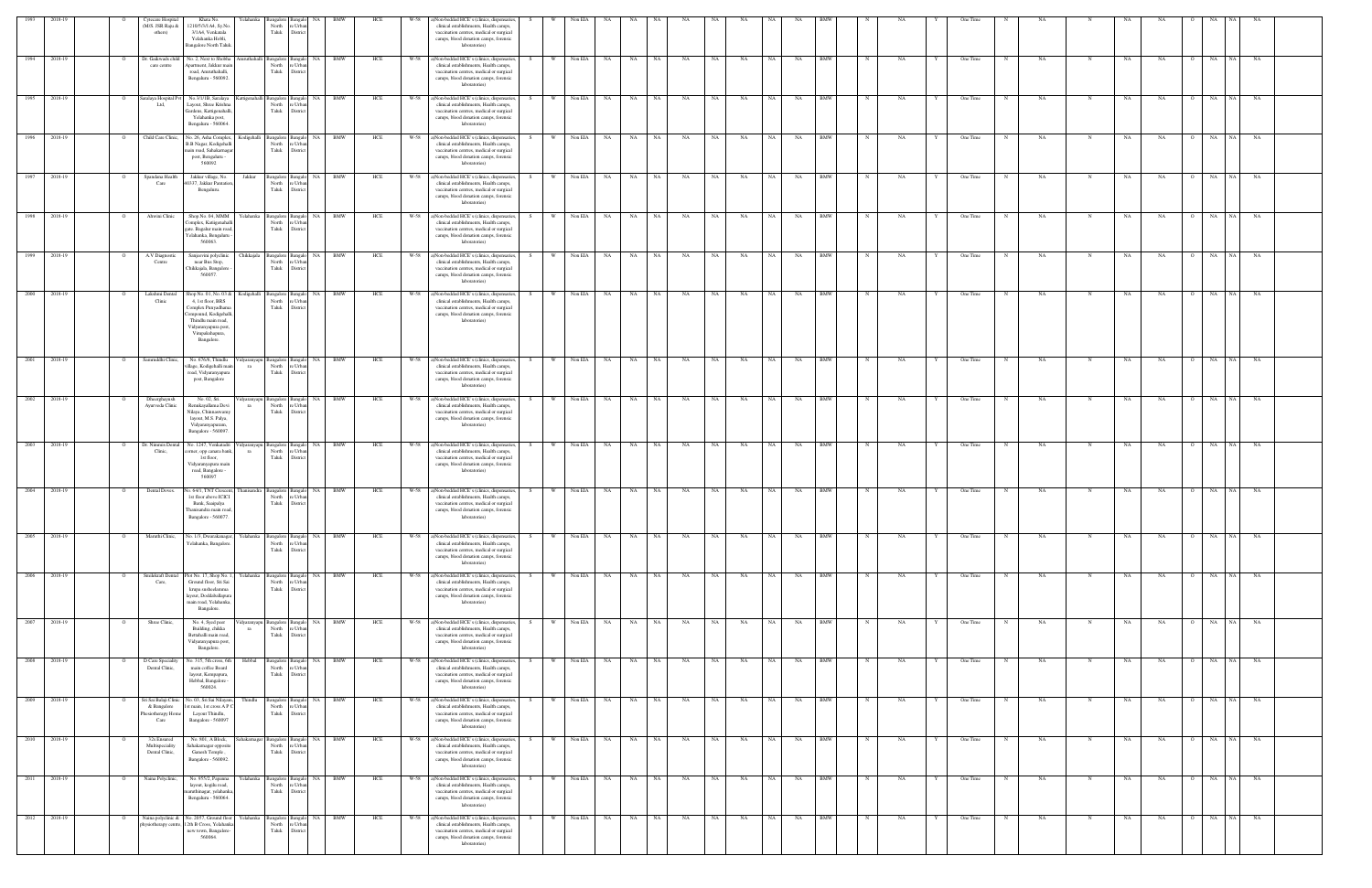| 1993         | 2018-19      | <b>Eytecare Hospita</b><br>(M/S. JSR Raju &<br>others)             | Khata No<br>1210/5/3/1A4, Sy.N<br>3/1 A4, Venkatala<br>Yelahanka Hobli,<br><b>Bangalore North Taluk</b>                                                                 | North<br>Taluk                                                | e Urba<br>District                       |                          | HCE |      | a)Non-bedded HCE's (clinics, dispensaries<br>clinical establishments, Health camps,<br>vaccination centres, medical or surgical<br>camps, blood donation camps, forensic<br>laboratories)       |      |          | Non EIA      |           |           |      |           |           |           |           |           |            |              |    |   | One Time |            |           |             |           |           |                      |           |           |  |
|--------------|--------------|--------------------------------------------------------------------|-------------------------------------------------------------------------------------------------------------------------------------------------------------------------|---------------------------------------------------------------|------------------------------------------|--------------------------|-----|------|-------------------------------------------------------------------------------------------------------------------------------------------------------------------------------------------------|------|----------|--------------|-----------|-----------|------|-----------|-----------|-----------|-----------|-----------|------------|--------------|----|---|----------|------------|-----------|-------------|-----------|-----------|----------------------|-----------|-----------|--|
| 1994 2018-19 |              | Dr. Gaikwads child<br>care centre                                  | No. 2, Next to Shobha<br>Apartment, Jakkur mair<br>road, Amruthahalli,<br>Bengaluru - 560092.                                                                           | Amruthahalli Bangalore Bangalo<br>North<br>Taluk              | e Urban<br>Distric                       | NA 1<br>BMW              | HCE |      | W-58 a)Non-bedded HCE's (clinics, dispensaries<br>clinical establishments, Health camps,<br>vaccination centres, medical or surgical<br>camps, blood donation camps, forensic<br>laboratories)  |      | W        | Non EIA      | <b>NA</b> | <b>NA</b> | NA   | <b>NA</b> | <b>NA</b> | <b>NA</b> | NA 1      | NA        | <b>BMW</b> | $\mathbb{N}$ | NA | Y | One Time | N          | NA.       | $\mathbf N$ | NA        | <b>NA</b> | NA<br>$\circ$        | NA        | NA        |  |
| 1995         | 2018-19      | Saralaya Hospital Pvt<br>Ltd,                                      | No.3/1/1B, Saralaya<br>Layout, Shree Krishna<br>Gardens, Kattigenahalli<br>Yelahanka post,<br>Bengaluru - 560064.                                                       | Cattigenahalli Bangalore<br>North<br>Taluk                    | angalo<br>Urb;<br>Distrio                | NA  <br><b>BMW</b>       | HCE | W-58 | a)Non-bedded HCE's (clinics, dispensaries<br>clinical establishments, Health camps,<br>vaccination centres, medical or surgical<br>camps, blood donation camps, forensic<br>laboratories)       |      | <b>W</b> | Non EIA      | NA        | NA        | NA   | NA        | NA        | NA        | NA        | NA        | <b>BMW</b> |              | NA |   | One Time |            | <b>NA</b> |             | NA        | NA        | NA                   | NA        | NA        |  |
|              | 1996 2018-19 | Child Care Clinic,                                                 | No. 26, Asha Complex,<br>B.B Nagar, Kodigehalli<br>main road, Sahakarnagar<br>post, Bengaluru -<br>560092                                                               | Kodigehalli Bangalore Bangalo<br>North<br>Taluk               | e Urba<br>District                       | NA BMW                   | HCE |      | W-58 a)Non-bedded HCE's (clinics, dispensaries,<br>clinical establishments, Health camps,<br>vaccination centres, medical or surgical<br>camps, blood donation camps, forensic<br>laboratories) |      |          | W Non EIA    | <b>NA</b> | NA N      | NA   | <b>NA</b> | NA        | <b>NA</b> | NA        | NA        | <b>BMW</b> |              | NA |   | One Time | N          | <b>NA</b> |             | NA        | NA        | O NA                 | <b>NA</b> |           |  |
|              | 1997 2018-19 | Spandana Health<br>Care                                            | Jakkur village, No.<br>40337, Jakkur Pantation<br>Bengaluru.                                                                                                            | Jakkur<br>North<br>Taluk                                      | Bangalore Bangalo<br>e Urban<br>District | NA BMW                   | HCE | W-58 | a)Non-bedded HCE's (clinics, dispensaries<br>clinical establishments, Health camps,<br>vaccination centres, medical or surgical<br>camps, blood donation camps, forensic<br>laboratories)       |      | W        | Non EIA      | NA        | NA        | NA   | NA        | NA        | NA        | NA 1      | NA        | <b>BMW</b> |              | NA |   | One Time |            | <b>NA</b> |             | NA        | NA        | O NA                 | NA        |           |  |
| 1998         | 2018-19      | Ahwini Clinic                                                      | Shop.No. 04, MMM<br>Complex, Katiigenahall<br>gate. Bagalur main road,<br>Yelahanka, Bengaluru<br>560063.                                                               | Yelahanka Bangalore Bangalo<br>North<br>Taluk                 | e Urba<br>District                       | NA  <br><b>BMW</b>       | HCE | W-58 | a)Non-bedded HCE's (clinics, dispensaries<br>clinical establishments, Health camps,<br>vaccination centres, medical or surgical<br>camps, blood donation camps, forensic<br>laboratories)       |      | W        | Non EIA      | <b>NA</b> | NA        | NA   | NA        | NA        | NA        | NA        | NA        | <b>BMW</b> |              | NA |   | One Time |            | <b>NA</b> | N           | NA        | NA        | NA<br>$\circ$        | NA        | NA        |  |
|              | 1999 2018-19 | A.V Diagnostic<br>Centre                                           | Sanjeevini polyclinic<br>near Bus Stop,<br>Chikkajala, Bangalore<br>560057.                                                                                             | Chikkajala<br>Bangalore<br>North<br>Taluk                     | 3angalo<br>e Urba<br>District            | NA 1<br><b>BMW</b>       | HCE |      | W-58 a)Non-bedded HCE's (clinics, dispensaries<br>clinical establishments, Health camps,<br>vaccination centres, medical or surgical<br>camps, blood donation camps, forensic<br>laboratories)  |      | w I      | Non EIA      | <b>NA</b> | NA 1      | NA   | NA        | NA        | NA        | <b>NA</b> | NA        | <b>BMW</b> |              | NA |   | One Time |            | NA        |             | NA        | NA        | NA                   | NA.       | NA        |  |
| 2000 2018-19 |              | Lakshmi Dental<br>Clinic                                           | Shop No. 01, No. 03 &<br>4, 1st floor, BRS<br>Complex Punyadham<br>ompound, Kodigehalli,<br>Thindlu main road,<br>Vidyaranyapura post,<br>Virupakshapura,<br>Bangalore. | Kodigehalli<br>North<br>Taluk                                 | Bangalore Bangalo<br>e Urban<br>District | <b>BMW</b><br><b>NA</b>  | HCE | W-58 | a)Non-bedded HCE's (clinics, dispensaries<br>clinical establishments, Health camps,<br>vaccination centres, medical or surgical<br>camps, blood donation camps, forensic<br>laboratories)       |      |          | Non EIA      | NA        | <b>NA</b> | NA   | NA        | NA        | NA        | <b>NA</b> | NA        | <b>BMW</b> |              | NA |   | One Time |            | NA        |             | <b>NA</b> | NA        | NA                   | NA        | NA        |  |
| 2001         | 2018-19      | Samruddhi Clinic,                                                  | No. 676/6, Thindlu<br>illage, Kodigehalli mai<br>road, Vidyaranyapura<br>post, Bangalore                                                                                | 'idyaranyapu Bangalore<br>North<br>ra<br>Taluk                | angalo<br>e Urba<br>District             | NA 1<br>BMW              | HCE | W-58 | a)Non-bedded HCE's (clinics, dispensaries<br>clinical establishments, Health camps,<br>vaccination centres, medical or surgical<br>camps, blood donation camps, forensic<br>laboratories)       |      |          | Non EIA      | NA        | NA<br>NA  |      | NA        | NA        | NA        |           | NA        | BMW        |              | NA |   | One Time |            | NA        |             | NA        | NA        | NA                   | NA        | NA        |  |
|              | 2002 2018-19 | Dheerghayush<br>Ayurveda Clinic                                    | No. 02, Sri.<br>Renukayallama Devi<br>Nilaya, Chinnaswamy<br>layout, M.S. Palya,<br>Vidyaranyapuram,<br>Bangalore - 560097.                                             | 'idyaranyapu Bangalore Bangalo<br>North<br>ra<br>Taluk        | : Urban<br>District                      | NA<br><b>BMW</b>         | HCE | W-58 | a)Non-bedded HCE's (clinics, dispensaries<br>clinical establishments, Health camps,<br>vaccination centres, medical or surgical<br>camps, blood donation camps, forensic<br>laboratories)       |      | <b>W</b> | Non EIA      | NA        | NA        | NA   | NA        | <b>NA</b> | NA        | <b>NA</b> | NA        | <b>BMW</b> |              | NA |   | One Time |            | NA        |             | NA        | NA        | O NA                 | NA        | NA        |  |
|              | 2003 2018-19 | Dr. Nimmis Dental<br>Clinic,                                       | No. 1247, Venkatadri<br>corner, opp canara bank,<br>1st floor,<br>Vidyaranyapura main<br>road, Bangalore -<br>560097                                                    | idyaranyapu Bangalore Bangalo NA BMW<br>North<br>ra<br>Taluk  | e Urban<br>District                      |                          | HCE |      | W-58 a)Non-bedded HCE's (clinics, dispensaries<br>clinical establishments, Health camps,<br>vaccination centres, medical or surgical<br>camps, blood donation camps, forensic<br>laboratories)  | -S - | - W - I  | Non EIA      | NA 1      | NA 11     | NA . | NA        | NA        | <b>NA</b> | NA 1      | NA        | BMW        | N            | NA |   | One Time | N          | NA        |             | NA        | NA        | O NA                 | <b>NA</b> | NA        |  |
| 2004 2018-19 |              | Dental Doves.                                                      | lo. 64/1, TNT Crescen<br>1 st floor above ICICI<br>Bank, Saaipalya<br>Thanisandra main road,<br>Bangalore - 560077.                                                     | sangalore<br>North<br>Taluk                                   | <b>Bangak</b><br>Urb;<br>Distric         | NA<br>BMW                | HCE |      | W-58 a)Non-bedded HCE's (clinics, dispensaries<br>clinical establishments, Health camps,<br>vaccination centres, medical or surgical<br>camps, blood donation camps, forensic<br>laboratories)  |      | W        | Non EIA      | <b>NA</b> | NA        | NA   | NA        | NA        | NA        | NA        | NA        | BMW        |              | NΑ |   | One Time |            | NA        |             | NA        | NA        | NA                   | <b>NA</b> | NA        |  |
| 2005 2018-19 |              | Maruthi Clinic,                                                    | No. 1/3, Dwarakanagar,<br>Yelahanka, Bangalore                                                                                                                          | Yelahanka Bangalore Bangalo<br>North                          | re Urban<br>Taluk District               | NA BMW                   | HCE |      | W-58 a)Non-bedded HCE's (clinics, dispensaries<br>clinical establishments, Health camps,<br>vaccination centres, medical or surgical<br>camps, blood donation camps, forensic<br>laboratories)  |      | <b>W</b> | Non EIA      | NA        | NA 1      | NA   | NA        | NA        | NA        | NA 1      | NA        | <b>BMW</b> | N            | NA |   | One Time | $_{\rm N}$ | NA        | $_{\rm N}$  | NA        | NA        | O NA NA              |           | NA        |  |
|              | 2006 2018-19 | Smilekraft Dental<br>Care,                                         | Plot No. 17, Shop No. 1,<br>Ground floor, Sri Sai<br>krupa susheelamma<br>layout, Doddaballapun<br>main road, Yelahanka<br>Bangalore.                                   | Yelahanka Bangalore Bangalo NA<br>North<br>Taluk              | Urban<br>District                        | <b>BMW</b>               | HCE | W-58 | a)Non-bedded HCE's (clinics, dispensaries<br>clinical establishments, Health camps,<br>vaccination centres, medical or surgical<br>camps, blood donation camps, forensic<br>laboratories)       |      |          | Non EIA      | NA        | NA        | NA   | NA        | NA        | NA        | NA 1      | <b>NA</b> | <b>BMW</b> | $\mathbb{N}$ | NA | Y | One Time | N          | NA        | N           | NA        | <b>NA</b> | <b>NA</b><br>$\circ$ | NA.       | NA        |  |
| 2007 2018-19 |              | Shree Clinic,                                                      | No. 4, Syed peer<br>Building, chikka<br>Bettahalli main road,<br>Vidyaranyapura post,<br>Bangalore.                                                                     | Vidyaranyapu Bangalore Bangalo NA BMW<br>North<br>ra<br>Taluk | e Urba<br>District                       |                          | HCE |      | W-58 a)Non-bedded HCE's (clinics, dispensaries<br>clinical establishments, Health camps,<br>vaccination centres, medical or surgical<br>camps, blood donation camps, forensic<br>laboratories)  |      |          | W Non EIA NA |           | NA NA     |      | NA        | NA        | NA        | NA N      | NA BMW    |            |              | NA |   | One Time | N          | NA        | $_{\rm N}$  | <b>NA</b> | <b>NA</b> | O NA NA              |           | <b>NA</b> |  |
| 2008 2018-19 |              | D Care Speciality<br>Dental Clinic,                                | No. 315, 5th cross, 6th<br>main coffee Board<br>layout, Kempapura,<br>Hebbal, Bangalore -<br>560024.                                                                    | Hebbal<br>North<br>Taluk                                      | Bangalore Bangalo<br>e Urban<br>District | NA BMW                   | HCE | W-58 | a)Non-bedded HCE's (clinics, dispensaries<br>clinical establishments, Health camps,<br>vaccination centres, medical or surgical<br>camps, blood donation camps, forensic<br>laboratories)       |      | <b>W</b> | Non EIA      | NA        | NA        | NA   | NA        | NA        | NA        | NA        | NA        | <b>BMW</b> |              | NA |   | One Time |            | NA        | $_{\rm N}$  | NA        | <b>NA</b> | O NA                 | NA        | NA        |  |
| 2009 2018-19 |              | Sri Sai Balaji Clinic<br>& Bangalore<br>Phesiotherapy Home<br>Care | No. 03, Sri Sai Nilayam,<br>st main, 1st cross AP C<br>Layout Thindlu,<br>Bangalore - 560097                                                                            | Thindlu<br>North<br>Taluk                                     | e Urban<br>District                      | Bangalore Bangalo NA BMW | HCE |      | W-58 a)Non-bedded HCE's (clinics, dispensaries<br>clinical establishments, Health camps,<br>vaccination centres, medical or surgical<br>camps, blood donation camps, forensic<br>laboratories)  | S.   | W I      | Non EIA      | NA        | NA 1      | NA   | NA        | <b>NA</b> | NA        | NA 1      | NA        | <b>BMW</b> | $_{\rm N}$   | NA | Y | One Time | N          | <b>NA</b> | N           | NA        | NA        | O NA NA              |           | NA        |  |
| 2010 2018-19 |              | 32s Ensured<br>Multispeciality<br>Dental Clinic,                   | No. 801, A Block,<br>Sahakarnagar opposit<br>Ganesh Temple,<br>Bangalore - 560092.                                                                                      | ahakarnagar<br>North<br>Taluk                                 | e Urba<br>District                       | Bangalore Bangalo NA BMW | HCE |      | W-58 a)Non-bedded HCE's (clinics, dispensaries<br>clinical establishments, Health camps,<br>vaccination centres, medical or surgical<br>camps, blood donation camps, forensic<br>laboratories)  |      | W        | Non EIA NA   |           | NA NA     |      | NA        | <b>NA</b> | NA        | NA N      | NA        | <b>BMW</b> |              | NA |   | One Time |            | NA        |             | NA        | NA        | O NA NA              |           | <b>NA</b> |  |
| 2011 2018-19 |              | Naina Polyclinic,                                                  | No. 955/2, Papanna<br>layout, kogilu road,<br>maruthinagar, yelahanka<br>Bengaluru - 560064.                                                                            | Yelahanka<br>North<br>Taluk                                   | Bangalore Bangalo<br>e Urban<br>District | NA BMW                   | HCE |      | W-58 a)Non-bedded HCE's (clinics, dispensaries<br>clinical establishments, Health camps,<br>vaccination centres, medical or surgical<br>camps, blood donation camps, forensic<br>laboratories)  |      | W        | Non EIA      | <b>NA</b> | NA        | NA   | NA        | NA        | NA        | NA        | NA        | <b>BMW</b> | $_{\rm N}$   | NA |   | One Time |            | <b>NA</b> | $_{\rm N}$  | NA        | NA        | O NA NA              |           | NA        |  |
| 2012 2018-19 |              | Naina polyclinic &                                                 | No. 2057, Ground floor<br>hysiotherapy centre, 12th B Cross, Yelahanka<br>new town, Bangalore-<br>560064.                                                               | Bangalore<br>∕ elahanka<br>North<br>Taluk                     | angalo<br>e Urban<br>District            | NA<br>BMW                | HCE | W-58 | a)Non-bedded HCE's (clinics, dispensaries<br>clinical establishments, Health camps,<br>vaccination centres, medical or surgical<br>camps, blood donation camps, forensic<br>laboratories)       |      |          | Non EIA      | NA        | NA        | NA   | NA        | NA        | NA        | NA        | NA        | BMW        |              | NA |   | One Time |            | NA        |             | NA        | NA        | NA                   | NA        | NA        |  |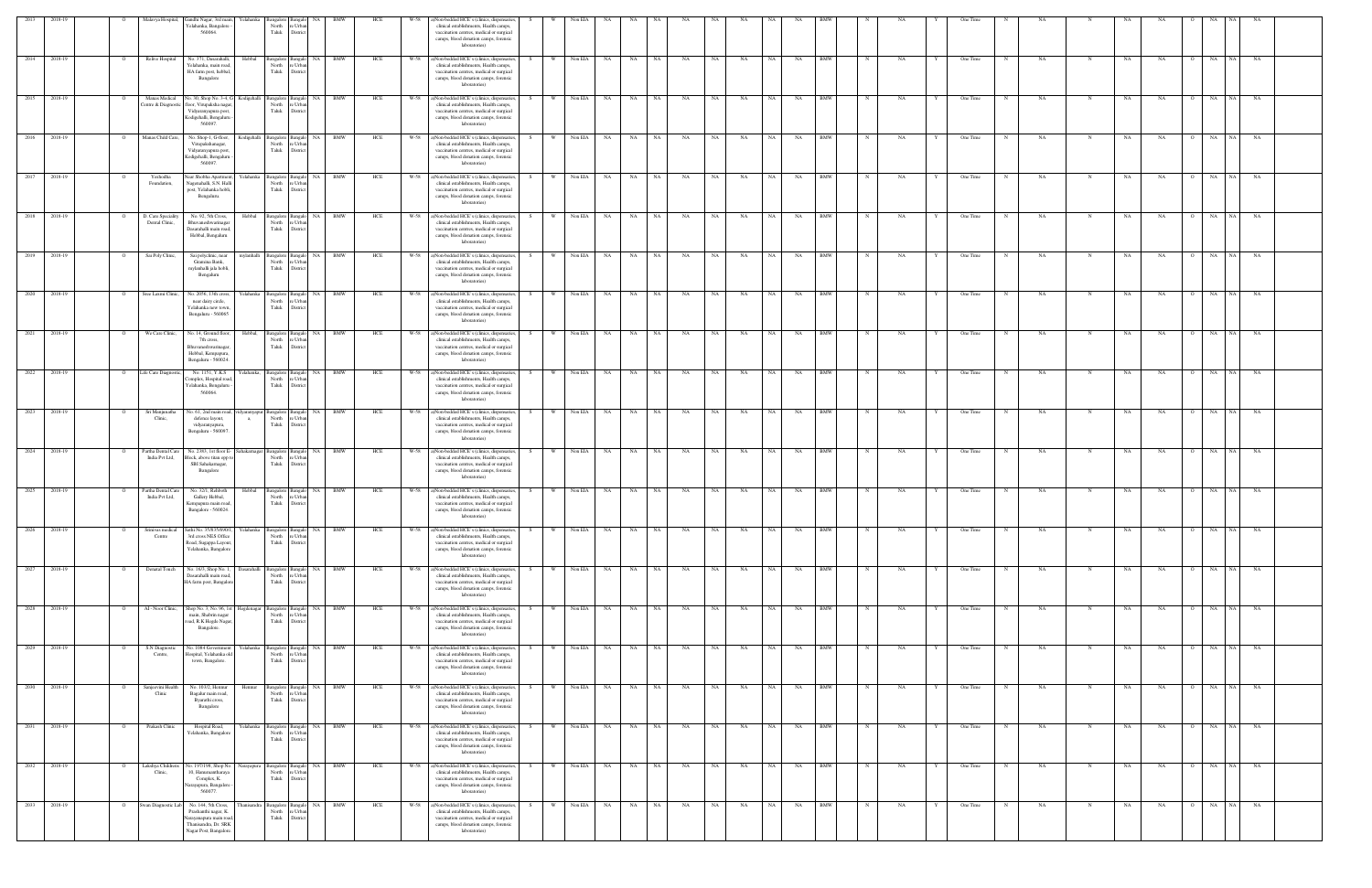| 2013         | 2018-19      |                | Malavya Hospital,                    | Gandhi Nagar, 3rd main,                                                                                                                                            | Yelahanka                      | Bangalore Bangalo                             | <b>NA</b>                                        | <b>BMW</b> | HCE | W-58 | ()Non-bedded HCE's (clinics, dispensaries,                                                                                                                                                      |    |              | Non EIA    |                        |               |           |           |           |           |           |            |             |           |              | One Time |             |           |             |           |           |                             |          |           |  |
|--------------|--------------|----------------|--------------------------------------|--------------------------------------------------------------------------------------------------------------------------------------------------------------------|--------------------------------|-----------------------------------------------|--------------------------------------------------|------------|-----|------|-------------------------------------------------------------------------------------------------------------------------------------------------------------------------------------------------|----|--------------|------------|------------------------|---------------|-----------|-----------|-----------|-----------|-----------|------------|-------------|-----------|--------------|----------|-------------|-----------|-------------|-----------|-----------|-----------------------------|----------|-----------|--|
|              |              |                |                                      | 'elahanka, Bangalore<br>560064.                                                                                                                                    |                                | North<br>Taluk                                | e Urba<br>Distric                                |            |     |      | clinical establishments, Health camps,<br>vaccination centres, medical or surgical<br>camps, blood donation camps, forensic<br>laboratories)                                                    |    |              |            |                        |               |           |           |           |           |           |            |             |           |              |          |             |           |             |           |           |                             |          |           |  |
|              | 2014 2018-19 |                | Relive Hospital                      | No. 371, Dasarahalli,<br>Yelahanka, main road<br>HA farm post, hebbal,<br>Bangalore                                                                                | Hebbal                         | North<br>Taluk                                | Bangalore Bangalo NA BMW<br>re Urba<br>District  |            | HCE |      | W-58 a)Non-bedded HCE's (clinics, dispensaries,<br>clinical establishments, Health camps,<br>vaccination centres, medical or surgical<br>camps, blood donation camps, forensic<br>laboratories) |    | W Non EIA NA |            |                        | NA NA         | NA        | NA        | NA        | NA        | <b>NA</b> | <b>BMW</b> | N           | <b>NA</b> | Y            | One Time |             | NA        | N           | NA.       | NA        | $\Omega$                    | NA NA NA |           |  |
|              | 2015 2018-19 |                | Manas Medical                        | No. 30, Shop No. 3-4, G Kodigehalli Bangalore Bangalo<br>Centre & Diagnostic floor, Virupaksha nagar.<br>Vidyaranyapura post,<br>Kodigehalli, Bengaluru<br>560097. |                                | North re Urbar<br>Taluk                       | District                                         | NA BMW     | HCE | W-58 | a)Non-bedded HCE's (clinics, dispensaries,<br>clinical establishments, Health camps,<br>vaccination centres, medical or surgical<br>camps, blood donation camps, forensic<br>laboratories)      |    | W            | Non EIA    | NA<br><b>NA</b>        | NA            | NA        | NA        | NA        | NA        | NA        | <b>BMW</b> |             | NA        |              | One Time |             | <b>NA</b> |             | NA        | NA        | <b>NA</b><br>$\overline{O}$ | NA 1     | NA        |  |
| 2016         | 2018-19      |                | Manas Child Care,                    | No. Shop-1, G-floor,<br>Virupakshanagar,<br>Vidyaranyapura post,<br>Kodigehalli, Bengaluru<br>560097                                                               | Kodigehalli                    | North<br>Taluk                                | Bangalore Bangalo NA BMW<br>re Urbar<br>District |            | HCE | W-58 | a)Non-bedded HCE's (clinics, dispensaries<br>clinical establishments, Health camps,<br>vaccination centres, medical or surgical<br>camps, blood donation camps, forensic<br>laboratories)       | S. | W            | Non EIA    | NA<br>NA               | NA            | NA        | NA        | NA        | NA        | NA        | <b>BMW</b> | N           | NA        |              | One Time | N           | <b>NA</b> | N           | NA        | NA        | NA<br>$\circ$               | NA 1     | NA        |  |
|              | 2017 2018-19 |                | Yeshodha<br>Foundation,              | Near Shobha Apartment,<br>Vagenahalli, S.N. Hall<br>post, Yelahanka hobli,<br>Bengaluru.                                                                           | Yelahanka Bangalore Bangalo    | North<br>Taluk                                | re Urbar<br>District                             | NA BMW     | HCE |      | W-58 a)Non-bedded HCE's (clinics, dispensaries,<br>clinical establishments, Health camps,<br>vaccination centres, medical or surgical<br>camps, blood donation camps, forensic<br>laboratories) |    | W Non EIA NA |            |                        | NA NA         | <b>NA</b> | NA        | <b>NA</b> | NA 1      | NA        | <b>BMW</b> |             | NA        |              | One Time | N           | NA        | N           | NA        | NA        | $\Omega$                    | NA NA NA |           |  |
| 2018         | 2018-19      |                | D. Care Speciality<br>Dental Clinic, | No. 92, 5th Cross,<br>Bhuvaneshwarinagar<br>Dasarahalli main road,<br>Hebbal, Bengaluru                                                                            | Hebbal                         | Bangalore Bangak<br>North<br>Taluk            | NA<br>re Urbar<br>District                       | <b>BMW</b> | HCE | W-58 | a)Non-bedded HCE's (clinics, dispensaries<br>clinical establishments, Health camps,<br>vaccination centres, medical or surgical<br>camps, blood donation camps, forensic<br>laboratories)       |    |              | Non EIA    | NA<br>NA               | NA            | NA        | NA        | NA        | NA        | NA        | BMW        |             | NA        |              | One Time |             | NA        |             | NA        | NA        | NA<br>$\circ$               | NA 1     | NA        |  |
| 2019         | 2018-19      |                | Sai Poly Clinic,                     | Sai polyclinic, near<br>Gramina Bank,<br>mylanhalli jala hobli,<br>Bengaluru                                                                                       | nvlanhalli                     | Bangalore<br>North<br>Taluk                   | Bangal<br>NA<br>re Urba<br>District              | BMW        | HCE | W-58 | a)Non-bedded HCE's (clinics, dispensaries<br>clinical establishments, Health camps,<br>vaccination centres, medical or surgical<br>camps, blood donation camps, forensic<br>laboratories)       |    |              | Non EIA    | NA<br>NA               | NA            | NA        | NA        | NA        | <b>NA</b> | NA        | <b>BMW</b> |             | NA        |              | One Time |             | NA        |             | NA        | NA        | NA                          |          | NA        |  |
| 2020 2018-19 |              |                | Sree Laxmi Clinic,                   | No. 2056, 13th cross,<br>near dairy circle.<br>Yelahanka new town,<br>Bengaluru - 560065                                                                           |                                | Yelahanka Bangalore Bangalo<br>North<br>Taluk | e Urba<br>District                               | NA BMW     | HCE |      | W-58 a)Non-bedded HCE's (clinics, dispensaries,<br>clinical establishments, Health camps,<br>vaccination centres, medical or surgical<br>camps, blood donation camps, forensic<br>laboratories) |    | W Non EIA NA |            |                        | NA NA         | NA        | NA        | <b>NA</b> | NA I      | <b>NA</b> | <b>BMW</b> |             | NA        |              | One Time |             | NA        | N           | NA        | NA        | O NA NA NA                  |          |           |  |
| 2021         | 2018-19      |                | We Care Clinic,                      | No. 14, Ground floor<br>7th cross,<br>Bhuvaneshwarinagar,<br>Hebbal, Kempapura,<br>Bengaluru - 560024.                                                             | Hebbal.                        | angalore Bangalo<br>North<br>Taluk            | NA<br>re Urba<br>District                        | BMW        | HCE | W-58 | a)Non-bedded HCE's (clinics, dispensaries<br>clinical establishments, Health camps,<br>vaccination centres, medical or surgical<br>camps, blood donation camps, forensic<br>laboratories)       |    |              | Non EIA    | NA<br>NA.              | NA            | NA        | <b>NA</b> | NA        |           | NA        | <b>BMW</b> |             | NA        |              | One Time |             | NA        |             | <b>NA</b> | NA        | NA                          | NA.      | NA        |  |
|              | 2022 2018-19 | $\overline{O}$ | Life Care Diagnostic,                | No. 1151, Y.K.S<br>omplex, Hospital road<br>relahanka, Bengaluru<br>560064.                                                                                        | Yelahanka,                     | North<br>Taluk                                | Bangalore Bangalo NA BMW<br>re Urba<br>District  |            | HCE | W-58 | a)Non-bedded HCE's (clinics, dispensaries,<br>clinical establishments, Health camps,<br>vaccination centres, medical or surgical<br>camps, blood donation camps, forensic<br>laboratories)      | S. | w I          | Non EIA    | <b>NA</b><br>NA 1      | NA .          | NA        | <b>NA</b> | NA        | NA 1      | NA        | <b>BMW</b> | $_{\rm N}$  | NA        | Y            | One Time | N           | NA .      | N           | NA        | NA.       | $\overline{O}$              | NA NA NA |           |  |
| 2023 2018-19 |              |                | Sri Manjunatha<br>Clinic.            | No. 61, 2nd main road, vidyaranyapur Bangalore Bangalo NA BMW<br>defence layout,<br>vidyaranyapura,<br>Bengaluru - 560097.                                         | a,                             | North<br>Taluk                                | e Urba<br>District                               |            | HCE |      | W-58 a)Non-bedded HCE's (clinics, dispensaries,<br>clinical establishments, Health camps,<br>vaccination centres, medical or surgical<br>camps, blood donation camps, forensic<br>laboratories) | S. |              |            | W Non EIA NA NA NA     |               | <b>NA</b> | <b>NA</b> | <b>NA</b> | NA N      | NA        | <b>BMW</b> | $\mathbf N$ | NA        | Y            | One Time | N           | NA.       | N           | NA        | NA        | O NA NA NA                  |          |           |  |
| 2024 2018-19 |              |                | Partha Dental Care<br>India Pvt Ltd, | No. 2383, 1st floor E-<br>Block, above titan opp<br>SBI Sahakarnagar,<br>Bangalore                                                                                 | Sahakarnagar Bangalore Bangalo | North<br>Taluk                                | re Urba<br>District                              | NA BMW     | HCE |      | W-58 a)Non-bedded HCE's (clinics, dispensaries<br>clinical establishments, Health camps,<br>vaccination centres, medical or surgical<br>camps, blood donation camps, forensic<br>laboratories)  |    | <b>W</b>     | Non EIA    | <b>NA</b><br>NA        | NA            | NA        | NA        | NA        | NA        | NA        | <b>BMW</b> |             | NA        |              | One Time | $\mathbf N$ | NA        | N           | NA        | <b>NA</b> | NA<br>$\Omega$              | NA       | <b>NA</b> |  |
|              | 2025 2018-19 |                | Partha Dental Care<br>India Pvt Ltd, | No. 32/1, Rehboth<br>Gallery Hebbal,<br>Kempapura main road,<br>Bangalore - 560024.                                                                                | Hebbal                         | Bangalore Bangalo<br>North<br>Taluk           | NA 1<br>re Urba<br>Distric                       | <b>BMW</b> | HCE | W-58 | a)Non-bedded HCE's (clinics, dispensaries<br>clinical establishments, Health camps,<br>vaccination centres, medical or surgical<br>camps, blood donation camps, forensic<br>laboratories        |    | W            | Non EIA    | NA<br>NA               | NA            | NA        | NA        | NA        | NA        | NA        | BMW        |             | NA        |              | One Time |             | NA        |             | NA        | NA        | $\overline{O}$<br>NA        | NA 1     | NA        |  |
| 2026         | 2018-19      |                | Srinivas medical<br>Centre           | Sathi No. 35/835/690/1,<br>3rd cross NES Office<br>Road, Sugappa Layout<br>Yelahanka, Bangalore                                                                    | Yelahanka                      | Bangalore Bangalo<br>North<br>Taluk           | NA 1<br>e Urba<br>District                       | <b>BMW</b> | HCE | W-58 | a)Non-bedded HCE's (clinics, dispensaries,<br>clinical establishments, Health camps,<br>vaccination centres, medical or surgical<br>camps, blood donation camps, forensic<br>laboratories)      |    |              | Non EIA    | NA<br>NA               | NA            | NA        | NA        | NA        |           | NA        | BMW        |             | NA        |              | One Time |             | NA        |             | NA        | NA        | NA                          |          | NA        |  |
|              | 2027 2018-19 |                | Denatal Touch                        | No. 16/3, Shop No. 1.<br>Dasarahalli main road<br>HA farm post, Bangalor                                                                                           | Dasarahalli                    | Bangalore Bangalo<br>North<br>Taluk           | re Urbar<br>District                             | NA BMW     | HCE | W-58 | a)Non-bedded HCE's (clinics, dispensaries<br>clinical establishments, Health camps,<br>vaccination centres, medical or surgical<br>camps, blood donation camps, forensic<br>laboratories)       |    | <b>W</b>     | Non EIA    | NA<br><b>NA</b>        | NA            | NA        | NA        | NA        | NA        | NA        | <b>BMW</b> |             | NA        |              | One Time |             | <b>NA</b> | N           | NA        | <b>NA</b> | NA<br>$\overline{O}$        | NA NA    |           |  |
|              | 2028 2018-19 |                | AI - Noor Clinic,                    | Shop No. 3, No. 96, 1st<br>main, Shabrin nagar<br>oad, R.K Hegde Nagar,<br>Bangalore.                                                                              | Hegdenagar                     | North re Urbar<br>Taluk                       | Bangalore Bangalo NA BMW<br>District             |            | HCE | W-58 | a)Non-bedded HCE's (clinics, dispensaries<br>clinical establishments, Health camps,<br>vaccination centres, medical or surgical<br>camps, blood donation camps, forensic<br>laboratories)       | S. | - W          | Non EIA NA |                        | NA NA         | NA        | NA        | NA.       | NA 1      | NA .      | <b>BMW</b> | N           | NA        | Y            | One Time | N           | NA        | N           | NA        | NA        | $\overline{O}$              | NA NA NA |           |  |
| 2029 2018-19 |              |                | S.N Diagnostic<br>Centre,            | No. 1084 Government<br>Hospital, Yelahanka ol<br>town, Bangalore.                                                                                                  | Yelahanka                      | North<br>Taluk                                | Bangalore Bangalo NA BMW<br>re Urba<br>District  |            | HCE | W-58 | a)Non-bedded HCE's (clinics, dispensaries,<br>clinical establishments, Health camps,<br>vaccination centres, medical or surgical<br>camps, blood donation camps, forensic<br>laboratories)      | S. | <b>W</b>     | Non EIA NA |                        | NA NA         | NA        | NA        | NA        | NA N      | NA        | <b>BMW</b> | N           | NA        | $\mathbf{Y}$ | One Time | N           | NA        | N           | NA        | NA        | $\overline{O}$              | NA NA NA |           |  |
| 2030 2018-19 |              |                | Sanjeevini Health<br>Clinic          | No. 103/2, Hennur<br>Bagalur main road,<br>Byarathi cross,<br>Bangalore                                                                                            | Hennur                         | North<br>Taluk                                | angalore Bangalo<br>re Urbar<br>District         | NA BMW     | HCE |      | W-58 a)Non-bedded HCE's (clinics, dispensaries,<br>clinical establishments, Health camps,<br>vaccination centres, medical or surgical<br>camps, blood donation camps, forensic<br>laboratories) |    | - William    | Non EIA NA |                        | NA NA         | <b>NA</b> | NA        | NA        | NA        | NA 1      | BMW        | N           | NA        |              | One Time | N           | NA        | N           | NA        | NA        | $\circ$                     | NA NA NA |           |  |
|              | 2031 2018-19 |                | Prakash Clinic                       | Hospital Road,<br>Yelahanka, Bangalore                                                                                                                             |                                | North re Urban<br>Taluk                       | Yelahanka Bangalore Bangalo NA BMW<br>District   |            | HCE | W-58 | a)Non-bedded HCE's (clinics, dispensaries,<br>clinical establishments, Health camps,<br>vaccination centres, medical or surgical<br>camps, blood donation camps, forensic<br>laboratories)      |    | <b>W</b>     | Non EIA    | <b>NA</b><br><b>NA</b> | NA            | NA        | <b>NA</b> | NA        | NA        | NA        | <b>BMW</b> | $\mathbf N$ | NA        | Y            | One Time | N           | NA.       | N           | NA        | <b>NA</b> | NA<br>$\overline{O}$        | NA       | NA        |  |
|              | 2032 2018-19 |                | Lakshya Childrens<br>Clinic,         | No. 197/198, Shop No.<br>10, Hanumantharaya<br>Complex, K.<br>arayapura, Bangalore<br>560077                                                                       | Narayapura                     | Bangalore Bangalo<br>North<br>Taluk           | e Urba<br>District                               | NA BMW     | HCE | W-58 | a)Non-bedded HCE's (clinics, dispensaries,<br>clinical establishments, Health camps,<br>vaccination centres, medical or surgical<br>camps, blood donation camps, forensic<br>laboratories)      |    |              | Non EIA    | NA<br><b>NA</b>        | NA            | NA        | NA        | NA        | NA        | NA        | <b>BMW</b> |             | NA        |              | One Time |             | NA        |             | NA        | NA        | NA<br>$\circ$               | NA 1     | NA        |  |
|              | 2033 2018-19 |                | Swan Diagnostic Lab                  | No. 144, 5th Cross,<br>Prashanthi nagar, K.<br>Jarayanapura main road<br>Thanisandra, Dr. SRK<br>Vagar Post, Bangalore                                             | hanisandra                     | North<br>Taluk                                | Bangalore Bangalo<br>re Urbar<br>District        | NA BMW     | HCE | W-58 | a)Non-bedded HCE's (clinics, dispensaries,<br>clinical establishments, Health camps,<br>vaccination centres, medical or surgical<br>camps, blood donation camps, forensic<br>laboratories)      |    | W.           | Non EIA    | NA NA<br>NA            | $\mathbf{NA}$ | NA        | NA        | NA        | NA 1      | NA        | <b>BMW</b> | $\mathbf N$ | NA        | Y            | One Time | N           | NA        | $\mathbf N$ | NA        | <b>NA</b> | NA<br>$\overline{O}$        | NA NA    |           |  |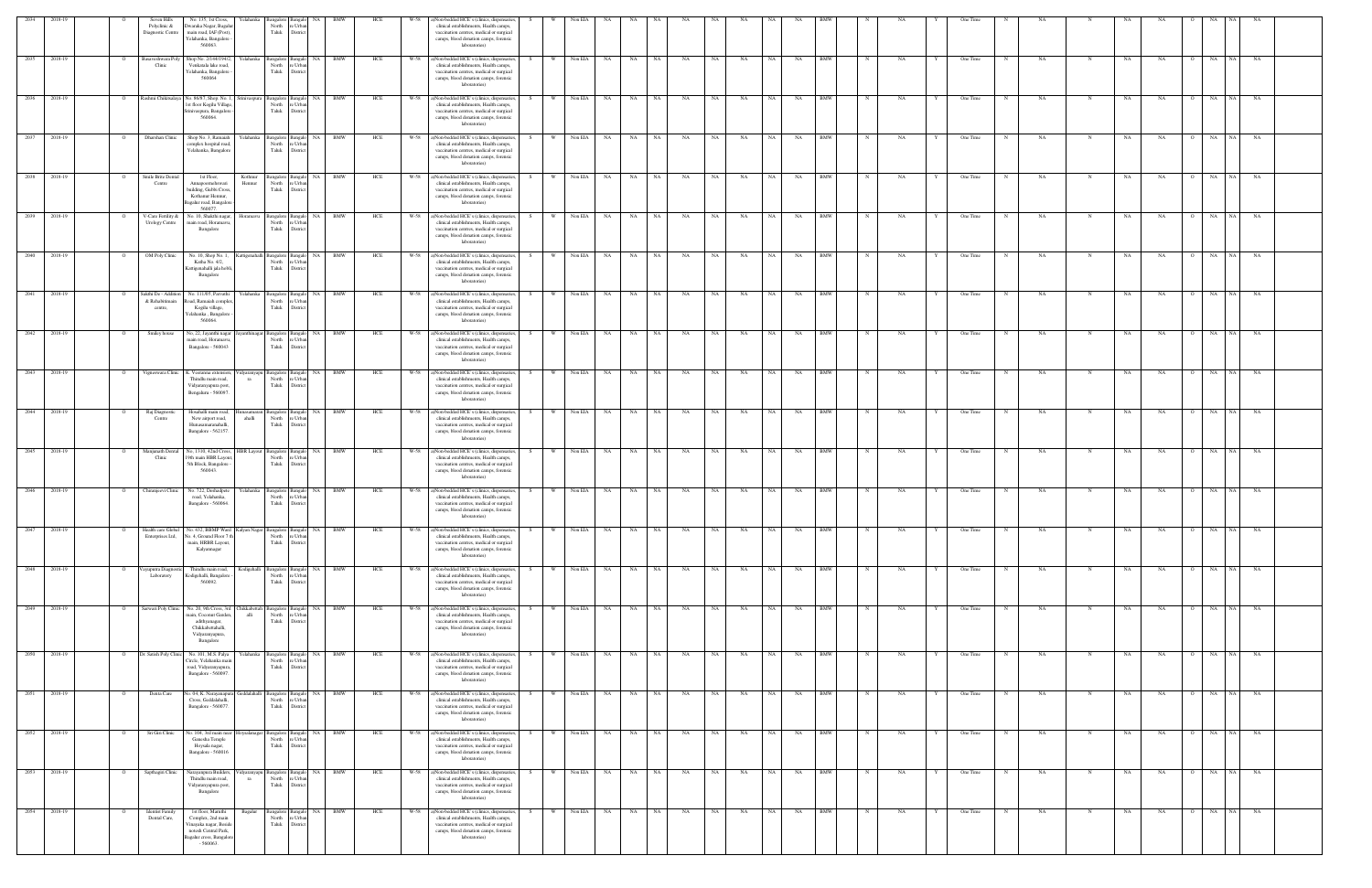| 2034 | 2018-19      | Seven Hills<br>Polyclinic &<br>Diagnostic Centre  | No. 135, 1st Cross,<br>Owaraka Nagar, Bagali<br>main road, IAF (Post),<br>Yelahanka, Bangalore<br>560063                         | ∕ elahanka          | North<br>Taluk                                     | e Urba<br>District                              |            | HCI |      | a)Non-bedded HCE's (clinics, dispensaries,<br>clinical establishments, Health camps,<br>vaccination centres, medical or surgical<br>camps, blood donation camps, forensic<br>laboratories)      |    |          | Non EIA |                 |                 |      |           |           |    |           |    |            |   |     |   | One Time |   |     |   |    |     |                |                   |           |  |
|------|--------------|---------------------------------------------------|----------------------------------------------------------------------------------------------------------------------------------|---------------------|----------------------------------------------------|-------------------------------------------------|------------|-----|------|-------------------------------------------------------------------------------------------------------------------------------------------------------------------------------------------------|----|----------|---------|-----------------|-----------------|------|-----------|-----------|----|-----------|----|------------|---|-----|---|----------|---|-----|---|----|-----|----------------|-------------------|-----------|--|
| 2035 | 2018-19      | Basaveshwara Poly<br>Clinic                       | Shop No. 2/144/194/2<br>Venkatala lake road,<br>Yelahanka, Bangalore<br>560064                                                   | Yelahanka           | Bangalore Bangalo<br>North<br>Taluk                | NA 1<br>re Urbar<br>Distric                     | <b>BMW</b> | HCE | W-58 | a)Non-bedded HCE's (clinics, dispensaries<br>clinical establishments, Health camps,<br>vaccination centres, medical or surgical<br>camps, blood donation camps, forensic<br>laboratories)       |    | - W      | Non EIA | NA              | NA<br>NA        |      | NA        | NA        | NA | NA        | NA | <b>BMW</b> |   | NA  |   | One Time |   | NA  |   | NA | NA  |                | NA                | NA        |  |
| 2036 | 2018-19      |                                                   | Rashmi Chikitsalaya No. 86/87, Shop. No. 1,<br>1st floor Kogilu Village<br>rinivaspura, Bangalore<br>560064.                     | Srinivaspura        | North<br>Taluk                                     | Bangalore Bangalo NA BMW<br>e Urba<br>Distric   |            | HCE | W-58 | a)Non-bedded HCE's (clinics, dispensaries,<br>clinical establishments, Health camps,<br>vaccination centres, medical or surgical<br>camps, blood donation camps, forensic<br>laboratories)      |    |          | Non EIA | NA              | NA<br><b>NA</b> |      | NA        | NA        | NA | NA        | NA | <b>BMW</b> |   | NA  |   | One Time |   | NA  | N | NA | NA  | $\circ$        | NA<br>NA 1        | NA        |  |
| 2037 | 2018-19      | Dharshan Clinic                                   | Shop No. 3, Ramaial<br>complex hospital road<br>Yelahanka, Bangalore                                                             | Yelahanka           | Bangalore Bangalo<br>North<br>Taluk                | re Urbar<br>District                            | NA BMW     | HCE | W-58 | a)Non-bedded HCE's (clinics, dispensaries<br>clinical establishments, Health camps,<br>vaccination centres, medical or surgical<br>camps, blood donation camps, forensic<br>laboratories)       |    | W        | Non EIA | <b>NA</b>       | NA<br>NA        |      | NA        | NA        | NA | <b>NA</b> | NA | <b>BMW</b> |   | NA  |   | One Time |   | NA  | N | NA | NA  |                | NA<br>NA          | NA        |  |
| 2038 | 2018-19      | Smile Brite Dental<br>Centre                      | 1st Floor,<br>Annapoornehswari<br>building, Gubbi Cross,<br>Kothanur Hennur,<br>agalur road, Bangalor<br>560077                  | Kothnur<br>Hennur   | North re Urban<br>Taluk                            | Bangalore Bangalo NA BMW<br>District            |            | HCE | W-58 | a)Non-bedded HCE's (clinics, dispensaries,<br>clinical establishments, Health camps,<br>vaccination centres, medical or surgical<br>camps, blood donation camps, forensic<br>laboratories)      | S. | W        | Non EIA | NA              | NA              | NA   | <b>NA</b> | <b>NA</b> | NA | NA 1      | NA | <b>BMW</b> | N | NA  | Y | One Time | N | NA. |   | NA | NA  | $\overline{O}$ | NA<br>NA 1        | NA        |  |
|      | 2039 2018-19 | V-Care Fertility &<br><b>Urology Centre</b>       | No. 10, Shakthi nagar,<br>main road, Horamavu<br>Bangalore                                                                       | Ioramavu            | North<br>Taluk                                     | Bangalore Bangalo<br>e Urba<br>District         | NA BMW     | HCE | W-58 | a)Non-bedded HCE's (clinics, dispensaries<br>clinical establishments, Health camps,<br>vaccination centres, medical or surgical<br>camps, blood donation camps, forensic<br>laboratories)       |    | <b>W</b> | Non EIA | NA .            | NA<br>NA        |      | NA        | NA        | NA | <b>NA</b> | NA | <b>BMW</b> |   | NA  |   | One Time |   | NA  |   | NA | NA  |                | NA<br>NA 1        | NA        |  |
|      | 2040 2018-19 | OM Poly Clinic                                    | No. 10, Shop No. 1,<br>Katha No. 4/2,<br>Kattigenahalli jala hobli<br>Bangalore                                                  |                     | Kattigenahalli Bangalore Bangalo<br>North<br>Taluk | re Urba<br>District                             | NA BMW     | HCE |      | W-58 a)Non-bedded HCE's (clinics, dispensaries<br>clinical establishments, Health camps,<br>vaccination centres, medical or surgical<br>camps, blood donation camps, forensic<br>laboratories)  |    | <b>W</b> | Non EIA | NA              | NA 1            | NA   | NA        | NA        | NA | NA 1      | NA | <b>BMW</b> |   | NA  |   | One Time | N | NA  | N | NA | NA  | $\Omega$       | NA                | NA NA     |  |
| 2041 | 2018-19      | Sakthi De - Addition<br>& Rehabitimain<br>centre, | No. 111/05, Parvathi<br>oad, Ramaiah comple:<br>Kogilu village,<br>'elahanka, Bangalore<br>560064.                               | felahanka           | Bangalore Bangalo<br>North<br>Taluk                | NA<br>re Urba<br>District                       | <b>BMW</b> | HCE | W-58 | a)Non-bedded HCE's (clinics, dispensaries<br>clinical establishments, Health camps,<br>vaccination centres, medical or surgical<br>camps, blood donation camps, forensic<br>laboratories)       |    | - W      | Non EIA | NA              | NA<br>NA        |      | NA        | NA        | NA |           | NA | <b>BMW</b> |   | NA  |   | One Time |   | NA  |   | NA | NA  |                | NA<br>NA.         | NA        |  |
| 2042 | 2018-19      | Smiley house                                      | vo, 22, Jayanthi nagar<br>main road, Horamavu<br>Bangalore - 560043                                                              |                     | Bangalore<br>North<br>Taluk                        | NA<br>e Urba<br>District                        |            | HCE |      | ()Non-bedded HCE's (clinics, dispensaries<br>clinical establishments, Health camps,<br>vaccination centres, medical or surgical<br>camps, blood donation camps, forensic<br>laboratories)       |    |          | Non EIA |                 | NA<br>NA        |      | NA        | NA        | NA |           | NA | <b>BMW</b> |   |     |   | One Time |   | NA  |   |    | NA. |                | NA                | NA        |  |
|      | 2043 2018-19 |                                                   | Vigneswara Clinic K. Veeranna extension,<br>Thindlu main road,<br>Vidyaranyapura post,<br>Bengaluru - 560097.                    | ra                  | Vidyaranyapu Bangalore Bangalo<br>North<br>Taluk   | e Urba<br>District                              | NA BMW     | HCE | W-58 | a)Non-bedded HCE's (clinics, dispensaries<br>clinical establishments, Health camps,<br>vaccination centres, medical or surgical<br>camps, blood donation camps, forensic<br>laboratories)       |    | W        | Non EIA | NA<br>NA        | NA              |      | NA        | NA        | NA | <b>NA</b> | NA | BMW        |   | NA  |   | One Time |   | NA  |   | NA | NA  | $\Omega$       | NA<br>NA 1        | NA        |  |
|      | 2044 2018-19 | Raj Diagnostic<br>Centre                          | Hosahalli main road,<br>New airport road,<br>Hunasamaranahalli,<br>Bangalore - 562157                                            | ahalli              | nasamaran Bangalore Bangalo<br>North<br>Taluk      | re Urba<br>District                             | NA BMW     | HCE |      | W-58 a)Non-bedded HCE's (clinics, dispensaries<br>clinical establishments, Health camps,<br>vaccination centres, medical or surgical<br>camps, blood donation camps, forensic<br>laboratories)  | S. | w I      | Non EIA | <b>NA</b>       | <b>NA</b>       | NA . | <b>NA</b> | NA        | NA | NA 1      | NA | <b>BMW</b> | N | NA  |   | One Time | N | NA. | N | NA | NA  | $\overline{O}$ | NA NA             | <b>NA</b> |  |
|      | 2045 2018-19 | Manjunath Dental<br>Clinic                        | No, 1310, 42nd Cross,<br>19th main HBR Layout<br>5th Block, Bangalore<br>560043.                                                 | <b>HBR</b> Layout   | North<br>Taluk                                     | NA  <br>Bangalore Bangalo<br>e Urba<br>District | <b>BMW</b> | HCE | W-58 | a)Non-bedded HCE's (clinics, dispensaries<br>clinical establishments, Health camps,<br>vaccination centres, medical or surgical<br>camps, blood donation camps, forensic<br>laboratories)       |    | W        | Non EIA | <b>NA</b>       | NA<br><b>NA</b> |      | NA        | NA        | NA | <b>NA</b> | NA | <b>BMW</b> |   | NA  |   | One Time |   | NA  | N | NA | NA  | $\overline{O}$ | NA<br>NA          | NA        |  |
|      | 2046 2018-19 | Chiranjeevi Clinic                                | No. 722, Deshadpete<br>road, Yelahanka,<br>Bangalore - 560064.                                                                   | Yelahanka           | Bangalore Bangak<br>North<br>Taluk                 | e Urba<br>District                              | NA BMW     | HCE |      | W-58 a)Non-bedded HCE's (clinics, dispensaries,<br>clinical establishments, Health camps,<br>vaccination centres, medical or surgical<br>camps, blood donation camps, forensic<br>laboratories) |    | w I      | Non EIA | <b>NA</b>       | NA<br><b>NA</b> |      | NA        | NA        | NA | <b>NA</b> | NA | <b>BMW</b> |   | NA  |   | One Time | N | NA  | N | NA | NA  | $\Omega$       | NA<br>NA 1        | <b>NA</b> |  |
| 2047 | 2018-19      | <b>Health care Global</b><br>Enterprises Ltd,     | No. 432, BBMP Ward Kalyan Nagar Bangalore Bangalo<br>No. 4, Ground Floor 7 th<br>main, HRBR Layout,<br>Kalyannagar               |                     | North<br>Taluk                                     | NA<br>re Urbar<br>District                      | BMW        | HCE | W-58 | a)Non-bedded HCE's (clinics, dispensaries<br>clinical establishments, Health camps,<br>vaccination centres, medical or surgical<br>camps, blood donation camps, forensic<br>laboratories)       |    |          | Non EIA |                 | NA              |      | NA        | <b>NA</b> | NA |           | NA | BMW        |   | NA  |   | One Time |   | NA  |   |    | NA  |                | NA.               | NA        |  |
| 2048 | 2018-19      | vuputra Diagnos<br>Laboratory                     | Thindlu main road,<br>odigehalli, Bangalore<br>560092.                                                                           | <b>Codigehalli</b>  | Bangalore Bangalo<br>North<br>Taluk                | NA<br>e Urba<br>District                        | BMW        | HCE | W-58 | a)Non-bedded HCE's (clinics, dispensaries<br>clinical establishments, Health camps,<br>vaccination centres, medical or surgical<br>camps, blood donation camps, forensic<br>laboratories)       |    |          | Non EIA | NA              | NA<br>NA        |      | NA        | NA        | NA | NA        | NA | <b>BMW</b> |   | NA  |   | One Time |   | NA  |   | NA | NA  |                | NA<br>NA.         | NA        |  |
|      | 2049 2018-19 | Sarwari Poly Clinic                               | No. 20, 9th Cross, 3rd<br>nain, Coconut Garden,<br>adithyanagar,<br>Chikkabettahalli,<br>Vidyaranyapura,<br>Bangalore            | hikkabettah<br>alli | North<br>Taluk                                     | angalore Bangalo<br>e Urba<br>District          | NA BMW     | HCE | W-58 | a)Non-bedded HCE's (clinics, dispensarie<br>clinical establishments, Health camps,<br>vaccination centres, medical or surgical<br>camps, blood donation camps, forensic<br>laboratories)        |    | - W      | Non EIA | <b>NA</b>       | NA<br>NA        |      | NA        | NA        | NA | <b>NA</b> | NA | <b>BMW</b> |   | NA  |   | One Time |   | NA  |   | NA | NA  |                | NA T<br>NA        | <b>NA</b> |  |
|      | 2050 2018-19 | Dr. Satish Poly Clini                             | No. 101, M.S. Palya<br>Circle, Yelahanka mair<br>road, Vidyaranyapura,<br>Bangalore - 560097.                                    | felahanka           | Bangalore Bangalo<br>North<br>Taluk                | re Urbar<br>District                            | NA BMW     | HCE | W-58 | a)Non-bedded HCE's (clinics, dispensaries<br>clinical establishments, Health camps,<br>vaccination centres, medical or surgical<br>camps, blood donation camps, forensic<br>laboratories)       |    | <b>W</b> | Non EIA | <b>NA</b><br>NA | NA              |      | NA        | NA        | NA | NA 1      | NA | <b>BMW</b> |   | NA  |   | One Time |   | NA  |   | NA | NA  |                | NA<br>NA          | NA        |  |
| 2051 | 2018-19      | Denta Care                                        | o. 04, K. Narayanapura<br>Cross, Geddalahalli,<br>Bangalore - 560077.                                                            | Geddalahalli        | North<br>Taluk                                     | Bangalore Bangalo<br>re Urba<br>District        | NA BMW     | HCE | W-58 | a)Non-bedded HCE's (clinics, dispensaries<br>clinical establishments, Health camps,<br>vaccination centres, medical or surgical<br>camps, blood donation camps, forensic<br>laboratories)       |    | <b>W</b> | Non EIA | NA              | NA              | NA   | NA        | NA        | NA | NA        | NA | <b>BMW</b> | N | NA  |   | One Time | N | NA  | N | NA | NA  | $\circ$        | <b>NA</b><br>NA 1 | NA        |  |
|      | 2052 2018-19 | Sri Giri Clinic                                   | No. 104, 3rd main near<br>Ganesha Temple<br>Hoysala nagar,<br>Bangalore - 560016                                                 |                     | Bangalore Bangalo<br>North<br>Taluk                | re Urba<br>District                             | NA BMW     | HCE | W-58 | a)Non-bedded HCE's (clinics, dispensaries<br>clinical establishments, Health camps,<br>vaccination centres, medical or surgical<br>camps, blood donation camps, forensic<br>laboratories)       |    | W        | Non EIA | NA.             | NA N            | NA   | <b>NA</b> | NA        | NA | NA 1      | NA | <b>BMW</b> |   | NA  |   | One Time |   | NA  |   | NA | NA  |                | NA NA NA          |           |  |
|      | 2053 2018-19 | Sapthagiri Clinic                                 | Narayanpura Builders<br>Thindlu main road,<br>Vidyaranyapura post,<br>Bangalore                                                  | idyaranyapu<br>ra   | Bangalore Bangalo<br>North<br>Taluk                | NA<br>re Urbar<br>District                      | <b>BMW</b> | HCE | W-58 | a)Non-bedded HCE's (clinics, dispensaries<br>clinical establishments, Health camps,<br>vaccination centres, medical or surgical<br>camps, blood donation camps, forensic<br>laboratories)       |    |          | Non EIA | NA<br>NA        | NA              |      | NA        | NA        | NA | NA        | NA | <b>BMW</b> |   | NA  |   | One Time |   | NA  |   | NA | NA  |                | NA<br>NA 1        | NA        |  |
|      | 2054 2018-19 | <b>Identist Family</b><br>Dental Care,            | 1st floor. Maruth<br>Complex, 2nd main<br>/inayaka nagar, Beside<br>notesh Central Park,<br>agalur cross, Bangalor<br>$-560063.$ | <b>Bagalu</b>       | 3angalore<br>North<br>Taluk                        | NA.<br>e Urba<br>District                       |            | HCE |      | ()Non-bedded HCE's (clinics, dispensaries<br>clinical establishments, Health camps,<br>vaccination centres, medical or surgical<br>camps, blood donation camps, forensic<br>laboratories)       |    |          | Non EIA | - NA            | NA<br>NA        |      | NA        | NA        | NA |           | NA | <b>BMW</b> |   | NA. |   | One Time |   | NA  |   |    | NA  |                |                   |           |  |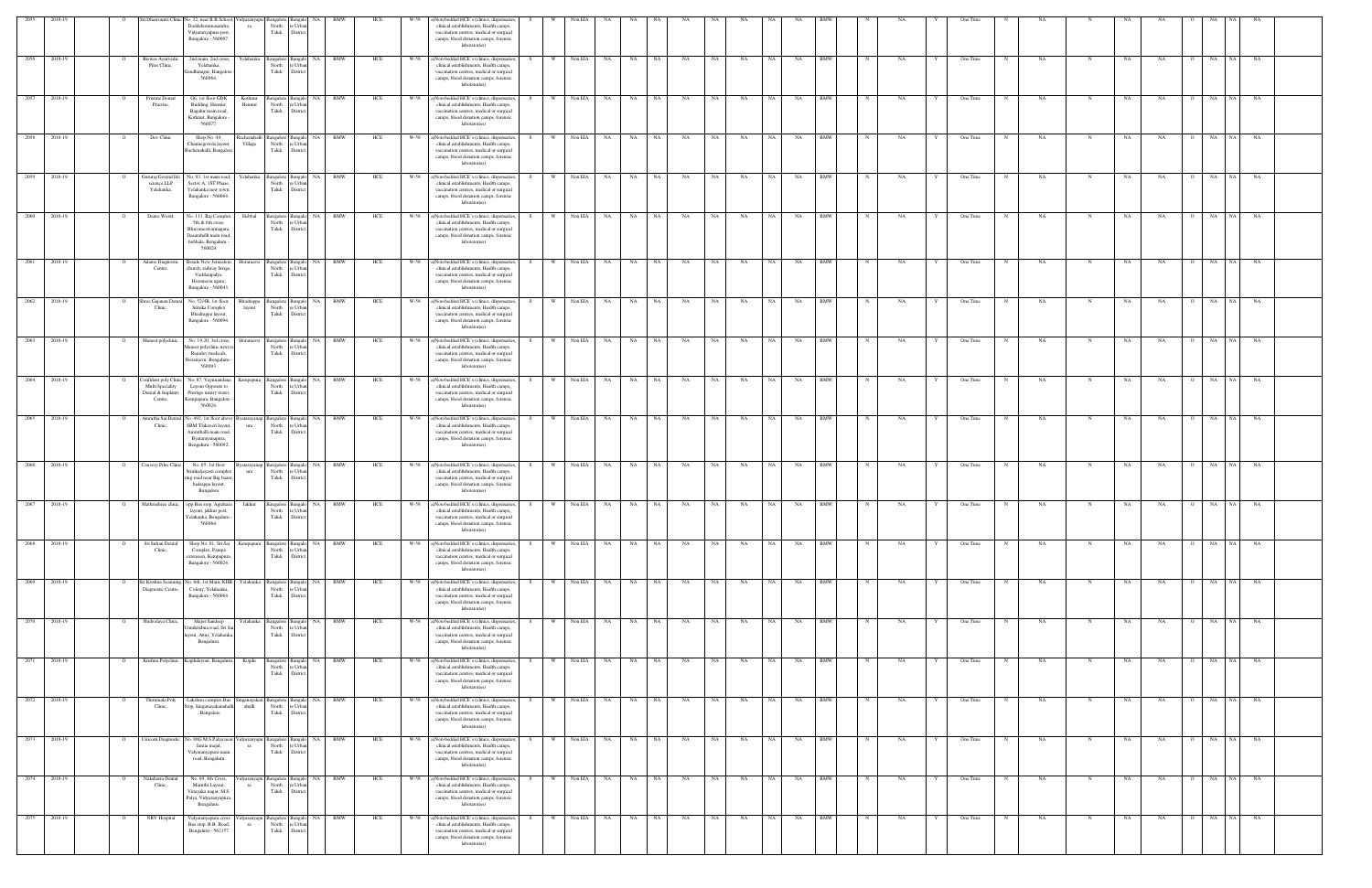| 2055         | 2018-19 |         |                                                                                  | Sri Dhanvantri Clinic No. 32, near R.R School, Vidyaranyapu                                                                                 |                | NA                                                                  | BMW        | HCE |      | )Non-bedded HCE's (clinics, dispensaries,                                                                                                                                                       |     |          | Non EIA    |                  |                   |                   |           |           |           |           |            |              |    |   |          |            |     |             |             |           |                |                 |           |  |
|--------------|---------|---------|----------------------------------------------------------------------------------|---------------------------------------------------------------------------------------------------------------------------------------------|----------------|---------------------------------------------------------------------|------------|-----|------|-------------------------------------------------------------------------------------------------------------------------------------------------------------------------------------------------|-----|----------|------------|------------------|-------------------|-------------------|-----------|-----------|-----------|-----------|------------|--------------|----|---|----------|------------|-----|-------------|-------------|-----------|----------------|-----------------|-----------|--|
|              |         |         |                                                                                  | Doddabommasandra<br>ra<br>Vidyaranyapura post,<br>Bangalore - 560097.                                                                       | North<br>Taluk | e Urba<br>District                                                  |            |     |      | clinical establishments, Health camps,<br>vaccination centres, medical or surgical<br>camps, blood donation camps, forensic<br>laboratories)                                                    |     |          |            |                  |                   |                   |           |           |           |           |            |              |    |   |          |            |     |             |             |           |                |                 |           |  |
| 2056         | 2018-19 |         | Biswas Ayurvedic<br>Piles Clinic,                                                | 2nd main, 2nd cross,<br>Yelahanka<br>Yelahanka,<br>andhinagar, Bangalor<br>560064                                                           | North<br>Taluk | Bangalore Bangalo NA BMW<br>e Urb<br>Distri                         |            | HCE | W-58 | a)Non-bedded HCE's (clinics, dispensaries,<br>clinical establishments, Health camps,<br>vaccination centres, medical or surgical<br>camps, blood donation camps, forensic<br>laboratories)      | S.  |          | Non EIA    | <b>NA</b>        | NA<br>NA          | NA                | NA        | NA        | <b>NA</b> | NA        | <b>BMW</b> |              | NA |   | One Time |            | NA  | N           | NA          | NA        |                | NA<br>NA        | NA        |  |
| 2057         | 2018-19 |         | Pristine Dental<br>Practise,                                                     | G6, 1st floor GDK<br>Kothnur<br>Building, Hennur,<br>Hennur<br>Bagalur main road,<br>Kothnur, Bangalore<br>560077                           | North<br>Taluk | Bangalore Bangalo NA BMW<br>e Urbar<br>District                     |            | HCE |      | W-58 a)Non-bedded HCE's (clinics, dispensaries,<br>clinical establishments, Health camps,<br>vaccination centres, medical or surgical<br>camps, blood donation camps, forensic<br>laboratories) | S.  | - W - I  | Non EIA NA |                  | NA 1              | NA 1<br><b>NA</b> | NA        | NA        | NA 1      | NA        | <b>BMW</b> | $\mathbb{N}$ | NA |   | One Time | N          | NA. | N           | NA          | NA.       | $\Omega$       | NA<br>NA 1      | NA        |  |
| 2058         | 2018-19 |         | Dev Clinic                                                                       | Shop No. 49,<br>Village<br>Channegowda layout,<br>Rachenahalli, Bangalore                                                                   | Taluk          | Rachenahalli Bangalore Bangalo NA BMW<br>North re Urban<br>District |            | HCE | W-58 | a)Non-bedded HCE's (clinics, dispensaries,<br>clinical establishments, Health camps,<br>vaccination centres, medical or surgical<br>camps, blood donation camps, forensic<br>laboratories)      | S.  | W        | Non EIA NA |                  | <b>NA</b><br>NA 1 | NA                | <b>NA</b> | NA        | NA 1      | NA        | <b>BMW</b> | $\mathbb{N}$ | NA | Y | One Time | N          | NA. |             | NA          | NA        | $\overline{O}$ | NA<br>NA 1      | NA        |  |
| 2059         | 2018-19 |         | Jururaj Govind life<br>science LLP<br>Yelahanka,                                 | No. 93, 1st main road,<br>Yelahanka<br>Sector A, 1ST Phase,<br>Yelahanka new town.<br>Bangalore - 560064.                                   | North<br>Taluk | Bangalore Bangalo NA<br>e Urba<br>District                          | <b>BMW</b> | HCE | W-58 | a)Non-bedded HCE's (clinics, dispensaries,<br>clinical establishments, Health camps,<br>vaccination centres, medical or surgical<br>camps, blood donation camps, forensic<br>laboratories)      | - S | <b>W</b> | Non EIA    | <b>NA</b>        | NA<br>NA 1        | NA                | NA        | NA        | NA 1      | NA        | <b>BMW</b> | N            | NA |   | One Time | N          | NA  | N           | NA          | NA        | $\circ$        | NA<br>NA 1      | NA        |  |
| 2060         | 2018-19 |         | Dento World,                                                                     | Hebbal<br>No. 111, Raj Complex<br>5th & 6th cross,<br>Bhuvaneswarinagara,<br>Dasarahalli main road<br>hebbala, Bengaluru<br>560024          | North<br>Taluk | NA 1<br>Bangalore Bangalo<br>e Urba<br>District                     | BMW        | HCE | W-58 | a)Non-bedded HCE's (clinics, dispensaries,<br>clinical establishments, Health camps,<br>vaccination centres, medical or surgical<br>camps, blood donation camps, forensic<br>laboratories)      | - S | <b>W</b> | Non EIA NA |                  | NA 1              | NA 1<br><b>NA</b> | NA        | NA        | NA        | <b>NA</b> | <b>BMW</b> |              | NA |   | One Time | N          | NA  | N           | NA          | NA.       | $\Omega$       | NA              | NA NA     |  |
| 2061         | 2018-19 |         | Adams Diagnostic<br>Centre,                                                      | <b>Beside New Jerusalem</b><br>Ioramavu<br>church, railway brisge<br>Vaddarapalya,<br>Horamavu agara,<br>Bangalore - 560043.                | North<br>Taluk | NA 1<br>Bangalore Bangalo<br>re Urba<br>District                    | BMW        | HCE | W-58 | a)Non-bedded HCE's (clinics, dispensaries,<br>clinical establishments, Health camps,<br>vaccination centres, medical or surgical<br>camps, blood donation camps, forensic<br>laboratories)      |     | W        | Non EIA    | NA               | <b>NA</b><br>NA   | NA                | NA        | NA        | NA        | NA        | <b>BMW</b> |              | NA |   | One Time | $_{\rm N}$ | NA  |             | NA          | NA        |                | NA<br>NA 1      | NA        |  |
| 2062         | 2018-19 |         | nree Gajanan Dent<br>Clinic,                                                     | No. 52/4B. 1st floor.<br>Bhadrappa<br>Srinika Complex<br>layout<br>Bhadrappa layout,<br>Bangalore - 560094.                                 | North<br>Taluk | Bangalore Bangalo NA<br>e Urba<br>District                          | BMW        | HCE | W-58 | a)Non-bedded HCE's (clinics, dispensaries,<br>clinical establishments, Health camps,<br>vaccination centres, medical or surgical<br>camps, blood donation camps, forensic<br>laboratories)      |     | - W      | Non EIA    | NA.              | NA<br>NA          | NA                | NA        | NA        | NA        | NA        | BMW        |              | NA |   | One Time |            | NA  | - N         | NA          | NA        | - 0            | <b>NA</b><br>NA | NA        |  |
| 2063         | 2018-19 | $\circ$ | Maneet polyclinic.                                                               | No. 19,20, 3rd cross,<br>Horamavu<br>faneet polyclinic next<br>Ramdev medicals,<br>Ioramavu, Bengaluru<br>560093.                           | North<br>Taluk | Bangalore Bangalo NA<br>e Urba<br>District                          | <b>BMW</b> | HCE | W-58 | a)Non-bedded HCE's (clinics, dispensaries,<br>clinical establishments, Health camps,<br>vaccination centres, medical or surgical<br>camps, blood donation camps, forensic<br>laboratories)      | - S | W        | Non EIA NA |                  | NA .<br>NA        | <b>NA</b>         | NA        | NA        | NA        | NA        | <b>BMW</b> | $_{\rm N}$   | NA |   | One Time | N          | NA. | N           | NA          | NA        | $\Omega$       | NA 1<br>NA      | <b>NA</b> |  |
| 2064         | 2018-19 |         | <b>Confident poly Clinic</b><br>Multi Speciality<br>Dental & Implants<br>Centre, | No. 87, Vayunandana<br>Kempapura<br>Layout Opposite to<br>Prestige mistry water,<br>Kempapura, Bangalore<br>560024.                         | North<br>Taluk | Bangalore Bangalo<br>re Urbar<br>District                           | NA BMW     | HCE | W-58 | a)Non-bedded HCE's (clinics, dispensaries,<br>clinical establishments, Health camps,<br>vaccination centres, medical or surgical<br>camps, blood donation camps, forensic<br>laboratories)      |     | W.       | Non EIA    | NA               | NA .<br><b>NA</b> | NA                | NA        | NA        | NA -      | NA        | <b>BMW</b> |              | NA |   | One Time | N          | NA. | N           | NA          | <b>NA</b> | $\overline{O}$ | NA 1<br>NA      | NA        |  |
| 2065         | 2018-19 |         | smrutha Sai Dental<br>Clinic,                                                    | lo. 492, 1st floor above<br>yatarayanap<br>SBM Tlakaveri layout,<br>ura<br>Amruthalli main road,<br>Byatarayanapura,<br>Bengaluru - 560092. | North<br>Taluk | Bangalore Bangalo NA<br>e Urba<br>District                          | <b>BMW</b> | HCE | W-58 | a)Non-bedded HCE's (clinics, dispensaries,<br>clinical establishments, Health camps,<br>vaccination centres, medical or surgical<br>camps, blood donation camps, forensic<br>laboratories)      | - S | W        | Non EIA    | <b>NA</b>        | NA<br>NA .        | <b>NA</b>         | NA        | NA        | NA        | NA        | <b>BMW</b> |              | NA |   | One Time | N          | NA  | N           | NA.         | NA        | $\overline{O}$ | NA<br>NA        | NA        |  |
| 2066 2018-19 |         |         | Cauvery Piles Clinic                                                             | No. 05, 1st floor<br>yatarayanap<br>Srinika/jayasri compler<br>ura<br>ing road near Big baza<br>badrappa layout,<br>Bangalore               | North<br>Taluk | NA 1<br>Bangalore Bangalo<br>e Urba<br>District                     | BMW        | HCE |      | W-58 a)Non-bedded HCE's (clinics, dispensaries,<br>clinical establishments, Health camps,<br>vaccination centres, medical or surgical<br>camps, blood donation camps, forensic<br>laboratories) |     | W \      | Non EIA NA |                  | NA .<br>NA 1      | NA                | NA        | NA        | NA        | NA        | <b>BMW</b> |              | NA |   | One Time | N          | NA  | N           | NA          | NA        | $\Omega$       | NA              | NA NA     |  |
| 2067         | 2018-19 |         |                                                                                  | Mathrushree clinic, opp Bus stop, Agrahara<br>Jakkur<br>layout, jakkur post,<br>'elahanka, Bengaluru<br>560064.                             | Taluk          | Bangalore Bangalo<br><b>NA</b><br>North re Urban<br><b>District</b> | <b>BMW</b> | HCE | W-58 | a)Non-bedded HCE's (clinics, dispensaries,<br>clinical establishments, Health camps,<br>accination centres, medical or surgical<br>camps, blood donation camps, forensic<br>laboratories)       | S.  | W.       | Non EIA    | NA               | NA<br>NA          | NA                | NA        | NA        | <b>NA</b> | NA        | BMW        |              | NA |   | One Time |            | NA  | N           | NA          | NA        | $\circ$        | NA<br>NA        | NA        |  |
| 2068         | 2018-19 |         | Sri Suhan Dental<br>Clinic,                                                      | Shop No. 01, Sri Sai<br>Kempapura<br>Complex, Pampa<br>extension, Kempapura<br>Bangalore - 560024.                                          | North<br>Taluk | Bangalore Bangalo NA<br>e Urba<br>District                          | BMW        | HCE | W-58 | ()Non-bedded HCE's (clinics, dispensaries,<br>clinical establishments, Health camps,<br>vaccination centres, medical or surgical<br>camps, blood donation camps, forensic<br>laboratories)      |     |          | Non EIA    | NA               | NA<br>NA          | NA                | NA        | NA        | NA        | NA        | <b>BMW</b> |              | NA |   | One Time |            | NA  |             | NA          | NA        | $\circ$        | NA 1<br>NA      | NA        |  |
| 2069 2018-19 |         |         | Sri Krishna Scannin<br>Diagnostic Centre,                                        | No. 6th, 1st Main, KHB<br>Yelahanka<br>Colony, Yelahanka,<br>Bangalore - 560064.                                                            | North<br>Taluk | Bangalore Bangalo NA BMW<br>e Urba<br>District                      |            | HCE | W-58 | a)Non-bedded HCE's (clinics, dispensaries,<br>clinical establishments, Health camps,<br>vaccination centres, medical or surgical<br>camps, blood donation camps, forensic<br>laboratories)      |     | - W      | Non EIA NA |                  | NA 1<br>NA 1      | NA                | NA        | <b>NA</b> | NA N      | NA 1      | <b>BMW</b> |              | NA |   | One Time |            | NA  | $\mathbf N$ | NA          | NA.       | $\Omega$       | NA              | NA NA     |  |
| 2070         | 2018-19 |         | Shubodaya Clinic,                                                                | Major Sandeep<br>Yelahanka<br>Innikrishna road, Sri S<br>yout, Attur, Yelahanka<br>Bengaluru.                                               | Taluk          | Bangalore Bangalo NA<br>North re Urban<br>District                  | <b>BMW</b> | HCE | W-58 | a)Non-bedded HCE's (clinics, dispensaries,<br>clinical establishments, Health camps,<br>vaccination centres, medical or surgical<br>camps, blood donation camps, forensic<br>laboratories)      |     | W.       | Non EIA NA |                  | NA<br>NA          | <b>NA</b>         | NA        | NA        | NA        | NA        | <b>BMW</b> |              | NA |   | One Time |            | NA  | N           | NA          | NA        | $\overline{O}$ | NA<br>NA        | NA        |  |
| 2071 2018-19 |         |         |                                                                                  | Krishna Polyclinic Kogilulayout, Bengaluru.<br>Kogilu                                                                                       | North<br>Taluk | Bangalore Bangalo NA<br>e Urbar<br>District                         | <b>BMW</b> | HCE | W-58 | a)Non-bedded HCE's (clinics, dispensaries,<br>clinical establishments, Health camps,<br>vaccination centres, medical or surgical<br>camps, blood donation camps, forensic<br>laboratories)      | S.  | W.       | Non EIA NA |                  | NA 1<br>NA        | NA                | NA        | NA        | NA 1      | <b>NA</b> | <b>BMW</b> | N            | NA |   | One Time | N          | NA  | $\mathbf N$ | $_{\rm NA}$ | NA        | $\overline{O}$ | NA 1<br>NA      | NA        |  |
| 2018-19      |         |         | Thirumala Poly<br>Clinic,                                                        | Lakshmi complex Bus<br>ahalli<br>Stop, Singanayakanahalli<br>, Bangalore                                                                    | North<br>Taluk | inganayakan Bangalore Bangalo NA BMW<br>re Urban<br>District        |            | HCE | W-58 | a)Non-bedded HCE's (clinics, dispensaries,<br>clinical establishments, Health camps,<br>vaccination centres, medical or surgical<br>camps, blood donation camps, forensic<br>laboratories)      | S   | $W =$    |            | Non EIA NA NA NA |                   | NA                | NA 1      | NA        | NA N      | NA BMW    |            | $\mathbb N$  | NA | Y | One Time | N          | NA. | N           | NA          | <b>NA</b> | $\overline{O}$ | NA NA NA        |           |  |
| 2073         | 2018-19 |         | Jnicom Diagnostic                                                                | No. 88G M.S Palya nea<br>idyaranyapu<br>Jamia majid,<br>ra<br>Vidyaranyapura main<br>road, Bengaluru                                        | Taluk          | NA<br>Bangalore Bangalo<br>North re Urban<br>District               | <b>BMW</b> | HCE | W-58 | a)Non-bedded HCE's (clinics, dispensaries,<br>clinical establishments, Health camps,<br>vaccination centres, medical or surgical<br>camps, blood donation camps, forensic<br>laboratories)      |     | <b>W</b> | Non EIA    | NA               | NA<br><b>NA</b>   | NA                | NA        | NA        | NA        | NA        | <b>BMW</b> |              | NA |   | One Time |            | NA  |             | NA          | NA        |                | NA<br>NA 1      | NA        |  |
| 2074         | 2018-19 |         | Nakshatra Dental<br>Clinic,                                                      | No. 69, 4th Cross,<br>Maruthi Layout,<br>ra<br>Vinayaka nagar, M.S.<br>Palya, Vidyaranyapura<br>Bengaluru.                                  | North<br>Taluk | idyaranyapu Bangalore Bangalo NA<br>re Urban<br>District            | BMW        | HCE | W-58 | ()Non-bedded HCE's (clinics, dispensaries,<br>clinical establishments, Health camps,<br>vaccination centres, medical or surgical<br>camps, blood donation camps, forensic<br>laboratories)      |     |          | Non EIA NA |                  | NA<br>NA          | NA                | NA        | NA        | NA        | NA        | <b>BMW</b> | N            | NA |   | One Time |            | NA  | N           | NA          | NA        | $\overline{O}$ | NA 1<br>NA      | NA        |  |
| 2075 2018-19 |         |         | NRV Hospital                                                                     | Vidyaranyapura cross<br>Bus stop, B.B. Road,<br>ra<br>Bengaluru - 562157                                                                    | North<br>Taluk | idyaranyapu Bangalore Bangalo NA BMW<br>re Urbar<br>District        |            | HCE | W-58 | a)Non-bedded HCE's (clinics, dispensaries,<br>clinical establishments, Health camps,<br>vaccination centres, medical or surgical<br>camps, blood donation camps, forensic<br>laboratories)      |     | <b>W</b> | Non EIA NA |                  | NA 1<br>NA 1      | NA                | NA        | NA        | NA N      | NA        | <b>BMW</b> | $_{\rm N}$   | NA |   | One Time | N          | NA  | N           | NA          | NA        | $\overline{O}$ | NA              | NA NA     |  |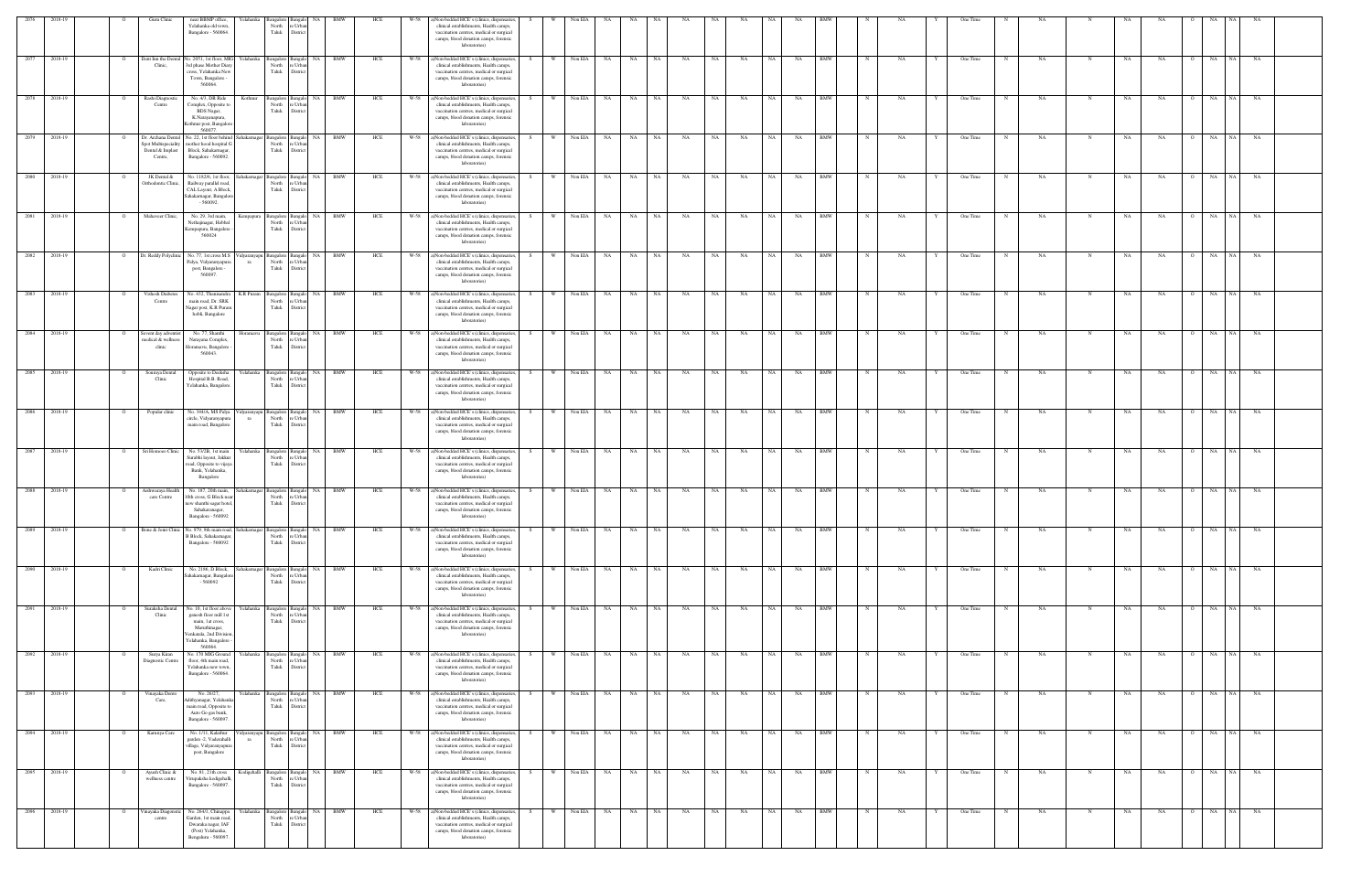| 2076         | 2018-19      | Guru Clinic                                         | near BBMP office,<br>Yelahanka old town,<br>Bangalore - 560064.                                                                                       | Yelahanka         | Bangalore Bangalo<br>North<br>Taluk                       | NA<br>re Urbar<br>Distric                                     | BMW    | HCE | W-58 | a)Non-bedded HCE's (clinics, dispensaries,<br>clinical establishments, Health camps,<br>vaccination centres, medical or surgical<br>camps, blood donation camps, forensic<br>laboratories)      |     |              | Non EIA    |                        |       |           |           |           |           |           |            |             |           |   |          |   |           |             |     |                             |            |           |  |
|--------------|--------------|-----------------------------------------------------|-------------------------------------------------------------------------------------------------------------------------------------------------------|-------------------|-----------------------------------------------------------|---------------------------------------------------------------|--------|-----|------|-------------------------------------------------------------------------------------------------------------------------------------------------------------------------------------------------|-----|--------------|------------|------------------------|-------|-----------|-----------|-----------|-----------|-----------|------------|-------------|-----------|---|----------|---|-----------|-------------|-----|-----------------------------|------------|-----------|--|
|              | 2077 2018-19 | Clinic,                                             | Dent Inn the Dental No. 2051, 1st floor, MIG Yelahanka<br>3rd phase Mother Diary<br>cross, Yelahanka New<br>Town, Bangalore<br>560064                 |                   | North<br>Taluk                                            | Bangalore Bangalo NA BMW<br>e Urba<br>Distrio                 |        | HCE | W-58 | a)Non-bedded HCE's (clinics, dispensaries,<br>clinical establishments, Health camps,<br>vaccination centres, medical or surgical<br>camps, blood donation camps, forensic<br>laboratories)      |     | <b>W</b>     | Non EIA    | <b>NA</b><br>NA 1      | NA    | <b>NA</b> | NA        | NA        | NA        | NA        | <b>BMW</b> | $_{\rm N}$  | NA        |   | One Time |   | NA        | $\mathbf N$ | NA  | NA<br>$\circ$               | NA<br>NA 1 | NA        |  |
|              | 2078 2018-19 | Rashi Diagnostic<br>Centre                          | No. 4/3, DR Ride<br>Complex, Opposite to<br>BDS Nagar,<br>K.Narayanapura,<br>Cothnur post, Bangalon<br>560077                                         | Kothnur           | North<br>Taluk                                            | Bangalore Bangalo NA BMW<br>re Urbar<br>District              |        | HCE |      | W-58 a)Non-bedded HCE's (clinics, dispensaries,<br>clinical establishments, Health camps,<br>vaccination centres, medical or surgical<br>camps, blood donation camps, forensic<br>laboratories) |     | W Non EIA NA |            |                        | NA NA | NA        | NA        | <b>NA</b> | NA 1      | <b>NA</b> | <b>BMW</b> | N           | <b>NA</b> | Y | One Time | N | NA        | N           | NA  | NA<br>$\overline{O}$        | NA NA NA   |           |  |
|              | 2079 2018-19 | Dental & Implast<br>Centre,                         | Dr. Archana Dental No. 22, 1st floor behind<br>Spot Multispeciality mother hood hospital G<br>Block, Sahakarnagar,<br>Bangalore - 560092.             |                   | North re Urbar<br>Taluk                                   | Sahakarnagar Bangalore Bangalo NA BMW<br>District             |        | HCE | W-58 | a)Non-bedded HCE's (clinics, dispensaries,<br>clinical establishments, Health camps,<br>vaccination centres, medical or surgical<br>camps, blood donation camps, forensic<br>laboratories)      | S – | w I          | Non EIA NA | NA NA                  | NA 1  | <b>NA</b> | <b>NA</b> | <b>NA</b> | NA 1      | <b>NA</b> | <b>BMW</b> | N           | <b>NA</b> | Y | One Time | N | NA.       | N           | NA  | NA<br>$\overline{O}$        | NA<br>NA 1 | NA        |  |
|              | 2080 2018-19 | JK Dental &<br>Orthodontic Clinic,                  | No. 1182/6, 1st floor, Sahakarnagar Bangalore Bangalo NA BMW<br>Railway parallel road,<br>CAL Layout, A Block,<br>Sahakarnagar, Bangalor<br>$-560092$ |                   | North<br>Taluk                                            | e Urba<br>District                                            |        | HCE | W-58 | a)Non-bedded HCE's (clinics, dispensaries,<br>clinical establishments, Health camps,<br>vaccination centres, medical or surgical<br>camps, blood donation camps, forensic<br>laboratories)      | S.  | W            | Non EIA    | NA<br>NA 1             | NA    | NA        | NA        | NA        | NA 1      | NA        | <b>BMW</b> | N           | <b>NA</b> |   | One Time | N | <b>NA</b> | N           | NA  | NA<br>$\overline{O}$        | NA<br>NA 1 | NA        |  |
|              | 2081 2018-19 | Mahaveer Clinic,                                    | No. 29, 3rd main,<br>Nethajinagar, Hebbal<br>Cempapura, Bangalore<br>560024                                                                           |                   | Kempapura Bangalore Bangalo<br>North<br>Taluk             | re Urbar<br>District                                          | NA BMW | HCE |      | W-58 a)Non-bedded HCE's (clinics, dispensaries,<br>clinical establishments, Health camps,<br>vaccination centres, medical or surgical<br>camps, blood donation camps, forensic<br>laboratories) |     | w I          |            | Non EIA NA             | NA NA | NA        | NA        | <b>NA</b> | NA 1      | NA        | <b>BMW</b> | $_{\rm N}$  | NA        |   | One Time | N | NA.       | N           | NA  | <b>NA</b><br>$\Omega$       | NA NA NA   |           |  |
| 2082         | 2018-19      | Dr. Reddy Polyclinic                                | No. 77, 1st cross M.S.<br>Palya, Vidyaranyapura<br>post, Bangalore -<br>560097.                                                                       | ra                | Vidyaranyapu Bangalore Bangalo<br>North re Urban<br>Taluk | District                                                      | NA BMW | HCE | W-58 | a)Non-bedded HCE's (clinics, dispensaries,<br>clinical establishments, Health camps,<br>vaccination centres, medical or surgical<br>camps, blood donation camps, forensic<br>laboratories)      |     |              | Non EIA    | <b>NA</b><br>NA        | NA    | <b>NA</b> | NA        | NA        | NA        | NA        | <b>BMW</b> |             | NA        |   | One Time |   | NA        | N           | NA  | NA<br>$\circ$               | NA<br>NA 1 | <b>NA</b> |  |
| 2083         | 2018-19      | Vishesh Diabetes<br>Centre                          | No. 432, Thanisandra<br>main road, Dr. SRK<br>Vagar post, K.R Puran<br>hobli, Bangalore                                                               | K.R Puram         | Bangalore Bangalo<br>North<br>Taluk                       | NA<br>e Urba<br>District                                      | BMW    | HCE | W-58 | a)Non-bedded HCE's (clinics, dispensaries,<br>clinical establishments, Health camps,<br>vaccination centres, medical or surgical<br>camps, blood donation camps, forensic<br>laboratories)      |     |              | Non EIA    | NA 1<br>NA             | NA    | NA        | NA        | NA        | NA        | NA        | <b>BMW</b> |             | NA        |   | One Time |   | NA        |             | NA. | NA<br>$\overline{O}$        | NA<br>NA.  | NA        |  |
|              | 2084 2018-19 | Sevent day adventis<br>nedical & wellness<br>clinic | No. 77, Shanthi<br>Narayana Complex,<br>Horamavu, Bangalore<br>560043.                                                                                |                   | Bangalore Bangak<br>North<br>Taluk                        | e Urba<br>District                                            | NA RMW | HCE | W-58 | a)Non-bedded HCE's (clinics, dispensaries,<br>clinical establishments, Health camps,<br>vaccination centres, medical or surgical<br>camps, blood donation camps, forensic<br>laboratories)      |     | - W          | Non EIA NA | NA 11                  | NA    | NA        | NA        | NA        | - NA      | NA        | <b>BMW</b> |             | NA        |   | One Time |   | NA        |             | NA  | NA<br>- 0                   | NA<br>NA 1 | <b>NA</b> |  |
|              | 2085 2018-19 | Soumya Dental<br>Clinic                             | Opposite to Deeksha<br>Hospital B.B. Road,<br>Yelahanka, Bangalore                                                                                    | Yelahanka         | Bangalore Bangalo<br>North<br>Taluk                       | re Urba<br>District                                           | NA BMW | HCE | W-58 | a)Non-bedded HCE's (clinics, dispensaries,<br>clinical establishments, Health camps,<br>vaccination centres, medical or surgical<br>camps, blood donation camps, forensic<br>laboratories)      |     | W.           | Non EIA    | <b>NA</b><br><b>NA</b> | NA    | <b>NA</b> | NA        | NA        | NA        | NA        | <b>BMW</b> |             | NA        |   | One Time |   | NA.       | $\mathbf N$ | NA  | NA<br>$\overline{O}$        | NA<br>NA 1 | NA        |  |
|              | 2086 2018-19 | Popular clinic                                      | No. 344/A, MS Palya<br>circle, Vidyaranyapura<br>main road, Bangalore                                                                                 | ra                | North<br>Taluk                                            | Vidyaranyapu Bangalore Bangalo NA BMW<br>re Urbar<br>District |        | HCE | W-58 | a)Non-bedded HCE's (clinics, dispensaries,<br>clinical establishments, Health camps,<br>vaccination centres, medical or surgical<br>camps, blood donation camps, forensic<br>laboratories)      |     | W            | Non EIA    | NA<br><b>NA</b>        | NA    | NA        | NA        | NA        | <b>NA</b> | NA        | <b>BMW</b> |             | NA        |   | One Time |   | NA        | N           | NA  | NA<br>$\overline{O}$        | NA<br>NA   | NA        |  |
| 2087 2018-19 |              |                                                     | Sri Homoeo Clinic No. 53/2B, 1st main<br>Surabhi layout, Jakkur<br>road, Opposite to vijaya<br>Bank, Yelahanka,<br>Bangalore                          |                   | North<br>Taluk                                            | Yelahanka Bangalore Bangalo NA BMW<br>e Urba<br>District      |        | HCE |      | W-58 a)Non-bedded HCE's (clinics, dispensaries,<br>clinical establishments, Health camps,<br>vaccination centres, medical or surgical<br>camps, blood donation camps, forensic<br>laboratories) | S.  | W Non EIA NA |            |                        | NA NA | <b>NA</b> | NA        | <b>NA</b> | NA N      | NA        | <b>BMW</b> | $\mathbf N$ | NA        | Y | One Time | N | NA.       | N           | NA  | <b>NA</b><br>$\overline{O}$ | NA NA NA   |           |  |
| 2088 2018-19 |              | Aishwaraya Health<br>care Centre                    | No. 187, 20th main,<br>10th cross, G Block near<br>new shanthi sagar hotel,<br>Sahakaranagar,<br>Bangalore - 56009.                                   |                   | ahakarnagar Bangalore Bangalo<br>North re Urbar<br>Taluk  | District                                                      | NA BMW | HCE | W-58 | a)Non-bedded HCE's (clinics, dispensaries,<br>clinical establishments, Health camps,<br>vaccination centres, medical or surgical<br>camps, blood donation camps, forensic<br>laboratories       |     | <b>W</b>     | Non EIA    | NA<br>NA               | NA    | NA        | NA        | NA        |           | NA        | <b>BMW</b> |             | NA        |   | One Time |   | NA        |             | NA  | NA                          | NA<br>NA.  | NA        |  |
| 2089         | 2018-19      |                                                     | Bone & Joint Clinic No. 979, 9th main road,<br><b>B Block</b> , Sahakarnagar<br>Bangalore - 560092                                                    |                   | Sahakarnagar Bangalore Bangalo<br>North<br>Taluk          | NA<br>re Urbar<br>District                                    | BMW    | HCE | W-58 | a)Non-bedded HCE's (clinics, dispensaries,<br>clinical establishments, Health camps,<br>vaccination centres, medical or surgical<br>camps, blood donation camps, forensic<br>laboratories)      |     |              | Non EIA    | NA<br>NA               | NA    | NA        | NA        | NA        | <b>NA</b> | NA        | BMW        |             | NA        |   | One Time |   | NA        |             | NA  | NA<br>$\circ$               | NA<br>NA.  | NA        |  |
|              | 2090 2018-19 | Kadri Clinic                                        | No. 2186, D Block,<br>Sahakarnagar, Bangalo<br>$-560092$                                                                                              |                   | Sahakarnagar Bangalore Bangalo<br>North<br>Taluk          | e Urba<br>District                                            | NA BMW | HCE | W-58 | a)Non-bedded HCE's (clinics, dispensaries<br>clinical establishments, Health camps,<br>vaccination centres, medical or surgical<br>camps, blood donation camps, forensic<br>laboratories)       |     | <b>W</b>     | Non EIA    | <b>NA</b><br>NA 1      | NA    | NA        | NA        | <b>NA</b> | NA 1      | NA        | <b>BMW</b> |             | NA        |   | One Time |   | NA        |             | NA  | NA<br>$\circ$               | NA         | NA NA     |  |
| 2091         | 2018-19      | Suraksha Dental<br>Clinic                           | No. 10, 1st floor abov<br>ganesh floor mill 1st<br>main, 1 at cross,<br>Maruthinagar,<br>enkatala, 2nd Division<br>Felahanka, Bangalore<br>560064.    | elahanka          | ingalore Bangalo<br>North<br>Taluk                        | re Urbar<br>District                                          | NA BMW | HCE | W-58 | a)Non-bedded HCE's (clinics, dispensaries<br>clinical establishments, Health camps,<br>vaccination centres, medical or surgical<br>camps, blood donation camps, forensic<br>laboratories)       |     | <b>W</b>     | Non EIA    | <b>NA</b><br>NA 1      | NA    | NA        | NA        | NA        | NA        | NA        | <b>BMW</b> |             | NA        |   | One Time |   | NA        |             | NA  | NA                          | NA<br>NA I | NA        |  |
|              | 2092 2018-19 | Surya Kiran<br>Diagnostic Centre                    | No. 170 MIG Ground<br>floor, 4th main road,<br>Yelahanka new town,<br>Bangalore - 560064.                                                             | Yelahanka         | North<br>Taluk                                            | Bangalore Bangalo NA BMW<br>re Urban<br>District              |        | HCE | W-58 | a)Non-bedded HCE's (clinics, dispensaries<br>clinical establishments, Health camps,<br>vaccination centres, medical or surgical<br>camps, blood donation camps, forensic<br>laboratories)       |     | <b>W</b>     | Non EIA    | <b>NA</b><br>NA 1      | NA    | NA        | NA        | <b>NA</b> | NA 1      | NA        | BMW        | $\mathbf N$ | NA        | Y | One Time | N | NA.       | N           | NA  | NA<br>$\overline{O}$        | NA  <br>NA | NA        |  |
|              | 2093 2018-19 | Vinayaka Dento<br>Care,                             | No. 26/27,<br>Adithyanagar, Yelahanl<br>main road, Opposite to<br>Auto Go gas bunk,<br>Bangalore - 560097.                                            | Yelahanka         | Bangalore Bangalo<br>North<br>Taluk                       | e Urba<br>District                                            | NA BMW | HCE | W-58 | a)Non-bedded HCE's (clinics, dispensaries<br>clinical establishments, Health camps,<br>vaccination centres, medical or surgical<br>camps, blood donation camps, forensic<br>laboratories)       |     | W            | Non EIA NA |                        | NA NA | NA        | NA        | NA        | NA 1      | NA        | <b>BMW</b> | $\mathbf N$ | NA        |   | One Time | N | NA        |             | NA  | NA<br>$\circ$               | NA NA NA   |           |  |
|              | 2094 2018-19 | Karunya Care                                        | No. 1/11, Kalathur<br>garden -2, Vaderahalli<br>illage, Vidyaranyapura<br>post, Bangalore                                                             | ıdvaranyapu<br>ra | angalore Bangal<br>North<br>Taluk District                | NA<br>re Urban                                                | BMW    | HCE | W-58 | a)Non-bedded HCE's (clinics, dispensaries<br>clinical establishments, Health camps,<br>vaccination centres, medical or surgical<br>camps, blood donation camps, forensic<br>laboratories)       |     |              | Non EIA    | NA                     | NA    | NA        | NA        | NA        |           | NA        | <b>BMW</b> |             | NA        |   | One Time |   | NA        |             |     | NA                          | NA  <br>NA | NA        |  |
| 2095         | 2018-19      | Ayush Clinic &<br>wellness centre                   | No. 81, 21th cross<br>Virupaksha kodigehalli<br>Bangalore - 560097.                                                                                   | Kodigehalli       | Bangalore Bangalo<br>North<br>Taluk                       | NA<br>re Urbar<br>District                                    | BMW    | HCE | W-58 | a)Non-bedded HCE's (clinics, dispensaries<br>clinical establishments, Health camps,<br>vaccination centres, medical or surgical<br>camps, blood donation camps, forensic<br>laboratories)       |     |              | Non EIA    | NA<br>NA               | NA    | NA        | NA        | NA        | NA        | NA        | BMW        |             | NA        |   | One Time |   | NA        |             | NA  | NA                          | NA<br>NA.  | NA        |  |
|              | 2096 2018-19 | inayaka Diagon:<br>centre                           | No. 264/1, Chinappa<br>Garden, 1st main road<br>Dwaraka nagar, IAF<br>(Post) Yelahanka,<br>Bengaluru - 560097.                                        |                   | angalore<br>North<br>Taluk                                | NA 1<br>e Urba<br>District                                    |        |     | W-58 | ()Non-bedded HCE's (clinics, dispensaries<br>clinical establishments, Health camps,<br>vaccination centres, medical or surgical<br>camps, blood donation camps, forensic<br>laboratories)       |     |              | Non EIA    |                        | NA    |           |           | NA        |           | NA        | <b>BMW</b> |             |           |   | One Time |   | NA        |             |     |                             | NA 1<br>NA |           |  |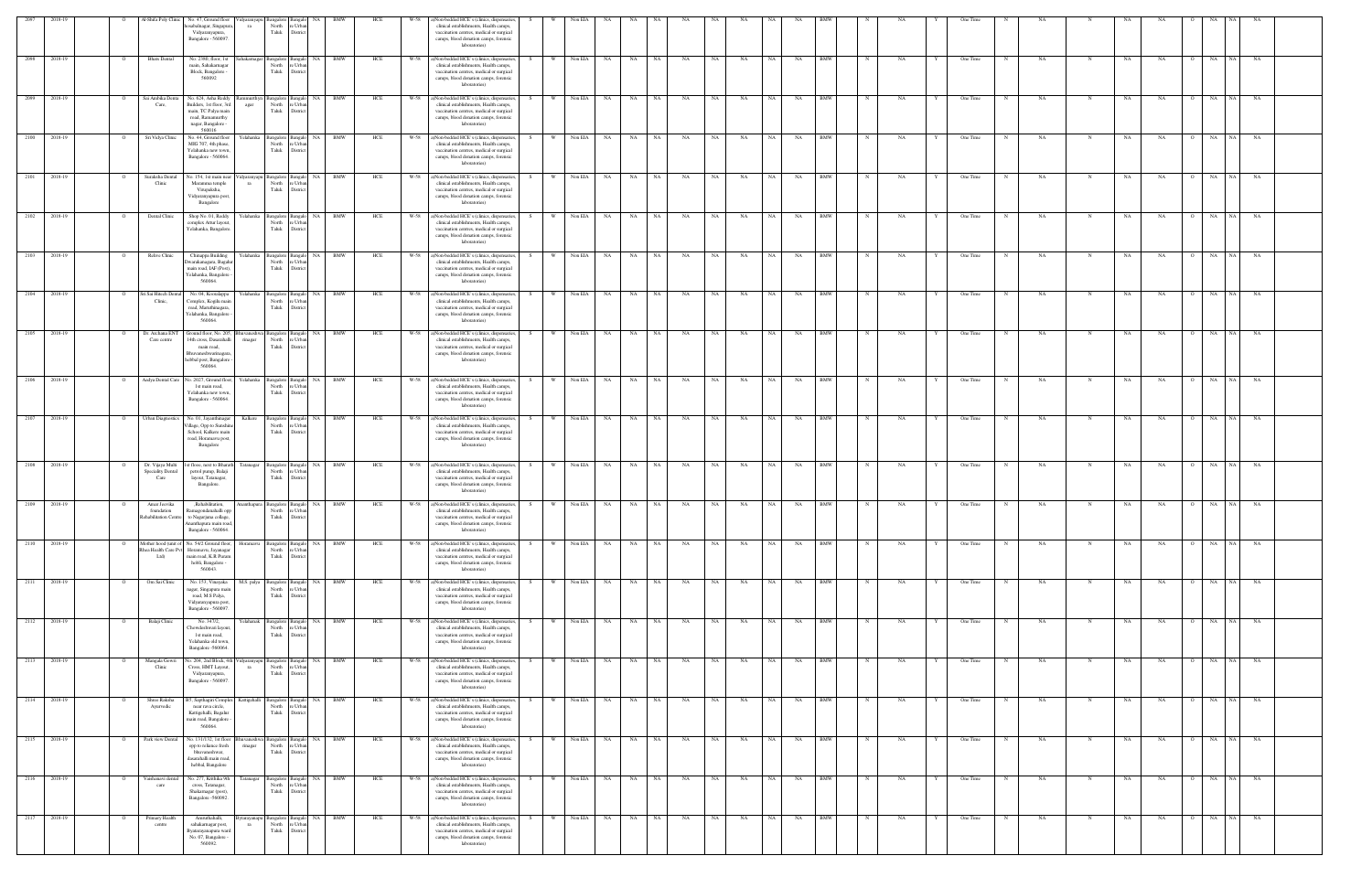|              | 2018-1       |          | J-Shifa Poly Clinic                              | No. 47, Ground floor<br>osabalnagar, Singapun<br>Vidyaranyapura,<br>Bangalore - 560097.                                       | idyaranyap         | North<br>Taluk                                                    | re Urba<br>District                                          |        |     |      | Non-bedded HCE's (clinics, dispensaries<br>clinical establishments, Health camps,<br>vaccination centres, medical or surgical<br>camps, blood donation camps, forensic<br>laboratories)         |       |              |            |                       |       |           |           |           |           |           |            |             |           |   |          |   |           |             |           |           |                |                   |           |  |
|--------------|--------------|----------|--------------------------------------------------|-------------------------------------------------------------------------------------------------------------------------------|--------------------|-------------------------------------------------------------------|--------------------------------------------------------------|--------|-----|------|-------------------------------------------------------------------------------------------------------------------------------------------------------------------------------------------------|-------|--------------|------------|-----------------------|-------|-----------|-----------|-----------|-----------|-----------|------------|-------------|-----------|---|----------|---|-----------|-------------|-----------|-----------|----------------|-------------------|-----------|--|
| 2098         | 2018-19      |          | <b>Bhats</b> Dental                              | No. 2380, floor, 1st<br>main, Sahakarnagar<br>Block, Bangalore<br>560092                                                      | Sahakarnagar       | Bangalore Bangalo<br>North<br>Taluk                               | e Urba<br>Distric                                            | NA BMW | HCE | W-58 | a)Non-bedded HCE's (clinics, dispensaries<br>clinical establishments, Health camps,<br>vaccination centres, medical or surgical<br>camps, blood donation camps, forensic<br>laboratories)       |       | <b>W</b>     | Non EIA    | NA<br><b>NA</b>       | NA    | NA        | NA        | NA        | <b>NA</b> | NA        | <b>BMW</b> |             | NA        |   | One Time |   | NA        | N           | NA        | NA        |                | NA<br><b>NA</b>   | NA        |  |
|              | 2099 2018-19 |          | Sai Ambika Denta<br>Care,                        | No. 624, Asha Reddy<br>Builders, 1st floor, 3rd<br>main, TC Palya main<br>road, Ramamurthy<br>nagar, Bangalore -<br>560016    | agar               | North<br>Taluk                                                    | nmurthyn Bangalore Bangalo NA BMW<br>re Urba<br>District     |        | HCE |      | W-58 a)Non-bedded HCE's (clinics, dispensaries,<br>clinical establishments, Health camps,<br>vaccination centres, medical or surgical<br>camps, blood donation camps, forensic<br>laboratories) |       | W Non EIA NA |            |                       | NA NA | NA        | <b>NA</b> | NA        | NA 1      | NA        | <b>BMW</b> | N           | NA        |   | One Time |   | NA        | N           | NA        | <b>NA</b> | $\overline{O}$ | NA<br>NA          | NA        |  |
| 2100         | 2018-19      |          | Sri Vidya Clinic                                 | No. 44, Ground floor<br>MIG 707, 4th phase,<br>Yelahanka new town,<br>Bangalore - 560064.                                     | Yelahanka          | Bangalore Bangalo<br>North<br>Taluk                               | re Urbar<br>District                                         | NA BMW | HCE | W-58 | a)Non-bedded HCE's (clinics, dispensaries,<br>clinical establishments, Health camps,<br>vaccination centres, medical or surgical<br>camps, blood donation camps, forensic<br>laboratories)      |       | <b>W</b>     | Non EIA    | NA<br><b>NA</b>       | NA    | NA        | NA        | NA        | NA 1      | NA        | <b>BMW</b> |             | NA        |   | One Time |   | <b>NA</b> |             | NA        | NA        | $\overline{O}$ | <b>NA</b><br>NA 1 | <b>NA</b> |  |
| 2101         | 2018-19      |          | Suraksha Dental<br>Clinic                        | No. 154, 1st main near<br>Maramma temple<br>Virupaksha,<br>Vidyaranyapura post,<br>Bangalore                                  | 'idyaranyapu<br>ra | North<br>Taluk                                                    | Bangalore Bangalo NA BMW<br>re Urbar<br>District             |        | HCE | W-58 | a)Non-bedded HCE's (clinics, dispensaries<br>clinical establishments, Health camps,<br>vaccination centres, medical or surgical<br>camps, blood donation camps, forensic<br>laboratories)       | S.    | W ·          | Non EIA    | NA<br>NA              | NA    | <b>NA</b> | NA        | NA        | NA 1      | NA        | <b>BMW</b> |             | NA        |   | One Time |   | NA        |             | NA        | NA        | $\Omega$       | NA 1<br>NA        | NA.       |  |
|              | 2102 2018-19 |          | Dental Clinic                                    | Shop No. 01, Reddy<br>complex Attur layout,<br>Yelahanka, Bangalore                                                           |                    | Yelahanka Bangalore Bangalo<br>North<br>Taluk                     | re Urba<br>District                                          | NA BMW | HCE |      | W-58 a)Non-bedded HCE's (clinics, dispensaries,<br>clinical establishments, Health camps,<br>vaccination centres, medical or surgical<br>camps, blood donation camps, forensic<br>laboratories) |       | W Non EIA NA |            |                       | NA NA | <b>NA</b> | NA        | <b>NA</b> | NA        | NA        | <b>BMW</b> |             | NA        |   | One Time | N | NA        | N           | NA        | NA        | $\Omega$       | NA NA NA          |           |  |
| 2103         | 2018-19      |          | Relive Clinic                                    | Chinappa Building<br>Owarakanagara, Bagali<br>main road, IAF (Post),<br>Yelahanka, Bangalore<br>560064                        | Yelahanka          | Bangalore Bangal<br>North<br>Taluk                                | NA.<br>re Urba<br>District                                   | BMW    | HCE | W-58 | a)Non-bedded HCE's (clinics, dispensaries<br>clinical establishments, Health camps,<br>vaccination centres, medical or surgical<br>camps, blood donation camps, forensic<br>laboratories)       |       |              | Non EIA    | NA<br>NA              | NA    | NA        | <b>NA</b> | NA        | NA        | NA        | <b>BMW</b> |             | NA        |   | One Time |   | NA        | N           | NA        | <b>NA</b> |                | NA<br>NA 1        | <b>NA</b> |  |
| 2104         | 2018-19      |          | Sri Sai Hitech Den<br>Clinic,                    | No. 04, Kooralappa<br>Complex, Kogilu main<br>road, Maruthinagara,<br>Felahanka, Bangalore<br>560064                          | ∫elahanka          | Bangalore 1<br>North<br>Taluk                                     | Bangal<br>NA<br>e Urba<br>District                           | BMW    | HCE | W-58 | a)Non-bedded HCE's (clinics, dispensaries<br>clinical establishments, Health camps,<br>vaccination centres, medical or surgical<br>camps, blood donation camps, forensic<br>laboratories)       |       |              | Non EIA    | <b>NA</b><br>NA       | NA    | NA        | NA        | NA        |           | NA        | <b>BMW</b> |             | NA        |   | One Time |   | NA        |             | NA        | NA        |                | NA                | NA        |  |
|              | 2105 2018-19 |          | Dr. Archana ENT<br>Care centre                   | Ground floor, No. 205<br>4th cross, Dasarahalli<br>main road.<br>Bhuvaneshwarinagara,<br>hebbal post, Bangalore<br>560064.    | rinagar            | Bangalore Banga<br>North<br>Taluk                                 | e Urba<br>Distric                                            | NA RMW | HCI |      | a)Non-bedded HCE's (clinics, dispensaries<br>clinical establishments, Health camps,<br>vaccination centres, medical or surgical<br>camps, blood donation camps, forensic<br>laboratories)       |       |              | Non EIA    | NA                    | NA    |           |           |           |           | NA        | BMW        |             |           |   | One Time |   | <b>NA</b> |             |           | NA        |                | NA<br>NA 1        |           |  |
| 2106         | 2018-19      |          | Aadya Dental Care                                | No. 2027, Ground floor.<br>1st main road,<br>Yelahanka new town,<br>Bangalore - 560064.                                       | Yelahanka          | Bangalore Bangalo<br>North<br>Taluk                               | re Urba<br>District                                          | NA BMW | HCE | W-58 | a)Non-bedded HCE's (clinics, dispensaries<br>clinical establishments, Health camps,<br>vaccination centres, medical or surgical<br>camps, blood donation camps, forensic<br>laboratories)       |       | <b>W</b>     | Non EIA    | NA<br>NA              | NA    | NA        | NA        | NA        | NA        | NA        | <b>BMW</b> |             | <b>NA</b> |   | One Time |   | NA        | $_{\rm N}$  | NA        | <b>NA</b> | $\Omega$       | NA<br>NA          | <b>NA</b> |  |
| 2107         | 2018-19      |          | <b>Urban Diagnostics</b>                         | No. 01, Jayanthinagar<br>'illage, Opp to Sunshin<br>School, Kalkere main<br>road, Horamavu post,<br>Bangalore                 | Kalkere            | North<br>Taluk                                                    | Bangalore Bangalo NA BMW<br>re Urbar<br>District             |        | HCE | W-58 | a)Non-bedded HCE's (clinics, dispensaries,<br>clinical establishments, Health camps,<br>vaccination centres, medical or surgical<br>camps, blood donation camps, forensic<br>laboratories)      | - S - | w I          | Non EIA    | <b>NA</b><br>NA       | NA    | <b>NA</b> | <b>NA</b> | NA        | NA 1      | NA        | <b>BMW</b> | $_{\rm N}$  | NA        |   | One Time | N | <b>NA</b> | N           | NA        | NA        | $\overline{O}$ | NA 1<br>NA        | <b>NA</b> |  |
| 2108 2018-19 |              |          | Dr. Vijaya Multi<br>Speciality Dental<br>Care    | 1st flooe, next to Bharath Tatanagar<br>petrol pump, Balaji<br>layout, Tatanagar,<br>Bangalore.                               |                    | Bangalore Bangalo<br>North<br>Taluk                               | e Urba<br>District                                           | NA BMW | HCE |      | W-58 a)Non-bedded HCE's (clinics, dispensaries,<br>clinical establishments, Health camps,<br>vaccination centres, medical or surgical<br>camps, blood donation camps, forensic<br>laboratories) | S.    |              |            | W Non EIA NA NA NA NA |       | <b>NA</b> | NA N      | NA        | NA N      | NA        | BMW        | $\mathbf N$ | NA        |   | One Time | N | NA        | N           | NA.       | <b>NA</b> |                | O NA NA NA        |           |  |
| 2109         | 2018-19      |          | Amar Jeevika<br>foundation<br>ehabilitation Cent | ,Rehabilitation,<br>Ramagondanahalli opp<br>to Nagarjuna collage,<br>Ananthapura main road,<br>Bangalore - 560064.            |                    | Ananthapura Bangalore Bangalo<br>North re Urban<br>Taluk District |                                                              | NA BMW | HCE | W-58 | a)Non-bedded HCE's (clinics, dispensaries,<br>clinical establishments, Health camps,<br>accination centres, medical or surgical<br>camps, blood donation camps, forensic<br>laboratories)       |       | W            | Non EIA    | <b>NA</b><br>NA       | NA    | NA        | <b>NA</b> | NA        | NA        | NA        | BMW        |             | NA        |   | One Time |   | <b>NA</b> | N           | NA        | NA        | $\Omega$       | NA<br>NA.         | NA        |  |
| 2110 2018-19 |              |          | ea Health Care Pvt<br>$Ltd$ )                    | Mother hood (unit of No. 54/2 Ground floor,<br>Horamavu, Jayanagar<br>main road, K.R Puram<br>hobli, Bangalore -<br>560043.   | Horamavu           | Bangalore Bangalo<br>North<br>Taluk                               | re Urban<br>District                                         | NA BMW | HCE | W-58 | a)Non-bedded HCE's (clinics, dispensaries<br>clinical establishments, Health camps,<br>vaccination centres, medical or surgical<br>camps, blood donation camps, forensic<br>laboratories)       |       |              | Non EIA    | <b>NA</b><br>NA.      | NA    | NA        | NA        | NA        | NA        | <b>NA</b> | <b>BMW</b> |             | NA        |   | One Time |   | NA        |             | NA        | NA        |                | NA<br>NA 1        | NA        |  |
| 2111 2018-19 |              |          | Om Sai Clinic                                    | No. 153, Vinayaka<br>agar, Singapura mair<br>road, M.S Palya,<br>Vidyaranyapura post,<br>Bangalore - 560097.                  | M.S. palya         | Bangalore Bangalo<br>North<br>Taluk                               | e Urba<br>District                                           | NA BMW | HCE | W-58 | a)Non-bedded HCE's (clinics, dispensaries<br>clinical establishments, Health camps,<br>vaccination centres, medical or surgical<br>camps, blood donation camps, forensic<br>laboratories)       |       |              | Non EIA    | <b>NA</b><br>NA       | NA    | NA        | NA        | NA        |           | NA        | <b>BMW</b> |             | NA        |   | One Time |   | NA        |             | NA        | NA        |                | NA<br>NA 1        | NA        |  |
| 2112 2018-19 |              |          | Balaji Clinic                                    | No. 347/2,<br>Chowdeshwari layout,<br>1st main road,<br>Yelahanka old town,<br>Bangalore -560064.                             | Yelahanak          | Bangalore Bangalo<br>North<br>Taluk District                      | re Urban                                                     | NA BMW | HCE | W-58 | a)Non-bedded HCE's (clinics, dispensaries<br>clinical establishments, Health camps,<br>vaccination centres, medical or surgical<br>camps, blood donation camps, forensic<br>laboratories)       |       | <b>W</b>     | Non EIA    | NA<br>NA              | NA    | NA        | NA        | NA        | <b>NA</b> | NA        | <b>BMW</b> |             | NA        |   | One Time |   | NA        | $\mathbf N$ | NA        | NA        | $\Omega$       | <b>NA</b>         | NA NA     |  |
|              | 2113 2018-19 | $\Omega$ | Mangala Gowri<br>Clinic                          | No. 204, 2nd Block, 4th Vidyaranyapu Bangalore Bangalo NA BMW<br>Cross, HMT Layout,<br>Vidyaranyapura,<br>Bangalore - 560097. | ra                 | North re Urban<br>Taluk District                                  |                                                              |        | HCE | W-58 | a)Non-bedded HCE's (clinics, dispensaries,<br>clinical establishments, Health camps,<br>vaccination centres, medical or surgical<br>camps, blood donation camps, forensic<br>laboratories)      | S     | w l          | Non EIA NA |                       | NA NA | NA        | NA N      | NA        | NA 1      | NA        | BMW        | N           | <b>NA</b> | Y | One Time | N | NA        | N           | <b>NA</b> | NA 1      |                | 0 NA NA NA        |           |  |
| 2114 2018-19 |              |          | Shree Raksha<br>Ayurvedic                        | B5, Sapthagiri Complex<br>near rava circle,<br>Kattigehalli, Bagalur<br>main road, Bangalore -<br>560064.                     |                    | North<br>Taluk                                                    | Kattigehalli Bangalore Bangalo NA BMW<br>re Urba<br>District |        | HCE | W-58 | a)Non-bedded HCE's (clinics, dispensaries,<br>clinical establishments, Health camps,<br>vaccination centres, medical or surgical<br>camps, blood donation camps, forensic<br>laboratories)      | S.    | W I          |            | Non EIA NA NA NA      |       | NA        | NA        | NA        | NA N      | NA        | BMW        | N           | NA        |   | One Time | N | NA        | N           | NA        | <b>NA</b> |                | O NA NA NA        |           |  |
| 2115 2018-19 |              |          | Park view Dental                                 | No. 131/132, 1st floor<br>opp to reliance fresh<br>bhuvaneshwar,<br>dasarahalli main road,<br>hebbal, Bangalore               | rinagar            | uvaneshwa Bangalore Bangalo<br>North re Urban<br>Taluk District   |                                                              | NA BMW | HCE | W-58 | a)Non-bedded HCE's (clinics, dispensaries,<br>clinical establishments, Health camps,<br>vaccination centres, medical or surgical<br>camps, blood donation camps, forensic<br>laboratories)      |       | <b>W</b>     | Non EIA    | <b>NA</b><br>NA 1     | NA    | NA        | NA        | NA        | NA 1      | <b>NA</b> | <b>BMW</b> | $_{\rm N}$  | NA        |   | One Time | N | NA        | N           | NA        | <b>NA</b> | $\overline{O}$ | NA NA NA          |           |  |
| 2116 2018-19 |              |          | Vaishanavi dental<br>care                        | No. 277, Krithika 9th<br>cross, Tatanagar,<br>Shakarnagar (post),<br>Bangalore -560092.                                       |                    | North re Urban<br>Taluk                                           | Tatanagar Bangalore Bangalo NA BMW<br>District               |        | HCE |      | W-58 a)Non-bedded HCE's (clinics, dispensaries,<br>clinical establishments, Health camps,<br>vaccination centres, medical or surgical<br>camps, blood donation camps, forensic<br>laboratories) |       | W            | Non EIA NA | NA 1                  | NA .  | <b>NA</b> | <b>NA</b> | <b>NA</b> | NA 1      | NA        | BMW        | $\mathbf N$ | <b>NA</b> | Y | One Time | N | NA        | $\mathbf N$ | NA        | <b>NA</b> | $\overline{O}$ | NA NA NA          |           |  |
|              | 2117 2018-19 |          | Primary Health<br>centre                         | Amruthahalli,<br>sahakamagar post,<br>Byatarayanapura ward<br>No. 07, Bangalore -<br>560092.                                  | ra                 | North<br>Taluk                                                    | ytarayanapu Bangalore Bangalo NA BMW<br>re Urbar<br>District |        | HCE | W-58 | a)Non-bedded HCE's (clinics, dispensaries,<br>clinical establishments, Health camps,<br>vaccination centres, medical or surgical<br>camps, blood donation camps, forensic<br>laboratories)      |       | W            | Non EIA    | <b>NA</b><br>NA       | NA    | NA        | NA        | NA        | NA.       | NA        | <b>BMW</b> | N           | NA        |   | One Time |   | NA        | $\mathbf N$ | NA        | NA        | $\overline{O}$ | NA<br>NA 1        | <b>NA</b> |  |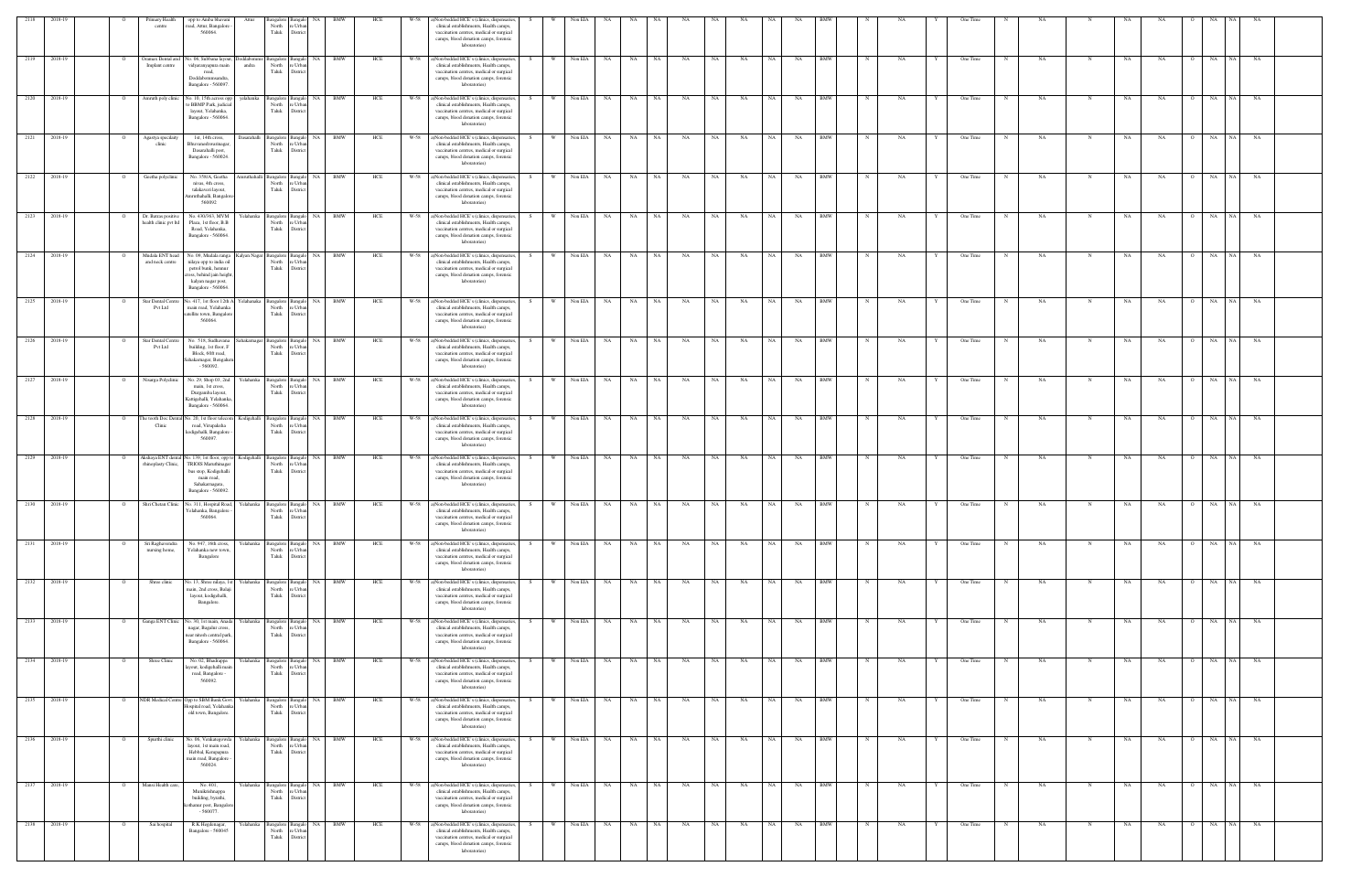| 2118       | 2018-19      |                | Primary Health<br>centre                     | opp to Amba bhavar<br>road, Attur, Bangalore<br>560064.                                                                                           |             | North<br>Taluk                           | : Urba<br>District                          |                                    |     |      | )Non-bedded HCE's (clinics, dispensaries<br>clinical establishments, Health camps,<br>vaccination centres, medical or surgical<br>camps, blood donation camps, forensic<br>laboratories)        |      |          | Non EIA   |            |           |           |           |      |           |           |           |            |            |    |   | One Time |             |           |             |    |                       |            |                   |  |
|------------|--------------|----------------|----------------------------------------------|---------------------------------------------------------------------------------------------------------------------------------------------------|-------------|------------------------------------------|---------------------------------------------|------------------------------------|-----|------|-------------------------------------------------------------------------------------------------------------------------------------------------------------------------------------------------|------|----------|-----------|------------|-----------|-----------|-----------|------|-----------|-----------|-----------|------------|------------|----|---|----------|-------------|-----------|-------------|----|-----------------------|------------|-------------------|--|
| 2119       | 2018-19      |                | Oramax Dental and<br>Implant centre          | Vo. 06, Subbana layout<br>vidyaranyapura main<br>road.<br>Doddabommsandra,<br>Bangalore - 560097.                                                 | andra       | Bangalore<br>North<br>Taluk              | NA<br>langalo<br>e Urbar<br>Distric         | <b>BMW</b>                         | HCE | W-58 | a)Non-bedded HCE's (clinics, dispensaries,<br>clinical establishments, Health camps,<br>vaccination centres, medical or surgical<br>camps, blood donation camps, forensic<br>laboratories)      |      |          | Non EIA   | NA         | NA        | NA        | NA        | NA   | NA        | NA        | NA        | BMW        |            | NA |   | One Time |             | NA        |             | NΑ | NA                    | NA<br>NA.  | NA                |  |
| 2120       | 2018-19      |                | Amruth poly clinic                           | No. 10, 15th across opp<br>to BBMP Park, judicia<br>layout, Yelahanka,<br>Bangalore - 560064.                                                     | yelahanka   | Bangalore<br>North<br>Taluk              | Bangalo NA<br>: Urba<br><b>Victri</b>       | <b>BMW</b>                         | HCE | W-58 | a)Non-bedded HCE's (clinics, dispensaries,<br>clinical establishments, Health camps,<br>vaccination centres, medical or surgical<br>camps, blood donation camps, forensic<br>laboratories)      | S.   | - W      | Non EIA   | NA         | NA        | NA        | NA        | NA   | NA        | NA        | NA        | BMW        |            | NA |   | One Time |             | NA        |             | NA | NA                    | NA<br>NA   | NA                |  |
| 2121       | 2018-19      |                | Agastya specilait<br>clinic                  | 1st, 14th cross,<br>Bhuvaneshwarinagar<br>Dasarahalli post,<br>Bangalore - 560024.                                                                | Dasarahalli | Bangalore<br>North<br>Taluk              | <b>NA</b><br>e Urbar<br>District            | <b>BMW</b>                         | HCE | W-58 | a)Non-bedded HCE's (clinics, dispensaries,<br>clinical establishments, Health camps,<br>vaccination centres, medical or surgical<br>camps, blood donation camps, forensic<br>laboratories)      |      | W        | Non EIA   | NA         | NA        | <b>NA</b> | NA        | NA   | NA        | NA        | NA        | <b>BMW</b> |            | NA |   | One Time |             | NA        | N           | NA | NA                    | NA 1<br>NA | NA                |  |
| 2122       | 2018-19      | $\overline{O}$ | Geetha polyclinic                            | No. 358/A, Geetha<br>nivas, 4th cross,<br>talakaveri layout,<br>mruthahalli, Bangaloro<br>560092                                                  | mruthahalli | Bangalore<br>North<br>Taluk              | <b>Bangalo</b><br>e Urbar<br>District       | NA N<br>BMW                        | HCE | W-58 | a)Non-bedded HCE's (clinics, dispensaries,<br>clinical establishments, Health camps,<br>vaccination centres, medical or surgical<br>camps, blood donation camps, forensic<br>laboratories)      | S    | W        | Non EIA   | NA 1       | NA 1      | NA        | NA        | NA 1 | NA        | NA 1      | NA        | BMW        | N          | NA |   | One Time | N           | NA.       |             | NA | NA<br>$\overline{O}$  | NA<br>NA 1 | NA                |  |
| 2123       | 2018-19      |                | Dr. Batras positivo<br>health clinic pvt ltd | No. 430/363, MVM<br>Plaza, 1st floor, B.B<br>Road, Yelahanka,<br>Bangalore - 560064.                                                              |             | Yelahanka Bangalore<br>North<br>Taluk    | NA<br><b>Bangalo</b><br>: Urba<br>Distric   | BMW                                | HCE | W-58 | a)Non-bedded HCE's (clinics, dispensaries,<br>clinical establishments, Health camps,<br>vaccination centres, medical or surgical<br>camps, blood donation camps, forensic<br>laboratories)      | -S - | <b>W</b> | Non EIA   | NA         | NA        | NA        | NA        | NA   | NA        | NA        | NA        | <b>BMW</b> |            | NA |   | One Time |             | NA        |             | NA | NA                    | NA<br>NA   | NA                |  |
|            | 2124 2018-19 | $\circ$        | Mudala ENT head<br>and neck centre           | No. 09, Mudala ranga<br>nilaya opp to india oil<br>petrol bunk, hennur<br>cross, behind jain height.<br>kalyan nagar post,<br>Bangalore - 560064. |             | Kalyan Nagar Bangalore<br>North<br>Taluk | NA<br>: Urba<br>District                    | BMW                                | HCE | W-58 | a)Non-bedded HCE's (clinics, dispensaries,<br>clinical establishments, Health camps,<br>vaccination centres, medical or surgical<br>camps, blood donation camps, forensic<br>laboratories)      |      | <b>W</b> | Non EIA   | NA 1       | NA        | NA 1      | <b>NA</b> | NA – | <b>NA</b> | NA 1      | NA        | <b>BMW</b> |            | NA |   | One Time | $_{\rm N}$  | NA        |             | NA | NA<br>$\Omega$        | NA         | NA NA             |  |
| 2125       | 2018-19      |                | Star Dental Centre<br>Pvt Ltd                | No. 417, 1st floor 12th A<br>main road, Yelahanka<br>atellite town, Bangalore<br>560064.                                                          | Yelahanaka  | Bangalore<br>North<br>Taluk              | NA<br><b>Bangalo</b><br>e Urba<br>Distric   | BMW                                | HCE | W-58 | a)Non-bedded HCE's (clinics, dispensaries,<br>clinical establishments, Health camps,<br>vaccination centres, medical or surgical<br>camps, blood donation camps, forensic<br>laboratories)      | S.   | <b>W</b> | Non EIA   | NA         | NA        | NA        | NA        | NA   | NA        | NA        | NA        | BMW        |            | NA |   | One Time |             | NA        |             | NA | NA                    | NA<br>NA 1 | NA                |  |
| 2126       | 2018-19      |                | Star Dental Centre<br>Pvt Ltd                | No. 518, Sudhavana<br>building, 1st floor, F<br>Block, 60ft road,<br>Sahakarnagar, Bengalur<br>$-560092.$                                         |             | Sahakarnagar Bangalore<br>North<br>Taluk | NA  <br><b>Bangalo</b><br>: Urb<br>Distri   | <b>BMW</b>                         | HCE | W-58 | a)Non-bedded HCE's (clinics, dispensaries,<br>clinical establishments, Health camps,<br>vaccination centres, medical or surgical<br>camps, blood donation camps, forensic<br>laboratories)      |      |          | Non EIA   | NA         | NA        | NA        | NA        | NA   | NA        | NA        | NA        | <b>BMW</b> |            | NA |   | One Time |             | NA        |             | NA | NA                    | NA<br>NA 1 | NA                |  |
| 2127       | 2018-19      | $\overline{O}$ | Nisarga Polyclinic                           | No. 29, Shop 03, 2nd<br>main. 1st cross.<br>Durgamba layout,<br>Kattigehalli, Yelahanka<br>Bangalore - 560064.                                    |             | Yelahanka Bangalore<br>North<br>Taluk    | <b>Bangalo</b><br>e Urba<br>District        | <b>BMW</b><br>NA                   | HCE | W-58 | a)Non-bedded HCE's (clinics, dispensaries,<br>clinical establishments, Health camps,<br>vaccination centres, medical or surgical<br>camps, blood donation camps, forensic<br>laboratories)      |      | <b>W</b> | Non EIA   | NA         | NA        | NA 1      | NA        | NA   | NA        | NA        | <b>NA</b> | <b>BMW</b> |            | NA |   | One Time | N           | NA        | $\mathbf N$ | NA | NA<br>$\Omega$        | NA 1<br>NA | NA                |  |
| 2128       | 2018-19      | $\circ$        | The tooth Doc Den<br>Clinic                  | No. 20, 1st floor telecon<br>road, Virupaksha<br>kodigehalli, Bangalore<br>560097.                                                                | Kodigehalli | Bangalore<br>North<br>Taluk              | NA<br><b>Bangalo</b><br>e Urbar<br>District | BMW                                | HCE | W-58 | a)Non-bedded HCE's (clinics, dispensaries,<br>clinical establishments, Health camps,<br>vaccination centres, medical or surgical<br>camps, blood donation camps, forensic<br>laboratories)      | S.   | W.       | Non EIA   | <b>NA</b>  | NA 1      | NA 1      | NA        | NA – | NA        | NA .      | NA        | BMW        |            | NA |   | One Time | $\mathbf N$ | NA        |             | NA | NA<br>$\overline{O}$  | NA<br>NA 1 | NA                |  |
| 2129       | 2018-19      |                | Akshaya ENT dental<br>rhinoplasty Clinic,    | No. 139, 1st floor, opp to<br>TRIOIS Maruthinaga<br>bus stop, Kodigehalli<br>main road,<br>Sahakarnagara,<br>Bangalore - 560092.                  | Kodigehalli | Bangalore<br>North<br>Taluk              | NA<br>langalo<br>: Urb<br>Distric           | BMW                                | HCE | W-58 | a)Non-bedded HCE's (clinics, dispensaries,<br>clinical establishments, Health camps,<br>vaccination centres, medical or surgical<br>camps, blood donation camps, forensic<br>laboratories)      |      |          | Non EIA   | NA         | <b>NA</b> | NA        | NA        | NA . | NA        | NA .      | NA        | BMW        |            | NA |   | One Time |             | NA        |             | NA | NA                    | NA<br>NA 1 | NA                |  |
| 2130       | 2018-19      | $\overline{O}$ |                                              | Shri Chetan Clinic No. 311, Hospital Road,<br>Yelahanka, Bangalore -<br>560064.                                                                   |             | Yelahanka Bangalore<br>North<br>Taluk    | NA<br>Bangalo<br>e Urban<br>District        | BMW                                | HCE | W-58 | a)Non-bedded HCE's (clinics, dispensaries,<br>clinical establishments, Health camps,<br>vaccination centres, medical or surgical<br>camps, blood donation camps, forensic<br>laboratories)      | S.   | W        | Non EIA   | NA 1       | <b>NA</b> | NA        | NA        | NA   | NA        | <b>NA</b> | NA        | <b>BMW</b> |            | NA |   | One Time | N           | NA        |             | NA | NA<br>$\Omega$        | NA 1<br>NA | <b>NA</b>         |  |
| 2131       | 2018-19      |                | Sri Raghavendra<br>nursing home,             | No. 947, 16th cross,<br>Yelahanka new town,<br>Bangalore                                                                                          | Yelahanka   | Bangalore<br>North<br>Taluk              | <b>Bangalo</b><br>NA<br>e Urbar<br>District | <b>BMW</b>                         | HCE | W-58 | a)Non-bedded HCE's (clinics, dispensaries,<br>clinical establishments, Health camps,<br>vaccination centres, medical or surgical<br>camps, blood donation camps, forensic<br>laboratories)      |      |          | Non EIA   | NA         | NA        | NA 1      | <b>NA</b> | NA 1 | NA        | NA .      | NA        | <b>BMW</b> |            | NA |   | One Time |             | NA        | N           | NA | NA                    | NA<br>NA 1 | NA                |  |
| 2132       | 2018-19      |                | Shree clinic                                 | lo. 13, Shree nilaya, 1<br>nain, 2nd cross, Balaji<br>layout, kodigehalli,<br>Bangalore.                                                          | 'elahanka   | Bangalor<br>North<br>Taluk               | <b>NA</b><br>: Urba<br>Distric              | BMW                                | HCE | W-58 | a)Non-bedded HCE's (clinics, dispensaries,<br>clinical establishments, Health camps,<br>vaccination centres, medical or surgical<br>camps, blood donation camps, forensic<br>laboratories)      |      |          | Non EIA   |            | NA        | NA        | NA        | NA   | NA        | NA        | NA        | BMW        |            | NA |   | One Time |             | NA        |             | NA | NA                    | NA 1<br>NA | NA                |  |
|            | 2133 2018-19 | $\overline{O}$ | Ganga ENT Clinic                             | No. 30, 1st main, Anada<br>nagar, Bagalur cross,<br>near nitesh central park<br>Bangalore - 560064.                                               | Yelahanka   | Bangalore<br>North<br>Taluk              | <b>Bangalo</b><br>: Urba<br>District        | <b>BMW</b><br>NA                   | HCE | W-58 | a)Non-bedded HCE's (clinics, dispensaries,<br>clinical establishments, Health camps,<br>vaccination centres, medical or surgical<br>camps, blood donation camps, forensic<br>laboratories)      |      | W        | Non EIA   | NA         | NA        | NA 1      | NA        | NA . | NA        | NA 1      | NA        | <b>BMW</b> | N          | NA |   | One Time |             | NA        | N           | NA | NA<br>$\Omega$        | NA 1       | NA NA             |  |
|            | 2134 2018-19 | $\overline{O}$ | Shree Clinic                                 | No. 02, Bhadrappa<br>ayout, kodigehalli mai<br>road, Bangalore -<br>560092.                                                                       |             | North<br>Taluk                           | e Urbar<br>District                         | Yelahanka Bangalore Bangalo NA BMW | HCE | W-58 | a)Non-bedded HCE's (clinics, dispensaries,<br>clinical establishments, Health camps,<br>vaccination centres, medical or surgical<br>camps, blood donation camps, forensic<br>laboratories)      | S –  | W        |           | Non EIA NA | NA 1      | NA 1      | NA        |      | NA NA     | NA        | NA        | <b>BMW</b> | N          | NA | Y | One Time | N           | <b>NA</b> | N           | NA | NA                    | 0 NA NA NA |                   |  |
| $1 - 2135$ | 2018-19      | $\overline{O}$ |                                              | NDR Medical Centre Opp to SBM Bank Govt.<br>Iospital road, Yelahank<br>old town, Bangalore.                                                       | Yelahanka   | Bangalore<br>North<br>Taluk              | Bangalo NA<br>: Urba<br>District            | <b>BMW</b>                         | HCE | W-58 | a)Non-bedded HCE's (clinics, dispensaries,<br>clinical establishments, Health camps,<br>vaccination centres, medical or surgical<br>camps, blood donation camps, forensic<br>laboratories)      | S.   | W        | Non EIA   | NA         | NA        | NA 1      | NA        | NA 1 | NA        | NA 1      | NA        | <b>BMW</b> | N          | NA |   | One Time | N           | <b>NA</b> | $\mathbf N$ | NA | NA<br>$\overline{O}$  | NA<br>NA   | NA                |  |
|            | 2136 2018-19 | $\overline{O}$ | Spurthi clinic                               | No. 06, Venkategowda<br>layout, 1st main road,<br>Hebbal, Kempapura<br>main road, Bangalore<br>560024.                                            |             | Yelahanka Bangalore<br>North<br>Taluk    | Bangalo<br>: Urba<br>District               | <b>BMW</b><br>NA I                 | HCE |      | W-58 a)Non-bedded HCE's (clinics, dispensaries,<br>clinical establishments, Health camps,<br>vaccination centres, medical or surgical<br>camps, blood donation camps, forensic<br>laboratories) |      |          | W Non EIA |            | NA NA     | NA        | NA        | NA N | <b>NA</b> | NA        | NA BMW    |            | $_{\rm N}$ | NA |   | One Time | N           | NA        | $\mathbf N$ | NA | NA<br>$\Omega$        | NA NA NA   |                   |  |
| $-2137$    | 2018-19      | $\overline{O}$ | Mansi Health care                            | No. 401,<br>Munikrishnappa<br>building, byrathi,<br>cothanur post, Bangalore<br>$-560077.$                                                        |             | Yelahanka Bangalore<br>North<br>Taluk    | NA<br><b>Bangalo</b><br>e Urbar<br>District | BMW                                | HCE | W-58 | a)Non-bedded HCE's (clinics, dispensaries,<br>clinical establishments, Health camps,<br>vaccination centres, medical or surgical<br>camps, blood donation camps, forensic<br>laboratories)      |      | <b>W</b> | Non EIA   | NA         | NA        | NA        | NA        | NA N | NA        | NA 1      | <b>NA</b> | <b>BMW</b> |            | NA |   | One Time | $\mathbf N$ | NA.       | $\mathbf N$ | NA | <b>NA</b><br>$\Omega$ | NA         | NA I<br><b>NA</b> |  |
| 2138       | 2018-19      |                | Sai hospital                                 | R.K Hegdenagar,<br>Bangalore - 560045                                                                                                             | Yelahanka   | Bangalore<br>North<br>Taluk              | <b>NA</b><br>: Urba<br>Distric              | BMW                                | HCE | W-58 | a)Non-bedded HCE's (clinics, dispensaries,<br>clinical establishments, Health camps,<br>vaccination centres, medical or surgical<br>camps, blood donation camps, forensic<br>laboratories)      |      |          | Non EIA   | NA         | NA        | <b>NA</b> | NA        | NA   | NA        | NA        | NA        | <b>BMW</b> |            | NA |   | One Time |             | NA        | N           | NA | NA                    | NA 1<br>NA | NA                |  |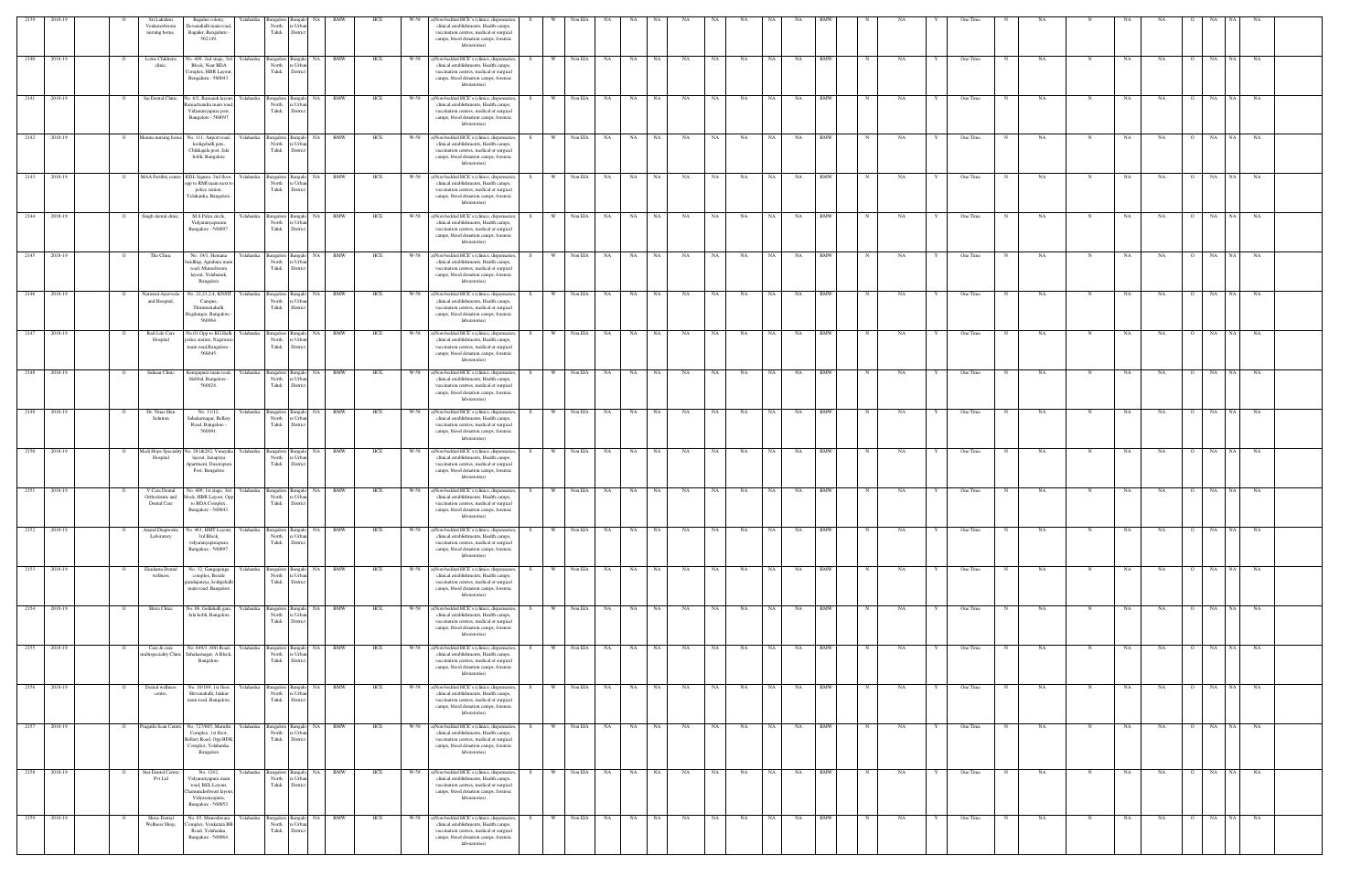| 2139<br>2018-19    |                | Sri Lakshmi<br>Venkateshwara<br>nursing home,   | Bagalur colony,<br>r elahanka<br>Devanahalli main road<br>Bagalur, Bengaluru<br>562149.                                                    | North<br>Taluk                      | e Urba<br>District                                      |            | HCI |      | Non-bedded HCE's (clinics, dispensaries,<br>clinical establishments, Health camps,<br>vaccination centres, medical or surgical<br>camps, blood donation camps, forensic<br>laboratories)        |      |          | Non EIA    |                    |           |      |           |           |           |           |           |            |              |    |   | One Time |   |     |            |           |           |                |                 |           |  |
|--------------------|----------------|-------------------------------------------------|--------------------------------------------------------------------------------------------------------------------------------------------|-------------------------------------|---------------------------------------------------------|------------|-----|------|-------------------------------------------------------------------------------------------------------------------------------------------------------------------------------------------------|------|----------|------------|--------------------|-----------|------|-----------|-----------|-----------|-----------|-----------|------------|--------------|----|---|----------|---|-----|------------|-----------|-----------|----------------|-----------------|-----------|--|
| 2140<br>2018-19    |                | Lotus Childrens<br>clinic,                      | lo. 409, 2nd stage, 3n<br>Yelahanka<br>Block, Near BDA<br>Complex, HBR Layout<br>Bengaluru - 560043.                                       | Bangalore<br>North<br>Taluk         | NA<br>Bangalo<br>e Urba<br>Distric                      | BMW        | HCE | W-58 | a)Non-bedded HCE's (clinics, dispensaries,<br>clinical establishments, Health camps,<br>vaccination centres, medical or surgical<br>camps, blood donation camps, forensic<br>laboratories)      |      | W        | Non EIA    | NA                 | NA        | NA   | NA        | NA        | NA        | NA        | NA        | <b>BMW</b> |              | NA |   | One Time |   | NA  |            | NA        | NA        |                | NA<br>NA.       | NA        |  |
| 2018-19<br>2141    |                | Sai Dental Clinic,                              | No. 6/2, Ramaiah layout,<br>amachandra main roa<br>Vidyaranyapura post,<br>Bangalore - 560097                                              | North<br>Taluk                      | Yelahanka Bangalore Bangalo NA BMW<br>e Urba<br>Distric |            | HCE | W-58 | a)Non-bedded HCE's (clinics, dispensaries,<br>clinical establishments, Health camps,<br>vaccination centres, medical or surgical<br>camps, blood donation camps, forensic<br>laboratories)      | - S  |          | Non EIA    | NA                 | NA        | NA   | NA        | NA        | NA        | NA        | NA        | <b>BMW</b> |              | NA |   | One Time |   | NA  |            | NA        | NA        |                | NA<br>NA        | NA        |  |
| 2018-19<br>2142    |                | fannu nursing horr                              | No. 111, Airport road<br>relahanka<br>kodigehalli gate,<br>Chikkajala post, Jala<br>hobli, Bangalore                                       | Bangalore Bangalo<br>North<br>Taluk | NA<br>e Urbar<br>District                               | <b>BMW</b> | HCE | W-58 | a)Non-bedded HCE's (clinics, dispensaries,<br>clinical establishments, Health camps,<br>vaccination centres, medical or surgical<br>camps, blood donation camps, forensic<br>laboratories)      |      | W        | Non EIA    | <b>NA</b>          | NA        | NA   | NA        | NA        | NA        | NA        | NA        | <b>BMW</b> |              | NA |   | One Time |   | NA  | N          | NA        | NA        |                | NA<br>NA 1      | NA        |  |
| 2143<br>2018-19    |                | MAA Fertility centre                            | RDL Sqaure, 2nd floor,<br>Yelahanka<br>opp to RMI main next to<br>police station,<br>Yelahanka, Bangalore                                  | North<br>Taluk                      | Bangalore Bangalo NA BMW<br>re Urbar<br>District        |            | HCE | W-58 | a)Non-bedded HCE's (clinics, dispensaries,<br>clinical establishments, Health camps,<br>vaccination centres, medical or surgical<br>camps, blood donation camps, forensic<br>laboratories)      | S.   | <b>W</b> | Non EIA NA |                    | <b>NA</b> | NA 1 | NA        | <b>NA</b> | NA        | NA 1      | NA        | <b>BMW</b> | $\mathbb{N}$ | NA |   | One Time | N | NA. |            | NA        | NA        | $\overline{O}$ | NA<br>NA 1      | NA        |  |
| 2144<br>2018-19    |                | Singh dental clinic,                            | M.S Palya circle,<br>Yelahanka<br>Vidyaranyapuram<br>Bangalore - 560097.                                                                   | North<br>Taluk                      | Bangalore Bangalo<br>NA 1<br>e Urba<br>District         | BMW        | HCE | W-58 | a)Non-bedded HCE's (clinics, dispensaries,<br>clinical establishments, Health camps,<br>vaccination centres, medical or surgical<br>camps, blood donation camps, forensic<br>laboratories)      |      | W.       | Non EIA NA |                    | NA        | NA   | NA        | NA        | NA        | NA        | NA        | <b>BMW</b> |              | NA |   | One Time |   | NA  |            | NA        | NA        |                | NA<br>NA 1      | NA        |  |
| 2145<br>2018-19    |                | The Clinic                                      | No. 19/1, Hemana<br>Yelahanka<br>uidling, Agrahara mai<br>road, Muneshwara<br>layout, Yelahanak,<br>Bangalore                              | North<br>Taluk                      | NA 1<br>Bangalore Bangalo<br>e Urba<br>District         | BMW        | HCE | W-58 | a)Non-bedded HCE's (clinics, dispensaries,<br>clinical establishments, Health camps,<br>vaccination centres, medical or surgical<br>camps, blood donation camps, forensic<br>laboratories)      |      | <b>W</b> | Non EIA NA |                    | NA 1      | NA . | <b>NA</b> | NA        | NA        | NA        | NA        | <b>BMW</b> |              | NA |   | One Time | N | NA  | N          | NA        | NA        | $\Omega$       | NA              | NA NA     |  |
| 2146<br>2018-19    |                | National Ayurveda<br>and Hospital,              | No. 22,23,2,4, KNSIT<br>relahanka<br>Campus,<br>Thirumenahalli,<br><b>Jegdengar</b> , Bangalore<br>560064.                                 | Bangalore<br>North<br>Taluk         | NA<br>Banga<br>re Urba<br>District                      | BMW        | HCE | W-58 | ()Non-bedded HCE's (clinics, dispensaries,<br>clinical establishments, Health camps,<br>vaccination centres, medical or surgical<br>camps, blood donation camps, forensic<br>laboratories)      |      | <b>W</b> | Non EIA    | NA                 | NA        | NA   | NA        | NA        | NA        | NA        | NA        | BMW        |              | NΑ |   | One Time |   | NA  |            | NA        | NA        |                | NA<br>NA.       | NA        |  |
| 2147<br>2018-19    |                | Rafi Life Care<br>Hospital                      | o.01 Opp to KG Hal<br>'elahanka<br>olice station, Nagawar<br>main road, Bangalore<br>560045                                                | 3angalore<br>North<br>Taluk         | NA<br>: Urb<br>Distric                                  |            | HCE |      | )Non-bedded HCE's (clinics, dispensaries,<br>clinical establishments, Health camps,<br>vaccination centres, medical or surgical<br>camps, blood donation camps, forensic<br>laboratories)       |      |          | Non EIA    | NA.                | NA        | NA   | NA        | NA        | NA        |           | NA        | BMW        |              |    |   | One Time |   | NA  |            | NA.       | NA        |                | NA              | NA        |  |
| $-2148$<br>2018-19 |                | Saikaar Clinic                                  | relahanka<br>Kempapura main road<br>Hebbal, Bangalore -<br>560024.                                                                         | North<br>Taluk                      | NA<br>Bangalore Bangalo<br>e Urba<br>District           | BMW        | HCE | W-58 | a)Non-bedded HCE's (clinics, dispensaries,<br>clinical establishments, Health camps,<br>vaccination centres, medical or surgical<br>camps, blood donation camps, forensic<br>laboratories)      |      | W        | Non EIA    | <b>NA</b>          | <b>NA</b> | NA   | NA        | NA        | NA        | NA        | NA        | <b>BMW</b> |              | NA |   | One Time |   | NA  |            | NA        | NA        | $\Omega$       | NA<br>NA 1      | NA        |  |
| 2149<br>2018-19    | $\overline{O}$ | Dr. Tinas Skin<br>Solution                      | No. 11/12,<br>Yelahanka<br>Sahakarnagar, Bellary<br>Road, Bangalore -<br>560091.                                                           | North<br>Taluk                      | Bangalore Bangalo NA<br>e Urba<br>District              | <b>BMW</b> | HCE | W-58 | a)Non-bedded HCE's (clinics, dispensaries,<br>clinical establishments, Health camps,<br>vaccination centres, medical or surgical<br>camps, blood donation camps, forensic<br>laboratories)      | -S - | W        | Non EIA NA |                    | NA        | NA 1 | NA        | NA 1      | <b>NA</b> | NA 1      | <b>NA</b> | <b>BMW</b> | $\mathbf N$  | NA |   | One Time | N | NA. | $_{\rm N}$ | NA        | NA        | $\overline{O}$ | NA NA           | NA        |  |
| 2150<br>2018-19    |                | Medi Hope Specialit<br>Hospital                 | Vo. 281&282, Vinayak<br>Yelahanka<br>layout, Janapriya<br>Apartment, Dasarapur<br>Post, Bangalore                                          | North<br>Taluk                      | Bangalore Bangalo NA<br>: Urb<br>District               | BMW        | HCE | W-58 | a)Non-bedded HCE's (clinics, dispensaries,<br>clinical establishments, Health camps,<br>vaccination centres, medical or surgical<br>camps, blood donation camps, forensic<br>laboratories)      | - S  | <b>W</b> | Non EIA    | <b>NA</b>          | <b>NA</b> | NA   | NA        | NA        | NA        | NA        | NA        | <b>BMW</b> |              | NA |   | One Time |   | NA  | N          | NA        | NA        | $\overline{O}$ | NA<br>NA        | NA        |  |
| 2151 2018-19       |                | V Care Dental<br>Orthodontic and<br>Dental Care | No. 409, 1st stage, 3rd<br>Yelahanka<br>block, HBR Layout, Op<br>to BDA Complex,<br>Bangalore - 560043.                                    | North<br>Taluk                      | NA<br>Bangalore Bangalo<br>e Urb<br>District            | BMW        | HCE | W-58 | a)Non-bedded HCE's (clinics, dispensaries,<br>clinical establishments, Health camps,<br>vaccination centres, medical or surgical<br>camps, blood donation camps, forensic<br>laboratories)      |      | <b>W</b> | Non EIA NA |                    | NA        | NA   | NA        | NA        | NA        | <b>NA</b> | NA        | <b>BMW</b> |              | NA |   | One Time | N | NA  | N          | NA        | NA        | $\Omega$       | NA<br>NA 1      | <b>NA</b> |  |
| 2152<br>2018-19    |                | <b>Anand Diagnosti</b><br>Laboratory            | o. 461, HMT Layout,<br>relahanka<br>3rd Block,<br>vidyaranyapurapura,<br>Bangalore - 560097.                                               | 3angalore<br>North<br>Taluk         | <b>NA</b><br>Bangal<br>re Urban<br>District             | <b>BMW</b> | HCE | W-58 | ()Non-bedded HCE's (clinics, dispensaries,<br>clinical establishments, Health camps,<br>vaccination centres, medical or surgical<br>camps, blood donation camps, forensic<br>laboratories)      |      |          | Non EIA    | NA                 | NA        | NA   | NA        | NA        | NA        | <b>NA</b> | NA        | <b>BMW</b> |              | NA |   | One Time |   | NA  |            | <b>NA</b> | NA        |                | NA<br>NA        | NA        |  |
| 2153<br>2018-19    |                | Ekadanta Dental<br>wellness                     | relahanka<br>No. 32, Gangaganga<br>complex, Beside<br>andajaneya, kodigehal<br>main road. Bangalore                                        | North<br>Taluk                      | <b>NA</b><br>Bangalore Bangalo<br>e Urba<br>District    | <b>BMW</b> | HCE | W-58 | ()Non-bedded HCE's (clinics, dispensaries,<br>clinical establishments, Health camps,<br>vaccination centres, medical or surgical<br>camps, blood donation camps, forensic<br>laboratories)      |      |          | Non EIA    | NA                 | NA        | NA   | NA        | NA        | NA        | NA        | NA        | <b>BMW</b> |              | NA |   | One Time |   | NA  | N          | NA        | NA        |                | NA<br>NA 1      | NA        |  |
| 2154 2018-19       |                | Shiva Clinic                                    | No. 06, Gollahalli gate,<br>Yelahanka<br>Jala hobli, Bangalore                                                                             | North<br>Taluk                      | NA I<br>Bangalore Bangalo<br>e Urba<br>District         | <b>BMW</b> | HCE | W-58 | a)Non-bedded HCE's (clinics, dispensaries,<br>clinical establishments, Health camps,<br>vaccination centres, medical or surgical<br>camps, blood donation camps, forensic<br>laboratories)      |      | - W      | Non EIA NA |                    | <b>NA</b> | NA   | NA        | NA        | <b>NA</b> | NA 1      | NA        | <b>BMW</b> |              | NA |   | One Time |   | NA  |            | NA        | NA        |                | NA              | NA NA     |  |
| 2155 2018-19       |                | Care & cure                                     | No. 849/3, 60ft Road<br>Yelahanka<br>nultispeciality Clinic   Sahakarnagar, A Block,<br>Bangalore.                                         | Taluk                               | Bangalore Bangalo NA BMW<br>North re Urban<br>District  |            | HCE | W-58 | a)Non-bedded HCE's (clinics, dispensaries,<br>clinical establishments, Health camps,<br>vaccination centres, medical or surgical<br>camps, blood donation camps, forensic<br>laboratories)      |      | <b>W</b> | Non EIA NA |                    | NA        | NA . | NA        | NA        | NA        | NA 1      | NA        | <b>BMW</b> |              | NA |   | One Time |   | NA  | $_{\rm N}$ | NA        | NA        | $\overline{O}$ | NA NA           | NA        |  |
| 2156 2018-19       |                | Dental wellness<br>centre.                      | No. 10/199, 1st floor,<br>Yelahanka<br>Shivanahalli, Jakkur<br>main road, Bangalore                                                        | North<br>Taluk                      | Bangalore Bangalo NA<br>e Urba<br>District              | BMW        | HCE | W-58 | a)Non-bedded HCE's (clinics, dispensaries,<br>clinical establishments, Health camps,<br>vaccination centres, medical or surgical<br>camps, blood donation camps, forensic<br>laboratories)      |      | W        | Non EIA NA |                    | NA 1      | NA 1 | NA        | NA        | NA        | NA 1      | NA        | <b>BMW</b> |              | NA |   | One Time |   | NA  |            | NA        | NA        | $\overline{O}$ | NA NA           | NA        |  |
| 2157 2018-19       | $\circ$        |                                                 | Pragathi Scan Centre No. 727/605, Maruthi<br>Yelahanka<br>Complex, 1st floor,<br>Bellary Road, Opp BDK<br>Complex, Yelahanka.<br>Bangalore | North<br>Taluk                      | Bangalore Bangalo NA BMW<br>e Urba<br>District          |            | HCE |      | W-58 a)Non-bedded HCE's (clinics, dispensaries,<br>clinical establishments, Health camps,<br>vaccination centres, medical or surgical<br>camps, blood donation camps, forensic<br>laboratories) | -S - |          |            | W Non EIA NA NA NA |           |      | NA        | NA N      | NA        | NA 1      | NA BMW    |            | $\mathbf N$  | NA | Y | One Time | N | NA. | N          | NA        | <b>NA</b> |                | O NA NA NA      |           |  |
| 2158<br>2018-19    |                | Star Dental Centr<br><b>Pvt Ltd</b>             | No. 1242,<br>relahanka<br>Vidyaranyapura main<br>road, BEL Layout,<br>hamundeshwari layout<br>Vidyaranyapura,<br>Bangalore - 560052.       | Bangalore Bangal<br>Taluk           | NA<br>North re Urban<br>District                        | <b>BMW</b> | HCE | W-58 | ()Non-bedded HCE's (clinics, dispensaries,<br>clinical establishments, Health camps,<br>vaccination centres, medical or surgical<br>camps, blood donation camps, forensic<br>laboratories)      |      | W        | Non EIA NA |                    | NA        | NA   | NA        | NA        | NA        | NA        | NA        | <b>BMW</b> |              | NA |   | One Time |   | NA  |            | NA        | NA        |                | NA<br>NA 1      | <b>NA</b> |  |
| 2159<br>2018-19    |                | Shree Dental<br>Wellness Shop,                  | No. 05, Muneshwara<br>Yelahanka<br>Complex, Venkatala BB<br>Road, Yelahanka,<br>Bangalore - 560064.                                        | North<br>Taluk                      | NA<br>Bangalore Bangalo<br>e Urba<br>District           | <b>BMW</b> | HCE | W-58 | a)Non-bedded HCE's (clinics, dispensaries,<br>clinical establishments, Health camps,<br>vaccination centres, medical or surgical<br>camps, blood donation camps, forensic<br>laboratories)      |      |          | Non EIA    | NA                 | NA        | NA   | NA        | NA        | NA        | <b>NA</b> | NA        | <b>BMW</b> |              | NA |   | One Time |   | NA  | N          | NA        | NA        |                | NA<br><b>NA</b> | NA        |  |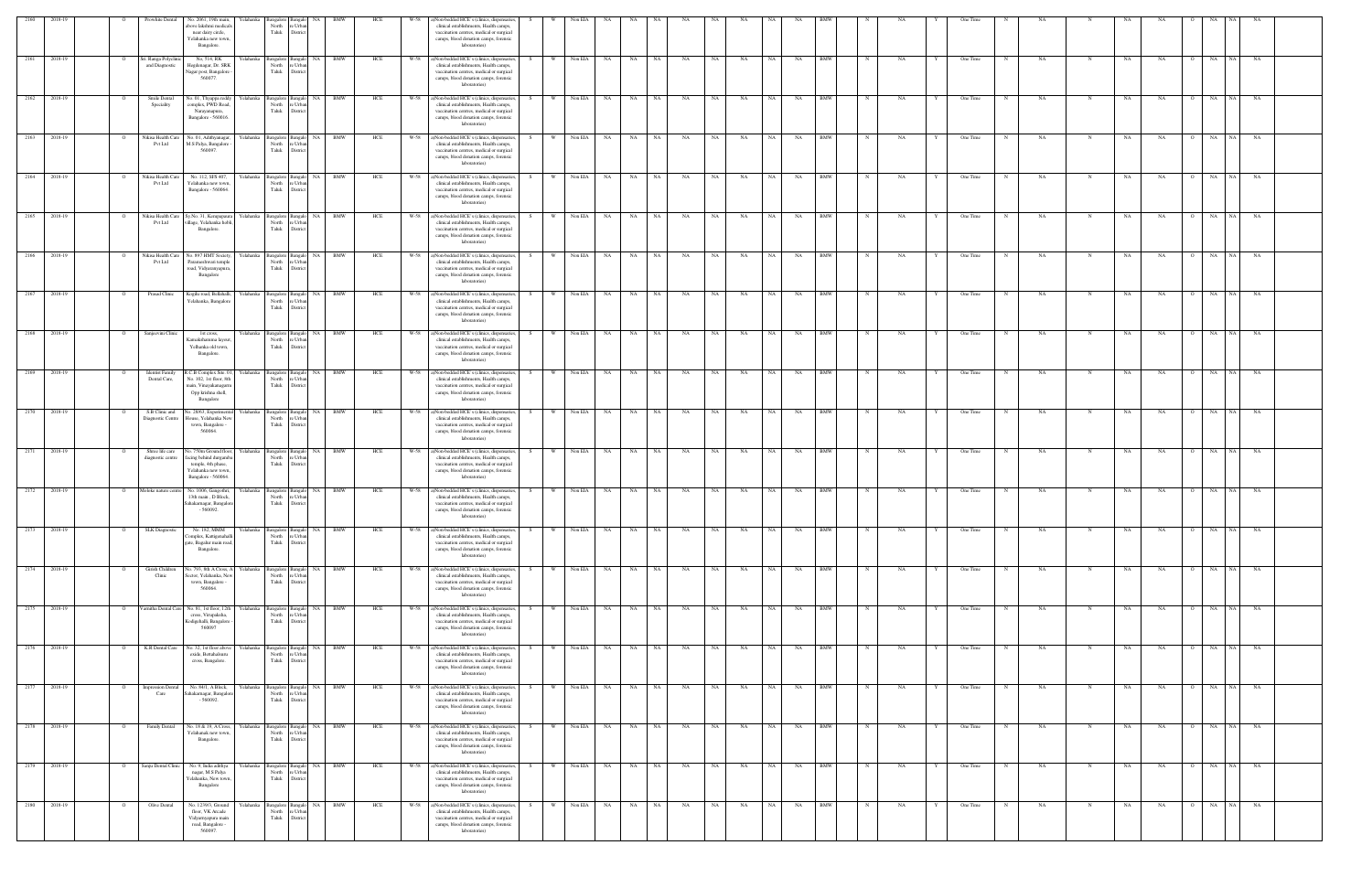| 2160                         | 2018-19      | Prowhite Dental                         | No. 2061, 19th main,                                                                                                | Yelahanka                   | Bangalore Bangalo                             | <b>NA</b>                                                                  | <b>BMW</b> | HCE        | W-58         | ()Non-bedded HCE's (clinics, dispensaries,                                                                                                                                                                                                    |    |                       | Non EIA                  |                                     |                |           |           |           |            |                   |                          |             |    |              | One Time             |             |           |             |           |                 |                           |                      |           |  |
|------------------------------|--------------|-----------------------------------------|---------------------------------------------------------------------------------------------------------------------|-----------------------------|-----------------------------------------------|----------------------------------------------------------------------------|------------|------------|--------------|-----------------------------------------------------------------------------------------------------------------------------------------------------------------------------------------------------------------------------------------------|----|-----------------------|--------------------------|-------------------------------------|----------------|-----------|-----------|-----------|------------|-------------------|--------------------------|-------------|----|--------------|----------------------|-------------|-----------|-------------|-----------|-----------------|---------------------------|----------------------|-----------|--|
|                              |              |                                         | bove lakshmi medical:<br>near dairy circle,<br>Yelahanka new town,<br>Bangalore.                                    |                             | North<br>Taluk                                | e Urba<br>Distric                                                          |            |            |              | clinical establishments, Health camps,<br>vaccination centres, medical or surgical<br>camps, blood donation camps, forensic<br>laboratories)                                                                                                  |    |                       |                          |                                     |                |           |           |           |            |                   |                          |             |    |              |                      |             |           |             |           |                 |                           |                      |           |  |
|                              | 2161 2018-19 | Sri. Ranga Polyclinic<br>and Diagnostic | No, 514, RK<br>Hegdenagar, Dr. SRK<br>Nagar post, Bangalore<br>560077.                                              | Yelahanka Bangalore Bangalo | North<br>Taluk                                | re Urba<br>District                                                        | NA BMW     | HCE        |              | W-58 a)Non-bedded HCE's (clinics, dispensaries,<br>clinical establishments, Health camps,<br>vaccination centres, medical or surgical<br>camps, blood donation camps, forensic<br>laboratories)                                               |    | W Non EIA NA          |                          |                                     | NA NA          | <b>NA</b> | NA        | NA        | NA         | NA                | <b>BMW</b>               | N           | NA | Y            | One Time             |             | NA        | $\mathbf N$ | NA.       | NA              | $\Omega$                  | NA NA NA             |           |  |
| 2162                         | 2018-19      | Smile Dental<br>Speciality              | Vo. 01, Thyappa reddy<br>complex, PWD Road,<br>Narayanapura,<br>Bangalore - 560016.                                 | Yelahanka                   | Bangalore Bangalo<br>North re Urbar<br>Taluk  | District                                                                   | NA BMW     | HCE        | W-58         | a)Non-bedded HCE's (clinics, dispensaries,<br>clinical establishments, Health camps,<br>vaccination centres, medical or surgical<br>camps, blood donation camps, forensic<br>laboratories)                                                    |    | W                     | Non EIA                  | NA<br><b>NA</b>                     | NA             | NA        | NA        | NA        | NA         | NA                | <b>BMW</b>               |             | NA |              | One Time             |             | <b>NA</b> |             | NA        | NA              | $\overline{O}$            | <b>NA</b><br>NA 1    | NA        |  |
| 2163                         | 2018-19      | Vikisa Health Care<br>Pvt Ltd           | No. 01, Adithyanagar,<br>M.S Palya, Bangalore<br>560097                                                             | Yelahanka                   | North<br>Taluk                                | Bangalore Bangalo NA BMW<br>re Urbar<br>District                           |            | HCE        | W-58         | a)Non-bedded HCE's (clinics, dispensaries<br>clinical establishments, Health camps,<br>vaccination centres, medical or surgical<br>camps, blood donation camps, forensic<br>laboratories)                                                     | S. | W                     | Non EIA                  | NA<br>NA N                          | NA             | NA        | NA        | NA        | NA         | NA                | <b>BMW</b>               | N           | NA |              | One Time             | N           | <b>NA</b> | N           | NA        | NA              | $\overline{O}$            | NA<br>NA 1           | <b>NA</b> |  |
|                              | 2164 2018-19 | Nikisa Health Care<br>Pvt Ltd           | No. 112, SFS 407,<br>Yelahanka new town,<br>Bangalore - 560064.                                                     | Yelahanka Bangalore Bangalo | North<br>Taluk                                | re Urbar<br>District                                                       | NA BMW     | HCE        |              | W-58 a)Non-bedded HCE's (clinics, dispensaries,<br>clinical establishments, Health camps,<br>vaccination centres, medical or surgical<br>camps, blood donation camps, forensic<br>laboratories)                                               |    | W Non EIA NA          |                          |                                     | NA NA          | <b>NA</b> | <b>NA</b> | <b>NA</b> | NA 1       | NA                | <b>BMW</b>               |             | NA |              | One Time             | N           | NA        | N           | NA        | NA              | $\Omega$                  | NA NA NA             |           |  |
| 2165                         | 2018-19      | Nikisa Health Care<br><b>Pvt Ltd</b>    | Sy.No. 31, Kempapaur<br>village, Yelahanka hobli,<br>Bangalore.                                                     | Yelahanka                   | Bangalore Bangalo<br>North<br>Taluk           | NA<br>re Urbar<br>District                                                 | <b>BMW</b> | HCE        | W-58         | a)Non-bedded HCE's (clinics, dispensaries,<br>clinical establishments, Health camps,<br>vaccination centres, medical or surgical<br>camps, blood donation camps, forensic<br>laboratories)                                                    |    |                       | Non EIA                  | NA<br>NA                            | NA             | NA        | NA        | NA        | NA         | NA                | BMW                      |             | NA |              | One Time             |             | NA        |             | NA        | NA              | $\circ$                   | NA<br>NA 1           | NA        |  |
| 2166                         | 2018-19      | Vikisa Health Care<br>Pvt Ltd           | No. 897 HMT Society<br>Parameshwari temple<br>road, Vidyaranyapura,<br>Bangalore                                    | felahanka                   | Bangalore Bangal<br>North<br>Taluk            | NA<br>e Urba<br>District                                                   | <b>BMW</b> | HCE        | W-58         | a)Non-bedded HCE's (clinics, dispensaries<br>clinical establishments, Health camps,<br>vaccination centres, medical or surgical<br>camps, blood donation camps, forensic<br>laboratories)                                                     |    |                       | Non EIA                  | NA<br>NA                            | NA             | NA        | NA        | NA        | <b>NA</b>  | NA                | <b>BMW</b>               |             | NA |              | One Time             |             | NA        |             | NA        | NA              |                           | NA                   | NA        |  |
| 2167 2018-19                 |              | Prasad Clinic                           | Kogilu road, Bellahalli,<br>Yelahanka, Bangalore                                                                    |                             | Yelahanka Bangalore Bangalo<br>North<br>Taluk | e Urba<br>District                                                         | NA BMW     | HCE        |              | W-58 a)Non-bedded HCE's (clinics, dispensaries,<br>clinical establishments, Health camps,<br>vaccination centres, medical or surgical<br>camps, blood donation camps, forensic<br>laboratories)                                               |    | W Non EIA NA          |                          |                                     | NA NA          | NA        | NA        | NA        | NA I       | <b>NA</b>         | <b>BMW</b>               |             | NA |              | One Time             |             | NA        | N           | NA        | NA              |                           | O NA NA NA           |           |  |
| 2168                         | 2018-19      | Sanjeevini Clinic                       | 1st cross,<br>Kamakshamma layout<br>Yelhanka old town,<br>Bangalore.                                                | felahanka                   | Bangalore Bangalo<br>North<br>Taluk           | <b>NA</b><br>re Urba<br>District                                           |            | HCE        | W-58         | a)Non-bedded HCE's (clinics, dispensaries<br>clinical establishments, Health camps,<br>vaccination centres, medical or surgical<br>camps, blood donation camps, forensic<br>laboratories)                                                     |    |                       | Non EIA                  | NA<br>NA.                           | NA             | NA        | <b>NA</b> | NA        |            | NA                | <b>BMW</b>               |             | NA |              | One Time             |             | NA        |             | <b>NA</b> | NA              |                           | NA<br>NA.            | NA        |  |
|                              | 2169 2018-19 | <b>Identist Family</b><br>Dental Care,  | R.C.B Complex Site. 01,<br>No. 102, 1st floor, 8th<br>nain, Vinayakanagarm<br>Opp krishna shell,<br>Bangalore       | Yelahanka                   | North<br>Taluk                                | Bangalore Bangalo NA BMW<br>re Urba<br>District                            |            | HCE        | W-58         | a)Non-bedded HCE's (clinics, dispensaries,<br>clinical establishments, Health camps,<br>vaccination centres, medical or surgical<br>camps, blood donation camps, forensic<br>laboratories)                                                    | S. | w I                   | Non EIA                  | <b>NA</b><br>NA 1                   | NA             | NA        | <b>NA</b> | NA        | NA 1       | NA                | <b>BMW</b>               | $_{\rm N}$  | NA | Y            | One Time             | N           | NA .      | N           | NA        | NA.             | $\overline{O}$            | NA NA NA             |           |  |
| 2170 2018-19                 |              | Diagnostic Centre                       | S.B Clinic and No. 28/63, Experimenta<br>House, Yelahanka Nev<br>town, Bangalore -<br>560064.                       | Yelahanka                   | North<br>Taluk                                | Bangalore Bangalo NA BMW<br>e Urba<br>District                             |            | HCE        |              | W-58 a)Non-bedded HCE's (clinics, dispensaries,<br>clinical establishments, Health camps,<br>vaccination centres, medical or surgical<br>camps, blood donation camps, forensic<br>laboratories)                                               | S. |                       |                          | W Non EIA NA NA NA                  |                | <b>NA</b> | NA        | <b>NA</b> | NA N       | NA                | <b>BMW</b>               | $\mathbf N$ | NA | Y            | One Time             | N           | NA.       | N           | NA        | <b>NA</b>       |                           | 0 NA NA NA           |           |  |
| 2171 2018-19                 |              | Shree life care<br>diagnostic centre    | No. 750m Ground floor,<br>facing behind durgamb<br>temple, 4th phase,<br>Yelahanka new town,<br>Bangalore - 560064. | Yelahanka                   | Bangalore Bangalo<br>North<br>Taluk           | re Urba<br>District                                                        | NA BMW     | HCE        |              | W-58 a)Non-bedded HCE's (clinics, dispensaries<br>clinical establishments, Health camps,<br>vaccination centres, medical or surgical<br>camps, blood donation camps, forensic<br>laboratories)                                                |    | <b>W</b>              | Non EIA                  | <b>NA</b><br>NA                     | NA             | NA        | NA        | NA        | NA         | NA                | <b>BMW</b>               |             | NA |              | One Time             | $\mathbf N$ | NA        | N           | NA        | <b>NA</b>       | $\Omega$                  | NA<br>NA             | <b>NA</b> |  |
| 2172 2018-19                 |              | Moloke nature centre                    | No. 1006, Gangothri,<br>13th main, D Block,<br>Sahakarnagar, Bangalore<br>$-560092.$                                | Yelahanka                   | Bangalore Bangalo<br>North<br>Taluk           | NA 1<br>re Urba<br>Distric                                                 | BMW        | HCE        | W-58         | a)Non-bedded HCE's (clinics, dispensaries<br>clinical establishments, Health camps,<br>vaccination centres, medical or surgical<br>camps, blood donation camps, forensic<br>laboratories                                                      |    | W                     | Non EIA                  | NA.<br>NA                           | NA             | NA        | NA        | NA        | NA         | NA                | BMW                      |             | NA |              | One Time             |             | NA        | N           | NA        | NA              | $\overline{O}$            | NA<br>NA 1           | NA        |  |
|                              | 2173 2018-19 | <b>SLK</b> Diagnostic                   | No. 182, MMM<br>omplex, Kattigenahall<br>gate, Bagalur main road,<br>Bangalore.                                     | Yelahanka                   | Bangalore Bangalo<br>North<br>Taluk           | NA 1<br>e Urba<br>District                                                 | <b>BMW</b> | HCE        | W-58         | a)Non-bedded HCE's (clinics, dispensaries,<br>clinical establishments, Health camps,<br>vaccination centres, medical or surgical<br>camps, blood donation camps, forensic<br>laboratories)                                                    |    |                       | Non EIA                  | NA<br>NA                            | NA             | NA        | NA        | NA        |            | NA                | BMW                      |             | NA |              | One Time             |             | NA        |             | NA        | NA              |                           | NA                   | NA        |  |
| 2174 2018-19                 |              | Girish Children<br>Clinic               | No. 793, 8th A Cross, A<br>Sector, Yelahanka, Nev<br>town, Bangalore -<br>560064.                                   | Yelahanka                   | Bangalore Bangalo<br>North<br>Taluk           | re Urbar<br>District                                                       | NA BMW     | HCE        | W-58         | a)Non-bedded HCE's (clinics, dispensaries<br>clinical establishments, Health camps,<br>vaccination centres, medical or surgical<br>camps, blood donation camps, forensic<br>laboratories)                                                     |    | <b>W</b>              | Non EIA                  | NA<br><b>NA</b>                     | NA             | NA        | NA        | NA        | NA         | NA                | <b>BMW</b>               |             | NA |              | One Time             |             | <b>NA</b> | N           | NA        | <b>NA</b>       | $\overline{O}$            | NA                   | NA NA     |  |
|                              | 2175 2018-19 |                                         | arnitha Dental Care No. 81, 1st floor, 12th<br>cross, Virupaksha,<br>Kodigehalli, Bangalore<br>560097               | Yelahanka                   | North re Urbar<br>Taluk                       | Bangalore Bangalo NA BMW<br>District                                       |            | HCE        | W-58         | a)Non-bedded HCE's (clinics, dispensaries<br>clinical establishments, Health camps,<br>vaccination centres, medical or surgical<br>camps, blood donation camps, forensic<br>laboratories)                                                     | S. | - W                   | Non EIA NA<br>Non EIA NA |                                     | NA NA          | <b>NA</b> | NA        | NA.       | NA 1       | NA .              | BMW                      | N           | NA | Y            | One Time             | N           | NA        | N           | NA        | NA              | $\overline{O}$            | NA NA NA             |           |  |
| 2176 2018-19<br>2177 2018-19 |              | K.R Dental Care<br>Impression Denta     | No. 32, 1st floor above<br>exide, Bettahalsuru<br>cross, Bangalore.<br>No. 84/1, A Block,                           | Yelahanka<br>Yelahanka      | North<br>Taluk                                | Bangalore Bangalo NA BMW<br>re Urba<br>District                            | NA BMW     | HCE        | W-58         | a)Non-bedded HCE's (clinics, dispensaries,<br>clinical establishments, Health camps,<br>vaccination centres, medical or surgical<br>camps, blood donation camps, forensic<br>laboratories)<br>W-58 a)Non-bedded HCE's (clinics, dispensaries, | S. | <b>W</b><br>- William | Non EIA NA               |                                     | NA NA<br>NA NA | NA        | NA<br>NA  | NA        | NA N<br>NA | <b>NA</b><br>NA 1 | <b>BMW</b><br>BMW        | N<br>N      | NA | $\mathbf{Y}$ | One Time             | N<br>N      | NA        | N<br>N      | NA        | NA<br>NA        | $\overline{O}$<br>$\circ$ | NA NA NA<br>NA NA NA |           |  |
|                              |              | Care                                    | Sahakarnagar, Bangalor<br>$-560092.$                                                                                |                             | Bangalore Bangalo<br>North<br>Taluk           | re Urban<br>District                                                       |            | HCE        |              | clinical establishments, Health camps,<br>vaccination centres, medical or surgical<br>camps, blood donation camps, forensic<br>laboratories)                                                                                                  |    |                       |                          |                                     |                | <b>NA</b> |           | NA        |            |                   |                          |             | NA |              | One Time             |             | NA        |             | NA        |                 |                           |                      |           |  |
| 2178 2018-19                 | 2179 2018-19 | Family Dental<br>Sanju Dental Clinic    | No. 18 & 19, A Cross<br>Yelahanak new town,<br>Bangalore.<br>No. 9, India adithya                                   | ∕elahanka                   | North re Urban<br>Taluk                       | Yelahanka Bangalore Bangalo NA BMW<br>District<br>Bangalore Bangalo NA BMW |            | HCE<br>HCE | W-58<br>W-58 | a)Non-bedded HCE's (clinics, dispensaries,<br>clinical establishments, Health camps,<br>vaccination centres, medical or surgical<br>camps, blood donation camps, forensic<br>laboratories)<br>a)Non-bedded HCE's (clinics, dispensaries,      |    | <b>W</b>              | Non EIA<br>Non EIA       | <b>NA</b><br><b>NA</b><br><b>NA</b> | NA<br>NA       | NA<br>NA  | <b>NA</b> | NA        | NA 1<br>NA | NA<br>NA          | <b>BMW</b><br><b>BMW</b> | $\mathbf N$ | NA | Y            | One Time<br>One Time | N           | NA.<br>NA | N           | NA<br>NA  | <b>NA</b><br>NA | $\overline{O}$<br>$\circ$ | NA<br>NA<br>NA 1     | NA NA     |  |
|                              |              |                                         | nagar, M.S Palya<br>Yelahanka, New town,<br>Bangalore                                                               |                             | North<br>Taluk                                | e Urba<br>District                                                         |            |            |              | clinical establishments, Health camps,<br>vaccination centres, medical or surgical<br>camps, blood donation camps, forensic<br>laboratories)                                                                                                  |    | W.                    |                          | <b>NA</b>                           |                |           | NA        | NA        |            |                   |                          |             | NA |              |                      |             |           |             |           |                 |                           |                      | NA        |  |
|                              | 2180 2018-19 | Olive Dental                            | No. 1239/3, Ground<br>floor, VK Arcade<br>Vidyarnyapura main<br>road, Bangalore -<br>560097                         | Yelahanka                   | Bangalore Bangalo<br>North<br>Taluk           | re Urbar<br>District                                                       | NA BMW     | HCE        | W-58         | a)Non-bedded HCE's (clinics, dispensaries,<br>clinical establishments, Health camps,<br>vaccination centres, medical or surgical<br>camps, blood donation camps, forensic<br>laboratories)                                                    |    |                       | Non EIA NA               |                                     | NA NA          | NA        | NA N      | NA        | NA 1       | NA                | <b>BMW</b>               | $\mathbf N$ | NA | Y            | One Time             | N           | NA        | $\mathbf N$ | NA        | <b>NA</b>       | $\overline{O}$            | NA                   | NA NA     |  |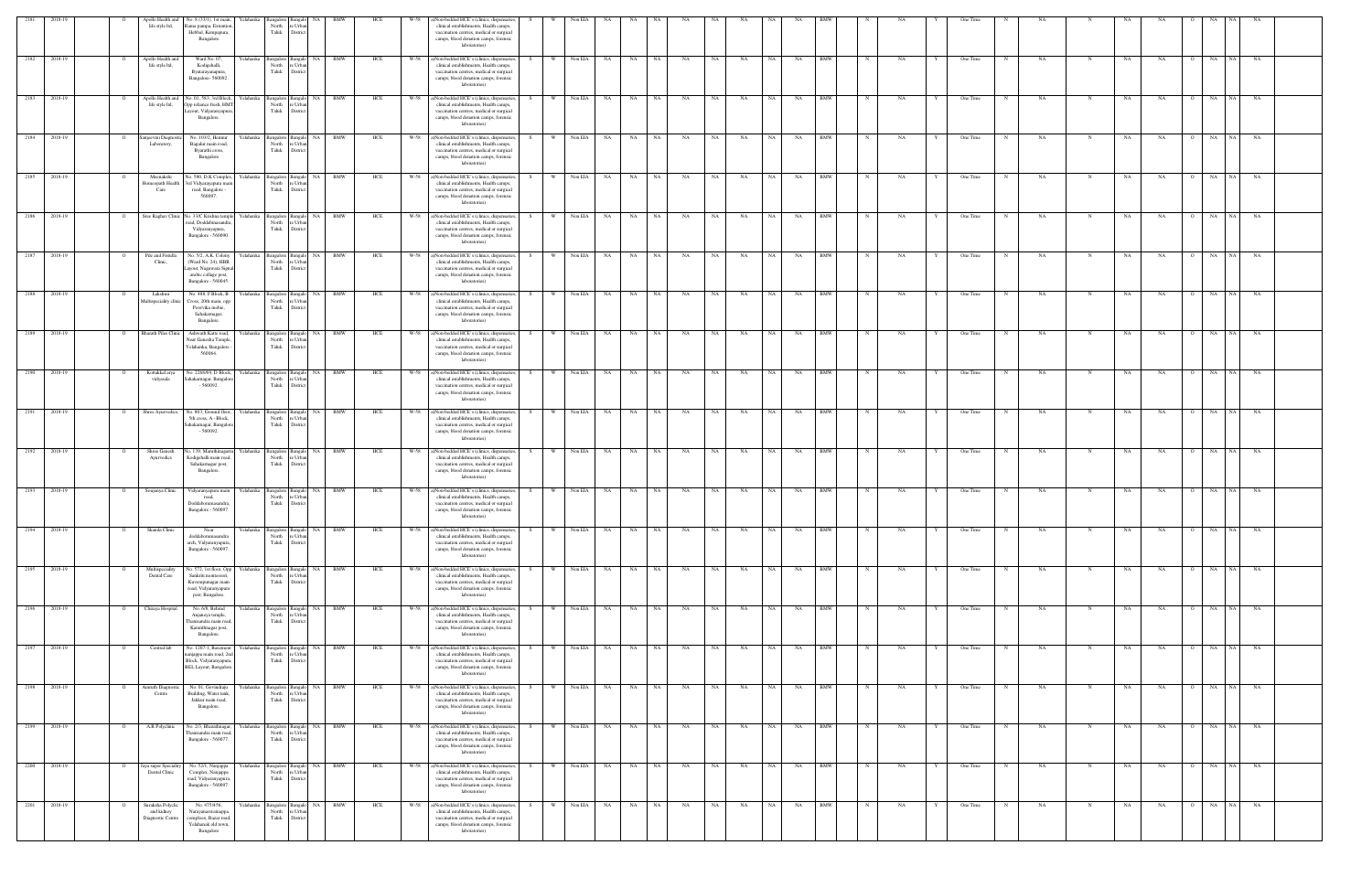| 2181                 | 2018-19                 | Apollo Health and<br>life style ltd,                 | No. 8 (33/1), 1st main,<br>Rama pampa, Extention<br>Hebbal, Kempapura,<br>Bangalore                                 | Yelahanka              | North<br>Taluk                                                     | e Urba<br>District                                        |                  |            | W-58         | ()Non-bedded HCE's (clinics, dispensaries,<br>clinical establishments, Health camps,<br>vaccination centres, medical or surgical<br>camps, blood donation camps, forensic<br>laboratories)                                                  |    |               |                    |                 |                              |          |                 |                 |           |                   |           |                          |            |           |   |                      |   |          |             |                 |                             |                      |           |  |
|----------------------|-------------------------|------------------------------------------------------|---------------------------------------------------------------------------------------------------------------------|------------------------|--------------------------------------------------------------------|-----------------------------------------------------------|------------------|------------|--------------|---------------------------------------------------------------------------------------------------------------------------------------------------------------------------------------------------------------------------------------------|----|---------------|--------------------|-----------------|------------------------------|----------|-----------------|-----------------|-----------|-------------------|-----------|--------------------------|------------|-----------|---|----------------------|---|----------|-------------|-----------------|-----------------------------|----------------------|-----------|--|
|                      | 2182 2018-19            | Apollo Health and<br>life style ltd,                 | Ward No. 07,<br>Kodigehalli,<br>Byatarayanapura,<br>Bangalore-560092.                                               |                        | North<br>Taluk                                                     | Yelahanka Bangalore Bangalo NA BMW<br>e Urba<br>Distric   |                  | HCE        |              | W-58 a)Non-bedded HCE's (clinics, dispensaries,<br>clinical establishments, Health camps,<br>vaccination centres, medical or surgical<br>camps, blood donation camps, forensic<br>laboratories)                                             |    | W Non EIA     |                    | <b>NA</b>       | NA NA                        |          | NA              | NA              | NA        | NA 1              | NA        | <b>BMW</b>               | $_{\rm N}$ | NA        |   | One Time             |   | NA       | N           | NA              | <b>NA</b><br>$\circ$        | NA                   | NA NA     |  |
| 2183                 | 2018-19                 | Apollo Health and<br>life style ltd,                 | No. 01, 583, 3rd Block,<br>Opp reliance fresh, HMT<br>Layout, Vidyaranyapura<br>Bangalore.                          | Yelahanka              | Bangalore Bangalo<br>North<br>Taluk                                | re Urbar<br>District                                      | NA BMW           | HCE        | W-58         | a)Non-bedded HCE's (clinics, dispensaries<br>clinical establishments, Health camps,<br>vaccination centres, medical or surgical<br>camps, blood donation camps, forensic<br>laboratories)                                                   |    | <b>W</b><br>W | Non EIA            | <b>NA</b>       | NA<br>NA                     |          | NA              | NA              | NA        | NA                | NA        | <b>BMW</b>               |            | NA        |   | One Time             |   | NA       | N           | NA              | NA                          | NA  <br>NA<br>NA     | NA        |  |
| 2184                 | 2018-19<br>2185 2018-19 | njeevini Diagno<br>Laboratory,<br>Meenakshi          | No. 103/2, Hennur<br>Bagalur main road,<br>Byarathi cross,<br>Bangalore<br>lo. 580, D.K Complex,                    | Yelahanka              | North<br>Taluk                                                     | Bangalore Bangalo NA BMW<br>re Urbar<br>District          | NA BMW           | HCE        | W-58<br>W-58 | a)Non-bedded HCE's (clinics, dispensaries<br>clinical establishments, Health camps,<br>vaccination centres, medical or surgical<br>camps, blood donation camps, forensic<br>laboratories)<br>a)Non-bedded HCE's (clinics, dispensaries      |    | <b>W</b>      | Non EIA<br>Non EIA | NA              | NA<br>NA                     | NA<br>NA | <b>NA</b>       | NA              | NA        | NA 1<br><b>NA</b> | NA<br>NA  | <b>BMW</b><br><b>BMW</b> |            | NA        |   | One Time<br>One Time |   | NA       |             | NA<br><b>NA</b> | NA                          | NA<br>NA<br>NA 1     | NA.       |  |
| 2186                 | 2018-19                 | Iomeopath Health<br>Care                             | 3rd Vidyarayapura mai<br>road, Bangalore -<br>560097.<br>Sree Raghav Clinic No. 33/C Krishna temple                 | Yelahanka<br>Yelahanka | Bangalore Bangalo<br>North<br>Taluk<br>Bangalore Bangal            | e Urba<br>District<br>NA.                                 | BMW              | HCE<br>HCE | W-58         | clinical establishments, Health camps,<br>vaccination centres, medical or surgical<br>camps, blood donation camps, forensic<br>laboratories)<br>a)Non-bedded HCE's (clinics, dispensaries                                                   |    |               | Non EIA            | <b>NA</b><br>NA | NA                           | NA       | NA<br>NA        | NA<br>NA        | NA<br>NA  | NA                | NA        | <b>BMW</b>               |            | NA<br>NA  |   | One Time             |   | NA<br>NA | N           | NA              | NA<br><b>NA</b>             | NA<br>NA 1           | NA<br>NA  |  |
| 2187                 | 2018-19                 | Pile and Fistulla                                    | oad, Doddabinasandra<br>Vidyaranyapura,<br>Bangalore - 560090.<br>No. 5/2, A.K. Colony                              | Yelahanka              | North<br>Taluk<br>Bangalore Bangalo                                | re Urba<br>District<br>NA                                 | <b>BMW</b>       | HCE        | W-58         | clinical establishments, Health camps,<br>vaccination centres, medical or surgical<br>camps, blood donation camps, forensic<br>laboratories)<br>a)Non-bedded HCE's (clinics, dispensaries                                                   |    |               | Non EIA            | NA<br>NA        |                              | NA       | NA              | NA              | NA        | NA                | NA        | BMW                      |            | NA        |   | One Time             |   | NA       |             | NA              | NA                          | NA<br>NA 1           | NA        |  |
|                      | 2188 2018-19            | Clinic,<br>Lakshmi                                   | (Ward No. 24), HBR<br>Layout, Nagawara Signal<br>arabic collage post,<br>Bangalore - 560045.<br>No. 488, F Block, B | elahanka               | North<br>Taluk<br>Bangalore Bangalo                                | re Urbar<br>District                                      | NA BMW           | HCE        | W-58         | clinical establishments, Health camps,<br>vaccination centres, medical or surgical<br>camps, blood donation camps, forensic<br>laboratories)<br>a)Non-bedded HCE's (clinics, dispensaries,                                                  |    | W             | Non EIA            | NA<br>NA        | NA                           |          | NA              | NA              | NA        | <b>NA</b>         | NA        | <b>BMW</b>               |            | NA        |   | One Time             |   | NA       |             | NA              | NA                          | NA<br>NA 1           | NA        |  |
| 2189 2018-19         |                         | Aultispeciality clini<br><b>Bharath Piles Clinic</b> | Cross, 20th main, opp<br>Poorvika mobie,<br>Sahakarnagar,<br>Bangalore.<br>Ashwath Katte road,                      | ∕elahanka ∶            | North<br>Taluk<br>angalore Bangalo                                 | e Urba<br>Distric                                         | NA BMW           | HCE        | $W-58$       | clinical establishments, Health camps,<br>vaccination centres, medical or surgical<br>camps, blood donation camps, forensic<br>laboratories)<br>a)Non-bedded HCE's (clinics, dispensaries                                                   |    | W.            | Non EIA            | <b>NA</b>       | NA .<br>NA                   |          | NA              | NA              | NA        |                   | NA        | <b>BMW</b>               |            | <b>NA</b> |   | One Time             |   | NA       |             | <b>NA</b>       | NA                          | NA<br>N <sub>A</sub> | NA        |  |
| 2190 2018-19         |                         | Kottakkal arya                                       | Near Ganesha Temple<br>Yelahanka, Bangalore<br>560064<br>No. 2268/69, D Block,                                      | Yelahanka              | North<br>Taluk<br>Bangalore Bangalo                                | e Urba<br>District                                        | NA BMW           | HCE        | W-58         | clinical establishments, Health camps,<br>vaccination centres, medical or surgical<br>camps, blood donation camps, forensic<br>laboratories)<br>a)Non-bedded HCE's (clinics, dispensaries                                                   | S. | w I           | Non EIA            | <b>NA</b>       | NA                           | NA .     | <b>NA</b>       | NA              | NA        | NA .              | NA        | <b>BMW</b>               | N          | NA        |   | One Time             | N | NA.      | N           | NA              | NA<br>$\overline{O}$        | NA NA                | <b>NA</b> |  |
| 2191 2018-19         |                         | vidyasala<br>Shree Ayurvedics,                       | Sahakarnagar, Bangalor<br>$-560092.$<br>No. 803, Ground floor,                                                      | Yelahanka              | North<br>Taluk                                                     | re Urba<br>District<br>Bangalore Bangalo NA BMW           |                  | HCE        | W-58         | clinical establishments, Health camps,<br>vaccination centres, medical or surgical<br>camps, blood donation camps, forensic<br>laboratories)<br>a)Non-bedded HCE's (clinics, dispensaries,                                                  |    | W I           | Non EIA NA         |                 | NA NA                        |          | NA              | NA              | NA        | NA 1              | NA        | <b>BMW</b>               |            | NA        |   | One Time             |   | NA       | N           | NA              | NA<br>$\circ$               | NA<br>NA N           | NA        |  |
|                      |                         |                                                      | 5th cross, A - Block,<br>Sahakarnagar, Bangalor<br>$-560092$                                                        | Yelahanka              | North<br>Taluk                                                     | e Urba<br>District                                        | NA BMW           |            |              | clinical establishments, Health camps,<br>vaccination centres, medical or surgical<br>camps, blood donation camps, forensic<br>laboratories)<br>W-58 a)Non-bedded HCE's (clinics, dispensaries,                                             |    | w I           | Non EIA            |                 |                              | NA       |                 |                 |           | NA                |           | <b>BMW</b>               |            |           |   |                      |   |          |             |                 | $\Omega$                    | NA                   |           |  |
| 2192 2018-19         |                         | Shree Ganesh<br>Ayurvedics                           | No. 139, Maruthinagar<br>Kodigehalli main road<br>Sahakarnagar post,<br>Bangalore.                                  |                        | Bangalore Bangalo<br>North<br>Taluk                                | e Urba<br>District                                        |                  | HCE        |              | clinical establishments, Health camps,<br>vaccination centres, medical or surgical<br>camps, blood donation camps, forensic<br>laboratories)                                                                                                |    |               |                    | NA              | NA N                         |          | NA              | NA              | NA        |                   | NA        |                          | $_{\rm N}$ | NA        |   | One Time             |   | NA       | N           | $_{\rm NA}$     | NA                          | NA                   | <b>NA</b> |  |
| 2193 2018-19<br>2194 | 2018-19                 | Soujanya Clinic<br>Skanda Clinic                     | Vidyaranyapura main<br>road,<br>Doddabommasandra,<br>Bangalore - 560097.<br>Near                                    | ∕elahanka              | Yelahanka Bangalore Bangalo<br>North<br>Taluk<br>Bangalore Bangalo | re Urba<br>District<br>NA                                 | NA BMW<br>BMW    | HCE<br>HCE | W-58         | W-58 a)Non-bedded HCE's (clinics, dispensaries<br>clinical establishments, Health camps,<br>vaccination centres, medical or surgical<br>camps, blood donation camps, forensic<br>laboratories<br>a)Non-bedded HCE's (clinics, dispensaries, |    | W             | Non EIA<br>Non EIA | <b>NA</b><br>NA | <b>NA</b><br><b>NA</b><br>NA | NA       | <b>NA</b><br>NA | <b>NA</b><br>NA | NA<br>NA  | NA                | NA<br>NA  | <b>BMW</b><br><b>BMW</b> |            | NA<br>NA  |   | One Time<br>One Time |   | NA<br>NA | N           | NA<br>NA        | <b>NA</b><br>$\circ$<br>NA  | NA<br>NA .<br>NA     | NA<br>NA  |  |
| 2195 2018-19         |                         | Multispeciality                                      | doddabommasandra<br>arch, Vidyaranyapura,<br>Bangalore - 560097.<br>No. 572, 1st floor, Opp                         | Yelahanka              | North<br>Taluk<br>Bangalore Bangalo                                | e Urba<br>District                                        | NA BMW           | HCE        | W-58         | clinical establishments, Health camps,<br>vaccination centres, medical or surgical<br>camps, blood donation camps, forensic<br>laboratories)<br>a)Non-bedded HCE's (clinics, dispensaries                                                   |    | <b>W</b>      | Non EIA            | <b>NA</b>       | NA                           | NA       | NA              | NA              | $\rm NA$  | NA 1              | NA        | <b>BMW</b>               |            | NA        |   | One Time             |   | NA       | N           | NA              | NA<br>$\Omega$              | NA NA NA             |           |  |
|                      | 2196 2018-19            | Dental Care<br>Chiraya Hospital                      | Sankriti montessori,<br>Kuvempunagar main<br>road, Vidyaranyapura<br>post, Bangalore.<br>No. 6/8, Behind            | felahanka              | North<br>Taluk<br>Bangalore Bangalo                                | e Urba<br>District                                        | NA BMW           | HCE        | W-58         | clinical establishments, Health camps,<br>vaccination centres, medical or surgical<br>camps, blood donation camps, forensic<br>laboratories)<br>a)Non-bedded HCE's (clinics, dispensaries                                                   |    | W I           | Non EIA NA         |                 | NA                           | NA       | <b>NA</b>       | <b>NA</b>       | NA        | NA I              | NA        | <b>BMW</b>               |            | NA        |   | One Time             |   | NA       |             | NA              | NA<br>$\overline{O}$        | NA NA                | NA        |  |
| 2197 2018-19         |                         | Central lab                                          | Anjaneya temple,<br>hanisandra main road<br>Karanthnagar post,<br>Bangalore.<br>No. 1207-1, Basement                | Yelahanka              | North<br>Taluk                                                     | re Urbar<br>District<br>Bangalore Bangalo NA BMW          |                  | HCE        | W-58         | clinical establishments, Health camps,<br>vaccination centres, medical or surgical<br>camps, blood donation camps, forensic<br>laboratories)<br>a)Non-bedded HCE's (clinics, dispensaries                                                   | S. | W V           | Non EIA            | <b>NA</b>       | NA NA                        |          | NA              | NA              | NA        | NA 1              | <b>NA</b> | <b>BMW</b>               | N          | NA        | Y | One Time             | N | NA       | N           | <b>NA</b>       | NA<br>$\circ$               | NA NA NA             |           |  |
| 2198 2018-19         |                         | Amruth Diagnostic                                    | anjappa main road, 2no<br>Block, Vidyaranyapura<br><b>BEL Layout</b> , Bangalore<br>No. 01, Govindraju              | Yelahanka              | North<br>Taluk                                                     | re Urbar<br>District<br>Bangalore Bangalo NA BMW          |                  | HCE        |              | clinical establishments, Health camps,<br>vaccination centres, medical or surgical<br>camps, blood donation camps, forensic<br>laboratories)<br>W-58 a)Non-bedded HCE's (clinics, dispensaries,                                             |    | W Non EIA NA  |                    |                 | NA NA                        |          | <b>NA</b>       | NA 1            | <b>NA</b> | NA I              | NA BMW    |                          | N          | NA        |   | One Time             | N | NA       | N           | NA 1            | NA.                         | O NA NA NA           |           |  |
|                      |                         | Centre                                               | Building, Water tank,<br>Jakkur main road,<br>Bangalore.                                                            |                        | North<br>Taluk                                                     | re Urba<br>District                                       |                  |            |              | clinical establishments, Health camps,<br>vaccination centres, medical or surgical<br>camps, blood donation camps, forensic<br>laboratories)                                                                                                |    |               |                    |                 |                              |          |                 |                 |           |                   |           |                          |            |           |   |                      |   |          |             |                 |                             |                      |           |  |
| 2199 2018-19         |                         | A.R Polyclinic                                       | No. 2/3, Bharathnagar<br>Thanisandra main road<br>Bangalore - 560077.<br>No. 52/1, Nanjappa                         | elahanka               | Bangalore Bangalo<br>North re Urban<br>Taluk District              |                                                           | NA BMW<br>NA BMW | HCE        | W-58         | a)Non-bedded HCE's (clinics, dispensaries,<br>clinical establishments, Health camps,<br>vaccination centres, medical or surgical<br>camps, blood donation camps, forensic<br>laboratories)                                                  |    | - W           | Non EIA            | <b>NA</b>       | NA                           | NA       | NA              | NA              | NA        | <b>NA</b>         | NA        | <b>BMW</b><br><b>BMW</b> |            | NA        |   | One Time             |   | NA       | N           | NA              | NA                          | NA<br>NA 1<br>NA 1   | NA        |  |
| 2200 2018-19         |                         | laya super Specialit<br>Dental Clinic                | Complex, Nanjappa<br>road, Vidyaranyapura,<br>Bangalore - 560097.                                                   | Yelahanka              | Bangalore Bangalo<br>North<br>Taluk                                | re Urbar<br>District                                      |                  | HCE        | W-58         | a)Non-bedded HCE's (clinics, dispensaries<br>clinical establishments, Health camps,<br>vaccination centres, medical or surgical<br>camps, blood donation camps, forensic<br>laboratories)                                                   |    |               | Non EIA            | <b>NA</b>       | NA                           | NA       | NA              | NA              | NA        | NA                | NA        |                          |            | NA        |   | One Time             |   | NA.      | $\mathbf N$ | NA              | NA<br>$\overline{O}$        | NA                   | NA        |  |
| 2201 2018-19         |                         | Suraksha Polyclic<br>and kidney<br>Diagnostic Centre | No. 475/456,<br>Narayanaswamappa<br>comploex, Bazar road,<br>Yelahanak old town,<br>Bangalore                       |                        | North<br>Taluk                                                     | Yelahanka Bangalore Bangalo NA BMW<br>re Urba<br>District |                  | HCE        |              | W-58 a)Non-bedded HCE's (clinics, dispensaries,<br>clinical establishments, Health camps,<br>vaccination centres, medical or surgical<br>camps, blood donation camps, forensic<br>laboratories)                                             |    | W             | Non EIA NA         |                 | NA NA                        |          | <b>NA</b>       | <b>NA</b>       | NA        | NA 1              | NA .      | <b>BMW</b>               | $_{\rm N}$ | NA        |   | One Time             | N | NA       | $\mathbf N$ | NA              | <b>NA</b><br>$\overline{O}$ | NA NA NA             |           |  |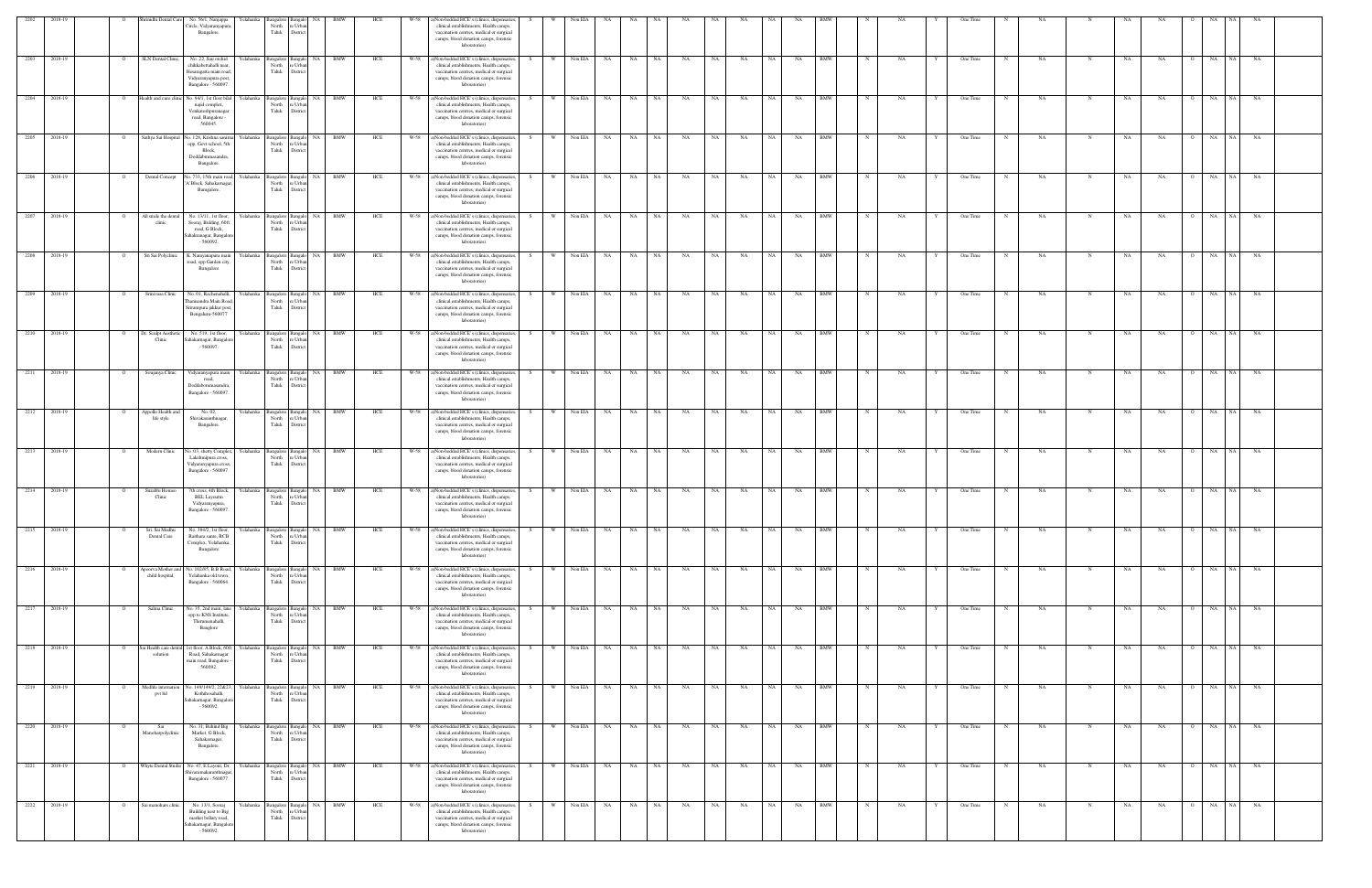| 2202         | 2018-19                 | inidhi Dental Ca                      | No. 56/1, Nanjappa<br>Circle, Vidyaranyapura<br>Bangalore.                                                             | ∫elahanka              | North<br>Taluk                                | e Urba<br>District                               |            |            | W-58         | ()Non-bedded HCE's (clinics, dispensaries,<br>clinical establishments, Health camps,<br>vaccination centres, medical or surgical<br>camps, blood donation camps, forensic<br>laboratories)                                             |      |               |                    |                   |                             |                 |           |           |                 |           |                          |             |           |   |                      |   |          |             |                 |           |                |                       |           |  |
|--------------|-------------------------|---------------------------------------|------------------------------------------------------------------------------------------------------------------------|------------------------|-----------------------------------------------|--------------------------------------------------|------------|------------|--------------|----------------------------------------------------------------------------------------------------------------------------------------------------------------------------------------------------------------------------------------|------|---------------|--------------------|-------------------|-----------------------------|-----------------|-----------|-----------|-----------------|-----------|--------------------------|-------------|-----------|---|----------------------|---|----------|-------------|-----------------|-----------|----------------|-----------------------|-----------|--|
|              | 2203 2018-19            | SLN Dental Clinic,                    | No. 22, Sau orchid<br>chikkabettahalli near,<br>Hesaragatta main road<br>Vidyaranyapura post,<br>Bangalore - 560097.   | Yelahanka              | North<br>Taluk                                | Bangalore Bangalo NA BMW<br>e Urba<br>Distric    |            | HCE        |              | W-58 a)Non-bedded HCE's (clinics, dispensaries,<br>clinical establishments, Health camps,<br>vaccination centres, medical or surgical<br>camps, blood donation camps, forensic<br>laboratories)                                        |      | w l           | Non EIA            | NA                | NA<br>NA 1                  | <b>NA</b>       | NA        | NA        | NA 1            | NA        | <b>BMW</b>               | $_{\rm N}$  | NA        |   | One Time             |   | NA       | $\mathbf N$ | NA              | NA        | $\overline{O}$ | NA<br>NA 1            | <b>NA</b> |  |
| 2204         | 2018-19                 | Health and cure clini                 | No. 94/1, 1st floor bila<br>najid complex,<br>Venkateshpuranaga<br>road, Bangalore -<br>560045.                        | Yelahanka              | angalore Bangalo<br>North<br>Taluk            | re Urba<br>District                              | NA BMW     | HCE        | W-58         | a)Non-bedded HCE's (clinics, dispensaries<br>clinical establishments, Health camps,<br>vaccination centres, medical or surgical<br>camps, blood donation camps, forensic<br>laboratories)                                              |      | <b>W</b><br>W | Non EIA            | NA<br>NA          | NA                          | NA              | NA        | NA        | <b>NA</b>       | NA        | <b>BMW</b>               |             | NA        |   | One Time             |   | NA       | N           | NA              | NA        |                | NA  <br>NA<br>NA      | NA        |  |
| 2205         | 2018-19<br>2206 2018-19 | Sathya Sai Hospital<br>Dental Concept | No. 128, Krishna sanim<br>opp, Govt school, 5th<br>Block,<br>Doddabmmasandra,<br>Bangalore.<br>o. 733, 15th main road, | Yelahanka<br>Yelahanka | North<br>Taluk<br>Bangalore Bangalo           | Bangalore Bangalo NA BMW<br>re Urba<br>District  | NA BMW     | HCE<br>HCE | W-58<br>W-58 | a)Non-bedded HCE's (clinics, dispensaries<br>clinical establishments, Health camps,<br>vaccination centres, medical or surgical<br>camps, blood donation camps, forensic<br>laboratories)<br>a)Non-bedded HCE's (clinics, dispensaries |      | <b>W</b>      | Non EIA<br>Non EIA | <b>NA</b><br>NA   | NA<br>NA<br>NA<br><b>NA</b> | <b>NA</b><br>NA | NA<br>NA  | NA<br>NA  | NA<br><b>NA</b> | NA<br>NA  | <b>BMW</b><br><b>BMW</b> |             | NA<br>NA  |   | One Time<br>One Time |   | NA<br>NA |             | NA<br><b>NA</b> | NA<br>NA  |                | NA<br>NA<br>NA 1      | NA<br>NA  |  |
| 2207         | 2018-19                 | All smile the denta                   | V Block, Sahakarnaga<br>Bamgalore.<br>No. 13/11, 1st floor,                                                            | Yelahanka              | North<br>Taluk<br>Bangalore Bangal            | e Urba<br>District<br>NA.                        | BMW        | HCE        | W-58         | clinical establishments, Health camps,<br>vaccination centres, medical or surgical<br>camps, blood donation camps, forensic<br>laboratories)<br>a)Non-bedded HCE's (clinics, dispensaries                                              |      |               | Non EIA            | NA<br>NA          | NA                          | NA              | NA        | NA        | <b>NA</b>       | NA        | <b>BMW</b>               |             | NA        |   | One Time             |   | NA       | N           | NA              | <b>NA</b> |                | NA<br>NA 1            | NA        |  |
| 2208         | 2018-19                 | clinic<br>Sri Sai Polyclinic          | Sooraj, Bulding, 60ft<br>road, G Block,<br>Sahakranagar, Bangalor<br>$-560092$<br>K. Narayanapura mai                  | felahanka              | North<br>Taluk<br>Bangalore Bangalo           | re Urba<br>District<br>NA                        | BMW        | HCE        | W-58         | clinical establishments, Health camps,<br>vaccination centres, medical or surgical<br>camps, blood donation camps, forensic<br>laboratories)<br>a)Non-bedded HCE's (clinics, dispensaries                                              |      |               | Non EIA            | NA<br>NA          | NA                          | NA              | NA        | NA        |                 | NA        | <b>BMW</b>               |             | NA        |   | One Time             |   | NA       |             | NA              | NA        |                | NA<br>NA.             | NA        |  |
|              | 2209 2018-19            | Srinivasa Clinic                      | road, opp Garden city,<br>Bangalore<br>No. 01, Rachenahalli,                                                           | elahanka               | North<br>Taluk<br>Bangalore Bangak            | re Urba<br>District                              | NA BMW     | HCE        | W-58         | clinical establishments, Health camps,<br>vaccination centres, medical or surgical<br>camps, blood donation camps, forensic<br>laboratories)<br>a)Non-bedded HCE's (clinics, dispensaries                                              |      | W             | Non EIA            | NA<br>NA          | <b>NA</b>                   | NA              | NA        | NA        |                 | NA        | <b>BMW</b>               |             | NA        |   | One Time             |   | NA       |             | NA              | NA        |                | NA<br>NA              | NA        |  |
|              | 2210 2018-19            | Dr. Sculpt Aesthetic                  | anisandra Main Roa<br>rirampura jakkur post<br>Bengaluru-560077<br>No. 519, 1st floor,                                 | celahanka              | North<br>Taluk<br>angalore 1                  | e Urba<br>Distric<br>Bangal                      | NA BMW     | HCE        | $W-58$       | clinical establishments, Health camps,<br>vaccination centres, medical or surgical<br>camps, blood donation camps, forensic<br>laboratories)<br>a)Non-bedded HCE's (clinics, dispensaries                                              |      | W.            | Non EIA            | NA .<br><b>NA</b> | NA                          | NA              | NA        | NA        |                 | NA        | <b>BMW</b>               |             | <b>NA</b> |   | One Time             |   | NA       |             | <b>NA</b>       | NA        |                | NA<br>NA <sup>1</sup> | NA        |  |
|              | 2211 2018-19            | Clinic                                | Sahakarnagar, Bangalo<br>$-560097.$                                                                                    | Yelahanka              | North<br>Taluk                                | e Urba<br>District                               | NA BMW     | HCE        | W-58         | clinical establishments, Health camps,<br>vaccination centres, medical or surgical<br>camps, blood donation camps, forensic<br>laboratories)<br>a)Non-bedded HCE's (clinics, dispensaries                                              | -S - | w I           | Non EIA            | <b>NA</b>         | NA<br><b>NA</b>             | <b>NA</b>       | <b>NA</b> | NA        | NA .            | NA        | <b>BMW</b>               | N           | NA        |   | One Time             | N | NA.      | N           | NA              | NA        | $\overline{O}$ | NA NA                 | NA        |  |
| 2212 2018-19 |                         | Soujanya Clinic<br>Appollo Health and | Vidyaranyapura main<br>road,<br>Doddabommasandra<br>Bangalore - 560097.                                                |                        | Bangalore Bangalo<br>North<br>Taluk           | re Urba<br>District                              | NA BMW     |            | W-58         | clinical establishments, Health camps,<br>vaccination centres, medical or surgical<br>camps, blood donation camps, forensic<br>laboratories)<br>a)Non-bedded HCE's (clinics, dispensaries                                              |      | W \           | Non EIA            | NA                | NA NA                       | NA              | NA        | NA        | NA 1            | NA        | <b>BMW</b>               |             |           |   | One Time             |   |          | N           |                 |           | $\circ$        | NA<br>NA 1            |           |  |
|              |                         | life style                            | No. 02,<br>Shivakaranthnagar,<br>Bangalore.                                                                            | felahanka              | Bangalore Bangalo<br>North<br>Taluk           | e Urba<br>District                               |            | HCE        |              | clinical establishments, Health camps,<br>vaccination centres, medical or surgical<br>camps, blood donation camps, forensic<br>laboratories)                                                                                           |      |               |                    |                   |                             |                 |           |           |                 |           |                          |             | NA        |   |                      |   | NA       |             | NA              | NA        |                |                       | NA        |  |
| 2213 2018-19 |                         | Modern Clinic                         | No. 03, shetty Complex,<br>Lakshmipura cross,<br>Vidyaranyapura cross.<br>Bangalore - 560097.                          | Yelahanka              | Bangalore Bangal<br>North<br>Taluk            | e Urba<br>District                               | NA BMW     | HCE        |              | W-58 a)Non-bedded HCE's (clinics, dispensaries<br>clinical establishments, Health camps,<br>vaccination centres, medical or surgical<br>camps, blood donation camps, forensic<br>laboratories)                                         |      | W ·           | Non EIA            | <b>NA</b>         | NA<br>NA                    | NA              | NA        | NA        | <b>NA</b>       | NA        | <b>BMW</b>               | $\mathbf N$ | NA        |   | One Time             |   | NA       | N           | $_{\rm NA}$     | NA        |                | NA<br>NA 1            | <b>NA</b> |  |
| 2214 2018-19 |                         | Surabhi Homeo<br>Clinic               | 7th cross, 4th Block,<br><b>BEL Layoutm</b><br>Vidyaranyapura,<br>Bangalore - 560097.                                  |                        | Yelahanka Bangalore Bangalo<br>North<br>Taluk | NA 1<br>re Urba<br>Distric                       | <b>BMW</b> | HCE        | W-58         | a)Non-bedded HCE's (clinics, dispensaries<br>clinical establishments, Health camps,<br>vaccination centres, medical or surgical<br>camps, blood donation camps, forensic<br>laboratories                                               |      | W             | Non EIA            | NA                | <b>NA</b><br>NA             | <b>NA</b>       | <b>NA</b> | NA        | NA              | NA        | BMW                      |             | NA        |   | One Time             |   | NA       | N           | NA              | NA        | $\circ$        | NA<br>NA .            | NA        |  |
| 2215         | 2018-19                 | Sri. Sai Madhu<br>Dental Care         | No. 384/2, 1st floor,<br>Raithara sante, RCB<br>Complex, Yelahanka,<br>Bangalore                                       | felahanka              | <b>Bangalore</b><br>North<br>Taluk            | NA<br>Bangalo<br>e Urba<br>District              | BMW        | HCE        | W-58         | a)Non-bedded HCE's (clinics, dispensaries,<br>clinical establishments, Health camps,<br>vaccination centres, medical or surgical<br>camps, blood donation camps, forensic<br>laboratories)                                             |      |               | Non EIA            | NA<br><b>NA</b>   | NA                          | NA              | NA        | NA        |                 | NA        | <b>BMW</b>               |             | NA        |   | One Time             |   | NA       |             | NA              | NA        |                | NA                    | NA        |  |
| 2216 2018-19 |                         | Apoorva Mother and<br>child hospital, | No. 102/85, B.B Road,<br>Yelahanka old town,<br>Bangalore - 560064.                                                    | ∫elahanka              | Bangalore Bangalo<br>North<br>Taluk           | re Urba<br>District                              | NA BMW     | HCE        | W-58         | a)Non-bedded HCE's (clinics, dispensaries<br>clinical establishments, Health camps,<br>vaccination centres, medical or surgical<br>camps, blood donation camps, forensic<br>laboratories)                                              |      | <b>W</b>      | Non EIA            | <b>NA</b>         | NA<br>NA                    | NA              | NA        | $\rm NA$  | NA 1            | NA        | <b>BMW</b>               |             | NA        |   | One Time             |   | NA       | N           | NA              | <b>NA</b> | $\Omega$       | NA NA NA              |           |  |
|              | 2217 2018-19            | Salma Clinic                          | No. 35, 2nd main, lane<br>opp to KNS Institute,<br>Thirumenahalli,<br>Banglore                                         | Yelahanka              | Bangalore Bangalo<br>North<br>Taluk           | re Urbar<br>District                             | NA BMW     | HCE        | W-58         | a)Non-bedded HCE's (clinics, dispensaries<br>clinical establishments, Health camps,<br>vaccination centres, medical or surgical<br>camps, blood donation camps, forensic<br>laboratories)<br>a)Non-bedded HCE's (clinics, dispensaries |      | W.            | Non EIA NA         |                   | NA<br>NA                    | <b>NA</b>       | <b>NA</b> | NA        | NA I            | NA        | <b>BMW</b>               |             | NA        |   | One Time             |   | NA       |             | NA              | NA        | $\overline{O}$ | NA NA<br>NA NA NA     | <b>NA</b> |  |
| 2218 2018-19 |                         | ai Health care denta<br>solution      | 1st floor, A Block, 60ft<br>Road, Sahakarnagar<br>nain road, Bangalore<br>560092.                                      | Yelahanka              | North<br>Taluk                                | Bangalore Bangalo NA BMW<br>re Urba<br>District  |            | HCE        | W-58         | clinical establishments, Health camps,<br>vaccination centres, medical or surgical<br>camps, blood donation camps, forensic<br>laboratories)                                                                                           | S.   | W.            | Non EIA            | NA                | NA NA                       | NA              | NA        | NA        | NA 1            | <b>NA</b> | <b>BMW</b>               | N           | NA        | Y | One Time             | N | NA       | N           | NA              | NA        | $\circ$        |                       |           |  |
| 2219 2018-19 |                         | Medlife internation<br>pvt ltd        | No. 149/149/2, 22&23,<br>Kothihosahalli,<br>Sahakarnagar, Bangalor<br>$-560092.$                                       | Yelahanka              | North<br>Taluk                                | Bangalore Bangalo NA BMW<br>re Urbar<br>District |            | HCE        |              | W-58 a)Non-bedded HCE's (clinics, dispensaries,<br>clinical establishments, Health camps,<br>vaccination centres, medical or surgical<br>camps, blood donation camps, forensic<br>laboratories)                                        |      | W Non EIA NA  |                    |                   | NA NA                       | <b>NA</b>       | NA        | <b>NA</b> | NA I            | NA BMW    |                          | $_{\rm N}$  | NA        |   | One Time             | N | NA       | N           | NA              | NA        |                | O NA NA NA            |           |  |
|              | 2220 2018-19            | Sai<br>Manoharpolyclinic              | No. 31, Behind Big<br>Market, G Block,<br>Sahakarnagar,<br>Bangalore.                                                  | felahanka              | Bangalore Bangalo<br>North re Urban<br>Taluk  | District                                         | NA BMW     | HCE        | W-58         | a)Non-bedded HCE's (clinics, dispensaries,<br>clinical establishments, Health camps,<br>vaccination centres, medical or surgical<br>camps, blood donation camps, forensic<br>laboratories)                                             |      |               | Non EIA            | <b>NA</b><br>NA   | NA                          | NA              | NA        | NA        | <b>NA</b>       | NA        | <b>BMW</b>               |             | NA        |   | One Time             |   | NA       | N           | NA              | NA        |                | NA<br>NA 1            | NA        |  |
| 2221 2018-19 |                         | Whyte Dental Studio                   | No. 47, E Layout, Dr.<br>Shivaramakaranthnagar<br>Bangalore - 560077.                                                  | Yelahanka              | Bangalore Bangalo<br>North<br>Taluk           | NA  <br>re Urbar<br>District                     | <b>BMW</b> | HCE        | W-58         | a)Non-bedded HCE's (clinics, dispensaries<br>clinical establishments, Health camps,<br>vaccination centres, medical or surgical<br>camps, blood donation camps, forensic<br>laboratories)                                              |      | - W           | Non EIA            | <b>NA</b>         | NA<br><b>NA</b>             | NA              | NA        | NA        | NA              | NA        | <b>BMW</b>               |             | NA        |   | One Time             |   | NA.      | $\mathbf N$ | NA              | NA        | $\overline{O}$ | NA<br>NA 1            | NA        |  |
| 2222 2018-19 |                         | Sai manohars clinic                   | No. 13/1, Sooraj<br>Building nest to Big<br>market bellary road,<br>Sahakarnagar, Bangalore<br>$-560092.$              | Yelahanka              | Bangalore Bangalo<br>North<br>Taluk           | re Urba<br>District                              | NA BMW     | HCE        |              | W-58 a)Non-bedded HCE's (clinics, dispensaries,<br>clinical establishments, Health camps,<br>vaccination centres, medical or surgical<br>camps, blood donation camps, forensic<br>laboratories)                                        |      | W             | Non EIA NA         |                   | NA NA                       | <b>NA</b>       | NA        | NA        | NA 1            | NA .      | <b>BMW</b>               | $_{\rm N}$  | NA        |   | One Time             | N | NA       | $\mathbf N$ | NA              | <b>NA</b> | $\circ$        | NA NA NA              |           |  |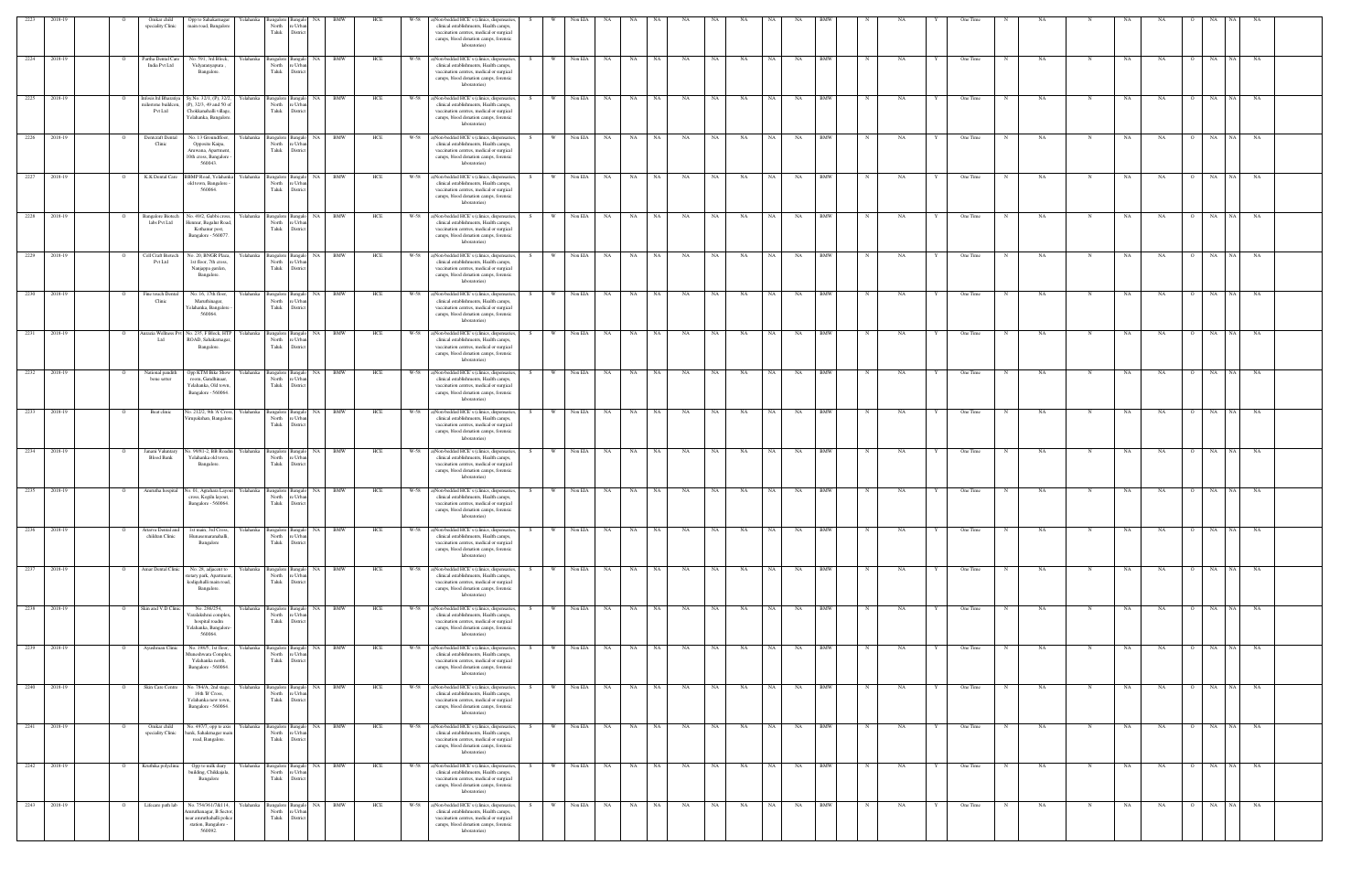| 2223         | 2018-19                 | Omkar child<br>speciality Clinic                              | Opp to Sahakarnagar<br>main road, Bangalore                                                                                     | Yelahanka             | North<br>Taluk                                        | e Urba<br>Distric                                                    |            |            | W-58         | ()Non-bedded HCE's (clinics, dispensaries,<br>clinical establishments, Health camps,<br>vaccination centres, medical or surgical<br>camps, blood donation camps, forensic<br>laboratories)                                             |      |               |                    |           |                 |           |                 |           |           |           |           |                          |            |           |   |                      |   |          |             |                 |                      |                      |           |  |
|--------------|-------------------------|---------------------------------------------------------------|---------------------------------------------------------------------------------------------------------------------------------|-----------------------|-------------------------------------------------------|----------------------------------------------------------------------|------------|------------|--------------|----------------------------------------------------------------------------------------------------------------------------------------------------------------------------------------------------------------------------------------|------|---------------|--------------------|-----------|-----------------|-----------|-----------------|-----------|-----------|-----------|-----------|--------------------------|------------|-----------|---|----------------------|---|----------|-------------|-----------------|----------------------|----------------------|-----------|--|
|              | 2224 2018-19            | Partha Dental Care<br>India Pvt Ltd                           | No. 591, 3rd Block,<br>Vidyaranyapura,<br>Bangalore.                                                                            | Yelahanka             | North<br>Taluk                                        | Bangalore Bangalo NA BMW<br>e Urba<br>Distric                        |            | HCE        |              | W-58 a)Non-bedded HCE's (clinics, dispensaries,<br>clinical establishments, Health camps,<br>vaccination centres, medical or surgical<br>camps, blood donation camps, forensic<br>laboratories)                                        |      | W Non EIA     |                    | NA        | NA NA           |           | <b>NA</b>       | NA        | NA        | NA 1      | NA        | <b>BMW</b>               | $_{\rm N}$ | NA        |   | One Time             |   | NA       | N           | NA              | NA<br>$\circ$        | NA                   | NA NA     |  |
| 2225         | 2018-19                 | Infosis Itd Bharatiya<br>nilestone buildcon<br><b>Pvt Ltd</b> | Sy.No. 32/1, (P), 32/2<br>(P), 32/3, 49 and 50 of<br>Chokkanahalli village.<br>Yelahanka, Bangalore                             | Yelahanka             | Bangalore Bangalo<br>North<br>Taluk                   | re Urbar<br>District                                                 | NA BMW     | HCE        | W-58         | a)Non-bedded HCE's (clinics, dispensaries<br>clinical establishments, Health camps,<br>vaccination centres, medical or surgical<br>camps, blood donation camps, forensic<br>laboratories)                                              |      | <b>W</b>      | Non EIA            | <b>NA</b> | NA              | NA        | NA              | NA        | NA        | <b>NA</b> | NA        | <b>BMW</b>               |            | NA        |   | One Time             |   | NA       | N           | NA              | NA                   | NA  <br>NA<br>NA     | NA        |  |
| 2226         | 2018-19<br>2227 2018-19 | Dentcraft Dental<br>Clinic<br>K.K Dental Care                 | No. 13 Groundfloor,<br>Opposite Kaipa,<br>Aruwana, Apartment,<br>Oth cross, Bangalore<br>560043.<br><b>BBMP</b> Road, Yelahanka | Yelahanka<br>elahanka | North<br>Taluk                                        | Bangalore Bangalo NA BMW<br>re Urba<br>District<br>Bangalore Bangalo | NA BMW     | HCE<br>HCE | W-58<br>W-58 | a)Non-bedded HCE's (clinics, dispensaries<br>clinical establishments, Health camps,<br>vaccination centres, medical or surgical<br>camps, blood donation camps, forensic<br>laboratories)<br>a)Non-bedded HCE's (clinics, dispensaries |      | W<br><b>W</b> | Non EIA<br>Non EIA | NA<br>NA  | NA<br><b>NA</b> | NA<br>NA  | <b>NA</b><br>NA | NA<br>NA  | NA<br>NA  | NA<br>NA  | NA<br>NA  | <b>BMW</b><br><b>BMW</b> |            | NA<br>NA  |   | One Time<br>One Time |   | NA<br>NA |             | NA<br><b>NA</b> | NA<br>NA             | NA<br>NA<br>NA 1     | NA<br>NA  |  |
| 2228         | 2018-19                 | <b>Bangalore Biotech</b>                                      | old town, Bangalore<br>560064<br>No. 49/2, Gubbi cross                                                                          | Yelahanka             | North<br>Taluk<br>Bangalore Bangal                    | e Urba<br>District<br>NA.                                            | BMW        | HCE        | W-58         | clinical establishments, Health camps,<br>vaccination centres, medical or surgical<br>camps, blood donation camps, forensic<br>laboratories)<br>a)Non-bedded HCE's (clinics, dispensaries                                              |      |               | Non EIA            | NA        | NA              | NA        | NA              | NA        | NA        | <b>NA</b> | NA        | <b>BMW</b>               |            | NA        |   | One Time             |   | NA       | N           | NA              | <b>NA</b>            | NA<br>NA 1           | NA        |  |
| 2229         | 2018-19                 | labs Pvt Ltd<br>Cell Craft Biotech                            | Iennur, Bagalur Road<br>Kothanur post,<br>Bangalore - 560077.<br>No. 20, BNGR Plaza,                                            | felahanka             | North<br>Taluk<br>Bangalore Bangalo                   | re Urba<br>District<br>NA                                            | BMW        | HCE        | W-58         | clinical establishments, Health camps,<br>vaccination centres, medical or surgical<br>camps, blood donation camps, forensic<br>laboratories)<br>a)Non-bedded HCE's (clinics, dispensaries                                              |      |               | Non EIA            | NA        | NA              | NA        | NA              | NA        | NA        |           | NA        | <b>BMW</b>               |            | NA        |   | One Time             |   | NA       |             | NA              | NA                   | NA<br>NA 1           | NA        |  |
|              | 2230 2018-19            | Pvt Ltd<br>Fine touch Denta                                   | 1st floor, 7th cross,<br>Nanjappa garden,<br>Bangalore.<br>No. 16, 17th floor,                                                  | elahanka              | North<br>Taluk<br>Bangalore Bangalo                   | re Urba<br>District                                                  | NA BMW     | HCE        | W-58         | clinical establishments, Health camps,<br>vaccination centres, medical or surgical<br>camps, blood donation camps, forensic<br>laboratories)<br>a)Non-bedded HCE's (clinics, dispensaries                                              |      | W             | Non EIA            | NA        | NA              | <b>NA</b> | NA              | NA        | NA        |           | NA        | <b>BMW</b>               |            | NA        |   | One Time             |   | NA       |             | NA              | NA                   | NA<br>NA 1           | NA        |  |
|              | 2231 2018-19            | Clinic<br>urazia Wellness P                                   | Maruthinagar,<br>Celahanka, Bangalore<br>560064<br>No. 235, F Block, HTF                                                        | elahanka              | North<br>Taluk<br>ingalore Bangal                     | e Urba<br>Distric                                                    | NA BMW     | HCE        | $W-58$       | clinical establishments, Health camps,<br>vaccination centres, medical or surgical<br>camps, blood donation camps, forensic<br>laboratories)<br>a)Non-bedded HCE's (clinics, dispensaries                                              |      | W.            | Non EIA            | <b>NA</b> | NA .            | NA        | NA              | NA        | NA        |           | NA        | <b>BMW</b>               |            | <b>NA</b> |   | One Time             |   | NA       |             | <b>NA</b>       | NA                   | NA<br>N <sub>A</sub> | NA        |  |
|              | 2232 2018-19            | Ltd<br>National pandith                                       | ROAD, Sahakarnagar<br>Bangalore.<br>Opp KTM Bike Show                                                                           | Yelahanka             | North<br>Taluk<br>Bangalore Bangalo                   | e Urba<br>District                                                   | NA BMW     | HCE        | W-58         | clinical establishments, Health camps,<br>vaccination centres, medical or surgical<br>camps, blood donation camps, forensic<br>laboratories)<br>a)Non-bedded HCE's (clinics, dispensaries                                              | -S - | w I           | Non EIA            | <b>NA</b> | <b>NA</b>       | NA        | <b>NA</b>       | <b>NA</b> | NA        | NA .      | NA        | <b>BMW</b>               | N          | NA        |   | One Time             | N | NA.      | N           | NA              | NA<br>$\overline{O}$ | NA NA                | NA        |  |
| 2233 2018-19 |                         | bone setter<br>Beat clinic                                    | room, Gandhinaar,<br>Yelahanka, Old town,<br>Bangalore - 560064.<br>No. 212/2, 9th 'A' Cross,                                   | Yelahanka             | North<br>Taluk<br>Bangalore Bangalo                   | re Urba<br>District                                                  | NA BMW     | HCE        | W-58         | clinical establishments, Health camps,<br>vaccination centres, medical or surgical<br>camps, blood donation camps, forensic<br>laboratories)<br>a)Non-bedded HCE's (clinics, dispensaries                                              |      | W \           | Non EIA NA         |           | NA NA           |           | NA              | NA        | NA        | NA 1      | NA        | <b>BMW</b>               |            | NA        |   | One Time             |   | NA       | N           | NA              | NA<br>$\circ$        | NA<br>NA N           | NA        |  |
|              | 2234 2018-19            | Janani Valuntary                                              | irupakshan, Bangalor<br>No. 99/81-2, BB Roadm                                                                                   | Yelahanka             | North<br>Taluk<br>Bangalore Bangalo                   | e Urba<br>District                                                   | NA BMW     | HCE        |              | clinical establishments, Health camps,<br>vaccination centres, medical or surgical<br>camps, blood donation camps, forensic<br>laboratories)<br>W-58 a)Non-bedded HCE's (clinics, dispensaries,                                        |      | W ·           | Non EIA            | <b>NA</b> | NA              | NA        | NA              | NA        | NA        | <b>NA</b> | NA        | <b>BMW</b>               |            | NA        |   | One Time             |   | NA       | N           | $_{\rm NA}$     | NA                   | NA<br>NA 1           | <b>NA</b> |  |
|              | 2235 2018-19            | <b>Blood Bank</b>                                             | Yelahanka old town,<br>Bangalore.<br>Amrutha hospital No. 01, Agrahara Layout                                                   |                       | North<br>Taluk<br>Yelahanka Bangalore Bangalo         | e Urba<br>District<br>NA 1                                           | <b>BMW</b> | HCE        |              | clinical establishments, Health camps,<br>vaccination centres, medical or surgical<br>camps, blood donation camps, forensic<br>laboratories)<br>W-58 a)Non-bedded HCE's (clinics, dispensaries                                         |      | W             | Non EIA            | <b>NA</b> | <b>NA</b>       | NA        | <b>NA</b>       | <b>NA</b> | NA        | NA        | NA        | <b>BMW</b>               |            | NA        |   | One Time             |   | NA       | N           | NA              | NA<br>$\circ$        | NA<br>NA 1           | NA        |  |
| 2236         | 2018-19                 | Attarva Dental and                                            | cross, Kogilu layout,<br>Bangalore - 560064.<br>1st main, 3rd Cross,                                                            | ∕ elahanka            | North<br>Taluk<br>3angalore                           | re Urba<br>Distric<br>NA<br>Bangalo                                  | <b>BMW</b> | HCE        | W-58         | clinical establishments, Health camps,<br>vaccination centres, medical or surgical<br>camps, blood donation camps, forensic<br>laboratories<br>a)Non-bedded HCE's (clinics, dispensaries,                                              |      |               | Non EIA            | NA        | <b>NA</b>       | NA        | NA              | NA        | NA        |           | NA        | <b>BMW</b>               |            | NA        |   | One Time             |   | NA       |             | NA              | NA                   | NA                   | NA        |  |
|              | 2237 2018-19            | childran Clinic<br>Amar Dental Clinic                         | Hunasemaranahalli,<br>Bangalore<br>No. 28, adjacent to                                                                          | Yelahanka             | North<br>Taluk<br>Bangalore Bangalo                   | e Urba<br>District                                                   | NA BMW     | HCE        | W-58         | clinical establishments, Health camps,<br>vaccination centres, medical or surgical<br>camps, blood donation camps, forensic<br>laboratories)<br>a)Non-bedded HCE's (clinics, dispensaries                                              |      | <b>W</b>      | Non EIA            | <b>NA</b> | NA              | NA        | NA              | NA        | $\rm NA$  | NA 1      | NA        | <b>BMW</b>               |            | NA        |   | One Time             |   | NA       | N           | NA              | NA<br>$\Omega$       | NA NA NA             |           |  |
|              | 2238 2018-19            | Skin and V.D Clinic                                           | stetary park, Apartmen<br>kodigehalli main road,<br>Bangalore.<br>No. 286/254,                                                  | felahanka             | North<br>Taluk<br>Bangalore Bangalo                   | e Urba<br>District                                                   | NA BMW     | HCE        | W-58         | clinical establishments, Health camps,<br>vaccination centres, medical or surgical<br>camps, blood donation camps, forensic<br>laboratories)<br>a)Non-bedded HCE's (clinics, dispensaries                                              |      | W.            | Non EIA NA         |           | NA              | NA        | <b>NA</b>       | <b>NA</b> | NA        | NA I      | NA        | <b>BMW</b>               |            | NA        |   | One Time             |   | NA       |             | NA              | NA<br>$\overline{O}$ | NA NA                | NA        |  |
|              | 2239 2018-19            | Ayushman Clinic                                               | Varalakshmi complex<br>hospital roadm<br>Yelahanka, Bangalore<br>560064.<br>No. 198/5, 1st floor,                               | Yelahanka             | North<br>Taluk                                        | re Urbar<br>District<br>Bangalore Bangalo NA BMW                     |            | HCE        | W-58         | clinical establishments, Health camps,<br>vaccination centres, medical or surgical<br>camps, blood donation camps, forensic<br>laboratories)<br>a)Non-bedded HCE's (clinics, dispensaries                                              | S.   | W.            | Non EIA            | NA        | NA NA           |           | NA              | NA        | NA        | NA 1      | <b>NA</b> | <b>BMW</b>               | N          | NA        | Y | One Time             | N | NA       | N           | NA              | NA<br>$\circ$        | NA NA NA             |           |  |
| 2240 2018-19 |                         | Skin Care Centre                                              | Auneshwara Complex<br>Yelahanka north,<br>Bangalore - 560064.<br>No. 784/A, 2nd stage,                                          | Yelahanka             | North<br>Taluk                                        | re Urbar<br>District<br>Bangalore Bangalo NA BMW                     |            | HCE        |              | clinical establishments, Health camps,<br>vaccination centres, medical or surgical<br>camps, blood donation camps, forensic<br>laboratories)<br>W-58 a)Non-bedded HCE's (clinics, dispensaries,                                        |      | W Non EIA NA  |                    |           | NA NA           |           | <b>NA</b>       | <b>NA</b> | <b>NA</b> | NA I      | NA BMW    |                          | $_{\rm N}$ | NA        |   | One Time             | N | NA       | N           | NA              | NA                   | O NA NA NA           |           |  |
|              |                         |                                                               | 16th B' Cross,<br>Yelahanka new town,<br>Bangalore - 560064.                                                                    |                       | North<br>Taluk                                        | re Urbar<br>District                                                 |            |            |              | clinical establishments, Health camps,<br>vaccination centres, medical or surgical<br>camps, blood donation camps, forensic<br>laboratories)                                                                                           |      |               |                    |           |                 |           |                 |           |           |           |           |                          |            |           |   |                      |   |          |             |                 |                      |                      |           |  |
|              | 2241 2018-19            | Omkar child<br>speciality Clinic                              | No. 497/7, opp to axis<br>bank, Sahakrnagar mai<br>road, Bangalore.                                                             | Yelahanka             | Bangalore Bangalo<br>North re Urban<br>Taluk District |                                                                      | NA BMW     | HCE        | W-58         | a)Non-bedded HCE's (clinics, dispensaries,<br>clinical establishments, Health camps,<br>vaccination centres, medical or surgical<br>camps, blood donation camps, forensic<br>laboratories)                                             |      | - W           | Non EIA            | <b>NA</b> | NA              | NA        | NA              | NA        | NA        | <b>NA</b> | NA        | <b>BMW</b><br><b>BMW</b> |            | NA        |   | One Time             |   | NA       | N           | NA              | NA                   | NA<br>NA 1<br>NA 1   | NA        |  |
|              | 2242 2018-19            | Kruthika polyclinic                                           | Opp to milk diary<br>building, Chikkajala,<br>Bangalore                                                                         | Yelahanka             | North<br>Taluk                                        | Bangalore Bangalo NA BMW<br>re Urbar<br>District                     |            | HCE        | W-58         | a)Non-bedded HCE's (clinics, dispensaries<br>clinical establishments, Health camps,<br>vaccination centres, medical or surgical<br>camps, blood donation camps, forensic<br>laboratories)                                              |      |               | Non EIA            | <b>NA</b> | <b>NA</b>       | NA        | NA              | NA        | NA        | NA        | NA        |                          |            | NA        |   | One Time             |   | NA.      | $\mathbf N$ | NA              | NA<br>$\overline{O}$ | NA                   | NA        |  |
|              | 2243 2018-19            | Lifecare path lab                                             | No. 754/361/7&114,<br>Amruthanagar, B Sector<br>near amruthahalli police<br>station, Bangalore -<br>560092.                     |                       | Yelahanka Bangalore Bangalo<br>North<br>Taluk         | re Urba<br>District                                                  | NA BMW     | HCE        |              | W-58 a)Non-bedded HCE's (clinics, dispensaries,<br>clinical establishments, Health camps,<br>vaccination centres, medical or surgical<br>camps, blood donation camps, forensic<br>laboratories)                                        |      | W             | Non EIA NA         |           | NA NA           |           | <b>NA</b>       | <b>NA</b> | NA        | NA 1      | NA .      | <b>BMW</b>               | $_{\rm N}$ | NA        |   | One Time             | N | NA       | $_{\rm N}$  | NA              | <b>NA</b><br>$\circ$ | NA NA NA             |           |  |